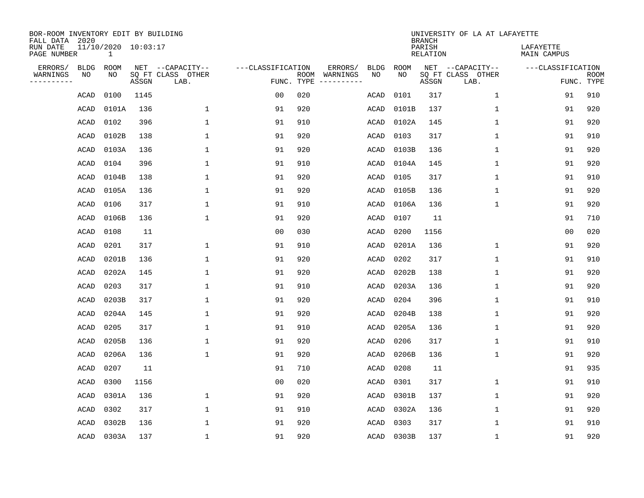| BOR-ROOM INVENTORY EDIT BY BUILDING<br>FALL DATA 2020 |             |                                     |       |                           |                   |                    |                         |             |             | <b>BRANCH</b>             | UNIVERSITY OF LA AT LAFAYETTE |                          |                           |
|-------------------------------------------------------|-------------|-------------------------------------|-------|---------------------------|-------------------|--------------------|-------------------------|-------------|-------------|---------------------------|-------------------------------|--------------------------|---------------------------|
| RUN DATE<br>PAGE NUMBER                               |             | 11/10/2020 10:03:17<br>$\mathbf{1}$ |       |                           |                   |                    |                         |             |             | PARISH<br><b>RELATION</b> |                               | LAFAYETTE<br>MAIN CAMPUS |                           |
| ERRORS/                                               | <b>BLDG</b> | ROOM                                |       | NET --CAPACITY--          | ---CLASSIFICATION |                    | ERRORS/                 | <b>BLDG</b> | <b>ROOM</b> |                           | NET --CAPACITY--              | ---CLASSIFICATION        |                           |
| WARNINGS<br>----------                                | NO          | NO                                  | ASSGN | SQ FT CLASS OTHER<br>LAB. |                   | ROOM<br>FUNC. TYPE | WARNINGS<br>----------- | NO          | NO          | ASSGN                     | SQ FT CLASS OTHER<br>LAB.     |                          | <b>ROOM</b><br>FUNC. TYPE |
|                                                       | ACAD        | 0100                                | 1145  |                           | 00                | 020                |                         | ACAD        | 0101        | 317                       | $\mathbf 1$                   | 91                       | 910                       |
|                                                       | ACAD        | 0101A                               | 136   | 1                         | 91                | 920                |                         | ACAD        | 0101B       | 137                       | 1                             | 91                       | 920                       |
|                                                       | ACAD        | 0102                                | 396   | 1                         | 91                | 910                |                         | ACAD        | 0102A       | 145                       | $\mathbf 1$                   | 91                       | 920                       |
|                                                       | ACAD        | 0102B                               | 138   | 1                         | 91                | 920                |                         | ACAD        | 0103        | 317                       | $\mathbf 1$                   | 91                       | 910                       |
|                                                       | ACAD        | 0103A                               | 136   | 1                         | 91                | 920                |                         | ACAD        | 0103B       | 136                       | $\mathbf 1$                   | 91                       | 920                       |
|                                                       | ACAD        | 0104                                | 396   | 1                         | 91                | 910                |                         | ACAD        | 0104A       | 145                       | 1                             | 91                       | 920                       |
|                                                       | ACAD        | 0104B                               | 138   | $\mathbf{1}$              | 91                | 920                |                         | ACAD        | 0105        | 317                       | $\mathbf{1}$                  | 91                       | 910                       |
|                                                       | ACAD        | 0105A                               | 136   | $\mathbf{1}$              | 91                | 920                |                         | ACAD        | 0105B       | 136                       | $\mathbf{1}$                  | 91                       | 920                       |
|                                                       | ACAD        | 0106                                | 317   | $\mathbf{1}$              | 91                | 910                |                         | ACAD        | 0106A       | 136                       | $\mathbf{1}$                  | 91                       | 920                       |
|                                                       | ACAD        | 0106B                               | 136   | 1                         | 91                | 920                |                         | ACAD        | 0107        | 11                        |                               | 91                       | 710                       |
|                                                       | ACAD        | 0108                                | 11    |                           | 0 <sub>0</sub>    | 030                |                         | ACAD        | 0200        | 1156                      |                               | 0 <sub>0</sub>           | 020                       |
|                                                       | ACAD        | 0201                                | 317   | 1                         | 91                | 910                |                         | <b>ACAD</b> | 0201A       | 136                       | $\mathbf 1$                   | 91                       | 920                       |
|                                                       | ACAD        | 0201B                               | 136   | 1                         | 91                | 920                |                         | ACAD        | 0202        | 317                       | $\mathbf 1$                   | 91                       | 910                       |
|                                                       | ACAD        | 0202A                               | 145   | 1                         | 91                | 920                |                         | ACAD        | 0202B       | 138                       | $\mathbf 1$                   | 91                       | 920                       |
|                                                       | ACAD        | 0203                                | 317   | $\mathbf{1}$              | 91                | 910                |                         | ACAD        | 0203A       | 136                       | $\mathbf 1$                   | 91                       | 920                       |
|                                                       | ACAD        | 0203B                               | 317   | 1                         | 91                | 920                |                         | ACAD        | 0204        | 396                       | 1                             | 91                       | 910                       |
|                                                       | ACAD        | 0204A                               | 145   | 1                         | 91                | 920                |                         | ACAD        | 0204B       | 138                       | 1                             | 91                       | 920                       |
|                                                       | ACAD        | 0205                                | 317   | 1                         | 91                | 910                |                         | ACAD        | 0205A       | 136                       | 1                             | 91                       | 920                       |
|                                                       | ACAD        | 0205B                               | 136   | 1                         | 91                | 920                |                         | ACAD        | 0206        | 317                       | 1                             | 91                       | 910                       |
|                                                       | ACAD        | 0206A                               | 136   | $\mathbf{1}$              | 91                | 920                |                         | ACAD        | 0206B       | 136                       | $\mathbf 1$                   | 91                       | 920                       |
|                                                       | ACAD        | 0207                                | 11    |                           | 91                | 710                |                         | ACAD        | 0208        | 11                        |                               | 91                       | 935                       |
|                                                       | ACAD        | 0300                                | 1156  |                           | 0 <sub>0</sub>    | 020                |                         | ACAD        | 0301        | 317                       | $\mathbf 1$                   | 91                       | 910                       |
|                                                       | ACAD        | 0301A                               | 136   | 1                         | 91                | 920                |                         | <b>ACAD</b> | 0301B       | 137                       | $\mathbf 1$                   | 91                       | 920                       |
|                                                       | ACAD        | 0302                                | 317   | $\mathbf{1}$              | 91                | 910                |                         | ACAD        | 0302A       | 136                       | $\mathbf 1$                   | 91                       | 920                       |
|                                                       | ACAD        | 0302B                               | 136   | 1                         | 91                | 920                |                         | ACAD        | 0303        | 317                       | 1                             | 91                       | 910                       |
|                                                       | ACAD        | 0303A                               | 137   | 1                         | 91                | 920                |                         | ACAD        | 0303B       | 137                       | 1                             | 91                       | 920                       |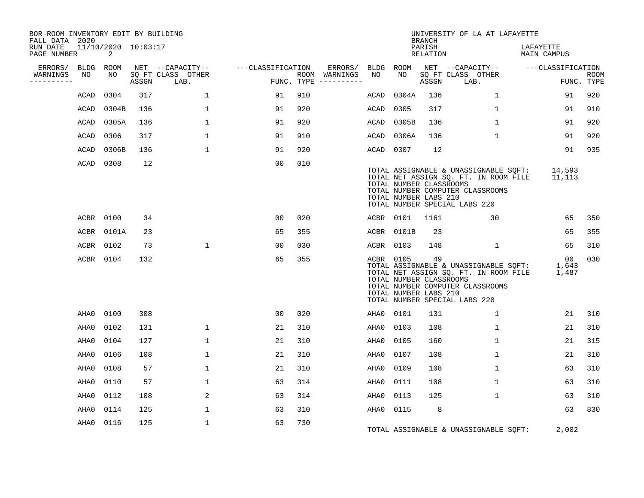| BOR-ROOM INVENTORY EDIT BY BUILDING<br>FALL DATA 2020 |           |                          |       |                           |                   |                                      |         |           |                                                  | <b>BRANCH</b>      | UNIVERSITY OF LA AT LAFAYETTE                                                                                                                             |                          |                           |
|-------------------------------------------------------|-----------|--------------------------|-------|---------------------------|-------------------|--------------------------------------|---------|-----------|--------------------------------------------------|--------------------|-----------------------------------------------------------------------------------------------------------------------------------------------------------|--------------------------|---------------------------|
| RUN DATE<br>PAGE NUMBER                               |           | 11/10/2020 10:03:17<br>2 |       |                           |                   |                                      |         |           |                                                  | PARISH<br>RELATION |                                                                                                                                                           | LAFAYETTE<br>MAIN CAMPUS |                           |
| ERRORS/                                               |           | BLDG ROOM                |       | NET --CAPACITY--          | ---CLASSIFICATION |                                      | ERRORS/ | BLDG ROOM |                                                  |                    | NET --CAPACITY-- ---CLASSIFICATION                                                                                                                        |                          |                           |
| WARNINGS<br>----------                                | NO        | NO                       | ASSGN | SQ FT CLASS OTHER<br>LAB. |                   | ROOM WARNINGS<br>FUNC. TYPE $------$ |         | NO        | NO                                               | ASSGN              | SQ FT CLASS OTHER<br>LAB.                                                                                                                                 |                          | <b>ROOM</b><br>FUNC. TYPE |
|                                                       | ACAD      | 0304                     | 317   | $\mathbf 1$               | 91                | 910                                  |         | ACAD      | 0304A                                            | 136                | $\mathbf{1}$                                                                                                                                              | 91                       | 920                       |
|                                                       | ACAD      | 0304B                    | 136   | $\mathbf{1}$              | 91                | 920                                  |         | ACAD      | 0305                                             | 317                | $\mathbf{1}$                                                                                                                                              | 91                       | 910                       |
|                                                       | ACAD      | 0305A                    | 136   | $\mathbf{1}$              | 91                | 920                                  |         |           | ACAD 0305B                                       | 136                | $\mathbf{1}$                                                                                                                                              | 91                       | 920                       |
|                                                       | ACAD      | 0306                     | 317   | $\mathbf{1}$              | 91                | 910                                  |         |           | ACAD 0306A                                       | 136                | $\mathbf{1}$                                                                                                                                              | 91                       | 920                       |
|                                                       | ACAD      | 0306B                    | 136   | $\mathbf{1}$              | 91                | 920                                  |         | ACAD 0307 |                                                  | 12                 |                                                                                                                                                           | 91                       | 935                       |
|                                                       | ACAD 0308 |                          | 12    |                           | 00                | 010                                  |         |           | TOTAL NUMBER CLASSROOMS<br>TOTAL NUMBER LABS 210 |                    | TOTAL ASSIGNABLE & UNASSIGNABLE SQFT:<br>TOTAL NET ASSIGN SQ. FT. IN ROOM FILE<br>TOTAL NUMBER COMPUTER CLASSROOMS<br>TOTAL NUMBER SPECIAL LABS 220       | 14,593<br>11,113         |                           |
|                                                       | ACBR 0100 |                          | 34    |                           | 00                | 020                                  |         |           | ACBR 0101 1161                                   |                    | 30                                                                                                                                                        | 65                       | 350                       |
|                                                       |           | ACBR 0101A               | 23    |                           | 65                | 355                                  |         |           | ACBR 0101B                                       | 23                 |                                                                                                                                                           | 65                       | 355                       |
|                                                       | ACBR 0102 |                          | 73    | $\mathbf{1}$              | 00                | 030                                  |         | ACBR 0103 |                                                  | 148                | $\mathbf{1}$                                                                                                                                              | 65                       | 310                       |
|                                                       |           | ACBR 0104                | 132   |                           | 65                | 355                                  |         | ACBR 0105 | TOTAL NUMBER CLASSROOMS<br>TOTAL NUMBER LABS 210 | 49                 | TOTAL ASSIGNABLE & UNASSIGNABLE SQFT: 1,643<br>TOTAL NET ASSIGN SQ. FT. IN ROOM FILE<br>TOTAL NUMBER COMPUTER CLASSROOMS<br>TOTAL NUMBER SPECIAL LABS 220 | 00<br>1,487              | 030                       |
|                                                       | AHA0      | 0100                     | 308   |                           | 00                | 020                                  |         | AHA0 0101 |                                                  | 131                | $\mathbf{1}$                                                                                                                                              | 21                       | 310                       |
|                                                       | AHA0      | 0102                     | 131   | $\mathbf{1}$              | 21                | 310                                  |         | AHA0      | 0103                                             | 108                | $\mathbf{1}$                                                                                                                                              | 21                       | 310                       |
|                                                       | AHA0      | 0104                     | 127   | $\mathbf 1$               | 21                | 310                                  |         | AHA0      | 0105                                             | 160                | $\mathbf 1$                                                                                                                                               | 21                       | 315                       |
|                                                       | AHA0      | 0106                     | 108   | $\mathbf{1}$              | 21                | 310                                  |         | AHA0      | 0107                                             | 108                | $\mathbf{1}$                                                                                                                                              | 21                       | 310                       |
|                                                       | AHA0      | 0108                     | 57    | $\mathbf{1}$              | 21                | 310                                  |         | AHA0      | 0109                                             | 108                | $\mathbf 1$                                                                                                                                               | 63                       | 310                       |
|                                                       | AHA0      | 0110                     | 57    | $\mathbf 1$               | 63                | 314                                  |         | AHA0      | 0111                                             | 108                | $\mathbf{1}$                                                                                                                                              | 63                       | 310                       |
|                                                       | AHA0      | 0112                     | 108   | 2                         | 63                | 314                                  |         | AHA0      | 0113                                             | 125                | $\mathbf{1}$                                                                                                                                              | 63                       | 310                       |
|                                                       | AHA0      | 0114                     | 125   | $\mathbf{1}$              | 63                | 310                                  |         | AHA0 0115 |                                                  | 8                  |                                                                                                                                                           | 63                       | 830                       |
|                                                       | AHA0      | 0116                     | 125   | $\mathbf{1}$              | 63                | 730                                  |         |           |                                                  |                    | TOTAL ASSIGNABLE & UNASSIGNABLE SQFT:                                                                                                                     | 2,002                    |                           |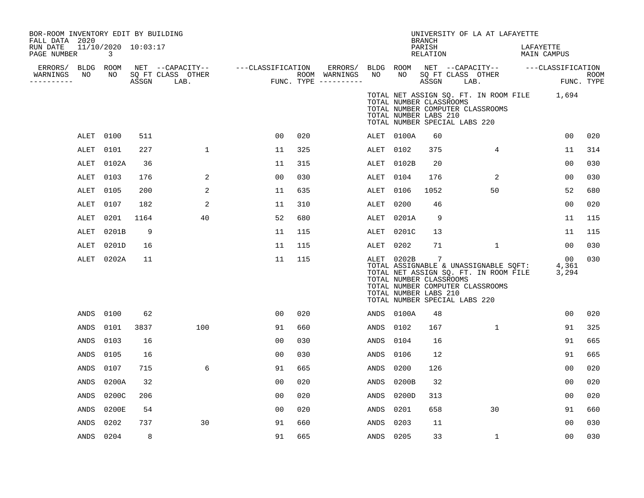| BOR-ROOM INVENTORY EDIT BY BUILDING<br>FALL DATA 2020<br>RUN DATE |           | 11/10/2020 10:03:17 |       |                           |                                    |     |                                                             |             |            | <b>BRANCH</b><br>PARISH                                                                 |      | UNIVERSITY OF LA AT LAFAYETTE                                                                                      | LAFAYETTE   |                           |             |
|-------------------------------------------------------------------|-----------|---------------------|-------|---------------------------|------------------------------------|-----|-------------------------------------------------------------|-------------|------------|-----------------------------------------------------------------------------------------|------|--------------------------------------------------------------------------------------------------------------------|-------------|---------------------------|-------------|
| PAGE NUMBER                                                       |           | $\mathbf{3}$        |       |                           |                                    |     |                                                             |             |            | RELATION                                                                                |      |                                                                                                                    | MAIN CAMPUS |                           |             |
| ERRORS/ BLDG ROOM<br>WARNINGS<br>---------                        | NO        | NO                  | ASSGN | SQ FT CLASS OTHER<br>LAB. | NET --CAPACITY-- ---CLASSIFICATION |     | ERRORS/ BLDG ROOM<br>ROOM WARNINGS<br>FUNC. TYPE ---------- | NO          | NO         | SQ FT CLASS OTHER<br>ASSGN                                                              | LAB. | NET --CAPACITY-- ---CLASSIFICATION                                                                                 |             | FUNC. TYPE                | <b>ROOM</b> |
|                                                                   |           |                     |       |                           |                                    |     |                                                             |             |            | TOTAL NUMBER CLASSROOMS<br>TOTAL NUMBER LABS 210<br>TOTAL NUMBER SPECIAL LABS 220       |      | TOTAL NET ASSIGN SQ. FT. IN ROOM FILE 1,694<br>TOTAL NUMBER COMPUTER CLASSROOMS                                    |             |                           |             |
|                                                                   | ALET      | 0100                | 511   |                           | 00                                 | 020 |                                                             |             | ALET 0100A | 60                                                                                      |      |                                                                                                                    |             | 00                        | 020         |
|                                                                   | ALET      | 0101                | 227   | $\mathbf{1}$              | 11                                 | 325 |                                                             | ALET        | 0102       | 375                                                                                     |      | 4                                                                                                                  |             | 11                        | 314         |
|                                                                   | ALET      | 0102A               | 36    |                           | 11                                 | 315 |                                                             | ALET        | 0102B      | 20                                                                                      |      |                                                                                                                    |             | 0 <sub>0</sub>            | 030         |
|                                                                   | ALET      | 0103                | 176   | 2                         | 00                                 | 030 |                                                             | ALET        | 0104       | 176                                                                                     |      | 2                                                                                                                  |             | 0 <sub>0</sub>            | 030         |
|                                                                   | ALET      | 0105                | 200   | 2                         | 11                                 | 635 |                                                             | ALET        | 0106       | 1052                                                                                    |      | 50                                                                                                                 |             | 52                        | 680         |
|                                                                   | ALET      | 0107                | 182   | 2                         | 11                                 | 310 |                                                             | ALET        | 0200       | 46                                                                                      |      |                                                                                                                    |             | 0 <sub>0</sub>            | 020         |
|                                                                   | ALET      | 0201                | 1164  | 40                        | 52                                 | 680 |                                                             | ALET        | 0201A      | 9                                                                                       |      |                                                                                                                    |             | 11                        | 115         |
|                                                                   | ALET      | 0201B               | 9     |                           | 11                                 | 115 |                                                             | ALET        | 0201C      | 13                                                                                      |      |                                                                                                                    |             | 11                        | 115         |
|                                                                   | ALET      | 0201D               | 16    |                           | 11                                 | 115 |                                                             | ALET        | 0202       | 71                                                                                      |      | 1                                                                                                                  |             | 00                        | 030         |
|                                                                   | ALET      | 0202A               | 11    |                           | 11                                 | 115 |                                                             |             | ALET 0202B | -7<br>TOTAL NUMBER CLASSROOMS<br>TOTAL NUMBER LABS 210<br>TOTAL NUMBER SPECIAL LABS 220 |      | TOTAL ASSIGNABLE & UNASSIGNABLE SQFT:<br>TOTAL NET ASSIGN SQ. FT. IN ROOM FILE<br>TOTAL NUMBER COMPUTER CLASSROOMS |             | $00 \,$<br>4,361<br>3,294 | 030         |
|                                                                   | ANDS      | 0100                | 62    |                           | 00                                 | 020 |                                                             | ANDS        | 0100A      | 48                                                                                      |      |                                                                                                                    |             | 00                        | 020         |
|                                                                   | ANDS      | 0101                | 3837  | 100                       | 91                                 | 660 |                                                             | ANDS        | 0102       | 167                                                                                     |      | 1                                                                                                                  |             | 91                        | 325         |
|                                                                   | ANDS      | 0103                | 16    |                           | 00                                 | 030 |                                                             | ANDS        | 0104       | 16                                                                                      |      |                                                                                                                    |             | 91                        | 665         |
|                                                                   | ANDS      | 0105                | 16    |                           | 00                                 | 030 |                                                             | ANDS        | 0106       | 12                                                                                      |      |                                                                                                                    |             | 91                        | 665         |
|                                                                   | ANDS      | 0107                | 715   | 6                         | 91                                 | 665 |                                                             | ANDS        | 0200       | 126                                                                                     |      |                                                                                                                    |             | 0 <sub>0</sub>            | 020         |
|                                                                   | ANDS      | 0200A               | 32    |                           | 0 <sub>0</sub>                     | 020 |                                                             | <b>ANDS</b> | 0200B      | 32                                                                                      |      |                                                                                                                    |             | 0 <sub>0</sub>            | 020         |
|                                                                   | ANDS      | 0200C               | 206   |                           | 00                                 | 020 |                                                             | ANDS        | 0200D      | 313                                                                                     |      |                                                                                                                    |             | 0 <sub>0</sub>            | 020         |
|                                                                   | ANDS      | 0200E               | 54    |                           | 00                                 | 020 |                                                             | ANDS        | 0201       | 658                                                                                     |      | 30                                                                                                                 |             | 91                        | 660         |
|                                                                   | ANDS      | 0202                | 737   | 30                        | 91                                 | 660 |                                                             | ANDS        | 0203       | 11                                                                                      |      |                                                                                                                    |             | 00                        | 030         |
|                                                                   | ANDS 0204 |                     | 8     |                           | 91                                 | 665 |                                                             | ANDS        | 0205       | 33                                                                                      |      | $\mathbf 1$                                                                                                        |             | 00                        | 030         |
|                                                                   |           |                     |       |                           |                                    |     |                                                             |             |            |                                                                                         |      |                                                                                                                    |             |                           |             |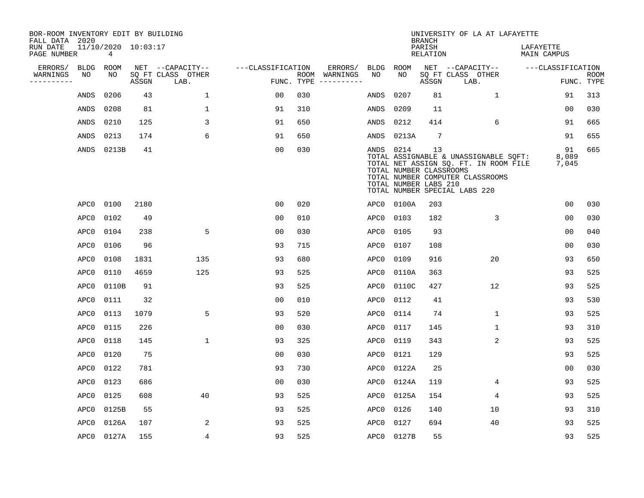| BOR-ROOM INVENTORY EDIT BY BUILDING<br>FALL DATA 2020 |             |                          |       |                           |                   |            |                              |      |                                                               | <b>BRANCH</b>      | UNIVERSITY OF LA AT LAFAYETTE                                                                                                                       |                          |                           |
|-------------------------------------------------------|-------------|--------------------------|-------|---------------------------|-------------------|------------|------------------------------|------|---------------------------------------------------------------|--------------------|-----------------------------------------------------------------------------------------------------------------------------------------------------|--------------------------|---------------------------|
| RUN DATE<br>PAGE NUMBER                               |             | 11/10/2020 10:03:17<br>4 |       |                           |                   |            |                              |      |                                                               | PARISH<br>RELATION |                                                                                                                                                     | LAFAYETTE<br>MAIN CAMPUS |                           |
| ERRORS/                                               | <b>BLDG</b> | ROOM                     |       | NET --CAPACITY--          | ---CLASSIFICATION |            | ERRORS/                      | BLDG | ROOM                                                          |                    | NET --CAPACITY--                                                                                                                                    | ---CLASSIFICATION        |                           |
| WARNINGS                                              | NO          | NO                       | ASSGN | SQ FT CLASS OTHER<br>LAB. |                   | FUNC. TYPE | ROOM WARNINGS<br>----------- | NO.  | NO.                                                           | ASSGN              | SQ FT CLASS OTHER<br>LAB.                                                                                                                           |                          | <b>ROOM</b><br>FUNC. TYPE |
|                                                       | ANDS        | 0206                     | 43    | $\mathbf 1$               | 00                | 030        |                              | ANDS | 0207                                                          | 81                 | $\mathbf{1}$                                                                                                                                        | 91                       | 313                       |
|                                                       | ANDS        | 0208                     | 81    | $\mathbf 1$               | 91                | 310        |                              | ANDS | 0209                                                          | 11                 |                                                                                                                                                     | 00                       | 030                       |
|                                                       | ANDS        | 0210                     | 125   | 3                         | 91                | 650        |                              | ANDS | 0212                                                          | 414                | 6                                                                                                                                                   | 91                       | 665                       |
|                                                       | ANDS        | 0213                     | 174   | 6                         | 91                | 650        |                              | ANDS | 0213A                                                         | $7\phantom{.0}$    |                                                                                                                                                     | 91                       | 655                       |
|                                                       | ANDS        | 0213B                    | 41    |                           | 0 <sub>0</sub>    | 030        |                              |      | ANDS 0214<br>TOTAL NUMBER CLASSROOMS<br>TOTAL NUMBER LABS 210 | 13                 | TOTAL ASSIGNABLE & UNASSIGNABLE SQFT:<br>TOTAL NET ASSIGN SQ. FT. IN ROOM FILE<br>TOTAL NUMBER COMPUTER CLASSROOMS<br>TOTAL NUMBER SPECIAL LABS 220 | 91<br>8,089<br>7,045     | 665                       |
|                                                       | APC0        | 0100                     | 2180  |                           | 0 <sub>0</sub>    | 020        |                              | APC0 | 0100A                                                         | 203                |                                                                                                                                                     | 0 <sub>0</sub>           | 030                       |
|                                                       | APC0        | 0102                     | 49    |                           | 0 <sub>0</sub>    | 010        |                              | APC0 | 0103                                                          | 182                | 3                                                                                                                                                   | 00                       | 030                       |
|                                                       | APC0        | 0104                     | 238   | 5                         | 0 <sub>0</sub>    | 030        |                              | APC0 | 0105                                                          | 93                 |                                                                                                                                                     | 0 <sub>0</sub>           | 040                       |
|                                                       | APC0        | 0106                     | 96    |                           | 93                | 715        |                              | APC0 | 0107                                                          | 108                |                                                                                                                                                     | 0 <sub>0</sub>           | 030                       |
|                                                       | APC0        | 0108                     | 1831  | 135                       | 93                | 680        |                              | APC0 | 0109                                                          | 916                | 20                                                                                                                                                  | 93                       | 650                       |
|                                                       | APC0        | 0110                     | 4659  | 125                       | 93                | 525        |                              | APC0 | 0110A                                                         | 363                |                                                                                                                                                     | 93                       | 525                       |
|                                                       | APC0        | 0110B                    | 91    |                           | 93                | 525        |                              | APC0 | 0110C                                                         | 427                | 12                                                                                                                                                  | 93                       | 525                       |
|                                                       | APC0        | 0111                     | 32    |                           | 0 <sub>0</sub>    | 010        |                              | APC0 | 0112                                                          | 41                 |                                                                                                                                                     | 93                       | 530                       |
|                                                       | APC0        | 0113                     | 1079  | 5                         | 93                | 520        |                              | APC0 | 0114                                                          | 74                 | 1                                                                                                                                                   | 93                       | 525                       |
|                                                       | APC0        | 0115                     | 226   |                           | 0 <sub>0</sub>    | 030        |                              | APC0 | 0117                                                          | 145                | $\mathbf 1$                                                                                                                                         | 93                       | 310                       |
|                                                       | APC0        | 0118                     | 145   | $\mathbf{1}$              | 93                | 325        |                              | APC0 | 0119                                                          | 343                | 2                                                                                                                                                   | 93                       | 525                       |
|                                                       | APC0        | 0120                     | 75    |                           | 0 <sub>0</sub>    | 030        |                              | APC0 | 0121                                                          | 129                |                                                                                                                                                     | 93                       | 525                       |
|                                                       | APC0        | 0122                     | 781   |                           | 93                | 730        |                              | APC0 | 0122A                                                         | 25                 |                                                                                                                                                     | 0 <sub>0</sub>           | 030                       |
|                                                       | APC0        | 0123                     | 686   |                           | 0 <sub>0</sub>    | 030        |                              | APC0 | 0124A                                                         | 119                | 4                                                                                                                                                   | 93                       | 525                       |
|                                                       | APC0        | 0125                     | 608   | 40                        | 93                | 525        |                              | APC0 | 0125A                                                         | 154                | 4                                                                                                                                                   | 93                       | 525                       |
|                                                       | APC0        | 0125B                    | 55    |                           | 93                | 525        |                              | APC0 | 0126                                                          | 140                | 10                                                                                                                                                  | 93                       | 310                       |
|                                                       | APC0        | 0126A                    | 107   | 2                         | 93                | 525        |                              | APC0 | 0127                                                          | 694                | 40                                                                                                                                                  | 93                       | 525                       |
|                                                       |             | APC0 0127A               | 155   | $\overline{4}$            | 93                | 525        |                              | APC0 | 0127B                                                         | 55                 |                                                                                                                                                     | 93                       | 525                       |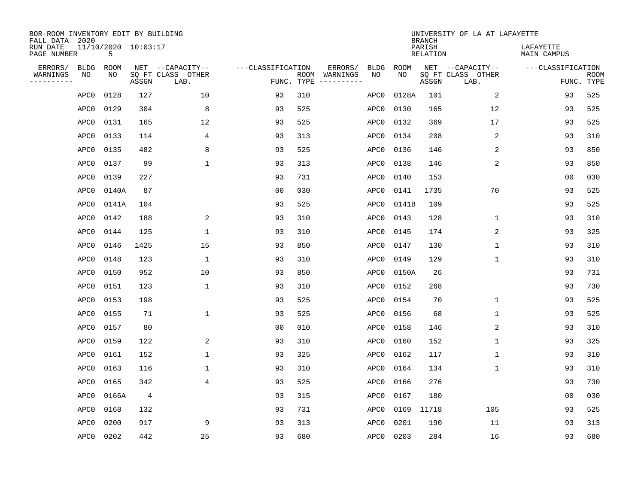| BOR-ROOM INVENTORY EDIT BY BUILDING<br>FALL DATA 2020 |             |                          |                |                           |                   |                    |          |             |             | <b>BRANCH</b>             | UNIVERSITY OF LA AT LAFAYETTE |                          |                           |
|-------------------------------------------------------|-------------|--------------------------|----------------|---------------------------|-------------------|--------------------|----------|-------------|-------------|---------------------------|-------------------------------|--------------------------|---------------------------|
| RUN DATE<br>PAGE NUMBER                               |             | 11/10/2020 10:03:17<br>5 |                |                           |                   |                    |          |             |             | PARISH<br><b>RELATION</b> |                               | LAFAYETTE<br>MAIN CAMPUS |                           |
| ERRORS/                                               | <b>BLDG</b> | ROOM                     |                | NET --CAPACITY--          | ---CLASSIFICATION |                    | ERRORS/  | <b>BLDG</b> | <b>ROOM</b> |                           | NET --CAPACITY--              | ---CLASSIFICATION        |                           |
| WARNINGS<br>----------                                | NO          | NO                       | ASSGN          | SQ FT CLASS OTHER<br>LAB. |                   | ROOM<br>FUNC. TYPE | WARNINGS | NO          | NO          | ASSGN                     | SQ FT CLASS OTHER<br>LAB.     |                          | <b>ROOM</b><br>FUNC. TYPE |
|                                                       | APC0        | 0128                     | 127            | 10                        | 93                | 310                |          | APC0        | 0128A       | 101                       | 2                             | 93                       | 525                       |
|                                                       | APC0        | 0129                     | 304            | 8                         | 93                | 525                |          | APC0        | 0130        | 165                       | 12                            | 93                       | 525                       |
|                                                       | APC0        | 0131                     | 165            | 12                        | 93                | 525                |          | APC0        | 0132        | 369                       | 17                            | 93                       | 525                       |
|                                                       | APC0        | 0133                     | 114            | 4                         | 93                | 313                |          | APC0        | 0134        | 208                       | $\overline{c}$                | 93                       | 310                       |
|                                                       | APC0        | 0135                     | 482            | 8                         | 93                | 525                |          | APC0        | 0136        | 146                       | 2                             | 93                       | 850                       |
|                                                       | APC0        | 0137                     | 99             | $\mathbf{1}$              | 93                | 313                |          | APC0        | 0138        | 146                       | 2                             | 93                       | 850                       |
|                                                       | APC0        | 0139                     | 227            |                           | 93                | 731                |          | APC0        | 0140        | 153                       |                               | 0 <sub>0</sub>           | 030                       |
|                                                       | APC0        | 0140A                    | 87             |                           | 0 <sub>0</sub>    | 030                |          | APC0        | 0141        | 1735                      | 70                            | 93                       | 525                       |
|                                                       | APC0        | 0141A                    | 104            |                           | 93                | 525                |          | APC0        | 0141B       | 109                       |                               | 93                       | 525                       |
|                                                       | APC0        | 0142                     | 188            | 2                         | 93                | 310                |          | APC0        | 0143        | 128                       | 1                             | 93                       | 310                       |
|                                                       | APC0        | 0144                     | 125            | 1                         | 93                | 310                |          | APC0        | 0145        | 174                       | 2                             | 93                       | 325                       |
|                                                       | APC0        | 0146                     | 1425           | 15                        | 93                | 850                |          | APC0        | 0147        | 130                       | $\mathbf 1$                   | 93                       | 310                       |
|                                                       | APC0        | 0148                     | 123            | 1                         | 93                | 310                |          | APC0        | 0149        | 129                       | 1                             | 93                       | 310                       |
|                                                       | APC0        | 0150                     | 952            | 10                        | 93                | 850                |          | APC0        | 0150A       | 26                        |                               | 93                       | 731                       |
|                                                       | APC0        | 0151                     | 123            | 1                         | 93                | 310                |          | APC0        | 0152        | 268                       |                               | 93                       | 730                       |
|                                                       | APC0        | 0153                     | 198            |                           | 93                | 525                |          | APC0        | 0154        | 70                        | 1                             | 93                       | 525                       |
|                                                       | APC0        | 0155                     | 71             | $\mathbf{1}$              | 93                | 525                |          | APC0        | 0156        | 68                        | 1                             | 93                       | 525                       |
|                                                       | APC0        | 0157                     | 80             |                           | 0 <sub>0</sub>    | 010                |          | APC0        | 0158        | 146                       | $\overline{2}$                | 93                       | 310                       |
|                                                       | APC0        | 0159                     | 122            | 2                         | 93                | 310                |          | APC0        | 0160        | 152                       | 1                             | 93                       | 325                       |
|                                                       | APC0        | 0161                     | 152            | 1                         | 93                | 325                |          | APC0        | 0162        | 117                       | 1                             | 93                       | 310                       |
|                                                       | APC0        | 0163                     | 116            | 1                         | 93                | 310                |          | APC0        | 0164        | 134                       | 1                             | 93                       | 310                       |
|                                                       | APC0        | 0165                     | 342            | 4                         | 93                | 525                |          | APC0        | 0166        | 276                       |                               | 93                       | 730                       |
|                                                       | APC0        | 0166A                    | $\overline{4}$ |                           | 93                | 315                |          | APC0        | 0167        | 180                       |                               | 0 <sub>0</sub>           | 030                       |
|                                                       | APC0        | 0168                     | 132            |                           | 93                | 731                |          | APC0        | 0169        | 11718                     | 105                           | 93                       | 525                       |
|                                                       | APC0        | 0200                     | 917            | 9                         | 93                | 313                |          | APC0        | 0201        | 190                       | 11                            | 93                       | 313                       |
|                                                       | APC0        | 0202                     | 442            | 25                        | 93                | 680                |          | APC0        | 0203        | 284                       | 16                            | 93                       | 680                       |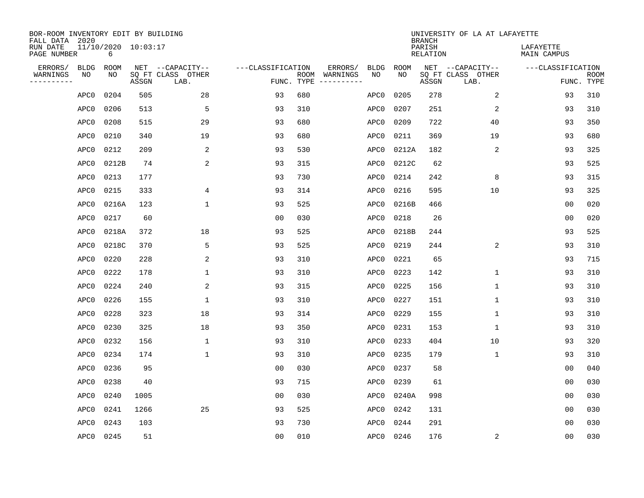| BOR-ROOM INVENTORY EDIT BY BUILDING<br>FALL DATA 2020 |                          |       |                           |                   |            |                              |             |             | <b>BRANCH</b>             | UNIVERSITY OF LA AT LAFAYETTE |                          |                           |
|-------------------------------------------------------|--------------------------|-------|---------------------------|-------------------|------------|------------------------------|-------------|-------------|---------------------------|-------------------------------|--------------------------|---------------------------|
| RUN DATE<br>PAGE NUMBER                               | 11/10/2020 10:03:17<br>6 |       |                           |                   |            |                              |             |             | PARISH<br><b>RELATION</b> |                               | LAFAYETTE<br>MAIN CAMPUS |                           |
| ERRORS/<br><b>BLDG</b>                                | <b>ROOM</b>              |       | NET --CAPACITY--          | ---CLASSIFICATION |            | ERRORS/                      | <b>BLDG</b> | <b>ROOM</b> |                           | NET --CAPACITY--              | ---CLASSIFICATION        |                           |
| WARNINGS<br>NO<br>----------                          | NO                       | ASSGN | SQ FT CLASS OTHER<br>LAB. |                   | FUNC. TYPE | ROOM WARNINGS<br>----------- | NO          | NO          | ASSGN                     | SQ FT CLASS OTHER<br>LAB.     |                          | <b>ROOM</b><br>FUNC. TYPE |
| APC0                                                  | 0204                     | 505   | 28                        | 93                | 680        |                              | APC0        | 0205        | 278                       | 2                             | 93                       | 310                       |
| APC0                                                  | 0206                     | 513   | 5                         | 93                | 310        |                              | APC0        | 0207        | 251                       | 2                             | 93                       | 310                       |
| APC0                                                  | 0208                     | 515   | 29                        | 93                | 680        |                              | APC0        | 0209        | 722                       | 40                            | 93                       | 350                       |
| APC0                                                  | 0210                     | 340   | 19                        | 93                | 680        |                              | APC0        | 0211        | 369                       | 19                            | 93                       | 680                       |
| APC0                                                  | 0212                     | 209   | 2                         | 93                | 530        |                              | APC0        | 0212A       | 182                       | 2                             | 93                       | 325                       |
| APC0                                                  | 0212B                    | 74    | $\overline{2}$            | 93                | 315        |                              | APC0        | 0212C       | 62                        |                               | 93                       | 525                       |
| APC0                                                  | 0213                     | 177   |                           | 93                | 730        |                              | APC0        | 0214        | 242                       | 8                             | 93                       | 315                       |
| APC0                                                  | 0215                     | 333   | 4                         | 93                | 314        |                              | APC0        | 0216        | 595                       | 10                            | 93                       | 325                       |
| APC0                                                  | 0216A                    | 123   | $\mathbf{1}$              | 93                | 525        |                              | APC0        | 0216B       | 466                       |                               | 0 <sub>0</sub>           | 020                       |
| APC0                                                  | 0217                     | 60    |                           | 0 <sub>0</sub>    | 030        |                              | APC0        | 0218        | 26                        |                               | 0 <sub>0</sub>           | 020                       |
| APC0                                                  | 0218A                    | 372   | 18                        | 93                | 525        |                              | APC0        | 0218B       | 244                       |                               | 93                       | 525                       |
| APC0                                                  | 0218C                    | 370   | 5                         | 93                | 525        |                              | APC0        | 0219        | 244                       | 2                             | 93                       | 310                       |
| APC0                                                  | 0220                     | 228   | 2                         | 93                | 310        |                              | APC0        | 0221        | 65                        |                               | 93                       | 715                       |
| APC0                                                  | 0222                     | 178   | 1                         | 93                | 310        |                              | APC0        | 0223        | 142                       | $\mathbf 1$                   | 93                       | 310                       |
| APC0                                                  | 0224                     | 240   | 2                         | 93                | 315        |                              | APC0        | 0225        | 156                       | $\mathbf{1}$                  | 93                       | 310                       |
| APC0                                                  | 0226                     | 155   | 1                         | 93                | 310        |                              | APC0        | 0227        | 151                       | 1                             | 93                       | 310                       |
| APC0                                                  | 0228                     | 323   | 18                        | 93                | 314        |                              | APC0        | 0229        | 155                       | 1                             | 93                       | 310                       |
| APC0                                                  | 0230                     | 325   | 18                        | 93                | 350        |                              | APC0        | 0231        | 153                       | 1                             | 93                       | 310                       |
| APC0                                                  | 0232                     | 156   | 1                         | 93                | 310        |                              | APC0        | 0233        | 404                       | 10                            | 93                       | 320                       |
| APC0                                                  | 0234                     | 174   | $\mathbf{1}$              | 93                | 310        |                              | APC0        | 0235        | 179                       | $\mathbf 1$                   | 93                       | 310                       |
| APC0                                                  | 0236                     | 95    |                           | 0 <sub>0</sub>    | 030        |                              | APC0        | 0237        | 58                        |                               | 0 <sub>0</sub>           | 040                       |
| APC0                                                  | 0238                     | 40    |                           | 93                | 715        |                              | APC0        | 0239        | 61                        |                               | 0 <sub>0</sub>           | 030                       |
| APC0                                                  | 0240                     | 1005  |                           | 0 <sub>0</sub>    | 030        |                              | APC0        | 0240A       | 998                       |                               | 0 <sub>0</sub>           | 030                       |
| APC0                                                  | 0241                     | 1266  | 25                        | 93                | 525        |                              | APC0        | 0242        | 131                       |                               | 0 <sub>0</sub>           | 030                       |
| APC0                                                  | 0243                     | 103   |                           | 93                | 730        |                              | APC0        | 0244        | 291                       |                               | 0 <sub>0</sub>           | 030                       |
| APC0                                                  | 0245                     | 51    |                           | 0 <sub>0</sub>    | 010        |                              | APC0        | 0246        | 176                       | 2                             | 0 <sub>0</sub>           | 030                       |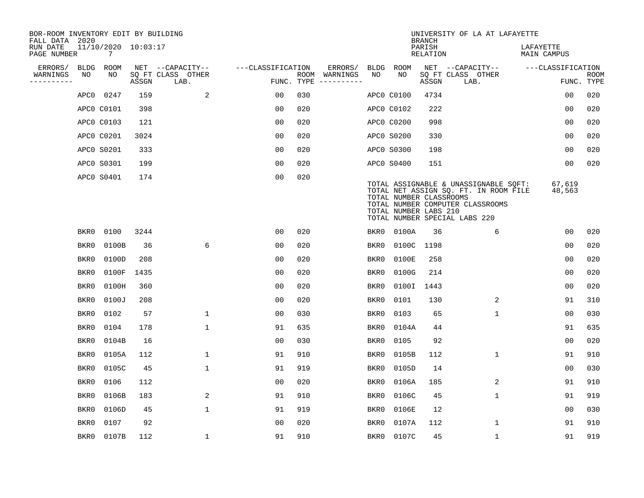| BOR-ROOM INVENTORY EDIT BY BUILDING<br>FALL DATA 2020 |      |                          |       |                           |                   |     |                                        |             |                                                  | <b>BRANCH</b>             | UNIVERSITY OF LA AT LAFAYETTE                                                                                                                       |                          |                           |
|-------------------------------------------------------|------|--------------------------|-------|---------------------------|-------------------|-----|----------------------------------------|-------------|--------------------------------------------------|---------------------------|-----------------------------------------------------------------------------------------------------------------------------------------------------|--------------------------|---------------------------|
| RUN DATE<br>PAGE NUMBER                               |      | 11/10/2020 10:03:17<br>7 |       |                           |                   |     |                                        |             |                                                  | PARISH<br><b>RELATION</b> |                                                                                                                                                     | LAFAYETTE<br>MAIN CAMPUS |                           |
| ERRORS/                                               | BLDG | <b>ROOM</b>              |       | NET --CAPACITY--          | ---CLASSIFICATION |     | ERRORS/                                | <b>BLDG</b> | <b>ROOM</b>                                      |                           | NET --CAPACITY--                                                                                                                                    | ---CLASSIFICATION        |                           |
| WARNINGS<br>----------                                | NO   | NO                       | ASSGN | SQ FT CLASS OTHER<br>LAB. | FUNC. TYPE        |     | ROOM WARNINGS<br>$- - - - - - - - - -$ | NO          | NO                                               | ASSGN                     | SQ FT CLASS OTHER<br>LAB.                                                                                                                           |                          | <b>ROOM</b><br>FUNC. TYPE |
|                                                       | APC0 | 0247                     | 159   | 2                         | 00                | 030 |                                        |             | APC0 C0100                                       | 4734                      |                                                                                                                                                     | 0 <sub>0</sub>           | 020                       |
|                                                       |      | APC0 C0101               | 398   |                           | 0 <sub>0</sub>    | 020 |                                        |             | APC0 C0102                                       | 222                       |                                                                                                                                                     | 0 <sub>0</sub>           | 020                       |
|                                                       |      | APC0 C0103               | 121   |                           | 0 <sub>0</sub>    | 020 |                                        |             | APC0 C0200                                       | 998                       |                                                                                                                                                     | 0 <sub>0</sub>           | 020                       |
|                                                       |      | APC0 C0201               | 3024  |                           | 0 <sub>0</sub>    | 020 |                                        |             | APC0 S0200                                       | 330                       |                                                                                                                                                     | 0 <sub>0</sub>           | 020                       |
|                                                       |      | APC0 S0201               | 333   |                           | 0 <sub>0</sub>    | 020 |                                        |             | APC0 S0300                                       | 198                       |                                                                                                                                                     | 0 <sub>0</sub>           | 020                       |
|                                                       |      | APC0 S0301               | 199   |                           | 0 <sub>0</sub>    | 020 |                                        |             | APC0 S0400                                       | 151                       |                                                                                                                                                     | 0 <sub>0</sub>           | 020                       |
|                                                       |      | APC0 S0401               | 174   |                           | 0 <sub>0</sub>    | 020 |                                        |             | TOTAL NUMBER CLASSROOMS<br>TOTAL NUMBER LABS 210 |                           | TOTAL ASSIGNABLE & UNASSIGNABLE SOFT:<br>TOTAL NET ASSIGN SQ. FT. IN ROOM FILE<br>TOTAL NUMBER COMPUTER CLASSROOMS<br>TOTAL NUMBER SPECIAL LABS 220 | 67,619<br>48,563         |                           |
|                                                       | BKR0 | 0100                     | 3244  |                           | 0 <sub>0</sub>    | 020 |                                        | BKR0        | 0100A                                            | 36                        | 6                                                                                                                                                   | 0 <sub>0</sub>           | 020                       |
|                                                       | BKR0 | 0100B                    | 36    | 6                         | 0 <sub>0</sub>    | 020 |                                        | BKR0        | 0100C                                            | 1198                      |                                                                                                                                                     | 0 <sub>0</sub>           | 020                       |
|                                                       | BKR0 | 0100D                    | 208   |                           | 0 <sub>0</sub>    | 020 |                                        | BKR0        | 0100E                                            | 258                       |                                                                                                                                                     | 0 <sub>0</sub>           | 020                       |
|                                                       | BKR0 | 0100F                    | 1435  |                           | 00                | 020 |                                        | BKR0        | 0100G                                            | 214                       |                                                                                                                                                     | 0 <sub>0</sub>           | 020                       |
|                                                       | BKR0 | 0100H                    | 360   |                           | 0 <sub>0</sub>    | 020 |                                        | BKR0        | 0100I                                            | 1443                      |                                                                                                                                                     | 0 <sub>0</sub>           | 020                       |
|                                                       | BKR0 | 0100J                    | 208   |                           | 0 <sub>0</sub>    | 020 |                                        | BKR0        | 0101                                             | 130                       | 2                                                                                                                                                   | 91                       | 310                       |
|                                                       | BKR0 | 0102                     | 57    | $\mathbf 1$               | 0 <sub>0</sub>    | 030 |                                        | BKR0        | 0103                                             | 65                        | 1                                                                                                                                                   | 00                       | 030                       |
|                                                       | BKR0 | 0104                     | 178   | $\mathbf{1}$              | 91                | 635 |                                        | BKR0        | 0104A                                            | 44                        |                                                                                                                                                     | 91                       | 635                       |
|                                                       | BKR0 | 0104B                    | 16    |                           | 0 <sub>0</sub>    | 030 |                                        | BKR0        | 0105                                             | 92                        |                                                                                                                                                     | 0 <sub>0</sub>           | 020                       |
|                                                       | BKR0 | 0105A                    | 112   | $\mathbf 1$               | 91                | 910 |                                        | BKR0        | 0105B                                            | 112                       | $\mathbf 1$                                                                                                                                         | 91                       | 910                       |
|                                                       | BKR0 | 0105C                    | 45    | $\mathbf 1$               | 91                | 919 |                                        | BKR0        | 0105D                                            | 14                        |                                                                                                                                                     | 0 <sub>0</sub>           | 030                       |
|                                                       | BKR0 | 0106                     | 112   |                           | 0 <sub>0</sub>    | 020 |                                        | BKR0        | 0106A                                            | 185                       | 2                                                                                                                                                   | 91                       | 910                       |
|                                                       | BKR0 | 0106B                    | 183   | 2                         | 91                | 910 |                                        | BKR0        | 0106C                                            | 45                        | 1                                                                                                                                                   | 91                       | 919                       |
|                                                       | BKR0 | 0106D                    | 45    | $\mathbf{1}$              | 91                | 919 |                                        | BKR0        | 0106E                                            | 12                        |                                                                                                                                                     | 0 <sub>0</sub>           | 030                       |
|                                                       | BKR0 | 0107                     | 92    |                           | 0 <sub>0</sub>    | 020 |                                        | BKR0        | 0107A                                            | 112                       | $\mathbf{1}$                                                                                                                                        | 91                       | 910                       |
|                                                       | BKR0 | 0107B                    | 112   | $\mathbf{1}$              | 91                | 910 |                                        | BKR0        | 0107C                                            | 45                        | 1                                                                                                                                                   | 91                       | 919                       |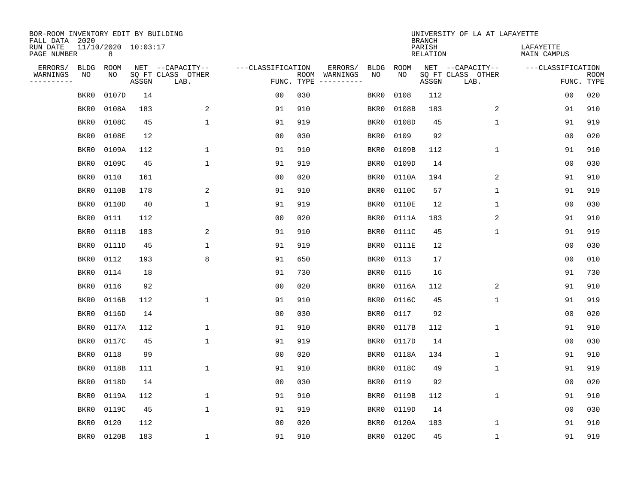| BOR-ROOM INVENTORY EDIT BY BUILDING<br>FALL DATA 2020 |             |                          |       |                           |                   |                    |                        |             |             | <b>BRANCH</b>             | UNIVERSITY OF LA AT LAFAYETTE |                          |                           |
|-------------------------------------------------------|-------------|--------------------------|-------|---------------------------|-------------------|--------------------|------------------------|-------------|-------------|---------------------------|-------------------------------|--------------------------|---------------------------|
| RUN DATE<br>PAGE NUMBER                               |             | 11/10/2020 10:03:17<br>8 |       |                           |                   |                    |                        |             |             | PARISH<br><b>RELATION</b> |                               | LAFAYETTE<br>MAIN CAMPUS |                           |
| ERRORS/                                               | <b>BLDG</b> | ROOM                     |       | NET --CAPACITY--          | ---CLASSIFICATION |                    | ERRORS/                | <b>BLDG</b> | <b>ROOM</b> |                           | NET --CAPACITY--              | ---CLASSIFICATION        |                           |
| WARNINGS<br>----------                                | NO          | NO                       | ASSGN | SQ FT CLASS OTHER<br>LAB. |                   | ROOM<br>FUNC. TYPE | WARNINGS<br>---------- | NO          | NO          | ASSGN                     | SQ FT CLASS OTHER<br>LAB.     |                          | <b>ROOM</b><br>FUNC. TYPE |
|                                                       | BKR0        | 0107D                    | 14    |                           | 00                | 030                |                        | BKR0        | 0108        | 112                       |                               | 00                       | 020                       |
|                                                       | BKR0        | 0108A                    | 183   | 2                         | 91                | 910                |                        | BKR0        | 0108B       | 183                       | 2                             | 91                       | 910                       |
|                                                       | BKR0        | 0108C                    | 45    | $\mathbf 1$               | 91                | 919                |                        | BKR0        | 0108D       | 45                        | 1                             | 91                       | 919                       |
|                                                       | BKR0        | 0108E                    | 12    |                           | 0 <sub>0</sub>    | 030                |                        | BKR0        | 0109        | 92                        |                               | 0 <sub>0</sub>           | 020                       |
|                                                       | BKR0        | 0109A                    | 112   | $\mathbf{1}$              | 91                | 910                |                        | BKR0        | 0109B       | 112                       | $\mathbf 1$                   | 91                       | 910                       |
|                                                       | BKR0        | 0109C                    | 45    | $\mathbf{1}$              | 91                | 919                |                        | BKR0        | 0109D       | 14                        |                               | 0 <sub>0</sub>           | 030                       |
|                                                       | BKR0        | 0110                     | 161   |                           | 0 <sub>0</sub>    | 020                |                        | BKR0        | 0110A       | 194                       | 2                             | 91                       | 910                       |
|                                                       | BKR0        | 0110B                    | 178   | 2                         | 91                | 910                |                        | BKR0        | 0110C       | 57                        | $\mathbf{1}$                  | 91                       | 919                       |
|                                                       | BKR0        | 0110D                    | 40    | $\mathbf{1}$              | 91                | 919                |                        | BKR0        | 0110E       | 12                        | 1                             | 0 <sub>0</sub>           | 030                       |
|                                                       | BKR0        | 0111                     | 112   |                           | 0 <sub>0</sub>    | 020                |                        | BKR0        | 0111A       | 183                       | 2                             | 91                       | 910                       |
|                                                       | BKR0        | 0111B                    | 183   | 2                         | 91                | 910                |                        | BKR0        | 0111C       | 45                        | 1                             | 91                       | 919                       |
|                                                       | BKR0        | 0111D                    | 45    | 1                         | 91                | 919                |                        | BKR0        | 0111E       | 12                        |                               | 0 <sub>0</sub>           | 030                       |
|                                                       | BKR0        | 0112                     | 193   | 8                         | 91                | 650                |                        | BKR0        | 0113        | 17                        |                               | 0 <sub>0</sub>           | 010                       |
|                                                       | BKR0        | 0114                     | 18    |                           | 91                | 730                |                        | BKR0        | 0115        | 16                        |                               | 91                       | 730                       |
|                                                       | BKR0        | 0116                     | 92    |                           | 0 <sub>0</sub>    | 020                |                        | BKR0        | 0116A       | 112                       | 2                             | 91                       | 910                       |
|                                                       | BKR0        | 0116B                    | 112   | $\mathbf{1}$              | 91                | 910                |                        | BKR0        | 0116C       | 45                        | 1                             | 91                       | 919                       |
|                                                       | BKR0        | 0116D                    | 14    |                           | 0 <sub>0</sub>    | 030                |                        | BKR0        | 0117        | 92                        |                               | 0 <sub>0</sub>           | 020                       |
|                                                       | BKR0        | 0117A                    | 112   | 1                         | 91                | 910                |                        | BKR0        | 0117B       | 112                       | 1                             | 91                       | 910                       |
|                                                       | BKR0        | 0117C                    | 45    | 1                         | 91                | 919                |                        | BKR0        | 0117D       | 14                        |                               | 0 <sub>0</sub>           | 030                       |
|                                                       | BKR0        | 0118                     | 99    |                           | 0 <sub>0</sub>    | 020                |                        | BKR0        | 0118A       | 134                       | 1                             | 91                       | 910                       |
|                                                       | BKR0        | 0118B                    | 111   | $\mathbf{1}$              | 91                | 910                |                        | BKR0        | 0118C       | 49                        | 1                             | 91                       | 919                       |
|                                                       | BKR0        | 0118D                    | 14    |                           | 0 <sub>0</sub>    | 030                |                        | BKR0        | 0119        | 92                        |                               | 00                       | 020                       |
|                                                       | BKR0        | 0119A                    | 112   | 1                         | 91                | 910                |                        | BKR0        | 0119B       | 112                       | 1                             | 91                       | 910                       |
|                                                       | BKR0        | 0119C                    | 45    | $\mathbf{1}$              | 91                | 919                |                        | BKR0        | 0119D       | 14                        |                               | 0 <sub>0</sub>           | 030                       |
|                                                       | BKR0        | 0120                     | 112   |                           | 0 <sub>0</sub>    | 020                |                        | BKR0        | 0120A       | 183                       | 1                             | 91                       | 910                       |
|                                                       | BKR0        | 0120B                    | 183   | 1                         | 91                | 910                |                        | BKR0        | 0120C       | 45                        | 1                             | 91                       | 919                       |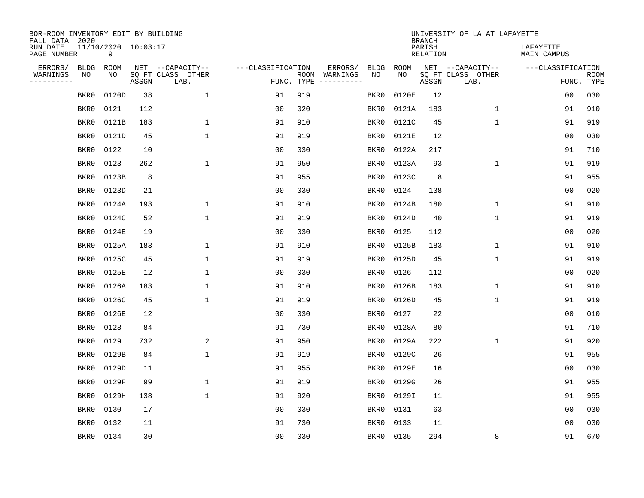| BOR-ROOM INVENTORY EDIT BY BUILDING<br>FALL DATA 2020 |             |                          |       |                           |                   |                    |          |             |             | <b>BRANCH</b>             | UNIVERSITY OF LA AT LAFAYETTE |                          |                           |
|-------------------------------------------------------|-------------|--------------------------|-------|---------------------------|-------------------|--------------------|----------|-------------|-------------|---------------------------|-------------------------------|--------------------------|---------------------------|
| RUN DATE<br>PAGE NUMBER                               |             | 11/10/2020 10:03:17<br>9 |       |                           |                   |                    |          |             |             | PARISH<br><b>RELATION</b> |                               | LAFAYETTE<br>MAIN CAMPUS |                           |
| ERRORS/                                               | <b>BLDG</b> | ROOM                     |       | NET --CAPACITY--          | ---CLASSIFICATION |                    | ERRORS/  | <b>BLDG</b> | <b>ROOM</b> |                           | NET --CAPACITY--              | ---CLASSIFICATION        |                           |
| WARNINGS<br>----------                                | NO          | NO                       | ASSGN | SQ FT CLASS OTHER<br>LAB. |                   | ROOM<br>FUNC. TYPE | WARNINGS | NO          | NO          | ASSGN                     | SQ FT CLASS OTHER<br>LAB.     |                          | <b>ROOM</b><br>FUNC. TYPE |
|                                                       | BKR0        | 0120D                    | 38    | $\mathbf{1}$              | 91                | 919                |          | BKR0        | 0120E       | 12                        |                               | 00                       | 030                       |
|                                                       | BKR0        | 0121                     | 112   |                           | 00                | 020                |          | BKR0        | 0121A       | 183                       | 1                             | 91                       | 910                       |
|                                                       | BKR0        | 0121B                    | 183   | $\mathbf{1}$              | 91                | 910                |          | BKR0        | 0121C       | 45                        | 1                             | 91                       | 919                       |
|                                                       | BKR0        | 0121D                    | 45    | $\mathbf 1$               | 91                | 919                |          | BKR0        | 0121E       | 12                        |                               | 00                       | 030                       |
|                                                       | BKR0        | 0122                     | 10    |                           | 0 <sub>0</sub>    | 030                |          | BKR0        | 0122A       | 217                       |                               | 91                       | 710                       |
|                                                       | BKR0        | 0123                     | 262   | $\mathbf{1}$              | 91                | 950                |          | BKR0        | 0123A       | 93                        | $\mathbf 1$                   | 91                       | 919                       |
|                                                       | BKR0        | 0123B                    | 8     |                           | 91                | 955                |          | BKR0        | 0123C       | 8                         |                               | 91                       | 955                       |
|                                                       | BKR0        | 0123D                    | 21    |                           | 0 <sub>0</sub>    | 030                |          | BKR0        | 0124        | 138                       |                               | 0 <sub>0</sub>           | 020                       |
|                                                       | BKR0        | 0124A                    | 193   | 1                         | 91                | 910                |          | BKR0        | 0124B       | 180                       | $\mathbf 1$                   | 91                       | 910                       |
|                                                       | BKR0        | 0124C                    | 52    | $\mathbf{1}$              | 91                | 919                |          | BKR0        | 0124D       | 40                        | 1                             | 91                       | 919                       |
|                                                       | BKR0        | 0124E                    | 19    |                           | 0 <sub>0</sub>    | 030                |          | BKR0        | 0125        | 112                       |                               | 0 <sub>0</sub>           | 020                       |
|                                                       | BKR0        | 0125A                    | 183   | $\mathbf{1}$              | 91                | 910                |          | BKR0        | 0125B       | 183                       | 1                             | 91                       | 910                       |
|                                                       | BKR0        | 0125C                    | 45    | $\mathbf{1}$              | 91                | 919                |          | BKR0        | 0125D       | 45                        | $\mathbf{1}$                  | 91                       | 919                       |
|                                                       | BKR0        | 0125E                    | 12    | 1                         | 0 <sub>0</sub>    | 030                |          | BKR0        | 0126        | 112                       |                               | 00                       | 020                       |
|                                                       | BKR0        | 0126A                    | 183   | 1                         | 91                | 910                |          | BKR0        | 0126B       | 183                       | 1                             | 91                       | 910                       |
|                                                       | BKR0        | 0126C                    | 45    | 1                         | 91                | 919                |          | BKR0        | 0126D       | 45                        | 1                             | 91                       | 919                       |
|                                                       | BKR0        | 0126E                    | 12    |                           | 0 <sub>0</sub>    | 030                |          | BKR0        | 0127        | 22                        |                               | 0 <sub>0</sub>           | 010                       |
|                                                       | BKR0        | 0128                     | 84    |                           | 91                | 730                |          | BKR0        | 0128A       | 80                        |                               | 91                       | 710                       |
|                                                       | BKR0        | 0129                     | 732   | 2                         | 91                | 950                |          | BKR0        | 0129A       | 222                       | 1                             | 91                       | 920                       |
|                                                       | BKR0        | 0129B                    | 84    | $\mathbf{1}$              | 91                | 919                |          | BKR0        | 0129C       | 26                        |                               | 91                       | 955                       |
|                                                       | BKR0        | 0129D                    | 11    |                           | 91                | 955                |          | BKR0        | 0129E       | 16                        |                               | 0 <sub>0</sub>           | 030                       |
|                                                       | BKR0        | 0129F                    | 99    | $\mathbf{1}$              | 91                | 919                |          | BKR0        | 0129G       | 26                        |                               | 91                       | 955                       |
|                                                       | BKR0        | 0129H                    | 138   | $\mathbf{1}$              | 91                | 920                |          | BKR0        | 0129I       | 11                        |                               | 91                       | 955                       |
|                                                       | BKR0        | 0130                     | 17    |                           | 00                | 030                |          | BKR0        | 0131        | 63                        |                               | 00                       | 030                       |
|                                                       | BKR0        | 0132                     | 11    |                           | 91                | 730                |          | BKR0        | 0133        | 11                        |                               | 00                       | 030                       |
|                                                       | BKR0        | 0134                     | 30    |                           | 0 <sub>0</sub>    | 030                |          | BKR0        | 0135        | 294                       | 8                             | 91                       | 670                       |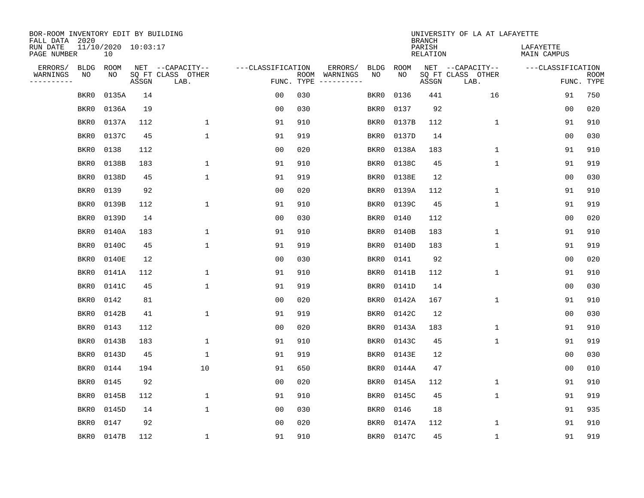| BOR-ROOM INVENTORY EDIT BY BUILDING<br>FALL DATA 2020 |             |                           |       |                           |                   |      |                        |             |       | <b>BRANCH</b>             | UNIVERSITY OF LA AT LAFAYETTE |                          |                           |
|-------------------------------------------------------|-------------|---------------------------|-------|---------------------------|-------------------|------|------------------------|-------------|-------|---------------------------|-------------------------------|--------------------------|---------------------------|
| RUN DATE<br>PAGE NUMBER                               |             | 11/10/2020 10:03:17<br>10 |       |                           |                   |      |                        |             |       | PARISH<br><b>RELATION</b> |                               | LAFAYETTE<br>MAIN CAMPUS |                           |
| ERRORS/                                               | <b>BLDG</b> | ROOM                      |       | NET --CAPACITY--          | ---CLASSIFICATION |      | ERRORS/                | <b>BLDG</b> | ROOM  |                           | NET --CAPACITY--              | ---CLASSIFICATION        |                           |
| WARNINGS<br>----------                                | ΝO          | NO                        | ASSGN | SQ FT CLASS OTHER<br>LAB. | FUNC. TYPE        | ROOM | WARNINGS<br>---------- | NO          | NO    | ASSGN                     | SQ FT CLASS OTHER<br>LAB.     |                          | <b>ROOM</b><br>FUNC. TYPE |
|                                                       | BKR0        | 0135A                     | 14    |                           | 00                | 030  |                        | BKR0        | 0136  | 441                       | 16                            | 91                       | 750                       |
|                                                       | BKR0        | 0136A                     | 19    |                           | 0 <sub>0</sub>    | 030  |                        | BKR0        | 0137  | 92                        |                               | 00                       | 020                       |
|                                                       | BKR0        | 0137A                     | 112   | $\mathbf{1}$              | 91                | 910  |                        | BKR0        | 0137B | 112                       | $\mathbf 1$                   | 91                       | 910                       |
|                                                       | BKR0        | 0137C                     | 45    | $\mathbf 1$               | 91                | 919  |                        | BKR0        | 0137D | 14                        |                               | 0 <sub>0</sub>           | 030                       |
|                                                       | BKR0        | 0138                      | 112   |                           | 0 <sub>0</sub>    | 020  |                        | BKR0        | 0138A | 183                       | $\mathbf 1$                   | 91                       | 910                       |
|                                                       | BKR0        | 0138B                     | 183   | 1                         | 91                | 910  |                        | BKR0        | 0138C | 45                        | $\mathbf 1$                   | 91                       | 919                       |
|                                                       | BKR0        | 0138D                     | 45    | $\mathbf{1}$              | 91                | 919  |                        | BKR0        | 0138E | 12                        |                               | 0 <sub>0</sub>           | 030                       |
|                                                       | BKR0        | 0139                      | 92    |                           | 0 <sub>0</sub>    | 020  |                        | BKR0        | 0139A | 112                       | $\mathbf{1}$                  | 91                       | 910                       |
|                                                       | BKR0        | 0139B                     | 112   | $\mathbf 1$               | 91                | 910  |                        | BKR0        | 0139C | 45                        | $\mathbf{1}$                  | 91                       | 919                       |
|                                                       | BKR0        | 0139D                     | 14    |                           | 0 <sub>0</sub>    | 030  |                        | BKR0        | 0140  | 112                       |                               | 0 <sub>0</sub>           | 020                       |
|                                                       | BKR0        | 0140A                     | 183   | 1                         | 91                | 910  |                        | BKR0        | 0140B | 183                       | $\mathbf 1$                   | 91                       | 910                       |
|                                                       | BKR0        | 0140C                     | 45    | $\mathbf 1$               | 91                | 919  |                        | BKR0        | 0140D | 183                       | 1                             | 91                       | 919                       |
|                                                       | BKR0        | 0140E                     | 12    |                           | 0 <sub>0</sub>    | 030  |                        | BKR0        | 0141  | 92                        |                               | 0 <sub>0</sub>           | 020                       |
|                                                       | BKR0        | 0141A                     | 112   | 1                         | 91                | 910  |                        | BKR0        | 0141B | 112                       | 1                             | 91                       | 910                       |
|                                                       | BKR0        | 0141C                     | 45    | $\mathbf 1$               | 91                | 919  |                        | BKR0        | 0141D | 14                        |                               | 0 <sub>0</sub>           | 030                       |
|                                                       | BKR0        | 0142                      | 81    |                           | 0 <sub>0</sub>    | 020  |                        | BKR0        | 0142A | 167                       | 1                             | 91                       | 910                       |
|                                                       | BKR0        | 0142B                     | 41    | $\mathbf 1$               | 91                | 919  |                        | BKR0        | 0142C | 12                        |                               | 0 <sub>0</sub>           | 030                       |
|                                                       | BKR0        | 0143                      | 112   |                           | 0 <sub>0</sub>    | 020  |                        | BKR0        | 0143A | 183                       | 1                             | 91                       | 910                       |
|                                                       | BKR0        | 0143B                     | 183   | 1                         | 91                | 910  |                        | BKR0        | 0143C | 45                        | 1                             | 91                       | 919                       |
|                                                       | BKR0        | 0143D                     | 45    | 1                         | 91                | 919  |                        | BKR0        | 0143E | 12                        |                               | 0 <sub>0</sub>           | 030                       |
|                                                       | BKR0        | 0144                      | 194   | 10                        | 91                | 650  |                        | BKR0        | 0144A | 47                        |                               | 0 <sub>0</sub>           | 010                       |
|                                                       | BKR0        | 0145                      | 92    |                           | 0 <sub>0</sub>    | 020  |                        | BKR0        | 0145A | 112                       | 1                             | 91                       | 910                       |
|                                                       | BKR0        | 0145B                     | 112   | 1                         | 91                | 910  |                        | BKR0        | 0145C | 45                        | 1                             | 91                       | 919                       |
|                                                       | BKR0        | 0145D                     | 14    | $\mathbf{1}$              | 0 <sub>0</sub>    | 030  |                        | BKR0        | 0146  | 18                        |                               | 91                       | 935                       |
|                                                       | BKR0        | 0147                      | 92    |                           | 0 <sub>0</sub>    | 020  |                        | BKR0        | 0147A | 112                       | 1                             | 91                       | 910                       |
|                                                       | BKR0        | 0147B                     | 112   | $\mathbf{1}$              | 91                | 910  |                        | BKR0        | 0147C | 45                        | 1                             | 91                       | 919                       |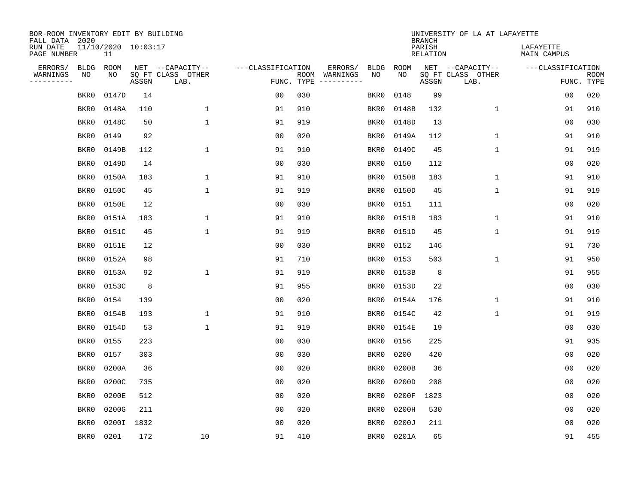| BOR-ROOM INVENTORY EDIT BY BUILDING<br>FALL DATA 2020 |                           |            |                           |                   |            |                              |             |             | <b>BRANCH</b>             | UNIVERSITY OF LA AT LAFAYETTE |                          |                           |
|-------------------------------------------------------|---------------------------|------------|---------------------------|-------------------|------------|------------------------------|-------------|-------------|---------------------------|-------------------------------|--------------------------|---------------------------|
| RUN DATE<br>PAGE NUMBER                               | 11/10/2020 10:03:17<br>11 |            |                           |                   |            |                              |             |             | PARISH<br><b>RELATION</b> |                               | LAFAYETTE<br>MAIN CAMPUS |                           |
| ERRORS/<br><b>BLDG</b>                                | ROOM                      |            | NET --CAPACITY--          | ---CLASSIFICATION |            | ERRORS/                      | <b>BLDG</b> | <b>ROOM</b> |                           | NET --CAPACITY--              | ---CLASSIFICATION        |                           |
| WARNINGS<br>NO<br>----------                          | NO                        | ASSGN      | SQ FT CLASS OTHER<br>LAB. |                   | FUNC. TYPE | ROOM WARNINGS<br>----------- | NO          | NO          | ASSGN                     | SQ FT CLASS OTHER<br>LAB.     |                          | <b>ROOM</b><br>FUNC. TYPE |
| BKR0                                                  | 0147D                     | 14         |                           | 0 <sub>0</sub>    | 030        |                              | BKR0        | 0148        | 99                        |                               | 00                       | 020                       |
| BKR0                                                  | 0148A                     | 110        | $\mathbf 1$               | 91                | 910        |                              | BKR0        | 0148B       | 132                       | $\mathbf 1$                   | 91                       | 910                       |
| BKR0                                                  | 0148C                     | 50         | $\mathbf{1}$              | 91                | 919        |                              | BKR0        | 0148D       | 13                        |                               | 0 <sub>0</sub>           | 030                       |
| BKR0                                                  | 0149                      | 92         |                           | 0 <sub>0</sub>    | 020        |                              | BKR0        | 0149A       | 112                       | 1                             | 91                       | 910                       |
| BKR0                                                  | 0149B                     | 112        | $\mathbf{1}$              | 91                | 910        |                              | BKR0        | 0149C       | 45                        | $\mathbf{1}$                  | 91                       | 919                       |
| BKR0                                                  | 0149D                     | 14         |                           | 0 <sub>0</sub>    | 030        |                              | BKR0        | 0150        | 112                       |                               | 0 <sub>0</sub>           | 020                       |
| BKR0                                                  | 0150A                     | 183        | $\mathbf 1$               | 91                | 910        |                              | BKR0        | 0150B       | 183                       | $\mathbf 1$                   | 91                       | 910                       |
| BKR0                                                  | 0150C                     | 45         | $\mathbf{1}$              | 91                | 919        |                              | BKR0        | 0150D       | 45                        | $\mathbf 1$                   | 91                       | 919                       |
| BKR0                                                  | 0150E                     | 12         |                           | 0 <sub>0</sub>    | 030        |                              | BKR0        | 0151        | 111                       |                               | 00                       | 020                       |
| BKR0                                                  | 0151A                     | 183        | 1                         | 91                | 910        |                              | BKR0        | 0151B       | 183                       | $\mathbf 1$                   | 91                       | 910                       |
| BKR0                                                  | 0151C                     | 45         | $\mathbf{1}$              | 91                | 919        |                              | BKR0        | 0151D       | 45                        | $\mathbf 1$                   | 91                       | 919                       |
| BKR0                                                  | 0151E                     | 12         |                           | 0 <sub>0</sub>    | 030        |                              | BKR0        | 0152        | 146                       |                               | 91                       | 730                       |
| BKR0                                                  | 0152A                     | 98         |                           | 91                | 710        |                              | BKR0        | 0153        | 503                       | $\mathbf 1$                   | 91                       | 950                       |
| BKR0                                                  | 0153A                     | 92         | 1                         | 91                | 919        |                              | BKR0        | 0153B       | 8                         |                               | 91                       | 955                       |
| BKR0                                                  | 0153C                     | 8          |                           | 91                | 955        |                              | BKR0        | 0153D       | 22                        |                               | 0 <sub>0</sub>           | 030                       |
| BKR0                                                  | 0154                      | 139        |                           | 0 <sub>0</sub>    | 020        |                              | BKR0        | 0154A       | 176                       | 1                             | 91                       | 910                       |
| BKR0                                                  | 0154B                     | 193        | 1                         | 91                | 910        |                              | BKR0        | 0154C       | 42                        | 1                             | 91                       | 919                       |
| BKR0                                                  | 0154D                     | 53         | $\mathbf{1}$              | 91                | 919        |                              | BKR0        | 0154E       | 19                        |                               | 0 <sub>0</sub>           | 030                       |
| BKR0                                                  | 0155                      | 223        |                           | 0 <sub>0</sub>    | 030        |                              | BKR0        | 0156        | 225                       |                               | 91                       | 935                       |
| BKR0                                                  | 0157                      | 303        |                           | 0 <sub>0</sub>    | 030        |                              | BKR0        | 0200        | 420                       |                               | 0 <sub>0</sub>           | 020                       |
| BKR0                                                  | 0200A                     | 36         |                           | 0 <sub>0</sub>    | 020        |                              | BKR0        | 0200B       | 36                        |                               | 0 <sub>0</sub>           | 020                       |
| BKR0                                                  | 0200C                     | 735        |                           | 0 <sub>0</sub>    | 020        |                              | BKR0        | 0200D       | 208                       |                               | 00                       | 020                       |
| BKR0                                                  | 0200E                     | 512        |                           | 0 <sub>0</sub>    | 020        |                              | BKR0        | 0200F       | 1823                      |                               | 0 <sub>0</sub>           | 020                       |
| BKR0                                                  | 0200G                     | 211        |                           | 0 <sub>0</sub>    | 020        |                              | BKR0        | 0200H       | 530                       |                               | 0 <sub>0</sub>           | 020                       |
| BKR0                                                  |                           | 0200I 1832 |                           | 0 <sub>0</sub>    | 020        |                              | BKR0        | 0200J       | 211                       |                               | 0 <sub>0</sub>           | 020                       |
| BKR0                                                  | 0201                      | 172        | 10                        | 91                | 410        |                              | BKR0        | 0201A       | 65                        |                               | 91                       | 455                       |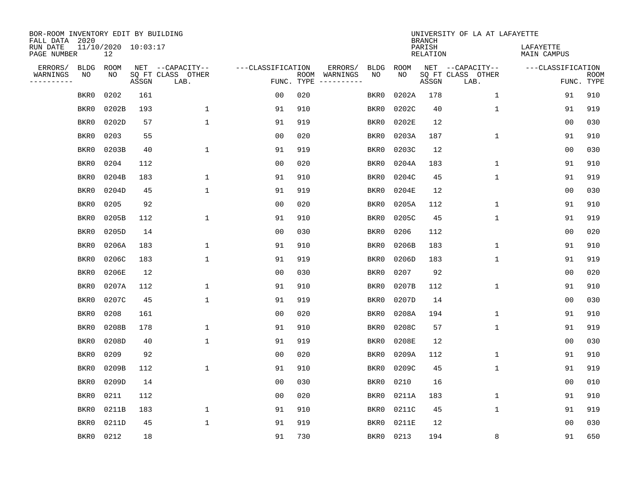| BOR-ROOM INVENTORY EDIT BY BUILDING<br>FALL DATA 2020 |             |                           |       |                           |                   |                    |                         |             |             | <b>BRANCH</b>             | UNIVERSITY OF LA AT LAFAYETTE |                          |                           |
|-------------------------------------------------------|-------------|---------------------------|-------|---------------------------|-------------------|--------------------|-------------------------|-------------|-------------|---------------------------|-------------------------------|--------------------------|---------------------------|
| RUN DATE<br>PAGE NUMBER                               |             | 11/10/2020 10:03:17<br>12 |       |                           |                   |                    |                         |             |             | PARISH<br><b>RELATION</b> |                               | LAFAYETTE<br>MAIN CAMPUS |                           |
| ERRORS/                                               | <b>BLDG</b> | ROOM                      |       | NET --CAPACITY--          | ---CLASSIFICATION |                    | ERRORS/                 | <b>BLDG</b> | <b>ROOM</b> |                           | NET --CAPACITY--              | ---CLASSIFICATION        |                           |
| WARNINGS<br>----------                                | NO          | NO                        | ASSGN | SQ FT CLASS OTHER<br>LAB. |                   | ROOM<br>FUNC. TYPE | WARNINGS<br>----------- | NO          | NO          | ASSGN                     | SQ FT CLASS OTHER<br>LAB.     |                          | <b>ROOM</b><br>FUNC. TYPE |
|                                                       | BKR0        | 0202                      | 161   |                           | 0 <sub>0</sub>    | 020                |                         | BKR0        | 0202A       | 178                       | $\mathbf 1$                   | 91                       | 910                       |
|                                                       | BKR0        | 0202B                     | 193   | 1                         | 91                | 910                |                         | BKR0        | 0202C       | 40                        | 1                             | 91                       | 919                       |
|                                                       | BKR0        | 0202D                     | 57    | $\mathbf 1$               | 91                | 919                |                         | BKR0        | 0202E       | 12                        |                               | 0 <sub>0</sub>           | 030                       |
|                                                       | BKR0        | 0203                      | 55    |                           | 0 <sub>0</sub>    | 020                |                         | BKR0        | 0203A       | 187                       | 1                             | 91                       | 910                       |
|                                                       | BKR0        | 0203B                     | 40    | $\mathbf{1}$              | 91                | 919                |                         | BKR0        | 0203C       | 12                        |                               | 00                       | 030                       |
|                                                       | BKR0        | 0204                      | 112   |                           | 0 <sub>0</sub>    | 020                |                         | BKR0        | 0204A       | 183                       | 1                             | 91                       | 910                       |
|                                                       | BKR0        | 0204B                     | 183   | $\mathbf{1}$              | 91                | 910                |                         | BKR0        | 0204C       | 45                        | $\mathbf{1}$                  | 91                       | 919                       |
|                                                       | BKR0        | 0204D                     | 45    | $\mathbf 1$               | 91                | 919                |                         | BKR0        | 0204E       | 12                        |                               | 0 <sub>0</sub>           | 030                       |
|                                                       | BKR0        | 0205                      | 92    |                           | 0 <sub>0</sub>    | 020                |                         | BKR0        | 0205A       | 112                       | $\mathbf{1}$                  | 91                       | 910                       |
|                                                       | BKR0        | 0205B                     | 112   | 1                         | 91                | 910                |                         | BKR0        | 0205C       | 45                        | 1                             | 91                       | 919                       |
|                                                       | BKR0        | 0205D                     | 14    |                           | 0 <sub>0</sub>    | 030                |                         | BKR0        | 0206        | 112                       |                               | 0 <sub>0</sub>           | 020                       |
|                                                       | BKR0        | 0206A                     | 183   | 1                         | 91                | 910                |                         | BKR0        | 0206B       | 183                       | 1                             | 91                       | 910                       |
|                                                       | BKR0        | 0206C                     | 183   | $\mathbf{1}$              | 91                | 919                |                         | BKR0        | 0206D       | 183                       | $\mathbf 1$                   | 91                       | 919                       |
|                                                       | BKR0        | 0206E                     | 12    |                           | 0 <sub>0</sub>    | 030                |                         | BKR0        | 0207        | 92                        |                               | 0 <sub>0</sub>           | 020                       |
|                                                       | BKR0        | 0207A                     | 112   | 1                         | 91                | 910                |                         | BKR0        | 0207B       | 112                       | $\mathbf 1$                   | 91                       | 910                       |
|                                                       | BKR0        | 0207C                     | 45    | $\mathbf{1}$              | 91                | 919                |                         | BKR0        | 0207D       | 14                        |                               | 00                       | 030                       |
|                                                       | BKR0        | 0208                      | 161   |                           | 0 <sub>0</sub>    | 020                |                         | BKR0        | 0208A       | 194                       | 1                             | 91                       | 910                       |
|                                                       | BKR0        | 0208B                     | 178   | 1                         | 91                | 910                |                         | BKR0        | 0208C       | 57                        | 1                             | 91                       | 919                       |
|                                                       | BKR0        | 0208D                     | 40    | 1                         | 91                | 919                |                         | BKR0        | 0208E       | 12                        |                               | 0 <sub>0</sub>           | 030                       |
|                                                       | BKR0        | 0209                      | 92    |                           | 0 <sub>0</sub>    | 020                |                         | BKR0        | 0209A       | 112                       | 1                             | 91                       | 910                       |
|                                                       | BKR0        | 0209B                     | 112   | $\mathbf{1}$              | 91                | 910                |                         | BKR0        | 0209C       | 45                        | 1                             | 91                       | 919                       |
|                                                       | BKR0        | 0209D                     | 14    |                           | 0 <sub>0</sub>    | 030                |                         | BKR0        | 0210        | 16                        |                               | 0 <sub>0</sub>           | 010                       |
|                                                       | BKR0        | 0211                      | 112   |                           | 0 <sub>0</sub>    | 020                |                         | BKR0        | 0211A       | 183                       | 1                             | 91                       | 910                       |
|                                                       | BKR0        | 0211B                     | 183   | 1                         | 91                | 910                |                         | BKR0        | 0211C       | 45                        | 1                             | 91                       | 919                       |
|                                                       | BKR0        | 0211D                     | 45    | $\mathbf{1}$              | 91                | 919                |                         | BKR0        | 0211E       | 12                        |                               | 0 <sub>0</sub>           | 030                       |
|                                                       | BKR0        | 0212                      | 18    |                           | 91                | 730                |                         | BKR0        | 0213        | 194                       | 8                             | 91                       | 650                       |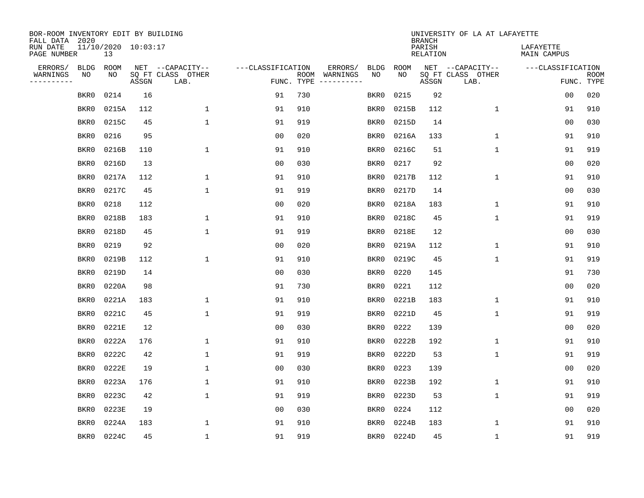| BOR-ROOM INVENTORY EDIT BY BUILDING<br>FALL DATA 2020 |                           |       |                           |                   |                    |                               |             | <b>BRANCH</b>             | UNIVERSITY OF LA AT LAFAYETTE |                          |                           |
|-------------------------------------------------------|---------------------------|-------|---------------------------|-------------------|--------------------|-------------------------------|-------------|---------------------------|-------------------------------|--------------------------|---------------------------|
| RUN DATE<br>PAGE NUMBER                               | 11/10/2020 10:03:17<br>13 |       |                           |                   |                    |                               |             | PARISH<br><b>RELATION</b> |                               | LAFAYETTE<br>MAIN CAMPUS |                           |
| ERRORS/<br><b>BLDG</b>                                | ROOM                      |       | NET --CAPACITY--          | ---CLASSIFICATION |                    | ERRORS/<br><b>BLDG</b>        | <b>ROOM</b> |                           | NET --CAPACITY--              | ---CLASSIFICATION        |                           |
| WARNINGS<br>NO<br>----------                          | NO                        | ASSGN | SQ FT CLASS OTHER<br>LAB. |                   | ROOM<br>FUNC. TYPE | NO<br>WARNINGS<br>----------- | NO          | ASSGN                     | SQ FT CLASS OTHER<br>LAB.     |                          | <b>ROOM</b><br>FUNC. TYPE |
| BKR0                                                  | 0214                      | 16    |                           | 91                | 730                | BKR0                          | 0215        | 92                        |                               | 00                       | 020                       |
| BKR0                                                  | 0215A                     | 112   | $\mathbf 1$               | 91                | 910                | BKR0                          | 0215B       | 112                       | $\mathbf 1$                   | 91                       | 910                       |
| BKR0                                                  | 0215C                     | 45    | $\mathbf{1}$              | 91                | 919                | BKR0                          | 0215D       | 14                        |                               | 0 <sub>0</sub>           | 030                       |
| BKR0                                                  | 0216                      | 95    |                           | 0 <sub>0</sub>    | 020                | BKR0                          | 0216A       | 133                       | 1                             | 91                       | 910                       |
| BKR0                                                  | 0216B                     | 110   | $\mathbf{1}$              | 91                | 910                | BKR0                          | 0216C       | 51                        | $\mathbf{1}$                  | 91                       | 919                       |
| BKR0                                                  | 0216D                     | 13    |                           | 0 <sub>0</sub>    | 030                | BKR0                          | 0217        | 92                        |                               | 0 <sub>0</sub>           | 020                       |
| BKR0                                                  | 0217A                     | 112   | $\mathbf 1$               | 91                | 910                | BKR0                          | 0217B       | 112                       | $\mathbf 1$                   | 91                       | 910                       |
| BKR0                                                  | 0217C                     | 45    | $\mathbf{1}$              | 91                | 919                | BKR0                          | 0217D       | 14                        |                               | 0 <sub>0</sub>           | 030                       |
| BKR0                                                  | 0218                      | 112   |                           | 0 <sub>0</sub>    | 020                | BKR0                          | 0218A       | 183                       | $\mathbf 1$                   | 91                       | 910                       |
| BKR0                                                  | 0218B                     | 183   | 1                         | 91                | 910                | BKR0                          | 0218C       | 45                        | $\mathbf 1$                   | 91                       | 919                       |
| BKR0                                                  | 0218D                     | 45    | $\mathbf{1}$              | 91                | 919                | BKR0                          | 0218E       | 12                        |                               | 0 <sub>0</sub>           | 030                       |
| BKR0                                                  | 0219                      | 92    |                           | 0 <sub>0</sub>    | 020                | BKR0                          | 0219A       | 112                       | 1                             | 91                       | 910                       |
| BKR0                                                  | 0219B                     | 112   | 1                         | 91                | 910                | BKR0                          | 0219C       | 45                        | 1                             | 91                       | 919                       |
| BKR0                                                  | 0219D                     | 14    |                           | 00                | 030                | BKR0                          | 0220        | 145                       |                               | 91                       | 730                       |
| BKR0                                                  | 0220A                     | 98    |                           | 91                | 730                | BKR0                          | 0221        | 112                       |                               | 0 <sub>0</sub>           | 020                       |
| BKR0                                                  | 0221A                     | 183   | 1                         | 91                | 910                | BKR0                          | 0221B       | 183                       | 1                             | 91                       | 910                       |
| BKR0                                                  | 0221C                     | 45    | $\mathbf{1}$              | 91                | 919                | BKR0                          | 0221D       | 45                        | 1                             | 91                       | 919                       |
| BKR0                                                  | 0221E                     | 12    |                           | 0 <sub>0</sub>    | 030                | BKR0                          | 0222        | 139                       |                               | 0 <sub>0</sub>           | 020                       |
| BKR0                                                  | 0222A                     | 176   | 1                         | 91                | 910                | BKR0                          | 0222B       | 192                       | 1                             | 91                       | 910                       |
| BKR0                                                  | 0222C                     | 42    | 1                         | 91                | 919                | BKR0                          | 0222D       | 53                        | 1                             | 91                       | 919                       |
| BKR0                                                  | 0222E                     | 19    | 1                         | 0 <sub>0</sub>    | 030                | BKR0                          | 0223        | 139                       |                               | 00                       | 020                       |
| BKR0                                                  | 0223A                     | 176   | $\mathbf{1}$              | 91                | 910                | BKR0                          | 0223B       | 192                       | $\mathbf 1$                   | 91                       | 910                       |
| BKR0                                                  | 0223C                     | 42    | $\mathbf{1}$              | 91                | 919                | BKR0                          | 0223D       | 53                        | 1                             | 91                       | 919                       |
| BKR0                                                  | 0223E                     | 19    |                           | 0 <sub>0</sub>    | 030                | BKR0                          | 0224        | 112                       |                               | 0 <sub>0</sub>           | 020                       |
| BKR0                                                  | 0224A                     | 183   | 1                         | 91                | 910                | BKR0                          | 0224B       | 183                       | 1                             | 91                       | 910                       |
| BKR0                                                  | 0224C                     | 45    | $\mathbf{1}$              | 91                | 919                | BKR0                          | 0224D       | 45                        | 1                             | 91                       | 919                       |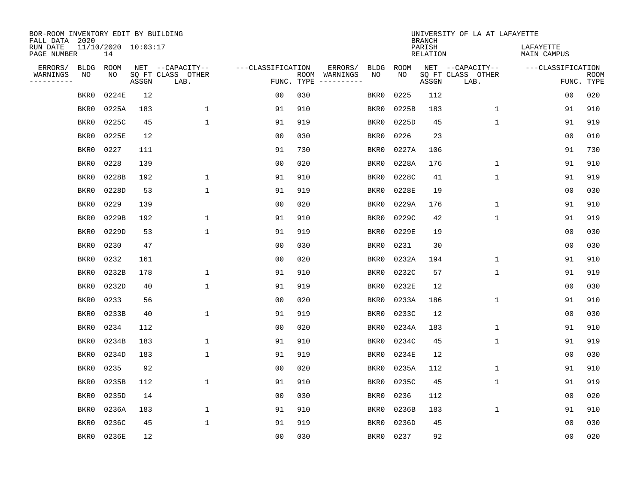| BOR-ROOM INVENTORY EDIT BY BUILDING<br>FALL DATA 2020 |                           |       |                           |                   |                    |                               |             | <b>BRANCH</b>             | UNIVERSITY OF LA AT LAFAYETTE |                          |                           |
|-------------------------------------------------------|---------------------------|-------|---------------------------|-------------------|--------------------|-------------------------------|-------------|---------------------------|-------------------------------|--------------------------|---------------------------|
| RUN DATE<br>PAGE NUMBER                               | 11/10/2020 10:03:17<br>14 |       |                           |                   |                    |                               |             | PARISH<br><b>RELATION</b> |                               | LAFAYETTE<br>MAIN CAMPUS |                           |
| ERRORS/<br><b>BLDG</b>                                | ROOM                      |       | NET --CAPACITY--          | ---CLASSIFICATION |                    | ERRORS/<br><b>BLDG</b>        | <b>ROOM</b> |                           | NET --CAPACITY--              | ---CLASSIFICATION        |                           |
| WARNINGS<br>NO<br>----------                          | NO                        | ASSGN | SQ FT CLASS OTHER<br>LAB. |                   | ROOM<br>FUNC. TYPE | NO<br>WARNINGS<br>----------- | NO          | ASSGN                     | SQ FT CLASS OTHER<br>LAB.     |                          | <b>ROOM</b><br>FUNC. TYPE |
| BKR0                                                  | 0224E                     | 12    |                           | 0 <sub>0</sub>    | 030                | BKR0                          | 0225        | 112                       |                               | 00                       | 020                       |
| BKR0                                                  | 0225A                     | 183   | $\mathbf 1$               | 91                | 910                | BKR0                          | 0225B       | 183                       | 1                             | 91                       | 910                       |
| BKR0                                                  | 0225C                     | 45    | $\mathbf 1$               | 91                | 919                | BKR0                          | 0225D       | 45                        | $\mathbf 1$                   | 91                       | 919                       |
| BKR0                                                  | 0225E                     | 12    |                           | 0 <sub>0</sub>    | 030                | BKR0                          | 0226        | 23                        |                               | 0 <sub>0</sub>           | 010                       |
| BKR0                                                  | 0227                      | 111   |                           | 91                | 730                | BKR0                          | 0227A       | 106                       |                               | 91                       | 730                       |
| BKR0                                                  | 0228                      | 139   |                           | 0 <sub>0</sub>    | 020                | BKR0                          | 0228A       | 176                       | $\mathbf 1$                   | 91                       | 910                       |
| BKR0                                                  | 0228B                     | 192   | $\mathbf 1$               | 91                | 910                | BKR0                          | 0228C       | 41                        | $\mathbf{1}$                  | 91                       | 919                       |
| BKR0                                                  | 0228D                     | 53    | $\mathbf 1$               | 91                | 919                | BKR0                          | 0228E       | 19                        |                               | 0 <sub>0</sub>           | 030                       |
| BKR0                                                  | 0229                      | 139   |                           | 0 <sub>0</sub>    | 020                | BKR0                          | 0229A       | 176                       | $\mathbf 1$                   | 91                       | 910                       |
| BKR0                                                  | 0229B                     | 192   | 1                         | 91                | 910                | BKR0                          | 0229C       | 42                        | $\mathbf 1$                   | 91                       | 919                       |
| BKR0                                                  | 0229D                     | 53    | $\mathbf{1}$              | 91                | 919                | BKR0                          | 0229E       | 19                        |                               | 0 <sub>0</sub>           | 030                       |
| BKR0                                                  | 0230                      | 47    |                           | 0 <sub>0</sub>    | 030                | BKR0                          | 0231        | 30                        |                               | 0 <sub>0</sub>           | 030                       |
| BKR0                                                  | 0232                      | 161   |                           | 0 <sub>0</sub>    | 020                | BKR0                          | 0232A       | 194                       | $\mathbf 1$                   | 91                       | 910                       |
| BKR0                                                  | 0232B                     | 178   | 1                         | 91                | 910                | BKR0                          | 0232C       | 57                        | 1                             | 91                       | 919                       |
| BKR0                                                  | 0232D                     | 40    | 1                         | 91                | 919                | BKR0                          | 0232E       | 12                        |                               | 0 <sub>0</sub>           | 030                       |
| BKR0                                                  | 0233                      | 56    |                           | 0 <sub>0</sub>    | 020                | BKR0                          | 0233A       | 186                       | 1                             | 91                       | 910                       |
| BKR0                                                  | 0233B                     | 40    | $\mathbf{1}$              | 91                | 919                | BKR0                          | 0233C       | 12                        |                               | 0 <sub>0</sub>           | 030                       |
| BKR0                                                  | 0234                      | 112   |                           | 0 <sub>0</sub>    | 020                | BKR0                          | 0234A       | 183                       | 1                             | 91                       | 910                       |
| BKR0                                                  | 0234B                     | 183   | $\mathbf{1}$              | 91                | 910                | BKR0                          | 0234C       | 45                        | 1                             | 91                       | 919                       |
| BKR0                                                  | 0234D                     | 183   | $\mathbf 1$               | 91                | 919                | BKR0                          | 0234E       | 12                        |                               | 0 <sub>0</sub>           | 030                       |
| BKR0                                                  | 0235                      | 92    |                           | 0 <sub>0</sub>    | 020                | BKR0                          | 0235A       | 112                       | 1                             | 91                       | 910                       |
| BKR0                                                  | 0235B                     | 112   | 1                         | 91                | 910                | BKR0                          | 0235C       | 45                        | 1                             | 91                       | 919                       |
| BKR0                                                  | 0235D                     | 14    |                           | 0 <sub>0</sub>    | 030                | BKR0                          | 0236        | 112                       |                               | 0 <sub>0</sub>           | 020                       |
| BKR0                                                  | 0236A                     | 183   | $\mathbf 1$               | 91                | 910                | BKR0                          | 0236B       | 183                       | $\mathbf 1$                   | 91                       | 910                       |
| BKR0                                                  | 0236C                     | 45    | $\mathbf{1}$              | 91                | 919                | BKR0                          | 0236D       | 45                        |                               | 0 <sub>0</sub>           | 030                       |
| BKR0                                                  | 0236E                     | 12    |                           | 0 <sub>0</sub>    | 030                | BKR0                          | 0237        | 92                        |                               | 00                       | 020                       |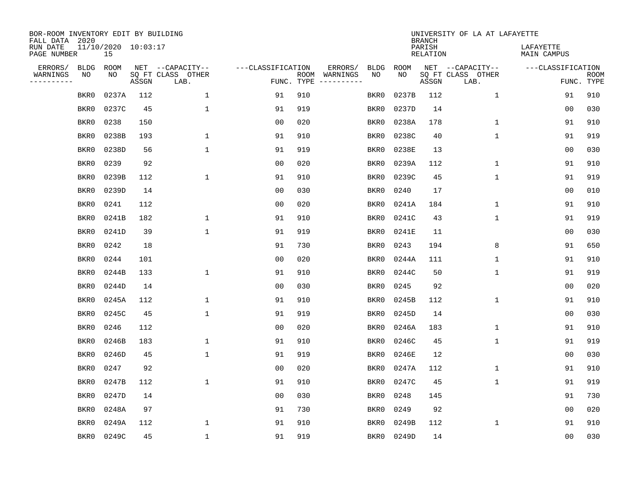| BOR-ROOM INVENTORY EDIT BY BUILDING<br>FALL DATA 2020 |                           |       |       |                           |                   |                    |                         |             |             | <b>BRANCH</b>             | UNIVERSITY OF LA AT LAFAYETTE |                          |                           |
|-------------------------------------------------------|---------------------------|-------|-------|---------------------------|-------------------|--------------------|-------------------------|-------------|-------------|---------------------------|-------------------------------|--------------------------|---------------------------|
| RUN DATE<br>PAGE NUMBER                               | 11/10/2020 10:03:17<br>15 |       |       |                           |                   |                    |                         |             |             | PARISH<br><b>RELATION</b> |                               | LAFAYETTE<br>MAIN CAMPUS |                           |
| ERRORS/                                               | <b>BLDG</b>               | ROOM  |       | NET --CAPACITY--          | ---CLASSIFICATION |                    | ERRORS/                 | <b>BLDG</b> | <b>ROOM</b> |                           | NET --CAPACITY--              | ---CLASSIFICATION        |                           |
| WARNINGS<br>----------                                | NO                        | NO    | ASSGN | SQ FT CLASS OTHER<br>LAB. |                   | ROOM<br>FUNC. TYPE | WARNINGS<br>----------- | NO          | NO          | ASSGN                     | SQ FT CLASS OTHER<br>LAB.     |                          | <b>ROOM</b><br>FUNC. TYPE |
|                                                       | BKR0                      | 0237A | 112   | 1                         | 91                | 910                |                         | BKR0        | 0237B       | 112                       | $\mathbf 1$                   | 91                       | 910                       |
|                                                       | BKR0                      | 0237C | 45    | $\mathbf{1}$              | 91                | 919                |                         | BKR0        | 0237D       | 14                        |                               | 00                       | 030                       |
|                                                       | BKR0                      | 0238  | 150   |                           | 0 <sub>0</sub>    | 020                |                         | BKR0        | 0238A       | 178                       | 1                             | 91                       | 910                       |
|                                                       | BKR0                      | 0238B | 193   | 1                         | 91                | 910                |                         | BKR0        | 0238C       | 40                        | $\mathbf 1$                   | 91                       | 919                       |
|                                                       | BKR0                      | 0238D | 56    | $\mathbf 1$               | 91                | 919                |                         | BKR0        | 0238E       | 13                        |                               | 00                       | 030                       |
|                                                       | BKR0                      | 0239  | 92    |                           | 0 <sub>0</sub>    | 020                |                         | BKR0        | 0239A       | 112                       | 1                             | 91                       | 910                       |
|                                                       | BKR0                      | 0239B | 112   | $\mathbf{1}$              | 91                | 910                |                         | BKR0        | 0239C       | 45                        | $\mathbf{1}$                  | 91                       | 919                       |
|                                                       | BKR0                      | 0239D | 14    |                           | 0 <sub>0</sub>    | 030                |                         | BKR0        | 0240        | 17                        |                               | 0 <sub>0</sub>           | 010                       |
|                                                       | BKR0                      | 0241  | 112   |                           | 0 <sub>0</sub>    | 020                |                         | BKR0        | 0241A       | 184                       | $\mathbf{1}$                  | 91                       | 910                       |
|                                                       | BKR0                      | 0241B | 182   | 1                         | 91                | 910                |                         | BKR0        | 0241C       | 43                        | $\mathbf 1$                   | 91                       | 919                       |
|                                                       | BKR0                      | 0241D | 39    | $\mathbf{1}$              | 91                | 919                |                         | BKR0        | 0241E       | 11                        |                               | 0 <sub>0</sub>           | 030                       |
|                                                       | BKR0                      | 0242  | 18    |                           | 91                | 730                |                         | BKR0        | 0243        | 194                       | 8                             | 91                       | 650                       |
|                                                       | BKR0                      | 0244  | 101   |                           | 0 <sub>0</sub>    | 020                |                         | BKR0        | 0244A       | 111                       | $\mathbf 1$                   | 91                       | 910                       |
|                                                       | BKR0                      | 0244B | 133   | 1                         | 91                | 910                |                         | BKR0        | 0244C       | 50                        | 1                             | 91                       | 919                       |
|                                                       | BKR0                      | 0244D | 14    |                           | 0 <sub>0</sub>    | 030                |                         | BKR0        | 0245        | 92                        |                               | 0 <sub>0</sub>           | 020                       |
|                                                       | BKR0                      | 0245A | 112   | 1                         | 91                | 910                |                         | BKR0        | 0245B       | 112                       | 1                             | 91                       | 910                       |
|                                                       | BKR0                      | 0245C | 45    | $\mathbf{1}$              | 91                | 919                |                         | BKR0        | 0245D       | 14                        |                               | 00                       | 030                       |
|                                                       | BKR0                      | 0246  | 112   |                           | 00                | 020                |                         | BKR0        | 0246A       | 183                       | 1                             | 91                       | 910                       |
|                                                       | BKR0                      | 0246B | 183   | 1                         | 91                | 910                |                         | BKR0        | 0246C       | 45                        | 1                             | 91                       | 919                       |
|                                                       | BKR0                      | 0246D | 45    | $\mathbf{1}$              | 91                | 919                |                         | BKR0        | 0246E       | 12                        |                               | 0 <sub>0</sub>           | 030                       |
|                                                       | BKR0                      | 0247  | 92    |                           | 0 <sub>0</sub>    | 020                |                         | BKR0        | 0247A       | 112                       | 1                             | 91                       | 910                       |
|                                                       | BKR0                      | 0247B | 112   | $\mathbf{1}$              | 91                | 910                |                         | BKR0        | 0247C       | 45                        | $\mathbf{1}$                  | 91                       | 919                       |
|                                                       | BKR0                      | 0247D | 14    |                           | 0 <sub>0</sub>    | 030                |                         | BKR0        | 0248        | 145                       |                               | 91                       | 730                       |
|                                                       | BKR0                      | 0248A | 97    |                           | 91                | 730                |                         | BKR0        | 0249        | 92                        |                               | 00                       | 020                       |
|                                                       | BKR0                      | 0249A | 112   | $\mathbf{1}$              | 91                | 910                |                         | BKR0        | 0249B       | 112                       | 1                             | 91                       | 910                       |
|                                                       | BKR0                      | 0249C | 45    | $\mathbf 1$               | 91                | 919                |                         | BKR0        | 0249D       | 14                        |                               | 00                       | 030                       |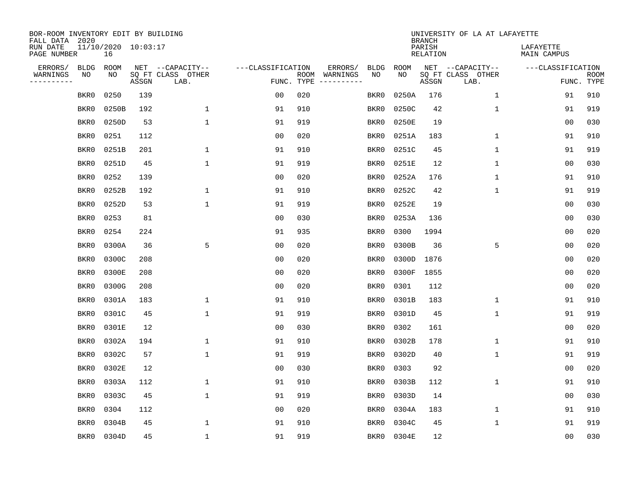| BOR-ROOM INVENTORY EDIT BY BUILDING<br>FALL DATA 2020 |                           |       |       |                           |                   |                    |                         |             |             | <b>BRANCH</b>             | UNIVERSITY OF LA AT LAFAYETTE |                          |                           |
|-------------------------------------------------------|---------------------------|-------|-------|---------------------------|-------------------|--------------------|-------------------------|-------------|-------------|---------------------------|-------------------------------|--------------------------|---------------------------|
| RUN DATE<br>PAGE NUMBER                               | 11/10/2020 10:03:17<br>16 |       |       |                           |                   |                    |                         |             |             | PARISH<br><b>RELATION</b> |                               | LAFAYETTE<br>MAIN CAMPUS |                           |
| ERRORS/                                               | <b>BLDG</b>               | ROOM  |       | NET --CAPACITY--          | ---CLASSIFICATION |                    | ERRORS/                 | <b>BLDG</b> | <b>ROOM</b> |                           | NET --CAPACITY--              | ---CLASSIFICATION        |                           |
| WARNINGS<br>----------                                | NO                        | NO    | ASSGN | SQ FT CLASS OTHER<br>LAB. |                   | ROOM<br>FUNC. TYPE | WARNINGS<br>----------- | NO          | NO          | ASSGN                     | SQ FT CLASS OTHER<br>LAB.     |                          | <b>ROOM</b><br>FUNC. TYPE |
|                                                       | BKR0                      | 0250  | 139   |                           | 0 <sub>0</sub>    | 020                |                         | BKR0        | 0250A       | 176                       | 1                             | 91                       | 910                       |
|                                                       | BKR0                      | 0250B | 192   | $\mathbf 1$               | 91                | 910                |                         | BKR0        | 0250C       | 42                        | 1                             | 91                       | 919                       |
|                                                       | BKR0                      | 0250D | 53    | $\mathbf 1$               | 91                | 919                |                         | BKR0        | 0250E       | 19                        |                               | 0 <sub>0</sub>           | 030                       |
|                                                       | BKR0                      | 0251  | 112   |                           | 0 <sub>0</sub>    | 020                |                         | BKR0        | 0251A       | 183                       | 1                             | 91                       | 910                       |
|                                                       | BKR0                      | 0251B | 201   | $\mathbf 1$               | 91                | 910                |                         | BKR0        | 0251C       | 45                        | $\mathbf{1}$                  | 91                       | 919                       |
|                                                       | BKR0                      | 0251D | 45    | $\mathbf{1}$              | 91                | 919                |                         | BKR0        | 0251E       | 12                        | $\mathbf{1}$                  | 00                       | 030                       |
|                                                       | BKR0                      | 0252  | 139   |                           | 0 <sub>0</sub>    | 020                |                         | BKR0        | 0252A       | 176                       | $\mathbf{1}$                  | 91                       | 910                       |
|                                                       | BKR0                      | 0252B | 192   | 1                         | 91                | 910                |                         | BKR0        | 0252C       | 42                        | $\mathbf 1$                   | 91                       | 919                       |
|                                                       | BKR0                      | 0252D | 53    | $\mathbf{1}$              | 91                | 919                |                         | BKR0        | 0252E       | 19                        |                               | 00                       | 030                       |
|                                                       | BKR0                      | 0253  | 81    |                           | 0 <sub>0</sub>    | 030                |                         | BKR0        | 0253A       | 136                       |                               | 0 <sub>0</sub>           | 030                       |
|                                                       | BKR0                      | 0254  | 224   |                           | 91                | 935                |                         | BKR0        | 0300        | 1994                      |                               | 0 <sub>0</sub>           | 020                       |
|                                                       | BKR0                      | 0300A | 36    | 5                         | 0 <sub>0</sub>    | 020                |                         | BKR0        | 0300B       | 36                        | 5                             | 0 <sub>0</sub>           | 020                       |
|                                                       | BKR0                      | 0300C | 208   |                           | 0 <sub>0</sub>    | 020                |                         | BKR0        | 0300D       | 1876                      |                               | 0 <sub>0</sub>           | 020                       |
|                                                       | BKR0                      | 0300E | 208   |                           | 0 <sub>0</sub>    | 020                |                         | BKR0        | 0300F       | 1855                      |                               | 0 <sub>0</sub>           | 020                       |
|                                                       | BKR0                      | 0300G | 208   |                           | 0 <sub>0</sub>    | 020                |                         | BKR0        | 0301        | 112                       |                               | 0 <sub>0</sub>           | 020                       |
|                                                       | BKR0                      | 0301A | 183   | 1                         | 91                | 910                |                         | BKR0        | 0301B       | 183                       | 1                             | 91                       | 910                       |
|                                                       | BKR0                      | 0301C | 45    | $\mathbf{1}$              | 91                | 919                |                         | BKR0        | 0301D       | 45                        | 1                             | 91                       | 919                       |
|                                                       | BKR0                      | 0301E | 12    |                           | 0 <sub>0</sub>    | 030                |                         | BKR0        | 0302        | 161                       |                               | 0 <sub>0</sub>           | 020                       |
|                                                       | BKR0                      | 0302A | 194   | $\mathbf{1}$              | 91                | 910                |                         | BKR0        | 0302B       | 178                       | 1                             | 91                       | 910                       |
|                                                       | BKR0                      | 0302C | 57    | $\mathbf 1$               | 91                | 919                |                         | BKR0        | 0302D       | 40                        | 1                             | 91                       | 919                       |
|                                                       | BKR0                      | 0302E | 12    |                           | 0 <sub>0</sub>    | 030                |                         | BKR0        | 0303        | 92                        |                               | 00                       | 020                       |
|                                                       | BKR0                      | 0303A | 112   | $\mathbf 1$               | 91                | 910                |                         | BKR0        | 0303B       | 112                       | 1                             | 91                       | 910                       |
|                                                       | BKR0                      | 0303C | 45    | $\mathbf{1}$              | 91                | 919                |                         | BKR0        | 0303D       | 14                        |                               | 0 <sub>0</sub>           | 030                       |
|                                                       | BKR0                      | 0304  | 112   |                           | 0 <sub>0</sub>    | 020                |                         | BKR0        | 0304A       | 183                       | $\mathbf 1$                   | 91                       | 910                       |
|                                                       | BKR0                      | 0304B | 45    | 1                         | 91                | 910                |                         | BKR0        | 0304C       | 45                        | 1                             | 91                       | 919                       |
|                                                       | BKR0                      | 0304D | 45    | $\mathbf{1}$              | 91                | 919                |                         | BKR0        | 0304E       | 12                        |                               | 00                       | 030                       |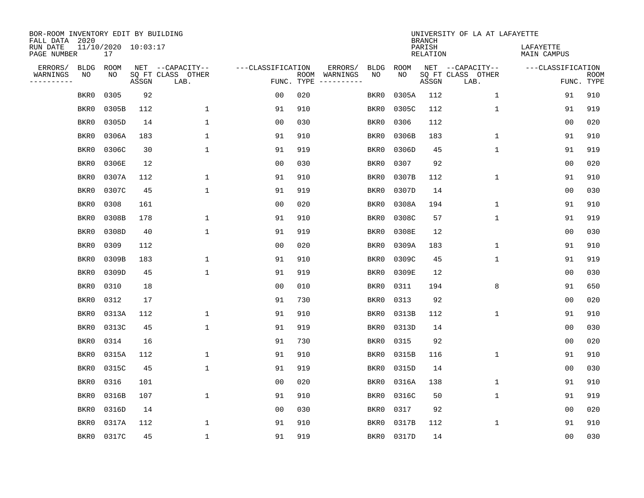| BOR-ROOM INVENTORY EDIT BY BUILDING<br>FALL DATA 2020 |                           |       |                           |                   |                    |                               |             | <b>BRANCH</b>             | UNIVERSITY OF LA AT LAFAYETTE |                          |                           |
|-------------------------------------------------------|---------------------------|-------|---------------------------|-------------------|--------------------|-------------------------------|-------------|---------------------------|-------------------------------|--------------------------|---------------------------|
| RUN DATE<br>PAGE NUMBER                               | 11/10/2020 10:03:17<br>17 |       |                           |                   |                    |                               |             | PARISH<br><b>RELATION</b> |                               | LAFAYETTE<br>MAIN CAMPUS |                           |
| ERRORS/                                               | <b>BLDG</b><br>ROOM       |       | NET --CAPACITY--          | ---CLASSIFICATION |                    | ERRORS/<br><b>BLDG</b>        | <b>ROOM</b> |                           | NET --CAPACITY--              | ---CLASSIFICATION        |                           |
| WARNINGS<br>----------                                | NO<br>NO                  | ASSGN | SQ FT CLASS OTHER<br>LAB. |                   | ROOM<br>FUNC. TYPE | NO<br>WARNINGS<br>----------- | NO          | ASSGN                     | SQ FT CLASS OTHER<br>LAB.     |                          | <b>ROOM</b><br>FUNC. TYPE |
|                                                       | 0305<br>BKR0              | 92    |                           | 0 <sub>0</sub>    | 020                | BKR0                          | 0305A       | 112                       | $\mathbf 1$                   | 91                       | 910                       |
|                                                       | 0305B<br>BKR0             | 112   | $\mathbf 1$               | 91                | 910                | BKR0                          | 0305C       | 112                       | 1                             | 91                       | 919                       |
|                                                       | BKR0<br>0305D             | 14    | $\mathbf 1$               | 0 <sub>0</sub>    | 030                | BKR0                          | 0306        | 112                       |                               | 0 <sub>0</sub>           | 020                       |
|                                                       | 0306A<br>BKR0             | 183   | $\mathbf{1}$              | 91                | 910                | BKR0                          | 0306B       | 183                       | 1                             | 91                       | 910                       |
|                                                       | 0306C<br>BKR0             | 30    | $\mathbf 1$               | 91                | 919                | BKR0                          | 0306D       | 45                        | $\mathbf{1}$                  | 91                       | 919                       |
|                                                       | 0306E<br>BKR0             | 12    |                           | 0 <sub>0</sub>    | 030                | BKR0                          | 0307        | 92                        |                               | 0 <sub>0</sub>           | 020                       |
|                                                       | BKR0<br>0307A             | 112   | $\mathbf 1$               | 91                | 910                | BKR0                          | 0307B       | 112                       | $\mathbf 1$                   | 91                       | 910                       |
|                                                       | 0307C<br>BKR0             | 45    | $\mathbf{1}$              | 91                | 919                | BKR0                          | 0307D       | 14                        |                               | 0 <sub>0</sub>           | 030                       |
|                                                       | BKR0<br>0308              | 161   |                           | 0 <sub>0</sub>    | 020                | BKR0                          | 0308A       | 194                       | $\mathbf 1$                   | 91                       | 910                       |
|                                                       | BKR0<br>0308B             | 178   | 1                         | 91                | 910                | BKR0                          | 0308C       | 57                        | $\mathbf 1$                   | 91                       | 919                       |
|                                                       | BKR0<br>0308D             | 40    | $\mathbf{1}$              | 91                | 919                | BKR0                          | 0308E       | 12                        |                               | 0 <sub>0</sub>           | 030                       |
|                                                       | 0309<br>BKR0              | 112   |                           | 0 <sub>0</sub>    | 020                | BKR0                          | 0309A       | 183                       | $\mathbf 1$                   | 91                       | 910                       |
|                                                       | 0309B<br>BKR0             | 183   | 1                         | 91                | 910                | BKR0                          | 0309C       | 45                        | $\mathbf 1$                   | 91                       | 919                       |
|                                                       | 0309D<br>BKR0             | 45    | 1                         | 91                | 919                | BKR0                          | 0309E       | 12                        |                               | 0 <sub>0</sub>           | 030                       |
|                                                       | 0310<br>BKR0              | 18    |                           | 0 <sub>0</sub>    | 010                | BKR0                          | 0311        | 194                       | 8                             | 91                       | 650                       |
|                                                       | 0312<br>BKR0              | 17    |                           | 91                | 730                | BKR0                          | 0313        | 92                        |                               | 0 <sub>0</sub>           | 020                       |
|                                                       | 0313A<br>BKR0             | 112   | 1                         | 91                | 910                | BKR0                          | 0313B       | 112                       | 1                             | 91                       | 910                       |
|                                                       | 0313C<br>BKR0             | 45    | $\mathbf{1}$              | 91                | 919                | BKR0                          | 0313D       | 14                        |                               | 0 <sub>0</sub>           | 030                       |
|                                                       | 0314<br>BKR0              | 16    |                           | 91                | 730                | BKR0                          | 0315        | 92                        |                               | 0 <sub>0</sub>           | 020                       |
|                                                       | 0315A<br>BKR0             | 112   | 1                         | 91                | 910                | BKR0                          | 0315B       | 116                       | $\mathbf 1$                   | 91                       | 910                       |
|                                                       | 0315C<br>BKR0             | 45    | 1                         | 91                | 919                | BKR0                          | 0315D       | 14                        |                               | 00                       | 030                       |
|                                                       | BKR0<br>0316              | 101   |                           | 0 <sub>0</sub>    | 020                | BKR0                          | 0316A       | 138                       | $\mathbf 1$                   | 91                       | 910                       |
|                                                       | 0316B<br>BKR0             | 107   | $\mathbf{1}$              | 91                | 910                | BKR0                          | 0316C       | 50                        | 1                             | 91                       | 919                       |
|                                                       | 0316D<br>BKR0             | 14    |                           | 0 <sub>0</sub>    | 030                | BKR0                          | 0317        | 92                        |                               | 0 <sub>0</sub>           | 020                       |
|                                                       | BKR0<br>0317A             | 112   | 1                         | 91                | 910                | BKR0                          | 0317B       | 112                       | 1                             | 91                       | 910                       |
|                                                       | 0317C<br>BKR0             | 45    | $\mathbf{1}$              | 91                | 919                | BKR0                          | 0317D       | 14                        |                               | 00                       | 030                       |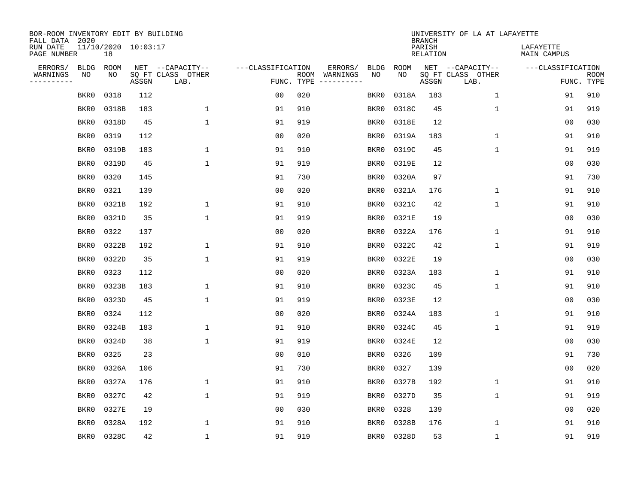| BOR-ROOM INVENTORY EDIT BY BUILDING<br>FALL DATA 2020 |                           |       |       |                           |                   |                    |                         |             |             | <b>BRANCH</b>             | UNIVERSITY OF LA AT LAFAYETTE |                          |             |
|-------------------------------------------------------|---------------------------|-------|-------|---------------------------|-------------------|--------------------|-------------------------|-------------|-------------|---------------------------|-------------------------------|--------------------------|-------------|
| RUN DATE<br>PAGE NUMBER                               | 11/10/2020 10:03:17<br>18 |       |       |                           |                   |                    |                         |             |             | PARISH<br><b>RELATION</b> |                               | LAFAYETTE<br>MAIN CAMPUS |             |
| ERRORS/                                               | <b>BLDG</b>               | ROOM  |       | NET --CAPACITY--          | ---CLASSIFICATION |                    | ERRORS/                 | <b>BLDG</b> | <b>ROOM</b> |                           | NET --CAPACITY--              | ---CLASSIFICATION        |             |
| WARNINGS<br>----------                                | NO                        | NO    | ASSGN | SQ FT CLASS OTHER<br>LAB. |                   | ROOM<br>FUNC. TYPE | WARNINGS<br>----------- | NO          | NO          | ASSGN                     | SQ FT CLASS OTHER<br>LAB.     | FUNC. TYPE               | <b>ROOM</b> |
|                                                       | BKR0                      | 0318  | 112   |                           | 0 <sub>0</sub>    | 020                |                         | BKR0        | 0318A       | 183                       | 1                             | 91                       | 910         |
|                                                       | BKR0                      | 0318B | 183   | $\mathbf 1$               | 91                | 910                |                         | BKR0        | 0318C       | 45                        | 1                             | 91                       | 919         |
|                                                       | BKR0                      | 0318D | 45    | $\mathbf 1$               | 91                | 919                |                         | BKR0        | 0318E       | 12                        |                               | 0 <sub>0</sub>           | 030         |
|                                                       | BKR0                      | 0319  | 112   |                           | 0 <sub>0</sub>    | 020                |                         | BKR0        | 0319A       | 183                       | 1                             | 91                       | 910         |
|                                                       | BKR0                      | 0319B | 183   | $\mathbf 1$               | 91                | 910                |                         | BKR0        | 0319C       | 45                        | $\mathbf{1}$                  | 91                       | 919         |
|                                                       | BKR0                      | 0319D | 45    | $\mathbf{1}$              | 91                | 919                |                         | BKR0        | 0319E       | 12                        |                               | 0 <sub>0</sub>           | 030         |
|                                                       | BKR0                      | 0320  | 145   |                           | 91                | 730                |                         | BKR0        | 0320A       | 97                        |                               | 91                       | 730         |
|                                                       | BKR0                      | 0321  | 139   |                           | 0 <sub>0</sub>    | 020                |                         | BKR0        | 0321A       | 176                       | 1                             | 91                       | 910         |
|                                                       | BKR0                      | 0321B | 192   | 1                         | 91                | 910                |                         | BKR0        | 0321C       | 42                        | 1                             | 91                       | 910         |
|                                                       | BKR0                      | 0321D | 35    | $\mathbf{1}$              | 91                | 919                |                         | BKR0        | 0321E       | 19                        |                               | 0 <sub>0</sub>           | 030         |
|                                                       | BKR0                      | 0322  | 137   |                           | 0 <sub>0</sub>    | 020                |                         | BKR0        | 0322A       | 176                       | $\mathbf 1$                   | 91                       | 910         |
|                                                       | BKR0                      | 0322B | 192   | 1                         | 91                | 910                |                         | BKR0        | 0322C       | 42                        | $\mathbf{1}$                  | 91                       | 919         |
|                                                       | BKR0                      | 0322D | 35    | 1                         | 91                | 919                |                         | BKR0        | 0322E       | 19                        |                               | 00                       | 030         |
|                                                       | BKR0                      | 0323  | 112   |                           | 00                | 020                |                         | BKR0        | 0323A       | 183                       | 1                             | 91                       | 910         |
|                                                       | BKR0                      | 0323B | 183   | 1                         | 91                | 910                |                         | BKR0        | 0323C       | 45                        | 1                             | 91                       | 910         |
|                                                       | BKR0                      | 0323D | 45    | 1                         | 91                | 919                |                         | BKR0        | 0323E       | 12                        |                               | 0 <sub>0</sub>           | 030         |
|                                                       | BKR0                      | 0324  | 112   |                           | 0 <sub>0</sub>    | 020                |                         | BKR0        | 0324A       | 183                       | 1                             | 91                       | 910         |
|                                                       | BKR0                      | 0324B | 183   | $\mathbf{1}$              | 91                | 910                |                         | BKR0        | 0324C       | 45                        | 1                             | 91                       | 919         |
|                                                       | BKR0                      | 0324D | 38    | $\mathbf{1}$              | 91                | 919                |                         | BKR0        | 0324E       | 12                        |                               | 0 <sub>0</sub>           | 030         |
|                                                       | BKR0                      | 0325  | 23    |                           | 0 <sub>0</sub>    | 010                |                         | BKR0        | 0326        | 109                       |                               | 91                       | 730         |
|                                                       | BKR0                      | 0326A | 106   |                           | 91                | 730                |                         | BKR0        | 0327        | 139                       |                               | 00                       | 020         |
|                                                       | BKR0                      | 0327A | 176   | $\mathbf 1$               | 91                | 910                |                         | BKR0        | 0327B       | 192                       | $\mathbf 1$                   | 91                       | 910         |
|                                                       | BKR0                      | 0327C | 42    | $\mathbf{1}$              | 91                | 919                |                         | BKR0        | 0327D       | 35                        | 1                             | 91                       | 919         |
|                                                       | BKR0                      | 0327E | 19    |                           | 0 <sub>0</sub>    | 030                |                         | BKR0        | 0328        | 139                       |                               | 0 <sub>0</sub>           | 020         |
|                                                       | BKR0                      | 0328A | 192   | 1                         | 91                | 910                |                         | BKR0        | 0328B       | 176                       | 1                             | 91                       | 910         |
|                                                       | BKR0                      | 0328C | 42    | $\mathbf{1}$              | 91                | 919                |                         | BKR0        | 0328D       | 53                        | 1                             | 91                       | 919         |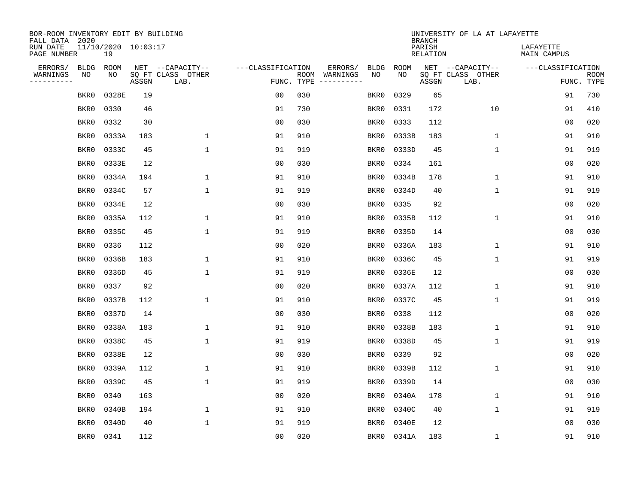| BOR-ROOM INVENTORY EDIT BY BUILDING<br>FALL DATA 2020 |                           |             |       |                           |                   |                    |                                                                                                             |             |             | <b>BRANCH</b>             | UNIVERSITY OF LA AT LAFAYETTE |                          |                           |
|-------------------------------------------------------|---------------------------|-------------|-------|---------------------------|-------------------|--------------------|-------------------------------------------------------------------------------------------------------------|-------------|-------------|---------------------------|-------------------------------|--------------------------|---------------------------|
| RUN DATE<br>PAGE NUMBER                               | 11/10/2020 10:03:17<br>19 |             |       |                           |                   |                    |                                                                                                             |             |             | PARISH<br><b>RELATION</b> |                               | LAFAYETTE<br>MAIN CAMPUS |                           |
| ERRORS/                                               | <b>BLDG</b>               | <b>ROOM</b> |       | NET --CAPACITY--          | ---CLASSIFICATION |                    | ERRORS/                                                                                                     | <b>BLDG</b> | <b>ROOM</b> |                           | NET --CAPACITY--              | ---CLASSIFICATION        |                           |
| WARNINGS<br>----------                                | NO                        | NO          | ASSGN | SQ FT CLASS OTHER<br>LAB. |                   | ROOM<br>FUNC. TYPE | WARNINGS<br>$\begin{tabular}{cccccc} - & - & - & - & - & - & - \\ & - & - & - & - & - & - \\ \end{tabular}$ | NO          | NO          | ASSGN                     | SQ FT CLASS OTHER<br>LAB.     |                          | <b>ROOM</b><br>FUNC. TYPE |
|                                                       | BKR0                      | 0328E       | 19    |                           | 0 <sub>0</sub>    | 030                |                                                                                                             | BKR0        | 0329        | 65                        |                               | 91                       | 730                       |
|                                                       | BKR0                      | 0330        | 46    |                           | 91                | 730                |                                                                                                             | BKR0        | 0331        | 172                       | 10                            | 91                       | 410                       |
|                                                       | BKR0                      | 0332        | 30    |                           | 0 <sub>0</sub>    | 030                |                                                                                                             | BKR0        | 0333        | 112                       |                               | 0 <sub>0</sub>           | 020                       |
|                                                       | BKR0                      | 0333A       | 183   | $\mathbf{1}$              | 91                | 910                |                                                                                                             | BKR0        | 0333B       | 183                       | 1                             | 91                       | 910                       |
|                                                       | BKR0                      | 0333C       | 45    | $\mathbf{1}$              | 91                | 919                |                                                                                                             | BKR0        | 0333D       | 45                        | $\mathbf 1$                   | 91                       | 919                       |
|                                                       | BKR0                      | 0333E       | 12    |                           | 0 <sub>0</sub>    | 030                |                                                                                                             | BKR0        | 0334        | 161                       |                               | 0 <sub>0</sub>           | 020                       |
|                                                       | BKR0                      | 0334A       | 194   | $\mathbf{1}$              | 91                | 910                |                                                                                                             | BKR0        | 0334B       | 178                       | $\mathbf{1}$                  | 91                       | 910                       |
|                                                       | BKR0                      | 0334C       | 57    | $\mathbf 1$               | 91                | 919                |                                                                                                             | BKR0        | 0334D       | 40                        | $\mathbf{1}$                  | 91                       | 919                       |
|                                                       | BKR0                      | 0334E       | 12    |                           | 0 <sub>0</sub>    | 030                |                                                                                                             | BKR0        | 0335        | 92                        |                               | 0 <sub>0</sub>           | 020                       |
|                                                       | BKR0                      | 0335A       | 112   | 1                         | 91                | 910                |                                                                                                             | BKR0        | 0335B       | 112                       | 1                             | 91                       | 910                       |
|                                                       | BKR0                      | 0335C       | 45    | 1                         | 91                | 919                |                                                                                                             | BKR0        | 0335D       | 14                        |                               | 0 <sub>0</sub>           | 030                       |
|                                                       | BKR0                      | 0336        | 112   |                           | 0 <sub>0</sub>    | 020                |                                                                                                             | BKR0        | 0336A       | 183                       | 1                             | 91                       | 910                       |
|                                                       | BKR0                      | 0336B       | 183   | 1                         | 91                | 910                |                                                                                                             | BKR0        | 0336C       | 45                        | $\mathbf 1$                   | 91                       | 919                       |
|                                                       | BKR0                      | 0336D       | 45    | $\mathbf{1}$              | 91                | 919                |                                                                                                             | BKR0        | 0336E       | 12                        |                               | 0 <sub>0</sub>           | 030                       |
|                                                       | BKR0                      | 0337        | 92    |                           | 0 <sub>0</sub>    | 020                |                                                                                                             | BKR0        | 0337A       | 112                       | $\mathbf 1$                   | 91                       | 910                       |
|                                                       | BKR0                      | 0337B       | 112   | 1                         | 91                | 910                |                                                                                                             | BKR0        | 0337C       | 45                        | 1                             | 91                       | 919                       |
|                                                       | BKR0                      | 0337D       | 14    |                           | 0 <sub>0</sub>    | 030                |                                                                                                             | BKR0        | 0338        | 112                       |                               | 00                       | 020                       |
|                                                       | BKR0                      | 0338A       | 183   | 1                         | 91                | 910                |                                                                                                             | BKR0        | 0338B       | 183                       | 1                             | 91                       | 910                       |
|                                                       | BKR0                      | 0338C       | 45    | $\mathbf 1$               | 91                | 919                |                                                                                                             | BKR0        | 0338D       | 45                        | 1                             | 91                       | 919                       |
|                                                       | BKR0                      | 0338E       | 12    |                           | 0 <sub>0</sub>    | 030                |                                                                                                             | BKR0        | 0339        | 92                        |                               | 0 <sub>0</sub>           | 020                       |
|                                                       | BKR0                      | 0339A       | 112   | $\mathbf 1$               | 91                | 910                |                                                                                                             | BKR0        | 0339B       | 112                       | 1                             | 91                       | 910                       |
|                                                       | BKR0                      | 0339C       | 45    | $\mathbf{1}$              | 91                | 919                |                                                                                                             | BKR0        | 0339D       | 14                        |                               | 00                       | 030                       |
|                                                       | BKR0                      | 0340        | 163   |                           | 0 <sub>0</sub>    | 020                |                                                                                                             | BKR0        | 0340A       | 178                       | 1                             | 91                       | 910                       |
|                                                       | BKR0                      | 0340B       | 194   | $\mathbf 1$               | 91                | 910                |                                                                                                             | BKR0        | 0340C       | 40                        | 1                             | 91                       | 919                       |
|                                                       | BKR0                      | 0340D       | 40    | $\mathbf{1}$              | 91                | 919                |                                                                                                             | BKR0        | 0340E       | 12                        |                               | 00                       | 030                       |
|                                                       | BKR0                      | 0341        | 112   |                           | 0 <sub>0</sub>    | 020                |                                                                                                             | BKR0        | 0341A       | 183                       | 1                             | 91                       | 910                       |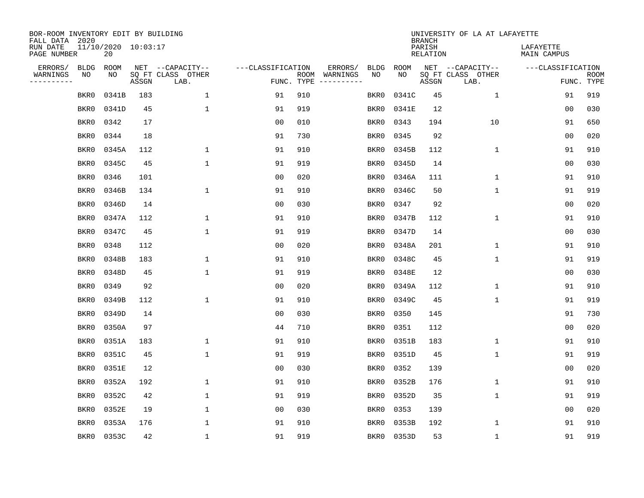| BOR-ROOM INVENTORY EDIT BY BUILDING<br>FALL DATA 2020 |                           |       |                           |                   |            |                              |             |             | <b>BRANCH</b>             | UNIVERSITY OF LA AT LAFAYETTE |                          |                           |
|-------------------------------------------------------|---------------------------|-------|---------------------------|-------------------|------------|------------------------------|-------------|-------------|---------------------------|-------------------------------|--------------------------|---------------------------|
| RUN DATE<br>PAGE NUMBER                               | 11/10/2020 10:03:17<br>20 |       |                           |                   |            |                              |             |             | PARISH<br><b>RELATION</b> |                               | LAFAYETTE<br>MAIN CAMPUS |                           |
| ERRORS/<br><b>BLDG</b>                                | <b>ROOM</b>               |       | NET --CAPACITY--          | ---CLASSIFICATION |            | ERRORS/                      | <b>BLDG</b> | <b>ROOM</b> |                           | NET --CAPACITY--              | ---CLASSIFICATION        |                           |
| WARNINGS<br>NO<br>----------                          | NO                        | ASSGN | SQ FT CLASS OTHER<br>LAB. |                   | FUNC. TYPE | ROOM WARNINGS<br>----------- | NO          | NO          | ASSGN                     | SQ FT CLASS OTHER<br>LAB.     |                          | <b>ROOM</b><br>FUNC. TYPE |
| BKR0                                                  | 0341B                     | 183   | $\mathbf 1$               | 91                | 910        |                              | BKR0        | 0341C       | 45                        | 1                             | 91                       | 919                       |
| BKR0                                                  | 0341D                     | 45    | $\mathbf{1}$              | 91                | 919        |                              | BKR0        | 0341E       | 12                        |                               | 0 <sub>0</sub>           | 030                       |
| BKR0                                                  | 0342                      | 17    |                           | 0 <sub>0</sub>    | 010        |                              | BKR0        | 0343        | 194                       | 10                            | 91                       | 650                       |
| BKR0                                                  | 0344                      | 18    |                           | 91                | 730        |                              | BKR0        | 0345        | 92                        |                               | 0 <sub>0</sub>           | 020                       |
| BKR0                                                  | 0345A                     | 112   | $\mathbf{1}$              | 91                | 910        |                              | BKR0        | 0345B       | 112                       | $\mathbf 1$                   | 91                       | 910                       |
| BKR0                                                  | 0345C                     | 45    | $\mathbf{1}$              | 91                | 919        |                              | BKR0        | 0345D       | 14                        |                               | 0 <sub>0</sub>           | 030                       |
| BKR0                                                  | 0346                      | 101   |                           | 0 <sub>0</sub>    | 020        |                              | BKR0        | 0346A       | 111                       | $\mathbf 1$                   | 91                       | 910                       |
| BKR0                                                  | 0346B                     | 134   | $\mathbf{1}$              | 91                | 910        |                              | BKR0        | 0346C       | 50                        | $\mathbf{1}$                  | 91                       | 919                       |
| BKR0                                                  | 0346D                     | 14    |                           | 0 <sub>0</sub>    | 030        |                              | BKR0        | 0347        | 92                        |                               | 0 <sub>0</sub>           | 020                       |
| BKR0                                                  | 0347A                     | 112   | $\mathbf{1}$              | 91                | 910        |                              | BKR0        | 0347B       | 112                       | $\mathbf 1$                   | 91                       | 910                       |
| BKR0                                                  | 0347C                     | 45    | $\mathbf{1}$              | 91                | 919        |                              | BKR0        | 0347D       | 14                        |                               | 0 <sub>0</sub>           | 030                       |
| BKR0                                                  | 0348                      | 112   |                           | 0 <sub>0</sub>    | 020        |                              | BKR0        | 0348A       | 201                       | $\mathbf{1}$                  | 91                       | 910                       |
| BKR0                                                  | 0348B                     | 183   | $\mathbf{1}$              | 91                | 910        |                              | BKR0        | 0348C       | 45                        | $\mathbf 1$                   | 91                       | 919                       |
| BKR0                                                  | 0348D                     | 45    | $\mathbf{1}$              | 91                | 919        |                              | BKR0        | 0348E       | 12                        |                               | 0 <sub>0</sub>           | 030                       |
| BKR0                                                  | 0349                      | 92    |                           | 0 <sub>0</sub>    | 020        |                              | BKR0        | 0349A       | 112                       | 1                             | 91                       | 910                       |
| BKR0                                                  | 0349B                     | 112   | $\mathbf{1}$              | 91                | 910        |                              | BKR0        | 0349C       | 45                        | $\mathbf{1}$                  | 91                       | 919                       |
| BKR0                                                  | 0349D                     | 14    |                           | 0 <sub>0</sub>    | 030        |                              | BKR0        | 0350        | 145                       |                               | 91                       | 730                       |
| BKR0                                                  | 0350A                     | 97    |                           | 44                | 710        |                              | BKR0        | 0351        | 112                       |                               | 0 <sub>0</sub>           | 020                       |
| BKR0                                                  | 0351A                     | 183   | $\mathbf{1}$              | 91                | 910        |                              | BKR0        | 0351B       | 183                       | $\mathbf{1}$                  | 91                       | 910                       |
| BKR0                                                  | 0351C                     | 45    | $\mathbf{1}$              | 91                | 919        |                              | BKR0        | 0351D       | 45                        | $\mathbf 1$                   | 91                       | 919                       |
| BKR0                                                  | 0351E                     | 12    |                           | 0 <sub>0</sub>    | 030        |                              | BKR0        | 0352        | 139                       |                               | 0 <sub>0</sub>           | 020                       |
| BKR0                                                  | 0352A                     | 192   | $\mathbf{1}$              | 91                | 910        |                              | BKR0        | 0352B       | 176                       | $\mathbf 1$                   | 91                       | 910                       |
| BKR0                                                  | 0352C                     | 42    | $\mathbf{1}$              | 91                | 919        |                              | BKR0        | 0352D       | 35                        | $\mathbf{1}$                  | 91                       | 919                       |
| BKR0                                                  | 0352E                     | 19    | $\mathbf{1}$              | 0 <sub>0</sub>    | 030        |                              | BKR0        | 0353        | 139                       |                               | 0 <sub>0</sub>           | 020                       |
| BKR0                                                  | 0353A                     | 176   | $\mathbf{1}$              | 91                | 910        |                              | BKR0        | 0353B       | 192                       | $\mathbf 1$                   | 91                       | 910                       |
| BKR0                                                  | 0353C                     | 42    | $\mathbf{1}$              | 91                | 919        |                              | BKR0        | 0353D       | 53                        | $\mathbf{1}$                  | 91                       | 919                       |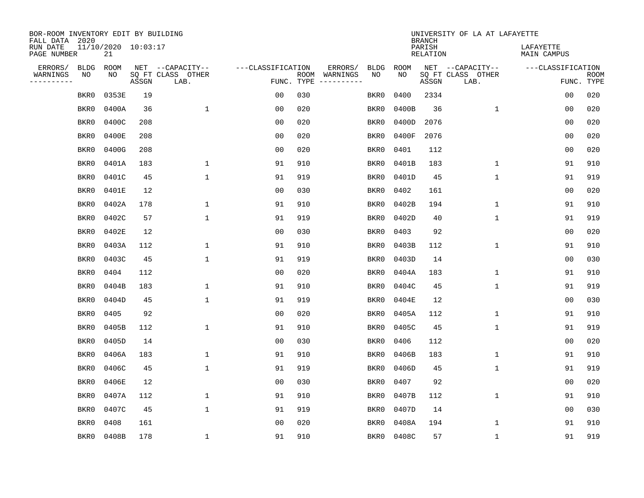| BOR-ROOM INVENTORY EDIT BY BUILDING<br>FALL DATA 2020 |                            |       |                           |                   |            |                                                                                                                        |             | <b>BRANCH</b>             | UNIVERSITY OF LA AT LAFAYETTE |                          |                           |
|-------------------------------------------------------|----------------------------|-------|---------------------------|-------------------|------------|------------------------------------------------------------------------------------------------------------------------|-------------|---------------------------|-------------------------------|--------------------------|---------------------------|
| RUN DATE<br>PAGE NUMBER                               | 11/10/2020 10:03:17<br>21  |       |                           |                   |            |                                                                                                                        |             | PARISH<br><b>RELATION</b> |                               | LAFAYETTE<br>MAIN CAMPUS |                           |
| ERRORS/                                               | <b>BLDG</b><br><b>ROOM</b> |       | NET --CAPACITY--          | ---CLASSIFICATION |            | ERRORS/<br><b>BLDG</b>                                                                                                 | <b>ROOM</b> |                           | NET --CAPACITY--              | ---CLASSIFICATION        |                           |
| WARNINGS<br>----------                                | NO<br>NO                   | ASSGN | SQ FT CLASS OTHER<br>LAB. |                   | FUNC. TYPE | NO<br>ROOM WARNINGS<br>$\begin{tabular}{cccccc} - & - & - & - & - & - & - \\ & - & - & - & - & - & - \\ \end{tabular}$ | NO          | ASSGN                     | SQ FT CLASS OTHER<br>LAB.     |                          | <b>ROOM</b><br>FUNC. TYPE |
|                                                       | 0353E<br>BKR0              | 19    |                           | 0 <sub>0</sub>    | 030        | BKR0                                                                                                                   | 0400        | 2334                      |                               | 00                       | 020                       |
|                                                       | 0400A<br>BKR0              | 36    | $\mathbf 1$               | 0 <sub>0</sub>    | 020        | BKR0                                                                                                                   | 0400B       | 36                        | $\mathbf 1$                   | 00                       | 020                       |
|                                                       | 0400C<br>BKR0              | 208   |                           | 0 <sub>0</sub>    | 020        | BKR0                                                                                                                   | 0400D       | 2076                      |                               | 0 <sub>0</sub>           | 020                       |
|                                                       | 0400E<br>BKR0              | 208   |                           | 0 <sub>0</sub>    | 020        | BKR0                                                                                                                   | 0400F       | 2076                      |                               | 0 <sub>0</sub>           | 020                       |
|                                                       | 0400G<br>BKR0              | 208   |                           | 0 <sub>0</sub>    | 020        | BKR0                                                                                                                   | 0401        | 112                       |                               | 0 <sub>0</sub>           | 020                       |
|                                                       | 0401A<br>BKR0              | 183   | 1                         | 91                | 910        | BKR0                                                                                                                   | 0401B       | 183                       | 1                             | 91                       | 910                       |
|                                                       | 0401C<br>BKR0              | 45    | $\mathbf{1}$              | 91                | 919        | BKR0                                                                                                                   | 0401D       | 45                        | $\mathbf{1}$                  | 91                       | 919                       |
|                                                       | 0401E<br>BKR0              | 12    |                           | 0 <sub>0</sub>    | 030        | BKR0                                                                                                                   | 0402        | 161                       |                               | 0 <sub>0</sub>           | 020                       |
|                                                       | 0402A<br>BKR0              | 178   | $\mathbf{1}$              | 91                | 910        | BKR0                                                                                                                   | 0402B       | 194                       | $\mathbf{1}$                  | 91                       | 910                       |
|                                                       | 0402C<br>BKR0              | 57    | $\mathbf 1$               | 91                | 919        | BKR0                                                                                                                   | 0402D       | 40                        | 1                             | 91                       | 919                       |
|                                                       | BKR0<br>0402E              | 12    |                           | 0 <sub>0</sub>    | 030        | BKR0                                                                                                                   | 0403        | 92                        |                               | 0 <sub>0</sub>           | 020                       |
|                                                       | 0403A<br>BKR0              | 112   | 1                         | 91                | 910        | BKR0                                                                                                                   | 0403B       | 112                       | $\mathbf 1$                   | 91                       | 910                       |
|                                                       | BKR0<br>0403C              | 45    | $\mathbf 1$               | 91                | 919        | BKR0                                                                                                                   | 0403D       | 14                        |                               | 0 <sub>0</sub>           | 030                       |
|                                                       | BKR0<br>0404               | 112   |                           | 0 <sub>0</sub>    | 020        | BKR0                                                                                                                   | 0404A       | 183                       | $\mathbf 1$                   | 91                       | 910                       |
|                                                       | BKR0<br>0404B              | 183   | $\mathbf 1$               | 91                | 910        | BKR0                                                                                                                   | 0404C       | 45                        | 1                             | 91                       | 919                       |
|                                                       | BKR0<br>0404D              | 45    | $\mathbf{1}$              | 91                | 919        | BKR0                                                                                                                   | 0404E       | 12                        |                               | 00                       | 030                       |
|                                                       | 0405<br>BKR0               | 92    |                           | 0 <sub>0</sub>    | 020        | BKR0                                                                                                                   | 0405A       | 112                       | 1                             | 91                       | 910                       |
|                                                       | 0405B<br>BKR0              | 112   | 1                         | 91                | 910        | BKR0                                                                                                                   | 0405C       | 45                        | 1                             | 91                       | 919                       |
|                                                       | 0405D<br>BKR0              | 14    |                           | 0 <sub>0</sub>    | 030        | BKR0                                                                                                                   | 0406        | 112                       |                               | 0 <sub>0</sub>           | 020                       |
|                                                       | BKR0<br>0406A              | 183   | $\mathbf 1$               | 91                | 910        | BKR0                                                                                                                   | 0406B       | 183                       | 1                             | 91                       | 910                       |
|                                                       | 0406C<br>BKR0              | 45    | $\mathbf{1}$              | 91                | 919        | BKR0                                                                                                                   | 0406D       | 45                        | 1                             | 91                       | 919                       |
|                                                       | 0406E<br>BKR0              | 12    |                           | 0 <sub>0</sub>    | 030        | BKR0                                                                                                                   | 0407        | 92                        |                               | 0 <sub>0</sub>           | 020                       |
|                                                       | 0407A<br>BKR0              | 112   | 1                         | 91                | 910        | BKR0                                                                                                                   | 0407B       | 112                       | 1                             | 91                       | 910                       |
|                                                       | 0407C<br>BKR0              | 45    | $\mathbf{1}$              | 91                | 919        | BKR0                                                                                                                   | 0407D       | 14                        |                               | 0 <sub>0</sub>           | 030                       |
|                                                       | 0408<br>BKR0               | 161   |                           | 0 <sub>0</sub>    | 020        | BKR0                                                                                                                   | 0408A       | 194                       | 1                             | 91                       | 910                       |
|                                                       | BKR0<br>0408B              | 178   | $\mathbf{1}$              | 91                | 910        | BKR0                                                                                                                   | 0408C       | 57                        | 1                             | 91                       | 919                       |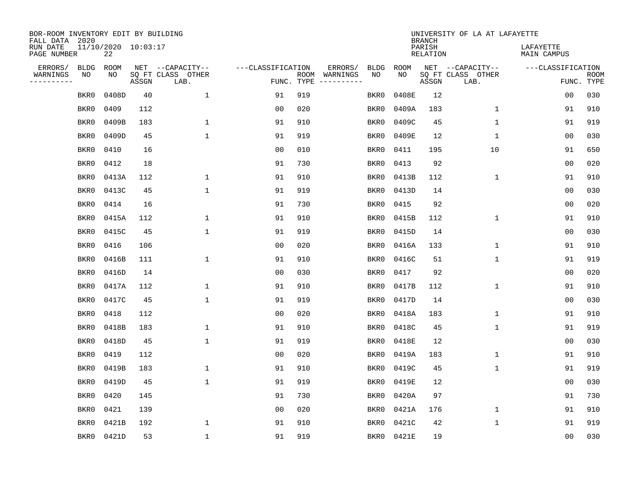| BOR-ROOM INVENTORY EDIT BY BUILDING<br>FALL DATA 2020 |                           |       |                           |              |                   |                    |                         |             |             | <b>BRANCH</b>             | UNIVERSITY OF LA AT LAFAYETTE |                          |                           |
|-------------------------------------------------------|---------------------------|-------|---------------------------|--------------|-------------------|--------------------|-------------------------|-------------|-------------|---------------------------|-------------------------------|--------------------------|---------------------------|
| RUN DATE<br>PAGE NUMBER                               | 11/10/2020 10:03:17<br>22 |       |                           |              |                   |                    |                         |             |             | PARISH<br><b>RELATION</b> |                               | LAFAYETTE<br>MAIN CAMPUS |                           |
| ERRORS/                                               | <b>BLDG</b><br>ROOM       |       | NET --CAPACITY--          |              | ---CLASSIFICATION |                    | ERRORS/                 | <b>BLDG</b> | <b>ROOM</b> |                           | NET --CAPACITY--              | ---CLASSIFICATION        |                           |
| WARNINGS<br>----------                                | NO<br>NO                  | ASSGN | SQ FT CLASS OTHER<br>LAB. |              |                   | ROOM<br>FUNC. TYPE | WARNINGS<br>----------- | NO          | NO          | ASSGN                     | SQ FT CLASS OTHER<br>LAB.     |                          | <b>ROOM</b><br>FUNC. TYPE |
|                                                       | 0408D<br>BKR0             |       | 40                        | 1            | 91                | 919                |                         | BKR0        | 0408E       | 12                        |                               | 00                       | 030                       |
|                                                       | 0409<br>BKR0              |       | 112                       |              | 0 <sub>0</sub>    | 020                |                         | BKR0        | 0409A       | 183                       | 1                             | 91                       | 910                       |
|                                                       | BKR0<br>0409B             |       | 183                       | $\mathbf 1$  | 91                | 910                |                         | BKR0        | 0409C       | 45                        | 1                             | 91                       | 919                       |
|                                                       | 0409D<br>BKR0             |       | 45                        | $\mathbf{1}$ | 91                | 919                |                         | BKR0        | 0409E       | 12                        | 1                             | 00                       | 030                       |
|                                                       | 0410<br>BKR0              |       | 16                        |              | 0 <sub>0</sub>    | 010                |                         | BKR0        | 0411        | 195                       | 10                            | 91                       | 650                       |
|                                                       | BKR0<br>0412              |       | 18                        |              | 91                | 730                |                         | BKR0        | 0413        | 92                        |                               | 0 <sub>0</sub>           | 020                       |
|                                                       | BKR0<br>0413A             |       | 112                       | $\mathbf 1$  | 91                | 910                |                         | BKR0        | 0413B       | 112                       | $\mathbf{1}$                  | 91                       | 910                       |
|                                                       | 0413C<br>BKR0             |       | 45                        | $\mathbf{1}$ | 91                | 919                |                         | BKR0        | 0413D       | 14                        |                               | 0 <sub>0</sub>           | 030                       |
|                                                       | 0414<br>BKR0              |       | 16                        |              | 91                | 730                |                         | BKR0        | 0415        | 92                        |                               | 0 <sub>0</sub>           | 020                       |
|                                                       | 0415A<br>BKR0             |       | 112                       | 1            | 91                | 910                |                         | BKR0        | 0415B       | 112                       | $\mathbf 1$                   | 91                       | 910                       |
|                                                       | BKR0<br>0415C             |       | 45                        | $\mathbf{1}$ | 91                | 919                |                         | BKR0        | 0415D       | 14                        |                               | 0 <sub>0</sub>           | 030                       |
|                                                       | 0416<br>BKR0              |       | 106                       |              | 0 <sub>0</sub>    | 020                |                         | BKR0        | 0416A       | 133                       | $\mathbf 1$                   | 91                       | 910                       |
|                                                       | BKR0<br>0416B             |       | 111                       | $\mathbf{1}$ | 91                | 910                |                         | BKR0        | 0416C       | 51                        | $\mathbf 1$                   | 91                       | 919                       |
|                                                       | BKR0<br>0416D             |       | 14                        |              | 0 <sub>0</sub>    | 030                |                         | BKR0        | 0417        | 92                        |                               | 00                       | 020                       |
|                                                       | BKR0<br>0417A             |       | 112                       | 1            | 91                | 910                |                         | BKR0        | 0417B       | 112                       | $\mathbf 1$                   | 91                       | 910                       |
|                                                       | BKR0<br>0417C             |       | 45                        | $\mathbf 1$  | 91                | 919                |                         | BKR0        | 0417D       | 14                        |                               | 00                       | 030                       |
|                                                       | 0418<br>BKR0              |       | 112                       |              | 0 <sub>0</sub>    | 020                |                         | BKR0        | 0418A       | 183                       | 1                             | 91                       | 910                       |
|                                                       | 0418B<br>BKR0             |       | 183                       | 1            | 91                | 910                |                         | BKR0        | 0418C       | 45                        | 1                             | 91                       | 919                       |
|                                                       | 0418D<br>BKR0             |       | 45                        | $\mathbf{1}$ | 91                | 919                |                         | BKR0        | 0418E       | 12                        |                               | 0 <sub>0</sub>           | 030                       |
|                                                       | BKR0<br>0419              |       | 112                       |              | 0 <sub>0</sub>    | 020                |                         | BKR0        | 0419A       | 183                       | 1                             | 91                       | 910                       |
|                                                       | 0419B<br>BKR0             |       | 183                       | 1            | 91                | 910                |                         | BKR0        | 0419C       | 45                        | 1                             | 91                       | 919                       |
|                                                       | 0419D<br>BKR0             |       | 45                        | $\mathbf{1}$ | 91                | 919                |                         | BKR0        | 0419E       | 12                        |                               | 00                       | 030                       |
|                                                       | 0420<br>BKR0              |       | 145                       |              | 91                | 730                |                         | BKR0        | 0420A       | 97                        |                               | 91                       | 730                       |
|                                                       | BKR0<br>0421              | 139   |                           |              | 0 <sub>0</sub>    | 020                |                         | BKR0        | 0421A       | 176                       | $\mathbf 1$                   | 91                       | 910                       |
|                                                       | 0421B<br>BKR0             |       | 192                       | $\mathbf{1}$ | 91                | 910                |                         | BKR0        | 0421C       | 42                        | 1                             | 91                       | 919                       |
|                                                       | BKR0<br>0421D             |       | 53                        | $\mathbf 1$  | 91                | 919                |                         |             | BKR0 0421E  | 19                        |                               | 00                       | 030                       |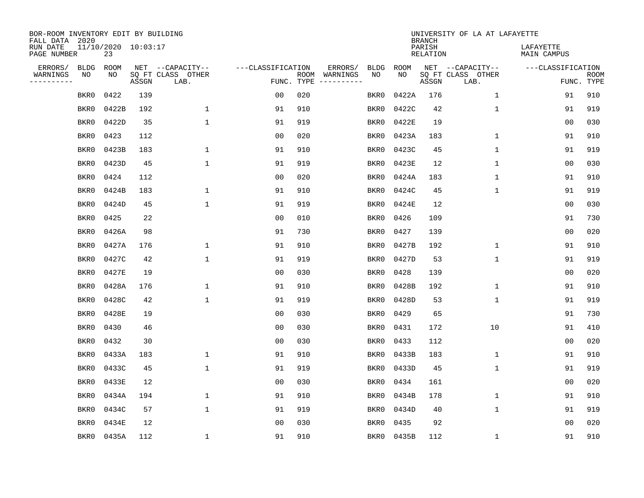| BOR-ROOM INVENTORY EDIT BY BUILDING<br>FALL DATA 2020 |                           |       |                           |                   |                    |                               |      |             | <b>BRANCH</b>             | UNIVERSITY OF LA AT LAFAYETTE |                          |                           |
|-------------------------------------------------------|---------------------------|-------|---------------------------|-------------------|--------------------|-------------------------------|------|-------------|---------------------------|-------------------------------|--------------------------|---------------------------|
| RUN DATE<br>PAGE NUMBER                               | 11/10/2020 10:03:17<br>23 |       |                           |                   |                    |                               |      |             | PARISH<br><b>RELATION</b> |                               | LAFAYETTE<br>MAIN CAMPUS |                           |
| ERRORS/<br><b>BLDG</b>                                | ROOM                      |       | NET --CAPACITY--          | ---CLASSIFICATION |                    | ERRORS/<br><b>BLDG</b>        |      | <b>ROOM</b> |                           | NET --CAPACITY--              | ---CLASSIFICATION        |                           |
| WARNINGS<br>NO<br>----------                          | NO                        | ASSGN | SQ FT CLASS OTHER<br>LAB. |                   | ROOM<br>FUNC. TYPE | NO<br>WARNINGS<br>----------- |      | NO          | ASSGN                     | SQ FT CLASS OTHER<br>LAB.     |                          | <b>ROOM</b><br>FUNC. TYPE |
| BKR0                                                  | 0422                      | 139   |                           | 0 <sub>0</sub>    | 020                | BKR0                          |      | 0422A       | 176                       | $\mathbf 1$                   | 91                       | 910                       |
| BKR0                                                  | 0422B                     | 192   | $\mathbf 1$               | 91                | 910                | BKR0                          |      | 0422C       | 42                        | 1                             | 91                       | 919                       |
| BKR0                                                  | 0422D                     | 35    | $\mathbf{1}$              | 91                | 919                | BKR0                          |      | 0422E       | 19                        |                               | 0 <sub>0</sub>           | 030                       |
| BKR0                                                  | 0423                      | 112   |                           | 0 <sub>0</sub>    | 020                | BKR0                          |      | 0423A       | 183                       | 1                             | 91                       | 910                       |
| BKR0                                                  | 0423B                     | 183   | $\mathbf{1}$              | 91                | 910                | BKR0                          |      | 0423C       | 45                        | $\mathbf 1$                   | 91                       | 919                       |
| BKR0                                                  | 0423D                     | 45    | $\mathbf{1}$              | 91                | 919                | BKR0                          |      | 0423E       | 12                        | $\mathbf 1$                   | 00                       | 030                       |
| BKR0                                                  | 0424                      | 112   |                           | 0 <sub>0</sub>    | 020                | BKR0                          |      | 0424A       | 183                       | $\mathbf{1}$                  | 91                       | 910                       |
| BKR0                                                  | 0424B                     | 183   | $\mathbf{1}$              | 91                | 910                | BKR0                          |      | 0424C       | 45                        | $\mathbf 1$                   | 91                       | 919                       |
| BKR0                                                  | 0424D                     | 45    | $\mathbf{1}$              | 91                | 919                | BKR0                          |      | 0424E       | 12                        |                               | 0 <sub>0</sub>           | 030                       |
| BKR0                                                  | 0425                      | 22    |                           | 0 <sub>0</sub>    | 010                | BKR0                          |      | 0426        | 109                       |                               | 91                       | 730                       |
| BKR0                                                  | 0426A                     | 98    |                           | 91                | 730                | BKR0                          |      | 0427        | 139                       |                               | 0 <sub>0</sub>           | 020                       |
| BKR0                                                  | 0427A                     | 176   | 1                         | 91                | 910                | BKR0                          |      | 0427B       | 192                       | $\mathbf{1}$                  | 91                       | 910                       |
| BKR0                                                  | 0427C                     | 42    | 1                         | 91                | 919                | BKR0                          |      | 0427D       | 53                        | $\mathbf 1$                   | 91                       | 919                       |
| BKR0                                                  | 0427E                     | 19    |                           | 00                | 030                | BKR0                          |      | 0428        | 139                       |                               | 0 <sub>0</sub>           | 020                       |
| BKR0                                                  | 0428A                     | 176   | 1                         | 91                | 910                | BKR0                          |      | 0428B       | 192                       | 1                             | 91                       | 910                       |
| BKR0                                                  | 0428C                     | 42    | $\mathbf{1}$              | 91                | 919                | BKR0                          |      | 0428D       | 53                        | 1                             | 91                       | 919                       |
| BKR0                                                  | 0428E                     | 19    |                           | 0 <sub>0</sub>    | 030                | BKR0                          |      | 0429        | 65                        |                               | 91                       | 730                       |
| BKR0                                                  | 0430                      | 46    |                           | 0 <sub>0</sub>    | 030                | BKR0                          |      | 0431        | 172                       | 10                            | 91                       | 410                       |
| BKR0                                                  | 0432                      | 30    |                           | 0 <sub>0</sub>    | 030                | BKR0                          |      | 0433        | 112                       |                               | 0 <sub>0</sub>           | 020                       |
| BKR0                                                  | 0433A                     | 183   | $\mathbf 1$               | 91                | 910                | BKR0                          |      | 0433B       | 183                       | 1                             | 91                       | 910                       |
| BKR0                                                  | 0433C                     | 45    | $\mathbf{1}$              | 91                | 919                | BKR0                          |      | 0433D       | 45                        | 1                             | 91                       | 919                       |
| BKR0                                                  | 0433E                     | 12    |                           | 0 <sub>0</sub>    | 030                | BKR0                          |      | 0434        | 161                       |                               | 00                       | 020                       |
| BKR0                                                  | 0434A                     | 194   | 1                         | 91                | 910                | BKR0                          |      | 0434B       | 178                       | 1                             | 91                       | 910                       |
| BKR0                                                  | 0434C                     | 57    | $\mathbf{1}$              | 91                | 919                | BKR0                          |      | 0434D       | 40                        | $\mathbf 1$                   | 91                       | 919                       |
| BKR0                                                  | 0434E                     | 12    |                           | 0 <sub>0</sub>    | 030                | BKR0                          |      | 0435        | 92                        |                               | 0 <sub>0</sub>           | 020                       |
| BKR0                                                  | 0435A                     | 112   | 1                         | 91                | 910                |                               | BKR0 | 0435B       | 112                       | 1                             | 91                       | 910                       |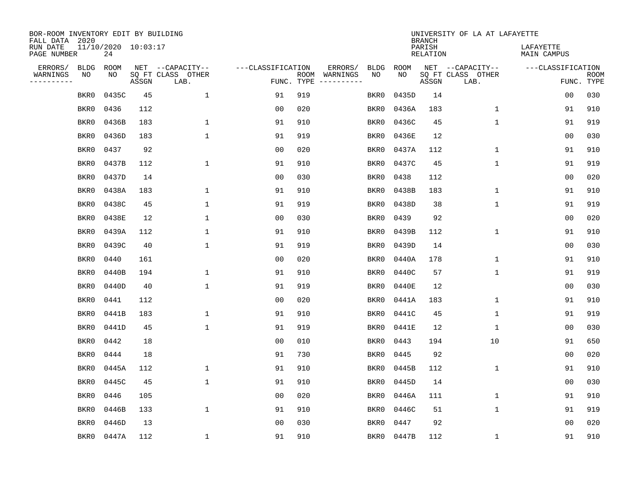| BOR-ROOM INVENTORY EDIT BY BUILDING<br>FALL DATA 2020 |                           |       |                           |                   |                    |                               |             | <b>BRANCH</b>             | UNIVERSITY OF LA AT LAFAYETTE |                          |                           |
|-------------------------------------------------------|---------------------------|-------|---------------------------|-------------------|--------------------|-------------------------------|-------------|---------------------------|-------------------------------|--------------------------|---------------------------|
| RUN DATE<br>PAGE NUMBER                               | 11/10/2020 10:03:17<br>24 |       |                           |                   |                    |                               |             | PARISH<br><b>RELATION</b> |                               | LAFAYETTE<br>MAIN CAMPUS |                           |
| ERRORS/<br><b>BLDG</b>                                | ROOM                      |       | NET --CAPACITY--          | ---CLASSIFICATION |                    | ERRORS/<br><b>BLDG</b>        | <b>ROOM</b> |                           | NET --CAPACITY--              | ---CLASSIFICATION        |                           |
| WARNINGS<br>NO<br>----------                          | NO                        | ASSGN | SQ FT CLASS OTHER<br>LAB. |                   | ROOM<br>FUNC. TYPE | NO<br>WARNINGS<br>----------- | NO          | ASSGN                     | SQ FT CLASS OTHER<br>LAB.     |                          | <b>ROOM</b><br>FUNC. TYPE |
| BKR0                                                  | 0435C                     | 45    | 1                         | 91                | 919                | BKR0                          | 0435D       | 14                        |                               | 00                       | 030                       |
| BKR0                                                  | 0436                      | 112   |                           | 0 <sub>0</sub>    | 020                | BKR0                          | 0436A       | 183                       | 1                             | 91                       | 910                       |
| BKR0                                                  | 0436B                     | 183   | $\mathbf 1$               | 91                | 910                | BKR0                          | 0436C       | 45                        | $\mathbf 1$                   | 91                       | 919                       |
| BKR0                                                  | 0436D                     | 183   | $\mathbf{1}$              | 91                | 919                | BKR0                          | 0436E       | 12                        |                               | 00                       | 030                       |
| BKR0                                                  | 0437                      | 92    |                           | 0 <sub>0</sub>    | 020                | BKR0                          | 0437A       | 112                       | $\mathbf 1$                   | 91                       | 910                       |
| BKR0                                                  | 0437B                     | 112   | $\mathbf{1}$              | 91                | 910                | BKR0                          | 0437C       | 45                        | $\mathbf 1$                   | 91                       | 919                       |
| BKR0                                                  | 0437D                     | 14    |                           | 0 <sub>0</sub>    | 030                | BKR0                          | 0438        | 112                       |                               | 0 <sub>0</sub>           | 020                       |
| BKR0                                                  | 0438A                     | 183   | $\mathbf{1}$              | 91                | 910                | BKR0                          | 0438B       | 183                       | $\mathbf 1$                   | 91                       | 910                       |
| BKR0                                                  | 0438C                     | 45    | $\mathbf{1}$              | 91                | 919                | BKR0                          | 0438D       | 38                        | $\mathbf{1}$                  | 91                       | 919                       |
| BKR0                                                  | 0438E                     | 12    | 1                         | 0 <sub>0</sub>    | 030                | BKR0                          | 0439        | 92                        |                               | 00                       | 020                       |
| BKR0                                                  | 0439A                     | 112   | 1                         | 91                | 910                | BKR0                          | 0439B       | 112                       | $\mathbf 1$                   | 91                       | 910                       |
| BKR0                                                  | 0439C                     | 40    | $\mathbf{1}$              | 91                | 919                | BKR0                          | 0439D       | 14                        |                               | 0 <sub>0</sub>           | 030                       |
| BKR0                                                  | 0440                      | 161   |                           | 0 <sub>0</sub>    | 020                | BKR0                          | 0440A       | 178                       | $\mathbf 1$                   | 91                       | 910                       |
| BKR0                                                  | 0440B                     | 194   | 1                         | 91                | 910                | BKR0                          | 0440C       | 57                        | 1                             | 91                       | 919                       |
| BKR0                                                  | 0440D                     | 40    | $\mathbf{1}$              | 91                | 919                | BKR0                          | 0440E       | 12                        |                               | 0 <sub>0</sub>           | 030                       |
| BKR0                                                  | 0441                      | 112   |                           | 00                | 020                | BKR0                          | 0441A       | 183                       | 1                             | 91                       | 910                       |
| BKR0                                                  | 0441B                     | 183   | 1                         | 91                | 910                | BKR0                          | 0441C       | 45                        | 1                             | 91                       | 919                       |
| BKR0                                                  | 0441D                     | 45    | $\mathbf{1}$              | 91                | 919                | BKR0                          | 0441E       | 12                        | 1                             | 00                       | 030                       |
| BKR0                                                  | 0442                      | 18    |                           | 0 <sub>0</sub>    | 010                | BKR0                          | 0443        | 194                       | 10                            | 91                       | 650                       |
| BKR0                                                  | 0444                      | 18    |                           | 91                | 730                | BKR0                          | 0445        | 92                        |                               | 0 <sub>0</sub>           | 020                       |
| BKR0                                                  | 0445A                     | 112   | 1                         | 91                | 910                | BKR0                          | 0445B       | 112                       | 1                             | 91                       | 910                       |
| BKR0                                                  | 0445C                     | 45    | $\mathbf{1}$              | 91                | 910                | BKR0                          | 0445D       | 14                        |                               | 00                       | 030                       |
| BKR0                                                  | 0446                      | 105   |                           | 0 <sub>0</sub>    | 020                | BKR0                          | 0446A       | 111                       | 1                             | 91                       | 910                       |
| BKR0                                                  | 0446B                     | 133   | $\mathbf{1}$              | 91                | 910                | BKR0                          | 0446C       | 51                        | $\mathbf 1$                   | 91                       | 919                       |
| BKR0                                                  | 0446D                     | 13    |                           | 0 <sub>0</sub>    | 030                | BKR0                          | 0447        | 92                        |                               | 0 <sub>0</sub>           | 020                       |
|                                                       | BKR0<br>0447A             | 112   | $\mathbf 1$               | 91                | 910                | BKR0                          | 0447B       | 112                       | 1                             | 91                       | 910                       |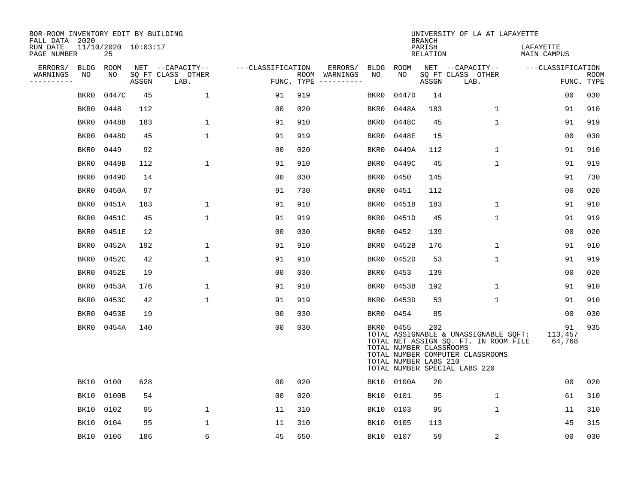| BOR-ROOM INVENTORY EDIT BY BUILDING<br>FALL DATA 2020 |             |                           |       |                           |                   |     |                                      |           |                                                               | <b>BRANCH</b>      | UNIVERSITY OF LA AT LAFAYETTE                                                                                                                       |                          |                           |
|-------------------------------------------------------|-------------|---------------------------|-------|---------------------------|-------------------|-----|--------------------------------------|-----------|---------------------------------------------------------------|--------------------|-----------------------------------------------------------------------------------------------------------------------------------------------------|--------------------------|---------------------------|
| RUN DATE<br>PAGE NUMBER                               |             | 11/10/2020 10:03:17<br>25 |       |                           |                   |     |                                      |           |                                                               | PARISH<br>RELATION |                                                                                                                                                     | LAFAYETTE<br>MAIN CAMPUS |                           |
| ERRORS/                                               | <b>BLDG</b> | ROOM                      |       | NET --CAPACITY--          | ---CLASSIFICATION |     | ERRORS/                              | BLDG ROOM |                                                               |                    | NET --CAPACITY--                                                                                                                                    | ---CLASSIFICATION        |                           |
| WARNINGS<br>---------                                 | NO          | NO                        | ASSGN | SQ FT CLASS OTHER<br>LAB. |                   |     | ROOM WARNINGS<br>FUNC. TYPE $------$ | NO        | NO                                                            | ASSGN              | SQ FT CLASS OTHER<br>LAB.                                                                                                                           |                          | <b>ROOM</b><br>FUNC. TYPE |
|                                                       | BKR0        | 0447C                     | 45    | $\mathbf{1}$              | 91                | 919 |                                      | BKR0      | 0447D                                                         | 14                 |                                                                                                                                                     | 0 <sub>0</sub>           | 030                       |
|                                                       | BKR0        | 0448                      | 112   |                           | 00                | 020 |                                      | BKR0      | 0448A                                                         | 183                | $\mathbf 1$                                                                                                                                         | 91                       | 910                       |
|                                                       | BKR0        | 0448B                     | 183   | $\mathbf{1}$              | 91                | 910 |                                      | BKR0      | 0448C                                                         | 45                 | $\mathbf 1$                                                                                                                                         | 91                       | 919                       |
|                                                       | BKR0        | 0448D                     | 45    | $\mathbf{1}$              | 91                | 919 |                                      | BKR0      | 0448E                                                         | 15                 |                                                                                                                                                     | 00                       | 030                       |
|                                                       | BKR0        | 0449                      | 92    |                           | 00                | 020 |                                      | BKR0      | 0449A                                                         | 112                | 1                                                                                                                                                   | 91                       | 910                       |
|                                                       | BKR0        | 0449B                     | 112   | $\mathbf 1$               | 91                | 910 |                                      | BKR0      | 0449C                                                         | 45                 | $\mathbf{1}$                                                                                                                                        | 91                       | 919                       |
|                                                       | BKR0        | 0449D                     | 14    |                           | 00                | 030 |                                      | BKR0      | 0450                                                          | 145                |                                                                                                                                                     | 91                       | 730                       |
|                                                       | BKR0        | 0450A                     | 97    |                           | 91                | 730 |                                      | BKR0      | 0451                                                          | 112                |                                                                                                                                                     | 0 <sub>0</sub>           | 020                       |
|                                                       | BKR0        | 0451A                     | 183   | $\mathbf 1$               | 91                | 910 |                                      | BKR0      | 0451B                                                         | 183                | $\mathbf 1$                                                                                                                                         | 91                       | 910                       |
|                                                       | BKR0        | 0451C                     | 45    | $\mathbf 1$               | 91                | 919 |                                      | BKR0      | 0451D                                                         | 45                 | $\mathbf 1$                                                                                                                                         | 91                       | 919                       |
|                                                       | BKR0        | 0451E                     | 12    |                           | 00                | 030 |                                      | BKR0      | 0452                                                          | 139                |                                                                                                                                                     | 0 <sub>0</sub>           | 020                       |
|                                                       | BKR0        | 0452A                     | 192   | 1                         | 91                | 910 |                                      | BKR0      | 0452B                                                         | 176                | 1                                                                                                                                                   | 91                       | 910                       |
|                                                       | BKR0        | 0452C                     | 42    | $\mathbf 1$               | 91                | 910 |                                      | BKR0      | 0452D                                                         | 53                 | $\mathbf 1$                                                                                                                                         | 91                       | 919                       |
|                                                       | BKR0        | 0452E                     | 19    |                           | 0 <sub>0</sub>    | 030 |                                      | BKR0      | 0453                                                          | 139                |                                                                                                                                                     | 0 <sub>0</sub>           | 020                       |
|                                                       | BKR0        | 0453A                     | 176   | $\mathbf 1$               | 91                | 910 |                                      | BKR0      | 0453B                                                         | 192                | $\mathbf 1$                                                                                                                                         | 91                       | 910                       |
|                                                       | BKR0        | 0453C                     | 42    | $\mathbf{1}$              | 91                | 919 |                                      | BKR0      | 0453D                                                         | 53                 | 1                                                                                                                                                   | 91                       | 910                       |
|                                                       | BKR0        | 0453E                     | 19    |                           | 0 <sub>0</sub>    | 030 |                                      | BKR0      | 0454                                                          | 85                 |                                                                                                                                                     | 00                       | 030                       |
|                                                       | BKR0        | 0454A                     | 140   |                           | 0 <sub>0</sub>    | 030 |                                      |           | BKR0 0455<br>TOTAL NUMBER CLASSROOMS<br>TOTAL NUMBER LABS 210 | 202                | TOTAL ASSIGNABLE & UNASSIGNABLE SQFT:<br>TOTAL NET ASSIGN SQ. FT. IN ROOM FILE<br>TOTAL NUMBER COMPUTER CLASSROOMS<br>TOTAL NUMBER SPECIAL LABS 220 | 91<br>113,457<br>64,768  | 935                       |
|                                                       | BK10 0100   |                           | 628   |                           | 00                | 020 |                                      |           | BK10 0100A                                                    | 20                 |                                                                                                                                                     | 00                       | 020                       |
|                                                       | BK10        | 0100B                     | 54    |                           | 00                | 020 |                                      | BK10 0101 |                                                               | 95                 | 1                                                                                                                                                   | 61                       | 310                       |
|                                                       | BK10        | 0102                      | 95    | $\mathbf 1$               | 11                | 310 |                                      | BK10      | 0103                                                          | 95                 | $\mathbf 1$                                                                                                                                         | 11                       | 310                       |
|                                                       | BK10        | 0104                      | 95    | $\mathbf 1$               | 11                | 310 |                                      | BK10      | 0105                                                          | 113                |                                                                                                                                                     | 45                       | 315                       |
|                                                       | BK10 0106   |                           | 186   | 6                         | 45                | 650 |                                      | BK10 0107 |                                                               | 59                 | 2                                                                                                                                                   | 0 <sub>0</sub>           | 030                       |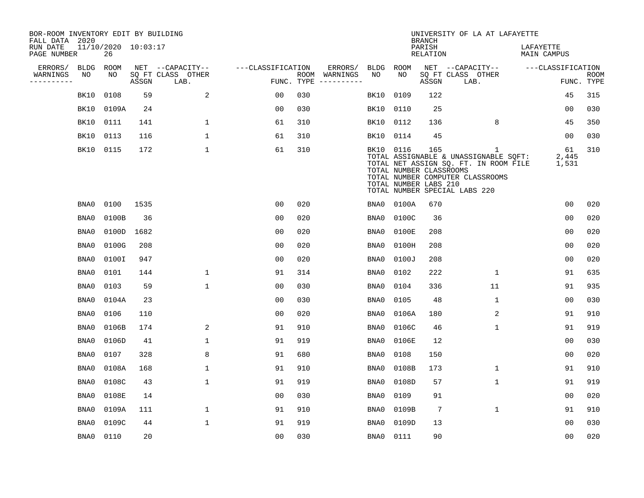| BOR-ROOM INVENTORY EDIT BY BUILDING<br>FALL DATA 2020 |      |                           |       |                           |                   |                    |                         |             |                                                  | <b>BRANCH</b>             | UNIVERSITY OF LA AT LAFAYETTE                                                                                                                                       |                                 |                           |
|-------------------------------------------------------|------|---------------------------|-------|---------------------------|-------------------|--------------------|-------------------------|-------------|--------------------------------------------------|---------------------------|---------------------------------------------------------------------------------------------------------------------------------------------------------------------|---------------------------------|---------------------------|
| RUN DATE<br>PAGE NUMBER                               |      | 11/10/2020 10:03:17<br>26 |       |                           |                   |                    |                         |             |                                                  | PARISH<br><b>RELATION</b> |                                                                                                                                                                     | LAFAYETTE<br><b>MAIN CAMPUS</b> |                           |
| ERRORS/                                               | BLDG | <b>ROOM</b>               |       | NET --CAPACITY--          | ---CLASSIFICATION |                    | ERRORS/                 | <b>BLDG</b> | <b>ROOM</b>                                      |                           | NET --CAPACITY--                                                                                                                                                    | ---CLASSIFICATION               |                           |
| WARNINGS<br>----------                                | NO   | NO                        | ASSGN | SQ FT CLASS OTHER<br>LAB. |                   | ROOM<br>FUNC. TYPE | WARNINGS<br>----------- | NO          | NO                                               | ASSGN                     | SQ FT CLASS OTHER<br>LAB.                                                                                                                                           |                                 | <b>ROOM</b><br>FUNC. TYPE |
|                                                       | BK10 | 0108                      | 59    | 2                         | 0 <sub>0</sub>    | 030                |                         | BK10        | 0109                                             | 122                       |                                                                                                                                                                     | 45                              | 315                       |
|                                                       | BK10 | 0109A                     | 24    |                           | 0 <sub>0</sub>    | 030                |                         | BK10        | 0110                                             | 25                        |                                                                                                                                                                     | 0 <sub>0</sub>                  | 030                       |
|                                                       | BK10 | 0111                      | 141   | $\mathbf{1}$              | 61                | 310                |                         | BK10        | 0112                                             | 136                       | 8                                                                                                                                                                   | 45                              | 350                       |
|                                                       | BK10 | 0113                      | 116   | 1                         | 61                | 310                |                         | BK10 0114   |                                                  | 45                        |                                                                                                                                                                     | 00                              | 030                       |
|                                                       | BK10 | 0115                      | 172   | $\mathbf{1}$              | 61                | 310                |                         | BK10 0116   | TOTAL NUMBER CLASSROOMS<br>TOTAL NUMBER LABS 210 | 165                       | $\mathbf{1}$<br>TOTAL ASSIGNABLE & UNASSIGNABLE SQFT:<br>TOTAL NET ASSIGN SQ. FT. IN ROOM FILE<br>TOTAL NUMBER COMPUTER CLASSROOMS<br>TOTAL NUMBER SPECIAL LABS 220 | 61<br>2,445<br>1,531            | 310                       |
|                                                       | BNA0 | 0100                      | 1535  |                           | 0 <sub>0</sub>    | 020                |                         | BNA0        | 0100A                                            | 670                       |                                                                                                                                                                     | 0 <sub>0</sub>                  | 020                       |
|                                                       | BNA0 | 0100B                     | 36    |                           | 0 <sub>0</sub>    | 020                |                         | BNA0        | 0100C                                            | 36                        |                                                                                                                                                                     | 0 <sub>0</sub>                  | 020                       |
|                                                       | BNA0 | 0100D                     | 1682  |                           | 0 <sub>0</sub>    | 020                |                         | BNA0        | 0100E                                            | 208                       |                                                                                                                                                                     | 0 <sub>0</sub>                  | 020                       |
|                                                       | BNA0 | 0100G                     | 208   |                           | 0 <sub>0</sub>    | 020                |                         | BNA0        | 0100H                                            | 208                       |                                                                                                                                                                     | 0 <sub>0</sub>                  | 020                       |
|                                                       | BNA0 | 0100I                     | 947   |                           | 0 <sub>0</sub>    | 020                |                         | BNA0        | 0100J                                            | 208                       |                                                                                                                                                                     | 0 <sub>0</sub>                  | 020                       |
|                                                       | BNA0 | 0101                      | 144   | 1                         | 91                | 314                |                         | BNA0        | 0102                                             | 222                       | 1                                                                                                                                                                   | 91                              | 635                       |
|                                                       | BNA0 | 0103                      | 59    | 1                         | 00                | 030                |                         | BNA0        | 0104                                             | 336                       | 11                                                                                                                                                                  | 91                              | 935                       |
|                                                       | BNA0 | 0104A                     | 23    |                           | 0 <sub>0</sub>    | 030                |                         | BNA0        | 0105                                             | 48                        | 1                                                                                                                                                                   | 00                              | 030                       |
|                                                       | BNA0 | 0106                      | 110   |                           | 0 <sub>0</sub>    | 020                |                         | BNA0        | 0106A                                            | 180                       | 2                                                                                                                                                                   | 91                              | 910                       |
|                                                       | BNA0 | 0106B                     | 174   | 2                         | 91                | 910                |                         | BNA0        | 0106C                                            | 46                        | $\mathbf 1$                                                                                                                                                         | 91                              | 919                       |
|                                                       | BNA0 | 0106D                     | 41    | $\mathbf{1}$              | 91                | 919                |                         | BNA0        | 0106E                                            | 12                        |                                                                                                                                                                     | 0 <sub>0</sub>                  | 030                       |
|                                                       | BNA0 | 0107                      | 328   | 8                         | 91                | 680                |                         | BNA0        | 0108                                             | 150                       |                                                                                                                                                                     | 0 <sub>0</sub>                  | 020                       |
|                                                       | BNA0 | 0108A                     | 168   | 1                         | 91                | 910                |                         | BNA0        | 0108B                                            | 173                       | 1                                                                                                                                                                   | 91                              | 910                       |
|                                                       | BNA0 | 0108C                     | 43    | $\mathbf 1$               | 91                | 919                |                         | BNA0        | 0108D                                            | 57                        | $\mathbf 1$                                                                                                                                                         | 91                              | 919                       |
|                                                       | BNA0 | 0108E                     | 14    |                           | 0 <sub>0</sub>    | 030                |                         | BNA0        | 0109                                             | 91                        |                                                                                                                                                                     | 0 <sub>0</sub>                  | 020                       |
|                                                       | BNA0 | 0109A                     | 111   | $\mathbf 1$               | 91                | 910                |                         | BNA0        | 0109B                                            | 7                         | $\mathbf 1$                                                                                                                                                         | 91                              | 910                       |
|                                                       | BNA0 | 0109C                     | 44    | 1                         | 91                | 919                |                         | BNA0        | 0109D                                            | 13                        |                                                                                                                                                                     | 0 <sub>0</sub>                  | 030                       |
|                                                       | BNA0 | 0110                      | 20    |                           | 00                | 030                |                         | BNA0        | 0111                                             | 90                        |                                                                                                                                                                     | 00                              | 020                       |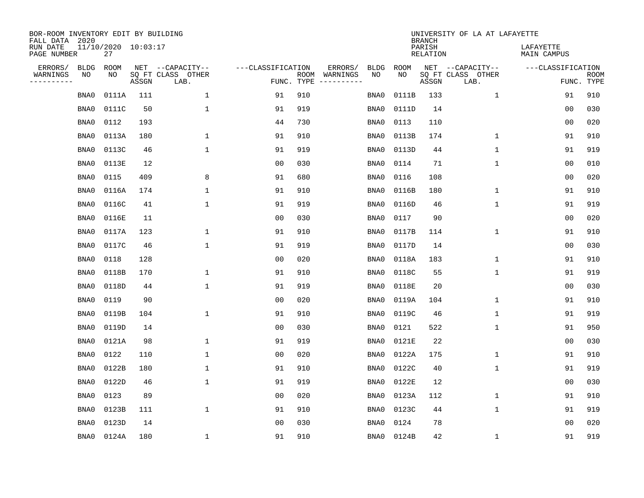| BOR-ROOM INVENTORY EDIT BY BUILDING<br>FALL DATA 2020 |             |                           |       |                           |                   |                    |          |             |             | <b>BRANCH</b>             | UNIVERSITY OF LA AT LAFAYETTE |                          |                           |
|-------------------------------------------------------|-------------|---------------------------|-------|---------------------------|-------------------|--------------------|----------|-------------|-------------|---------------------------|-------------------------------|--------------------------|---------------------------|
| RUN DATE<br>PAGE NUMBER                               |             | 11/10/2020 10:03:17<br>27 |       |                           |                   |                    |          |             |             | PARISH<br><b>RELATION</b> |                               | LAFAYETTE<br>MAIN CAMPUS |                           |
| ERRORS/                                               | <b>BLDG</b> | ROOM                      |       | NET --CAPACITY--          | ---CLASSIFICATION |                    | ERRORS/  | <b>BLDG</b> | <b>ROOM</b> |                           | NET --CAPACITY--              | ---CLASSIFICATION        |                           |
| WARNINGS<br>----------                                | NO          | NO                        | ASSGN | SQ FT CLASS OTHER<br>LAB. |                   | ROOM<br>FUNC. TYPE | WARNINGS | NO          | NO          | ASSGN                     | SQ FT CLASS OTHER<br>LAB.     |                          | <b>ROOM</b><br>FUNC. TYPE |
|                                                       | BNA0        | 0111A                     | 111   | 1                         | 91                | 910                |          | BNA0        | 0111B       | 133                       | 1                             | 91                       | 910                       |
|                                                       | BNA0        | 0111C                     | 50    | 1                         | 91                | 919                |          | BNA0        | 0111D       | 14                        |                               | 00                       | 030                       |
|                                                       | BNA0        | 0112                      | 193   |                           | 44                | 730                |          | BNA0        | 0113        | 110                       |                               | 0 <sub>0</sub>           | 020                       |
|                                                       | BNA0        | 0113A                     | 180   | 1                         | 91                | 910                |          | BNA0        | 0113B       | 174                       | 1                             | 91                       | 910                       |
|                                                       | BNA0        | 0113C                     | 46    | $\mathbf{1}$              | 91                | 919                |          | BNA0        | 0113D       | 44                        | $\mathbf{1}$                  | 91                       | 919                       |
|                                                       | BNA0        | 0113E                     | 12    |                           | 0 <sub>0</sub>    | 030                |          | BNA0        | 0114        | 71                        | $\mathbf 1$                   | 0 <sub>0</sub>           | 010                       |
|                                                       | BNA0        | 0115                      | 409   | 8                         | 91                | 680                |          | BNA0        | 0116        | 108                       |                               | 0 <sub>0</sub>           | 020                       |
|                                                       | BNA0        | 0116A                     | 174   | 1                         | 91                | 910                |          | BNA0        | 0116B       | 180                       | 1                             | 91                       | 910                       |
|                                                       | BNA0        | 0116C                     | 41    | 1                         | 91                | 919                |          | BNA0        | 0116D       | 46                        | 1                             | 91                       | 919                       |
|                                                       | BNA0        | 0116E                     | 11    |                           | 0 <sub>0</sub>    | 030                |          | BNA0        | 0117        | 90                        |                               | 0 <sub>0</sub>           | 020                       |
|                                                       | BNA0        | 0117A                     | 123   | 1                         | 91                | 910                |          | BNA0        | 0117B       | 114                       | $\mathbf 1$                   | 91                       | 910                       |
|                                                       | BNA0        | 0117C                     | 46    | $\mathbf{1}$              | 91                | 919                |          | BNA0        | 0117D       | 14                        |                               | 0 <sub>0</sub>           | 030                       |
|                                                       | BNA0        | 0118                      | 128   |                           | 0 <sub>0</sub>    | 020                |          | BNA0        | 0118A       | 183                       | 1                             | 91                       | 910                       |
|                                                       | BNA0        | 0118B                     | 170   | $\mathbf{1}$              | 91                | 910                |          | BNA0        | 0118C       | 55                        | 1                             | 91                       | 919                       |
|                                                       | BNA0        | 0118D                     | 44    | 1                         | 91                | 919                |          | BNA0        | 0118E       | 20                        |                               | 0 <sub>0</sub>           | 030                       |
|                                                       | BNA0        | 0119                      | 90    |                           | 0 <sub>0</sub>    | 020                |          | BNA0        | 0119A       | 104                       | 1                             | 91                       | 910                       |
|                                                       | BNA0        | 0119B                     | 104   | $\mathbf{1}$              | 91                | 910                |          | BNA0        | 0119C       | 46                        | 1                             | 91                       | 919                       |
|                                                       | BNA0        | 0119D                     | 14    |                           | 0 <sub>0</sub>    | 030                |          | BNA0        | 0121        | 522                       | 1                             | 91                       | 950                       |
|                                                       | BNA0        | 0121A                     | 98    | 1                         | 91                | 919                |          | BNA0        | 0121E       | 22                        |                               | 0 <sub>0</sub>           | 030                       |
|                                                       | BNA0        | 0122                      | 110   | $\mathbf{1}$              | 00                | 020                |          | BNA0        | 0122A       | 175                       | 1                             | 91                       | 910                       |
|                                                       | BNA0        | 0122B                     | 180   | 1                         | 91                | 910                |          | BNA0        | 0122C       | 40                        | 1                             | 91                       | 919                       |
|                                                       | BNA0        | 0122D                     | 46    | $\mathbf{1}$              | 91                | 919                |          | BNA0        | 0122E       | 12                        |                               | 00                       | 030                       |
|                                                       | BNA0        | 0123                      | 89    |                           | 0 <sub>0</sub>    | 020                |          | BNA0        | 0123A       | 112                       | 1                             | 91                       | 910                       |
|                                                       | BNA0        | 0123B                     | 111   | $\mathbf{1}$              | 91                | 910                |          | BNA0        | 0123C       | 44                        | $\mathbf{1}$                  | 91                       | 919                       |
|                                                       | BNA0        | 0123D                     | 14    |                           | 0 <sub>0</sub>    | 030                |          | BNA0        | 0124        | 78                        |                               | 0 <sub>0</sub>           | 020                       |
|                                                       | BNA0        | 0124A                     | 180   | $\mathbf{1}$              | 91                | 910                |          | BNA0        | 0124B       | 42                        | $\mathbf{1}$                  | 91                       | 919                       |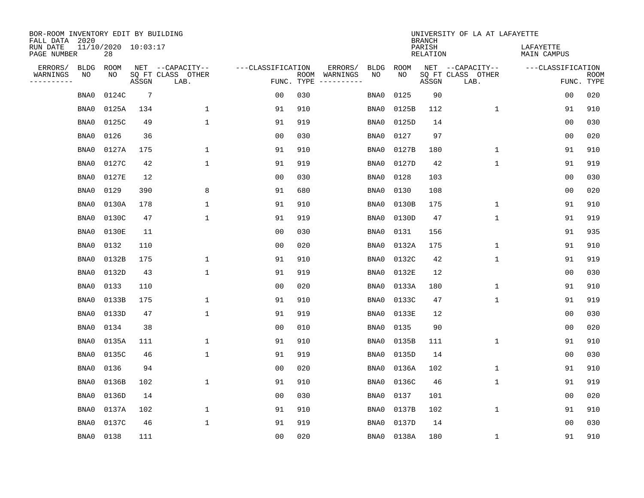| BOR-ROOM INVENTORY EDIT BY BUILDING<br>FALL DATA 2020 |             |                           |                 |                           |                   |                    |                         |             |             | <b>BRANCH</b>             | UNIVERSITY OF LA AT LAFAYETTE |                          |                           |
|-------------------------------------------------------|-------------|---------------------------|-----------------|---------------------------|-------------------|--------------------|-------------------------|-------------|-------------|---------------------------|-------------------------------|--------------------------|---------------------------|
| RUN DATE<br>PAGE NUMBER                               |             | 11/10/2020 10:03:17<br>28 |                 |                           |                   |                    |                         |             |             | PARISH<br><b>RELATION</b> |                               | LAFAYETTE<br>MAIN CAMPUS |                           |
| ERRORS/                                               | <b>BLDG</b> | ROOM                      |                 | NET --CAPACITY--          | ---CLASSIFICATION |                    | ERRORS/                 | <b>BLDG</b> | <b>ROOM</b> |                           | NET --CAPACITY--              | ---CLASSIFICATION        |                           |
| WARNINGS<br>-----------                               | NO          | NO                        | ASSGN           | SQ FT CLASS OTHER<br>LAB. |                   | ROOM<br>FUNC. TYPE | WARNINGS<br>----------- | NO          | NO          | ASSGN                     | SQ FT CLASS OTHER<br>LAB.     |                          | <b>ROOM</b><br>FUNC. TYPE |
|                                                       | BNA0        | 0124C                     | $7\phantom{.0}$ |                           | 0 <sub>0</sub>    | 030                |                         | BNA0        | 0125        | 90                        |                               | 0 <sub>0</sub>           | 020                       |
|                                                       | BNA0        | 0125A                     | 134             | 1                         | 91                | 910                |                         | BNA0        | 0125B       | 112                       | 1                             | 91                       | 910                       |
|                                                       | BNA0        | 0125C                     | 49              | $\mathbf 1$               | 91                | 919                |                         | BNA0        | 0125D       | 14                        |                               | 0 <sub>0</sub>           | 030                       |
|                                                       | BNA0        | 0126                      | 36              |                           | 0 <sub>0</sub>    | 030                |                         | BNA0        | 0127        | 97                        |                               | 0 <sub>0</sub>           | 020                       |
|                                                       | BNA0        | 0127A                     | 175             | $\mathbf 1$               | 91                | 910                |                         | BNA0        | 0127B       | 180                       | 1                             | 91                       | 910                       |
|                                                       | BNA0        | 0127C                     | 42              | $\mathbf{1}$              | 91                | 919                |                         | BNA0        | 0127D       | 42                        | 1                             | 91                       | 919                       |
|                                                       | BNA0        | 0127E                     | 12              |                           | 0 <sub>0</sub>    | 030                |                         | BNA0        | 0128        | 103                       |                               | 0 <sub>0</sub>           | 030                       |
|                                                       | BNA0        | 0129                      | 390             | 8                         | 91                | 680                |                         | BNA0        | 0130        | 108                       |                               | 0 <sub>0</sub>           | 020                       |
|                                                       | BNA0        | 0130A                     | 178             | $\mathbf{1}$              | 91                | 910                |                         | BNA0        | 0130B       | 175                       | $\mathbf{1}$                  | 91                       | 910                       |
|                                                       | BNA0        | 0130C                     | 47              | $\mathbf{1}$              | 91                | 919                |                         | BNA0        | 0130D       | 47                        | $\mathbf 1$                   | 91                       | 919                       |
|                                                       | BNA0        | 0130E                     | 11              |                           | 0 <sub>0</sub>    | 030                |                         | BNA0        | 0131        | 156                       |                               | 91                       | 935                       |
|                                                       | BNA0        | 0132                      | 110             |                           | 0 <sub>0</sub>    | 020                |                         | BNA0        | 0132A       | 175                       | $\mathbf 1$                   | 91                       | 910                       |
|                                                       | BNA0        | 0132B                     | 175             | 1                         | 91                | 910                |                         | BNA0        | 0132C       | 42                        | $\mathbf 1$                   | 91                       | 919                       |
|                                                       | BNA0        | 0132D                     | 43              | 1                         | 91                | 919                |                         | BNA0        | 0132E       | 12                        |                               | 00                       | 030                       |
|                                                       | BNA0        | 0133                      | 110             |                           | 0 <sub>0</sub>    | 020                |                         | BNA0        | 0133A       | 180                       | $\mathbf 1$                   | 91                       | 910                       |
|                                                       | BNA0        | 0133B                     | 175             | 1                         | 91                | 910                |                         | BNA0        | 0133C       | 47                        | $\mathbf 1$                   | 91                       | 919                       |
|                                                       | BNA0        | 0133D                     | 47              | $\mathbf{1}$              | 91                | 919                |                         | BNA0        | 0133E       | 12                        |                               | 0 <sub>0</sub>           | 030                       |
|                                                       | BNA0        | 0134                      | 38              |                           | 0 <sub>0</sub>    | 010                |                         | BNA0        | 0135        | 90                        |                               | 0 <sub>0</sub>           | 020                       |
|                                                       | BNA0        | 0135A                     | 111             | 1                         | 91                | 910                |                         | BNA0        | 0135B       | 111                       | 1                             | 91                       | 910                       |
|                                                       | BNA0        | 0135C                     | 46              | $\mathbf{1}$              | 91                | 919                |                         | BNA0        | 0135D       | 14                        |                               | 0 <sub>0</sub>           | 030                       |
|                                                       | BNA0        | 0136                      | 94              |                           | 0 <sub>0</sub>    | 020                |                         | BNA0        | 0136A       | 102                       | 1                             | 91                       | 910                       |
|                                                       | BNA0        | 0136B                     | 102             | $\mathbf{1}$              | 91                | 910                |                         | BNA0        | 0136C       | 46                        | 1                             | 91                       | 919                       |
|                                                       | BNA0        | 0136D                     | 14              |                           | 0 <sub>0</sub>    | 030                |                         | BNA0        | 0137        | 101                       |                               | 00                       | 020                       |
|                                                       | BNA0        | 0137A                     | 102             | 1                         | 91                | 910                |                         | BNA0        | 0137B       | 102                       | 1                             | 91                       | 910                       |
|                                                       | BNA0        | 0137C                     | 46              | 1                         | 91                | 919                |                         | BNA0        | 0137D       | 14                        |                               | 0 <sub>0</sub>           | 030                       |
|                                                       | BNA0        | 0138                      | 111             |                           | 0 <sub>0</sub>    | 020                |                         | BNA0        | 0138A       | 180                       | 1                             | 91                       | 910                       |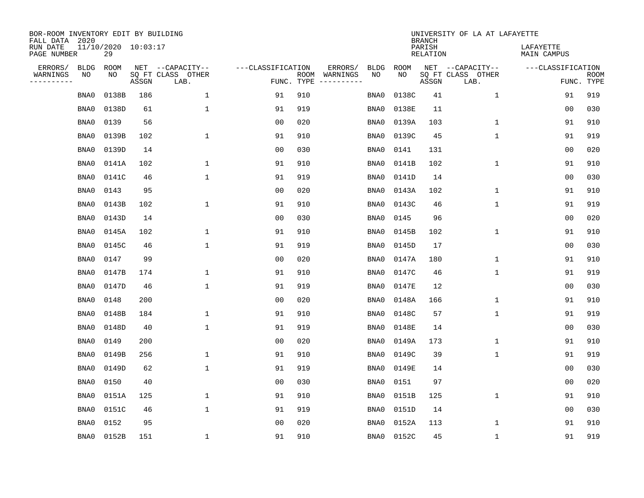| BOR-ROOM INVENTORY EDIT BY BUILDING<br>FALL DATA 2020 |             |                           |       |                           |                   |                    |          |             |             | <b>BRANCH</b>      | UNIVERSITY OF LA AT LAFAYETTE |                          |                           |
|-------------------------------------------------------|-------------|---------------------------|-------|---------------------------|-------------------|--------------------|----------|-------------|-------------|--------------------|-------------------------------|--------------------------|---------------------------|
| RUN DATE<br>PAGE NUMBER                               |             | 11/10/2020 10:03:17<br>29 |       |                           |                   |                    |          |             |             | PARISH<br>RELATION |                               | LAFAYETTE<br>MAIN CAMPUS |                           |
| ERRORS/                                               | <b>BLDG</b> | ROOM                      |       | NET --CAPACITY--          | ---CLASSIFICATION |                    | ERRORS/  | <b>BLDG</b> | <b>ROOM</b> |                    | NET --CAPACITY--              | ---CLASSIFICATION        |                           |
| WARNINGS<br>----------                                | NO          | NO                        | ASSGN | SQ FT CLASS OTHER<br>LAB. |                   | ROOM<br>FUNC. TYPE | WARNINGS | NO          | NO          | ASSGN              | SQ FT CLASS OTHER<br>LAB.     |                          | <b>ROOM</b><br>FUNC. TYPE |
|                                                       | BNA0        | 0138B                     | 186   | $\mathbf{1}$              | 91                | 910                |          | BNA0        | 0138C       | 41                 | 1                             | 91                       | 919                       |
|                                                       | BNA0        | 0138D                     | 61    | 1                         | 91                | 919                |          | BNA0        | 0138E       | 11                 |                               | 00                       | 030                       |
|                                                       | BNA0        | 0139                      | 56    |                           | 0 <sub>0</sub>    | 020                |          | BNA0        | 0139A       | 103                | 1                             | 91                       | 910                       |
|                                                       | BNA0        | 0139B                     | 102   | $\mathbf{1}$              | 91                | 910                |          | BNA0        | 0139C       | 45                 | 1                             | 91                       | 919                       |
|                                                       | BNA0        | 0139D                     | 14    |                           | 0 <sub>0</sub>    | 030                |          | BNA0        | 0141        | 131                |                               | 0 <sub>0</sub>           | 020                       |
|                                                       | BNA0        | 0141A                     | 102   | 1                         | 91                | 910                |          | BNA0        | 0141B       | 102                | $\mathbf 1$                   | 91                       | 910                       |
|                                                       | BNA0        | 0141C                     | 46    | $\mathbf{1}$              | 91                | 919                |          | BNA0        | 0141D       | 14                 |                               | 0 <sub>0</sub>           | 030                       |
|                                                       | BNA0        | 0143                      | 95    |                           | 0 <sub>0</sub>    | 020                |          | BNA0        | 0143A       | 102                | $\mathbf{1}$                  | 91                       | 910                       |
|                                                       | BNA0        | 0143B                     | 102   | $\mathbf{1}$              | 91                | 910                |          | BNA0        | 0143C       | 46                 | $\mathbf{1}$                  | 91                       | 919                       |
|                                                       | BNA0        | 0143D                     | 14    |                           | 0 <sub>0</sub>    | 030                |          | BNA0        | 0145        | 96                 |                               | 0 <sub>0</sub>           | 020                       |
|                                                       | BNA0        | 0145A                     | 102   | 1                         | 91                | 910                |          | BNA0        | 0145B       | 102                | $\mathbf 1$                   | 91                       | 910                       |
|                                                       | BNA0        | 0145C                     | 46    | 1                         | 91                | 919                |          | BNA0        | 0145D       | 17                 |                               | 0 <sub>0</sub>           | 030                       |
|                                                       | BNA0        | 0147                      | 99    |                           | 0 <sub>0</sub>    | 020                |          | BNA0        | 0147A       | 180                | 1                             | 91                       | 910                       |
|                                                       | BNA0        | 0147B                     | 174   | 1                         | 91                | 910                |          | BNA0        | 0147C       | 46                 | 1                             | 91                       | 919                       |
|                                                       | BNA0        | 0147D                     | 46    | 1                         | 91                | 919                |          | BNA0        | 0147E       | 12                 |                               | 0 <sub>0</sub>           | 030                       |
|                                                       | BNA0        | 0148                      | 200   |                           | 0 <sub>0</sub>    | 020                |          | BNA0        | 0148A       | 166                | 1                             | 91                       | 910                       |
|                                                       | BNA0        | 0148B                     | 184   | 1                         | 91                | 910                |          | BNA0        | 0148C       | 57                 | 1                             | 91                       | 919                       |
|                                                       | BNA0        | 0148D                     | 40    | 1                         | 91                | 919                |          | BNA0        | 0148E       | 14                 |                               | 0 <sub>0</sub>           | 030                       |
|                                                       | BNA0        | 0149                      | 200   |                           | 0 <sub>0</sub>    | 020                |          | BNA0        | 0149A       | 173                | 1                             | 91                       | 910                       |
|                                                       | BNA0        | 0149B                     | 256   | 1                         | 91                | 910                |          | BNA0        | 0149C       | 39                 | 1                             | 91                       | 919                       |
|                                                       | BNA0        | 0149D                     | 62    | $\mathbf{1}$              | 91                | 919                |          | BNA0        | 0149E       | 14                 |                               | 00                       | 030                       |
|                                                       | BNA0        | 0150                      | 40    |                           | 0 <sub>0</sub>    | 030                |          | BNA0        | 0151        | 97                 |                               | 00                       | 020                       |
|                                                       | BNA0        | 0151A                     | 125   | 1                         | 91                | 910                |          | BNA0        | 0151B       | 125                | 1                             | 91                       | 910                       |
|                                                       | BNA0        | 0151C                     | 46    | $\mathbf{1}$              | 91                | 919                |          | BNA0        | 0151D       | 14                 |                               | 0 <sub>0</sub>           | 030                       |
|                                                       | BNA0        | 0152                      | 95    |                           | 0 <sub>0</sub>    | 020                |          | BNA0        | 0152A       | 113                | 1                             | 91                       | 910                       |
|                                                       | BNA0        | 0152B                     | 151   | 1                         | 91                | 910                |          | BNA0        | 0152C       | 45                 | 1                             | 91                       | 919                       |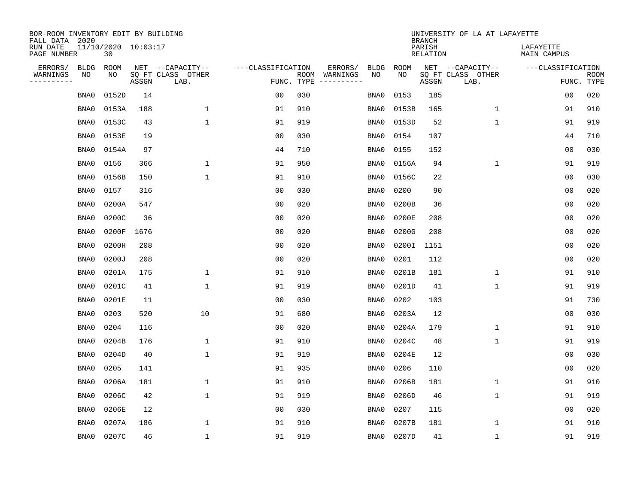| BOR-ROOM INVENTORY EDIT BY BUILDING<br>FALL DATA 2020 |                           |       |                           |                   |                    |                              |                   | <b>BRANCH</b>             | UNIVERSITY OF LA AT LAFAYETTE |                          |                           |
|-------------------------------------------------------|---------------------------|-------|---------------------------|-------------------|--------------------|------------------------------|-------------------|---------------------------|-------------------------------|--------------------------|---------------------------|
| RUN DATE<br>PAGE NUMBER                               | 11/10/2020 10:03:17<br>30 |       |                           |                   |                    |                              |                   | PARISH<br><b>RELATION</b> |                               | LAFAYETTE<br>MAIN CAMPUS |                           |
| ERRORS/<br><b>BLDG</b><br>WARNINGS<br>NO              | ROOM<br>NO                |       | NET --CAPACITY--          | ---CLASSIFICATION |                    | ERRORS/<br><b>BLDG</b><br>NO | <b>ROOM</b><br>NO |                           | NET --CAPACITY--              | ---CLASSIFICATION        |                           |
| ----------                                            |                           | ASSGN | SQ FT CLASS OTHER<br>LAB. |                   | ROOM<br>FUNC. TYPE | WARNINGS<br>-----------      |                   | ASSGN                     | SQ FT CLASS OTHER<br>LAB.     |                          | <b>ROOM</b><br>FUNC. TYPE |
| BNA0                                                  | 0152D                     | 14    |                           | 0 <sub>0</sub>    | 030                | BNA0                         | 0153              | 185                       |                               | 00                       | 020                       |
| BNA0                                                  | 0153A                     | 188   | $\mathbf 1$               | 91                | 910                | BNA0                         | 0153B             | 165                       | 1                             | 91                       | 910                       |
| BNA0                                                  | 0153C                     | 43    | $\mathbf{1}$              | 91                | 919                | BNA0                         | 0153D             | 52                        | $\mathbf 1$                   | 91                       | 919                       |
| BNA0                                                  | 0153E                     | 19    |                           | 0 <sub>0</sub>    | 030                | BNA0                         | 0154              | 107                       |                               | 44                       | 710                       |
| BNA0                                                  | 0154A                     | 97    |                           | 44                | 710                | BNA0                         | 0155              | 152                       |                               | 0 <sub>0</sub>           | 030                       |
| BNA0                                                  | 0156                      | 366   | $\mathbf{1}$              | 91                | 950                | BNA0                         | 0156A             | 94                        | $\mathbf{1}$                  | 91                       | 919                       |
| BNA0                                                  | 0156B                     | 150   | $\mathbf{1}$              | 91                | 910                | BNA0                         | 0156C             | 22                        |                               | 0 <sub>0</sub>           | 030                       |
| BNA0                                                  | 0157                      | 316   |                           | 0 <sub>0</sub>    | 030                | BNA0                         | 0200              | 90                        |                               | 0 <sub>0</sub>           | 020                       |
| BNA0                                                  | 0200A                     | 547   |                           | 0 <sub>0</sub>    | 020                | BNA0                         | 0200B             | 36                        |                               | 0 <sub>0</sub>           | 020                       |
| BNA0                                                  | 0200C                     | 36    |                           | 0 <sub>0</sub>    | 020                | BNA0                         | 0200E             | 208                       |                               | 0 <sub>0</sub>           | 020                       |
| BNA0                                                  | 0200F                     | 1676  |                           | 0 <sub>0</sub>    | 020                | BNA0                         | 0200G             | 208                       |                               | 0 <sub>0</sub>           | 020                       |
| BNA0                                                  | 0200H                     | 208   |                           | 0 <sub>0</sub>    | 020                | BNA0                         | 0200I             | 1151                      |                               | 0 <sub>0</sub>           | 020                       |
| BNA0                                                  | 0200J                     | 208   |                           | 0 <sub>0</sub>    | 020                | BNA0                         | 0201              | 112                       |                               | 0 <sub>0</sub>           | 020                       |
| BNA0                                                  | 0201A                     | 175   | 1                         | 91                | 910                | BNA0                         | 0201B             | 181                       | 1                             | 91                       | 910                       |
| BNA0                                                  | 0201C                     | 41    | 1                         | 91                | 919                | BNA0                         | 0201D             | 41                        | 1                             | 91                       | 919                       |
| BNA0                                                  | 0201E                     | 11    |                           | 0 <sub>0</sub>    | 030                | BNA0                         | 0202              | 103                       |                               | 91                       | 730                       |
| BNA0                                                  | 0203                      | 520   | 10                        | 91                | 680                | BNA0                         | 0203A             | 12                        |                               | 0 <sub>0</sub>           | 030                       |
| BNA0                                                  | 0204                      | 116   |                           | 0 <sub>0</sub>    | 020                | BNA0                         | 0204A             | 179                       | 1                             | 91                       | 910                       |
| BNA0                                                  | 0204B                     | 176   | $\mathbf{1}$              | 91                | 910                | BNA0                         | 0204C             | 48                        | 1                             | 91                       | 919                       |
| BNA0                                                  | 0204D                     | 40    | $\mathbf 1$               | 91                | 919                | BNA0                         | 0204E             | 12                        |                               | 0 <sub>0</sub>           | 030                       |
| BNA0                                                  | 0205                      | 141   |                           | 91                | 935                | BNA0                         | 0206              | 110                       |                               | 00                       | 020                       |
| BNA0                                                  | 0206A                     | 181   | $\mathbf 1$               | 91                | 910                | BNA0                         | 0206B             | 181                       | $\mathbf 1$                   | 91                       | 910                       |
| BNA0                                                  | 0206C                     | 42    | $\mathbf{1}$              | 91                | 919                | BNA0                         | 0206D             | 46                        | 1                             | 91                       | 919                       |
| BNA0                                                  | 0206E                     | 12    |                           | 0 <sub>0</sub>    | 030                | BNA0                         | 0207              | 115                       |                               | 0 <sub>0</sub>           | 020                       |
| BNA0                                                  | 0207A                     | 186   | 1                         | 91                | 910                | BNA0                         | 0207B             | 181                       | 1                             | 91                       | 910                       |
| BNA0                                                  | 0207C                     | 46    | $\mathbf{1}$              | 91                | 919                | BNA0                         | 0207D             | 41                        | 1                             | 91                       | 919                       |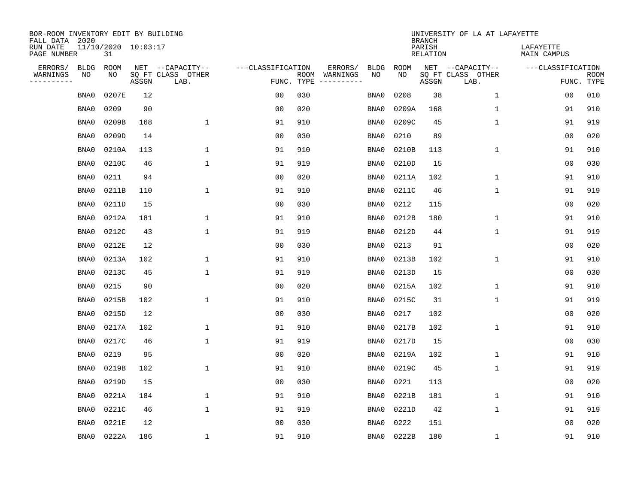| BOR-ROOM INVENTORY EDIT BY BUILDING<br>FALL DATA 2020 |                           |       |                           |                   |                    |                               |             | <b>BRANCH</b>             | UNIVERSITY OF LA AT LAFAYETTE |                          |                           |
|-------------------------------------------------------|---------------------------|-------|---------------------------|-------------------|--------------------|-------------------------------|-------------|---------------------------|-------------------------------|--------------------------|---------------------------|
| RUN DATE<br>PAGE NUMBER                               | 11/10/2020 10:03:17<br>31 |       |                           |                   |                    |                               |             | PARISH<br><b>RELATION</b> |                               | LAFAYETTE<br>MAIN CAMPUS |                           |
| ERRORS/<br><b>BLDG</b>                                | ROOM                      |       | NET --CAPACITY--          | ---CLASSIFICATION |                    | ERRORS/<br><b>BLDG</b>        | <b>ROOM</b> |                           | NET --CAPACITY--              | ---CLASSIFICATION        |                           |
| WARNINGS<br>NO<br>----------                          | NO                        | ASSGN | SQ FT CLASS OTHER<br>LAB. |                   | ROOM<br>FUNC. TYPE | NO<br>WARNINGS<br>----------- | NO          | ASSGN                     | SQ FT CLASS OTHER<br>LAB.     |                          | <b>ROOM</b><br>FUNC. TYPE |
| BNA0                                                  | 0207E                     | 12    |                           | 0 <sub>0</sub>    | 030                | BNA0                          | 0208        | 38                        | $\mathbf 1$                   | 00                       | 010                       |
| BNA0                                                  | 0209                      | 90    |                           | 0 <sub>0</sub>    | 020                | BNA0                          | 0209A       | 168                       | 1                             | 91                       | 910                       |
| BNA0                                                  | 0209B                     | 168   | $\mathbf 1$               | 91                | 910                | BNA0                          | 0209C       | 45                        | $\mathbf 1$                   | 91                       | 919                       |
| BNA0                                                  | 0209D                     | 14    |                           | 0 <sub>0</sub>    | 030                | BNA0                          | 0210        | 89                        |                               | 0 <sub>0</sub>           | 020                       |
| BNA0                                                  | 0210A                     | 113   | $\mathbf{1}$              | 91                | 910                | BNA0                          | 0210B       | 113                       | $\mathbf 1$                   | 91                       | 910                       |
| BNA0                                                  | 0210C                     | 46    | $\mathbf{1}$              | 91                | 919                | BNA0                          | 0210D       | 15                        |                               | 0 <sub>0</sub>           | 030                       |
| BNA0                                                  | 0211                      | 94    |                           | 0 <sub>0</sub>    | 020                | BNA0                          | 0211A       | 102                       | $\mathbf 1$                   | 91                       | 910                       |
| BNA0                                                  | 0211B                     | 110   | $\mathbf{1}$              | 91                | 910                | BNA0                          | 0211C       | 46                        | $\mathbf 1$                   | 91                       | 919                       |
| BNA0                                                  | 0211D                     | 15    |                           | 0 <sub>0</sub>    | 030                | BNA0                          | 0212        | 115                       |                               | 00                       | 020                       |
| BNA0                                                  | 0212A                     | 181   | 1                         | 91                | 910                | BNA0                          | 0212B       | 180                       | $\mathbf 1$                   | 91                       | 910                       |
| BNA0                                                  | 0212C                     | 43    | $\mathbf{1}$              | 91                | 919                | BNA0                          | 0212D       | 44                        | $\mathbf 1$                   | 91                       | 919                       |
| BNA0                                                  | 0212E                     | 12    |                           | 0 <sub>0</sub>    | 030                | BNA0                          | 0213        | 91                        |                               | 0 <sub>0</sub>           | 020                       |
| BNA0                                                  | 0213A                     | 102   | 1                         | 91                | 910                | BNA0                          | 0213B       | 102                       | $\mathbf 1$                   | 91                       | 910                       |
| BNA0                                                  | 0213C                     | 45    | 1                         | 91                | 919                | BNA0                          | 0213D       | 15                        |                               | 0 <sub>0</sub>           | 030                       |
| BNA0                                                  | 0215                      | 90    |                           | 0 <sub>0</sub>    | 020                | BNA0                          | 0215A       | 102                       | 1                             | 91                       | 910                       |
| BNA0                                                  | 0215B                     | 102   | 1                         | 91                | 910                | BNA0                          | 0215C       | 31                        | 1                             | 91                       | 919                       |
| BNA0                                                  | 0215D                     | 12    |                           | 0 <sub>0</sub>    | 030                | BNA0                          | 0217        | 102                       |                               | 0 <sub>0</sub>           | 020                       |
| BNA0                                                  | 0217A                     | 102   | $\mathbf{1}$              | 91                | 910                | BNA0                          | 0217B       | 102                       | 1                             | 91                       | 910                       |
| BNA0                                                  | 0217C                     | 46    | $\mathbf{1}$              | 91                | 919                | BNA0                          | 0217D       | 15                        |                               | 0 <sub>0</sub>           | 030                       |
| BNA0                                                  | 0219                      | 95    |                           | 0 <sub>0</sub>    | 020                | BNA0                          | 0219A       | 102                       | 1                             | 91                       | 910                       |
| BNA0                                                  | 0219B                     | 102   | $\mathbf{1}$              | 91                | 910                | BNA0                          | 0219C       | 45                        | 1                             | 91                       | 919                       |
| BNA0                                                  | 0219D                     | 15    |                           | 0 <sub>0</sub>    | 030                | BNA0                          | 0221        | 113                       |                               | 00                       | 020                       |
| BNA0                                                  | 0221A                     | 184   | 1                         | 91                | 910                | BNA0                          | 0221B       | 181                       | 1                             | 91                       | 910                       |
| BNA0                                                  | 0221C                     | 46    | $\mathbf{1}$              | 91                | 919                | BNA0                          | 0221D       | 42                        | $\mathbf 1$                   | 91                       | 919                       |
| BNA0                                                  | 0221E                     | 12    |                           | 0 <sub>0</sub>    | 030                | BNA0                          | 0222        | 151                       |                               | 0 <sub>0</sub>           | 020                       |
| BNA0                                                  | 0222A                     | 186   | 1                         | 91                | 910                | BNA0                          | 0222B       | 180                       | 1                             | 91                       | 910                       |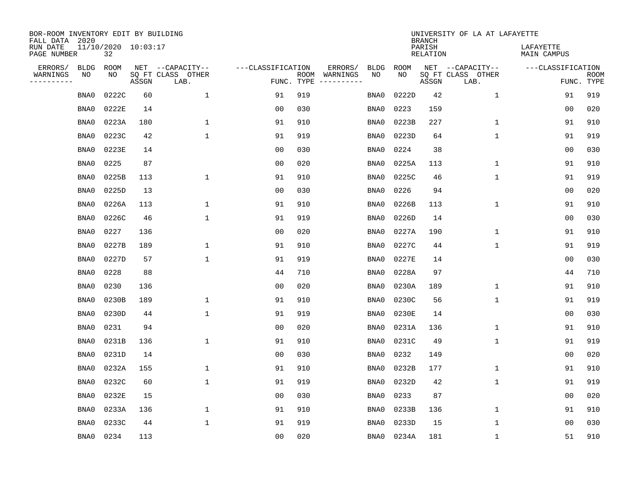| BOR-ROOM INVENTORY EDIT BY BUILDING<br>FALL DATA 2020 |                           |       |       |                           |                   |                    |                               |      |             | <b>BRANCH</b>             | UNIVERSITY OF LA AT LAFAYETTE |                          |                           |
|-------------------------------------------------------|---------------------------|-------|-------|---------------------------|-------------------|--------------------|-------------------------------|------|-------------|---------------------------|-------------------------------|--------------------------|---------------------------|
| RUN DATE<br>PAGE NUMBER                               | 11/10/2020 10:03:17<br>32 |       |       |                           |                   |                    |                               |      |             | PARISH<br><b>RELATION</b> |                               | LAFAYETTE<br>MAIN CAMPUS |                           |
| ERRORS/                                               | <b>BLDG</b>               | ROOM  |       | NET --CAPACITY--          | ---CLASSIFICATION |                    | ERRORS/<br><b>BLDG</b>        |      | <b>ROOM</b> |                           | NET --CAPACITY--              | ---CLASSIFICATION        |                           |
| WARNINGS<br>----------                                | NO                        | NO    | ASSGN | SQ FT CLASS OTHER<br>LAB. |                   | ROOM<br>FUNC. TYPE | NO<br>WARNINGS<br>----------- |      | NO          | ASSGN                     | SQ FT CLASS OTHER<br>LAB.     |                          | <b>ROOM</b><br>FUNC. TYPE |
|                                                       | BNA0                      | 0222C | 60    | 1                         | 91                | 919                | BNA0                          |      | 0222D       | 42                        | $\mathbf 1$                   | 91                       | 919                       |
|                                                       | BNA0                      | 0222E | 14    |                           | 0 <sub>0</sub>    | 030                | BNA0                          |      | 0223        | 159                       |                               | 00                       | 020                       |
|                                                       | BNA0                      | 0223A | 180   | $\mathbf 1$               | 91                | 910                | BNA0                          |      | 0223B       | 227                       | 1                             | 91                       | 910                       |
|                                                       | BNA0                      | 0223C | 42    | $\mathbf{1}$              | 91                | 919                | BNA0                          |      | 0223D       | 64                        | 1                             | 91                       | 919                       |
|                                                       | BNA0                      | 0223E | 14    |                           | 0 <sub>0</sub>    | 030                | BNA0                          |      | 0224        | 38                        |                               | 00                       | 030                       |
|                                                       | BNA0                      | 0225  | 87    |                           | 0 <sub>0</sub>    | 020                | BNA0                          |      | 0225A       | 113                       | 1                             | 91                       | 910                       |
|                                                       | BNA0                      | 0225B | 113   | $\mathbf{1}$              | 91                | 910                | BNA0                          |      | 0225C       | 46                        | $\mathbf{1}$                  | 91                       | 919                       |
|                                                       | BNA0                      | 0225D | 13    |                           | 0 <sub>0</sub>    | 030                | BNA0                          |      | 0226        | 94                        |                               | 00                       | 020                       |
|                                                       | BNA0                      | 0226A | 113   | $\mathbf{1}$              | 91                | 910                | BNA0                          |      | 0226B       | 113                       | $\mathbf{1}$                  | 91                       | 910                       |
|                                                       | BNA0                      | 0226C | 46    | $\mathbf{1}$              | 91                | 919                | BNA0                          |      | 0226D       | 14                        |                               | 00                       | 030                       |
|                                                       | BNA0                      | 0227  | 136   |                           | 0 <sub>0</sub>    | 020                | BNA0                          |      | 0227A       | 190                       | $\mathbf 1$                   | 91                       | 910                       |
|                                                       | BNA0                      | 0227B | 189   | 1                         | 91                | 910                | BNA0                          |      | 0227C       | 44                        | $\mathbf 1$                   | 91                       | 919                       |
|                                                       | BNA0                      | 0227D | 57    | $\mathbf{1}$              | 91                | 919                | BNA0                          |      | 0227E       | 14                        |                               | 0 <sub>0</sub>           | 030                       |
|                                                       | BNA0                      | 0228  | 88    |                           | 44                | 710                | BNA0                          |      | 0228A       | 97                        |                               | 44                       | 710                       |
|                                                       | BNA0                      | 0230  | 136   |                           | 0 <sub>0</sub>    | 020                | BNA0                          |      | 0230A       | 189                       | $\mathbf 1$                   | 91                       | 910                       |
|                                                       | BNA0                      | 0230B | 189   | 1                         | 91                | 910                | BNA0                          |      | 0230C       | 56                        | 1                             | 91                       | 919                       |
|                                                       | BNA0                      | 0230D | 44    | 1                         | 91                | 919                | BNA0                          |      | 0230E       | 14                        |                               | 00                       | 030                       |
|                                                       | BNA0                      | 0231  | 94    |                           | 00                | 020                | BNA0                          |      | 0231A       | 136                       | 1                             | 91                       | 910                       |
|                                                       | BNA0                      | 0231B | 136   | 1                         | 91                | 910                | BNA0                          |      | 0231C       | 49                        | 1                             | 91                       | 919                       |
|                                                       | BNA0                      | 0231D | 14    |                           | 0 <sub>0</sub>    | 030                | BNA0                          |      | 0232        | 149                       |                               | 0 <sub>0</sub>           | 020                       |
|                                                       | BNA0                      | 0232A | 155   | 1                         | 91                | 910                | BNA0                          |      | 0232B       | 177                       | 1                             | 91                       | 910                       |
|                                                       | BNA0                      | 0232C | 60    | $\mathbf{1}$              | 91                | 919                | BNA0                          |      | 0232D       | 42                        | $\mathbf{1}$                  | 91                       | 919                       |
|                                                       | BNA0                      | 0232E | 15    |                           | 0 <sub>0</sub>    | 030                | BNA0                          |      | 0233        | 87                        |                               | 0 <sub>0</sub>           | 020                       |
|                                                       | BNA0                      | 0233A | 136   | 1                         | 91                | 910                | BNA0                          |      | 0233B       | 136                       | 1                             | 91                       | 910                       |
|                                                       | BNA0                      | 0233C | 44    | $\mathbf{1}$              | 91                | 919                | BNA0                          |      | 0233D       | 15                        | 1                             | 00                       | 030                       |
|                                                       | BNA0                      | 0234  | 113   |                           | 0 <sub>0</sub>    | 020                |                               | BNA0 | 0234A       | 181                       | 1                             | 51                       | 910                       |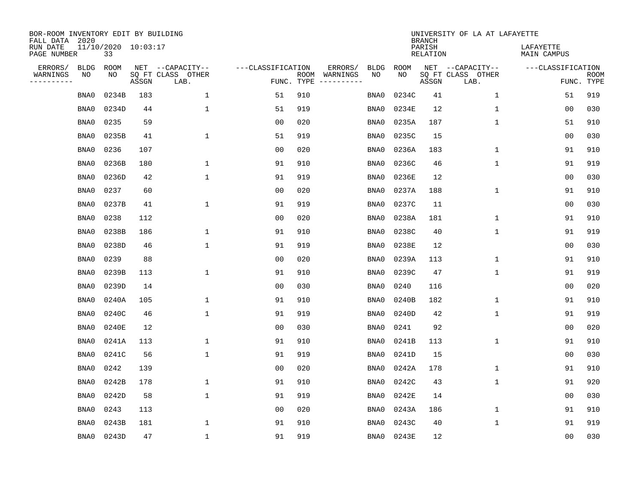| BOR-ROOM INVENTORY EDIT BY BUILDING<br>FALL DATA 2020 |             |                           |       |                           |                   |                    |          |             |             | <b>BRANCH</b>             | UNIVERSITY OF LA AT LAFAYETTE |                          |                           |
|-------------------------------------------------------|-------------|---------------------------|-------|---------------------------|-------------------|--------------------|----------|-------------|-------------|---------------------------|-------------------------------|--------------------------|---------------------------|
| RUN DATE<br>PAGE NUMBER                               |             | 11/10/2020 10:03:17<br>33 |       |                           |                   |                    |          |             |             | PARISH<br><b>RELATION</b> |                               | LAFAYETTE<br>MAIN CAMPUS |                           |
| ERRORS/                                               | <b>BLDG</b> | ROOM                      |       | NET --CAPACITY--          | ---CLASSIFICATION |                    | ERRORS/  | <b>BLDG</b> | <b>ROOM</b> |                           | NET --CAPACITY--              | ---CLASSIFICATION        |                           |
| WARNINGS<br>----------                                | NO          | NO                        | ASSGN | SQ FT CLASS OTHER<br>LAB. |                   | ROOM<br>FUNC. TYPE | WARNINGS | NO          | NO          | ASSGN                     | SQ FT CLASS OTHER<br>LAB.     |                          | <b>ROOM</b><br>FUNC. TYPE |
|                                                       | BNA0        | 0234B                     | 183   | $\mathbf{1}$              | 51                | 910                |          | BNA0        | 0234C       | 41                        | 1                             | 51                       | 919                       |
|                                                       | BNA0        | 0234D                     | 44    | 1                         | 51                | 919                |          | BNA0        | 0234E       | 12                        | 1                             | 00                       | 030                       |
|                                                       | BNA0        | 0235                      | 59    |                           | 0 <sub>0</sub>    | 020                |          | BNA0        | 0235A       | 187                       | 1                             | 51                       | 910                       |
|                                                       | BNA0        | 0235B                     | 41    | $\mathbf{1}$              | 51                | 919                |          | BNA0        | 0235C       | 15                        |                               | 0 <sub>0</sub>           | 030                       |
|                                                       | BNA0        | 0236                      | 107   |                           | 0 <sub>0</sub>    | 020                |          | BNA0        | 0236A       | 183                       | $\mathbf 1$                   | 91                       | 910                       |
|                                                       | BNA0        | 0236B                     | 180   | $\mathbf{1}$              | 91                | 910                |          | BNA0        | 0236C       | 46                        | $\mathbf 1$                   | 91                       | 919                       |
|                                                       | BNA0        | 0236D                     | 42    | $\mathbf{1}$              | 91                | 919                |          | BNA0        | 0236E       | 12                        |                               | 0 <sub>0</sub>           | 030                       |
|                                                       | BNA0        | 0237                      | 60    |                           | 0 <sub>0</sub>    | 020                |          | BNA0        | 0237A       | 188                       | $\mathbf{1}$                  | 91                       | 910                       |
|                                                       | BNA0        | 0237B                     | 41    | $\mathbf{1}$              | 91                | 919                |          | BNA0        | 0237C       | 11                        |                               | 0 <sub>0</sub>           | 030                       |
|                                                       | BNA0        | 0238                      | 112   |                           | 0 <sub>0</sub>    | 020                |          | BNA0        | 0238A       | 181                       | 1                             | 91                       | 910                       |
|                                                       | BNA0        | 0238B                     | 186   | 1                         | 91                | 910                |          | BNA0        | 0238C       | 40                        | $\mathbf 1$                   | 91                       | 919                       |
|                                                       | BNA0        | 0238D                     | 46    | 1                         | 91                | 919                |          | BNA0        | 0238E       | 12                        |                               | 0 <sub>0</sub>           | 030                       |
|                                                       | BNA0        | 0239                      | 88    |                           | 0 <sub>0</sub>    | 020                |          | BNA0        | 0239A       | 113                       | 1                             | 91                       | 910                       |
|                                                       | BNA0        | 0239B                     | 113   | 1                         | 91                | 910                |          | BNA0        | 0239C       | 47                        | 1                             | 91                       | 919                       |
|                                                       | BNA0        | 0239D                     | 14    |                           | 0 <sub>0</sub>    | 030                |          | BNA0        | 0240        | 116                       |                               | 0 <sub>0</sub>           | 020                       |
|                                                       | BNA0        | 0240A                     | 105   | 1                         | 91                | 910                |          | BNA0        | 0240B       | 182                       | 1                             | 91                       | 910                       |
|                                                       | BNA0        | 0240C                     | 46    | $\mathbf{1}$              | 91                | 919                |          | BNA0        | 0240D       | 42                        | 1                             | 91                       | 919                       |
|                                                       | BNA0        | 0240E                     | 12    |                           | 0 <sub>0</sub>    | 030                |          | BNA0        | 0241        | 92                        |                               | 0 <sub>0</sub>           | 020                       |
|                                                       | BNA0        | 0241A                     | 113   | 1                         | 91                | 910                |          | BNA0        | 0241B       | 113                       | 1                             | 91                       | 910                       |
|                                                       | BNA0        | 0241C                     | 56    | 1                         | 91                | 919                |          | BNA0        | 0241D       | 15                        |                               | 0 <sub>0</sub>           | 030                       |
|                                                       | BNA0        | 0242                      | 139   |                           | 0 <sub>0</sub>    | 020                |          | BNA0        | 0242A       | 178                       | 1                             | 91                       | 910                       |
|                                                       | BNA0        | 0242B                     | 178   | 1                         | 91                | 910                |          | BNA0        | 0242C       | 43                        | 1                             | 91                       | 920                       |
|                                                       | BNA0        | 0242D                     | 58    | $\mathbf{1}$              | 91                | 919                |          | BNA0        | 0242E       | 14                        |                               | 0 <sub>0</sub>           | 030                       |
|                                                       | BNA0        | 0243                      | 113   |                           | 0 <sub>0</sub>    | 020                |          | BNA0        | 0243A       | 186                       | 1                             | 91                       | 910                       |
|                                                       | BNA0        | 0243B                     | 181   | 1                         | 91                | 910                |          | BNA0        | 0243C       | 40                        | 1                             | 91                       | 919                       |
|                                                       | BNA0        | 0243D                     | 47    | $\mathbf{1}$              | 91                | 919                |          | BNA0        | 0243E       | 12                        |                               | 00                       | 030                       |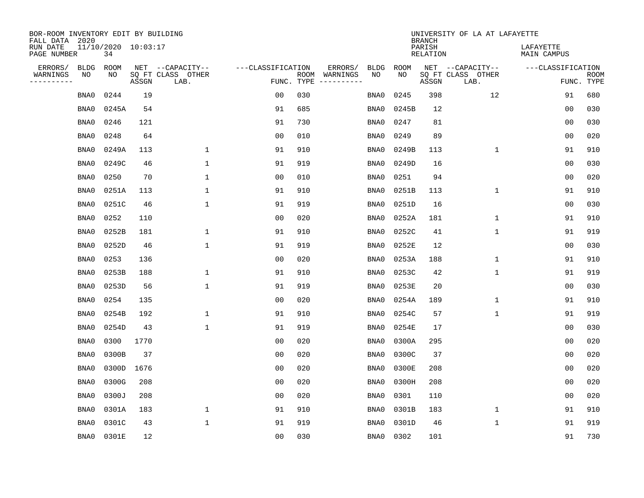| BOR-ROOM INVENTORY EDIT BY BUILDING<br>FALL DATA 2020 |                           |       |                           |                   |                    |                         |             |             | <b>BRANCH</b>             | UNIVERSITY OF LA AT LAFAYETTE |                          |                           |
|-------------------------------------------------------|---------------------------|-------|---------------------------|-------------------|--------------------|-------------------------|-------------|-------------|---------------------------|-------------------------------|--------------------------|---------------------------|
| RUN DATE<br>PAGE NUMBER                               | 11/10/2020 10:03:17<br>34 |       |                           |                   |                    |                         |             |             | PARISH<br><b>RELATION</b> |                               | LAFAYETTE<br>MAIN CAMPUS |                           |
| ERRORS/<br><b>BLDG</b>                                | ROOM                      |       | NET --CAPACITY--          | ---CLASSIFICATION |                    | ERRORS/                 | <b>BLDG</b> | <b>ROOM</b> |                           | NET --CAPACITY--              | ---CLASSIFICATION        |                           |
| WARNINGS<br>NO<br>----------                          | NO                        | ASSGN | SQ FT CLASS OTHER<br>LAB. |                   | ROOM<br>FUNC. TYPE | WARNINGS<br>----------- | NO          | NO          | ASSGN                     | SQ FT CLASS OTHER<br>LAB.     |                          | <b>ROOM</b><br>FUNC. TYPE |
| BNA0                                                  | 0244                      | 19    |                           | 0 <sub>0</sub>    | 030                |                         | BNA0        | 0245        | 398                       | 12                            | 91                       | 680                       |
| BNA0                                                  | 0245A                     | 54    |                           | 91                | 685                |                         | BNA0        | 0245B       | 12                        |                               | 00                       | 030                       |
| BNA0                                                  | 0246                      | 121   |                           | 91                | 730                |                         | BNA0        | 0247        | 81                        |                               | 00                       | 030                       |
| BNA0                                                  | 0248                      | 64    |                           | 0 <sub>0</sub>    | 010                |                         | BNA0        | 0249        | 89                        |                               | 0 <sub>0</sub>           | 020                       |
| BNA0                                                  | 0249A                     | 113   | $\mathbf{1}$              | 91                | 910                |                         | BNA0        | 0249B       | 113                       | $\mathbf{1}$                  | 91                       | 910                       |
| BNA0                                                  | 0249C                     | 46    | $\mathbf{1}$              | 91                | 919                |                         | BNA0        | 0249D       | 16                        |                               | 00                       | 030                       |
| BNA0                                                  | 0250                      | 70    | $\mathbf{1}$              | 0 <sub>0</sub>    | 010                |                         | BNA0        | 0251        | 94                        |                               | 0 <sub>0</sub>           | 020                       |
| BNA0                                                  | 0251A                     | 113   | $\mathbf{1}$              | 91                | 910                |                         | BNA0        | 0251B       | 113                       | $\mathbf 1$                   | 91                       | 910                       |
| BNA0                                                  | 0251C                     | 46    | $\mathbf{1}$              | 91                | 919                |                         | BNA0        | 0251D       | 16                        |                               | 00                       | 030                       |
| BNA0                                                  | 0252                      | 110   |                           | 0 <sub>0</sub>    | 020                |                         | BNA0        | 0252A       | 181                       | $\mathbf 1$                   | 91                       | 910                       |
| BNA0                                                  | 0252B                     | 181   | $\mathbf{1}$              | 91                | 910                |                         | BNA0        | 0252C       | 41                        | $\mathbf 1$                   | 91                       | 919                       |
| BNA0                                                  | 0252D                     | 46    | $\mathbf{1}$              | 91                | 919                |                         | BNA0        | 0252E       | 12                        |                               | 0 <sub>0</sub>           | 030                       |
| BNA0                                                  | 0253                      | 136   |                           | 0 <sub>0</sub>    | 020                |                         | BNA0        | 0253A       | 188                       | $\mathbf 1$                   | 91                       | 910                       |
| BNA0                                                  | 0253B                     | 188   | 1                         | 91                | 910                |                         | BNA0        | 0253C       | 42                        | 1                             | 91                       | 919                       |
| BNA0                                                  | 0253D                     | 56    | 1                         | 91                | 919                |                         | BNA0        | 0253E       | 20                        |                               | 0 <sub>0</sub>           | 030                       |
| BNA0                                                  | 0254                      | 135   |                           | 0 <sub>0</sub>    | 020                |                         | BNA0        | 0254A       | 189                       | 1                             | 91                       | 910                       |
| BNA0                                                  | 0254B                     | 192   | 1                         | 91                | 910                |                         | BNA0        | 0254C       | 57                        | 1                             | 91                       | 919                       |
| BNA0                                                  | 0254D                     | 43    | $\mathbf{1}$              | 91                | 919                |                         | BNA0        | 0254E       | 17                        |                               | 0 <sub>0</sub>           | 030                       |
| BNA0                                                  | 0300                      | 1770  |                           | 0 <sub>0</sub>    | 020                |                         | BNA0        | 0300A       | 295                       |                               | 0 <sub>0</sub>           | 020                       |
| BNA0                                                  | 0300B                     | 37    |                           | 0 <sub>0</sub>    | 020                |                         | BNA0        | 0300C       | 37                        |                               | 0 <sub>0</sub>           | 020                       |
| BNA0                                                  | 0300D                     | 1676  |                           | 0 <sub>0</sub>    | 020                |                         | BNA0        | 0300E       | 208                       |                               | 0 <sub>0</sub>           | 020                       |
| BNA0                                                  | 0300G                     | 208   |                           | 0 <sub>0</sub>    | 020                |                         | BNA0        | 0300H       | 208                       |                               | 00                       | 020                       |
| BNA0                                                  | 0300J                     | 208   |                           | 0 <sub>0</sub>    | 020                |                         | BNA0        | 0301        | 110                       |                               | 0 <sub>0</sub>           | 020                       |
| BNA0                                                  | 0301A                     | 183   | $\mathbf 1$               | 91                | 910                |                         | BNA0        | 0301B       | 183                       | $\mathbf 1$                   | 91                       | 910                       |
| BNA0                                                  | 0301C                     | 43    | $\mathbf{1}$              | 91                | 919                |                         | BNA0        | 0301D       | 46                        | 1                             | 91                       | 919                       |
| BNA0                                                  | 0301E                     | 12    |                           | 0 <sub>0</sub>    | 030                |                         | BNA0        | 0302        | 101                       |                               | 91                       | 730                       |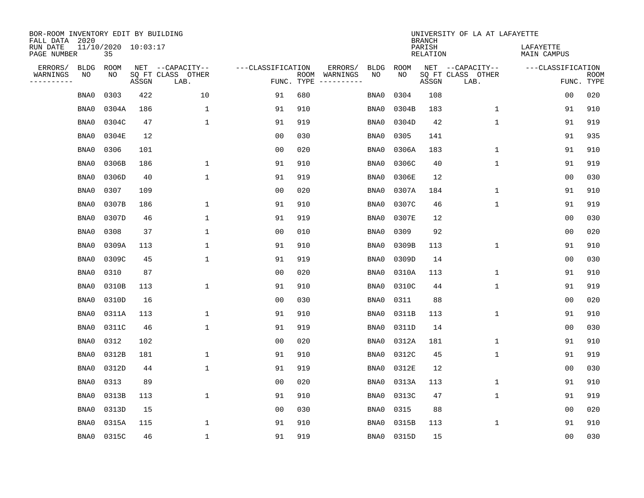| BOR-ROOM INVENTORY EDIT BY BUILDING<br>FALL DATA 2020 |                           |       |                           |                   |                    |                               |             | <b>BRANCH</b>             |       | UNIVERSITY OF LA AT LAFAYETTE |                          |                           |
|-------------------------------------------------------|---------------------------|-------|---------------------------|-------------------|--------------------|-------------------------------|-------------|---------------------------|-------|-------------------------------|--------------------------|---------------------------|
| RUN DATE<br>PAGE NUMBER                               | 11/10/2020 10:03:17<br>35 |       |                           |                   |                    |                               |             | PARISH<br><b>RELATION</b> |       |                               | LAFAYETTE<br>MAIN CAMPUS |                           |
| ERRORS/<br><b>BLDG</b>                                | ROOM                      |       | NET --CAPACITY--          | ---CLASSIFICATION |                    | ERRORS/<br><b>BLDG</b>        | <b>ROOM</b> |                           |       | NET --CAPACITY--              | ---CLASSIFICATION        |                           |
| WARNINGS<br>NO<br>----------                          | NO                        | ASSGN | SQ FT CLASS OTHER<br>LAB. |                   | ROOM<br>FUNC. TYPE | NO<br>WARNINGS<br>----------- | NO          |                           | ASSGN | SQ FT CLASS OTHER<br>LAB.     |                          | <b>ROOM</b><br>FUNC. TYPE |
| BNA0                                                  | 0303                      | 422   | 10                        | 91                | 680                | BNA0                          | 0304        |                           | 108   |                               | 00                       | 020                       |
| BNA0                                                  | 0304A                     | 186   | 1                         | 91                | 910                | BNA0                          | 0304B       |                           | 183   | 1                             | 91                       | 910                       |
| BNA0                                                  | 0304C                     | 47    | $\mathbf 1$               | 91                | 919                | BNA0                          | 0304D       |                           | 42    | $\mathbf 1$                   | 91                       | 919                       |
| BNA0                                                  | 0304E                     | 12    |                           | 0 <sub>0</sub>    | 030                | BNA0                          | 0305        |                           | 141   |                               | 91                       | 935                       |
| BNA0                                                  | 0306                      | 101   |                           | 0 <sub>0</sub>    | 020                | BNA0                          | 0306A       |                           | 183   | $\mathbf 1$                   | 91                       | 910                       |
| BNA0                                                  | 0306B                     | 186   | $\mathbf{1}$              | 91                | 910                | BNA0                          | 0306C       |                           | 40    | $\mathbf 1$                   | 91                       | 919                       |
| BNA0                                                  | 0306D                     | 40    | $\mathbf{1}$              | 91                | 919                | BNA0                          | 0306E       |                           | 12    |                               | 0 <sub>0</sub>           | 030                       |
| BNA0                                                  | 0307                      | 109   |                           | 0 <sub>0</sub>    | 020                | BNA0                          | 0307A       |                           | 184   | 1                             | 91                       | 910                       |
| BNA0                                                  | 0307B                     | 186   | 1                         | 91                | 910                | BNA0                          | 0307C       |                           | 46    | 1                             | 91                       | 919                       |
| BNA0                                                  | 0307D                     | 46    | $\mathbf{1}$              | 91                | 919                | BNA0                          | 0307E       |                           | 12    |                               | 0 <sub>0</sub>           | 030                       |
| BNA0                                                  | 0308                      | 37    | $\mathbf{1}$              | 0 <sub>0</sub>    | 010                | BNA0                          | 0309        |                           | 92    |                               | 0 <sub>0</sub>           | 020                       |
| BNA0                                                  | 0309A                     | 113   | $\mathbf{1}$              | 91                | 910                | BNA0                          | 0309B       |                           | 113   | $\mathbf{1}$                  | 91                       | 910                       |
| BNA0                                                  | 0309C                     | 45    | 1                         | 91                | 919                | BNA0                          | 0309D       |                           | 14    |                               | 0 <sub>0</sub>           | 030                       |
| BNA0                                                  | 0310                      | 87    |                           | 0 <sub>0</sub>    | 020                | BNA0                          | 0310A       |                           | 113   | 1                             | 91                       | 910                       |
| BNA0                                                  | 0310B                     | 113   | $\mathbf 1$               | 91                | 910                | BNA0                          | 0310C       |                           | 44    | 1                             | 91                       | 919                       |
| BNA0                                                  | 0310D                     | 16    |                           | 0 <sub>0</sub>    | 030                | BNA0                          | 0311        |                           | 88    |                               | 0 <sub>0</sub>           | 020                       |
| BNA0                                                  | 0311A                     | 113   | 1                         | 91                | 910                | BNA0                          | 0311B       |                           | 113   | 1                             | 91                       | 910                       |
| BNA0                                                  | 0311C                     | 46    | $\mathbf{1}$              | 91                | 919                | BNA0                          | 0311D       |                           | 14    |                               | 0 <sub>0</sub>           | 030                       |
| BNA0                                                  | 0312                      | 102   |                           | 0 <sub>0</sub>    | 020                | BNA0                          | 0312A       |                           | 181   | 1                             | 91                       | 910                       |
| BNA0                                                  | 0312B                     | 181   | 1                         | 91                | 910                | BNA0                          | 0312C       |                           | 45    | 1                             | 91                       | 919                       |
| BNA0                                                  | 0312D                     | 44    | $\mathbf{1}$              | 91                | 919                | BNA0                          | 0312E       |                           | 12    |                               | 00                       | 030                       |
| BNA0                                                  | 0313                      | 89    |                           | 0 <sub>0</sub>    | 020                | BNA0                          | 0313A       |                           | 113   | $\mathbf 1$                   | 91                       | 910                       |
| BNA0                                                  | 0313B                     | 113   | $\mathbf{1}$              | 91                | 910                | BNA0                          | 0313C       |                           | 47    | 1                             | 91                       | 919                       |
| BNA0                                                  | 0313D                     | 15    |                           | 0 <sub>0</sub>    | 030                | BNA0                          | 0315        |                           | 88    |                               | 0 <sub>0</sub>           | 020                       |
| BNA0                                                  | 0315A                     | 115   | 1                         | 91                | 910                | BNA0                          | 0315B       |                           | 113   | 1                             | 91                       | 910                       |
|                                                       | 0315C<br>BNA0             | 46    | $\mathbf{1}$              | 91                | 919                | BNA0                          | 0315D       |                           | 15    |                               | 00                       | 030                       |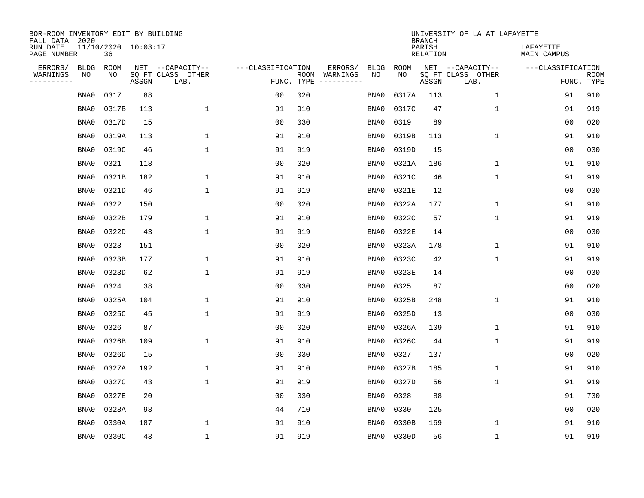| BOR-ROOM INVENTORY EDIT BY BUILDING<br>FALL DATA 2020 |                           |       |                           |                   |                    |                               |             | <b>BRANCH</b>             | UNIVERSITY OF LA AT LAFAYETTE |                          |                           |
|-------------------------------------------------------|---------------------------|-------|---------------------------|-------------------|--------------------|-------------------------------|-------------|---------------------------|-------------------------------|--------------------------|---------------------------|
| RUN DATE<br>PAGE NUMBER                               | 11/10/2020 10:03:17<br>36 |       |                           |                   |                    |                               |             | PARISH<br><b>RELATION</b> |                               | LAFAYETTE<br>MAIN CAMPUS |                           |
| ERRORS/<br><b>BLDG</b>                                | ROOM                      |       | NET --CAPACITY--          | ---CLASSIFICATION |                    | ERRORS/<br><b>BLDG</b>        | <b>ROOM</b> |                           | NET --CAPACITY--              | ---CLASSIFICATION        |                           |
| WARNINGS<br>NO<br>----------                          | NO                        | ASSGN | SQ FT CLASS OTHER<br>LAB. |                   | ROOM<br>FUNC. TYPE | NO<br>WARNINGS<br>----------- | NO          | ASSGN                     | SQ FT CLASS OTHER<br>LAB.     |                          | <b>ROOM</b><br>FUNC. TYPE |
| BNA0                                                  | 0317                      | 88    |                           | 0 <sub>0</sub>    | 020                | BNA0                          | 0317A       | 113                       | $\mathbf 1$                   | 91                       | 910                       |
| BNA0                                                  | 0317B                     | 113   | $\mathbf 1$               | 91                | 910                | BNA0                          | 0317C       | 47                        | 1                             | 91                       | 919                       |
| BNA0                                                  | 0317D                     | 15    |                           | 0 <sub>0</sub>    | 030                | BNA0                          | 0319        | 89                        |                               | 0 <sub>0</sub>           | 020                       |
| BNA0                                                  | 0319A                     | 113   | 1                         | 91                | 910                | BNA0                          | 0319B       | 113                       | $\mathbf 1$                   | 91                       | 910                       |
| BNA0                                                  | 0319C                     | 46    | $\mathbf 1$               | 91                | 919                | BNA0                          | 0319D       | 15                        |                               | 0 <sub>0</sub>           | 030                       |
| BNA0                                                  | 0321                      | 118   |                           | 0 <sub>0</sub>    | 020                | BNA0                          | 0321A       | 186                       | $\mathbf 1$                   | 91                       | 910                       |
| BNA0                                                  | 0321B                     | 182   | $\mathbf 1$               | 91                | 910                | BNA0                          | 0321C       | 46                        | $\mathbf{1}$                  | 91                       | 919                       |
| BNA0                                                  | 0321D                     | 46    | $\mathbf{1}$              | 91                | 919                | BNA0                          | 0321E       | 12                        |                               | 0 <sub>0</sub>           | 030                       |
| BNA0                                                  | 0322                      | 150   |                           | 0 <sub>0</sub>    | 020                | BNA0                          | 0322A       | 177                       | $\mathbf 1$                   | 91                       | 910                       |
| BNA0                                                  | 0322B                     | 179   | 1                         | 91                | 910                | BNA0                          | 0322C       | 57                        | $\mathbf 1$                   | 91                       | 919                       |
| BNA0                                                  | 0322D                     | 43    | $\mathbf{1}$              | 91                | 919                | BNA0                          | 0322E       | 14                        |                               | 0 <sub>0</sub>           | 030                       |
| BNA0                                                  | 0323                      | 151   |                           | 0 <sub>0</sub>    | 020                | BNA0                          | 0323A       | 178                       | 1                             | 91                       | 910                       |
| BNA0                                                  | 0323B                     | 177   | 1                         | 91                | 910                | BNA0                          | 0323C       | 42                        | 1                             | 91                       | 919                       |
| BNA0                                                  | 0323D                     | 62    | 1                         | 91                | 919                | BNA0                          | 0323E       | 14                        |                               | 00                       | 030                       |
| BNA0                                                  | 0324                      | 38    |                           | 0 <sub>0</sub>    | 030                | BNA0                          | 0325        | 87                        |                               | 0 <sub>0</sub>           | 020                       |
| BNA0                                                  | 0325A                     | 104   | 1                         | 91                | 910                | BNA0                          | 0325B       | 248                       | 1                             | 91                       | 910                       |
| BNA0                                                  | 0325C                     | 45    | $\mathbf{1}$              | 91                | 919                | BNA0                          | 0325D       | 13                        |                               | 0 <sub>0</sub>           | 030                       |
| BNA0                                                  | 0326                      | 87    |                           | 0 <sub>0</sub>    | 020                | BNA0                          | 0326A       | 109                       | 1                             | 91                       | 910                       |
| BNA0                                                  | 0326B                     | 109   | $\mathbf{1}$              | 91                | 910                | BNA0                          | 0326C       | 44                        | 1                             | 91                       | 919                       |
| BNA0                                                  | 0326D                     | 15    |                           | 0 <sub>0</sub>    | 030                | BNA0                          | 0327        | 137                       |                               | 0 <sub>0</sub>           | 020                       |
| BNA0                                                  | 0327A                     | 192   | 1                         | 91                | 910                | BNA0                          | 0327B       | 185                       | 1                             | 91                       | 910                       |
| BNA0                                                  | 0327C                     | 43    | $\mathbf{1}$              | 91                | 919                | BNA0                          | 0327D       | 56                        | 1                             | 91                       | 919                       |
| BNA0                                                  | 0327E                     | 20    |                           | 0 <sub>0</sub>    | 030                | BNA0                          | 0328        | 88                        |                               | 91                       | 730                       |
| BNA0                                                  | 0328A                     | 98    |                           | 44                | 710                | BNA0                          | 0330        | 125                       |                               | 0 <sub>0</sub>           | 020                       |
| BNA0                                                  | 0330A                     | 187   | 1                         | 91                | 910                | BNA0                          | 0330B       | 169                       | 1                             | 91                       | 910                       |
|                                                       | 0330C<br>BNA0             | 43    | $\mathbf{1}$              | 91                | 919                | BNA0                          | 0330D       | 56                        | 1                             | 91                       | 919                       |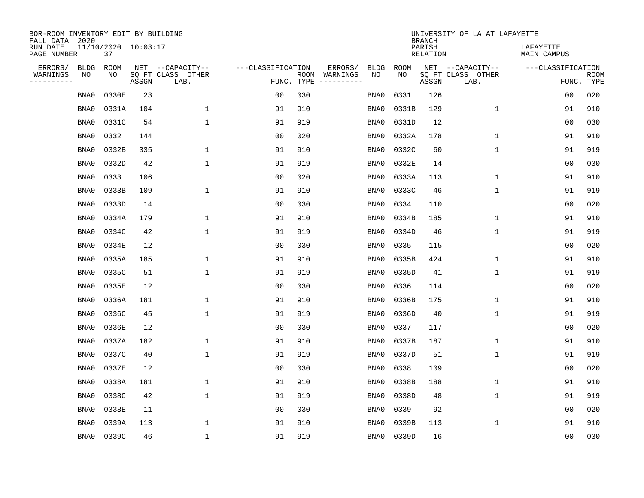| BOR-ROOM INVENTORY EDIT BY BUILDING<br>FALL DATA 2020 |                           |       |                           |                   |            |               |             |             | <b>BRANCH</b>             | UNIVERSITY OF LA AT LAFAYETTE |                          |                           |
|-------------------------------------------------------|---------------------------|-------|---------------------------|-------------------|------------|---------------|-------------|-------------|---------------------------|-------------------------------|--------------------------|---------------------------|
| RUN DATE<br>PAGE NUMBER                               | 11/10/2020 10:03:17<br>37 |       |                           |                   |            |               |             |             | PARISH<br><b>RELATION</b> |                               | LAFAYETTE<br>MAIN CAMPUS |                           |
| ERRORS/<br><b>BLDG</b>                                | ROOM                      |       | NET --CAPACITY--          | ---CLASSIFICATION |            | ERRORS/       | <b>BLDG</b> | <b>ROOM</b> |                           | NET --CAPACITY--              | ---CLASSIFICATION        |                           |
| WARNINGS<br>ΝO<br>----------                          | NO                        | ASSGN | SQ FT CLASS OTHER<br>LAB. |                   | FUNC. TYPE | ROOM WARNINGS | NO          | NO          | ASSGN                     | SQ FT CLASS OTHER<br>LAB.     |                          | <b>ROOM</b><br>FUNC. TYPE |
| BNA0                                                  | 0330E                     | 23    |                           | 00                | 030        |               | BNA0        | 0331        | 126                       |                               | 0 <sub>0</sub>           | 020                       |
| BNA0                                                  | 0331A                     | 104   | 1                         | 91                | 910        |               | BNA0        | 0331B       | 129                       | $\mathbf 1$                   | 91                       | 910                       |
| BNA0                                                  | 0331C                     | 54    | $\mathbf{1}$              | 91                | 919        |               | BNA0        | 0331D       | 12                        |                               | 0 <sub>0</sub>           | 030                       |
| BNA0                                                  | 0332                      | 144   |                           | 0 <sub>0</sub>    | 020        |               | BNA0        | 0332A       | 178                       | $\mathbf{1}$                  | 91                       | 910                       |
| BNA0                                                  | 0332B                     | 335   | $\mathbf{1}$              | 91                | 910        |               | BNA0        | 0332C       | 60                        | $\mathbf 1$                   | 91                       | 919                       |
| BNA0                                                  | 0332D                     | 42    | $\mathbf{1}$              | 91                | 919        |               | BNA0        | 0332E       | 14                        |                               | 0 <sub>0</sub>           | 030                       |
| BNA0                                                  | 0333                      | 106   |                           | 0 <sub>0</sub>    | 020        |               | BNA0        | 0333A       | 113                       | $\mathbf 1$                   | 91                       | 910                       |
| BNA0                                                  | 0333B                     | 109   | $\mathbf{1}$              | 91                | 910        |               | BNA0        | 0333C       | 46                        | $\mathbf{1}$                  | 91                       | 919                       |
| BNA0                                                  | 0333D                     | 14    |                           | 0 <sub>0</sub>    | 030        |               | BNA0        | 0334        | 110                       |                               | 0 <sub>0</sub>           | 020                       |
| BNA0                                                  | 0334A                     | 179   | 1                         | 91                | 910        |               | BNA0        | 0334B       | 185                       | $\mathbf 1$                   | 91                       | 910                       |
| BNA0                                                  | 0334C                     | 42    | $\mathbf{1}$              | 91                | 919        |               | BNA0        | 0334D       | 46                        | $\mathbf{1}$                  | 91                       | 919                       |
| BNA0                                                  | 0334E                     | 12    |                           | 0 <sub>0</sub>    | 030        |               | BNA0        | 0335        | 115                       |                               | 0 <sub>0</sub>           | 020                       |
| BNA0                                                  | 0335A                     | 185   | 1                         | 91                | 910        |               | BNA0        | 0335B       | 424                       | $\mathbf 1$                   | 91                       | 910                       |
| BNA0                                                  | 0335C                     | 51    | 1                         | 91                | 919        |               | BNA0        | 0335D       | 41                        | 1                             | 91                       | 919                       |
| BNA0                                                  | 0335E                     | 12    |                           | 0 <sub>0</sub>    | 030        |               | BNA0        | 0336        | 114                       |                               | 0 <sub>0</sub>           | 020                       |
| BNA0                                                  | 0336A                     | 181   | 1                         | 91                | 910        |               | BNA0        | 0336B       | 175                       | $\mathbf{1}$                  | 91                       | 910                       |
| BNA0                                                  | 0336C                     | 45    | 1                         | 91                | 919        |               | BNA0        | 0336D       | 40                        | $\mathbf 1$                   | 91                       | 919                       |
| BNA0                                                  | 0336E                     | 12    |                           | 0 <sub>0</sub>    | 030        |               | BNA0        | 0337        | 117                       |                               | 0 <sub>0</sub>           | 020                       |
| BNA0                                                  | 0337A                     | 182   | $\mathbf{1}$              | 91                | 910        |               | BNA0        | 0337B       | 187                       | $\mathbf{1}$                  | 91                       | 910                       |
| BNA0                                                  | 0337C                     | 40    | 1                         | 91                | 919        |               | BNA0        | 0337D       | 51                        | $\mathbf 1$                   | 91                       | 919                       |
| BNA0                                                  | 0337E                     | 12    |                           | 0 <sub>0</sub>    | 030        |               | BNA0        | 0338        | 109                       |                               | 0 <sub>0</sub>           | 020                       |
| BNA0                                                  | 0338A                     | 181   | 1                         | 91                | 910        |               | BNA0        | 0338B       | 188                       | $\mathbf 1$                   | 91                       | 910                       |
| BNA0                                                  | 0338C                     | 42    | $\mathbf{1}$              | 91                | 919        |               | BNA0        | 0338D       | 48                        | $\mathbf{1}$                  | 91                       | 919                       |
| BNA0                                                  | 0338E                     | 11    |                           | 0 <sub>0</sub>    | 030        |               | BNA0        | 0339        | 92                        |                               | 0 <sub>0</sub>           | 020                       |
| BNA0                                                  | 0339A                     | 113   | $\mathbf{1}$              | 91                | 910        |               | BNA0        | 0339B       | 113                       | $\mathbf{1}$                  | 91                       | 910                       |
| BNA0                                                  | 0339C                     | 46    | $\mathbf{1}$              | 91                | 919        |               | BNA0        | 0339D       | 16                        |                               | 0 <sub>0</sub>           | 030                       |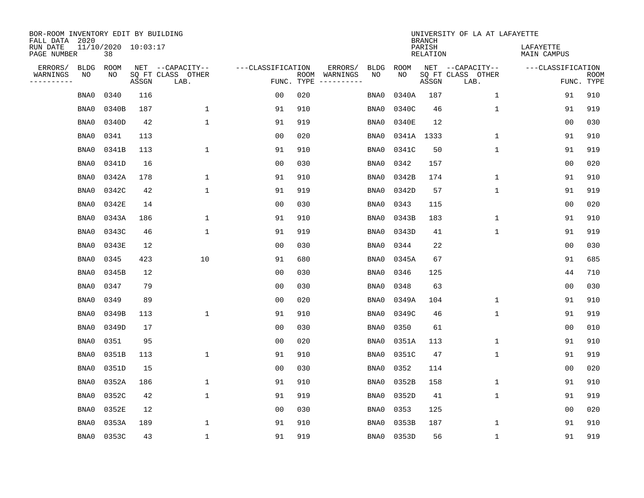| BOR-ROOM INVENTORY EDIT BY BUILDING<br>FALL DATA 2020 |                           |       |                           |                   |                    |                               |             | <b>BRANCH</b>             | UNIVERSITY OF LA AT LAFAYETTE |                          |                           |
|-------------------------------------------------------|---------------------------|-------|---------------------------|-------------------|--------------------|-------------------------------|-------------|---------------------------|-------------------------------|--------------------------|---------------------------|
| RUN DATE<br>PAGE NUMBER                               | 11/10/2020 10:03:17<br>38 |       |                           |                   |                    |                               |             | PARISH<br><b>RELATION</b> |                               | LAFAYETTE<br>MAIN CAMPUS |                           |
| ERRORS/                                               | <b>BLDG</b><br>ROOM       |       | NET --CAPACITY--          | ---CLASSIFICATION |                    | ERRORS/<br><b>BLDG</b>        | <b>ROOM</b> |                           | NET --CAPACITY--              | ---CLASSIFICATION        |                           |
| WARNINGS<br>NO<br>----------                          | NO                        | ASSGN | SQ FT CLASS OTHER<br>LAB. |                   | ROOM<br>FUNC. TYPE | NO<br>WARNINGS<br>----------- | NO          | ASSGN                     | SQ FT CLASS OTHER<br>LAB.     |                          | <b>ROOM</b><br>FUNC. TYPE |
|                                                       | 0340<br>BNA0              | 116   |                           | 0 <sub>0</sub>    | 020                | BNA0                          | 0340A       | 187                       | $\mathbf 1$                   | 91                       | 910                       |
|                                                       | 0340B<br>BNA0             | 187   | $\mathbf 1$               | 91                | 910                | BNA0                          | 0340C       | 46                        | 1                             | 91                       | 919                       |
|                                                       | 0340D<br>BNA0             | 42    | $\mathbf{1}$              | 91                | 919                | BNA0                          | 0340E       | 12                        |                               | 0 <sub>0</sub>           | 030                       |
|                                                       | 0341<br>BNA0              | 113   |                           | 0 <sub>0</sub>    | 020                | BNA0                          |             | 0341A 1333                | 1                             | 91                       | 910                       |
|                                                       | BNA0<br>0341B             | 113   | $\mathbf{1}$              | 91                | 910                | BNA0                          | 0341C       | 50                        | $\mathbf{1}$                  | 91                       | 919                       |
|                                                       | BNA0<br>0341D             | 16    |                           | 0 <sub>0</sub>    | 030                | BNA0                          | 0342        | 157                       |                               | 0 <sub>0</sub>           | 020                       |
|                                                       | 0342A<br>BNA0             | 178   | $\mathbf 1$               | 91                | 910                | BNA0                          | 0342B       | 174                       | $\mathbf 1$                   | 91                       | 910                       |
|                                                       | 0342C<br>BNA0             | 42    | $\mathbf{1}$              | 91                | 919                | BNA0                          | 0342D       | 57                        | $\mathbf 1$                   | 91                       | 919                       |
|                                                       | 0342E<br>BNA0             | 14    |                           | 0 <sub>0</sub>    | 030                | BNA0                          | 0343        | 115                       |                               | 00                       | 020                       |
|                                                       | BNA0<br>0343A             | 186   | 1                         | 91                | 910                | BNA0                          | 0343B       | 183                       | $\mathbf 1$                   | 91                       | 910                       |
|                                                       | BNA0<br>0343C             | 46    | $\mathbf{1}$              | 91                | 919                | BNA0                          | 0343D       | 41                        | $\mathbf 1$                   | 91                       | 919                       |
|                                                       | 0343E<br>BNA0             | 12    |                           | 0 <sub>0</sub>    | 030                | BNA0                          | 0344        | 22                        |                               | 0 <sub>0</sub>           | 030                       |
|                                                       | 0345<br>BNA0              | 423   | 10                        | 91                | 680                | BNA0                          | 0345A       | 67                        |                               | 91                       | 685                       |
|                                                       | BNA0<br>0345B             | 12    |                           | 0 <sub>0</sub>    | 030                | BNA0                          | 0346        | 125                       |                               | 44                       | 710                       |
|                                                       | 0347<br>BNA0              | 79    |                           | 0 <sub>0</sub>    | 030                | BNA0                          | 0348        | 63                        |                               | 0 <sub>0</sub>           | 030                       |
|                                                       | 0349<br>BNA0              | 89    |                           | 0 <sub>0</sub>    | 020                | BNA0                          | 0349A       | 104                       | 1                             | 91                       | 910                       |
|                                                       | 0349B<br>BNA0             | 113   | $\mathbf{1}$              | 91                | 910                | BNA0                          | 0349C       | 46                        | 1                             | 91                       | 919                       |
|                                                       | 0349D<br>BNA0             | 17    |                           | 0 <sub>0</sub>    | 030                | BNA0                          | 0350        | 61                        |                               | 0 <sub>0</sub>           | 010                       |
|                                                       | 0351<br>BNA0              | 95    |                           | 0 <sub>0</sub>    | 020                | BNA0                          | 0351A       | 113                       | 1                             | 91                       | 910                       |
|                                                       | 0351B<br>BNA0             | 113   | $\mathbf 1$               | 91                | 910                | BNA0                          | 0351C       | 47                        | 1                             | 91                       | 919                       |
|                                                       | 0351D<br>BNA0             | 15    |                           | 0 <sub>0</sub>    | 030                | BNA0                          | 0352        | 114                       |                               | 00                       | 020                       |
|                                                       | 0352A<br>BNA0             | 186   | $\mathbf 1$               | 91                | 910                | BNA0                          | 0352B       | 158                       | $\mathbf 1$                   | 91                       | 910                       |
|                                                       | 0352C<br>BNA0             | 42    | $\mathbf{1}$              | 91                | 919                | BNA0                          | 0352D       | 41                        | 1                             | 91                       | 919                       |
|                                                       | 0352E<br>BNA0             | 12    |                           | 0 <sub>0</sub>    | 030                | BNA0                          | 0353        | 125                       |                               | 0 <sub>0</sub>           | 020                       |
|                                                       | BNA0<br>0353A             | 189   | $\mathbf{1}$              | 91                | 910                | BNA0                          | 0353B       | 187                       | 1                             | 91                       | 910                       |
|                                                       | 0353C<br>BNA0             | 43    | $\mathbf{1}$              | 91                | 919                | BNA0                          | 0353D       | 56                        | 1                             | 91                       | 919                       |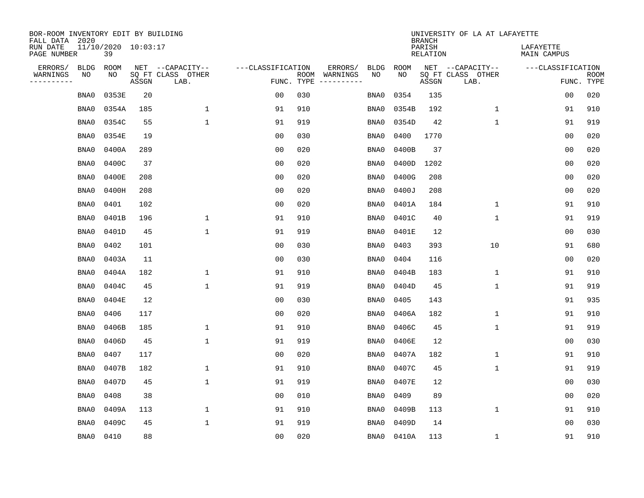| BOR-ROOM INVENTORY EDIT BY BUILDING<br>FALL DATA 2020 |             |       |                     |                           |                   |     |                                                                                                                                                                                                                                                                                                                                                                                                                                                                                                                                 |             | <b>BRANCH</b>             | UNIVERSITY OF LA AT LAFAYETTE |                          |                           |
|-------------------------------------------------------|-------------|-------|---------------------|---------------------------|-------------------|-----|---------------------------------------------------------------------------------------------------------------------------------------------------------------------------------------------------------------------------------------------------------------------------------------------------------------------------------------------------------------------------------------------------------------------------------------------------------------------------------------------------------------------------------|-------------|---------------------------|-------------------------------|--------------------------|---------------------------|
| RUN DATE<br>PAGE NUMBER                               |             | 39    | 11/10/2020 10:03:17 |                           |                   |     |                                                                                                                                                                                                                                                                                                                                                                                                                                                                                                                                 |             | PARISH<br><b>RELATION</b> |                               | LAFAYETTE<br>MAIN CAMPUS |                           |
| ERRORS/                                               | <b>BLDG</b> | ROOM  |                     | NET --CAPACITY--          | ---CLASSIFICATION |     | ERRORS/<br><b>BLDG</b>                                                                                                                                                                                                                                                                                                                                                                                                                                                                                                          | <b>ROOM</b> |                           | NET --CAPACITY--              | ---CLASSIFICATION        |                           |
| WARNINGS<br>----------                                | NO          | NO    | ASSGN               | SQ FT CLASS OTHER<br>LAB. | FUNC. TYPE        |     | NO<br>ROOM WARNINGS<br>$\begin{tabular}{ccccccccc} \multicolumn{2}{c }{\multicolumn{2}{c }{\multicolumn{2}{c }{\multicolumn{2}{c}}{\multicolumn{2}{c}}{\multicolumn{2}{c}}{\multicolumn{2}{c}}{\multicolumn{2}{c}}{\multicolumn{2}{c}}{\multicolumn{2}{c}}{\multicolumn{2}{c}}{\multicolumn{2}{c}}{\multicolumn{2}{c}}{\multicolumn{2}{c}}{\multicolumn{2}{c}}{\multicolumn{2}{c}}{\multicolumn{2}{c}}{\multicolumn{2}{c}}{\multicolumn{2}{c}}{\multicolumn{2}{c}}{\multicolumn{2}{c}}{\multicolumn{2}{c}}{\multicolumn{2}{c}}$ | NO          | ASSGN                     | SQ FT CLASS OTHER<br>LAB.     |                          | <b>ROOM</b><br>FUNC. TYPE |
|                                                       | BNA0        | 0353E | 20                  |                           | 0 <sub>0</sub>    | 030 | BNA0                                                                                                                                                                                                                                                                                                                                                                                                                                                                                                                            | 0354        | 135                       |                               | 00                       | 020                       |
|                                                       | BNA0        | 0354A | 185                 | 1                         | 91                | 910 | BNA0                                                                                                                                                                                                                                                                                                                                                                                                                                                                                                                            | 0354B       | 192                       | 1                             | 91                       | 910                       |
|                                                       | BNA0        | 0354C | 55                  | $\mathbf 1$               | 91                | 919 | BNA0                                                                                                                                                                                                                                                                                                                                                                                                                                                                                                                            | 0354D       | 42                        | $\mathbf 1$                   | 91                       | 919                       |
|                                                       | BNA0        | 0354E | 19                  |                           | 0 <sub>0</sub>    | 030 | BNA0                                                                                                                                                                                                                                                                                                                                                                                                                                                                                                                            | 0400        | 1770                      |                               | 0 <sub>0</sub>           | 020                       |
|                                                       | BNA0        | 0400A | 289                 |                           | 0 <sub>0</sub>    | 020 | BNA0                                                                                                                                                                                                                                                                                                                                                                                                                                                                                                                            | 0400B       | 37                        |                               | 0 <sub>0</sub>           | 020                       |
|                                                       | BNA0        | 0400C | 37                  |                           | 0 <sub>0</sub>    | 020 | BNA0                                                                                                                                                                                                                                                                                                                                                                                                                                                                                                                            | 0400D       | 1202                      |                               | 0 <sub>0</sub>           | 020                       |
|                                                       | BNA0        | 0400E | 208                 |                           | 0 <sub>0</sub>    | 020 | BNA0                                                                                                                                                                                                                                                                                                                                                                                                                                                                                                                            | 0400G       | 208                       |                               | 0 <sub>0</sub>           | 020                       |
|                                                       | BNA0        | 0400H | 208                 |                           | 0 <sub>0</sub>    | 020 | BNA0                                                                                                                                                                                                                                                                                                                                                                                                                                                                                                                            | 0400J       | 208                       |                               | 0 <sub>0</sub>           | 020                       |
|                                                       | BNA0        | 0401  | 102                 |                           | 0 <sub>0</sub>    | 020 | BNA0                                                                                                                                                                                                                                                                                                                                                                                                                                                                                                                            | 0401A       | 184                       | $\mathbf{1}$                  | 91                       | 910                       |
|                                                       | BNA0        | 0401B | 196                 | $\mathbf 1$               | 91                | 910 | BNA0                                                                                                                                                                                                                                                                                                                                                                                                                                                                                                                            | 0401C       | 40                        | 1                             | 91                       | 919                       |
|                                                       | BNA0        | 0401D | 45                  | $\mathbf{1}$              | 91                | 919 | BNA0                                                                                                                                                                                                                                                                                                                                                                                                                                                                                                                            | 0401E       | 12                        |                               | 0 <sub>0</sub>           | 030                       |
|                                                       | BNA0        | 0402  | 101                 |                           | 0 <sub>0</sub>    | 030 | BNA0                                                                                                                                                                                                                                                                                                                                                                                                                                                                                                                            | 0403        | 393                       | 10                            | 91                       | 680                       |
|                                                       | BNA0        | 0403A | 11                  |                           | 0 <sub>0</sub>    | 030 | BNA0                                                                                                                                                                                                                                                                                                                                                                                                                                                                                                                            | 0404        | 116                       |                               | 0 <sub>0</sub>           | 020                       |
|                                                       | BNA0        | 0404A | 182                 | $\mathbf 1$               | 91                | 910 | BNA0                                                                                                                                                                                                                                                                                                                                                                                                                                                                                                                            | 0404B       | 183                       | $\mathbf 1$                   | 91                       | 910                       |
|                                                       | BNA0        | 0404C | 45                  | $\mathbf{1}$              | 91                | 919 | BNA0                                                                                                                                                                                                                                                                                                                                                                                                                                                                                                                            | 0404D       | 45                        | $\mathbf 1$                   | 91                       | 919                       |
|                                                       | BNA0        | 0404E | 12                  |                           | 00                | 030 | BNA0                                                                                                                                                                                                                                                                                                                                                                                                                                                                                                                            | 0405        | 143                       |                               | 91                       | 935                       |
|                                                       | BNA0        | 0406  | 117                 |                           | 0 <sub>0</sub>    | 020 | BNA0                                                                                                                                                                                                                                                                                                                                                                                                                                                                                                                            | 0406A       | 182                       | 1                             | 91                       | 910                       |
|                                                       | BNA0        | 0406B | 185                 | $\mathbf{1}$              | 91                | 910 | BNA0                                                                                                                                                                                                                                                                                                                                                                                                                                                                                                                            | 0406C       | 45                        | 1                             | 91                       | 919                       |
|                                                       | BNA0        | 0406D | 45                  | $\mathbf 1$               | 91                | 919 | BNA0                                                                                                                                                                                                                                                                                                                                                                                                                                                                                                                            | 0406E       | 12                        |                               | 0 <sub>0</sub>           | 030                       |
|                                                       | BNA0        | 0407  | 117                 |                           | 0 <sub>0</sub>    | 020 | BNA0                                                                                                                                                                                                                                                                                                                                                                                                                                                                                                                            | 0407A       | 182                       | 1                             | 91                       | 910                       |
|                                                       | BNA0        | 0407B | 182                 | $\mathbf 1$               | 91                | 910 | BNA0                                                                                                                                                                                                                                                                                                                                                                                                                                                                                                                            | 0407C       | 45                        | 1                             | 91                       | 919                       |
|                                                       | BNA0        | 0407D | 45                  | $\mathbf{1}$              | 91                | 919 | BNA0                                                                                                                                                                                                                                                                                                                                                                                                                                                                                                                            | 0407E       | 12                        |                               | 0 <sub>0</sub>           | 030                       |
|                                                       | BNA0        | 0408  | 38                  |                           | 0 <sub>0</sub>    | 010 | BNA0                                                                                                                                                                                                                                                                                                                                                                                                                                                                                                                            | 0409        | 89                        |                               | 0 <sub>0</sub>           | 020                       |
|                                                       | BNA0        | 0409A | 113                 | $\mathbf 1$               | 91                | 910 | BNA0                                                                                                                                                                                                                                                                                                                                                                                                                                                                                                                            | 0409B       | 113                       | $\mathbf 1$                   | 91                       | 910                       |
|                                                       | BNA0        | 0409C | 45                  | $\mathbf{1}$              | 91                | 919 | BNA0                                                                                                                                                                                                                                                                                                                                                                                                                                                                                                                            | 0409D       | 14                        |                               | 00                       | 030                       |
|                                                       | BNA0        | 0410  | 88                  |                           | 0 <sub>0</sub>    | 020 | BNA0                                                                                                                                                                                                                                                                                                                                                                                                                                                                                                                            | 0410A       | 113                       | 1                             | 91                       | 910                       |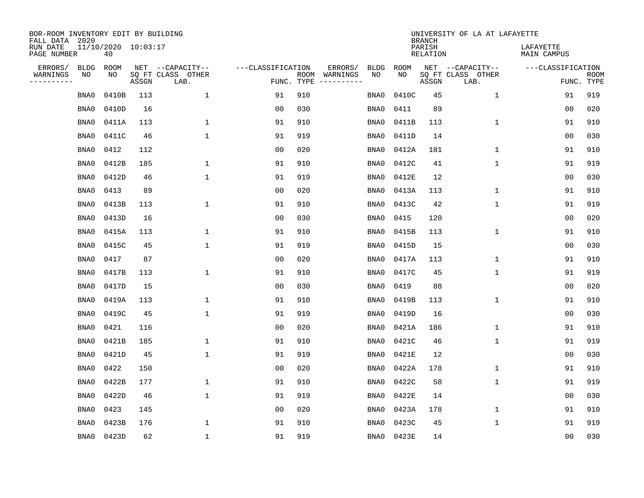| BOR-ROOM INVENTORY EDIT BY BUILDING<br>FALL DATA 2020 |                           |       |                           |                   |                    |                               |             | <b>BRANCH</b>             | UNIVERSITY OF LA AT LAFAYETTE |                          |                           |
|-------------------------------------------------------|---------------------------|-------|---------------------------|-------------------|--------------------|-------------------------------|-------------|---------------------------|-------------------------------|--------------------------|---------------------------|
| RUN DATE<br>PAGE NUMBER                               | 11/10/2020 10:03:17<br>40 |       |                           |                   |                    |                               |             | PARISH<br><b>RELATION</b> |                               | LAFAYETTE<br>MAIN CAMPUS |                           |
| ERRORS/<br><b>BLDG</b>                                | ROOM                      |       | NET --CAPACITY--          | ---CLASSIFICATION |                    | ERRORS/<br><b>BLDG</b>        | <b>ROOM</b> |                           | NET --CAPACITY--              | ---CLASSIFICATION        |                           |
| WARNINGS<br>NO<br>----------                          | NO                        | ASSGN | SQ FT CLASS OTHER<br>LAB. |                   | ROOM<br>FUNC. TYPE | NO<br>WARNINGS<br>----------- | NO          | ASSGN                     | SQ FT CLASS OTHER<br>LAB.     |                          | <b>ROOM</b><br>FUNC. TYPE |
| BNA0                                                  | 0410B                     | 113   | 1                         | 91                | 910                | BNA0                          | 0410C       | 45                        | $\mathbf{1}$                  | 91                       | 919                       |
| BNA0                                                  | 0410D                     | 16    |                           | 0 <sub>0</sub>    | 030                | BNA0                          | 0411        | 89                        |                               | 00                       | 020                       |
| BNA0                                                  | 0411A                     | 113   | $\mathbf 1$               | 91                | 910                | BNA0                          | 0411B       | 113                       | $\mathbf 1$                   | 91                       | 910                       |
| BNA0                                                  | 0411C                     | 46    | $\mathbf{1}$              | 91                | 919                | BNA0                          | 0411D       | 14                        |                               | 0 <sub>0</sub>           | 030                       |
| BNA0                                                  | 0412                      | 112   |                           | 0 <sub>0</sub>    | 020                | BNA0                          | 0412A       | 181                       | $\mathbf 1$                   | 91                       | 910                       |
| BNA0                                                  | 0412B                     | 185   | $\mathbf{1}$              | 91                | 910                | BNA0                          | 0412C       | 41                        | $\mathbf{1}$                  | 91                       | 919                       |
| BNA0                                                  | 0412D                     | 46    | $\mathbf{1}$              | 91                | 919                | BNA0                          | 0412E       | 12                        |                               | 0 <sub>0</sub>           | 030                       |
| BNA0                                                  | 0413                      | 89    |                           | 0 <sub>0</sub>    | 020                | BNA0                          | 0413A       | 113                       | 1                             | 91                       | 910                       |
| BNA0                                                  | 0413B                     | 113   | $\mathbf{1}$              | 91                | 910                | BNA0                          | 0413C       | 42                        | 1                             | 91                       | 919                       |
| BNA0                                                  | 0413D                     | 16    |                           | 0 <sub>0</sub>    | 030                | BNA0                          | 0415        | 120                       |                               | 0 <sub>0</sub>           | 020                       |
| BNA0                                                  | 0415A                     | 113   | $\mathbf{1}$              | 91                | 910                | BNA0                          | 0415B       | 113                       | $\mathbf 1$                   | 91                       | 910                       |
| BNA0                                                  | 0415C                     | 45    | $\mathbf{1}$              | 91                | 919                | BNA0                          | 0415D       | 15                        |                               | 0 <sub>0</sub>           | 030                       |
| BNA0                                                  | 0417                      | 87    |                           | 0 <sub>0</sub>    | 020                | BNA0                          | 0417A       | 113                       | $\mathbf 1$                   | 91                       | 910                       |
| BNA0                                                  | 0417B                     | 113   | 1                         | 91                | 910                | BNA0                          | 0417C       | 45                        | 1                             | 91                       | 919                       |
| BNA0                                                  | 0417D                     | 15    |                           | 0 <sub>0</sub>    | 030                | BNA0                          | 0419        | 88                        |                               | 0 <sub>0</sub>           | 020                       |
| BNA0                                                  | 0419A                     | 113   | 1                         | 91                | 910                | BNA0                          | 0419B       | 113                       | 1                             | 91                       | 910                       |
| BNA0                                                  | 0419C                     | 45    | $\mathbf{1}$              | 91                | 919                | BNA0                          | 0419D       | 16                        |                               | 0 <sub>0</sub>           | 030                       |
| BNA0                                                  | 0421                      | 116   |                           | 0 <sub>0</sub>    | 020                | BNA0                          | 0421A       | 186                       | 1                             | 91                       | 910                       |
| BNA0                                                  | 0421B                     | 185   | $\mathbf{1}$              | 91                | 910                | BNA0                          | 0421C       | 46                        | $\mathbf{1}$                  | 91                       | 919                       |
| BNA0                                                  | 0421D                     | 45    | $\mathbf 1$               | 91                | 919                | BNA0                          | 0421E       | 12                        |                               | 0 <sub>0</sub>           | 030                       |
| BNA0                                                  | 0422                      | 150   |                           | 0 <sub>0</sub>    | 020                | BNA0                          | 0422A       | 178                       | 1                             | 91                       | 910                       |
| BNA0                                                  | 0422B                     | 177   | $\mathbf 1$               | 91                | 910                | BNA0                          | 0422C       | 58                        | 1                             | 91                       | 919                       |
| BNA0                                                  | 0422D                     | 46    | $\mathbf{1}$              | 91                | 919                | BNA0                          | 0422E       | 14                        |                               | 0 <sub>0</sub>           | 030                       |
| BNA0                                                  | 0423                      | 145   |                           | 0 <sub>0</sub>    | 020                | BNA0                          | 0423A       | 178                       | $\mathbf 1$                   | 91                       | 910                       |
| BNA0                                                  | 0423B                     | 176   | 1                         | 91                | 910                | BNA0                          | 0423C       | 45                        | 1                             | 91                       | 919                       |
| BNA0                                                  | 0423D                     | 62    | $\mathbf{1}$              | 91                | 919                | BNA0                          | 0423E       | 14                        |                               | 00                       | 030                       |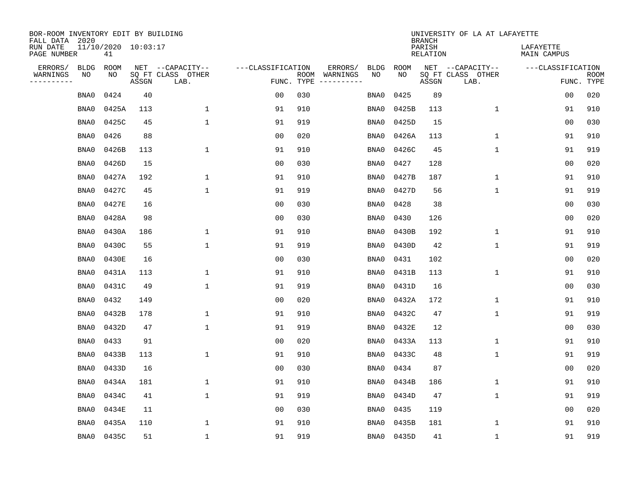| BOR-ROOM INVENTORY EDIT BY BUILDING<br>FALL DATA 2020 |             |                           |       |                           |                   |                    |          |             |             | <b>BRANCH</b>             | UNIVERSITY OF LA AT LAFAYETTE |                          |                           |
|-------------------------------------------------------|-------------|---------------------------|-------|---------------------------|-------------------|--------------------|----------|-------------|-------------|---------------------------|-------------------------------|--------------------------|---------------------------|
| RUN DATE<br>PAGE NUMBER                               |             | 11/10/2020 10:03:17<br>41 |       |                           |                   |                    |          |             |             | PARISH<br><b>RELATION</b> |                               | LAFAYETTE<br>MAIN CAMPUS |                           |
| ERRORS/                                               | <b>BLDG</b> | ROOM                      |       | NET --CAPACITY--          | ---CLASSIFICATION |                    | ERRORS/  | <b>BLDG</b> | <b>ROOM</b> |                           | NET --CAPACITY--              | ---CLASSIFICATION        |                           |
| WARNINGS<br>----------                                | NO          | NO                        | ASSGN | SQ FT CLASS OTHER<br>LAB. |                   | ROOM<br>FUNC. TYPE | WARNINGS | NO          | NO          | ASSGN                     | SQ FT CLASS OTHER<br>LAB.     |                          | <b>ROOM</b><br>FUNC. TYPE |
|                                                       | BNA0        | 0424                      | 40    |                           | 00                | 030                |          | BNA0        | 0425        | 89                        |                               | 00                       | 020                       |
|                                                       | BNA0        | 0425A                     | 113   | 1                         | 91                | 910                |          | BNA0        | 0425B       | 113                       | 1                             | 91                       | 910                       |
|                                                       | BNA0        | 0425C                     | 45    | $\mathbf 1$               | 91                | 919                |          | BNA0        | 0425D       | 15                        |                               | 00                       | 030                       |
|                                                       | BNA0        | 0426                      | 88    |                           | 0 <sub>0</sub>    | 020                |          | BNA0        | 0426A       | 113                       | 1                             | 91                       | 910                       |
|                                                       | BNA0        | 0426B                     | 113   | $\mathbf{1}$              | 91                | 910                |          | BNA0        | 0426C       | 45                        | $\mathbf{1}$                  | 91                       | 919                       |
|                                                       | BNA0        | 0426D                     | 15    |                           | 0 <sub>0</sub>    | 030                |          | BNA0        | 0427        | 128                       |                               | 0 <sub>0</sub>           | 020                       |
|                                                       | BNA0        | 0427A                     | 192   | $\mathbf{1}$              | 91                | 910                |          | BNA0        | 0427B       | 187                       | $\mathbf{1}$                  | 91                       | 910                       |
|                                                       | BNA0        | 0427C                     | 45    | $\mathbf{1}$              | 91                | 919                |          | BNA0        | 0427D       | 56                        | $\mathbf{1}$                  | 91                       | 919                       |
|                                                       | BNA0        | 0427E                     | 16    |                           | 0 <sub>0</sub>    | 030                |          | BNA0        | 0428        | 38                        |                               | 0 <sub>0</sub>           | 030                       |
|                                                       | BNA0        | 0428A                     | 98    |                           | 0 <sub>0</sub>    | 030                |          | BNA0        | 0430        | 126                       |                               | 0 <sub>0</sub>           | 020                       |
|                                                       | BNA0        | 0430A                     | 186   | 1                         | 91                | 910                |          | BNA0        | 0430B       | 192                       | $\mathbf 1$                   | 91                       | 910                       |
|                                                       | BNA0        | 0430C                     | 55    | 1                         | 91                | 919                |          | BNA0        | 0430D       | 42                        | $\mathbf 1$                   | 91                       | 919                       |
|                                                       | BNA0        | 0430E                     | 16    |                           | 0 <sub>0</sub>    | 030                |          | BNA0        | 0431        | 102                       |                               | 0 <sub>0</sub>           | 020                       |
|                                                       | BNA0        | 0431A                     | 113   | 1                         | 91                | 910                |          | BNA0        | 0431B       | 113                       | 1                             | 91                       | 910                       |
|                                                       | BNA0        | 0431C                     | 49    | 1                         | 91                | 919                |          | BNA0        | 0431D       | 16                        |                               | 0 <sub>0</sub>           | 030                       |
|                                                       | BNA0        | 0432                      | 149   |                           | 0 <sub>0</sub>    | 020                |          | BNA0        | 0432A       | 172                       | 1                             | 91                       | 910                       |
|                                                       | BNA0        | 0432B                     | 178   | 1                         | 91                | 910                |          | BNA0        | 0432C       | 47                        | 1                             | 91                       | 919                       |
|                                                       | BNA0        | 0432D                     | 47    | $\mathbf 1$               | 91                | 919                |          | BNA0        | 0432E       | 12                        |                               | 0 <sub>0</sub>           | 030                       |
|                                                       | BNA0        | 0433                      | 91    |                           | 0 <sub>0</sub>    | 020                |          | BNA0        | 0433A       | 113                       | 1                             | 91                       | 910                       |
|                                                       | BNA0        | 0433B                     | 113   | $\mathbf 1$               | 91                | 910                |          | BNA0        | 0433C       | 48                        | 1                             | 91                       | 919                       |
|                                                       | BNA0        | 0433D                     | 16    |                           | 0 <sub>0</sub>    | 030                |          | BNA0        | 0434        | 87                        |                               | 0 <sub>0</sub>           | 020                       |
|                                                       | BNA0        | 0434A                     | 181   | 1                         | 91                | 910                |          | BNA0        | 0434B       | 186                       | $\mathbf 1$                   | 91                       | 910                       |
|                                                       | BNA0        | 0434C                     | 41    | $\mathbf{1}$              | 91                | 919                |          | BNA0        | 0434D       | 47                        | 1                             | 91                       | 919                       |
|                                                       | BNA0        | 0434E                     | 11    |                           | 0 <sub>0</sub>    | 030                |          | BNA0        | 0435        | 119                       |                               | 0 <sub>0</sub>           | 020                       |
|                                                       | BNA0        | 0435A                     | 110   | 1                         | 91                | 910                |          | BNA0        | 0435B       | 181                       | 1                             | 91                       | 910                       |
|                                                       | BNA0        | 0435C                     | 51    | 1                         | 91                | 919                |          | BNA0        | 0435D       | 41                        | 1                             | 91                       | 919                       |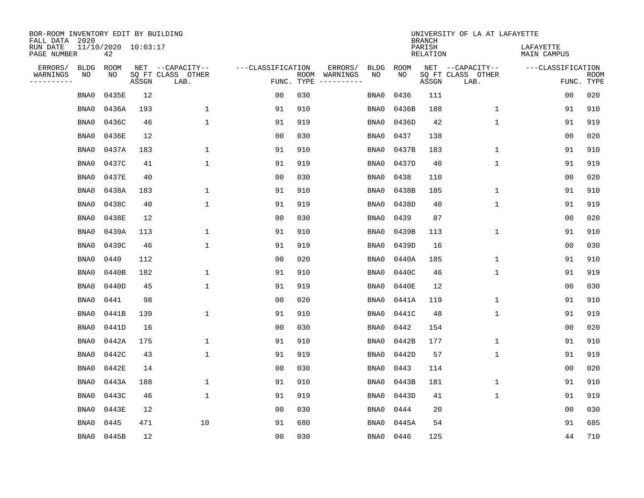| BOR-ROOM INVENTORY EDIT BY BUILDING<br>FALL DATA 2020 |                           |       |                           |                   |            |                              |             |             | <b>BRANCH</b>             | UNIVERSITY OF LA AT LAFAYETTE |                          |                           |
|-------------------------------------------------------|---------------------------|-------|---------------------------|-------------------|------------|------------------------------|-------------|-------------|---------------------------|-------------------------------|--------------------------|---------------------------|
| RUN DATE<br>PAGE NUMBER                               | 11/10/2020 10:03:17<br>42 |       |                           |                   |            |                              |             |             | PARISH<br><b>RELATION</b> |                               | LAFAYETTE<br>MAIN CAMPUS |                           |
| ERRORS/                                               | <b>BLDG</b><br>ROOM       |       | NET --CAPACITY--          | ---CLASSIFICATION |            | ERRORS/                      | <b>BLDG</b> | <b>ROOM</b> |                           | NET --CAPACITY--              | ---CLASSIFICATION        |                           |
| WARNINGS<br>----------                                | NO<br>NO                  | ASSGN | SQ FT CLASS OTHER<br>LAB. |                   | FUNC. TYPE | ROOM WARNINGS<br>----------- | NO          | NO          | ASSGN                     | SQ FT CLASS OTHER<br>LAB.     |                          | <b>ROOM</b><br>FUNC. TYPE |
|                                                       | 0435E<br>BNA0             | 12    |                           | 0 <sub>0</sub>    | 030        |                              | BNA0        | 0436        | 111                       |                               | 00                       | 020                       |
|                                                       | 0436A<br>BNA0             | 193   | $\mathbf{1}$              | 91                | 910        |                              | BNA0        | 0436B       | 188                       | 1                             | 91                       | 910                       |
|                                                       | 0436C<br>BNA0             | 46    | $\mathbf 1$               | 91                | 919        |                              | BNA0        | 0436D       | 42                        | $\mathbf 1$                   | 91                       | 919                       |
|                                                       | 0436E<br>BNA0             | 12    |                           | 0 <sub>0</sub>    | 030        |                              | BNA0        | 0437        | 138                       |                               | 0 <sub>0</sub>           | 020                       |
|                                                       | 0437A<br>BNA0             | 183   | $\mathbf 1$               | 91                | 910        |                              | BNA0        | 0437B       | 183                       | $\mathbf 1$                   | 91                       | 910                       |
|                                                       | 0437C<br>BNA0             | 41    | $\mathbf 1$               | 91                | 919        |                              | BNA0        | 0437D       | 40                        | $\mathbf{1}$                  | 91                       | 919                       |
|                                                       | BNA0<br>0437E             | 40    |                           | 0 <sub>0</sub>    | 030        |                              | BNA0        | 0438        | 110                       |                               | 00                       | 020                       |
|                                                       | 0438A<br>BNA0             | 183   | $\mathbf{1}$              | 91                | 910        |                              | BNA0        | 0438B       | 185                       | $\mathbf{1}$                  | 91                       | 910                       |
|                                                       | 0438C<br>BNA0             | 40    | $\mathbf{1}$              | 91                | 919        |                              | BNA0        | 0438D       | 40                        | $\mathbf{1}$                  | 91                       | 919                       |
|                                                       | 0438E<br>BNA0             | 12    |                           | 0 <sub>0</sub>    | 030        |                              | BNA0        | 0439        | 87                        |                               | 0 <sub>0</sub>           | 020                       |
|                                                       | 0439A<br>BNA0             | 113   | $\mathbf 1$               | 91                | 910        |                              | BNA0        | 0439B       | 113                       | $\mathbf 1$                   | 91                       | 910                       |
|                                                       | 0439C<br>BNA0             | 46    | $\mathbf{1}$              | 91                | 919        |                              | BNA0        | 0439D       | 16                        |                               | 0 <sub>0</sub>           | 030                       |
|                                                       | BNA0<br>0440              | 112   |                           | 0 <sub>0</sub>    | 020        |                              | BNA0        | 0440A       | 185                       | $\mathbf 1$                   | 91                       | 910                       |
|                                                       | 0440B<br>BNA0             | 182   | $\mathbf 1$               | 91                | 910        |                              | BNA0        | 0440C       | 46                        | 1                             | 91                       | 919                       |
|                                                       | BNA0<br>0440D             | 45    | $\mathbf{1}$              | 91                | 919        |                              | BNA0        | 0440E       | 12                        |                               | 0 <sub>0</sub>           | 030                       |
|                                                       | BNA0<br>0441              | 98    |                           | 00                | 020        |                              | BNA0        | 0441A       | 119                       | 1                             | 91                       | 910                       |
|                                                       | 0441B<br>BNA0             | 139   | $\mathbf{1}$              | 91                | 910        |                              | BNA0        | 0441C       | 48                        | 1                             | 91                       | 919                       |
|                                                       | BNA0<br>0441D             | 16    |                           | 0 <sub>0</sub>    | 030        |                              | BNA0        | 0442        | 154                       |                               | 00                       | 020                       |
|                                                       | 0442A<br>BNA0             | 175   | $\mathbf 1$               | 91                | 910        |                              | BNA0        | 0442B       | 177                       | 1                             | 91                       | 910                       |
|                                                       | 0442C<br>BNA0             | 43    | $\mathbf{1}$              | 91                | 919        |                              | BNA0        | 0442D       | 57                        | 1                             | 91                       | 919                       |
|                                                       | 0442E<br>BNA0             | 14    |                           | 0 <sub>0</sub>    | 030        |                              | BNA0        | 0443        | 114                       |                               | 0 <sub>0</sub>           | 020                       |
|                                                       | 0443A<br>BNA0             | 188   | $\mathbf{1}$              | 91                | 910        |                              | BNA0        | 0443B       | 181                       | 1                             | 91                       | 910                       |
|                                                       | 0443C<br>BNA0             | 46    | $\mathbf{1}$              | 91                | 919        |                              | BNA0        | 0443D       | 41                        | 1                             | 91                       | 919                       |
|                                                       | BNA0<br>0443E             | 12    |                           | 0 <sub>0</sub>    | 030        |                              | BNA0        | 0444        | 20                        |                               | 0 <sub>0</sub>           | 030                       |
|                                                       | 0445<br>BNA0              | 471   | 10                        | 91                | 680        |                              | BNA0        | 0445A       | 54                        |                               | 91                       | 685                       |
|                                                       | BNA0<br>0445B             | 12    |                           | 0 <sub>0</sub>    | 030        |                              | BNA0        | 0446        | 125                       |                               | 44                       | 710                       |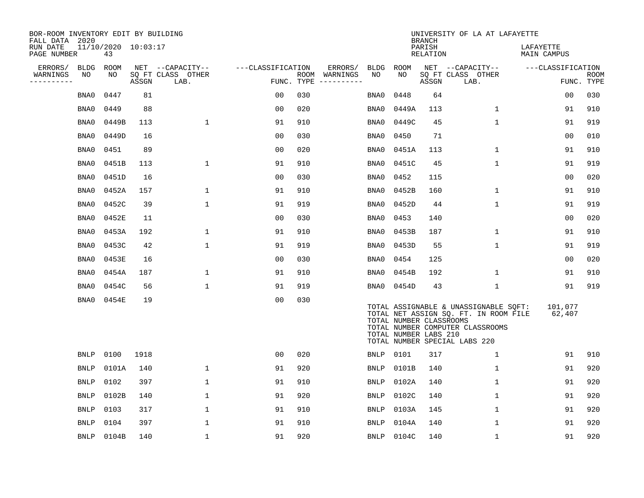| BOR-ROOM INVENTORY EDIT BY BUILDING<br>FALL DATA 2020 |             |                           |       |                           |                   |     |                                      |             |                                                  | <b>BRANCH</b>      | UNIVERSITY OF LA AT LAFAYETTE                                                                                                                              |                          |                           |
|-------------------------------------------------------|-------------|---------------------------|-------|---------------------------|-------------------|-----|--------------------------------------|-------------|--------------------------------------------------|--------------------|------------------------------------------------------------------------------------------------------------------------------------------------------------|--------------------------|---------------------------|
| RUN DATE<br>PAGE NUMBER                               |             | 11/10/2020 10:03:17<br>43 |       |                           |                   |     |                                      |             |                                                  | PARISH<br>RELATION |                                                                                                                                                            | LAFAYETTE<br>MAIN CAMPUS |                           |
| ERRORS/                                               | <b>BLDG</b> | ROOM                      |       | NET --CAPACITY--          | ---CLASSIFICATION |     | ERRORS/                              | BLDG ROOM   |                                                  |                    | NET --CAPACITY--                                                                                                                                           | ---CLASSIFICATION        |                           |
| WARNINGS<br>---------                                 | NO          | NO                        | ASSGN | SQ FT CLASS OTHER<br>LAB. |                   |     | ROOM WARNINGS<br>FUNC. TYPE $------$ | NO          | NO                                               | ASSGN              | SQ FT CLASS OTHER<br>LAB.                                                                                                                                  |                          | <b>ROOM</b><br>FUNC. TYPE |
|                                                       | BNA0        | 0447                      | 81    |                           | 0 <sub>0</sub>    | 030 |                                      | BNA0        | 0448                                             | 64                 |                                                                                                                                                            | 0 <sub>0</sub>           | 030                       |
|                                                       | BNA0        | 0449                      | 88    |                           | 0 <sub>0</sub>    | 020 |                                      | BNA0        | 0449A                                            | 113                | $\mathbf 1$                                                                                                                                                | 91                       | 910                       |
|                                                       | BNA0        | 0449B                     | 113   | $\mathbf{1}$              | 91                | 910 |                                      | BNA0        | 0449C                                            | 45                 | $\mathbf{1}$                                                                                                                                               | 91                       | 919                       |
|                                                       | BNA0        | 0449D                     | 16    |                           | 0 <sub>0</sub>    | 030 |                                      | BNA0        | 0450                                             | 71                 |                                                                                                                                                            | 00                       | 010                       |
|                                                       | BNA0        | 0451                      | 89    |                           | 00                | 020 |                                      | BNA0        | 0451A                                            | 113                | 1                                                                                                                                                          | 91                       | 910                       |
|                                                       | BNA0        | 0451B                     | 113   | 1                         | 91                | 910 |                                      | BNA0        | 0451C                                            | 45                 | $\mathbf 1$                                                                                                                                                | 91                       | 919                       |
|                                                       | BNA0        | 0451D                     | 16    |                           | 0 <sub>0</sub>    | 030 |                                      | BNA0        | 0452                                             | 115                |                                                                                                                                                            | 00                       | 020                       |
|                                                       | BNA0        | 0452A                     | 157   | $1\,$                     | 91                | 910 |                                      | BNA0        | 0452B                                            | 160                | $\mathbf{1}$                                                                                                                                               | 91                       | 910                       |
|                                                       | BNA0        | 0452C                     | 39    | 1                         | 91                | 919 |                                      | BNA0        | 0452D                                            | 44                 | $\mathbf 1$                                                                                                                                                | 91                       | 919                       |
|                                                       | BNA0        | 0452E                     | 11    |                           | 0 <sub>0</sub>    | 030 |                                      | BNA0        | 0453                                             | 140                |                                                                                                                                                            | 0 <sub>0</sub>           | 020                       |
|                                                       | BNA0        | 0453A                     | 192   | 1                         | 91                | 910 |                                      | BNA0        | 0453B                                            | 187                | $\mathbf{1}$                                                                                                                                               | 91                       | 910                       |
|                                                       | BNA0        | 0453C                     | 42    | $\mathbf{1}$              | 91                | 919 |                                      | BNA0        | 0453D                                            | 55                 | $\mathbf{1}$                                                                                                                                               | 91                       | 919                       |
|                                                       | BNA0        | 0453E                     | 16    |                           | 0 <sub>0</sub>    | 030 |                                      | BNA0        | 0454                                             | 125                |                                                                                                                                                            | 0 <sub>0</sub>           | 020                       |
|                                                       | BNA0        | 0454A                     | 187   | 1                         | 91                | 910 |                                      | BNA0        | 0454B                                            | 192                | $\mathbf 1$                                                                                                                                                | 91                       | 910                       |
|                                                       | BNA0        | 0454C                     | 56    | 1                         | 91                | 919 |                                      | BNA0        | 0454D                                            | 43                 | $\mathbf{1}$                                                                                                                                               | 91                       | 919                       |
|                                                       | BNA0        | 0454E                     | 19    |                           | 0 <sub>0</sub>    | 030 |                                      |             | TOTAL NUMBER CLASSROOMS<br>TOTAL NUMBER LABS 210 |                    | TOTAL ASSIGNABLE & UNASSIGNABLE SQFT:<br>TOTAL NET ASSIGN SQ. FT. IN ROOM FILE 62,407<br>TOTAL NUMBER COMPUTER CLASSROOMS<br>TOTAL NUMBER SPECIAL LABS 220 | 101,077                  |                           |
|                                                       | <b>BNLP</b> | 0100                      | 1918  |                           | 00                | 020 |                                      | BNLP        | 0101                                             | 317                | 1                                                                                                                                                          | 91                       | 910                       |
|                                                       | <b>BNLP</b> | 0101A                     | 140   | 1                         | 91                | 920 |                                      | <b>BNLP</b> | 0101B                                            | 140                | $\mathbf 1$                                                                                                                                                | 91                       | 920                       |
|                                                       | <b>BNLP</b> | 0102                      | 397   | $\mathbf 1$               | 91                | 910 |                                      | <b>BNLP</b> | 0102A                                            | 140                | $\mathbf{1}$                                                                                                                                               | 91                       | 920                       |
|                                                       | BNLP        | 0102B                     | 140   | 1                         | 91                | 920 |                                      | BNLP        | 0102C                                            | 140                | 1                                                                                                                                                          | 91                       | 920                       |
|                                                       | BNLP        | 0103                      | 317   | 1                         | 91                | 910 |                                      | <b>BNLP</b> | 0103A                                            | 145                | $\mathbf 1$                                                                                                                                                | 91                       | 920                       |
|                                                       | <b>BNLP</b> | 0104                      | 397   | 1                         | 91                | 910 |                                      | <b>BNLP</b> | 0104A                                            | 140                | $\mathbf 1$                                                                                                                                                | 91                       | 920                       |
|                                                       | <b>BNLP</b> | 0104B                     | 140   | $\mathbf{1}$              | 91                | 920 |                                      |             | BNLP 0104C                                       | 140                | $\mathbf{1}$                                                                                                                                               | 91                       | 920                       |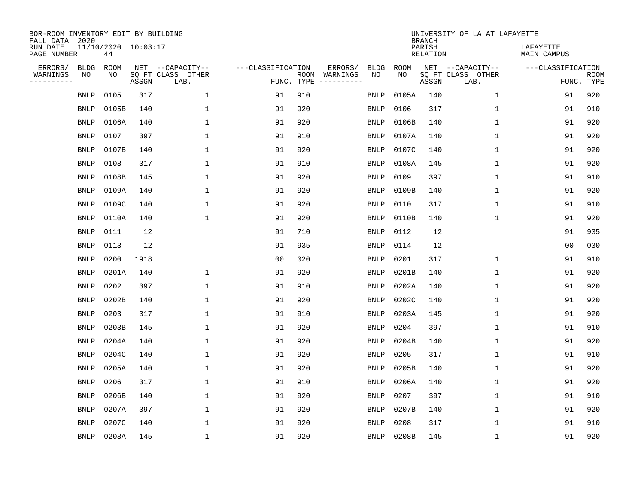| BOR-ROOM INVENTORY EDIT BY BUILDING<br>FALL DATA 2020 |             |                           |       |                           |                   |                    |                         |             |             | <b>BRANCH</b>             | UNIVERSITY OF LA AT LAFAYETTE |                          |                           |
|-------------------------------------------------------|-------------|---------------------------|-------|---------------------------|-------------------|--------------------|-------------------------|-------------|-------------|---------------------------|-------------------------------|--------------------------|---------------------------|
| RUN DATE<br>PAGE NUMBER                               |             | 11/10/2020 10:03:17<br>44 |       |                           |                   |                    |                         |             |             | PARISH<br><b>RELATION</b> |                               | LAFAYETTE<br>MAIN CAMPUS |                           |
| ERRORS/                                               | <b>BLDG</b> | ROOM                      |       | NET --CAPACITY--          | ---CLASSIFICATION |                    | ERRORS/                 | <b>BLDG</b> | <b>ROOM</b> |                           | NET --CAPACITY--              | ---CLASSIFICATION        |                           |
| WARNINGS<br>----------                                | NO          | NO                        | ASSGN | SQ FT CLASS OTHER<br>LAB. |                   | ROOM<br>FUNC. TYPE | WARNINGS<br>----------- | NO          | NO          | ASSGN                     | SQ FT CLASS OTHER<br>LAB.     |                          | <b>ROOM</b><br>FUNC. TYPE |
|                                                       | <b>BNLP</b> | 0105                      | 317   | 1                         | 91                | 910                |                         | <b>BNLP</b> | 0105A       | 140                       | $\mathbf 1$                   | 91                       | 920                       |
|                                                       | <b>BNLP</b> | 0105B                     | 140   | 1                         | 91                | 920                |                         | <b>BNLP</b> | 0106        | 317                       | 1                             | 91                       | 910                       |
|                                                       | <b>BNLP</b> | 0106A                     | 140   | 1                         | 91                | 920                |                         | <b>BNLP</b> | 0106B       | 140                       | $\mathbf 1$                   | 91                       | 920                       |
|                                                       | <b>BNLP</b> | 0107                      | 397   | $\mathbf{1}$              | 91                | 910                |                         | <b>BNLP</b> | 0107A       | 140                       | 1                             | 91                       | 920                       |
|                                                       | <b>BNLP</b> | 0107B                     | 140   | $\mathbf{1}$              | 91                | 920                |                         | <b>BNLP</b> | 0107C       | 140                       | $\mathbf{1}$                  | 91                       | 920                       |
|                                                       | <b>BNLP</b> | 0108                      | 317   | $\mathbf{1}$              | 91                | 910                |                         | <b>BNLP</b> | 0108A       | 145                       | $\mathbf{1}$                  | 91                       | 920                       |
|                                                       | <b>BNLP</b> | 0108B                     | 145   | $\mathbf 1$               | 91                | 920                |                         | <b>BNLP</b> | 0109        | 397                       | $\mathbf{1}$                  | 91                       | 910                       |
|                                                       | <b>BNLP</b> | 0109A                     | 140   | $\mathbf{1}$              | 91                | 920                |                         | <b>BNLP</b> | 0109B       | 140                       | 1                             | 91                       | 920                       |
|                                                       | <b>BNLP</b> | 0109C                     | 140   | 1                         | 91                | 920                |                         | <b>BNLP</b> | 0110        | 317                       | 1                             | 91                       | 910                       |
|                                                       | <b>BNLP</b> | 0110A                     | 140   | $\mathbf{1}$              | 91                | 920                |                         | <b>BNLP</b> | 0110B       | 140                       | 1                             | 91                       | 920                       |
|                                                       | <b>BNLP</b> | 0111                      | 12    |                           | 91                | 710                |                         | <b>BNLP</b> | 0112        | 12                        |                               | 91                       | 935                       |
|                                                       | <b>BNLP</b> | 0113                      | 12    |                           | 91                | 935                |                         | <b>BNLP</b> | 0114        | 12                        |                               | 0 <sub>0</sub>           | 030                       |
|                                                       | <b>BNLP</b> | 0200                      | 1918  |                           | 0 <sub>0</sub>    | 020                |                         | <b>BNLP</b> | 0201        | 317                       | $\mathbf 1$                   | 91                       | 910                       |
|                                                       | <b>BNLP</b> | 0201A                     | 140   | 1                         | 91                | 920                |                         | <b>BNLP</b> | 0201B       | 140                       | 1                             | 91                       | 920                       |
|                                                       | <b>BNLP</b> | 0202                      | 397   | 1                         | 91                | 910                |                         | <b>BNLP</b> | 0202A       | 140                       | 1                             | 91                       | 920                       |
|                                                       | <b>BNLP</b> | 0202B                     | 140   | 1                         | 91                | 920                |                         | <b>BNLP</b> | 0202C       | 140                       | 1                             | 91                       | 920                       |
|                                                       | <b>BNLP</b> | 0203                      | 317   | 1                         | 91                | 910                |                         | <b>BNLP</b> | 0203A       | 145                       | 1                             | 91                       | 920                       |
|                                                       | <b>BNLP</b> | 0203B                     | 145   | $\mathbf{1}$              | 91                | 920                |                         | <b>BNLP</b> | 0204        | 397                       | 1                             | 91                       | 910                       |
|                                                       | <b>BNLP</b> | 0204A                     | 140   | 1                         | 91                | 920                |                         | <b>BNLP</b> | 0204B       | 140                       | 1                             | 91                       | 920                       |
|                                                       | <b>BNLP</b> | 0204C                     | 140   | 1                         | 91                | 920                |                         | <b>BNLP</b> | 0205        | 317                       | 1                             | 91                       | 910                       |
|                                                       | <b>BNLP</b> | 0205A                     | 140   | 1                         | 91                | 920                |                         | <b>BNLP</b> | 0205B       | 140                       | 1                             | 91                       | 920                       |
|                                                       | <b>BNLP</b> | 0206                      | 317   | 1                         | 91                | 910                |                         | <b>BNLP</b> | 0206A       | 140                       | 1                             | 91                       | 920                       |
|                                                       | <b>BNLP</b> | 0206B                     | 140   | 1                         | 91                | 920                |                         | <b>BNLP</b> | 0207        | 397                       | 1                             | 91                       | 910                       |
|                                                       | <b>BNLP</b> | 0207A                     | 397   | 1                         | 91                | 920                |                         | <b>BNLP</b> | 0207B       | 140                       | $\mathbf 1$                   | 91                       | 920                       |
|                                                       | <b>BNLP</b> | 0207C                     | 140   | 1                         | 91                | 920                |                         | <b>BNLP</b> | 0208        | 317                       | $\mathbf{1}$                  | 91                       | 910                       |
|                                                       | BNLP        | 0208A                     | 145   | $\mathbf{1}$              | 91                | 920                |                         | BNLP        | 0208B       | 145                       | 1                             | 91                       | 920                       |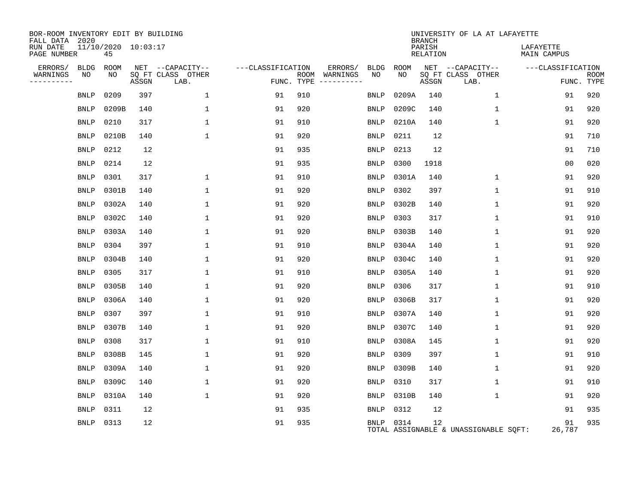| BOR-ROOM INVENTORY EDIT BY BUILDING<br>FALL DATA 2020 |             |                           |       |                           |                   |     |                                        |             |       | <b>BRANCH</b>      | UNIVERSITY OF LA AT LAFAYETTE         |                          |                           |
|-------------------------------------------------------|-------------|---------------------------|-------|---------------------------|-------------------|-----|----------------------------------------|-------------|-------|--------------------|---------------------------------------|--------------------------|---------------------------|
| RUN DATE<br>PAGE NUMBER                               |             | 11/10/2020 10:03:17<br>45 |       |                           |                   |     |                                        |             |       | PARISH<br>RELATION |                                       | LAFAYETTE<br>MAIN CAMPUS |                           |
| ERRORS/                                               | <b>BLDG</b> | ROOM                      |       | NET --CAPACITY--          | ---CLASSIFICATION |     | ERRORS/                                | <b>BLDG</b> | ROOM  |                    | NET --CAPACITY--                      | ---CLASSIFICATION        |                           |
| WARNINGS<br>---------                                 | NO          | NO                        | ASSGN | SQ FT CLASS OTHER<br>LAB. |                   |     | ROOM WARNINGS<br>FUNC. TYPE ---------- | NO          | NO.   | ASSGN              | SQ FT CLASS OTHER<br>LAB.             |                          | <b>ROOM</b><br>FUNC. TYPE |
|                                                       | <b>BNLP</b> | 0209                      | 397   | 1                         | 91                | 910 |                                        | <b>BNLP</b> | 0209A | 140                | 1                                     | 91                       | 920                       |
|                                                       | BNLP        | 0209B                     | 140   | 1                         | 91                | 920 |                                        | <b>BNLP</b> | 0209C | 140                | $\mathbf 1$                           | 91                       | 920                       |
|                                                       | <b>BNLP</b> | 0210                      | 317   | $\mathbf{1}$              | 91                | 910 |                                        | <b>BNLP</b> | 0210A | 140                | $\mathbf 1$                           | 91                       | 920                       |
|                                                       | <b>BNLP</b> | 0210B                     | 140   | 1                         | 91                | 920 |                                        | <b>BNLP</b> | 0211  | 12                 |                                       | 91                       | 710                       |
|                                                       | <b>BNLP</b> | 0212                      | 12    |                           | 91                | 935 |                                        | <b>BNLP</b> | 0213  | 12                 |                                       | 91                       | 710                       |
|                                                       | <b>BNLP</b> | 0214                      | 12    |                           | 91                | 935 |                                        | <b>BNLP</b> | 0300  | 1918               |                                       | 0 <sub>0</sub>           | 020                       |
|                                                       | <b>BNLP</b> | 0301                      | 317   | 1                         | 91                | 910 |                                        | <b>BNLP</b> | 0301A | 140                | 1                                     | 91                       | 920                       |
|                                                       | <b>BNLP</b> | 0301B                     | 140   | $\mathbf 1$               | 91                | 920 |                                        | <b>BNLP</b> | 0302  | 397                | 1                                     | 91                       | 910                       |
|                                                       | <b>BNLP</b> | 0302A                     | 140   | 1                         | 91                | 920 |                                        | <b>BNLP</b> | 0302B | 140                | 1                                     | 91                       | 920                       |
|                                                       | <b>BNLP</b> | 0302C                     | 140   | $\mathbf{1}$              | 91                | 920 |                                        | <b>BNLP</b> | 0303  | 317                | 1                                     | 91                       | 910                       |
|                                                       | <b>BNLP</b> | 0303A                     | 140   | 1                         | 91                | 920 |                                        | <b>BNLP</b> | 0303B | 140                | 1                                     | 91                       | 920                       |
|                                                       | <b>BNLP</b> | 0304                      | 397   | $\mathbf{1}$              | 91                | 910 |                                        | <b>BNLP</b> | 0304A | 140                | 1                                     | 91                       | 920                       |
|                                                       | <b>BNLP</b> | 0304B                     | 140   | 1                         | 91                | 920 |                                        | <b>BNLP</b> | 0304C | 140                | 1                                     | 91                       | 920                       |
|                                                       | <b>BNLP</b> | 0305                      | 317   | 1                         | 91                | 910 |                                        | <b>BNLP</b> | 0305A | 140                | 1                                     | 91                       | 920                       |
|                                                       | <b>BNLP</b> | 0305B                     | 140   | 1                         | 91                | 920 |                                        | <b>BNLP</b> | 0306  | 317                | 1                                     | 91                       | 910                       |
|                                                       | <b>BNLP</b> | 0306A                     | 140   | $\mathbf{1}$              | 91                | 920 |                                        | <b>BNLP</b> | 0306B | 317                | 1                                     | 91                       | 920                       |
|                                                       | <b>BNLP</b> | 0307                      | 397   | 1                         | 91                | 910 |                                        | <b>BNLP</b> | 0307A | 140                | 1                                     | 91                       | 920                       |
|                                                       | <b>BNLP</b> | 0307B                     | 140   | 1                         | 91                | 920 |                                        | <b>BNLP</b> | 0307C | 140                | 1                                     | 91                       | 920                       |
|                                                       | <b>BNLP</b> | 0308                      | 317   | 1                         | 91                | 910 |                                        | BNLP        | 0308A | 145                | 1                                     | 91                       | 920                       |
|                                                       | <b>BNLP</b> | 0308B                     | 145   | 1                         | 91                | 920 |                                        | <b>BNLP</b> | 0309  | 397                | $\mathbf 1$                           | 91                       | 910                       |
|                                                       | <b>BNLP</b> | 0309A                     | 140   | 1                         | 91                | 920 |                                        | <b>BNLP</b> | 0309B | 140                | $\mathbf 1$                           | 91                       | 920                       |
|                                                       | <b>BNLP</b> | 0309C                     | 140   | $\mathbf{1}$              | 91                | 920 |                                        | <b>BNLP</b> | 0310  | 317                | 1                                     | 91                       | 910                       |
|                                                       | <b>BNLP</b> | 0310A                     | 140   | $\mathbf{1}$              | 91                | 920 |                                        | <b>BNLP</b> | 0310B | 140                | $\mathbf 1$                           | 91                       | 920                       |
|                                                       | <b>BNLP</b> | 0311                      | 12    |                           | 91                | 935 |                                        | <b>BNLP</b> | 0312  | 12                 |                                       | 91                       | 935                       |
|                                                       | <b>BNLP</b> | 0313                      | 12    |                           | 91                | 935 |                                        | BNLP 0314   |       | 12                 | TOTAL ASSIGNABLE & UNASSIGNABLE SOFT: | 91<br>26,787             | 935                       |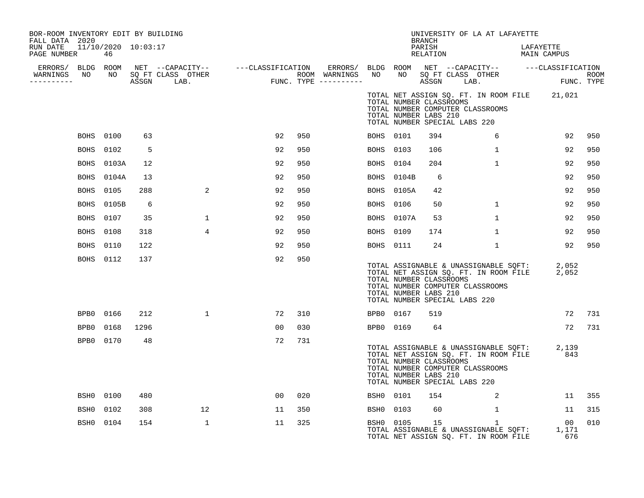| BOR-ROOM INVENTORY EDIT BY BUILDING<br>FALL DATA 2020 |             |                  |      |                                                                                                               |                                        |     |                  |                  |            | <b>BRANCH</b>                                                                     | UNIVERSITY OF LA AT LAFAYETTE                                                                                                                                     |                          |                 |             |
|-------------------------------------------------------|-------------|------------------|------|---------------------------------------------------------------------------------------------------------------|----------------------------------------|-----|------------------|------------------|------------|-----------------------------------------------------------------------------------|-------------------------------------------------------------------------------------------------------------------------------------------------------------------|--------------------------|-----------------|-------------|
| RUN DATE 11/10/2020 10:03:17<br>PAGE NUMBER           |             | 46               |      |                                                                                                               |                                        |     |                  |                  |            | PARISH<br>RELATION                                                                |                                                                                                                                                                   | LAFAYETTE<br>MAIN CAMPUS |                 |             |
|                                                       |             |                  |      | ERRORS/ BLDG ROOM NET --CAPACITY-- - ---CLASSIFICATION ERRORS/ BLDG ROOM NET --CAPACITY-- - ---CLASSIFICATION |                                        |     |                  |                  |            |                                                                                   |                                                                                                                                                                   |                          |                 |             |
| WARNINGS NO<br>-----------                            |             |                  |      | NO SQ FT CLASS OTHER<br>ASSGN LAB.                                                                            | ROOM WARNINGS<br>FUNC. TYPE ---------- |     | ROOM WARNINGS NO |                  |            | ASSGN LAB.                                                                        | NO SQ FT CLASS OTHER                                                                                                                                              |                          | FUNC. TYPE      | <b>ROOM</b> |
|                                                       |             |                  |      |                                                                                                               |                                        |     |                  |                  |            | TOTAL NUMBER CLASSROOMS<br>TOTAL NUMBER LABS 210<br>TOTAL NUMBER SPECIAL LABS 220 | TOTAL NET ASSIGN SQ. FT. IN ROOM FILE 21,021<br>TOTAL NUMBER COMPUTER CLASSROOMS                                                                                  |                          |                 |             |
|                                                       |             | <b>BOHS</b> 0100 | 63   |                                                                                                               | 92                                     | 950 |                  | <b>BOHS</b> 0101 |            | 394                                                                               | 6                                                                                                                                                                 |                          | 92              | 950         |
|                                                       | BOHS        | 0102             | 5    |                                                                                                               | 92                                     | 950 |                  | BOHS             | 0103       | 106                                                                               | $\mathbf{1}$                                                                                                                                                      |                          | 92              | 950         |
|                                                       | BOHS        | 0103A            | 12   |                                                                                                               | 92                                     | 950 |                  | BOHS             | 0104       | 204                                                                               | $\mathbf{1}$                                                                                                                                                      |                          | 92              | 950         |
|                                                       |             | BOHS 0104A       | 13   |                                                                                                               | 92                                     | 950 |                  |                  | BOHS 0104B | 6                                                                                 |                                                                                                                                                                   |                          | 92              | 950         |
|                                                       | <b>BOHS</b> | 0105             | 288  | 2                                                                                                             | 92                                     | 950 |                  | <b>BOHS</b>      | 0105A      | 42                                                                                |                                                                                                                                                                   |                          | 92              | 950         |
|                                                       | <b>BOHS</b> | 0105B            | 6    |                                                                                                               | 92                                     | 950 |                  | <b>BOHS</b>      | 0106       | 50                                                                                | $\mathbf{1}$                                                                                                                                                      |                          | 92              | 950         |
|                                                       | <b>BOHS</b> | 0107             | 35   | $\mathbf{1}$                                                                                                  | 92                                     | 950 |                  | BOHS             | 0107A      | 53                                                                                | $\mathbf{1}$                                                                                                                                                      |                          | 92              | 950         |
|                                                       | BOHS        | 0108             | 318  | 4                                                                                                             | 92                                     | 950 |                  | BOHS 0109        |            | 174                                                                               | $\mathbf{1}$                                                                                                                                                      |                          | 92              | 950         |
|                                                       | BOHS        | 0110             | 122  |                                                                                                               | 92                                     | 950 |                  | BOHS 0111        |            | 24                                                                                | $\mathbf{1}$                                                                                                                                                      |                          | 92              | 950         |
|                                                       |             | BOHS 0112        | 137  |                                                                                                               | 92                                     | 950 |                  |                  |            | TOTAL NUMBER CLASSROOMS<br>TOTAL NUMBER LABS 210<br>TOTAL NUMBER SPECIAL LABS 220 | TOTAL ASSIGNABLE & UNASSIGNABLE SQFT: 2,052<br>TOTAL NET ASSIGN SQ. FT. IN ROOM FILE 2,052<br>TOTAL NUMBER COMPUTER CLASSROOMS                                    |                          |                 |             |
|                                                       | BPB0        | 0166             | 212  | $\mathbf{1}$                                                                                                  | 72                                     | 310 |                  | BPB0 0167        |            | 519                                                                               |                                                                                                                                                                   |                          | 72              | 731         |
|                                                       | BPB0        | 0168             | 1296 |                                                                                                               | 0 <sub>0</sub>                         | 030 |                  | BPB0 0169        |            | 64                                                                                |                                                                                                                                                                   |                          | 72              | 731         |
|                                                       |             | BPB0 0170        | 48   |                                                                                                               | 72                                     | 731 |                  |                  |            | TOTAL NUMBER CLASSROOMS<br>TOTAL NUMBER LABS 210<br>TOTAL NUMBER SPECIAL LABS 220 | TOTAL ASSIGNABLE & UNASSIGNABLE SQFT: 2,139<br>TOTAL NET ASSIGN SQ. FT. IN ROOM FILE 2843<br>TOTAL NUMBER COMPUTER CLASSROOMS                                     |                          |                 |             |
|                                                       | BSH0        | 0100             | 480  |                                                                                                               | 00                                     | 020 |                  | BSH0 0101        |            | 154                                                                               | 2                                                                                                                                                                 |                          | 11              | 355         |
|                                                       | BSH0        | 0102             | 308  | 12                                                                                                            | 11                                     | 350 |                  | BSH0 0103        |            | 60                                                                                | $\mathbf{1}$                                                                                                                                                      |                          | 11              | 315         |
|                                                       | BSH0        | 0104             | 154  | $\mathbf{1}$                                                                                                  | 11                                     | 325 |                  | BSH0 0105        |            | 15                                                                                | $\mathbf{1}$<br>BSHO 0105 15<br>TOTAL ASSIGNABLE & UNASSIGNABLE SQFT: 1,171<br>TOTAL NET ASSIGN SQ. FT. IN ROOM FILE 676<br>TOTAL NET ASSIGN SQ. FT. IN ROOM FILE |                          | 00 <sub>o</sub> | 010         |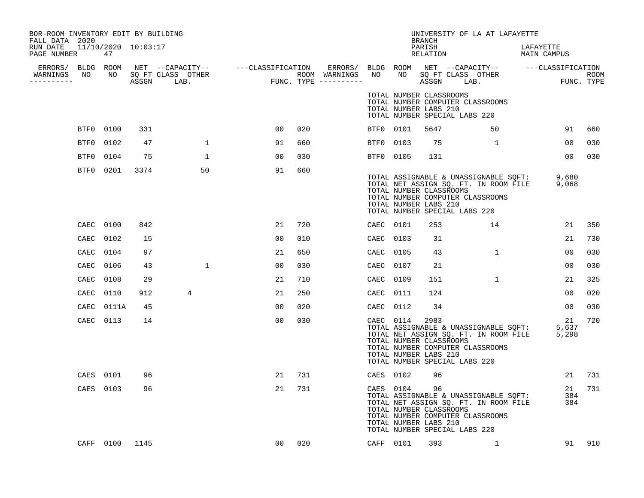| BOR-ROOM INVENTORY EDIT BY BUILDING<br>FALL DATA 2020 |                |      |                |    |     |           |                                                               | BRANCH             | UNIVERSITY OF LA AT LAFAYETTE                                                                                                                                                                                                        |                          |        |
|-------------------------------------------------------|----------------|------|----------------|----|-----|-----------|---------------------------------------------------------------|--------------------|--------------------------------------------------------------------------------------------------------------------------------------------------------------------------------------------------------------------------------------|--------------------------|--------|
| RUN DATE 11/10/2020 10:03:17<br>PAGE NUMBER           | 47             |      |                |    |     |           |                                                               | PARISH<br>RELATION |                                                                                                                                                                                                                                      | LAFAYETTE<br>MAIN CAMPUS |        |
| WARNINGS<br>----------                                |                |      |                |    |     |           |                                                               |                    | ERRORS/ BLDG ROOM NET --CAPACITY-- ----CLASSIFICATION ERRORS/ BLDG ROOM NET --CAPACITY-- -----CLASSIFICATION<br>NARNINGS NO NO SQFTCLASS OTHER ROOM WARNINGS NO NO SQFTCLASS OTHER ROOM<br>--------- ASSGN LAB. FUNC.TYPE ---------- |                          |        |
|                                                       |                |      |                |    |     |           | TOTAL NUMBER CLASSROOMS<br>TOTAL NUMBER LABS 210              |                    | TOTAL NUMBER COMPUTER CLASSROOMS<br>TOTAL NUMBER SPECIAL LABS 220                                                                                                                                                                    |                          |        |
|                                                       | BTF0 0100      | 331  |                | 00 | 020 | BTF0 0101 |                                                               | 5647               | 50                                                                                                                                                                                                                                   | 91                       | 660    |
| BTF0                                                  | 0102           | 47   | $\mathbf{1}$   | 91 | 660 | BTF0 0103 |                                                               | 75                 |                                                                                                                                                                                                                                      | 00                       | 030    |
| BTF0                                                  | 0104           | 75   | $\mathbf{1}$   | 00 | 030 | BTF0 0105 |                                                               | 131                |                                                                                                                                                                                                                                      | 00 <sup>o</sup>          | 030    |
|                                                       | BTF0 0201      | 3374 | 50             | 91 | 660 |           | TOTAL NUMBER CLASSROOMS<br>TOTAL NUMBER LABS 210              |                    | TOTAL ASSIGNABLE & UNASSIGNABLE SQFT: 9,680<br>TOTAL NET ASSIGN SQ. FT. IN ROOM FILE 9,068<br>TOTAL NUMBER COMPUTER CLASSROOMS<br>TOTAL NUMBER SPECIAL LABS 220                                                                      |                          |        |
|                                                       | CAEC 0100      | 842  |                | 21 | 720 | CAEC 0101 |                                                               | 253                | 14                                                                                                                                                                                                                                   | 21                       | 350    |
| CAEC                                                  | 0102           | 15   |                | 00 | 010 | CAEC 0103 |                                                               | 31                 |                                                                                                                                                                                                                                      | 21                       | 730    |
| CAEC                                                  | 0104           | 97   |                | 21 | 650 | CAEC 0105 |                                                               | 43                 | <sup>1</sup>                                                                                                                                                                                                                         | 0 <sub>0</sub>           | 030    |
| CAEC                                                  | 0106           | 43   | $\mathbf{1}$   | 00 | 030 | CAEC 0107 |                                                               | 21                 |                                                                                                                                                                                                                                      | 00                       | 030    |
| CAEC                                                  | 0108           | 29   |                | 21 | 710 | CAEC      | 0109                                                          | 151                | $\mathbf{1}$                                                                                                                                                                                                                         | 21                       | 325    |
| CAEC                                                  | 0110           | 912  | $\overline{4}$ | 21 | 250 | CAEC 0111 |                                                               | 124                |                                                                                                                                                                                                                                      | 00                       | 020    |
| CAEC                                                  | 0111A          | 45   |                | 00 | 020 | CAEC 0112 |                                                               | 34                 |                                                                                                                                                                                                                                      | 00                       | 030    |
|                                                       | CAEC 0113      | 14   |                | 00 | 030 | CAEC 0114 | TOTAL NUMBER CLASSROOMS<br>TOTAL NUMBER LABS 210              | 2983               | TOTAL ASSIGNABLE & UNASSIGNABLE SQFT:<br>TOTAL NET ASSIGN SQ. FT. IN ROOM FILE<br>TOTAL NUMBER COMPUTER CLASSROOMS<br>TOTAL NUMBER SPECIAL LABS 220                                                                                  | 21<br>5,637<br>5,298     | 720    |
| CAES                                                  | 0101           | 96   |                | 21 | 731 | CAES 0102 |                                                               | 96                 |                                                                                                                                                                                                                                      |                          | 21 731 |
|                                                       | CAES 0103      | 96   |                | 21 | 731 |           | CAES 0104<br>TOTAL NUMBER CLASSROOMS<br>TOTAL NUMBER LABS 210 | 96                 | TOTAL ASSIGNABLE & UNASSIGNABLE SQFT:<br>TOTAL NET ASSIGN SQ. FT. IN ROOM FILE<br>TOTAL NUMBER COMPUTER CLASSROOMS<br>TOTAL NUMBER SPECIAL LABS 220                                                                                  | 384<br>384               | 21 731 |
|                                                       | CAFF 0100 1145 |      |                | 00 | 020 |           | CAFF 0101                                                     | 393                | 1                                                                                                                                                                                                                                    |                          | 91 910 |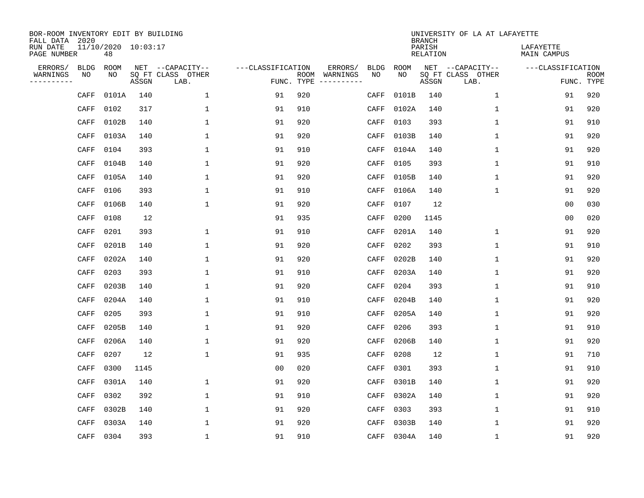| BOR-ROOM INVENTORY EDIT BY BUILDING<br>FALL DATA 2020 |      |                           |       |                           |                   |                    |          |             |             | <b>BRANCH</b>             | UNIVERSITY OF LA AT LAFAYETTE |                          |                           |
|-------------------------------------------------------|------|---------------------------|-------|---------------------------|-------------------|--------------------|----------|-------------|-------------|---------------------------|-------------------------------|--------------------------|---------------------------|
| RUN DATE<br>PAGE NUMBER                               |      | 11/10/2020 10:03:17<br>48 |       |                           |                   |                    |          |             |             | PARISH<br><b>RELATION</b> |                               | LAFAYETTE<br>MAIN CAMPUS |                           |
| ERRORS/                                               | BLDG | ROOM                      |       | NET --CAPACITY--          | ---CLASSIFICATION |                    | ERRORS/  | <b>BLDG</b> | <b>ROOM</b> |                           | NET --CAPACITY--              | ---CLASSIFICATION        |                           |
| WARNINGS<br>----------                                | ΝO   | NO                        | ASSGN | SQ FT CLASS OTHER<br>LAB. |                   | ROOM<br>FUNC. TYPE | WARNINGS | NO          | NO          | ASSGN                     | SQ FT CLASS OTHER<br>LAB.     |                          | <b>ROOM</b><br>FUNC. TYPE |
|                                                       | CAFF | 0101A                     | 140   | 1                         | 91                | 920                |          | CAFF        | 0101B       | 140                       | 1                             | 91                       | 920                       |
|                                                       | CAFF | 0102                      | 317   | 1                         | 91                | 910                |          | CAFF        | 0102A       | 140                       | 1                             | 91                       | 920                       |
|                                                       | CAFF | 0102B                     | 140   | 1                         | 91                | 920                |          | CAFF        | 0103        | 393                       | $\mathbf 1$                   | 91                       | 910                       |
|                                                       | CAFF | 0103A                     | 140   | 1                         | 91                | 920                |          | CAFF        | 0103B       | 140                       | 1                             | 91                       | 920                       |
|                                                       | CAFF | 0104                      | 393   | $\mathbf{1}$              | 91                | 910                |          | CAFF        | 0104A       | 140                       | $\mathbf{1}$                  | 91                       | 920                       |
|                                                       | CAFF | 0104B                     | 140   | 1                         | 91                | 920                |          | CAFF        | 0105        | 393                       | $\mathbf 1$                   | 91                       | 910                       |
|                                                       | CAFF | 0105A                     | 140   | $\mathbf{1}$              | 91                | 920                |          | CAFF        | 0105B       | 140                       | $\mathbf{1}$                  | 91                       | 920                       |
|                                                       | CAFF | 0106                      | 393   | $\mathbf{1}$              | 91                | 910                |          | CAFF        | 0106A       | 140                       | $\mathbf{1}$                  | 91                       | 920                       |
|                                                       | CAFF | 0106B                     | 140   | $\mathbf{1}$              | 91                | 920                |          | CAFF        | 0107        | 12                        |                               | 0 <sub>0</sub>           | 030                       |
|                                                       | CAFF | 0108                      | 12    |                           | 91                | 935                |          | CAFF        | 0200        | 1145                      |                               | 0 <sub>0</sub>           | 020                       |
|                                                       | CAFF | 0201                      | 393   | 1                         | 91                | 910                |          | CAFF        | 0201A       | 140                       | 1                             | 91                       | 920                       |
|                                                       | CAFF | 0201B                     | 140   | 1                         | 91                | 920                |          | CAFF        | 0202        | 393                       | $\mathbf 1$                   | 91                       | 910                       |
|                                                       | CAFF | 0202A                     | 140   | 1                         | 91                | 920                |          | CAFF        | 0202B       | 140                       | $\mathbf 1$                   | 91                       | 920                       |
|                                                       | CAFF | 0203                      | 393   | 1                         | 91                | 910                |          | CAFF        | 0203A       | 140                       | 1                             | 91                       | 920                       |
|                                                       | CAFF | 0203B                     | 140   | 1                         | 91                | 920                |          | CAFF        | 0204        | 393                       | 1                             | 91                       | 910                       |
|                                                       | CAFF | 0204A                     | 140   | $\mathbf{1}$              | 91                | 910                |          | CAFF        | 0204B       | 140                       | $\mathbf 1$                   | 91                       | 920                       |
|                                                       | CAFF | 0205                      | 393   | 1                         | 91                | 910                |          | CAFF        | 0205A       | 140                       | 1                             | 91                       | 920                       |
|                                                       | CAFF | 0205B                     | 140   | 1                         | 91                | 920                |          | CAFF        | 0206        | 393                       | 1                             | 91                       | 910                       |
|                                                       | CAFF | 0206A                     | 140   | 1                         | 91                | 920                |          | CAFF        | 0206B       | 140                       | 1                             | 91                       | 920                       |
|                                                       | CAFF | 0207                      | 12    | $\mathbf{1}$              | 91                | 935                |          | CAFF        | 0208        | 12                        | 1                             | 91                       | 710                       |
|                                                       | CAFF | 0300                      | 1145  |                           | 0 <sub>0</sub>    | 020                |          | CAFF        | 0301        | 393                       | 1                             | 91                       | 910                       |
|                                                       | CAFF | 0301A                     | 140   | 1                         | 91                | 920                |          | CAFF        | 0301B       | 140                       | $\mathbf 1$                   | 91                       | 920                       |
|                                                       | CAFF | 0302                      | 392   | $\mathbf{1}$              | 91                | 910                |          | CAFF        | 0302A       | 140                       | $\mathbf 1$                   | 91                       | 920                       |
|                                                       | CAFF | 0302B                     | 140   | $\mathbf{1}$              | 91                | 920                |          | CAFF        | 0303        | 393                       | $\mathbf 1$                   | 91                       | 910                       |
|                                                       | CAFF | 0303A                     | 140   | $\mathbf{1}$              | 91                | 920                |          | CAFF        | 0303B       | 140                       | $\mathbf{1}$                  | 91                       | 920                       |
|                                                       | CAFF | 0304                      | 393   | $\mathbf{1}$              | 91                | 910                |          | CAFF        | 0304A       | 140                       | $\mathbf 1$                   | 91                       | 920                       |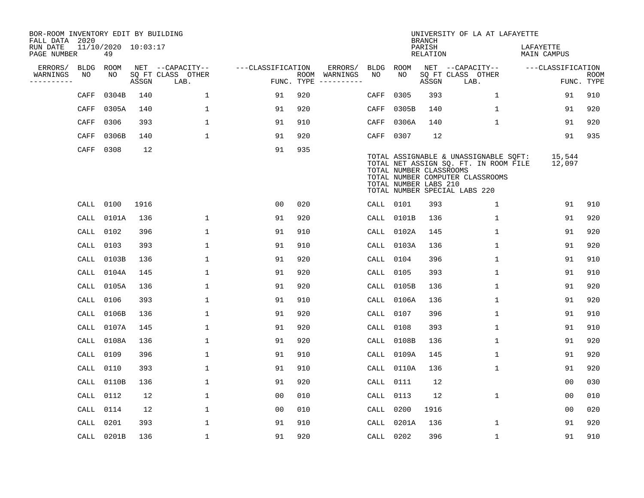| BOR-ROOM INVENTORY EDIT BY BUILDING<br>FALL DATA 2020 |             |                           |       |                           |                   |            |                              |             |                                                  | <b>BRANCH</b>      | UNIVERSITY OF LA AT LAFAYETTE                                                                                                                       |                          |                           |
|-------------------------------------------------------|-------------|---------------------------|-------|---------------------------|-------------------|------------|------------------------------|-------------|--------------------------------------------------|--------------------|-----------------------------------------------------------------------------------------------------------------------------------------------------|--------------------------|---------------------------|
| RUN DATE<br>PAGE NUMBER                               |             | 11/10/2020 10:03:17<br>49 |       |                           |                   |            |                              |             |                                                  | PARISH<br>RELATION |                                                                                                                                                     | LAFAYETTE<br>MAIN CAMPUS |                           |
| ERRORS/                                               | <b>BLDG</b> | ROOM                      |       | NET --CAPACITY--          | ---CLASSIFICATION |            | ERRORS/                      | <b>BLDG</b> | ROOM                                             |                    | NET --CAPACITY--                                                                                                                                    | ---CLASSIFICATION        |                           |
| WARNINGS<br>----------                                | NO          | NO                        | ASSGN | SQ FT CLASS OTHER<br>LAB. |                   | FUNC. TYPE | ROOM WARNINGS<br>----------- | NO          | NO.                                              | ASSGN              | SQ FT CLASS OTHER<br>LAB.                                                                                                                           |                          | <b>ROOM</b><br>FUNC. TYPE |
|                                                       | CAFF        | 0304B                     | 140   | $\mathbf{1}$              | 91                | 920        |                              | CAFF        | 0305                                             | 393                | $\mathbf{1}$                                                                                                                                        | 91                       | 910                       |
|                                                       | CAFF        | 0305A                     | 140   | $\mathbf 1$               | 91                | 920        |                              | CAFF        | 0305B                                            | 140                | $\mathbf 1$                                                                                                                                         | 91                       | 920                       |
|                                                       | CAFF        | 0306                      | 393   | $\mathbf 1$               | 91                | 910        |                              | CAFF        | 0306A                                            | 140                | $\mathbf 1$                                                                                                                                         | 91                       | 920                       |
|                                                       | CAFF        | 0306B                     | 140   | 1                         | 91                | 920        |                              | CAFF        | 0307                                             | 12                 |                                                                                                                                                     | 91                       | 935                       |
|                                                       | CAFF        | 0308                      | 12    |                           | 91                | 935        |                              |             | TOTAL NUMBER CLASSROOMS<br>TOTAL NUMBER LABS 210 |                    | TOTAL ASSIGNABLE & UNASSIGNABLE SQFT:<br>TOTAL NET ASSIGN SQ. FT. IN ROOM FILE<br>TOTAL NUMBER COMPUTER CLASSROOMS<br>TOTAL NUMBER SPECIAL LABS 220 | 15,544<br>12,097         |                           |
|                                                       |             | CALL 0100                 | 1916  |                           | 0 <sub>0</sub>    | 020        |                              |             | CALL 0101                                        | 393                | $\mathbf{1}$                                                                                                                                        | 91                       | 910                       |
|                                                       | CALL        | 0101A                     | 136   | $\mathbf 1$               | 91                | 920        |                              | CALL        | 0101B                                            | 136                | $\mathbf 1$                                                                                                                                         | 91                       | 920                       |
|                                                       | CALL        | 0102                      | 396   | $\mathbf 1$               | 91                | 910        |                              | CALL        | 0102A                                            | 145                | $\mathbf 1$                                                                                                                                         | 91                       | 920                       |
|                                                       | CALL        | 0103                      | 393   | $\mathbf 1$               | 91                | 910        |                              | CALL        | 0103A                                            | 136                | $\mathbf 1$                                                                                                                                         | 91                       | 920                       |
|                                                       | CALL        | 0103B                     | 136   | $\mathbf{1}$              | 91                | 920        |                              | CALL        | 0104                                             | 396                | $\mathbf 1$                                                                                                                                         | 91                       | 910                       |
|                                                       | CALL        | 0104A                     | 145   | $\mathbf 1$               | 91                | 920        |                              | CALL        | 0105                                             | 393                | $\mathbf 1$                                                                                                                                         | 91                       | 910                       |
|                                                       | CALL        | 0105A                     | 136   | $\mathbf{1}$              | 91                | 920        |                              | CALL        | 0105B                                            | 136                | $\mathbf{1}$                                                                                                                                        | 91                       | 920                       |
|                                                       | CALL        | 0106                      | 393   | 1                         | 91                | 910        |                              | CALL        | 0106A                                            | 136                | 1                                                                                                                                                   | 91                       | 920                       |
|                                                       | CALL        | 0106B                     | 136   | $\mathbf 1$               | 91                | 920        |                              | CALL        | 0107                                             | 396                | $\mathbf 1$                                                                                                                                         | 91                       | 910                       |
|                                                       | CALL        | 0107A                     | 145   | $\mathbf 1$               | 91                | 920        |                              | CALL        | 0108                                             | 393                | $\mathbf 1$                                                                                                                                         | 91                       | 910                       |
|                                                       | CALL        | 0108A                     | 136   | $\mathbf 1$               | 91                | 920        |                              | CALL        | 0108B                                            | 136                | 1                                                                                                                                                   | 91                       | 920                       |
|                                                       | CALL        | 0109                      | 396   | $\mathbf 1$               | 91                | 910        |                              | CALL        | 0109A                                            | 145                | $\mathbf 1$                                                                                                                                         | 91                       | 920                       |
|                                                       | CALL        | 0110                      | 393   | 1                         | 91                | 910        |                              | CALL        | 0110A                                            | 136                | $\mathbf 1$                                                                                                                                         | 91                       | 920                       |
|                                                       | CALL        | 0110B                     | 136   | $\mathbf{1}$              | 91                | 920        |                              | CALL        | 0111                                             | 12                 |                                                                                                                                                     | 0 <sub>0</sub>           | 030                       |
|                                                       | CALL        | 0112                      | 12    | $\mathbf 1$               | 0 <sub>0</sub>    | 010        |                              | CALL        | 0113                                             | 12                 | $\mathbf 1$                                                                                                                                         | 0 <sub>0</sub>           | 010                       |
|                                                       | CALL        | 0114                      | 12    | $\mathbf 1$               | 0 <sub>0</sub>    | 010        |                              | CALL        | 0200                                             | 1916               |                                                                                                                                                     | 0 <sub>0</sub>           | 020                       |
|                                                       | CALL        | 0201                      | 393   | $\mathbf 1$               | 91                | 910        |                              | CALL        | 0201A                                            | 136                | $\mathbf{1}$                                                                                                                                        | 91                       | 920                       |
|                                                       |             | CALL 0201B                | 136   | $\mathbf{1}$              | 91                | 920        |                              |             | CALL 0202                                        | 396                | $\mathbf{1}$                                                                                                                                        | 91                       | 910                       |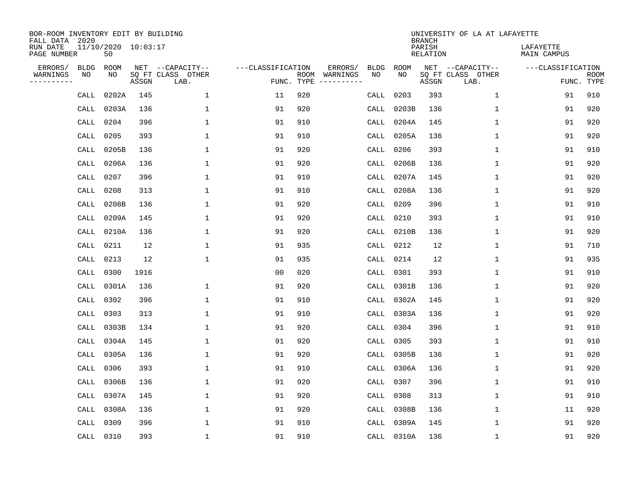| BOR-ROOM INVENTORY EDIT BY BUILDING<br>FALL DATA 2020 |                           |       |                           |                   |            |                              |             |             | <b>BRANCH</b>             | UNIVERSITY OF LA AT LAFAYETTE |                          |                           |
|-------------------------------------------------------|---------------------------|-------|---------------------------|-------------------|------------|------------------------------|-------------|-------------|---------------------------|-------------------------------|--------------------------|---------------------------|
| RUN DATE<br>PAGE NUMBER                               | 11/10/2020 10:03:17<br>50 |       |                           |                   |            |                              |             |             | PARISH<br><b>RELATION</b> |                               | LAFAYETTE<br>MAIN CAMPUS |                           |
| ERRORS/<br><b>BLDG</b>                                | ROOM                      |       | NET --CAPACITY--          | ---CLASSIFICATION |            | ERRORS/                      | <b>BLDG</b> | <b>ROOM</b> |                           | NET --CAPACITY--              | ---CLASSIFICATION        |                           |
| WARNINGS<br>NO<br>----------                          | NO                        | ASSGN | SQ FT CLASS OTHER<br>LAB. |                   | FUNC. TYPE | ROOM WARNINGS<br>----------- | NO          | NO          | ASSGN                     | SQ FT CLASS OTHER<br>LAB.     |                          | <b>ROOM</b><br>FUNC. TYPE |
| CALL                                                  | 0202A                     | 145   | $\mathbf 1$               | 11                | 920        |                              | CALL        | 0203        | 393                       | $\mathbf 1$                   | 91                       | 910                       |
| CALL                                                  | 0203A                     | 136   | 1                         | 91                | 920        |                              | CALL        | 0203B       | 136                       | $\mathbf 1$                   | 91                       | 920                       |
| CALL                                                  | 0204                      | 396   | $\mathbf{1}$              | 91                | 910        |                              | CALL        | 0204A       | 145                       | 1                             | 91                       | 920                       |
| CALL                                                  | 0205                      | 393   | $\mathbf{1}$              | 91                | 910        |                              | CALL        | 0205A       | 136                       | $\mathbf 1$                   | 91                       | 920                       |
| CALL                                                  | 0205B                     | 136   | 1                         | 91                | 920        |                              | CALL        | 0206        | 393                       | $\mathbf{1}$                  | 91                       | 910                       |
| CALL                                                  | 0206A                     | 136   | 1                         | 91                | 920        |                              | CALL        | 0206B       | 136                       | $\mathbf{1}$                  | 91                       | 920                       |
| CALL                                                  | 0207                      | 396   | 1                         | 91                | 910        |                              | CALL        | 0207A       | 145                       | $\mathbf 1$                   | 91                       | 920                       |
| CALL                                                  | 0208                      | 313   | 1                         | 91                | 910        |                              | CALL        | 0208A       | 136                       | $\mathbf{1}$                  | 91                       | 920                       |
| CALL                                                  | 0208B                     | 136   | $\mathbf{1}$              | 91                | 920        |                              | CALL        | 0209        | 396                       | $\mathbf{1}$                  | 91                       | 910                       |
| CALL                                                  | 0209A                     | 145   | 1                         | 91                | 920        |                              | CALL        | 0210        | 393                       | $\mathbf 1$                   | 91                       | 910                       |
| CALL                                                  | 0210A                     | 136   | $\mathbf{1}$              | 91                | 920        |                              | CALL        | 0210B       | 136                       | $\mathbf{1}$                  | 91                       | 920                       |
| CALL                                                  | 0211                      | 12    | $\mathbf{1}$              | 91                | 935        |                              | CALL        | 0212        | 12                        | $\mathbf{1}$                  | 91                       | 710                       |
| CALL                                                  | 0213                      | 12    | 1                         | 91                | 935        |                              | CALL        | 0214        | 12                        | $\mathbf 1$                   | 91                       | 935                       |
| CALL                                                  | 0300                      | 1916  |                           | 00                | 020        |                              | CALL        | 0301        | 393                       | 1                             | 91                       | 910                       |
| CALL                                                  | 0301A                     | 136   | 1                         | 91                | 920        |                              | CALL        | 0301B       | 136                       | 1                             | 91                       | 920                       |
| CALL                                                  | 0302                      | 396   | $\mathbf{1}$              | 91                | 910        |                              | CALL        | 0302A       | 145                       | $\mathbf 1$                   | 91                       | 920                       |
| CALL                                                  | 0303                      | 313   | 1                         | 91                | 910        |                              | CALL        | 0303A       | 136                       | $\mathbf 1$                   | 91                       | 920                       |
| CALL                                                  | 0303B                     | 134   | $\mathbf{1}$              | 91                | 920        |                              | CALL        | 0304        | 396                       | $\mathbf{1}$                  | 91                       | 910                       |
| CALL                                                  | 0304A                     | 145   | $\mathbf{1}$              | 91                | 920        |                              | CALL        | 0305        | 393                       | $\mathbf{1}$                  | 91                       | 910                       |
| CALL                                                  | 0305A                     | 136   | 1                         | 91                | 920        |                              | CALL        | 0305B       | 136                       | 1                             | 91                       | 920                       |
| CALL                                                  | 0306                      | 393   | 1                         | 91                | 910        |                              | CALL        | 0306A       | 136                       | $\mathbf 1$                   | 91                       | 920                       |
| CALL                                                  | 0306B                     | 136   | $\mathbf{1}$              | 91                | 920        |                              | CALL        | 0307        | 396                       | 1                             | 91                       | 910                       |
| CALL                                                  | 0307A                     | 145   | $\mathbf{1}$              | 91                | 920        |                              | CALL        | 0308        | 313                       | $\mathbf{1}$                  | 91                       | 910                       |
| CALL                                                  | 0308A                     | 136   | $\mathbf{1}$              | 91                | 920        |                              | CALL        | 0308B       | 136                       | $\mathbf 1$                   | 11                       | 920                       |
| CALL                                                  | 0309                      | 396   | $\mathbf{1}$              | 91                | 910        |                              | CALL        | 0309A       | 145                       | $\mathbf 1$                   | 91                       | 920                       |
|                                                       | CALL 0310                 | 393   | $\mathbf{1}$              | 91                | 910        |                              |             | CALL 0310A  | 136                       | $\mathbf{1}$                  | 91                       | 920                       |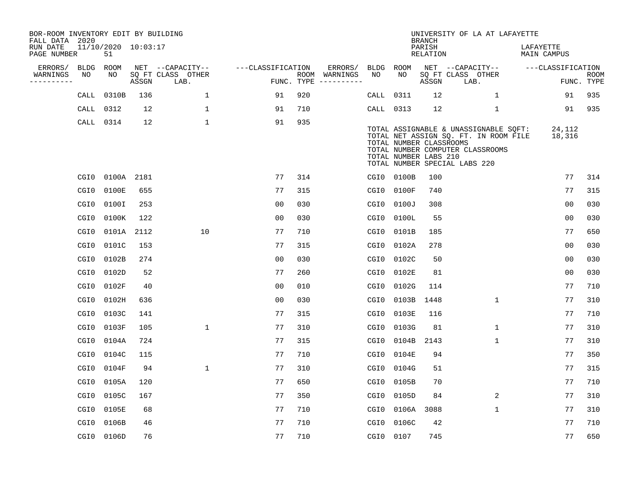| BOR-ROOM INVENTORY EDIT BY BUILDING<br>FALL DATA 2020 |                  |                           |            |                           |                   |     |                                      |           |                                                  | <b>BRANCH</b>             | UNIVERSITY OF LA AT LAFAYETTE                                                                                                                       |                          |                           |
|-------------------------------------------------------|------------------|---------------------------|------------|---------------------------|-------------------|-----|--------------------------------------|-----------|--------------------------------------------------|---------------------------|-----------------------------------------------------------------------------------------------------------------------------------------------------|--------------------------|---------------------------|
| RUN DATE<br>PAGE NUMBER                               |                  | 11/10/2020 10:03:17<br>51 |            |                           |                   |     |                                      |           |                                                  | PARISH<br><b>RELATION</b> |                                                                                                                                                     | LAFAYETTE<br>MAIN CAMPUS |                           |
| ERRORS/                                               | <b>BLDG</b>      | ROOM                      |            | NET --CAPACITY--          | ---CLASSIFICATION |     | ERRORS/                              | BLDG      | <b>ROOM</b>                                      |                           | NET --CAPACITY--                                                                                                                                    | ---CLASSIFICATION        |                           |
| WARNINGS<br>----------                                | NO               | NO                        | ASSGN      | SQ FT CLASS OTHER<br>LAB. |                   |     | ROOM WARNINGS<br>FUNC. TYPE $------$ | NO        | NO                                               | ASSGN                     | SQ FT CLASS OTHER<br>LAB.                                                                                                                           |                          | <b>ROOM</b><br>FUNC. TYPE |
|                                                       | CALL             | 0310B                     | 136        | $\mathbf{1}$              | 91                | 920 |                                      | CALL      | 0311                                             | 12                        | 1                                                                                                                                                   | 91                       | 935                       |
|                                                       | CALL             | 0312                      | 12         | $\mathbf 1$               | 91                | 710 |                                      | CALL 0313 |                                                  | 12                        | $\mathbf 1$                                                                                                                                         | 91                       | 935                       |
|                                                       |                  | CALL 0314                 | 12         | $\mathbf 1$               | 91                | 935 |                                      |           | TOTAL NUMBER CLASSROOMS<br>TOTAL NUMBER LABS 210 |                           | TOTAL ASSIGNABLE & UNASSIGNABLE SQFT:<br>TOTAL NET ASSIGN SQ. FT. IN ROOM FILE<br>TOTAL NUMBER COMPUTER CLASSROOMS<br>TOTAL NUMBER SPECIAL LABS 220 | 24,112<br>18,316         |                           |
|                                                       | CGI0             |                           | 0100A 2181 |                           | 77                | 314 |                                      |           | CGI0 0100B                                       | 100                       |                                                                                                                                                     | 77                       | 314                       |
|                                                       | CGI0             | 0100E                     | 655        |                           | 77                | 315 |                                      |           | CGI0 0100F                                       | 740                       |                                                                                                                                                     | 77                       | 315                       |
|                                                       | CGI0             | 0100I                     | 253        |                           | 0 <sub>0</sub>    | 030 |                                      | CGI0      | 0100J                                            | 308                       |                                                                                                                                                     | 0 <sub>0</sub>           | 030                       |
|                                                       | CGI0             | 0100K                     | 122        |                           | 0 <sub>0</sub>    | 030 |                                      |           | CGI0 0100L                                       | 55                        |                                                                                                                                                     | 0 <sub>0</sub>           | 030                       |
|                                                       | CGI0             | 0101A                     | 2112       | 10                        | 77                | 710 |                                      | CGI0      | 0101B                                            | 185                       |                                                                                                                                                     | 77                       | 650                       |
|                                                       | CGI0             | 0101C                     | 153        |                           | 77                | 315 |                                      |           | CGI0 0102A                                       | 278                       |                                                                                                                                                     | 0 <sub>0</sub>           | 030                       |
|                                                       | CGI0             | 0102B                     | 274        |                           | 0 <sub>0</sub>    | 030 |                                      | CGI0      | 0102C                                            | 50                        |                                                                                                                                                     | 0 <sub>0</sub>           | 030                       |
|                                                       | CGI0             | 0102D                     | 52         |                           | 77                | 260 |                                      |           | CGI0 0102E                                       | 81                        |                                                                                                                                                     | 0 <sub>0</sub>           | 030                       |
|                                                       | CGI0             | 0102F                     | 40         |                           | 0 <sub>0</sub>    | 010 |                                      | CGI0      | 0102G                                            | 114                       |                                                                                                                                                     | 77                       | 710                       |
|                                                       | CGI0             | 0102H                     | 636        |                           | 0 <sub>0</sub>    | 030 |                                      | CGI0      | 0103B                                            | 1448                      | $\mathbf 1$                                                                                                                                         | 77                       | 310                       |
|                                                       | CGI <sub>0</sub> | 0103C                     | 141        |                           | 77                | 315 |                                      | CGI0      | 0103E                                            | 116                       |                                                                                                                                                     | 77                       | 710                       |
|                                                       | CGI <sub>0</sub> | 0103F                     | 105        | $\mathbf{1}$              | 77                | 310 |                                      | CGI0      | 0103G                                            | 81                        | $\mathbf 1$                                                                                                                                         | 77                       | 310                       |
|                                                       | CGI0             | 0104A                     | 724        |                           | 77                | 315 |                                      | CGI0      | 0104B                                            | 2143                      | 1                                                                                                                                                   | 77                       | 310                       |
|                                                       | CGI0             | 0104C                     | 115        |                           | 77                | 710 |                                      | CGI0      | 0104E                                            | 94                        |                                                                                                                                                     | 77                       | 350                       |
|                                                       | CGI0             | 0104F                     | 94         | $\mathbf{1}$              | 77                | 310 |                                      | CGI0      | 0104G                                            | 51                        |                                                                                                                                                     | 77                       | 315                       |
|                                                       | CGI <sub>0</sub> | 0105A                     | 120        |                           | 77                | 650 |                                      | CGI0      | 0105B                                            | 70                        |                                                                                                                                                     | 77                       | 710                       |
|                                                       | CGI0             | 0105C                     | 167        |                           | 77                | 350 |                                      | CGI0      | 0105D                                            | 84                        | 2                                                                                                                                                   | 77                       | 310                       |
|                                                       | CGI0             | 0105E                     | 68         |                           | 77                | 710 |                                      | CGI0      | 0106A                                            | 3088                      | $\mathbf{1}$                                                                                                                                        | 77                       | 310                       |
|                                                       | CGI0             | 0106B                     | 46         |                           | 77                | 710 |                                      | CGI0      | 0106C                                            | 42                        |                                                                                                                                                     | 77                       | 710                       |
|                                                       |                  | CGI0 0106D                | 76         |                           | 77                | 710 |                                      | CGI0 0107 |                                                  | 745                       |                                                                                                                                                     | 77                       | 650                       |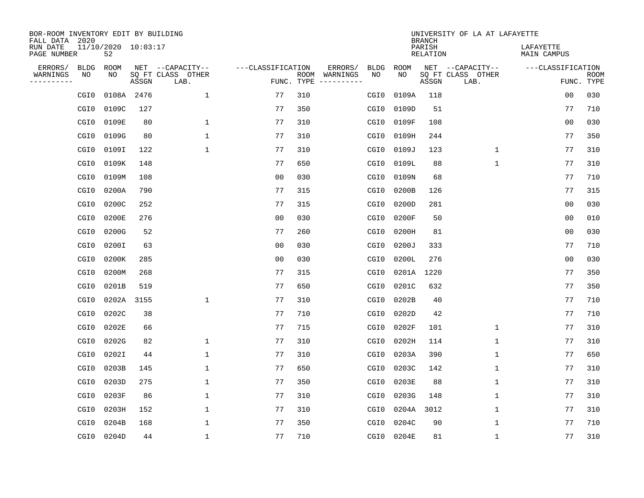| BOR-ROOM INVENTORY EDIT BY BUILDING<br>FALL DATA 2020 |                           |            |                           |                   |            |               |                  |             | <b>BRANCH</b>             | UNIVERSITY OF LA AT LAFAYETTE |                          |                           |
|-------------------------------------------------------|---------------------------|------------|---------------------------|-------------------|------------|---------------|------------------|-------------|---------------------------|-------------------------------|--------------------------|---------------------------|
| RUN DATE<br>PAGE NUMBER                               | 11/10/2020 10:03:17<br>52 |            |                           |                   |            |               |                  |             | PARISH<br><b>RELATION</b> |                               | LAFAYETTE<br>MAIN CAMPUS |                           |
| ERRORS/<br><b>BLDG</b>                                | ROOM                      |            | NET --CAPACITY--          | ---CLASSIFICATION |            | ERRORS/       | <b>BLDG</b>      | <b>ROOM</b> |                           | NET --CAPACITY--              | ---CLASSIFICATION        |                           |
| WARNINGS<br>NO<br>----------                          | NO                        | ASSGN      | SQ FT CLASS OTHER<br>LAB. |                   | FUNC. TYPE | ROOM WARNINGS | NO               | NO          | ASSGN                     | SQ FT CLASS OTHER<br>LAB.     |                          | <b>ROOM</b><br>FUNC. TYPE |
| CGI0                                                  |                           | 0108A 2476 | $\mathbf{1}$              | 77                | 310        |               | CGI <sub>0</sub> | 0109A       | 118                       |                               | 00                       | 030                       |
| CGI0                                                  | 0109C                     | 127        |                           | 77                | 350        |               | CGI0             | 0109D       | 51                        |                               | 77                       | 710                       |
| CGI0                                                  | 0109E                     | 80         | $\mathbf{1}$              | 77                | 310        |               | CGI0             | 0109F       | 108                       |                               | 0 <sub>0</sub>           | 030                       |
| CGI0                                                  | 0109G                     | 80         | 1                         | 77                | 310        |               | CGI0             | 0109H       | 244                       |                               | 77                       | 350                       |
| CGI0                                                  | 0109I                     | 122        | $\mathbf{1}$              | 77                | 310        |               | CGI <sub>0</sub> | 0109J       | 123                       | $\mathbf 1$                   | 77                       | 310                       |
| CGI0                                                  | 0109K                     | 148        |                           | 77                | 650        |               | CGI0             | 0109L       | 88                        | $\mathbf{1}$                  | 77                       | 310                       |
| CGI0                                                  | 0109M                     | 108        |                           | 0 <sub>0</sub>    | 030        |               | CGI <sub>0</sub> | 0109N       | 68                        |                               | 77                       | 710                       |
| CGI0                                                  | 0200A                     | 790        |                           | 77                | 315        |               | CGI0             | 0200B       | 126                       |                               | 77                       | 315                       |
| CGI0                                                  | 0200C                     | 252        |                           | 77                | 315        |               | CGI <sub>0</sub> | 0200D       | 281                       |                               | 0 <sub>0</sub>           | 030                       |
| CGI0                                                  | 0200E                     | 276        |                           | 0 <sub>0</sub>    | 030        |               | CGI0             | 0200F       | 50                        |                               | 0 <sub>0</sub>           | 010                       |
| CGI0                                                  | 0200G                     | 52         |                           | 77                | 260        |               | CGI0             | 0200H       | 81                        |                               | 0 <sub>0</sub>           | 030                       |
| CGI0                                                  | 0200I                     | 63         |                           | 0 <sub>0</sub>    | 030        |               | CGI0             | 0200J       | 333                       |                               | 77                       | 710                       |
| CGI0                                                  | 0200K                     | 285        |                           | 0 <sub>0</sub>    | 030        |               | CGI0             | 0200L       | 276                       |                               | 0 <sub>0</sub>           | 030                       |
| CGI <sub>0</sub>                                      | 0200M                     | 268        |                           | 77                | 315        |               | CGI0             | 0201A       | 1220                      |                               | 77                       | 350                       |
| CGI0                                                  | 0201B                     | 519        |                           | 77                | 650        |               | CGI0             | 0201C       | 632                       |                               | 77                       | 350                       |
| CGI <sub>0</sub>                                      | 0202A                     | 3155       | 1                         | 77                | 310        |               | CGI0             | 0202B       | 40                        |                               | 77                       | 710                       |
| CGI <sub>0</sub>                                      | 0202C                     | 38         |                           | 77                | 710        |               | CGI0             | 0202D       | 42                        |                               | 77                       | 710                       |
| CGI <sub>0</sub>                                      | 0202E                     | 66         |                           | 77                | 715        |               | CGI0             | 0202F       | 101                       | 1                             | 77                       | 310                       |
| CGI0                                                  | 0202G                     | 82         | 1                         | 77                | 310        |               | CGI0             | 0202H       | 114                       | $\mathbf 1$                   | 77                       | 310                       |
| CGI0                                                  | 0202I                     | 44         | 1                         | 77                | 310        |               | CGI0             | 0203A       | 390                       | 1                             | 77                       | 650                       |
| CGI0                                                  | 0203B                     | 145        | $\mathbf{1}$              | 77                | 650        |               | CGI0             | 0203C       | 142                       | 1                             | 77                       | 310                       |
| CGI <sub>0</sub>                                      | 0203D                     | 275        | $\mathbf{1}$              | 77                | 350        |               | CGI0             | 0203E       | 88                        | 1                             | 77                       | 310                       |
| CGI0                                                  | 0203F                     | 86         | 1                         | 77                | 310        |               | CGI0             | 0203G       | 148                       | 1                             | 77                       | 310                       |
| CGI0                                                  | 0203H                     | 152        | $\mathbf{1}$              | 77                | 310        |               | CGI0             | 0204A       | 3012                      | 1                             | 77                       | 310                       |
| CGI <sub>0</sub>                                      | 0204B                     | 168        | 1                         | 77                | 350        |               | CGI0             | 0204C       | 90                        | $\mathbf 1$                   | 77                       | 710                       |
|                                                       | 0204D<br>CGI0             | 44         | 1                         | 77                | 710        |               | CGI0             | 0204E       | 81                        | $\mathbf{1}$                  | 77                       | 310                       |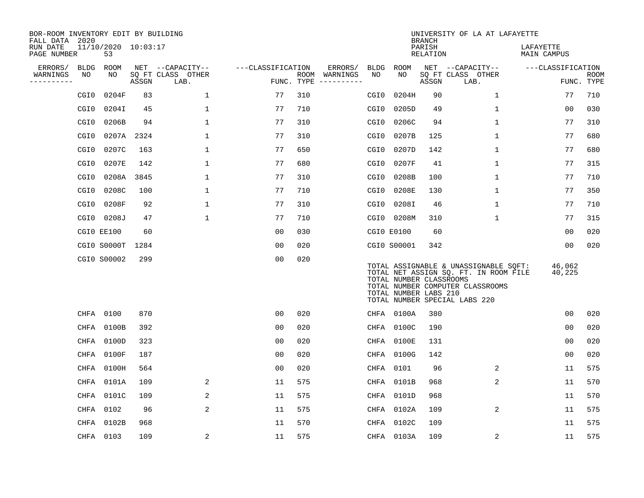| BOR-ROOM INVENTORY EDIT BY BUILDING<br>FALL DATA 2020 |                  |                           |            |                           |                   |            |               |      |                                                  | <b>BRANCH</b>      | UNIVERSITY OF LA AT LAFAYETTE                                                                                                                       |                          |                           |
|-------------------------------------------------------|------------------|---------------------------|------------|---------------------------|-------------------|------------|---------------|------|--------------------------------------------------|--------------------|-----------------------------------------------------------------------------------------------------------------------------------------------------|--------------------------|---------------------------|
| RUN DATE<br>PAGE NUMBER                               |                  | 11/10/2020 10:03:17<br>53 |            |                           |                   |            |               |      |                                                  | PARISH<br>RELATION |                                                                                                                                                     | LAFAYETTE<br>MAIN CAMPUS |                           |
| ERRORS/                                               | <b>BLDG</b>      | ROOM                      |            | NET --CAPACITY--          | ---CLASSIFICATION |            | ERRORS/       | BLDG | ROOM                                             |                    | NET --CAPACITY--                                                                                                                                    | ---CLASSIFICATION        |                           |
| WARNINGS<br>----------                                | NO               | NO                        | ASSGN      | SQ FT CLASS OTHER<br>LAB. |                   | FUNC. TYPE | ROOM WARNINGS | NO   | NO                                               | ASSGN              | SQ FT CLASS OTHER<br>LAB.                                                                                                                           |                          | <b>ROOM</b><br>FUNC. TYPE |
|                                                       | CGI <sub>0</sub> | 0204F                     | 83         | 1                         | 77                | 310        |               | CGI0 | 0204H                                            | 90                 | $\mathbf{1}$                                                                                                                                        | 77                       | 710                       |
|                                                       | CGI0             | 0204I                     | 45         | 1                         | 77                | 710        |               | CGI0 | 0205D                                            | 49                 | 1                                                                                                                                                   | 0 <sub>0</sub>           | 030                       |
|                                                       | CGI0             | 0206B                     | 94         | $\mathbf 1$               | 77                | 310        |               | CGI0 | 0206C                                            | 94                 | $\mathbf 1$                                                                                                                                         | 77                       | 310                       |
|                                                       | CGI <sub>0</sub> |                           | 0207A 2324 | $\mathbf 1$               | 77                | 310        |               | CGI0 | 0207B                                            | 125                | $\mathbf{1}$                                                                                                                                        | 77                       | 680                       |
|                                                       | CGI <sub>0</sub> | 0207C                     | 163        | $\mathbf{1}$              | 77                | 650        |               | CGI0 | 0207D                                            | 142                | $\mathbf 1$                                                                                                                                         | 77                       | 680                       |
|                                                       | CGI <sub>0</sub> | 0207E                     | 142        | $\mathbf{1}$              | 77                | 680        |               | CGI0 | 0207F                                            | 41                 | $\mathbf 1$                                                                                                                                         | 77                       | 315                       |
|                                                       | CGI0             | 0208A                     | 3845       | $\mathbf{1}$              | 77                | 310        |               | CGI0 | 0208B                                            | 100                | $\mathbf{1}$                                                                                                                                        | 77                       | 710                       |
|                                                       | CGI0             | 0208C                     | 100        | 1                         | 77                | 710        |               | CGI0 | 0208E                                            | 130                | $\mathbf{1}$                                                                                                                                        | 77                       | 350                       |
|                                                       | CGI0             | 0208F                     | 92         | 1                         | 77                | 310        |               | CGI0 | 0208I                                            | 46                 | $\mathbf 1$                                                                                                                                         | 77                       | 710                       |
|                                                       | CGI0             | 0208J                     | 47         | $\mathbf 1$               | 77                | 710        |               |      | CGI0 0208M                                       | 310                | $\mathbf 1$                                                                                                                                         | 77                       | 315                       |
|                                                       |                  | CGIO EE100                | 60         |                           | 00                | 030        |               |      | CGI0 E0100                                       | 60                 |                                                                                                                                                     | 00                       | 020                       |
|                                                       |                  | CGIO S0000T               | 1284       |                           | 0 <sub>0</sub>    | 020        |               |      | CGI0 S00001                                      | 342                |                                                                                                                                                     | 00                       | 020                       |
|                                                       |                  | CGI0 S00002               | 299        |                           | 0 <sub>0</sub>    | 020        |               |      | TOTAL NUMBER CLASSROOMS<br>TOTAL NUMBER LABS 210 |                    | TOTAL ASSIGNABLE & UNASSIGNABLE SQFT:<br>TOTAL NET ASSIGN SQ. FT. IN ROOM FILE<br>TOTAL NUMBER COMPUTER CLASSROOMS<br>TOTAL NUMBER SPECIAL LABS 220 | 46,062<br>40,225         |                           |
|                                                       | CHFA             | 0100                      | 870        |                           | 0 <sub>0</sub>    | 020        |               |      | CHFA 0100A                                       | 380                |                                                                                                                                                     | 0 <sub>0</sub>           | 020                       |
|                                                       | CHFA             | 0100B                     | 392        |                           | 0 <sub>0</sub>    | 020        |               | CHFA | 0100C                                            | 190                |                                                                                                                                                     | 0 <sub>0</sub>           | 020                       |
|                                                       | CHFA             | 0100D                     | 323        |                           | 0 <sub>0</sub>    | 020        |               |      | CHFA 0100E                                       | 131                |                                                                                                                                                     | 0 <sub>0</sub>           | 020                       |
|                                                       | CHFA             | 0100F                     | 187        |                           | 0 <sub>0</sub>    | 020        |               |      | CHFA 0100G                                       | 142                |                                                                                                                                                     | 00                       | 020                       |
|                                                       | CHFA             | 0100H                     | 564        |                           | 0 <sub>0</sub>    | 020        |               |      | CHFA 0101                                        | 96                 | $\overline{2}$                                                                                                                                      | 11                       | 575                       |
|                                                       | CHFA             | 0101A                     | 109        | 2                         | 11                | 575        |               | CHFA | 0101B                                            | 968                | $\overline{2}$                                                                                                                                      | 11                       | 570                       |
|                                                       | CHFA             | 0101C                     | 109        | 2                         | 11                | 575        |               |      | CHFA 0101D                                       | 968                |                                                                                                                                                     | 11                       | 570                       |
|                                                       | CHFA             | 0102                      | 96         | 2                         | 11                | 575        |               | CHFA | 0102A                                            | 109                | $\overline{2}$                                                                                                                                      | 11                       | 575                       |
|                                                       | CHFA             | 0102B                     | 968        |                           | 11                | 570        |               | CHFA | 0102C                                            | 109                |                                                                                                                                                     | 11                       | 575                       |
|                                                       |                  | CHFA 0103                 | 109        | 2                         | 11                | 575        |               |      | CHFA 0103A                                       | 109                | 2                                                                                                                                                   | 11                       | 575                       |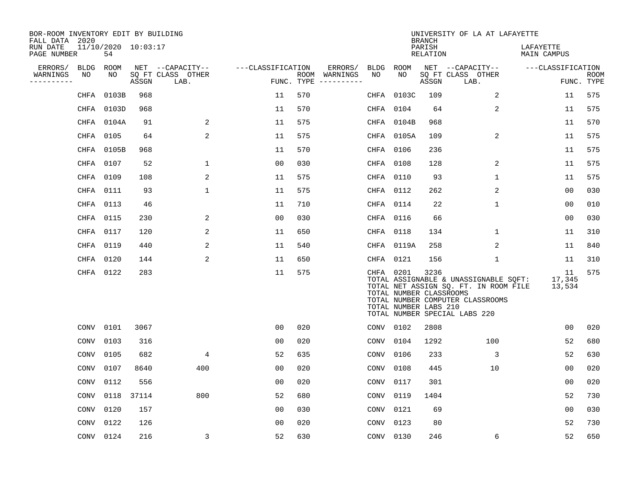| BOR-ROOM INVENTORY EDIT BY BUILDING<br>FALL DATA 2020 |           |                           |       |                           |                   |     |                                      |             |                                                               | <b>BRANCH</b>      | UNIVERSITY OF LA AT LAFAYETTE                                                                                                                       |                          |                           |
|-------------------------------------------------------|-----------|---------------------------|-------|---------------------------|-------------------|-----|--------------------------------------|-------------|---------------------------------------------------------------|--------------------|-----------------------------------------------------------------------------------------------------------------------------------------------------|--------------------------|---------------------------|
| RUN DATE<br>PAGE NUMBER                               |           | 11/10/2020 10:03:17<br>54 |       |                           |                   |     |                                      |             |                                                               | PARISH<br>RELATION |                                                                                                                                                     | LAFAYETTE<br>MAIN CAMPUS |                           |
| ERRORS/                                               | BLDG      | ROOM                      |       | NET --CAPACITY--          | ---CLASSIFICATION |     | ERRORS/                              | <b>BLDG</b> | ROOM                                                          |                    | NET --CAPACITY--                                                                                                                                    | ---CLASSIFICATION        |                           |
| WARNINGS<br>----------                                | NO        | NO                        | ASSGN | SQ FT CLASS OTHER<br>LAB. |                   |     | ROOM WARNINGS<br>FUNC. TYPE $------$ | NO          | NO                                                            | ASSGN              | SQ FT CLASS OTHER<br>LAB.                                                                                                                           |                          | <b>ROOM</b><br>FUNC. TYPE |
|                                                       | CHFA      | 0103B                     | 968   |                           | 11                | 570 |                                      | CHFA        | 0103C                                                         | 109                | 2                                                                                                                                                   | 11                       | 575                       |
|                                                       |           | CHFA 0103D                | 968   |                           | 11                | 570 |                                      | CHFA        | 0104                                                          | 64                 | 2                                                                                                                                                   | 11                       | 575                       |
|                                                       |           | CHFA 0104A                | 91    | 2                         | 11                | 575 |                                      | CHFA        | 0104B                                                         | 968                |                                                                                                                                                     | 11                       | 570                       |
|                                                       |           | CHFA 0105                 | 64    | $\overline{2}$            | 11                | 575 |                                      |             | CHFA 0105A                                                    | 109                | $\overline{a}$                                                                                                                                      | 11                       | 575                       |
|                                                       |           | CHFA 0105B                | 968   |                           | 11                | 570 |                                      |             | CHFA 0106                                                     | 236                |                                                                                                                                                     | 11                       | 575                       |
|                                                       | CHFA 0107 |                           | 52    | 1                         | 0 <sub>0</sub>    | 030 |                                      | CHFA 0108   |                                                               | 128                | 2                                                                                                                                                   | 11                       | 575                       |
|                                                       | CHFA 0109 |                           | 108   | 2                         | 11                | 575 |                                      |             | CHFA 0110                                                     | 93                 | $\mathbf{1}$                                                                                                                                        | 11                       | 575                       |
|                                                       | CHFA 0111 |                           | 93    | 1                         | 11                | 575 |                                      |             | CHFA 0112                                                     | 262                | 2                                                                                                                                                   | 0 <sub>0</sub>           | 030                       |
|                                                       | CHFA 0113 |                           | 46    |                           | 11                | 710 |                                      | CHFA        | 0114                                                          | 22                 | $\mathbf 1$                                                                                                                                         | 0 <sub>0</sub>           | 010                       |
|                                                       | CHFA 0115 |                           | 230   | 2                         | 00                | 030 |                                      |             | CHFA 0116                                                     | 66                 |                                                                                                                                                     | 00                       | 030                       |
|                                                       | CHFA 0117 |                           | 120   | 2                         | 11                | 650 |                                      | CHFA 0118   |                                                               | 134                | 1                                                                                                                                                   | 11                       | 310                       |
|                                                       | CHFA 0119 |                           | 440   | 2                         | 11                | 540 |                                      |             | CHFA 0119A                                                    | 258                | 2                                                                                                                                                   | 11                       | 840                       |
|                                                       | CHFA 0120 |                           | 144   | 2                         | 11                | 650 |                                      | CHFA 0121   |                                                               | 156                | 1                                                                                                                                                   | 11                       | 310                       |
|                                                       |           | CHFA 0122                 | 283   |                           | 11                | 575 |                                      |             | CHFA 0201<br>TOTAL NUMBER CLASSROOMS<br>TOTAL NUMBER LABS 210 | 3236               | TOTAL ASSIGNABLE & UNASSIGNABLE SQFT:<br>TOTAL NET ASSIGN SQ. FT. IN ROOM FILE<br>TOTAL NUMBER COMPUTER CLASSROOMS<br>TOTAL NUMBER SPECIAL LABS 220 | 11<br>17,345<br>13,534   | 575                       |
|                                                       |           | CONV 0101                 | 3067  |                           | 00                | 020 |                                      | CONV        | 0102                                                          | 2808               |                                                                                                                                                     | 00                       | 020                       |
|                                                       | CONV      | 0103                      | 316   |                           | 0 <sub>0</sub>    | 020 |                                      | CONV        | 0104                                                          | 1292               | 100                                                                                                                                                 | 52                       | 680                       |
|                                                       | CONV      | 0105                      | 682   | 4                         | 52                | 635 |                                      | CONV        | 0106                                                          | 233                | 3                                                                                                                                                   | 52                       | 630                       |
|                                                       | CONV      | 0107                      | 8640  | 400                       | 0 <sub>0</sub>    | 020 |                                      | CONV        | 0108                                                          | 445                | 10                                                                                                                                                  | 00                       | 020                       |
|                                                       | CONV      | 0112                      | 556   |                           | 0 <sub>0</sub>    | 020 |                                      | CONV        | 0117                                                          | 301                |                                                                                                                                                     | 0 <sub>0</sub>           | 020                       |
|                                                       | CONV      | 0118                      | 37114 | 800                       | 52                | 680 |                                      | CONV        | 0119                                                          | 1404               |                                                                                                                                                     | 52                       | 730                       |
|                                                       | CONV      | 0120                      | 157   |                           | 0 <sub>0</sub>    | 030 |                                      | CONV        | 0121                                                          | 69                 |                                                                                                                                                     | 0 <sub>0</sub>           | 030                       |
|                                                       | CONV      | 0122                      | 126   |                           | 00                | 020 |                                      | CONV        | 0123                                                          | 80                 |                                                                                                                                                     | 52                       | 730                       |
|                                                       |           | CONV 0124                 | 216   | 3                         | 52                | 630 |                                      | CONV 0130   |                                                               | 246                | 6                                                                                                                                                   | 52                       | 650                       |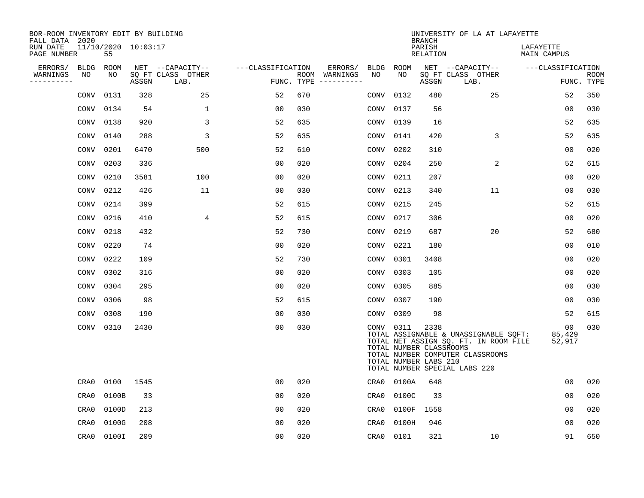| BOR-ROOM INVENTORY EDIT BY BUILDING<br>FALL DATA 2020 |                           |       |                           |                   |     |                                      |             |       | <b>BRANCH</b>                                            | UNIVERSITY OF LA AT LAFAYETTE                                                                                                                       |                          |                           |
|-------------------------------------------------------|---------------------------|-------|---------------------------|-------------------|-----|--------------------------------------|-------------|-------|----------------------------------------------------------|-----------------------------------------------------------------------------------------------------------------------------------------------------|--------------------------|---------------------------|
| RUN DATE<br>PAGE NUMBER                               | 11/10/2020 10:03:17<br>55 |       |                           |                   |     |                                      |             |       | PARISH<br>RELATION                                       |                                                                                                                                                     | LAFAYETTE<br>MAIN CAMPUS |                           |
| ERRORS/<br><b>BLDG</b>                                | ROOM                      |       | NET --CAPACITY--          | ---CLASSIFICATION |     | ERRORS/                              | BLDG ROOM   |       |                                                          | NET --CAPACITY--                                                                                                                                    | ---CLASSIFICATION        |                           |
| WARNINGS<br>NO<br>----------                          | NO                        | ASSGN | SQ FT CLASS OTHER<br>LAB. |                   |     | ROOM WARNINGS<br>FUNC. TYPE $------$ | NO          | NO.   | ASSGN                                                    | SQ FT CLASS OTHER<br>LAB.                                                                                                                           |                          | <b>ROOM</b><br>FUNC. TYPE |
| CONV                                                  | 0131                      | 328   | 25                        | 52                | 670 |                                      | CONV        | 0132  | 480                                                      | 25                                                                                                                                                  | 52                       | 350                       |
| CONV                                                  | 0134                      | 54    | 1                         | 0 <sub>0</sub>    | 030 |                                      | CONV        | 0137  | 56                                                       |                                                                                                                                                     | 0 <sub>0</sub>           | 030                       |
| CONV                                                  | 0138                      | 920   | 3                         | 52                | 635 |                                      | CONV        | 0139  | 16                                                       |                                                                                                                                                     | 52                       | 635                       |
| CONV                                                  | 0140                      | 288   | 3                         | 52                | 635 |                                      | CONV        | 0141  | 420                                                      | 3                                                                                                                                                   | 52                       | 635                       |
| CONV                                                  | 0201                      | 6470  | 500                       | 52                | 610 |                                      | CONV        | 0202  | 310                                                      |                                                                                                                                                     | 0 <sub>0</sub>           | 020                       |
| CONV                                                  | 0203                      | 336   |                           | 0 <sub>0</sub>    | 020 |                                      | CONV        | 0204  | 250                                                      | 2                                                                                                                                                   | 52                       | 615                       |
| CONV                                                  | 0210                      | 3581  | 100                       | 0 <sub>0</sub>    | 020 |                                      | CONV        | 0211  | 207                                                      |                                                                                                                                                     | 00                       | 020                       |
| CONV                                                  | 0212                      | 426   | 11                        | 00                | 030 |                                      | <b>CONV</b> | 0213  | 340                                                      | 11                                                                                                                                                  | 0 <sub>0</sub>           | 030                       |
| CONV                                                  | 0214                      | 399   |                           | 52                | 615 |                                      | CONV        | 0215  | 245                                                      |                                                                                                                                                     | 52                       | 615                       |
| CONV                                                  | 0216                      | 410   | 4                         | 52                | 615 |                                      | CONV        | 0217  | 306                                                      |                                                                                                                                                     | 00                       | 020                       |
| CONV                                                  | 0218                      | 432   |                           | 52                | 730 |                                      | CONV        | 0219  | 687                                                      | 20                                                                                                                                                  | 52                       | 680                       |
| CONV                                                  | 0220                      | 74    |                           | 0 <sub>0</sub>    | 020 |                                      | CONV        | 0221  | 180                                                      |                                                                                                                                                     | 0 <sub>0</sub>           | 010                       |
| CONV                                                  | 0222                      | 109   |                           | 52                | 730 |                                      | CONV        | 0301  | 3408                                                     |                                                                                                                                                     | 0 <sub>0</sub>           | 020                       |
| CONV                                                  | 0302                      | 316   |                           | 0 <sub>0</sub>    | 020 |                                      | CONV        | 0303  | 105                                                      |                                                                                                                                                     | 0 <sub>0</sub>           | 020                       |
| CONV                                                  | 0304                      | 295   |                           | 0 <sub>0</sub>    | 020 |                                      | CONV        | 0305  | 885                                                      |                                                                                                                                                     | 00                       | 030                       |
| CONV                                                  | 0306                      | 98    |                           | 52                | 615 |                                      | CONV        | 0307  | 190                                                      |                                                                                                                                                     | 0 <sub>0</sub>           | 030                       |
| CONV                                                  | 0308                      | 190   |                           | 0 <sub>0</sub>    | 030 |                                      | CONV        | 0309  | 98                                                       |                                                                                                                                                     | 52                       | 615                       |
| CONV                                                  | 0310                      | 2430  |                           | 0 <sub>0</sub>    | 030 |                                      | CONV 0311   |       | 2338<br>TOTAL NUMBER CLASSROOMS<br>TOTAL NUMBER LABS 210 | TOTAL ASSIGNABLE & UNASSIGNABLE SQFT:<br>TOTAL NET ASSIGN SQ. FT. IN ROOM FILE<br>TOTAL NUMBER COMPUTER CLASSROOMS<br>TOTAL NUMBER SPECIAL LABS 220 | 00<br>85,429<br>52,917   | 030                       |
| CRA0                                                  | 0100                      | 1545  |                           | 0 <sub>0</sub>    | 020 |                                      | CRA0        | 0100A | 648                                                      |                                                                                                                                                     | 00                       | 020                       |
| CRA0                                                  | 0100B                     | 33    |                           | 00                | 020 |                                      | CRA0        | 0100C | 33                                                       |                                                                                                                                                     | 00                       | 020                       |
| CRA0                                                  | 0100D                     | 213   |                           | 0 <sub>0</sub>    | 020 |                                      | CRA0        | 0100F | 1558                                                     |                                                                                                                                                     | 00                       | 020                       |
| CRA0                                                  | 0100G                     | 208   |                           | 0 <sub>0</sub>    | 020 |                                      | CRA0        | 0100H | 946                                                      |                                                                                                                                                     | 0 <sub>0</sub>           | 020                       |
| CRA0                                                  | 0100I                     | 209   |                           | 0 <sub>0</sub>    | 020 |                                      | CRA0        | 0101  | 321                                                      | 10                                                                                                                                                  | 91                       | 650                       |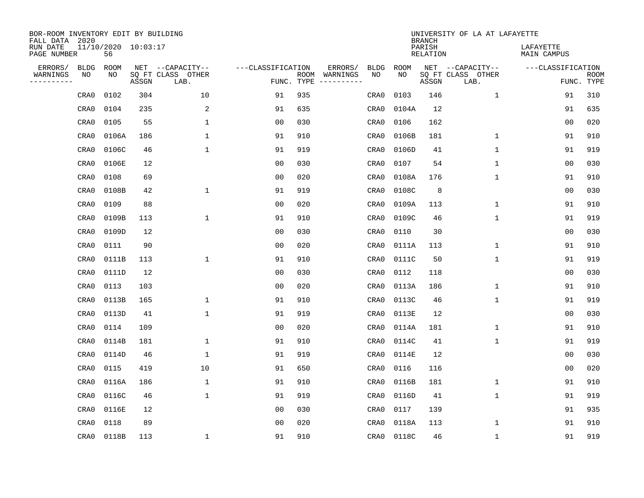| BOR-ROOM INVENTORY EDIT BY BUILDING<br>FALL DATA 2020 |                           |       |                           |                   |            |                              |             |             | <b>BRANCH</b>             | UNIVERSITY OF LA AT LAFAYETTE |                          |                           |
|-------------------------------------------------------|---------------------------|-------|---------------------------|-------------------|------------|------------------------------|-------------|-------------|---------------------------|-------------------------------|--------------------------|---------------------------|
| RUN DATE<br>PAGE NUMBER                               | 11/10/2020 10:03:17<br>56 |       |                           |                   |            |                              |             |             | PARISH<br><b>RELATION</b> |                               | LAFAYETTE<br>MAIN CAMPUS |                           |
| ERRORS/<br><b>BLDG</b>                                | <b>ROOM</b>               |       | NET --CAPACITY--          | ---CLASSIFICATION |            | ERRORS/                      | <b>BLDG</b> | <b>ROOM</b> |                           | NET --CAPACITY--              | ---CLASSIFICATION        |                           |
| WARNINGS<br>ΝO<br>----------                          | NO                        | ASSGN | SQ FT CLASS OTHER<br>LAB. |                   | FUNC. TYPE | ROOM WARNINGS<br>----------- | NO          | NO          | ASSGN                     | SQ FT CLASS OTHER<br>LAB.     |                          | <b>ROOM</b><br>FUNC. TYPE |
| CRA0                                                  | 0102                      | 304   | 10                        | 91                | 935        |                              | CRA0        | 0103        | 146                       | $\mathbf 1$                   | 91                       | 310                       |
| CRA0                                                  | 0104                      | 235   | 2                         | 91                | 635        |                              | CRA0        | 0104A       | 12                        |                               | 91                       | 635                       |
| CRA0                                                  | 0105                      | 55    | $\mathbf{1}$              | 0 <sub>0</sub>    | 030        |                              | CRA0        | 0106        | 162                       |                               | 0 <sub>0</sub>           | 020                       |
| CRA0                                                  | 0106A                     | 186   | $\mathbf{1}$              | 91                | 910        |                              | CRA0        | 0106B       | 181                       | $\mathbf{1}$                  | 91                       | 910                       |
| CRA0                                                  | 0106C                     | 46    | $\mathbf{1}$              | 91                | 919        |                              | CRA0        | 0106D       | 41                        | $\mathbf{1}$                  | 91                       | 919                       |
| CRA0                                                  | 0106E                     | 12    |                           | 0 <sub>0</sub>    | 030        |                              | CRA0        | 0107        | 54                        | $\mathbf{1}$                  | 00                       | 030                       |
| CRA0                                                  | 0108                      | 69    |                           | 0 <sub>0</sub>    | 020        |                              | CRA0        | 0108A       | 176                       | $\mathbf{1}$                  | 91                       | 910                       |
| CRA0                                                  | 0108B                     | 42    | $\mathbf 1$               | 91                | 919        |                              | CRA0        | 0108C       | 8                         |                               | 0 <sub>0</sub>           | 030                       |
| CRA0                                                  | 0109                      | 88    |                           | 0 <sub>0</sub>    | 020        |                              | CRA0        | 0109A       | 113                       | $\mathbf 1$                   | 91                       | 910                       |
| CRA0                                                  | 0109B                     | 113   | 1                         | 91                | 910        |                              | CRA0        | 0109C       | 46                        | $\mathbf 1$                   | 91                       | 919                       |
| CRA0                                                  | 0109D                     | 12    |                           | 0 <sub>0</sub>    | 030        |                              | CRA0        | 0110        | 30                        |                               | 0 <sub>0</sub>           | 030                       |
| CRA0                                                  | 0111                      | 90    |                           | 0 <sub>0</sub>    | 020        |                              | CRA0        | 0111A       | 113                       | $\mathbf{1}$                  | 91                       | 910                       |
| CRA0                                                  | 0111B                     | 113   | 1                         | 91                | 910        |                              | CRA0        | 0111C       | 50                        | $\mathbf 1$                   | 91                       | 919                       |
| CRA0                                                  | 0111D                     | 12    |                           | 00                | 030        |                              | CRA0        | 0112        | 118                       |                               | 0 <sub>0</sub>           | 030                       |
| CRA0                                                  | 0113                      | 103   |                           | 0 <sub>0</sub>    | 020        |                              | CRA0        | 0113A       | 186                       | 1                             | 91                       | 910                       |
| CRA0                                                  | 0113B                     | 165   | $\mathbf{1}$              | 91                | 910        |                              | CRA0        | 0113C       | 46                        | $\mathbf{1}$                  | 91                       | 919                       |
| CRA0                                                  | 0113D                     | 41    | $\mathbf{1}$              | 91                | 919        |                              | CRA0        | 0113E       | 12                        |                               | 0 <sub>0</sub>           | 030                       |
| CRA0                                                  | 0114                      | 109   |                           | 0 <sub>0</sub>    | 020        |                              | CRA0        | 0114A       | 181                       | $\mathbf{1}$                  | 91                       | 910                       |
| CRA0                                                  | 0114B                     | 181   | $\mathbf{1}$              | 91                | 910        |                              | CRA0        | 0114C       | 41                        | $\mathbf{1}$                  | 91                       | 919                       |
| CRA0                                                  | 0114D                     | 46    | 1                         | 91                | 919        |                              | CRA0        | 0114E       | 12                        |                               | 0 <sub>0</sub>           | 030                       |
| CRA0                                                  | 0115                      | 419   | 10                        | 91                | 650        |                              | CRA0        | 0116        | 116                       |                               | 0 <sub>0</sub>           | 020                       |
| CRA0                                                  | 0116A                     | 186   | 1                         | 91                | 910        |                              | CRA0        | 0116B       | 181                       | $\mathbf 1$                   | 91                       | 910                       |
| CRA0                                                  | 0116C                     | 46    | $\mathbf{1}$              | 91                | 919        |                              | CRA0        | 0116D       | 41                        | $\mathbf 1$                   | 91                       | 919                       |
| CRA0                                                  | 0116E                     | 12    |                           | 0 <sub>0</sub>    | 030        |                              | CRA0        | 0117        | 139                       |                               | 91                       | 935                       |
| CRA0                                                  | 0118                      | 89    |                           | 0 <sub>0</sub>    | 020        |                              | CRA0        | 0118A       | 113                       | $\mathbf 1$                   | 91                       | 910                       |
| CRA0                                                  | 0118B                     | 113   | 1                         | 91                | 910        |                              | CRA0        | 0118C       | 46                        | $\mathbf 1$                   | 91                       | 919                       |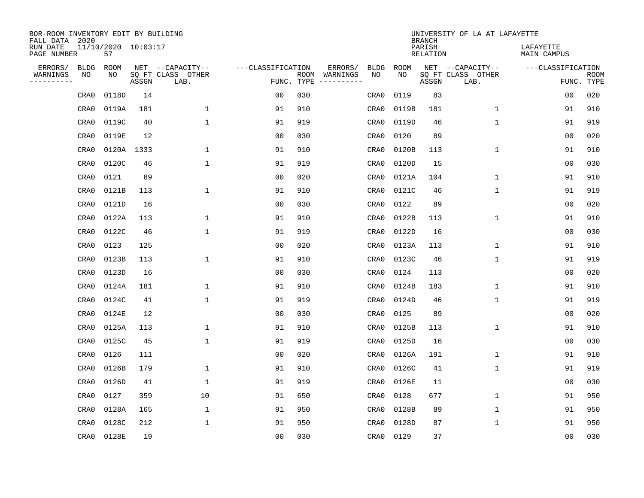| BOR-ROOM INVENTORY EDIT BY BUILDING<br>FALL DATA 2020 |      |                           |       |                           |                   |                    |          |             |             | <b>BRANCH</b>             | UNIVERSITY OF LA AT LAFAYETTE |                          |                           |
|-------------------------------------------------------|------|---------------------------|-------|---------------------------|-------------------|--------------------|----------|-------------|-------------|---------------------------|-------------------------------|--------------------------|---------------------------|
| RUN DATE<br>PAGE NUMBER                               |      | 11/10/2020 10:03:17<br>57 |       |                           |                   |                    |          |             |             | PARISH<br><b>RELATION</b> |                               | LAFAYETTE<br>MAIN CAMPUS |                           |
| ERRORS/                                               | BLDG | ROOM                      |       | NET --CAPACITY--          | ---CLASSIFICATION |                    | ERRORS/  | <b>BLDG</b> | <b>ROOM</b> |                           | NET --CAPACITY--              | ---CLASSIFICATION        |                           |
| WARNINGS<br>----------                                | ΝO   | NO                        | ASSGN | SQ FT CLASS OTHER<br>LAB. |                   | ROOM<br>FUNC. TYPE | WARNINGS | NO          | NO          | ASSGN                     | SQ FT CLASS OTHER<br>LAB.     |                          | <b>ROOM</b><br>FUNC. TYPE |
|                                                       | CRA0 | 0118D                     | 14    |                           | 00                | 030                |          | CRA0        | 0119        | 83                        |                               | 00                       | 020                       |
|                                                       | CRA0 | 0119A                     | 181   | 1                         | 91                | 910                |          | CRA0        | 0119B       | 181                       | 1                             | 91                       | 910                       |
|                                                       | CRA0 | 0119C                     | 40    | 1                         | 91                | 919                |          | CRA0        | 0119D       | 46                        | $\mathbf 1$                   | 91                       | 919                       |
|                                                       | CRA0 | 0119E                     | 12    |                           | 0 <sub>0</sub>    | 030                |          | CRA0        | 0120        | 89                        |                               | 0 <sub>0</sub>           | 020                       |
|                                                       | CRA0 | 0120A                     | 1333  | $\mathbf 1$               | 91                | 910                |          | CRA0        | 0120B       | 113                       | $\mathbf 1$                   | 91                       | 910                       |
|                                                       | CRA0 | 0120C                     | 46    | $\mathbf{1}$              | 91                | 919                |          | CRA0        | 0120D       | 15                        |                               | 0 <sub>0</sub>           | 030                       |
|                                                       | CRA0 | 0121                      | 89    |                           | 0 <sub>0</sub>    | 020                |          | CRA0        | 0121A       | 104                       | $\mathbf{1}$                  | 91                       | 910                       |
|                                                       | CRA0 | 0121B                     | 113   | $\mathbf{1}$              | 91                | 910                |          | CRA0        | 0121C       | 46                        | $\mathbf{1}$                  | 91                       | 919                       |
|                                                       | CRA0 | 0121D                     | 16    |                           | 0 <sub>0</sub>    | 030                |          | CRA0        | 0122        | 89                        |                               | 0 <sub>0</sub>           | 020                       |
|                                                       | CRA0 | 0122A                     | 113   | 1                         | 91                | 910                |          | CRA0        | 0122B       | 113                       | 1                             | 91                       | 910                       |
|                                                       | CRA0 | 0122C                     | 46    | 1                         | 91                | 919                |          | CRA0        | 0122D       | 16                        |                               | 0 <sub>0</sub>           | 030                       |
|                                                       | CRA0 | 0123                      | 125   |                           | 0 <sub>0</sub>    | 020                |          | CRA0        | 0123A       | 113                       | $\mathbf 1$                   | 91                       | 910                       |
|                                                       | CRA0 | 0123B                     | 113   | 1                         | 91                | 910                |          | CRA0        | 0123C       | 46                        | $\mathbf 1$                   | 91                       | 919                       |
|                                                       | CRA0 | 0123D                     | 16    |                           | 0 <sub>0</sub>    | 030                |          | CRA0        | 0124        | 113                       |                               | 0 <sub>0</sub>           | 020                       |
|                                                       | CRA0 | 0124A                     | 181   | $\mathbf{1}$              | 91                | 910                |          | CRA0        | 0124B       | 183                       | $\mathbf 1$                   | 91                       | 910                       |
|                                                       | CRA0 | 0124C                     | 41    | $\mathbf{1}$              | 91                | 919                |          | CRA0        | 0124D       | 46                        | $\mathbf 1$                   | 91                       | 919                       |
|                                                       | CRA0 | 0124E                     | 12    |                           | 0 <sub>0</sub>    | 030                |          | CRA0        | 0125        | 89                        |                               | 0 <sub>0</sub>           | 020                       |
|                                                       | CRA0 | 0125A                     | 113   | 1                         | 91                | 910                |          | CRA0        | 0125B       | 113                       | 1                             | 91                       | 910                       |
|                                                       | CRA0 | 0125C                     | 45    | 1                         | 91                | 919                |          | CRA0        | 0125D       | 16                        |                               | 0 <sub>0</sub>           | 030                       |
|                                                       | CRA0 | 0126                      | 111   |                           | 0 <sub>0</sub>    | 020                |          | CRA0        | 0126A       | 191                       | 1                             | 91                       | 910                       |
|                                                       | CRA0 | 0126B                     | 179   | 1                         | 91                | 910                |          | CRA0        | 0126C       | 41                        | $\mathbf 1$                   | 91                       | 919                       |
|                                                       | CRA0 | 0126D                     | 41    | 1                         | 91                | 919                |          | CRA0        | 0126E       | 11                        |                               | 0 <sub>0</sub>           | 030                       |
|                                                       | CRA0 | 0127                      | 359   | 10                        | 91                | 650                |          | CRA0        | 0128        | 677                       | $\mathbf 1$                   | 91                       | 950                       |
|                                                       | CRA0 | 0128A                     | 165   | 1                         | 91                | 950                |          | CRA0        | 0128B       | 89                        | 1                             | 91                       | 950                       |
|                                                       | CRA0 | 0128C                     | 212   | $\mathbf{1}$              | 91                | 950                |          | CRA0        | 0128D       | 87                        | $\mathbf 1$                   | 91                       | 950                       |
|                                                       | CRA0 | 0128E                     | 19    |                           | 0 <sub>0</sub>    | 030                |          | CRA0        | 0129        | 37                        |                               | 0 <sub>0</sub>           | 030                       |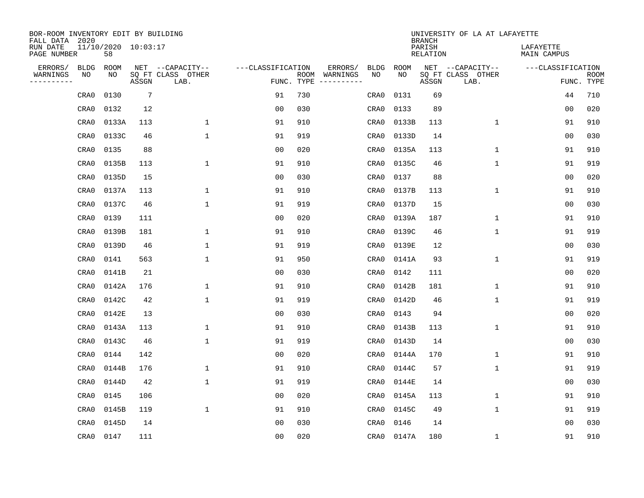| BOR-ROOM INVENTORY EDIT BY BUILDING<br>FALL DATA 2020 |             |                           |                 |                           |                   |                    |          |             |             | <b>BRANCH</b>             | UNIVERSITY OF LA AT LAFAYETTE |                          |                           |
|-------------------------------------------------------|-------------|---------------------------|-----------------|---------------------------|-------------------|--------------------|----------|-------------|-------------|---------------------------|-------------------------------|--------------------------|---------------------------|
| RUN DATE<br>PAGE NUMBER                               |             | 11/10/2020 10:03:17<br>58 |                 |                           |                   |                    |          |             |             | PARISH<br><b>RELATION</b> |                               | LAFAYETTE<br>MAIN CAMPUS |                           |
| ERRORS/                                               | <b>BLDG</b> | ROOM                      |                 | NET --CAPACITY--          | ---CLASSIFICATION |                    | ERRORS/  | <b>BLDG</b> | <b>ROOM</b> |                           | NET --CAPACITY--              | ---CLASSIFICATION        |                           |
| WARNINGS<br>----------                                | NO          | NO                        | ASSGN           | SQ FT CLASS OTHER<br>LAB. |                   | ROOM<br>FUNC. TYPE | WARNINGS | NO          | NO          | ASSGN                     | SQ FT CLASS OTHER<br>LAB.     |                          | <b>ROOM</b><br>FUNC. TYPE |
|                                                       | CRA0        | 0130                      | $7\phantom{.0}$ |                           | 91                | 730                |          | CRA0        | 0131        | 69                        |                               | 44                       | 710                       |
|                                                       | CRA0        | 0132                      | 12              |                           | 0 <sub>0</sub>    | 030                |          | CRA0        | 0133        | 89                        |                               | 00                       | 020                       |
|                                                       | CRA0        | 0133A                     | 113             | $\mathbf 1$               | 91                | 910                |          | CRA0        | 0133B       | 113                       | 1                             | 91                       | 910                       |
|                                                       | CRA0        | 0133C                     | 46              | $\mathbf{1}$              | 91                | 919                |          | CRA0        | 0133D       | 14                        |                               | 0 <sub>0</sub>           | 030                       |
|                                                       | CRA0        | 0135                      | 88              |                           | 0 <sub>0</sub>    | 020                |          | CRA0        | 0135A       | 113                       | $\mathbf 1$                   | 91                       | 910                       |
|                                                       | CRA0        | 0135B                     | 113             | $\mathbf{1}$              | 91                | 910                |          | CRA0        | 0135C       | 46                        | $\mathbf 1$                   | 91                       | 919                       |
|                                                       | CRA0        | 0135D                     | 15              |                           | 0 <sub>0</sub>    | 030                |          | CRA0        | 0137        | 88                        |                               | 0 <sub>0</sub>           | 020                       |
|                                                       | CRA0        | 0137A                     | 113             | $\mathbf{1}$              | 91                | 910                |          | CRA0        | 0137B       | 113                       | $\mathbf{1}$                  | 91                       | 910                       |
|                                                       | CRA0        | 0137C                     | 46              | $\mathbf{1}$              | 91                | 919                |          | CRA0        | 0137D       | 15                        |                               | 0 <sub>0</sub>           | 030                       |
|                                                       | CRA0        | 0139                      | 111             |                           | 0 <sub>0</sub>    | 020                |          | CRA0        | 0139A       | 187                       | 1                             | 91                       | 910                       |
|                                                       | CRA0        | 0139B                     | 181             | 1                         | 91                | 910                |          | CRA0        | 0139C       | 46                        | 1                             | 91                       | 919                       |
|                                                       | CRA0        | 0139D                     | 46              | 1                         | 91                | 919                |          | CRA0        | 0139E       | 12                        |                               | 0 <sub>0</sub>           | 030                       |
|                                                       | CRA0        | 0141                      | 563             | $\mathbf{1}$              | 91                | 950                |          | CRA0        | 0141A       | 93                        | $\mathbf 1$                   | 91                       | 919                       |
|                                                       | CRA0        | 0141B                     | 21              |                           | 0 <sub>0</sub>    | 030                |          | CRA0        | 0142        | 111                       |                               | 0 <sub>0</sub>           | 020                       |
|                                                       | CRA0        | 0142A                     | 176             | 1                         | 91                | 910                |          | CRA0        | 0142B       | 181                       | 1                             | 91                       | 910                       |
|                                                       | CRA0        | 0142C                     | 42              | $\mathbf{1}$              | 91                | 919                |          | CRA0        | 0142D       | 46                        | 1                             | 91                       | 919                       |
|                                                       | CRA0        | 0142E                     | 13              |                           | 0 <sub>0</sub>    | 030                |          | CRA0        | 0143        | 94                        |                               | 0 <sub>0</sub>           | 020                       |
|                                                       | CRA0        | 0143A                     | 113             | 1                         | 91                | 910                |          | CRA0        | 0143B       | 113                       | 1                             | 91                       | 910                       |
|                                                       | CRA0        | 0143C                     | 46              | 1                         | 91                | 919                |          | CRA0        | 0143D       | 14                        |                               | 0 <sub>0</sub>           | 030                       |
|                                                       | CRA0        | 0144                      | 142             |                           | 0 <sub>0</sub>    | 020                |          | CRA0        | 0144A       | 170                       | 1                             | 91                       | 910                       |
|                                                       | CRA0        | 0144B                     | 176             | 1                         | 91                | 910                |          | CRA0        | 0144C       | 57                        | 1                             | 91                       | 919                       |
|                                                       | CRA0        | 0144D                     | 42              | $\mathbf{1}$              | 91                | 919                |          | CRA0        | 0144E       | 14                        |                               | 00                       | 030                       |
|                                                       | CRA0        | 0145                      | 106             |                           | 0 <sub>0</sub>    | 020                |          | CRA0        | 0145A       | 113                       | 1                             | 91                       | 910                       |
|                                                       | CRA0        | 0145B                     | 119             | $\mathbf 1$               | 91                | 910                |          | CRA0        | 0145C       | 49                        | $\mathbf 1$                   | 91                       | 919                       |
|                                                       | CRA0        | 0145D                     | 14              |                           | 0 <sub>0</sub>    | 030                |          | CRA0        | 0146        | 14                        |                               | 0 <sub>0</sub>           | 030                       |
|                                                       | CRA0        | 0147                      | 111             |                           | 0 <sub>0</sub>    | 020                |          | CRA0        | 0147A       | 180                       | 1                             | 91                       | 910                       |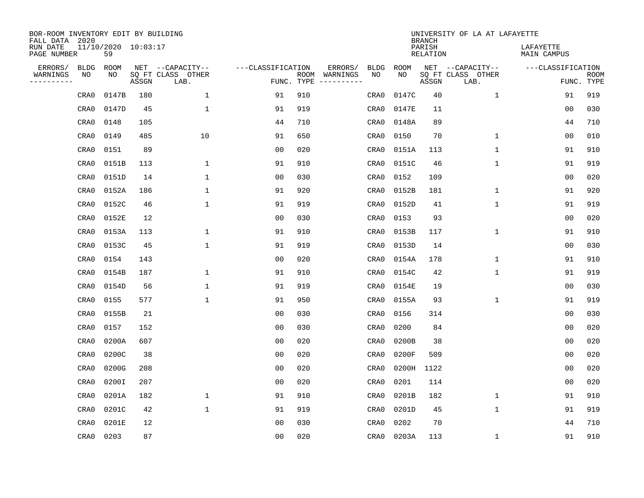| BOR-ROOM INVENTORY EDIT BY BUILDING<br>FALL DATA 2020 |                           |       |     |                           |                   |                    |                         |             |             | <b>BRANCH</b>             | UNIVERSITY OF LA AT LAFAYETTE |                          |                           |
|-------------------------------------------------------|---------------------------|-------|-----|---------------------------|-------------------|--------------------|-------------------------|-------------|-------------|---------------------------|-------------------------------|--------------------------|---------------------------|
| RUN DATE<br>PAGE NUMBER                               | 11/10/2020 10:03:17<br>59 |       |     |                           |                   |                    |                         |             |             | PARISH<br><b>RELATION</b> |                               | LAFAYETTE<br>MAIN CAMPUS |                           |
| ERRORS/                                               | <b>BLDG</b><br>ROOM       |       |     | NET --CAPACITY--          | ---CLASSIFICATION |                    | ERRORS/                 | <b>BLDG</b> | <b>ROOM</b> |                           | NET --CAPACITY--              | ---CLASSIFICATION        |                           |
| WARNINGS<br>----------                                | NO<br>NO                  | ASSGN |     | SQ FT CLASS OTHER<br>LAB. |                   | ROOM<br>FUNC. TYPE | WARNINGS<br>----------- | NO          | NO          | ASSGN                     | SQ FT CLASS OTHER<br>LAB.     |                          | <b>ROOM</b><br>FUNC. TYPE |
|                                                       | 0147B<br>CRA0             |       | 180 | 1                         | 91                | 910                |                         | CRA0        | 0147C       | 40                        | 1                             | 91                       | 919                       |
|                                                       | 0147D<br>CRA0             |       | 45  | $\mathbf{1}$              | 91                | 919                |                         | CRA0        | 0147E       | 11                        |                               | 00                       | 030                       |
|                                                       | CRA0<br>0148              |       | 105 |                           | 44                | 710                |                         | CRA0        | 0148A       | 89                        |                               | 44                       | 710                       |
|                                                       | 0149<br>CRA0              |       | 485 | 10                        | 91                | 650                |                         | CRA0        | 0150        | 70                        | 1                             | 0 <sub>0</sub>           | 010                       |
|                                                       | 0151<br>CRA0              |       | 89  |                           | 0 <sub>0</sub>    | 020                |                         | CRA0        | 0151A       | 113                       | $\mathbf{1}$                  | 91                       | 910                       |
|                                                       | CRA0<br>0151B             |       | 113 | 1                         | 91                | 910                |                         | CRA0        | 0151C       | 46                        | $\mathbf{1}$                  | 91                       | 919                       |
|                                                       | 0151D<br>CRA0             |       | 14  | $\mathbf{1}$              | 0 <sub>0</sub>    | 030                |                         | CRA0        | 0152        | 109                       |                               | 0 <sub>0</sub>           | 020                       |
|                                                       | 0152A<br>CRA0             |       | 186 | $\mathbf{1}$              | 91                | 920                |                         | CRA0        | 0152B       | 181                       | $\mathbf{1}$                  | 91                       | 920                       |
|                                                       | CRA0                      | 0152C | 46  | $\mathbf{1}$              | 91                | 919                |                         | CRA0        | 0152D       | 41                        | $\mathbf{1}$                  | 91                       | 919                       |
|                                                       | CRA0<br>0152E             |       | 12  |                           | 0 <sub>0</sub>    | 030                |                         | CRA0        | 0153        | 93                        |                               | 00                       | 020                       |
|                                                       | CRA0                      | 0153A | 113 | 1                         | 91                | 910                |                         | CRA0        | 0153B       | 117                       | $\mathbf 1$                   | 91                       | 910                       |
|                                                       | CRA0                      | 0153C | 45  | $\mathbf{1}$              | 91                | 919                |                         | CRA0        | 0153D       | 14                        |                               | 0 <sub>0</sub>           | 030                       |
|                                                       | 0154<br>CRA0              |       | 143 |                           | 0 <sub>0</sub>    | 020                |                         | CRA0        | 0154A       | 178                       | $\mathbf 1$                   | 91                       | 910                       |
|                                                       | CRA0<br>0154B             |       | 187 | 1                         | 91                | 910                |                         | CRA0        | 0154C       | 42                        | 1                             | 91                       | 919                       |
|                                                       | CRA0<br>0154D             |       | 56  | 1                         | 91                | 919                |                         | CRA0        | 0154E       | 19                        |                               | 0 <sub>0</sub>           | 030                       |
|                                                       | 0155<br>CRA0              |       | 577 | $\mathbf{1}$              | 91                | 950                |                         | CRA0        | 0155A       | 93                        | 1                             | 91                       | 919                       |
|                                                       | 0155B<br>CRA0             |       | 21  |                           | 0 <sub>0</sub>    | 030                |                         | CRA0        | 0156        | 314                       |                               | 00                       | 030                       |
|                                                       | 0157<br>CRA0              |       | 152 |                           | 0 <sub>0</sub>    | 030                |                         | CRA0        | 0200        | 84                        |                               | 0 <sub>0</sub>           | 020                       |
|                                                       | CRA0                      | 0200A | 607 |                           | 0 <sub>0</sub>    | 020                |                         | CRA0        | 0200B       | 38                        |                               | 0 <sub>0</sub>           | 020                       |
|                                                       | CRA0                      | 0200C | 38  |                           | 0 <sub>0</sub>    | 020                |                         | CRA0        | 0200F       | 509                       |                               | 0 <sub>0</sub>           | 020                       |
|                                                       | CRA0                      | 0200G | 208 |                           | 0 <sub>0</sub>    | 020                |                         | CRA0        | 0200H       | 1122                      |                               | 0 <sub>0</sub>           | 020                       |
|                                                       | 0200I<br>CRA0             |       | 207 |                           | 0 <sub>0</sub>    | 020                |                         | CRA0        | 0201        | 114                       |                               | 0 <sub>0</sub>           | 020                       |
|                                                       | 0201A<br>CRA0             |       | 182 | $\mathbf{1}$              | 91                | 910                |                         | CRA0        | 0201B       | 182                       | 1                             | 91                       | 910                       |
|                                                       | CRA0                      | 0201C | 42  | $\mathbf{1}$              | 91                | 919                |                         | CRA0        | 0201D       | 45                        | $\mathbf{1}$                  | 91                       | 919                       |
|                                                       | 0201E<br>CRA0             |       | 12  |                           | 0 <sub>0</sub>    | 030                |                         | CRA0        | 0202        | 70                        |                               | 44                       | 710                       |
|                                                       | CRA0<br>0203              |       | 87  |                           | 0 <sub>0</sub>    | 020                |                         | CRA0        | 0203A       | 113                       | 1                             | 91                       | 910                       |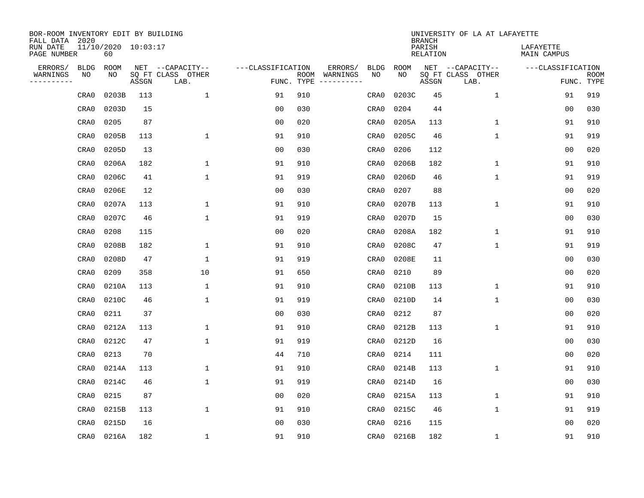| BOR-ROOM INVENTORY EDIT BY BUILDING<br>FALL DATA 2020 |                           |       |                           |                   |                    |                               |               | <b>BRANCH</b>             | UNIVERSITY OF LA AT LAFAYETTE |                          |                           |
|-------------------------------------------------------|---------------------------|-------|---------------------------|-------------------|--------------------|-------------------------------|---------------|---------------------------|-------------------------------|--------------------------|---------------------------|
| RUN DATE<br>PAGE NUMBER                               | 11/10/2020 10:03:17<br>60 |       |                           |                   |                    |                               |               | PARISH<br><b>RELATION</b> |                               | LAFAYETTE<br>MAIN CAMPUS |                           |
| ERRORS/<br><b>BLDG</b>                                | ROOM                      |       | NET --CAPACITY--          | ---CLASSIFICATION |                    | ERRORS/<br><b>BLDG</b>        | <b>ROOM</b>   |                           | NET --CAPACITY--              | ---CLASSIFICATION        |                           |
| WARNINGS<br>NO<br>----------                          | NO                        | ASSGN | SQ FT CLASS OTHER<br>LAB. |                   | ROOM<br>FUNC. TYPE | NO<br>WARNINGS<br>----------- | NO            | ASSGN                     | SQ FT CLASS OTHER<br>LAB.     |                          | <b>ROOM</b><br>FUNC. TYPE |
| CRA0                                                  | 0203B                     | 113   | 1                         | 91                | 910                | CRA0                          | 0203C         | 45                        | $\mathbf 1$                   | 91                       | 919                       |
| CRA0                                                  | 0203D                     | 15    |                           | 0 <sub>0</sub>    | 030                | CRA0                          | 0204          | 44                        |                               | 00                       | 030                       |
| CRA0                                                  | 0205                      | 87    |                           | 0 <sub>0</sub>    | 020                | CRA0                          | 0205A         | 113                       | 1                             | 91                       | 910                       |
| CRA0                                                  | 0205B                     | 113   | $\mathbf{1}$              | 91                | 910                | CRA0                          | 0205C         | 46                        | 1                             | 91                       | 919                       |
| CRA0                                                  | 0205D                     | 13    |                           | 0 <sub>0</sub>    | 030                | CRA0                          | 0206          | 112                       |                               | 0 <sub>0</sub>           | 020                       |
| CRA0                                                  | 0206A                     | 182   | $\mathbf{1}$              | 91                | 910                | CRA0                          | 0206B         | 182                       | 1                             | 91                       | 910                       |
| CRA0                                                  | 0206C                     | 41    | $\mathbf{1}$              | 91                | 919                | CRA0                          | 0206D         | 46                        | $\mathbf{1}$                  | 91                       | 919                       |
| CRA0                                                  | 0206E                     | 12    |                           | 0 <sub>0</sub>    | 030                | CRA0                          | 0207          | 88                        |                               | 00                       | 020                       |
| CRA0                                                  | 0207A                     | 113   | $\mathbf{1}$              | 91                | 910                | CRA0                          | 0207B         | 113                       | $\mathbf{1}$                  | 91                       | 910                       |
| CRA0                                                  | 0207C                     | 46    | $\mathbf{1}$              | 91                | 919                | CRA0                          | 0207D         | 15                        |                               | 00                       | 030                       |
| CRA0                                                  | 0208                      | 115   |                           | 0 <sub>0</sub>    | 020                | CRA0                          | 0208A         | 182                       | $\mathbf 1$                   | 91                       | 910                       |
| CRA0                                                  | 0208B                     | 182   | 1                         | 91                | 910                | CRA0                          | 0208C         | 47                        | $\mathbf 1$                   | 91                       | 919                       |
| CRA0                                                  | 0208D                     | 47    | $\mathbf{1}$              | 91                | 919                | CRA0                          | 0208E         | 11                        |                               | 00                       | 030                       |
| CRA0                                                  | 0209                      | 358   | 10                        | 91                | 650                | CRA0                          | 0210          | 89                        |                               | 0 <sub>0</sub>           | 020                       |
| CRA0                                                  | 0210A                     | 113   | 1                         | 91                | 910                | CRA0                          | 0210B         | 113                       | $\mathbf 1$                   | 91                       | 910                       |
| CRA0                                                  | 0210C                     | 46    | $\mathbf 1$               | 91                | 919                | CRA0                          | 0210D         | 14                        | 1                             | 00                       | 030                       |
| CRA0                                                  | 0211                      | 37    |                           | 0 <sub>0</sub>    | 030                | CRA0                          | 0212          | 87                        |                               | 0 <sub>0</sub>           | 020                       |
| CRA0                                                  | 0212A                     | 113   | 1                         | 91                | 910                | CRA0                          | 0212B         | 113                       | 1                             | 91                       | 910                       |
| CRA0                                                  | 0212C                     | 47    | $\mathbf{1}$              | 91                | 919                | CRA0                          | 0212D         | 16                        |                               | 0 <sub>0</sub>           | 030                       |
| CRA0                                                  | 0213                      | 70    |                           | 44                | 710                | CRA0                          | 0214          | 111                       |                               | 0 <sub>0</sub>           | 020                       |
| CRA0                                                  | 0214A                     | 113   | 1                         | 91                | 910                | CRA0                          | 0214B         | 113                       | 1                             | 91                       | 910                       |
| CRA0                                                  | 0214C                     | 46    | $\mathbf{1}$              | 91                | 919                | CRA0                          | 0214D         | 16                        |                               | 00                       | 030                       |
| CRA0                                                  | 0215                      | 87    |                           | 0 <sub>0</sub>    | 020                | CRA0                          | 0215A         | 113                       | 1                             | 91                       | 910                       |
| CRA0                                                  | 0215B                     | 113   | $\mathbf 1$               | 91                | 910                | CRA0                          | 0215C         | 46                        | $\mathbf 1$                   | 91                       | 919                       |
| CRA0                                                  | 0215D                     | 16    |                           | 0 <sub>0</sub>    | 030                | CRA0                          | 0216          | 115                       |                               | 00                       | 020                       |
| CRA0                                                  | 0216A                     | 182   | 1                         | 91                | 910                |                               | CRA0<br>0216B | 182                       | 1                             | 91                       | 910                       |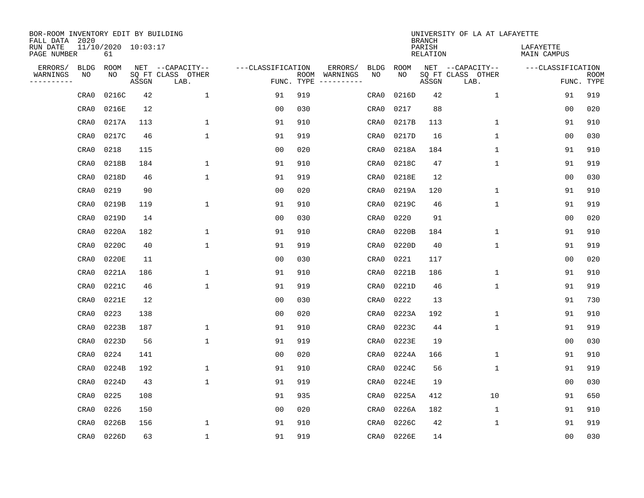| BOR-ROOM INVENTORY EDIT BY BUILDING<br>FALL DATA 2020 |      |                           |       |                           |                   |                    |          |             |             | <b>BRANCH</b>             | UNIVERSITY OF LA AT LAFAYETTE |                          |                           |
|-------------------------------------------------------|------|---------------------------|-------|---------------------------|-------------------|--------------------|----------|-------------|-------------|---------------------------|-------------------------------|--------------------------|---------------------------|
| RUN DATE<br>PAGE NUMBER                               |      | 11/10/2020 10:03:17<br>61 |       |                           |                   |                    |          |             |             | PARISH<br><b>RELATION</b> |                               | LAFAYETTE<br>MAIN CAMPUS |                           |
| ERRORS/                                               | BLDG | ROOM                      |       | NET --CAPACITY--          | ---CLASSIFICATION |                    | ERRORS/  | <b>BLDG</b> | <b>ROOM</b> |                           | NET --CAPACITY--              | ---CLASSIFICATION        |                           |
| WARNINGS<br>----------                                | ΝO   | NO                        | ASSGN | SQ FT CLASS OTHER<br>LAB. |                   | ROOM<br>FUNC. TYPE | WARNINGS | NO          | NO          | ASSGN                     | SQ FT CLASS OTHER<br>LAB.     |                          | <b>ROOM</b><br>FUNC. TYPE |
|                                                       | CRA0 | 0216C                     | 42    | $\mathbf 1$               | 91                | 919                |          | CRA0        | 0216D       | 42                        | 1                             | 91                       | 919                       |
|                                                       | CRA0 | 0216E                     | 12    |                           | 00                | 030                |          | CRA0        | 0217        | 88                        |                               | 00                       | 020                       |
|                                                       | CRA0 | 0217A                     | 113   | 1                         | 91                | 910                |          | CRA0        | 0217B       | 113                       | 1                             | 91                       | 910                       |
|                                                       | CRA0 | 0217C                     | 46    | $\mathbf{1}$              | 91                | 919                |          | CRA0        | 0217D       | 16                        | 1                             | 0 <sub>0</sub>           | 030                       |
|                                                       | CRA0 | 0218                      | 115   |                           | 0 <sub>0</sub>    | 020                |          | CRA0        | 0218A       | 184                       | $\mathbf{1}$                  | 91                       | 910                       |
|                                                       | CRA0 | 0218B                     | 184   | $\mathbf{1}$              | 91                | 910                |          | CRA0        | 0218C       | 47                        | $\mathbf{1}$                  | 91                       | 919                       |
|                                                       | CRA0 | 0218D                     | 46    | $\mathbf{1}$              | 91                | 919                |          | CRA0        | 0218E       | 12                        |                               | 0 <sub>0</sub>           | 030                       |
|                                                       | CRA0 | 0219                      | 90    |                           | 0 <sub>0</sub>    | 020                |          | CRA0        | 0219A       | 120                       | $\mathbf{1}$                  | 91                       | 910                       |
|                                                       | CRA0 | 0219B                     | 119   | $\mathbf{1}$              | 91                | 910                |          | CRA0        | 0219C       | 46                        | $\mathbf{1}$                  | 91                       | 919                       |
|                                                       | CRA0 | 0219D                     | 14    |                           | 00                | 030                |          | CRA0        | 0220        | 91                        |                               | 0 <sub>0</sub>           | 020                       |
|                                                       | CRA0 | 0220A                     | 182   | $\mathbf{1}$              | 91                | 910                |          | CRA0        | 0220B       | 184                       | $\mathbf 1$                   | 91                       | 910                       |
|                                                       | CRA0 | 0220C                     | 40    | $\mathbf{1}$              | 91                | 919                |          | CRA0        | 0220D       | 40                        | $\mathbf 1$                   | 91                       | 919                       |
|                                                       | CRA0 | 0220E                     | 11    |                           | 0 <sub>0</sub>    | 030                |          | CRA0        | 0221        | 117                       |                               | 0 <sub>0</sub>           | 020                       |
|                                                       | CRA0 | 0221A                     | 186   | $\mathbf{1}$              | 91                | 910                |          | CRA0        | 0221B       | 186                       | 1                             | 91                       | 910                       |
|                                                       | CRA0 | 0221C                     | 46    | $\mathbf{1}$              | 91                | 919                |          | CRA0        | 0221D       | 46                        | $\mathbf 1$                   | 91                       | 919                       |
|                                                       | CRA0 | 0221E                     | 12    |                           | 0 <sub>0</sub>    | 030                |          | CRA0        | 0222        | 13                        |                               | 91                       | 730                       |
|                                                       | CRA0 | 0223                      | 138   |                           | 0 <sub>0</sub>    | 020                |          | CRA0        | 0223A       | 192                       | 1                             | 91                       | 910                       |
|                                                       | CRA0 | 0223B                     | 187   | $\mathbf{1}$              | 91                | 910                |          | CRA0        | 0223C       | 44                        | $\mathbf 1$                   | 91                       | 919                       |
|                                                       | CRA0 | 0223D                     | 56    | $\mathbf{1}$              | 91                | 919                |          | CRA0        | 0223E       | 19                        |                               | 0 <sub>0</sub>           | 030                       |
|                                                       | CRA0 | 0224                      | 141   |                           | 0 <sub>0</sub>    | 020                |          | CRA0        | 0224A       | 166                       | 1                             | 91                       | 910                       |
|                                                       | CRA0 | 0224B                     | 192   | 1                         | 91                | 910                |          | CRA0        | 0224C       | 56                        | $\mathbf 1$                   | 91                       | 919                       |
|                                                       | CRA0 | 0224D                     | 43    | 1                         | 91                | 919                |          | CRA0        | 0224E       | 19                        |                               | 0 <sub>0</sub>           | 030                       |
|                                                       | CRA0 | 0225                      | 108   |                           | 91                | 935                |          | CRA0        | 0225A       | 412                       | 10                            | 91                       | 650                       |
|                                                       | CRA0 | 0226                      | 150   |                           | 0 <sub>0</sub>    | 020                |          | CRA0        | 0226A       | 182                       | $\mathbf 1$                   | 91                       | 910                       |
|                                                       | CRA0 | 0226B                     | 156   | $\mathbf{1}$              | 91                | 910                |          | CRA0        | 0226C       | 42                        | $\mathbf 1$                   | 91                       | 919                       |
|                                                       | CRA0 | 0226D                     | 63    | $\mathbf{1}$              | 91                | 919                |          | CRA0        | 0226E       | 14                        |                               | 0 <sub>0</sub>           | 030                       |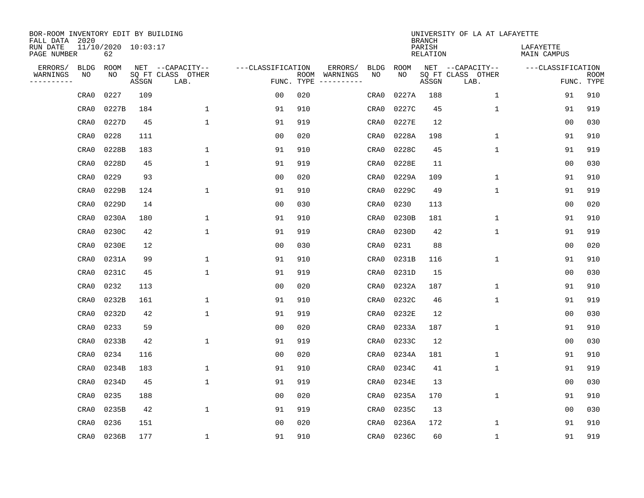| BOR-ROOM INVENTORY EDIT BY BUILDING<br>FALL DATA 2020 |                           |       |                           |                   |            |                              |             |             | <b>BRANCH</b>             | UNIVERSITY OF LA AT LAFAYETTE |                          |                           |
|-------------------------------------------------------|---------------------------|-------|---------------------------|-------------------|------------|------------------------------|-------------|-------------|---------------------------|-------------------------------|--------------------------|---------------------------|
| RUN DATE<br>PAGE NUMBER                               | 11/10/2020 10:03:17<br>62 |       |                           |                   |            |                              |             |             | PARISH<br><b>RELATION</b> |                               | LAFAYETTE<br>MAIN CAMPUS |                           |
| ERRORS/<br><b>BLDG</b>                                | ROOM                      |       | NET --CAPACITY--          | ---CLASSIFICATION |            | ERRORS/                      | <b>BLDG</b> | <b>ROOM</b> |                           | NET --CAPACITY--              | ---CLASSIFICATION        |                           |
| WARNINGS<br>ΝO<br>----------                          | NO                        | ASSGN | SQ FT CLASS OTHER<br>LAB. |                   | FUNC. TYPE | ROOM WARNINGS<br>----------- | NO          | NO          | ASSGN                     | SQ FT CLASS OTHER<br>LAB.     |                          | <b>ROOM</b><br>FUNC. TYPE |
| CRA0                                                  | 0227                      | 109   |                           | 00                | 020        |                              | CRA0        | 0227A       | 188                       | $\mathbf 1$                   | 91                       | 910                       |
| CRA0                                                  | 0227B                     | 184   | 1                         | 91                | 910        |                              | CRA0        | 0227C       | 45                        | 1                             | 91                       | 919                       |
| CRA0                                                  | 0227D                     | 45    | $\mathbf{1}$              | 91                | 919        |                              | CRA0        | 0227E       | 12                        |                               | 0 <sub>0</sub>           | 030                       |
| CRA0                                                  | 0228                      | 111   |                           | 0 <sub>0</sub>    | 020        |                              | CRA0        | 0228A       | 198                       | $\mathbf 1$                   | 91                       | 910                       |
| CRA0                                                  | 0228B                     | 183   | $\mathbf{1}$              | 91                | 910        |                              | CRA0        | 0228C       | 45                        | $\mathbf{1}$                  | 91                       | 919                       |
| CRA0                                                  | 0228D                     | 45    | $\mathbf{1}$              | 91                | 919        |                              | CRA0        | 0228E       | 11                        |                               | 0 <sub>0</sub>           | 030                       |
| CRA0                                                  | 0229                      | 93    |                           | 0 <sub>0</sub>    | 020        |                              | CRA0        | 0229A       | 109                       | $\mathbf 1$                   | 91                       | 910                       |
| CRA0                                                  | 0229B                     | 124   | $\mathbf{1}$              | 91                | 910        |                              | CRA0        | 0229C       | 49                        | $\mathbf{1}$                  | 91                       | 919                       |
| CRA0                                                  | 0229D                     | 14    |                           | 0 <sub>0</sub>    | 030        |                              | CRA0        | 0230        | 113                       |                               | 0 <sub>0</sub>           | 020                       |
| CRA0                                                  | 0230A                     | 180   | 1                         | 91                | 910        |                              | CRA0        | 0230B       | 181                       | $\mathbf 1$                   | 91                       | 910                       |
| CRA0                                                  | 0230C                     | 42    | $\mathbf{1}$              | 91                | 919        |                              | CRA0        | 0230D       | 42                        | $\mathbf{1}$                  | 91                       | 919                       |
| CRA0                                                  | 0230E                     | 12    |                           | 0 <sub>0</sub>    | 030        |                              | CRA0        | 0231        | 88                        |                               | 0 <sub>0</sub>           | 020                       |
| CRA0                                                  | 0231A                     | 99    | 1                         | 91                | 910        |                              | CRA0        | 0231B       | 116                       | $\mathbf 1$                   | 91                       | 910                       |
| CRA0                                                  | 0231C                     | 45    | 1                         | 91                | 919        |                              | CRA0        | 0231D       | 15                        |                               | 0 <sub>0</sub>           | 030                       |
| CRA0                                                  | 0232                      | 113   |                           | 0 <sub>0</sub>    | 020        |                              | CRA0        | 0232A       | 187                       | 1                             | 91                       | 910                       |
| CRA0                                                  | 0232B                     | 161   | $\mathbf{1}$              | 91                | 910        |                              | CRA0        | 0232C       | 46                        | $\mathbf 1$                   | 91                       | 919                       |
| CRA0                                                  | 0232D                     | 42    | 1                         | 91                | 919        |                              | CRA0        | 0232E       | 12                        |                               | 0 <sub>0</sub>           | 030                       |
| CRA0                                                  | 0233                      | 59    |                           | 0 <sub>0</sub>    | 020        |                              | CRA0        | 0233A       | 187                       | $\mathbf 1$                   | 91                       | 910                       |
| CRA0                                                  | 0233B                     | 42    | $\mathbf{1}$              | 91                | 919        |                              | CRA0        | 0233C       | 12                        |                               | 0 <sub>0</sub>           | 030                       |
| CRA0                                                  | 0234                      | 116   |                           | 0 <sub>0</sub>    | 020        |                              | CRA0        | 0234A       | 181                       | 1                             | 91                       | 910                       |
| CRA0                                                  | 0234B                     | 183   | 1                         | 91                | 910        |                              | CRA0        | 0234C       | 41                        | $\mathbf 1$                   | 91                       | 919                       |
| CRA0                                                  | 0234D                     | 45    | 1                         | 91                | 919        |                              | CRA0        | 0234E       | 13                        |                               | 0 <sub>0</sub>           | 030                       |
| CRA0                                                  | 0235                      | 188   |                           | 0 <sub>0</sub>    | 020        |                              | CRA0        | 0235A       | 170                       | $\mathbf{1}$                  | 91                       | 910                       |
| CRA0                                                  | 0235B                     | 42    | $\mathbf{1}$              | 91                | 919        |                              | CRA0        | 0235C       | 13                        |                               | 0 <sub>0</sub>           | 030                       |
| CRA0                                                  | 0236                      | 151   |                           | 0 <sub>0</sub>    | 020        |                              | CRA0        | 0236A       | 172                       | $\mathbf 1$                   | 91                       | 910                       |
| CRA0                                                  | 0236B                     | 177   | $\mathbf{1}$              | 91                | 910        |                              | CRA0        | 0236C       | 60                        | $\mathbf 1$                   | 91                       | 919                       |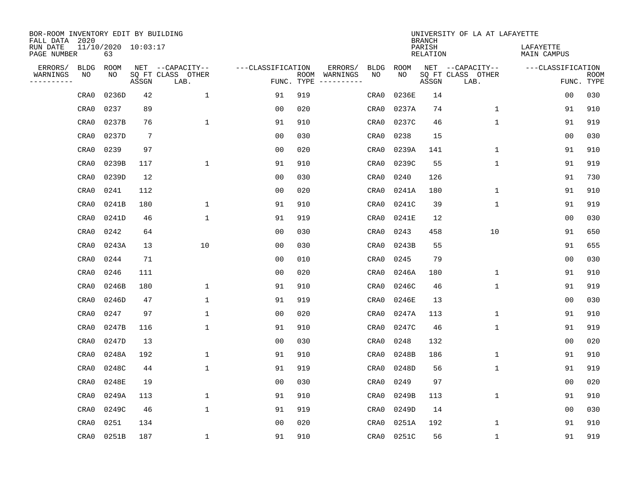| BOR-ROOM INVENTORY EDIT BY BUILDING<br>FALL DATA 2020 |                           |                 |                           |                   |     |                              |             |             | <b>BRANCH</b>             | UNIVERSITY OF LA AT LAFAYETTE |                          |                           |
|-------------------------------------------------------|---------------------------|-----------------|---------------------------|-------------------|-----|------------------------------|-------------|-------------|---------------------------|-------------------------------|--------------------------|---------------------------|
| RUN DATE<br>PAGE NUMBER                               | 11/10/2020 10:03:17<br>63 |                 |                           |                   |     |                              |             |             | PARISH<br><b>RELATION</b> |                               | LAFAYETTE<br>MAIN CAMPUS |                           |
| ERRORS/<br><b>BLDG</b>                                | ROOM                      |                 | NET --CAPACITY--          | ---CLASSIFICATION |     | ERRORS/                      | <b>BLDG</b> | <b>ROOM</b> |                           | NET --CAPACITY--              | ---CLASSIFICATION        |                           |
| WARNINGS<br>NO<br>----------                          | NO                        | ASSGN           | SQ FT CLASS OTHER<br>LAB. | FUNC. TYPE        |     | ROOM WARNINGS<br>----------- | NO          | NO          | ASSGN                     | SQ FT CLASS OTHER<br>LAB.     |                          | <b>ROOM</b><br>FUNC. TYPE |
| CRA0                                                  | 0236D                     | 42              | $\mathbf 1$               | 91                | 919 |                              | CRA0        | 0236E       | 14                        |                               | 0 <sub>0</sub>           | 030                       |
| CRA0                                                  | 0237                      | 89              |                           | 0 <sub>0</sub>    | 020 |                              | CRA0        | 0237A       | 74                        | $\mathbf 1$                   | 91                       | 910                       |
| CRA0                                                  | 0237B                     | 76              | $\mathbf 1$               | 91                | 910 |                              | CRA0        | 0237C       | 46                        | $\mathbf{1}$                  | 91                       | 919                       |
| CRA0                                                  | 0237D                     | $7\phantom{.0}$ |                           | 0 <sub>0</sub>    | 030 |                              | CRA0        | 0238        | 15                        |                               | 0 <sub>0</sub>           | 030                       |
| CRA0                                                  | 0239                      | 97              |                           | 0 <sub>0</sub>    | 020 |                              | CRA0        | 0239A       | 141                       | $\mathbf{1}$                  | 91                       | 910                       |
| CRA0                                                  | 0239B                     | 117             | $\mathbf{1}$              | 91                | 910 |                              | CRA0        | 0239C       | 55                        | $\mathbf{1}$                  | 91                       | 919                       |
| CRA0                                                  | 0239D                     | 12              |                           | 0 <sub>0</sub>    | 030 |                              | CRA0        | 0240        | 126                       |                               | 91                       | 730                       |
| CRA0                                                  | 0241                      | 112             |                           | 0 <sub>0</sub>    | 020 |                              | CRA0        | 0241A       | 180                       | $\mathbf 1$                   | 91                       | 910                       |
| CRA0                                                  | 0241B                     | 180             | $\mathbf{1}$              | 91                | 910 |                              | CRA0        | 0241C       | 39                        | $\mathbf 1$                   | 91                       | 919                       |
| CRA0                                                  | 0241D                     | 46              | $\mathbf{1}$              | 91                | 919 |                              | CRA0        | 0241E       | 12                        |                               | 0 <sub>0</sub>           | 030                       |
| CRA0                                                  | 0242                      | 64              |                           | 0 <sub>0</sub>    | 030 |                              | CRA0        | 0243        | 458                       | 10                            | 91                       | 650                       |
| CRA0                                                  | 0243A                     | 13              | 10                        | 0 <sub>0</sub>    | 030 |                              | CRA0        | 0243B       | 55                        |                               | 91                       | 655                       |
| CRA0                                                  | 0244                      | 71              |                           | 0 <sub>0</sub>    | 010 |                              | CRA0        | 0245        | 79                        |                               | 0 <sub>0</sub>           | 030                       |
| CRA0                                                  | 0246                      | 111             |                           | 0 <sub>0</sub>    | 020 |                              | CRA0        | 0246A       | 180                       | 1                             | 91                       | 910                       |
| CRA0                                                  | 0246B                     | 180             | 1                         | 91                | 910 |                              | CRA0        | 0246C       | 46                        | 1                             | 91                       | 919                       |
| CRA0                                                  | 0246D                     | 47              | $\mathbf{1}$              | 91                | 919 |                              | CRA0        | 0246E       | 13                        |                               | 0 <sub>0</sub>           | 030                       |
| CRA0                                                  | 0247                      | 97              | $\mathbf{1}$              | 0 <sub>0</sub>    | 020 |                              | CRA0        | 0247A       | 113                       | $\mathbf 1$                   | 91                       | 910                       |
| CRA0                                                  | 0247B                     | 116             | $\mathbf{1}$              | 91                | 910 |                              | CRA0        | 0247C       | 46                        | $\mathbf 1$                   | 91                       | 919                       |
| CRA0                                                  | 0247D                     | 13              |                           | 0 <sub>0</sub>    | 030 |                              | CRA0        | 0248        | 132                       |                               | 0 <sub>0</sub>           | 020                       |
| CRA0                                                  | 0248A                     | 192             | 1                         | 91                | 910 |                              | CRA0        | 0248B       | 186                       | 1                             | 91                       | 910                       |
| CRA0                                                  | 0248C                     | 44              | $\mathbf{1}$              | 91                | 919 |                              | CRA0        | 0248D       | 56                        | $\mathbf 1$                   | 91                       | 919                       |
| CRA0                                                  | 0248E                     | 19              |                           | 0 <sub>0</sub>    | 030 |                              | CRA0        | 0249        | 97                        |                               | 0 <sub>0</sub>           | 020                       |
| CRA0                                                  | 0249A                     | 113             | $\mathbf{1}$              | 91                | 910 |                              | CRA0        | 0249B       | 113                       | $\mathbf{1}$                  | 91                       | 910                       |
| CRA0                                                  | 0249C                     | 46              | $\mathbf{1}$              | 91                | 919 |                              | CRA0        | 0249D       | 14                        |                               | 0 <sub>0</sub>           | 030                       |
| CRA0                                                  | 0251                      | 134             |                           | 0 <sub>0</sub>    | 020 |                              | CRA0        | 0251A       | 192                       | $\mathbf{1}$                  | 91                       | 910                       |
| CRA0                                                  | 0251B                     | 187             | $\mathbf{1}$              | 91                | 910 |                              | CRA0        | 0251C       | 56                        | $\mathbf{1}$                  | 91                       | 919                       |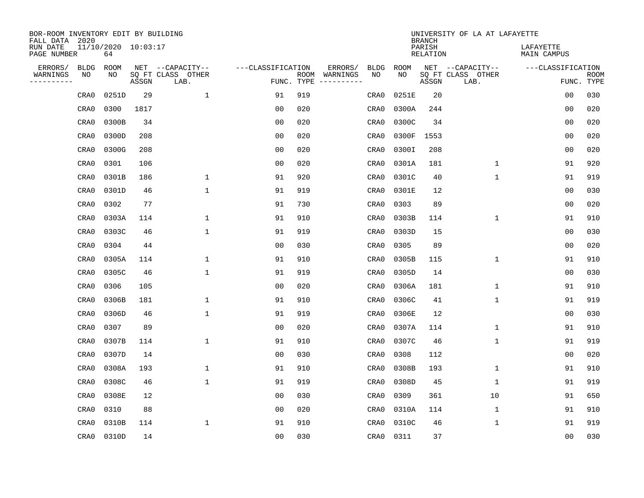| BOR-ROOM INVENTORY EDIT BY BUILDING<br>FALL DATA 2020 |                           |       |                           |                   |            |                              |             |             | <b>BRANCH</b>             | UNIVERSITY OF LA AT LAFAYETTE |                          |                           |
|-------------------------------------------------------|---------------------------|-------|---------------------------|-------------------|------------|------------------------------|-------------|-------------|---------------------------|-------------------------------|--------------------------|---------------------------|
| RUN DATE<br>PAGE NUMBER                               | 11/10/2020 10:03:17<br>64 |       |                           |                   |            |                              |             |             | PARISH<br><b>RELATION</b> |                               | LAFAYETTE<br>MAIN CAMPUS |                           |
| ERRORS/<br><b>BLDG</b>                                | <b>ROOM</b>               |       | NET --CAPACITY--          | ---CLASSIFICATION |            | ERRORS/                      | <b>BLDG</b> | <b>ROOM</b> |                           | NET --CAPACITY--              | ---CLASSIFICATION        |                           |
| WARNINGS<br>ΝO<br>----------                          | NO                        | ASSGN | SQ FT CLASS OTHER<br>LAB. |                   | FUNC. TYPE | ROOM WARNINGS<br>----------- | NO          | NO          | ASSGN                     | SQ FT CLASS OTHER<br>LAB.     |                          | <b>ROOM</b><br>FUNC. TYPE |
| CRA0                                                  | 0251D                     | 29    | $\mathbf{1}$              | 91                | 919        |                              | CRA0        | 0251E       | 20                        |                               | 0 <sub>0</sub>           | 030                       |
| CRA0                                                  | 0300                      | 1817  |                           | 0 <sub>0</sub>    | 020        |                              | CRA0        | 0300A       | 244                       |                               | 0 <sub>0</sub>           | 020                       |
| CRA0                                                  | 0300B                     | 34    |                           | 0 <sub>0</sub>    | 020        |                              | CRA0        | 0300C       | 34                        |                               | 0 <sub>0</sub>           | 020                       |
| CRA0                                                  | 0300D                     | 208   |                           | 0 <sub>0</sub>    | 020        |                              | CRA0        | 0300F       | 1553                      |                               | 0 <sub>0</sub>           | 020                       |
| CRA0                                                  | 0300G                     | 208   |                           | 0 <sub>0</sub>    | 020        |                              | CRA0        | 0300I       | 208                       |                               | 0 <sub>0</sub>           | 020                       |
| CRA0                                                  | 0301                      | 106   |                           | 0 <sub>0</sub>    | 020        |                              | CRA0        | 0301A       | 181                       | $\mathbf 1$                   | 91                       | 920                       |
| CRA0                                                  | 0301B                     | 186   | $\mathbf{1}$              | 91                | 920        |                              | CRA0        | 0301C       | 40                        | $\mathbf{1}$                  | 91                       | 919                       |
| CRA0                                                  | 0301D                     | 46    | $1\,$                     | 91                | 919        |                              | CRA0        | 0301E       | 12                        |                               | 0 <sub>0</sub>           | 030                       |
| CRA0                                                  | 0302                      | 77    |                           | 91                | 730        |                              | CRA0        | 0303        | 89                        |                               | 0 <sub>0</sub>           | 020                       |
| CRA0                                                  | 0303A                     | 114   | $\mathbf{1}$              | 91                | 910        |                              | CRA0        | 0303B       | 114                       | $\mathbf 1$                   | 91                       | 910                       |
| CRA0                                                  | 0303C                     | 46    | $\mathbf{1}$              | 91                | 919        |                              | CRA0        | 0303D       | 15                        |                               | 0 <sub>0</sub>           | 030                       |
| CRA0                                                  | 0304                      | 44    |                           | 0 <sub>0</sub>    | 030        |                              | CRA0        | 0305        | 89                        |                               | 0 <sub>0</sub>           | 020                       |
| CRA0                                                  | 0305A                     | 114   | $\mathbf{1}$              | 91                | 910        |                              | CRA0        | 0305B       | 115                       | $\mathbf 1$                   | 91                       | 910                       |
| CRA0                                                  | 0305C                     | 46    | $\mathbf{1}$              | 91                | 919        |                              | CRA0        | 0305D       | 14                        |                               | 0 <sub>0</sub>           | 030                       |
| CRA0                                                  | 0306                      | 105   |                           | 0 <sub>0</sub>    | 020        |                              | CRA0        | 0306A       | 181                       | $\mathbf{1}$                  | 91                       | 910                       |
| CRA0                                                  | 0306B                     | 181   | 1                         | 91                | 910        |                              | CRA0        | 0306C       | 41                        | 1                             | 91                       | 919                       |
| CRA0                                                  | 0306D                     | 46    | $\mathbf{1}$              | 91                | 919        |                              | CRA0        | 0306E       | 12                        |                               | 0 <sub>0</sub>           | 030                       |
| CRA0                                                  | 0307                      | 89    |                           | 00                | 020        |                              | CRA0        | 0307A       | 114                       | 1                             | 91                       | 910                       |
| CRA0                                                  | 0307B                     | 114   | 1                         | 91                | 910        |                              | CRA0        | 0307C       | 46                        | $\mathbf{1}$                  | 91                       | 919                       |
| CRA0                                                  | 0307D                     | 14    |                           | 0 <sub>0</sub>    | 030        |                              | CRA0        | 0308        | 112                       |                               | 0 <sub>0</sub>           | 020                       |
| CRA0                                                  | 0308A                     | 193   | 1                         | 91                | 910        |                              | CRA0        | 0308B       | 193                       | $\mathbf 1$                   | 91                       | 910                       |
| CRA0                                                  | 0308C                     | 46    | $\mathbf{1}$              | 91                | 919        |                              | CRA0        | 0308D       | 45                        | $\mathbf{1}$                  | 91                       | 919                       |
| CRA0                                                  | 0308E                     | 12    |                           | 0 <sub>0</sub>    | 030        |                              | CRA0        | 0309        | 361                       | 10                            | 91                       | 650                       |
| CRA0                                                  | 0310                      | 88    |                           | 0 <sub>0</sub>    | 020        |                              | CRA0        | 0310A       | 114                       | $\mathbf{1}$                  | 91                       | 910                       |
| CRA0                                                  | 0310B                     | 114   | $\mathbf{1}$              | 91                | 910        |                              | CRA0        | 0310C       | 46                        | $\mathbf{1}$                  | 91                       | 919                       |
| CRA0                                                  | 0310D                     | 14    |                           | 0 <sub>0</sub>    | 030        |                              | CRA0        | 0311        | 37                        |                               | 0 <sub>0</sub>           | 030                       |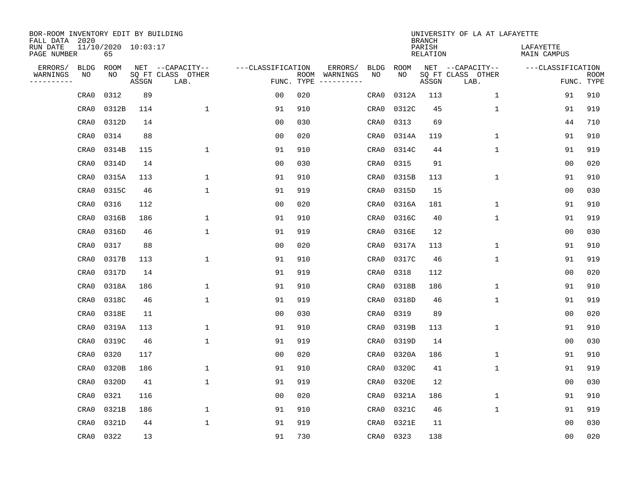| BOR-ROOM INVENTORY EDIT BY BUILDING<br>FALL DATA 2020 |                           |       |                           |                   |            |                              |             |             | <b>BRANCH</b>             | UNIVERSITY OF LA AT LAFAYETTE |                          |                           |
|-------------------------------------------------------|---------------------------|-------|---------------------------|-------------------|------------|------------------------------|-------------|-------------|---------------------------|-------------------------------|--------------------------|---------------------------|
| RUN DATE<br>PAGE NUMBER                               | 11/10/2020 10:03:17<br>65 |       |                           |                   |            |                              |             |             | PARISH<br><b>RELATION</b> |                               | LAFAYETTE<br>MAIN CAMPUS |                           |
| ERRORS/<br><b>BLDG</b>                                | ROOM                      |       | NET --CAPACITY--          | ---CLASSIFICATION |            | ERRORS/                      | <b>BLDG</b> | <b>ROOM</b> |                           | NET --CAPACITY--              | ---CLASSIFICATION        |                           |
| WARNINGS<br>ΝO<br>----------                          | NO                        | ASSGN | SQ FT CLASS OTHER<br>LAB. |                   | FUNC. TYPE | ROOM WARNINGS<br>----------- | NO          | NO          | ASSGN                     | SQ FT CLASS OTHER<br>LAB.     |                          | <b>ROOM</b><br>FUNC. TYPE |
| CRA0                                                  | 0312                      | 89    |                           | 00                | 020        |                              | CRA0        | 0312A       | 113                       | $\mathbf 1$                   | 91                       | 910                       |
| CRA0                                                  | 0312B                     | 114   | 1                         | 91                | 910        |                              | CRA0        | 0312C       | 45                        | $\mathbf 1$                   | 91                       | 919                       |
| CRA0                                                  | 0312D                     | 14    |                           | 0 <sub>0</sub>    | 030        |                              | CRA0        | 0313        | 69                        |                               | 44                       | 710                       |
| CRA0                                                  | 0314                      | 88    |                           | 0 <sub>0</sub>    | 020        |                              | CRA0        | 0314A       | 119                       | $\mathbf{1}$                  | 91                       | 910                       |
| CRA0                                                  | 0314B                     | 115   | $\mathbf{1}$              | 91                | 910        |                              | CRA0        | 0314C       | 44                        | $\mathbf{1}$                  | 91                       | 919                       |
| CRA0                                                  | 0314D                     | 14    |                           | 0 <sub>0</sub>    | 030        |                              | CRA0        | 0315        | 91                        |                               | 0 <sub>0</sub>           | 020                       |
| CRA0                                                  | 0315A                     | 113   | 1                         | 91                | 910        |                              | CRA0        | 0315B       | 113                       | $\mathbf 1$                   | 91                       | 910                       |
| CRA0                                                  | 0315C                     | 46    | $\mathbf{1}$              | 91                | 919        |                              | CRA0        | 0315D       | 15                        |                               | 0 <sub>0</sub>           | 030                       |
| CRA0                                                  | 0316                      | 112   |                           | 0 <sub>0</sub>    | 020        |                              | CRA0        | 0316A       | 181                       | $\mathbf 1$                   | 91                       | 910                       |
| CRA0                                                  | 0316B                     | 186   | 1                         | 91                | 910        |                              | CRA0        | 0316C       | 40                        | $\mathbf 1$                   | 91                       | 919                       |
| CRA0                                                  | 0316D                     | 46    | $\mathbf{1}$              | 91                | 919        |                              | CRA0        | 0316E       | 12                        |                               | 0 <sub>0</sub>           | 030                       |
| CRA0                                                  | 0317                      | 88    |                           | 0 <sub>0</sub>    | 020        |                              | CRA0        | 0317A       | 113                       | $\mathbf{1}$                  | 91                       | 910                       |
| CRA0                                                  | 0317B                     | 113   | 1                         | 91                | 910        |                              | CRA0        | 0317C       | 46                        | $\mathbf 1$                   | 91                       | 919                       |
| CRA0                                                  | 0317D                     | 14    |                           | 91                | 919        |                              | CRA0        | 0318        | 112                       |                               | 0 <sub>0</sub>           | 020                       |
| CRA0                                                  | 0318A                     | 186   | 1                         | 91                | 910        |                              | CRA0        | 0318B       | 186                       | 1                             | 91                       | 910                       |
| CRA0                                                  | 0318C                     | 46    | $\mathbf{1}$              | 91                | 919        |                              | CRA0        | 0318D       | 46                        | $\mathbf{1}$                  | 91                       | 919                       |
| CRA0                                                  | 0318E                     | 11    |                           | 0 <sub>0</sub>    | 030        |                              | CRA0        | 0319        | 89                        |                               | 0 <sub>0</sub>           | 020                       |
| CRA0                                                  | 0319A                     | 113   | $\mathbf{1}$              | 91                | 910        |                              | CRA0        | 0319B       | 113                       | $\mathbf{1}$                  | 91                       | 910                       |
| CRA0                                                  | 0319C                     | 46    | $\mathbf{1}$              | 91                | 919        |                              | CRA0        | 0319D       | 14                        |                               | 0 <sub>0</sub>           | 030                       |
| CRA0                                                  | 0320                      | 117   |                           | 0 <sub>0</sub>    | 020        |                              | CRA0        | 0320A       | 186                       | 1                             | 91                       | 910                       |
| CRA0                                                  | 0320B                     | 186   | 1                         | 91                | 910        |                              | CRA0        | 0320C       | 41                        | $\mathbf 1$                   | 91                       | 919                       |
| CRA0                                                  | 0320D                     | 41    | 1                         | 91                | 919        |                              | CRA0        | 0320E       | 12                        |                               | 0 <sub>0</sub>           | 030                       |
| CRA0                                                  | 0321                      | 116   |                           | 0 <sub>0</sub>    | 020        |                              | CRA0        | 0321A       | 186                       | $\mathbf{1}$                  | 91                       | 910                       |
| CRA0                                                  | 0321B                     | 186   | $\mathbf 1$               | 91                | 910        |                              | CRA0        | 0321C       | 46                        | $\mathbf{1}$                  | 91                       | 919                       |
| CRA0                                                  | 0321D                     | 44    | $\mathbf{1}$              | 91                | 919        |                              | CRA0        | 0321E       | 11                        |                               | 0 <sub>0</sub>           | 030                       |
| CRA0                                                  | 0322                      | 13    |                           | 91                | 730        |                              | CRA0        | 0323        | 138                       |                               | 0 <sub>0</sub>           | 020                       |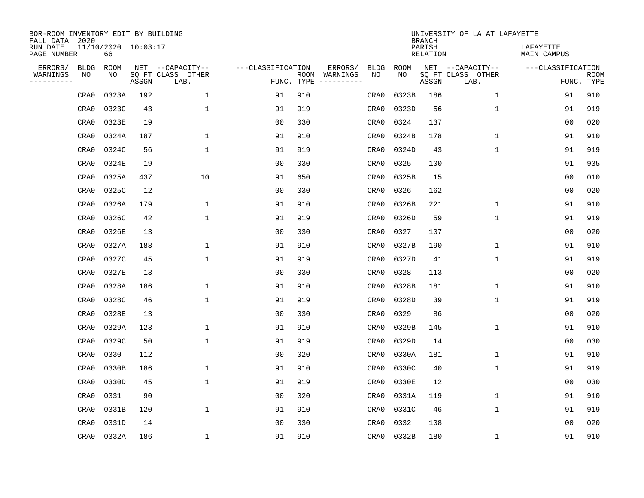| BOR-ROOM INVENTORY EDIT BY BUILDING<br>FALL DATA 2020 |                           |       |                           |                   |            |                              |             |             | <b>BRANCH</b>             | UNIVERSITY OF LA AT LAFAYETTE |                          |                           |
|-------------------------------------------------------|---------------------------|-------|---------------------------|-------------------|------------|------------------------------|-------------|-------------|---------------------------|-------------------------------|--------------------------|---------------------------|
| RUN DATE<br>PAGE NUMBER                               | 11/10/2020 10:03:17<br>66 |       |                           |                   |            |                              |             |             | PARISH<br><b>RELATION</b> |                               | LAFAYETTE<br>MAIN CAMPUS |                           |
| ERRORS/<br><b>BLDG</b>                                | ROOM                      |       | NET --CAPACITY--          | ---CLASSIFICATION |            | ERRORS/                      | <b>BLDG</b> | <b>ROOM</b> |                           | NET --CAPACITY--              | ---CLASSIFICATION        |                           |
| WARNINGS<br>ΝO<br>----------                          | NO                        | ASSGN | SQ FT CLASS OTHER<br>LAB. |                   | FUNC. TYPE | ROOM WARNINGS<br>----------- | NO          | NO          | ASSGN                     | SQ FT CLASS OTHER<br>LAB.     |                          | <b>ROOM</b><br>FUNC. TYPE |
| CRA0                                                  | 0323A                     | 192   | $\mathbf 1$               | 91                | 910        |                              | CRA0        | 0323B       | 186                       | $\mathbf 1$                   | 91                       | 910                       |
| CRA0                                                  | 0323C                     | 43    | 1                         | 91                | 919        |                              | CRA0        | 0323D       | 56                        | 1                             | 91                       | 919                       |
| CRA0                                                  | 0323E                     | 19    |                           | 0 <sub>0</sub>    | 030        |                              | CRA0        | 0324        | 137                       |                               | 0 <sub>0</sub>           | 020                       |
| CRA0                                                  | 0324A                     | 187   | 1                         | 91                | 910        |                              | CRA0        | 0324B       | 178                       | $\mathbf{1}$                  | 91                       | 910                       |
| CRA0                                                  | 0324C                     | 56    | $\mathbf{1}$              | 91                | 919        |                              | CRA0        | 0324D       | 43                        | $\mathbf{1}$                  | 91                       | 919                       |
| CRA0                                                  | 0324E                     | 19    |                           | 0 <sub>0</sub>    | 030        |                              | CRA0        | 0325        | 100                       |                               | 91                       | 935                       |
| CRA0                                                  | 0325A                     | 437   | 10                        | 91                | 650        |                              | CRA0        | 0325B       | 15                        |                               | 0 <sub>0</sub>           | 010                       |
| CRA0                                                  | 0325C                     | 12    |                           | 0 <sub>0</sub>    | 030        |                              | CRA0        | 0326        | 162                       |                               | 0 <sub>0</sub>           | 020                       |
| CRA0                                                  | 0326A                     | 179   | 1                         | 91                | 910        |                              | CRA0        | 0326B       | 221                       | $\mathbf 1$                   | 91                       | 910                       |
| CRA0                                                  | 0326C                     | 42    | $\mathbf{1}$              | 91                | 919        |                              | CRA0        | 0326D       | 59                        | $\mathbf 1$                   | 91                       | 919                       |
| CRA0                                                  | 0326E                     | 13    |                           | 0 <sub>0</sub>    | 030        |                              | CRA0        | 0327        | 107                       |                               | 0 <sub>0</sub>           | 020                       |
| CRA0                                                  | 0327A                     | 188   | $\mathbf{1}$              | 91                | 910        |                              | CRA0        | 0327B       | 190                       | $\mathbf{1}$                  | 91                       | 910                       |
| CRA0                                                  | 0327C                     | 45    | 1                         | 91                | 919        |                              | CRA0        | 0327D       | 41                        | $\mathbf 1$                   | 91                       | 919                       |
| CRA0                                                  | 0327E                     | 13    |                           | 00                | 030        |                              | CRA0        | 0328        | 113                       |                               | 0 <sub>0</sub>           | 020                       |
| CRA0                                                  | 0328A                     | 186   | 1                         | 91                | 910        |                              | CRA0        | 0328B       | 181                       | 1                             | 91                       | 910                       |
| CRA0                                                  | 0328C                     | 46    | $\mathbf{1}$              | 91                | 919        |                              | CRA0        | 0328D       | 39                        | $\mathbf{1}$                  | 91                       | 919                       |
| CRA0                                                  | 0328E                     | 13    |                           | 0 <sub>0</sub>    | 030        |                              | CRA0        | 0329        | 86                        |                               | 0 <sub>0</sub>           | 020                       |
| CRA0                                                  | 0329A                     | 123   | $\mathbf{1}$              | 91                | 910        |                              | CRA0        | 0329B       | 145                       | $\mathbf{1}$                  | 91                       | 910                       |
| CRA0                                                  | 0329C                     | 50    | $\mathbf{1}$              | 91                | 919        |                              | CRA0        | 0329D       | 14                        |                               | 0 <sub>0</sub>           | 030                       |
| CRA0                                                  | 0330                      | 112   |                           | 0 <sub>0</sub>    | 020        |                              | CRA0        | 0330A       | 181                       | 1                             | 91                       | 910                       |
| CRA0                                                  | 0330B                     | 186   | 1                         | 91                | 910        |                              | CRA0        | 0330C       | 40                        | $\mathbf 1$                   | 91                       | 919                       |
| CRA0                                                  | 0330D                     | 45    | 1                         | 91                | 919        |                              | CRA0        | 0330E       | 12                        |                               | 0 <sub>0</sub>           | 030                       |
| CRA0                                                  | 0331                      | 90    |                           | 0 <sub>0</sub>    | 020        |                              | CRA0        | 0331A       | 119                       | $\mathbf{1}$                  | 91                       | 910                       |
| CRA0                                                  | 0331B                     | 120   | $\mathbf{1}$              | 91                | 910        |                              | CRA0        | 0331C       | 46                        | $\mathbf{1}$                  | 91                       | 919                       |
| CRA0                                                  | 0331D                     | 14    |                           | 0 <sub>0</sub>    | 030        |                              | CRA0        | 0332        | 108                       |                               | 0 <sub>0</sub>           | 020                       |
| CRA0                                                  | 0332A                     | 186   | $\mathbf{1}$              | 91                | 910        |                              | CRA0        | 0332B       | 180                       | 1                             | 91                       | 910                       |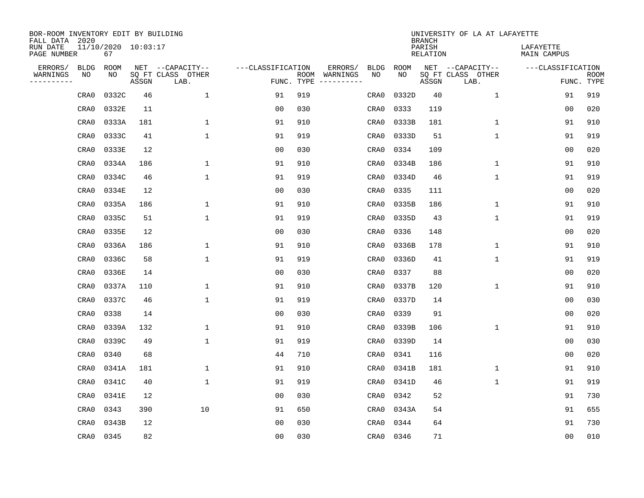| BOR-ROOM INVENTORY EDIT BY BUILDING<br>FALL DATA 2020 |                           |       |                           |                   |            |                              |             |             | <b>BRANCH</b>             | UNIVERSITY OF LA AT LAFAYETTE |                          |                           |
|-------------------------------------------------------|---------------------------|-------|---------------------------|-------------------|------------|------------------------------|-------------|-------------|---------------------------|-------------------------------|--------------------------|---------------------------|
| RUN DATE<br>PAGE NUMBER                               | 11/10/2020 10:03:17<br>67 |       |                           |                   |            |                              |             |             | PARISH<br><b>RELATION</b> |                               | LAFAYETTE<br>MAIN CAMPUS |                           |
| ERRORS/<br><b>BLDG</b>                                | ROOM                      |       | NET --CAPACITY--          | ---CLASSIFICATION |            | ERRORS/                      | <b>BLDG</b> | <b>ROOM</b> |                           | NET --CAPACITY--              | ---CLASSIFICATION        |                           |
| WARNINGS<br>NO<br>----------                          | NO.                       | ASSGN | SQ FT CLASS OTHER<br>LAB. |                   | FUNC. TYPE | ROOM WARNINGS<br>----------- | NO          | NO          | ASSGN                     | SQ FT CLASS OTHER<br>LAB.     |                          | <b>ROOM</b><br>FUNC. TYPE |
| CRA0                                                  | 0332C                     | 46    | $\mathbf 1$               | 91                | 919        |                              | CRA0        | 0332D       | 40                        | $\mathbf 1$                   | 91                       | 919                       |
| CRA0                                                  | 0332E                     | 11    |                           | 0 <sub>0</sub>    | 030        |                              | CRA0        | 0333        | 119                       |                               | 0 <sub>0</sub>           | 020                       |
| CRA0                                                  | 0333A                     | 181   | $\mathbf 1$               | 91                | 910        |                              | CRA0        | 0333B       | 181                       | $\mathbf 1$                   | 91                       | 910                       |
| CRA0                                                  | 0333C                     | 41    | $\mathbf{1}$              | 91                | 919        |                              | CRA0        | 0333D       | 51                        | $\mathbf{1}$                  | 91                       | 919                       |
| CRA0                                                  | 0333E                     | 12    |                           | 0 <sub>0</sub>    | 030        |                              | CRA0        | 0334        | 109                       |                               | 0 <sub>0</sub>           | 020                       |
| CRA0                                                  | 0334A                     | 186   | $\mathbf{1}$              | 91                | 910        |                              | CRA0        | 0334B       | 186                       | $\mathbf{1}$                  | 91                       | 910                       |
| CRA0                                                  | 0334C                     | 46    | $\mathbf{1}$              | 91                | 919        |                              | CRA0        | 0334D       | 46                        | $\mathbf{1}$                  | 91                       | 919                       |
| CRA0                                                  | 0334E                     | 12    |                           | 0 <sub>0</sub>    | 030        |                              | CRA0        | 0335        | 111                       |                               | 0 <sub>0</sub>           | 020                       |
| CRA0                                                  | 0335A                     | 186   | $\mathbf 1$               | 91                | 910        |                              | CRA0        | 0335B       | 186                       | $\mathbf 1$                   | 91                       | 910                       |
| CRA0                                                  | 0335C                     | 51    | $\mathbf{1}$              | 91                | 919        |                              | CRA0        | 0335D       | 43                        | $\mathbf 1$                   | 91                       | 919                       |
| CRA0                                                  | 0335E                     | 12    |                           | 0 <sub>0</sub>    | 030        |                              | CRA0        | 0336        | 148                       |                               | 0 <sub>0</sub>           | 020                       |
| CRA0                                                  | 0336A                     | 186   | $\mathbf{1}$              | 91                | 910        |                              | CRA0        | 0336B       | 178                       | $\mathbf{1}$                  | 91                       | 910                       |
| CRA0                                                  | 0336C                     | 58    | $\mathbf{1}$              | 91                | 919        |                              | CRA0        | 0336D       | 41                        | $\mathbf 1$                   | 91                       | 919                       |
| CRA0                                                  | 0336E                     | 14    |                           | 00                | 030        |                              | CRA0        | 0337        | 88                        |                               | 0 <sub>0</sub>           | 020                       |
| CRA0                                                  | 0337A                     | 110   | 1                         | 91                | 910        |                              | CRA0        | 0337B       | 120                       | 1                             | 91                       | 910                       |
| CRA0                                                  | 0337C                     | 46    | $\mathbf{1}$              | 91                | 919        |                              | CRA0        | 0337D       | 14                        |                               | 0 <sub>0</sub>           | 030                       |
| CRA0                                                  | 0338                      | 14    |                           | 0 <sub>0</sub>    | 030        |                              | CRA0        | 0339        | 91                        |                               | 0 <sub>0</sub>           | 020                       |
| CRA0                                                  | 0339A                     | 132   | $\mathbf{1}$              | 91                | 910        |                              | CRA0        | 0339B       | 106                       | $\mathbf{1}$                  | 91                       | 910                       |
| CRA0                                                  | 0339C                     | 49    | $\mathbf{1}$              | 91                | 919        |                              | CRA0        | 0339D       | 14                        |                               | 0 <sub>0</sub>           | 030                       |
| CRA0                                                  | 0340                      | 68    |                           | 44                | 710        |                              | CRA0        | 0341        | 116                       |                               | 0 <sub>0</sub>           | 020                       |
| CRA0                                                  | 0341A                     | 181   | $\mathbf{1}$              | 91                | 910        |                              | CRA0        | 0341B       | 181                       | $\mathbf 1$                   | 91                       | 910                       |
| CRA0                                                  | 0341C                     | 40    | $\mathbf{1}$              | 91                | 919        |                              | CRA0        | 0341D       | 46                        | $\mathbf 1$                   | 91                       | 919                       |
| CRA0                                                  | 0341E                     | 12    |                           | 0 <sub>0</sub>    | 030        |                              | CRA0        | 0342        | 52                        |                               | 91                       | 730                       |
| CRA0                                                  | 0343                      | 390   | 10                        | 91                | 650        |                              | CRA0        | 0343A       | 54                        |                               | 91                       | 655                       |
| CRA0                                                  | 0343B                     | 12    |                           | 0 <sub>0</sub>    | 030        |                              | CRA0        | 0344        | 64                        |                               | 91                       | 730                       |
| CRA0                                                  | 0345                      | 82    |                           | 0 <sub>0</sub>    | 030        |                              | CRA0        | 0346        | 71                        |                               | 0 <sub>0</sub>           | 010                       |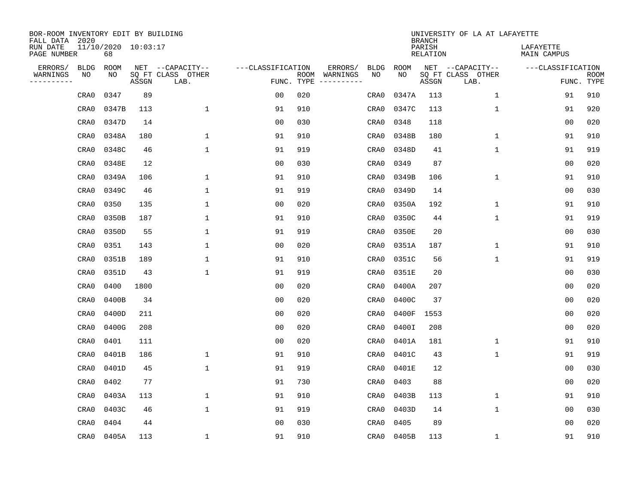| BOR-ROOM INVENTORY EDIT BY BUILDING<br>FALL DATA 2020 |                           |       |                           |                   |                    |                         |             |             | <b>BRANCH</b>             | UNIVERSITY OF LA AT LAFAYETTE |                          |                           |
|-------------------------------------------------------|---------------------------|-------|---------------------------|-------------------|--------------------|-------------------------|-------------|-------------|---------------------------|-------------------------------|--------------------------|---------------------------|
| RUN DATE<br>PAGE NUMBER                               | 11/10/2020 10:03:17<br>68 |       |                           |                   |                    |                         |             |             | PARISH<br><b>RELATION</b> |                               | LAFAYETTE<br>MAIN CAMPUS |                           |
| ERRORS/<br><b>BLDG</b>                                | ROOM                      |       | NET --CAPACITY--          | ---CLASSIFICATION |                    | ERRORS/                 | <b>BLDG</b> | <b>ROOM</b> |                           | NET --CAPACITY--              | ---CLASSIFICATION        |                           |
| WARNINGS<br>NO<br>----------                          | NO                        | ASSGN | SQ FT CLASS OTHER<br>LAB. |                   | ROOM<br>FUNC. TYPE | WARNINGS<br>----------- | NO          | NO          | ASSGN                     | SQ FT CLASS OTHER<br>LAB.     |                          | <b>ROOM</b><br>FUNC. TYPE |
| CRA0                                                  | 0347                      | 89    |                           | 0 <sub>0</sub>    | 020                |                         | CRA0        | 0347A       | 113                       | $\mathbf 1$                   | 91                       | 910                       |
| CRA0                                                  | 0347B                     | 113   | $\mathbf 1$               | 91                | 910                |                         | CRA0        | 0347C       | 113                       | 1                             | 91                       | 920                       |
| CRA0                                                  | 0347D                     | 14    |                           | 0 <sub>0</sub>    | 030                |                         | CRA0        | 0348        | 118                       |                               | 0 <sub>0</sub>           | 020                       |
| CRA0                                                  | 0348A                     | 180   | 1                         | 91                | 910                |                         | CRA0        | 0348B       | 180                       | 1                             | 91                       | 910                       |
| CRA0                                                  | 0348C                     | 46    | $\mathbf 1$               | 91                | 919                |                         | CRA0        | 0348D       | 41                        | $\mathbf{1}$                  | 91                       | 919                       |
| CRA0                                                  | 0348E                     | 12    |                           | 0 <sub>0</sub>    | 030                |                         | CRA0        | 0349        | 87                        |                               | 0 <sub>0</sub>           | 020                       |
| CRA0                                                  | 0349A                     | 106   | $\mathbf 1$               | 91                | 910                |                         | CRA0        | 0349B       | 106                       | $\mathbf 1$                   | 91                       | 910                       |
| CRA0                                                  | 0349C                     | 46    | $\mathbf{1}$              | 91                | 919                |                         | CRA0        | 0349D       | 14                        |                               | 0 <sub>0</sub>           | 030                       |
| CRA0                                                  | 0350                      | 135   | $\mathbf{1}$              | 0 <sub>0</sub>    | 020                |                         | CRA0        | 0350A       | 192                       | $\mathbf 1$                   | 91                       | 910                       |
| CRA0                                                  | 0350B                     | 187   | $\mathbf{1}$              | 91                | 910                |                         | CRA0        | 0350C       | 44                        | $\mathbf 1$                   | 91                       | 919                       |
| CRA0                                                  | 0350D                     | 55    | $\mathbf{1}$              | 91                | 919                |                         | CRA0        | 0350E       | 20                        |                               | 0 <sub>0</sub>           | 030                       |
| CRA0                                                  | 0351                      | 143   | $\mathbf{1}$              | 0 <sub>0</sub>    | 020                |                         | CRA0        | 0351A       | 187                       | $\mathbf 1$                   | 91                       | 910                       |
| CRA0                                                  | 0351B                     | 189   | 1                         | 91                | 910                |                         | CRA0        | 0351C       | 56                        | $\mathbf 1$                   | 91                       | 919                       |
| CRA0                                                  | 0351D                     | 43    | 1                         | 91                | 919                |                         | CRA0        | 0351E       | 20                        |                               | 0 <sub>0</sub>           | 030                       |
| CRA0                                                  | 0400                      | 1800  |                           | 0 <sub>0</sub>    | 020                |                         | CRA0        | 0400A       | 207                       |                               | 0 <sub>0</sub>           | 020                       |
| CRA0                                                  | 0400B                     | 34    |                           | 0 <sub>0</sub>    | 020                |                         | CRA0        | 0400C       | 37                        |                               | 0 <sub>0</sub>           | 020                       |
| CRA0                                                  | 0400D                     | 211   |                           | 0 <sub>0</sub>    | 020                |                         | CRA0        | 0400F       | 1553                      |                               | 0 <sub>0</sub>           | 020                       |
| CRA0                                                  | 0400G                     | 208   |                           | 0 <sub>0</sub>    | 020                |                         | CRA0        | 0400I       | 208                       |                               | 0 <sub>0</sub>           | 020                       |
| CRA0                                                  | 0401                      | 111   |                           | 0 <sub>0</sub>    | 020                |                         | CRA0        | 0401A       | 181                       | 1                             | 91                       | 910                       |
| CRA0                                                  | 0401B                     | 186   | $\mathbf 1$               | 91                | 910                |                         | CRA0        | 0401C       | 43                        | $\mathbf 1$                   | 91                       | 919                       |
| CRA0                                                  | 0401D                     | 45    | $\mathbf{1}$              | 91                | 919                |                         | CRA0        | 0401E       | 12                        |                               | 00                       | 030                       |
| CRA0                                                  | 0402                      | 77    |                           | 91                | 730                |                         | CRA0        | 0403        | 88                        |                               | 00                       | 020                       |
| CRA0                                                  | 0403A                     | 113   | 1                         | 91                | 910                |                         | CRA0        | 0403B       | 113                       | 1                             | 91                       | 910                       |
| CRA0                                                  | 0403C                     | 46    | $\mathbf 1$               | 91                | 919                |                         | CRA0        | 0403D       | 14                        | $\mathbf 1$                   | 0 <sub>0</sub>           | 030                       |
| CRA0                                                  | 0404                      | 44    |                           | 0 <sub>0</sub>    | 030                |                         | CRA0        | 0405        | 89                        |                               | 0 <sub>0</sub>           | 020                       |
| CRA0                                                  | 0405A                     | 113   | 1                         | 91                | 910                |                         | CRA0        | 0405B       | 113                       | 1                             | 91                       | 910                       |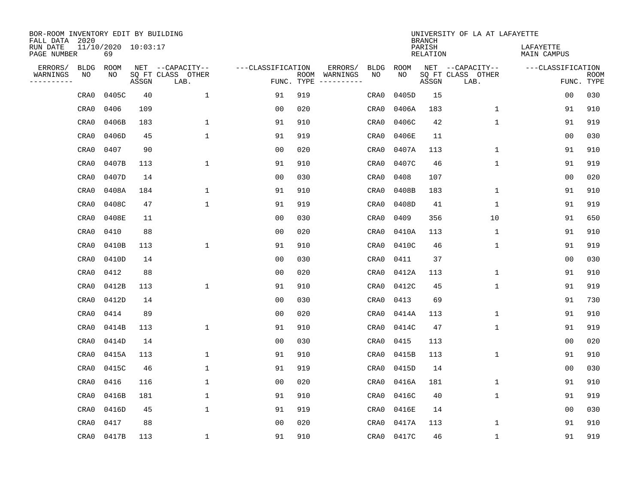| BOR-ROOM INVENTORY EDIT BY BUILDING<br>FALL DATA 2020 |                           |       |                           |                   |     |                              |             |             | <b>BRANCH</b>             | UNIVERSITY OF LA AT LAFAYETTE |                          |                           |
|-------------------------------------------------------|---------------------------|-------|---------------------------|-------------------|-----|------------------------------|-------------|-------------|---------------------------|-------------------------------|--------------------------|---------------------------|
| RUN DATE<br>PAGE NUMBER                               | 11/10/2020 10:03:17<br>69 |       |                           |                   |     |                              |             |             | PARISH<br><b>RELATION</b> |                               | LAFAYETTE<br>MAIN CAMPUS |                           |
| ERRORS/<br><b>BLDG</b>                                | ROOM                      |       | NET --CAPACITY--          | ---CLASSIFICATION |     | ERRORS/                      | <b>BLDG</b> | <b>ROOM</b> |                           | NET --CAPACITY--              | ---CLASSIFICATION        |                           |
| WARNINGS<br>NO<br>----------                          | NO                        | ASSGN | SQ FT CLASS OTHER<br>LAB. | FUNC. TYPE        |     | ROOM WARNINGS<br>----------- | NO          | NO          | ASSGN                     | SQ FT CLASS OTHER<br>LAB.     |                          | <b>ROOM</b><br>FUNC. TYPE |
| CRA0                                                  | 0405C                     | 40    | $\mathbf 1$               | 91                | 919 |                              | CRA0        | 0405D       | 15                        |                               | 0 <sub>0</sub>           | 030                       |
| CRA0                                                  | 0406                      | 109   |                           | 0 <sub>0</sub>    | 020 |                              | CRA0        | 0406A       | 183                       | $\mathbf 1$                   | 91                       | 910                       |
| CRA0                                                  | 0406B                     | 183   | $\mathbf 1$               | 91                | 910 |                              | CRA0        | 0406C       | 42                        | $\mathbf{1}$                  | 91                       | 919                       |
| CRA0                                                  | 0406D                     | 45    | $\mathbf{1}$              | 91                | 919 |                              | CRA0        | 0406E       | 11                        |                               | 0 <sub>0</sub>           | 030                       |
| CRA0                                                  | 0407                      | 90    |                           | 0 <sub>0</sub>    | 020 |                              | CRA0        | 0407A       | 113                       | $\mathbf{1}$                  | 91                       | 910                       |
| CRA0                                                  | 0407B                     | 113   | $\mathbf{1}$              | 91                | 910 |                              | CRA0        | 0407C       | 46                        | $\mathbf{1}$                  | 91                       | 919                       |
| CRA0                                                  | 0407D                     | 14    |                           | 0 <sub>0</sub>    | 030 |                              | CRA0        | 0408        | 107                       |                               | 0 <sub>0</sub>           | 020                       |
| CRA0                                                  | 0408A                     | 184   | $\mathbf{1}$              | 91                | 910 |                              | CRA0        | 0408B       | 183                       | $\mathbf 1$                   | 91                       | 910                       |
| CRA0                                                  | 0408C                     | 47    | $\mathbf{1}$              | 91                | 919 |                              | CRA0        | 0408D       | 41                        | $\mathbf 1$                   | 91                       | 919                       |
| CRA0                                                  | 0408E                     | 11    |                           | 0 <sub>0</sub>    | 030 |                              | CRA0        | 0409        | 356                       | 10                            | 91                       | 650                       |
| CRA0                                                  | 0410                      | 88    |                           | 0 <sub>0</sub>    | 020 |                              | CRA0        | 0410A       | 113                       | $\mathbf{1}$                  | 91                       | 910                       |
| CRA0                                                  | 0410B                     | 113   | $\mathbf{1}$              | 91                | 910 |                              | CRA0        | 0410C       | 46                        | $\mathbf{1}$                  | 91                       | 919                       |
| CRA0                                                  | 0410D                     | 14    |                           | 0 <sub>0</sub>    | 030 |                              | CRA0        | 0411        | 37                        |                               | 0 <sub>0</sub>           | 030                       |
| CRA0                                                  | 0412                      | 88    |                           | 0 <sub>0</sub>    | 020 |                              | CRA0        | 0412A       | 113                       | 1                             | 91                       | 910                       |
| CRA0                                                  | 0412B                     | 113   | 1                         | 91                | 910 |                              | CRA0        | 0412C       | 45                        | 1                             | 91                       | 919                       |
| CRA0                                                  | 0412D                     | 14    |                           | 0 <sub>0</sub>    | 030 |                              | CRA0        | 0413        | 69                        |                               | 91                       | 730                       |
| CRA0                                                  | 0414                      | 89    |                           | 0 <sub>0</sub>    | 020 |                              | CRA0        | 0414A       | 113                       | $\mathbf 1$                   | 91                       | 910                       |
| CRA0                                                  | 0414B                     | 113   | $\mathbf{1}$              | 91                | 910 |                              | CRA0        | 0414C       | 47                        | $\mathbf{1}$                  | 91                       | 919                       |
| CRA0                                                  | 0414D                     | 14    |                           | 0 <sub>0</sub>    | 030 |                              | CRA0        | 0415        | 113                       |                               | 0 <sub>0</sub>           | 020                       |
| CRA0                                                  | 0415A                     | 113   | 1                         | 91                | 910 |                              | CRA0        | 0415B       | 113                       | $\mathbf 1$                   | 91                       | 910                       |
| CRA0                                                  | 0415C                     | 46    | 1                         | 91                | 919 |                              | CRA0        | 0415D       | 14                        |                               | 0 <sub>0</sub>           | 030                       |
| CRA0                                                  | 0416                      | 116   | 1                         | 0 <sub>0</sub>    | 020 |                              | CRA0        | 0416A       | 181                       | $\mathbf 1$                   | 91                       | 910                       |
| CRA0                                                  | 0416B                     | 181   | $\mathbf{1}$              | 91                | 910 |                              | CRA0        | 0416C       | 40                        | $\mathbf{1}$                  | 91                       | 919                       |
| CRA0                                                  | 0416D                     | 45    | $\mathbf{1}$              | 91                | 919 |                              | CRA0        | 0416E       | 14                        |                               | 0 <sub>0</sub>           | 030                       |
| CRA0                                                  | 0417                      | 88    |                           | 0 <sub>0</sub>    | 020 |                              | CRA0        | 0417A       | 113                       | $\mathbf{1}$                  | 91                       | 910                       |
| CRA0                                                  | 0417B                     | 113   | 1                         | 91                | 910 |                              | CRA0        | 0417C       | 46                        | $\mathbf{1}$                  | 91                       | 919                       |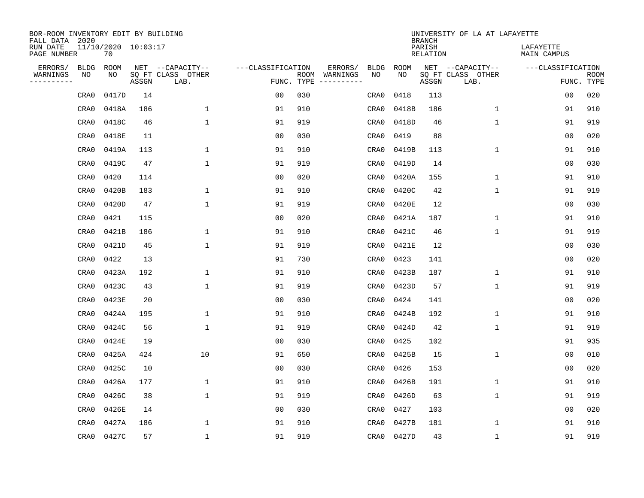| BOR-ROOM INVENTORY EDIT BY BUILDING<br>FALL DATA 2020 |      |                           |       |                           |                   |      |          |             |             | <b>BRANCH</b>             | UNIVERSITY OF LA AT LAFAYETTE |                          |                           |
|-------------------------------------------------------|------|---------------------------|-------|---------------------------|-------------------|------|----------|-------------|-------------|---------------------------|-------------------------------|--------------------------|---------------------------|
| RUN DATE<br>PAGE NUMBER                               |      | 11/10/2020 10:03:17<br>70 |       |                           |                   |      |          |             |             | PARISH<br><b>RELATION</b> |                               | LAFAYETTE<br>MAIN CAMPUS |                           |
| ERRORS/                                               | BLDG | ROOM                      |       | NET --CAPACITY--          | ---CLASSIFICATION |      | ERRORS/  | <b>BLDG</b> | <b>ROOM</b> |                           | NET --CAPACITY--              | ---CLASSIFICATION        |                           |
| WARNINGS<br>----------                                | ΝO   | NO                        | ASSGN | SQ FT CLASS OTHER<br>LAB. | FUNC. TYPE        | ROOM | WARNINGS | NO          | NO          | ASSGN                     | SQ FT CLASS OTHER<br>LAB.     |                          | <b>ROOM</b><br>FUNC. TYPE |
|                                                       | CRA0 | 0417D                     | 14    |                           | 00                | 030  |          | CRA0        | 0418        | 113                       |                               | 00                       | 020                       |
|                                                       | CRA0 | 0418A                     | 186   | 1                         | 91                | 910  |          | CRA0        | 0418B       | 186                       | 1                             | 91                       | 910                       |
|                                                       | CRA0 | 0418C                     | 46    | 1                         | 91                | 919  |          | CRA0        | 0418D       | 46                        | 1                             | 91                       | 919                       |
|                                                       | CRA0 | 0418E                     | 11    |                           | 0 <sub>0</sub>    | 030  |          | CRA0        | 0419        | 88                        |                               | 0 <sub>0</sub>           | 020                       |
|                                                       | CRA0 | 0419A                     | 113   | $\mathbf 1$               | 91                | 910  |          | CRA0        | 0419B       | 113                       | $\mathbf 1$                   | 91                       | 910                       |
|                                                       | CRA0 | 0419C                     | 47    | $\mathbf{1}$              | 91                | 919  |          | CRA0        | 0419D       | 14                        |                               | 0 <sub>0</sub>           | 030                       |
|                                                       | CRA0 | 0420                      | 114   |                           | 0 <sub>0</sub>    | 020  |          | CRA0        | 0420A       | 155                       | $\mathbf{1}$                  | 91                       | 910                       |
|                                                       | CRA0 | 0420B                     | 183   | $\mathbf{1}$              | 91                | 910  |          | CRA0        | 0420C       | 42                        | $\mathbf{1}$                  | 91                       | 919                       |
|                                                       | CRA0 | 0420D                     | 47    | $\mathbf{1}$              | 91                | 919  |          | CRA0        | 0420E       | 12                        |                               | 0 <sub>0</sub>           | 030                       |
|                                                       | CRA0 | 0421                      | 115   |                           | 00                | 020  |          | CRA0        | 0421A       | 187                       | 1                             | 91                       | 910                       |
|                                                       | CRA0 | 0421B                     | 186   | 1                         | 91                | 910  |          | CRA0        | 0421C       | 46                        | $\mathbf 1$                   | 91                       | 919                       |
|                                                       | CRA0 | 0421D                     | 45    | 1                         | 91                | 919  |          | CRA0        | 0421E       | 12                        |                               | 0 <sub>0</sub>           | 030                       |
|                                                       | CRA0 | 0422                      | 13    |                           | 91                | 730  |          | CRA0        | 0423        | 141                       |                               | 0 <sub>0</sub>           | 020                       |
|                                                       | CRA0 | 0423A                     | 192   | 1                         | 91                | 910  |          | CRA0        | 0423B       | 187                       | 1                             | 91                       | 910                       |
|                                                       | CRA0 | 0423C                     | 43    | $\mathbf{1}$              | 91                | 919  |          | CRA0        | 0423D       | 57                        | $\mathbf{1}$                  | 91                       | 919                       |
|                                                       | CRA0 | 0423E                     | 20    |                           | 0 <sub>0</sub>    | 030  |          | CRA0        | 0424        | 141                       |                               | 0 <sub>0</sub>           | 020                       |
|                                                       | CRA0 | 0424A                     | 195   | 1                         | 91                | 910  |          | CRA0        | 0424B       | 192                       | 1                             | 91                       | 910                       |
|                                                       | CRA0 | 0424C                     | 56    | 1                         | 91                | 919  |          | CRA0        | 0424D       | 42                        | $\mathbf 1$                   | 91                       | 919                       |
|                                                       | CRA0 | 0424E                     | 19    |                           | 0 <sub>0</sub>    | 030  |          | CRA0        | 0425        | 102                       |                               | 91                       | 935                       |
|                                                       | CRA0 | 0425A                     | 424   | 10                        | 91                | 650  |          | CRA0        | 0425B       | 15                        | $\mathbf{1}$                  | 0 <sub>0</sub>           | 010                       |
|                                                       | CRA0 | 0425C                     | 10    |                           | 0 <sub>0</sub>    | 030  |          | CRA0        | 0426        | 153                       |                               | 0 <sub>0</sub>           | 020                       |
|                                                       | CRA0 | 0426A                     | 177   | 1                         | 91                | 910  |          | CRA0        | 0426B       | 191                       | $\mathbf{1}$                  | 91                       | 910                       |
|                                                       | CRA0 | 0426C                     | 38    | $\mathbf{1}$              | 91                | 919  |          | CRA0        | 0426D       | 63                        | $\mathbf 1$                   | 91                       | 919                       |
|                                                       | CRA0 | 0426E                     | 14    |                           | 0 <sub>0</sub>    | 030  |          | CRA0        | 0427        | 103                       |                               | 0 <sub>0</sub>           | 020                       |
|                                                       | CRA0 | 0427A                     | 186   | $\mathbf{1}$              | 91                | 910  |          | CRA0        | 0427B       | 181                       | $\mathbf 1$                   | 91                       | 910                       |
|                                                       | CRA0 | 0427C                     | 57    | $\mathbf{1}$              | 91                | 919  |          | CRA0        | 0427D       | 43                        | $\mathbf 1$                   | 91                       | 919                       |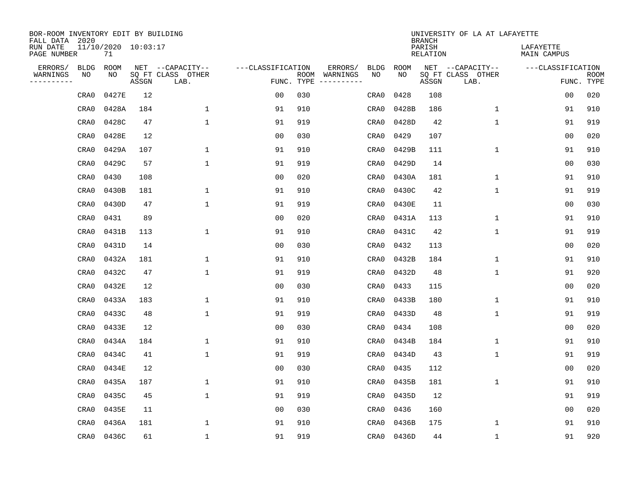| BOR-ROOM INVENTORY EDIT BY BUILDING<br>FALL DATA 2020 |                           |       |                           |                   |     |                              |             |             | <b>BRANCH</b>             | UNIVERSITY OF LA AT LAFAYETTE |                          |                           |
|-------------------------------------------------------|---------------------------|-------|---------------------------|-------------------|-----|------------------------------|-------------|-------------|---------------------------|-------------------------------|--------------------------|---------------------------|
| RUN DATE<br>PAGE NUMBER                               | 11/10/2020 10:03:17<br>71 |       |                           |                   |     |                              |             |             | PARISH<br><b>RELATION</b> |                               | LAFAYETTE<br>MAIN CAMPUS |                           |
| ERRORS/<br><b>BLDG</b>                                | ROOM                      |       | NET --CAPACITY--          | ---CLASSIFICATION |     | ERRORS/                      | <b>BLDG</b> | <b>ROOM</b> |                           | NET --CAPACITY--              | ---CLASSIFICATION        |                           |
| WARNINGS<br>NO<br>----------                          | NO                        | ASSGN | SQ FT CLASS OTHER<br>LAB. | FUNC. TYPE        |     | ROOM WARNINGS<br>----------- | NO          | NO          | ASSGN                     | SQ FT CLASS OTHER<br>LAB.     |                          | <b>ROOM</b><br>FUNC. TYPE |
| CRA0                                                  | 0427E                     | 12    |                           | 0 <sub>0</sub>    | 030 |                              | CRA0        | 0428        | 108                       |                               | 0 <sub>0</sub>           | 020                       |
| CRA0                                                  | 0428A                     | 184   | 1                         | 91                | 910 |                              | CRA0        | 0428B       | 186                       | $\mathbf 1$                   | 91                       | 910                       |
| CRA0                                                  | 0428C                     | 47    | $\mathbf{1}$              | 91                | 919 |                              | CRA0        | 0428D       | 42                        | $\mathbf{1}$                  | 91                       | 919                       |
| CRA0                                                  | 0428E                     | 12    |                           | 0 <sub>0</sub>    | 030 |                              | CRA0        | 0429        | 107                       |                               | 0 <sub>0</sub>           | 020                       |
| CRA0                                                  | 0429A                     | 107   | $\mathbf 1$               | 91                | 910 |                              | CRA0        | 0429B       | 111                       | $\mathbf{1}$                  | 91                       | 910                       |
| CRA0                                                  | 0429C                     | 57    | $\mathbf{1}$              | 91                | 919 |                              | CRA0        | 0429D       | 14                        |                               | 0 <sub>0</sub>           | 030                       |
| CRA0                                                  | 0430                      | 108   |                           | 0 <sub>0</sub>    | 020 |                              | CRA0        | 0430A       | 181                       | $\mathbf 1$                   | 91                       | 910                       |
| CRA0                                                  | 0430B                     | 181   | 1                         | 91                | 910 |                              | CRA0        | 0430C       | 42                        | $\mathbf{1}$                  | 91                       | 919                       |
| CRA0                                                  | 0430D                     | 47    | $\mathbf{1}$              | 91                | 919 |                              | CRA0        | 0430E       | 11                        |                               | 0 <sub>0</sub>           | 030                       |
| CRA0                                                  | 0431                      | 89    |                           | 0 <sub>0</sub>    | 020 |                              | CRA0        | 0431A       | 113                       | $\mathbf 1$                   | 91                       | 910                       |
| CRA0                                                  | 0431B                     | 113   | $\mathbf{1}$              | 91                | 910 |                              | CRA0        | 0431C       | 42                        | $\mathbf{1}$                  | 91                       | 919                       |
| CRA0                                                  | 0431D                     | 14    |                           | 0 <sub>0</sub>    | 030 |                              | CRA0        | 0432        | 113                       |                               | 0 <sub>0</sub>           | 020                       |
| CRA0                                                  | 0432A                     | 181   | 1                         | 91                | 910 |                              | CRA0        | 0432B       | 184                       | $\mathbf 1$                   | 91                       | 910                       |
| CRA0                                                  | 0432C                     | 47    | 1                         | 91                | 919 |                              | CRA0        | 0432D       | 48                        | $\mathbf 1$                   | 91                       | 920                       |
| CRA0                                                  | 0432E                     | 12    |                           | 0 <sub>0</sub>    | 030 |                              | CRA0        | 0433        | 115                       |                               | 0 <sub>0</sub>           | 020                       |
| CRA0                                                  | 0433A                     | 183   | $\mathbf{1}$              | 91                | 910 |                              | CRA0        | 0433B       | 180                       | $\mathbf 1$                   | 91                       | 910                       |
| CRA0                                                  | 0433C                     | 48    | $\mathbf{1}$              | 91                | 919 |                              | CRA0        | 0433D       | 48                        | $\mathbf 1$                   | 91                       | 919                       |
| CRA0                                                  | 0433E                     | 12    |                           | 0 <sub>0</sub>    | 030 |                              | CRA0        | 0434        | 108                       |                               | 0 <sub>0</sub>           | 020                       |
| CRA0                                                  | 0434A                     | 184   | $\mathbf{1}$              | 91                | 910 |                              | CRA0        | 0434B       | 184                       | $\mathbf{1}$                  | 91                       | 910                       |
| CRA0                                                  | 0434C                     | 41    | 1                         | 91                | 919 |                              | CRA0        | 0434D       | 43                        | $\mathbf 1$                   | 91                       | 919                       |
| CRA0                                                  | 0434E                     | 12    |                           | 0 <sub>0</sub>    | 030 |                              | CRA0        | 0435        | 112                       |                               | 0 <sub>0</sub>           | 020                       |
| CRA0                                                  | 0435A                     | 187   | 1                         | 91                | 910 |                              | CRA0        | 0435B       | 181                       | $\mathbf 1$                   | 91                       | 910                       |
| CRA0                                                  | 0435C                     | 45    | $\mathbf{1}$              | 91                | 919 |                              | CRA0        | 0435D       | 12                        |                               | 91                       | 919                       |
| CRA0                                                  | 0435E                     | 11    |                           | 0 <sub>0</sub>    | 030 |                              | CRA0        | 0436        | 160                       |                               | 0 <sub>0</sub>           | 020                       |
| CRA0                                                  | 0436A                     | 181   | $\mathbf{1}$              | 91                | 910 |                              | CRA0        | 0436B       | 175                       | $\mathbf 1$                   | 91                       | 910                       |
| CRA0                                                  | 0436C                     | 61    | $\mathbf{1}$              | 91                | 919 |                              | CRA0        | 0436D       | 44                        | $\mathbf{1}$                  | 91                       | 920                       |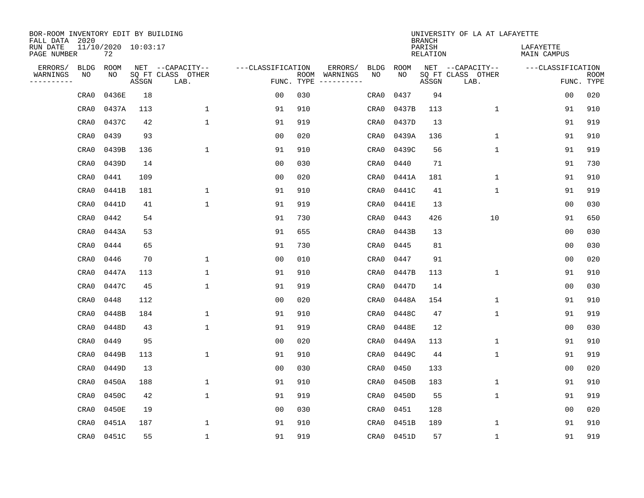| BOR-ROOM INVENTORY EDIT BY BUILDING<br>FALL DATA 2020 |                           |       |                           |                   |            |                              |             |             | <b>BRANCH</b>             | UNIVERSITY OF LA AT LAFAYETTE |                          |                           |
|-------------------------------------------------------|---------------------------|-------|---------------------------|-------------------|------------|------------------------------|-------------|-------------|---------------------------|-------------------------------|--------------------------|---------------------------|
| RUN DATE<br>PAGE NUMBER                               | 11/10/2020 10:03:17<br>72 |       |                           |                   |            |                              |             |             | PARISH<br><b>RELATION</b> |                               | LAFAYETTE<br>MAIN CAMPUS |                           |
| ERRORS/<br><b>BLDG</b>                                | ROOM                      |       | NET --CAPACITY--          | ---CLASSIFICATION |            | ERRORS/                      | <b>BLDG</b> | <b>ROOM</b> |                           | NET --CAPACITY--              | ---CLASSIFICATION        |                           |
| WARNINGS<br>NO<br>----------                          | NO                        | ASSGN | SQ FT CLASS OTHER<br>LAB. |                   | FUNC. TYPE | ROOM WARNINGS<br>----------- | NO          | NO          | ASSGN                     | SQ FT CLASS OTHER<br>LAB.     |                          | <b>ROOM</b><br>FUNC. TYPE |
| CRA0                                                  | 0436E                     | 18    |                           | 0 <sub>0</sub>    | 030        |                              | CRA0        | 0437        | 94                        |                               | 0 <sub>0</sub>           | 020                       |
| CRA0                                                  | 0437A                     | 113   | 1                         | 91                | 910        |                              | CRA0        | 0437B       | 113                       | $\mathbf 1$                   | 91                       | 910                       |
| CRA0                                                  | 0437C                     | 42    | $\mathbf{1}$              | 91                | 919        |                              | CRA0        | 0437D       | 13                        |                               | 91                       | 919                       |
| CRA0                                                  | 0439                      | 93    |                           | 0 <sub>0</sub>    | 020        |                              | CRA0        | 0439A       | 136                       | $\mathbf{1}$                  | 91                       | 910                       |
| CRA0                                                  | 0439B                     | 136   | $\mathbf{1}$              | 91                | 910        |                              | CRA0        | 0439C       | 56                        | $\mathbf{1}$                  | 91                       | 919                       |
| CRA0                                                  | 0439D                     | 14    |                           | 0 <sub>0</sub>    | 030        |                              | CRA0        | 0440        | 71                        |                               | 91                       | 730                       |
| CRA0                                                  | 0441                      | 109   |                           | 0 <sub>0</sub>    | 020        |                              | CRA0        | 0441A       | 181                       | $\mathbf 1$                   | 91                       | 910                       |
| CRA0                                                  | 0441B                     | 181   | 1                         | 91                | 910        |                              | CRA0        | 0441C       | 41                        | $\mathbf{1}$                  | 91                       | 919                       |
| CRA0                                                  | 0441D                     | 41    | $\mathbf{1}$              | 91                | 919        |                              | CRA0        | 0441E       | 13                        |                               | 0 <sub>0</sub>           | 030                       |
| CRA0                                                  | 0442                      | 54    |                           | 91                | 730        |                              | CRA0        | 0443        | 426                       | 10                            | 91                       | 650                       |
| CRA0                                                  | 0443A                     | 53    |                           | 91                | 655        |                              | CRA0        | 0443B       | 13                        |                               | 0 <sub>0</sub>           | 030                       |
| CRA0                                                  | 0444                      | 65    |                           | 91                | 730        |                              | CRA0        | 0445        | 81                        |                               | 0 <sub>0</sub>           | 030                       |
| CRA0                                                  | 0446                      | 70    | 1                         | 0 <sub>0</sub>    | 010        |                              | CRA0        | 0447        | 91                        |                               | 0 <sub>0</sub>           | 020                       |
| CRA0                                                  | 0447A                     | 113   | 1                         | 91                | 910        |                              | CRA0        | 0447B       | 113                       | 1                             | 91                       | 910                       |
| CRA0                                                  | 0447C                     | 45    | 1                         | 91                | 919        |                              | CRA0        | 0447D       | 14                        |                               | 0 <sub>0</sub>           | 030                       |
| CRA0                                                  | 0448                      | 112   |                           | 0 <sub>0</sub>    | 020        |                              | CRA0        | 0448A       | 154                       | $\mathbf 1$                   | 91                       | 910                       |
| CRA0                                                  | 0448B                     | 184   | 1                         | 91                | 910        |                              | CRA0        | 0448C       | 47                        | $\mathbf 1$                   | 91                       | 919                       |
| CRA0                                                  | 0448D                     | 43    | $\mathbf{1}$              | 91                | 919        |                              | CRA0        | 0448E       | 12                        |                               | 0 <sub>0</sub>           | 030                       |
| CRA0                                                  | 0449                      | 95    |                           | 0 <sub>0</sub>    | 020        |                              | CRA0        | 0449A       | 113                       | $\mathbf{1}$                  | 91                       | 910                       |
| CRA0                                                  | 0449B                     | 113   | 1                         | 91                | 910        |                              | CRA0        | 0449C       | 44                        | $\mathbf 1$                   | 91                       | 919                       |
| CRA0                                                  | 0449D                     | 13    |                           | 0 <sub>0</sub>    | 030        |                              | CRA0        | 0450        | 133                       |                               | 0 <sub>0</sub>           | 020                       |
| CRA0                                                  | 0450A                     | 188   | 1                         | 91                | 910        |                              | CRA0        | 0450B       | 183                       | $\mathbf 1$                   | 91                       | 910                       |
| CRA0                                                  | 0450C                     | 42    | $\mathbf{1}$              | 91                | 919        |                              | CRA0        | 0450D       | 55                        | $\mathbf 1$                   | 91                       | 919                       |
| CRA0                                                  | 0450E                     | 19    |                           | 0 <sub>0</sub>    | 030        |                              | CRA0        | 0451        | 128                       |                               | 0 <sub>0</sub>           | 020                       |
| CRA0                                                  | 0451A                     | 187   | $\mathbf{1}$              | 91                | 910        |                              | CRA0        | 0451B       | 189                       | $\mathbf 1$                   | 91                       | 910                       |
| CRA0                                                  | 0451C                     | 55    | $\mathbf{1}$              | 91                | 919        |                              | CRA0        | 0451D       | 57                        | $\mathbf{1}$                  | 91                       | 919                       |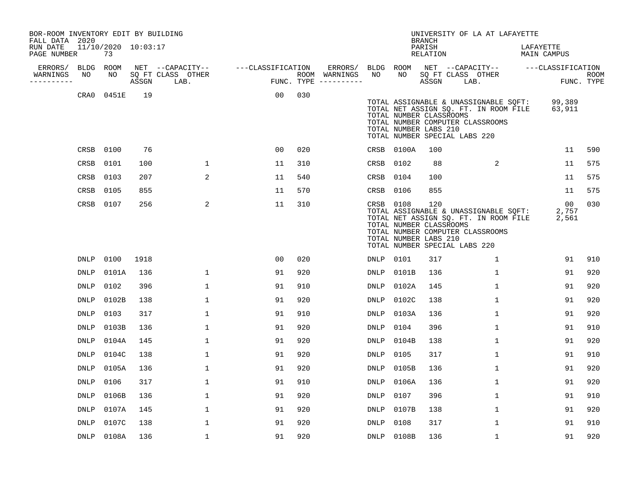| BOR-ROOM INVENTORY EDIT BY BUILDING<br>FALL DATA 2020 |                   |                           |       |                                       |                   |     |                          |                 |            | <b>BRANCH</b>                                           | UNIVERSITY OF LA AT LAFAYETTE                                                                                                                       |                          |            |
|-------------------------------------------------------|-------------------|---------------------------|-------|---------------------------------------|-------------------|-----|--------------------------|-----------------|------------|---------------------------------------------------------|-----------------------------------------------------------------------------------------------------------------------------------------------------|--------------------------|------------|
| RUN DATE<br>PAGE NUMBER                               |                   | 11/10/2020 10:03:17<br>73 |       |                                       |                   |     |                          |                 |            | PARISH<br>RELATION                                      |                                                                                                                                                     | LAFAYETTE<br>MAIN CAMPUS |            |
| ERRORS/<br>WARNINGS                                   | <b>BLDG</b><br>NO | ROOM<br>NO                |       | NET --CAPACITY--<br>SQ FT CLASS OTHER | ---CLASSIFICATION |     | ERRORS/<br>ROOM WARNINGS | BLDG ROOM<br>NO | NO         |                                                         | NET --CAPACITY-- ---CLASSIFICATION<br>SO FT CLASS OTHER                                                                                             |                          | ROOM       |
| ----------                                            |                   |                           | ASSGN | LAB.                                  |                   |     | FUNC. TYPE $------$      |                 |            | ASSGN                                                   | LAB.                                                                                                                                                |                          | FUNC. TYPE |
|                                                       | CRA0              | 0451E                     | 19    |                                       | 00                | 030 |                          |                 |            | TOTAL NUMBER CLASSROOMS<br>TOTAL NUMBER LABS 210        | TOTAL ASSIGNABLE & UNASSIGNABLE SQFT:<br>TOTAL NET ASSIGN SQ. FT. IN ROOM FILE<br>TOTAL NUMBER COMPUTER CLASSROOMS<br>TOTAL NUMBER SPECIAL LABS 220 | 99,389<br>63,911         |            |
|                                                       | CRSB              | 0100                      | 76    |                                       | 0 <sub>0</sub>    | 020 |                          |                 | CRSB 0100A | 100                                                     |                                                                                                                                                     | 11                       | 590        |
|                                                       | CRSB              | 0101                      | 100   | $\mathbf 1$                           | 11                | 310 |                          | CRSB 0102       |            | 88                                                      | 2                                                                                                                                                   | 11                       | 575        |
|                                                       | CRSB              | 0103                      | 207   | $\overline{2}$                        | 11                | 540 |                          | CRSB 0104       |            | 100                                                     |                                                                                                                                                     | 11                       | 575        |
|                                                       | CRSB              | 0105                      | 855   |                                       | 11                | 570 |                          | CRSB 0106       |            | 855                                                     |                                                                                                                                                     | 11                       | 575        |
|                                                       | CRSB              | 0107                      | 256   | 2                                     | 11                | 310 |                          | CRSB 0108       |            | 120<br>TOTAL NUMBER CLASSROOMS<br>TOTAL NUMBER LABS 210 | TOTAL ASSIGNABLE & UNASSIGNABLE SQFT:<br>TOTAL NET ASSIGN SQ. FT. IN ROOM FILE<br>TOTAL NUMBER COMPUTER CLASSROOMS<br>TOTAL NUMBER SPECIAL LABS 220 | 00<br>2,757<br>2,561     | 030        |
|                                                       | <b>DNLP</b>       | 0100                      | 1918  |                                       | 0 <sub>0</sub>    | 020 |                          | DNLP            | 0101       | 317                                                     | 1                                                                                                                                                   | 91                       | 910        |
|                                                       | <b>DNLP</b>       | 0101A                     | 136   | $\mathbf 1$                           | 91                | 920 |                          | <b>DNLP</b>     | 0101B      | 136                                                     | $\mathbf{1}$                                                                                                                                        | 91                       | 920        |
|                                                       | <b>DNLP</b>       | 0102                      | 396   | $\mathbf 1$                           | 91                | 910 |                          | <b>DNLP</b>     | 0102A      | 145                                                     | $\mathbf{1}$                                                                                                                                        | 91                       | 920        |
|                                                       | <b>DNLP</b>       | 0102B                     | 138   | $\mathbf 1$                           | 91                | 920 |                          | <b>DNLP</b>     | 0102C      | 138                                                     | $\mathbf{1}$                                                                                                                                        | 91                       | 920        |
|                                                       | DNLP              | 0103                      | 317   | 1                                     | 91                | 910 |                          | DNLP            | 0103A      | 136                                                     | 1                                                                                                                                                   | 91                       | 920        |
|                                                       | <b>DNLP</b>       | 0103B                     | 136   | $\mathbf 1$                           | 91                | 920 |                          | <b>DNLP</b>     | 0104       | 396                                                     | 1                                                                                                                                                   | 91                       | 910        |
|                                                       | <b>DNLP</b>       | 0104A                     | 145   | 1                                     | 91                | 920 |                          | <b>DNLP</b>     | 0104B      | 138                                                     | $\mathbf{1}$                                                                                                                                        | 91                       | 920        |
|                                                       | <b>DNLP</b>       | 0104C                     | 138   | $\mathbf{1}$                          | 91                | 920 |                          | <b>DNLP</b>     | 0105       | 317                                                     | $\mathbf{1}$                                                                                                                                        | 91                       | 910        |
|                                                       | <b>DNLP</b>       | 0105A                     | 136   | 1                                     | 91                | 920 |                          | <b>DNLP</b>     | 0105B      | 136                                                     | $\mathbf{1}$                                                                                                                                        | 91                       | 920        |
|                                                       | <b>DNLP</b>       | 0106                      | 317   | $\mathbf 1$                           | 91                | 910 |                          | <b>DNLP</b>     | 0106A      | 136                                                     | $\mathbf{1}$                                                                                                                                        | 91                       | 920        |
|                                                       | <b>DNLP</b>       | 0106B                     | 136   | $\mathbf 1$                           | 91                | 920 |                          | <b>DNLP</b>     | 0107       | 396                                                     | $\mathbf{1}$                                                                                                                                        | 91                       | 910        |
|                                                       | DNLP              | 0107A                     | 145   | 1                                     | 91                | 920 |                          | DNLP            | 0107B      | 138                                                     | $\mathbf{1}$                                                                                                                                        | 91                       | 920        |
|                                                       | DNLP              | 0107C                     | 138   | 1                                     | 91                | 920 |                          | <b>DNLP</b>     | 0108       | 317                                                     | $\mathbf{1}$                                                                                                                                        | 91                       | 910        |
|                                                       | DNLP              | 0108A                     | 136   | 1                                     | 91                | 920 |                          |                 | DNLP 0108B | 136                                                     | 1                                                                                                                                                   | 91                       | 920        |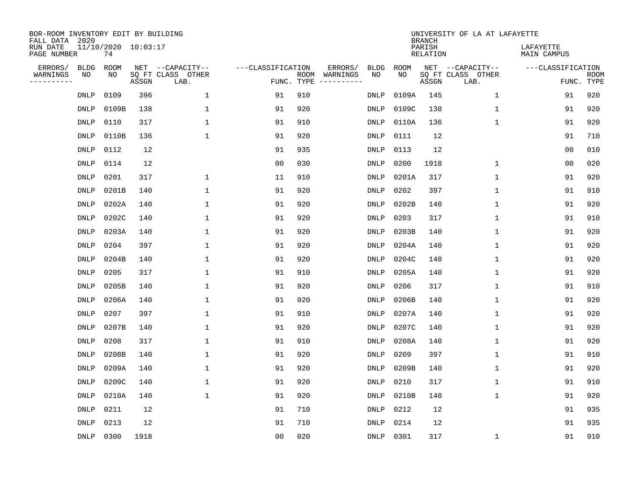| BOR-ROOM INVENTORY EDIT BY BUILDING<br>FALL DATA 2020 |             |                           |       |                           |                   |                    |          |             |             | <b>BRANCH</b>             | UNIVERSITY OF LA AT LAFAYETTE |                          |                           |
|-------------------------------------------------------|-------------|---------------------------|-------|---------------------------|-------------------|--------------------|----------|-------------|-------------|---------------------------|-------------------------------|--------------------------|---------------------------|
| RUN DATE<br>PAGE NUMBER                               |             | 11/10/2020 10:03:17<br>74 |       |                           |                   |                    |          |             |             | PARISH<br><b>RELATION</b> |                               | LAFAYETTE<br>MAIN CAMPUS |                           |
| ERRORS/                                               | <b>BLDG</b> | ROOM                      |       | NET --CAPACITY--          | ---CLASSIFICATION |                    | ERRORS/  | <b>BLDG</b> | <b>ROOM</b> |                           | NET --CAPACITY--              | ---CLASSIFICATION        |                           |
| WARNINGS<br>----------                                | NO          | NO                        | ASSGN | SQ FT CLASS OTHER<br>LAB. |                   | ROOM<br>FUNC. TYPE | WARNINGS | NO          | NO          | ASSGN                     | SQ FT CLASS OTHER<br>LAB.     |                          | <b>ROOM</b><br>FUNC. TYPE |
|                                                       | DNLP        | 0109                      | 396   | $\mathbf 1$               | 91                | 910                |          | DNLP        | 0109A       | 145                       | 1                             | 91                       | 920                       |
|                                                       | <b>DNLP</b> | 0109B                     | 138   | 1                         | 91                | 920                |          | DNLP        | 0109C       | 138                       | 1                             | 91                       | 920                       |
|                                                       | <b>DNLP</b> | 0110                      | 317   | 1                         | 91                | 910                |          | DNLP        | 0110A       | 136                       | 1                             | 91                       | 920                       |
|                                                       | <b>DNLP</b> | 0110B                     | 136   | $\mathbf{1}$              | 91                | 920                |          | <b>DNLP</b> | 0111        | 12                        |                               | 91                       | 710                       |
|                                                       | <b>DNLP</b> | 0112                      | 12    |                           | 91                | 935                |          | <b>DNLP</b> | 0113        | 12                        |                               | 0 <sub>0</sub>           | 010                       |
|                                                       | <b>DNLP</b> | 0114                      | 12    |                           | 0 <sub>0</sub>    | 030                |          | <b>DNLP</b> | 0200        | 1918                      | 1                             | 0 <sub>0</sub>           | 020                       |
|                                                       | <b>DNLP</b> | 0201                      | 317   | $\mathbf{1}$              | 11                | 910                |          | <b>DNLP</b> | 0201A       | 317                       | $\mathbf{1}$                  | 91                       | 920                       |
|                                                       | <b>DNLP</b> | 0201B                     | 140   | $\mathbf{1}$              | 91                | 920                |          | <b>DNLP</b> | 0202        | 397                       | $\mathbf{1}$                  | 91                       | 910                       |
|                                                       | DNLP        | 0202A                     | 140   | $\mathbf{1}$              | 91                | 920                |          | <b>DNLP</b> | 0202B       | 140                       | 1                             | 91                       | 920                       |
|                                                       | <b>DNLP</b> | 0202C                     | 140   | 1                         | 91                | 920                |          | DNLP        | 0203        | 317                       | 1                             | 91                       | 910                       |
|                                                       | DNLP        | 0203A                     | 140   | 1                         | 91                | 920                |          | DNLP        | 0203B       | 140                       | 1                             | 91                       | 920                       |
|                                                       | <b>DNLP</b> | 0204                      | 397   | 1                         | 91                | 920                |          | DNLP        | 0204A       | 140                       | 1                             | 91                       | 920                       |
|                                                       | DNLP        | 0204B                     | 140   | 1                         | 91                | 920                |          | DNLP        | 0204C       | 140                       | 1                             | 91                       | 920                       |
|                                                       | <b>DNLP</b> | 0205                      | 317   | 1                         | 91                | 910                |          | DNLP        | 0205A       | 140                       | 1                             | 91                       | 920                       |
|                                                       | <b>DNLP</b> | 0205B                     | 140   | 1                         | 91                | 920                |          | <b>DNLP</b> | 0206        | 317                       | 1                             | 91                       | 910                       |
|                                                       | <b>DNLP</b> | 0206A                     | 140   | 1                         | 91                | 920                |          | DNLP        | 0206B       | 140                       | 1                             | 91                       | 920                       |
|                                                       | <b>DNLP</b> | 0207                      | 397   | 1                         | 91                | 910                |          | <b>DNLP</b> | 0207A       | 140                       | 1                             | 91                       | 920                       |
|                                                       | DNLP        | 0207B                     | 140   | 1                         | 91                | 920                |          | DNLP        | 0207C       | 140                       | 1                             | 91                       | 920                       |
|                                                       | <b>DNLP</b> | 0208                      | 317   | 1                         | 91                | 910                |          | DNLP        | 0208A       | 140                       | 1                             | 91                       | 920                       |
|                                                       | <b>DNLP</b> | 0208B                     | 140   | 1                         | 91                | 920                |          | <b>DNLP</b> | 0209        | 397                       | 1                             | 91                       | 910                       |
|                                                       | <b>DNLP</b> | 0209A                     | 140   | 1                         | 91                | 920                |          | <b>DNLP</b> | 0209B       | 140                       | 1                             | 91                       | 920                       |
|                                                       | <b>DNLP</b> | 0209C                     | 140   | 1                         | 91                | 920                |          | <b>DNLP</b> | 0210        | 317                       | 1                             | 91                       | 910                       |
|                                                       | <b>DNLP</b> | 0210A                     | 140   | $\mathbf{1}$              | 91                | 920                |          | <b>DNLP</b> | 0210B       | 140                       | 1                             | 91                       | 920                       |
|                                                       | <b>DNLP</b> | 0211                      | 12    |                           | 91                | 710                |          | <b>DNLP</b> | 0212        | 12                        |                               | 91                       | 935                       |
|                                                       | DNLP        | 0213                      | 12    |                           | 91                | 710                |          | <b>DNLP</b> | 0214        | 12                        |                               | 91                       | 935                       |
|                                                       | DNLP        | 0300                      | 1918  |                           | 0 <sub>0</sub>    | 020                |          | DNLP        | 0301        | 317                       | 1                             | 91                       | 910                       |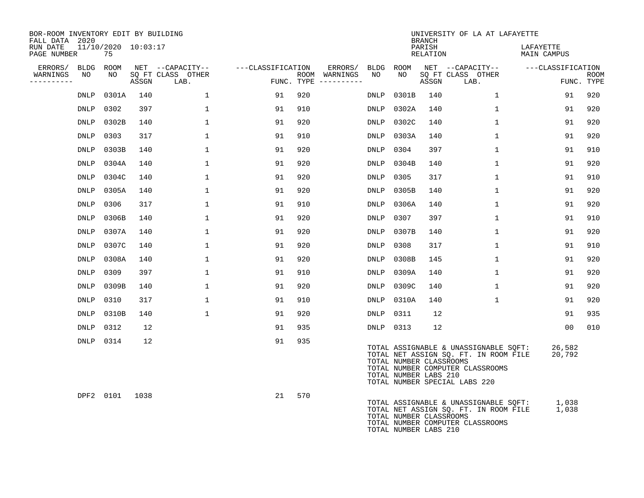| BOR-ROOM INVENTORY EDIT BY BUILDING<br>FALL DATA 2020 |                               |       |                           |                   |                                      |             |                                                  | <b>BRANCH</b>      | UNIVERSITY OF LA AT LAFAYETTE                                                                                                                       |                          |                           |
|-------------------------------------------------------|-------------------------------|-------|---------------------------|-------------------|--------------------------------------|-------------|--------------------------------------------------|--------------------|-----------------------------------------------------------------------------------------------------------------------------------------------------|--------------------------|---------------------------|
| RUN DATE<br>PAGE NUMBER                               | $11/10/2020$ $10:03:17$<br>75 |       |                           |                   |                                      |             |                                                  | PARISH<br>RELATION |                                                                                                                                                     | LAFAYETTE<br>MAIN CAMPUS |                           |
| ERRORS/<br><b>BLDG</b>                                | ROOM                          |       | NET --CAPACITY--          | ---CLASSIFICATION | ERRORS/                              | BLDG        | ROOM                                             |                    | NET --CAPACITY--                                                                                                                                    | ---CLASSIFICATION        |                           |
| WARNINGS<br>NO<br>----------                          | NO                            | ASSGN | SQ FT CLASS OTHER<br>LAB. |                   | ROOM WARNINGS<br>FUNC. TYPE $------$ | NO          | NO                                               | ASSGN              | SQ FT CLASS OTHER<br>LAB.                                                                                                                           |                          | <b>ROOM</b><br>FUNC. TYPE |
| <b>DNLP</b>                                           | 0301A                         | 140   | $\mathbf{1}$              | 91                | 920                                  | DNLP        | 0301B                                            | 140                | $\mathbf{1}$                                                                                                                                        | 91                       | 920                       |
| DNLP                                                  | 0302                          | 397   | $\mathbf{1}$              | 91                | 910                                  | DNLP        | 0302A                                            | 140                | $\mathbf{1}$                                                                                                                                        | 91                       | 920                       |
| DNLP                                                  | 0302B                         | 140   | $\mathbf{1}$              | 91                | 920                                  | DNLP        | 0302C                                            | 140                | $\mathbf{1}$                                                                                                                                        | 91                       | 920                       |
| DNLP                                                  | 0303                          | 317   | 1                         | 91                | 910                                  | DNLP        | 0303A                                            | 140                | $\mathbf{1}$                                                                                                                                        | 91                       | 920                       |
| <b>DNLP</b>                                           | 0303B                         | 140   | 1                         | 91                | 920                                  | DNLP        | 0304                                             | 397                | $\mathbf{1}$                                                                                                                                        | 91                       | 910                       |
| DNLP                                                  | 0304A                         | 140   | 1                         | 91                | 920                                  | DNLP        | 0304B                                            | 140                | $\mathbf{1}$                                                                                                                                        | 91                       | 920                       |
| <b>DNLP</b>                                           | 0304C                         | 140   | $\mathbf{1}$              | 91                | 920                                  | <b>DNLP</b> | 0305                                             | 317                | $\mathbf{1}$                                                                                                                                        | 91                       | 910                       |
| DNLP                                                  | 0305A                         | 140   | $\mathbf{1}$              | 91                | 920                                  | DNLP        | 0305B                                            | 140                | $\mathbf{1}$                                                                                                                                        | 91                       | 920                       |
| DNLP                                                  | 0306                          | 317   | $\mathbf{1}$              | 91                | 910                                  | DNLP        | 0306A                                            | 140                | 1                                                                                                                                                   | 91                       | 920                       |
| DNLP                                                  | 0306B                         | 140   | $\mathbf{1}$              | 91                | 920                                  | DNLP        | 0307                                             | 397                | 1                                                                                                                                                   | 91                       | 910                       |
| DNLP                                                  | 0307A                         | 140   | $\mathbf{1}$              | 91                | 920                                  | DNLP        | 0307B                                            | 140                | 1                                                                                                                                                   | 91                       | 920                       |
| DNLP                                                  | 0307C                         | 140   | $\mathbf{1}$              | 91                | 920                                  | DNLP        | 0308                                             | 317                | $\mathbf{1}$                                                                                                                                        | 91                       | 910                       |
| DNLP                                                  | 0308A                         | 140   | $\mathbf{1}$              | 91                | 920                                  | DNLP        | 0308B                                            | 145                | $\mathbf{1}$                                                                                                                                        | 91                       | 920                       |
| DNLP                                                  | 0309                          | 397   | $\mathbf{1}$              | 91                | 910                                  | DNLP        | 0309A                                            | 140                | $\mathbf{1}$                                                                                                                                        | 91                       | 920                       |
| DNLP                                                  | 0309B                         | 140   | $\mathbf{1}$              | 91                | 920                                  | DNLP        | 0309C                                            | 140                | $\mathbf{1}$                                                                                                                                        | 91                       | 920                       |
| DNLP                                                  | 0310                          | 317   | $\mathbf{1}$              | 91                | 910                                  | DNLP        | 0310A                                            | 140                | $\mathbf 1$                                                                                                                                         | 91                       | 920                       |
| DNLP                                                  | 0310B                         | 140   | $\mathbf{1}$              | 91                | 920                                  | DNLP        | 0311                                             | 12                 |                                                                                                                                                     | 91                       | 935                       |
| <b>DNLP</b>                                           | 0312                          | 12    |                           | 91                | 935                                  |             | DNLP 0313                                        | 12                 |                                                                                                                                                     | 0 <sub>0</sub>           | 010                       |
|                                                       | DNLP 0314                     | 12    |                           | 91                | 935                                  |             | TOTAL NUMBER CLASSROOMS<br>TOTAL NUMBER LABS 210 |                    | TOTAL ASSIGNABLE & UNASSIGNABLE SQFT:<br>TOTAL NET ASSIGN SQ. FT. IN ROOM FILE<br>TOTAL NUMBER COMPUTER CLASSROOMS<br>TOTAL NUMBER SPECIAL LABS 220 | 26,582<br>20,792         |                           |
|                                                       | DPF2 0101                     | 1038  |                           | 21                | 570                                  |             | TOTAL NUMBER CLASSROOMS<br>TOTAL NUMBER LABS 210 |                    | TOTAL ASSIGNABLE & UNASSIGNABLE SQFT:<br>TOTAL NET ASSIGN SQ. FT. IN ROOM FILE<br>TOTAL NUMBER COMPUTER CLASSROOMS                                  | 1,038<br>1,038           |                           |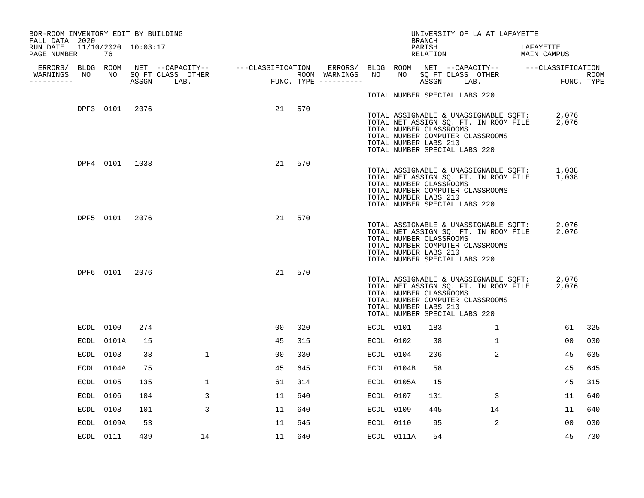| BOR-ROOM INVENTORY EDIT BY BUILDING<br>FALL DATA 2020 |                     |                |     |              |    |        |           |            | <b>BRANCH</b>                                    |                               | UNIVERSITY OF LA AT LAFAYETTE    |                                                                                            |     |
|-------------------------------------------------------|---------------------|----------------|-----|--------------|----|--------|-----------|------------|--------------------------------------------------|-------------------------------|----------------------------------|--------------------------------------------------------------------------------------------|-----|
| RUN DATE<br>PAGE NUMBER                               | 11/10/2020 10:03:17 | 76             |     |              |    |        |           |            | PARISH<br>RELATION                               |                               |                                  | LAFAYETTE<br>MAIN CAMPUS                                                                   |     |
| WARNINGS NO<br>----------                             |                     |                |     |              |    |        |           |            |                                                  |                               |                                  |                                                                                            |     |
|                                                       |                     |                |     |              |    |        |           |            |                                                  | TOTAL NUMBER SPECIAL LABS 220 |                                  |                                                                                            |     |
|                                                       |                     | DPF3 0101 2076 |     |              |    | 21 570 |           |            | TOTAL NUMBER CLASSROOMS<br>TOTAL NUMBER LABS 210 | TOTAL NUMBER SPECIAL LABS 220 | TOTAL NUMBER COMPUTER CLASSROOMS | TOTAL ASSIGNABLE & UNASSIGNABLE SQFT: 2,076<br>TOTAL NET ASSIGN SQ. FT. IN ROOM FILE 2,076 |     |
|                                                       |                     | DPF4 0101 1038 |     |              | 21 | 570    |           |            | TOTAL NUMBER CLASSROOMS<br>TOTAL NUMBER LABS 210 | TOTAL NUMBER SPECIAL LABS 220 | TOTAL NUMBER COMPUTER CLASSROOMS | TOTAL ASSIGNABLE & UNASSIGNABLE SQFT: 1,038<br>TOTAL NET ASSIGN SQ. FT. IN ROOM FILE 1,038 |     |
|                                                       |                     | DPF5 0101 2076 |     |              | 21 | 570    |           |            | TOTAL NUMBER CLASSROOMS<br>TOTAL NUMBER LABS 210 | TOTAL NUMBER SPECIAL LABS 220 | TOTAL NUMBER COMPUTER CLASSROOMS | TOTAL ASSIGNABLE & UNASSIGNABLE SQFT: 2,076<br>TOTAL NET ASSIGN SQ. FT. IN ROOM FILE 2,076 |     |
|                                                       |                     | DPF6 0101 2076 |     |              | 21 | 570    |           |            | TOTAL NUMBER CLASSROOMS<br>TOTAL NUMBER LABS 210 | TOTAL NUMBER SPECIAL LABS 220 | TOTAL NUMBER COMPUTER CLASSROOMS | TOTAL ASSIGNABLE & UNASSIGNABLE SQFT: 2,076<br>TOTAL NET ASSIGN SQ. FT. IN ROOM FILE 2,076 |     |
|                                                       |                     | ECDL 0100      | 274 |              | 00 | 020    | ECDL 0101 |            | 183                                              |                               | $\mathbf{1}$                     | 61                                                                                         | 325 |
|                                                       |                     | ECDL 0101A     | 15  |              | 45 | 315    | ECDL 0102 |            | 38                                               |                               | $\mathbf{1}$                     | 00                                                                                         | 030 |
|                                                       |                     | ECDL 0103      | 38  | $\mathbf{1}$ | 00 | 030    | ECDL 0104 |            | 206                                              |                               | $\overline{a}$                   | 45                                                                                         | 635 |
|                                                       |                     | ECDL 0104A     | 75  |              | 45 | 645    |           | ECDL 0104B | 58                                               |                               |                                  | 45                                                                                         | 645 |
|                                                       |                     | ECDL 0105      | 135 | 1            | 61 | 314    |           | ECDL 0105A | 15                                               |                               |                                  | 45                                                                                         | 315 |
|                                                       |                     | ECDL 0106      | 104 | 3            | 11 | 640    | ECDL 0107 |            | 101                                              |                               | 3                                | 11                                                                                         | 640 |
|                                                       |                     | ECDL 0108      | 101 | 3            | 11 | 640    | ECDL 0109 |            | 445                                              |                               | 14                               | 11                                                                                         | 640 |
|                                                       |                     | ECDL 0109A     | 53  |              | 11 | 645    | ECDL 0110 |            | 95                                               |                               | 2                                | 00                                                                                         | 030 |
|                                                       |                     | ECDL 0111      | 439 | 14           | 11 | 640    |           | ECDL 0111A | 54                                               |                               |                                  | 45                                                                                         | 730 |
|                                                       |                     |                |     |              |    |        |           |            |                                                  |                               |                                  |                                                                                            |     |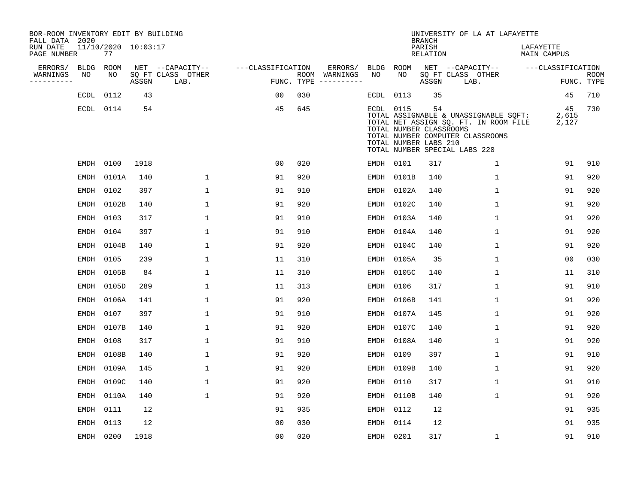| BOR-ROOM INVENTORY EDIT BY BUILDING<br>FALL DATA 2020 |                           |       |                           |                   |                                      |           |                                                               | <b>BRANCH</b>             | UNIVERSITY OF LA AT LAFAYETTE                                                                                                                       |                          |                           |
|-------------------------------------------------------|---------------------------|-------|---------------------------|-------------------|--------------------------------------|-----------|---------------------------------------------------------------|---------------------------|-----------------------------------------------------------------------------------------------------------------------------------------------------|--------------------------|---------------------------|
| RUN DATE<br>PAGE NUMBER                               | 11/10/2020 10:03:17<br>77 |       |                           |                   |                                      |           |                                                               | PARISH<br><b>RELATION</b> |                                                                                                                                                     | LAFAYETTE<br>MAIN CAMPUS |                           |
| ERRORS/<br><b>BLDG</b>                                | ROOM                      |       | NET --CAPACITY--          | ---CLASSIFICATION | ERRORS/                              | BLDG      | ROOM                                                          |                           | NET --CAPACITY--                                                                                                                                    | ---CLASSIFICATION        |                           |
| WARNINGS<br>NO<br>----------                          | NO                        | ASSGN | SQ FT CLASS OTHER<br>LAB. |                   | ROOM WARNINGS<br>FUNC. TYPE $------$ | NO        | NO                                                            | ASSGN                     | SQ FT CLASS OTHER<br>LAB.                                                                                                                           |                          | <b>ROOM</b><br>FUNC. TYPE |
| ECDL                                                  | 0112                      | 43    |                           | 00                | 030                                  | ECDL      | 0113                                                          | 35                        |                                                                                                                                                     | 45                       | 710                       |
|                                                       | ECDL 0114                 | 54    |                           | 45                | 645                                  |           | ECDL 0115<br>TOTAL NUMBER CLASSROOMS<br>TOTAL NUMBER LABS 210 | 54                        | TOTAL ASSIGNABLE & UNASSIGNABLE SQFT:<br>TOTAL NET ASSIGN SQ. FT. IN ROOM FILE<br>TOTAL NUMBER COMPUTER CLASSROOMS<br>TOTAL NUMBER SPECIAL LABS 220 | 45<br>2,615<br>2,127     | 730                       |
| EMDH                                                  | 0100                      | 1918  |                           | 0 <sub>0</sub>    | 020                                  |           | EMDH 0101                                                     | 317                       | $\mathbf 1$                                                                                                                                         | 91                       | 910                       |
| EMDH                                                  | 0101A                     | 140   | $\mathbf{1}$              | 91                | 920                                  |           | EMDH 0101B                                                    | 140                       | $\mathbf{1}$                                                                                                                                        | 91                       | 920                       |
| EMDH                                                  | 0102                      | 397   | $\mathbf{1}$              | 91                | 910                                  |           | EMDH 0102A                                                    | 140                       | $\mathbf{1}$                                                                                                                                        | 91                       | 920                       |
| EMDH                                                  | 0102B                     | 140   | $\mathbf{1}$              | 91                | 920                                  | EMDH      | 0102C                                                         | 140                       | $\mathbf{1}$                                                                                                                                        | 91                       | 920                       |
| EMDH                                                  | 0103                      | 317   | $\mathbf{1}$              | 91                | 910                                  |           | EMDH 0103A                                                    | 140                       | $\mathbf{1}$                                                                                                                                        | 91                       | 920                       |
| EMDH                                                  | 0104                      | 397   | $\mathbf 1$               | 91                | 910                                  | EMDH      | 0104A                                                         | 140                       | 1                                                                                                                                                   | 91                       | 920                       |
| EMDH                                                  | 0104B                     | 140   | 1                         | 91                | 920                                  | EMDH      | 0104C                                                         | 140                       | $\mathbf 1$                                                                                                                                         | 91                       | 920                       |
| EMDH                                                  | 0105                      | 239   | $\mathbf 1$               | 11                | 310                                  | EMDH      | 0105A                                                         | 35                        | $\mathbf 1$                                                                                                                                         | 0 <sub>0</sub>           | 030                       |
| EMDH                                                  | 0105B                     | 84    | 1                         | 11                | 310                                  |           | EMDH 0105C                                                    | 140                       | 1                                                                                                                                                   | 11                       | 310                       |
| EMDH                                                  | 0105D                     | 289   | 1                         | 11                | 313                                  | EMDH      | 0106                                                          | 317                       | 1                                                                                                                                                   | 91                       | 910                       |
| EMDH                                                  | 0106A                     | 141   | 1                         | 91                | 920                                  |           | EMDH 0106B                                                    | 141                       | $\mathbf{1}$                                                                                                                                        | 91                       | 920                       |
| EMDH                                                  | 0107                      | 397   | 1                         | 91                | 910                                  | EMDH      | 0107A                                                         | 145                       | 1                                                                                                                                                   | 91                       | 920                       |
| EMDH                                                  | 0107B                     | 140   | $\mathbf{1}$              | 91                | 920                                  | EMDH      | 0107C                                                         | 140                       | 1                                                                                                                                                   | 91                       | 920                       |
| EMDH                                                  | 0108                      | 317   | 1                         | 91                | 910                                  | EMDH      | 0108A                                                         | 140                       | 1                                                                                                                                                   | 91                       | 920                       |
| EMDH                                                  | 0108B                     | 140   | $\mathbf{1}$              | 91                | 920                                  | EMDH      | 0109                                                          | 397                       | 1                                                                                                                                                   | 91                       | 910                       |
| EMDH                                                  | 0109A                     | 145   | $\mathbf{1}$              | 91                | 920                                  | EMDH      | 0109B                                                         | 140                       | 1                                                                                                                                                   | 91                       | 920                       |
| EMDH                                                  | 0109C                     | 140   | $\mathbf 1$               | 91                | 920                                  | EMDH      | 0110                                                          | 317                       | $\mathbf 1$                                                                                                                                         | 91                       | 910                       |
| EMDH                                                  | 0110A                     | 140   | $\mathbf{1}$              | 91                | 920                                  | EMDH      | 0110B                                                         | 140                       | 1                                                                                                                                                   | 91                       | 920                       |
| EMDH                                                  | 0111                      | 12    |                           | 91                | 935                                  |           | EMDH 0112                                                     | 12                        |                                                                                                                                                     | 91                       | 935                       |
| EMDH                                                  | 0113                      | 12    |                           | 0 <sub>0</sub>    | 030                                  |           | EMDH 0114                                                     | 12                        |                                                                                                                                                     | 91                       | 935                       |
|                                                       | EMDH 0200                 | 1918  |                           | 0 <sub>0</sub>    | 020                                  | EMDH 0201 |                                                               | 317                       | $\mathbf{1}$                                                                                                                                        | 91                       | 910                       |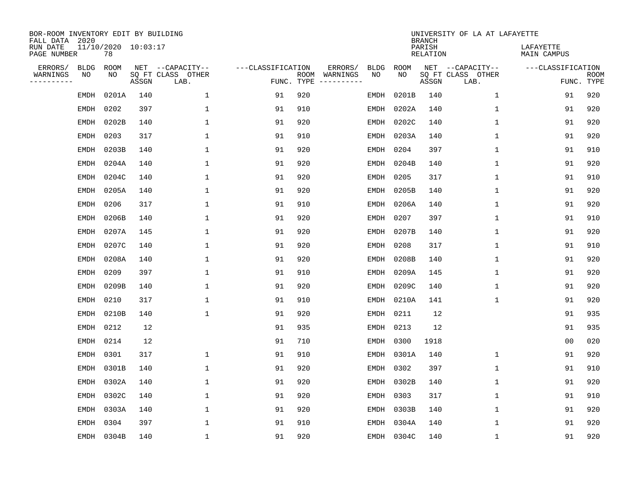| BOR-ROOM INVENTORY EDIT BY BUILDING<br>FALL DATA 2020 |             |                           |       |                           |                   |                    |                         |             |             | <b>BRANCH</b>             | UNIVERSITY OF LA AT LAFAYETTE |                          |                           |
|-------------------------------------------------------|-------------|---------------------------|-------|---------------------------|-------------------|--------------------|-------------------------|-------------|-------------|---------------------------|-------------------------------|--------------------------|---------------------------|
| RUN DATE<br>PAGE NUMBER                               |             | 11/10/2020 10:03:17<br>78 |       |                           |                   |                    |                         |             |             | PARISH<br><b>RELATION</b> |                               | LAFAYETTE<br>MAIN CAMPUS |                           |
| ERRORS/                                               | <b>BLDG</b> | ROOM                      |       | NET --CAPACITY--          | ---CLASSIFICATION |                    | ERRORS/                 | <b>BLDG</b> | <b>ROOM</b> |                           | NET --CAPACITY--              | ---CLASSIFICATION        |                           |
| WARNINGS<br>----------                                | NO          | NO                        | ASSGN | SQ FT CLASS OTHER<br>LAB. |                   | ROOM<br>FUNC. TYPE | WARNINGS<br>----------- | NO          | NO          | ASSGN                     | SQ FT CLASS OTHER<br>LAB.     |                          | <b>ROOM</b><br>FUNC. TYPE |
|                                                       | <b>EMDH</b> | 0201A                     | 140   | 1                         | 91                | 920                |                         | <b>EMDH</b> | 0201B       | 140                       | $\mathbf 1$                   | 91                       | 920                       |
|                                                       | EMDH        | 0202                      | 397   | 1                         | 91                | 910                |                         | EMDH        | 0202A       | 140                       | 1                             | 91                       | 920                       |
|                                                       | EMDH        | 0202B                     | 140   | 1                         | 91                | 920                |                         | EMDH        | 0202C       | 140                       | 1                             | 91                       | 920                       |
|                                                       | EMDH        | 0203                      | 317   | 1                         | 91                | 910                |                         | EMDH        | 0203A       | 140                       | 1                             | 91                       | 920                       |
|                                                       | EMDH        | 0203B                     | 140   | $\mathbf 1$               | 91                | 920                |                         | EMDH        | 0204        | 397                       | $\mathbf 1$                   | 91                       | 910                       |
|                                                       | EMDH        | 0204A                     | 140   | 1                         | 91                | 920                |                         | EMDH        | 0204B       | 140                       | 1                             | 91                       | 920                       |
|                                                       | EMDH        | 0204C                     | 140   | $\mathbf{1}$              | 91                | 920                |                         | EMDH        | 0205        | 317                       | $\mathbf{1}$                  | 91                       | 910                       |
|                                                       | EMDH        | 0205A                     | 140   | $\mathbf{1}$              | 91                | 920                |                         | EMDH        | 0205B       | 140                       | $\mathbf{1}$                  | 91                       | 920                       |
|                                                       | EMDH        | 0206                      | 317   | $\mathbf{1}$              | 91                | 910                |                         | EMDH        | 0206A       | 140                       | $\mathbf{1}$                  | 91                       | 920                       |
|                                                       | EMDH        | 0206B                     | 140   | 1                         | 91                | 920                |                         | EMDH        | 0207        | 397                       | 1                             | 91                       | 910                       |
|                                                       | EMDH        | 0207A                     | 145   | 1                         | 91                | 920                |                         | EMDH        | 0207B       | 140                       | $\mathbf 1$                   | 91                       | 920                       |
|                                                       | <b>EMDH</b> | 0207C                     | 140   | $\mathbf{1}$              | 91                | 920                |                         | <b>EMDH</b> | 0208        | 317                       | 1                             | 91                       | 910                       |
|                                                       | EMDH        | 0208A                     | 140   | 1                         | 91                | 920                |                         | <b>EMDH</b> | 0208B       | 140                       | 1                             | 91                       | 920                       |
|                                                       | EMDH        | 0209                      | 397   | 1                         | 91                | 910                |                         | EMDH        | 0209A       | 145                       | 1                             | 91                       | 920                       |
|                                                       | EMDH        | 0209B                     | 140   | 1                         | 91                | 920                |                         | EMDH        | 0209C       | 140                       | 1                             | 91                       | 920                       |
|                                                       | EMDH        | 0210                      | 317   | 1                         | 91                | 910                |                         | EMDH        | 0210A       | 141                       | 1                             | 91                       | 920                       |
|                                                       | EMDH        | 0210B                     | 140   | 1                         | 91                | 920                |                         | EMDH        | 0211        | 12                        |                               | 91                       | 935                       |
|                                                       | EMDH        | 0212                      | 12    |                           | 91                | 935                |                         | EMDH        | 0213        | 12                        |                               | 91                       | 935                       |
|                                                       | EMDH        | 0214                      | 12    |                           | 91                | 710                |                         | EMDH        | 0300        | 1918                      |                               | 0 <sub>0</sub>           | 020                       |
|                                                       | EMDH        | 0301                      | 317   | 1                         | 91                | 910                |                         | EMDH        | 0301A       | 140                       | 1                             | 91                       | 920                       |
|                                                       | <b>EMDH</b> | 0301B                     | 140   | 1                         | 91                | 920                |                         | EMDH        | 0302        | 397                       | 1                             | 91                       | 910                       |
|                                                       | EMDH        | 0302A                     | 140   | $\mathbf{1}$              | 91                | 920                |                         | EMDH        | 0302B       | 140                       | 1                             | 91                       | 920                       |
|                                                       | EMDH        | 0302C                     | 140   | 1                         | 91                | 920                |                         | EMDH        | 0303        | 317                       | 1                             | 91                       | 910                       |
|                                                       | <b>EMDH</b> | 0303A                     | 140   | $\mathbf{1}$              | 91                | 920                |                         | EMDH        | 0303B       | 140                       | $\mathbf 1$                   | 91                       | 920                       |
|                                                       | EMDH        | 0304                      | 397   | $\mathbf{1}$              | 91                | 910                |                         | EMDH        | 0304A       | 140                       | 1                             | 91                       | 920                       |
|                                                       |             | EMDH 0304B                | 140   | 1                         | 91                | 920                |                         |             | EMDH 0304C  | 140                       | 1                             | 91                       | 920                       |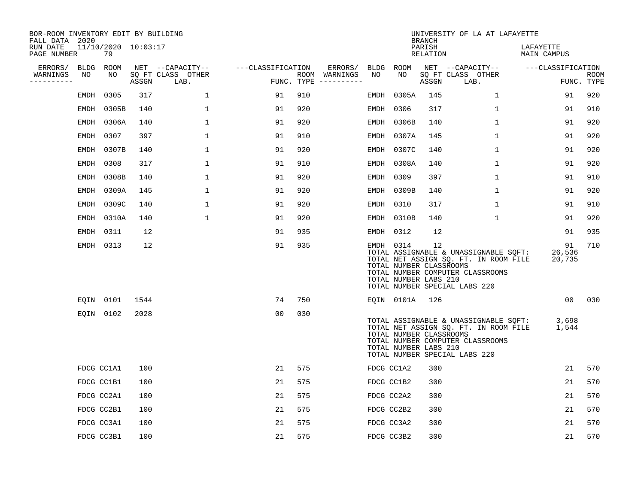| BOR-ROOM INVENTORY EDIT BY BUILDING<br>FALL DATA 2020 |                           |      |                                 |                   |     |                                      |            |                                                  | <b>BRANCH</b>      | UNIVERSITY OF LA AT LAFAYETTE                                                                                                                             |                          |                           |
|-------------------------------------------------------|---------------------------|------|---------------------------------|-------------------|-----|--------------------------------------|------------|--------------------------------------------------|--------------------|-----------------------------------------------------------------------------------------------------------------------------------------------------------|--------------------------|---------------------------|
| RUN DATE<br>PAGE NUMBER                               | 11/10/2020 10:03:17<br>79 |      |                                 |                   |     |                                      |            |                                                  | PARISH<br>RELATION |                                                                                                                                                           | LAFAYETTE<br>MAIN CAMPUS |                           |
| ERRORS/ BLDG ROOM                                     |                           |      | NET --CAPACITY--                | ---CLASSIFICATION |     | ERRORS/                              | BLDG ROOM  |                                                  |                    | NET --CAPACITY-- ---CLASSIFICATION                                                                                                                        |                          |                           |
| WARNINGS<br>NO<br>----------                          | NO                        |      | SQ FT CLASS OTHER<br>ASSGN LAB. |                   |     | ROOM WARNINGS<br>FUNC. TYPE $------$ | NO         | NO.                                              | ASSGN              | SQ FT CLASS OTHER<br>LAB.                                                                                                                                 |                          | <b>ROOM</b><br>FUNC. TYPE |
| EMDH                                                  | 0305                      | 317  | $\mathbf{1}$                    | 91                | 910 |                                      | EMDH       | 0305A                                            | 145                | $\mathbf{1}$                                                                                                                                              | 91                       | 920                       |
|                                                       | EMDH 0305B                | 140  | $\mathbf{1}$                    | 91                | 920 |                                      | EMDH       | 0306                                             | 317                | $\mathbf{1}$                                                                                                                                              | 91                       | 910                       |
|                                                       | EMDH 0306A                | 140  | $\mathbf 1$                     | 91                | 920 |                                      | EMDH       | 0306B                                            | 140                | $\mathbf{1}$                                                                                                                                              | 91                       | 920                       |
|                                                       | EMDH 0307                 | 397  | $\mathbf 1$                     | 91                | 910 |                                      | EMDH       | 0307A                                            | 145                | $\mathbf{1}$                                                                                                                                              | 91                       | 920                       |
|                                                       | EMDH 0307B                | 140  | $\mathbf 1$                     | 91                | 920 |                                      |            | EMDH 0307C                                       | 140                | $\mathbf 1$                                                                                                                                               | 91                       | 920                       |
|                                                       | EMDH 0308                 | 317  | $\mathbf{1}$                    | 91                | 910 |                                      |            | EMDH 0308A                                       | 140                | $\mathbf{1}$                                                                                                                                              | 91                       | 920                       |
|                                                       | EMDH 0308B                | 140  | $\mathbf 1$                     | 91                | 920 |                                      | EMDH 0309  |                                                  | 397                | $\mathbf{1}$                                                                                                                                              | 91                       | 910                       |
|                                                       | EMDH 0309A                | 145  | $\mathbf 1$                     | 91                | 920 |                                      |            | EMDH 0309B                                       | 140                | $\mathbf{1}$                                                                                                                                              | 91                       | 920                       |
|                                                       | EMDH 0309C                | 140  | $\mathbf{1}$                    | 91                | 920 |                                      | EMDH       | 0310                                             | 317                | $\mathbf{1}$                                                                                                                                              | 91                       | 910                       |
|                                                       | EMDH 0310A                | 140  | $\mathbf{1}$                    | 91                | 920 |                                      |            | EMDH 0310B                                       | 140                | $\mathbf 1$                                                                                                                                               | 91                       | 920                       |
|                                                       | EMDH 0311                 | 12   |                                 | 91                | 935 |                                      | EMDH 0312  |                                                  | 12                 |                                                                                                                                                           | 91                       | 935                       |
|                                                       | EMDH 0313                 | 12   |                                 | 91                | 935 |                                      | EMDH 0314  | TOTAL NUMBER CLASSROOMS<br>TOTAL NUMBER LABS 210 | 12                 | TOTAL ASSIGNABLE & UNASSIGNABLE SOFT:<br>TOTAL NET ASSIGN SQ. FT. IN ROOM FILE<br>TOTAL NUMBER COMPUTER CLASSROOMS<br>TOTAL NUMBER SPECIAL LABS 220       | 91<br>26,536<br>20,735   | 710                       |
|                                                       | EQIN 0101                 | 1544 |                                 | 74                | 750 |                                      |            | EQIN 0101A 126                                   |                    |                                                                                                                                                           |                          | 00 030                    |
|                                                       | EQIN 0102                 | 2028 |                                 | 0 <sub>0</sub>    | 030 |                                      |            | TOTAL NUMBER CLASSROOMS<br>TOTAL NUMBER LABS 210 |                    | TOTAL ASSIGNABLE & UNASSIGNABLE SOFT: 3,698<br>TOTAL NET ASSIGN SO. FT. IN ROOM FILE<br>TOTAL NUMBER COMPUTER CLASSROOMS<br>TOTAL NUMBER SPECIAL LABS 220 | 1,544                    |                           |
|                                                       | FDCG CC1A1                | 100  |                                 | 21                | 575 |                                      | FDCG CC1A2 |                                                  | 300                |                                                                                                                                                           | 21                       | 570                       |
|                                                       | FDCG CC1B1                | 100  |                                 | 21                | 575 |                                      | FDCG CC1B2 |                                                  | 300                |                                                                                                                                                           | 21                       | 570                       |
|                                                       | FDCG CC2A1                | 100  |                                 | 21                | 575 |                                      | FDCG CC2A2 |                                                  | 300                |                                                                                                                                                           | 21                       | 570                       |
|                                                       | FDCG CC2B1                | 100  |                                 | 21                | 575 |                                      | FDCG CC2B2 |                                                  | 300                |                                                                                                                                                           | 21                       | 570                       |
|                                                       | FDCG CC3A1                | 100  |                                 | 21                | 575 |                                      | FDCG CC3A2 |                                                  | 300                |                                                                                                                                                           | 21                       | 570                       |
|                                                       | FDCG CC3B1                | 100  |                                 | 21                | 575 |                                      | FDCG CC3B2 |                                                  | 300                |                                                                                                                                                           | 21                       | 570                       |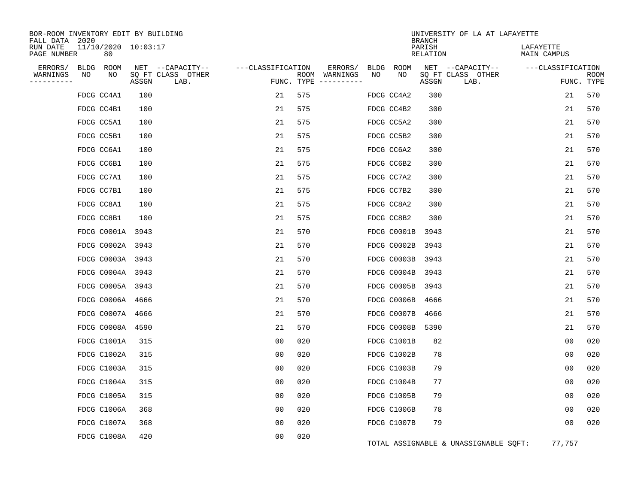| BOR-ROOM INVENTORY EDIT BY BUILDING<br>FALL DATA 2020 |                           |       |                           |                   |            |                              |            |             | <b>BRANCH</b>      | UNIVERSITY OF LA AT LAFAYETTE         |                          |             |
|-------------------------------------------------------|---------------------------|-------|---------------------------|-------------------|------------|------------------------------|------------|-------------|--------------------|---------------------------------------|--------------------------|-------------|
| RUN DATE<br>PAGE NUMBER                               | 11/10/2020 10:03:17<br>80 |       |                           |                   |            |                              |            |             | PARISH<br>RELATION |                                       | LAFAYETTE<br>MAIN CAMPUS |             |
| ERRORS/<br>BLDG<br>WARNINGS<br>NO                     | ROOM<br>NO                |       | NET --CAPACITY--          | ---CLASSIFICATION |            | ERRORS/                      | BLDG<br>NO | ROOM<br>NO  |                    | NET --CAPACITY--                      | ---CLASSIFICATION        | <b>ROOM</b> |
| ----------                                            |                           | ASSGN | SQ FT CLASS OTHER<br>LAB. |                   | FUNC. TYPE | ROOM WARNINGS<br>----------- |            |             | ASSGN              | SQ FT CLASS OTHER<br>LAB.             |                          | FUNC. TYPE  |
|                                                       | FDCG CC4A1                | 100   |                           | 21                | 575        |                              |            | FDCG CC4A2  | 300                |                                       | 21                       | 570         |
|                                                       | FDCG CC4B1                | 100   |                           | 21                | 575        |                              |            | FDCG CC4B2  | 300                |                                       | 21                       | 570         |
|                                                       | FDCG CC5A1                | 100   |                           | 21                | 575        |                              |            | FDCG CC5A2  | 300                |                                       | 21                       | 570         |
|                                                       | FDCG CC5B1                | 100   |                           | 21                | 575        |                              |            | FDCG CC5B2  | 300                |                                       | 21                       | 570         |
|                                                       | FDCG CC6A1                | 100   |                           | 21                | 575        |                              |            | FDCG CC6A2  | 300                |                                       | 21                       | 570         |
|                                                       | FDCG CC6B1                | 100   |                           | 21                | 575        |                              |            | FDCG CC6B2  | 300                |                                       | 21                       | 570         |
|                                                       | FDCG CC7A1                | 100   |                           | 21                | 575        |                              |            | FDCG CC7A2  | 300                |                                       | 21                       | 570         |
|                                                       | FDCG CC7B1                | 100   |                           | 21                | 575        |                              |            | FDCG CC7B2  | 300                |                                       | 21                       | 570         |
|                                                       | FDCG CC8A1                | 100   |                           | 21                | 575        |                              |            | FDCG CC8A2  | 300                |                                       | 21                       | 570         |
|                                                       | FDCG CC8B1                | 100   |                           | 21                | 575        |                              |            | FDCG CC8B2  | 300                |                                       | 21                       | 570         |
|                                                       | FDCG C0001A 3943          |       |                           | 21                | 570        |                              |            | FDCG C0001B | 3943               |                                       | 21                       | 570         |
|                                                       | FDCG C0002A 3943          |       |                           | 21                | 570        |                              |            | FDCG C0002B | 3943               |                                       | 21                       | 570         |
|                                                       | FDCG C0003A 3943          |       |                           | 21                | 570        |                              |            | FDCG C0003B | 3943               |                                       | 21                       | 570         |
|                                                       | FDCG C0004A 3943          |       |                           | 21                | 570        |                              |            | FDCG C0004B | 3943               |                                       | 21                       | 570         |
|                                                       | FDCG C0005A 3943          |       |                           | 21                | 570        |                              |            | FDCG C0005B | 3943               |                                       | 21                       | 570         |
|                                                       | FDCG C0006A 4666          |       |                           | 21                | 570        |                              |            | FDCG C0006B | 4666               |                                       | 21                       | 570         |
|                                                       | FDCG C0007A 4666          |       |                           | 21                | 570        |                              |            | FDCG C0007B | 4666               |                                       | 21                       | 570         |
|                                                       | FDCG C0008A 4590          |       |                           | 21                | 570        |                              |            | FDCG C0008B | 5390               |                                       | 21                       | 570         |
|                                                       | FDCG C1001A               | 315   |                           | 0 <sub>0</sub>    | 020        |                              |            | FDCG C1001B | 82                 |                                       | 0 <sub>0</sub>           | 020         |
|                                                       | FDCG C1002A               | 315   |                           | 0 <sub>0</sub>    | 020        |                              |            | FDCG C1002B | 78                 |                                       | 0 <sub>0</sub>           | 020         |
|                                                       | FDCG C1003A               | 315   |                           | 0 <sub>0</sub>    | 020        |                              |            | FDCG C1003B | 79                 |                                       | 0 <sub>0</sub>           | 020         |
|                                                       | FDCG C1004A               | 315   |                           | 0 <sub>0</sub>    | 020        |                              |            | FDCG C1004B | 77                 |                                       | 0 <sub>0</sub>           | 020         |
|                                                       | FDCG C1005A               | 315   |                           | 00                | 020        |                              |            | FDCG C1005B | 79                 |                                       | 0 <sub>0</sub>           | 020         |
|                                                       | FDCG C1006A               | 368   |                           | 00                | 020        |                              |            | FDCG C1006B | 78                 |                                       | 0 <sub>0</sub>           | 020         |
|                                                       | FDCG C1007A               | 368   |                           | 00                | 020        |                              |            | FDCG C1007B | 79                 |                                       | 00                       | 020         |
|                                                       | FDCG C1008A               | 420   |                           | 0 <sub>0</sub>    | 020        |                              |            |             |                    | TOTAL ASSIGNABLE & UNASSIGNABLE SQFT: | 77,757                   |             |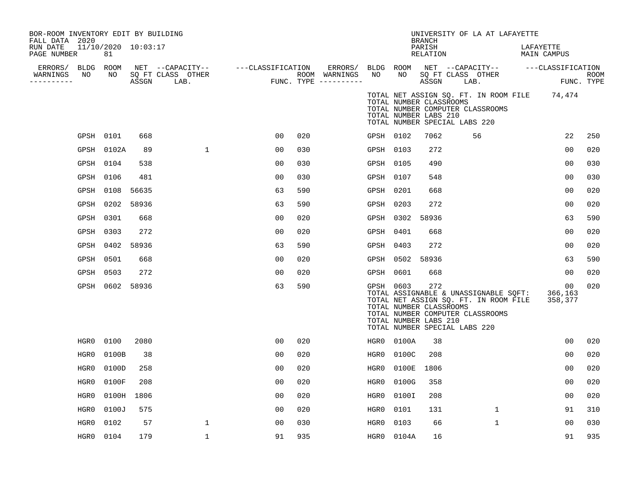| BOR-ROOM INVENTORY EDIT BY BUILDING<br>FALL DATA 2020 |           |                               |       |                                                                 |                |     |                                                             |           |                 | <b>BRANCH</b>                                                                            |      | UNIVERSITY OF LA AT LAFAYETTE                                                                                      |                                              |                           |
|-------------------------------------------------------|-----------|-------------------------------|-------|-----------------------------------------------------------------|----------------|-----|-------------------------------------------------------------|-----------|-----------------|------------------------------------------------------------------------------------------|------|--------------------------------------------------------------------------------------------------------------------|----------------------------------------------|---------------------------|
| RUN DATE<br>PAGE NUMBER                               |           | $11/10/2020$ $10:03:17$<br>81 |       |                                                                 |                |     |                                                             |           |                 | PARISH<br>RELATION                                                                       |      |                                                                                                                    | LAFAYETTE<br>MAIN CAMPUS                     |                           |
| ERRORS/ BLDG ROOM<br>WARNINGS<br>----------           | NO        | NO                            | ASSGN | NET --CAPACITY-- ---CLASSIFICATION<br>SQ FT CLASS OTHER<br>LAB. |                |     | ERRORS/ BLDG ROOM<br>ROOM WARNINGS<br>FUNC. TYPE ---------- | NO        | NO              | ASSGN                                                                                    | LAB. | SQ FT CLASS OTHER                                                                                                  | NET --CAPACITY-- ---CLASSIFICATION           | <b>ROOM</b><br>FUNC. TYPE |
|                                                       |           |                               |       |                                                                 |                |     |                                                             |           |                 | TOTAL NUMBER CLASSROOMS<br>TOTAL NUMBER LABS 210<br>TOTAL NUMBER SPECIAL LABS 220        |      | TOTAL NUMBER COMPUTER CLASSROOMS                                                                                   | TOTAL NET ASSIGN SQ. FT. IN ROOM FILE 74,474 |                           |
|                                                       | GPSH 0101 |                               | 668   |                                                                 | 00             | 020 |                                                             | GPSH 0102 |                 | 7062                                                                                     |      | 56                                                                                                                 | 22                                           | 250                       |
|                                                       |           | GPSH 0102A                    | 89    | $\mathbf{1}$                                                    | 00             | 030 |                                                             | GPSH 0103 |                 | 272                                                                                      |      |                                                                                                                    | 0 <sub>0</sub>                               | 020                       |
|                                                       | GPSH 0104 |                               | 538   |                                                                 | 0 <sub>0</sub> | 030 |                                                             | GPSH 0105 |                 | 490                                                                                      |      |                                                                                                                    | 0 <sub>0</sub>                               | 030                       |
|                                                       | GPSH 0106 |                               | 481   |                                                                 | 00             | 030 |                                                             | GPSH 0107 |                 | 548                                                                                      |      |                                                                                                                    | 0 <sub>0</sub>                               | 030                       |
|                                                       | GPSH 0108 |                               | 56635 |                                                                 | 63             | 590 |                                                             | GPSH 0201 |                 | 668                                                                                      |      |                                                                                                                    | 00                                           | 020                       |
|                                                       | GPSH      | 0202 58936                    |       |                                                                 | 63             | 590 |                                                             | GPSH 0203 |                 | 272                                                                                      |      |                                                                                                                    | 00                                           | 020                       |
|                                                       | GPSH 0301 |                               | 668   |                                                                 | 0 <sub>0</sub> | 020 |                                                             | GPSH 0302 |                 | 58936                                                                                    |      |                                                                                                                    | 63                                           | 590                       |
|                                                       | GPSH      | 0303                          | 272   |                                                                 | 0 <sub>0</sub> | 020 |                                                             | GPSH 0401 |                 | 668                                                                                      |      |                                                                                                                    | 0 <sub>0</sub>                               | 020                       |
|                                                       |           | GPSH 0402 58936               |       |                                                                 | 63             | 590 |                                                             | GPSH 0403 |                 | 272                                                                                      |      |                                                                                                                    | 00                                           | 020                       |
|                                                       | GPSH 0501 |                               | 668   |                                                                 | 00             | 020 |                                                             |           | GPSH 0502 58936 |                                                                                          |      |                                                                                                                    | 63                                           | 590                       |
|                                                       | GPSH      | 0503                          | 272   |                                                                 | 00             | 020 |                                                             | GPSH 0601 |                 | 668                                                                                      |      |                                                                                                                    | 00                                           | 020                       |
|                                                       |           | GPSH 0602 58936               |       |                                                                 | 63             | 590 |                                                             | GPSH 0603 |                 | 272<br>TOTAL NUMBER CLASSROOMS<br>TOTAL NUMBER LABS 210<br>TOTAL NUMBER SPECIAL LABS 220 |      | TOTAL ASSIGNABLE & UNASSIGNABLE SQFT:<br>TOTAL NET ASSIGN SQ. FT. IN ROOM FILE<br>TOTAL NUMBER COMPUTER CLASSROOMS | 00<br>366,163<br>358,377                     | 020                       |
|                                                       | HGR0      | 0100                          | 2080  |                                                                 | 0 <sub>0</sub> | 020 |                                                             |           | HGR0 0100A      | 38                                                                                       |      |                                                                                                                    | 0 <sub>0</sub>                               | 020                       |
|                                                       | HGR0      | 0100B                         | 38    |                                                                 | 00             | 020 |                                                             | HGR0      | 0100C           | 208                                                                                      |      |                                                                                                                    | 0 <sub>0</sub>                               | 020                       |
|                                                       | HGR0      | 0100D                         | 258   |                                                                 | 00             | 020 |                                                             | HGR0      | 0100E           | 1806                                                                                     |      |                                                                                                                    | 00                                           | 020                       |
|                                                       | HGR0      | 0100F                         | 208   |                                                                 | 0 <sub>0</sub> | 020 |                                                             | HGR0      | 0100G           | 358                                                                                      |      |                                                                                                                    | 0 <sub>0</sub>                               | 020                       |
|                                                       | HGR0      | 0100H                         | 1806  |                                                                 | 0 <sup>0</sup> | 020 |                                                             | HGR0      | 0100I           | 208                                                                                      |      |                                                                                                                    | 0 <sub>0</sub>                               | 020                       |
|                                                       | HGR0      | 0100J                         | 575   |                                                                 | 0 <sub>0</sub> | 020 |                                                             | HGR0      | 0101            | 131                                                                                      |      | $\mathbf{1}$                                                                                                       | 91                                           | 310                       |
|                                                       | HGR0      | 0102                          | 57    | $\mathbf 1$                                                     | 0 <sub>0</sub> | 030 |                                                             | HGR0      | 0103            | 66                                                                                       |      | $\mathbf{1}$                                                                                                       | 0 <sub>0</sub>                               | 030                       |
|                                                       | HGR0 0104 |                               | 179   | 1                                                               | 91             | 935 |                                                             |           | HGR0 0104A      | 16                                                                                       |      |                                                                                                                    | 91                                           | 935                       |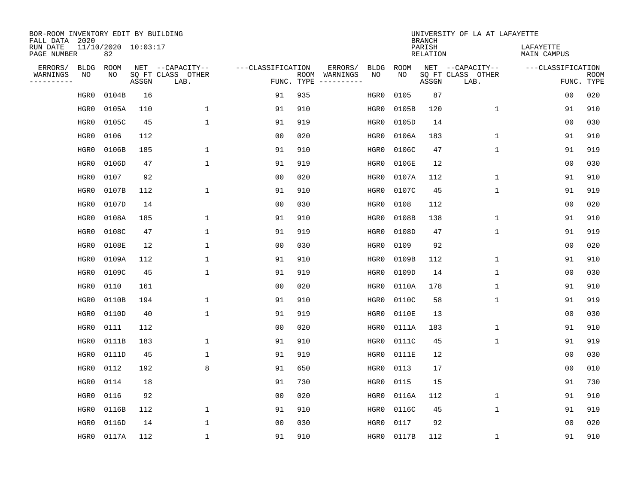| BOR-ROOM INVENTORY EDIT BY BUILDING<br>FALL DATA 2020 |                           |       |                           |                   |            |               |             |             | <b>BRANCH</b>             | UNIVERSITY OF LA AT LAFAYETTE |                          |                           |
|-------------------------------------------------------|---------------------------|-------|---------------------------|-------------------|------------|---------------|-------------|-------------|---------------------------|-------------------------------|--------------------------|---------------------------|
| RUN DATE<br>PAGE NUMBER                               | 11/10/2020 10:03:17<br>82 |       |                           |                   |            |               |             |             | PARISH<br><b>RELATION</b> |                               | LAFAYETTE<br>MAIN CAMPUS |                           |
| ERRORS/<br><b>BLDG</b>                                | <b>ROOM</b>               |       | NET --CAPACITY--          | ---CLASSIFICATION |            | ERRORS/       | <b>BLDG</b> | <b>ROOM</b> |                           | NET --CAPACITY--              | ---CLASSIFICATION        |                           |
| WARNINGS<br>ΝO<br>----------                          | NO                        | ASSGN | SQ FT CLASS OTHER<br>LAB. |                   | FUNC. TYPE | ROOM WARNINGS | NO          | NO          | ASSGN                     | SQ FT CLASS OTHER<br>LAB.     |                          | <b>ROOM</b><br>FUNC. TYPE |
| HGR0                                                  | 0104B                     | 16    |                           | 91                | 935        |               | HGR0        | 0105        | 87                        |                               | 0 <sub>0</sub>           | 020                       |
| HGR0                                                  | 0105A                     | 110   | $\mathbf{1}$              | 91                | 910        |               | HGR0        | 0105B       | 120                       | $\mathbf 1$                   | 91                       | 910                       |
| HGR0                                                  | 0105C                     | 45    | $\mathbf{1}$              | 91                | 919        |               | HGR0        | 0105D       | 14                        |                               | 0 <sub>0</sub>           | 030                       |
| HGR0                                                  | 0106                      | 112   |                           | 0 <sub>0</sub>    | 020        |               | HGR0        | 0106A       | 183                       | $\mathbf 1$                   | 91                       | 910                       |
| HGR0                                                  | 0106B                     | 185   | $\mathbf{1}$              | 91                | 910        |               | HGR0        | 0106C       | 47                        | $\mathbf 1$                   | 91                       | 919                       |
| HGR0                                                  | 0106D                     | 47    | $\mathbf{1}$              | 91                | 919        |               | HGR0        | 0106E       | 12                        |                               | 0 <sub>0</sub>           | 030                       |
| HGR0                                                  | 0107                      | 92    |                           | 0 <sub>0</sub>    | 020        |               | HGR0        | 0107A       | 112                       | $\mathbf 1$                   | 91                       | 910                       |
| HGR0                                                  | 0107B                     | 112   | $\mathbf{1}$              | 91                | 910        |               | HGR0        | 0107C       | 45                        | $\mathbf{1}$                  | 91                       | 919                       |
| HGR0                                                  | 0107D                     | 14    |                           | 0 <sub>0</sub>    | 030        |               | HGR0        | 0108        | 112                       |                               | 0 <sub>0</sub>           | 020                       |
| HGR0                                                  | 0108A                     | 185   | $\mathbf{1}$              | 91                | 910        |               | HGR0        | 0108B       | 138                       | $\mathbf 1$                   | 91                       | 910                       |
| HGR0                                                  | 0108C                     | 47    | $\mathbf{1}$              | 91                | 919        |               | HGR0        | 0108D       | 47                        | $\mathbf{1}$                  | 91                       | 919                       |
| HGR0                                                  | 0108E                     | 12    | $\mathbf{1}$              | 0 <sub>0</sub>    | 030        |               | HGR0        | 0109        | 92                        |                               | 0 <sub>0</sub>           | 020                       |
| HGR0                                                  | 0109A                     | 112   | $\mathbf{1}$              | 91                | 910        |               | HGR0        | 0109B       | 112                       | $\mathbf 1$                   | 91                       | 910                       |
| HGR0                                                  | 0109C                     | 45    | $\mathbf{1}$              | 91                | 919        |               | HGR0        | 0109D       | 14                        | 1                             | 00                       | 030                       |
| HGR0                                                  | 0110                      | 161   |                           | 0 <sub>0</sub>    | 020        |               | HGR0        | 0110A       | 178                       | 1                             | 91                       | 910                       |
| HGR0                                                  | 0110B                     | 194   | 1                         | 91                | 910        |               | HGR0        | 0110C       | 58                        | $\mathbf 1$                   | 91                       | 919                       |
| HGR0                                                  | 0110D                     | 40    | $\mathbf{1}$              | 91                | 919        |               | HGR0        | 0110E       | 13                        |                               | 0 <sub>0</sub>           | 030                       |
| HGR0                                                  | 0111                      | 112   |                           | 0 <sub>0</sub>    | 020        |               | HGR0        | 0111A       | 183                       | $\mathbf 1$                   | 91                       | 910                       |
| HGR0                                                  | 0111B                     | 183   | $\mathbf{1}$              | 91                | 910        |               | HGR0        | 0111C       | 45                        | $\mathbf{1}$                  | 91                       | 919                       |
| HGR0                                                  | 0111D                     | 45    | 1                         | 91                | 919        |               | HGR0        | 0111E       | 12                        |                               | 0 <sub>0</sub>           | 030                       |
| HGR0                                                  | 0112                      | 192   | 8                         | 91                | 650        |               | HGR0        | 0113        | 17                        |                               | 0 <sub>0</sub>           | 010                       |
| HGR0                                                  | 0114                      | 18    |                           | 91                | 730        |               | HGR0        | 0115        | 15                        |                               | 91                       | 730                       |
| HGR0                                                  | 0116                      | 92    |                           | 0 <sub>0</sub>    | 020        |               | HGR0        | 0116A       | 112                       | $\mathbf 1$                   | 91                       | 910                       |
| HGR0                                                  | 0116B                     | 112   | $\mathbf{1}$              | 91                | 910        |               | HGR0        | 0116C       | 45                        | $\mathbf{1}$                  | 91                       | 919                       |
| HGR0                                                  | 0116D                     | 14    | $\mathbf{1}$              | 0 <sub>0</sub>    | 030        |               | HGR0        | 0117        | 92                        |                               | 0 <sub>0</sub>           | 020                       |
| HGR0                                                  | 0117A                     | 112   | $\mathbf{1}$              | 91                | 910        |               | HGR0        | 0117B       | 112                       | 1                             | 91                       | 910                       |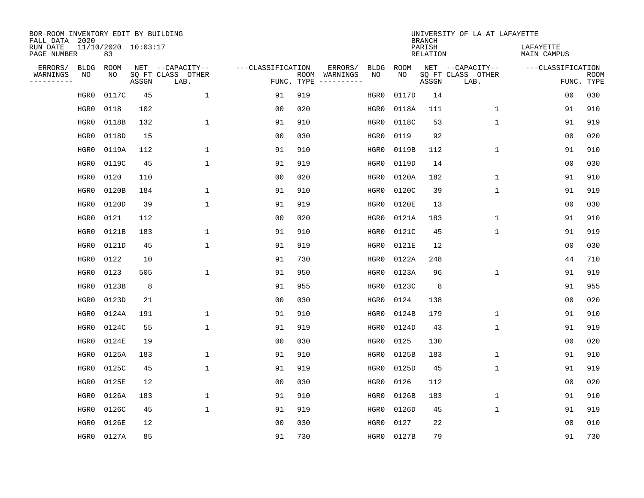| BOR-ROOM INVENTORY EDIT BY BUILDING<br>FALL DATA 2020 |      |                           |       |                           |                   |      |          |             |             | <b>BRANCH</b>             | UNIVERSITY OF LA AT LAFAYETTE |                          |                           |
|-------------------------------------------------------|------|---------------------------|-------|---------------------------|-------------------|------|----------|-------------|-------------|---------------------------|-------------------------------|--------------------------|---------------------------|
| RUN DATE<br>PAGE NUMBER                               |      | 11/10/2020 10:03:17<br>83 |       |                           |                   |      |          |             |             | PARISH<br><b>RELATION</b> |                               | LAFAYETTE<br>MAIN CAMPUS |                           |
| ERRORS/                                               | BLDG | ROOM                      |       | NET --CAPACITY--          | ---CLASSIFICATION |      | ERRORS/  | <b>BLDG</b> | <b>ROOM</b> |                           | NET --CAPACITY--              | ---CLASSIFICATION        |                           |
| WARNINGS<br>----------                                | ΝO   | NO                        | ASSGN | SQ FT CLASS OTHER<br>LAB. | FUNC. TYPE        | ROOM | WARNINGS | NO          | NO          | ASSGN                     | SQ FT CLASS OTHER<br>LAB.     |                          | <b>ROOM</b><br>FUNC. TYPE |
|                                                       | HGR0 | 0117C                     | 45    | $\mathbf 1$               | 91                | 919  |          | HGR0        | 0117D       | 14                        |                               | 00                       | 030                       |
|                                                       | HGR0 | 0118                      | 102   |                           | 00                | 020  |          | HGR0        | 0118A       | 111                       | 1                             | 91                       | 910                       |
|                                                       | HGR0 | 0118B                     | 132   | $\mathbf{1}$              | 91                | 910  |          | HGR0        | 0118C       | 53                        | $\mathbf 1$                   | 91                       | 919                       |
|                                                       | HGR0 | 0118D                     | 15    |                           | 0 <sub>0</sub>    | 030  |          | HGR0        | 0119        | 92                        |                               | 0 <sub>0</sub>           | 020                       |
|                                                       | HGR0 | 0119A                     | 112   | $\mathbf 1$               | 91                | 910  |          | HGR0        | 0119B       | 112                       | $\mathbf 1$                   | 91                       | 910                       |
|                                                       | HGR0 | 0119C                     | 45    | $\mathbf{1}$              | 91                | 919  |          | HGR0        | 0119D       | 14                        |                               | 0 <sub>0</sub>           | 030                       |
|                                                       | HGR0 | 0120                      | 110   |                           | 0 <sub>0</sub>    | 020  |          | HGR0        | 0120A       | 182                       | $\mathbf{1}$                  | 91                       | 910                       |
|                                                       | HGR0 | 0120B                     | 184   | $\mathbf{1}$              | 91                | 910  |          | HGR0        | 0120C       | 39                        | $\mathbf{1}$                  | 91                       | 919                       |
|                                                       | HGR0 | 0120D                     | 39    | $\mathbf{1}$              | 91                | 919  |          | HGR0        | 0120E       | 13                        |                               | 0 <sub>0</sub>           | 030                       |
|                                                       | HGR0 | 0121                      | 112   |                           | 00                | 020  |          | HGR0        | 0121A       | 183                       | 1                             | 91                       | 910                       |
|                                                       | HGR0 | 0121B                     | 183   | $\mathbf{1}$              | 91                | 910  |          | HGR0        | 0121C       | 45                        | $\mathbf 1$                   | 91                       | 919                       |
|                                                       | HGR0 | 0121D                     | 45    | $\mathbf{1}$              | 91                | 919  |          | HGR0        | 0121E       | 12                        |                               | 0 <sub>0</sub>           | 030                       |
|                                                       | HGR0 | 0122                      | 10    |                           | 91                | 730  |          | HGR0        | 0122A       | 248                       |                               | 44                       | 710                       |
|                                                       | HGR0 | 0123                      | 505   | 1                         | 91                | 950  |          | HGR0        | 0123A       | 96                        | $\mathbf 1$                   | 91                       | 919                       |
|                                                       | HGR0 | 0123B                     | 8     |                           | 91                | 955  |          | HGR0        | 0123C       | 8                         |                               | 91                       | 955                       |
|                                                       | HGR0 | 0123D                     | 21    |                           | 0 <sub>0</sub>    | 030  |          | HGR0        | 0124        | 138                       |                               | 0 <sub>0</sub>           | 020                       |
|                                                       | HGR0 | 0124A                     | 191   | 1                         | 91                | 910  |          | HGR0        | 0124B       | 179                       | 1                             | 91                       | 910                       |
|                                                       | HGR0 | 0124C                     | 55    | 1                         | 91                | 919  |          | HGR0        | 0124D       | 43                        | $\mathbf 1$                   | 91                       | 919                       |
|                                                       | HGR0 | 0124E                     | 19    |                           | 0 <sub>0</sub>    | 030  |          | HGR0        | 0125        | 130                       |                               | 0 <sub>0</sub>           | 020                       |
|                                                       | HGR0 | 0125A                     | 183   | 1                         | 91                | 910  |          | HGR0        | 0125B       | 183                       | 1                             | 91                       | 910                       |
|                                                       | HGR0 | 0125C                     | 45    | 1                         | 91                | 919  |          | HGR0        | 0125D       | 45                        | $\mathbf 1$                   | 91                       | 919                       |
|                                                       | HGR0 | 0125E                     | 12    |                           | 0 <sub>0</sub>    | 030  |          | HGR0        | 0126        | 112                       |                               | 0 <sub>0</sub>           | 020                       |
|                                                       | HGR0 | 0126A                     | 183   | $\mathbf{1}$              | 91                | 910  |          | HGR0        | 0126B       | 183                       | $\mathbf 1$                   | 91                       | 910                       |
|                                                       | HGR0 | 0126C                     | 45    | $\mathbf{1}$              | 91                | 919  |          | HGR0        | 0126D       | 45                        | $\mathbf{1}$                  | 91                       | 919                       |
|                                                       | HGR0 | 0126E                     | 12    |                           | 0 <sub>0</sub>    | 030  |          | HGR0        | 0127        | 22                        |                               | 0 <sub>0</sub>           | 010                       |
|                                                       | HGR0 | 0127A                     | 85    |                           | 91                | 730  |          | HGR0        | 0127B       | 79                        |                               | 91                       | 730                       |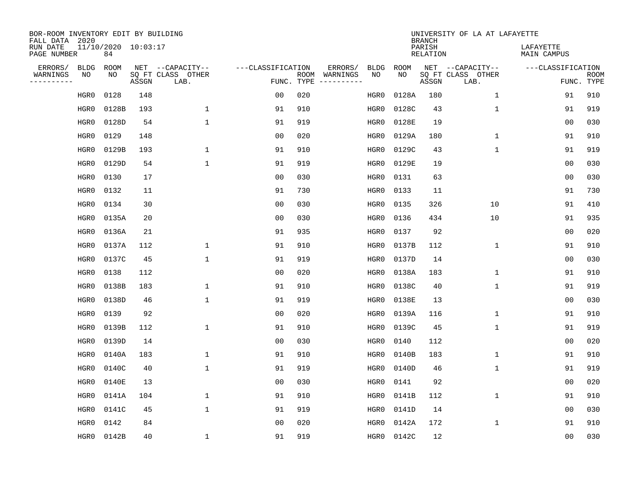| BOR-ROOM INVENTORY EDIT BY BUILDING<br>FALL DATA 2020 |      |                           |       |                           |                   |                    |          |             |             | <b>BRANCH</b>             | UNIVERSITY OF LA AT LAFAYETTE |                          |                           |
|-------------------------------------------------------|------|---------------------------|-------|---------------------------|-------------------|--------------------|----------|-------------|-------------|---------------------------|-------------------------------|--------------------------|---------------------------|
| RUN DATE<br>PAGE NUMBER                               |      | 11/10/2020 10:03:17<br>84 |       |                           |                   |                    |          |             |             | PARISH<br><b>RELATION</b> |                               | LAFAYETTE<br>MAIN CAMPUS |                           |
| ERRORS/                                               | BLDG | ROOM                      |       | NET --CAPACITY--          | ---CLASSIFICATION |                    | ERRORS/  | <b>BLDG</b> | <b>ROOM</b> |                           | NET --CAPACITY--              | ---CLASSIFICATION        |                           |
| WARNINGS<br>----------                                | ΝO   | NO                        | ASSGN | SQ FT CLASS OTHER<br>LAB. |                   | ROOM<br>FUNC. TYPE | WARNINGS | NO          | NO          | ASSGN                     | SQ FT CLASS OTHER<br>LAB.     |                          | <b>ROOM</b><br>FUNC. TYPE |
|                                                       | HGR0 | 0128                      | 148   |                           | 00                | 020                |          | HGR0        | 0128A       | 180                       | 1                             | 91                       | 910                       |
|                                                       | HGR0 | 0128B                     | 193   | 1                         | 91                | 910                |          | HGR0        | 0128C       | 43                        | 1                             | 91                       | 919                       |
|                                                       | HGR0 | 0128D                     | 54    | 1                         | 91                | 919                |          | HGR0        | 0128E       | 19                        |                               | 0 <sub>0</sub>           | 030                       |
|                                                       | HGR0 | 0129                      | 148   |                           | 0 <sub>0</sub>    | 020                |          | HGR0        | 0129A       | 180                       | $\mathbf 1$                   | 91                       | 910                       |
|                                                       | HGR0 | 0129B                     | 193   | $\mathbf 1$               | 91                | 910                |          | HGR0        | 0129C       | 43                        | $\mathbf{1}$                  | 91                       | 919                       |
|                                                       | HGR0 | 0129D                     | 54    | $\mathbf{1}$              | 91                | 919                |          | HGR0        | 0129E       | 19                        |                               | 0 <sub>0</sub>           | 030                       |
|                                                       | HGR0 | 0130                      | 17    |                           | 0 <sub>0</sub>    | 030                |          | HGR0        | 0131        | 63                        |                               | 0 <sub>0</sub>           | 030                       |
|                                                       | HGR0 | 0132                      | 11    |                           | 91                | 730                |          | HGR0        | 0133        | 11                        |                               | 91                       | 730                       |
|                                                       | HGR0 | 0134                      | 30    |                           | 0 <sub>0</sub>    | 030                |          | HGR0        | 0135        | 326                       | 10                            | 91                       | 410                       |
|                                                       | HGR0 | 0135A                     | 20    |                           | 0 <sub>0</sub>    | 030                |          | HGR0        | 0136        | 434                       | 10                            | 91                       | 935                       |
|                                                       | HGR0 | 0136A                     | 21    |                           | 91                | 935                |          | HGR0        | 0137        | 92                        |                               | 0 <sub>0</sub>           | 020                       |
|                                                       | HGR0 | 0137A                     | 112   | 1                         | 91                | 910                |          | HGR0        | 0137B       | 112                       | $\mathbf 1$                   | 91                       | 910                       |
|                                                       | HGR0 | 0137C                     | 45    | 1                         | 91                | 919                |          | HGR0        | 0137D       | 14                        |                               | 0 <sub>0</sub>           | 030                       |
|                                                       | HGR0 | 0138                      | 112   |                           | 0 <sub>0</sub>    | 020                |          | HGR0        | 0138A       | 183                       | 1                             | 91                       | 910                       |
|                                                       | HGR0 | 0138B                     | 183   | 1                         | 91                | 910                |          | HGR0        | 0138C       | 40                        | $\mathbf{1}$                  | 91                       | 919                       |
|                                                       | HGR0 | 0138D                     | 46    | $\mathbf{1}$              | 91                | 919                |          | HGR0        | 0138E       | 13                        |                               | 0 <sub>0</sub>           | 030                       |
|                                                       | HGR0 | 0139                      | 92    |                           | 0 <sub>0</sub>    | 020                |          | HGR0        | 0139A       | 116                       | 1                             | 91                       | 910                       |
|                                                       | HGR0 | 0139B                     | 112   | $\mathbf{1}$              | 91                | 910                |          | HGR0        | 0139C       | 45                        | $\mathbf 1$                   | 91                       | 919                       |
|                                                       | HGR0 | 0139D                     | 14    |                           | 0 <sub>0</sub>    | 030                |          | HGR0        | 0140        | 112                       |                               | 0 <sub>0</sub>           | 020                       |
|                                                       | HGR0 | 0140A                     | 183   | 1                         | 91                | 910                |          | HGR0        | 0140B       | 183                       | 1                             | 91                       | 910                       |
|                                                       | HGR0 | 0140C                     | 40    | $\mathbf{1}$              | 91                | 919                |          | HGR0        | 0140D       | 46                        | $\mathbf 1$                   | 91                       | 919                       |
|                                                       | HGR0 | 0140E                     | 13    |                           | 0 <sub>0</sub>    | 030                |          | HGR0        | 0141        | 92                        |                               | 0 <sub>0</sub>           | 020                       |
|                                                       | HGR0 | 0141A                     | 104   | $\mathbf{1}$              | 91                | 910                |          | HGR0        | 0141B       | 112                       | $\mathbf{1}$                  | 91                       | 910                       |
|                                                       | HGR0 | 0141C                     | 45    | $\mathbf{1}$              | 91                | 919                |          | HGR0        | 0141D       | 14                        |                               | 0 <sub>0</sub>           | 030                       |
|                                                       | HGR0 | 0142                      | 84    |                           | 0 <sub>0</sub>    | 020                |          | HGR0        | 0142A       | 172                       | $\mathbf{1}$                  | 91                       | 910                       |
|                                                       | HGR0 | 0142B                     | 40    | $\mathbf{1}$              | 91                | 919                |          | HGR0        | 0142C       | 12                        |                               | 0 <sub>0</sub>           | 030                       |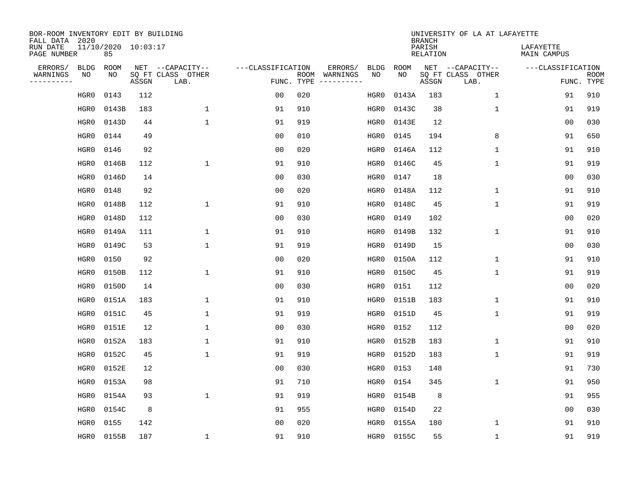| BOR-ROOM INVENTORY EDIT BY BUILDING<br>FALL DATA 2020 |             |                           |       |                           |                   |                    |                        |             |             | <b>BRANCH</b>      | UNIVERSITY OF LA AT LAFAYETTE |                          |                           |
|-------------------------------------------------------|-------------|---------------------------|-------|---------------------------|-------------------|--------------------|------------------------|-------------|-------------|--------------------|-------------------------------|--------------------------|---------------------------|
| RUN DATE<br>PAGE NUMBER                               |             | 11/10/2020 10:03:17<br>85 |       |                           |                   |                    |                        |             |             | PARISH<br>RELATION |                               | LAFAYETTE<br>MAIN CAMPUS |                           |
| ERRORS/                                               | <b>BLDG</b> | ROOM                      |       | NET --CAPACITY--          | ---CLASSIFICATION |                    | ERRORS/                | <b>BLDG</b> | <b>ROOM</b> |                    | NET --CAPACITY--              | ---CLASSIFICATION        |                           |
| WARNINGS<br>----------                                | NO          | NO                        | ASSGN | SQ FT CLASS OTHER<br>LAB. |                   | ROOM<br>FUNC. TYPE | WARNINGS<br>---------- | NO          | NO          | ASSGN              | SQ FT CLASS OTHER<br>LAB.     |                          | <b>ROOM</b><br>FUNC. TYPE |
|                                                       | HGR0        | 0143                      | 112   |                           | 00                | 020                |                        | HGR0        | 0143A       | 183                | 1                             | 91                       | 910                       |
|                                                       | HGR0        | 0143B                     | 183   | 1                         | 91                | 910                |                        | HGR0        | 0143C       | 38                 | 1                             | 91                       | 919                       |
|                                                       | HGR0        | 0143D                     | 44    | $\mathbf 1$               | 91                | 919                |                        | HGR0        | 0143E       | 12                 |                               | 00                       | 030                       |
|                                                       | HGR0        | 0144                      | 49    |                           | 0 <sub>0</sub>    | 010                |                        | HGR0        | 0145        | 194                | 8                             | 91                       | 650                       |
|                                                       | HGR0        | 0146                      | 92    |                           | 0 <sub>0</sub>    | 020                |                        | HGR0        | 0146A       | 112                | $\mathbf 1$                   | 91                       | 910                       |
|                                                       | HGR0        | 0146B                     | 112   | $\mathbf{1}$              | 91                | 910                |                        | HGR0        | 0146C       | 45                 | $\mathbf 1$                   | 91                       | 919                       |
|                                                       | HGR0        | 0146D                     | 14    |                           | 0 <sub>0</sub>    | 030                |                        | HGR0        | 0147        | 18                 |                               | 0 <sub>0</sub>           | 030                       |
|                                                       | HGR0        | 0148                      | 92    |                           | 0 <sub>0</sub>    | 020                |                        | HGR0        | 0148A       | 112                | $\mathbf{1}$                  | 91                       | 910                       |
|                                                       | HGR0        | 0148B                     | 112   | $\mathbf{1}$              | 91                | 910                |                        | HGR0        | 0148C       | 45                 | $\mathbf{1}$                  | 91                       | 919                       |
|                                                       | HGR0        | 0148D                     | 112   |                           | 0 <sub>0</sub>    | 030                |                        | HGR0        | 0149        | 102                |                               | 0 <sub>0</sub>           | 020                       |
|                                                       | HGR0        | 0149A                     | 111   | 1                         | 91                | 910                |                        | HGR0        | 0149B       | 132                | $\mathbf 1$                   | 91                       | 910                       |
|                                                       | HGR0        | 0149C                     | 53    | 1                         | 91                | 919                |                        | HGR0        | 0149D       | 15                 |                               | 0 <sub>0</sub>           | 030                       |
|                                                       | HGR0        | 0150                      | 92    |                           | 0 <sub>0</sub>    | 020                |                        | HGR0        | 0150A       | 112                | 1                             | 91                       | 910                       |
|                                                       | HGR0        | 0150B                     | 112   | 1                         | 91                | 910                |                        | HGR0        | 0150C       | 45                 | 1                             | 91                       | 919                       |
|                                                       | HGR0        | 0150D                     | 14    |                           | 0 <sub>0</sub>    | 030                |                        | HGR0        | 0151        | 112                |                               | 0 <sub>0</sub>           | 020                       |
|                                                       | HGR0        | 0151A                     | 183   | 1                         | 91                | 910                |                        | HGR0        | 0151B       | 183                | 1                             | 91                       | 910                       |
|                                                       | HGR0        | 0151C                     | 45    | 1                         | 91                | 919                |                        | HGR0        | 0151D       | 45                 | 1                             | 91                       | 919                       |
|                                                       | HGR0        | 0151E                     | 12    | 1                         | 00                | 030                |                        | HGR0        | 0152        | 112                |                               | 0 <sub>0</sub>           | 020                       |
|                                                       | HGR0        | 0152A                     | 183   | 1                         | 91                | 910                |                        | HGR0        | 0152B       | 183                | 1                             | 91                       | 910                       |
|                                                       | HGR0        | 0152C                     | 45    | 1                         | 91                | 919                |                        | HGR0        | 0152D       | 183                | 1                             | 91                       | 919                       |
|                                                       | HGR0        | 0152E                     | 12    |                           | 0 <sub>0</sub>    | 030                |                        | HGR0        | 0153        | 148                |                               | 91                       | 730                       |
|                                                       | HGR0        | 0153A                     | 98    |                           | 91                | 710                |                        | HGR0        | 0154        | 345                | 1                             | 91                       | 950                       |
|                                                       | HGR0        | 0154A                     | 93    | $\mathbf{1}$              | 91                | 919                |                        | HGR0        | 0154B       | 8                  |                               | 91                       | 955                       |
|                                                       | HGR0        | 0154C                     | 8     |                           | 91                | 955                |                        | HGR0        | 0154D       | 22                 |                               | 0 <sub>0</sub>           | 030                       |
|                                                       | HGR0        | 0155                      | 142   |                           | 0 <sub>0</sub>    | 020                |                        | HGR0        | 0155A       | 180                | 1                             | 91                       | 910                       |
|                                                       | HGR0        | 0155B                     | 187   | 1                         | 91                | 910                |                        | HGR0        | 0155C       | 55                 | 1                             | 91                       | 919                       |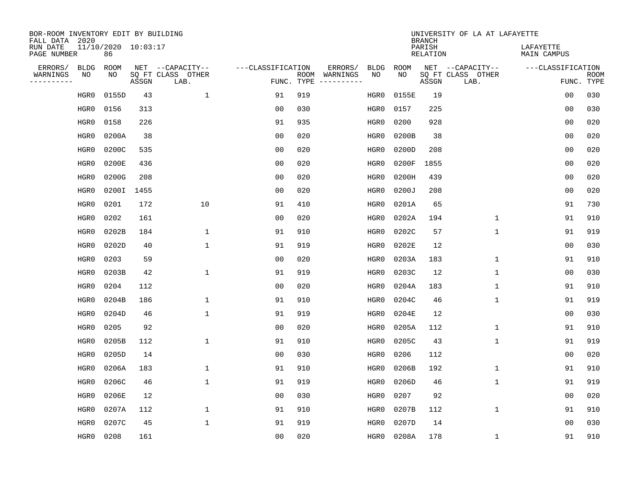| BOR-ROOM INVENTORY EDIT BY BUILDING<br>FALL DATA 2020 |      |                           |       |                           |                   |      |          |             |             | <b>BRANCH</b>             | UNIVERSITY OF LA AT LAFAYETTE |                          |                           |
|-------------------------------------------------------|------|---------------------------|-------|---------------------------|-------------------|------|----------|-------------|-------------|---------------------------|-------------------------------|--------------------------|---------------------------|
| RUN DATE<br>PAGE NUMBER                               |      | 11/10/2020 10:03:17<br>86 |       |                           |                   |      |          |             |             | PARISH<br><b>RELATION</b> |                               | LAFAYETTE<br>MAIN CAMPUS |                           |
| ERRORS/                                               | BLDG | ROOM                      |       | NET --CAPACITY--          | ---CLASSIFICATION |      | ERRORS/  | <b>BLDG</b> | <b>ROOM</b> |                           | NET --CAPACITY--              | ---CLASSIFICATION        |                           |
| WARNINGS<br>----------                                | ΝO   | NO                        | ASSGN | SQ FT CLASS OTHER<br>LAB. | FUNC. TYPE        | ROOM | WARNINGS | NO          | NO          | ASSGN                     | SQ FT CLASS OTHER<br>LAB.     |                          | <b>ROOM</b><br>FUNC. TYPE |
|                                                       | HGR0 | 0155D                     | 43    | $\mathbf{1}$              | 91                | 919  |          | HGR0        | 0155E       | 19                        |                               | 00                       | 030                       |
|                                                       | HGR0 | 0156                      | 313   |                           | 00                | 030  |          | HGR0        | 0157        | 225                       |                               | 0 <sub>0</sub>           | 030                       |
|                                                       | HGR0 | 0158                      | 226   |                           | 91                | 935  |          | HGR0        | 0200        | 928                       |                               | 0 <sub>0</sub>           | 020                       |
|                                                       | HGR0 | 0200A                     | 38    |                           | 0 <sub>0</sub>    | 020  |          | HGR0        | 0200B       | 38                        |                               | 0 <sub>0</sub>           | 020                       |
|                                                       | HGR0 | 0200C                     | 535   |                           | 0 <sub>0</sub>    | 020  |          | HGR0        | 0200D       | 208                       |                               | 0 <sub>0</sub>           | 020                       |
|                                                       | HGR0 | 0200E                     | 436   |                           | 0 <sub>0</sub>    | 020  |          | HGR0        | 0200F       | 1855                      |                               | 0 <sub>0</sub>           | 020                       |
|                                                       | HGR0 | 0200G                     | 208   |                           | 0 <sub>0</sub>    | 020  |          | HGR0        | 0200H       | 439                       |                               | 0 <sub>0</sub>           | 020                       |
|                                                       | HGR0 | 0200I                     | 1455  |                           | 0 <sub>0</sub>    | 020  |          | HGR0        | 0200J       | 208                       |                               | 0 <sub>0</sub>           | 020                       |
|                                                       | HGR0 | 0201                      | 172   | 10                        | 91                | 410  |          | HGR0        | 0201A       | 65                        |                               | 91                       | 730                       |
|                                                       | HGR0 | 0202                      | 161   |                           | 0 <sub>0</sub>    | 020  |          | HGR0        | 0202A       | 194                       | $\mathbf{1}$                  | 91                       | 910                       |
|                                                       | HGR0 | 0202B                     | 184   | $\mathbf{1}$              | 91                | 910  |          | HGR0        | 0202C       | 57                        | $\mathbf 1$                   | 91                       | 919                       |
|                                                       | HGR0 | 0202D                     | 40    | $\mathbf{1}$              | 91                | 919  |          | HGR0        | 0202E       | 12                        |                               | 0 <sub>0</sub>           | 030                       |
|                                                       | HGR0 | 0203                      | 59    |                           | 0 <sub>0</sub>    | 020  |          | HGR0        | 0203A       | 183                       | $\mathbf 1$                   | 91                       | 910                       |
|                                                       | HGR0 | 0203B                     | 42    | $\mathbf{1}$              | 91                | 919  |          | HGR0        | 0203C       | 12                        | 1                             | 0 <sub>0</sub>           | 030                       |
|                                                       | HGR0 | 0204                      | 112   |                           | 0 <sub>0</sub>    | 020  |          | HGR0        | 0204A       | 183                       | $\mathbf 1$                   | 91                       | 910                       |
|                                                       | HGR0 | 0204B                     | 186   | $\mathbf{1}$              | 91                | 910  |          | HGR0        | 0204C       | 46                        | $\mathbf 1$                   | 91                       | 919                       |
|                                                       | HGR0 | 0204D                     | 46    | $\mathbf{1}$              | 91                | 919  |          | HGR0        | 0204E       | 12                        |                               | 0 <sub>0</sub>           | 030                       |
|                                                       | HGR0 | 0205                      | 92    |                           | 0 <sub>0</sub>    | 020  |          | HGR0        | 0205A       | 112                       | 1                             | 91                       | 910                       |
|                                                       | HGR0 | 0205B                     | 112   | $\mathbf{1}$              | 91                | 910  |          | HGR0        | 0205C       | 43                        | $\mathbf 1$                   | 91                       | 919                       |
|                                                       | HGR0 | 0205D                     | 14    |                           | 0 <sub>0</sub>    | 030  |          | HGR0        | 0206        | 112                       |                               | 0 <sub>0</sub>           | 020                       |
|                                                       | HGR0 | 0206A                     | 183   | $\mathbf{1}$              | 91                | 910  |          | HGR0        | 0206B       | 192                       | $\mathbf 1$                   | 91                       | 910                       |
|                                                       | HGR0 | 0206C                     | 46    | $\mathbf{1}$              | 91                | 919  |          | HGR0        | 0206D       | 46                        | $\mathbf 1$                   | 91                       | 919                       |
|                                                       | HGR0 | 0206E                     | 12    |                           | 0 <sub>0</sub>    | 030  |          | HGR0        | 0207        | 92                        |                               | 0 <sub>0</sub>           | 020                       |
|                                                       | HGR0 | 0207A                     | 112   | $\mathbf{1}$              | 91                | 910  |          | HGR0        | 0207B       | 112                       | $\mathbf{1}$                  | 91                       | 910                       |
|                                                       | HGR0 | 0207C                     | 45    | $\mathbf{1}$              | 91                | 919  |          | HGR0        | 0207D       | 14                        |                               | 0 <sub>0</sub>           | 030                       |
|                                                       | HGR0 | 0208                      | 161   |                           | 0 <sub>0</sub>    | 020  |          | HGR0        | 0208A       | 178                       | 1                             | 91                       | 910                       |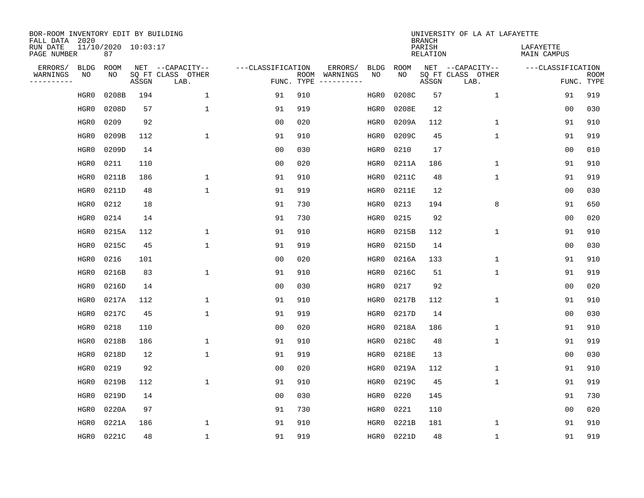| BOR-ROOM INVENTORY EDIT BY BUILDING<br>FALL DATA 2020 |                           |       |                           |                   |     |               |             |             | <b>BRANCH</b>             | UNIVERSITY OF LA AT LAFAYETTE |                          |                           |
|-------------------------------------------------------|---------------------------|-------|---------------------------|-------------------|-----|---------------|-------------|-------------|---------------------------|-------------------------------|--------------------------|---------------------------|
| RUN DATE<br>PAGE NUMBER                               | 11/10/2020 10:03:17<br>87 |       |                           |                   |     |               |             |             | PARISH<br><b>RELATION</b> |                               | LAFAYETTE<br>MAIN CAMPUS |                           |
| ERRORS/<br><b>BLDG</b>                                | <b>ROOM</b>               |       | NET --CAPACITY--          | ---CLASSIFICATION |     | ERRORS/       | <b>BLDG</b> | <b>ROOM</b> |                           | NET --CAPACITY--              | ---CLASSIFICATION        |                           |
| WARNINGS<br>ΝO<br>----------                          | NO                        | ASSGN | SQ FT CLASS OTHER<br>LAB. | FUNC. TYPE        |     | ROOM WARNINGS | NO          | NO          | ASSGN                     | SQ FT CLASS OTHER<br>LAB.     |                          | <b>ROOM</b><br>FUNC. TYPE |
| HGR0                                                  | 0208B                     | 194   | $\mathbf 1$               | 91                | 910 |               | HGR0        | 0208C       | 57                        | $\mathbf{1}$                  | 91                       | 919                       |
| HGR0                                                  | 0208D                     | 57    | $\mathbf{1}$              | 91                | 919 |               | HGR0        | 0208E       | 12                        |                               | 0 <sub>0</sub>           | 030                       |
| HGR0                                                  | 0209                      | 92    |                           | 0 <sub>0</sub>    | 020 |               | HGR0        | 0209A       | 112                       | $\mathbf 1$                   | 91                       | 910                       |
| HGR0                                                  | 0209B                     | 112   | $\mathbf{1}$              | 91                | 910 |               | HGR0        | 0209C       | 45                        | $\mathbf{1}$                  | 91                       | 919                       |
| HGR0                                                  | 0209D                     | 14    |                           | 0 <sub>0</sub>    | 030 |               | HGR0        | 0210        | 17                        |                               | 0 <sub>0</sub>           | 010                       |
| HGR0                                                  | 0211                      | 110   |                           | 0 <sub>0</sub>    | 020 |               | HGR0        | 0211A       | 186                       | $\mathbf{1}$                  | 91                       | 910                       |
| HGR0                                                  | 0211B                     | 186   | 1                         | 91                | 910 |               | HGR0        | 0211C       | 48                        | $\mathbf{1}$                  | 91                       | 919                       |
| HGR0                                                  | 0211D                     | 48    | $\mathbf{1}$              | 91                | 919 |               | HGR0        | 0211E       | 12                        |                               | 0 <sub>0</sub>           | 030                       |
| HGR0                                                  | 0212                      | 18    |                           | 91                | 730 |               | HGR0        | 0213        | 194                       | 8                             | 91                       | 650                       |
| HGR0                                                  | 0214                      | 14    |                           | 91                | 730 |               | HGR0        | 0215        | 92                        |                               | 0 <sub>0</sub>           | 020                       |
| HGR0                                                  | 0215A                     | 112   | $\mathbf{1}$              | 91                | 910 |               | HGR0        | 0215B       | 112                       | $\mathbf{1}$                  | 91                       | 910                       |
| HGR0                                                  | 0215C                     | 45    | $\mathbf{1}$              | 91                | 919 |               | HGR0        | 0215D       | 14                        |                               | 0 <sub>0</sub>           | 030                       |
| HGR0                                                  | 0216                      | 101   |                           | 0 <sub>0</sub>    | 020 |               | HGR0        | 0216A       | 133                       | $\mathbf 1$                   | 91                       | 910                       |
| HGR0                                                  | 0216B                     | 83    | 1                         | 91                | 910 |               | HGR0        | 0216C       | 51                        | 1                             | 91                       | 919                       |
| HGR0                                                  | 0216D                     | 14    |                           | 0 <sub>0</sub>    | 030 |               | HGR0        | 0217        | 92                        |                               | 0 <sub>0</sub>           | 020                       |
| HGR0                                                  | 0217A                     | 112   | $\mathbf{1}$              | 91                | 910 |               | HGR0        | 0217B       | 112                       | $\mathbf 1$                   | 91                       | 910                       |
| HGR0                                                  | 0217C                     | 45    | 1                         | 91                | 919 |               | HGR0        | 0217D       | 14                        |                               | 0 <sub>0</sub>           | 030                       |
| HGR0                                                  | 0218                      | 110   |                           | 0 <sub>0</sub>    | 020 |               | HGR0        | 0218A       | 186                       | $\mathbf 1$                   | 91                       | 910                       |
| HGR0                                                  | 0218B                     | 186   | $\mathbf{1}$              | 91                | 910 |               | HGR0        | 0218C       | 48                        | $\mathbf{1}$                  | 91                       | 919                       |
| HGR0                                                  | 0218D                     | 12    | 1                         | 91                | 919 |               | HGR0        | 0218E       | 13                        |                               | 0 <sub>0</sub>           | 030                       |
| HGR0                                                  | 0219                      | 92    |                           | 0 <sub>0</sub>    | 020 |               | HGR0        | 0219A       | 112                       | $\mathbf 1$                   | 91                       | 910                       |
| HGR0                                                  | 0219B                     | 112   | 1                         | 91                | 910 |               | HGR0        | 0219C       | 45                        | $\mathbf 1$                   | 91                       | 919                       |
| HGR0                                                  | 0219D                     | 14    |                           | 0 <sub>0</sub>    | 030 |               | HGR0        | 0220        | 145                       |                               | 91                       | 730                       |
| HGR0                                                  | 0220A                     | 97    |                           | 91                | 730 |               | HGR0        | 0221        | 110                       |                               | 0 <sub>0</sub>           | 020                       |
| HGR0                                                  | 0221A                     | 186   | $\mathbf{1}$              | 91                | 910 |               | HGR0        | 0221B       | 181                       | $\mathbf 1$                   | 91                       | 910                       |
| HGR0                                                  | 0221C                     | 48    | $\mathbf{1}$              | 91                | 919 |               | HGR0        | 0221D       | 48                        | $\mathbf{1}$                  | 91                       | 919                       |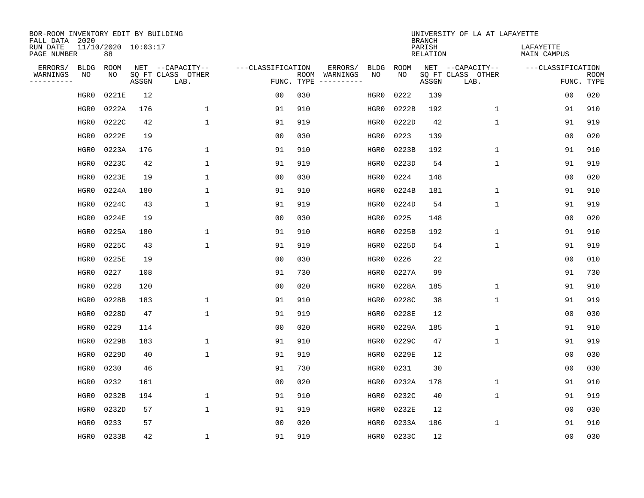| BOR-ROOM INVENTORY EDIT BY BUILDING<br>FALL DATA 2020 |                           |       |                           |                   |            |               |             |             | <b>BRANCH</b>             | UNIVERSITY OF LA AT LAFAYETTE |                          |                           |
|-------------------------------------------------------|---------------------------|-------|---------------------------|-------------------|------------|---------------|-------------|-------------|---------------------------|-------------------------------|--------------------------|---------------------------|
| RUN DATE<br>PAGE NUMBER                               | 11/10/2020 10:03:17<br>88 |       |                           |                   |            |               |             |             | PARISH<br><b>RELATION</b> |                               | LAFAYETTE<br>MAIN CAMPUS |                           |
| ERRORS/<br><b>BLDG</b>                                | <b>ROOM</b>               |       | NET --CAPACITY--          | ---CLASSIFICATION |            | ERRORS/       | <b>BLDG</b> | <b>ROOM</b> |                           | NET --CAPACITY--              | ---CLASSIFICATION        |                           |
| WARNINGS<br>ΝO<br>----------                          | NO                        | ASSGN | SQ FT CLASS OTHER<br>LAB. |                   | FUNC. TYPE | ROOM WARNINGS | NO          | NO          | ASSGN                     | SQ FT CLASS OTHER<br>LAB.     |                          | <b>ROOM</b><br>FUNC. TYPE |
| HGR0                                                  | 0221E                     | 12    |                           | 0 <sub>0</sub>    | 030        |               | HGR0        | 0222        | 139                       |                               | 0 <sub>0</sub>           | 020                       |
| HGR0                                                  | 0222A                     | 176   | 1                         | 91                | 910        |               | HGR0        | 0222B       | 192                       | $\mathbf 1$                   | 91                       | 910                       |
| HGR0                                                  | 0222C                     | 42    | $\mathbf{1}$              | 91                | 919        |               | HGR0        | 0222D       | 42                        | $\mathbf{1}$                  | 91                       | 919                       |
| HGR0                                                  | 0222E                     | 19    |                           | 0 <sub>0</sub>    | 030        |               | HGR0        | 0223        | 139                       |                               | 0 <sub>0</sub>           | 020                       |
| HGR0                                                  | 0223A                     | 176   | 1                         | 91                | 910        |               | HGR0        | 0223B       | 192                       | $\mathbf 1$                   | 91                       | 910                       |
| HGR0                                                  | 0223C                     | 42    | $\mathbf{1}$              | 91                | 919        |               | HGR0        | 0223D       | 54                        | $\mathbf{1}$                  | 91                       | 919                       |
| HGR0                                                  | 0223E                     | 19    | $\mathbf{1}$              | 0 <sub>0</sub>    | 030        |               | HGR0        | 0224        | 148                       |                               | 0 <sub>0</sub>           | 020                       |
| HGR0                                                  | 0224A                     | 180   | $\mathbf{1}$              | 91                | 910        |               | HGR0        | 0224B       | 181                       | $\mathbf 1$                   | 91                       | 910                       |
| HGR0                                                  | 0224C                     | 43    | $\mathbf{1}$              | 91                | 919        |               | HGR0        | 0224D       | 54                        | $\mathbf 1$                   | 91                       | 919                       |
| HGR0                                                  | 0224E                     | 19    |                           | 0 <sub>0</sub>    | 030        |               | HGR0        | 0225        | 148                       |                               | 0 <sub>0</sub>           | 020                       |
| HGR0                                                  | 0225A                     | 180   | $\mathbf{1}$              | 91                | 910        |               | HGR0        | 0225B       | 192                       | $\mathbf{1}$                  | 91                       | 910                       |
| HGR0                                                  | 0225C                     | 43    | $\mathbf{1}$              | 91                | 919        |               | HGR0        | 0225D       | 54                        | $\mathbf{1}$                  | 91                       | 919                       |
| HGR0                                                  | 0225E                     | 19    |                           | 0 <sub>0</sub>    | 030        |               | HGR0        | 0226        | 22                        |                               | 0 <sub>0</sub>           | 010                       |
| HGR0                                                  | 0227                      | 108   |                           | 91                | 730        |               | HGR0        | 0227A       | 99                        |                               | 91                       | 730                       |
| HGR0                                                  | 0228                      | 120   |                           | 0 <sub>0</sub>    | 020        |               | HGR0        | 0228A       | 185                       | 1                             | 91                       | 910                       |
| HGR0                                                  | 0228B                     | 183   | $\mathbf{1}$              | 91                | 910        |               | HGR0        | 0228C       | 38                        | $\mathbf 1$                   | 91                       | 919                       |
| HGR0                                                  | 0228D                     | 47    | $\mathbf{1}$              | 91                | 919        |               | HGR0        | 0228E       | 12                        |                               | 0 <sub>0</sub>           | 030                       |
| HGR0                                                  | 0229                      | 114   |                           | 0 <sub>0</sub>    | 020        |               | HGR0        | 0229A       | 185                       | $\mathbf 1$                   | 91                       | 910                       |
| HGR0                                                  | 0229B                     | 183   | $\mathbf{1}$              | 91                | 910        |               | HGR0        | 0229C       | 47                        | $\mathbf{1}$                  | 91                       | 919                       |
| HGR0                                                  | 0229D                     | 40    | $\mathbf{1}$              | 91                | 919        |               | HGR0        | 0229E       | 12                        |                               | 0 <sub>0</sub>           | 030                       |
| HGR0                                                  | 0230                      | 46    |                           | 91                | 730        |               | HGR0        | 0231        | 30                        |                               | 0 <sub>0</sub>           | 030                       |
| HGR0                                                  | 0232                      | 161   |                           | 0 <sub>0</sub>    | 020        |               | HGR0        | 0232A       | 178                       | $\mathbf 1$                   | 91                       | 910                       |
| HGR0                                                  | 0232B                     | 194   | $\mathbf{1}$              | 91                | 910        |               | HGR0        | 0232C       | 40                        | $\mathbf 1$                   | 91                       | 919                       |
| HGR0                                                  | 0232D                     | 57    | $\mathbf{1}$              | 91                | 919        |               | HGR0        | 0232E       | 12                        |                               | 0 <sub>0</sub>           | 030                       |
| HGR0                                                  | 0233                      | 57    |                           | 0 <sub>0</sub>    | 020        |               | HGR0        | 0233A       | 186                       | $\mathbf 1$                   | 91                       | 910                       |
| HGR0                                                  | 0233B                     | 42    | $\mathbf{1}$              | 91                | 919        |               | HGR0        | 0233C       | 12                        |                               | 0 <sub>0</sub>           | 030                       |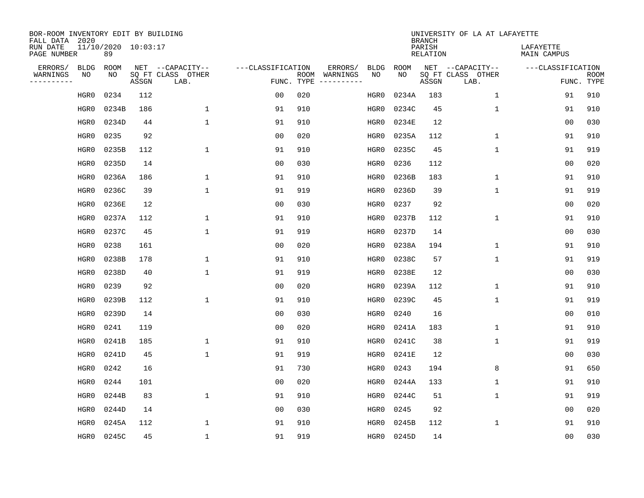| BOR-ROOM INVENTORY EDIT BY BUILDING<br>FALL DATA 2020 |                           |       |                           |                   |            |               |             |             | <b>BRANCH</b>             | UNIVERSITY OF LA AT LAFAYETTE |                          |                           |
|-------------------------------------------------------|---------------------------|-------|---------------------------|-------------------|------------|---------------|-------------|-------------|---------------------------|-------------------------------|--------------------------|---------------------------|
| RUN DATE<br>PAGE NUMBER                               | 11/10/2020 10:03:17<br>89 |       |                           |                   |            |               |             |             | PARISH<br><b>RELATION</b> |                               | LAFAYETTE<br>MAIN CAMPUS |                           |
| ERRORS/<br><b>BLDG</b>                                | <b>ROOM</b>               |       | NET --CAPACITY--          | ---CLASSIFICATION |            | ERRORS/       | <b>BLDG</b> | <b>ROOM</b> |                           | NET --CAPACITY--              | ---CLASSIFICATION        |                           |
| WARNINGS<br>ΝO<br>----------                          | NO                        | ASSGN | SQ FT CLASS OTHER<br>LAB. |                   | FUNC. TYPE | ROOM WARNINGS | NO          | NO          | ASSGN                     | SQ FT CLASS OTHER<br>LAB.     |                          | <b>ROOM</b><br>FUNC. TYPE |
| HGR0                                                  | 0234                      | 112   |                           | 0 <sub>0</sub>    | 020        |               | HGR0        | 0234A       | 183                       | $\mathbf 1$                   | 91                       | 910                       |
| HGR0                                                  | 0234B                     | 186   | $\mathbf{1}$              | 91                | 910        |               | HGR0        | 0234C       | 45                        | 1                             | 91                       | 910                       |
| HGR0                                                  | 0234D                     | 44    | $\mathbf{1}$              | 91                | 910        |               | HGR0        | 0234E       | 12                        |                               | 0 <sub>0</sub>           | 030                       |
| HGR0                                                  | 0235                      | 92    |                           | 0 <sub>0</sub>    | 020        |               | HGR0        | 0235A       | 112                       | $\mathbf 1$                   | 91                       | 910                       |
| HGR0                                                  | 0235B                     | 112   | $\mathbf{1}$              | 91                | 910        |               | HGR0        | 0235C       | 45                        | $\mathbf 1$                   | 91                       | 919                       |
| HGR0                                                  | 0235D                     | 14    |                           | 0 <sub>0</sub>    | 030        |               | HGR0        | 0236        | 112                       |                               | 0 <sub>0</sub>           | 020                       |
| HGR0                                                  | 0236A                     | 186   | $\mathbf{1}$              | 91                | 910        |               | HGR0        | 0236B       | 183                       | $\mathbf 1$                   | 91                       | 910                       |
| HGR0                                                  | 0236C                     | 39    | $\mathbf{1}$              | 91                | 919        |               | HGR0        | 0236D       | 39                        | $\mathbf{1}$                  | 91                       | 919                       |
| HGR0                                                  | 0236E                     | 12    |                           | 0 <sub>0</sub>    | 030        |               | HGR0        | 0237        | 92                        |                               | 0 <sub>0</sub>           | 020                       |
| HGR0                                                  | 0237A                     | 112   | $\mathbf{1}$              | 91                | 910        |               | HGR0        | 0237B       | 112                       | $\mathbf 1$                   | 91                       | 910                       |
| HGR0                                                  | 0237C                     | 45    | $\mathbf{1}$              | 91                | 919        |               | HGR0        | 0237D       | 14                        |                               | 0 <sub>0</sub>           | 030                       |
| HGR0                                                  | 0238                      | 161   |                           | 0 <sub>0</sub>    | 020        |               | HGR0        | 0238A       | 194                       | $\mathbf{1}$                  | 91                       | 910                       |
| HGR0                                                  | 0238B                     | 178   | $\mathbf{1}$              | 91                | 910        |               | HGR0        | 0238C       | 57                        | $\mathbf 1$                   | 91                       | 919                       |
| HGR0                                                  | 0238D                     | 40    | $\mathbf{1}$              | 91                | 919        |               | HGR0        | 0238E       | 12                        |                               | 0 <sub>0</sub>           | 030                       |
| HGR0                                                  | 0239                      | 92    |                           | 0 <sub>0</sub>    | 020        |               | HGR0        | 0239A       | 112                       | 1                             | 91                       | 910                       |
| HGR0                                                  | 0239B                     | 112   | $\mathbf{1}$              | 91                | 910        |               | HGR0        | 0239C       | 45                        | $\mathbf 1$                   | 91                       | 919                       |
| HGR0                                                  | 0239D                     | 14    |                           | 0 <sub>0</sub>    | 030        |               | HGR0        | 0240        | 16                        |                               | 0 <sub>0</sub>           | 010                       |
| HGR0                                                  | 0241                      | 119   |                           | 0 <sub>0</sub>    | 020        |               | HGR0        | 0241A       | 183                       | $\mathbf 1$                   | 91                       | 910                       |
| HGR0                                                  | 0241B                     | 185   | $\mathbf{1}$              | 91                | 910        |               | HGR0        | 0241C       | 38                        | $\mathbf{1}$                  | 91                       | 919                       |
| HGR0                                                  | 0241D                     | 45    | $\mathbf{1}$              | 91                | 919        |               | HGR0        | 0241E       | 12                        |                               | 0 <sub>0</sub>           | 030                       |
| HGR0                                                  | 0242                      | 16    |                           | 91                | 730        |               | HGR0        | 0243        | 194                       | 8                             | 91                       | 650                       |
| HGR0                                                  | 0244                      | 101   |                           | 0 <sub>0</sub>    | 020        |               | HGR0        | 0244A       | 133                       | $\mathbf 1$                   | 91                       | 910                       |
| HGR0                                                  | 0244B                     | 83    | $\mathbf{1}$              | 91                | 910        |               | HGR0        | 0244C       | 51                        | $\mathbf{1}$                  | 91                       | 919                       |
| HGR0                                                  | 0244D                     | 14    |                           | 0 <sub>0</sub>    | 030        |               | HGR0        | 0245        | 92                        |                               | 0 <sub>0</sub>           | 020                       |
| HGR0                                                  | 0245A                     | 112   | $\mathbf{1}$              | 91                | 910        |               | HGR0        | 0245B       | 112                       | $\mathbf{1}$                  | 91                       | 910                       |
| HGR0                                                  | 0245C                     | 45    | $\mathbf{1}$              | 91                | 919        |               | HGR0        | 0245D       | 14                        |                               | 0 <sub>0</sub>           | 030                       |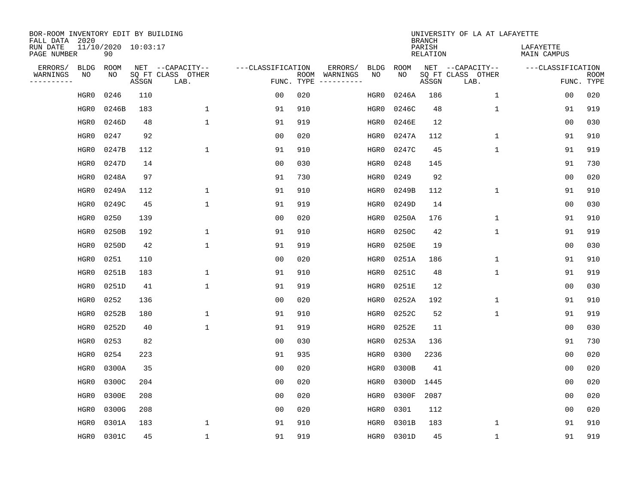| BOR-ROOM INVENTORY EDIT BY BUILDING<br>FALL DATA 2020 |                           |       |                           |                   |            |                              |             |             | <b>BRANCH</b>             | UNIVERSITY OF LA AT LAFAYETTE |                          |                           |
|-------------------------------------------------------|---------------------------|-------|---------------------------|-------------------|------------|------------------------------|-------------|-------------|---------------------------|-------------------------------|--------------------------|---------------------------|
| RUN DATE<br>PAGE NUMBER                               | 11/10/2020 10:03:17<br>90 |       |                           |                   |            |                              |             |             | PARISH<br><b>RELATION</b> |                               | LAFAYETTE<br>MAIN CAMPUS |                           |
| ERRORS/<br><b>BLDG</b>                                | <b>ROOM</b>               |       | NET --CAPACITY--          | ---CLASSIFICATION |            | ERRORS/                      | <b>BLDG</b> | <b>ROOM</b> |                           | NET --CAPACITY--              | ---CLASSIFICATION        |                           |
| WARNINGS<br>ΝO<br>----------                          | NO                        | ASSGN | SQ FT CLASS OTHER<br>LAB. |                   | FUNC. TYPE | ROOM WARNINGS<br>----------- | NO          | NO          | ASSGN                     | SQ FT CLASS OTHER<br>LAB.     |                          | <b>ROOM</b><br>FUNC. TYPE |
| HGR0                                                  | 0246                      | 110   |                           | 0 <sub>0</sub>    | 020        |                              | HGR0        | 0246A       | 186                       | $\mathbf 1$                   | 0 <sub>0</sub>           | 020                       |
| HGR0                                                  | 0246B                     | 183   | $\mathbf{1}$              | 91                | 910        |                              | HGR0        | 0246C       | 48                        | 1                             | 91                       | 919                       |
| HGR0                                                  | 0246D                     | 48    | $\mathbf{1}$              | 91                | 919        |                              | HGR0        | 0246E       | 12                        |                               | 0 <sub>0</sub>           | 030                       |
| HGR0                                                  | 0247                      | 92    |                           | 0 <sub>0</sub>    | 020        |                              | HGR0        | 0247A       | 112                       | $\mathbf{1}$                  | 91                       | 910                       |
| HGR0                                                  | 0247B                     | 112   | $\mathbf{1}$              | 91                | 910        |                              | HGR0        | 0247C       | 45                        | $\mathbf{1}$                  | 91                       | 919                       |
| HGR0                                                  | 0247D                     | 14    |                           | 0 <sub>0</sub>    | 030        |                              | HGR0        | 0248        | 145                       |                               | 91                       | 730                       |
| HGR0                                                  | 0248A                     | 97    |                           | 91                | 730        |                              | HGR0        | 0249        | 92                        |                               | 0 <sub>0</sub>           | 020                       |
| HGR0                                                  | 0249A                     | 112   | $\mathbf{1}$              | 91                | 910        |                              | HGR0        | 0249B       | 112                       | $\mathbf{1}$                  | 91                       | 910                       |
| HGR0                                                  | 0249C                     | 45    | $\mathbf{1}$              | 91                | 919        |                              | HGR0        | 0249D       | 14                        |                               | 0 <sub>0</sub>           | 030                       |
| HGR0                                                  | 0250                      | 139   |                           | 0 <sub>0</sub>    | 020        |                              | HGR0        | 0250A       | 176                       | $\mathbf 1$                   | 91                       | 910                       |
| HGR0                                                  | 0250B                     | 192   | $\mathbf{1}$              | 91                | 910        |                              | HGR0        | 0250C       | 42                        | $\mathbf{1}$                  | 91                       | 919                       |
| HGR0                                                  | 0250D                     | 42    | $\mathbf{1}$              | 91                | 919        |                              | HGR0        | 0250E       | 19                        |                               | 0 <sub>0</sub>           | 030                       |
| HGR0                                                  | 0251                      | 110   |                           | 0 <sub>0</sub>    | 020        |                              | HGR0        | 0251A       | 186                       | $\mathbf 1$                   | 91                       | 910                       |
| HGR0                                                  | 0251B                     | 183   | 1                         | 91                | 910        |                              | HGR0        | 0251C       | 48                        | 1                             | 91                       | 919                       |
| HGR0                                                  | 0251D                     | 41    | $\mathbf{1}$              | 91                | 919        |                              | HGR0        | 0251E       | 12                        |                               | 0 <sub>0</sub>           | 030                       |
| HGR0                                                  | 0252                      | 136   |                           | 0 <sub>0</sub>    | 020        |                              | HGR0        | 0252A       | 192                       | $\mathbf{1}$                  | 91                       | 910                       |
| HGR0                                                  | 0252B                     | 180   | $\mathbf{1}$              | 91                | 910        |                              | HGR0        | 0252C       | 52                        | $\mathbf{1}$                  | 91                       | 919                       |
| HGR0                                                  | 0252D                     | 40    | $\mathbf{1}$              | 91                | 919        |                              | HGR0        | 0252E       | 11                        |                               | 0 <sub>0</sub>           | 030                       |
| HGR0                                                  | 0253                      | 82    |                           | 0 <sub>0</sub>    | 030        |                              | HGR0        | 0253A       | 136                       |                               | 91                       | 730                       |
| HGR0                                                  | 0254                      | 223   |                           | 91                | 935        |                              | HGR0        | 0300        | 2236                      |                               | 0 <sub>0</sub>           | 020                       |
| HGR0                                                  | 0300A                     | 35    |                           | 0 <sub>0</sub>    | 020        |                              | HGR0        | 0300B       | 41                        |                               | 0 <sub>0</sub>           | 020                       |
| HGR0                                                  | 0300C                     | 204   |                           | 0 <sub>0</sub>    | 020        |                              | HGR0        | 0300D       | 1445                      |                               | 0 <sub>0</sub>           | 020                       |
| HGR0                                                  | 0300E                     | 208   |                           | 0 <sub>0</sub>    | 020        |                              | HGR0        | 0300F       | 2087                      |                               | 0 <sub>0</sub>           | 020                       |
| HGR0                                                  | 0300G                     | 208   |                           | 0 <sub>0</sub>    | 020        |                              | HGR0        | 0301        | 112                       |                               | 0 <sub>0</sub>           | 020                       |
| HGR0                                                  | 0301A                     | 183   | $\mathbf{1}$              | 91                | 910        |                              | HGR0        | 0301B       | 183                       | $\mathbf{1}$                  | 91                       | 910                       |
| HGR0                                                  | 0301C                     | 45    | $\mathbf{1}$              | 91                | 919        |                              | HGR0        | 0301D       | 45                        | $\mathbf{1}$                  | 91                       | 919                       |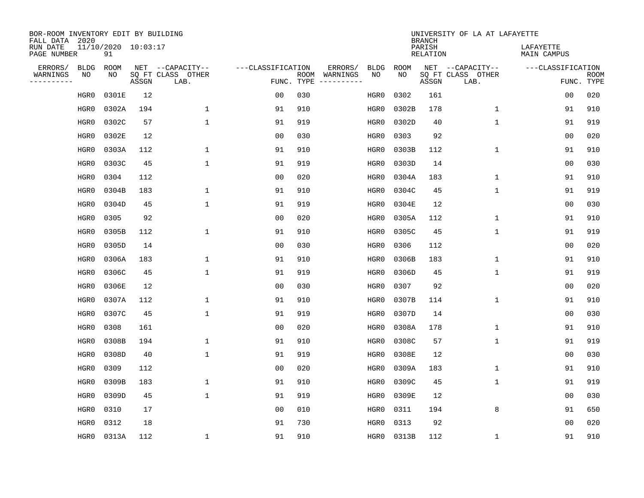| BOR-ROOM INVENTORY EDIT BY BUILDING<br>FALL DATA 2020 |                           |       |                           |                   |      |          |             |             | <b>BRANCH</b>             | UNIVERSITY OF LA AT LAFAYETTE |                          |                           |
|-------------------------------------------------------|---------------------------|-------|---------------------------|-------------------|------|----------|-------------|-------------|---------------------------|-------------------------------|--------------------------|---------------------------|
| RUN DATE<br>PAGE NUMBER                               | 11/10/2020 10:03:17<br>91 |       |                           |                   |      |          |             |             | PARISH<br><b>RELATION</b> |                               | LAFAYETTE<br>MAIN CAMPUS |                           |
| ERRORS/<br><b>BLDG</b>                                | <b>ROOM</b>               |       | NET --CAPACITY--          | ---CLASSIFICATION |      | ERRORS/  | <b>BLDG</b> | <b>ROOM</b> |                           | NET --CAPACITY--              | ---CLASSIFICATION        |                           |
| WARNINGS<br>ΝO<br>----------                          | NO                        | ASSGN | SQ FT CLASS OTHER<br>LAB. | FUNC. TYPE        | ROOM | WARNINGS | NO          | NO          | ASSGN                     | SQ FT CLASS OTHER<br>LAB.     |                          | <b>ROOM</b><br>FUNC. TYPE |
| HGR0                                                  | 0301E                     | 12    |                           | 00                | 030  |          | HGR0        | 0302        | 161                       |                               | 0 <sub>0</sub>           | 020                       |
| HGR0                                                  | 0302A                     | 194   | $\mathbf{1}$              | 91                | 910  |          | HGR0        | 0302B       | 178                       | 1                             | 91                       | 910                       |
| HGR0                                                  | 0302C                     | 57    | $\mathbf{1}$              | 91                | 919  |          | HGR0        | 0302D       | 40                        | 1                             | 91                       | 919                       |
| HGR0                                                  | 0302E                     | 12    |                           | 0 <sub>0</sub>    | 030  |          | HGR0        | 0303        | 92                        |                               | 0 <sub>0</sub>           | 020                       |
| HGR0                                                  | 0303A                     | 112   | $\mathbf{1}$              | 91                | 910  |          | HGR0        | 0303B       | 112                       | $\mathbf 1$                   | 91                       | 910                       |
| HGR0                                                  | 0303C                     | 45    | $\mathbf{1}$              | 91                | 919  |          | HGR0        | 0303D       | 14                        |                               | 0 <sub>0</sub>           | 030                       |
| HGR0                                                  | 0304                      | 112   |                           | 0 <sub>0</sub>    | 020  |          | HGR0        | 0304A       | 183                       | $\mathbf{1}$                  | 91                       | 910                       |
| HGR0                                                  | 0304B                     | 183   | $\mathbf{1}$              | 91                | 910  |          | HGR0        | 0304C       | 45                        | $\mathbf{1}$                  | 91                       | 919                       |
| HGR0                                                  | 0304D                     | 45    | $\mathbf{1}$              | 91                | 919  |          | HGR0        | 0304E       | 12                        |                               | 0 <sub>0</sub>           | 030                       |
| HGR0                                                  | 0305                      | 92    |                           | 0 <sub>0</sub>    | 020  |          | HGR0        | 0305A       | 112                       | $\mathbf 1$                   | 91                       | 910                       |
| HGR0                                                  | 0305B                     | 112   | $\mathbf{1}$              | 91                | 910  |          | HGR0        | 0305C       | 45                        | $\mathbf 1$                   | 91                       | 919                       |
| HGR0                                                  | 0305D                     | 14    |                           | 0 <sub>0</sub>    | 030  |          | HGR0        | 0306        | 112                       |                               | 0 <sub>0</sub>           | 020                       |
| HGR0                                                  | 0306A                     | 183   | $\mathbf{1}$              | 91                | 910  |          | HGR0        | 0306B       | 183                       | $\mathbf 1$                   | 91                       | 910                       |
| HGR0                                                  | 0306C                     | 45    | $\mathbf{1}$              | 91                | 919  |          | HGR0        | 0306D       | 45                        | $\mathbf 1$                   | 91                       | 919                       |
| HGR0                                                  | 0306E                     | 12    |                           | 0 <sub>0</sub>    | 030  |          | HGR0        | 0307        | 92                        |                               | 0 <sub>0</sub>           | 020                       |
| HGR0                                                  | 0307A                     | 112   | 1                         | 91                | 910  |          | HGR0        | 0307B       | 114                       | 1                             | 91                       | 910                       |
| HGR0                                                  | 0307C                     | 45    | $\mathbf{1}$              | 91                | 919  |          | HGR0        | 0307D       | 14                        |                               | 0 <sub>0</sub>           | 030                       |
| HGR0                                                  | 0308                      | 161   |                           | 00                | 020  |          | HGR0        | 0308A       | 178                       | 1                             | 91                       | 910                       |
| HGR0                                                  | 0308B                     | 194   | 1                         | 91                | 910  |          | HGR0        | 0308C       | 57                        | $\mathbf{1}$                  | 91                       | 919                       |
| HGR0                                                  | 0308D                     | 40    | $\mathbf{1}$              | 91                | 919  |          | HGR0        | 0308E       | 12                        |                               | 0 <sub>0</sub>           | 030                       |
| HGR0                                                  | 0309                      | 112   |                           | 0 <sub>0</sub>    | 020  |          | HGR0        | 0309A       | 183                       | $\mathbf 1$                   | 91                       | 910                       |
| HGR0                                                  | 0309B                     | 183   | $\mathbf{1}$              | 91                | 910  |          | HGR0        | 0309C       | 45                        | $\mathbf{1}$                  | 91                       | 919                       |
| HGR0                                                  | 0309D                     | 45    | $\mathbf{1}$              | 91                | 919  |          | HGR0        | 0309E       | 12                        |                               | 0 <sub>0</sub>           | 030                       |
| HGR0                                                  | 0310                      | 17    |                           | 0 <sub>0</sub>    | 010  |          | HGR0        | 0311        | 194                       | 8                             | 91                       | 650                       |
| HGR0                                                  | 0312                      | 18    |                           | 91                | 730  |          | HGR0        | 0313        | 92                        |                               | 0 <sub>0</sub>           | 020                       |
| HGR0                                                  | 0313A                     | 112   | $\mathbf{1}$              | 91                | 910  |          | HGR0        | 0313B       | 112                       | 1                             | 91                       | 910                       |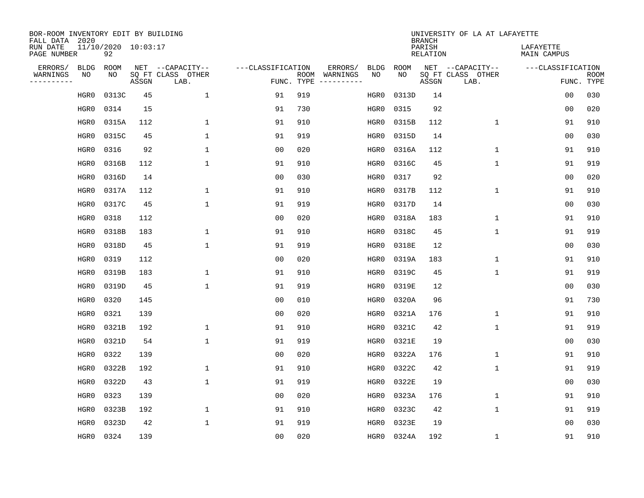| BOR-ROOM INVENTORY EDIT BY BUILDING<br>FALL DATA 2020 |                           |       |                           |                   |            |               |             |             | <b>BRANCH</b>             | UNIVERSITY OF LA AT LAFAYETTE |                          |                           |
|-------------------------------------------------------|---------------------------|-------|---------------------------|-------------------|------------|---------------|-------------|-------------|---------------------------|-------------------------------|--------------------------|---------------------------|
| RUN DATE<br>PAGE NUMBER                               | 11/10/2020 10:03:17<br>92 |       |                           |                   |            |               |             |             | PARISH<br><b>RELATION</b> |                               | LAFAYETTE<br>MAIN CAMPUS |                           |
| ERRORS/<br><b>BLDG</b>                                | <b>ROOM</b>               |       | NET --CAPACITY--          | ---CLASSIFICATION |            | ERRORS/       | <b>BLDG</b> | <b>ROOM</b> |                           | NET --CAPACITY--              | ---CLASSIFICATION        |                           |
| WARNINGS<br>ΝO<br>----------                          | NO                        | ASSGN | SQ FT CLASS OTHER<br>LAB. |                   | FUNC. TYPE | ROOM WARNINGS | NO          | NO          | ASSGN                     | SQ FT CLASS OTHER<br>LAB.     |                          | <b>ROOM</b><br>FUNC. TYPE |
| HGR0                                                  | 0313C                     | 45    | 1                         | 91                | 919        |               | HGR0        | 0313D       | 14                        |                               | 0 <sub>0</sub>           | 030                       |
| HGR0                                                  | 0314                      | 15    |                           | 91                | 730        |               | HGR0        | 0315        | 92                        |                               | 0 <sub>0</sub>           | 020                       |
| HGR0                                                  | 0315A                     | 112   | $\mathbf 1$               | 91                | 910        |               | HGR0        | 0315B       | 112                       | $\mathbf 1$                   | 91                       | 910                       |
| HGR0                                                  | 0315C                     | 45    | $\mathbf{1}$              | 91                | 919        |               | HGR0        | 0315D       | 14                        |                               | 0 <sub>0</sub>           | 030                       |
| HGR0                                                  | 0316                      | 92    | $\mathbf{1}$              | 0 <sub>0</sub>    | 020        |               | HGR0        | 0316A       | 112                       | $\mathbf 1$                   | 91                       | 910                       |
| HGR0                                                  | 0316B                     | 112   | $\mathbf{1}$              | 91                | 910        |               | HGR0        | 0316C       | 45                        | $\mathbf{1}$                  | 91                       | 919                       |
| HGR0                                                  | 0316D                     | 14    |                           | 0 <sub>0</sub>    | 030        |               | HGR0        | 0317        | 92                        |                               | 0 <sub>0</sub>           | 020                       |
| HGR0                                                  | 0317A                     | 112   | $\mathbf{1}$              | 91                | 910        |               | HGR0        | 0317B       | 112                       | $\mathbf{1}$                  | 91                       | 910                       |
| HGR0                                                  | 0317C                     | 45    | $\mathbf{1}$              | 91                | 919        |               | HGR0        | 0317D       | 14                        |                               | 0 <sub>0</sub>           | 030                       |
| HGR0                                                  | 0318                      | 112   |                           | 0 <sub>0</sub>    | 020        |               | HGR0        | 0318A       | 183                       | $\mathbf 1$                   | 91                       | 910                       |
| HGR0                                                  | 0318B                     | 183   | $\mathbf{1}$              | 91                | 910        |               | HGR0        | 0318C       | 45                        | $\mathbf{1}$                  | 91                       | 919                       |
| HGR0                                                  | 0318D                     | 45    | $\mathbf{1}$              | 91                | 919        |               | HGR0        | 0318E       | 12                        |                               | 0 <sub>0</sub>           | 030                       |
| HGR0                                                  | 0319                      | 112   |                           | 0 <sub>0</sub>    | 020        |               | HGR0        | 0319A       | 183                       | $\mathbf 1$                   | 91                       | 910                       |
| HGR0                                                  | 0319B                     | 183   | 1                         | 91                | 910        |               | HGR0        | 0319C       | 45                        | $\mathbf 1$                   | 91                       | 919                       |
| HGR0                                                  | 0319D                     | 45    | $\mathbf{1}$              | 91                | 919        |               | HGR0        | 0319E       | 12                        |                               | 0 <sub>0</sub>           | 030                       |
| HGR0                                                  | 0320                      | 145   |                           | 0 <sub>0</sub>    | 010        |               | HGR0        | 0320A       | 96                        |                               | 91                       | 730                       |
| HGR0                                                  | 0321                      | 139   |                           | 0 <sub>0</sub>    | 020        |               | HGR0        | 0321A       | 176                       | $\mathbf 1$                   | 91                       | 910                       |
| HGR0                                                  | 0321B                     | 192   | $\mathbf{1}$              | 91                | 910        |               | HGR0        | 0321C       | 42                        | $\mathbf 1$                   | 91                       | 919                       |
| HGR0                                                  | 0321D                     | 54    | $\mathbf{1}$              | 91                | 919        |               | HGR0        | 0321E       | 19                        |                               | 0 <sub>0</sub>           | 030                       |
| HGR0                                                  | 0322                      | 139   |                           | 0 <sub>0</sub>    | 020        |               | HGR0        | 0322A       | 176                       | 1                             | 91                       | 910                       |
| HGR0                                                  | 0322B                     | 192   | $\mathbf{1}$              | 91                | 910        |               | HGR0        | 0322C       | 42                        | $\mathbf 1$                   | 91                       | 919                       |
| HGR0                                                  | 0322D                     | 43    | $\mathbf{1}$              | 91                | 919        |               | HGR0        | 0322E       | 19                        |                               | 0 <sub>0</sub>           | 030                       |
| HGR0                                                  | 0323                      | 139   |                           | 0 <sub>0</sub>    | 020        |               | HGR0        | 0323A       | 176                       | $\mathbf 1$                   | 91                       | 910                       |
| HGR0                                                  | 0323B                     | 192   | $\mathbf{1}$              | 91                | 910        |               | HGR0        | 0323C       | 42                        | $\mathbf{1}$                  | 91                       | 919                       |
| HGR0                                                  | 0323D                     | 42    | $\mathbf{1}$              | 91                | 919        |               | HGR0        | 0323E       | 19                        |                               | 0 <sub>0</sub>           | 030                       |
| HGR0                                                  | 0324                      | 139   |                           | 0 <sub>0</sub>    | 020        |               | HGR0        | 0324A       | 192                       | 1                             | 91                       | 910                       |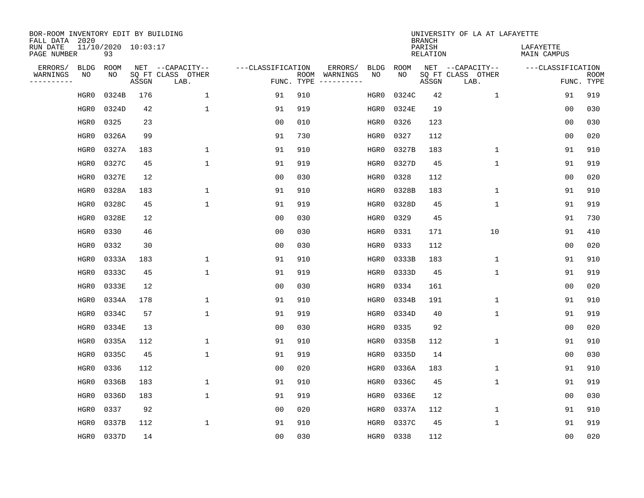| BOR-ROOM INVENTORY EDIT BY BUILDING<br>FALL DATA 2020 |                           |       |                           |                   |                    |                               |             | <b>BRANCH</b>             | UNIVERSITY OF LA AT LAFAYETTE |                          |                           |
|-------------------------------------------------------|---------------------------|-------|---------------------------|-------------------|--------------------|-------------------------------|-------------|---------------------------|-------------------------------|--------------------------|---------------------------|
| RUN DATE<br>PAGE NUMBER                               | 11/10/2020 10:03:17<br>93 |       |                           |                   |                    |                               |             | PARISH<br><b>RELATION</b> |                               | LAFAYETTE<br>MAIN CAMPUS |                           |
| ERRORS/<br><b>BLDG</b>                                | ROOM                      |       | NET --CAPACITY--          | ---CLASSIFICATION |                    | ERRORS/<br><b>BLDG</b>        | <b>ROOM</b> |                           | NET --CAPACITY--              | ---CLASSIFICATION        |                           |
| WARNINGS<br>NO<br>----------                          | NO                        | ASSGN | SQ FT CLASS OTHER<br>LAB. |                   | ROOM<br>FUNC. TYPE | NO<br>WARNINGS<br>----------- | NO          | ASSGN                     | SQ FT CLASS OTHER<br>LAB.     |                          | <b>ROOM</b><br>FUNC. TYPE |
| HGR0                                                  | 0324B                     | 176   | 1                         | 91                | 910                | HGR0                          | 0324C       | 42                        | $\mathbf 1$                   | 91                       | 919                       |
| HGR0                                                  | 0324D                     | 42    | $\mathbf{1}$              | 91                | 919                | HGR0                          | 0324E       | 19                        |                               | 00                       | 030                       |
| HGR0                                                  | 0325                      | 23    |                           | 0 <sub>0</sub>    | 010                | HGR0                          | 0326        | 123                       |                               | 00                       | 030                       |
| HGR0                                                  | 0326A                     | 99    |                           | 91                | 730                | HGR0                          | 0327        | 112                       |                               | 0 <sub>0</sub>           | 020                       |
| HGR0                                                  | 0327A                     | 183   | $\mathbf{1}$              | 91                | 910                | HGR0                          | 0327B       | 183                       | $\mathbf 1$                   | 91                       | 910                       |
| HGR0                                                  | 0327C                     | 45    | $\mathbf{1}$              | 91                | 919                | HGR0                          | 0327D       | 45                        | $\mathbf 1$                   | 91                       | 919                       |
| HGR0                                                  | 0327E                     | 12    |                           | 0 <sub>0</sub>    | 030                | HGR0                          | 0328        | 112                       |                               | 00                       | 020                       |
| HGR0                                                  | 0328A                     | 183   | $\mathbf{1}$              | 91                | 910                | HGR0                          | 0328B       | 183                       | $\mathbf{1}$                  | 91                       | 910                       |
| HGR0                                                  | 0328C                     | 45    | $\mathbf{1}$              | 91                | 919                | HGR0                          | 0328D       | 45                        | $\mathbf{1}$                  | 91                       | 919                       |
| HGR0                                                  | 0328E                     | 12    |                           | 0 <sub>0</sub>    | 030                | HGR0                          | 0329        | 45                        |                               | 91                       | 730                       |
| HGR0                                                  | 0330                      | 46    |                           | 0 <sub>0</sub>    | 030                | HGR0                          | 0331        | 171                       | 10                            | 91                       | 410                       |
| HGR0                                                  | 0332                      | 30    |                           | 0 <sub>0</sub>    | 030                | HGR0                          | 0333        | 112                       |                               | 0 <sub>0</sub>           | 020                       |
| HGR0                                                  | 0333A                     | 183   | 1                         | 91                | 910                | HGR0                          | 0333B       | 183                       | $\mathbf 1$                   | 91                       | 910                       |
| HGR0                                                  | 0333C                     | 45    | $\mathbf{1}$              | 91                | 919                | HGR0                          | 0333D       | 45                        | 1                             | 91                       | 919                       |
| HGR0                                                  | 0333E                     | 12    |                           | 0 <sub>0</sub>    | 030                | HGR0                          | 0334        | 161                       |                               | 0 <sub>0</sub>           | 020                       |
| HGR0                                                  | 0334A                     | 178   | 1                         | 91                | 910                | HGR0                          | 0334B       | 191                       | 1                             | 91                       | 910                       |
| HGR0                                                  | 0334C                     | 57    | 1                         | 91                | 919                | HGR0                          | 0334D       | 40                        | 1                             | 91                       | 919                       |
| HGR0                                                  | 0334E                     | 13    |                           | 00                | 030                | HGR0                          | 0335        | 92                        |                               | 0 <sub>0</sub>           | 020                       |
| HGR0                                                  | 0335A                     | 112   | 1                         | 91                | 910                | HGR0                          | 0335B       | 112                       | 1                             | 91                       | 910                       |
| HGR0                                                  | 0335C                     | 45    | $\mathbf{1}$              | 91                | 919                | HGR0                          | 0335D       | 14                        |                               | 0 <sub>0</sub>           | 030                       |
| HGR0                                                  | 0336                      | 112   |                           | 0 <sub>0</sub>    | 020                | HGR0                          | 0336A       | 183                       | 1                             | 91                       | 910                       |
| HGR0                                                  | 0336B                     | 183   | $\mathbf{1}$              | 91                | 910                | HGR0                          | 0336C       | 45                        | 1                             | 91                       | 919                       |
| HGR0                                                  | 0336D                     | 183   | $\mathbf{1}$              | 91                | 919                | HGR0                          | 0336E       | 12                        |                               | 0 <sub>0</sub>           | 030                       |
| HGR0                                                  | 0337                      | 92    |                           | 0 <sub>0</sub>    | 020                | HGR0                          | 0337A       | 112                       | 1                             | 91                       | 910                       |
| HGR0                                                  | 0337B                     | 112   | $\mathbf{1}$              | 91                | 910                | HGR0                          | 0337C       | 45                        | 1                             | 91                       | 919                       |
| HGR0                                                  | 0337D                     | 14    |                           | 0 <sub>0</sub>    | 030                | HGR0                          | 0338        | 112                       |                               | 00                       | 020                       |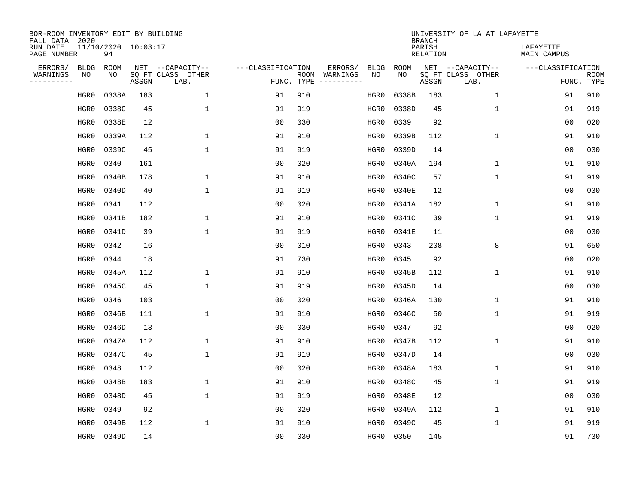| BOR-ROOM INVENTORY EDIT BY BUILDING<br>FALL DATA 2020 |             |                           |       |                           |                   |                    |          |             |             | <b>BRANCH</b>             | UNIVERSITY OF LA AT LAFAYETTE |                          |                           |
|-------------------------------------------------------|-------------|---------------------------|-------|---------------------------|-------------------|--------------------|----------|-------------|-------------|---------------------------|-------------------------------|--------------------------|---------------------------|
| RUN DATE<br>PAGE NUMBER                               |             | 11/10/2020 10:03:17<br>94 |       |                           |                   |                    |          |             |             | PARISH<br><b>RELATION</b> |                               | LAFAYETTE<br>MAIN CAMPUS |                           |
| ERRORS/                                               | <b>BLDG</b> | ROOM                      |       | NET --CAPACITY--          | ---CLASSIFICATION |                    | ERRORS/  | <b>BLDG</b> | <b>ROOM</b> |                           | NET --CAPACITY--              | ---CLASSIFICATION        |                           |
| WARNINGS<br>----------                                | NO          | NO                        | ASSGN | SQ FT CLASS OTHER<br>LAB. |                   | ROOM<br>FUNC. TYPE | WARNINGS | NO          | NO          | ASSGN                     | SQ FT CLASS OTHER<br>LAB.     |                          | <b>ROOM</b><br>FUNC. TYPE |
|                                                       | HGR0        | 0338A                     | 183   | $\mathbf{1}$              | 91                | 910                |          | HGR0        | 0338B       | 183                       | $\mathbf 1$                   | 91                       | 910                       |
|                                                       | HGR0        | 0338C                     | 45    | $\mathbf{1}$              | 91                | 919                |          | HGR0        | 0338D       | 45                        | 1                             | 91                       | 919                       |
|                                                       | HGR0        | 0338E                     | 12    |                           | 00                | 030                |          | HGR0        | 0339        | 92                        |                               | 00                       | 020                       |
|                                                       | HGR0        | 0339A                     | 112   | 1                         | 91                | 910                |          | HGR0        | 0339B       | 112                       | 1                             | 91                       | 910                       |
|                                                       | HGR0        | 0339C                     | 45    | $\mathbf{1}$              | 91                | 919                |          | HGR0        | 0339D       | 14                        |                               | 0 <sub>0</sub>           | 030                       |
|                                                       | HGR0        | 0340                      | 161   |                           | 0 <sub>0</sub>    | 020                |          | HGR0        | 0340A       | 194                       | 1                             | 91                       | 910                       |
|                                                       | HGR0        | 0340B                     | 178   | $\mathbf{1}$              | 91                | 910                |          | HGR0        | 0340C       | 57                        | $\mathbf{1}$                  | 91                       | 919                       |
|                                                       | HGR0        | 0340D                     | 40    | $\mathbf{1}$              | 91                | 919                |          | HGR0        | 0340E       | 12                        |                               | 0 <sub>0</sub>           | 030                       |
|                                                       | HGR0        | 0341                      | 112   |                           | 0 <sub>0</sub>    | 020                |          | HGR0        | 0341A       | 182                       | $\mathbf 1$                   | 91                       | 910                       |
|                                                       | HGR0        | 0341B                     | 182   | 1                         | 91                | 910                |          | HGR0        | 0341C       | 39                        | $\mathbf{1}$                  | 91                       | 919                       |
|                                                       | HGR0        | 0341D                     | 39    | $\mathbf{1}$              | 91                | 919                |          | HGR0        | 0341E       | 11                        |                               | 0 <sub>0</sub>           | 030                       |
|                                                       | HGR0        | 0342                      | 16    |                           | 0 <sub>0</sub>    | 010                |          | HGR0        | 0343        | 208                       | 8                             | 91                       | 650                       |
|                                                       | HGR0        | 0344                      | 18    |                           | 91                | 730                |          | HGR0        | 0345        | 92                        |                               | 00                       | 020                       |
|                                                       | HGR0        | 0345A                     | 112   | 1                         | 91                | 910                |          | HGR0        | 0345B       | 112                       | 1                             | 91                       | 910                       |
|                                                       | HGR0        | 0345C                     | 45    | 1                         | 91                | 919                |          | HGR0        | 0345D       | 14                        |                               | 00                       | 030                       |
|                                                       | HGR0        | 0346                      | 103   |                           | 00                | 020                |          | HGR0        | 0346A       | 130                       | 1                             | 91                       | 910                       |
|                                                       | HGR0        | 0346B                     | 111   | 1                         | 91                | 910                |          | HGR0        | 0346C       | 50                        | 1                             | 91                       | 919                       |
|                                                       | HGR0        | 0346D                     | 13    |                           | 0 <sub>0</sub>    | 030                |          | HGR0        | 0347        | 92                        |                               | 0 <sub>0</sub>           | 020                       |
|                                                       | HGR0        | 0347A                     | 112   | 1                         | 91                | 910                |          | HGR0        | 0347B       | 112                       | 1                             | 91                       | 910                       |
|                                                       | HGR0        | 0347C                     | 45    | $\mathbf{1}$              | 91                | 919                |          | HGR0        | 0347D       | 14                        |                               | 0 <sub>0</sub>           | 030                       |
|                                                       | HGR0        | 0348                      | 112   |                           | 0 <sub>0</sub>    | 020                |          | HGR0        | 0348A       | 183                       | 1                             | 91                       | 910                       |
|                                                       | HGR0        | 0348B                     | 183   | $\mathbf{1}$              | 91                | 910                |          | HGR0        | 0348C       | 45                        | 1                             | 91                       | 919                       |
|                                                       | HGR0        | 0348D                     | 45    | $\mathbf{1}$              | 91                | 919                |          | HGR0        | 0348E       | 12                        |                               | 00                       | 030                       |
|                                                       | HGR0        | 0349                      | 92    |                           | 00                | 020                |          | HGR0        | 0349A       | 112                       | 1                             | 91                       | 910                       |
|                                                       | HGR0        | 0349B                     | 112   | 1                         | 91                | 910                |          | HGR0        | 0349C       | 45                        | 1                             | 91                       | 919                       |
|                                                       | HGR0        | 0349D                     | 14    |                           | 0 <sub>0</sub>    | 030                |          | HGR0        | 0350        | 145                       |                               | 91                       | 730                       |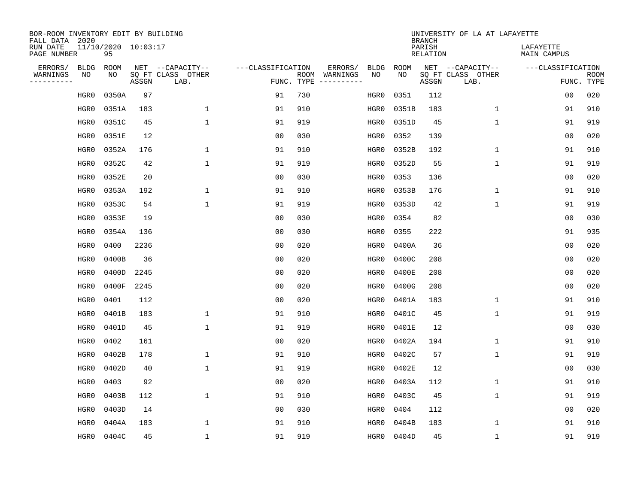| BOR-ROOM INVENTORY EDIT BY BUILDING<br>FALL DATA 2020 |                           |       |                           |                   |            |                              |             |             | <b>BRANCH</b>             | UNIVERSITY OF LA AT LAFAYETTE |                          |                           |
|-------------------------------------------------------|---------------------------|-------|---------------------------|-------------------|------------|------------------------------|-------------|-------------|---------------------------|-------------------------------|--------------------------|---------------------------|
| RUN DATE<br>PAGE NUMBER                               | 11/10/2020 10:03:17<br>95 |       |                           |                   |            |                              |             |             | PARISH<br><b>RELATION</b> |                               | LAFAYETTE<br>MAIN CAMPUS |                           |
| ERRORS/<br><b>BLDG</b>                                | <b>ROOM</b>               |       | NET --CAPACITY--          | ---CLASSIFICATION |            | ERRORS/                      | <b>BLDG</b> | <b>ROOM</b> |                           | NET --CAPACITY--              | ---CLASSIFICATION        |                           |
| WARNINGS<br>ΝO<br>----------                          | NO                        | ASSGN | SQ FT CLASS OTHER<br>LAB. |                   | FUNC. TYPE | ROOM WARNINGS<br>----------- | NO          | NO          | ASSGN                     | SQ FT CLASS OTHER<br>LAB.     |                          | <b>ROOM</b><br>FUNC. TYPE |
| HGR0                                                  | 0350A                     | 97    |                           | 91                | 730        |                              | HGR0        | 0351        | 112                       |                               | 0 <sub>0</sub>           | 020                       |
| HGR0                                                  | 0351A                     | 183   | $\mathbf{1}$              | 91                | 910        |                              | HGR0        | 0351B       | 183                       | $\mathbf 1$                   | 91                       | 910                       |
| HGR0                                                  | 0351C                     | 45    | $\mathbf{1}$              | 91                | 919        |                              | HGR0        | 0351D       | 45                        | $\mathbf{1}$                  | 91                       | 919                       |
| HGR0                                                  | 0351E                     | 12    |                           | 0 <sub>0</sub>    | 030        |                              | HGR0        | 0352        | 139                       |                               | 0 <sub>0</sub>           | 020                       |
| HGR0                                                  | 0352A                     | 176   | $\mathbf{1}$              | 91                | 910        |                              | HGR0        | 0352B       | 192                       | $\mathbf{1}$                  | 91                       | 910                       |
| HGR0                                                  | 0352C                     | 42    | $\mathbf{1}$              | 91                | 919        |                              | HGR0        | 0352D       | 55                        | $\mathbf{1}$                  | 91                       | 919                       |
| HGR0                                                  | 0352E                     | 20    |                           | 0 <sub>0</sub>    | 030        |                              | HGR0        | 0353        | 136                       |                               | 0 <sub>0</sub>           | 020                       |
| HGR0                                                  | 0353A                     | 192   | $\mathbf{1}$              | 91                | 910        |                              | HGR0        | 0353B       | 176                       | $\mathbf 1$                   | 91                       | 910                       |
| HGR0                                                  | 0353C                     | 54    | $\mathbf{1}$              | 91                | 919        |                              | HGR0        | 0353D       | 42                        | $\mathbf 1$                   | 91                       | 919                       |
| HGR0                                                  | 0353E                     | 19    |                           | 0 <sub>0</sub>    | 030        |                              | HGR0        | 0354        | 82                        |                               | 0 <sub>0</sub>           | 030                       |
| HGR0                                                  | 0354A                     | 136   |                           | 0 <sub>0</sub>    | 030        |                              | HGR0        | 0355        | 222                       |                               | 91                       | 935                       |
| HGR0                                                  | 0400                      | 2236  |                           | 0 <sub>0</sub>    | 020        |                              | HGR0        | 0400A       | 36                        |                               | 0 <sub>0</sub>           | 020                       |
| HGR0                                                  | 0400B                     | 36    |                           | 0 <sub>0</sub>    | 020        |                              | HGR0        | 0400C       | 208                       |                               | 0 <sub>0</sub>           | 020                       |
| HGR0                                                  | 0400D                     | 2245  |                           | 0 <sub>0</sub>    | 020        |                              | HGR0        | 0400E       | 208                       |                               | 0 <sub>0</sub>           | 020                       |
| HGR0                                                  | 0400F                     | 2245  |                           | 0 <sub>0</sub>    | 020        |                              | HGR0        | 0400G       | 208                       |                               | 0 <sub>0</sub>           | 020                       |
| HGR0                                                  | 0401                      | 112   |                           | 0 <sub>0</sub>    | 020        |                              | HGR0        | 0401A       | 183                       | $\mathbf{1}$                  | 91                       | 910                       |
| HGR0                                                  | 0401B                     | 183   | $\mathbf{1}$              | 91                | 910        |                              | HGR0        | 0401C       | 45                        | $\mathbf 1$                   | 91                       | 919                       |
| HGR0                                                  | 0401D                     | 45    | $\mathbf{1}$              | 91                | 919        |                              | HGR0        | 0401E       | 12                        |                               | 0 <sub>0</sub>           | 030                       |
| HGR0                                                  | 0402                      | 161   |                           | 0 <sub>0</sub>    | 020        |                              | HGR0        | 0402A       | 194                       | $\mathbf{1}$                  | 91                       | 910                       |
| HGR0                                                  | 0402B                     | 178   | 1                         | 91                | 910        |                              | HGR0        | 0402C       | 57                        | $\mathbf 1$                   | 91                       | 919                       |
| HGR0                                                  | 0402D                     | 40    | $\mathbf{1}$              | 91                | 919        |                              | HGR0        | 0402E       | 12                        |                               | 0 <sub>0</sub>           | 030                       |
| HGR0                                                  | 0403                      | 92    |                           | 0 <sub>0</sub>    | 020        |                              | HGR0        | 0403A       | 112                       | $\mathbf 1$                   | 91                       | 910                       |
| HGR0                                                  | 0403B                     | 112   | $\mathbf{1}$              | 91                | 910        |                              | HGR0        | 0403C       | 45                        | $\mathbf{1}$                  | 91                       | 919                       |
| HGR0                                                  | 0403D                     | 14    |                           | 0 <sub>0</sub>    | 030        |                              | HGR0        | 0404        | 112                       |                               | 0 <sub>0</sub>           | 020                       |
| HGR0                                                  | 0404A                     | 183   | $\mathbf{1}$              | 91                | 910        |                              | HGR0        | 0404B       | 183                       | $\mathbf 1$                   | 91                       | 910                       |
| HGR0                                                  | 0404C                     | 45    | $\mathbf{1}$              | 91                | 919        |                              | HGR0        | 0404D       | 45                        | $\mathbf{1}$                  | 91                       | 919                       |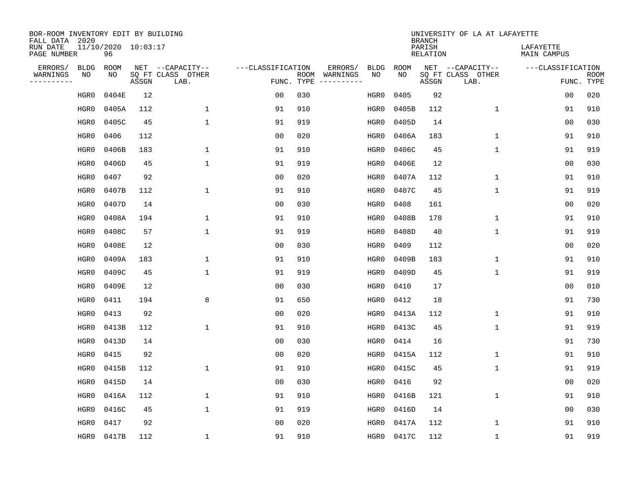| BOR-ROOM INVENTORY EDIT BY BUILDING<br>FALL DATA 2020 |                           |       |                           |                   |            |               |                   |                   | <b>BRANCH</b>             | UNIVERSITY OF LA AT LAFAYETTE |                          |                           |
|-------------------------------------------------------|---------------------------|-------|---------------------------|-------------------|------------|---------------|-------------------|-------------------|---------------------------|-------------------------------|--------------------------|---------------------------|
| RUN DATE<br>PAGE NUMBER                               | 11/10/2020 10:03:17<br>96 |       |                           |                   |            |               |                   |                   | PARISH<br><b>RELATION</b> |                               | LAFAYETTE<br>MAIN CAMPUS |                           |
| ERRORS/<br><b>BLDG</b><br>WARNINGS<br>ΝO              | ROOM                      |       | NET --CAPACITY--          | ---CLASSIFICATION |            | ERRORS/       | <b>BLDG</b><br>NO | <b>ROOM</b><br>NO |                           | NET --CAPACITY--              | ---CLASSIFICATION        |                           |
| ----------                                            | NO                        | ASSGN | SQ FT CLASS OTHER<br>LAB. |                   | FUNC. TYPE | ROOM WARNINGS |                   |                   | ASSGN                     | SQ FT CLASS OTHER<br>LAB.     |                          | <b>ROOM</b><br>FUNC. TYPE |
| HGR0                                                  | 0404E                     | 12    |                           | 00                | 030        |               | HGR0              | 0405              | 92                        |                               | 0 <sub>0</sub>           | 020                       |
| HGR0                                                  | 0405A                     | 112   | $\mathbf{1}$              | 91                | 910        |               | HGR0              | 0405B             | 112                       | $\mathbf 1$                   | 91                       | 910                       |
| HGR0                                                  | 0405C                     | 45    | $\mathbf{1}$              | 91                | 919        |               | HGR0              | 0405D             | 14                        |                               | 0 <sub>0</sub>           | 030                       |
| HGR0                                                  | 0406                      | 112   |                           | 0 <sub>0</sub>    | 020        |               | HGR0              | 0406A             | 183                       | $\mathbf 1$                   | 91                       | 910                       |
| HGR0                                                  | 0406B                     | 183   | $\mathbf 1$               | 91                | 910        |               | HGR0              | 0406C             | 45                        | $\mathbf 1$                   | 91                       | 919                       |
| HGR0                                                  | 0406D                     | 45    | $\mathbf{1}$              | 91                | 919        |               | HGR0              | 0406E             | 12                        |                               | 0 <sub>0</sub>           | 030                       |
| HGR0                                                  | 0407                      | 92    |                           | 0 <sub>0</sub>    | 020        |               | HGR0              | 0407A             | 112                       | $\mathbf{1}$                  | 91                       | 910                       |
| HGR0                                                  | 0407B                     | 112   | $\mathbf{1}$              | 91                | 910        |               | HGR0              | 0407C             | 45                        | $\mathbf{1}$                  | 91                       | 919                       |
| HGR0                                                  | 0407D                     | 14    |                           | 0 <sub>0</sub>    | 030        |               | HGR0              | 0408              | 161                       |                               | 0 <sub>0</sub>           | 020                       |
| HGR0                                                  | 0408A                     | 194   | $\mathbf{1}$              | 91                | 910        |               | HGR0              | 0408B             | 178                       | $\mathbf 1$                   | 91                       | 910                       |
| HGR0                                                  | 0408C                     | 57    | $\mathbf{1}$              | 91                | 919        |               | HGR0              | 0408D             | 40                        | $\mathbf 1$                   | 91                       | 919                       |
| HGR0                                                  | 0408E                     | 12    |                           | 0 <sub>0</sub>    | 030        |               | HGR0              | 0409              | 112                       |                               | 0 <sub>0</sub>           | 020                       |
| HGR0                                                  | 0409A                     | 183   | $\mathbf{1}$              | 91                | 910        |               | HGR0              | 0409B             | 183                       | $\mathbf 1$                   | 91                       | 910                       |
| HGR0                                                  | 0409C                     | 45    | $\mathbf{1}$              | 91                | 919        |               | HGR0              | 0409D             | 45                        | $\mathbf{1}$                  | 91                       | 919                       |
| HGR0                                                  | 0409E                     | 12    |                           | 0 <sub>0</sub>    | 030        |               | HGR0              | 0410              | 17                        |                               | 0 <sub>0</sub>           | 010                       |
| HGR0                                                  | 0411                      | 194   | 8                         | 91                | 650        |               | HGR0              | 0412              | 18                        |                               | 91                       | 730                       |
| HGR0                                                  | 0413                      | 92    |                           | 0 <sub>0</sub>    | 020        |               | HGR0              | 0413A             | 112                       | 1                             | 91                       | 910                       |
| HGR0                                                  | 0413B                     | 112   | $\mathbf{1}$              | 91                | 910        |               | HGR0              | 0413C             | 45                        | $\mathbf 1$                   | 91                       | 919                       |
| HGR0                                                  | 0413D                     | 14    |                           | 0 <sub>0</sub>    | 030        |               | HGR0              | 0414              | 16                        |                               | 91                       | 730                       |
| HGR0                                                  | 0415                      | 92    |                           | 0 <sub>0</sub>    | 020        |               | HGR0              | 0415A             | 112                       | $\mathbf 1$                   | 91                       | 910                       |
| HGR0                                                  | 0415B                     | 112   | $\mathbf{1}$              | 91                | 910        |               | HGR0              | 0415C             | 45                        | $\mathbf 1$                   | 91                       | 919                       |
| HGR0                                                  | 0415D                     | 14    |                           | 0 <sub>0</sub>    | 030        |               | HGR0              | 0416              | 92                        |                               | 0 <sub>0</sub>           | 020                       |
| HGR0                                                  | 0416A                     | 112   | $\mathbf{1}$              | 91                | 910        |               | HGR0              | 0416B             | 121                       | $\mathbf{1}$                  | 91                       | 910                       |
| HGR0                                                  | 0416C                     | 45    | $\mathbf{1}$              | 91                | 919        |               | HGR0              | 0416D             | 14                        |                               | 0 <sub>0</sub>           | 030                       |
| HGR0                                                  | 0417                      | 92    |                           | 0 <sub>0</sub>    | 020        |               | HGR0              | 0417A             | 112                       | 1                             | 91                       | 910                       |
| HGR0                                                  | 0417B                     | 112   | $\mathbf{1}$              | 91                | 910        |               | HGR0              | 0417C             | 112                       | 1                             | 91                       | 919                       |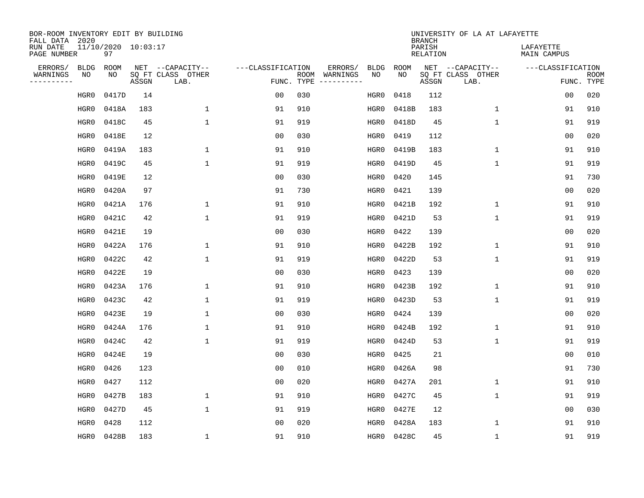| BOR-ROOM INVENTORY EDIT BY BUILDING<br>FALL DATA 2020 |                           |       |                           |                   |            |               |             |             | <b>BRANCH</b>             | UNIVERSITY OF LA AT LAFAYETTE |                          |                           |
|-------------------------------------------------------|---------------------------|-------|---------------------------|-------------------|------------|---------------|-------------|-------------|---------------------------|-------------------------------|--------------------------|---------------------------|
| RUN DATE<br>PAGE NUMBER                               | 11/10/2020 10:03:17<br>97 |       |                           |                   |            |               |             |             | PARISH<br><b>RELATION</b> |                               | LAFAYETTE<br>MAIN CAMPUS |                           |
| ERRORS/<br><b>BLDG</b>                                | ROOM                      |       | NET --CAPACITY--          | ---CLASSIFICATION |            | ERRORS/       | <b>BLDG</b> | <b>ROOM</b> |                           | NET --CAPACITY--              | ---CLASSIFICATION        |                           |
| WARNINGS<br>ΝO<br>----------                          | NO                        | ASSGN | SQ FT CLASS OTHER<br>LAB. |                   | FUNC. TYPE | ROOM WARNINGS | NO          | NO          | ASSGN                     | SQ FT CLASS OTHER<br>LAB.     |                          | <b>ROOM</b><br>FUNC. TYPE |
| HGR0                                                  | 0417D                     | 14    |                           | 0 <sub>0</sub>    | 030        |               | HGR0        | 0418        | 112                       |                               | 0 <sub>0</sub>           | 020                       |
| HGR0                                                  | 0418A                     | 183   | $\mathbf{1}$              | 91                | 910        |               | HGR0        | 0418B       | 183                       | $\mathbf 1$                   | 91                       | 910                       |
| HGR0                                                  | 0418C                     | 45    | $\mathbf{1}$              | 91                | 919        |               | HGR0        | 0418D       | 45                        | $\mathbf{1}$                  | 91                       | 919                       |
| HGR0                                                  | 0418E                     | 12    |                           | 0 <sub>0</sub>    | 030        |               | HGR0        | 0419        | 112                       |                               | 0 <sub>0</sub>           | 020                       |
| HGR0                                                  | 0419A                     | 183   | $\mathbf{1}$              | 91                | 910        |               | HGR0        | 0419B       | 183                       | $\mathbf{1}$                  | 91                       | 910                       |
| HGR0                                                  | 0419C                     | 45    | $\mathbf{1}$              | 91                | 919        |               | HGR0        | 0419D       | 45                        | $\mathbf{1}$                  | 91                       | 919                       |
| HGR0                                                  | 0419E                     | 12    |                           | 0 <sub>0</sub>    | 030        |               | HGR0        | 0420        | 145                       |                               | 91                       | 730                       |
| HGR0                                                  | 0420A                     | 97    |                           | 91                | 730        |               | HGR0        | 0421        | 139                       |                               | 0 <sub>0</sub>           | 020                       |
| HGR0                                                  | 0421A                     | 176   | $\mathbf{1}$              | 91                | 910        |               | HGR0        | 0421B       | 192                       | $\mathbf 1$                   | 91                       | 910                       |
| HGR0                                                  | 0421C                     | 42    | $\mathbf{1}$              | 91                | 919        |               | HGR0        | 0421D       | 53                        | $\mathbf 1$                   | 91                       | 919                       |
| HGR0                                                  | 0421E                     | 19    |                           | 0 <sub>0</sub>    | 030        |               | HGR0        | 0422        | 139                       |                               | 0 <sub>0</sub>           | 020                       |
| HGR0                                                  | 0422A                     | 176   | $\mathbf{1}$              | 91                | 910        |               | HGR0        | 0422B       | 192                       | $\mathbf{1}$                  | 91                       | 910                       |
| HGR0                                                  | 0422C                     | 42    | $\mathbf{1}$              | 91                | 919        |               | HGR0        | 0422D       | 53                        | $\mathbf 1$                   | 91                       | 919                       |
| HGR0                                                  | 0422E                     | 19    |                           | 00                | 030        |               | HGR0        | 0423        | 139                       |                               | 0 <sub>0</sub>           | 020                       |
| HGR0                                                  | 0423A                     | 176   | 1                         | 91                | 910        |               | HGR0        | 0423B       | 192                       | 1                             | 91                       | 910                       |
| HGR0                                                  | 0423C                     | 42    | $\mathbf{1}$              | 91                | 919        |               | HGR0        | 0423D       | 53                        | $\mathbf{1}$                  | 91                       | 919                       |
| HGR0                                                  | 0423E                     | 19    | $\mathbf{1}$              | 0 <sub>0</sub>    | 030        |               | HGR0        | 0424        | 139                       |                               | 0 <sub>0</sub>           | 020                       |
| HGR0                                                  | 0424A                     | 176   | $\mathbf{1}$              | 91                | 910        |               | HGR0        | 0424B       | 192                       | $\mathbf{1}$                  | 91                       | 910                       |
| HGR0                                                  | 0424C                     | 42    | $\mathbf{1}$              | 91                | 919        |               | HGR0        | 0424D       | 53                        | $\mathbf{1}$                  | 91                       | 919                       |
| HGR0                                                  | 0424E                     | 19    |                           | 0 <sub>0</sub>    | 030        |               | HGR0        | 0425        | 21                        |                               | 0 <sub>0</sub>           | 010                       |
| HGR0                                                  | 0426                      | 123   |                           | 0 <sub>0</sub>    | 010        |               | HGR0        | 0426A       | 98                        |                               | 91                       | 730                       |
| HGR0                                                  | 0427                      | 112   |                           | 0 <sub>0</sub>    | 020        |               | HGR0        | 0427A       | 201                       | $\mathbf 1$                   | 91                       | 910                       |
| HGR0                                                  | 0427B                     | 183   | $\mathbf{1}$              | 91                | 910        |               | HGR0        | 0427C       | 45                        | $\mathbf{1}$                  | 91                       | 919                       |
| HGR0                                                  | 0427D                     | 45    | $\mathbf{1}$              | 91                | 919        |               | HGR0        | 0427E       | 12                        |                               | 0 <sub>0</sub>           | 030                       |
| HGR0                                                  | 0428                      | 112   |                           | 0 <sub>0</sub>    | 020        |               | HGR0        | 0428A       | 183                       | $\mathbf 1$                   | 91                       | 910                       |
| HGR0                                                  | 0428B                     | 183   | $\mathbf{1}$              | 91                | 910        |               | HGR0        | 0428C       | 45                        | $\mathbf{1}$                  | 91                       | 919                       |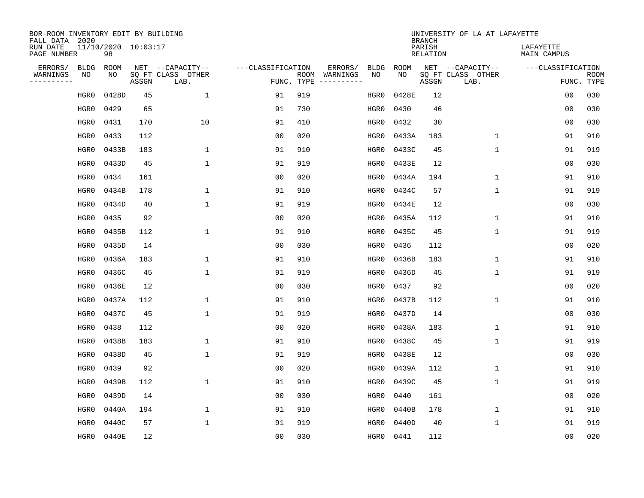| BOR-ROOM INVENTORY EDIT BY BUILDING<br>FALL DATA 2020 |             |                           |       |                           |                   |                    |                         |             |             | <b>BRANCH</b>             | UNIVERSITY OF LA AT LAFAYETTE |                          |                           |
|-------------------------------------------------------|-------------|---------------------------|-------|---------------------------|-------------------|--------------------|-------------------------|-------------|-------------|---------------------------|-------------------------------|--------------------------|---------------------------|
| RUN DATE<br>PAGE NUMBER                               |             | 11/10/2020 10:03:17<br>98 |       |                           |                   |                    |                         |             |             | PARISH<br><b>RELATION</b> |                               | LAFAYETTE<br>MAIN CAMPUS |                           |
| ERRORS/                                               | <b>BLDG</b> | ROOM                      |       | NET --CAPACITY--          | ---CLASSIFICATION |                    | ERRORS/                 | <b>BLDG</b> | <b>ROOM</b> |                           | NET --CAPACITY--              | ---CLASSIFICATION        |                           |
| WARNINGS<br>----------                                | NO          | NO                        | ASSGN | SQ FT CLASS OTHER<br>LAB. |                   | ROOM<br>FUNC. TYPE | WARNINGS<br>----------- | NO          | NO          | ASSGN                     | SQ FT CLASS OTHER<br>LAB.     |                          | <b>ROOM</b><br>FUNC. TYPE |
|                                                       | HGR0        | 0428D                     | 45    | 1                         | 91                | 919                |                         | HGR0        | 0428E       | 12                        |                               | 00                       | 030                       |
|                                                       | HGR0        | 0429                      | 65    |                           | 91                | 730                |                         | HGR0        | 0430        | 46                        |                               | 00                       | 030                       |
|                                                       | HGR0        | 0431                      | 170   | 10                        | 91                | 410                |                         | HGR0        | 0432        | 30                        |                               | 00                       | 030                       |
|                                                       | HGR0        | 0433                      | 112   |                           | 0 <sub>0</sub>    | 020                |                         | HGR0        | 0433A       | 183                       | 1                             | 91                       | 910                       |
|                                                       | HGR0        | 0433B                     | 183   | $\mathbf 1$               | 91                | 910                |                         | HGR0        | 0433C       | 45                        | $\mathbf 1$                   | 91                       | 919                       |
|                                                       | HGR0        | 0433D                     | 45    | $\mathbf{1}$              | 91                | 919                |                         | HGR0        | 0433E       | 12                        |                               | 0 <sub>0</sub>           | 030                       |
|                                                       | HGR0        | 0434                      | 161   |                           | 0 <sub>0</sub>    | 020                |                         | HGR0        | 0434A       | 194                       | $\mathbf{1}$                  | 91                       | 910                       |
|                                                       | HGR0        | 0434B                     | 178   | $\mathbf{1}$              | 91                | 910                |                         | HGR0        | 0434C       | 57                        | $\mathbf{1}$                  | 91                       | 919                       |
|                                                       | HGR0        | 0434D                     | 40    | $\mathbf{1}$              | 91                | 919                |                         | HGR0        | 0434E       | 12                        |                               | 0 <sub>0</sub>           | 030                       |
|                                                       | HGR0        | 0435                      | 92    |                           | 0 <sub>0</sub>    | 020                |                         | HGR0        | 0435A       | 112                       | $\mathbf 1$                   | 91                       | 910                       |
|                                                       | HGR0        | 0435B                     | 112   | $\mathbf 1$               | 91                | 910                |                         | HGR0        | 0435C       | 45                        | $\mathbf 1$                   | 91                       | 919                       |
|                                                       | HGR0        | 0435D                     | 14    |                           | 0 <sub>0</sub>    | 030                |                         | HGR0        | 0436        | 112                       |                               | 0 <sub>0</sub>           | 020                       |
|                                                       | HGR0        | 0436A                     | 183   | 1                         | 91                | 910                |                         | HGR0        | 0436B       | 183                       | $\mathbf 1$                   | 91                       | 910                       |
|                                                       | HGR0        | 0436C                     | 45    | $\mathbf{1}$              | 91                | 919                |                         | HGR0        | 0436D       | 45                        | 1                             | 91                       | 919                       |
|                                                       | HGR0        | 0436E                     | 12    |                           | 0 <sub>0</sub>    | 030                |                         | HGR0        | 0437        | 92                        |                               | 0 <sub>0</sub>           | 020                       |
|                                                       | HGR0        | 0437A                     | 112   | 1                         | 91                | 910                |                         | HGR0        | 0437B       | 112                       | 1                             | 91                       | 910                       |
|                                                       | HGR0        | 0437C                     | 45    | $\mathbf{1}$              | 91                | 919                |                         | HGR0        | 0437D       | 14                        |                               | 00                       | 030                       |
|                                                       | HGR0        | 0438                      | 112   |                           | 0 <sub>0</sub>    | 020                |                         | HGR0        | 0438A       | 183                       | 1                             | 91                       | 910                       |
|                                                       | HGR0        | 0438B                     | 183   | 1                         | 91                | 910                |                         | HGR0        | 0438C       | 45                        | 1                             | 91                       | 919                       |
|                                                       | HGR0        | 0438D                     | 45    | $\mathbf{1}$              | 91                | 919                |                         | HGR0        | 0438E       | 12                        |                               | 0 <sub>0</sub>           | 030                       |
|                                                       | HGR0        | 0439                      | 92    |                           | 0 <sub>0</sub>    | 020                |                         | HGR0        | 0439A       | 112                       | 1                             | 91                       | 910                       |
|                                                       | HGR0        | 0439B                     | 112   | $\mathbf{1}$              | 91                | 910                |                         | HGR0        | 0439C       | 45                        | $\mathbf{1}$                  | 91                       | 919                       |
|                                                       | HGR0        | 0439D                     | 14    |                           | 0 <sub>0</sub>    | 030                |                         | HGR0        | 0440        | 161                       |                               | 0 <sub>0</sub>           | 020                       |
|                                                       | HGR0        | 0440A                     | 194   | 1                         | 91                | 910                |                         | HGR0        | 0440B       | 178                       | $\mathbf{1}$                  | 91                       | 910                       |
|                                                       | HGR0        | 0440C                     | 57    | $\mathbf{1}$              | 91                | 919                |                         | HGR0        | 0440D       | 40                        | $\mathbf{1}$                  | 91                       | 919                       |
|                                                       | HGR0        | 0440E                     | 12    |                           | 0 <sub>0</sub>    | 030                |                         | HGR0        | 0441        | 112                       |                               | 00                       | 020                       |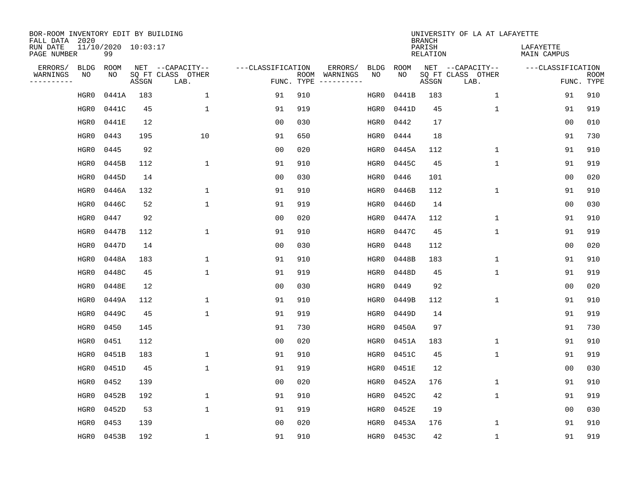| BOR-ROOM INVENTORY EDIT BY BUILDING<br>FALL DATA 2020 |                           |       |                           |                   |            |                              |             |             | <b>BRANCH</b>             | UNIVERSITY OF LA AT LAFAYETTE |                                 |                           |
|-------------------------------------------------------|---------------------------|-------|---------------------------|-------------------|------------|------------------------------|-------------|-------------|---------------------------|-------------------------------|---------------------------------|---------------------------|
| RUN DATE<br>PAGE NUMBER                               | 11/10/2020 10:03:17<br>99 |       |                           |                   |            |                              |             |             | PARISH<br><b>RELATION</b> |                               | LAFAYETTE<br><b>MAIN CAMPUS</b> |                           |
| ERRORS/<br><b>BLDG</b>                                | ROOM                      |       | NET --CAPACITY--          | ---CLASSIFICATION |            | ERRORS/                      | <b>BLDG</b> | <b>ROOM</b> |                           | NET --CAPACITY--              | ---CLASSIFICATION               |                           |
| WARNINGS<br>ΝO<br>----------                          | NO                        | ASSGN | SQ FT CLASS OTHER<br>LAB. |                   | FUNC. TYPE | ROOM WARNINGS<br>----------- | NO          | NO          | ASSGN                     | SQ FT CLASS OTHER<br>LAB.     |                                 | <b>ROOM</b><br>FUNC. TYPE |
| HGR0                                                  | 0441A                     | 183   | $\mathbf 1$               | 91                | 910        |                              | HGR0        | 0441B       | 183                       | $\mathbf 1$                   | 91                              | 910                       |
| HGR0                                                  | 0441C                     | 45    | $\mathbf{1}$              | 91                | 919        |                              | HGR0        | 0441D       | 45                        | $\mathbf{1}$                  | 91                              | 919                       |
| HGR0                                                  | 0441E                     | 12    |                           | 0 <sub>0</sub>    | 030        |                              | HGR0        | 0442        | 17                        |                               | 0 <sub>0</sub>                  | 010                       |
| HGR0                                                  | 0443                      | 195   | 10                        | 91                | 650        |                              | HGR0        | 0444        | 18                        |                               | 91                              | 730                       |
| HGR0                                                  | 0445                      | 92    |                           | 0 <sub>0</sub>    | 020        |                              | HGR0        | 0445A       | 112                       | $\mathbf 1$                   | 91                              | 910                       |
| HGR0                                                  | 0445B                     | 112   | $\mathbf{1}$              | 91                | 910        |                              | HGR0        | 0445C       | 45                        | $\mathbf{1}$                  | 91                              | 919                       |
| HGR0                                                  | 0445D                     | 14    |                           | 0 <sub>0</sub>    | 030        |                              | HGR0        | 0446        | 101                       |                               | 0 <sub>0</sub>                  | 020                       |
| HGR0                                                  | 0446A                     | 132   | $\mathbf{1}$              | 91                | 910        |                              | HGR0        | 0446B       | 112                       | $\mathbf{1}$                  | 91                              | 910                       |
| HGR0                                                  | 0446C                     | 52    | $\mathbf{1}$              | 91                | 919        |                              | HGR0        | 0446D       | 14                        |                               | 0 <sub>0</sub>                  | 030                       |
| HGR0                                                  | 0447                      | 92    |                           | 0 <sub>0</sub>    | 020        |                              | HGR0        | 0447A       | 112                       | $\mathbf 1$                   | 91                              | 910                       |
| HGR0                                                  | 0447B                     | 112   | $\mathbf{1}$              | 91                | 910        |                              | HGR0        | 0447C       | 45                        | $\mathbf{1}$                  | 91                              | 919                       |
| HGR0                                                  | 0447D                     | 14    |                           | 0 <sub>0</sub>    | 030        |                              | HGR0        | 0448        | 112                       |                               | 0 <sub>0</sub>                  | 020                       |
| HGR0                                                  | 0448A                     | 183   | $\mathbf{1}$              | 91                | 910        |                              | HGR0        | 0448B       | 183                       | $\mathbf 1$                   | 91                              | 910                       |
| HGR0                                                  | 0448C                     | 45    | $\mathbf{1}$              | 91                | 919        |                              | HGR0        | 0448D       | 45                        | $\mathbf 1$                   | 91                              | 919                       |
| HGR0                                                  | 0448E                     | 12    |                           | 0 <sub>0</sub>    | 030        |                              | HGR0        | 0449        | 92                        |                               | 0 <sub>0</sub>                  | 020                       |
| HGR0                                                  | 0449A                     | 112   | $\mathbf{1}$              | 91                | 910        |                              | HGR0        | 0449B       | 112                       | $\mathbf{1}$                  | 91                              | 910                       |
| HGR0                                                  | 0449C                     | 45    | $\mathbf{1}$              | 91                | 919        |                              | HGR0        | 0449D       | 14                        |                               | 91                              | 919                       |
| HGR0                                                  | 0450                      | 145   |                           | 91                | 730        |                              | HGR0        | 0450A       | 97                        |                               | 91                              | 730                       |
| HGR0                                                  | 0451                      | 112   |                           | 0 <sub>0</sub>    | 020        |                              | HGR0        | 0451A       | 183                       | $\mathbf{1}$                  | 91                              | 910                       |
| HGR0                                                  | 0451B                     | 183   | 1                         | 91                | 910        |                              | HGR0        | 0451C       | 45                        | $\mathbf 1$                   | 91                              | 919                       |
| HGR0                                                  | 0451D                     | 45    | $\mathbf{1}$              | 91                | 919        |                              | HGR0        | 0451E       | 12                        |                               | 0 <sub>0</sub>                  | 030                       |
| HGR0                                                  | 0452                      | 139   |                           | 0 <sub>0</sub>    | 020        |                              | HGR0        | 0452A       | 176                       | $\mathbf 1$                   | 91                              | 910                       |
| HGR0                                                  | 0452B                     | 192   | $\mathbf{1}$              | 91                | 910        |                              | HGR0        | 0452C       | 42                        | $\mathbf{1}$                  | 91                              | 919                       |
| HGR0                                                  | 0452D                     | 53    | $\mathbf{1}$              | 91                | 919        |                              | HGR0        | 0452E       | 19                        |                               | 0 <sub>0</sub>                  | 030                       |
| HGR0                                                  | 0453                      | 139   |                           | 0 <sub>0</sub>    | 020        |                              | HGR0        | 0453A       | 176                       | $\mathbf{1}$                  | 91                              | 910                       |
| HGR0                                                  | 0453B                     | 192   | $\mathbf{1}$              | 91                | 910        |                              | HGR0        | 0453C       | 42                        | $\mathbf{1}$                  | 91                              | 919                       |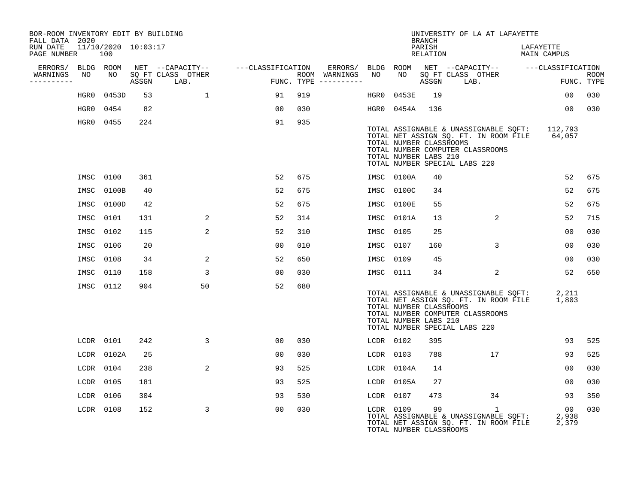| BOR-ROOM INVENTORY EDIT BY BUILDING<br>FALL DATA 2020 |           |                            |     |                                    |                                                                                                                                                                                                                                  |     |                                         |           |                | <b>BRANCH</b>                                    | UNIVERSITY OF LA AT LAFAYETTE                                                                                                                                      |                                 |                    |
|-------------------------------------------------------|-----------|----------------------------|-----|------------------------------------|----------------------------------------------------------------------------------------------------------------------------------------------------------------------------------------------------------------------------------|-----|-----------------------------------------|-----------|----------------|--------------------------------------------------|--------------------------------------------------------------------------------------------------------------------------------------------------------------------|---------------------------------|--------------------|
| RUN DATE<br>PAGE NUMBER                               |           | 11/10/2020 10:03:17<br>100 |     |                                    |                                                                                                                                                                                                                                  |     |                                         |           |                | PARISH<br>RELATION                               |                                                                                                                                                                    | LAFAYETTE<br><b>MAIN CAMPUS</b> |                    |
| ERRORS/ BLDG ROOM                                     |           |                            |     |                                    | NET --CAPACITY-- ---CLASSIFICATION                                                                                                                                                                                               |     |                                         |           |                |                                                  | ERRORS/ BLDG ROOM NET --CAPACITY-- ----CLASSIFICATION                                                                                                              |                                 |                    |
| WARNINGS NO<br>----------                             |           |                            |     | NO SQ FT CLASS OTHER<br>ASSGN LAB. | en de la primiera de la primiera de la propieta de la propieta de la propieta de la propieta de la propieta de<br>En 1910, en 1910, en 1910, en 1910, en 1910, en 1910, en 1920, en 1920, en 1920, en 1920, en 1920, en 1920, en |     | ROOM WARNINGS NO<br>FUNC. TYPE $------$ |           |                |                                                  | NO SQ FT CLASS OTHER<br>ASSGN LAB.                                                                                                                                 |                                 | ROOM<br>FUNC. TYPE |
|                                                       |           | HGR0 0453D                 | 53  | $\mathbf{1}$                       | 91                                                                                                                                                                                                                               | 919 |                                         | HGR0      | 0453E          | 19                                               |                                                                                                                                                                    | 00                              | 030                |
|                                                       |           | HGR0 0454                  | 82  |                                    | 00                                                                                                                                                                                                                               | 030 |                                         |           | HGR0 0454A 136 |                                                  |                                                                                                                                                                    | 00 <sup>o</sup>                 | 030                |
|                                                       |           | HGR0 0455                  | 224 |                                    | 91                                                                                                                                                                                                                               | 935 |                                         |           |                | TOTAL NUMBER CLASSROOMS<br>TOTAL NUMBER LABS 210 | TOTAL ASSIGNABLE & UNASSIGNABLE SQFT: 112,793<br>TOTAL NET ASSIGN SQ. FT. IN ROOM FILE 64,057<br>TOTAL NUMBER COMPUTER CLASSROOMS<br>TOTAL NUMBER SPECIAL LABS 220 |                                 |                    |
|                                                       |           | IMSC 0100                  | 361 |                                    | 52                                                                                                                                                                                                                               | 675 |                                         |           | IMSC 0100A     | 40                                               |                                                                                                                                                                    | 52                              | 675                |
|                                                       | IMSC      | 0100B                      | 40  |                                    | 52                                                                                                                                                                                                                               | 675 |                                         |           | IMSC 0100C     | 34                                               |                                                                                                                                                                    | 52                              | 675                |
|                                                       |           | IMSC 0100D                 | 42  |                                    | 52                                                                                                                                                                                                                               | 675 |                                         |           | IMSC 0100E     | 55                                               |                                                                                                                                                                    | 52                              | 675                |
|                                                       |           | IMSC 0101                  | 131 | 2                                  | 52                                                                                                                                                                                                                               | 314 |                                         |           | IMSC 0101A     | 13 <sup>°</sup>                                  | 2                                                                                                                                                                  | 52                              | 715                |
|                                                       | IMSC 0102 |                            | 115 | 2                                  | 52                                                                                                                                                                                                                               | 310 |                                         | IMSC 0105 |                | 25                                               |                                                                                                                                                                    | 00                              | 030                |
|                                                       | IMSC 0106 |                            | 20  |                                    | 0 <sub>0</sub>                                                                                                                                                                                                                   | 010 |                                         | IMSC 0107 |                | 160                                              | 3                                                                                                                                                                  | 0 <sub>0</sub>                  | 030                |
|                                                       | IMSC 0108 |                            | 34  | 2                                  | 52                                                                                                                                                                                                                               | 650 |                                         | IMSC 0109 |                | 45                                               |                                                                                                                                                                    | 00                              | 030                |
|                                                       | IMSC 0110 |                            | 158 | 3                                  | 00                                                                                                                                                                                                                               | 030 |                                         | IMSC 0111 |                | 34                                               | 2                                                                                                                                                                  | 52                              | 650                |
|                                                       |           | IMSC 0112                  | 904 | 50                                 | 52                                                                                                                                                                                                                               | 680 |                                         |           |                | TOTAL NUMBER CLASSROOMS<br>TOTAL NUMBER LABS 210 | TOTAL ASSIGNABLE & UNASSIGNABLE SOFT: 2,211<br>TOTAL NET ASSIGN SQ. FT. IN ROOM FILE<br>TOTAL NUMBER COMPUTER CLASSROOMS<br>TOTAL NUMBER SPECIAL LABS 220          | 1,803                           |                    |
|                                                       |           | LCDR 0101                  | 242 | 3                                  | 00                                                                                                                                                                                                                               | 030 |                                         | LCDR 0102 |                | 395                                              |                                                                                                                                                                    | 93                              | 525                |
|                                                       |           | LCDR 0102A                 | 25  |                                    | 00                                                                                                                                                                                                                               | 030 |                                         | LCDR 0103 |                | 788                                              | 17                                                                                                                                                                 | 93                              | 525                |
|                                                       |           | $LCDR$ 0104                | 238 | 2                                  | 93                                                                                                                                                                                                                               | 525 |                                         |           | LCDR 0104A     | 14                                               |                                                                                                                                                                    | 0 <sub>0</sub>                  | 030                |
|                                                       | LCDR 0105 |                            | 181 |                                    | 93                                                                                                                                                                                                                               | 525 |                                         |           | LCDR 0105A     | 27                                               |                                                                                                                                                                    | 00                              | 030                |
|                                                       | LCDR 0106 |                            | 304 |                                    | 93                                                                                                                                                                                                                               | 530 |                                         | LCDR 0107 |                | 473                                              | 34                                                                                                                                                                 | 93                              | 350                |
|                                                       | LCDR 0108 |                            | 152 | 3                                  | 0 <sub>0</sub>                                                                                                                                                                                                                   | 030 |                                         | LCDR 0109 |                | 99<br>TOTAL NUMBER CLASSROOMS                    | $\mathbf{1}$<br>TOTAL ASSIGNABLE & UNASSIGNABLE SQFT:<br>TOTAL NET ASSIGN SQ. FT. IN ROOM FILE                                                                     | 00<br>2,938<br>2,379            | 030                |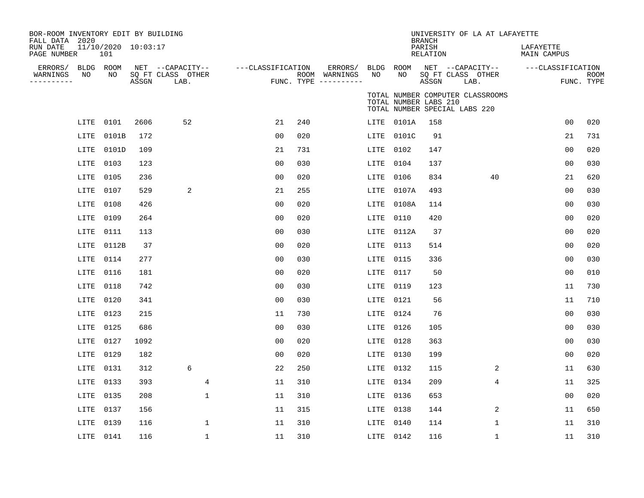| BOR-ROOM INVENTORY EDIT BY BUILDING<br>FALL DATA 2020<br>RUN DATE |           | 11/10/2020 10:03:17 |       |                                               |                   |     |                                                 |                 |                       | <b>BRANCH</b><br>PARISH | UNIVERSITY OF LA AT LAFAYETTE                                     | LAFAYETTE         |                    |
|-------------------------------------------------------------------|-----------|---------------------|-------|-----------------------------------------------|-------------------|-----|-------------------------------------------------|-----------------|-----------------------|-------------------------|-------------------------------------------------------------------|-------------------|--------------------|
| PAGE NUMBER                                                       |           | 101                 |       |                                               |                   |     |                                                 |                 |                       | RELATION                |                                                                   | MAIN CAMPUS       |                    |
| ERRORS/ BLDG ROOM<br>WARNINGS<br>----------                       | NO        | NO                  | ASSGN | NET --CAPACITY--<br>SQ FT CLASS OTHER<br>LAB. | ---CLASSIFICATION |     | ERRORS/<br>ROOM WARNINGS<br>FUNC. TYPE $------$ | BLDG ROOM<br>NO | NO                    | ASSGN                   | NET --CAPACITY--<br>SQ FT CLASS OTHER<br>LAB.                     | ---CLASSIFICATION | ROOM<br>FUNC. TYPE |
|                                                                   |           |                     |       |                                               |                   |     |                                                 |                 | TOTAL NUMBER LABS 210 |                         | TOTAL NUMBER COMPUTER CLASSROOMS<br>TOTAL NUMBER SPECIAL LABS 220 |                   |                    |
|                                                                   | LITE      | 0101                | 2606  | 52                                            | 21                | 240 |                                                 |                 | LITE 0101A            | 158                     |                                                                   | 00                | 020                |
|                                                                   | LITE      | 0101B               | 172   |                                               | 0 <sub>0</sub>    | 020 |                                                 | LITE            | 0101C                 | 91                      |                                                                   | 21                | 731                |
|                                                                   | LITE      | 0101D               | 109   |                                               | 21                | 731 |                                                 | LITE            | 0102                  | 147                     |                                                                   | 0 <sub>0</sub>    | 020                |
|                                                                   | LITE      | 0103                | 123   |                                               | 0 <sub>0</sub>    | 030 |                                                 | LITE            | 0104                  | 137                     |                                                                   | 0 <sub>0</sub>    | 030                |
|                                                                   | LITE      | 0105                | 236   |                                               | 0 <sub>0</sub>    | 020 |                                                 | LITE            | 0106                  | 834                     | 40                                                                | 21                | 620                |
|                                                                   | LITE      | 0107                | 529   | 2                                             | 21                | 255 |                                                 | LITE            | 0107A                 | 493                     |                                                                   | 00                | 030                |
|                                                                   | LITE      | 0108                | 426   |                                               | 0 <sub>0</sub>    | 020 |                                                 | LITE            | 0108A                 | 114                     |                                                                   | 0 <sub>0</sub>    | 030                |
|                                                                   | LITE      | 0109                | 264   |                                               | 0 <sub>0</sub>    | 020 |                                                 | LITE            | 0110                  | 420                     |                                                                   | 00                | 020                |
|                                                                   | LITE      | 0111                | 113   |                                               | 0 <sub>0</sub>    | 030 |                                                 | LITE            | 0112A                 | 37                      |                                                                   | 00                | 020                |
|                                                                   | LITE      | 0112B               | 37    |                                               | 0 <sub>0</sub>    | 020 |                                                 | LITE            | 0113                  | 514                     |                                                                   | 00                | 020                |
|                                                                   | LITE      | 0114                | 277   |                                               | 0 <sub>0</sub>    | 030 |                                                 | LITE            | 0115                  | 336                     |                                                                   | 0 <sub>0</sub>    | 030                |
|                                                                   | LITE      | 0116                | 181   |                                               | 0 <sub>0</sub>    | 020 |                                                 | LITE            | 0117                  | 50                      |                                                                   | 0 <sub>0</sub>    | 010                |
|                                                                   | LITE      | 0118                | 742   |                                               | 0 <sub>0</sub>    | 030 |                                                 | LITE            | 0119                  | 123                     |                                                                   | 11                | 730                |
|                                                                   | LITE      | 0120                | 341   |                                               | 0 <sub>0</sub>    | 030 |                                                 | LITE            | 0121                  | 56                      |                                                                   | 11                | 710                |
|                                                                   | LITE      | 0123                | 215   |                                               | 11                | 730 |                                                 | LITE            | 0124                  | 76                      |                                                                   | 0 <sub>0</sub>    | 030                |
|                                                                   | LITE      | 0125                | 686   |                                               | 0 <sub>0</sub>    | 030 |                                                 | LITE            | 0126                  | 105                     |                                                                   | 0 <sub>0</sub>    | 030                |
|                                                                   | LITE      | 0127                | 1092  |                                               | 0 <sub>0</sub>    | 020 |                                                 | LITE            | 0128                  | 363                     |                                                                   | 0 <sub>0</sub>    | 030                |
|                                                                   | LITE      | 0129                | 182   |                                               | 0 <sub>0</sub>    | 020 |                                                 | LITE            | 0130                  | 199                     |                                                                   | 0 <sub>0</sub>    | 020                |
|                                                                   | LITE      | 0131                | 312   | 6                                             | 22                | 250 |                                                 | LITE            | 0132                  | 115                     | 2                                                                 | 11                | 630                |
|                                                                   | LITE      | 0133                | 393   | 4                                             | 11                | 310 |                                                 | LITE            | 0134                  | 209                     | $\overline{4}$                                                    | 11                | 325                |
|                                                                   | LITE      | 0135                | 208   | $\mathbf 1$                                   | 11                | 310 |                                                 | LITE            | 0136                  | 653                     |                                                                   | 00                | 020                |
|                                                                   | LITE      | 0137                | 156   |                                               | 11                | 315 |                                                 | LITE            | 0138                  | 144                     | 2                                                                 | 11                | 650                |
|                                                                   | LITE      | 0139                | 116   | 1                                             | 11                | 310 |                                                 | LITE            | 0140                  | 114                     | 1                                                                 | 11                | 310                |
|                                                                   | LITE 0141 |                     | 116   | $\mathbf 1$                                   | 11                | 310 |                                                 | LITE 0142       |                       | 116                     | 1                                                                 | 11                | 310                |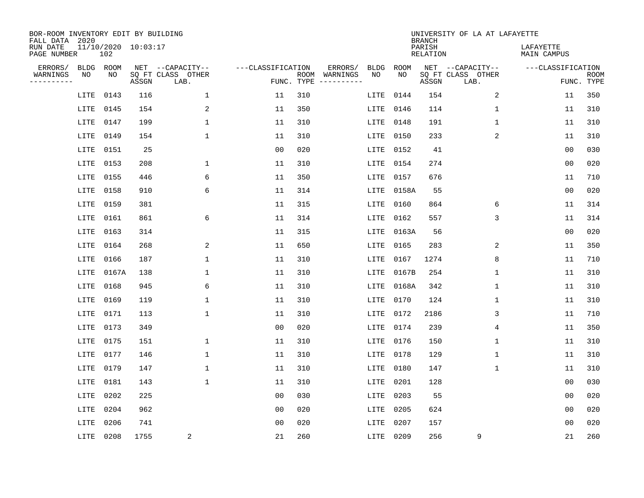| BOR-ROOM INVENTORY EDIT BY BUILDING<br>FALL DATA 2020 |             |       |                     |                           |                   |                    |                         |             |             | <b>BRANCH</b>             | UNIVERSITY OF LA AT LAFAYETTE |                          |                           |
|-------------------------------------------------------|-------------|-------|---------------------|---------------------------|-------------------|--------------------|-------------------------|-------------|-------------|---------------------------|-------------------------------|--------------------------|---------------------------|
| RUN DATE<br>PAGE NUMBER                               |             | 102   | 11/10/2020 10:03:17 |                           |                   |                    |                         |             |             | PARISH<br><b>RELATION</b> |                               | LAFAYETTE<br>MAIN CAMPUS |                           |
| ERRORS/                                               | <b>BLDG</b> | ROOM  |                     | NET --CAPACITY--          | ---CLASSIFICATION |                    | ERRORS/                 | <b>BLDG</b> | <b>ROOM</b> |                           | NET --CAPACITY--              | ---CLASSIFICATION        |                           |
| WARNINGS<br>----------                                | NO          | ΝO    | ASSGN               | SQ FT CLASS OTHER<br>LAB. |                   | ROOM<br>FUNC. TYPE | WARNINGS<br>----------- | NO          | NO          | ASSGN                     | SQ FT CLASS OTHER<br>LAB.     |                          | <b>ROOM</b><br>FUNC. TYPE |
|                                                       | LITE        | 0143  | 116                 | 1                         | 11                | 310                |                         | LITE        | 0144        | 154                       | 2                             | 11                       | 350                       |
|                                                       | LITE        | 0145  | 154                 | 2                         | 11                | 350                |                         | LITE        | 0146        | 114                       | 1                             | 11                       | 310                       |
|                                                       | LITE        | 0147  | 199                 | $\mathbf 1$               | 11                | 310                |                         | LITE        | 0148        | 191                       | 1                             | 11                       | 310                       |
|                                                       | LITE        | 0149  | 154                 | 1                         | 11                | 310                |                         | LITE        | 0150        | 233                       | 2                             | 11                       | 310                       |
|                                                       | LITE        | 0151  | 25                  |                           | 0 <sub>0</sub>    | 020                |                         | LITE        | 0152        | 41                        |                               | 0 <sub>0</sub>           | 030                       |
|                                                       | LITE        | 0153  | 208                 | 1                         | 11                | 310                |                         | LITE        | 0154        | 274                       |                               | 0 <sub>0</sub>           | 020                       |
|                                                       | LITE        | 0155  | 446                 | 6                         | 11                | 350                |                         | LITE        | 0157        | 676                       |                               | 11                       | 710                       |
|                                                       | LITE        | 0158  | 910                 | 6                         | 11                | 314                |                         | LITE        | 0158A       | 55                        |                               | 0 <sub>0</sub>           | 020                       |
|                                                       | LITE        | 0159  | 381                 |                           | 11                | 315                |                         | LITE        | 0160        | 864                       | 6                             | 11                       | 314                       |
|                                                       | LITE        | 0161  | 861                 | 6                         | 11                | 314                |                         | LITE        | 0162        | 557                       | 3                             | 11                       | 314                       |
|                                                       | LITE        | 0163  | 314                 |                           | 11                | 315                |                         | LITE        | 0163A       | 56                        |                               | 0 <sub>0</sub>           | 020                       |
|                                                       | LITE        | 0164  | 268                 | 2                         | 11                | 650                |                         | LITE        | 0165        | 283                       | 2                             | 11                       | 350                       |
|                                                       | LITE        | 0166  | 187                 | $\mathbf 1$               | 11                | 310                |                         | LITE        | 0167        | 1274                      | 8                             | 11                       | 710                       |
|                                                       | LITE        | 0167A | 138                 | 1                         | 11                | 310                |                         | LITE        | 0167B       | 254                       | 1                             | 11                       | 310                       |
|                                                       | LITE        | 0168  | 945                 | 6                         | 11                | 310                |                         | LITE        | 0168A       | 342                       | 1                             | 11                       | 310                       |
|                                                       | LITE        | 0169  | 119                 | $\mathbf 1$               | 11                | 310                |                         | LITE        | 0170        | 124                       | 1                             | 11                       | 310                       |
|                                                       | LITE        | 0171  | 113                 | 1                         | 11                | 310                |                         | LITE        | 0172        | 2186                      | 3                             | 11                       | 710                       |
|                                                       | LITE        | 0173  | 349                 |                           | 0 <sub>0</sub>    | 020                |                         | LITE        | 0174        | 239                       | 4                             | 11                       | 350                       |
|                                                       | LITE        | 0175  | 151                 | 1                         | 11                | 310                |                         | LITE        | 0176        | 150                       | 1                             | 11                       | 310                       |
|                                                       | LITE        | 0177  | 146                 | 1                         | 11                | 310                |                         | LITE        | 0178        | 129                       | 1                             | 11                       | 310                       |
|                                                       | LITE        | 0179  | 147                 | 1                         | 11                | 310                |                         | LITE        | 0180        | 147                       | 1                             | 11                       | 310                       |
|                                                       | LITE        | 0181  | 143                 | $\mathbf 1$               | 11                | 310                |                         | LITE        | 0201        | 128                       |                               | 0 <sub>0</sub>           | 030                       |
|                                                       | LITE        | 0202  | 225                 |                           | 0 <sub>0</sub>    | 030                |                         | LITE        | 0203        | 55                        |                               | 0 <sub>0</sub>           | 020                       |
|                                                       | LITE        | 0204  | 962                 |                           | 0 <sub>0</sub>    | 020                |                         | LITE        | 0205        | 624                       |                               | 0 <sub>0</sub>           | 020                       |
|                                                       | LITE        | 0206  | 741                 |                           | 0 <sub>0</sub>    | 020                |                         | LITE        | 0207        | 157                       |                               | 0 <sub>0</sub>           | 020                       |
|                                                       | LITE        | 0208  | 1755                | 2                         | 21                | 260                |                         | LITE 0209   |             | 256                       | 9                             | 21                       | 260                       |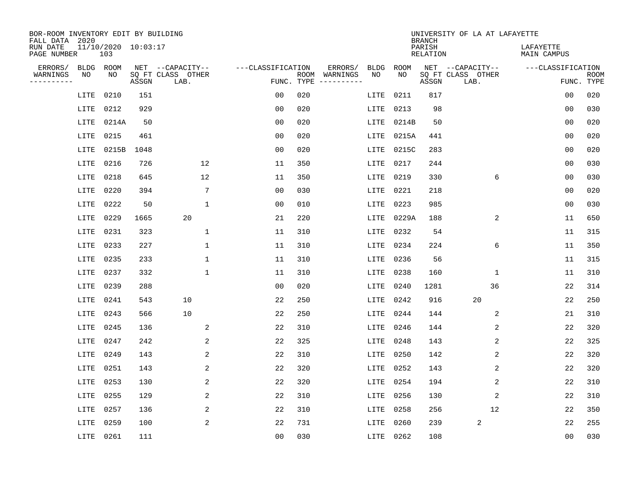| BOR-ROOM INVENTORY EDIT BY BUILDING<br>FALL DATA 2020 |                            |       |                           |                   |            |                              |             |             | <b>BRANCH</b>             | UNIVERSITY OF LA AT LAFAYETTE |                          |                           |
|-------------------------------------------------------|----------------------------|-------|---------------------------|-------------------|------------|------------------------------|-------------|-------------|---------------------------|-------------------------------|--------------------------|---------------------------|
| RUN DATE<br>PAGE NUMBER                               | 11/10/2020 10:03:17<br>103 |       |                           |                   |            |                              |             |             | PARISH<br><b>RELATION</b> |                               | LAFAYETTE<br>MAIN CAMPUS |                           |
| ERRORS/<br><b>BLDG</b>                                | ROOM                       |       | NET --CAPACITY--          | ---CLASSIFICATION |            | ERRORS/                      | <b>BLDG</b> | <b>ROOM</b> |                           | NET --CAPACITY--              | ---CLASSIFICATION        |                           |
| WARNINGS<br>NO<br>----------                          | NO                         | ASSGN | SQ FT CLASS OTHER<br>LAB. |                   | FUNC. TYPE | ROOM WARNINGS<br>----------- | NO          | NO          | ASSGN                     | SQ FT CLASS OTHER<br>LAB.     |                          | <b>ROOM</b><br>FUNC. TYPE |
| LITE                                                  | 0210                       | 151   |                           | 0 <sub>0</sub>    | 020        |                              | LITE        | 0211        | 817                       |                               | 00                       | 020                       |
| LITE                                                  | 0212                       | 929   |                           | 0 <sub>0</sub>    | 020        |                              | LITE        | 0213        | 98                        |                               | 00                       | 030                       |
| LITE                                                  | 0214A                      | 50    |                           | 0 <sub>0</sub>    | 020        |                              | LITE        | 0214B       | 50                        |                               | 0 <sub>0</sub>           | 020                       |
| LITE                                                  | 0215                       | 461   |                           | 0 <sub>0</sub>    | 020        |                              | LITE        | 0215A       | 441                       |                               | 0 <sub>0</sub>           | 020                       |
| LITE                                                  | 0215B                      | 1048  |                           | 0 <sub>0</sub>    | 020        |                              | LITE        | 0215C       | 283                       |                               | 0 <sub>0</sub>           | 020                       |
| LITE                                                  | 0216                       | 726   | 12                        | 11                | 350        |                              | LITE        | 0217        | 244                       |                               | 0 <sub>0</sub>           | 030                       |
| LITE                                                  | 0218                       | 645   | 12                        | 11                | 350        |                              | LITE        | 0219        | 330                       | 6                             | 0 <sub>0</sub>           | 030                       |
| LITE                                                  | 0220                       | 394   | $7\phantom{.0}$           | 0 <sub>0</sub>    | 030        |                              | LITE        | 0221        | 218                       |                               | 0 <sub>0</sub>           | 020                       |
| LITE                                                  | 0222                       | 50    | $\mathbf{1}$              | 0 <sub>0</sub>    | 010        |                              | LITE        | 0223        | 985                       |                               | 0 <sub>0</sub>           | 030                       |
| LITE                                                  | 0229                       | 1665  | 20                        | 21                | 220        |                              | LITE        | 0229A       | 188                       | 2                             | 11                       | 650                       |
| LITE                                                  | 0231                       | 323   | $\mathbf{1}$              | 11                | 310        |                              | LITE        | 0232        | 54                        |                               | 11                       | 315                       |
| LITE                                                  | 0233                       | 227   | $\mathbf{1}$              | 11                | 310        |                              | LITE        | 0234        | 224                       | 6                             | 11                       | 350                       |
| LITE                                                  | 0235                       | 233   | 1                         | 11                | 310        |                              | LITE        | 0236        | 56                        |                               | 11                       | 315                       |
| LITE                                                  | 0237                       | 332   | 1                         | 11                | 310        |                              | LITE        | 0238        | 160                       | 1                             | 11                       | 310                       |
| LITE                                                  | 0239                       | 288   |                           | 0 <sub>0</sub>    | 020        |                              | LITE        | 0240        | 1281                      | 36                            | 22                       | 314                       |
| LITE                                                  | 0241                       | 543   | 10                        | 22                | 250        |                              | LITE        | 0242        | 916                       | 20                            | 22                       | 250                       |
| LITE                                                  | 0243                       | 566   | 10                        | 22                | 250        |                              | LITE        | 0244        | 144                       | 2                             | 21                       | 310                       |
| LITE                                                  | 0245                       | 136   | 2                         | 22                | 310        |                              | LITE        | 0246        | 144                       | 2                             | 22                       | 320                       |
| LITE                                                  | 0247                       | 242   | 2                         | 22                | 325        |                              | LITE        | 0248        | 143                       | 2                             | 22                       | 325                       |
| LITE                                                  | 0249                       | 143   | 2                         | 22                | 310        |                              | LITE        | 0250        | 142                       | 2                             | 22                       | 320                       |
| LITE                                                  | 0251                       | 143   | 2                         | 22                | 320        |                              | LITE        | 0252        | 143                       | 2                             | 22                       | 320                       |
| LITE                                                  | 0253                       | 130   | 2                         | 22                | 320        |                              | LITE        | 0254        | 194                       | 2                             | 22                       | 310                       |
| LITE                                                  | 0255                       | 129   | 2                         | 22                | 310        |                              | LITE        | 0256        | 130                       | 2                             | 22                       | 310                       |
| LITE                                                  | 0257                       | 136   | 2                         | 22                | 310        |                              | LITE        | 0258        | 256                       | 12                            | 22                       | 350                       |
| LITE                                                  | 0259                       | 100   | 2                         | 22                | 731        |                              | LITE        | 0260        | 239                       | 2                             | 22                       | 255                       |
|                                                       | LITE 0261                  | 111   |                           | 0 <sub>0</sub>    | 030        |                              | LITE 0262   |             | 108                       |                               | 00                       | 030                       |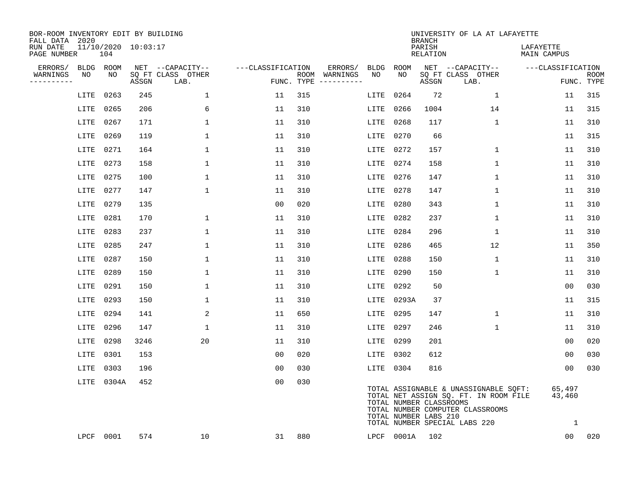| BOR-ROOM INVENTORY EDIT BY BUILDING<br>FALL DATA 2020 |      |            |                     |                           |                   |     |                                      |           |            | <b>BRANCH</b>                                    | UNIVERSITY OF LA AT LAFAYETTE                                                                                                                       |                                  |                           |
|-------------------------------------------------------|------|------------|---------------------|---------------------------|-------------------|-----|--------------------------------------|-----------|------------|--------------------------------------------------|-----------------------------------------------------------------------------------------------------------------------------------------------------|----------------------------------|---------------------------|
| RUN DATE<br>PAGE NUMBER                               |      | 104        | 11/10/2020 10:03:17 |                           |                   |     |                                      |           |            | PARISH<br>RELATION                               |                                                                                                                                                     | LAFAYETTE<br>MAIN CAMPUS         |                           |
| ERRORS/                                               |      | BLDG ROOM  |                     | NET --CAPACITY--          | ---CLASSIFICATION |     | ERRORS/                              | BLDG      | ROOM       |                                                  | NET --CAPACITY--                                                                                                                                    | ---CLASSIFICATION                |                           |
| WARNINGS<br>----------                                | NO   | NO         | ASSGN               | SQ FT CLASS OTHER<br>LAB. |                   |     | ROOM WARNINGS<br>FUNC. TYPE $------$ | NO.       | NO.        | ASSGN                                            | SQ FT CLASS OTHER<br>LAB.                                                                                                                           |                                  | <b>ROOM</b><br>FUNC. TYPE |
|                                                       | LITE | 0263       | 245                 | $\mathbf 1$               | 11                | 315 |                                      | LITE      | 0264       | 72                                               | $\mathbf{1}$                                                                                                                                        | 11                               | 315                       |
|                                                       | LITE | 0265       | 206                 | 6                         | 11                | 310 |                                      | LITE      | 0266       | 1004                                             | 14                                                                                                                                                  | 11                               | 315                       |
|                                                       | LITE | 0267       | 171                 | $\mathbf{1}$              | 11                | 310 |                                      | LITE      | 0268       | 117                                              | $\mathbf{1}$                                                                                                                                        | 11                               | 310                       |
|                                                       | LITE | 0269       | 119                 | 1                         | 11                | 310 |                                      |           | LITE 0270  | 66                                               |                                                                                                                                                     | 11                               | 315                       |
|                                                       | LITE | 0271       | 164                 | $\mathbf 1$               | 11                | 310 |                                      | LITE      | 0272       | 157                                              | 1                                                                                                                                                   | 11                               | 310                       |
|                                                       | LITE | 0273       | 158                 | $\mathbf 1$               | 11                | 310 |                                      |           | LITE 0274  | 158                                              | $\mathbf 1$                                                                                                                                         | 11                               | 310                       |
|                                                       | LITE | 0275       | 100                 | $\mathbf 1$               | 11                | 310 |                                      |           | LITE 0276  | 147                                              | $\mathbf 1$                                                                                                                                         | 11                               | 310                       |
|                                                       | LITE | 0277       | 147                 | $\mathbf{1}$              | 11                | 310 |                                      | LITE 0278 |            | 147                                              | $\mathbf{1}$                                                                                                                                        | 11                               | 310                       |
|                                                       | LITE | 0279       | 135                 |                           | 0 <sub>0</sub>    | 020 |                                      | LITE      | 0280       | 343                                              | $\mathbf{1}$                                                                                                                                        | 11                               | 310                       |
|                                                       | LITE | 0281       | 170                 | 1                         | 11                | 310 |                                      |           | LITE 0282  | 237                                              | $\mathbf 1$                                                                                                                                         | 11                               | 310                       |
|                                                       | LITE | 0283       | 237                 | $\mathbf 1$               | 11                | 310 |                                      | LITE      | 0284       | 296                                              | $\mathbf 1$                                                                                                                                         | 11                               | 310                       |
|                                                       | LITE | 0285       | 247                 | 1                         | 11                | 310 |                                      | LITE      | 0286       | 465                                              | 12                                                                                                                                                  | 11                               | 350                       |
|                                                       | LITE | 0287       | 150                 | $\mathbf{1}$              | 11                | 310 |                                      | LITE      | 0288       | 150                                              | $\mathbf{1}$                                                                                                                                        | 11                               | 310                       |
|                                                       | LITE | 0289       | 150                 | $\mathbf 1$               | 11                | 310 |                                      | LITE 0290 |            | 150                                              | $\mathbf{1}$                                                                                                                                        | 11                               | 310                       |
|                                                       | LITE | 0291       | 150                 | 1                         | 11                | 310 |                                      | LITE      | 0292       | 50                                               |                                                                                                                                                     | 00                               | 030                       |
|                                                       | LITE | 0293       | 150                 | 1                         | 11                | 310 |                                      |           | LITE 0293A | 37                                               |                                                                                                                                                     | 11                               | 315                       |
|                                                       | LITE | 0294       | 141                 | 2                         | 11                | 650 |                                      | LITE      | 0295       | 147                                              | 1                                                                                                                                                   | 11                               | 310                       |
|                                                       | LITE | 0296       | 147                 | $\mathbf{1}$              | 11                | 310 |                                      | LITE 0297 |            | 246                                              | $\mathbf{1}$                                                                                                                                        | 11                               | 310                       |
|                                                       | LITE | 0298       | 3246                | 20                        | 11                | 310 |                                      |           | LITE 0299  | 201                                              |                                                                                                                                                     | 00                               | 020                       |
|                                                       | LITE | 0301       | 153                 |                           | 0 <sub>0</sub>    | 020 |                                      |           | LITE 0302  | 612                                              |                                                                                                                                                     | 00                               | 030                       |
|                                                       | LITE | 0303       | 196                 |                           | 0 <sub>0</sub>    | 030 |                                      |           | LITE 0304  | 816                                              |                                                                                                                                                     | 0 <sub>0</sub>                   | 030                       |
|                                                       |      | LITE 0304A | 452                 |                           | 0 <sub>0</sub>    | 030 |                                      |           |            | TOTAL NUMBER CLASSROOMS<br>TOTAL NUMBER LABS 210 | TOTAL ASSIGNABLE & UNASSIGNABLE SQFT:<br>TOTAL NET ASSIGN SQ. FT. IN ROOM FILE<br>TOTAL NUMBER COMPUTER CLASSROOMS<br>TOTAL NUMBER SPECIAL LABS 220 | 65,497<br>43,460<br>$\mathbf{1}$ |                           |
|                                                       |      | LPCF 0001  | 574                 | 10                        | 31                | 880 |                                      |           |            | LPCF 0001A 102                                   |                                                                                                                                                     | 00 <sup>o</sup>                  | 020                       |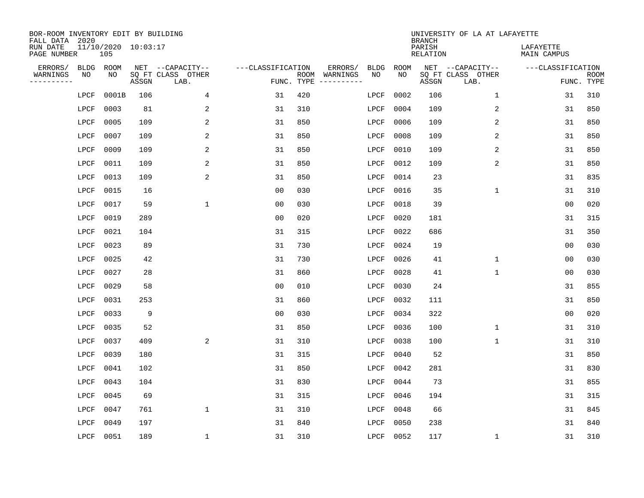| BOR-ROOM INVENTORY EDIT BY BUILDING<br>FALL DATA 2020 |              |                            |       |                           |                   |                    |                                                                                                             |             |             | <b>BRANCH</b>             | UNIVERSITY OF LA AT LAFAYETTE |                          |                           |
|-------------------------------------------------------|--------------|----------------------------|-------|---------------------------|-------------------|--------------------|-------------------------------------------------------------------------------------------------------------|-------------|-------------|---------------------------|-------------------------------|--------------------------|---------------------------|
| RUN DATE<br>PAGE NUMBER                               |              | 11/10/2020 10:03:17<br>105 |       |                           |                   |                    |                                                                                                             |             |             | PARISH<br><b>RELATION</b> |                               | LAFAYETTE<br>MAIN CAMPUS |                           |
| ERRORS/                                               | <b>BLDG</b>  | ROOM                       |       | NET --CAPACITY--          | ---CLASSIFICATION |                    | ERRORS/                                                                                                     | <b>BLDG</b> | <b>ROOM</b> |                           | NET --CAPACITY--              | ---CLASSIFICATION        |                           |
| WARNINGS<br>----------                                | NO           | NO                         | ASSGN | SQ FT CLASS OTHER<br>LAB. |                   | ROOM<br>FUNC. TYPE | WARNINGS<br>$\begin{tabular}{cccccc} - & - & - & - & - & - & - \\ & - & - & - & - & - & - \\ \end{tabular}$ | NO          | NO          | ASSGN                     | SQ FT CLASS OTHER<br>LAB.     |                          | <b>ROOM</b><br>FUNC. TYPE |
|                                                       | LPCF         | 0001B                      | 106   | 4                         | 31                | 420                |                                                                                                             | LPCF        | 0002        | 106                       | $\mathbf 1$                   | 31                       | 310                       |
|                                                       | LPCF         | 0003                       | 81    | 2                         | 31                | 310                |                                                                                                             | LPCF        | 0004        | 109                       | 2                             | 31                       | 850                       |
|                                                       | LPCF         | 0005                       | 109   | 2                         | 31                | 850                |                                                                                                             | LPCF        | 0006        | 109                       | 2                             | 31                       | 850                       |
|                                                       | LPCF         | 0007                       | 109   | 2                         | 31                | 850                |                                                                                                             | LPCF        | 0008        | 109                       | 2                             | 31                       | 850                       |
|                                                       | LPCF         | 0009                       | 109   | 2                         | 31                | 850                |                                                                                                             | LPCF        | 0010        | 109                       | 2                             | 31                       | 850                       |
|                                                       | LPCF         | 0011                       | 109   | 2                         | 31                | 850                |                                                                                                             | LPCF        | 0012        | 109                       | 2                             | 31                       | 850                       |
|                                                       | LPCF         | 0013                       | 109   | 2                         | 31                | 850                |                                                                                                             | LPCF        | 0014        | 23                        |                               | 31                       | 835                       |
|                                                       | ${\rm LPCF}$ | 0015                       | 16    |                           | 0 <sub>0</sub>    | 030                |                                                                                                             | LPCF        | 0016        | 35                        | $\mathbf 1$                   | 31                       | 310                       |
|                                                       | LPCF         | 0017                       | 59    | $\mathbf{1}$              | 0 <sub>0</sub>    | 030                |                                                                                                             | LPCF        | 0018        | 39                        |                               | 0 <sub>0</sub>           | 020                       |
|                                                       | LPCF         | 0019                       | 289   |                           | 0 <sub>0</sub>    | 020                |                                                                                                             | LPCF        | 0020        | 181                       |                               | 31                       | 315                       |
|                                                       | LPCF         | 0021                       | 104   |                           | 31                | 315                |                                                                                                             | LPCF        | 0022        | 686                       |                               | 31                       | 350                       |
|                                                       | LPCF         | 0023                       | 89    |                           | 31                | 730                |                                                                                                             | LPCF        | 0024        | 19                        |                               | 0 <sub>0</sub>           | 030                       |
|                                                       | LPCF         | 0025                       | 42    |                           | 31                | 730                |                                                                                                             | LPCF        | 0026        | 41                        | $\mathbf 1$                   | 0 <sub>0</sub>           | 030                       |
|                                                       | LPCF         | 0027                       | 28    |                           | 31                | 860                |                                                                                                             | LPCF        | 0028        | 41                        | $\mathbf 1$                   | 0 <sub>0</sub>           | 030                       |
|                                                       | LPCF         | 0029                       | 58    |                           | 0 <sub>0</sub>    | 010                |                                                                                                             | LPCF        | 0030        | 24                        |                               | 31                       | 855                       |
|                                                       | LPCF         | 0031                       | 253   |                           | 31                | 860                |                                                                                                             | LPCF        | 0032        | 111                       |                               | 31                       | 850                       |
|                                                       | LPCF         | 0033                       | 9     |                           | 0 <sub>0</sub>    | 030                |                                                                                                             | LPCF        | 0034        | 322                       |                               | 0 <sub>0</sub>           | 020                       |
|                                                       | LPCF         | 0035                       | 52    |                           | 31                | 850                |                                                                                                             | LPCF        | 0036        | 100                       | $\mathbf 1$                   | 31                       | 310                       |
|                                                       | LPCF         | 0037                       | 409   | 2                         | 31                | 310                |                                                                                                             | LPCF        | 0038        | 100                       | 1                             | 31                       | 310                       |
|                                                       | LPCF         | 0039                       | 180   |                           | 31                | 315                |                                                                                                             | LPCF        | 0040        | 52                        |                               | 31                       | 850                       |
|                                                       | LPCF         | 0041                       | 102   |                           | 31                | 850                |                                                                                                             | LPCF        | 0042        | 281                       |                               | 31                       | 830                       |
|                                                       | LPCF         | 0043                       | 104   |                           | 31                | 830                |                                                                                                             | LPCF        | 0044        | 73                        |                               | 31                       | 855                       |
|                                                       | LPCF         | 0045                       | 69    |                           | 31                | 315                |                                                                                                             | LPCF        | 0046        | 194                       |                               | 31                       | 315                       |
|                                                       | LPCF         | 0047                       | 761   | $\mathbf{1}$              | 31                | 310                |                                                                                                             | LPCF        | 0048        | 66                        |                               | 31                       | 845                       |
|                                                       | LPCF         | 0049                       | 197   |                           | 31                | 840                |                                                                                                             | LPCF        | 0050        | 238                       |                               | 31                       | 840                       |
|                                                       | LPCF         | 0051                       | 189   | $\mathbf 1$               | 31                | 310                |                                                                                                             | LPCF        | 0052        | 117                       | $\mathbf 1$                   | 31                       | 310                       |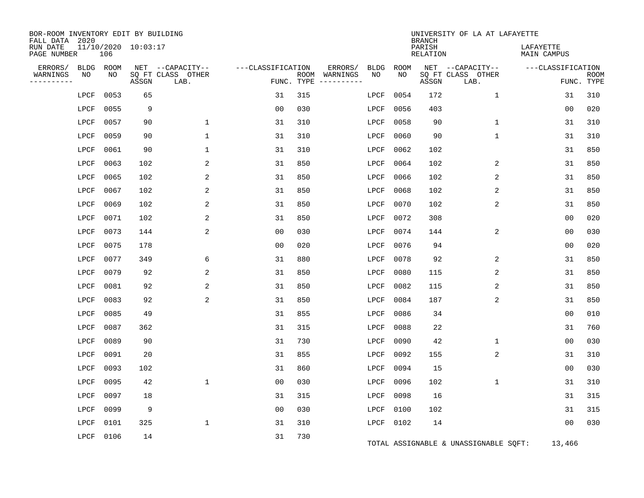| BOR-ROOM INVENTORY EDIT BY BUILDING<br>FALL DATA 2020 |              |      |                     |                           |                   |            |                                                                                                                             |             |                    | <b>BRANCH</b>      | UNIVERSITY OF LA AT LAFAYETTE         |                          |                           |
|-------------------------------------------------------|--------------|------|---------------------|---------------------------|-------------------|------------|-----------------------------------------------------------------------------------------------------------------------------|-------------|--------------------|--------------------|---------------------------------------|--------------------------|---------------------------|
| RUN DATE<br>PAGE NUMBER                               |              | 106  | 11/10/2020 10:03:17 |                           |                   |            |                                                                                                                             |             |                    | PARISH<br>RELATION |                                       | LAFAYETTE<br>MAIN CAMPUS |                           |
| ERRORS/                                               | <b>BLDG</b>  | ROOM |                     | NET --CAPACITY--          | ---CLASSIFICATION |            | ERRORS/                                                                                                                     | <b>BLDG</b> | <b>ROOM</b><br>NO. |                    | NET --CAPACITY--                      | ---CLASSIFICATION        |                           |
| WARNINGS<br>- - - - - - - - - -                       | NO           | NO   | ASSGN               | SQ FT CLASS OTHER<br>LAB. |                   | FUNC. TYPE | ROOM WARNINGS<br>$\begin{tabular}{ccccccccc} - & - & - & - & - & - & - & - \\ & - & - & - & - & - & - & - \\ \end{tabular}$ | NO          |                    | ASSGN              | SQ FT CLASS OTHER<br>LAB.             |                          | <b>ROOM</b><br>FUNC. TYPE |
|                                                       | LPCF         | 0053 | 65                  |                           | 31                | 315        |                                                                                                                             | LPCF        | 0054               | 172                | $\mathbf{1}$                          | 31                       | 310                       |
|                                                       | LPCF         | 0055 | 9                   |                           | 0 <sub>0</sub>    | 030        |                                                                                                                             | LPCF        | 0056               | 403                |                                       | 0 <sub>0</sub>           | 020                       |
|                                                       | LPCF         | 0057 | 90                  | $\mathbf{1}$              | 31                | 310        |                                                                                                                             | LPCF        | 0058               | 90                 | 1                                     | 31                       | 310                       |
|                                                       | LPCF         | 0059 | 90                  | $\mathbf{1}$              | 31                | 310        |                                                                                                                             | LPCF        | 0060               | 90                 | 1                                     | 31                       | 310                       |
|                                                       | LPCF         | 0061 | 90                  | 1                         | 31                | 310        |                                                                                                                             | LPCF        | 0062               | 102                |                                       | 31                       | 850                       |
|                                                       | LPCF         | 0063 | 102                 | 2                         | 31                | 850        |                                                                                                                             | LPCF        | 0064               | 102                | 2                                     | 31                       | 850                       |
|                                                       | LPCF         | 0065 | 102                 | 2                         | 31                | 850        |                                                                                                                             | LPCF        | 0066               | 102                | 2                                     | 31                       | 850                       |
|                                                       | LPCF         | 0067 | 102                 | 2                         | 31                | 850        |                                                                                                                             | LPCF        | 0068               | 102                | 2                                     | 31                       | 850                       |
|                                                       | LPCF         | 0069 | 102                 | 2                         | 31                | 850        |                                                                                                                             | LPCF        | 0070               | 102                | 2                                     | 31                       | 850                       |
|                                                       | LPCF         | 0071 | 102                 | 2                         | 31                | 850        |                                                                                                                             | LPCF        | 0072               | 308                |                                       | 0 <sub>0</sub>           | 020                       |
|                                                       | LPCF         | 0073 | 144                 | 2                         | 0 <sub>0</sub>    | 030        |                                                                                                                             | LPCF        | 0074               | 144                | 2                                     | 00                       | 030                       |
|                                                       | LPCF         | 0075 | 178                 |                           | 0 <sub>0</sub>    | 020        |                                                                                                                             | LPCF        | 0076               | 94                 |                                       | 0 <sub>0</sub>           | 020                       |
|                                                       | LPCF         | 0077 | 349                 | 6                         | 31                | 880        |                                                                                                                             | LPCF        | 0078               | 92                 | 2                                     | 31                       | 850                       |
|                                                       | LPCF         | 0079 | 92                  | 2                         | 31                | 850        |                                                                                                                             | LPCF        | 0080               | 115                | 2                                     | 31                       | 850                       |
|                                                       | LPCF         | 0081 | 92                  | 2                         | 31                | 850        |                                                                                                                             | LPCF        | 0082               | 115                | 2                                     | 31                       | 850                       |
|                                                       | LPCF         | 0083 | 92                  | 2                         | 31                | 850        |                                                                                                                             | LPCF        | 0084               | 187                | 2                                     | 31                       | 850                       |
|                                                       | LPCF         | 0085 | 49                  |                           | 31                | 855        |                                                                                                                             | LPCF        | 0086               | 34                 |                                       | 0 <sub>0</sub>           | 010                       |
|                                                       | LPCF         | 0087 | 362                 |                           | 31                | 315        |                                                                                                                             | LPCF        | 0088               | 22                 |                                       | 31                       | 760                       |
|                                                       | LPCF         | 0089 | 90                  |                           | 31                | 730        |                                                                                                                             | LPCF        | 0090               | 42                 | $\mathbf 1$                           | 00                       | 030                       |
|                                                       | LPCF         | 0091 | 20                  |                           | 31                | 855        |                                                                                                                             | LPCF        | 0092               | 155                | 2                                     | 31                       | 310                       |
|                                                       | ${\rm LPCF}$ | 0093 | 102                 |                           | 31                | 860        |                                                                                                                             | LPCF        | 0094               | 15                 |                                       | 0 <sub>0</sub>           | 030                       |
|                                                       | LPCF         | 0095 | 42                  | 1                         | 0 <sub>0</sub>    | 030        |                                                                                                                             | LPCF        | 0096               | 102                | $\mathbf 1$                           | 31                       | 310                       |
|                                                       | LPCF         | 0097 | 18                  |                           | 31                | 315        |                                                                                                                             | LPCF        | 0098               | 16                 |                                       | 31                       | 315                       |
|                                                       | LPCF         | 0099 | 9                   |                           | 0 <sub>0</sub>    | 030        |                                                                                                                             | LPCF        | 0100               | 102                |                                       | 31                       | 315                       |
|                                                       | LPCF         | 0101 | 325                 | $\mathbf 1$               | 31                | 310        |                                                                                                                             | LPCF        | 0102               | 14                 |                                       | 0 <sub>0</sub>           | 030                       |
|                                                       | LPCF         | 0106 | 14                  |                           | 31                | 730        |                                                                                                                             |             |                    |                    | TOTAL ASSIGNABLE & UNASSIGNABLE SQFT: | 13,466                   |                           |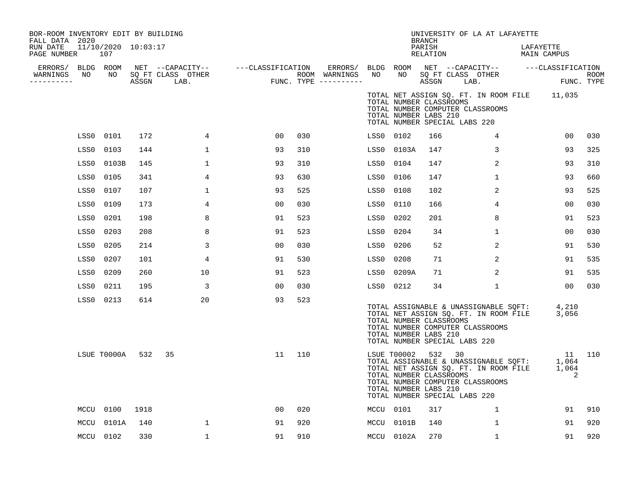| BOR-ROOM INVENTORY EDIT BY BUILDING<br>FALL DATA 2020<br>RUN DATE |      | 11/10/2020 10:03:17 |      |                                                                                                                     |                                       |     |                  |           |                                                                        | <b>BRANCH</b><br>PARISH |                               | UNIVERSITY OF LA AT LAFAYETTE                                                                                                  | LAFAYETTE   |                      |             |
|-------------------------------------------------------------------|------|---------------------|------|---------------------------------------------------------------------------------------------------------------------|---------------------------------------|-----|------------------|-----------|------------------------------------------------------------------------|-------------------------|-------------------------------|--------------------------------------------------------------------------------------------------------------------------------|-------------|----------------------|-------------|
| PAGE NUMBER                                                       |      | 107                 |      |                                                                                                                     |                                       |     |                  |           |                                                                        | RELATION                |                               |                                                                                                                                | MAIN CAMPUS |                      |             |
| ERRORS/ BLDG ROOM<br>WARNINGS NO                                  |      |                     |      | NET --CAPACITY--   ---CLASSIFICATION ERRORS/ BLDG ROOM NET --CAPACITY--   ---CLASSIFICATION<br>NO SQ FT CLASS OTHER |                                       |     | ROOM WARNINGS NO |           |                                                                        |                         |                               | NO SQ FT CLASS OTHER                                                                                                           |             |                      | <b>ROOM</b> |
| ---------                                                         |      |                     |      | ASSGN LAB.                                                                                                          | ROOM WARNINGS<br>FUNC. TYPE --------- |     |                  |           |                                                                        |                         | ASSGN LAB.                    |                                                                                                                                |             | FUNC. TYPE           |             |
|                                                                   |      |                     |      |                                                                                                                     |                                       |     |                  |           | TOTAL NUMBER CLASSROOMS<br>TOTAL NUMBER LABS 210                       |                         | TOTAL NUMBER SPECIAL LABS 220 | TOTAL NET ASSIGN SQ. FT. IN ROOM FILE 11,035<br>TOTAL NUMBER COMPUTER CLASSROOMS                                               |             |                      |             |
|                                                                   |      | LSS0 0101           | 172  | 4                                                                                                                   | 0 <sub>0</sub>                        | 030 |                  |           | LSS0 0102                                                              | 166                     |                               | $\overline{4}$                                                                                                                 |             | 00                   | 030         |
|                                                                   | LSS0 | 0103                | 144  | $\mathbf{1}$                                                                                                        | 93                                    | 310 |                  |           | LSS0 0103A                                                             | 147                     |                               | 3                                                                                                                              |             | 93                   | 325         |
|                                                                   | LSS0 | 0103B               | 145  | $\mathbf{1}$                                                                                                        | 93                                    | 310 |                  | LSS0 0104 |                                                                        | 147                     |                               | 2                                                                                                                              |             | 93                   | 310         |
|                                                                   | LSS0 | 0105                | 341  | 4                                                                                                                   | 93                                    | 630 |                  | LSS0 0106 |                                                                        | 147                     |                               | $\mathbf{1}$                                                                                                                   |             | 93                   | 660         |
|                                                                   | LSS0 | 0107                | 107  | $\mathbf 1$                                                                                                         | 93                                    | 525 |                  | LSS0      | 0108                                                                   | 102                     |                               | 2                                                                                                                              |             | 93                   | 525         |
|                                                                   | LSS0 | 0109                | 173  | 4                                                                                                                   | 0 <sub>0</sub>                        | 030 |                  | LSS0      | 0110                                                                   | 166                     |                               | 4                                                                                                                              |             | 00                   | 030         |
|                                                                   | LSS0 | 0201                | 198  | 8                                                                                                                   | 91                                    | 523 |                  | LSS0      | 0202                                                                   | 201                     |                               | 8                                                                                                                              |             | 91                   | 523         |
|                                                                   | LSS0 | 0203                | 208  | 8                                                                                                                   | 91                                    | 523 |                  | LSS0      | 0204                                                                   | 34                      |                               | $\mathbf 1$                                                                                                                    |             | 00                   | 030         |
|                                                                   | LSS0 | 0205                | 214  | 3                                                                                                                   | 0 <sub>0</sub>                        | 030 |                  | LSS0      | 0206                                                                   | 52                      |                               | 2                                                                                                                              |             | 91                   | 530         |
|                                                                   | LSS0 | 0207                | 101  | 4                                                                                                                   | 91                                    | 530 |                  | LSS0      | 0208                                                                   | 71                      |                               | 2                                                                                                                              |             | 91                   | 535         |
|                                                                   | LSS0 | 0209                | 260  | 10                                                                                                                  | 91                                    | 523 |                  | LSS0      | 0209A                                                                  | 71                      |                               | 2                                                                                                                              |             | 91                   | 535         |
|                                                                   | LSS0 | 0211                | 195  | 3                                                                                                                   | 0 <sub>0</sub>                        | 030 |                  |           | LSS0 0212                                                              | 34                      |                               | $\mathbf{1}$                                                                                                                   |             | 00                   | 030         |
|                                                                   |      | LSS0 0213           | 614  | 20                                                                                                                  | 93                                    | 523 |                  |           | TOTAL NUMBER CLASSROOMS<br>TOTAL NUMBER LABS 210                       |                         | TOTAL NUMBER SPECIAL LABS 220 | TOTAL ASSIGNABLE & UNASSIGNABLE SQFT: 4,210<br>TOTAL NET ASSIGN SQ. FT. IN ROOM FILE 3,056<br>TOTAL NUMBER COMPUTER CLASSROOMS |             |                      |             |
|                                                                   |      | LSUE T0000A 532     |      | 35                                                                                                                  | 11                                    | 110 |                  |           | LSUE T00002 532 30<br>TOTAL NUMBER CLASSROOMS<br>TOTAL NUMBER LABS 210 |                         | TOTAL NUMBER SPECIAL LABS 220 | TOTAL ASSIGNABLE & UNASSIGNABLE SQFT: 1,064<br>TOTAL NET ASSIGN SQ. FT. IN ROOM FILE<br>TOTAL NUMBER COMPUTER CLASSROOMS       |             | 11 110<br>1,064<br>2 |             |
|                                                                   |      | MCCU 0100           | 1918 |                                                                                                                     | 00                                    | 020 |                  |           | MCCU 0101                                                              | 317                     |                               | 1                                                                                                                              |             | 91                   | 910         |
|                                                                   | MCCU | 0101A               | 140  | $\mathbf 1$                                                                                                         | 91                                    | 920 |                  |           | MCCU 0101B                                                             | 140                     |                               | 1                                                                                                                              |             | 91                   | 920         |
|                                                                   |      | MCCU 0102           | 330  | $\mathbf{1}$                                                                                                        | 91                                    | 910 |                  |           | MCCU 0102A                                                             | 270                     |                               | $\mathbf{1}$                                                                                                                   |             | 91                   | 920         |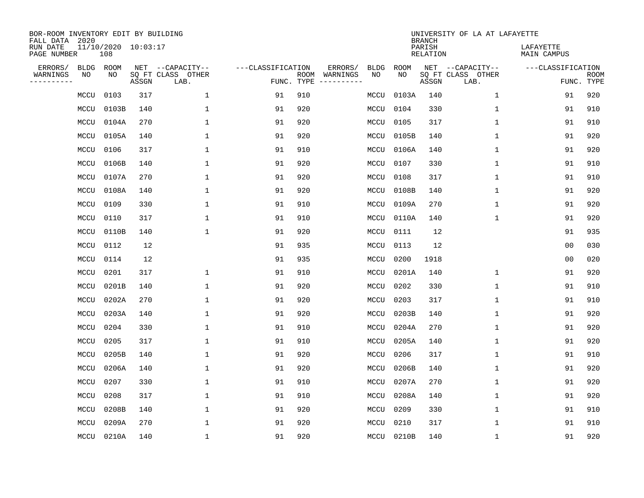| BOR-ROOM INVENTORY EDIT BY BUILDING<br>FALL DATA 2020 |      |                            |       |                           |                   |                    |          |             |             | <b>BRANCH</b>             | UNIVERSITY OF LA AT LAFAYETTE |                          |                           |
|-------------------------------------------------------|------|----------------------------|-------|---------------------------|-------------------|--------------------|----------|-------------|-------------|---------------------------|-------------------------------|--------------------------|---------------------------|
| RUN DATE<br>PAGE NUMBER                               |      | 11/10/2020 10:03:17<br>108 |       |                           |                   |                    |          |             |             | PARISH<br><b>RELATION</b> |                               | LAFAYETTE<br>MAIN CAMPUS |                           |
| ERRORS/                                               | BLDG | ROOM                       |       | NET --CAPACITY--          | ---CLASSIFICATION |                    | ERRORS/  | <b>BLDG</b> | <b>ROOM</b> |                           | NET --CAPACITY--              | ---CLASSIFICATION        |                           |
| WARNINGS<br>----------                                | ΝO   | NO                         | ASSGN | SQ FT CLASS OTHER<br>LAB. |                   | ROOM<br>FUNC. TYPE | WARNINGS | NO          | NO          | ASSGN                     | SQ FT CLASS OTHER<br>LAB.     |                          | <b>ROOM</b><br>FUNC. TYPE |
|                                                       | MCCU | 0103                       | 317   | 1                         | 91                | 910                |          | MCCU        | 0103A       | 140                       | 1                             | 91                       | 920                       |
|                                                       | MCCU | 0103B                      | 140   | 1                         | 91                | 920                |          | MCCU        | 0104        | 330                       | 1                             | 91                       | 910                       |
|                                                       | MCCU | 0104A                      | 270   | 1                         | 91                | 920                |          | MCCU        | 0105        | 317                       | $\mathbf 1$                   | 91                       | 910                       |
|                                                       | MCCU | 0105A                      | 140   | 1                         | 91                | 920                |          | MCCU        | 0105B       | 140                       | 1                             | 91                       | 920                       |
|                                                       | MCCU | 0106                       | 317   | $\mathbf{1}$              | 91                | 910                |          | MCCU        | 0106A       | 140                       | $\mathbf{1}$                  | 91                       | 920                       |
|                                                       | MCCU | 0106B                      | 140   | 1                         | 91                | 920                |          | MCCU        | 0107        | 330                       | $\mathbf{1}$                  | 91                       | 910                       |
|                                                       | MCCU | 0107A                      | 270   | $\mathbf{1}$              | 91                | 920                |          | MCCU        | 0108        | 317                       | $\mathbf{1}$                  | 91                       | 910                       |
|                                                       | MCCU | 0108A                      | 140   | $\mathbf{1}$              | 91                | 920                |          | MCCU        | 0108B       | 140                       | $\mathbf{1}$                  | 91                       | 920                       |
|                                                       | MCCU | 0109                       | 330   | $\mathbf{1}$              | 91                | 910                |          | MCCU        | 0109A       | 270                       | $\mathbf{1}$                  | 91                       | 920                       |
|                                                       | MCCU | 0110                       | 317   | $\mathbf{1}$              | 91                | 910                |          | MCCU        | 0110A       | 140                       | 1                             | 91                       | 920                       |
|                                                       | MCCU | 0110B                      | 140   | 1                         | 91                | 920                |          | MCCU        | 0111        | 12                        |                               | 91                       | 935                       |
|                                                       | MCCU | 0112                       | 12    |                           | 91                | 935                |          | MCCU        | 0113        | 12                        |                               | 0 <sub>0</sub>           | 030                       |
|                                                       | MCCU | 0114                       | 12    |                           | 91                | 935                |          | MCCU        | 0200        | 1918                      |                               | 0 <sub>0</sub>           | 020                       |
|                                                       | MCCU | 0201                       | 317   | 1                         | 91                | 910                |          | MCCU        | 0201A       | 140                       | 1                             | 91                       | 920                       |
|                                                       | MCCU | 0201B                      | 140   | 1                         | 91                | 920                |          | MCCU        | 0202        | 330                       | $\mathbf{1}$                  | 91                       | 910                       |
|                                                       | MCCU | 0202A                      | 270   | $\mathbf{1}$              | 91                | 920                |          | MCCU        | 0203        | 317                       | $\mathbf 1$                   | 91                       | 910                       |
|                                                       | MCCU | 0203A                      | 140   | 1                         | 91                | 920                |          | MCCU        | 0203B       | 140                       | 1                             | 91                       | 920                       |
|                                                       | MCCU | 0204                       | 330   | 1                         | 91                | 910                |          | MCCU        | 0204A       | 270                       | 1                             | 91                       | 920                       |
|                                                       | MCCU | 0205                       | 317   | 1                         | 91                | 910                |          | MCCU        | 0205A       | 140                       | 1                             | 91                       | 920                       |
|                                                       | MCCU | 0205B                      | 140   | 1                         | 91                | 920                |          | MCCU        | 0206        | 317                       | 1                             | 91                       | 910                       |
|                                                       | MCCU | 0206A                      | 140   | 1                         | 91                | 920                |          | MCCU        | 0206B       | 140                       | 1                             | 91                       | 920                       |
|                                                       | MCCU | 0207                       | 330   | $\mathbf{1}$              | 91                | 910                |          | MCCU        | 0207A       | 270                       | $\mathbf{1}$                  | 91                       | 920                       |
|                                                       | MCCU | 0208                       | 317   | $\mathbf{1}$              | 91                | 910                |          | MCCU        | 0208A       | 140                       | $\mathbf 1$                   | 91                       | 920                       |
|                                                       | MCCU | 0208B                      | 140   | $\mathbf{1}$              | 91                | 920                |          | MCCU        | 0209        | 330                       | $\mathbf 1$                   | 91                       | 910                       |
|                                                       | MCCU | 0209A                      | 270   | $\mathbf{1}$              | 91                | 920                |          | MCCU        | 0210        | 317                       | $\mathbf{1}$                  | 91                       | 910                       |
|                                                       |      | MCCU 0210A                 | 140   | $\mathbf{1}$              | 91                | 920                |          | MCCU        | 0210B       | 140                       | 1                             | 91                       | 920                       |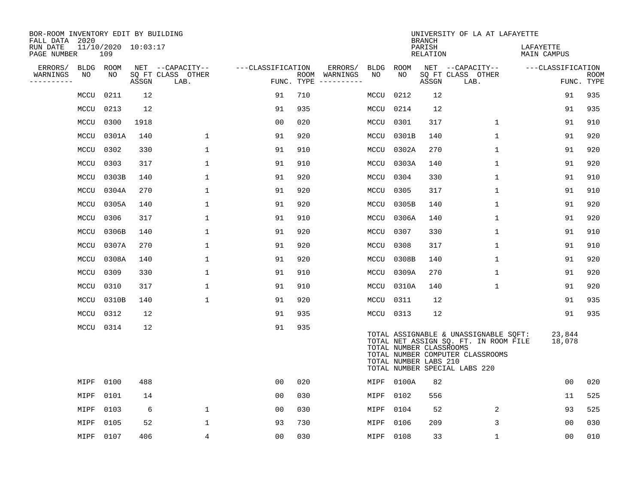| BOR-ROOM INVENTORY EDIT BY BUILDING<br>FALL DATA 2020 |             |                            |       |                           |                   |            |                              |           |            | <b>BRANCH</b>                                    | UNIVERSITY OF LA AT LAFAYETTE                                                                                                                       |                          |                           |
|-------------------------------------------------------|-------------|----------------------------|-------|---------------------------|-------------------|------------|------------------------------|-----------|------------|--------------------------------------------------|-----------------------------------------------------------------------------------------------------------------------------------------------------|--------------------------|---------------------------|
| RUN DATE<br>PAGE NUMBER                               |             | 11/10/2020 10:03:17<br>109 |       |                           |                   |            |                              |           |            | PARISH<br>RELATION                               |                                                                                                                                                     | LAFAYETTE<br>MAIN CAMPUS |                           |
| ERRORS/                                               | <b>BLDG</b> | ROOM                       |       | NET --CAPACITY--          | ---CLASSIFICATION |            | ERRORS/                      |           | BLDG ROOM  |                                                  | NET --CAPACITY--                                                                                                                                    | ---CLASSIFICATION        |                           |
| WARNINGS<br>---------                                 | NO          | NO                         | ASSGN | SQ FT CLASS OTHER<br>LAB. |                   | FUNC. TYPE | ROOM WARNINGS<br>----------- | NO        | NO.        | ASSGN                                            | SQ FT CLASS OTHER<br>LAB.                                                                                                                           |                          | <b>ROOM</b><br>FUNC. TYPE |
|                                                       | MCCU        | 0211                       | 12    |                           | 91                | 710        |                              | MCCU      | 0212       | 12                                               |                                                                                                                                                     | 91                       | 935                       |
|                                                       | MCCU        | 0213                       | 12    |                           | 91                | 935        |                              | MCCU      | 0214       | 12                                               |                                                                                                                                                     | 91                       | 935                       |
|                                                       | MCCU        | 0300                       | 1918  |                           | 00                | 020        |                              | MCCU      | 0301       | 317                                              | 1                                                                                                                                                   | 91                       | 910                       |
|                                                       | MCCU        | 0301A                      | 140   | 1                         | 91                | 920        |                              | MCCU      | 0301B      | 140                                              | $\mathbf 1$                                                                                                                                         | 91                       | 920                       |
|                                                       | MCCU        | 0302                       | 330   | $\mathbf{1}$              | 91                | 910        |                              | MCCU      | 0302A      | 270                                              | $\mathbf{1}$                                                                                                                                        | 91                       | 920                       |
|                                                       | MCCU        | 0303                       | 317   | $\mathbf{1}$              | 91                | 910        |                              |           | MCCU 0303A | 140                                              | $\mathbf{1}$                                                                                                                                        | 91                       | 920                       |
|                                                       | MCCU        | 0303B                      | 140   | $\mathbf 1$               | 91                | 920        |                              | MCCU      | 0304       | 330                                              | $\mathbf{1}$                                                                                                                                        | 91                       | 910                       |
|                                                       | MCCU        | 0304A                      | 270   | $\mathbf{1}$              | 91                | 920        |                              | MCCU      | 0305       | 317                                              | $\mathbf{1}$                                                                                                                                        | 91                       | 910                       |
|                                                       | MCCU        | 0305A                      | 140   | $\mathbf{1}$              | 91                | 920        |                              |           | MCCU 0305B | 140                                              | $\mathbf{1}$                                                                                                                                        | 91                       | 920                       |
|                                                       | MCCU        | 0306                       | 317   | 1                         | 91                | 910        |                              |           | MCCU 0306A | 140                                              | $\mathbf 1$                                                                                                                                         | 91                       | 920                       |
|                                                       | MCCU        | 0306B                      | 140   | $\mathbf 1$               | 91                | 920        |                              | MCCU 0307 |            | 330                                              | $\mathbf 1$                                                                                                                                         | 91                       | 910                       |
|                                                       | MCCU        | 0307A                      | 270   | $\mathbf 1$               | 91                | 920        |                              | MCCU 0308 |            | 317                                              | $\mathbf 1$                                                                                                                                         | 91                       | 910                       |
|                                                       | MCCU        | 0308A                      | 140   | 1                         | 91                | 920        |                              | MCCU      | 0308B      | 140                                              | $\mathbf 1$                                                                                                                                         | 91                       | 920                       |
|                                                       | MCCU        | 0309                       | 330   | $\mathbf 1$               | 91                | 910        |                              | MCCU      | 0309A      | 270                                              | $\mathbf 1$                                                                                                                                         | 91                       | 920                       |
|                                                       | MCCU        | 0310                       | 317   | $\mathbf 1$               | 91                | 910        |                              |           | MCCU 0310A | 140                                              | $\mathbf 1$                                                                                                                                         | 91                       | 920                       |
|                                                       | MCCU        | 0310B                      | 140   | 1                         | 91                | 920        |                              |           | MCCU 0311  | 12                                               |                                                                                                                                                     | 91                       | 935                       |
|                                                       | MCCU        | 0312                       | 12    |                           | 91                | 935        |                              |           | MCCU 0313  | 12                                               |                                                                                                                                                     | 91                       | 935                       |
|                                                       | MCCU 0314   |                            | 12    |                           | 91                | 935        |                              |           |            | TOTAL NUMBER CLASSROOMS<br>TOTAL NUMBER LABS 210 | TOTAL ASSIGNABLE & UNASSIGNABLE SQFT:<br>TOTAL NET ASSIGN SQ. FT. IN ROOM FILE<br>TOTAL NUMBER COMPUTER CLASSROOMS<br>TOTAL NUMBER SPECIAL LABS 220 | 23,844<br>18,078         |                           |
|                                                       | MIPF        | 0100                       | 488   |                           | 00                | 020        |                              |           | MIPF 0100A | 82                                               |                                                                                                                                                     | 00                       | 020                       |
|                                                       | MIPF        | 0101                       | 14    |                           | 0 <sub>0</sub>    | 030        |                              | MIPF      | 0102       | 556                                              |                                                                                                                                                     | 11                       | 525                       |
|                                                       | MIPF        | 0103                       | 6     | $\mathbf 1$               | 00                | 030        |                              | MIPF      | 0104       | 52                                               | 2                                                                                                                                                   | 93                       | 525                       |
|                                                       | MIPF        | 0105                       | 52    | 1                         | 93                | 730        |                              | MIPF      | 0106       | 209                                              | 3                                                                                                                                                   | 00                       | 030                       |
|                                                       | MIPF 0107   |                            | 406   | 4                         | 00                | 030        |                              | MIPF 0108 |            | 33                                               | $\mathbf 1$                                                                                                                                         | 0 <sub>0</sub>           | 010                       |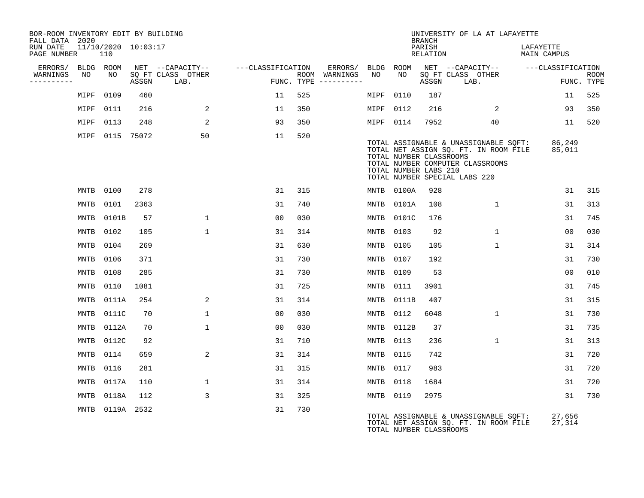| BOR-ROOM INVENTORY EDIT BY BUILDING<br>FALL DATA 2020 |             |                            |            |                           |                   |     |                                      |             |                                                  | BRANCH             | UNIVERSITY OF LA AT LAFAYETTE                                                                                                                       |                          |                           |
|-------------------------------------------------------|-------------|----------------------------|------------|---------------------------|-------------------|-----|--------------------------------------|-------------|--------------------------------------------------|--------------------|-----------------------------------------------------------------------------------------------------------------------------------------------------|--------------------------|---------------------------|
| RUN DATE<br>PAGE NUMBER                               |             | 11/10/2020 10:03:17<br>110 |            |                           |                   |     |                                      |             |                                                  | PARISH<br>RELATION |                                                                                                                                                     | LAFAYETTE<br>MAIN CAMPUS |                           |
| ERRORS/                                               |             | BLDG ROOM                  |            | NET --CAPACITY--          | ---CLASSIFICATION |     | ERRORS/                              | BLDG ROOM   |                                                  |                    | NET --CAPACITY-- ---CLASSIFICATION                                                                                                                  |                          |                           |
| WARNINGS<br>----------                                | NO          | NO                         | ASSGN      | SQ FT CLASS OTHER<br>LAB. |                   |     | ROOM WARNINGS<br>FUNC. TYPE $------$ | NO          | NO                                               | ASSGN              | SQ FT CLASS OTHER<br>LAB.                                                                                                                           |                          | <b>ROOM</b><br>FUNC. TYPE |
|                                                       | MIPF        | 0109                       | 460        |                           | 11                | 525 |                                      | MIPF        | 0110                                             | 187                |                                                                                                                                                     | 11                       | 525                       |
|                                                       | MIPF        | 0111                       | 216        | 2                         | 11                | 350 |                                      | MIPF        | 0112                                             | 216                | 2                                                                                                                                                   | 93                       | 350                       |
|                                                       | MIPF        | 0113                       | 248        | 2                         | 93                | 350 |                                      | MIPF 0114   |                                                  | 7952               | 40                                                                                                                                                  | 11                       | 520                       |
|                                                       | MIPF        |                            | 0115 75072 | 50                        | 11                | 520 |                                      |             | TOTAL NUMBER CLASSROOMS<br>TOTAL NUMBER LABS 210 |                    | TOTAL ASSIGNABLE & UNASSIGNABLE SQFT:<br>TOTAL NET ASSIGN SQ. FT. IN ROOM FILE<br>TOTAL NUMBER COMPUTER CLASSROOMS<br>TOTAL NUMBER SPECIAL LABS 220 | 86,249<br>85,011         |                           |
|                                                       | MNTB        | 0100                       | 278        |                           | 31                | 315 |                                      | MNTB        | 0100A                                            | 928                |                                                                                                                                                     | 31                       | 315                       |
|                                                       | MNTB        | 0101                       | 2363       |                           | 31                | 740 |                                      | MNTB        | 0101A                                            | 108                | $\mathbf{1}$                                                                                                                                        | 31                       | 313                       |
|                                                       | MNTB        | 0101B                      | 57         | $\mathbf{1}$              | 00                | 030 |                                      | MNTB        | 0101C                                            | 176                |                                                                                                                                                     | 31                       | 745                       |
|                                                       | MNTB        | 0102                       | 105        | $\mathbf{1}$              | 31                | 314 |                                      | MNTB        | 0103                                             | 92                 | $\mathbf{1}$                                                                                                                                        | 0 <sub>0</sub>           | 030                       |
|                                                       | MNTB        | 0104                       | 269        |                           | 31                | 630 |                                      | MNTB        | 0105                                             | 105                | $\mathbf{1}$                                                                                                                                        | 31                       | 314                       |
|                                                       | MNTB        | 0106                       | 371        |                           | 31                | 730 |                                      | <b>MNTB</b> | 0107                                             | 192                |                                                                                                                                                     | 31                       | 730                       |
|                                                       | MNTB        | 0108                       | 285        |                           | 31                | 730 |                                      | MNTB        | 0109                                             | 53                 |                                                                                                                                                     | 0 <sub>0</sub>           | 010                       |
|                                                       | MNTB        | 0110                       | 1081       |                           | 31                | 725 |                                      | MNTB        | 0111                                             | 3901               |                                                                                                                                                     | 31                       | 745                       |
|                                                       | <b>MNTB</b> | 0111A                      | 254        | 2                         | 31                | 314 |                                      | <b>MNTB</b> | 0111B                                            | 407                |                                                                                                                                                     | 31                       | 315                       |
|                                                       | MNTB        | 0111C                      | 70         | $\mathbf 1$               | 00                | 030 |                                      | MNTB        | 0112                                             | 6048               | $\mathbf{1}$                                                                                                                                        | 31                       | 730                       |
|                                                       | <b>MNTB</b> | 0112A                      | 70         | $\mathbf 1$               | 0 <sub>0</sub>    | 030 |                                      | <b>MNTB</b> | 0112B                                            | 37                 |                                                                                                                                                     | 31                       | 735                       |
|                                                       | MNTB        | 0112C                      | 92         |                           | 31                | 710 |                                      | <b>MNTB</b> | 0113                                             | 236                | $\mathbf{1}$                                                                                                                                        | 31                       | 313                       |
|                                                       | <b>MNTB</b> | 0114                       | 659        | 2                         | 31                | 314 |                                      | MNTB        | 0115                                             | 742                |                                                                                                                                                     | 31                       | 720                       |
|                                                       | MNTB        | 0116                       | 281        |                           | 31                | 315 |                                      | <b>MNTB</b> | 0117                                             | 983                |                                                                                                                                                     | 31                       | 720                       |
|                                                       | <b>MNTB</b> | 0117A                      | 110        | $\mathbf 1$               | 31                | 314 |                                      | <b>MNTB</b> | 0118                                             | 1684               |                                                                                                                                                     | 31                       | 720                       |
|                                                       | <b>MNTB</b> | 0118A                      | 112        | 3                         | 31                | 325 |                                      | MNTB        | 0119                                             | 2975               |                                                                                                                                                     | 31                       | 730                       |
|                                                       | MNTB        | 0119A 2532                 |            |                           | 31                | 730 |                                      |             | TOTAL NUMBER CLASSROOMS                          |                    | TOTAL ASSIGNABLE & UNASSIGNABLE SOFT:<br>TOTAL NET ASSIGN SQ. FT. IN ROOM FILE                                                                      | 27,656<br>27,314         |                           |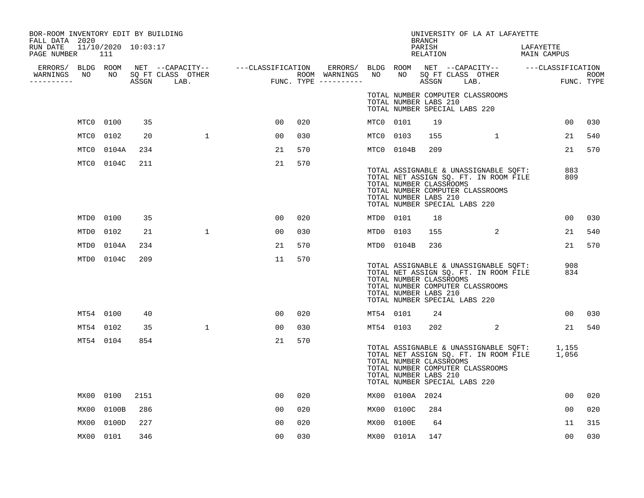| BOR-ROOM INVENTORY EDIT BY BUILDING<br>FALL DATA 2020 |                            |      |              |                                                                                                                                     |     |                                                                                                 |           |                                                  | <b>BRANCH</b>      |                               | UNIVERSITY OF LA AT LAFAYETTE                                                                                                  |                          |                 |                           |
|-------------------------------------------------------|----------------------------|------|--------------|-------------------------------------------------------------------------------------------------------------------------------------|-----|-------------------------------------------------------------------------------------------------|-----------|--------------------------------------------------|--------------------|-------------------------------|--------------------------------------------------------------------------------------------------------------------------------|--------------------------|-----------------|---------------------------|
| RUN DATE<br>PAGE NUMBER                               | 11/10/2020 10:03:17<br>111 |      |              |                                                                                                                                     |     |                                                                                                 |           |                                                  | PARISH<br>RELATION |                               |                                                                                                                                | LAFAYETTE<br>MAIN CAMPUS |                 |                           |
| WARNINGS<br>----------                                |                            |      |              | ERRORS/ BLDG ROOM NET --CAPACITY-- ----CLASSIFICATION<br>WARNINGS NO NO SQFTCLASS OTHER ROOM ROOM<br>--------- ASSGN LAB. FUNC.TYPE |     | ERRORS/ BLDG ROOM NET --CAPACITY-- ---CLASSIFICATION<br>ROOM WARNINGS NO<br>FUNC. TYPE $------$ |           |                                                  |                    |                               | NO SQ FT CLASS OTHER<br>ASSGN LAB.                                                                                             |                          |                 | <b>ROOM</b><br>FUNC. TYPE |
|                                                       |                            |      |              |                                                                                                                                     |     |                                                                                                 |           | TOTAL NUMBER LABS 210                            |                    | TOTAL NUMBER SPECIAL LABS 220 | TOTAL NUMBER COMPUTER CLASSROOMS                                                                                               |                          |                 |                           |
|                                                       | MTC0 0100                  | 35   |              | 00                                                                                                                                  | 020 |                                                                                                 | MTC0 0101 |                                                  | 19                 |                               |                                                                                                                                |                          | 00 <sub>o</sub> | 030                       |
|                                                       | MTC0 0102                  | 20   | $\mathbf{1}$ | 00                                                                                                                                  | 030 |                                                                                                 | MTC0 0103 |                                                  | 155                |                               | 1                                                                                                                              |                          | 21              | 540                       |
|                                                       | MTC0 0104A                 | 234  |              | 21                                                                                                                                  | 570 |                                                                                                 |           | MTC0 0104B                                       | 209                |                               |                                                                                                                                |                          | 21              | 570                       |
|                                                       | MTC0 0104C                 | 211  |              | 21                                                                                                                                  | 570 |                                                                                                 |           | TOTAL NUMBER CLASSROOMS<br>TOTAL NUMBER LABS 210 |                    | TOTAL NUMBER SPECIAL LABS 220 | TOTAL ASSIGNABLE & UNASSIGNABLE SQFT:<br>TOTAL NET ASSIGN SQ. FT. IN ROOM FILE<br>TOTAL NUMBER COMPUTER CLASSROOMS             |                          | 883<br>809      |                           |
|                                                       | MTD0 0100                  | 35   |              | 00                                                                                                                                  | 020 |                                                                                                 | MTD0 0101 |                                                  | 18                 |                               |                                                                                                                                |                          | 00              | 030                       |
|                                                       | MTD0 0102                  | 21   | $\mathbf{1}$ | 00                                                                                                                                  | 030 |                                                                                                 | MTD0 0103 |                                                  | 155                | $\sim$ 2                      |                                                                                                                                |                          | 21              | 540                       |
|                                                       | MTD0 0104A                 | 234  |              | 21                                                                                                                                  | 570 |                                                                                                 |           | MTD0 0104B                                       | 236                |                               |                                                                                                                                |                          | 21              | 570                       |
|                                                       | MTD0 0104C                 | 209  |              | 11                                                                                                                                  | 570 |                                                                                                 |           | TOTAL NUMBER CLASSROOMS<br>TOTAL NUMBER LABS 210 |                    | TOTAL NUMBER SPECIAL LABS 220 | TOTAL ASSIGNABLE & UNASSIGNABLE SQFT:<br>TOTAL NET ASSIGN SQ. FT. IN ROOM FILE<br>TOTAL NUMBER COMPUTER CLASSROOMS             |                          | 908<br>834      |                           |
|                                                       | MT54 0100                  | 40   |              | 00                                                                                                                                  | 020 |                                                                                                 | MT54 0101 |                                                  | 24                 |                               |                                                                                                                                |                          | 00 <sup>o</sup> | 030                       |
|                                                       | MT54 0102                  | 35   | $\mathbf{1}$ | 00                                                                                                                                  | 030 |                                                                                                 | MT54 0103 |                                                  | 202                |                               | 2                                                                                                                              |                          | 21              | 540                       |
|                                                       | MT54 0104                  | 854  |              | 21                                                                                                                                  | 570 |                                                                                                 |           | TOTAL NUMBER CLASSROOMS<br>TOTAL NUMBER LABS 210 |                    | TOTAL NUMBER SPECIAL LABS 220 | TOTAL ASSIGNABLE & UNASSIGNABLE SQFT: 1,155<br>TOTAL NET ASSIGN SQ. FT. IN ROOM FILE 1,056<br>TOTAL NUMBER COMPUTER CLASSROOMS |                          |                 |                           |
|                                                       | MX00 0100                  | 2151 |              | 00                                                                                                                                  | 020 |                                                                                                 |           | MX00 0100A 2024                                  |                    |                               |                                                                                                                                |                          | 00              | 020                       |
|                                                       | MX00 0100B                 | 286  |              | 00                                                                                                                                  | 020 |                                                                                                 |           | MX00 0100C                                       | 284                |                               |                                                                                                                                |                          | 00              | 020                       |
|                                                       | MX00 0100D                 | 227  |              | 0 <sup>0</sup>                                                                                                                      | 020 |                                                                                                 |           | MX00 0100E                                       | 64                 |                               |                                                                                                                                |                          | 11              | 315                       |
|                                                       | MX00 0101                  | 346  |              | 00                                                                                                                                  | 030 |                                                                                                 |           | MX00 0101A                                       | 147                |                               |                                                                                                                                |                          | 00              | 030                       |
|                                                       |                            |      |              |                                                                                                                                     |     |                                                                                                 |           |                                                  |                    |                               |                                                                                                                                |                          |                 |                           |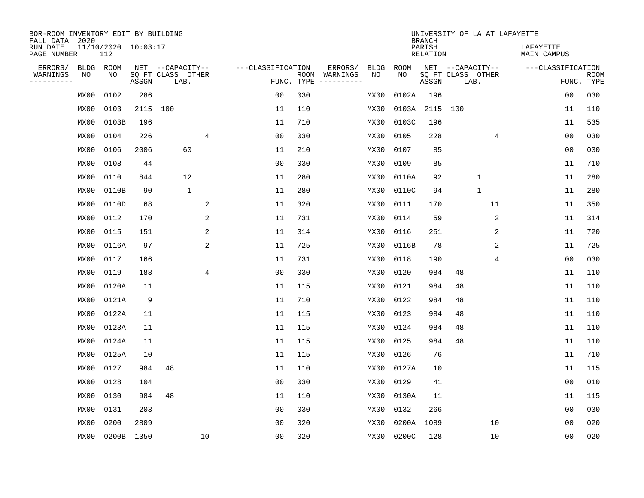| BOR-ROOM INVENTORY EDIT BY BUILDING<br>FALL DATA 2020 |             |                            |       |                           |    |                   |                    |                         |             |             | <b>BRANCH</b>             | UNIVERSITY OF LA AT LAFAYETTE |    |                                 |                           |
|-------------------------------------------------------|-------------|----------------------------|-------|---------------------------|----|-------------------|--------------------|-------------------------|-------------|-------------|---------------------------|-------------------------------|----|---------------------------------|---------------------------|
| RUN DATE<br>PAGE NUMBER                               |             | 11/10/2020 10:03:17<br>112 |       |                           |    |                   |                    |                         |             |             | PARISH<br><b>RELATION</b> |                               |    | LAFAYETTE<br><b>MAIN CAMPUS</b> |                           |
| ERRORS/                                               | <b>BLDG</b> | ROOM                       |       | NET --CAPACITY--          |    | ---CLASSIFICATION |                    | ERRORS/                 | <b>BLDG</b> | <b>ROOM</b> |                           | NET --CAPACITY--              |    | ---CLASSIFICATION               |                           |
| WARNINGS<br>----------                                | NO          | NO                         | ASSGN | SQ FT CLASS OTHER<br>LAB. |    |                   | ROOM<br>FUNC. TYPE | WARNINGS<br>----------- | NO          | NO          | ASSGN                     | SQ FT CLASS OTHER<br>LAB.     |    |                                 | <b>ROOM</b><br>FUNC. TYPE |
|                                                       | MX00        | 0102                       | 286   |                           |    | 0 <sub>0</sub>    | 030                |                         | MX00        | 0102A       | 196                       |                               |    | 00                              | 030                       |
|                                                       | MX00        | 0103                       | 2115  | 100                       |    | 11                | 110                |                         | MX00        | 0103A       | 2115                      | 100                           |    | 11                              | 110                       |
|                                                       | MX00        | 0103B                      | 196   |                           |    | 11                | 710                |                         | MX00        | 0103C       | 196                       |                               |    | 11                              | 535                       |
|                                                       | MX00        | 0104                       | 226   |                           | 4  | 0 <sub>0</sub>    | 030                |                         | MX00        | 0105        | 228                       |                               | 4  | 0 <sub>0</sub>                  | 030                       |
|                                                       | MX00        | 0106                       | 2006  | 60                        |    | 11                | 210                |                         | MX00        | 0107        | 85                        |                               |    | 0 <sub>0</sub>                  | 030                       |
|                                                       | MX00        | 0108                       | 44    |                           |    | 0 <sub>0</sub>    | 030                |                         | MX00        | 0109        | 85                        |                               |    | 11                              | 710                       |
|                                                       | MX00        | 0110                       | 844   | 12                        |    | 11                | 280                |                         | MX00        | 0110A       | 92                        | $\mathbf{1}$                  |    | 11                              | 280                       |
|                                                       | MX00        | 0110B                      | 90    | $\mathbf{1}$              |    | 11                | 280                |                         | MX00        | 0110C       | 94                        | $\mathbf{1}$                  |    | 11                              | 280                       |
|                                                       | MX00        | 0110D                      | 68    |                           | 2  | 11                | 320                |                         | MX00        | 0111        | 170                       |                               | 11 | 11                              | 350                       |
|                                                       | MX00        | 0112                       | 170   |                           | 2  | 11                | 731                |                         | MX00        | 0114        | 59                        |                               | 2  | 11                              | 314                       |
|                                                       | MX00        | 0115                       | 151   |                           | 2  | 11                | 314                |                         | MX00        | 0116        | 251                       |                               | 2  | 11                              | 720                       |
|                                                       | MX00        | 0116A                      | 97    |                           | 2  | 11                | 725                |                         | MX00        | 0116B       | 78                        |                               | 2  | 11                              | 725                       |
|                                                       | MX00        | 0117                       | 166   |                           |    | 11                | 731                |                         | MX00        | 0118        | 190                       |                               | 4  | 00                              | 030                       |
|                                                       | MX00        | 0119                       | 188   |                           | 4  | 00                | 030                |                         | MX00        | 0120        | 984                       | 48                            |    | 11                              | 110                       |
|                                                       | MX00        | 0120A                      | 11    |                           |    | 11                | 115                |                         | MX00        | 0121        | 984                       | 48                            |    | 11                              | 110                       |
|                                                       | MX00        | 0121A                      | 9     |                           |    | 11                | 710                |                         | MX00        | 0122        | 984                       | 48                            |    | 11                              | 110                       |
|                                                       | MX00        | 0122A                      | 11    |                           |    | 11                | 115                |                         | MX00        | 0123        | 984                       | 48                            |    | 11                              | 110                       |
|                                                       | MX00        | 0123A                      | 11    |                           |    | 11                | 115                |                         | MX00        | 0124        | 984                       | 48                            |    | 11                              | 110                       |
|                                                       | MX00        | 0124A                      | 11    |                           |    | 11                | 115                |                         | MX00        | 0125        | 984                       | 48                            |    | 11                              | 110                       |
|                                                       | MX00        | 0125A                      | 10    |                           |    | 11                | 115                |                         | MX00        | 0126        | 76                        |                               |    | 11                              | 710                       |
|                                                       | MX00        | 0127                       | 984   | 48                        |    | 11                | 110                |                         | MX00        | 0127A       | 10                        |                               |    | 11                              | 115                       |
|                                                       | MX00        | 0128                       | 104   |                           |    | 0 <sub>0</sub>    | 030                |                         | MX00        | 0129        | 41                        |                               |    | 0 <sub>0</sub>                  | 010                       |
|                                                       | MX00        | 0130                       | 984   | 48                        |    | 11                | 110                |                         | MX00        | 0130A       | 11                        |                               |    | 11                              | 115                       |
|                                                       | MX00        | 0131                       | 203   |                           |    | 00                | 030                |                         | MX00        | 0132        | 266                       |                               |    | 00                              | 030                       |
|                                                       | MX00        | 0200                       | 2809  |                           |    | 0 <sub>0</sub>    | 020                |                         | MX00        | 0200A       | 1089                      |                               | 10 | 00                              | 020                       |
|                                                       | MX00        | 0200B                      | 1350  |                           | 10 | 0 <sub>0</sub>    | 020                |                         | MX00        | 0200C       | 128                       |                               | 10 | 0 <sub>0</sub>                  | 020                       |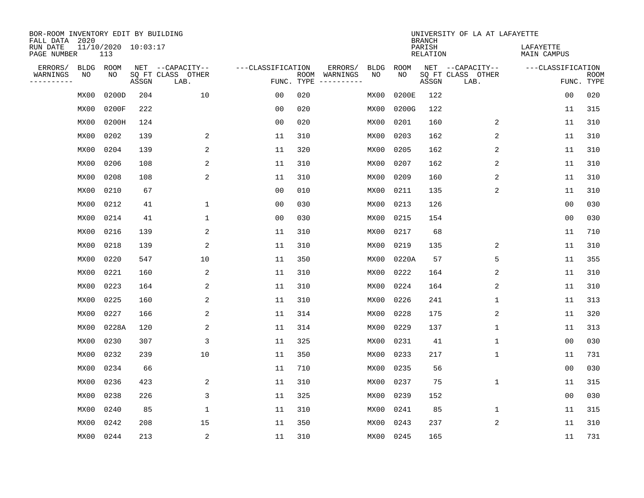| BOR-ROOM INVENTORY EDIT BY BUILDING<br>FALL DATA 2020 |             |                            |       |                           |                   |      |          |             |             | <b>BRANCH</b>             | UNIVERSITY OF LA AT LAFAYETTE |                          |                           |
|-------------------------------------------------------|-------------|----------------------------|-------|---------------------------|-------------------|------|----------|-------------|-------------|---------------------------|-------------------------------|--------------------------|---------------------------|
| RUN DATE<br>PAGE NUMBER                               |             | 11/10/2020 10:03:17<br>113 |       |                           |                   |      |          |             |             | PARISH<br><b>RELATION</b> |                               | LAFAYETTE<br>MAIN CAMPUS |                           |
| ERRORS/                                               | <b>BLDG</b> | ROOM                       |       | NET --CAPACITY--          | ---CLASSIFICATION |      | ERRORS/  | <b>BLDG</b> | <b>ROOM</b> |                           | NET --CAPACITY--              | ---CLASSIFICATION        |                           |
| WARNINGS<br>----------                                | NO          | NO                         | ASSGN | SQ FT CLASS OTHER<br>LAB. | FUNC. TYPE        | ROOM | WARNINGS | NO          | NO          | ASSGN                     | SQ FT CLASS OTHER<br>LAB.     |                          | <b>ROOM</b><br>FUNC. TYPE |
|                                                       | MX00        | 0200D                      | 204   | 10                        | 00                | 020  |          | MX00        | 0200E       | 122                       |                               | 00                       | 020                       |
|                                                       | MX00        | 0200F                      | 222   |                           | 0 <sub>0</sub>    | 020  |          | MX00        | 0200G       | 122                       |                               | 11                       | 315                       |
|                                                       | MX00        | 0200H                      | 124   |                           | 0 <sub>0</sub>    | 020  |          | MX00        | 0201        | 160                       | 2                             | 11                       | 310                       |
|                                                       | MX00        | 0202                       | 139   | 2                         | 11                | 310  |          | MX00        | 0203        | 162                       | 2                             | 11                       | 310                       |
|                                                       | MX00        | 0204                       | 139   | 2                         | 11                | 320  |          | MX00        | 0205        | 162                       | 2                             | 11                       | 310                       |
|                                                       | MX00        | 0206                       | 108   | 2                         | 11                | 310  |          | MX00        | 0207        | 162                       | 2                             | 11                       | 310                       |
|                                                       | MX00        | 0208                       | 108   | 2                         | 11                | 310  |          | MX00        | 0209        | 160                       | 2                             | 11                       | 310                       |
|                                                       | MX00        | 0210                       | 67    |                           | 0 <sub>0</sub>    | 010  |          | MX00        | 0211        | 135                       | 2                             | 11                       | 310                       |
|                                                       | MX00        | 0212                       | 41    | 1                         | 0 <sub>0</sub>    | 030  |          | MX00        | 0213        | 126                       |                               | 0 <sub>0</sub>           | 030                       |
|                                                       | MX00        | 0214                       | 41    | 1                         | 0 <sub>0</sub>    | 030  |          | MX00        | 0215        | 154                       |                               | 0 <sub>0</sub>           | 030                       |
|                                                       | MX00        | 0216                       | 139   | 2                         | 11                | 310  |          | MX00        | 0217        | 68                        |                               | 11                       | 710                       |
|                                                       | MX00        | 0218                       | 139   | 2                         | 11                | 310  |          | MX00        | 0219        | 135                       | 2                             | 11                       | 310                       |
|                                                       | MX00        | 0220                       | 547   | 10                        | 11                | 350  |          | MX00        | 0220A       | 57                        | 5                             | 11                       | 355                       |
|                                                       | MX00        | 0221                       | 160   | 2                         | 11                | 310  |          | MX00        | 0222        | 164                       | 2                             | 11                       | 310                       |
|                                                       | MX00        | 0223                       | 164   | 2                         | 11                | 310  |          | MX00        | 0224        | 164                       | 2                             | 11                       | 310                       |
|                                                       | MX00        | 0225                       | 160   | 2                         | 11                | 310  |          | MX00        | 0226        | 241                       | 1                             | 11                       | 313                       |
|                                                       | MX00        | 0227                       | 166   | 2                         | 11                | 314  |          | MX00        | 0228        | 175                       | 2                             | 11                       | 320                       |
|                                                       | MX00        | 0228A                      | 120   | $\sqrt{2}$                | 11                | 314  |          | MX00        | 0229        | 137                       | 1                             | 11                       | 313                       |
|                                                       | MX00        | 0230                       | 307   | 3                         | 11                | 325  |          | MX00        | 0231        | 41                        | 1                             | 0 <sub>0</sub>           | 030                       |
|                                                       | MX00        | 0232                       | 239   | 10                        | 11                | 350  |          | MX00        | 0233        | 217                       | 1                             | 11                       | 731                       |
|                                                       | MX00        | 0234                       | 66    |                           | 11                | 710  |          | MX00        | 0235        | 56                        |                               | 0 <sub>0</sub>           | 030                       |
|                                                       | MX00        | 0236                       | 423   | 2                         | 11                | 310  |          | MX00        | 0237        | 75                        | 1                             | 11                       | 315                       |
|                                                       | MX00        | 0238                       | 226   | 3                         | 11                | 325  |          | MX00        | 0239        | 152                       |                               | 0 <sub>0</sub>           | 030                       |
|                                                       | MX00        | 0240                       | 85    | $\mathbf 1$               | 11                | 310  |          | MX00        | 0241        | 85                        | 1                             | 11                       | 315                       |
|                                                       | MX00        | 0242                       | 208   | 15                        | 11                | 350  |          | MX00        | 0243        | 237                       | 2                             | 11                       | 310                       |
|                                                       | MX00        | 0244                       | 213   | $\sqrt{2}$                | 11                | 310  |          |             | MX00 0245   | 165                       |                               | 11                       | 731                       |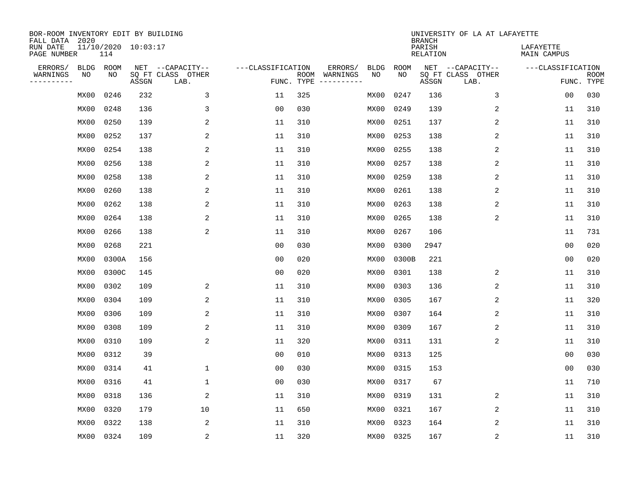| BOR-ROOM INVENTORY EDIT BY BUILDING<br>FALL DATA 2020 |                            |       |                           |                   |                    |                         |             |             | <b>BRANCH</b>             | UNIVERSITY OF LA AT LAFAYETTE |                          |                           |
|-------------------------------------------------------|----------------------------|-------|---------------------------|-------------------|--------------------|-------------------------|-------------|-------------|---------------------------|-------------------------------|--------------------------|---------------------------|
| RUN DATE<br>PAGE NUMBER                               | 11/10/2020 10:03:17<br>114 |       |                           |                   |                    |                         |             |             | PARISH<br><b>RELATION</b> |                               | LAFAYETTE<br>MAIN CAMPUS |                           |
| ERRORS/<br><b>BLDG</b>                                | ROOM                       |       | NET --CAPACITY--          | ---CLASSIFICATION |                    | ERRORS/                 | <b>BLDG</b> | <b>ROOM</b> |                           | NET --CAPACITY--              | ---CLASSIFICATION        |                           |
| WARNINGS<br>NO<br>----------                          | NO                         | ASSGN | SQ FT CLASS OTHER<br>LAB. |                   | ROOM<br>FUNC. TYPE | WARNINGS<br>----------- | NO          | NO          | ASSGN                     | SQ FT CLASS OTHER<br>LAB.     |                          | <b>ROOM</b><br>FUNC. TYPE |
| MX00                                                  | 0246                       | 232   | 3                         | 11                | 325                |                         | MX00        | 0247        | 136                       | 3                             | 00                       | 030                       |
| MX00                                                  | 0248                       | 136   | 3                         | 0 <sub>0</sub>    | 030                |                         | MX00        | 0249        | 139                       | 2                             | 11                       | 310                       |
| MX00                                                  | 0250                       | 139   | 2                         | 11                | 310                |                         | MX00        | 0251        | 137                       | $\overline{c}$                | 11                       | 310                       |
| MX00                                                  | 0252                       | 137   | 2                         | 11                | 310                |                         | MX00        | 0253        | 138                       | 2                             | 11                       | 310                       |
| MX00                                                  | 0254                       | 138   | 2                         | 11                | 310                |                         | MX00        | 0255        | 138                       | $\overline{2}$                | 11                       | 310                       |
| MX00                                                  | 0256                       | 138   | 2                         | 11                | 310                |                         | MX00        | 0257        | 138                       | 2                             | 11                       | 310                       |
| MX00                                                  | 0258                       | 138   | $\overline{c}$            | 11                | 310                |                         | MX00        | 0259        | 138                       | 2                             | 11                       | 310                       |
| MX00                                                  | 0260                       | 138   | 2                         | 11                | 310                |                         | MX00        | 0261        | 138                       | 2                             | 11                       | 310                       |
| MX00                                                  | 0262                       | 138   | 2                         | 11                | 310                |                         | MX00        | 0263        | 138                       | 2                             | 11                       | 310                       |
| MX00                                                  | 0264                       | 138   | 2                         | 11                | 310                |                         | MX00        | 0265        | 138                       | 2                             | 11                       | 310                       |
| MX00                                                  | 0266                       | 138   | 2                         | 11                | 310                |                         | MX00        | 0267        | 106                       |                               | 11                       | 731                       |
| MX00                                                  | 0268                       | 221   |                           | 0 <sub>0</sub>    | 030                |                         | MX00        | 0300        | 2947                      |                               | 0 <sub>0</sub>           | 020                       |
| MX00                                                  | 0300A                      | 156   |                           | 0 <sub>0</sub>    | 020                |                         | MX00        | 0300B       | 221                       |                               | 0 <sub>0</sub>           | 020                       |
| MX00                                                  | 0300C                      | 145   |                           | 0 <sub>0</sub>    | 020                |                         | MX00        | 0301        | 138                       | 2                             | 11                       | 310                       |
| MX00                                                  | 0302                       | 109   | 2                         | 11                | 310                |                         | MX00        | 0303        | 136                       | 2                             | 11                       | 310                       |
| MX00                                                  | 0304                       | 109   | 2                         | 11                | 310                |                         | MX00        | 0305        | 167                       | $\overline{c}$                | 11                       | 320                       |
| MX00                                                  | 0306                       | 109   | 2                         | 11                | 310                |                         | MX00        | 0307        | 164                       | 2                             | 11                       | 310                       |
| MX00                                                  | 0308                       | 109   | 2                         | 11                | 310                |                         | MX00        | 0309        | 167                       | 2                             | 11                       | 310                       |
| MX00                                                  | 0310                       | 109   | 2                         | 11                | 320                |                         | MX00        | 0311        | 131                       | 2                             | 11                       | 310                       |
| MX00                                                  | 0312                       | 39    |                           | 0 <sub>0</sub>    | 010                |                         | MX00        | 0313        | 125                       |                               | 0 <sub>0</sub>           | 030                       |
| MX00                                                  | 0314                       | 41    | 1                         | 0 <sub>0</sub>    | 030                |                         | MX00        | 0315        | 153                       |                               | 0 <sub>0</sub>           | 030                       |
| MX00                                                  | 0316                       | 41    | 1                         | 0 <sub>0</sub>    | 030                |                         | MX00        | 0317        | 67                        |                               | 11                       | 710                       |
| MX00                                                  | 0318                       | 136   | 2                         | 11                | 310                |                         | MX00        | 0319        | 131                       | 2                             | 11                       | 310                       |
| MX00                                                  | 0320                       | 179   | 10                        | 11                | 650                |                         | MX00        | 0321        | 167                       | 2                             | 11                       | 310                       |
| MX00                                                  | 0322                       | 138   | 2                         | 11                | 310                |                         | MX00        | 0323        | 164                       | 2                             | 11                       | 310                       |
| MX00                                                  | 0324                       | 109   | $\sqrt{2}$                | 11                | 320                |                         |             | MX00 0325   | 167                       | $\sqrt{2}$                    | 11                       | 310                       |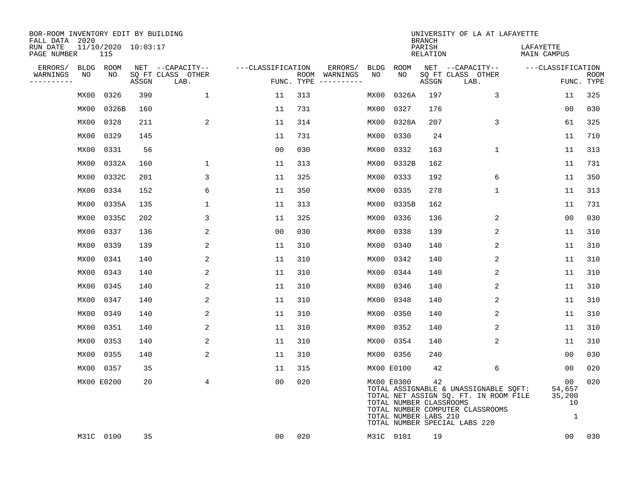| BOR-ROOM INVENTORY EDIT BY BUILDING<br>FALL DATA 2020 |      |                            |       |                           |                   |     |                                      |      |                                                                | <b>BRANCH</b>                   | UNIVERSITY OF LA AT LAFAYETTE                                                                                                                       |                                   |                           |
|-------------------------------------------------------|------|----------------------------|-------|---------------------------|-------------------|-----|--------------------------------------|------|----------------------------------------------------------------|---------------------------------|-----------------------------------------------------------------------------------------------------------------------------------------------------|-----------------------------------|---------------------------|
| RUN DATE<br>PAGE NUMBER                               |      | 11/10/2020 10:03:17<br>115 |       |                           |                   |     |                                      |      |                                                                | PARISH<br>RELATION              |                                                                                                                                                     | LAFAYETTE<br>MAIN CAMPUS          |                           |
| ERRORS/                                               |      | BLDG ROOM                  |       | NET --CAPACITY--          | ---CLASSIFICATION |     | ERRORS/                              | BLDG | ROOM                                                           |                                 | NET --CAPACITY--                                                                                                                                    | ---CLASSIFICATION                 |                           |
| WARNINGS<br>----------                                | NO   | NO                         | ASSGN | SQ FT CLASS OTHER<br>LAB. |                   |     | ROOM WARNINGS<br>FUNC. TYPE $------$ | NO   | NO.                                                            | $\operatorname{\mathsf{ASSGN}}$ | SQ FT CLASS OTHER<br>LAB.                                                                                                                           |                                   | <b>ROOM</b><br>FUNC. TYPE |
|                                                       | MX00 | 0326                       | 390   | $\mathbf 1$               | 11                | 313 |                                      | MX00 | 0326A                                                          | 197                             | 3                                                                                                                                                   | 11                                | 325                       |
|                                                       | MX00 | 0326B                      | 160   |                           | 11                | 731 |                                      | MX00 | 0327                                                           | 176                             |                                                                                                                                                     | 0 <sub>0</sub>                    | 030                       |
|                                                       | MX00 | 0328                       | 211   | 2                         | 11                | 314 |                                      | MX00 | 0328A                                                          | 207                             | 3                                                                                                                                                   | 61                                | 325                       |
|                                                       | MX00 | 0329                       | 145   |                           | 11                | 731 |                                      | MX00 | 0330                                                           | 24                              |                                                                                                                                                     | 11                                | 710                       |
|                                                       | MX00 | 0331                       | 56    |                           | 0 <sub>0</sub>    | 030 |                                      | MX00 | 0332                                                           | 163                             | $\mathbf 1$                                                                                                                                         | 11                                | 313                       |
|                                                       | MX00 | 0332A                      | 160   | 1                         | 11                | 313 |                                      | MX00 | 0332B                                                          | 162                             |                                                                                                                                                     | 11                                | 731                       |
|                                                       | MX00 | 0332C                      | 201   | 3                         | 11                | 325 |                                      | MX00 | 0333                                                           | 192                             | 6                                                                                                                                                   | 11                                | 350                       |
|                                                       | MX00 | 0334                       | 152   | 6                         | 11                | 350 |                                      | MX00 | 0335                                                           | 278                             | $\mathbf{1}$                                                                                                                                        | 11                                | 313                       |
|                                                       | MX00 | 0335A                      | 135   | $\mathbf{1}$              | 11                | 313 |                                      | MX00 | 0335B                                                          | 162                             |                                                                                                                                                     | 11                                | 731                       |
|                                                       | MX00 | 0335C                      | 202   | 3                         | 11                | 325 |                                      |      | MX00 0336                                                      | 136                             | 2                                                                                                                                                   | 0 <sub>0</sub>                    | 030                       |
|                                                       | MX00 | 0337                       | 136   | 2                         | 00                | 030 |                                      | MX00 | 0338                                                           | 139                             | 2                                                                                                                                                   | 11                                | 310                       |
|                                                       | MX00 | 0339                       | 139   | 2                         | 11                | 310 |                                      |      | MX00 0340                                                      | 140                             | 2                                                                                                                                                   | 11                                | 310                       |
|                                                       | MX00 | 0341                       | 140   | 2                         | 11                | 310 |                                      | MX00 | 0342                                                           | 140                             | 2                                                                                                                                                   | 11                                | 310                       |
|                                                       | MX00 | 0343                       | 140   | 2                         | 11                | 310 |                                      | MX00 | 0344                                                           | 140                             | 2                                                                                                                                                   | 11                                | 310                       |
|                                                       | MX00 | 0345                       | 140   | 2                         | 11                | 310 |                                      | MX00 | 0346                                                           | 140                             | 2                                                                                                                                                   | 11                                | 310                       |
|                                                       | MX00 | 0347                       | 140   | 2                         | 11                | 310 |                                      | MX00 | 0348                                                           | 140                             | 2                                                                                                                                                   | 11                                | 310                       |
|                                                       | MX00 | 0349                       | 140   | 2                         | 11                | 310 |                                      | MX00 | 0350                                                           | 140                             | 2                                                                                                                                                   | 11                                | 310                       |
|                                                       | MX00 | 0351                       | 140   | 2                         | 11                | 310 |                                      | MX00 | 0352                                                           | 140                             | 2                                                                                                                                                   | 11                                | 310                       |
|                                                       | MX00 | 0353                       | 140   | 2                         | 11                | 310 |                                      | MX00 | 0354                                                           | 140                             | 2                                                                                                                                                   | 11                                | 310                       |
|                                                       | MX00 | 0355                       | 140   | 2                         | 11                | 310 |                                      |      | MX00 0356                                                      | 240                             |                                                                                                                                                     | 00                                | 030                       |
|                                                       | MX00 | 0357                       | 35    |                           | 11                | 315 |                                      |      | MX00 E0100                                                     | 42                              | 6                                                                                                                                                   | 0 <sub>0</sub>                    | 020                       |
|                                                       |      | MX00 E0200                 | 20    | 4                         | 0 <sub>0</sub>    | 020 |                                      |      | MX00 E0300<br>TOTAL NUMBER CLASSROOMS<br>TOTAL NUMBER LABS 210 | 42                              | TOTAL ASSIGNABLE & UNASSIGNABLE SQFT:<br>TOTAL NET ASSIGN SQ. FT. IN ROOM FILE<br>TOTAL NUMBER COMPUTER CLASSROOMS<br>TOTAL NUMBER SPECIAL LABS 220 | 00<br>54,657<br>35,200<br>10<br>1 | 020                       |
|                                                       |      | M31C 0100                  | 35    |                           | 00                | 020 |                                      |      | M31C 0101                                                      | 19                              |                                                                                                                                                     | 00                                | 030                       |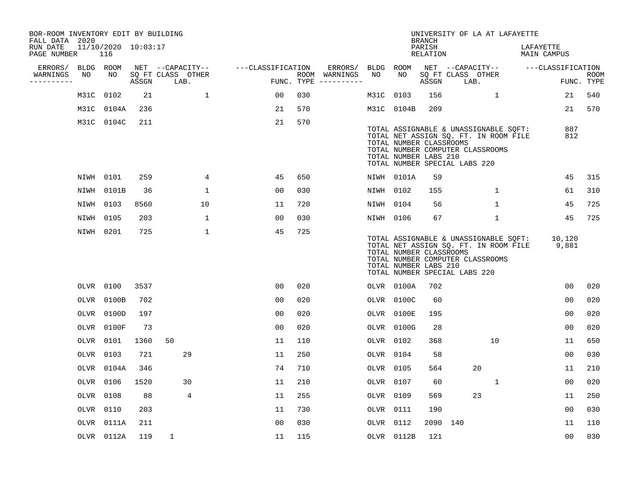| BOR-ROOM INVENTORY EDIT BY BUILDING<br>FALL DATA 2020 |           |                            |      |              |                   |                   |                |     |                                      |           |                                                                                   | <b>BRANCH</b>      |      | UNIVERSITY OF LA AT LAFAYETTE                                                                                      |                          |                           |
|-------------------------------------------------------|-----------|----------------------------|------|--------------|-------------------|-------------------|----------------|-----|--------------------------------------|-----------|-----------------------------------------------------------------------------------|--------------------|------|--------------------------------------------------------------------------------------------------------------------|--------------------------|---------------------------|
| RUN DATE<br>PAGE NUMBER                               |           | 11/10/2020 10:03:17<br>116 |      |              |                   |                   |                |     |                                      |           |                                                                                   | PARISH<br>RELATION |      |                                                                                                                    | LAFAYETTE<br>MAIN CAMPUS |                           |
| ERRORS/                                               | BLDG ROOM |                            |      |              | NET --CAPACITY--  | ---CLASSIFICATION |                |     | ERRORS/                              | BLDG ROOM |                                                                                   |                    |      | NET --CAPACITY--                                                                                                   | ---CLASSIFICATION        |                           |
| WARNINGS<br>----------                                | NO        | NO                         |      | ASSGN LAB.   | SQ FT CLASS OTHER |                   |                |     | ROOM WARNINGS<br>FUNC. TYPE $------$ | NO        | NO                                                                                | ASSGN              | LAB. | SQ FT CLASS OTHER                                                                                                  |                          | <b>ROOM</b><br>FUNC. TYPE |
|                                                       |           | M31C 0102                  | 21   |              | $\mathbf{1}$      |                   | 00             | 030 |                                      | M31C 0103 |                                                                                   | 156                |      | $\mathbf{1}$                                                                                                       | 21                       | 540                       |
|                                                       |           | M31C 0104A                 | 236  |              |                   |                   | 21             | 570 |                                      |           | M31C 0104B                                                                        | 209                |      |                                                                                                                    |                          | 21 570                    |
|                                                       |           | M31C 0104C                 | 211  |              |                   |                   | 21             | 570 |                                      |           | TOTAL NUMBER CLASSROOMS<br>TOTAL NUMBER LABS 210<br>TOTAL NUMBER SPECIAL LABS 220 |                    |      | TOTAL ASSIGNABLE & UNASSIGNABLE SOFT:<br>TOTAL NET ASSIGN SQ. FT. IN ROOM FILE<br>TOTAL NUMBER COMPUTER CLASSROOMS | 887<br>812               |                           |
|                                                       |           | NIWH 0101                  | 259  |              | $\overline{4}$    |                   | 45             | 650 |                                      |           | NIWH 0101A                                                                        | 59                 |      |                                                                                                                    | 45                       | 315                       |
|                                                       |           | NIWH 0101B                 | 36   |              | $\mathbf{1}$      |                   | 0 <sub>0</sub> | 030 |                                      | NIWH 0102 |                                                                                   | 155                |      | $\mathbf{1}$                                                                                                       | 61                       | 310                       |
|                                                       | NIWH 0103 |                            | 8560 |              | 10                |                   | 11             | 720 |                                      | NIWH 0104 |                                                                                   | 56                 |      | $\mathbf{1}$                                                                                                       | 45                       | 725                       |
|                                                       | NIWH 0105 |                            | 203  |              | $\mathbf{1}$      |                   | 0 <sub>0</sub> | 030 |                                      | NIWH 0106 |                                                                                   | 67                 |      | $\mathbf{1}$                                                                                                       | 45                       | 725                       |
|                                                       | NIWH 0201 |                            | 725  |              | $\mathbf{1}$      |                   | 45             | 725 |                                      |           | TOTAL NUMBER CLASSROOMS<br>TOTAL NUMBER LABS 210<br>TOTAL NUMBER SPECIAL LABS 220 |                    |      | TOTAL ASSIGNABLE & UNASSIGNABLE SQFT:<br>TOTAL NET ASSIGN SQ. FT. IN ROOM FILE<br>TOTAL NUMBER COMPUTER CLASSROOMS | 10,120<br>9,881          |                           |
|                                                       |           | OLVR 0100                  | 3537 |              |                   |                   | 00             | 020 |                                      |           | OLVR 0100A                                                                        | 702                |      |                                                                                                                    | 00                       | 020                       |
|                                                       |           | OLVR 0100B                 | 702  |              |                   |                   | 0 <sub>0</sub> | 020 |                                      |           | OLVR 0100C                                                                        | 60                 |      |                                                                                                                    | 00                       | 020                       |
|                                                       |           | OLVR 0100D                 | 197  |              |                   |                   | 0 <sub>0</sub> | 020 |                                      |           | OLVR 0100E                                                                        | 195                |      |                                                                                                                    | 0 <sub>0</sub>           | 020                       |
|                                                       |           | OLVR 0100F                 | 73   |              |                   |                   | 0 <sub>0</sub> | 020 |                                      |           | OLVR 0100G                                                                        | 28                 |      |                                                                                                                    | 0 <sub>0</sub>           | 020                       |
|                                                       |           | OLVR 0101                  | 1360 | 50           |                   |                   | 11             | 110 |                                      | OLVR 0102 |                                                                                   | 368                |      | 10                                                                                                                 | 11                       | 650                       |
|                                                       |           | OLVR 0103                  | 721  |              | 29                |                   | 11             | 250 |                                      | OLVR 0104 |                                                                                   | 58                 |      |                                                                                                                    | 0 <sub>0</sub>           | 030                       |
|                                                       |           | OLVR 0104A                 | 346  |              |                   |                   | 74             | 710 |                                      | OLVR 0105 |                                                                                   | 564                |      | 20                                                                                                                 | 11                       | 210                       |
|                                                       |           | OLVR 0106                  | 1520 |              | 30                |                   | 11             | 210 |                                      | OLVR 0107 |                                                                                   | 60                 |      | 1                                                                                                                  | 00                       | 020                       |
|                                                       |           | OLVR 0108                  | 88   |              | 4                 |                   | 11             | 255 |                                      | OLVR 0109 |                                                                                   | 569                |      | 23                                                                                                                 | 11                       | 250                       |
|                                                       |           | OLVR 0110                  | 203  |              |                   |                   | 11             | 730 |                                      | OLVR 0111 |                                                                                   | 190                |      |                                                                                                                    | 00                       | 030                       |
|                                                       |           | OLVR 0111A                 | 211  |              |                   |                   | 0 <sub>0</sub> | 030 |                                      | OLVR 0112 |                                                                                   | 2090 140           |      |                                                                                                                    | 11                       | 110                       |
|                                                       |           | OLVR 0112A                 | 119  | $\mathbf{1}$ |                   |                   | 11             | 115 |                                      |           | OLVR 0112B                                                                        | 121                |      |                                                                                                                    | 0 <sub>0</sub>           | 030                       |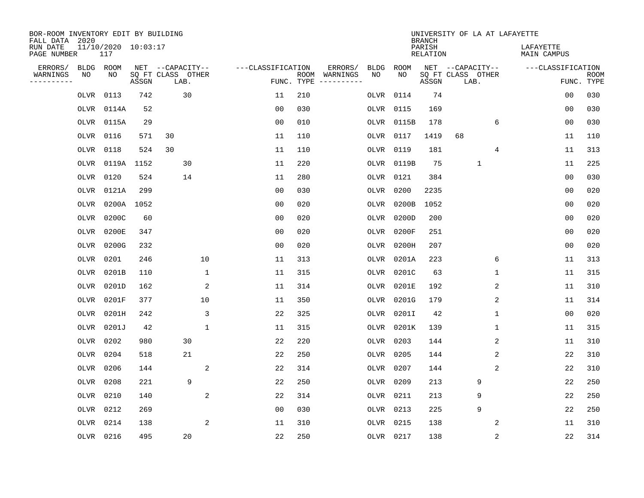| BOR-ROOM INVENTORY EDIT BY BUILDING<br>FALL DATA 2020 |           |                            |       |                           |                   |                    |          |             |           | <b>BRANCH</b>             |                           |             | UNIVERSITY OF LA AT LAFAYETTE |                |                           |
|-------------------------------------------------------|-----------|----------------------------|-------|---------------------------|-------------------|--------------------|----------|-------------|-----------|---------------------------|---------------------------|-------------|-------------------------------|----------------|---------------------------|
| RUN DATE<br>PAGE NUMBER                               |           | 11/10/2020 10:03:17<br>117 |       |                           |                   |                    |          |             |           | PARISH<br><b>RELATION</b> |                           |             | LAFAYETTE<br>MAIN CAMPUS      |                |                           |
| ERRORS/                                               | BLDG      | ROOM                       |       | NET --CAPACITY--          | ---CLASSIFICATION |                    | ERRORS/  | <b>BLDG</b> | ROOM      |                           | NET --CAPACITY--          |             | ---CLASSIFICATION             |                |                           |
| WARNINGS<br>----------                                | ΝO        | NO                         | ASSGN | SQ FT CLASS OTHER<br>LAB. |                   | ROOM<br>FUNC. TYPE | WARNINGS | NO          | NO        | ASSGN                     | SQ FT CLASS OTHER<br>LAB. |             |                               |                | <b>ROOM</b><br>FUNC. TYPE |
|                                                       | OLVR      | 0113                       | 742   | 30                        | 11                | 210                |          | OLVR        | 0114      | 74                        |                           |             |                               | 0 <sub>0</sub> | 030                       |
|                                                       | OLVR      | 0114A                      | 52    |                           | 00                | 030                |          | OLVR        | 0115      | 169                       |                           |             |                               | 00             | 030                       |
|                                                       | OLVR      | 0115A                      | 29    |                           | 00                | 010                |          | OLVR        | 0115B     | 178                       |                           | 6           |                               | 00             | 030                       |
|                                                       | OLVR      | 0116                       | 571   | 30                        | 11                | 110                |          | OLVR        | 0117      | 1419                      | 68                        |             |                               | 11             | 110                       |
|                                                       | OLVR      | 0118                       | 524   | 30                        | 11                | 110                |          | OLVR        | 0119      | 181                       |                           | 4           |                               | 11             | 313                       |
|                                                       | OLVR      | 0119A                      | 1152  | 30                        | 11                | 220                |          | OLVR        | 0119B     | 75                        |                           | $\mathbf 1$ |                               | 11             | 225                       |
|                                                       | OLVR      | 0120                       | 524   | 14                        | 11                | 280                |          | OLVR        | 0121      | 384                       |                           |             |                               | 0 <sub>0</sub> | 030                       |
|                                                       | OLVR      | 0121A                      | 299   |                           | 0 <sub>0</sub>    | 030                |          | OLVR        | 0200      | 2235                      |                           |             |                               | 0 <sub>0</sub> | 020                       |
|                                                       | OLVR      | 0200A                      | 1052  |                           | 0 <sub>0</sub>    | 020                |          | OLVR        | 0200B     | 1052                      |                           |             |                               | 0 <sub>0</sub> | 020                       |
|                                                       | OLVR      | 0200C                      | 60    |                           | 0 <sub>0</sub>    | 020                |          | OLVR        | 0200D     | 200                       |                           |             |                               | 0 <sub>0</sub> | 020                       |
|                                                       | OLVR      | 0200E                      | 347   |                           | 0 <sub>0</sub>    | 020                |          | OLVR        | 0200F     | 251                       |                           |             |                               | 0 <sub>0</sub> | 020                       |
|                                                       | OLVR      | 0200G                      | 232   |                           | 0 <sub>0</sub>    | 020                |          | OLVR        | 0200H     | 207                       |                           |             |                               | 0 <sub>0</sub> | 020                       |
|                                                       | OLVR      | 0201                       | 246   | 10                        | 11                | 313                |          | OLVR        | 0201A     | 223                       |                           | 6           |                               | 11             | 313                       |
|                                                       | OLVR      | 0201B                      | 110   | 1                         | 11                | 315                |          | OLVR        | 0201C     | 63                        |                           | 1           |                               | 11             | 315                       |
|                                                       | OLVR      | 0201D                      | 162   | 2                         | 11                | 314                |          | OLVR        | 0201E     | 192                       |                           | 2           |                               | 11             | 310                       |
|                                                       | OLVR      | 0201F                      | 377   | 10                        | 11                | 350                |          | OLVR        | 0201G     | 179                       |                           | 2           |                               | 11             | 314                       |
|                                                       | OLVR      | 0201H                      | 242   | 3                         | 22                | 325                |          | OLVR        | 0201I     | 42                        |                           | 1           |                               | 0 <sub>0</sub> | 020                       |
|                                                       | OLVR      | 0201J                      | 42    | 1                         | 11                | 315                |          | OLVR        | 0201K     | 139                       |                           | 1           |                               | 11             | 315                       |
|                                                       | OLVR      | 0202                       | 980   | 30                        | 22                | 220                |          | OLVR        | 0203      | 144                       |                           | 2           |                               | 11             | 310                       |
|                                                       | OLVR      | 0204                       | 518   | 21                        | 22                | 250                |          | OLVR        | 0205      | 144                       |                           | 2           |                               | 22             | 310                       |
|                                                       | OLVR      | 0206                       | 144   | 2                         | 22                | 314                |          | OLVR        | 0207      | 144                       |                           | 2           |                               | 22             | 310                       |
|                                                       | OLVR      | 0208                       | 221   | 9                         | 22                | 250                |          | OLVR        | 0209      | 213                       |                           | 9           |                               | 22             | 250                       |
|                                                       | OLVR      | 0210                       | 140   | 2                         | 22                | 314                |          | OLVR        | 0211      | 213                       |                           | 9           |                               | 22             | 250                       |
|                                                       | OLVR      | 0212                       | 269   |                           | 00                | 030                |          | OLVR        | 0213      | 225                       |                           | 9           |                               | 22             | 250                       |
|                                                       | OLVR      | 0214                       | 138   | 2                         | 11                | 310                |          | OLVR        | 0215      | 138                       |                           | 2           |                               | 11             | 310                       |
|                                                       | OLVR 0216 |                            | 495   | 20                        | 22                | 250                |          |             | OLVR 0217 | 138                       |                           | 2           |                               | 22             | 314                       |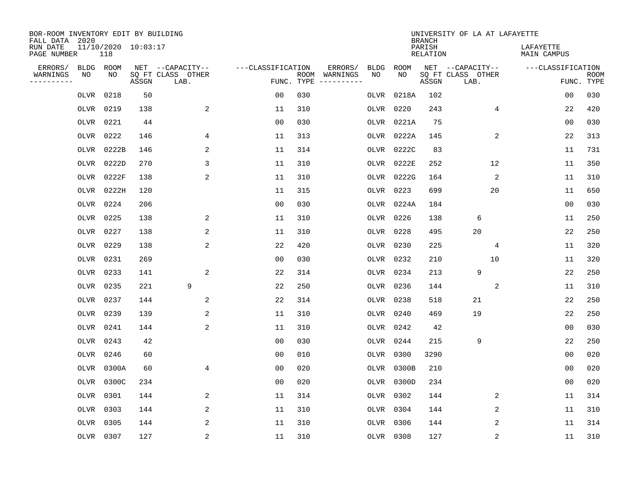| BOR-ROOM INVENTORY EDIT BY BUILDING<br>FALL DATA 2020 |           |                            |       |                           |                   |            |                              |             |           | <b>BRANCH</b>             | UNIVERSITY OF LA AT LAFAYETTE |                          |                           |
|-------------------------------------------------------|-----------|----------------------------|-------|---------------------------|-------------------|------------|------------------------------|-------------|-----------|---------------------------|-------------------------------|--------------------------|---------------------------|
| RUN DATE<br>PAGE NUMBER                               |           | 11/10/2020 10:03:17<br>118 |       |                           |                   |            |                              |             |           | PARISH<br><b>RELATION</b> |                               | LAFAYETTE<br>MAIN CAMPUS |                           |
| ERRORS/                                               | BLDG      | ROOM                       |       | NET --CAPACITY--          | ---CLASSIFICATION |            | ERRORS/                      | <b>BLDG</b> | ROOM      |                           | NET --CAPACITY--              | ---CLASSIFICATION        |                           |
| WARNINGS<br>----------                                | NO        | NO                         | ASSGN | SQ FT CLASS OTHER<br>LAB. |                   | FUNC. TYPE | ROOM WARNINGS<br>----------- | NO          | NO        | ASSGN                     | SQ FT CLASS OTHER<br>LAB.     |                          | <b>ROOM</b><br>FUNC. TYPE |
|                                                       | OLVR      | 0218                       | 50    |                           | 0 <sub>0</sub>    | 030        |                              | OLVR        | 0218A     | 102                       |                               | 0 <sub>0</sub>           | 030                       |
|                                                       | OLVR      | 0219                       | 138   | 2                         | 11                | 310        |                              | OLVR        | 0220      | 243                       | 4                             | 22                       | 420                       |
|                                                       | OLVR      | 0221                       | 44    |                           | 00                | 030        |                              | OLVR        | 0221A     | 75                        |                               | 00                       | 030                       |
|                                                       | OLVR      | 0222                       | 146   | 4                         | 11                | 313        |                              | OLVR        | 0222A     | 145                       | 2                             | 22                       | 313                       |
|                                                       | OLVR      | 0222B                      | 146   | 2                         | 11                | 314        |                              | OLVR        | 0222C     | 83                        |                               | 11                       | 731                       |
|                                                       | OLVR      | 0222D                      | 270   | 3                         | 11                | 310        |                              | OLVR        | 0222E     | 252                       | 12                            | 11                       | 350                       |
|                                                       | OLVR      | 0222F                      | 138   | $\overline{2}$            | 11                | 310        |                              | OLVR        | 0222G     | 164                       | 2                             | 11                       | 310                       |
|                                                       |           | OLVR 0222H                 | 120   |                           | 11                | 315        |                              | OLVR        | 0223      | 699                       | 20                            | 11                       | 650                       |
|                                                       | OLVR      | 0224                       | 206   |                           | 0 <sub>0</sub>    | 030        |                              | OLVR        | 0224A     | 184                       |                               | 0 <sub>0</sub>           | 030                       |
|                                                       | OLVR 0225 |                            | 138   | 2                         | 11                | 310        |                              | OLVR        | 0226      | 138                       | 6                             | 11                       | 250                       |
|                                                       | OLVR      | 0227                       | 138   | 2                         | 11                | 310        |                              | OLVR        | 0228      | 495                       | 20                            | 22                       | 250                       |
|                                                       | OLVR 0229 |                            | 138   | 2                         | 22                | 420        |                              | OLVR        | 0230      | 225                       | 4                             | 11                       | 320                       |
|                                                       | OLVR      | 0231                       | 269   |                           | 0 <sub>0</sub>    | 030        |                              | OLVR        | 0232      | 210                       | 10                            | 11                       | 320                       |
|                                                       | OLVR      | 0233                       | 141   | 2                         | 22                | 314        |                              | OLVR        | 0234      | 213                       | 9                             | 22                       | 250                       |
|                                                       | OLVR 0235 |                            | 221   | 9                         | 22                | 250        |                              | OLVR        | 0236      | 144                       | 2                             | 11                       | 310                       |
|                                                       | OLVR      | 0237                       | 144   | 2                         | 22                | 314        |                              | OLVR        | 0238      | 518                       | 21                            | 22                       | 250                       |
|                                                       | OLVR      | 0239                       | 139   | $\overline{a}$            | 11                | 310        |                              | OLVR        | 0240      | 469                       | 19                            | 22                       | 250                       |
|                                                       | OLVR      | 0241                       | 144   | 2                         | 11                | 310        |                              | OLVR        | 0242      | 42                        |                               | 0 <sub>0</sub>           | 030                       |
|                                                       | OLVR      | 0243                       | 42    |                           | 0 <sub>0</sub>    | 030        |                              | OLVR        | 0244      | 215                       | 9                             | 22                       | 250                       |
|                                                       | OLVR      | 0246                       | 60    |                           | 0 <sub>0</sub>    | 010        |                              | OLVR        | 0300      | 3290                      |                               | 0 <sub>0</sub>           | 020                       |
|                                                       | OLVR      | 0300A                      | 60    | 4                         | 0 <sub>0</sub>    | 020        |                              | OLVR        | 0300B     | 210                       |                               | 0 <sub>0</sub>           | 020                       |
|                                                       | OLVR      | 0300C                      | 234   |                           | 00                | 020        |                              | OLVR        | 0300D     | 234                       |                               | 0 <sub>0</sub>           | 020                       |
|                                                       | OLVR      | 0301                       | 144   | 2                         | 11                | 314        |                              | OLVR        | 0302      | 144                       | 2                             | 11                       | 314                       |
|                                                       | OLVR      | 0303                       | 144   | 2                         | 11                | 310        |                              | OLVR        | 0304      | 144                       | 2                             | 11                       | 310                       |
|                                                       | OLVR      | 0305                       | 144   | 2                         | 11                | 310        |                              |             | OLVR 0306 | 144                       | 2                             | 11                       | 314                       |
|                                                       | OLVR 0307 |                            | 127   | $\overline{2}$            | 11                | 310        |                              |             | OLVR 0308 | 127                       | 2                             | 11                       | 310                       |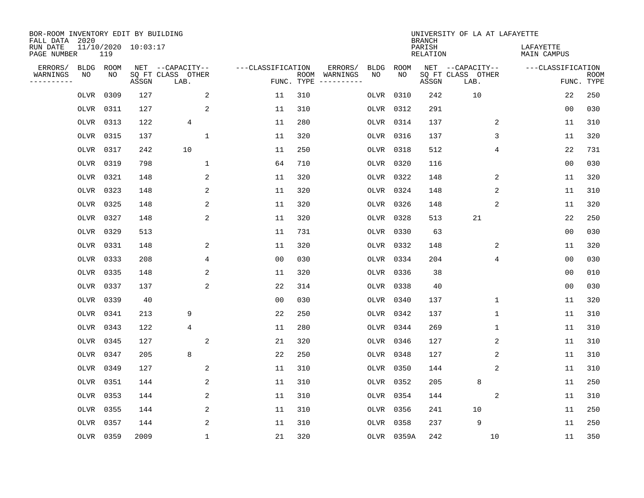| BOR-ROOM INVENTORY EDIT BY BUILDING<br>FALL DATA 2020 |                            |       |                           |                   |            |                              |             |             | <b>BRANCH</b>             | UNIVERSITY OF LA AT LAFAYETTE |                          |                           |
|-------------------------------------------------------|----------------------------|-------|---------------------------|-------------------|------------|------------------------------|-------------|-------------|---------------------------|-------------------------------|--------------------------|---------------------------|
| RUN DATE<br>PAGE NUMBER                               | 11/10/2020 10:03:17<br>119 |       |                           |                   |            |                              |             |             | PARISH<br><b>RELATION</b> |                               | LAFAYETTE<br>MAIN CAMPUS |                           |
| ERRORS/<br><b>BLDG</b>                                | ROOM                       |       | NET --CAPACITY--          | ---CLASSIFICATION |            | ERRORS/                      | <b>BLDG</b> | <b>ROOM</b> |                           | NET --CAPACITY--              | ---CLASSIFICATION        |                           |
| WARNINGS<br>NO<br>----------                          | NO                         | ASSGN | SQ FT CLASS OTHER<br>LAB. |                   | FUNC. TYPE | ROOM WARNINGS<br>----------- | NO          | NO          | ASSGN                     | SQ FT CLASS OTHER<br>LAB.     |                          | <b>ROOM</b><br>FUNC. TYPE |
| OLVR                                                  | 0309                       | 127   | 2                         | 11                | 310        |                              | OLVR        | 0310        | 242                       | 10                            | 22                       | 250                       |
| OLVR                                                  | 0311                       | 127   | 2                         | 11                | 310        |                              | OLVR        | 0312        | 291                       |                               | 0 <sub>0</sub>           | 030                       |
| OLVR                                                  | 0313                       | 122   | $\overline{4}$            | 11                | 280        |                              | OLVR        | 0314        | 137                       | 2                             | 11                       | 310                       |
| OLVR                                                  | 0315                       | 137   | $\mathbf{1}$              | 11                | 320        |                              |             | OLVR 0316   | 137                       | 3                             | 11                       | 320                       |
| OLVR                                                  | 0317                       | 242   | 10                        | 11                | 250        |                              | OLVR        | 0318        | 512                       | 4                             | 22                       | 731                       |
| OLVR                                                  | 0319                       | 798   | $\mathbf{1}$              | 64                | 710        |                              | OLVR        | 0320        | 116                       |                               | 0 <sub>0</sub>           | 030                       |
| OLVR                                                  | 0321                       | 148   | 2                         | 11                | 320        |                              |             | OLVR 0322   | 148                       | 2                             | 11                       | 320                       |
|                                                       | OLVR 0323                  | 148   | 2                         | 11                | 320        |                              |             | OLVR 0324   | 148                       | $\sqrt{2}$                    | 11                       | 310                       |
| OLVR                                                  | 0325                       | 148   | 2                         | 11                | 320        |                              | OLVR        | 0326        | 148                       | 2                             | 11                       | 320                       |
|                                                       | OLVR 0327                  | 148   | 2                         | 11                | 320        |                              |             | OLVR 0328   | 513                       | 21                            | 22                       | 250                       |
|                                                       | OLVR 0329                  | 513   |                           | 11                | 731        |                              | OLVR        | 0330        | 63                        |                               | 0 <sub>0</sub>           | 030                       |
|                                                       | OLVR 0331                  | 148   | 2                         | 11                | 320        |                              |             | OLVR 0332   | 148                       | 2                             | 11                       | 320                       |
| OLVR                                                  | 0333                       | 208   | 4                         | 0 <sub>0</sub>    | 030        |                              | OLVR        | 0334        | 204                       | 4                             | 0 <sub>0</sub>           | 030                       |
|                                                       | OLVR 0335                  | 148   | 2                         | 11                | 320        |                              |             | OLVR 0336   | 38                        |                               | 0 <sub>0</sub>           | 010                       |
| OLVR                                                  | 0337                       | 137   | 2                         | 22                | 314        |                              | OLVR        | 0338        | 40                        |                               | 0 <sub>0</sub>           | 030                       |
|                                                       | OLVR 0339                  | 40    |                           | 00                | 030        |                              | OLVR        | 0340        | 137                       | 1                             | 11                       | 320                       |
| OLVR                                                  | 0341                       | 213   | 9                         | 22                | 250        |                              | OLVR        | 0342        | 137                       | 1                             | 11                       | 310                       |
|                                                       | OLVR 0343                  | 122   | 4                         | 11                | 280        |                              | OLVR        | 0344        | 269                       | 1                             | 11                       | 310                       |
| OLVR                                                  | 0345                       | 127   | 2                         | 21                | 320        |                              | OLVR        | 0346        | 127                       | 2                             | 11                       | 310                       |
| OLVR                                                  | 0347                       | 205   | 8                         | 22                | 250        |                              | OLVR        | 0348        | 127                       | 2                             | 11                       | 310                       |
| OLVR                                                  | 0349                       | 127   | 2                         | 11                | 310        |                              | OLVR        | 0350        | 144                       | 2                             | 11                       | 310                       |
| OLVR                                                  | 0351                       | 144   | $\overline{a}$            | 11                | 310        |                              | OLVR        | 0352        | 205                       | 8                             | 11                       | 250                       |
| OLVR                                                  | 0353                       | 144   | 2                         | 11                | 310        |                              | OLVR        | 0354        | 144                       | 2                             | 11                       | 310                       |
| OLVR                                                  | 0355                       | 144   | 2                         | 11                | 310        |                              | OLVR        | 0356        | 241                       | 10                            | 11                       | 250                       |
| OLVR                                                  | 0357                       | 144   | 2                         | 11                | 310        |                              | OLVR        | 0358        | 237                       | 9                             | 11                       | 250                       |
|                                                       | OLVR 0359                  | 2009  | $\mathbf{1}$              | 21                | 320        |                              |             | OLVR 0359A  | 242                       | 10                            | 11                       | 350                       |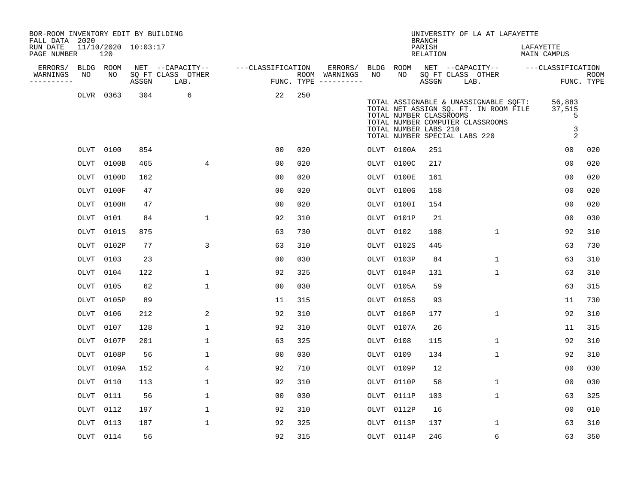| BOR-ROOM INVENTORY EDIT BY BUILDING<br>FALL DATA 2020 |             |                            |       |                           |                   |     |                                      |           |                                                  | <b>BRANCH</b>      |                               | UNIVERSITY OF LA AT LAFAYETTE                                                                                      |           |                                              |                    |
|-------------------------------------------------------|-------------|----------------------------|-------|---------------------------|-------------------|-----|--------------------------------------|-----------|--------------------------------------------------|--------------------|-------------------------------|--------------------------------------------------------------------------------------------------------------------|-----------|----------------------------------------------|--------------------|
| RUN DATE<br>PAGE NUMBER                               |             | 11/10/2020 10:03:17<br>120 |       |                           |                   |     |                                      |           |                                                  | PARISH<br>RELATION |                               |                                                                                                                    | LAFAYETTE | MAIN CAMPUS                                  |                    |
| ERRORS/                                               |             | BLDG ROOM                  |       | NET --CAPACITY--          | ---CLASSIFICATION |     | ERRORS/                              | BLDG ROOM |                                                  |                    |                               | NET --CAPACITY--                                                                                                   |           | ---CLASSIFICATION                            |                    |
| WARNINGS<br>-----------                               | NO          | NO                         | ASSGN | SQ FT CLASS OTHER<br>LAB. |                   |     | ROOM WARNINGS<br>FUNC. TYPE $------$ | NO        | NO                                               | ASSGN              | SQ FT CLASS OTHER<br>LAB.     |                                                                                                                    |           |                                              | ROOM<br>FUNC. TYPE |
|                                                       | OLVR        | 0363                       | 304   | 6                         | 22                | 250 |                                      |           | TOTAL NUMBER CLASSROOMS<br>TOTAL NUMBER LABS 210 |                    | TOTAL NUMBER SPECIAL LABS 220 | TOTAL ASSIGNABLE & UNASSIGNABLE SQFT:<br>TOTAL NET ASSIGN SQ. FT. IN ROOM FILE<br>TOTAL NUMBER COMPUTER CLASSROOMS |           | 56,883<br>37,515<br>5<br>3<br>$\overline{2}$ |                    |
|                                                       | OLVT        | 0100                       | 854   |                           | 0 <sub>0</sub>    | 020 |                                      |           | OLVT 0100A                                       | 251                |                               |                                                                                                                    |           | 0 <sub>0</sub>                               | 020                |
|                                                       | OLVT        | 0100B                      | 465   | $\overline{4}$            | 0 <sub>0</sub>    | 020 |                                      | OLVT      | 0100C                                            | 217                |                               |                                                                                                                    |           | 00                                           | 020                |
|                                                       | OLVT        | 0100D                      | 162   |                           | 0 <sub>0</sub>    | 020 |                                      | OLVT      | 0100E                                            | 161                |                               |                                                                                                                    |           | 00                                           | 020                |
|                                                       | OLVT        | 0100F                      | 47    |                           | 0 <sub>0</sub>    | 020 |                                      | OLVT      | 0100G                                            | 158                |                               |                                                                                                                    |           | 0 <sub>0</sub>                               | 020                |
|                                                       | OLVT        | 0100H                      | 47    |                           | 0 <sub>0</sub>    | 020 |                                      | OLVT      | 0100I                                            | 154                |                               |                                                                                                                    |           | 0 <sub>0</sub>                               | 020                |
|                                                       | OLVT        | 0101                       | 84    | $\mathbf 1$               | 92                | 310 |                                      | OLVT      | 0101P                                            | 21                 |                               |                                                                                                                    |           | 0 <sub>0</sub>                               | 030                |
|                                                       | OLVT        | 0101S                      | 875   |                           | 63                | 730 |                                      | OLVT      | 0102                                             | 108                |                               | $\mathbf{1}$                                                                                                       |           | 92                                           | 310                |
|                                                       | OLVT        | 0102P                      | 77    | 3                         | 63                | 310 |                                      | OLVT      | 0102S                                            | 445                |                               |                                                                                                                    |           | 63                                           | 730                |
|                                                       | OLVT        | 0103                       | 23    |                           | 0 <sub>0</sub>    | 030 |                                      | OLVT      | 0103P                                            | 84                 |                               | $\mathbf{1}$                                                                                                       |           | 63                                           | 310                |
|                                                       | <b>OLVT</b> | 0104                       | 122   | $\mathbf 1$               | 92                | 325 |                                      | OLVT      | 0104P                                            | 131                |                               | $\mathbf{1}$                                                                                                       |           | 63                                           | 310                |
|                                                       | OLVT        | 0105                       | 62    | $\mathbf 1$               | 0 <sub>0</sub>    | 030 |                                      | OLVT      | 0105A                                            | 59                 |                               |                                                                                                                    |           | 63                                           | 315                |
|                                                       | OLVT        | 0105P                      | 89    |                           | 11                | 315 |                                      | OLVT      | 0105S                                            | 93                 |                               |                                                                                                                    |           | 11                                           | 730                |
|                                                       | <b>OLVT</b> | 0106                       | 212   | 2                         | 92                | 310 |                                      | OLVT      | 0106P                                            | 177                |                               | $\mathbf{1}$                                                                                                       |           | 92                                           | 310                |
|                                                       | OLVT        | 0107                       | 128   | $\mathbf{1}$              | 92                | 310 |                                      | OLVT      | 0107A                                            | 26                 |                               |                                                                                                                    |           | 11                                           | 315                |
|                                                       | OLVT        | 0107P                      | 201   | $\mathbf 1$               | 63                | 325 |                                      | OLVT      | 0108                                             | 115                |                               | $\mathbf{1}$                                                                                                       |           | 92                                           | 310                |
|                                                       | OLVT        | 0108P                      | 56    | $\mathbf 1$               | 0 <sub>0</sub>    | 030 |                                      | OLVT      | 0109                                             | 134                |                               | $\mathbf{1}$                                                                                                       |           | 92                                           | 310                |
|                                                       | OLVT        | 0109A                      | 152   | 4                         | 92                | 710 |                                      | OLVT      | 0109P                                            | 12                 |                               |                                                                                                                    |           | 00                                           | 030                |
|                                                       | OLVT        | 0110                       | 113   | 1                         | 92                | 310 |                                      | OLVT      | 0110P                                            | 58                 |                               | $\mathbf{1}$                                                                                                       |           | 00                                           | 030                |
|                                                       | OLVT        | 0111                       | 56    | $\mathbf 1$               | 0 <sub>0</sub>    | 030 |                                      | OLVT      | 0111P                                            | 103                |                               | $\mathbf{1}$                                                                                                       |           | 63                                           | 325                |
|                                                       | OLVT        | 0112                       | 197   | $\mathbf{1}$              | 92                | 310 |                                      | OLVT      | 0112P                                            | 16                 |                               |                                                                                                                    |           | 00                                           | 010                |
|                                                       | OLVT        | 0113                       | 187   | $\mathbf 1$               | 92                | 325 |                                      | OLVT      | 0113P                                            | 137                |                               | 1                                                                                                                  |           | 63                                           | 310                |
|                                                       |             | OLVT 0114                  | 56    |                           | 92                | 315 |                                      |           | OLVT 0114P                                       | 246                |                               | 6                                                                                                                  |           | 63                                           | 350                |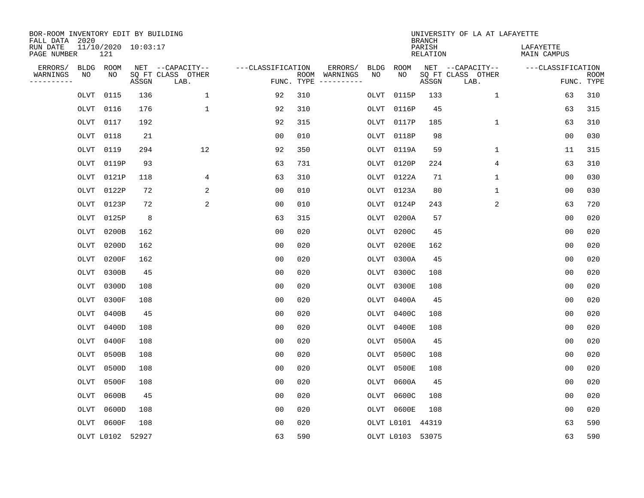| BOR-ROOM INVENTORY EDIT BY BUILDING<br>FALL DATA 2020 |             |                            |       |                           |                   |            |                              |             |                  | <b>BRANCH</b>             | UNIVERSITY OF LA AT LAFAYETTE |                          |                           |
|-------------------------------------------------------|-------------|----------------------------|-------|---------------------------|-------------------|------------|------------------------------|-------------|------------------|---------------------------|-------------------------------|--------------------------|---------------------------|
| RUN DATE<br>PAGE NUMBER                               |             | 11/10/2020 10:03:17<br>121 |       |                           |                   |            |                              |             |                  | PARISH<br><b>RELATION</b> |                               | LAFAYETTE<br>MAIN CAMPUS |                           |
| ERRORS/                                               | BLDG        | ROOM                       |       | NET --CAPACITY--          | ---CLASSIFICATION |            | ERRORS/                      | <b>BLDG</b> | <b>ROOM</b>      |                           | NET --CAPACITY--              | ---CLASSIFICATION        |                           |
| WARNINGS<br>-----------                               | NO          | NO                         | ASSGN | SQ FT CLASS OTHER<br>LAB. |                   | FUNC. TYPE | ROOM WARNINGS<br>----------- | NO          | NO               | ASSGN                     | SQ FT CLASS OTHER<br>LAB.     |                          | <b>ROOM</b><br>FUNC. TYPE |
|                                                       | OLVT        | 0115                       | 136   | 1                         | 92                | 310        |                              | OLVT        | 0115P            | 133                       | 1                             | 63                       | 310                       |
|                                                       | OLVT        | 0116                       | 176   | 1                         | 92                | 310        |                              | OLVT        | 0116P            | 45                        |                               | 63                       | 315                       |
|                                                       | OLVT        | 0117                       | 192   |                           | 92                | 315        |                              | OLVT        | 0117P            | 185                       | $\mathbf 1$                   | 63                       | 310                       |
|                                                       | OLVT        | 0118                       | 21    |                           | 0 <sub>0</sub>    | 010        |                              | OLVT        | 0118P            | 98                        |                               | 0 <sub>0</sub>           | 030                       |
|                                                       | OLVT        | 0119                       | 294   | 12                        | 92                | 350        |                              | OLVT        | 0119A            | 59                        | $\mathbf 1$                   | 11                       | 315                       |
|                                                       | OLVT        | 0119P                      | 93    |                           | 63                | 731        |                              | OLVT        | 0120P            | 224                       | 4                             | 63                       | 310                       |
|                                                       | OLVT        | 0121P                      | 118   | 4                         | 63                | 310        |                              | OLVT        | 0122A            | 71                        | $\mathbf{1}$                  | 00                       | 030                       |
|                                                       | <b>OLVT</b> | 0122P                      | 72    | 2                         | 0 <sub>0</sub>    | 010        |                              | OLVT        | 0123A            | 80                        | $\mathbf{1}$                  | 0 <sub>0</sub>           | 030                       |
|                                                       | OLVT        | 0123P                      | 72    | 2                         | 0 <sub>0</sub>    | 010        |                              | <b>OLVT</b> | 0124P            | 243                       | 2                             | 63                       | 720                       |
|                                                       | OLVT        | 0125P                      | 8     |                           | 63                | 315        |                              | OLVT        | 0200A            | 57                        |                               | 0 <sub>0</sub>           | 020                       |
|                                                       | OLVT        | 0200B                      | 162   |                           | 0 <sub>0</sub>    | 020        |                              | OLVT        | 0200C            | 45                        |                               | 0 <sub>0</sub>           | 020                       |
|                                                       | OLVT        | 0200D                      | 162   |                           | 0 <sub>0</sub>    | 020        |                              | OLVT        | 0200E            | 162                       |                               | 0 <sub>0</sub>           | 020                       |
|                                                       | OLVT        | 0200F                      | 162   |                           | 0 <sub>0</sub>    | 020        |                              | OLVT        | 0300A            | 45                        |                               | 0 <sub>0</sub>           | 020                       |
|                                                       | OLVT        | 0300B                      | 45    |                           | 0 <sub>0</sub>    | 020        |                              | OLVT        | 0300C            | 108                       |                               | 0 <sub>0</sub>           | 020                       |
|                                                       | OLVT        | 0300D                      | 108   |                           | 0 <sub>0</sub>    | 020        |                              | OLVT        | 0300E            | 108                       |                               | 0 <sub>0</sub>           | 020                       |
|                                                       | OLVT        | 0300F                      | 108   |                           | 0 <sub>0</sub>    | 020        |                              | OLVT        | 0400A            | 45                        |                               | 0 <sub>0</sub>           | 020                       |
|                                                       | OLVT        | 0400B                      | 45    |                           | 0 <sub>0</sub>    | 020        |                              | OLVT        | 0400C            | 108                       |                               | 0 <sub>0</sub>           | 020                       |
|                                                       | OLVT        | 0400D                      | 108   |                           | 0 <sub>0</sub>    | 020        |                              | OLVT        | 0400E            | 108                       |                               | 0 <sub>0</sub>           | 020                       |
|                                                       | OLVT        | 0400F                      | 108   |                           | 0 <sub>0</sub>    | 020        |                              | OLVT        | 0500A            | 45                        |                               | 0 <sub>0</sub>           | 020                       |
|                                                       | OLVT        | 0500B                      | 108   |                           | 0 <sub>0</sub>    | 020        |                              | OLVT        | 0500C            | 108                       |                               | 0 <sub>0</sub>           | 020                       |
|                                                       | OLVT        | 0500D                      | 108   |                           | 0 <sub>0</sub>    | 020        |                              | OLVT        | 0500E            | 108                       |                               | 0 <sub>0</sub>           | 020                       |
|                                                       | OLVT        | 0500F                      | 108   |                           | 0 <sub>0</sub>    | 020        |                              | OLVT        | 0600A            | 45                        |                               | 0 <sub>0</sub>           | 020                       |
|                                                       | <b>OLVT</b> | 0600B                      | 45    |                           | 0 <sub>0</sub>    | 020        |                              | OLVT        | 0600C            | 108                       |                               | 0 <sub>0</sub>           | 020                       |
|                                                       | OLVT        | 0600D                      | 108   |                           | 0 <sub>0</sub>    | 020        |                              |             | OLVT 0600E       | 108                       |                               | 0 <sub>0</sub>           | 020                       |
|                                                       | OLVT        | 0600F                      | 108   |                           | 0 <sub>0</sub>    | 020        |                              |             | OLVT L0101 44319 |                           |                               | 63                       | 590                       |
|                                                       |             | OLVT L0102 52927           |       |                           | 63                | 590        |                              |             | OLVT L0103 53075 |                           |                               | 63                       | 590                       |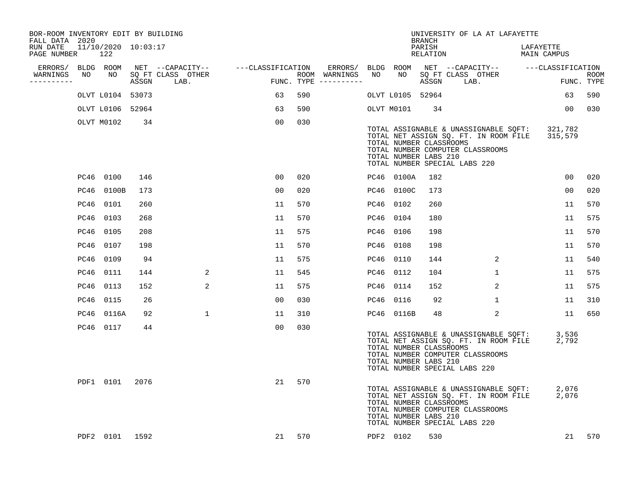| BOR-ROOM INVENTORY EDIT BY BUILDING<br>FALL DATA 2020 |    |                  |      |                                    |                 |                                      |  |                                                  | <b>BRANCH</b>      | UNIVERSITY OF LA AT LAFAYETTE                                                                                                                                       |                          |                           |
|-------------------------------------------------------|----|------------------|------|------------------------------------|-----------------|--------------------------------------|--|--------------------------------------------------|--------------------|---------------------------------------------------------------------------------------------------------------------------------------------------------------------|--------------------------|---------------------------|
| RUN DATE 11/10/2020 10:03:17<br>PAGE NUMBER           |    | 122              |      |                                    |                 |                                      |  |                                                  | PARISH<br>RELATION |                                                                                                                                                                     | LAFAYETTE<br>MAIN CAMPUS |                           |
| ERRORS/ BLDG ROOM                                     |    |                  |      | NET --CAPACITY-- ---CLASSIFICATION |                 |                                      |  |                                                  |                    |                                                                                                                                                                     |                          |                           |
| WARNINGS<br>----------                                | NO | NO               |      | SQ FT CLASS OTHER<br>ASSGN LAB.    | <b>EXECUTE:</b> | ROOM WARNINGS<br>FUNC. TYPE $------$ |  |                                                  |                    | ERRORS/ BLDG ROOM NET --CAPACITY-- ----CLASSIFICATION<br>WARNINGS NO NO SQFTCLASS OTHER ROOM ROOM<br>---------- ASSGN LAB. FUNC.TYPE                                |                          | <b>ROOM</b><br>FUNC. TYPE |
|                                                       |    | OLVT L0104 53073 |      |                                    | 63              | 590                                  |  | OLVT L0105 52964                                 |                    |                                                                                                                                                                     | 63                       | 590                       |
|                                                       |    | OLVT L0106 52964 |      |                                    | 63              | 590                                  |  | OLVT M0101                                       | 34                 |                                                                                                                                                                     | 00 <sub>o</sub>          | 030                       |
|                                                       |    | OLVT M0102       | 34   |                                    | 0 <sub>0</sub>  | 030                                  |  | TOTAL NUMBER CLASSROOMS<br>TOTAL NUMBER LABS 210 |                    | TOTAL ASSIGNABLE & UNASSIGNABLE SQFT: 321,782<br>TOTAL NET ASSIGN SQ. FT. IN ROOM FILE 315,579<br>TOTAL NUMBER COMPUTER CLASSROOMS<br>TOTAL NUMBER SPECIAL LABS 220 |                          |                           |
|                                                       |    | PC46 0100        | 146  |                                    | 00              | 020                                  |  | PC46 0100A                                       | 182                |                                                                                                                                                                     | 00 <sub>o</sub>          | 020                       |
|                                                       |    | PC46 0100B       | 173  |                                    | 0 <sub>0</sub>  | 020                                  |  | PC46 0100C                                       | 173                |                                                                                                                                                                     | 0 <sub>0</sub>           | 020                       |
|                                                       |    | PC46 0101        | 260  |                                    | 11              | 570                                  |  | PC46 0102                                        | 260                |                                                                                                                                                                     | 11                       | 570                       |
|                                                       |    | PC46 0103        | 268  |                                    | 11              | 570                                  |  | PC46 0104                                        | 180                |                                                                                                                                                                     | 11                       | 575                       |
|                                                       |    | PC46 0105        | 208  |                                    | 11              | 575                                  |  | PC46 0106                                        | 198                |                                                                                                                                                                     | 11                       | 570                       |
|                                                       |    | PC46 0107        | 198  |                                    | 11              | 570                                  |  | PC46 0108                                        | 198                |                                                                                                                                                                     | 11                       | 570                       |
|                                                       |    | PC46 0109        | 94   |                                    | 11              | 575                                  |  | PC46 0110                                        | 144                | $\overline{2}$                                                                                                                                                      | 11                       | 540                       |
|                                                       |    | PC46 0111        | 144  | 2                                  | 11              | 545                                  |  | PC46 0112                                        | 104                | $\mathbf{1}$                                                                                                                                                        | 11                       | 575                       |
|                                                       |    | PC46 0113        | 152  | 2                                  | 11              | 575                                  |  | PC46 0114                                        | 152                | 2                                                                                                                                                                   | 11                       | 575                       |
|                                                       |    | PC46 0115        | 26   |                                    | 0 <sub>0</sub>  | 030                                  |  | PC46 0116                                        | 92                 | $\mathbf{1}$                                                                                                                                                        | 11                       | 310                       |
|                                                       |    | PC46 0116A       | 92   | $\mathbf{1}$                       | 11              | 310                                  |  | PC46 0116B                                       | 48                 | 2                                                                                                                                                                   | 11                       | 650                       |
|                                                       |    | PC46 0117        | 44   |                                    | 0 <sub>0</sub>  | 030                                  |  | TOTAL NUMBER CLASSROOMS<br>TOTAL NUMBER LABS 210 |                    | TOTAL ASSIGNABLE & UNASSIGNABLE SQFT: 3,536<br>TOTAL NET ASSIGN SQ. FT. IN ROOM FILE<br>TOTAL NUMBER COMPUTER CLASSROOMS<br>TOTAL NUMBER SPECIAL LABS 220           | 2,792                    |                           |
|                                                       |    | PDF1 0101        | 2076 |                                    | 21              | 570                                  |  | TOTAL NUMBER CLASSROOMS<br>TOTAL NUMBER LABS 210 |                    | TOTAL ASSIGNABLE & UNASSIGNABLE SQFT: 2,076<br>TOTAL NET ASSIGN SQ. FT. IN ROOM FILE 2,076<br>TOTAL NUMBER COMPUTER CLASSROOMS<br>TOTAL NUMBER SPECIAL LABS 220     |                          |                           |
|                                                       |    | PDF2 0101 1592   |      |                                    | 21              | 570                                  |  | PDF2 0102                                        | 530                |                                                                                                                                                                     | 21                       | 570                       |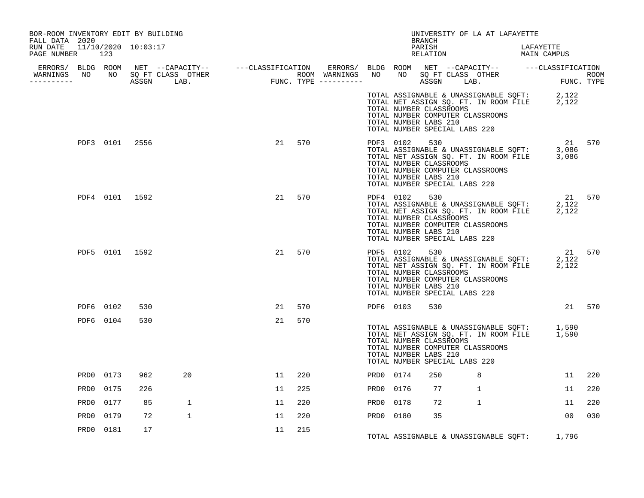| BOR-ROOM INVENTORY EDIT BY BUILDING<br>FALL DATA 2020 |                  |                |     |              |    |     |           |                                                                                   | <b>BRANCH</b> |     | UNIVERSITY OF LA AT LAFAYETTE    |                                                                                                                                               |                |     |
|-------------------------------------------------------|------------------|----------------|-----|--------------|----|-----|-----------|-----------------------------------------------------------------------------------|---------------|-----|----------------------------------|-----------------------------------------------------------------------------------------------------------------------------------------------|----------------|-----|
| RUN DATE 11/10/2020 10:03:17<br>PAGE NUMBER 123       |                  |                |     |              |    |     |           |                                                                                   |               |     |                                  | PARISH LAFAYETTE RELATION MAIN CAMPUS                                                                                                         |                |     |
| ___________                                           |                  |                |     |              |    |     |           |                                                                                   |               |     |                                  |                                                                                                                                               |                |     |
|                                                       |                  |                |     |              |    |     |           | TOTAL NUMBER CLASSROOMS<br>TOTAL NUMBER LABS 210<br>TOTAL NUMBER SPECIAL LABS 220 |               |     | TOTAL NUMBER COMPUTER CLASSROOMS | TOTAL ASSIGNABLE & UNASSIGNABLE SQFT: 2,122<br>TOTAL NET ASSIGN SQ. FT. IN ROOM FILE 2,122                                                    |                |     |
|                                                       |                  | PDF3 0101 2556 |     |              | 21 | 570 |           | TOTAL NUMBER CLASSROOMS<br>TOTAL NUMBER LABS 210<br>TOTAL NUMBER SPECIAL LABS 220 |               |     | TOTAL NUMBER COMPUTER CLASSROOMS | PDF3 0102 530 21 570<br>TOTAL ASSIGNABLE & UNASSIGNABLE SQFT: 3,086<br>TOTAL NET ASSIGN SQ. FT. IN ROOM FILE 3,086                            |                |     |
|                                                       |                  | PDF4 0101 1592 |     |              | 21 | 570 |           | TOTAL NUMBER CLASSROOMS<br>TOTAL NUMBER LABS 210<br>TOTAL NUMBER SPECIAL LABS 220 |               |     | TOTAL NUMBER COMPUTER CLASSROOMS | PDF4 0102 530 21 570<br>TOTAL ASSIGNABLE & UNASSIGNABLE SQFT: 2,122<br>TOTAL NET ASSIGN SQ. FT. IN ROOM FILE 2,122<br>TOTAL NUMBER CLASSROOMS |                |     |
|                                                       |                  | PDF5 0101 1592 |     |              | 21 | 570 |           | TOTAL NUMBER LABS 210<br>TOTAL NUMBER SPECIAL LABS 220                            |               |     | TOTAL NUMBER COMPUTER CLASSROOMS |                                                                                                                                               |                |     |
|                                                       |                  | PDF6 0102      | 530 |              | 21 | 570 |           | PDF6 0103                                                                         |               | 530 |                                  |                                                                                                                                               | 21 570         |     |
|                                                       |                  | PDF6 0104      | 530 |              | 21 | 570 |           | TOTAL NUMBER CLASSROOMS<br>TOTAL NUMBER LABS 210<br>TOTAL NUMBER SPECIAL LABS 220 |               |     | TOTAL NUMBER COMPUTER CLASSROOMS | TOTAL ASSIGNABLE & UNASSIGNABLE SQFT: 1,590<br>TOTAL NET ASSIGN SQ. FT. IN ROOM FILE 1,590                                                    |                |     |
|                                                       | PRD0             | 0173           | 962 | 20           | 11 | 220 | PRD0 0174 |                                                                                   | 250           |     | 8                                |                                                                                                                                               | 11             | 220 |
|                                                       | PRD0             | 0175           | 226 |              | 11 | 225 | PRD0 0176 |                                                                                   | 77            |     | $\mathbf{1}$                     |                                                                                                                                               | 11             | 220 |
|                                                       | PRD0             | 0177           | 85  | $\mathbf{1}$ | 11 | 220 | PRD0      | 0178                                                                              | 72            |     | $\mathbf{1}$                     |                                                                                                                                               | 11             | 220 |
|                                                       | PRD <sub>0</sub> | 0179           | 72  | $\mathbf{1}$ | 11 | 220 | PRD0 0180 |                                                                                   | 35            |     |                                  |                                                                                                                                               | 0 <sub>0</sub> | 030 |
|                                                       | PRD0             | 0181           | 17  |              | 11 | 215 |           |                                                                                   |               |     |                                  | TOTAL ASSIGNABLE & UNASSIGNABLE SQFT: 1,796                                                                                                   |                |     |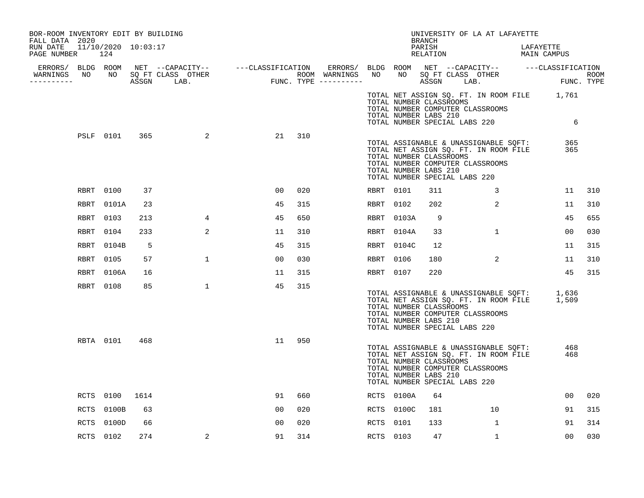| BOR-ROOM INVENTORY EDIT BY BUILDING<br>FALL DATA 2020 |      |            |      |                                  |    |     |           |            | BRANCH                                                                            | UNIVERSITY OF LA AT LAFAYETTE                                                                                                  |           |             |     |
|-------------------------------------------------------|------|------------|------|----------------------------------|----|-----|-----------|------------|-----------------------------------------------------------------------------------|--------------------------------------------------------------------------------------------------------------------------------|-----------|-------------|-----|
| RUN DATE  11/10/2020  10:03:17<br>PAGE NUMBER 124     |      |            |      |                                  |    |     |           |            | PARISH<br>RELATION                                                                |                                                                                                                                | LAFAYETTE | MAIN CAMPUS |     |
|                                                       |      |            |      |                                  |    |     |           |            |                                                                                   |                                                                                                                                |           |             |     |
| -----------                                           |      |            |      | WARNINGS NO NO SQ FT CLASS OTHER |    |     |           |            |                                                                                   |                                                                                                                                |           |             |     |
|                                                       |      |            |      |                                  |    |     |           |            | TOTAL NUMBER CLASSROOMS<br>TOTAL NUMBER LABS 210                                  | TOTAL NET ASSIGN SQ. FT. IN ROOM FILE 1,761<br>TOTAL NUMBER COMPUTER CLASSROOMS<br>TOTAL NUMBER SPECIAL LABS 220               |           | 6           |     |
|                                                       |      | PSLF 0101  | 365  | 2                                | 21 | 310 |           |            | TOTAL NUMBER CLASSROOMS<br>TOTAL NUMBER LABS 210<br>TOTAL NUMBER SPECIAL LABS 220 | TOTAL ASSIGNABLE & UNASSIGNABLE SQFT:<br>TOTAL NET ASSIGN SQ. FT. IN ROOM FILE<br>TOTAL NUMBER COMPUTER CLASSROOMS             |           | 365<br>365  |     |
|                                                       |      | RBRT 0100  | 37   |                                  | 00 | 020 | RBRT 0101 |            | 311                                                                               | 3                                                                                                                              |           | 11          | 310 |
|                                                       | RBRT | 0101A      | 23   |                                  | 45 | 315 | RBRT 0102 |            | 202                                                                               | 2                                                                                                                              |           | 11          | 310 |
|                                                       | RBRT | 0103       | 213  | $4\overline{ }$                  | 45 | 650 |           | RBRT 0103A | $\overline{9}$                                                                    |                                                                                                                                |           | 45          | 655 |
|                                                       |      | RBRT 0104  | 233  | 2                                | 11 | 310 |           | RBRT 0104A | 33                                                                                | $\mathbf{1}$                                                                                                                   |           | 00          | 030 |
|                                                       | RBRT | 0104B      | 5    |                                  | 45 | 315 |           | RBRT 0104C | 12                                                                                |                                                                                                                                |           | 11          | 315 |
|                                                       | RBRT | 0105       | 57   | $\mathbf{1}$                     | 00 | 030 | RBRT 0106 |            | 180                                                                               | 2                                                                                                                              |           | 11          | 310 |
|                                                       | RBRT | 0106A      | 16   |                                  | 11 | 315 | RBRT 0107 |            | 220                                                                               |                                                                                                                                |           | 45          | 315 |
|                                                       |      | RBRT 0108  | 85   | $\mathbf{1}$                     | 45 | 315 |           |            | TOTAL NUMBER CLASSROOMS<br>TOTAL NUMBER LABS 210<br>TOTAL NUMBER SPECIAL LABS 220 | TOTAL ASSIGNABLE & UNASSIGNABLE SQFT: 1,636<br>TOTAL NET ASSIGN SQ. FT. IN ROOM FILE 1,509<br>TOTAL NUMBER COMPUTER CLASSROOMS |           |             |     |
|                                                       |      | RBTA 0101  | 468  |                                  | 11 | 950 |           |            | TOTAL NUMBER CLASSROOMS<br>TOTAL NUMBER LABS 210<br>TOTAL NUMBER SPECIAL LABS 220 | TOTAL ASSIGNABLE & UNASSIGNABLE SQFT:<br>TOTAL NET ASSIGN SQ. FT. IN ROOM FILE<br>TOTAL NUMBER COMPUTER CLASSROOMS             |           | 468<br>468  |     |
|                                                       |      | RCTS 0100  | 1614 |                                  | 91 | 660 |           | RCTS 0100A | 64                                                                                |                                                                                                                                |           | 00          | 020 |
|                                                       |      | RCTS 0100B | 63   |                                  | 00 | 020 |           | RCTS 0100C | 181                                                                               | 10                                                                                                                             |           | 91          | 315 |
|                                                       | RCTS | 0100D      | 66   |                                  | 00 | 020 | RCTS 0101 |            | 133                                                                               | 1                                                                                                                              |           | 91          | 314 |
|                                                       |      | RCTS 0102  | 274  | 2                                | 91 | 314 | RCTS 0103 |            | 47                                                                                | $\mathbf{1}$                                                                                                                   |           | 00          | 030 |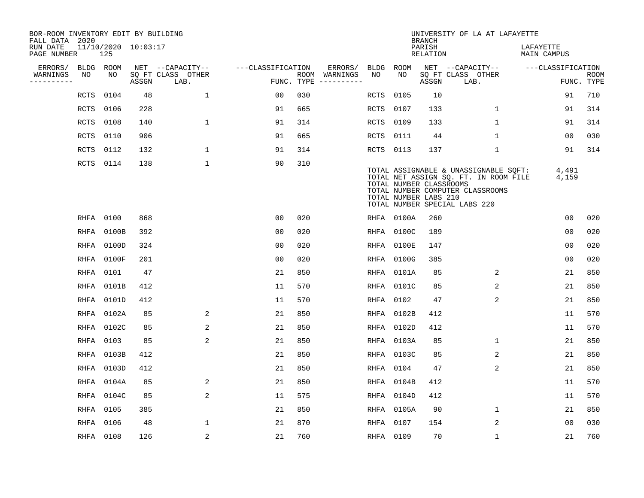| BOR-ROOM INVENTORY EDIT BY BUILDING<br>FALL DATA 2020 |           |            |                     |                           |                   |     |                                      |             |                                                  | <b>BRANCH</b>             | UNIVERSITY OF LA AT LAFAYETTE                                                                                                                       |                          |                           |
|-------------------------------------------------------|-----------|------------|---------------------|---------------------------|-------------------|-----|--------------------------------------|-------------|--------------------------------------------------|---------------------------|-----------------------------------------------------------------------------------------------------------------------------------------------------|--------------------------|---------------------------|
| RUN DATE<br>PAGE NUMBER                               |           | 125        | 11/10/2020 10:03:17 |                           |                   |     |                                      |             |                                                  | PARISH<br><b>RELATION</b> |                                                                                                                                                     | LAFAYETTE<br>MAIN CAMPUS |                           |
| ERRORS/                                               | BLDG ROOM |            |                     | NET --CAPACITY--          | ---CLASSIFICATION |     | ERRORS/                              | BLDG        | ROOM                                             |                           | NET --CAPACITY--                                                                                                                                    | ---CLASSIFICATION        |                           |
| WARNINGS<br>----------                                | NO        | NO         | ASSGN               | SQ FT CLASS OTHER<br>LAB. |                   |     | ROOM WARNINGS<br>FUNC. TYPE $------$ | NO          | NO                                               | ASSGN                     | SQ FT CLASS OTHER<br>LAB.                                                                                                                           |                          | <b>ROOM</b><br>FUNC. TYPE |
|                                                       | RCTS      | 0104       | 48                  | $\mathbf{1}$              | 00                | 030 |                                      | RCTS        | 0105                                             | 10                        |                                                                                                                                                     | 91                       | 710                       |
|                                                       | RCTS      | 0106       | 228                 |                           | 91                | 665 |                                      | <b>RCTS</b> | 0107                                             | 133                       | $\mathbf 1$                                                                                                                                         | 91                       | 314                       |
|                                                       | RCTS      | 0108       | 140                 | 1                         | 91                | 314 |                                      | RCTS        | 0109                                             | 133                       | $\mathbf{1}$                                                                                                                                        | 91                       | 314                       |
|                                                       | RCTS      | 0110       | 906                 |                           | 91                | 665 |                                      | RCTS        | 0111                                             | 44                        | $\mathbf{1}$                                                                                                                                        | 00                       | 030                       |
|                                                       | RCTS      | 0112       | 132                 | $\mathbf 1$               | 91                | 314 |                                      | RCTS 0113   |                                                  | 137                       | $\mathbf 1$                                                                                                                                         | 91                       | 314                       |
|                                                       | RCTS 0114 |            | 138                 | $\mathbf 1$               | 90                | 310 |                                      |             | TOTAL NUMBER CLASSROOMS<br>TOTAL NUMBER LABS 210 |                           | TOTAL ASSIGNABLE & UNASSIGNABLE SQFT:<br>TOTAL NET ASSIGN SQ. FT. IN ROOM FILE<br>TOTAL NUMBER COMPUTER CLASSROOMS<br>TOTAL NUMBER SPECIAL LABS 220 | 4,491<br>4,159           |                           |
|                                                       | RHFA 0100 |            | 868                 |                           | 0 <sub>0</sub>    | 020 |                                      |             | RHFA 0100A                                       | 260                       |                                                                                                                                                     | 0 <sub>0</sub>           | 020                       |
|                                                       |           | RHFA 0100B | 392                 |                           | 0 <sub>0</sub>    | 020 |                                      | RHFA        | 0100C                                            | 189                       |                                                                                                                                                     | 0 <sub>0</sub>           | 020                       |
|                                                       |           | RHFA 0100D | 324                 |                           | 0 <sub>0</sub>    | 020 |                                      |             | RHFA 0100E                                       | 147                       |                                                                                                                                                     | 00                       | 020                       |
|                                                       | RHFA      | 0100F      | 201                 |                           | 00                | 020 |                                      | RHFA        | 0100G                                            | 385                       |                                                                                                                                                     | 0 <sub>0</sub>           | 020                       |
|                                                       | RHFA      | 0101       | 47                  |                           | 21                | 850 |                                      |             | RHFA 0101A                                       | 85                        | 2                                                                                                                                                   | 21                       | 850                       |
|                                                       |           | RHFA 0101B | 412                 |                           | 11                | 570 |                                      |             | RHFA 0101C                                       | 85                        | 2                                                                                                                                                   | 21                       | 850                       |
|                                                       | RHFA      | 0101D      | 412                 |                           | 11                | 570 |                                      | RHFA        | 0102                                             | 47                        | $\overline{2}$                                                                                                                                      | 21                       | 850                       |
|                                                       |           | RHFA 0102A | 85                  | 2                         | 21                | 850 |                                      |             | RHFA 0102B                                       | 412                       |                                                                                                                                                     | 11                       | 570                       |
|                                                       |           | RHFA 0102C | 85                  | 2                         | 21                | 850 |                                      | RHFA        | 0102D                                            | 412                       |                                                                                                                                                     | 11                       | 570                       |
|                                                       | RHFA 0103 |            | 85                  | 2                         | 21                | 850 |                                      |             | RHFA 0103A                                       | 85                        | 1                                                                                                                                                   | 21                       | 850                       |
|                                                       |           | RHFA 0103B | 412                 |                           | 21                | 850 |                                      |             | RHFA 0103C                                       | 85                        | 2                                                                                                                                                   | 21                       | 850                       |
|                                                       |           | RHFA 0103D | 412                 |                           | 21                | 850 |                                      | RHFA        | 0104                                             | 47                        | 2                                                                                                                                                   | 21                       | 850                       |
|                                                       |           | RHFA 0104A | 85                  | 2                         | 21                | 850 |                                      | RHFA        | 0104B                                            | 412                       |                                                                                                                                                     | 11                       | 570                       |
|                                                       |           | RHFA 0104C | 85                  | 2                         | 11                | 575 |                                      |             | RHFA 0104D                                       | 412                       |                                                                                                                                                     | 11                       | 570                       |
|                                                       | RHFA 0105 |            | 385                 |                           | 21                | 850 |                                      |             | RHFA 0105A                                       | 90                        | $\mathbf 1$                                                                                                                                         | 21                       | 850                       |
|                                                       | RHFA 0106 |            | 48                  | $\mathbf{1}$              | 21                | 870 |                                      | RHFA 0107   |                                                  | 154                       | 2                                                                                                                                                   | 0 <sub>0</sub>           | 030                       |
|                                                       | RHFA 0108 |            | 126                 | 2                         | 21                | 760 |                                      | RHFA 0109   |                                                  | 70                        | $\mathbf{1}$                                                                                                                                        | 21                       | 760                       |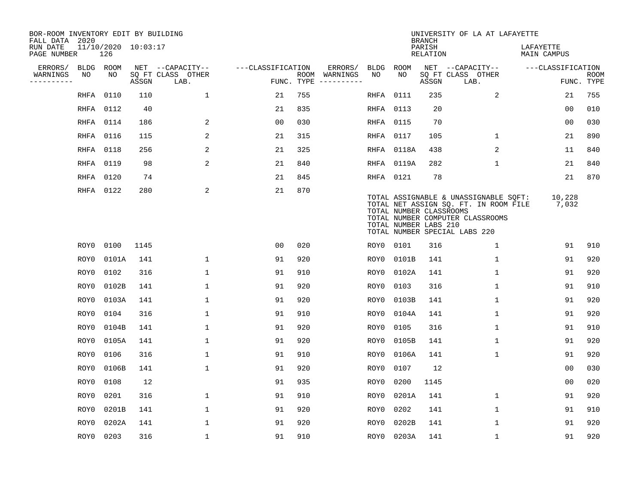| BOR-ROOM INVENTORY EDIT BY BUILDING<br>FALL DATA 2020 |      |           |                     |                           |                   |     |                                      |           |            | <b>BRANCH</b>                                    | UNIVERSITY OF LA AT LAFAYETTE                                                                                                                       |                          |                           |
|-------------------------------------------------------|------|-----------|---------------------|---------------------------|-------------------|-----|--------------------------------------|-----------|------------|--------------------------------------------------|-----------------------------------------------------------------------------------------------------------------------------------------------------|--------------------------|---------------------------|
| RUN DATE<br>PAGE NUMBER                               |      | 126       | 11/10/2020 10:03:17 |                           |                   |     |                                      |           |            | PARISH<br><b>RELATION</b>                        |                                                                                                                                                     | LAFAYETTE<br>MAIN CAMPUS |                           |
| ERRORS/                                               |      | BLDG ROOM |                     | NET --CAPACITY--          | ---CLASSIFICATION |     | ERRORS/                              | BLDG      | ROOM       |                                                  | NET --CAPACITY--                                                                                                                                    | ---CLASSIFICATION        |                           |
| WARNINGS<br>----------                                | NO   | NO        | ASSGN               | SQ FT CLASS OTHER<br>LAB. |                   |     | ROOM WARNINGS<br>FUNC. TYPE $------$ | NO        | NO.        | ASSGN                                            | SQ FT CLASS OTHER<br>LAB.                                                                                                                           |                          | <b>ROOM</b><br>FUNC. TYPE |
|                                                       | RHFA | 0110      | 110                 | $\mathbf{1}$              | 21                | 755 |                                      | RHFA      | 0111       | 235                                              | 2                                                                                                                                                   | 21                       | 755                       |
|                                                       |      | RHFA 0112 | 40                  |                           | 21                | 835 |                                      | RHFA      | 0113       | 20                                               |                                                                                                                                                     | 0 <sub>0</sub>           | 010                       |
|                                                       |      | RHFA 0114 | 186                 | 2                         | 0 <sub>0</sub>    | 030 |                                      | RHFA 0115 |            | 70                                               |                                                                                                                                                     | 0 <sub>0</sub>           | 030                       |
|                                                       |      | RHFA 0116 | 115                 | 2                         | 21                | 315 |                                      | RHFA 0117 |            | 105                                              | $\mathbf{1}$                                                                                                                                        | 21                       | 890                       |
|                                                       |      | RHFA 0118 | 256                 | 2                         | 21                | 325 |                                      |           | RHFA 0118A | 438                                              | 2                                                                                                                                                   | 11                       | 840                       |
|                                                       |      | RHFA 0119 | 98                  | $\overline{\mathbf{c}}$   | 21                | 840 |                                      |           | RHFA 0119A | 282                                              | $\mathbf{1}$                                                                                                                                        | 21                       | 840                       |
|                                                       |      | RHFA 0120 | 74                  |                           | 21                | 845 |                                      | RHFA 0121 |            | 78                                               |                                                                                                                                                     | 21                       | 870                       |
|                                                       |      | RHFA 0122 | 280                 | 2                         | 21                | 870 |                                      |           |            | TOTAL NUMBER CLASSROOMS<br>TOTAL NUMBER LABS 210 | TOTAL ASSIGNABLE & UNASSIGNABLE SQFT:<br>TOTAL NET ASSIGN SQ. FT. IN ROOM FILE<br>TOTAL NUMBER COMPUTER CLASSROOMS<br>TOTAL NUMBER SPECIAL LABS 220 | 10,228<br>7,032          |                           |
|                                                       | ROY0 | 0100      | 1145                |                           | 0 <sub>0</sub>    | 020 |                                      | ROY0 0101 |            | 316                                              | 1                                                                                                                                                   | 91                       | 910                       |
|                                                       | ROY0 | 0101A     | 141                 | $\mathbf 1$               | 91                | 920 |                                      | ROY0      | 0101B      | 141                                              | $\mathbf 1$                                                                                                                                         | 91                       | 920                       |
|                                                       | ROY0 | 0102      | 316                 | 1                         | 91                | 910 |                                      | ROY0      | 0102A      | 141                                              | $\mathbf 1$                                                                                                                                         | 91                       | 920                       |
|                                                       | ROY0 | 0102B     | 141                 | $\mathbf{1}$              | 91                | 920 |                                      | ROY0      | 0103       | 316                                              | $\mathbf{1}$                                                                                                                                        | 91                       | 910                       |
|                                                       | ROY0 | 0103A     | 141                 | $\mathbf{1}$              | 91                | 920 |                                      | ROY0      | 0103B      | 141                                              | $\mathbf{1}$                                                                                                                                        | 91                       | 920                       |
|                                                       | ROY0 | 0104      | 316                 | $\mathbf{1}$              | 91                | 910 |                                      | ROY0      | 0104A      | 141                                              | $\mathbf{1}$                                                                                                                                        | 91                       | 920                       |
|                                                       | ROY0 | 0104B     | 141                 | 1                         | 91                | 920 |                                      | ROY0      | 0105       | 316                                              | $\mathbf{1}$                                                                                                                                        | 91                       | 910                       |
|                                                       | ROY0 | 0105A     | 141                 | 1                         | 91                | 920 |                                      | ROY0      | 0105B      | 141                                              | 1                                                                                                                                                   | 91                       | 920                       |
|                                                       | ROY0 | 0106      | 316                 | 1                         | 91                | 910 |                                      | ROY0      | 0106A      | 141                                              | $\mathbf{1}$                                                                                                                                        | 91                       | 920                       |
|                                                       | ROY0 | 0106B     | 141                 | $\mathbf{1}$              | 91                | 920 |                                      | ROY0      | 0107       | 12                                               |                                                                                                                                                     | 0 <sub>0</sub>           | 030                       |
|                                                       | ROY0 | 0108      | 12                  |                           | 91                | 935 |                                      | ROY0      | 0200       | 1145                                             |                                                                                                                                                     | 0 <sub>0</sub>           | 020                       |
|                                                       | ROY0 | 0201      | 316                 | 1                         | 91                | 910 |                                      | ROY0      | 0201A      | 141                                              | $\mathbf{1}$                                                                                                                                        | 91                       | 920                       |
|                                                       | ROY0 | 0201B     | 141                 | $\mathbf{1}$              | 91                | 920 |                                      | ROY0      | 0202       | 141                                              | $\mathbf{1}$                                                                                                                                        | 91                       | 910                       |
|                                                       | ROY0 | 0202A     | 141                 | 1                         | 91                | 920 |                                      | ROY0      | 0202B      | 141                                              | 1                                                                                                                                                   | 91                       | 920                       |
|                                                       |      | ROY0 0203 | 316                 | $\mathbf{1}$              | 91                | 910 |                                      |           | ROY0 0203A | 141                                              | $\mathbf{1}$                                                                                                                                        | 91                       | 920                       |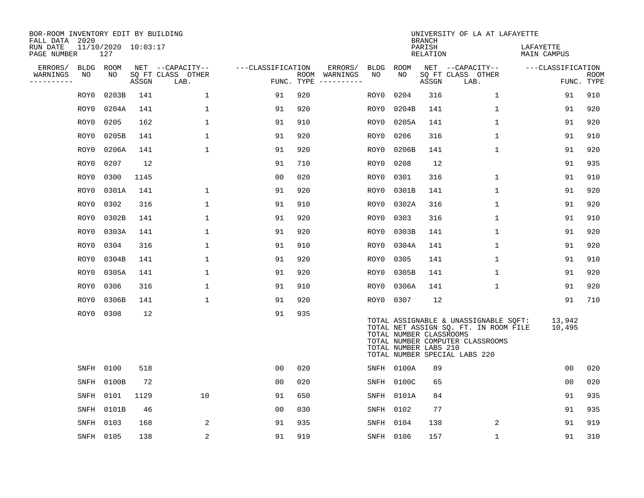| BOR-ROOM INVENTORY EDIT BY BUILDING<br>FALL DATA 2020 |                            |       |                           |                   |     |                                      |      |                                                  | <b>BRANCH</b>      | UNIVERSITY OF LA AT LAFAYETTE                                                                                                                       |                          |                           |
|-------------------------------------------------------|----------------------------|-------|---------------------------|-------------------|-----|--------------------------------------|------|--------------------------------------------------|--------------------|-----------------------------------------------------------------------------------------------------------------------------------------------------|--------------------------|---------------------------|
| RUN DATE<br>PAGE NUMBER                               | 11/10/2020 10:03:17<br>127 |       |                           |                   |     |                                      |      |                                                  | PARISH<br>RELATION |                                                                                                                                                     | LAFAYETTE<br>MAIN CAMPUS |                           |
| ERRORS/                                               | BLDG ROOM                  |       | NET --CAPACITY--          | ---CLASSIFICATION |     | ERRORS/                              |      | BLDG ROOM                                        |                    | NET --CAPACITY--                                                                                                                                    | ---CLASSIFICATION        |                           |
| NO<br>WARNINGS<br>----------                          | NO.                        | ASSGN | SQ FT CLASS OTHER<br>LAB. |                   |     | ROOM WARNINGS<br>FUNC. TYPE $------$ | NO   | NO.                                              | ASSGN              | SQ FT CLASS OTHER<br>LAB.                                                                                                                           |                          | <b>ROOM</b><br>FUNC. TYPE |
| ROY0                                                  | 0203B                      | 141   | $\mathbf 1$               | 91                | 920 |                                      | ROY0 | 0204                                             | 316                | $\mathbf{1}$                                                                                                                                        | 91                       | 910                       |
| ROY0                                                  | 0204A                      | 141   | 1                         | 91                | 920 |                                      | ROY0 | 0204B                                            | 141                | 1                                                                                                                                                   | 91                       | 920                       |
| ROY0                                                  | 0205                       | 162   | $\mathbf{1}$              | 91                | 910 |                                      | ROY0 | 0205A                                            | 141                | $\mathbf{1}$                                                                                                                                        | 91                       | 920                       |
| ROY0                                                  | 0205B                      | 141   | 1                         | 91                | 920 |                                      | ROY0 | 0206                                             | 316                | $\mathbf 1$                                                                                                                                         | 91                       | 910                       |
| ROY0                                                  | 0206A                      | 141   | $\mathbf 1$               | 91                | 920 |                                      | ROY0 | 0206B                                            | 141                | $\mathbf 1$                                                                                                                                         | 91                       | 920                       |
| ROY0                                                  | 0207                       | 12    |                           | 91                | 710 |                                      | ROY0 | 0208                                             | 12                 |                                                                                                                                                     | 91                       | 935                       |
| ROY0                                                  | 0300                       | 1145  |                           | 0 <sub>0</sub>    | 020 |                                      | ROY0 | 0301                                             | 316                | 1                                                                                                                                                   | 91                       | 910                       |
| ROY0                                                  | 0301A                      | 141   | 1                         | 91                | 920 |                                      | ROY0 | 0301B                                            | 141                | $\mathbf 1$                                                                                                                                         | 91                       | 920                       |
| ROY0                                                  | 0302                       | 316   | $\mathbf 1$               | 91                | 910 |                                      | ROY0 | 0302A                                            | 316                | $\mathbf{1}$                                                                                                                                        | 91                       | 920                       |
| ROY0                                                  | 0302B                      | 141   | 1                         | 91                | 920 |                                      | ROY0 | 0303                                             | 316                | $\mathbf{1}$                                                                                                                                        | 91                       | 910                       |
| ROY0                                                  | 0303A                      | 141   | $\mathbf{1}$              | 91                | 920 |                                      | ROY0 | 0303B                                            | 141                | $\mathbf{1}$                                                                                                                                        | 91                       | 920                       |
| ROY0                                                  | 0304                       | 316   | 1                         | 91                | 910 |                                      | ROY0 | 0304A                                            | 141                | $\mathbf 1$                                                                                                                                         | 91                       | 920                       |
| ROY0                                                  | 0304B                      | 141   | $\mathbf 1$               | 91                | 920 |                                      | ROY0 | 0305                                             | 141                | $\mathbf 1$                                                                                                                                         | 91                       | 910                       |
| ROY0                                                  | 0305A                      | 141   | 1                         | 91                | 920 |                                      | ROY0 | 0305B                                            | 141                | $\mathbf 1$                                                                                                                                         | 91                       | 920                       |
| ROY0                                                  | 0306                       | 316   | $\mathbf{1}$              | 91                | 910 |                                      |      | ROY0 0306A                                       | 141                | $\mathbf{1}$                                                                                                                                        | 91                       | 920                       |
| ROY0                                                  | 0306B                      | 141   | $\mathbf{1}$              | 91                | 920 |                                      |      | ROY0 0307                                        | 12                 |                                                                                                                                                     | 91                       | 710                       |
| ROY0                                                  | 0308                       | 12    |                           | 91                | 935 |                                      |      | TOTAL NUMBER CLASSROOMS<br>TOTAL NUMBER LABS 210 |                    | TOTAL ASSIGNABLE & UNASSIGNABLE SQFT:<br>TOTAL NET ASSIGN SQ. FT. IN ROOM FILE<br>TOTAL NUMBER COMPUTER CLASSROOMS<br>TOTAL NUMBER SPECIAL LABS 220 | 13,942<br>10,495         |                           |
|                                                       | SNFH 0100                  | 518   |                           | 0 <sub>0</sub>    | 020 |                                      |      | SNFH 0100A                                       | 89                 |                                                                                                                                                     | 0 <sub>0</sub>           | 020                       |
| SNFH                                                  | 0100B                      | 72    |                           | 0 <sub>0</sub>    | 020 |                                      |      | SNFH 0100C                                       | 65                 |                                                                                                                                                     | 0 <sub>0</sub>           | 020                       |
| SNFH                                                  | 0101                       | 1129  | 10                        | 91                | 650 |                                      |      | SNFH 0101A                                       | 84                 |                                                                                                                                                     | 91                       | 935                       |
| SNFH                                                  | 0101B                      | 46    |                           | 0 <sub>0</sub>    | 030 |                                      | SNFH | 0102                                             | 77                 |                                                                                                                                                     | 91                       | 935                       |
| SNFH                                                  | 0103                       | 168   | 2                         | 91                | 935 |                                      | SNFH | 0104                                             | 138                | 2                                                                                                                                                   | 91                       | 919                       |
|                                                       | SNFH 0105                  | 138   | $\overline{\mathbf{c}}$   | 91                | 919 |                                      |      | SNFH 0106                                        | 157                | $\mathbf{1}$                                                                                                                                        | 91                       | 310                       |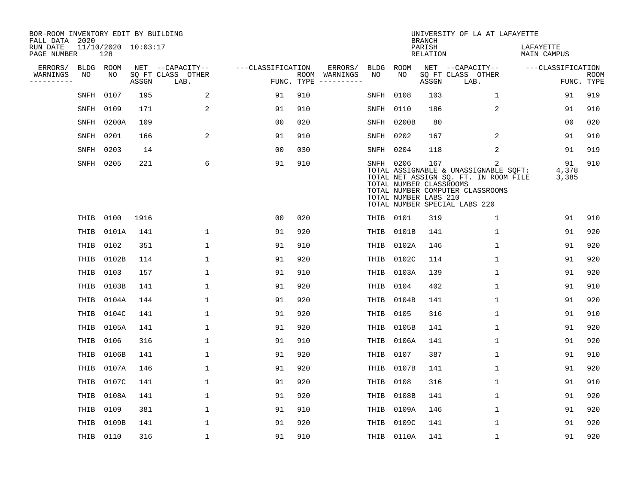| BOR-ROOM INVENTORY EDIT BY BUILDING<br>FALL DATA 2020 |           |                            |       |                           |                   |     |                                      |             |                                                               | <b>BRANCH</b>             | UNIVERSITY OF LA AT LAFAYETTE                                                                                                                            |                          |                           |
|-------------------------------------------------------|-----------|----------------------------|-------|---------------------------|-------------------|-----|--------------------------------------|-------------|---------------------------------------------------------------|---------------------------|----------------------------------------------------------------------------------------------------------------------------------------------------------|--------------------------|---------------------------|
| RUN DATE<br>PAGE NUMBER                               |           | 11/10/2020 10:03:17<br>128 |       |                           |                   |     |                                      |             |                                                               | PARISH<br><b>RELATION</b> |                                                                                                                                                          | LAFAYETTE<br>MAIN CAMPUS |                           |
| ERRORS/                                               | BLDG ROOM |                            |       | NET --CAPACITY--          | ---CLASSIFICATION |     | ERRORS/                              | <b>BLDG</b> | <b>ROOM</b>                                                   |                           | NET --CAPACITY--                                                                                                                                         | ---CLASSIFICATION        |                           |
| WARNINGS<br>----------                                | NO        | NO                         | ASSGN | SQ FT CLASS OTHER<br>LAB. |                   |     | ROOM WARNINGS<br>FUNC. TYPE $------$ | NO          | NO                                                            | ASSGN                     | SQ FT CLASS OTHER<br>LAB.                                                                                                                                |                          | <b>ROOM</b><br>FUNC. TYPE |
|                                                       | SNFH      | 0107                       | 195   | 2                         | 91                | 910 |                                      | SNFH        | 0108                                                          | 103                       | 1                                                                                                                                                        | 91                       | 919                       |
|                                                       | SNFH      | 0109                       | 171   | 2                         | 91                | 910 |                                      | SNFH        | 0110                                                          | 186                       | 2                                                                                                                                                        | 91                       | 910                       |
|                                                       |           | SNFH 0200A                 | 109   |                           | 0 <sub>0</sub>    | 020 |                                      | SNFH        | 0200B                                                         | 80                        |                                                                                                                                                          | 0 <sub>0</sub>           | 020                       |
|                                                       | SNFH      | 0201                       | 166   | 2                         | 91                | 910 |                                      | SNFH        | 0202                                                          | 167                       | 2                                                                                                                                                        | 91                       | 910                       |
|                                                       | SNFH      | 0203                       | 14    |                           | 0 <sub>0</sub>    | 030 |                                      |             | SNFH 0204                                                     | 118                       | 2                                                                                                                                                        | 91                       | 919                       |
|                                                       | SNFH 0205 |                            | 221   | 6                         | 91                | 910 |                                      |             | SNFH 0206<br>TOTAL NUMBER CLASSROOMS<br>TOTAL NUMBER LABS 210 | 167                       | 2<br>TOTAL ASSIGNABLE & UNASSIGNABLE SQFT:<br>TOTAL NET ASSIGN SQ. FT. IN ROOM FILE<br>TOTAL NUMBER COMPUTER CLASSROOMS<br>TOTAL NUMBER SPECIAL LABS 220 | 91<br>4,378<br>3,385     | 910                       |
|                                                       |           | THIB 0100                  | 1916  |                           | 0 <sub>0</sub>    | 020 |                                      | THIB        | 0101                                                          | 319                       | $\mathbf{1}$                                                                                                                                             | 91                       | 910                       |
|                                                       | THIB      | 0101A                      | 141   | $\mathbf 1$               | 91                | 920 |                                      | THIB        | 0101B                                                         | 141                       | $\mathbf{1}$                                                                                                                                             | 91                       | 920                       |
|                                                       |           | THIB 0102                  | 351   | $\mathbf{1}$              | 91                | 910 |                                      | THIB        | 0102A                                                         | 146                       | $\mathbf{1}$                                                                                                                                             | 91                       | 920                       |
|                                                       | THIB      | 0102B                      | 114   | $\mathbf 1$               | 91                | 920 |                                      | THIB        | 0102C                                                         | 114                       | $\mathbf 1$                                                                                                                                              | 91                       | 920                       |
|                                                       | THIB      | 0103                       | 157   | $\mathbf 1$               | 91                | 910 |                                      | THIB        | 0103A                                                         | 139                       | 1                                                                                                                                                        | 91                       | 920                       |
|                                                       | THIB      | 0103B                      | 141   | 1                         | 91                | 920 |                                      | THIB        | 0104                                                          | 402                       | 1                                                                                                                                                        | 91                       | 910                       |
|                                                       | THIB      | 0104A                      | 144   | $\mathbf 1$               | 91                | 920 |                                      | THIB        | 0104B                                                         | 141                       | 1                                                                                                                                                        | 91                       | 920                       |
|                                                       | THIB      | 0104C                      | 141   | $\mathbf{1}$              | 91                | 920 |                                      | THIB        | 0105                                                          | 316                       | $\mathbf{1}$                                                                                                                                             | 91                       | 910                       |
|                                                       | THIB      | 0105A                      | 141   | $\mathbf{1}$              | 91                | 920 |                                      | THIB        | 0105B                                                         | 141                       | 1                                                                                                                                                        | 91                       | 920                       |
|                                                       | THIB      | 0106                       | 316   | $\mathbf{1}$              | 91                | 910 |                                      | THIB        | 0106A                                                         | 141                       | 1                                                                                                                                                        | 91                       | 920                       |
|                                                       | THIB      | 0106B                      | 141   | $\mathbf 1$               | 91                | 920 |                                      | THIB        | 0107                                                          | 387                       | 1                                                                                                                                                        | 91                       | 910                       |
|                                                       | THIB      | 0107A                      | 146   | $\mathbf 1$               | 91                | 920 |                                      | THIB        | 0107B                                                         | 141                       | 1                                                                                                                                                        | 91                       | 920                       |
|                                                       | THIB      | 0107C                      | 141   | $\mathbf 1$               | 91                | 920 |                                      | THIB        | 0108                                                          | 316                       | 1                                                                                                                                                        | 91                       | 910                       |
|                                                       | THIB      | 0108A                      | 141   | $\mathbf 1$               | 91                | 920 |                                      | THIB        | 0108B                                                         | 141                       | 1                                                                                                                                                        | 91                       | 920                       |
|                                                       | THIB      | 0109                       | 381   | $\mathbf 1$               | 91                | 910 |                                      | THIB        | 0109A                                                         | 146                       | $\mathbf 1$                                                                                                                                              | 91                       | 920                       |
|                                                       | THIB      | 0109B                      | 141   | $\mathbf{1}$              | 91                | 920 |                                      | THIB        | 0109C                                                         | 141                       | $\mathbf{1}$                                                                                                                                             | 91                       | 920                       |
|                                                       |           | THIB 0110                  | 316   | $\mathbf{1}$              | 91                | 910 |                                      |             | THIB 0110A                                                    | 141                       | 1                                                                                                                                                        | 91                       | 920                       |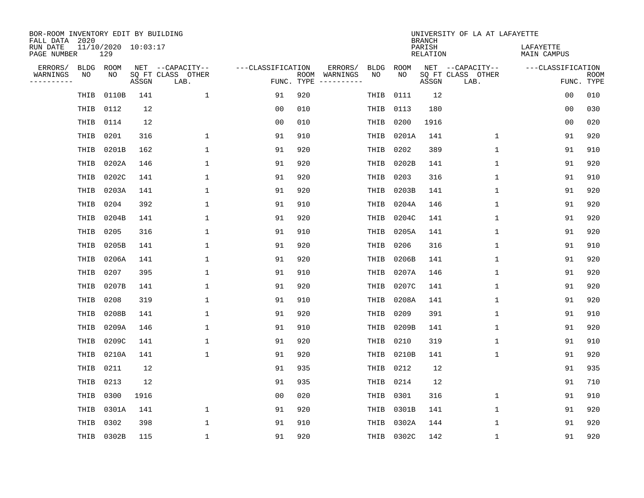| BOR-ROOM INVENTORY EDIT BY BUILDING<br>FALL DATA 2020 |      |                            |       |                           |                   |            |                              |             |            | <b>BRANCH</b>             | UNIVERSITY OF LA AT LAFAYETTE |                          |                           |
|-------------------------------------------------------|------|----------------------------|-------|---------------------------|-------------------|------------|------------------------------|-------------|------------|---------------------------|-------------------------------|--------------------------|---------------------------|
| RUN DATE<br>PAGE NUMBER                               |      | 11/10/2020 10:03:17<br>129 |       |                           |                   |            |                              |             |            | PARISH<br><b>RELATION</b> |                               | LAFAYETTE<br>MAIN CAMPUS |                           |
| ERRORS/                                               | BLDG | ROOM                       |       | NET --CAPACITY--          | ---CLASSIFICATION |            | ERRORS/                      | <b>BLDG</b> | ROOM       |                           | NET --CAPACITY--              | ---CLASSIFICATION        |                           |
| WARNINGS<br>----------                                | ΝO   | NO                         | ASSGN | SQ FT CLASS OTHER<br>LAB. |                   | FUNC. TYPE | ROOM WARNINGS<br>----------- | NO          | NO         | ASSGN                     | SQ FT CLASS OTHER<br>LAB.     |                          | <b>ROOM</b><br>FUNC. TYPE |
|                                                       | THIB | 0110B                      | 141   | $\mathbf 1$               | 91                | 920        |                              | THIB        | 0111       | 12                        |                               | 0 <sub>0</sub>           | 010                       |
|                                                       | THIB | 0112                       | 12    |                           | 00                | 010        |                              | THIB        | 0113       | 180                       |                               | 00                       | 030                       |
|                                                       | THIB | 0114                       | 12    |                           | 00                | 010        |                              | THIB        | 0200       | 1916                      |                               | 00                       | 020                       |
|                                                       | THIB | 0201                       | 316   | $\mathbf{1}$              | 91                | 910        |                              | THIB        | 0201A      | 141                       | $\mathbf 1$                   | 91                       | 920                       |
|                                                       | THIB | 0201B                      | 162   | $\mathbf 1$               | 91                | 920        |                              | THIB        | 0202       | 389                       | $\mathbf 1$                   | 91                       | 910                       |
|                                                       | THIB | 0202A                      | 146   | 1                         | 91                | 920        |                              | THIB        | 0202B      | 141                       | $\mathbf 1$                   | 91                       | 920                       |
|                                                       | THIB | 0202C                      | 141   | $\mathbf{1}$              | 91                | 920        |                              | THIB        | 0203       | 316                       | $\mathbf{1}$                  | 91                       | 910                       |
|                                                       | THIB | 0203A                      | 141   | $\mathbf{1}$              | 91                | 920        |                              | THIB        | 0203B      | 141                       | $\mathbf 1$                   | 91                       | 920                       |
|                                                       | THIB | 0204                       | 392   | 1                         | 91                | 910        |                              | THIB        | 0204A      | 146                       | $\mathbf 1$                   | 91                       | 920                       |
|                                                       | THIB | 0204B                      | 141   | $\mathbf{1}$              | 91                | 920        |                              | THIB        | 0204C      | 141                       | $\mathbf 1$                   | 91                       | 920                       |
|                                                       | THIB | 0205                       | 316   | $\mathbf{1}$              | 91                | 910        |                              | THIB        | 0205A      | 141                       | $\mathbf{1}$                  | 91                       | 920                       |
|                                                       | THIB | 0205B                      | 141   | $\mathbf{1}$              | 91                | 920        |                              | THIB        | 0206       | 316                       | $\mathbf 1$                   | 91                       | 910                       |
|                                                       | THIB | 0206A                      | 141   | $\mathbf{1}$              | 91                | 920        |                              | THIB        | 0206B      | 141                       | $\mathbf{1}$                  | 91                       | 920                       |
|                                                       | THIB | 0207                       | 395   | 1                         | 91                | 910        |                              | THIB        | 0207A      | 146                       | 1                             | 91                       | 920                       |
|                                                       | THIB | 0207B                      | 141   | 1                         | 91                | 920        |                              | THIB        | 0207C      | 141                       | $\mathbf{1}$                  | 91                       | 920                       |
|                                                       | THIB | 0208                       | 319   | 1                         | 91                | 910        |                              | THIB        | 0208A      | 141                       | 1                             | 91                       | 920                       |
|                                                       | THIB | 0208B                      | 141   | 1                         | 91                | 920        |                              | THIB        | 0209       | 391                       | 1                             | 91                       | 910                       |
|                                                       | THIB | 0209A                      | 146   | 1                         | 91                | 910        |                              | THIB        | 0209B      | 141                       | 1                             | 91                       | 920                       |
|                                                       | THIB | 0209C                      | 141   | 1                         | 91                | 920        |                              | THIB        | 0210       | 319                       | 1                             | 91                       | 910                       |
|                                                       | THIB | 0210A                      | 141   | $\mathbf{1}$              | 91                | 920        |                              | THIB        | 0210B      | 141                       | $\mathbf 1$                   | 91                       | 920                       |
|                                                       | THIB | 0211                       | 12    |                           | 91                | 935        |                              | THIB        | 0212       | 12                        |                               | 91                       | 935                       |
|                                                       | THIB | 0213                       | 12    |                           | 91                | 935        |                              | THIB        | 0214       | 12                        |                               | 91                       | 710                       |
|                                                       | THIB | 0300                       | 1916  |                           | 00                | 020        |                              | THIB        | 0301       | 316                       | 1                             | 91                       | 910                       |
|                                                       | THIB | 0301A                      | 141   | 1                         | 91                | 920        |                              | THIB        | 0301B      | 141                       | 1                             | 91                       | 920                       |
|                                                       | THIB | 0302                       | 398   | 1                         | 91                | 910        |                              | THIB        | 0302A      | 144                       | 1                             | 91                       | 920                       |
|                                                       |      | THIB 0302B                 | 115   | $\mathbf{1}$              | 91                | 920        |                              |             | THIB 0302C | 142                       | 1                             | 91                       | 920                       |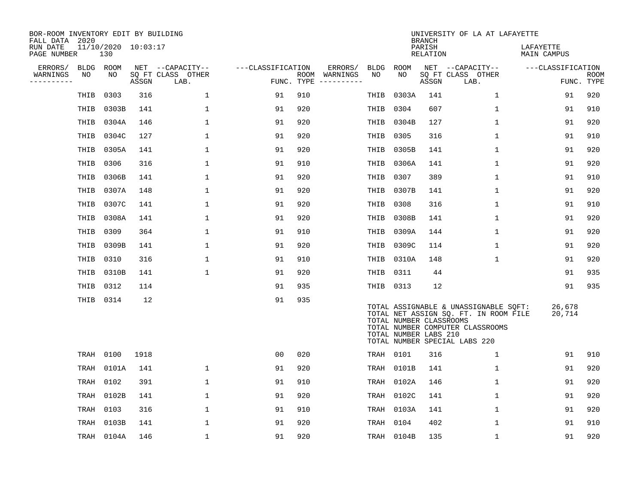| BOR-ROOM INVENTORY EDIT BY BUILDING<br>FALL DATA 2020 |           |                            |       |                           |                   |     |                                      |             |                                                  | <b>BRANCH</b>      | UNIVERSITY OF LA AT LAFAYETTE                                                                                                                       |                          |                           |
|-------------------------------------------------------|-----------|----------------------------|-------|---------------------------|-------------------|-----|--------------------------------------|-------------|--------------------------------------------------|--------------------|-----------------------------------------------------------------------------------------------------------------------------------------------------|--------------------------|---------------------------|
| RUN DATE<br>PAGE NUMBER                               |           | 11/10/2020 10:03:17<br>130 |       |                           |                   |     |                                      |             |                                                  | PARISH<br>RELATION |                                                                                                                                                     | LAFAYETTE<br>MAIN CAMPUS |                           |
| ERRORS/                                               | BLDG ROOM |                            |       | NET --CAPACITY--          | ---CLASSIFICATION |     | ERRORS/                              | <b>BLDG</b> | ROOM                                             |                    | NET --CAPACITY--                                                                                                                                    | ---CLASSIFICATION        |                           |
| WARNINGS<br>----------                                | NO        | NO.                        | ASSGN | SQ FT CLASS OTHER<br>LAB. |                   |     | ROOM WARNINGS<br>FUNC. TYPE $------$ | NO          | NO.                                              | ASSGN              | SQ FT CLASS OTHER<br>LAB.                                                                                                                           |                          | <b>ROOM</b><br>FUNC. TYPE |
|                                                       | THIB      | 0303                       | 316   | $\mathbf{1}$              | 91                | 910 |                                      | THIB        | 0303A                                            | 141                | $\mathbf{1}$                                                                                                                                        | 91                       | 920                       |
|                                                       | THIB      | 0303B                      | 141   | $\mathbf{1}$              | 91                | 920 |                                      | THIB        | 0304                                             | 607                | $\mathbf 1$                                                                                                                                         | 91                       | 910                       |
|                                                       | THIB      | 0304A                      | 146   | $\mathbf{1}$              | 91                | 920 |                                      | THIB        | 0304B                                            | 127                | $\mathbf 1$                                                                                                                                         | 91                       | 920                       |
|                                                       | THIB      | 0304C                      | 127   | 1                         | 91                | 920 |                                      | THIB        | 0305                                             | 316                | $\mathbf{1}$                                                                                                                                        | 91                       | 910                       |
|                                                       | THIB      | 0305A                      | 141   | 1                         | 91                | 920 |                                      | THIB        | 0305B                                            | 141                | $\mathbf{1}$                                                                                                                                        | 91                       | 920                       |
|                                                       | THIB      | 0306                       | 316   | 1                         | 91                | 910 |                                      | THIB        | 0306A                                            | 141                | $\mathbf 1$                                                                                                                                         | 91                       | 920                       |
|                                                       | THIB      | 0306B                      | 141   | $\mathbf{1}$              | 91                | 920 |                                      | THIB        | 0307                                             | 389                | $\mathbf{1}$                                                                                                                                        | 91                       | 910                       |
|                                                       | THIB      | 0307A                      | 148   | 1                         | 91                | 920 |                                      | THIB        | 0307B                                            | 141                | $\mathbf{1}$                                                                                                                                        | 91                       | 920                       |
|                                                       | THIB      | 0307C                      | 141   | $\mathbf{1}$              | 91                | 920 |                                      | THIB        | 0308                                             | 316                | $\mathbf{1}$                                                                                                                                        | 91                       | 910                       |
|                                                       | THIB      | 0308A                      | 141   | 1                         | 91                | 920 |                                      | THIB        | 0308B                                            | 141                | $\mathbf 1$                                                                                                                                         | 91                       | 920                       |
|                                                       | THIB      | 0309                       | 364   | $\mathbf{1}$              | 91                | 910 |                                      | THIB        | 0309A                                            | 144                | $\mathbf 1$                                                                                                                                         | 91                       | 920                       |
|                                                       | THIB      | 0309B                      | 141   | 1                         | 91                | 920 |                                      | THIB        | 0309C                                            | 114                | $\mathbf 1$                                                                                                                                         | 91                       | 920                       |
|                                                       | THIB      | 0310                       | 316   | $\mathbf{1}$              | 91                | 910 |                                      | THIB        | 0310A                                            | 148                | $\mathbf{1}$                                                                                                                                        | 91                       | 920                       |
|                                                       |           | THIB 0310B                 | 141   | $\mathbf{1}$              | 91                | 920 |                                      | THIB        | 0311                                             | 44                 |                                                                                                                                                     | 91                       | 935                       |
|                                                       | THIB 0312 |                            | 114   |                           | 91                | 935 |                                      | THIB 0313   |                                                  | 12                 |                                                                                                                                                     | 91                       | 935                       |
|                                                       |           | THIB 0314                  | 12    |                           | 91                | 935 |                                      |             | TOTAL NUMBER CLASSROOMS<br>TOTAL NUMBER LABS 210 |                    | TOTAL ASSIGNABLE & UNASSIGNABLE SQFT:<br>TOTAL NET ASSIGN SQ. FT. IN ROOM FILE<br>TOTAL NUMBER COMPUTER CLASSROOMS<br>TOTAL NUMBER SPECIAL LABS 220 | 26,678<br>20,714         |                           |
|                                                       | TRAH      | 0100                       | 1918  |                           | 0 <sub>0</sub>    | 020 |                                      | TRAH 0101   |                                                  | 316                | $\mathbf{1}$                                                                                                                                        | 91                       | 910                       |
|                                                       | TRAH      | 0101A                      | 141   | 1                         | 91                | 920 |                                      | TRAH        | 0101B                                            | 141                | 1                                                                                                                                                   | 91                       | 920                       |
|                                                       | TRAH      | 0102                       | 391   | $\mathbf 1$               | 91                | 910 |                                      | TRAH        | 0102A                                            | 146                | $\mathbf 1$                                                                                                                                         | 91                       | 920                       |
|                                                       | TRAH      | 0102B                      | 141   | $\mathbf 1$               | 91                | 920 |                                      | TRAH        | 0102C                                            | 141                | $\mathbf 1$                                                                                                                                         | 91                       | 920                       |
|                                                       | TRAH      | 0103                       | 316   | 1                         | 91                | 910 |                                      | TRAH        | 0103A                                            | 141                | $\mathbf 1$                                                                                                                                         | 91                       | 920                       |
|                                                       | TRAH      | 0103B                      | 141   | 1                         | 91                | 920 |                                      | TRAH        | 0104                                             | 402                | $\mathbf{1}$                                                                                                                                        | 91                       | 910                       |
|                                                       |           | TRAH 0104A                 | 146   | $\mathbf{1}$              | 91                | 920 |                                      |             | TRAH 0104B                                       | 135                | $\mathbf{1}$                                                                                                                                        | 91                       | 920                       |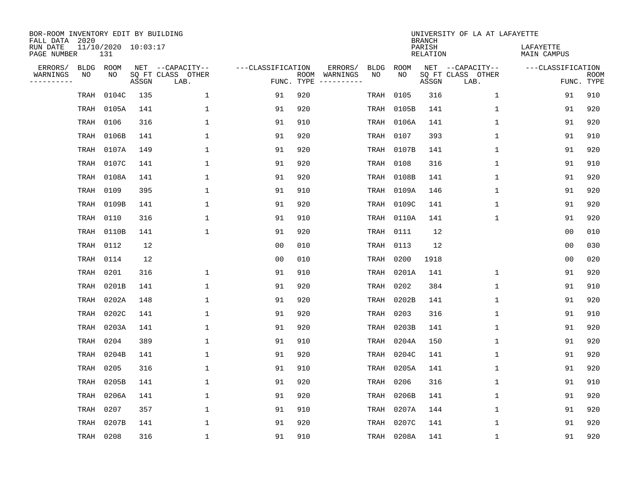| BOR-ROOM INVENTORY EDIT BY BUILDING<br>FALL DATA 2020 |                            |       |                           |                   |            |                              |             |             | <b>BRANCH</b>             | UNIVERSITY OF LA AT LAFAYETTE |                          |                           |
|-------------------------------------------------------|----------------------------|-------|---------------------------|-------------------|------------|------------------------------|-------------|-------------|---------------------------|-------------------------------|--------------------------|---------------------------|
| RUN DATE<br>PAGE NUMBER                               | 11/10/2020 10:03:17<br>131 |       |                           |                   |            |                              |             |             | PARISH<br><b>RELATION</b> |                               | LAFAYETTE<br>MAIN CAMPUS |                           |
| ERRORS/<br><b>BLDG</b>                                | ROOM                       |       | NET --CAPACITY--          | ---CLASSIFICATION |            | ERRORS/                      | <b>BLDG</b> | <b>ROOM</b> |                           | NET --CAPACITY--              | ---CLASSIFICATION        |                           |
| WARNINGS<br>NO<br>----------                          | NO                         | ASSGN | SQ FT CLASS OTHER<br>LAB. |                   | FUNC. TYPE | ROOM WARNINGS<br>----------- | NO          | NO          | ASSGN                     | SQ FT CLASS OTHER<br>LAB.     |                          | <b>ROOM</b><br>FUNC. TYPE |
| TRAH                                                  | 0104C                      | 135   | $\mathbf{1}$              | 91                | 920        |                              | TRAH        | 0105        | 316                       | $\mathbf 1$                   | 91                       | 910                       |
| TRAH                                                  | 0105A                      | 141   | 1                         | 91                | 920        |                              | TRAH        | 0105B       | 141                       | 1                             | 91                       | 920                       |
| TRAH                                                  | 0106                       | 316   | 1                         | 91                | 910        |                              | TRAH        | 0106A       | 141                       | $\mathbf 1$                   | 91                       | 920                       |
| TRAH                                                  | 0106B                      | 141   | 1                         | 91                | 920        |                              | TRAH        | 0107        | 393                       | $\mathbf 1$                   | 91                       | 910                       |
| TRAH                                                  | 0107A                      | 149   | $\mathbf{1}$              | 91                | 920        |                              | TRAH        | 0107B       | 141                       | $\mathbf 1$                   | 91                       | 920                       |
| TRAH                                                  | 0107C                      | 141   | 1                         | 91                | 920        |                              | TRAH        | 0108        | 316                       | $\mathbf 1$                   | 91                       | 910                       |
| TRAH                                                  | 0108A                      | 141   | $\mathbf{1}$              | 91                | 920        |                              | TRAH        | 0108B       | 141                       | $\mathbf{1}$                  | 91                       | 920                       |
| TRAH                                                  | 0109                       | 395   | $\mathbf{1}$              | 91                | 910        |                              | TRAH        | 0109A       | 146                       | $\mathbf{1}$                  | 91                       | 920                       |
| TRAH                                                  | 0109B                      | 141   | $\mathbf{1}$              | 91                | 920        |                              | TRAH        | 0109C       | 141                       | $\mathbf{1}$                  | 91                       | 920                       |
| TRAH                                                  | 0110                       | 316   | 1                         | 91                | 910        |                              | TRAH        | 0110A       | 141                       | $\mathbf 1$                   | 91                       | 920                       |
| TRAH                                                  | 0110B                      | 141   | 1                         | 91                | 920        |                              | TRAH        | 0111        | 12                        |                               | 0 <sub>0</sub>           | 010                       |
| TRAH                                                  | 0112                       | 12    |                           | 0 <sub>0</sub>    | 010        |                              | TRAH        | 0113        | 12                        |                               | 0 <sub>0</sub>           | 030                       |
| TRAH                                                  | 0114                       | 12    |                           | 0 <sub>0</sub>    | 010        |                              | TRAH        | 0200        | 1918                      |                               | 0 <sub>0</sub>           | 020                       |
| TRAH                                                  | 0201                       | 316   | 1                         | 91                | 910        |                              | TRAH        | 0201A       | 141                       | $\mathbf 1$                   | 91                       | 920                       |
| TRAH                                                  | 0201B                      | 141   | $\mathbf{1}$              | 91                | 920        |                              | TRAH        | 0202        | 384                       | $\mathbf{1}$                  | 91                       | 910                       |
| TRAH                                                  | 0202A                      | 148   | 1                         | 91                | 920        |                              | TRAH        | 0202B       | 141                       | 1                             | 91                       | 920                       |
| TRAH                                                  | 0202C                      | 141   | 1                         | 91                | 920        |                              | TRAH        | 0203        | 316                       | 1                             | 91                       | 910                       |
| TRAH                                                  | 0203A                      | 141   | 1                         | 91                | 920        |                              | TRAH        | 0203B       | 141                       | 1                             | 91                       | 920                       |
| TRAH                                                  | 0204                       | 389   | 1                         | 91                | 910        |                              | TRAH        | 0204A       | 150                       | 1                             | 91                       | 920                       |
| TRAH                                                  | 0204B                      | 141   | 1                         | 91                | 920        |                              | TRAH        | 0204C       | 141                       | 1                             | 91                       | 920                       |
| TRAH                                                  | 0205                       | 316   | 1                         | 91                | 910        |                              | TRAH        | 0205A       | 141                       | $\mathbf 1$                   | 91                       | 920                       |
| TRAH                                                  | 0205B                      | 141   | $\mathbf{1}$              | 91                | 920        |                              | TRAH        | 0206        | 316                       | $\mathbf 1$                   | 91                       | 910                       |
| TRAH                                                  | 0206A                      | 141   | 1                         | 91                | 920        |                              | TRAH        | 0206B       | 141                       | $\mathbf 1$                   | 91                       | 920                       |
| TRAH                                                  | 0207                       | 357   | $\mathbf{1}$              | 91                | 910        |                              | TRAH        | 0207A       | 144                       | $\mathbf 1$                   | 91                       | 920                       |
| TRAH                                                  | 0207B                      | 141   | 1                         | 91                | 920        |                              | TRAH        | 0207C       | 141                       | 1                             | 91                       | 920                       |
|                                                       | TRAH 0208                  | 316   | $\mathbf{1}$              | 91                | 910        |                              |             | TRAH 0208A  | 141                       | 1                             | 91                       | 920                       |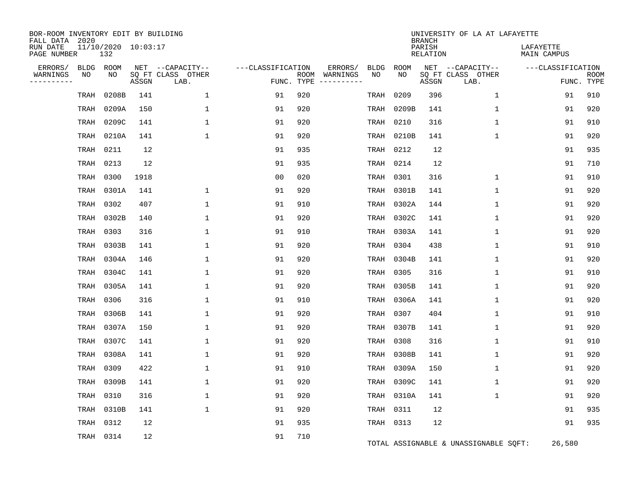| BOR-ROOM INVENTORY EDIT BY BUILDING<br>FALL DATA 2020 |            |                            |       |                           |                   |            |                              |             |                    | <b>BRANCH</b>      | UNIVERSITY OF LA AT LAFAYETTE         |                          |                           |
|-------------------------------------------------------|------------|----------------------------|-------|---------------------------|-------------------|------------|------------------------------|-------------|--------------------|--------------------|---------------------------------------|--------------------------|---------------------------|
| RUN DATE<br>PAGE NUMBER                               |            | 11/10/2020 10:03:17<br>132 |       |                           |                   |            |                              |             |                    | PARISH<br>RELATION |                                       | LAFAYETTE<br>MAIN CAMPUS |                           |
| ERRORS/                                               | BLDG<br>NO | ROOM<br>NO.                |       | NET --CAPACITY--          | ---CLASSIFICATION |            | ERRORS/                      | <b>BLDG</b> | <b>ROOM</b><br>NO. |                    | NET --CAPACITY--                      | ---CLASSIFICATION        |                           |
| WARNINGS<br>----------                                |            |                            | ASSGN | SO FT CLASS OTHER<br>LAB. |                   | FUNC. TYPE | ROOM WARNINGS<br>----------- | NO.         |                    | ASSGN              | SQ FT CLASS OTHER<br>LAB.             |                          | <b>ROOM</b><br>FUNC. TYPE |
|                                                       | TRAH       | 0208B                      | 141   | $\mathbf 1$               | 91                | 920        |                              | TRAH        | 0209               | 396                | 1                                     | 91                       | 910                       |
|                                                       | TRAH       | 0209A                      | 150   | $\mathbf{1}$              | 91                | 920        |                              | TRAH        | 0209B              | 141                | $\mathbf{1}$                          | 91                       | 920                       |
|                                                       | TRAH       | 0209C                      | 141   | 1                         | 91                | 920        |                              | TRAH        | 0210               | 316                | 1                                     | 91                       | 910                       |
|                                                       | TRAH       | 0210A                      | 141   | 1                         | 91                | 920        |                              | TRAH        | 0210B              | 141                | 1                                     | 91                       | 920                       |
|                                                       | TRAH       | 0211                       | 12    |                           | 91                | 935        |                              | TRAH        | 0212               | 12                 |                                       | 91                       | 935                       |
|                                                       | TRAH       | 0213                       | 12    |                           | 91                | 935        |                              | TRAH        | 0214               | 12                 |                                       | 91                       | 710                       |
|                                                       | TRAH       | 0300                       | 1918  |                           | 0 <sub>0</sub>    | 020        |                              | TRAH        | 0301               | 316                | $\mathbf 1$                           | 91                       | 910                       |
|                                                       | TRAH       | 0301A                      | 141   | $\mathbf{1}$              | 91                | 920        |                              | TRAH        | 0301B              | 141                | $\mathbf 1$                           | 91                       | 920                       |
|                                                       | TRAH       | 0302                       | 407   | $\mathbf{1}$              | 91                | 910        |                              | TRAH        | 0302A              | 144                | $\mathbf 1$                           | 91                       | 920                       |
|                                                       | TRAH       | 0302B                      | 140   | $\mathbf{1}$              | 91                | 920        |                              | TRAH        | 0302C              | 141                | $\mathbf{1}$                          | 91                       | 920                       |
|                                                       | TRAH       | 0303                       | 316   | 1                         | 91                | 910        |                              | TRAH        | 0303A              | 141                | $\mathbf 1$                           | 91                       | 920                       |
|                                                       | TRAH       | 0303B                      | 141   | 1                         | 91                | 920        |                              | TRAH        | 0304               | 438                | $\mathbf{1}$                          | 91                       | 910                       |
|                                                       | TRAH       | 0304A                      | 146   | $\mathbf{1}$              | 91                | 920        |                              | TRAH        | 0304B              | 141                | 1                                     | 91                       | 920                       |
|                                                       | TRAH       | 0304C                      | 141   | 1                         | 91                | 920        |                              | TRAH        | 0305               | 316                | 1                                     | 91                       | 910                       |
|                                                       | TRAH       | 0305A                      | 141   | $\mathbf{1}$              | 91                | 920        |                              | TRAH        | 0305B              | 141                | $\mathbf 1$                           | 91                       | 920                       |
|                                                       | TRAH       | 0306                       | 316   | 1                         | 91                | 910        |                              | TRAH        | 0306A              | 141                | 1                                     | 91                       | 920                       |
|                                                       | TRAH       | 0306B                      | 141   | 1                         | 91                | 920        |                              | TRAH        | 0307               | 404                | $\mathbf{1}$                          | 91                       | 910                       |
|                                                       | TRAH       | 0307A                      | 150   | 1                         | 91                | 920        |                              | TRAH        | 0307B              | 141                | $\mathbf 1$                           | 91                       | 920                       |
|                                                       | TRAH       | 0307C                      | 141   | 1                         | 91                | 920        |                              | TRAH        | 0308               | 316                | $\mathbf 1$                           | 91                       | 910                       |
|                                                       | TRAH       | 0308A                      | 141   | $\mathbf{1}$              | 91                | 920        |                              | TRAH        | 0308B              | 141                | $\mathbf 1$                           | 91                       | 920                       |
|                                                       | TRAH       | 0309                       | 422   | $\mathbf{1}$              | 91                | 910        |                              | TRAH        | 0309A              | 150                | $\mathbf 1$                           | 91                       | 920                       |
|                                                       | TRAH       | 0309B                      | 141   | 1                         | 91                | 920        |                              | TRAH        | 0309C              | 141                | 1                                     | 91                       | 920                       |
|                                                       | TRAH       | 0310                       | 316   | $\mathbf{1}$              | 91                | 920        |                              | TRAH        | 0310A              | 141                | $\mathbf 1$                           | 91                       | 920                       |
|                                                       | TRAH       | 0310B                      | 141   | 1                         | 91                | 920        |                              | TRAH        | 0311               | 12                 |                                       | 91                       | 935                       |
|                                                       | TRAH       | 0312                       | 12    |                           | 91                | 935        |                              |             | TRAH 0313          | 12                 |                                       | 91                       | 935                       |
|                                                       | TRAH 0314  |                            | 12    |                           | 91                | 710        |                              |             |                    |                    | TOTAL ASSIGNABLE & UNASSIGNABLE SQFT: | 26,580                   |                           |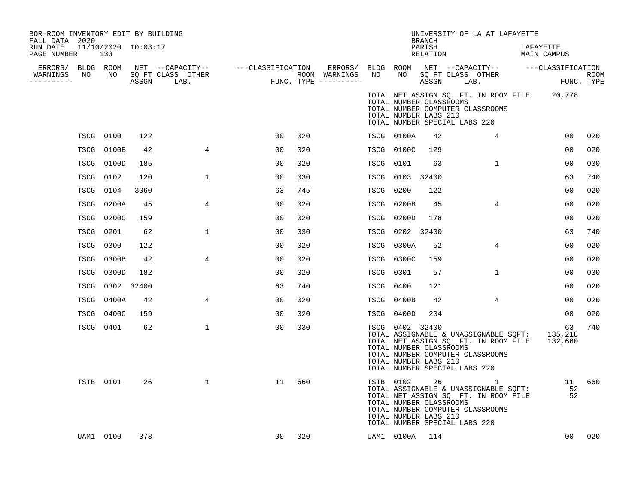| BOR-ROOM INVENTORY EDIT BY BUILDING<br>FALL DATA 2020 |                  |                            |      |                                                                                                                                            |                |     |             |                                                                                                      | <b>BRANCH</b>      | UNIVERSITY OF LA AT LAFAYETTE                                                                                                        |                                                                                                      |        |
|-------------------------------------------------------|------------------|----------------------------|------|--------------------------------------------------------------------------------------------------------------------------------------------|----------------|-----|-------------|------------------------------------------------------------------------------------------------------|--------------------|--------------------------------------------------------------------------------------------------------------------------------------|------------------------------------------------------------------------------------------------------|--------|
| RUN DATE<br>PAGE NUMBER                               |                  | 11/10/2020 10:03:17<br>133 |      |                                                                                                                                            |                |     |             |                                                                                                      | PARISH<br>RELATION |                                                                                                                                      | LAFAYETTE<br>MAIN CAMPUS                                                                             |        |
| ERRORS/ BLDG ROOM                                     |                  |                            |      |                                                                                                                                            |                |     |             |                                                                                                      |                    |                                                                                                                                      | ERRORS/ BLDG ROOM NET --CAPACITY-- ---CLASSIFICATION                                                 |        |
| WARNINGS<br>----------                                | NO               |                            |      | NET --CAPACITY-- ----CLASSIFICATION ERRORS/<br>SQ FT CLASS OTHER ROOM WARNINGS<br>ASSGN LAB. FUNC. TYPE ----------<br>NO SQ FT CLASS OTHER |                |     | NO          |                                                                                                      |                    |                                                                                                                                      | ROOM NET --CAFACILI<br>NO SQ FT CLASS OTHER TROUM<br>ACCONI LAR. FUNC TYPE                           |        |
|                                                       |                  |                            |      |                                                                                                                                            |                |     |             | TOTAL NUMBER CLASSROOMS<br>TOTAL NUMBER LABS 210<br>TOTAL NUMBER SPECIAL LABS 220                    |                    | TOTAL NUMBER COMPUTER CLASSROOMS                                                                                                     | TOTAL NET ASSIGN SQ. FT. IN ROOM FILE 20,778                                                         |        |
|                                                       | <b>TSCG 0100</b> |                            | 122  |                                                                                                                                            | 00             | 020 |             | TSCG 0100A                                                                                           | 42                 | 4                                                                                                                                    | 00                                                                                                   | 020    |
|                                                       |                  | TSCG 0100B                 | 42   | $\overline{4}$                                                                                                                             | 00             | 020 |             | TSCG 0100C                                                                                           | 129                |                                                                                                                                      | 00                                                                                                   | 020    |
|                                                       |                  | TSCG 0100D                 | 185  |                                                                                                                                            | 00             | 020 | TSCG        | 0101                                                                                                 | 63                 | $\mathbf{1}$                                                                                                                         | 00                                                                                                   | 030    |
|                                                       | TSCG 0102        |                            | 120  | $\mathbf{1}$                                                                                                                               | 0 <sub>0</sub> | 030 | TSCG        | 0103 32400                                                                                           |                    |                                                                                                                                      | 63                                                                                                   | 740    |
|                                                       | TSCG 0104        |                            | 3060 |                                                                                                                                            | 63             | 745 | <b>TSCG</b> | 0200                                                                                                 | 122                |                                                                                                                                      | 00                                                                                                   | 020    |
|                                                       |                  | TSCG 0200A                 | 45   | $\overline{4}$                                                                                                                             | 0 <sub>0</sub> | 020 |             | TSCG 0200B                                                                                           | 45                 | $4^{\circ}$                                                                                                                          | 0 <sub>0</sub>                                                                                       | 020    |
|                                                       |                  | TSCG 0200C                 | 159  |                                                                                                                                            | 0 <sub>0</sub> | 020 |             | TSCG 0200D                                                                                           | 178                |                                                                                                                                      | 0 <sub>0</sub>                                                                                       | 020    |
|                                                       | TSCG 0201        |                            | 62   | $\mathbf 1$                                                                                                                                | 0 <sub>0</sub> | 030 |             | TSCG 0202 32400                                                                                      |                    |                                                                                                                                      | 63                                                                                                   | 740    |
|                                                       | TSCG 0300        |                            | 122  |                                                                                                                                            | 0 <sub>0</sub> | 020 | <b>TSCG</b> | 0300A                                                                                                | 52                 | $\overline{4}$                                                                                                                       | 0 <sub>0</sub>                                                                                       | 020    |
|                                                       | TSCG             | 0300B                      | 42   | $\overline{4}$                                                                                                                             | 0 <sub>0</sub> | 020 |             | TSCG 0300C                                                                                           | 159                |                                                                                                                                      | 00                                                                                                   | 020    |
|                                                       |                  | TSCG 0300D                 | 182  |                                                                                                                                            | 0 <sub>0</sub> | 020 | TSCG 0301   |                                                                                                      | 57                 | $\mathbf{1}$                                                                                                                         | 00                                                                                                   | 030    |
|                                                       |                  | TSCG 0302 32400            |      |                                                                                                                                            | 63             | 740 | TSCG 0400   |                                                                                                      | 121                |                                                                                                                                      | 00                                                                                                   | 020    |
|                                                       |                  | TSCG 0400A                 | 42   | 4                                                                                                                                          | 00             | 020 |             | TSCG 0400B                                                                                           | 42                 | 4                                                                                                                                    | 00                                                                                                   | 020    |
|                                                       |                  | TSCG 0400C                 | 159  |                                                                                                                                            | 00             | 020 |             | TSCG 0400D                                                                                           | 204                |                                                                                                                                      | 00                                                                                                   | 020    |
|                                                       |                  | TSCG 0401                  | 62   | $\mathbf 1$                                                                                                                                | 00             | 030 |             | TSCG 0402 32400<br>TOTAL NUMBER CLASSROOMS<br>TOTAL NUMBER LABS 210<br>TOTAL NUMBER SPECIAL LABS 220 |                    | TOTAL NUMBER COMPUTER CLASSROOMS                                                                                                     | 63<br>TOTAL ASSIGNABLE & UNASSIGNABLE SQFT: 135,218<br>TOTAL NET ASSIGN SQ. FT. IN ROOM FILE 132,660 | 740    |
|                                                       |                  | TSTB 0101                  | 26   | $\mathbf{1}$                                                                                                                               | 11             | 660 |             | TOTAL NUMBER CLASSROOMS<br>TOTAL NUMBER LABS 210<br>TOTAL NUMBER SPECIAL LABS 220                    |                    | TSTB 0102 26 1<br>TOTAL ASSIGNABLE & UNASSIGNABLE SQFT:<br>TOTAL NET ASSIGN SQ. FT. IN ROOM FILE<br>TOTAL NUMBER COMPUTER CLASSROOMS | $\frac{11}{52}$                                                                                      | 11 660 |
|                                                       |                  | UAM1 0100                  | 378  |                                                                                                                                            | 00             | 020 |             | UAM1 0100A 114                                                                                       |                    |                                                                                                                                      | 00 <sup>o</sup>                                                                                      | 020    |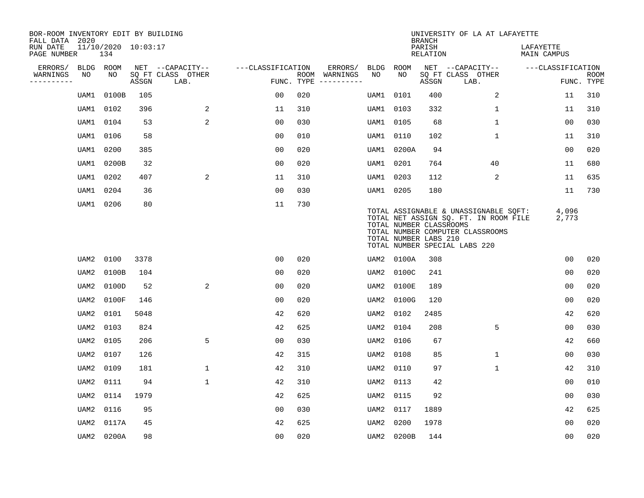| BOR-ROOM INVENTORY EDIT BY BUILDING<br>FALL DATA 2020 |           |                            |       |                           |                   |     |                                      |             |                                                  | <b>BRANCH</b>             | UNIVERSITY OF LA AT LAFAYETTE                                                                                                                       |                          |                           |
|-------------------------------------------------------|-----------|----------------------------|-------|---------------------------|-------------------|-----|--------------------------------------|-------------|--------------------------------------------------|---------------------------|-----------------------------------------------------------------------------------------------------------------------------------------------------|--------------------------|---------------------------|
| RUN DATE<br>PAGE NUMBER                               |           | 11/10/2020 10:03:17<br>134 |       |                           |                   |     |                                      |             |                                                  | PARISH<br><b>RELATION</b> |                                                                                                                                                     | LAFAYETTE<br>MAIN CAMPUS |                           |
| ERRORS/                                               | BLDG ROOM |                            |       | NET --CAPACITY--          | ---CLASSIFICATION |     | ERRORS/                              | <b>BLDG</b> | <b>ROOM</b>                                      |                           | NET --CAPACITY--                                                                                                                                    | ---CLASSIFICATION        |                           |
| WARNINGS<br>----------                                | NO        | NO                         | ASSGN | SQ FT CLASS OTHER<br>LAB. |                   |     | ROOM WARNINGS<br>FUNC. TYPE $------$ | NO          | NO                                               | ASSGN                     | SQ FT CLASS OTHER<br>LAB.                                                                                                                           |                          | <b>ROOM</b><br>FUNC. TYPE |
|                                                       | UAM1      | 0100B                      | 105   |                           | 00                | 020 |                                      | UAM1        | 0101                                             | 400                       | 2                                                                                                                                                   | 11                       | 310                       |
|                                                       | UAM1      | 0102                       | 396   | 2                         | 11                | 310 |                                      | UAM1        | 0103                                             | 332                       | 1                                                                                                                                                   | 11                       | 310                       |
|                                                       | UAM1      | 0104                       | 53    | 2                         | 0 <sub>0</sub>    | 030 |                                      | UAM1        | 0105                                             | 68                        | $\mathbf 1$                                                                                                                                         | 0 <sub>0</sub>           | 030                       |
|                                                       | UAM1      | 0106                       | 58    |                           | 0 <sub>0</sub>    | 010 |                                      | UAM1        | 0110                                             | 102                       | 1                                                                                                                                                   | 11                       | 310                       |
|                                                       | UAM1      | 0200                       | 385   |                           | 0 <sub>0</sub>    | 020 |                                      | UAM1        | 0200A                                            | 94                        |                                                                                                                                                     | 00                       | 020                       |
|                                                       | UAM1      | 0200B                      | 32    |                           | 0 <sub>0</sub>    | 020 |                                      |             | UAM1 0201                                        | 764                       | 40                                                                                                                                                  | 11                       | 680                       |
|                                                       | UAM1      | 0202                       | 407   | 2                         | 11                | 310 |                                      |             | UAM1 0203                                        | 112                       | 2                                                                                                                                                   | 11                       | 635                       |
|                                                       | UAM1      | 0204                       | 36    |                           | 0 <sub>0</sub>    | 030 |                                      |             | UAM1 0205                                        | 180                       |                                                                                                                                                     | 11                       | 730                       |
|                                                       | UAM1      | 0206                       | 80    |                           | 11                | 730 |                                      |             | TOTAL NUMBER CLASSROOMS<br>TOTAL NUMBER LABS 210 |                           | TOTAL ASSIGNABLE & UNASSIGNABLE SQFT:<br>TOTAL NET ASSIGN SQ. FT. IN ROOM FILE<br>TOTAL NUMBER COMPUTER CLASSROOMS<br>TOTAL NUMBER SPECIAL LABS 220 | 4,096<br>2,773           |                           |
|                                                       | UAM2      | 0100                       | 3378  |                           | 0 <sub>0</sub>    | 020 |                                      | UAM2        | 0100A                                            | 308                       |                                                                                                                                                     | 0 <sub>0</sub>           | 020                       |
|                                                       | UAM2      | 0100B                      | 104   |                           | 0 <sub>0</sub>    | 020 |                                      | UAM2        | 0100C                                            | 241                       |                                                                                                                                                     | 0 <sub>0</sub>           | 020                       |
|                                                       | UAM2      | 0100D                      | 52    | 2                         | 0 <sub>0</sub>    | 020 |                                      | UAM2        | 0100E                                            | 189                       |                                                                                                                                                     | 00                       | 020                       |
|                                                       | UAM2      | 0100F                      | 146   |                           | 00                | 020 |                                      | UAM2        | 0100G                                            | 120                       |                                                                                                                                                     | 00                       | 020                       |
|                                                       | UAM2      | 0101                       | 5048  |                           | 42                | 620 |                                      | UAM2        | 0102                                             | 2485                      |                                                                                                                                                     | 42                       | 620                       |
|                                                       | UAM2      | 0103                       | 824   |                           | 42                | 625 |                                      | UAM2        | 0104                                             | 208                       | 5                                                                                                                                                   | 0 <sub>0</sub>           | 030                       |
|                                                       | UAM2      | 0105                       | 206   | 5                         | 0 <sub>0</sub>    | 030 |                                      | UAM2        | 0106                                             | 67                        |                                                                                                                                                     | 42                       | 660                       |
|                                                       | UAM2      | 0107                       | 126   |                           | 42                | 315 |                                      | UAM2        | 0108                                             | 85                        | 1                                                                                                                                                   | 00                       | 030                       |
|                                                       | UAM2      | 0109                       | 181   | $\mathbf{1}$              | 42                | 310 |                                      | UAM2        | 0110                                             | 97                        | 1                                                                                                                                                   | 42                       | 310                       |
|                                                       | UAM2      | 0111                       | 94    | $\mathbf{1}$              | 42                | 310 |                                      | UAM2        | 0113                                             | 42                        |                                                                                                                                                     | 0 <sub>0</sub>           | 010                       |
|                                                       | UAM2      | 0114                       | 1979  |                           | 42                | 625 |                                      | UAM2        | 0115                                             | 92                        |                                                                                                                                                     | 0 <sub>0</sub>           | 030                       |
|                                                       | UAM2      | 0116                       | 95    |                           | 0 <sub>0</sub>    | 030 |                                      | UAM2        | 0117                                             | 1889                      |                                                                                                                                                     | 42                       | 625                       |
|                                                       | UAM2      | 0117A                      | 45    |                           | 42                | 625 |                                      | UAM2        | 0200                                             | 1978                      |                                                                                                                                                     | 0 <sub>0</sub>           | 020                       |
|                                                       | UAM2      | 0200A                      | 98    |                           | 0 <sub>0</sub>    | 020 |                                      |             | UAM2 0200B                                       | 144                       |                                                                                                                                                     | 0 <sub>0</sub>           | 020                       |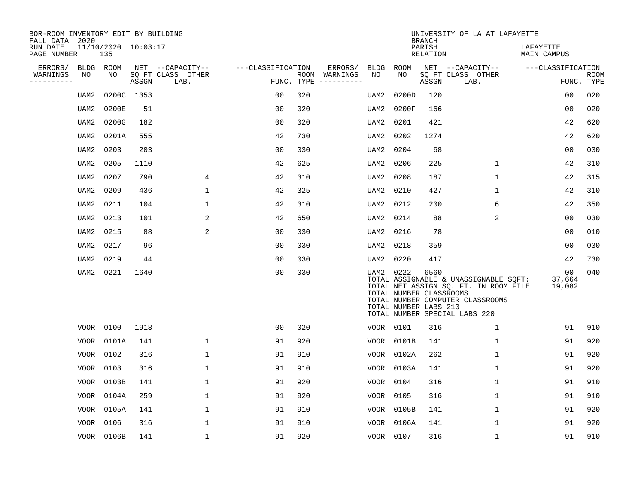| BOR-ROOM INVENTORY EDIT BY BUILDING<br>FALL DATA 2020 |             |                            |       |                           |                   |     |                                        |             |                                                  | <b>BRANCH</b>      | UNIVERSITY OF LA AT LAFAYETTE                                                                                                                       |                                    |                           |
|-------------------------------------------------------|-------------|----------------------------|-------|---------------------------|-------------------|-----|----------------------------------------|-------------|--------------------------------------------------|--------------------|-----------------------------------------------------------------------------------------------------------------------------------------------------|------------------------------------|---------------------------|
| RUN DATE<br>PAGE NUMBER                               |             | 11/10/2020 10:03:17<br>135 |       |                           |                   |     |                                        |             |                                                  | PARISH<br>RELATION |                                                                                                                                                     | LAFAYETTE<br>MAIN CAMPUS           |                           |
| ERRORS/                                               | <b>BLDG</b> | ROOM                       |       | NET --CAPACITY--          | ---CLASSIFICATION |     | ERRORS/                                | <b>BLDG</b> | ROOM                                             |                    | NET --CAPACITY--                                                                                                                                    | ---CLASSIFICATION                  |                           |
| WARNINGS<br>----------                                | NO          | NO                         | ASSGN | SQ FT CLASS OTHER<br>LAB. | FUNC. TYPE        |     | ROOM WARNINGS<br>$- - - - - - - - - -$ | NO          | NO.                                              | ASSGN              | SQ FT CLASS OTHER<br>LAB.                                                                                                                           |                                    | <b>ROOM</b><br>FUNC. TYPE |
|                                                       | UAM2        | 0200C 1353                 |       |                           | 0 <sub>0</sub>    | 020 |                                        | UAM2        | 0200D                                            | 120                |                                                                                                                                                     | 0 <sub>0</sub>                     | 020                       |
|                                                       | UAM2        | 0200E                      | 51    |                           | 0 <sub>0</sub>    | 020 |                                        | UAM2        | 0200F                                            | 166                |                                                                                                                                                     | 0 <sub>0</sub>                     | 020                       |
|                                                       | UAM2        | 0200G                      | 182   |                           | 0 <sub>0</sub>    | 020 |                                        | UAM2        | 0201                                             | 421                |                                                                                                                                                     | 42                                 | 620                       |
|                                                       | UAM2        | 0201A                      | 555   |                           | 42                | 730 |                                        | UAM2        | 0202                                             | 1274               |                                                                                                                                                     | 42                                 | 620                       |
|                                                       | UAM2        | 0203                       | 203   |                           | 0 <sub>0</sub>    | 030 |                                        | UAM2        | 0204                                             | 68                 |                                                                                                                                                     | 0 <sub>0</sub>                     | 030                       |
|                                                       | UAM2        | 0205                       | 1110  |                           | 42                | 625 |                                        | UAM2        | 0206                                             | 225                | $\mathbf 1$                                                                                                                                         | 42                                 | 310                       |
|                                                       | UAM2        | 0207                       | 790   | 4                         | 42                | 310 |                                        | UAM2        | 0208                                             | 187                | $\mathbf{1}$                                                                                                                                        | 42                                 | 315                       |
|                                                       | UAM2        | 0209                       | 436   | $\mathbf{1}$              | 42                | 325 |                                        | UAM2        | 0210                                             | 427                | $\mathbf{1}$                                                                                                                                        | 42                                 | 310                       |
|                                                       | UAM2        | 0211                       | 104   | 1                         | 42                | 310 |                                        | UAM2        | 0212                                             | 200                | 6                                                                                                                                                   | 42                                 | 350                       |
|                                                       | UAM2        | 0213                       | 101   | 2                         | 42                | 650 |                                        | UAM2        | 0214                                             | 88                 | 2                                                                                                                                                   | 0 <sub>0</sub>                     | 030                       |
|                                                       | UAM2        | 0215                       | 88    | 2                         | 00                | 030 |                                        | UAM2        | 0216                                             | 78                 |                                                                                                                                                     | 00                                 | 010                       |
|                                                       | UAM2        | 0217                       | 96    |                           | 0 <sub>0</sub>    | 030 |                                        | UAM2        | 0218                                             | 359                |                                                                                                                                                     | 0 <sub>0</sub>                     | 030                       |
|                                                       | UAM2        | 0219                       | 44    |                           | 0 <sub>0</sub>    | 030 |                                        | UAM2        | 0220                                             | 417                |                                                                                                                                                     | 42                                 | 730                       |
|                                                       | UAM2        | 0221                       | 1640  |                           | 0 <sub>0</sub>    | 030 |                                        | UAM2 0222   | TOTAL NUMBER CLASSROOMS<br>TOTAL NUMBER LABS 210 | 6560               | TOTAL ASSIGNABLE & UNASSIGNABLE SQFT:<br>TOTAL NET ASSIGN SQ. FT. IN ROOM FILE<br>TOTAL NUMBER COMPUTER CLASSROOMS<br>TOTAL NUMBER SPECIAL LABS 220 | 0 <sub>0</sub><br>37,664<br>19,082 | 040                       |
|                                                       | VOOR        | 0100                       | 1918  |                           | 0 <sub>0</sub>    | 020 |                                        | VOOR 0101   |                                                  | 316                | $\mathbf 1$                                                                                                                                         | 91                                 | 910                       |
|                                                       | <b>VOOR</b> | 0101A                      | 141   | $\mathbf 1$               | 91                | 920 |                                        |             | VOOR 0101B                                       | 141                | $\mathbf 1$                                                                                                                                         | 91                                 | 920                       |
|                                                       | VOOR        | 0102                       | 316   | $\mathbf 1$               | 91                | 910 |                                        |             | VOOR 0102A                                       | 262                | $\mathbf{1}$                                                                                                                                        | 91                                 | 920                       |
|                                                       | <b>VOOR</b> | 0103                       | 316   | $\mathbf 1$               | 91                | 910 |                                        |             | VOOR 0103A                                       | 141                | $\mathbf{1}$                                                                                                                                        | 91                                 | 920                       |
|                                                       | VOOR        | 0103B                      | 141   | $\mathbf{1}$              | 91                | 920 |                                        | VOOR        | 0104                                             | 316                | $\mathbf{1}$                                                                                                                                        | 91                                 | 910                       |
|                                                       | <b>VOOR</b> | 0104A                      | 259   | 1                         | 91                | 920 |                                        | VOOR        | 0105                                             | 316                | $\mathbf 1$                                                                                                                                         | 91                                 | 910                       |
|                                                       | VOOR        | 0105A                      | 141   | $\mathbf 1$               | 91                | 910 |                                        | VOOR        | 0105B                                            | 141                | $\mathbf 1$                                                                                                                                         | 91                                 | 920                       |
|                                                       | VOOR        | 0106                       | 316   | $\mathbf{1}$              | 91                | 910 |                                        | VOOR        | 0106A                                            | 141                | $\mathbf{1}$                                                                                                                                        | 91                                 | 920                       |
|                                                       |             | VOOR 0106B                 | 141   | 1                         | 91                | 920 |                                        | VOOR 0107   |                                                  | 316                | 1                                                                                                                                                   | 91                                 | 910                       |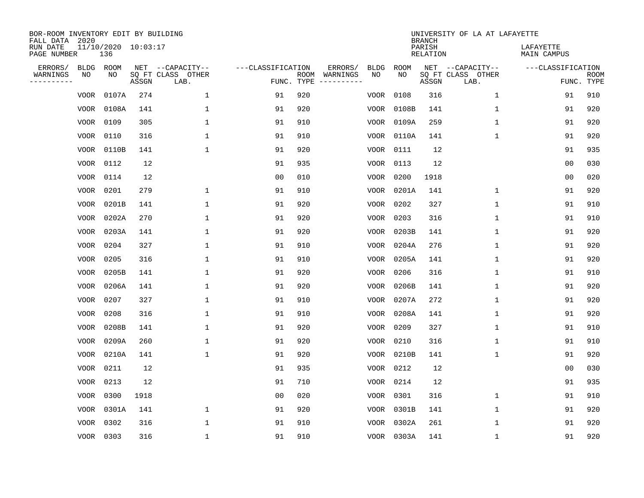| BOR-ROOM INVENTORY EDIT BY BUILDING<br>FALL DATA 2020 |             |                            |       |                           |                   |      |          |             |             | <b>BRANCH</b>             | UNIVERSITY OF LA AT LAFAYETTE |                          |                           |
|-------------------------------------------------------|-------------|----------------------------|-------|---------------------------|-------------------|------|----------|-------------|-------------|---------------------------|-------------------------------|--------------------------|---------------------------|
| RUN DATE<br>PAGE NUMBER                               |             | 11/10/2020 10:03:17<br>136 |       |                           |                   |      |          |             |             | PARISH<br><b>RELATION</b> |                               | LAFAYETTE<br>MAIN CAMPUS |                           |
| ERRORS/                                               | BLDG        | ROOM                       |       | NET --CAPACITY--          | ---CLASSIFICATION |      | ERRORS/  | <b>BLDG</b> | <b>ROOM</b> |                           | NET --CAPACITY--              | ---CLASSIFICATION        |                           |
| WARNINGS<br>----------                                | ΝO          | NO                         | ASSGN | SQ FT CLASS OTHER<br>LAB. | FUNC. TYPE        | ROOM | WARNINGS | NO          | NO          | ASSGN                     | SQ FT CLASS OTHER<br>LAB.     |                          | <b>ROOM</b><br>FUNC. TYPE |
|                                                       | VOOR        | 0107A                      | 274   | 1                         | 91                | 920  |          | VOOR        | 0108        | 316                       | 1                             | 91                       | 910                       |
|                                                       | VOOR        | 0108A                      | 141   | 1                         | 91                | 920  |          | VOOR        | 0108B       | 141                       | 1                             | 91                       | 920                       |
|                                                       | VOOR        | 0109                       | 305   | 1                         | 91                | 910  |          | VOOR        | 0109A       | 259                       | $\mathbf 1$                   | 91                       | 920                       |
|                                                       | VOOR        | 0110                       | 316   | $\mathbf{1}$              | 91                | 910  |          | VOOR        | 0110A       | 141                       | $\mathbf 1$                   | 91                       | 920                       |
|                                                       | VOOR        | 0110B                      | 141   | $\mathbf{1}$              | 91                | 920  |          | VOOR        | 0111        | 12                        |                               | 91                       | 935                       |
|                                                       |             | VOOR 0112                  | 12    |                           | 91                | 935  |          | VOOR        | 0113        | 12                        |                               | 0 <sub>0</sub>           | 030                       |
|                                                       |             | VOOR 0114                  | 12    |                           | 0 <sub>0</sub>    | 010  |          | VOOR        | 0200        | 1918                      |                               | 0 <sub>0</sub>           | 020                       |
|                                                       |             | VOOR 0201                  | 279   | $\mathbf{1}$              | 91                | 910  |          | VOOR        | 0201A       | 141                       | $\mathbf{1}$                  | 91                       | 920                       |
|                                                       | VOOR        | 0201B                      | 141   | $\mathbf{1}$              | 91                | 920  |          | VOOR        | 0202        | 327                       | $\mathbf{1}$                  | 91                       | 910                       |
|                                                       | VOOR        | 0202A                      | 270   | $\mathbf{1}$              | 91                | 920  |          | VOOR        | 0203        | 316                       | 1                             | 91                       | 910                       |
|                                                       | VOOR        | 0203A                      | 141   | $\mathbf{1}$              | 91                | 920  |          | VOOR        | 0203B       | 141                       | $\mathbf 1$                   | 91                       | 920                       |
|                                                       | VOOR        | 0204                       | 327   | $\mathbf{1}$              | 91                | 910  |          | VOOR        | 0204A       | 276                       | $\mathbf 1$                   | 91                       | 920                       |
|                                                       | VOOR        | 0205                       | 316   | $\mathbf{1}$              | 91                | 910  |          | VOOR        | 0205A       | 141                       | $\mathbf 1$                   | 91                       | 920                       |
|                                                       | VOOR        | 0205B                      | 141   | 1                         | 91                | 920  |          | VOOR        | 0206        | 316                       | 1                             | 91                       | 910                       |
|                                                       | VOOR        | 0206A                      | 141   | 1                         | 91                | 920  |          | VOOR        | 0206B       | 141                       | 1                             | 91                       | 920                       |
|                                                       | VOOR        | 0207                       | 327   | $\mathbf{1}$              | 91                | 910  |          | VOOR        | 0207A       | 272                       | $\mathbf 1$                   | 91                       | 920                       |
|                                                       | VOOR        | 0208                       | 316   | 1                         | 91                | 910  |          | VOOR        | 0208A       | 141                       | 1                             | 91                       | 920                       |
|                                                       | VOOR        | 0208B                      | 141   | 1                         | 91                | 920  |          | VOOR        | 0209        | 327                       | 1                             | 91                       | 910                       |
|                                                       | VOOR        | 0209A                      | 260   | 1                         | 91                | 920  |          | VOOR        | 0210        | 316                       | 1                             | 91                       | 910                       |
|                                                       | VOOR        | 0210A                      | 141   | $\mathbf{1}$              | 91                | 920  |          | VOOR        | 0210B       | 141                       | $\mathbf{1}$                  | 91                       | 920                       |
|                                                       | VOOR        | 0211                       | 12    |                           | 91                | 935  |          | VOOR        | 0212        | 12                        |                               | 0 <sub>0</sub>           | 030                       |
|                                                       | <b>VOOR</b> | 0213                       | 12    |                           | 91                | 710  |          | VOOR        | 0214        | 12                        |                               | 91                       | 935                       |
|                                                       | <b>VOOR</b> | 0300                       | 1918  |                           | 0 <sub>0</sub>    | 020  |          | VOOR        | 0301        | 316                       | $\mathbf{1}$                  | 91                       | 910                       |
|                                                       | VOOR        | 0301A                      | 141   | $\mathbf{1}$              | 91                | 920  |          | VOOR        | 0301B       | 141                       | $\mathbf 1$                   | 91                       | 920                       |
|                                                       | <b>VOOR</b> | 0302                       | 316   | $\mathbf{1}$              | 91                | 910  |          | VOOR        | 0302A       | 261                       | $\mathbf{1}$                  | 91                       | 920                       |
|                                                       |             | VOOR 0303                  | 316   | $\mathbf{1}$              | 91                | 910  |          |             | VOOR 0303A  | 141                       | $\mathbf{1}$                  | 91                       | 920                       |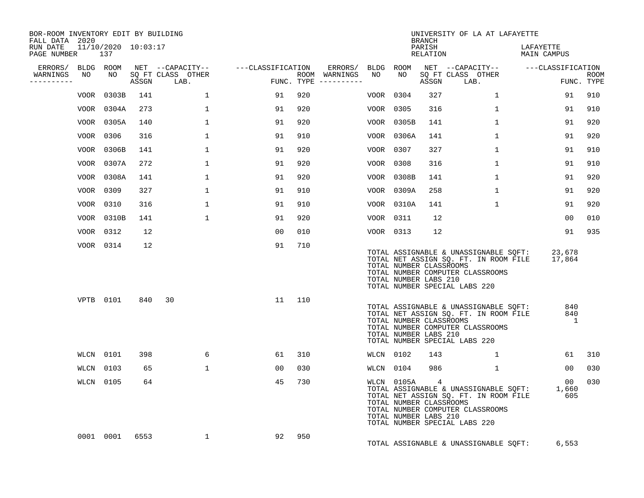| BOR-ROOM INVENTORY EDIT BY BUILDING<br>FALL DATA 2020 |    |            |      |                                 |                   |     |                                      |           |                                                                | <b>BRANCH</b>      | UNIVERSITY OF LA AT LAFAYETTE                                                                                                                       |                                 |                           |
|-------------------------------------------------------|----|------------|------|---------------------------------|-------------------|-----|--------------------------------------|-----------|----------------------------------------------------------------|--------------------|-----------------------------------------------------------------------------------------------------------------------------------------------------|---------------------------------|---------------------------|
| RUN DATE 11/10/2020 10:03:17<br>PAGE NUMBER           |    | 137        |      |                                 |                   |     |                                      |           |                                                                | PARISH<br>RELATION |                                                                                                                                                     | LAFAYETTE<br>MAIN CAMPUS        |                           |
| ERRORS/ BLDG ROOM                                     |    |            |      | NET --CAPACITY--                | ---CLASSIFICATION |     | ERRORS/ BLDG ROOM                    |           |                                                                |                    | NET --CAPACITY-- ---CLASSIFICATION                                                                                                                  |                                 |                           |
| WARNINGS<br>---------                                 | NO | NO         |      | SQ FT CLASS OTHER<br>ASSGN LAB. |                   |     | ROOM WARNINGS<br>FUNC. TYPE $------$ | NO        | NO                                                             | ASSGN              | SQ FT CLASS OTHER<br>LAB.                                                                                                                           |                                 | <b>ROOM</b><br>FUNC. TYPE |
|                                                       |    | VOOR 0303B | 141  | $\mathbf{1}$                    | 91                | 920 |                                      | VOOR 0304 |                                                                | 327                | $\mathbf{1}$                                                                                                                                        | 91                              | 910                       |
|                                                       |    | VOOR 0304A | 273  | $\mathbf{1}$                    | 91                | 920 |                                      | VOOR 0305 |                                                                | 316                | $\mathbf{1}$                                                                                                                                        | 91                              | 910                       |
|                                                       |    | VOOR 0305A | 140  | $\mathbf{1}$                    | 91                | 920 |                                      |           | VOOR 0305B                                                     | 141                | $\mathbf{1}$                                                                                                                                        | 91                              | 920                       |
|                                                       |    | VOOR 0306  | 316  | 1                               | 91                | 910 |                                      |           | VOOR 0306A                                                     | 141                | $\mathbf{1}$                                                                                                                                        | 91                              | 920                       |
|                                                       |    | VOOR 0306B | 141  | 1                               | 91                | 920 |                                      | VOOR 0307 |                                                                | 327                | $\mathbf{1}$                                                                                                                                        | 91                              | 910                       |
|                                                       |    | VOOR 0307A | 272  | 1                               | 91                | 920 |                                      | VOOR 0308 |                                                                | 316                | $\mathbf{1}$                                                                                                                                        | 91                              | 910                       |
|                                                       |    | VOOR 0308A | 141  | 1                               | 91                | 920 |                                      |           | VOOR 0308B                                                     | 141                | 1                                                                                                                                                   | 91                              | 920                       |
|                                                       |    | VOOR 0309  | 327  | $\mathbf{1}$                    | 91                | 910 |                                      |           | VOOR 0309A                                                     | 258                | $\mathbf{1}$                                                                                                                                        | 91                              | 920                       |
|                                                       |    | VOOR 0310  | 316  | $\mathbf{1}$                    | 91                | 910 |                                      |           | VOOR 0310A                                                     | 141                | $\mathbf{1}$                                                                                                                                        | 91                              | 920                       |
|                                                       |    | VOOR 0310B | 141  | $\mathbf{1}$                    | 91                | 920 |                                      | VOOR 0311 |                                                                | 12                 |                                                                                                                                                     | 00                              | 010                       |
|                                                       |    | VOOR 0312  | 12   |                                 | 00                | 010 |                                      | VOOR 0313 |                                                                | 12                 |                                                                                                                                                     | 91                              | 935                       |
|                                                       |    | VOOR 0314  | 12   |                                 | 91                | 710 |                                      |           | TOTAL NUMBER CLASSROOMS<br>TOTAL NUMBER LABS 210               |                    | TOTAL ASSIGNABLE & UNASSIGNABLE SQFT:<br>TOTAL NET ASSIGN SQ. FT. IN ROOM FILE<br>TOTAL NUMBER COMPUTER CLASSROOMS<br>TOTAL NUMBER SPECIAL LABS 220 | 23,678<br>17,864                |                           |
|                                                       |    | VPTB 0101  | 840  | 30                              | 11                | 110 |                                      |           | TOTAL NUMBER CLASSROOMS<br>TOTAL NUMBER LABS 210               |                    | TOTAL ASSIGNABLE & UNASSIGNABLE SOFT:<br>TOTAL NET ASSIGN SQ. FT. IN ROOM FILE<br>TOTAL NUMBER COMPUTER CLASSROOMS<br>TOTAL NUMBER SPECIAL LABS 220 | 840<br>840<br>1                 |                           |
|                                                       |    | WLCN 0101  | 398  | 6                               | 61                | 310 |                                      | WLCN 0102 |                                                                | 143                | $\mathbf{1}$                                                                                                                                        | 61                              | 310                       |
|                                                       |    | WLCN 0103  | 65   | $\mathbf{1}$                    | 00                | 030 |                                      |           | WLCN 0104                                                      | 986                | $\mathbf{1}$                                                                                                                                        | 00                              | 030                       |
|                                                       |    | WLCN 0105  | 64   |                                 | 45                | 730 |                                      |           | WLCN 0105A<br>TOTAL NUMBER CLASSROOMS<br>TOTAL NUMBER LABS 210 | $\overline{4}$     | TOTAL ASSIGNABLE & UNASSIGNABLE SQFT:<br>TOTAL NET ASSIGN SQ. FT. IN ROOM FILE<br>TOTAL NUMBER COMPUTER CLASSROOMS<br>TOTAL NUMBER SPECIAL LABS 220 | 00 <sub>o</sub><br>1,660<br>605 | 030                       |
|                                                       |    | 0001 0001  | 6553 | $\mathbf{1}$                    | 92                | 950 |                                      |           |                                                                |                    | TOTAL ASSIGNABLE & UNASSIGNABLE SQFT:                                                                                                               | 6,553                           |                           |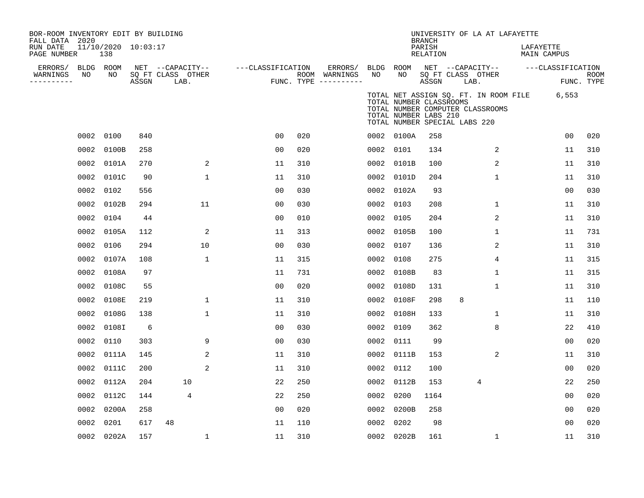| BOR-ROOM INVENTORY EDIT BY BUILDING<br>FALL DATA 2020 |      |                            |       |                           |                   |     |                                      |           |                                                                                   | <b>BRANCH</b>      |      | UNIVERSITY OF LA AT LAFAYETTE    |                                             |                |                           |
|-------------------------------------------------------|------|----------------------------|-------|---------------------------|-------------------|-----|--------------------------------------|-----------|-----------------------------------------------------------------------------------|--------------------|------|----------------------------------|---------------------------------------------|----------------|---------------------------|
| RUN DATE<br>PAGE NUMBER                               |      | 11/10/2020 10:03:17<br>138 |       |                           |                   |     |                                      |           |                                                                                   | PARISH<br>RELATION |      |                                  | LAFAYETTE<br><b>MAIN CAMPUS</b>             |                |                           |
| ERRORS/                                               |      | BLDG ROOM                  |       | NET --CAPACITY--          | ---CLASSIFICATION |     | ERRORS/                              | BLDG ROOM |                                                                                   |                    |      | NET --CAPACITY--                 | ---CLASSIFICATION                           |                |                           |
| WARNINGS<br>---------                                 | NO   | NO                         | ASSGN | SQ FT CLASS OTHER<br>LAB. |                   |     | ROOM WARNINGS<br>FUNC. TYPE $------$ | NO        | NO                                                                                | ASSGN              | LAB. | SQ FT CLASS OTHER                |                                             |                | <b>ROOM</b><br>FUNC. TYPE |
|                                                       |      |                            |       |                           |                   |     |                                      |           | TOTAL NUMBER CLASSROOMS<br>TOTAL NUMBER LABS 210<br>TOTAL NUMBER SPECIAL LABS 220 |                    |      | TOTAL NUMBER COMPUTER CLASSROOMS | TOTAL NET ASSIGN SQ. FT. IN ROOM FILE 6,553 |                |                           |
|                                                       | 0002 | 0100                       | 840   |                           | 0 <sub>0</sub>    | 020 |                                      |           | 0002 0100A                                                                        | 258                |      |                                  |                                             | 0 <sub>0</sub> | 020                       |
|                                                       | 0002 | 0100B                      | 258   |                           | 0 <sub>0</sub>    | 020 |                                      | 0002 0101 |                                                                                   | 134                |      | 2                                |                                             | 11             | 310                       |
|                                                       | 0002 | 0101A                      | 270   | 2                         | 11                | 310 |                                      |           | 0002 0101B                                                                        | 100                |      | 2                                |                                             | 11             | 310                       |
|                                                       | 0002 | 0101C                      | 90    | $\mathbf{1}$              | 11                | 310 |                                      |           | 0002 0101D                                                                        | 204                |      | $\mathbf{1}$                     |                                             | 11             | 310                       |
|                                                       | 0002 | 0102                       | 556   |                           | 00                | 030 |                                      |           | 0002 0102A                                                                        | 93                 |      |                                  |                                             | 0 <sub>0</sub> | 030                       |
|                                                       | 0002 | 0102B                      | 294   | 11                        | 00                | 030 |                                      | 0002 0103 |                                                                                   | 208                |      | 1                                |                                             | 11             | 310                       |
|                                                       | 0002 | 0104                       | 44    |                           | 00                | 010 |                                      | 0002 0105 |                                                                                   | 204                |      | 2                                |                                             | 11             | 310                       |
|                                                       |      | 0002 0105A                 | 112   | 2                         | 11                | 313 |                                      |           | 0002 0105B                                                                        | 100                |      | 1                                |                                             | 11             | 731                       |
|                                                       |      | 0002 0106                  | 294   | 10                        | 00                | 030 |                                      | 0002 0107 |                                                                                   | 136                |      | 2                                |                                             | 11             | 310                       |
|                                                       | 0002 | 0107A                      | 108   | 1                         | 11                | 315 |                                      | 0002 0108 |                                                                                   | 275                |      | 4                                |                                             | 11             | 315                       |
|                                                       | 0002 | 0108A                      | 97    |                           | 11                | 731 |                                      |           | 0002 0108B                                                                        | 83                 |      | 1                                |                                             | 11             | 315                       |
|                                                       | 0002 | 0108C                      | 55    |                           | 0 <sub>0</sub>    | 020 |                                      |           | 0002 0108D                                                                        | 131                |      | 1                                |                                             | 11             | 310                       |
|                                                       |      | 0002 0108E                 | 219   | $\mathbf{1}$              | 11                | 310 |                                      |           | 0002 0108F                                                                        | 298                | 8    |                                  |                                             | 11             | 110                       |
|                                                       | 0002 | 0108G                      | 138   | $\mathbf 1$               | 11                | 310 |                                      |           | 0002 0108H                                                                        | 133                |      | 1                                |                                             | 11             | 310                       |
|                                                       |      | 0002 0108I                 | 6     |                           | 00                | 030 |                                      | 0002 0109 |                                                                                   | 362                |      | 8                                |                                             | 22             | 410                       |
|                                                       |      | 0002 0110                  | 303   | 9                         | 00                | 030 |                                      | 0002 0111 |                                                                                   | 99                 |      |                                  |                                             | 0 <sub>0</sub> | 020                       |
|                                                       |      | 0002 0111A                 | 145   | 2                         | 11                | 310 |                                      |           | 0002 0111B                                                                        | 153                |      | 2                                |                                             | 11             | 310                       |
|                                                       |      | 0002 0111C                 | 200   | 2                         | 11                | 310 |                                      | 0002 0112 |                                                                                   | 100                |      |                                  |                                             | 0 <sub>0</sub> | 020                       |
|                                                       | 0002 | 0112A                      | 204   | 10                        | 22                | 250 |                                      |           | 0002 0112B                                                                        | 153                |      | 4                                |                                             | 22             | 250                       |
|                                                       |      | 0002 0112C                 | 144   | 4                         | 22                | 250 |                                      | 0002 0200 |                                                                                   | 1164               |      |                                  |                                             | 0 <sub>0</sub> | 020                       |
|                                                       | 0002 | 0200A                      | 258   |                           | 00                | 020 |                                      |           | 0002 0200B                                                                        | 258                |      |                                  |                                             | 00             | 020                       |
|                                                       | 0002 | 0201                       | 617   | 48                        | 11                | 110 |                                      | 0002 0202 |                                                                                   | 98                 |      |                                  |                                             | 0 <sub>0</sub> | 020                       |
|                                                       |      | 0002 0202A                 | 157   | $\mathbf 1$               | 11                | 310 |                                      |           | 0002 0202B                                                                        | 161                |      | $\mathbf 1$                      |                                             | 11             | 310                       |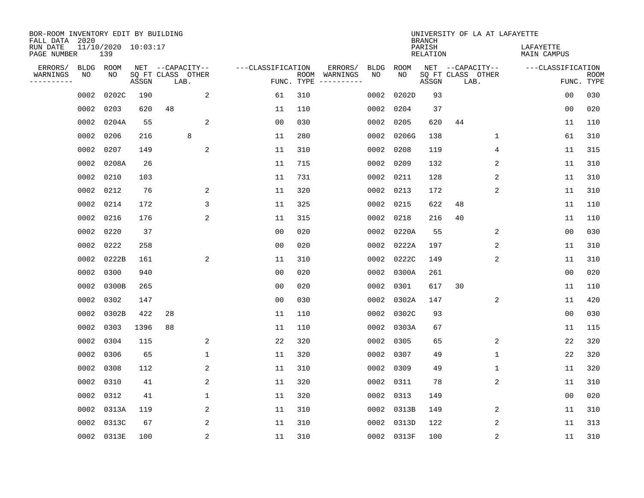| BOR-ROOM INVENTORY EDIT BY BUILDING<br>FALL DATA 2020 |                            |       |                           |                |                   |      |                                 |             |             | <b>BRANCH</b>             |    | UNIVERSITY OF LA AT LAFAYETTE |                          |                           |
|-------------------------------------------------------|----------------------------|-------|---------------------------|----------------|-------------------|------|---------------------------------|-------------|-------------|---------------------------|----|-------------------------------|--------------------------|---------------------------|
| RUN DATE<br>PAGE NUMBER                               | 11/10/2020 10:03:17<br>139 |       |                           |                |                   |      |                                 |             |             | PARISH<br><b>RELATION</b> |    |                               | LAFAYETTE<br>MAIN CAMPUS |                           |
| ERRORS/                                               | <b>BLDG</b><br>ROOM        |       | NET --CAPACITY--          |                | ---CLASSIFICATION |      | ERRORS/                         | <b>BLDG</b> | <b>ROOM</b> |                           |    | NET --CAPACITY--              | ---CLASSIFICATION        |                           |
| WARNINGS<br>NO<br>----------                          | NO                         | ASSGN | SQ FT CLASS OTHER<br>LAB. |                |                   | ROOM | WARNINGS<br>FUNC. TYPE $------$ | NO          | NO          | ASSGN                     |    | SQ FT CLASS OTHER<br>LAB.     |                          | <b>ROOM</b><br>FUNC. TYPE |
| 0002                                                  | 0202C                      | 190   |                           | 2              | 61                | 310  |                                 | 0002        | 0202D       | 93                        |    |                               | 00                       | 030                       |
|                                                       | 0002<br>0203               | 620   | 48                        |                | 11                | 110  |                                 | 0002        | 0204        | 37                        |    |                               | 00                       | 020                       |
|                                                       | 0002<br>0204A              | 55    |                           | 2              | 0 <sub>0</sub>    | 030  |                                 | 0002        | 0205        | 620                       | 44 |                               | 11                       | 110                       |
| 0002                                                  | 0206                       | 216   | 8                         |                | 11                | 280  |                                 | 0002        | 0206G       | 138                       |    | 1                             | 61                       | 310                       |
| 0002                                                  | 0207                       | 149   |                           | 2              | 11                | 310  |                                 | 0002        | 0208        | 119                       |    | 4                             | 11                       | 315                       |
|                                                       | 0208A<br>0002              | 26    |                           |                | 11                | 715  |                                 |             | 0002 0209   | 132                       |    | 2                             | 11                       | 310                       |
|                                                       | 0210<br>0002               | 103   |                           |                | 11                | 731  |                                 |             | 0002 0211   | 128                       |    | 2                             | 11                       | 310                       |
|                                                       | 0212<br>0002               | 76    |                           | 2              | 11                | 320  |                                 |             | 0002 0213   | 172                       |    | 2                             | 11                       | 310                       |
|                                                       | 0214<br>0002               | 172   |                           | 3              | 11                | 325  |                                 | 0002        | 0215        | 622                       | 48 |                               | 11                       | 110                       |
|                                                       | 0216<br>0002               | 176   |                           | 2              | 11                | 315  |                                 | 0002        | 0218        | 216                       | 40 |                               | 11                       | 110                       |
|                                                       | 0002<br>0220               | 37    |                           |                | 0 <sub>0</sub>    | 020  |                                 | 0002        | 0220A       | 55                        |    | 2                             | 0 <sub>0</sub>           | 030                       |
|                                                       | 0002<br>0222               | 258   |                           |                | 0 <sub>0</sub>    | 020  |                                 | 0002        | 0222A       | 197                       |    | 2                             | 11                       | 310                       |
|                                                       | 0002<br>0222B              | 161   |                           | $\overline{c}$ | 11                | 310  |                                 | 0002        | 0222C       | 149                       |    | 2                             | 11                       | 310                       |
|                                                       | 0002<br>0300               | 940   |                           |                | 0 <sub>0</sub>    | 020  |                                 | 0002        | 0300A       | 261                       |    |                               | 0 <sub>0</sub>           | 020                       |
|                                                       | 0002<br>0300B              | 265   |                           |                | 0 <sub>0</sub>    | 020  |                                 | 0002        | 0301        | 617                       | 30 |                               | 11                       | 110                       |
|                                                       | 0002<br>0302               | 147   |                           |                | 0 <sub>0</sub>    | 030  |                                 | 0002        | 0302A       | 147                       |    | 2                             | 11                       | 420                       |
|                                                       | 0302B<br>0002              | 422   | 28                        |                | 11                | 110  |                                 | 0002        | 0302C       | 93                        |    |                               | 0 <sub>0</sub>           | 030                       |
|                                                       | 0303<br>0002               | 1396  | 88                        |                | 11                | 110  |                                 | 0002        | 0303A       | 67                        |    |                               | 11                       | 115                       |
|                                                       | 0002<br>0304               | 115   |                           | 2              | 22                | 320  |                                 | 0002        | 0305        | 65                        |    | 2                             | 22                       | 320                       |
|                                                       | 0002<br>0306               | 65    |                           | $\mathbf 1$    | 11                | 320  |                                 | 0002        | 0307        | 49                        |    | $\mathbf{1}$                  | 22                       | 320                       |
|                                                       | 0002<br>0308               | 112   |                           | 2              | 11                | 310  |                                 | 0002        | 0309        | 49                        |    | 1                             | 11                       | 320                       |
|                                                       | 0002<br>0310               | 41    |                           | 2              | 11                | 320  |                                 | 0002        | 0311        | 78                        |    | 2                             | 11                       | 310                       |
|                                                       | 0312<br>0002               | 41    |                           | 1              | 11                | 320  |                                 | 0002        | 0313        | 149                       |    |                               | 0 <sub>0</sub>           | 020                       |
|                                                       | 0002<br>0313A              | 119   |                           | 2              | 11                | 310  |                                 |             | 0002 0313B  | 149                       |    | 2                             | 11                       | 310                       |
| 0002                                                  | 0313C                      | 67    |                           | 2              | 11                | 310  |                                 |             | 0002 0313D  | 122                       |    | 2                             | 11                       | 313                       |
|                                                       | 0002 0313E                 | 100   |                           | $\overline{c}$ | 11                | 310  |                                 |             | 0002 0313F  | 100                       |    | $\sqrt{2}$                    | 11                       | 310                       |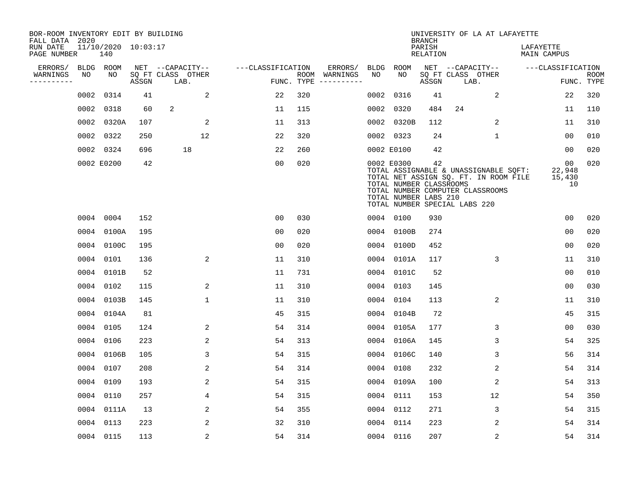| BOR-ROOM INVENTORY EDIT BY BUILDING<br>FALL DATA 2020 |      |                            |       |                           |                   |     |                                      |      |                                                                | <b>BRANCH</b>             | UNIVERSITY OF LA AT LAFAYETTE                                                                                                                       |                                 |                                           |                           |
|-------------------------------------------------------|------|----------------------------|-------|---------------------------|-------------------|-----|--------------------------------------|------|----------------------------------------------------------------|---------------------------|-----------------------------------------------------------------------------------------------------------------------------------------------------|---------------------------------|-------------------------------------------|---------------------------|
| RUN DATE<br>PAGE NUMBER                               |      | 11/10/2020 10:03:17<br>140 |       |                           |                   |     |                                      |      |                                                                | PARISH<br><b>RELATION</b> |                                                                                                                                                     | LAFAYETTE<br><b>MAIN CAMPUS</b> |                                           |                           |
| ERRORS/                                               |      | BLDG ROOM                  |       | NET --CAPACITY--          | ---CLASSIFICATION |     | ERRORS/                              | BLDG | ROOM                                                           |                           | NET --CAPACITY--                                                                                                                                    | ---CLASSIFICATION               |                                           |                           |
| WARNINGS<br>----------                                | NO   | NO                         | ASSGN | SQ FT CLASS OTHER<br>LAB. |                   |     | ROOM WARNINGS<br>FUNC. TYPE $------$ | NO   | NO                                                             | ASSGN                     | SQ FT CLASS OTHER<br>LAB.                                                                                                                           |                                 |                                           | <b>ROOM</b><br>FUNC. TYPE |
|                                                       | 0002 | 0314                       | 41    | 2                         | 22                | 320 |                                      | 0002 | 0316                                                           | 41                        | 2                                                                                                                                                   |                                 | 22                                        | 320                       |
|                                                       |      | 0002 0318                  | 60    | 2                         | 11                | 115 |                                      | 0002 | 0320                                                           | 484                       | 24                                                                                                                                                  |                                 | 11                                        | 110                       |
|                                                       |      | 0002 0320A                 | 107   | 2                         | 11                | 313 |                                      |      | 0002 0320B                                                     | 112                       | 2                                                                                                                                                   |                                 | 11                                        | 310                       |
|                                                       |      | 0002 0322                  | 250   | 12                        | 22                | 320 |                                      |      | 0002 0323                                                      | 24                        | $\mathbf{1}$                                                                                                                                        |                                 | 0 <sub>0</sub>                            | 010                       |
|                                                       |      | 0002 0324                  | 696   | 18                        | 22                | 260 |                                      |      | 0002 E0100                                                     | 42                        |                                                                                                                                                     |                                 | 00                                        | 020                       |
|                                                       |      | 0002 E0200                 | 42    |                           | 0 <sub>0</sub>    | 020 |                                      |      | 0002 E0300<br>TOTAL NUMBER CLASSROOMS<br>TOTAL NUMBER LABS 210 | 42                        | TOTAL ASSIGNABLE & UNASSIGNABLE SQFT:<br>TOTAL NET ASSIGN SQ. FT. IN ROOM FILE<br>TOTAL NUMBER COMPUTER CLASSROOMS<br>TOTAL NUMBER SPECIAL LABS 220 |                                 | 00 <sub>o</sub><br>22,948<br>15,430<br>10 | 020                       |
|                                                       |      | 0004 0004                  | 152   |                           | 0 <sub>0</sub>    | 030 |                                      |      | 0004 0100                                                      | 930                       |                                                                                                                                                     |                                 | 0 <sub>0</sub>                            | 020                       |
|                                                       |      | 0004 0100A                 | 195   |                           | 0 <sub>0</sub>    | 020 |                                      | 0004 | 0100B                                                          | 274                       |                                                                                                                                                     |                                 | 0 <sub>0</sub>                            | 020                       |
|                                                       |      | 0004 0100C                 | 195   |                           | 0 <sub>0</sub>    | 020 |                                      | 0004 | 0100D                                                          | 452                       |                                                                                                                                                     |                                 | 0 <sub>0</sub>                            | 020                       |
|                                                       |      | 0004 0101                  | 136   | $\overline{\mathbf{c}}$   | 11                | 310 |                                      | 0004 | 0101A                                                          | 117                       | 3                                                                                                                                                   |                                 | 11                                        | 310                       |
|                                                       |      | 0004 0101B                 | 52    |                           | 11                | 731 |                                      | 0004 | 0101C                                                          | 52                        |                                                                                                                                                     |                                 | 0 <sub>0</sub>                            | 010                       |
|                                                       |      | 0004 0102                  | 115   | 2                         | 11                | 310 |                                      |      | 0004 0103                                                      | 145                       |                                                                                                                                                     |                                 | 0 <sub>0</sub>                            | 030                       |
|                                                       |      | 0004 0103B                 | 145   | $\mathbf{1}$              | 11                | 310 |                                      |      | 0004 0104                                                      | 113                       | 2                                                                                                                                                   |                                 | 11                                        | 310                       |
|                                                       |      | 0004 0104A                 | 81    |                           | 45                | 315 |                                      |      | 0004 0104B                                                     | 72                        |                                                                                                                                                     |                                 | 45                                        | 315                       |
|                                                       |      | 0004 0105                  | 124   | 2                         | 54                | 314 |                                      |      | 0004 0105A                                                     | 177                       | 3                                                                                                                                                   |                                 | 0 <sub>0</sub>                            | 030                       |
|                                                       |      | 0004 0106                  | 223   | 2                         | 54                | 313 |                                      |      | 0004 0106A                                                     | 145                       | 3                                                                                                                                                   |                                 | 54                                        | 325                       |
|                                                       |      | 0004 0106B                 | 105   | 3                         | 54                | 315 |                                      |      | 0004 0106C                                                     | 140                       | 3                                                                                                                                                   |                                 | 56                                        | 314                       |
|                                                       |      | 0004 0107                  | 208   | 2                         | 54                | 314 |                                      | 0004 | 0108                                                           | 232                       | 2                                                                                                                                                   |                                 | 54                                        | 314                       |
|                                                       |      | 0004 0109                  | 193   | 2                         | 54                | 315 |                                      | 0004 | 0109A                                                          | 100                       | 2                                                                                                                                                   |                                 | 54                                        | 313                       |
|                                                       |      | 0004 0110                  | 257   | 4                         | 54                | 315 |                                      |      | 0004 0111                                                      | 153                       | 12                                                                                                                                                  |                                 | 54                                        | 350                       |
|                                                       |      | 0004 0111A                 | 13    | 2                         | 54                | 355 |                                      | 0004 | 0112                                                           | 271                       | 3                                                                                                                                                   |                                 | 54                                        | 315                       |
|                                                       |      | 0004 0113                  | 223   | 2                         | 32                | 310 |                                      |      | 0004 0114                                                      | 223                       | 2                                                                                                                                                   |                                 | 54                                        | 314                       |
|                                                       |      | 0004 0115                  | 113   | $\overline{2}$            | 54                | 314 |                                      |      | 0004 0116                                                      | 207                       | 2                                                                                                                                                   |                                 | 54                                        | 314                       |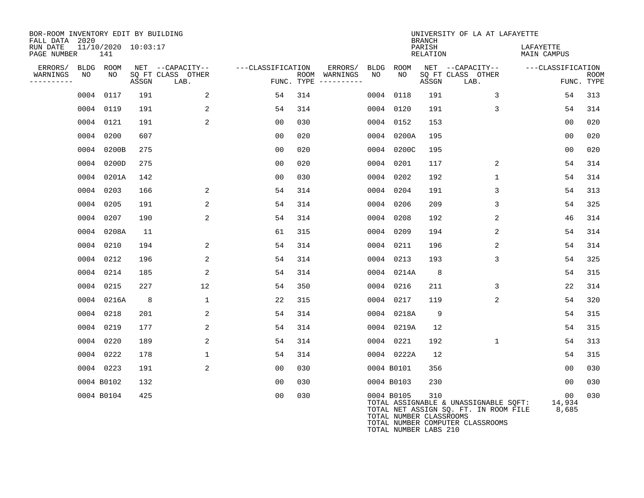| BOR-ROOM INVENTORY EDIT BY BUILDING<br>FALL DATA 2020<br>RUN DATE<br>PAGE NUMBER |    | 11/10/2020 10:03:17<br>141 |       |                                       |                   |                          |             |                                       | <b>BRANCH</b><br>PARISH<br>RELATION | UNIVERSITY OF LA AT LAFAYETTE                                                                                      | LAFAYETTE<br>MAIN CAMPUS |             |
|----------------------------------------------------------------------------------|----|----------------------------|-------|---------------------------------------|-------------------|--------------------------|-------------|---------------------------------------|-------------------------------------|--------------------------------------------------------------------------------------------------------------------|--------------------------|-------------|
| ERRORS/<br>WARNINGS                                                              | NO | BLDG ROOM<br>NO            |       | NET --CAPACITY--<br>SO FT CLASS OTHER | ---CLASSIFICATION | ERRORS/<br>ROOM WARNINGS | BLDG<br>NO. | ROOM<br>NO.                           |                                     | NET --CAPACITY--<br>SQ FT CLASS OTHER                                                                              | ---CLASSIFICATION        | <b>ROOM</b> |
| ----------                                                                       |    |                            | ASSGN | LAB.                                  |                   | FUNC. TYPE $------$      |             |                                       | ASSGN                               | LAB.                                                                                                               |                          | FUNC. TYPE  |
|                                                                                  |    | 0004 0117                  | 191   | 2                                     | 54                | 314                      | 0004        | 0118                                  | 191                                 | 3                                                                                                                  | 54                       | 313         |
|                                                                                  |    | 0004 0119                  | 191   | $\overline{a}$                        | 54                | 314                      | 0004        | 0120                                  | 191                                 | 3                                                                                                                  | 54                       | 314         |
|                                                                                  |    | 0004 0121                  | 191   | 2                                     | 00                | 030                      | 0004        | 0152                                  | 153                                 |                                                                                                                    | 0 <sub>0</sub>           | 020         |
|                                                                                  |    | 0004 0200                  | 607   |                                       | 00                | 020                      | 0004        | 0200A                                 | 195                                 |                                                                                                                    | 0 <sub>0</sub>           | 020         |
|                                                                                  |    | 0004 0200B                 | 275   |                                       | 00                | 020                      | 0004        | 0200C                                 | 195                                 |                                                                                                                    | 0 <sub>0</sub>           | 020         |
|                                                                                  |    | 0004 0200D                 | 275   |                                       | 00                | 020                      | 0004        | 0201                                  | 117                                 | 2                                                                                                                  | 54                       | 314         |
|                                                                                  |    | 0004 0201A                 | 142   |                                       | 0 <sub>0</sub>    | 030                      | 0004        | 0202                                  | 192                                 | $\mathbf 1$                                                                                                        | 54                       | 314         |
|                                                                                  |    | 0004 0203                  | 166   | 2                                     | 54                | 314                      | 0004        | 0204                                  | 191                                 | 3                                                                                                                  | 54                       | 313         |
|                                                                                  |    | 0004 0205                  | 191   | 2                                     | 54                | 314                      | 0004        | 0206                                  | 209                                 | 3                                                                                                                  | 54                       | 325         |
|                                                                                  |    | 0004 0207                  | 190   | $\overline{2}$                        | 54                | 314                      | 0004        | 0208                                  | 192                                 | 2                                                                                                                  | 46                       | 314         |
|                                                                                  |    | 0004 0208A                 | 11    |                                       | 61                | 315                      | 0004        | 0209                                  | 194                                 | 2                                                                                                                  | 54                       | 314         |
|                                                                                  |    | 0004 0210                  | 194   | 2                                     | 54                | 314                      | 0004        | 0211                                  | 196                                 | 2                                                                                                                  | 54                       | 314         |
|                                                                                  |    | 0004 0212                  | 196   | 2                                     | 54                | 314                      | 0004        | 0213                                  | 193                                 | 3                                                                                                                  | 54                       | 325         |
|                                                                                  |    | 0004 0214                  | 185   | $\overline{2}$                        | 54                | 314                      | 0004        | 0214A                                 | 8                                   |                                                                                                                    | 54                       | 315         |
|                                                                                  |    | 0004 0215                  | 227   | 12                                    | 54                | 350                      | 0004        | 0216                                  | 211                                 | 3                                                                                                                  | 22                       | 314         |
|                                                                                  |    | 0004 0216A                 | 8     | 1                                     | 22                | 315                      | 0004        | 0217                                  | 119                                 | 2                                                                                                                  | 54                       | 320         |
|                                                                                  |    | 0004 0218                  | 201   | 2                                     | 54                | 314                      | 0004        | 0218A                                 | 9                                   |                                                                                                                    | 54                       | 315         |
|                                                                                  |    | 0004 0219                  | 177   | 2                                     | 54                | 314                      |             | 0004 0219A                            | 12                                  |                                                                                                                    | 54                       | 315         |
|                                                                                  |    | 0004 0220                  | 189   | 2                                     | 54                | 314                      |             | 0004 0221                             | 192                                 | $\mathbf{1}$                                                                                                       | 54                       | 313         |
|                                                                                  |    | 0004 0222                  | 178   | $\mathbf 1$                           | 54                | 314                      |             | 0004 0222A                            | 12                                  |                                                                                                                    | 54                       | 315         |
|                                                                                  |    | 0004 0223                  | 191   | 2                                     | 00                | 030                      |             | 0004 B0101                            | 356                                 |                                                                                                                    | 0 <sub>0</sub>           | 030         |
|                                                                                  |    | 0004 B0102                 | 132   |                                       | 00                | 030                      |             | 0004 B0103                            | 230                                 |                                                                                                                    | 0 <sub>0</sub>           | 030         |
|                                                                                  |    | 0004 B0104                 | 425   |                                       | 0 <sub>0</sub>    | 030                      |             | 0004 B0105<br>TOTAL NUMBER CLASSROOMS | 310                                 | TOTAL ASSIGNABLE & UNASSIGNABLE SQFT:<br>TOTAL NET ASSIGN SQ. FT. IN ROOM FILE<br>TOTAL NUMBER COMPUTER CLASSROOMS | 00<br>14,934<br>8,685    | 030         |

TOTAL NUMBER LABS 210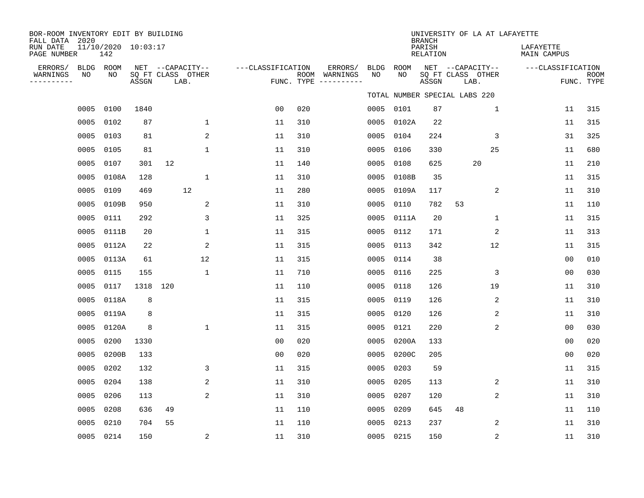| BOR-ROOM INVENTORY EDIT BY BUILDING<br>FALL DATA 2020<br>RUN DATE<br>PAGE NUMBER | 11/10/2020 10:03:17<br>142 |          |                                               |                   |     |                                                 |                   |            | <b>BRANCH</b><br>PARISH<br><b>RELATION</b> | UNIVERSITY OF LA AT LAFAYETTE                 | LAFAYETTE<br>MAIN CAMPUS |                           |
|----------------------------------------------------------------------------------|----------------------------|----------|-----------------------------------------------|-------------------|-----|-------------------------------------------------|-------------------|------------|--------------------------------------------|-----------------------------------------------|--------------------------|---------------------------|
| ERRORS/<br>BLDG<br>WARNINGS<br>NO<br>--------                                    | ROOM<br>NO                 | ASSGN    | NET --CAPACITY--<br>SQ FT CLASS OTHER<br>LAB. | ---CLASSIFICATION |     | ERRORS/<br>ROOM WARNINGS<br>FUNC. TYPE $------$ | <b>BLDG</b><br>NO | ROOM<br>NO | ASSGN                                      | NET --CAPACITY--<br>SQ FT CLASS OTHER<br>LAB. | ---CLASSIFICATION        | <b>ROOM</b><br>FUNC. TYPE |
|                                                                                  |                            |          |                                               |                   |     |                                                 |                   |            |                                            | TOTAL NUMBER SPECIAL LABS 220                 |                          |                           |
| 0005                                                                             | 0100                       | 1840     |                                               | 0 <sub>0</sub>    | 020 |                                                 |                   | 0005 0101  | 87                                         | $\mathbf 1$                                   | 11                       | 315                       |
| 0005                                                                             | 0102                       | 87       | $\mathbf 1$                                   | 11                | 310 |                                                 | 0005              | 0102A      | 22                                         |                                               | 11                       | 315                       |
| 0005                                                                             | 0103                       | 81       | 2                                             | 11                | 310 |                                                 | 0005              | 0104       | 224                                        | 3                                             | 31                       | 325                       |
| 0005                                                                             | 0105                       | 81       | $\mathbf{1}$                                  | 11                | 310 |                                                 | 0005              | 0106       | 330                                        | 25                                            | 11                       | 680                       |
| 0005                                                                             | 0107                       | 301      | 12                                            | 11                | 140 |                                                 | 0005              | 0108       | 625                                        | 20                                            | 11                       | 210                       |
| 0005                                                                             | 0108A                      | 128      | $\mathbf{1}$                                  | 11                | 310 |                                                 | 0005              | 0108B      | 35                                         |                                               | 11                       | 315                       |
| 0005                                                                             | 0109                       | 469      | 12                                            | 11                | 280 |                                                 | 0005              | 0109A      | 117                                        | 2                                             | 11                       | 310                       |
| 0005                                                                             | 0109B                      | 950      | 2                                             | 11                | 310 |                                                 | 0005              | 0110       | 782                                        | 53                                            | 11                       | 110                       |
| 0005                                                                             | 0111                       | 292      | 3                                             | 11                | 325 |                                                 | 0005              | 0111A      | 20                                         | 1                                             | 11                       | 315                       |
| 0005                                                                             | 0111B                      | 20       | 1                                             | 11                | 315 |                                                 | 0005              | 0112       | 171                                        | 2                                             | 11                       | 313                       |
| 0005                                                                             | 0112A                      | 22       | 2                                             | 11                | 315 |                                                 | 0005              | 0113       | 342                                        | 12                                            | 11                       | 315                       |
| 0005                                                                             | 0113A                      | 61       | 12                                            | 11                | 315 |                                                 | 0005              | 0114       | 38                                         |                                               | 0 <sub>0</sub>           | 010                       |
| 0005                                                                             | 0115                       | 155      | $\mathbf{1}$                                  | 11                | 710 |                                                 | 0005              | 0116       | 225                                        | 3                                             | 0 <sub>0</sub>           | 030                       |
| 0005                                                                             | 0117                       | 1318 120 |                                               | 11                | 110 |                                                 | 0005              | 0118       | 126                                        | 19                                            | 11                       | 310                       |
| 0005                                                                             | 0118A                      | 8        |                                               | 11                | 315 |                                                 | 0005              | 0119       | 126                                        | 2                                             | 11                       | 310                       |
| 0005                                                                             | 0119A                      | 8        |                                               | 11                | 315 |                                                 | 0005              | 0120       | 126                                        | 2                                             | 11                       | 310                       |
| 0005                                                                             | 0120A                      | 8        | 1                                             | 11                | 315 |                                                 | 0005              | 0121       | 220                                        | 2                                             | 0 <sub>0</sub>           | 030                       |
| 0005                                                                             | 0200                       | 1330     |                                               | 0 <sub>0</sub>    | 020 |                                                 | 0005              | 0200A      | 133                                        |                                               | 0 <sub>0</sub>           | 020                       |
| 0005                                                                             | 0200B                      | 133      |                                               | 0 <sub>0</sub>    | 020 |                                                 | 0005              | 0200C      | 205                                        |                                               | 00                       | 020                       |
| 0005                                                                             | 0202                       | 132      | 3                                             | 11                | 315 |                                                 | 0005              | 0203       | 59                                         |                                               | 11                       | 315                       |
| 0005                                                                             | 0204                       | 138      | 2                                             | 11                | 310 |                                                 | 0005              | 0205       | 113                                        | 2                                             | 11                       | 310                       |
| 0005                                                                             | 0206                       | 113      | 2                                             | 11                | 310 |                                                 | 0005              | 0207       | 120                                        | 2                                             | 11                       | 310                       |
| 0005                                                                             | 0208                       | 636      | 49                                            | 11                | 110 |                                                 | 0005              | 0209       | 645                                        | 48                                            | 11                       | 110                       |
| 0005                                                                             | 0210                       | 704      | 55                                            | 11                | 110 |                                                 | 0005              | 0213       | 237                                        | 2                                             | 11                       | 310                       |
|                                                                                  | 0005 0214                  | 150      | 2                                             | 11                | 310 |                                                 |                   | 0005 0215  | 150                                        | 2                                             | 11                       | 310                       |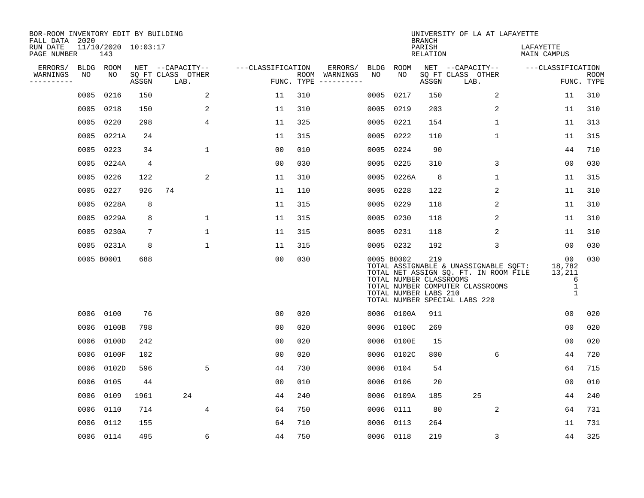| BOR-ROOM INVENTORY EDIT BY BUILDING<br>FALL DATA 2020 |      |                            |                |                           |                   |                    |                         |           |                                                                | <b>BRANCH</b>      | UNIVERSITY OF LA AT LAFAYETTE                                                                                                                       |                                                            |                           |
|-------------------------------------------------------|------|----------------------------|----------------|---------------------------|-------------------|--------------------|-------------------------|-----------|----------------------------------------------------------------|--------------------|-----------------------------------------------------------------------------------------------------------------------------------------------------|------------------------------------------------------------|---------------------------|
| RUN DATE<br>PAGE NUMBER                               |      | 11/10/2020 10:03:17<br>143 |                |                           |                   |                    |                         |           |                                                                | PARISH<br>RELATION |                                                                                                                                                     | LAFAYETTE<br>MAIN CAMPUS                                   |                           |
| ERRORS/                                               |      | BLDG ROOM                  |                | NET --CAPACITY--          | ---CLASSIFICATION |                    | ERRORS/                 | BLDG      | ROOM                                                           |                    | NET --CAPACITY--                                                                                                                                    | ---CLASSIFICATION                                          |                           |
| WARNINGS<br>. <u>.</u> .                              | NO   | NO                         | ASSGN          | SQ FT CLASS OTHER<br>LAB. |                   | ROOM<br>FUNC. TYPE | WARNINGS<br>----------- | NO        | NO                                                             | ASSGN              | SQ FT CLASS OTHER<br>LAB.                                                                                                                           |                                                            | <b>ROOM</b><br>FUNC. TYPE |
|                                                       | 0005 | 0216                       | 150            | 2                         | 11                | 310                |                         | 0005      | 0217                                                           | 150                | 2                                                                                                                                                   | 11                                                         | 310                       |
|                                                       | 0005 | 0218                       | 150            | 2                         | 11                | 310                |                         | 0005      | 0219                                                           | 203                | 2                                                                                                                                                   | 11                                                         | 310                       |
|                                                       | 0005 | 0220                       | 298            | 4                         | 11                | 325                |                         | 0005      | 0221                                                           | 154                | $\mathbf 1$                                                                                                                                         | 11                                                         | 313                       |
|                                                       | 0005 | 0221A                      | 24             |                           | 11                | 315                |                         | 0005      | 0222                                                           | 110                | $\mathbf{1}$                                                                                                                                        | 11                                                         | 315                       |
|                                                       | 0005 | 0223                       | 34             | $\mathbf{1}$              | 00                | 010                |                         | 0005      | 0224                                                           | 90                 |                                                                                                                                                     | 44                                                         | 710                       |
|                                                       | 0005 | 0224A                      | $\overline{4}$ |                           | 0 <sub>0</sub>    | 030                |                         | 0005      | 0225                                                           | 310                | 3                                                                                                                                                   | 0 <sub>0</sub>                                             | 030                       |
|                                                       | 0005 | 0226                       | 122            | 2                         | 11                | 310                |                         | 0005      | 0226A                                                          | 8                  | $\mathbf 1$                                                                                                                                         | 11                                                         | 315                       |
|                                                       | 0005 | 0227                       | 926            | 74                        | 11                | 110                |                         |           | 0005 0228                                                      | 122                | 2                                                                                                                                                   | 11                                                         | 310                       |
|                                                       | 0005 | 0228A                      | 8              |                           | 11                | 315                |                         | 0005      | 0229                                                           | 118                | 2                                                                                                                                                   | 11                                                         | 310                       |
|                                                       | 0005 | 0229A                      | 8              | 1                         | 11                | 315                |                         |           | 0005 0230                                                      | 118                | 2                                                                                                                                                   | 11                                                         | 310                       |
|                                                       |      | 0005 0230A                 | 7              | 1                         | 11                | 315                |                         | 0005 0231 |                                                                | 118                | 2                                                                                                                                                   | 11                                                         | 310                       |
|                                                       |      | 0005 0231A                 | 8              | $\mathbf{1}$              | 11                | 315                |                         |           | 0005 0232                                                      | 192                | 3                                                                                                                                                   | 00                                                         | 030                       |
|                                                       |      | 0005 B0001                 | 688            |                           | 0 <sub>0</sub>    | 030                |                         |           | 0005 B0002<br>TOTAL NUMBER CLASSROOMS<br>TOTAL NUMBER LABS 210 | 219                | TOTAL ASSIGNABLE & UNASSIGNABLE SQFT:<br>TOTAL NET ASSIGN SQ. FT. IN ROOM FILE<br>TOTAL NUMBER COMPUTER CLASSROOMS<br>TOTAL NUMBER SPECIAL LABS 220 | 00<br>18,782<br>13,211<br>6<br>$\mathbf 1$<br>$\mathbf{1}$ | 030                       |
|                                                       |      | 0006 0100                  | 76             |                           | 0 <sub>0</sub>    | 020                |                         |           | 0006 0100A                                                     | 911                |                                                                                                                                                     | 0 <sub>0</sub>                                             | 020                       |
|                                                       | 0006 | 0100B                      | 798            |                           | 0 <sub>0</sub>    | 020                |                         | 0006      | 0100C                                                          | 269                |                                                                                                                                                     | 00                                                         | 020                       |
|                                                       | 0006 | 0100D                      | 242            |                           | 0 <sub>0</sub>    | 020                |                         | 0006      | 0100E                                                          | 15                 |                                                                                                                                                     | 0 <sub>0</sub>                                             | 020                       |
|                                                       | 0006 | 0100F                      | 102            |                           | 0 <sub>0</sub>    | 020                |                         | 0006      | 0102C                                                          | 800                | 6                                                                                                                                                   | 44                                                         | 720                       |
|                                                       | 0006 | 0102D                      | 596            | 5                         | 44                | 730                |                         | 0006      | 0104                                                           | 54                 |                                                                                                                                                     | 64                                                         | 715                       |
|                                                       | 0006 | 0105                       | 44             |                           | 0 <sub>0</sub>    | 010                |                         | 0006      | 0106                                                           | 20                 |                                                                                                                                                     | 0 <sub>0</sub>                                             | 010                       |
|                                                       | 0006 | 0109                       | 1961           | 24                        | 44                | 240                |                         |           | 0006 0109A                                                     | 185                | 25                                                                                                                                                  | 44                                                         | 240                       |
|                                                       | 0006 | 0110                       | 714            | 4                         | 64                | 750                |                         | 0006      | 0111                                                           | 80                 | 2                                                                                                                                                   | 64                                                         | 731                       |
|                                                       | 0006 | 0112                       | 155            |                           | 64                | 710                |                         | 0006      | 0113                                                           | 264                |                                                                                                                                                     | 11                                                         | 731                       |
|                                                       |      | 0006 0114                  | 495            | 6                         | 44                | 750                |                         |           | 0006 0118                                                      | 219                | 3                                                                                                                                                   | 44                                                         | 325                       |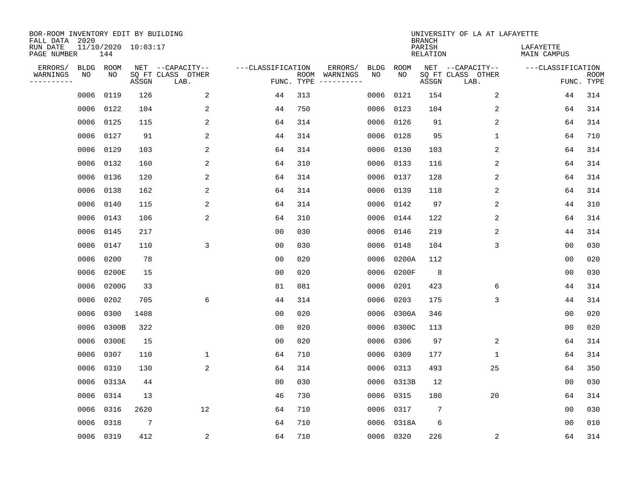| BOR-ROOM INVENTORY EDIT BY BUILDING<br>FALL DATA 2020 |             |       |                     |                           |                   |      |                                 |             |             | <b>BRANCH</b>             | UNIVERSITY OF LA AT LAFAYETTE |                          |                           |
|-------------------------------------------------------|-------------|-------|---------------------|---------------------------|-------------------|------|---------------------------------|-------------|-------------|---------------------------|-------------------------------|--------------------------|---------------------------|
| RUN DATE<br>PAGE NUMBER                               |             | 144   | 11/10/2020 10:03:17 |                           |                   |      |                                 |             |             | PARISH<br><b>RELATION</b> |                               | LAFAYETTE<br>MAIN CAMPUS |                           |
| ERRORS/                                               | <b>BLDG</b> | ROOM  |                     | NET --CAPACITY--          | ---CLASSIFICATION |      | ERRORS/                         | <b>BLDG</b> | <b>ROOM</b> |                           | NET --CAPACITY--              | ---CLASSIFICATION        |                           |
| WARNINGS<br>----------                                | NO          | NO    | ASSGN               | SQ FT CLASS OTHER<br>LAB. |                   | ROOM | WARNINGS<br>FUNC. TYPE $------$ | NO          | NO          | ASSGN                     | SQ FT CLASS OTHER<br>LAB.     |                          | <b>ROOM</b><br>FUNC. TYPE |
|                                                       | 0006        | 0119  | 126                 | 2                         | 44                | 313  |                                 | 0006        | 0121        | 154                       | 2                             | 44                       | 314                       |
|                                                       | 0006        | 0122  | 104                 | 2                         | 44                | 750  |                                 | 0006        | 0123        | 104                       | 2                             | 64                       | 314                       |
|                                                       | 0006        | 0125  | 115                 | 2                         | 64                | 314  |                                 | 0006        | 0126        | 91                        | 2                             | 64                       | 314                       |
|                                                       | 0006        | 0127  | 91                  | 2                         | 44                | 314  |                                 | 0006        | 0128        | 95                        | $\mathbf 1$                   | 64                       | 710                       |
|                                                       | 0006        | 0129  | 103                 | $\overline{c}$            | 64                | 314  |                                 | 0006        | 0130        | 103                       | 2                             | 64                       | 314                       |
|                                                       | 0006        | 0132  | 160                 | 2                         | 64                | 310  |                                 |             | 0006 0133   | 116                       | 2                             | 64                       | 314                       |
|                                                       | 0006        | 0136  | 120                 | 2                         | 64                | 314  |                                 | 0006        | 0137        | 128                       | 2                             | 64                       | 314                       |
|                                                       | 0006        | 0138  | 162                 | 2                         | 64                | 314  |                                 |             | 0006 0139   | 118                       | 2                             | 64                       | 314                       |
|                                                       | 0006        | 0140  | 115                 | 2                         | 64                | 314  |                                 | 0006        | 0142        | 97                        | 2                             | 44                       | 310                       |
|                                                       | 0006        | 0143  | 106                 | 2                         | 64                | 310  |                                 | 0006        | 0144        | 122                       | $\overline{c}$                | 64                       | 314                       |
|                                                       | 0006        | 0145  | 217                 |                           | 0 <sub>0</sub>    | 030  |                                 | 0006        | 0146        | 219                       | 2                             | 44                       | 314                       |
|                                                       | 0006        | 0147  | 110                 | 3                         | 0 <sub>0</sub>    | 030  |                                 | 0006        | 0148        | 104                       | 3                             | 0 <sub>0</sub>           | 030                       |
|                                                       | 0006        | 0200  | 78                  |                           | 0 <sub>0</sub>    | 020  |                                 | 0006        | 0200A       | 112                       |                               | 0 <sub>0</sub>           | 020                       |
|                                                       | 0006        | 0200E | 15                  |                           | 0 <sub>0</sub>    | 020  |                                 | 0006        | 0200F       | 8                         |                               | 0 <sub>0</sub>           | 030                       |
|                                                       | 0006        | 0200G | 33                  |                           | 81                | 081  |                                 | 0006        | 0201        | 423                       | 6                             | 44                       | 314                       |
|                                                       | 0006        | 0202  | 705                 | 6                         | 44                | 314  |                                 | 0006        | 0203        | 175                       | 3                             | 44                       | 314                       |
|                                                       | 0006        | 0300  | 1408                |                           | 0 <sub>0</sub>    | 020  |                                 | 0006        | 0300A       | 346                       |                               | 0 <sub>0</sub>           | 020                       |
|                                                       | 0006        | 0300B | 322                 |                           | 0 <sub>0</sub>    | 020  |                                 | 0006        | 0300C       | 113                       |                               | 0 <sub>0</sub>           | 020                       |
|                                                       | 0006        | 0300E | 15                  |                           | 0 <sub>0</sub>    | 020  |                                 | 0006        | 0306        | 97                        | 2                             | 64                       | 314                       |
|                                                       | 0006        | 0307  | 110                 | $\mathbf 1$               | 64                | 710  |                                 | 0006        | 0309        | 177                       | 1                             | 64                       | 314                       |
|                                                       | 0006        | 0310  | 130                 | 2                         | 64                | 314  |                                 | 0006        | 0313        | 493                       | 25                            | 64                       | 350                       |
|                                                       | 0006        | 0313A | 44                  |                           | 0 <sub>0</sub>    | 030  |                                 | 0006        | 0313B       | 12                        |                               | 00                       | 030                       |
|                                                       | 0006        | 0314  | 13                  |                           | 46                | 730  |                                 | 0006        | 0315        | 180                       | 20                            | 64                       | 314                       |
|                                                       | 0006        | 0316  | 2620                | 12                        | 64                | 710  |                                 | 0006        | 0317        | 7                         |                               | 0 <sub>0</sub>           | 030                       |
|                                                       | 0006        | 0318  | 7                   |                           | 64                | 710  |                                 | 0006        | 0318A       | 6                         |                               | 0 <sub>0</sub>           | 010                       |
|                                                       | 0006 0319   |       | 412                 | 2                         | 64                | 710  |                                 |             | 0006 0320   | 226                       | 2                             | 64                       | 314                       |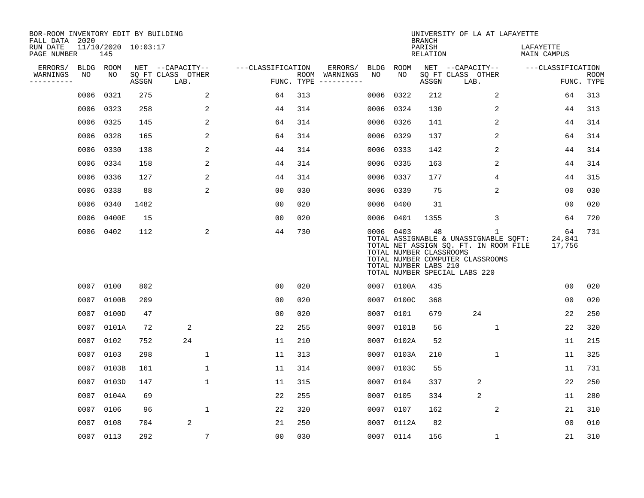| BOR-ROOM INVENTORY EDIT BY BUILDING<br>FALL DATA 2020 |             |           |                     |                           |                   |                    |                         |             |                                                               | <b>BRANCH</b>      | UNIVERSITY OF LA AT LAFAYETTE                                                                                                                            |                          |             |
|-------------------------------------------------------|-------------|-----------|---------------------|---------------------------|-------------------|--------------------|-------------------------|-------------|---------------------------------------------------------------|--------------------|----------------------------------------------------------------------------------------------------------------------------------------------------------|--------------------------|-------------|
| RUN DATE<br>PAGE NUMBER                               |             | 145       | 11/10/2020 10:03:17 |                           |                   |                    |                         |             |                                                               | PARISH<br>RELATION |                                                                                                                                                          | LAFAYETTE<br>MAIN CAMPUS |             |
| ERRORS/                                               | <b>BLDG</b> | ROOM      |                     | NET --CAPACITY--          | ---CLASSIFICATION |                    | ERRORS/                 | <b>BLDG</b> | ROOM                                                          |                    | NET --CAPACITY--                                                                                                                                         | ---CLASSIFICATION        |             |
| WARNINGS<br>. _ _ _ _ _ _ _ _ _                       | NO          | NO.       | ASSGN               | SQ FT CLASS OTHER<br>LAB. |                   | ROOM<br>FUNC. TYPE | WARNINGS<br>----------- | NO          | NO.                                                           | ASSGN              | SQ FT CLASS OTHER<br>LAB.                                                                                                                                | FUNC. TYPE               | <b>ROOM</b> |
|                                                       | 0006        | 0321      | 275                 | 2                         | 64                | 313                |                         | 0006        | 0322                                                          | 212                | 2                                                                                                                                                        | 64                       | 313         |
|                                                       | 0006        | 0323      | 258                 | 2                         | 44                | 314                |                         | 0006        | 0324                                                          | 130                | 2                                                                                                                                                        | 44                       | 313         |
|                                                       | 0006        | 0325      | 145                 | 2                         | 64                | 314                |                         | 0006        | 0326                                                          | 141                | 2                                                                                                                                                        | 44                       | 314         |
|                                                       | 0006        | 0328      | 165                 | 2                         | 64                | 314                |                         | 0006        | 0329                                                          | 137                | 2                                                                                                                                                        | 64                       | 314         |
|                                                       | 0006        | 0330      | 138                 | 2                         | 44                | 314                |                         |             | 0006 0333                                                     | 142                | 2                                                                                                                                                        | 44                       | 314         |
|                                                       | 0006        | 0334      | 158                 | $\overline{2}$            | 44                | 314                |                         |             | 0006 0335                                                     | 163                | 2                                                                                                                                                        | 44                       | 314         |
|                                                       | 0006        | 0336      | 127                 | 2                         | 44                | 314                |                         | 0006        | 0337                                                          | 177                | 4                                                                                                                                                        | 44                       | 315         |
|                                                       | 0006        | 0338      | 88                  | 2                         | 0 <sub>0</sub>    | 030                |                         | 0006        | 0339                                                          | 75                 | $\overline{2}$                                                                                                                                           | 0 <sub>0</sub>           | 030         |
|                                                       | 0006        | 0340      | 1482                |                           | 0 <sub>0</sub>    | 020                |                         | 0006        | 0400                                                          | 31                 |                                                                                                                                                          | 0 <sub>0</sub>           | 020         |
|                                                       | 0006        | 0400E     | 15                  |                           | 0 <sub>0</sub>    | 020                |                         | 0006        | 0401                                                          | 1355               | 3                                                                                                                                                        | 64                       | 720         |
|                                                       |             | 0006 0402 | 112                 | 2                         | 44                | 730                |                         |             | 0006 0403<br>TOTAL NUMBER CLASSROOMS<br>TOTAL NUMBER LABS 210 | 48                 | 1<br>TOTAL ASSIGNABLE & UNASSIGNABLE SQFT:<br>TOTAL NET ASSIGN SQ. FT. IN ROOM FILE<br>TOTAL NUMBER COMPUTER CLASSROOMS<br>TOTAL NUMBER SPECIAL LABS 220 | 64<br>24,841<br>17,756   | 731         |
|                                                       | 0007        | 0100      | 802                 |                           | 0 <sub>0</sub>    | 020                |                         |             | 0007 0100A                                                    | 435                |                                                                                                                                                          | 0 <sub>0</sub>           | 020         |
|                                                       | 0007        | 0100B     | 209                 |                           | 0 <sub>0</sub>    | 020                |                         | 0007        | 0100C                                                         | 368                |                                                                                                                                                          | 00                       | 020         |
|                                                       | 0007        | 0100D     | 47                  |                           | 0 <sub>0</sub>    | 020                |                         | 0007        | 0101                                                          | 679                | 24                                                                                                                                                       | 22                       | 250         |
|                                                       | 0007        | 0101A     | 72                  | 2                         | 22                | 255                |                         | 0007        | 0101B                                                         | 56                 | $\mathbf{1}$                                                                                                                                             | 22                       | 320         |
|                                                       | 0007        | 0102      | 752                 | 24                        | 11                | 210                |                         | 0007        | 0102A                                                         | 52                 |                                                                                                                                                          | 11                       | 215         |
|                                                       | 0007        | 0103      | 298                 | $\mathbf 1$               | 11                | 313                |                         | 0007        | 0103A                                                         | 210                | $\mathbf 1$                                                                                                                                              | 11                       | 325         |
|                                                       | 0007        | 0103B     | 161                 | 1                         | 11                | 314                |                         | 0007        | 0103C                                                         | 55                 |                                                                                                                                                          | 11                       | 731         |
|                                                       | 0007        | 0103D     | 147                 | $\mathbf{1}$              | 11                | 315                |                         | 0007        | 0104                                                          | 337                | 2                                                                                                                                                        | 22                       | 250         |
|                                                       | 0007        | 0104A     | 69                  |                           | 22                | 255                |                         | 0007        | 0105                                                          | 334                | $\overline{2}$                                                                                                                                           | 11                       | 280         |
|                                                       | 0007        | 0106      | 96                  | $\mathbf 1$               | 22                | 320                |                         | 0007        | 0107                                                          | 162                | 2                                                                                                                                                        | 21                       | 310         |
|                                                       | 0007        | 0108      | 704                 | 2                         | 21                | 250                |                         |             | 0007 0112A                                                    | 82                 |                                                                                                                                                          | 0 <sub>0</sub>           | 010         |
|                                                       |             | 0007 0113 | 292                 | 7                         | 0 <sub>0</sub>    | 030                |                         |             | 0007 0114                                                     | 156                | $\mathbf 1$                                                                                                                                              | 21                       | 310         |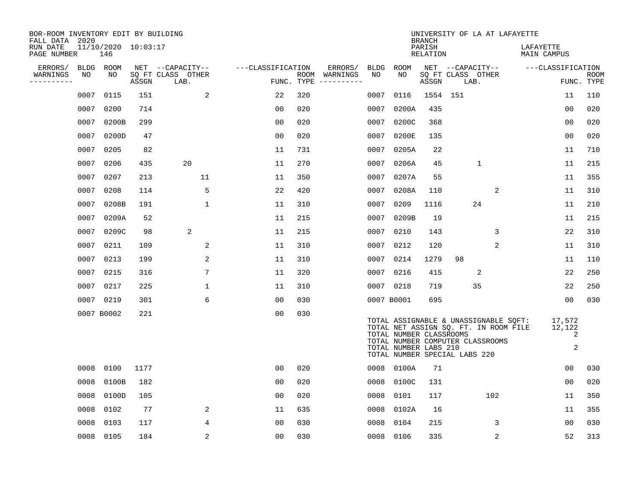| BOR-ROOM INVENTORY EDIT BY BUILDING<br>FALL DATA 2020 |      |                            |       |                           |                   |            |                              |      |                                                                                   | <b>BRANCH</b>      |          | UNIVERSITY OF LA AT LAFAYETTE                                                                                      |                          |                            |             |
|-------------------------------------------------------|------|----------------------------|-------|---------------------------|-------------------|------------|------------------------------|------|-----------------------------------------------------------------------------------|--------------------|----------|--------------------------------------------------------------------------------------------------------------------|--------------------------|----------------------------|-------------|
| RUN DATE<br>PAGE NUMBER                               |      | 11/10/2020 10:03:17<br>146 |       |                           |                   |            |                              |      |                                                                                   | PARISH<br>RELATION |          |                                                                                                                    | LAFAYETTE<br>MAIN CAMPUS |                            |             |
| ERRORS/                                               | BLDG | ROOM                       |       | NET --CAPACITY--          | ---CLASSIFICATION |            | ERRORS/                      | BLDG | ROOM                                                                              |                    |          | NET --CAPACITY--                                                                                                   | ---CLASSIFICATION        |                            |             |
| WARNINGS<br>----------                                | NO   | NO                         | ASSGN | SQ FT CLASS OTHER<br>LAB. |                   | FUNC. TYPE | ROOM WARNINGS<br>----------- | NO   | NO.                                                                               | ASSGN              | LAB.     | SQ FT CLASS OTHER                                                                                                  |                          | FUNC. TYPE                 | <b>ROOM</b> |
|                                                       | 0007 | 0115                       | 151   | 2                         | 22                | 320        |                              | 0007 | 0116                                                                              |                    | 1554 151 |                                                                                                                    |                          | 11                         | 110         |
|                                                       | 0007 | 0200                       | 714   |                           | 0 <sub>0</sub>    | 020        |                              | 0007 | 0200A                                                                             | 435                |          |                                                                                                                    |                          | 00                         | 020         |
|                                                       | 0007 | 0200B                      | 299   |                           | 0 <sub>0</sub>    | 020        |                              | 0007 | 0200C                                                                             | 368                |          |                                                                                                                    |                          | 00                         | 020         |
|                                                       | 0007 | 0200D                      | 47    |                           | 0 <sub>0</sub>    | 020        |                              | 0007 | 0200E                                                                             | 135                |          |                                                                                                                    |                          | 0 <sub>0</sub>             | 020         |
|                                                       | 0007 | 0205                       | 82    |                           | 11                | 731        |                              | 0007 | 0205A                                                                             | 22                 |          |                                                                                                                    |                          | 11                         | 710         |
|                                                       | 0007 | 0206                       | 435   | 20                        | 11                | 270        |                              | 0007 | 0206A                                                                             | 45                 |          | $\mathbf{1}$                                                                                                       |                          | 11                         | 215         |
|                                                       | 0007 | 0207                       | 213   | 11                        | 11                | 350        |                              | 0007 | 0207A                                                                             | 55                 |          |                                                                                                                    |                          | 11                         | 355         |
|                                                       | 0007 | 0208                       | 114   | 5                         | 22                | 420        |                              | 0007 | 0208A                                                                             | 110                |          | 2                                                                                                                  |                          | 11                         | 310         |
|                                                       | 0007 | 0208B                      | 191   | $\mathbf{1}$              | 11                | 310        |                              | 0007 | 0209                                                                              | 1116               |          | 24                                                                                                                 |                          | 11                         | 210         |
|                                                       | 0007 | 0209A                      | 52    |                           | 11                | 215        |                              | 0007 | 0209B                                                                             | 19                 |          |                                                                                                                    |                          | 11                         | 215         |
|                                                       | 0007 | 0209C                      | 98    | 2                         | 11                | 215        |                              | 0007 | 0210                                                                              | 143                |          | 3                                                                                                                  |                          | 22                         | 310         |
|                                                       | 0007 | 0211                       | 109   | 2                         | 11                | 310        |                              | 0007 | 0212                                                                              | 120                |          | 2                                                                                                                  |                          | 11                         | 310         |
|                                                       | 0007 | 0213                       | 199   | 2                         | 11                | 310        |                              | 0007 | 0214                                                                              | 1279               | 98       |                                                                                                                    |                          | 11                         | 110         |
|                                                       | 0007 | 0215                       | 316   | 7                         | 11                | 320        |                              | 0007 | 0216                                                                              | 415                |          | 2                                                                                                                  |                          | 22                         | 250         |
|                                                       | 0007 | 0217                       | 225   | $\mathbf{1}$              | 11                | 310        |                              |      | 0007 0218                                                                         | 719                |          | 35                                                                                                                 |                          | 22                         | 250         |
|                                                       | 0007 | 0219                       | 301   | 6                         | 0 <sub>0</sub>    | 030        |                              |      | 0007 B0001                                                                        | 695                |          |                                                                                                                    |                          | 0 <sub>0</sub>             | 030         |
|                                                       |      | 0007 B0002                 | 221   |                           | 0 <sub>0</sub>    | 030        |                              |      | TOTAL NUMBER CLASSROOMS<br>TOTAL NUMBER LABS 210<br>TOTAL NUMBER SPECIAL LABS 220 |                    |          | TOTAL ASSIGNABLE & UNASSIGNABLE SQFT:<br>TOTAL NET ASSIGN SO. FT. IN ROOM FILE<br>TOTAL NUMBER COMPUTER CLASSROOMS |                          | 17,572<br>12,122<br>2<br>2 |             |
|                                                       | 0008 | 0100                       | 1177  |                           | 0 <sub>0</sub>    | 020        |                              | 0008 | 0100A                                                                             | 71                 |          |                                                                                                                    |                          | 0 <sub>0</sub>             | 030         |
|                                                       | 0008 | 0100B                      | 182   |                           | 0 <sub>0</sub>    | 020        |                              | 0008 | 0100C                                                                             | 131                |          |                                                                                                                    |                          | 0 <sub>0</sub>             | 020         |
|                                                       | 0008 | 0100D                      | 105   |                           | 0 <sub>0</sub>    | 020        |                              | 0008 | 0101                                                                              | 117                |          | 102                                                                                                                |                          | 11                         | 350         |
|                                                       | 0008 | 0102                       | 77    | 2                         | 11                | 635        |                              | 0008 | 0102A                                                                             | 16                 |          |                                                                                                                    |                          | 11                         | 355         |
|                                                       | 0008 | 0103                       | 117   | 4                         | 0 <sub>0</sub>    | 030        |                              | 0008 | 0104                                                                              | 215                |          | 3                                                                                                                  |                          | 00                         | 030         |
|                                                       | 0008 | 0105                       | 184   | 2                         | 00                | 030        |                              | 0008 | 0106                                                                              | 335                |          | 2                                                                                                                  |                          | 52                         | 313         |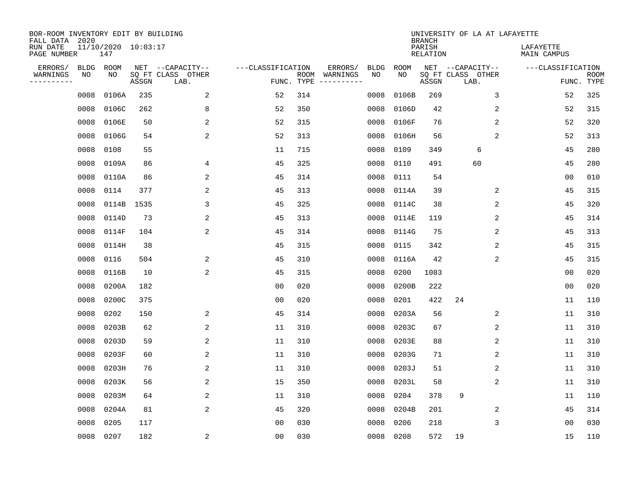| BOR-ROOM INVENTORY EDIT BY BUILDING<br>FALL DATA 2020 |      |                            |       |                           |                   |      |          |             |             | <b>BRANCH</b>             | UNIVERSITY OF LA AT LAFAYETTE |                          |                           |
|-------------------------------------------------------|------|----------------------------|-------|---------------------------|-------------------|------|----------|-------------|-------------|---------------------------|-------------------------------|--------------------------|---------------------------|
| RUN DATE<br>PAGE NUMBER                               |      | 11/10/2020 10:03:17<br>147 |       |                           |                   |      |          |             |             | PARISH<br><b>RELATION</b> |                               | LAFAYETTE<br>MAIN CAMPUS |                           |
| ERRORS/                                               | BLDG | ROOM                       |       | NET --CAPACITY--          | ---CLASSIFICATION |      | ERRORS/  | <b>BLDG</b> | <b>ROOM</b> |                           | NET --CAPACITY--              | ---CLASSIFICATION        |                           |
| WARNINGS<br>----------                                | ΝO   | NO                         | ASSGN | SQ FT CLASS OTHER<br>LAB. | FUNC. TYPE        | ROOM | WARNINGS | NO          | NO          | ASSGN                     | SQ FT CLASS OTHER<br>LAB.     |                          | <b>ROOM</b><br>FUNC. TYPE |
|                                                       | 0008 | 0106A                      | 235   | 2                         | 52                | 314  |          | 0008        | 0106B       | 269                       | 3                             | 52                       | 325                       |
|                                                       | 0008 | 0106C                      | 262   | 8                         | 52                | 350  |          | 0008        | 0106D       | 42                        | 2                             | 52                       | 315                       |
|                                                       | 0008 | 0106E                      | 50    | 2                         | 52                | 315  |          | 0008        | 0106F       | 76                        | $\overline{c}$                | 52                       | 320                       |
|                                                       | 0008 | 0106G                      | 54    | 2                         | 52                | 313  |          | 0008        | 0106H       | 56                        | 2                             | 52                       | 313                       |
|                                                       | 0008 | 0108                       | 55    |                           | 11                | 715  |          | 0008        | 0109        | 349                       | 6                             | 45                       | 280                       |
|                                                       | 0008 | 0109A                      | 86    | 4                         | 45                | 325  |          | 0008        | 0110        | 491                       | 60                            | 45                       | 280                       |
|                                                       | 0008 | 0110A                      | 86    | 2                         | 45                | 314  |          | 0008        | 0111        | 54                        |                               | 0 <sub>0</sub>           | 010                       |
|                                                       | 0008 | 0114                       | 377   | $\overline{a}$            | 45                | 313  |          | 0008        | 0114A       | 39                        | 2                             | 45                       | 315                       |
|                                                       | 0008 | 0114B                      | 1535  | 3                         | 45                | 325  |          | 0008        | 0114C       | 38                        | 2                             | 45                       | 320                       |
|                                                       | 0008 | 0114D                      | 73    | 2                         | 45                | 313  |          | 0008        | 0114E       | 119                       | 2                             | 45                       | 314                       |
|                                                       | 0008 | 0114F                      | 104   | 2                         | 45                | 314  |          | 0008        | 0114G       | 75                        | 2                             | 45                       | 313                       |
|                                                       | 0008 | 0114H                      | 38    |                           | 45                | 315  |          | 0008        | 0115        | 342                       | 2                             | 45                       | 315                       |
|                                                       | 0008 | 0116                       | 504   | 2                         | 45                | 310  |          | 0008        | 0116A       | 42                        | 2                             | 45                       | 315                       |
|                                                       | 0008 | 0116B                      | 10    | $\sqrt{2}$                | 45                | 315  |          | 0008        | 0200        | 1083                      |                               | 0 <sub>0</sub>           | 020                       |
|                                                       | 0008 | 0200A                      | 182   |                           | 0 <sub>0</sub>    | 020  |          | 0008        | 0200B       | 222                       |                               | 0 <sub>0</sub>           | 020                       |
|                                                       | 0008 | 0200C                      | 375   |                           | 0 <sub>0</sub>    | 020  |          | 0008        | 0201        | 422                       | 24                            | 11                       | 110                       |
|                                                       | 0008 | 0202                       | 150   | 2                         | 45                | 314  |          | 0008        | 0203A       | 56                        | 2                             | 11                       | 310                       |
|                                                       | 0008 | 0203B                      | 62    | 2                         | 11                | 310  |          | 0008        | 0203C       | 67                        | 2                             | 11                       | 310                       |
|                                                       | 0008 | 0203D                      | 59    | 2                         | 11                | 310  |          | 0008        | 0203E       | 88                        | 2                             | 11                       | 310                       |
|                                                       | 0008 | 0203F                      | 60    | 2                         | 11                | 310  |          | 0008        | 0203G       | 71                        | 2                             | 11                       | 310                       |
|                                                       | 0008 | 0203H                      | 76    | 2                         | 11                | 310  |          | 0008        | 0203J       | 51                        | 2                             | 11                       | 310                       |
|                                                       | 0008 | 0203K                      | 56    | 2                         | 15                | 350  |          | 0008        | 0203L       | 58                        | 2                             | 11                       | 310                       |
|                                                       | 0008 | 0203M                      | 64    | 2                         | 11                | 310  |          | 0008        | 0204        | 378                       | 9                             | 11                       | 110                       |
|                                                       | 0008 | 0204A                      | 81    | $\overline{2}$            | 45                | 320  |          | 0008        | 0204B       | 201                       | 2                             | 45                       | 314                       |
|                                                       | 0008 | 0205                       | 117   |                           | 0 <sub>0</sub>    | 030  |          | 0008        | 0206        | 218                       | 3                             | 0 <sub>0</sub>           | 030                       |
|                                                       | 0008 | 0207                       | 182   | $\sqrt{2}$                | 0 <sub>0</sub>    | 030  |          | 0008        | 0208        | 572                       | 19                            | 15                       | 110                       |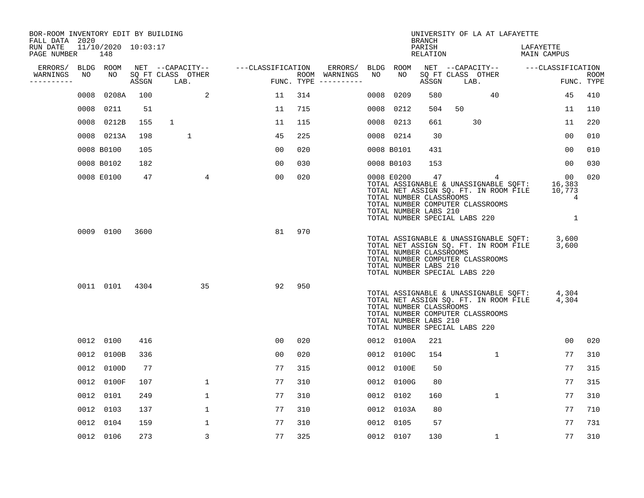| BOR-ROOM INVENTORY EDIT BY BUILDING<br>FALL DATA 2020 |      |                            |       |                           |                |                   |     |                                        |      |                                                                | <b>BRANCH</b>      |                               | UNIVERSITY OF LA AT LAFAYETTE                                                                                           |                          |                                  |                    |
|-------------------------------------------------------|------|----------------------------|-------|---------------------------|----------------|-------------------|-----|----------------------------------------|------|----------------------------------------------------------------|--------------------|-------------------------------|-------------------------------------------------------------------------------------------------------------------------|--------------------------|----------------------------------|--------------------|
| RUN DATE<br>PAGE NUMBER                               |      | 11/10/2020 10:03:17<br>148 |       |                           |                |                   |     |                                        |      |                                                                | PARISH<br>RELATION |                               |                                                                                                                         | LAFAYETTE<br>MAIN CAMPUS |                                  |                    |
| ERRORS/                                               |      | BLDG ROOM                  |       | NET --CAPACITY--          |                | ---CLASSIFICATION |     | ERRORS/                                |      | BLDG ROOM                                                      |                    |                               | NET --CAPACITY--                                                                                                        | ---CLASSIFICATION        |                                  |                    |
| WARNINGS<br>----------                                | NO   | NO                         | ASSGN | SQ FT CLASS OTHER<br>LAB. |                |                   |     | ROOM WARNINGS<br>FUNC. TYPE ---------- | NO   | NO                                                             | ASSGN              | LAB.                          | SQ FT CLASS OTHER                                                                                                       |                          |                                  | ROOM<br>FUNC. TYPE |
|                                                       | 0008 | 0208A                      | 100   |                           | 2              | 11                | 314 |                                        | 0008 | 0209                                                           | 580                |                               | 40                                                                                                                      |                          | 45                               | 410                |
|                                                       | 0008 | 0211                       | 51    |                           |                | 11                | 715 |                                        | 0008 | 0212                                                           | 504                | 50                            |                                                                                                                         |                          | 11                               | 110                |
|                                                       |      | 0008 0212B                 | 155   | $\mathbf{1}$              |                | 11                | 115 |                                        | 0008 | 0213                                                           | 661                |                               | 30                                                                                                                      |                          | 11                               | 220                |
|                                                       |      | 0008 0213A                 | 198   | 1                         |                | 45                | 225 |                                        |      | 0008 0214                                                      | 30                 |                               |                                                                                                                         |                          | 0 <sub>0</sub>                   | 010                |
|                                                       |      | 0008 B0100                 | 105   |                           |                | 00                | 020 |                                        |      | 0008 B0101                                                     | 431                |                               |                                                                                                                         |                          | 00                               | 010                |
|                                                       |      | 0008 B0102                 | 182   |                           |                | 00                | 030 |                                        |      | 0008 B0103                                                     | 153                |                               |                                                                                                                         |                          | 00                               | 030                |
|                                                       |      | 0008 E0100                 | 47    |                           | $\overline{4}$ | 00                | 020 |                                        |      | 0008 E0200<br>TOTAL NUMBER CLASSROOMS<br>TOTAL NUMBER LABS 210 | 47                 | TOTAL NUMBER SPECIAL LABS 220 | 4<br>TOTAL ASSIGNABLE & UNASSIGNABLE SQFT:<br>TOTAL NET ASSIGN SQ. FT. IN ROOM FILE<br>TOTAL NUMBER COMPUTER CLASSROOMS |                          | 00<br>16,383<br>10,773<br>4<br>1 | 020                |
|                                                       |      | 0009 0100                  | 3600  |                           |                | 81                | 970 |                                        |      | TOTAL NUMBER CLASSROOMS<br>TOTAL NUMBER LABS 210               |                    | TOTAL NUMBER SPECIAL LABS 220 | TOTAL ASSIGNABLE & UNASSIGNABLE SQFT:<br>TOTAL NET ASSIGN SQ. FT. IN ROOM FILE<br>TOTAL NUMBER COMPUTER CLASSROOMS      |                          | 3,600<br>3,600                   |                    |
|                                                       |      | 0011 0101                  | 4304  |                           | 35             | 92                | 950 |                                        |      | TOTAL NUMBER CLASSROOMS<br>TOTAL NUMBER LABS 210               |                    | TOTAL NUMBER SPECIAL LABS 220 | TOTAL ASSIGNABLE & UNASSIGNABLE SQFT:<br>TOTAL NET ASSIGN SQ. FT. IN ROOM FILE<br>TOTAL NUMBER COMPUTER CLASSROOMS      |                          | 4,304<br>4,304                   |                    |
|                                                       |      | 0012 0100                  | 416   |                           |                | 0 <sub>0</sub>    | 020 |                                        |      | 0012 0100A                                                     | 221                |                               |                                                                                                                         |                          | 0 <sub>0</sub>                   | 020                |
|                                                       |      | 0012 0100B                 | 336   |                           |                | 00                | 020 |                                        | 0012 | 0100C                                                          | 154                |                               | 1                                                                                                                       |                          | 77                               | 310                |
|                                                       |      | 0012 0100D                 | 77    |                           |                | 77                | 315 |                                        |      | 0012 0100E                                                     | 50                 |                               |                                                                                                                         |                          | 77                               | 315                |
|                                                       |      | 0012 0100F                 | 107   |                           | $\mathbf{1}$   | 77                | 310 |                                        | 0012 | 0100G                                                          | 80                 |                               |                                                                                                                         |                          | 77                               | 315                |
|                                                       |      | 0012 0101                  | 249   |                           | 1              | 77                | 310 |                                        | 0012 | 0102                                                           | 160                |                               | 1                                                                                                                       |                          | 77                               | 310                |
|                                                       |      | 0012 0103                  | 137   |                           | 1              | 77                | 310 |                                        |      | 0012 0103A                                                     | 80                 |                               |                                                                                                                         |                          | 77                               | 710                |
|                                                       |      | 0012 0104                  | 159   |                           | $\mathbf{1}$   | 77                | 310 |                                        |      | 0012 0105                                                      | 57                 |                               |                                                                                                                         |                          | 77                               | 731                |
|                                                       |      | 0012 0106                  | 273   |                           | 3              | 77                | 325 |                                        |      | 0012 0107                                                      | 130                |                               | $\mathbf 1$                                                                                                             |                          | 77                               | 310                |
|                                                       |      |                            |       |                           |                |                   |     |                                        |      |                                                                |                    |                               |                                                                                                                         |                          |                                  |                    |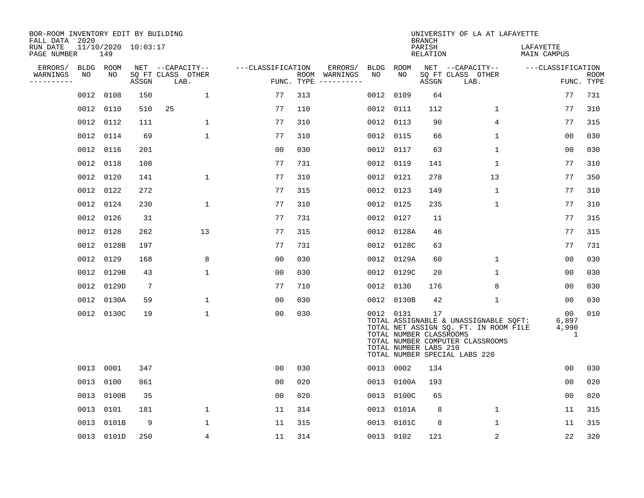| BOR-ROOM INVENTORY EDIT BY BUILDING<br>FALL DATA 2020 |           |            |                     |                           |                   |     |                                      |           |            | <b>BRANCH</b>                                          | UNIVERSITY OF LA AT LAFAYETTE                                                                                                                       |                           |                           |
|-------------------------------------------------------|-----------|------------|---------------------|---------------------------|-------------------|-----|--------------------------------------|-----------|------------|--------------------------------------------------------|-----------------------------------------------------------------------------------------------------------------------------------------------------|---------------------------|---------------------------|
| RUN DATE<br>PAGE NUMBER                               |           | 149        | 11/10/2020 10:03:17 |                           |                   |     |                                      |           |            | PARISH<br>RELATION                                     |                                                                                                                                                     | LAFAYETTE<br>MAIN CAMPUS  |                           |
| ERRORS/                                               | BLDG ROOM |            |                     | NET --CAPACITY--          | ---CLASSIFICATION |     | ERRORS/                              | BLDG ROOM |            |                                                        | NET --CAPACITY--                                                                                                                                    | ---CLASSIFICATION         |                           |
| WARNINGS<br>----------                                | NO        | NO         | ASSGN               | SQ FT CLASS OTHER<br>LAB. |                   |     | ROOM WARNINGS<br>FUNC. TYPE $------$ | NO        | NO         | ASSGN                                                  | SQ FT CLASS OTHER<br>LAB.                                                                                                                           |                           | <b>ROOM</b><br>FUNC. TYPE |
|                                                       | 0012      | 0108       | 150                 | $\mathbf{1}$              | 77                | 313 |                                      | 0012      | 0109       | 64                                                     |                                                                                                                                                     | 77                        | 731                       |
|                                                       | 0012 0110 |            | 510                 | 25                        | 77                | 110 |                                      | 0012 0111 |            | 112                                                    | 1                                                                                                                                                   | 77                        | 310                       |
|                                                       | 0012 0112 |            | 111                 | $\mathbf 1$               | 77                | 310 |                                      | 0012 0113 |            | 90                                                     | 4                                                                                                                                                   | 77                        | 315                       |
|                                                       | 0012 0114 |            | 69                  | $\mathbf 1$               | 77                | 310 |                                      | 0012 0115 |            | 66                                                     | $\mathbf 1$                                                                                                                                         | 00                        | 030                       |
|                                                       | 0012 0116 |            | 201                 |                           | 00                | 030 |                                      | 0012 0117 |            | 63                                                     | $\mathbf 1$                                                                                                                                         | 00                        | 030                       |
|                                                       | 0012 0118 |            | 108                 |                           | 77                | 731 |                                      | 0012 0119 |            | 141                                                    | 1                                                                                                                                                   | 77                        | 310                       |
|                                                       | 0012 0120 |            | 141                 | $\mathbf 1$               | 77                | 310 |                                      | 0012 0121 |            | 278                                                    | 13                                                                                                                                                  | 77                        | 350                       |
|                                                       | 0012 0122 |            | 272                 |                           | 77                | 315 |                                      | 0012 0123 |            | 149                                                    | $\mathbf{1}$                                                                                                                                        | 77                        | 310                       |
|                                                       | 0012      | 0124       | 230                 | $\mathbf 1$               | 77                | 310 |                                      | 0012 0125 |            | 235                                                    | $\mathbf 1$                                                                                                                                         | 77                        | 310                       |
|                                                       | 0012 0126 |            | 31                  |                           | 77                | 731 |                                      | 0012 0127 |            | 11                                                     |                                                                                                                                                     | 77                        | 315                       |
|                                                       | 0012 0128 |            | 262                 | 13                        | 77                | 315 |                                      |           | 0012 0128A | 46                                                     |                                                                                                                                                     | 77                        | 315                       |
|                                                       |           | 0012 0128B | 197                 |                           | 77                | 731 |                                      |           | 0012 0128C | 63                                                     |                                                                                                                                                     | 77                        | 731                       |
|                                                       | 0012 0129 |            | 168                 | 8                         | 0 <sub>0</sub>    | 030 |                                      |           | 0012 0129A | 60                                                     | $\mathbf 1$                                                                                                                                         | 0 <sub>0</sub>            | 030                       |
|                                                       |           | 0012 0129B | 43                  | 1                         | 0 <sub>0</sub>    | 030 |                                      |           | 0012 0129C | 20                                                     | 1                                                                                                                                                   | 0 <sub>0</sub>            | 030                       |
|                                                       |           | 0012 0129D | 7                   |                           | 77                | 710 |                                      |           | 0012 0130  | 176                                                    | 8                                                                                                                                                   | 00                        | 030                       |
|                                                       |           | 0012 0130A | 59                  | 1                         | 00                | 030 |                                      |           | 0012 0130B | 42                                                     | 1                                                                                                                                                   | 00                        | 030                       |
|                                                       |           | 0012 0130C | 19                  | $\mathbf 1$               | 0 <sub>0</sub>    | 030 |                                      | 0012 0131 |            | 17<br>TOTAL NUMBER CLASSROOMS<br>TOTAL NUMBER LABS 210 | TOTAL ASSIGNABLE & UNASSIGNABLE SQFT:<br>TOTAL NET ASSIGN SQ. FT. IN ROOM FILE<br>TOTAL NUMBER COMPUTER CLASSROOMS<br>TOTAL NUMBER SPECIAL LABS 220 | 00<br>6,897<br>4,990<br>1 | 010                       |
|                                                       | 0013 0001 |            | 347                 |                           | 0 <sub>0</sub>    | 030 |                                      |           | 0013 0002  | 134                                                    |                                                                                                                                                     | 0 <sub>0</sub>            | 030                       |
|                                                       | 0013 0100 |            | 861                 |                           | 0 <sub>0</sub>    | 020 |                                      |           | 0013 0100A | 193                                                    |                                                                                                                                                     | 00                        | 020                       |
|                                                       |           | 0013 0100B | 35                  |                           | 00                | 020 |                                      |           | 0013 0100C | 65                                                     |                                                                                                                                                     | 0 <sub>0</sub>            | 020                       |
|                                                       | 0013 0101 |            | 181                 | 1                         | 11                | 314 |                                      |           | 0013 0101A | 8                                                      | $\mathbf 1$                                                                                                                                         | 11                        | 315                       |
|                                                       |           | 0013 0101B | 9                   | 1                         | 11                | 315 |                                      |           | 0013 0101C | 8                                                      | $\mathbf 1$                                                                                                                                         | 11                        | 315                       |
|                                                       |           | 0013 0101D | 250                 | 4                         | 11                | 314 |                                      | 0013 0102 |            | 121                                                    | 2                                                                                                                                                   | 22                        | 320                       |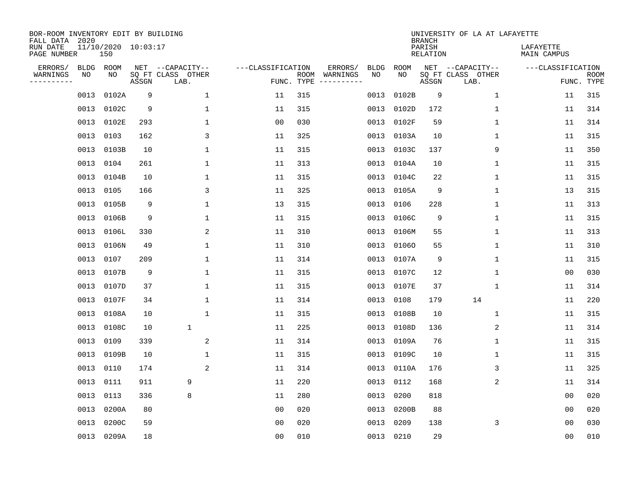| BOR-ROOM INVENTORY EDIT BY BUILDING<br>FALL DATA 2020<br>RUN DATE |      | $11/10/2020$ $10:03:17$ |       |                                               |                   |            |                                               |            | <b>BRANCH</b><br>PARISH | UNIVERSITY OF LA AT LAFAYETTE                 | LAFAYETTE         |                           |
|-------------------------------------------------------------------|------|-------------------------|-------|-----------------------------------------------|-------------------|------------|-----------------------------------------------|------------|-------------------------|-----------------------------------------------|-------------------|---------------------------|
| PAGE NUMBER                                                       |      | 150                     |       |                                               |                   |            |                                               |            | RELATION                |                                               | MAIN CAMPUS       |                           |
| ERRORS/<br>WARNINGS<br>---------                                  | NO   | BLDG ROOM<br>NO         | ASSGN | NET --CAPACITY--<br>SQ FT CLASS OTHER<br>LAB. | ---CLASSIFICATION | FUNC. TYPE | ERRORS/<br><b>BLDG</b><br>ROOM WARNINGS<br>NO | ROOM<br>NO | ASSGN                   | NET --CAPACITY--<br>SQ FT CLASS OTHER<br>LAB. | ---CLASSIFICATION | <b>ROOM</b><br>FUNC. TYPE |
|                                                                   | 0013 | 0102A                   | 9     | $\mathbf{1}$                                  | 11                | 315        | 0013                                          | 0102B      | 9                       | 1                                             | 11                | 315                       |
|                                                                   | 0013 | 0102C                   | 9     | $\mathbf{1}$                                  | 11                | 315        | 0013                                          | 0102D      | 172                     | 1                                             | 11                | 314                       |
|                                                                   | 0013 | 0102E                   | 293   | $\mathbf{1}$                                  | 0 <sub>0</sub>    | 030        |                                               | 0013 0102F | 59                      | $\mathbf{1}$                                  | 11                | 314                       |
|                                                                   | 0013 | 0103                    | 162   | 3                                             | 11                | 325        |                                               | 0013 0103A | 10                      | $\mathbf 1$                                   | 11                | 315                       |
|                                                                   | 0013 | 0103B                   | 10    | $\mathbf{1}$                                  | 11                | 315        | 0013                                          | 0103C      | 137                     | 9                                             | 11                | 350                       |
|                                                                   | 0013 | 0104                    | 261   | 1                                             | 11                | 313        |                                               | 0013 0104A | 10                      | 1                                             | 11                | 315                       |
|                                                                   | 0013 | 0104B                   | 10    | 1                                             | 11                | 315        | 0013                                          | 0104C      | 22                      | $\mathbf 1$                                   | 11                | 315                       |
|                                                                   | 0013 | 0105                    | 166   | 3                                             | 11                | 325        |                                               | 0013 0105A | 9                       | $\mathbf 1$                                   | 13                | 315                       |
|                                                                   | 0013 | 0105B                   | 9     | $\mathbf 1$                                   | 13                | 315        | 0013                                          | 0106       | 228                     | $\mathbf 1$                                   | 11                | 313                       |
|                                                                   | 0013 | 0106B                   | 9     | 1                                             | 11                | 315        |                                               | 0013 0106C | 9                       | $\mathbf 1$                                   | 11                | 315                       |
|                                                                   | 0013 | 0106L                   | 330   | 2                                             | 11                | 310        | 0013                                          | 0106M      | 55                      | $\mathbf{1}$                                  | 11                | 313                       |
|                                                                   | 0013 | 0106N                   | 49    | $\mathbf 1$                                   | 11                | 310        |                                               | 0013 01060 | 55                      | $\mathbf{1}$                                  | 11                | 310                       |
|                                                                   | 0013 | 0107                    | 209   | $\mathbf{1}$                                  | 11                | 314        | 0013                                          | 0107A      | 9                       | 1                                             | 11                | 315                       |
|                                                                   | 0013 | 0107B                   | 9     | $\mathbf{1}$                                  | 11                | 315        |                                               | 0013 0107C | 12                      | 1                                             | 0 <sub>0</sub>    | 030                       |
|                                                                   | 0013 | 0107D                   | 37    | 1                                             | 11                | 315        |                                               | 0013 0107E | 37                      | 1                                             | 11                | 314                       |
|                                                                   | 0013 | 0107F                   | 34    | 1                                             | 11                | 314        |                                               | 0013 0108  | 179                     | 14                                            | 11                | 220                       |
|                                                                   | 0013 | 0108A                   | 10    | $\mathbf{1}$                                  | 11                | 315        | 0013                                          | 0108B      | 10                      | 1                                             | 11                | 315                       |
|                                                                   | 0013 | 0108C                   | 10    | $\mathbf 1$                                   | 11                | 225        | 0013                                          | 0108D      | 136                     | 2                                             | 11                | 314                       |
|                                                                   | 0013 | 0109                    | 339   | 2                                             | 11                | 314        |                                               | 0013 0109A | 76                      | 1                                             | 11                | 315                       |
|                                                                   | 0013 | 0109B                   | 10    | $\mathbf 1$                                   | 11                | 315        |                                               | 0013 0109C | 10                      | 1                                             | 11                | 315                       |
|                                                                   | 0013 | 0110                    | 174   | 2                                             | 11                | 314        |                                               | 0013 0110A | 176                     | 3                                             | 11                | 325                       |
|                                                                   | 0013 | 0111                    | 911   | 9                                             | 11                | 220        | 0013                                          | 0112       | 168                     | 2                                             | 11                | 314                       |
|                                                                   | 0013 | 0113                    | 336   | 8                                             | 11                | 280        | 0013                                          | 0200       | 818                     |                                               | 0 <sub>0</sub>    | 020                       |
|                                                                   | 0013 | 0200A                   | 80    |                                               | 0 <sub>0</sub>    | 020        |                                               | 0013 0200B | 88                      |                                               | 0 <sub>0</sub>    | 020                       |
|                                                                   | 0013 | 0200C                   | 59    |                                               | 00                | 020        | 0013                                          | 0209       | 138                     | 3                                             | 00                | 030                       |
|                                                                   |      | 0013 0209A              | 18    |                                               | 0 <sub>0</sub>    | 010        |                                               | 0013 0210  | 29                      |                                               | 00                | 010                       |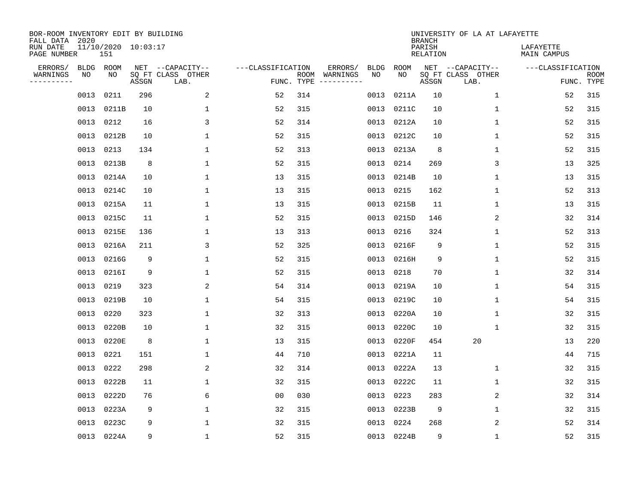| BOR-ROOM INVENTORY EDIT BY BUILDING<br>FALL DATA 2020 |           |                            |       |                           |                   |                    |                         |             |             | <b>BRANCH</b>             | UNIVERSITY OF LA AT LAFAYETTE |                          |                           |
|-------------------------------------------------------|-----------|----------------------------|-------|---------------------------|-------------------|--------------------|-------------------------|-------------|-------------|---------------------------|-------------------------------|--------------------------|---------------------------|
| RUN DATE<br>PAGE NUMBER                               |           | 11/10/2020 10:03:17<br>151 |       |                           |                   |                    |                         |             |             | PARISH<br><b>RELATION</b> |                               | LAFAYETTE<br>MAIN CAMPUS |                           |
| ERRORS/                                               | BLDG      | ROOM                       |       | NET --CAPACITY--          | ---CLASSIFICATION |                    | ERRORS/                 | <b>BLDG</b> | <b>ROOM</b> |                           | NET --CAPACITY--              | ---CLASSIFICATION        |                           |
| WARNINGS<br>----------                                | ΝO        | NO                         | ASSGN | SQ FT CLASS OTHER<br>LAB. |                   | ROOM<br>FUNC. TYPE | WARNINGS<br>----------- | NO          | NO          | ASSGN                     | SQ FT CLASS OTHER<br>LAB.     |                          | <b>ROOM</b><br>FUNC. TYPE |
|                                                       | 0013      | 0211                       | 296   | $\overline{a}$            | 52                | 314                |                         | 0013        | 0211A       | 10                        | $\mathbf{1}$                  | 52                       | 315                       |
|                                                       | 0013      | 0211B                      | 10    | 1                         | 52                | 315                |                         | 0013        | 0211C       | 10                        | 1                             | 52                       | 315                       |
|                                                       | 0013      | 0212                       | 16    | 3                         | 52                | 314                |                         | 0013        | 0212A       | 10                        | 1                             | 52                       | 315                       |
|                                                       |           | 0013 0212B                 | 10    | $\mathbf{1}$              | 52                | 315                |                         | 0013        | 0212C       | 10                        | 1                             | 52                       | 315                       |
|                                                       | 0013 0213 |                            | 134   | $\mathbf{1}$              | 52                | 313                |                         | 0013        | 0213A       | 8                         | $\mathbf{1}$                  | 52                       | 315                       |
|                                                       |           | 0013 0213B                 | 8     | $\mathbf{1}$              | 52                | 315                |                         | 0013        | 0214        | 269                       | 3                             | 13                       | 325                       |
|                                                       |           | 0013 0214A                 | 10    | $\mathbf{1}$              | 13                | 315                |                         | 0013        | 0214B       | 10                        | $\mathbf{1}$                  | 13                       | 315                       |
|                                                       |           | 0013 0214C                 | 10    | $\mathbf{1}$              | 13                | 315                |                         | 0013        | 0215        | 162                       | $\mathbf{1}$                  | 52                       | 313                       |
|                                                       | 0013      | 0215A                      | 11    | $\mathbf{1}$              | 13                | 315                |                         | 0013        | 0215B       | 11                        | $\mathbf{1}$                  | 13                       | 315                       |
|                                                       | 0013      | 0215C                      | 11    | $\mathbf{1}$              | 52                | 315                |                         | 0013        | 0215D       | 146                       | 2                             | 32                       | 314                       |
|                                                       | 0013      | 0215E                      | 136   | $\mathbf{1}$              | 13                | 313                |                         | 0013        | 0216        | 324                       | $\mathbf 1$                   | 52                       | 313                       |
|                                                       | 0013      | 0216A                      | 211   | 3                         | 52                | 325                |                         | 0013        | 0216F       | 9                         | $\mathbf 1$                   | 52                       | 315                       |
|                                                       | 0013      | 0216G                      | 9     | $\mathbf{1}$              | 52                | 315                |                         | 0013        | 0216H       | 9                         | $\mathbf 1$                   | 52                       | 315                       |
|                                                       | 0013      | 0216I                      | 9     | 1                         | 52                | 315                |                         | 0013        | 0218        | 70                        | 1                             | 32                       | 314                       |
|                                                       | 0013      | 0219                       | 323   | 2                         | 54                | 314                |                         | 0013        | 0219A       | 10                        | 1                             | 54                       | 315                       |
|                                                       | 0013      | 0219B                      | 10    | $\mathbf{1}$              | 54                | 315                |                         | 0013        | 0219C       | 10                        | $\mathbf 1$                   | 54                       | 315                       |
|                                                       | 0013      | 0220                       | 323   | 1                         | 32                | 313                |                         | 0013        | 0220A       | 10                        | 1                             | 32                       | 315                       |
|                                                       | 0013      | 0220B                      | 10    | 1                         | 32                | 315                |                         | 0013        | 0220C       | 10                        | $\mathbf{1}$                  | 32                       | 315                       |
|                                                       |           | 0013 0220E                 | 8     | 1                         | 13                | 315                |                         | 0013        | 0220F       | 454                       | 20                            | 13                       | 220                       |
|                                                       | 0013      | 0221                       | 151   | 1                         | 44                | 710                |                         | 0013        | 0221A       | 11                        |                               | 44                       | 715                       |
|                                                       | 0013      | 0222                       | 298   | 2                         | 32                | 314                |                         | 0013        | 0222A       | 13                        | 1                             | 32                       | 315                       |
|                                                       | 0013      | 0222B                      | 11    | $\mathbf{1}$              | 32                | 315                |                         | 0013        | 0222C       | 11                        | $\mathbf{1}$                  | 32                       | 315                       |
|                                                       | 0013      | 0222D                      | 76    | 6                         | 0 <sub>0</sub>    | 030                |                         | 0013        | 0223        | 283                       | 2                             | 32                       | 314                       |
|                                                       | 0013      | 0223A                      | 9     | $\mathbf{1}$              | 32                | 315                |                         | 0013        | 0223B       | 9                         | $\mathbf 1$                   | 32                       | 315                       |
|                                                       | 0013      | 0223C                      | 9     | $\mathbf{1}$              | 32                | 315                |                         | 0013        | 0224        | 268                       | 2                             | 52                       | 314                       |
|                                                       |           | 0013 0224A                 | 9     | $\mathbf{1}$              | 52                | 315                |                         |             | 0013 0224B  | 9                         | $\mathbf 1$                   | 52                       | 315                       |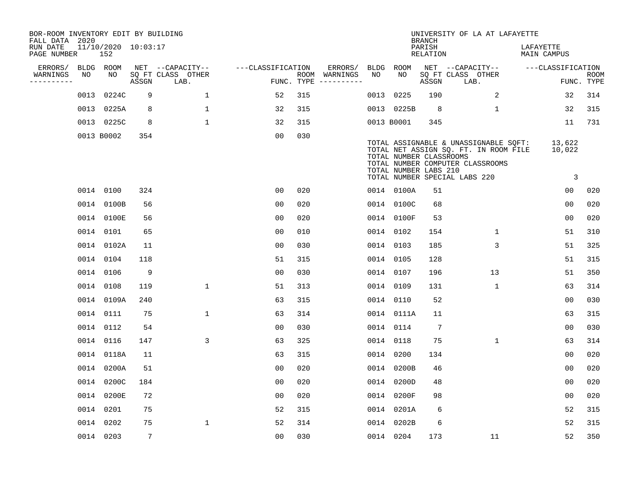| BOR-ROOM INVENTORY EDIT BY BUILDING<br>FALL DATA 2020 |      |                            |                 |                           |                   |     |                                      |      |                                                  | <b>BRANCH</b>      | UNIVERSITY OF LA AT LAFAYETTE                                                                                                                       |                                    |                           |
|-------------------------------------------------------|------|----------------------------|-----------------|---------------------------|-------------------|-----|--------------------------------------|------|--------------------------------------------------|--------------------|-----------------------------------------------------------------------------------------------------------------------------------------------------|------------------------------------|---------------------------|
| RUN DATE<br>PAGE NUMBER                               |      | 11/10/2020 10:03:17<br>152 |                 |                           |                   |     |                                      |      |                                                  | PARISH<br>RELATION |                                                                                                                                                     | LAFAYETTE<br>MAIN CAMPUS           |                           |
| ERRORS/                                               |      | BLDG ROOM                  |                 | NET --CAPACITY--          | ---CLASSIFICATION |     | ERRORS/                              |      | BLDG ROOM                                        |                    | NET --CAPACITY--                                                                                                                                    | ---CLASSIFICATION                  |                           |
| WARNINGS<br>----------                                | NO   | NO                         | ASSGN           | SQ FT CLASS OTHER<br>LAB. |                   |     | ROOM WARNINGS<br>FUNC. TYPE $------$ | NO   | NO                                               | ASSGN              | SQ FT CLASS OTHER<br>LAB.                                                                                                                           |                                    | <b>ROOM</b><br>FUNC. TYPE |
|                                                       | 0013 | 0224C                      | 9               | $\mathbf{1}$              | 52                | 315 |                                      | 0013 | 0225                                             | 190                | 2                                                                                                                                                   | 32                                 | 314                       |
|                                                       |      | 0013 0225A                 | 8               | $\mathbf 1$               | 32                | 315 |                                      |      | 0013 0225B                                       | 8                  | $\mathbf 1$                                                                                                                                         | 32                                 | 315                       |
|                                                       |      | 0013 0225C                 | 8               | $\mathbf{1}$              | 32                | 315 |                                      |      | 0013 B0001                                       | 345                |                                                                                                                                                     | 11                                 | 731                       |
|                                                       |      | 0013 B0002                 | 354             |                           | 0 <sub>0</sub>    | 030 |                                      |      | TOTAL NUMBER CLASSROOMS<br>TOTAL NUMBER LABS 210 |                    | TOTAL ASSIGNABLE & UNASSIGNABLE SQFT:<br>TOTAL NET ASSIGN SQ. FT. IN ROOM FILE<br>TOTAL NUMBER COMPUTER CLASSROOMS<br>TOTAL NUMBER SPECIAL LABS 220 | 13,622<br>10,022<br>$\overline{3}$ |                           |
|                                                       |      | 0014 0100                  | 324             |                           | 0 <sub>0</sub>    | 020 |                                      |      | 0014 0100A                                       | 51                 |                                                                                                                                                     | 0 <sub>0</sub>                     | 020                       |
|                                                       |      | 0014 0100B                 | 56              |                           | 0 <sub>0</sub>    | 020 |                                      |      | 0014 0100C                                       | 68                 |                                                                                                                                                     | 0 <sub>0</sub>                     | 020                       |
|                                                       |      | 0014 0100E                 | 56              |                           | 0 <sub>0</sub>    | 020 |                                      |      | 0014 0100F                                       | 53                 |                                                                                                                                                     | 0 <sub>0</sub>                     | 020                       |
|                                                       |      | 0014 0101                  | 65              |                           | 0 <sub>0</sub>    | 010 |                                      |      | 0014 0102                                        | 154                | $\mathbf{1}$                                                                                                                                        | 51                                 | 310                       |
|                                                       |      | 0014 0102A                 | 11              |                           | 0 <sub>0</sub>    | 030 |                                      |      | 0014 0103                                        | 185                | 3                                                                                                                                                   | 51                                 | 325                       |
|                                                       |      | 0014 0104                  | 118             |                           | 51                | 315 |                                      |      | 0014 0105                                        | 128                |                                                                                                                                                     | 51                                 | 315                       |
|                                                       |      | 0014 0106                  | 9               |                           | 0 <sub>0</sub>    | 030 |                                      |      | 0014 0107                                        | 196                | 13                                                                                                                                                  | 51                                 | 350                       |
|                                                       |      | 0014 0108                  | 119             | $\mathbf{1}$              | 51                | 313 |                                      |      | 0014 0109                                        | 131                | 1                                                                                                                                                   | 63                                 | 314                       |
|                                                       |      | 0014 0109A                 | 240             |                           | 63                | 315 |                                      |      | 0014 0110                                        | 52                 |                                                                                                                                                     | 00                                 | 030                       |
|                                                       |      | 0014 0111                  | 75              | $\mathbf{1}$              | 63                | 314 |                                      |      | 0014 0111A                                       | 11                 |                                                                                                                                                     | 63                                 | 315                       |
|                                                       |      | 0014 0112                  | 54              |                           | 0 <sub>0</sub>    | 030 |                                      |      | 0014 0114                                        | $7\phantom{.0}$    |                                                                                                                                                     | 00                                 | 030                       |
|                                                       |      | 0014 0116                  | 147             | 3                         | 63                | 325 |                                      |      | 0014 0118                                        | 75                 | $\mathbf{1}$                                                                                                                                        | 63                                 | 314                       |
|                                                       |      | 0014 0118A                 | 11              |                           | 63                | 315 |                                      |      | 0014 0200                                        | 134                |                                                                                                                                                     | 0 <sub>0</sub>                     | 020                       |
|                                                       |      | 0014 0200A                 | 51              |                           | 0 <sub>0</sub>    | 020 |                                      |      | 0014 0200B                                       | 46                 |                                                                                                                                                     | 0 <sub>0</sub>                     | 020                       |
|                                                       |      | 0014 0200C                 | 184             |                           | 0 <sub>0</sub>    | 020 |                                      |      | 0014 0200D                                       | 48                 |                                                                                                                                                     | 0 <sub>0</sub>                     | 020                       |
|                                                       |      | 0014 0200E                 | 72              |                           | 0 <sub>0</sub>    | 020 |                                      |      | 0014 0200F                                       | 98                 |                                                                                                                                                     | 0 <sub>0</sub>                     | 020                       |
|                                                       |      | 0014 0201                  | 75              |                           | 52                | 315 |                                      |      | 0014 0201A                                       | 6                  |                                                                                                                                                     | 52                                 | 315                       |
|                                                       |      | 0014 0202                  | 75              | $\mathbf 1$               | 52                | 314 |                                      |      | 0014 0202B                                       | 6                  |                                                                                                                                                     | 52                                 | 315                       |
|                                                       |      | 0014 0203                  | $7\phantom{.0}$ |                           | 0 <sub>0</sub>    | 030 |                                      |      | 0014 0204                                        | 173                | 11                                                                                                                                                  | 52                                 | 350                       |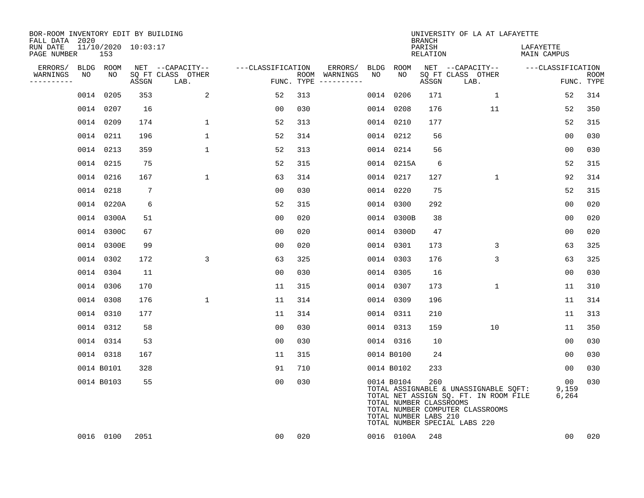| BOR-ROOM INVENTORY EDIT BY BUILDING<br>FALL DATA 2020 |                            |       |                           |                   |     |                                      |             |                                                                | <b>BRANCH</b>             | UNIVERSITY OF LA AT LAFAYETTE                                                                                                                       |                          |                           |
|-------------------------------------------------------|----------------------------|-------|---------------------------|-------------------|-----|--------------------------------------|-------------|----------------------------------------------------------------|---------------------------|-----------------------------------------------------------------------------------------------------------------------------------------------------|--------------------------|---------------------------|
| RUN DATE<br>PAGE NUMBER                               | 11/10/2020 10:03:17<br>153 |       |                           |                   |     |                                      |             |                                                                | PARISH<br><b>RELATION</b> |                                                                                                                                                     | LAFAYETTE<br>MAIN CAMPUS |                           |
| ERRORS/                                               | BLDG ROOM                  |       | NET --CAPACITY--          | ---CLASSIFICATION |     | ERRORS/                              | <b>BLDG</b> | <b>ROOM</b>                                                    |                           | NET --CAPACITY--                                                                                                                                    | ---CLASSIFICATION        |                           |
| WARNINGS<br>NO<br>----------                          | NO                         | ASSGN | SQ FT CLASS OTHER<br>LAB. |                   |     | ROOM WARNINGS<br>FUNC. TYPE $------$ | NO          | NO                                                             | ASSGN                     | SQ FT CLASS OTHER<br>LAB.                                                                                                                           |                          | <b>ROOM</b><br>FUNC. TYPE |
|                                                       | 0205<br>0014               | 353   | 2                         | 52                | 313 |                                      | 0014        | 0206                                                           | 171                       | $\mathbf{1}$                                                                                                                                        | 52                       | 314                       |
|                                                       | 0014 0207                  | 16    |                           | 00                | 030 |                                      | 0014        | 0208                                                           | 176                       | 11                                                                                                                                                  | 52                       | 350                       |
|                                                       | 0014 0209                  | 174   | $\mathbf 1$               | 52                | 313 |                                      | 0014        | 0210                                                           | 177                       |                                                                                                                                                     | 52                       | 315                       |
|                                                       | 0014 0211                  | 196   | $\mathbf{1}$              | 52                | 314 |                                      |             | 0014 0212                                                      | 56                        |                                                                                                                                                     | 0 <sub>0</sub>           | 030                       |
|                                                       | 0014 0213                  | 359   | $\mathbf{1}$              | 52                | 313 |                                      |             | 0014 0214                                                      | 56                        |                                                                                                                                                     | 0 <sub>0</sub>           | 030                       |
|                                                       | 0014 0215                  | 75    |                           | 52                | 315 |                                      |             | 0014 0215A                                                     | 6                         |                                                                                                                                                     | 52                       | 315                       |
|                                                       | 0014 0216                  | 167   | $\mathbf{1}$              | 63                | 314 |                                      |             | 0014 0217                                                      | 127                       | $\mathbf{1}$                                                                                                                                        | 92                       | 314                       |
|                                                       | 0014 0218                  | 7     |                           | 0 <sub>0</sub>    | 030 |                                      | 0014        | 0220                                                           | 75                        |                                                                                                                                                     | 52                       | 315                       |
|                                                       | 0014 0220A                 | 6     |                           | 52                | 315 |                                      | 0014        | 0300                                                           | 292                       |                                                                                                                                                     | 0 <sub>0</sub>           | 020                       |
|                                                       | 0014 0300A                 | 51    |                           | 0 <sub>0</sub>    | 020 |                                      |             | 0014 0300B                                                     | 38                        |                                                                                                                                                     | 0 <sub>0</sub>           | 020                       |
|                                                       | 0014 0300C                 | 67    |                           | 00                | 020 |                                      | 0014        | 0300D                                                          | 47                        |                                                                                                                                                     | 0 <sub>0</sub>           | 020                       |
|                                                       | 0014 0300E                 | 99    |                           | 0 <sub>0</sub>    | 020 |                                      | 0014        | 0301                                                           | 173                       | 3                                                                                                                                                   | 63                       | 325                       |
|                                                       | 0014 0302                  | 172   | $\mathsf{3}$              | 63                | 325 |                                      | 0014        | 0303                                                           | 176                       | 3                                                                                                                                                   | 63                       | 325                       |
|                                                       | 0014 0304                  | 11    |                           | 0 <sub>0</sub>    | 030 |                                      | 0014        | 0305                                                           | 16                        |                                                                                                                                                     | 0 <sub>0</sub>           | 030                       |
|                                                       | 0014 0306                  | 170   |                           | 11                | 315 |                                      | 0014        | 0307                                                           | 173                       | $\mathbf 1$                                                                                                                                         | 11                       | 310                       |
|                                                       | 0014 0308                  | 176   | $\mathbf{1}$              | 11                | 314 |                                      |             | 0014 0309                                                      | 196                       |                                                                                                                                                     | 11                       | 314                       |
|                                                       | 0014 0310                  | 177   |                           | 11                | 314 |                                      | 0014        | 0311                                                           | 210                       |                                                                                                                                                     | 11                       | 313                       |
|                                                       | 0014 0312                  | 58    |                           | 0 <sub>0</sub>    | 030 |                                      |             | 0014 0313                                                      | 159                       | 10                                                                                                                                                  | 11                       | 350                       |
|                                                       | 0014 0314                  | 53    |                           | 0 <sub>0</sub>    | 030 |                                      |             | 0014 0316                                                      | 10                        |                                                                                                                                                     | 0 <sub>0</sub>           | 030                       |
|                                                       | 0014 0318                  | 167   |                           | 11                | 315 |                                      |             | 0014 B0100                                                     | 24                        |                                                                                                                                                     | 0 <sub>0</sub>           | 030                       |
|                                                       | 0014 B0101                 | 328   |                           | 91                | 710 |                                      |             | 0014 B0102                                                     | 233                       |                                                                                                                                                     | 0 <sub>0</sub>           | 030                       |
|                                                       | 0014 B0103                 | 55    |                           | 0 <sub>0</sub>    | 030 |                                      |             | 0014 B0104<br>TOTAL NUMBER CLASSROOMS<br>TOTAL NUMBER LABS 210 | 260                       | TOTAL ASSIGNABLE & UNASSIGNABLE SQFT:<br>TOTAL NET ASSIGN SQ. FT. IN ROOM FILE<br>TOTAL NUMBER COMPUTER CLASSROOMS<br>TOTAL NUMBER SPECIAL LABS 220 | 00<br>9,159<br>6,264     | 030                       |
|                                                       | 0016 0100                  | 2051  |                           | 00                | 020 |                                      |             | 0016 0100A                                                     | 248                       |                                                                                                                                                     | 0 <sub>0</sub>           | 020                       |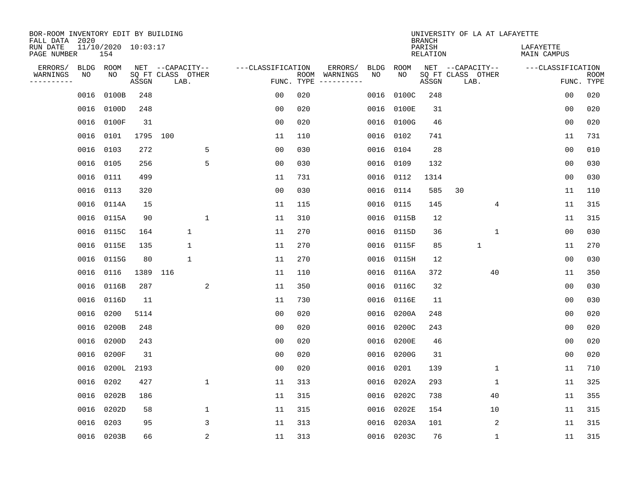| BOR-ROOM INVENTORY EDIT BY BUILDING<br>FALL DATA 2020 |           |                            |          |                           |                |                   |     |               |             |             | <b>BRANCH</b>             |                           |              | UNIVERSITY OF LA AT LAFAYETTE   |                |                           |
|-------------------------------------------------------|-----------|----------------------------|----------|---------------------------|----------------|-------------------|-----|---------------|-------------|-------------|---------------------------|---------------------------|--------------|---------------------------------|----------------|---------------------------|
| RUN DATE<br>PAGE NUMBER                               |           | 11/10/2020 10:03:17<br>154 |          |                           |                |                   |     |               |             |             | PARISH<br><b>RELATION</b> |                           |              | LAFAYETTE<br><b>MAIN CAMPUS</b> |                |                           |
| ERRORS/                                               | BLDG      | ROOM                       |          | NET --CAPACITY--          |                | ---CLASSIFICATION |     | ERRORS/       | <b>BLDG</b> | <b>ROOM</b> |                           | NET --CAPACITY--          |              | ---CLASSIFICATION               |                |                           |
| WARNINGS<br>----------                                | NO        | NO                         | ASSGN    | SQ FT CLASS OTHER<br>LAB. |                | FUNC. TYPE        |     | ROOM WARNINGS | NO          | NO          | ASSGN                     | SQ FT CLASS OTHER<br>LAB. |              |                                 |                | <b>ROOM</b><br>FUNC. TYPE |
|                                                       | 0016      | 0100B                      | 248      |                           |                | 00                | 020 |               | 0016        | 0100C       | 248                       |                           |              |                                 | 0 <sub>0</sub> | 020                       |
|                                                       | 0016      | 0100D                      | 248      |                           |                | 0 <sub>0</sub>    | 020 |               | 0016        | 0100E       | 31                        |                           |              |                                 | 0 <sub>0</sub> | 020                       |
|                                                       | 0016      | 0100F                      | 31       |                           |                | 0 <sub>0</sub>    | 020 |               | 0016        | 0100G       | 46                        |                           |              |                                 | 00             | 020                       |
|                                                       | 0016 0101 |                            | 1795 100 |                           |                | 11                | 110 |               | 0016        | 0102        | 741                       |                           |              |                                 | 11             | 731                       |
|                                                       | 0016 0103 |                            | 272      |                           | 5              | 0 <sub>0</sub>    | 030 |               | 0016        | 0104        | 28                        |                           |              |                                 | 0 <sub>0</sub> | 010                       |
|                                                       | 0016 0105 |                            | 256      |                           | 5              | 0 <sub>0</sub>    | 030 |               | 0016        | 0109        | 132                       |                           |              |                                 | 0 <sub>0</sub> | 030                       |
|                                                       | 0016 0111 |                            | 499      |                           |                | 11                | 731 |               | 0016        | 0112        | 1314                      |                           |              |                                 | 0 <sub>0</sub> | 030                       |
|                                                       | 0016 0113 |                            | 320      |                           |                | 0 <sub>0</sub>    | 030 |               | 0016        | 0114        | 585                       | 30                        |              |                                 | 11             | 110                       |
|                                                       |           | 0016 0114A                 | 15       |                           |                | 11                | 115 |               | 0016        | 0115        | 145                       |                           | 4            |                                 | 11             | 315                       |
|                                                       |           | 0016 0115A                 | 90       |                           | $\mathbf{1}$   | 11                | 310 |               | 0016        | 0115B       | 12                        |                           |              |                                 | 11             | 315                       |
|                                                       |           | 0016 0115C                 | 164      | $\mathbf 1$               |                | 11                | 270 |               | 0016        | 0115D       | 36                        |                           | $\mathbf{1}$ |                                 | 00             | 030                       |
|                                                       | 0016      | 0115E                      | 135      | 1                         |                | 11                | 270 |               | 0016        | 0115F       | 85                        |                           | $\mathbf{1}$ |                                 | 11             | 270                       |
|                                                       | 0016      | 0115G                      | 80       | 1                         |                | 11                | 270 |               | 0016        | 0115H       | 12                        |                           |              |                                 | 0 <sub>0</sub> | 030                       |
|                                                       | 0016      | 0116                       | 1389     | 116                       |                | 11                | 110 |               | 0016        | 0116A       | 372                       |                           | 40           |                                 | 11             | 350                       |
|                                                       | 0016      | 0116B                      | 287      |                           | 2              | 11                | 350 |               | 0016        | 0116C       | 32                        |                           |              |                                 | 0 <sub>0</sub> | 030                       |
|                                                       | 0016      | 0116D                      | 11       |                           |                | 11                | 730 |               | 0016        | 0116E       | 11                        |                           |              |                                 | 0 <sub>0</sub> | 030                       |
|                                                       | 0016      | 0200                       | 5114     |                           |                | 0 <sub>0</sub>    | 020 |               | 0016        | 0200A       | 248                       |                           |              |                                 | 0 <sub>0</sub> | 020                       |
|                                                       | 0016      | 0200B                      | 248      |                           |                | 0 <sub>0</sub>    | 020 |               | 0016        | 0200C       | 243                       |                           |              |                                 | 0 <sub>0</sub> | 020                       |
|                                                       | 0016      | 0200D                      | 243      |                           |                | 0 <sub>0</sub>    | 020 |               | 0016        | 0200E       | 46                        |                           |              |                                 | 0 <sub>0</sub> | 020                       |
|                                                       | 0016      | 0200F                      | 31       |                           |                | 0 <sub>0</sub>    | 020 |               | 0016        | 0200G       | 31                        |                           |              |                                 | 00             | 020                       |
|                                                       | 0016      | 0200L                      | 2193     |                           |                | 0 <sub>0</sub>    | 020 |               | 0016        | 0201        | 139                       |                           | $\mathbf 1$  |                                 | 11             | 710                       |
|                                                       | 0016      | 0202                       | 427      |                           | $\mathbf{1}$   | 11                | 313 |               | 0016        | 0202A       | 293                       |                           | 1            |                                 | 11             | 325                       |
|                                                       | 0016      | 0202B                      | 186      |                           |                | 11                | 315 |               | 0016        | 0202C       | 738                       |                           | 40           |                                 | 11             | 355                       |
|                                                       | 0016      | 0202D                      | 58       |                           | $\mathbf{1}$   | 11                | 315 |               | 0016        | 0202E       | 154                       |                           | 10           |                                 | 11             | 315                       |
|                                                       | 0016 0203 |                            | 95       |                           | 3              | 11                | 313 |               | 0016        | 0203A       | 101                       |                           | 2            |                                 | 11             | 315                       |
|                                                       |           | 0016 0203B                 | 66       |                           | $\overline{2}$ | 11                | 313 |               |             | 0016 0203C  | 76                        |                           | $\mathbf{1}$ |                                 | 11             | 315                       |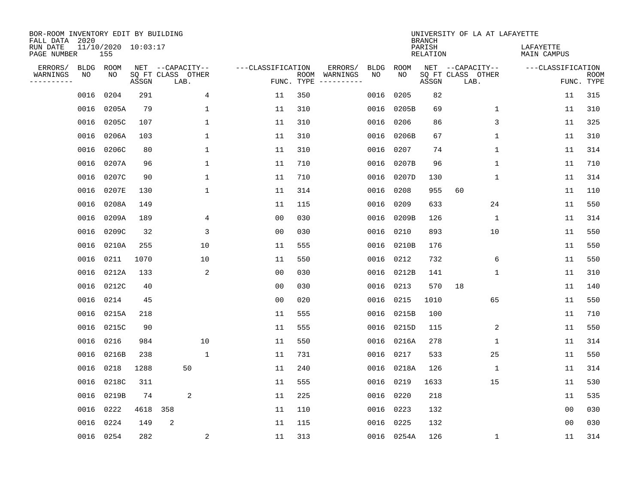| BOR-ROOM INVENTORY EDIT BY BUILDING<br>FALL DATA 2020 |                 |                            |       |                                       |                |                   |     |                          |            |             | <b>BRANCH</b>             | UNIVERSITY OF LA AT LAFAYETTE         |                          |             |
|-------------------------------------------------------|-----------------|----------------------------|-------|---------------------------------------|----------------|-------------------|-----|--------------------------|------------|-------------|---------------------------|---------------------------------------|--------------------------|-------------|
| RUN DATE<br>PAGE NUMBER                               |                 | 11/10/2020 10:03:17<br>155 |       |                                       |                |                   |     |                          |            |             | PARISH<br><b>RELATION</b> |                                       | LAFAYETTE<br>MAIN CAMPUS |             |
| ERRORS/<br>WARNINGS                                   | BLDG ROOM<br>NO | NO                         |       | NET --CAPACITY--<br>SQ FT CLASS OTHER |                | ---CLASSIFICATION |     | ERRORS/<br>ROOM WARNINGS | BLDG<br>NO | ROOM<br>NO. |                           | NET --CAPACITY--<br>SQ FT CLASS OTHER | ---CLASSIFICATION        | <b>ROOM</b> |
| ---------                                             |                 |                            | ASSGN | LAB.                                  |                | FUNC. TYPE        |     |                          |            |             | ASSGN                     | LAB.                                  |                          | FUNC. TYPE  |
|                                                       | 0016            | 0204                       | 291   |                                       | 4              | 11                | 350 |                          | 0016       | 0205        | 82                        |                                       | 11                       | 315         |
|                                                       | 0016            | 0205A                      | 79    |                                       | $\mathbf{1}$   | 11                | 310 |                          | 0016       | 0205B       | 69                        | $\mathbf{1}$                          | 11                       | 310         |
|                                                       | 0016            | 0205C                      | 107   |                                       | $\mathbf{1}$   | 11                | 310 |                          | 0016       | 0206        | 86                        | 3                                     | 11                       | 325         |
|                                                       | 0016            | 0206A                      | 103   |                                       | 1              | 11                | 310 |                          | 0016       | 0206B       | 67                        | $\mathbf 1$                           | 11                       | 310         |
|                                                       | 0016            | 0206C                      | 80    |                                       | $\mathbf{1}$   | 11                | 310 |                          | 0016       | 0207        | 74                        | $\mathbf 1$                           | 11                       | 314         |
|                                                       | 0016            | 0207A                      | 96    |                                       | 1              | 11                | 710 |                          | 0016       | 0207B       | 96                        | 1                                     | 11                       | 710         |
|                                                       | 0016            | 0207C                      | 90    |                                       | $\mathbf 1$    | 11                | 710 |                          | 0016       | 0207D       | 130                       | 1                                     | 11                       | 314         |
|                                                       | 0016            | 0207E                      | 130   |                                       | 1              | 11                | 314 |                          | 0016       | 0208        | 955                       | 60                                    | 11                       | 110         |
|                                                       | 0016            | 0208A                      | 149   |                                       |                | 11                | 115 |                          | 0016       | 0209        | 633                       | 24                                    | 11                       | 550         |
|                                                       | 0016            | 0209A                      | 189   |                                       | 4              | 0 <sub>0</sub>    | 030 |                          | 0016       | 0209B       | 126                       | $\mathbf 1$                           | 11                       | 314         |
|                                                       | 0016            | 0209C                      | 32    |                                       | 3              | 0 <sub>0</sub>    | 030 |                          | 0016       | 0210        | 893                       | 10                                    | 11                       | 550         |
|                                                       | 0016            | 0210A                      | 255   |                                       | 10             | 11                | 555 |                          | 0016       | 0210B       | 176                       |                                       | 11                       | 550         |
|                                                       | 0016            | 0211                       | 1070  |                                       | 10             | 11                | 550 |                          | 0016       | 0212        | 732                       | 6                                     | 11                       | 550         |
|                                                       | 0016            | 0212A                      | 133   |                                       | 2              | 0 <sub>0</sub>    | 030 |                          | 0016       | 0212B       | 141                       | 1                                     | 11                       | 310         |
|                                                       | 0016            | 0212C                      | 40    |                                       |                | 0 <sub>0</sub>    | 030 |                          | 0016       | 0213        | 570                       | 18                                    | 11                       | 140         |
|                                                       | 0016            | 0214                       | 45    |                                       |                | 0 <sub>0</sub>    | 020 |                          | 0016       | 0215        | 1010                      | 65                                    | 11                       | 550         |
|                                                       | 0016            | 0215A                      | 218   |                                       |                | 11                | 555 |                          | 0016       | 0215B       | 100                       |                                       | 11                       | 710         |
|                                                       | 0016            | 0215C                      | 90    |                                       |                | 11                | 555 |                          | 0016       | 0215D       | 115                       | 2                                     | 11                       | 550         |
|                                                       | 0016            | 0216                       | 984   |                                       | 10             | 11                | 550 |                          | 0016       | 0216A       | 278                       | 1                                     | 11                       | 314         |
|                                                       | 0016            | 0216B                      | 238   |                                       | $\mathbf{1}$   | 11                | 731 |                          | 0016       | 0217        | 533                       | 25                                    | 11                       | 550         |
|                                                       | 0016            | 0218                       | 1288  | 50                                    |                | 11                | 240 |                          | 0016       | 0218A       | 126                       | 1                                     | 11                       | 314         |
|                                                       | 0016            | 0218C                      | 311   |                                       |                | 11                | 555 |                          | 0016       | 0219        | 1633                      | 15                                    | 11                       | 530         |
|                                                       | 0016            | 0219B                      | 74    | 2                                     |                | 11                | 225 |                          | 0016       | 0220        | 218                       |                                       | 11                       | 535         |
|                                                       | 0016            | 0222                       | 4618  | 358                                   |                | 11                | 110 |                          | 0016       | 0223        | 132                       |                                       | 0 <sub>0</sub>           | 030         |
|                                                       | 0016            | 0224                       | 149   | 2                                     |                | 11                | 115 |                          | 0016       | 0225        | 132                       |                                       | 00                       | 030         |
|                                                       | 0016 0254       |                            | 282   |                                       | $\overline{a}$ | 11                | 313 |                          |            | 0016 0254A  | 126                       | 1                                     | 11                       | 314         |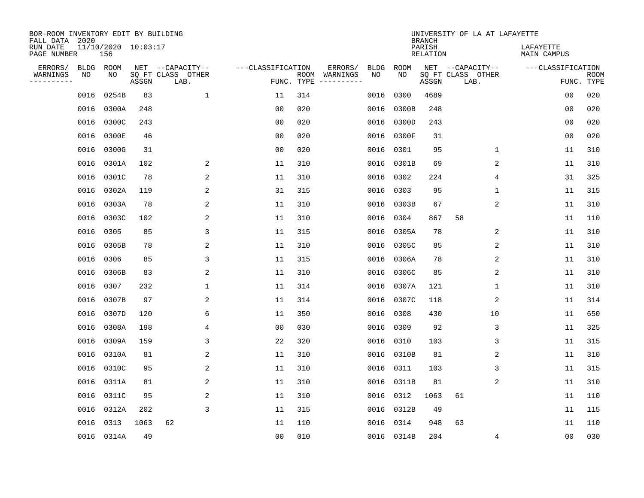| BOR-ROOM INVENTORY EDIT BY BUILDING<br>FALL DATA 2020 |             |                            |       |                           |                   |                    |                         |             |             | <b>BRANCH</b>             | UNIVERSITY OF LA AT LAFAYETTE |                          |                           |
|-------------------------------------------------------|-------------|----------------------------|-------|---------------------------|-------------------|--------------------|-------------------------|-------------|-------------|---------------------------|-------------------------------|--------------------------|---------------------------|
| RUN DATE<br>PAGE NUMBER                               |             | 11/10/2020 10:03:17<br>156 |       |                           |                   |                    |                         |             |             | PARISH<br><b>RELATION</b> |                               | LAFAYETTE<br>MAIN CAMPUS |                           |
| ERRORS/                                               | <b>BLDG</b> | ROOM                       |       | NET --CAPACITY--          | ---CLASSIFICATION |                    | ERRORS/                 | <b>BLDG</b> | <b>ROOM</b> |                           | NET --CAPACITY--              | ---CLASSIFICATION        |                           |
| WARNINGS<br>----------                                | NO          | NO                         | ASSGN | SQ FT CLASS OTHER<br>LAB. |                   | ROOM<br>FUNC. TYPE | WARNINGS<br>----------- | NO          | NO          | ASSGN                     | SQ FT CLASS OTHER<br>LAB.     |                          | <b>ROOM</b><br>FUNC. TYPE |
|                                                       | 0016        | 0254B                      | 83    | $\mathbf 1$               | 11                | 314                |                         | 0016        | 0300        | 4689                      |                               | 00                       | 020                       |
|                                                       | 0016        | 0300A                      | 248   |                           | 00                | 020                |                         | 0016        | 0300B       | 248                       |                               | 00                       | 020                       |
|                                                       | 0016        | 0300C                      | 243   |                           | 00                | 020                |                         | 0016        | 0300D       | 243                       |                               | 00                       | 020                       |
|                                                       | 0016        | 0300E                      | 46    |                           | 0 <sub>0</sub>    | 020                |                         |             | 0016 0300F  | 31                        |                               | 0 <sub>0</sub>           | 020                       |
|                                                       | 0016        | 0300G                      | 31    |                           | 0 <sub>0</sub>    | 020                |                         | 0016        | 0301        | 95                        | $\mathbf 1$                   | 11                       | 310                       |
|                                                       | 0016        | 0301A                      | 102   | 2                         | 11                | 310                |                         |             | 0016 0301B  | 69                        | $\overline{c}$                | 11                       | 310                       |
|                                                       | 0016        | 0301C                      | 78    | 2                         | 11                | 310                |                         | 0016        | 0302        | 224                       | 4                             | 31                       | 325                       |
|                                                       | 0016        | 0302A                      | 119   | 2                         | 31                | 315                |                         |             | 0016 0303   | 95                        | 1                             | 11                       | 315                       |
|                                                       | 0016        | 0303A                      | 78    | 2                         | 11                | 310                |                         | 0016        | 0303B       | 67                        | 2                             | 11                       | 310                       |
|                                                       | 0016        | 0303C                      | 102   | 2                         | 11                | 310                |                         | 0016        | 0304        | 867                       | 58                            | 11                       | 110                       |
|                                                       | 0016        | 0305                       | 85    | 3                         | 11                | 315                |                         | 0016        | 0305A       | 78                        | 2                             | 11                       | 310                       |
|                                                       | 0016        | 0305B                      | 78    | 2                         | 11                | 310                |                         | 0016        | 0305C       | 85                        | 2                             | 11                       | 310                       |
|                                                       | 0016        | 0306                       | 85    | 3                         | 11                | 315                |                         | 0016        | 0306A       | 78                        | 2                             | 11                       | 310                       |
|                                                       | 0016        | 0306B                      | 83    | 2                         | 11                | 310                |                         | 0016        | 0306C       | 85                        | $\overline{c}$                | 11                       | 310                       |
|                                                       | 0016        | 0307                       | 232   | 1                         | 11                | 314                |                         | 0016        | 0307A       | 121                       | 1                             | 11                       | 310                       |
|                                                       | 0016        | 0307B                      | 97    | 2                         | 11                | 314                |                         | 0016        | 0307C       | 118                       | 2                             | 11                       | 314                       |
|                                                       | 0016        | 0307D                      | 120   | 6                         | 11                | 350                |                         | 0016        | 0308        | 430                       | 10                            | 11                       | 650                       |
|                                                       | 0016        | 0308A                      | 198   | 4                         | 0 <sub>0</sub>    | 030                |                         | 0016        | 0309        | 92                        | 3                             | 11                       | 325                       |
|                                                       | 0016        | 0309A                      | 159   | 3                         | 22                | 320                |                         | 0016        | 0310        | 103                       | 3                             | 11                       | 315                       |
|                                                       | 0016        | 0310A                      | 81    | 2                         | 11                | 310                |                         |             | 0016 0310B  | 81                        | 2                             | 11                       | 310                       |
|                                                       | 0016        | 0310C                      | 95    | 2                         | 11                | 310                |                         | 0016        | 0311        | 103                       | 3                             | 11                       | 315                       |
|                                                       | 0016        | 0311A                      | 81    | 2                         | 11                | 310                |                         | 0016        | 0311B       | 81                        | 2                             | 11                       | 310                       |
|                                                       | 0016        | 0311C                      | 95    | 2                         | 11                | 310                |                         | 0016        | 0312        | 1063                      | 61                            | 11                       | 110                       |
|                                                       | 0016        | 0312A                      | 202   | 3                         | 11                | 315                |                         | 0016        | 0312B       | 49                        |                               | 11                       | 115                       |
|                                                       | 0016        | 0313                       | 1063  | 62                        | 11                | 110                |                         | 0016        | 0314        | 948                       | 63                            | 11                       | 110                       |
|                                                       |             | 0016 0314A                 | 49    |                           | 0 <sub>0</sub>    | 010                |                         |             | 0016 0314B  | 204                       | 4                             | 0 <sub>0</sub>           | 030                       |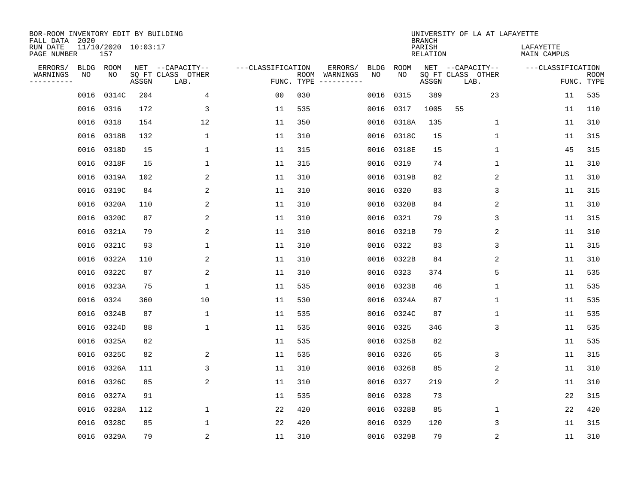| BOR-ROOM INVENTORY EDIT BY BUILDING<br>FALL DATA 2020 |      |                            |       |                           |                   |                    |          |             |             | <b>BRANCH</b>             | UNIVERSITY OF LA AT LAFAYETTE |                          |                           |
|-------------------------------------------------------|------|----------------------------|-------|---------------------------|-------------------|--------------------|----------|-------------|-------------|---------------------------|-------------------------------|--------------------------|---------------------------|
| RUN DATE<br>PAGE NUMBER                               |      | 11/10/2020 10:03:17<br>157 |       |                           |                   |                    |          |             |             | PARISH<br><b>RELATION</b> |                               | LAFAYETTE<br>MAIN CAMPUS |                           |
| ERRORS/                                               | BLDG | ROOM                       |       | NET --CAPACITY--          | ---CLASSIFICATION |                    | ERRORS/  | <b>BLDG</b> | <b>ROOM</b> |                           | NET --CAPACITY--              | ---CLASSIFICATION        |                           |
| WARNINGS<br>----------                                | ΝO   | NO                         | ASSGN | SQ FT CLASS OTHER<br>LAB. |                   | ROOM<br>FUNC. TYPE | WARNINGS | NO          | NO          | ASSGN                     | SQ FT CLASS OTHER<br>LAB.     |                          | <b>ROOM</b><br>FUNC. TYPE |
|                                                       | 0016 | 0314C                      | 204   | 4                         | 00                | 030                |          | 0016        | 0315        | 389                       | 23                            | 11                       | 535                       |
|                                                       |      | 0016 0316                  | 172   | 3                         | 11                | 535                |          | 0016        | 0317        | 1005                      | 55                            | 11                       | 110                       |
|                                                       | 0016 | 0318                       | 154   | 12                        | 11                | 350                |          | 0016        | 0318A       | 135                       | 1                             | 11                       | 310                       |
|                                                       |      | 0016 0318B                 | 132   | $\mathbf{1}$              | 11                | 310                |          | 0016        | 0318C       | 15                        | 1                             | 11                       | 315                       |
|                                                       | 0016 | 0318D                      | 15    | $\mathbf{1}$              | 11                | 315                |          | 0016        | 0318E       | 15                        | $\mathbf{1}$                  | 45                       | 315                       |
|                                                       |      | 0016 0318F                 | 15    | $\mathbf{1}$              | 11                | 315                |          | 0016        | 0319        | 74                        | $\mathbf 1$                   | 11                       | 310                       |
|                                                       |      | 0016 0319A                 | 102   | 2                         | 11                | 310                |          | 0016        | 0319B       | 82                        | 2                             | 11                       | 310                       |
|                                                       |      | 0016 0319C                 | 84    | $\overline{a}$            | 11                | 310                |          | 0016        | 0320        | 83                        | 3                             | 11                       | 315                       |
|                                                       | 0016 | 0320A                      | 110   | 2                         | 11                | 310                |          | 0016        | 0320B       | 84                        | 2                             | 11                       | 310                       |
|                                                       |      | 0016 0320C                 | 87    | 2                         | 11                | 310                |          | 0016        | 0321        | 79                        | 3                             | 11                       | 315                       |
|                                                       |      | 0016 0321A                 | 79    | 2                         | 11                | 310                |          | 0016        | 0321B       | 79                        | 2                             | 11                       | 310                       |
|                                                       | 0016 | 0321C                      | 93    | $\mathbf{1}$              | 11                | 310                |          | 0016        | 0322        | 83                        | 3                             | 11                       | 315                       |
|                                                       | 0016 | 0322A                      | 110   | 2                         | 11                | 310                |          | 0016        | 0322B       | 84                        | 2                             | 11                       | 310                       |
|                                                       | 0016 | 0322C                      | 87    | 2                         | 11                | 310                |          | 0016        | 0323        | 374                       | 5                             | 11                       | 535                       |
|                                                       | 0016 | 0323A                      | 75    | $\mathbf{1}$              | 11                | 535                |          | 0016        | 0323B       | 46                        | 1                             | 11                       | 535                       |
|                                                       | 0016 | 0324                       | 360   | 10                        | 11                | 530                |          | 0016        | 0324A       | 87                        | $\mathbf 1$                   | 11                       | 535                       |
|                                                       | 0016 | 0324B                      | 87    | 1                         | 11                | 535                |          | 0016        | 0324C       | 87                        | 1                             | 11                       | 535                       |
|                                                       | 0016 | 0324D                      | 88    | 1                         | 11                | 535                |          | 0016        | 0325        | 346                       | 3                             | 11                       | 535                       |
|                                                       | 0016 | 0325A                      | 82    |                           | 11                | 535                |          | 0016        | 0325B       | 82                        |                               | 11                       | 535                       |
|                                                       | 0016 | 0325C                      | 82    | 2                         | 11                | 535                |          | 0016        | 0326        | 65                        | 3                             | 11                       | 315                       |
|                                                       | 0016 | 0326A                      | 111   | 3                         | 11                | 310                |          | 0016        | 0326B       | 85                        | 2                             | 11                       | 310                       |
|                                                       | 0016 | 0326C                      | 85    | 2                         | 11                | 310                |          | 0016        | 0327        | 219                       | 2                             | 11                       | 310                       |
|                                                       | 0016 | 0327A                      | 91    |                           | 11                | 535                |          | 0016        | 0328        | 73                        |                               | 22                       | 315                       |
|                                                       | 0016 | 0328A                      | 112   | $\mathbf{1}$              | 22                | 420                |          | 0016        | 0328B       | 85                        | 1                             | 22                       | 420                       |
|                                                       | 0016 | 0328C                      | 85    | $\mathbf{1}$              | 22                | 420                |          | 0016        | 0329        | 120                       | 3                             | 11                       | 315                       |
|                                                       |      | 0016 0329A                 | 79    | $\overline{2}$            | 11                | 310                |          |             | 0016 0329B  | 79                        | $\sqrt{2}$                    | 11                       | 310                       |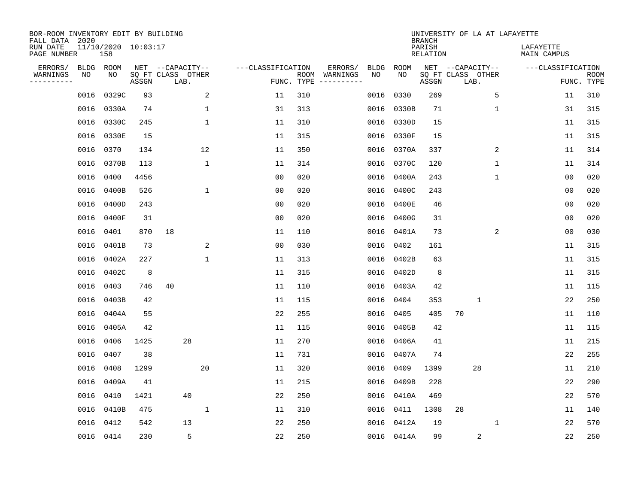| BOR-ROOM INVENTORY EDIT BY BUILDING<br>FALL DATA 2020 |      |                            |       |                           |                         |                   |            |                              |             |             | <b>BRANCH</b>             | UNIVERSITY OF LA AT LAFAYETTE |              |                          |                           |
|-------------------------------------------------------|------|----------------------------|-------|---------------------------|-------------------------|-------------------|------------|------------------------------|-------------|-------------|---------------------------|-------------------------------|--------------|--------------------------|---------------------------|
| RUN DATE<br>PAGE NUMBER                               |      | 11/10/2020 10:03:17<br>158 |       |                           |                         |                   |            |                              |             |             | PARISH<br><b>RELATION</b> |                               |              | LAFAYETTE<br>MAIN CAMPUS |                           |
| ERRORS/                                               | BLDG | ROOM                       |       | NET --CAPACITY--          |                         | ---CLASSIFICATION |            | ERRORS/                      | <b>BLDG</b> | <b>ROOM</b> |                           | NET --CAPACITY--              |              | ---CLASSIFICATION        |                           |
| WARNINGS<br>----------                                | NO   | NO                         | ASSGN | SQ FT CLASS OTHER<br>LAB. |                         |                   | FUNC. TYPE | ROOM WARNINGS<br>----------- | NO          | NO          | ASSGN                     | SQ FT CLASS OTHER<br>LAB.     |              |                          | <b>ROOM</b><br>FUNC. TYPE |
|                                                       | 0016 | 0329C                      | 93    |                           | $\overline{\mathbf{c}}$ | 11                | 310        |                              | 0016        | 0330        | 269                       |                               | 5            | 11                       | 310                       |
|                                                       | 0016 | 0330A                      | 74    |                           | 1                       | 31                | 313        |                              | 0016        | 0330B       | 71                        |                               | 1            | 31                       | 315                       |
|                                                       | 0016 | 0330C                      | 245   |                           | $\mathbf{1}$            | 11                | 310        |                              | 0016        | 0330D       | 15                        |                               |              | 11                       | 315                       |
|                                                       |      | 0016 0330E                 | 15    |                           |                         | 11                | 315        |                              | 0016        | 0330F       | 15                        |                               |              | 11                       | 315                       |
|                                                       |      | 0016 0370                  | 134   |                           | 12                      | 11                | 350        |                              | 0016        | 0370A       | 337                       |                               | 2            | 11                       | 314                       |
|                                                       |      | 0016 0370B                 | 113   |                           | $\mathbf{1}$            | 11                | 314        |                              | 0016        | 0370C       | 120                       |                               | $\mathbf{1}$ | 11                       | 314                       |
|                                                       |      | 0016 0400                  | 4456  |                           |                         | 0 <sub>0</sub>    | 020        |                              | 0016        | 0400A       | 243                       |                               | $\mathbf{1}$ | 0 <sub>0</sub>           | 020                       |
|                                                       |      | 0016 0400B                 | 526   |                           | $\mathbf{1}$            | 0 <sub>0</sub>    | 020        |                              | 0016        | 0400C       | 243                       |                               |              | 0 <sub>0</sub>           | 020                       |
|                                                       | 0016 | 0400D                      | 243   |                           |                         | 00                | 020        |                              | 0016        | 0400E       | 46                        |                               |              | 0 <sub>0</sub>           | 020                       |
|                                                       |      | 0016 0400F                 | 31    |                           |                         | 0 <sub>0</sub>    | 020        |                              | 0016        | 0400G       | 31                        |                               |              | 0 <sub>0</sub>           | 020                       |
|                                                       | 0016 | 0401                       | 870   | 18                        |                         | 11                | 110        |                              | 0016        | 0401A       | 73                        |                               | 2            | 0 <sub>0</sub>           | 030                       |
|                                                       | 0016 | 0401B                      | 73    |                           | 2                       | 0 <sub>0</sub>    | 030        |                              | 0016        | 0402        | 161                       |                               |              | 11                       | 315                       |
|                                                       | 0016 | 0402A                      | 227   |                           | $\mathbf{1}$            | 11                | 313        |                              | 0016        | 0402B       | 63                        |                               |              | 11                       | 315                       |
|                                                       | 0016 | 0402C                      | 8     |                           |                         | 11                | 315        |                              | 0016        | 0402D       | 8                         |                               |              | 11                       | 315                       |
|                                                       | 0016 | 0403                       | 746   | 40                        |                         | 11                | 110        |                              | 0016        | 0403A       | 42                        |                               |              | 11                       | 115                       |
|                                                       | 0016 | 0403B                      | 42    |                           |                         | 11                | 115        |                              | 0016        | 0404        | 353                       | $\mathbf{1}$                  |              | 22                       | 250                       |
|                                                       | 0016 | 0404A                      | 55    |                           |                         | 22                | 255        |                              | 0016        | 0405        | 405                       | 70                            |              | 11                       | 110                       |
|                                                       | 0016 | 0405A                      | 42    |                           |                         | 11                | 115        |                              | 0016        | 0405B       | 42                        |                               |              | 11                       | 115                       |
|                                                       | 0016 | 0406                       | 1425  | 28                        |                         | 11                | 270        |                              | 0016        | 0406A       | 41                        |                               |              | 11                       | 215                       |
|                                                       | 0016 | 0407                       | 38    |                           |                         | 11                | 731        |                              | 0016        | 0407A       | 74                        |                               |              | 22                       | 255                       |
|                                                       | 0016 | 0408                       | 1299  |                           | 20                      | 11                | 320        |                              | 0016        | 0409        | 1399                      | 28                            |              | 11                       | 210                       |
|                                                       | 0016 | 0409A                      | 41    |                           |                         | 11                | 215        |                              | 0016        | 0409B       | 228                       |                               |              | 22                       | 290                       |
|                                                       | 0016 | 0410                       | 1421  | 40                        |                         | 22                | 250        |                              | 0016        | 0410A       | 469                       |                               |              | 22                       | 570                       |
|                                                       | 0016 | 0410B                      | 475   |                           | $\mathbf{1}$            | 11                | 310        |                              | 0016        | 0411        | 1308                      | 28                            |              | 11                       | 140                       |
|                                                       | 0016 | 0412                       | 542   | 13                        |                         | 22                | 250        |                              | 0016        | 0412A       | 19                        |                               | $\mathbf{1}$ | 22                       | 570                       |
|                                                       |      | 0016 0414                  | 230   | 5                         |                         | 22                | 250        |                              |             | 0016 0414A  | 99                        | $\overline{2}$                |              | 22                       | 250                       |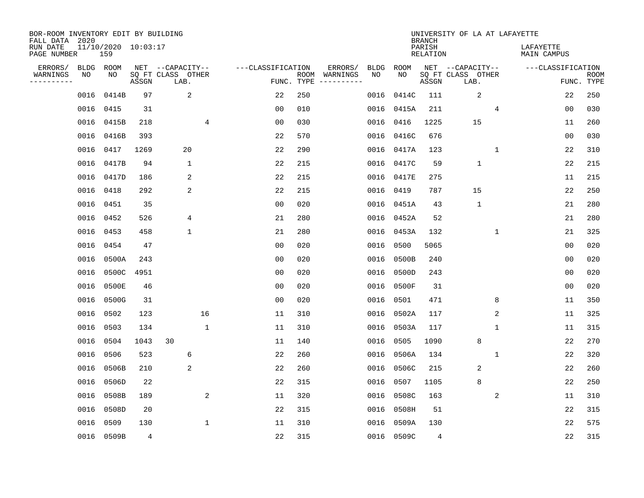| BOR-ROOM INVENTORY EDIT BY BUILDING<br>FALL DATA 2020 |      |                            |       |                           |              |                   |                    |          |             |             | <b>BRANCH</b>             | UNIVERSITY OF LA AT LAFAYETTE |             |                          |                           |
|-------------------------------------------------------|------|----------------------------|-------|---------------------------|--------------|-------------------|--------------------|----------|-------------|-------------|---------------------------|-------------------------------|-------------|--------------------------|---------------------------|
| RUN DATE<br>PAGE NUMBER                               |      | 11/10/2020 10:03:17<br>159 |       |                           |              |                   |                    |          |             |             | PARISH<br><b>RELATION</b> |                               |             | LAFAYETTE<br>MAIN CAMPUS |                           |
| ERRORS/                                               | BLDG | ROOM                       |       | NET --CAPACITY--          |              | ---CLASSIFICATION |                    | ERRORS/  | <b>BLDG</b> | <b>ROOM</b> |                           | NET --CAPACITY--              |             | ---CLASSIFICATION        |                           |
| WARNINGS<br>----------                                | NO   | NO                         | ASSGN | SQ FT CLASS OTHER<br>LAB. |              |                   | ROOM<br>FUNC. TYPE | WARNINGS | NO          | NO          | ASSGN                     | SQ FT CLASS OTHER<br>LAB.     |             |                          | <b>ROOM</b><br>FUNC. TYPE |
|                                                       | 0016 | 0414B                      | 97    | $\overline{c}$            |              | 22                | 250                |          | 0016        | 0414C       | 111                       | $\sqrt{2}$                    |             | 22                       | 250                       |
|                                                       | 0016 | 0415                       | 31    |                           |              | 0 <sub>0</sub>    | 010                |          | 0016        | 0415A       | 211                       |                               | 4           | 00                       | 030                       |
|                                                       | 0016 | 0415B                      | 218   |                           | 4            | 0 <sub>0</sub>    | 030                |          | 0016        | 0416        | 1225                      | 15                            |             | 11                       | 260                       |
|                                                       | 0016 | 0416B                      | 393   |                           |              | 22                | 570                |          |             | 0016 0416C  | 676                       |                               |             | 0 <sub>0</sub>           | 030                       |
|                                                       | 0016 | 0417                       | 1269  | 20                        |              | 22                | 290                |          | 0016        | 0417A       | 123                       |                               | $\mathbf 1$ | 22                       | 310                       |
|                                                       | 0016 | 0417B                      | 94    | $\mathbf{1}$              |              | 22                | 215                |          |             | 0016 0417C  | 59                        | $\mathbf{1}$                  |             | 22                       | 215                       |
|                                                       | 0016 | 0417D                      | 186   | 2                         |              | 22                | 215                |          | 0016        | 0417E       | 275                       |                               |             | 11                       | 215                       |
|                                                       | 0016 | 0418                       | 292   | 2                         |              | 22                | 215                |          |             | 0016 0419   | 787                       | 15                            |             | 22                       | 250                       |
|                                                       | 0016 | 0451                       | 35    |                           |              | 0 <sub>0</sub>    | 020                |          | 0016        | 0451A       | 43                        | $\mathbf{1}$                  |             | 21                       | 280                       |
|                                                       | 0016 | 0452                       | 526   | 4                         |              | 21                | 280                |          |             | 0016 0452A  | 52                        |                               |             | 21                       | 280                       |
|                                                       | 0016 | 0453                       | 458   | $\mathbf 1$               |              | 21                | 280                |          |             | 0016 0453A  | 132                       |                               | $\mathbf 1$ | 21                       | 325                       |
|                                                       | 0016 | 0454                       | 47    |                           |              | 0 <sub>0</sub>    | 020                |          | 0016        | 0500        | 5065                      |                               |             | 0 <sub>0</sub>           | 020                       |
|                                                       | 0016 | 0500A                      | 243   |                           |              | 00                | 020                |          | 0016        | 0500B       | 240                       |                               |             | 0 <sub>0</sub>           | 020                       |
|                                                       | 0016 | 0500C                      | 4951  |                           |              | 0 <sub>0</sub>    | 020                |          | 0016        | 0500D       | 243                       |                               |             | 0 <sub>0</sub>           | 020                       |
|                                                       | 0016 | 0500E                      | 46    |                           |              | 0 <sub>0</sub>    | 020                |          |             | 0016 0500F  | 31                        |                               |             | 0 <sub>0</sub>           | 020                       |
|                                                       | 0016 | 0500G                      | 31    |                           |              | 0 <sub>0</sub>    | 020                |          |             | 0016 0501   | 471                       |                               | 8           | 11                       | 350                       |
|                                                       | 0016 | 0502                       | 123   |                           | 16           | 11                | 310                |          | 0016        | 0502A       | 117                       |                               | 2           | 11                       | 325                       |
|                                                       | 0016 | 0503                       | 134   |                           | $\mathbf{1}$ | 11                | 310                |          | 0016        | 0503A       | 117                       |                               | 1           | 11                       | 315                       |
|                                                       | 0016 | 0504                       | 1043  | 30                        |              | 11                | 140                |          | 0016        | 0505        | 1090                      | 8                             |             | 22                       | 270                       |
|                                                       | 0016 | 0506                       | 523   | 6                         |              | 22                | 260                |          | 0016        | 0506A       | 134                       |                               | 1           | 22                       | 320                       |
|                                                       | 0016 | 0506B                      | 210   | 2                         |              | 22                | 260                |          | 0016        | 0506C       | 215                       | 2                             |             | 22                       | 260                       |
|                                                       | 0016 | 0506D                      | 22    |                           |              | 22                | 315                |          | 0016        | 0507        | 1105                      | 8                             |             | 22                       | 250                       |
|                                                       | 0016 | 0508B                      | 189   |                           | 2            | 11                | 320                |          | 0016        | 0508C       | 163                       |                               | 2           | 11                       | 310                       |
|                                                       | 0016 | 0508D                      | 20    |                           |              | 22                | 315                |          |             | 0016 0508H  | 51                        |                               |             | 22                       | 315                       |
|                                                       | 0016 | 0509                       | 130   |                           | $\mathbf{1}$ | 11                | 310                |          |             | 0016 0509A  | 130                       |                               |             | 22                       | 575                       |
|                                                       |      | 0016 0509B                 | 4     |                           |              | 22                | 315                |          |             | 0016 0509C  | $\overline{4}$            |                               |             | 22                       | 315                       |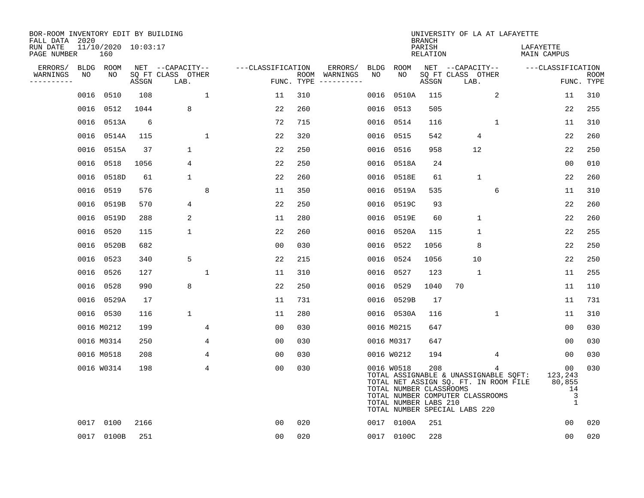| BOR-ROOM INVENTORY EDIT BY BUILDING<br>FALL DATA 2020 |      |                            |       |                           |             |                   |     |                                      |      |                                                                | <b>BRANCH</b>             | UNIVERSITY OF LA AT LAFAYETTE                                                                                                                       |             |                                                   |                           |
|-------------------------------------------------------|------|----------------------------|-------|---------------------------|-------------|-------------------|-----|--------------------------------------|------|----------------------------------------------------------------|---------------------------|-----------------------------------------------------------------------------------------------------------------------------------------------------|-------------|---------------------------------------------------|---------------------------|
| RUN DATE<br>PAGE NUMBER                               |      | 11/10/2020 10:03:17<br>160 |       |                           |             |                   |     |                                      |      |                                                                | PARISH<br><b>RELATION</b> |                                                                                                                                                     |             | LAFAYETTE<br>MAIN CAMPUS                          |                           |
| ERRORS/                                               |      | BLDG ROOM                  |       | NET --CAPACITY--          |             | ---CLASSIFICATION |     | ERRORS/                              | BLDG | ROOM                                                           |                           | NET --CAPACITY--                                                                                                                                    |             | ---CLASSIFICATION                                 |                           |
| WARNINGS<br>----------                                | NO   | NO                         | ASSGN | SQ FT CLASS OTHER<br>LAB. |             |                   |     | ROOM WARNINGS<br>FUNC. TYPE $------$ | NO   | NO                                                             | ASSGN                     | SQ FT CLASS OTHER<br>LAB.                                                                                                                           |             |                                                   | <b>ROOM</b><br>FUNC. TYPE |
|                                                       | 0016 | 0510                       | 108   |                           | $\mathbf 1$ | 11                | 310 |                                      | 0016 | 0510A                                                          | 115                       |                                                                                                                                                     | 2           | 11                                                | 310                       |
|                                                       | 0016 | 0512                       | 1044  | 8                         |             | 22                | 260 |                                      |      | 0016 0513                                                      | 505                       |                                                                                                                                                     |             | 22                                                | 255                       |
|                                                       |      | 0016 0513A                 | 6     |                           |             | 72                | 715 |                                      |      | 0016 0514                                                      | 116                       |                                                                                                                                                     | 1           | 11                                                | 310                       |
|                                                       |      | 0016 0514A                 | 115   |                           | 1           | 22                | 320 |                                      |      | 0016 0515                                                      | 542                       | 4                                                                                                                                                   |             | 22                                                | 260                       |
|                                                       | 0016 | 0515A                      | 37    | $\mathbf 1$               |             | 22                | 250 |                                      |      | 0016 0516                                                      | 958                       | 12                                                                                                                                                  |             | 22                                                | 250                       |
|                                                       |      | 0016 0518                  | 1056  | 4                         |             | 22                | 250 |                                      |      | 0016 0518A                                                     | 24                        |                                                                                                                                                     |             | 00                                                | 010                       |
|                                                       |      | 0016 0518D                 | 61    | $\mathbf{1}$              |             | 22                | 260 |                                      |      | 0016 0518E                                                     | 61                        | $\mathbf{1}$                                                                                                                                        |             | 22                                                | 260                       |
|                                                       |      | 0016 0519                  | 576   |                           | 8           | 11                | 350 |                                      |      | 0016 0519A                                                     | 535                       |                                                                                                                                                     | 6           | 11                                                | 310                       |
|                                                       | 0016 | 0519B                      | 570   | 4                         |             | 22                | 250 |                                      | 0016 | 0519C                                                          | 93                        |                                                                                                                                                     |             | 22                                                | 260                       |
|                                                       |      | 0016 0519D                 | 288   | 2                         |             | 11                | 280 |                                      |      | 0016 0519E                                                     | 60                        | $\mathbf{1}$                                                                                                                                        |             | 22                                                | 260                       |
|                                                       | 0016 | 0520                       | 115   | $\mathbf 1$               |             | 22                | 260 |                                      | 0016 | 0520A                                                          | 115                       | $\mathbf{1}$                                                                                                                                        |             | 22                                                | 255                       |
|                                                       | 0016 | 0520B                      | 682   |                           |             | 0 <sub>0</sub>    | 030 |                                      |      | 0016 0522                                                      | 1056                      | 8                                                                                                                                                   |             | 22                                                | 250                       |
|                                                       | 0016 | 0523                       | 340   | 5                         |             | 22                | 215 |                                      | 0016 | 0524                                                           | 1056                      | 10                                                                                                                                                  |             | 22                                                | 250                       |
|                                                       | 0016 | 0526                       | 127   |                           | 1           | 11                | 310 |                                      |      | 0016 0527                                                      | 123                       | 1                                                                                                                                                   |             | 11                                                | 255                       |
|                                                       |      | 0016 0528                  | 990   | 8                         |             | 22                | 250 |                                      |      | 0016 0529                                                      | 1040                      | 70                                                                                                                                                  |             | 11                                                | 110                       |
|                                                       |      | 0016 0529A                 | 17    |                           |             | 11                | 731 |                                      |      | 0016 0529B                                                     | 17                        |                                                                                                                                                     |             | 11                                                | 731                       |
|                                                       |      | 0016 0530                  | 116   | $\mathbf{1}$              |             | 11                | 280 |                                      |      | 0016 0530A                                                     | 116                       |                                                                                                                                                     | $\mathbf 1$ | 11                                                | 310                       |
|                                                       |      | 0016 M0212                 | 199   |                           | 4           | 00                | 030 |                                      |      | 0016 M0215                                                     | 647                       |                                                                                                                                                     |             | 0 <sub>0</sub>                                    | 030                       |
|                                                       |      | 0016 M0314                 | 250   |                           | 4           | 0 <sub>0</sub>    | 030 |                                      |      | 0016 M0317                                                     | 647                       |                                                                                                                                                     |             | 00                                                | 030                       |
|                                                       |      | 0016 M0518                 | 208   |                           | 4           | 0 <sub>0</sub>    | 030 |                                      |      | 0016 W0212                                                     | 194                       |                                                                                                                                                     | 4           | 0 <sub>0</sub>                                    | 030                       |
|                                                       |      | 0016 W0314                 | 198   |                           | 4           | 0 <sub>0</sub>    | 030 |                                      |      | 0016 W0518<br>TOTAL NUMBER CLASSROOMS<br>TOTAL NUMBER LABS 210 | 208                       | TOTAL ASSIGNABLE & UNASSIGNABLE SQFT:<br>TOTAL NET ASSIGN SQ. FT. IN ROOM FILE<br>TOTAL NUMBER COMPUTER CLASSROOMS<br>TOTAL NUMBER SPECIAL LABS 220 |             | 00<br>123,243<br>80,855<br>14<br>3<br>$\mathbf 1$ | 030                       |
|                                                       |      | 0017 0100                  | 2166  |                           |             | 0 <sub>0</sub>    | 020 |                                      |      | 0017 0100A                                                     | 251                       |                                                                                                                                                     |             | 00                                                | 020                       |
|                                                       |      | 0017 0100B                 | 251   |                           |             | 00                | 020 |                                      |      | 0017 0100C                                                     | 228                       |                                                                                                                                                     |             | 0 <sub>0</sub>                                    | 020                       |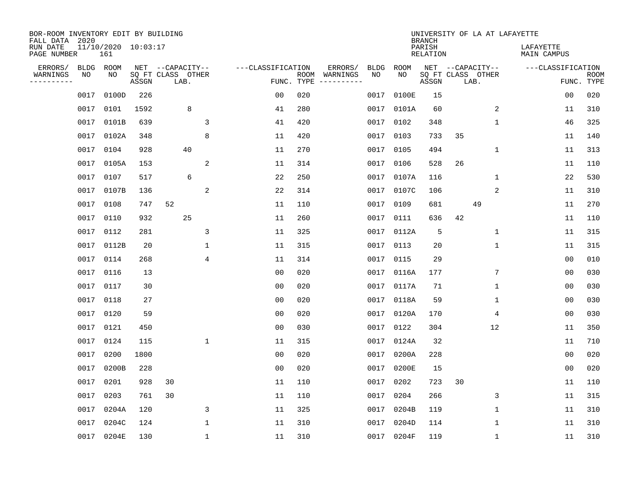| BOR-ROOM INVENTORY EDIT BY BUILDING<br>FALL DATA 2020<br>RUN DATE |                   | $11/10/2020$ $10:03:17$ |       |                                               |              |                   |                    |                     |            |            | <b>BRANCH</b><br>PARISH |    |                                               | UNIVERSITY OF LA AT LAFAYETTE<br>LAFAYETTE |                |                           |
|-------------------------------------------------------------------|-------------------|-------------------------|-------|-----------------------------------------------|--------------|-------------------|--------------------|---------------------|------------|------------|-------------------------|----|-----------------------------------------------|--------------------------------------------|----------------|---------------------------|
| PAGE NUMBER                                                       |                   | 161                     |       |                                               |              |                   |                    |                     |            |            | RELATION                |    |                                               | MAIN CAMPUS                                |                |                           |
| ERRORS/<br>WARNINGS<br>---------                                  | <b>BLDG</b><br>NO | ROOM<br>NO              | ASSGN | NET --CAPACITY--<br>SQ FT CLASS OTHER<br>LAB. |              | ---CLASSIFICATION | ROOM<br>FUNC. TYPE | ERRORS/<br>WARNINGS | BLDG<br>NO | ROOM<br>NO | ASSGN                   |    | NET --CAPACITY--<br>SQ FT CLASS OTHER<br>LAB. | ---CLASSIFICATION                          |                | <b>ROOM</b><br>FUNC. TYPE |
|                                                                   | 0017              | 0100D                   | 226   |                                               |              | 0 <sub>0</sub>    | 020                |                     | 0017       | 0100E      | 15                      |    |                                               |                                            | 0 <sub>0</sub> | 020                       |
|                                                                   | 0017              | 0101                    | 1592  | 8                                             |              | 41                | 280                |                     |            | 0017 0101A | 60                      |    | 2                                             |                                            | 11             | 310                       |
|                                                                   | 0017              | 0101B                   | 639   |                                               | 3            | 41                | 420                |                     | 0017       | 0102       | 348                     |    | $\mathbf{1}$                                  |                                            | 46             | 325                       |
|                                                                   | 0017              | 0102A                   | 348   |                                               | 8            | 11                | 420                |                     |            | 0017 0103  | 733                     | 35 |                                               |                                            | 11             | 140                       |
|                                                                   | 0017              | 0104                    | 928   | 40                                            |              | 11                | 270                |                     | 0017       | 0105       | 494                     |    | $\mathbf 1$                                   |                                            | 11             | 313                       |
|                                                                   | 0017              | 0105A                   | 153   |                                               | 2            | 11                | 314                |                     |            | 0017 0106  | 528                     | 26 |                                               |                                            | 11             | 110                       |
|                                                                   | 0017              | 0107                    | 517   | 6                                             |              | 22                | 250                |                     |            | 0017 0107A | 116                     |    | $\mathbf 1$                                   |                                            | 22             | 530                       |
|                                                                   | 0017              | 0107B                   | 136   |                                               | 2            | 22                | 314                |                     |            | 0017 0107C | 106                     |    | 2                                             |                                            | 11             | 310                       |
|                                                                   | 0017              | 0108                    | 747   | 52                                            |              | 11                | 110                |                     | 0017       | 0109       | 681                     |    | 49                                            |                                            | 11             | 270                       |
|                                                                   | 0017              | 0110                    | 932   | 25                                            |              | 11                | 260                |                     |            | 0017 0111  | 636                     | 42 |                                               |                                            | 11             | 110                       |
|                                                                   | 0017              | 0112                    | 281   |                                               | 3            | 11                | 325                |                     | 0017       | 0112A      | 5                       |    | $\mathbf 1$                                   |                                            | 11             | 315                       |
|                                                                   | 0017              | 0112B                   | 20    |                                               | 1            | 11                | 315                |                     |            | 0017 0113  | 20                      |    | $\mathbf 1$                                   |                                            | 11             | 315                       |
|                                                                   | 0017              | 0114                    | 268   |                                               | 4            | 11                | 314                |                     | 0017       | 0115       | 29                      |    |                                               |                                            | 0 <sub>0</sub> | 010                       |
|                                                                   | 0017              | 0116                    | 13    |                                               |              | 0 <sub>0</sub>    | 020                |                     | 0017       | 0116A      | 177                     |    | 7                                             |                                            | 0 <sub>0</sub> | 030                       |
|                                                                   | 0017              | 0117                    | 30    |                                               |              | 00                | 020                |                     | 0017       | 0117A      | 71                      |    | 1                                             |                                            | 00             | 030                       |
|                                                                   | 0017              | 0118                    | 27    |                                               |              | 0 <sub>0</sub>    | 020                |                     | 0017       | 0118A      | 59                      |    | 1                                             |                                            | 0 <sub>0</sub> | 030                       |
|                                                                   | 0017              | 0120                    | 59    |                                               |              | 0 <sub>0</sub>    | 020                |                     | 0017       | 0120A      | 170                     |    | 4                                             |                                            | 0 <sub>0</sub> | 030                       |
|                                                                   | 0017              | 0121                    | 450   |                                               |              | 0 <sub>0</sub>    | 030                |                     | 0017       | 0122       | 304                     |    | 12                                            |                                            | 11             | 350                       |
|                                                                   | 0017              | 0124                    | 115   |                                               | $\mathbf{1}$ | 11                | 315                |                     | 0017       | 0124A      | 32                      |    |                                               |                                            | 11             | 710                       |
|                                                                   | 0017              | 0200                    | 1800  |                                               |              | 0 <sub>0</sub>    | 020                |                     | 0017       | 0200A      | 228                     |    |                                               |                                            | 0 <sub>0</sub> | 020                       |
|                                                                   | 0017              | 0200B                   | 228   |                                               |              | 0 <sub>0</sub>    | 020                |                     | 0017       | 0200E      | 15                      |    |                                               |                                            | 0 <sub>0</sub> | 020                       |
|                                                                   | 0017              | 0201                    | 928   | 30                                            |              | 11                | 110                |                     | 0017       | 0202       | 723                     | 30 |                                               |                                            | 11             | 110                       |
|                                                                   | 0017              | 0203                    | 761   | 30                                            |              | 11                | 110                |                     | 0017       | 0204       | 266                     |    | 3                                             |                                            | 11             | 315                       |
|                                                                   | 0017              | 0204A                   | 120   |                                               | 3            | 11                | 325                |                     | 0017       | 0204B      | 119                     |    | 1                                             |                                            | 11             | 310                       |
|                                                                   | 0017              | 0204C                   | 124   |                                               | $\mathbf{1}$ | 11                | 310                |                     | 0017       | 0204D      | 114                     |    | 1                                             |                                            | 11             | 310                       |
|                                                                   |                   | 0017 0204E              | 130   |                                               | 1            | 11                | 310                |                     |            | 0017 0204F | 119                     |    | 1                                             |                                            | 11             | 310                       |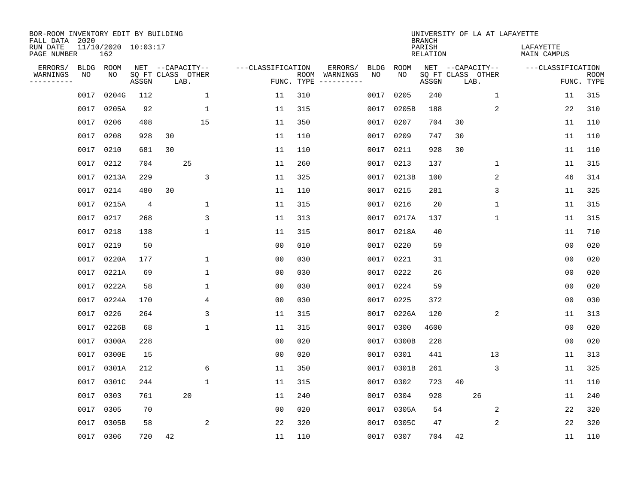| BOR-ROOM INVENTORY EDIT BY BUILDING<br>FALL DATA 2020 |             |                            |                |    |                           |              |                   |                    |          |      |            | <b>BRANCH</b>             | UNIVERSITY OF LA AT LAFAYETTE |      |             |                          |                |                           |
|-------------------------------------------------------|-------------|----------------------------|----------------|----|---------------------------|--------------|-------------------|--------------------|----------|------|------------|---------------------------|-------------------------------|------|-------------|--------------------------|----------------|---------------------------|
| RUN DATE<br>PAGE NUMBER                               |             | 11/10/2020 10:03:17<br>162 |                |    |                           |              |                   |                    |          |      |            | PARISH<br><b>RELATION</b> |                               |      |             | LAFAYETTE<br>MAIN CAMPUS |                |                           |
| ERRORS/                                               | <b>BLDG</b> | ROOM                       |                |    | NET --CAPACITY--          |              | ---CLASSIFICATION |                    | ERRORS/  | BLDG | ROOM       |                           | NET --CAPACITY--              |      |             | ---CLASSIFICATION        |                |                           |
| WARNINGS<br>----------                                | NO          | NO                         | ASSGN          |    | SQ FT CLASS OTHER<br>LAB. |              |                   | ROOM<br>FUNC. TYPE | WARNINGS | NO   | NO         | ASSGN                     | SO FT CLASS OTHER             | LAB. |             |                          |                | <b>ROOM</b><br>FUNC. TYPE |
|                                                       | 0017        | 0204G                      | 112            |    |                           | $\mathbf 1$  | 11                | 310                |          | 0017 | 0205       | 240                       |                               |      | $\mathbf 1$ |                          | 11             | 315                       |
|                                                       | 0017        | 0205A                      | 92             |    |                           | 1            | 11                | 315                |          | 0017 | 0205B      | 188                       |                               |      | 2           |                          | 22             | 310                       |
|                                                       | 0017        | 0206                       | 408            |    | 15                        |              | 11                | 350                |          | 0017 | 0207       | 704                       | 30                            |      |             |                          | 11             | 110                       |
|                                                       | 0017        | 0208                       | 928            | 30 |                           |              | 11                | 110                |          | 0017 | 0209       | 747                       | 30                            |      |             |                          | 11             | 110                       |
|                                                       | 0017        | 0210                       | 681            | 30 |                           |              | 11                | 110                |          | 0017 | 0211       | 928                       | 30                            |      |             |                          | 11             | 110                       |
|                                                       | 0017        | 0212                       | 704            |    | 25                        |              | 11                | 260                |          | 0017 | 0213       | 137                       |                               |      | $\mathbf 1$ |                          | 11             | 315                       |
|                                                       | 0017        | 0213A                      | 229            |    |                           | 3            | 11                | 325                |          | 0017 | 0213B      | 100                       |                               |      | 2           |                          | 46             | 314                       |
|                                                       | 0017        | 0214                       | 480            | 30 |                           |              | 11                | 110                |          | 0017 | 0215       | 281                       |                               |      | 3           |                          | 11             | 325                       |
|                                                       | 0017        | 0215A                      | $\overline{4}$ |    |                           | $\mathbf{1}$ | 11                | 315                |          | 0017 | 0216       | 20                        |                               |      | $\mathbf 1$ |                          | 11             | 315                       |
|                                                       | 0017        | 0217                       | 268            |    |                           | 3            | 11                | 313                |          |      | 0017 0217A | 137                       |                               |      | $\mathbf 1$ |                          | 11             | 315                       |
|                                                       | 0017        | 0218                       | 138            |    |                           | $\mathbf{1}$ | 11                | 315                |          | 0017 | 0218A      | 40                        |                               |      |             |                          | 11             | 710                       |
|                                                       | 0017        | 0219                       | 50             |    |                           |              | 0 <sub>0</sub>    | 010                |          | 0017 | 0220       | 59                        |                               |      |             |                          | 0 <sub>0</sub> | 020                       |
|                                                       | 0017        | 0220A                      | 177            |    |                           | $\mathbf{1}$ | 0 <sub>0</sub>    | 030                |          | 0017 | 0221       | 31                        |                               |      |             |                          | 0 <sub>0</sub> | 020                       |
|                                                       | 0017        | 0221A                      | 69             |    |                           | $\mathbf{1}$ | 00                | 030                |          | 0017 | 0222       | 26                        |                               |      |             |                          | 0 <sub>0</sub> | 020                       |
|                                                       | 0017        | 0222A                      | 58             |    |                           | 1            | 0 <sub>0</sub>    | 030                |          | 0017 | 0224       | 59                        |                               |      |             |                          | 00             | 020                       |
|                                                       | 0017        | 0224A                      | 170            |    |                           | 4            | 0 <sub>0</sub>    | 030                |          | 0017 | 0225       | 372                       |                               |      |             |                          | 0 <sub>0</sub> | 030                       |
|                                                       | 0017        | 0226                       | 264            |    |                           | 3            | 11                | 315                |          | 0017 | 0226A      | 120                       |                               |      | 2           |                          | 11             | 313                       |
|                                                       | 0017        | 0226B                      | 68             |    |                           | 1            | 11                | 315                |          | 0017 | 0300       | 4600                      |                               |      |             |                          | 0 <sub>0</sub> | 020                       |
|                                                       | 0017        | 0300A                      | 228            |    |                           |              | 0 <sub>0</sub>    | 020                |          | 0017 | 0300B      | 228                       |                               |      |             |                          | 00             | 020                       |
|                                                       | 0017        | 0300E                      | 15             |    |                           |              | 0 <sub>0</sub>    | 020                |          | 0017 | 0301       | 441                       |                               | 13   |             |                          | 11             | 313                       |
|                                                       | 0017        | 0301A                      | 212            |    |                           | 6            | 11                | 350                |          | 0017 | 0301B      | 261                       |                               |      | 3           |                          | 11             | 325                       |
|                                                       | 0017        | 0301C                      | 244            |    |                           | 1            | 11                | 315                |          | 0017 | 0302       | 723                       | 40                            |      |             |                          | 11             | 110                       |
|                                                       | 0017        | 0303                       | 761            |    | 20                        |              | 11                | 240                |          | 0017 | 0304       | 928                       |                               | 26   |             |                          | 11             | 240                       |
|                                                       | 0017        | 0305                       | 70             |    |                           |              | 0 <sub>0</sub>    | 020                |          | 0017 | 0305A      | 54                        |                               |      | 2           |                          | 22             | 320                       |
|                                                       | 0017        | 0305B                      | 58             |    |                           | 2            | 22                | 320                |          | 0017 | 0305C      | 47                        |                               |      | 2           |                          | 22             | 320                       |
|                                                       |             | 0017 0306                  | 720            | 42 |                           |              | 11                | 110                |          | 0017 | 0307       | 704                       | 42                            |      |             |                          | 11             | 110                       |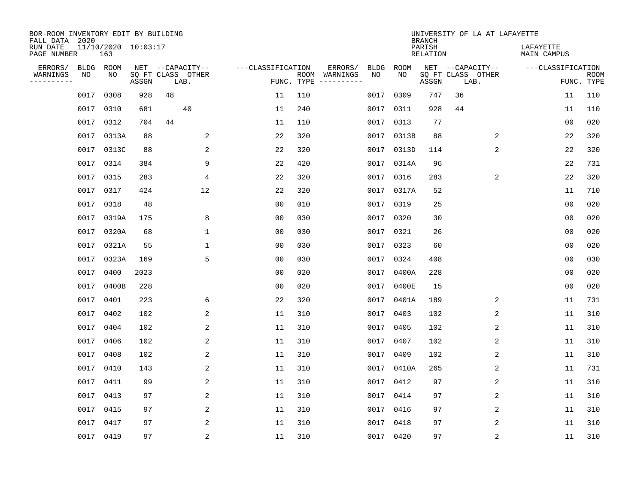| BOR-ROOM INVENTORY EDIT BY BUILDING<br>FALL DATA 2020 |           |                            |       |                           |                   |     |                                      |             |             | <b>BRANCH</b>             | UNIVERSITY OF LA AT LAFAYETTE |                          |                           |
|-------------------------------------------------------|-----------|----------------------------|-------|---------------------------|-------------------|-----|--------------------------------------|-------------|-------------|---------------------------|-------------------------------|--------------------------|---------------------------|
| RUN DATE<br>PAGE NUMBER                               |           | 11/10/2020 10:03:17<br>163 |       |                           |                   |     |                                      |             |             | PARISH<br><b>RELATION</b> |                               | LAFAYETTE<br>MAIN CAMPUS |                           |
| ERRORS/                                               | BLDG ROOM |                            |       | NET --CAPACITY--          | ---CLASSIFICATION |     | ERRORS/                              | <b>BLDG</b> | <b>ROOM</b> |                           | NET --CAPACITY--              | ---CLASSIFICATION        |                           |
| WARNINGS<br>----------                                | NO        | NO                         | ASSGN | SQ FT CLASS OTHER<br>LAB. |                   |     | ROOM WARNINGS<br>FUNC. TYPE $------$ | NO          | NO          | ASSGN                     | SQ FT CLASS OTHER<br>LAB.     |                          | <b>ROOM</b><br>FUNC. TYPE |
|                                                       | 0017      | 0308                       | 928   | 48                        | 11                | 110 |                                      | 0017        | 0309        | 747                       | 36                            | 11                       | 110                       |
|                                                       | 0017      | 0310                       | 681   | 40                        | 11                | 240 |                                      |             | 0017 0311   | 928                       | 44                            | 11                       | 110                       |
|                                                       | 0017      | 0312                       | 704   | 44                        | 11                | 110 |                                      |             | 0017 0313   | 77                        |                               | 00                       | 020                       |
|                                                       | 0017      | 0313A                      | 88    | 2                         | 22                | 320 |                                      |             | 0017 0313B  | 88                        | 2                             | 22                       | 320                       |
|                                                       | 0017      | 0313C                      | 88    | 2                         | 22                | 320 |                                      |             | 0017 0313D  | 114                       | 2                             | 22                       | 320                       |
|                                                       | 0017      | 0314                       | 384   | 9                         | 22                | 420 |                                      |             | 0017 0314A  | 96                        |                               | 22                       | 731                       |
|                                                       | 0017      | 0315                       | 283   | $\overline{4}$            | 22                | 320 |                                      |             | 0017 0316   | 283                       | 2                             | 22                       | 320                       |
|                                                       | 0017      | 0317                       | 424   | 12                        | 22                | 320 |                                      |             | 0017 0317A  | 52                        |                               | 11                       | 710                       |
|                                                       | 0017      | 0318                       | 48    |                           | 0 <sub>0</sub>    | 010 |                                      | 0017        | 0319        | 25                        |                               | 0 <sub>0</sub>           | 020                       |
|                                                       | 0017      | 0319A                      | 175   | 8                         | 0 <sub>0</sub>    | 030 |                                      |             | 0017 0320   | 30                        |                               | 0 <sub>0</sub>           | 020                       |
|                                                       | 0017      | 0320A                      | 68    | $\mathbf 1$               | 0 <sub>0</sub>    | 030 |                                      | 0017        | 0321        | 26                        |                               | 0 <sub>0</sub>           | 020                       |
|                                                       | 0017      | 0321A                      | 55    | $\mathbf{1}$              | 0 <sub>0</sub>    | 030 |                                      |             | 0017 0323   | 60                        |                               | 0 <sub>0</sub>           | 020                       |
|                                                       | 0017      | 0323A                      | 169   | 5                         | 0 <sub>0</sub>    | 030 |                                      | 0017        | 0324        | 408                       |                               | 0 <sub>0</sub>           | 030                       |
|                                                       | 0017      | 0400                       | 2023  |                           | 0 <sub>0</sub>    | 020 |                                      | 0017        | 0400A       | 228                       |                               | 0 <sub>0</sub>           | 020                       |
|                                                       | 0017      | 0400B                      | 228   |                           | 0 <sub>0</sub>    | 020 |                                      | 0017        | 0400E       | 15                        |                               | 0 <sub>0</sub>           | 020                       |
|                                                       | 0017      | 0401                       | 223   | 6                         | 22                | 320 |                                      | 0017        | 0401A       | 189                       | 2                             | 11                       | 731                       |
|                                                       | 0017      | 0402                       | 102   | 2                         | 11                | 310 |                                      | 0017        | 0403        | 102                       | 2                             | 11                       | 310                       |
|                                                       | 0017      | 0404                       | 102   | 2                         | 11                | 310 |                                      | 0017        | 0405        | 102                       | 2                             | 11                       | 310                       |
|                                                       | 0017      | 0406                       | 102   | 2                         | 11                | 310 |                                      |             | 0017 0407   | 102                       | 2                             | 11                       | 310                       |
|                                                       | 0017      | 0408                       | 102   | 2                         | 11                | 310 |                                      |             | 0017 0409   | 102                       | 2                             | 11                       | 310                       |
|                                                       | 0017      | 0410                       | 143   | 2                         | 11                | 310 |                                      |             | 0017 0410A  | 265                       | 2                             | 11                       | 731                       |
|                                                       | 0017      | 0411                       | 99    | $\overline{c}$            | 11                | 310 |                                      | 0017        | 0412        | 97                        | $\sqrt{2}$                    | 11                       | 310                       |
|                                                       | 0017      | 0413                       | 97    | 2                         | 11                | 310 |                                      |             | 0017 0414   | 97                        | 2                             | 11                       | 310                       |
|                                                       | 0017      | 0415                       | 97    | 2                         | 11                | 310 |                                      |             | 0017 0416   | 97                        | 2                             | 11                       | 310                       |
|                                                       | 0017      | 0417                       | 97    | 2                         | 11                | 310 |                                      |             | 0017 0418   | 97                        | 2                             | 11                       | 310                       |
|                                                       | 0017 0419 |                            | 97    | 2                         | 11                | 310 |                                      |             | 0017 0420   | 97                        | 2                             | 11                       | 310                       |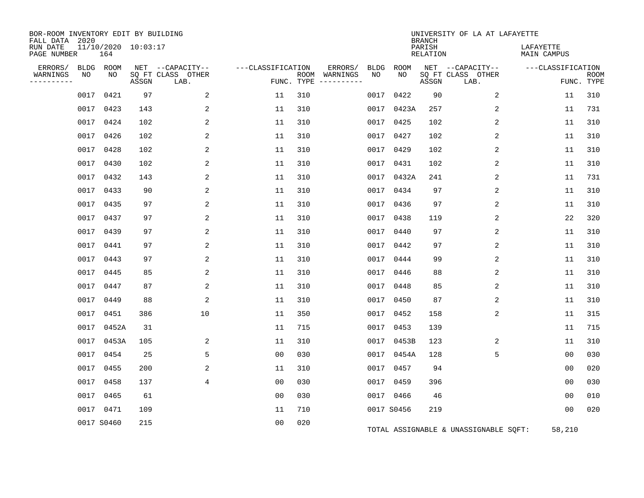| BOR-ROOM INVENTORY EDIT BY BUILDING<br>FALL DATA 2020 |      |                            |       |                           |                   |     |                                      |      |            | <b>BRANCH</b>             | UNIVERSITY OF LA AT LAFAYETTE         |                                 |                           |
|-------------------------------------------------------|------|----------------------------|-------|---------------------------|-------------------|-----|--------------------------------------|------|------------|---------------------------|---------------------------------------|---------------------------------|---------------------------|
| RUN DATE<br>PAGE NUMBER                               |      | 11/10/2020 10:03:17<br>164 |       |                           |                   |     |                                      |      |            | PARISH<br><b>RELATION</b> |                                       | LAFAYETTE<br><b>MAIN CAMPUS</b> |                           |
| ERRORS/                                               |      | BLDG ROOM                  |       | NET --CAPACITY--          | ---CLASSIFICATION |     | ERRORS/                              | BLDG | ROOM       |                           | NET --CAPACITY--                      | ---CLASSIFICATION               |                           |
| WARNINGS<br>----------                                | NO   | NO.                        | ASSGN | SQ FT CLASS OTHER<br>LAB. |                   |     | ROOM WARNINGS<br>FUNC. TYPE $------$ | NO   | NO.        | ASSGN                     | SQ FT CLASS OTHER<br>LAB.             |                                 | <b>ROOM</b><br>FUNC. TYPE |
|                                                       |      | 0017 0421                  | 97    | 2                         | 11                | 310 |                                      | 0017 | 0422       | 90                        | 2                                     | 11                              | 310                       |
|                                                       | 0017 | 0423                       | 143   | 2                         | 11                | 310 |                                      | 0017 | 0423A      | 257                       | 2                                     | 11                              | 731                       |
|                                                       |      | 0017 0424                  | 102   | 2                         | 11                | 310 |                                      |      | 0017 0425  | 102                       | 2                                     | 11                              | 310                       |
|                                                       |      | 0017 0426                  | 102   | 2                         | 11                | 310 |                                      | 0017 | 0427       | 102                       | 2                                     | 11                              | 310                       |
|                                                       |      | 0017 0428                  | 102   | 2                         | 11                | 310 |                                      |      | 0017 0429  | 102                       | 2                                     | 11                              | 310                       |
|                                                       |      | 0017 0430                  | 102   | 2                         | 11                | 310 |                                      |      | 0017 0431  | 102                       | 2                                     | 11                              | 310                       |
|                                                       |      | 0017 0432                  | 143   | 2                         | 11                | 310 |                                      |      | 0017 0432A | 241                       | 2                                     | 11                              | 731                       |
|                                                       |      | 0017 0433                  | 90    | 2                         | 11                | 310 |                                      | 0017 | 0434       | 97                        | 2                                     | 11                              | 310                       |
|                                                       |      | 0017 0435                  | 97    | 2                         | 11                | 310 |                                      |      | 0017 0436  | 97                        | 2                                     | 11                              | 310                       |
|                                                       |      | 0017 0437                  | 97    | 2                         | 11                | 310 |                                      | 0017 | 0438       | 119                       | 2                                     | 22                              | 320                       |
|                                                       |      | 0017 0439                  | 97    | 2                         | 11                | 310 |                                      |      | 0017 0440  | 97                        | 2                                     | 11                              | 310                       |
|                                                       | 0017 | 0441                       | 97    | 2                         | 11                | 310 |                                      | 0017 | 0442       | 97                        | 2                                     | 11                              | 310                       |
|                                                       |      | 0017 0443                  | 97    | 2                         | 11                | 310 |                                      | 0017 | 0444       | 99                        | 2                                     | 11                              | 310                       |
|                                                       |      | 0017 0445                  | 85    | 2                         | 11                | 310 |                                      | 0017 | 0446       | 88                        | 2                                     | 11                              | 310                       |
|                                                       |      | 0017 0447                  | 87    | 2                         | 11                | 310 |                                      |      | 0017 0448  | 85                        | 2                                     | 11                              | 310                       |
|                                                       | 0017 | 0449                       | 88    | $\overline{2}$            | 11                | 310 |                                      | 0017 | 0450       | 87                        | 2                                     | 11                              | 310                       |
|                                                       |      | 0017 0451                  | 386   | 10                        | 11                | 350 |                                      | 0017 | 0452       | 158                       | 2                                     | 11                              | 315                       |
|                                                       |      | 0017 0452A                 | 31    |                           | 11                | 715 |                                      |      | 0017 0453  | 139                       |                                       | 11                              | 715                       |
|                                                       |      | 0017 0453A                 | 105   | 2                         | 11                | 310 |                                      |      | 0017 0453B | 123                       | 2                                     | 11                              | 310                       |
|                                                       |      | 0017 0454                  | 25    | 5                         | 0 <sub>0</sub>    | 030 |                                      |      | 0017 0454A | 128                       | 5                                     | 0 <sub>0</sub>                  | 030                       |
|                                                       |      | 0017 0455                  | 200   | 2                         | 11                | 310 |                                      |      | 0017 0457  | 94                        |                                       | 00                              | 020                       |
|                                                       |      | 0017 0458                  | 137   | 4                         | 0 <sub>0</sub>    | 030 |                                      |      | 0017 0459  | 396                       |                                       | 00                              | 030                       |
|                                                       |      | 0017 0465                  | 61    |                           | 0 <sub>0</sub>    | 030 |                                      |      | 0017 0466  | 46                        |                                       | 0 <sub>0</sub>                  | 010                       |
|                                                       |      | 0017 0471                  | 109   |                           | 11                | 710 |                                      |      | 0017 S0456 | 219                       |                                       | 00                              | 020                       |
|                                                       |      | 0017 S0460                 | 215   |                           | 0 <sub>0</sub>    | 020 |                                      |      |            |                           | TOTAL ASSIGNABLE & UNASSIGNABLE SOFT: | 58,210                          |                           |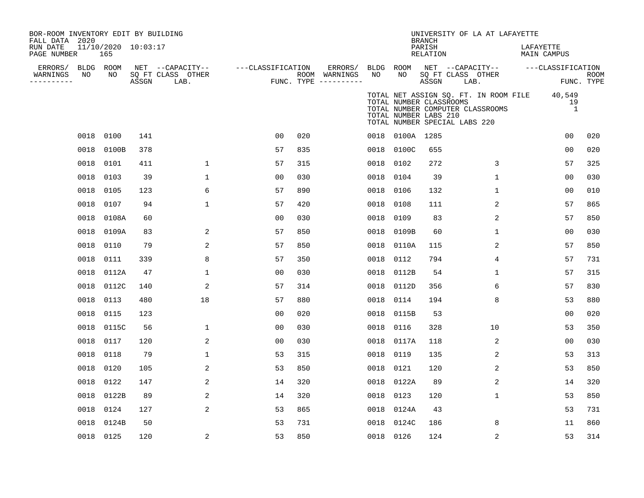| BOR-ROOM INVENTORY EDIT BY BUILDING<br>FALL DATA 2020<br>RUN DATE<br>PAGE NUMBER |                 | 11/10/2020 10:03:17<br>165 |       |                                               |                   |     |                                                           |           |                                                  | <b>BRANCH</b><br>PARISH<br>RELATION |                               | UNIVERSITY OF LA AT LAFAYETTE    | LAFAYETTE | <b>MAIN CAMPUS</b>                                                   |             |
|----------------------------------------------------------------------------------|-----------------|----------------------------|-------|-----------------------------------------------|-------------------|-----|-----------------------------------------------------------|-----------|--------------------------------------------------|-------------------------------------|-------------------------------|----------------------------------|-----------|----------------------------------------------------------------------|-------------|
| ERRORS/<br>WARNINGS<br>---------                                                 | BLDG ROOM<br>NO | NO                         | ASSGN | NET --CAPACITY--<br>SQ FT CLASS OTHER<br>LAB. | ---CLASSIFICATION |     | ERRORS/ BLDG ROOM<br>ROOM WARNINGS<br>FUNC. TYPE $------$ | NO        | NO                                               | ASSGN                               | SQ FT CLASS OTHER<br>LAB.     | NET --CAPACITY--                 |           | ---CLASSIFICATION<br>FUNC. TYPE                                      | <b>ROOM</b> |
|                                                                                  |                 |                            |       |                                               |                   |     |                                                           |           | TOTAL NUMBER CLASSROOMS<br>TOTAL NUMBER LABS 210 |                                     | TOTAL NUMBER SPECIAL LABS 220 | TOTAL NUMBER COMPUTER CLASSROOMS |           | TOTAL NET ASSIGN SQ. FT. IN ROOM FILE 40,549<br>19<br>$\overline{1}$ |             |
|                                                                                  |                 | 0018 0100                  | 141   |                                               | 0 <sub>0</sub>    | 020 |                                                           |           | 0018 0100A 1285                                  |                                     |                               |                                  |           | 0 <sub>0</sub>                                                       | 020         |
|                                                                                  | 0018            | 0100B                      | 378   |                                               | 57                | 835 |                                                           |           | 0018 0100C                                       | 655                                 |                               |                                  |           | 0 <sub>0</sub>                                                       | 020         |
|                                                                                  |                 | 0018 0101                  | 411   | $\mathbf 1$                                   | 57                | 315 |                                                           | 0018 0102 |                                                  | 272                                 |                               | 3                                |           | 57                                                                   | 325         |
|                                                                                  | 0018            | 0103                       | 39    | $\mathbf{1}$                                  | 00                | 030 |                                                           | 0018 0104 |                                                  | 39                                  |                               | $\mathbf{1}$                     |           | 0 <sup>0</sup>                                                       | 030         |
|                                                                                  |                 | 0018 0105                  | 123   | 6                                             | 57                | 890 |                                                           | 0018 0106 |                                                  | 132                                 |                               | $\mathbf{1}$                     |           | 0 <sup>0</sup>                                                       | 010         |
|                                                                                  | 0018            | 0107                       | 94    | $\mathbf 1$                                   | 57                | 420 |                                                           | 0018      | 0108                                             | 111                                 |                               | 2                                |           | 57                                                                   | 865         |
|                                                                                  | 0018            | 0108A                      | 60    |                                               | 0 <sub>0</sub>    | 030 |                                                           | 0018      | 0109                                             | 83                                  |                               | $\overline{2}$                   |           | 57                                                                   | 850         |
|                                                                                  | 0018            | 0109A                      | 83    | 2                                             | 57                | 850 |                                                           | 0018      | 0109B                                            | 60                                  |                               | 1                                |           | 0 <sub>0</sub>                                                       | 030         |
|                                                                                  |                 | 0018 0110                  | 79    | 2                                             | 57                | 850 |                                                           | 0018      | 0110A                                            | 115                                 |                               | 2                                |           | 57                                                                   | 850         |
|                                                                                  | 0018            | 0111                       | 339   | 8                                             | 57                | 350 |                                                           | 0018 0112 |                                                  | 794                                 |                               | 4                                |           | 57                                                                   | 731         |
|                                                                                  |                 | 0018 0112A                 | 47    | $\mathbf{1}$                                  | 00                | 030 |                                                           |           | 0018 0112B                                       | 54                                  |                               | $\mathbf{1}$                     |           | 57                                                                   | 315         |
|                                                                                  |                 | 0018 0112C                 | 140   | 2                                             | 57                | 314 |                                                           |           | 0018 0112D                                       | 356                                 |                               | 6                                |           | 57                                                                   | 830         |
|                                                                                  |                 | 0018 0113                  | 480   | 18                                            | 57                | 880 |                                                           | 0018 0114 |                                                  | 194                                 |                               | 8                                |           | 53                                                                   | 880         |
|                                                                                  |                 | 0018 0115                  | 123   |                                               | 0 <sub>0</sub>    | 020 |                                                           |           | 0018 0115B                                       | 53                                  |                               |                                  |           | 0 <sup>0</sup>                                                       | 020         |
|                                                                                  |                 | 0018 0115C                 | 56    | $\mathbf{1}$                                  | 0 <sub>0</sub>    | 030 |                                                           | 0018 0116 |                                                  | 328                                 |                               | 10                               |           | 53                                                                   | 350         |
|                                                                                  |                 | 0018 0117                  | 120   | $\overline{a}$                                | 0 <sub>0</sub>    | 030 |                                                           |           | 0018 0117A                                       | 118                                 |                               | 2                                |           | 0 <sub>0</sub>                                                       | 030         |
|                                                                                  | 0018            | 0118                       | 79    | $\mathbf 1$                                   | 53                | 315 |                                                           | 0018      | 0119                                             | 135                                 |                               | 2                                |           | 53                                                                   | 313         |
|                                                                                  | 0018            | 0120                       | 105   | $\overline{a}$                                | 53                | 850 |                                                           | 0018 0121 |                                                  | 120                                 |                               | 2                                |           | 53                                                                   | 850         |
|                                                                                  | 0018            | 0122                       | 147   | $\overline{a}$                                | 14                | 320 |                                                           |           | 0018 0122A                                       | 89                                  |                               | 2                                |           | 14                                                                   | 320         |
|                                                                                  | 0018            | 0122B                      | 89    | $\overline{a}$                                | 14                | 320 |                                                           | 0018 0123 |                                                  | 120                                 |                               | $\mathbf{1}$                     |           | 53                                                                   | 850         |
|                                                                                  | 0018            | 0124                       | 127   | 2                                             | 53                | 865 |                                                           |           | 0018 0124A                                       | 43                                  |                               |                                  |           | 53                                                                   | 731         |
|                                                                                  | 0018            | 0124B                      | 50    |                                               | 53                | 731 |                                                           | 0018      | 0124C                                            | 186                                 |                               | 8                                |           | 11                                                                   | 860         |
|                                                                                  |                 | 0018 0125                  | 120   | 2                                             | 53                | 850 |                                                           | 0018 0126 |                                                  | 124                                 |                               | 2                                |           | 53                                                                   | 314         |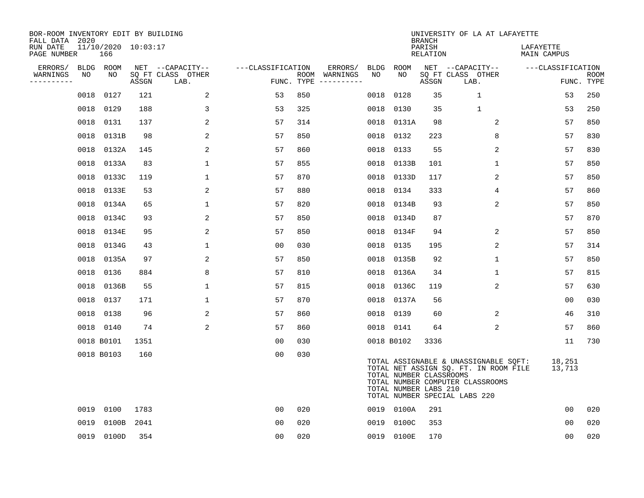| BOR-ROOM INVENTORY EDIT BY BUILDING<br>FALL DATA 2020 |                            |       |                           |                   |     |                                      |      |                                                  | <b>BRANCH</b>      | UNIVERSITY OF LA AT LAFAYETTE                                                                                                                       |                          |                           |
|-------------------------------------------------------|----------------------------|-------|---------------------------|-------------------|-----|--------------------------------------|------|--------------------------------------------------|--------------------|-----------------------------------------------------------------------------------------------------------------------------------------------------|--------------------------|---------------------------|
| RUN DATE<br>PAGE NUMBER                               | 11/10/2020 10:03:17<br>166 |       |                           |                   |     |                                      |      |                                                  | PARISH<br>RELATION |                                                                                                                                                     | LAFAYETTE<br>MAIN CAMPUS |                           |
| ERRORS/                                               | BLDG ROOM                  |       | NET --CAPACITY--          | ---CLASSIFICATION |     | ERRORS/                              | BLDG | <b>ROOM</b>                                      |                    | NET --CAPACITY--                                                                                                                                    | ---CLASSIFICATION        |                           |
| WARNINGS<br>NO<br>----------                          | NO                         | ASSGN | SQ FT CLASS OTHER<br>LAB. |                   |     | ROOM WARNINGS<br>FUNC. TYPE $------$ | NO   | NO                                               | ASSGN              | SQ FT CLASS OTHER<br>LAB.                                                                                                                           |                          | <b>ROOM</b><br>FUNC. TYPE |
| 0018                                                  | 0127                       | 121   | 2                         | 53                | 850 |                                      | 0018 | 0128                                             | 35                 | $\mathbf{1}$                                                                                                                                        | 53                       | 250                       |
|                                                       | 0018 0129                  | 188   | 3                         | 53                | 325 |                                      | 0018 | 0130                                             | 35                 | $\mathbf 1$                                                                                                                                         | 53                       | 250                       |
| 0018                                                  | 0131                       | 137   | 2                         | 57                | 314 |                                      | 0018 | 0131A                                            | 98                 | 2                                                                                                                                                   | 57                       | 850                       |
|                                                       | 0018 0131B                 | 98    | $\overline{a}$            | 57                | 850 |                                      | 0018 | 0132                                             | 223                | 8                                                                                                                                                   | 57                       | 830                       |
| 0018                                                  | 0132A                      | 145   | 2                         | 57                | 860 |                                      | 0018 | 0133                                             | 55                 | 2                                                                                                                                                   | 57                       | 830                       |
|                                                       | 0018 0133A                 | 83    | $\mathbf{1}$              | 57                | 855 |                                      | 0018 | 0133B                                            | 101                | $\mathbf{1}$                                                                                                                                        | 57                       | 850                       |
|                                                       | 0018 0133C                 | 119   | $\mathbf 1$               | 57                | 870 |                                      | 0018 | 0133D                                            | 117                | 2                                                                                                                                                   | 57                       | 850                       |
|                                                       | 0018 0133E                 | 53    | 2                         | 57                | 880 |                                      | 0018 | 0134                                             | 333                | 4                                                                                                                                                   | 57                       | 860                       |
| 0018                                                  | 0134A                      | 65    | $\mathbf 1$               | 57                | 820 |                                      | 0018 | 0134B                                            | 93                 | 2                                                                                                                                                   | 57                       | 850                       |
| 0018                                                  | 0134C                      | 93    | 2                         | 57                | 850 |                                      | 0018 | 0134D                                            | 87                 |                                                                                                                                                     | 57                       | 870                       |
| 0018                                                  | 0134E                      | 95    | 2                         | 57                | 850 |                                      | 0018 | 0134F                                            | 94                 | 2                                                                                                                                                   | 57                       | 850                       |
| 0018                                                  | 0134G                      | 43    | $\mathbf{1}$              | 0 <sub>0</sub>    | 030 |                                      | 0018 | 0135                                             | 195                | 2                                                                                                                                                   | 57                       | 314                       |
| 0018                                                  | 0135A                      | 97    | 2                         | 57                | 850 |                                      | 0018 | 0135B                                            | 92                 | 1                                                                                                                                                   | 57                       | 850                       |
| 0018                                                  | 0136                       | 884   | 8                         | 57                | 810 |                                      | 0018 | 0136A                                            | 34                 | 1                                                                                                                                                   | 57                       | 815                       |
|                                                       | 0018 0136B                 | 55    | $\mathbf 1$               | 57                | 815 |                                      | 0018 | 0136C                                            | 119                | 2                                                                                                                                                   | 57                       | 630                       |
|                                                       | 0018 0137                  | 171   | 1                         | 57                | 870 |                                      | 0018 | 0137A                                            | 56                 |                                                                                                                                                     | 00                       | 030                       |
|                                                       | 0018 0138                  | 96    | 2                         | 57                | 860 |                                      |      | 0018 0139                                        | 60                 | 2                                                                                                                                                   | 46                       | 310                       |
|                                                       | 0018 0140                  | 74    | 2                         | 57                | 860 |                                      |      | 0018 0141                                        | 64                 | 2                                                                                                                                                   | 57                       | 860                       |
|                                                       | 0018 B0101                 | 1351  |                           | 00                | 030 |                                      |      | 0018 B0102                                       | 3336               |                                                                                                                                                     | 11                       | 730                       |
|                                                       | 0018 B0103                 | 160   |                           | 0 <sub>0</sub>    | 030 |                                      |      | TOTAL NUMBER CLASSROOMS<br>TOTAL NUMBER LABS 210 |                    | TOTAL ASSIGNABLE & UNASSIGNABLE SQFT:<br>TOTAL NET ASSIGN SQ. FT. IN ROOM FILE<br>TOTAL NUMBER COMPUTER CLASSROOMS<br>TOTAL NUMBER SPECIAL LABS 220 | 18,251<br>13,713         |                           |
|                                                       | 0019 0100                  | 1783  |                           | 0 <sub>0</sub>    | 020 |                                      |      | 0019 0100A                                       | 291                |                                                                                                                                                     | 0 <sub>0</sub>           | 020                       |
| 0019                                                  | 0100B                      | 2041  |                           | 00                | 020 |                                      | 0019 | 0100C                                            | 353                |                                                                                                                                                     | 00                       | 020                       |
|                                                       | 0019 0100D                 | 354   |                           | 0 <sub>0</sub>    | 020 |                                      |      | 0019 0100E                                       | 170                |                                                                                                                                                     | 00                       | 020                       |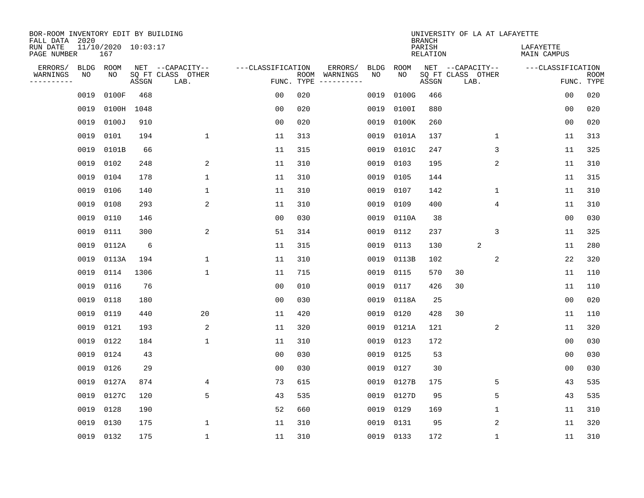| BOR-ROOM INVENTORY EDIT BY BUILDING<br>FALL DATA 2020 |             |                            |       |                           |                   |                    |          |             |             | <b>BRANCH</b>             | UNIVERSITY OF LA AT LAFAYETTE |                          |                           |
|-------------------------------------------------------|-------------|----------------------------|-------|---------------------------|-------------------|--------------------|----------|-------------|-------------|---------------------------|-------------------------------|--------------------------|---------------------------|
| RUN DATE<br>PAGE NUMBER                               |             | 11/10/2020 10:03:17<br>167 |       |                           |                   |                    |          |             |             | PARISH<br><b>RELATION</b> |                               | LAFAYETTE<br>MAIN CAMPUS |                           |
| ERRORS/                                               | <b>BLDG</b> | ROOM                       |       | NET --CAPACITY--          | ---CLASSIFICATION |                    | ERRORS/  | <b>BLDG</b> | <b>ROOM</b> |                           | NET --CAPACITY--              | ---CLASSIFICATION        |                           |
| WARNINGS<br>----------                                | NO          | NO                         | ASSGN | SQ FT CLASS OTHER<br>LAB. |                   | ROOM<br>FUNC. TYPE | WARNINGS | NO          | NO          | ASSGN                     | SQ FT CLASS OTHER<br>LAB.     |                          | <b>ROOM</b><br>FUNC. TYPE |
|                                                       | 0019        | 0100F                      | 468   |                           | 00                | 020                |          | 0019        | 0100G       | 466                       |                               | 00                       | 020                       |
|                                                       | 0019        | 0100H                      | 1048  |                           | 00                | 020                |          | 0019        | 0100I       | 880                       |                               | 0 <sub>0</sub>           | 020                       |
|                                                       | 0019        | 0100J                      | 910   |                           | 0 <sub>0</sub>    | 020                |          | 0019        | 0100K       | 260                       |                               | 0 <sub>0</sub>           | 020                       |
|                                                       | 0019        | 0101                       | 194   | $\mathbf{1}$              | 11                | 313                |          | 0019        | 0101A       | 137                       | 1                             | 11                       | 313                       |
|                                                       | 0019        | 0101B                      | 66    |                           | 11                | 315                |          | 0019        | 0101C       | 247                       | 3                             | 11                       | 325                       |
|                                                       | 0019        | 0102                       | 248   | 2                         | 11                | 310                |          | 0019        | 0103        | 195                       | 2                             | 11                       | 310                       |
|                                                       | 0019        | 0104                       | 178   | $\mathbf{1}$              | 11                | 310                |          | 0019        | 0105        | 144                       |                               | 11                       | 315                       |
|                                                       | 0019        | 0106                       | 140   | $\mathbf{1}$              | 11                | 310                |          | 0019        | 0107        | 142                       | $\mathbf{1}$                  | 11                       | 310                       |
|                                                       | 0019        | 0108                       | 293   | 2                         | 11                | 310                |          | 0019        | 0109        | 400                       | $\overline{4}$                | 11                       | 310                       |
|                                                       | 0019        | 0110                       | 146   |                           | 0 <sub>0</sub>    | 030                |          | 0019        | 0110A       | 38                        |                               | 0 <sub>0</sub>           | 030                       |
|                                                       | 0019        | 0111                       | 300   | 2                         | 51                | 314                |          | 0019        | 0112        | 237                       | 3                             | 11                       | 325                       |
|                                                       | 0019        | 0112A                      | 6     |                           | 11                | 315                |          | 0019        | 0113        | 130                       | 2                             | 11                       | 280                       |
|                                                       | 0019        | 0113A                      | 194   | 1                         | 11                | 310                |          | 0019        | 0113B       | 102                       | 2                             | 22                       | 320                       |
|                                                       | 0019        | 0114                       | 1306  | $\mathbf{1}$              | 11                | 715                |          | 0019        | 0115        | 570                       | 30                            | 11                       | 110                       |
|                                                       | 0019        | 0116                       | 76    |                           | 0 <sub>0</sub>    | 010                |          | 0019        | 0117        | 426                       | 30                            | 11                       | 110                       |
|                                                       | 0019        | 0118                       | 180   |                           | 0 <sub>0</sub>    | 030                |          | 0019        | 0118A       | 25                        |                               | 0 <sub>0</sub>           | 020                       |
|                                                       | 0019        | 0119                       | 440   | 20                        | 11                | 420                |          | 0019        | 0120        | 428                       | 30                            | 11                       | 110                       |
|                                                       | 0019        | 0121                       | 193   | $\overline{c}$            | 11                | 320                |          | 0019        | 0121A       | 121                       | 2                             | 11                       | 320                       |
|                                                       | 0019        | 0122                       | 184   | 1                         | 11                | 310                |          | 0019        | 0123        | 172                       |                               | 0 <sub>0</sub>           | 030                       |
|                                                       | 0019        | 0124                       | 43    |                           | 0 <sub>0</sub>    | 030                |          | 0019        | 0125        | 53                        |                               | 0 <sub>0</sub>           | 030                       |
|                                                       | 0019        | 0126                       | 29    |                           | 0 <sub>0</sub>    | 030                |          | 0019        | 0127        | 30                        |                               | 0 <sub>0</sub>           | 030                       |
|                                                       | 0019        | 0127A                      | 874   | 4                         | 73                | 615                |          | 0019        | 0127B       | 175                       | 5                             | 43                       | 535                       |
|                                                       | 0019        | 0127C                      | 120   | 5                         | 43                | 535                |          | 0019        | 0127D       | 95                        | 5                             | 43                       | 535                       |
|                                                       | 0019        | 0128                       | 190   |                           | 52                | 660                |          | 0019        | 0129        | 169                       | 1                             | 11                       | 310                       |
|                                                       | 0019        | 0130                       | 175   | 1                         | 11                | 310                |          | 0019        | 0131        | 95                        | 2                             | 11                       | 320                       |
|                                                       |             | 0019 0132                  | 175   | 1                         | 11                | 310                |          |             | 0019 0133   | 172                       | 1                             | 11                       | 310                       |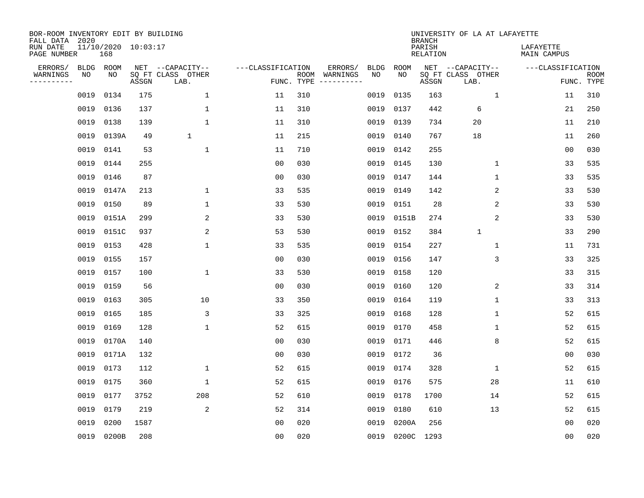| BOR-ROOM INVENTORY EDIT BY BUILDING<br>FALL DATA 2020 |      |                            |       |                           |                   |                    |          |             |             | <b>BRANCH</b>             | UNIVERSITY OF LA AT LAFAYETTE |                          |                           |
|-------------------------------------------------------|------|----------------------------|-------|---------------------------|-------------------|--------------------|----------|-------------|-------------|---------------------------|-------------------------------|--------------------------|---------------------------|
| RUN DATE<br>PAGE NUMBER                               |      | 11/10/2020 10:03:17<br>168 |       |                           |                   |                    |          |             |             | PARISH<br><b>RELATION</b> |                               | LAFAYETTE<br>MAIN CAMPUS |                           |
| ERRORS/                                               | BLDG | ROOM                       |       | NET --CAPACITY--          | ---CLASSIFICATION |                    | ERRORS/  | <b>BLDG</b> | <b>ROOM</b> |                           | NET --CAPACITY--              | ---CLASSIFICATION        |                           |
| WARNINGS<br>----------                                | ΝO   | NO                         | ASSGN | SQ FT CLASS OTHER<br>LAB. |                   | ROOM<br>FUNC. TYPE | WARNINGS | NO          | NO          | ASSGN                     | SQ FT CLASS OTHER<br>LAB.     |                          | <b>ROOM</b><br>FUNC. TYPE |
|                                                       | 0019 | 0134                       | 175   | $\mathbf 1$               | 11                | 310                |          | 0019        | 0135        | 163                       | 1                             | 11                       | 310                       |
|                                                       | 0019 | 0136                       | 137   | 1                         | 11                | 310                |          | 0019        | 0137        | 442                       | 6                             | 21                       | 250                       |
|                                                       | 0019 | 0138                       | 139   | $\mathbf{1}$              | 11                | 310                |          | 0019        | 0139        | 734                       | 20                            | 11                       | 210                       |
|                                                       | 0019 | 0139A                      | 49    | $\mathbf{1}$              | 11                | 215                |          | 0019        | 0140        | 767                       | 18                            | 11                       | 260                       |
|                                                       | 0019 | 0141                       | 53    | $\mathbf{1}$              | 11                | 710                |          | 0019        | 0142        | 255                       |                               | 0 <sub>0</sub>           | 030                       |
|                                                       | 0019 | 0144                       | 255   |                           | 0 <sub>0</sub>    | 030                |          | 0019        | 0145        | 130                       | $\mathbf 1$                   | 33                       | 535                       |
|                                                       | 0019 | 0146                       | 87    |                           | 0 <sub>0</sub>    | 030                |          | 0019        | 0147        | 144                       | $\mathbf{1}$                  | 33                       | 535                       |
|                                                       | 0019 | 0147A                      | 213   | 1                         | 33                | 535                |          | 0019        | 0149        | 142                       | 2                             | 33                       | 530                       |
|                                                       | 0019 | 0150                       | 89    | 1                         | 33                | 530                |          | 0019        | 0151        | 28                        | 2                             | 33                       | 530                       |
|                                                       | 0019 | 0151A                      | 299   | 2                         | 33                | 530                |          | 0019        | 0151B       | 274                       | 2                             | 33                       | 530                       |
|                                                       | 0019 | 0151C                      | 937   | 2                         | 53                | 530                |          | 0019        | 0152        | 384                       | $\mathbf{1}$                  | 33                       | 290                       |
|                                                       | 0019 | 0153                       | 428   | $\mathbf{1}$              | 33                | 535                |          | 0019        | 0154        | 227                       | $\mathbf{1}$                  | 11                       | 731                       |
|                                                       | 0019 | 0155                       | 157   |                           | 0 <sub>0</sub>    | 030                |          | 0019        | 0156        | 147                       | 3                             | 33                       | 325                       |
|                                                       | 0019 | 0157                       | 100   | 1                         | 33                | 530                |          | 0019        | 0158        | 120                       |                               | 33                       | 315                       |
|                                                       | 0019 | 0159                       | 56    |                           | 0 <sub>0</sub>    | 030                |          | 0019        | 0160        | 120                       | 2                             | 33                       | 314                       |
|                                                       | 0019 | 0163                       | 305   | 10                        | 33                | 350                |          | 0019        | 0164        | 119                       | 1                             | 33                       | 313                       |
|                                                       | 0019 | 0165                       | 185   | 3                         | 33                | 325                |          | 0019        | 0168        | 128                       | 1                             | 52                       | 615                       |
|                                                       | 0019 | 0169                       | 128   | 1                         | 52                | 615                |          | 0019        | 0170        | 458                       | 1                             | 52                       | 615                       |
|                                                       | 0019 | 0170A                      | 140   |                           | 0 <sub>0</sub>    | 030                |          | 0019        | 0171        | 446                       | 8                             | 52                       | 615                       |
|                                                       | 0019 | 0171A                      | 132   |                           | 0 <sub>0</sub>    | 030                |          | 0019        | 0172        | 36                        |                               | 0 <sub>0</sub>           | 030                       |
|                                                       | 0019 | 0173                       | 112   | 1                         | 52                | 615                |          | 0019        | 0174        | 328                       | 1                             | 52                       | 615                       |
|                                                       | 0019 | 0175                       | 360   | $\mathbf{1}$              | 52                | 615                |          | 0019        | 0176        | 575                       | 28                            | 11                       | 610                       |
|                                                       | 0019 | 0177                       | 3752  | 208                       | 52                | 610                |          | 0019        | 0178        | 1700                      | 14                            | 52                       | 615                       |
|                                                       | 0019 | 0179                       | 219   | 2                         | 52                | 314                |          | 0019        | 0180        | 610                       | 13                            | 52                       | 615                       |
|                                                       | 0019 | 0200                       | 1587  |                           | 0 <sub>0</sub>    | 020                |          | 0019        | 0200A       | 256                       |                               | 0 <sub>0</sub>           | 020                       |
|                                                       |      | 0019 0200B                 | 208   |                           | 0 <sub>0</sub>    | 020                |          |             | 0019 0200C  | 1293                      |                               | 0 <sub>0</sub>           | 020                       |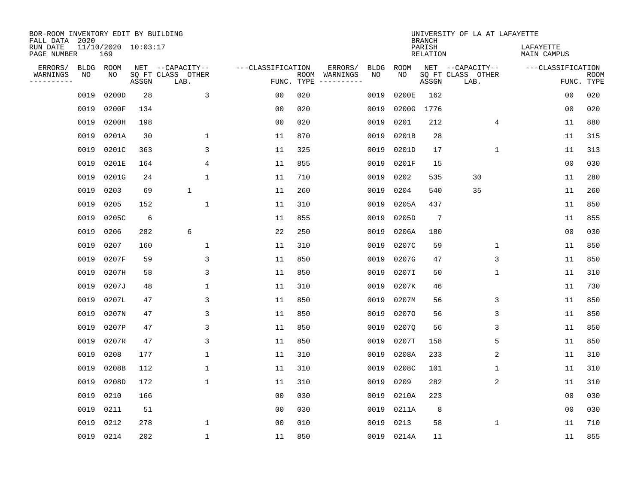| BOR-ROOM INVENTORY EDIT BY BUILDING<br>FALL DATA 2020 |      |                            |       |                           |                   |      |          |             |             | <b>BRANCH</b>             | UNIVERSITY OF LA AT LAFAYETTE |                          |                           |
|-------------------------------------------------------|------|----------------------------|-------|---------------------------|-------------------|------|----------|-------------|-------------|---------------------------|-------------------------------|--------------------------|---------------------------|
| RUN DATE<br>PAGE NUMBER                               |      | 11/10/2020 10:03:17<br>169 |       |                           |                   |      |          |             |             | PARISH<br><b>RELATION</b> |                               | LAFAYETTE<br>MAIN CAMPUS |                           |
| ERRORS/                                               | BLDG | ROOM                       |       | NET --CAPACITY--          | ---CLASSIFICATION |      | ERRORS/  | <b>BLDG</b> | <b>ROOM</b> |                           | NET --CAPACITY--              | ---CLASSIFICATION        |                           |
| WARNINGS<br>----------                                | ΝO   | NO                         | ASSGN | SQ FT CLASS OTHER<br>LAB. | FUNC. TYPE        | ROOM | WARNINGS | NO          | NO          | ASSGN                     | SQ FT CLASS OTHER<br>LAB.     |                          | <b>ROOM</b><br>FUNC. TYPE |
|                                                       | 0019 | 0200D                      | 28    | $\overline{3}$            | 00                | 020  |          | 0019        | 0200E       | 162                       |                               | 00                       | 020                       |
|                                                       | 0019 | 0200F                      | 134   |                           | 00                | 020  |          | 0019        | 0200G       | 1776                      |                               | 0 <sub>0</sub>           | 020                       |
|                                                       | 0019 | 0200H                      | 198   |                           | 0 <sub>0</sub>    | 020  |          | 0019        | 0201        | 212                       | 4                             | 11                       | 880                       |
|                                                       | 0019 | 0201A                      | 30    | 1                         | 11                | 870  |          | 0019        | 0201B       | 28                        |                               | 11                       | 315                       |
|                                                       | 0019 | 0201C                      | 363   | 3                         | 11                | 325  |          | 0019        | 0201D       | 17                        | $\mathbf 1$                   | 11                       | 313                       |
|                                                       | 0019 | 0201E                      | 164   | 4                         | 11                | 855  |          | 0019        | 0201F       | 15                        |                               | 0 <sub>0</sub>           | 030                       |
|                                                       | 0019 | 0201G                      | 24    | $\mathbf{1}$              | 11                | 710  |          | 0019        | 0202        | 535                       | 30                            | 11                       | 280                       |
|                                                       | 0019 | 0203                       | 69    | $\mathbf{1}$              | 11                | 260  |          | 0019        | 0204        | 540                       | 35                            | 11                       | 260                       |
|                                                       | 0019 | 0205                       | 152   | $\mathbf{1}$              | 11                | 310  |          | 0019        | 0205A       | 437                       |                               | 11                       | 850                       |
|                                                       | 0019 | 0205C                      | 6     |                           | 11                | 855  |          | 0019        | 0205D       | $7\phantom{.0}$           |                               | 11                       | 855                       |
|                                                       | 0019 | 0206                       | 282   | 6                         | 22                | 250  |          | 0019        | 0206A       | 180                       |                               | 0 <sub>0</sub>           | 030                       |
|                                                       | 0019 | 0207                       | 160   | 1                         | 11                | 310  |          | 0019        | 0207C       | 59                        | $\mathbf 1$                   | 11                       | 850                       |
|                                                       | 0019 | 0207F                      | 59    | 3                         | 11                | 850  |          | 0019        | 0207G       | 47                        | 3                             | 11                       | 850                       |
|                                                       | 0019 | 0207H                      | 58    | 3                         | 11                | 850  |          | 0019        | 0207I       | 50                        | 1                             | 11                       | 310                       |
|                                                       | 0019 | 0207J                      | 48    | 1                         | 11                | 310  |          | 0019        | 0207K       | 46                        |                               | 11                       | 730                       |
|                                                       | 0019 | 0207L                      | 47    | 3                         | 11                | 850  |          | 0019        | 0207M       | 56                        | 3                             | 11                       | 850                       |
|                                                       | 0019 | 0207N                      | 47    | 3                         | 11                | 850  |          | 0019        | 02070       | 56                        | 3                             | 11                       | 850                       |
|                                                       | 0019 | 0207P                      | 47    | 3                         | 11                | 850  |          | 0019        | 02070       | 56                        | 3                             | 11                       | 850                       |
|                                                       | 0019 | 0207R                      | 47    | 3                         | 11                | 850  |          | 0019        | 0207T       | 158                       | 5                             | 11                       | 850                       |
|                                                       | 0019 | 0208                       | 177   | 1                         | 11                | 310  |          | 0019        | 0208A       | 233                       | 2                             | 11                       | 310                       |
|                                                       | 0019 | 0208B                      | 112   | 1                         | 11                | 310  |          | 0019        | 0208C       | 101                       | 1                             | 11                       | 310                       |
|                                                       | 0019 | 0208D                      | 172   | 1                         | 11                | 310  |          | 0019        | 0209        | 282                       | 2                             | 11                       | 310                       |
|                                                       | 0019 | 0210                       | 166   |                           | 0 <sub>0</sub>    | 030  |          | 0019        | 0210A       | 223                       |                               | 0 <sub>0</sub>           | 030                       |
|                                                       | 0019 | 0211                       | 51    |                           | 0 <sub>0</sub>    | 030  |          | 0019        | 0211A       | 8                         |                               | 0 <sub>0</sub>           | 030                       |
|                                                       | 0019 | 0212                       | 278   | $\mathbf{1}$              | 0 <sub>0</sub>    | 010  |          | 0019        | 0213        | 58                        | $\mathbf{1}$                  | 11                       | 710                       |
|                                                       |      | 0019 0214                  | 202   | $\mathbf{1}$              | 11                | 850  |          |             | 0019 0214A  | 11                        |                               | 11                       | 855                       |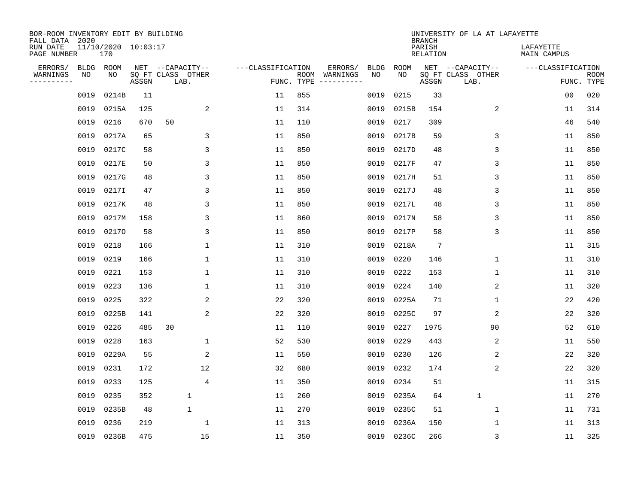| BOR-ROOM INVENTORY EDIT BY BUILDING<br>FALL DATA 2020 |             |       |                     |                           |                   |      |                                 |             |             | <b>BRANCH</b>             | UNIVERSITY OF LA AT LAFAYETTE |                          |                           |
|-------------------------------------------------------|-------------|-------|---------------------|---------------------------|-------------------|------|---------------------------------|-------------|-------------|---------------------------|-------------------------------|--------------------------|---------------------------|
| RUN DATE<br>PAGE NUMBER                               | 170         |       | 11/10/2020 10:03:17 |                           |                   |      |                                 |             |             | PARISH<br><b>RELATION</b> |                               | LAFAYETTE<br>MAIN CAMPUS |                           |
| ERRORS/                                               | <b>BLDG</b> | ROOM  |                     | NET --CAPACITY--          | ---CLASSIFICATION |      | ERRORS/                         | <b>BLDG</b> | <b>ROOM</b> |                           | NET --CAPACITY--              | ---CLASSIFICATION        |                           |
| WARNINGS<br>----------                                | NO          | NO    | ASSGN               | SQ FT CLASS OTHER<br>LAB. |                   | ROOM | WARNINGS<br>FUNC. TYPE $------$ | NO          | NO          | ASSGN                     | SQ FT CLASS OTHER<br>LAB.     |                          | <b>ROOM</b><br>FUNC. TYPE |
|                                                       | 0019        | 0214B | 11                  |                           | 11                | 855  |                                 | 0019        | 0215        | 33                        |                               | 00                       | 020                       |
|                                                       | 0019        | 0215A | 125                 | 2                         | 11                | 314  |                                 | 0019        | 0215B       | 154                       | 2                             | 11                       | 314                       |
|                                                       | 0019        | 0216  | 670                 | 50                        | 11                | 110  |                                 | 0019        | 0217        | 309                       |                               | 46                       | 540                       |
|                                                       | 0019        | 0217A | 65                  | 3                         | 11                | 850  |                                 | 0019        | 0217B       | 59                        | 3                             | 11                       | 850                       |
|                                                       | 0019        | 0217C | 58                  | 3                         | 11                | 850  |                                 | 0019        | 0217D       | 48                        | 3                             | 11                       | 850                       |
|                                                       | 0019        | 0217E | 50                  | 3                         | 11                | 850  |                                 | 0019        | 0217F       | 47                        | 3                             | 11                       | 850                       |
|                                                       | 0019        | 0217G | 48                  | 3                         | 11                | 850  |                                 | 0019        | 0217H       | 51                        | 3                             | 11                       | 850                       |
|                                                       | 0019        | 0217I | 47                  | 3                         | 11                | 850  |                                 | 0019        | 0217J       | 48                        | 3                             | 11                       | 850                       |
|                                                       | 0019        | 0217K | 48                  | 3                         | 11                | 850  |                                 | 0019        | 0217L       | 48                        | 3                             | 11                       | 850                       |
|                                                       | 0019        | 0217M | 158                 | 3                         | 11                | 860  |                                 | 0019        | 0217N       | 58                        | 3                             | 11                       | 850                       |
|                                                       | 0019        | 02170 | 58                  | 3                         | 11                | 850  |                                 | 0019        | 0217P       | 58                        | 3                             | 11                       | 850                       |
|                                                       | 0019        | 0218  | 166                 | $\mathbf{1}$              | 11                | 310  |                                 | 0019        | 0218A       | $7\phantom{.0}$           |                               | 11                       | 315                       |
|                                                       | 0019        | 0219  | 166                 | 1                         | 11                | 310  |                                 | 0019        | 0220        | 146                       | 1                             | 11                       | 310                       |
|                                                       | 0019        | 0221  | 153                 | 1                         | 11                | 310  |                                 | 0019        | 0222        | 153                       | 1                             | 11                       | 310                       |
|                                                       | 0019        | 0223  | 136                 | 1                         | 11                | 310  |                                 | 0019        | 0224        | 140                       | 2                             | 11                       | 320                       |
|                                                       | 0019        | 0225  | 322                 | 2                         | 22                | 320  |                                 | 0019        | 0225A       | 71                        | 1                             | 22                       | 420                       |
|                                                       | 0019        | 0225B | 141                 | 2                         | 22                | 320  |                                 | 0019        | 0225C       | 97                        | 2                             | 22                       | 320                       |
|                                                       | 0019        | 0226  | 485                 | 30                        | 11                | 110  |                                 | 0019        | 0227        | 1975                      | 90                            | 52                       | 610                       |
|                                                       | 0019        | 0228  | 163                 | $\mathbf{1}$              | 52                | 530  |                                 | 0019        | 0229        | 443                       | 2                             | 11                       | 550                       |
|                                                       | 0019        | 0229A | 55                  | 2                         | 11                | 550  |                                 | 0019        | 0230        | 126                       | 2                             | 22                       | 320                       |
|                                                       | 0019        | 0231  | 172                 | 12                        | 32                | 680  |                                 | 0019        | 0232        | 174                       | 2                             | 22                       | 320                       |
|                                                       | 0019        | 0233  | 125                 | 4                         | 11                | 350  |                                 | 0019        | 0234        | 51                        |                               | 11                       | 315                       |
|                                                       | 0019        | 0235  | 352                 | $\mathbf 1$               | 11                | 260  |                                 | 0019        | 0235A       | 64                        | $\mathbf{1}$                  | 11                       | 270                       |
|                                                       | 0019        | 0235B | 48                  | $\mathbf 1$               | 11                | 270  |                                 | 0019        | 0235C       | 51                        | 1                             | 11                       | 731                       |
|                                                       | 0019        | 0236  | 219                 | $\mathbf{1}$              | 11                | 313  |                                 | 0019        | 0236A       | 150                       | 1                             | 11                       | 313                       |
|                                                       | 0019 0236B  |       | 475                 | 15                        | 11                | 350  |                                 |             | 0019 0236C  | 266                       | 3                             | 11                       | 325                       |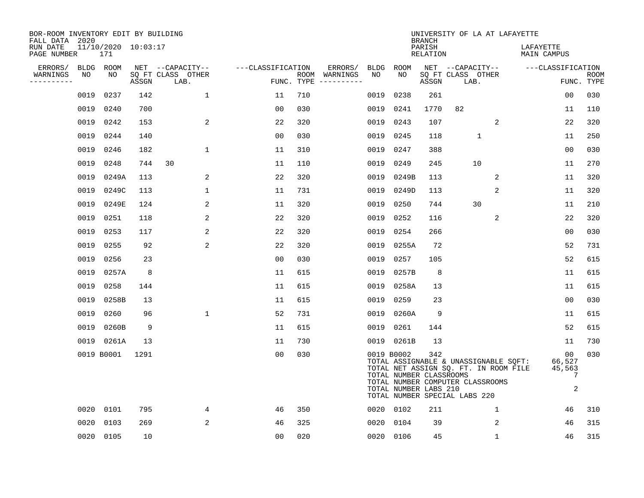| BOR-ROOM INVENTORY EDIT BY BUILDING<br>FALL DATA 2020 |      |                            |       |                           |                   |            |               |             |                                                                | <b>BRANCH</b>      | UNIVERSITY OF LA AT LAFAYETTE                                                                                                                       |                |                          |                                  |                           |
|-------------------------------------------------------|------|----------------------------|-------|---------------------------|-------------------|------------|---------------|-------------|----------------------------------------------------------------|--------------------|-----------------------------------------------------------------------------------------------------------------------------------------------------|----------------|--------------------------|----------------------------------|---------------------------|
| RUN DATE<br>PAGE NUMBER                               |      | 11/10/2020 10:03:17<br>171 |       |                           |                   |            |               |             |                                                                | PARISH<br>RELATION |                                                                                                                                                     |                | LAFAYETTE<br>MAIN CAMPUS |                                  |                           |
| ERRORS/                                               |      | BLDG ROOM                  |       | NET --CAPACITY--          | ---CLASSIFICATION |            | ERRORS/       | <b>BLDG</b> | ROOM                                                           |                    | NET --CAPACITY--                                                                                                                                    |                | ---CLASSIFICATION        |                                  |                           |
| WARNINGS<br>----------                                | NO   | NO.                        | ASSGN | SQ FT CLASS OTHER<br>LAB. |                   | FUNC. TYPE | ROOM WARNINGS | NO          | NO.                                                            | ASSGN              | SQ FT CLASS OTHER<br>LAB.                                                                                                                           |                |                          |                                  | <b>ROOM</b><br>FUNC. TYPE |
|                                                       | 0019 | 0237                       | 142   | $\mathbf{1}$              | 11                | 710        |               | 0019        | 0238                                                           | 261                |                                                                                                                                                     |                |                          | 0 <sub>0</sub>                   | 030                       |
|                                                       | 0019 | 0240                       | 700   |                           | 0 <sub>0</sub>    | 030        |               | 0019        | 0241                                                           | 1770               | 82                                                                                                                                                  |                |                          | 11                               | 110                       |
|                                                       | 0019 | 0242                       | 153   | 2                         | 22                | 320        |               | 0019        | 0243                                                           | 107                |                                                                                                                                                     | 2              |                          | 22                               | 320                       |
|                                                       | 0019 | 0244                       | 140   |                           | 00                | 030        |               |             | 0019 0245                                                      | 118                | $\mathbf{1}$                                                                                                                                        |                |                          | 11                               | 250                       |
|                                                       | 0019 | 0246                       | 182   | 1                         | 11                | 310        |               | 0019        | 0247                                                           | 388                |                                                                                                                                                     |                |                          | 0 <sub>0</sub>                   | 030                       |
|                                                       | 0019 | 0248                       | 744   | 30                        | 11                | 110        |               |             | 0019 0249                                                      | 245                | 10                                                                                                                                                  |                |                          | 11                               | 270                       |
|                                                       | 0019 | 0249A                      | 113   | 2                         | 22                | 320        |               |             | 0019 0249B                                                     | 113                |                                                                                                                                                     | 2              |                          | 11                               | 320                       |
|                                                       | 0019 | 0249C                      | 113   | 1                         | 11                | 731        |               |             | 0019 0249D                                                     | 113                |                                                                                                                                                     | $\overline{2}$ |                          | 11                               | 320                       |
|                                                       | 0019 | 0249E                      | 124   | 2                         | 11                | 320        |               |             | 0019 0250                                                      | 744                | 30                                                                                                                                                  |                |                          | 11                               | 210                       |
|                                                       | 0019 | 0251                       | 118   | 2                         | 22                | 320        |               |             | 0019 0252                                                      | 116                |                                                                                                                                                     | 2              |                          | 22                               | 320                       |
|                                                       | 0019 | 0253                       | 117   | 2                         | 22                | 320        |               |             | 0019 0254                                                      | 266                |                                                                                                                                                     |                |                          | 0 <sub>0</sub>                   | 030                       |
|                                                       | 0019 | 0255                       | 92    | 2                         | 22                | 320        |               |             | 0019 0255A                                                     | 72                 |                                                                                                                                                     |                |                          | 52                               | 731                       |
|                                                       | 0019 | 0256                       | 23    |                           | 0 <sub>0</sub>    | 030        |               |             | 0019 0257                                                      | 105                |                                                                                                                                                     |                |                          | 52                               | 615                       |
|                                                       | 0019 | 0257A                      | 8     |                           | 11                | 615        |               |             | 0019 0257B                                                     | 8                  |                                                                                                                                                     |                |                          | 11                               | 615                       |
|                                                       | 0019 | 0258                       | 144   |                           | 11                | 615        |               |             | 0019 0258A                                                     | 13                 |                                                                                                                                                     |                |                          | 11                               | 615                       |
|                                                       | 0019 | 0258B                      | 13    |                           | 11                | 615        |               | 0019        | 0259                                                           | 23                 |                                                                                                                                                     |                |                          | 0 <sub>0</sub>                   | 030                       |
|                                                       | 0019 | 0260                       | 96    | 1                         | 52                | 731        |               | 0019        | 0260A                                                          | 9                  |                                                                                                                                                     |                |                          | 11                               | 615                       |
|                                                       | 0019 | 0260B                      | 9     |                           | 11                | 615        |               |             | 0019 0261                                                      | 144                |                                                                                                                                                     |                |                          | 52                               | 615                       |
|                                                       |      | 0019 0261A                 | 13    |                           | 11                | 730        |               |             | 0019 0261B                                                     | 13                 |                                                                                                                                                     |                |                          | 11                               | 730                       |
|                                                       |      | 0019 B0001                 | 1291  |                           | 0 <sub>0</sub>    | 030        |               |             | 0019 B0002<br>TOTAL NUMBER CLASSROOMS<br>TOTAL NUMBER LABS 210 | 342                | TOTAL ASSIGNABLE & UNASSIGNABLE SQFT:<br>TOTAL NET ASSIGN SQ. FT. IN ROOM FILE<br>TOTAL NUMBER COMPUTER CLASSROOMS<br>TOTAL NUMBER SPECIAL LABS 220 |                |                          | 00<br>66,527<br>45,563<br>7<br>2 | 030                       |
|                                                       |      | 0020 0101                  | 795   | 4                         | 46                | 350        |               |             | 0020 0102                                                      | 211                |                                                                                                                                                     | 1              |                          | 46                               | 310                       |
|                                                       | 0020 | 0103                       | 269   | 2                         | 46                | 325        |               | 0020        | 0104                                                           | 39                 |                                                                                                                                                     | 2              |                          | 46                               | 315                       |
|                                                       |      | 0020 0105                  | 10    |                           | 0 <sub>0</sub>    | 020        |               |             | 0020 0106                                                      | 45                 |                                                                                                                                                     | $\mathbf{1}$   |                          | 46                               | 315                       |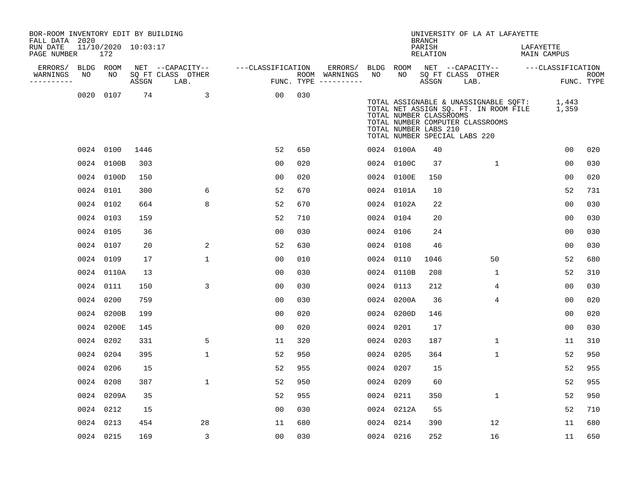| BOR-ROOM INVENTORY EDIT BY BUILDING<br>FALL DATA 2020 |    |                            |      |                                 |                   |      |                                        |           |                                                                                   | <b>BRANCH</b>      |      | UNIVERSITY OF LA AT LAFAYETTE                                                                                                  |                          |                |      |
|-------------------------------------------------------|----|----------------------------|------|---------------------------------|-------------------|------|----------------------------------------|-----------|-----------------------------------------------------------------------------------|--------------------|------|--------------------------------------------------------------------------------------------------------------------------------|--------------------------|----------------|------|
| RUN DATE<br>PAGE NUMBER                               |    | 11/10/2020 10:03:17<br>172 |      |                                 |                   |      |                                        |           |                                                                                   | PARISH<br>RELATION |      |                                                                                                                                | LAFAYETTE<br>MAIN CAMPUS |                |      |
| ERRORS/ BLDG ROOM                                     | NO | NO                         |      | NET --CAPACITY--                | ---CLASSIFICATION |      | ERRORS/ BLDG ROOM                      | NO        | NO .                                                                              |                    |      | NET --CAPACITY-- ---CLASSIFICATION                                                                                             |                          |                |      |
| WARNINGS<br>----------                                |    |                            |      | SQ FT CLASS OTHER<br>ASSGN LAB. |                   |      | ROOM WARNINGS<br>FUNC. TYPE ---------- |           |                                                                                   | ASSGN              | LAB. | SQ FT CLASS OTHER                                                                                                              |                          | FUNC. TYPE     | ROOM |
|                                                       |    | 0020 0107                  | 74   | $\sim$ 3                        | 00                | 030  |                                        |           | TOTAL NUMBER CLASSROOMS<br>TOTAL NUMBER LABS 210<br>TOTAL NUMBER SPECIAL LABS 220 |                    |      | TOTAL ASSIGNABLE & UNASSIGNABLE SQFT: 1,443<br>TOTAL NET ASSIGN SQ. FT. IN ROOM FILE 1,359<br>TOTAL NUMBER COMPUTER CLASSROOMS |                          |                |      |
|                                                       |    | 0024 0100                  | 1446 |                                 | 52                | 650  |                                        |           | 0024 0100A                                                                        | 40                 |      |                                                                                                                                |                          | 0 <sub>0</sub> | 020  |
|                                                       |    | 0024 0100B                 | 303  |                                 | 0 <sub>0</sub>    | 020  |                                        |           | 0024 0100C                                                                        | 37                 |      | $\mathbf{1}$                                                                                                                   |                          | 0 <sub>0</sub> | 030  |
|                                                       |    | 0024 0100D                 | 150  |                                 | 0 <sub>0</sub>    | 020  |                                        |           | 0024 0100E                                                                        | 150                |      |                                                                                                                                |                          | 00             | 020  |
|                                                       |    | 0024 0101                  | 300  | 6                               | 52                | 670  |                                        |           | 0024 0101A                                                                        | 10                 |      |                                                                                                                                |                          | 52             | 731  |
|                                                       |    | 0024 0102                  | 664  | 8                               | 52                | 670  |                                        |           | 0024 0102A                                                                        | 22                 |      |                                                                                                                                |                          | 0 <sub>0</sub> | 030  |
|                                                       |    | 0024 0103                  | 159  |                                 | 52                | 710  |                                        | 0024 0104 |                                                                                   | 20                 |      |                                                                                                                                |                          | 0 <sub>0</sub> | 030  |
|                                                       |    | 0024 0105                  | 36   |                                 | 0 <sub>0</sub>    | 030  |                                        | 0024 0106 |                                                                                   | 24                 |      |                                                                                                                                |                          | 0 <sub>0</sub> | 030  |
|                                                       |    | 0024 0107                  | 20   | 2                               | 52                | 630  |                                        | 0024 0108 |                                                                                   | 46                 |      |                                                                                                                                |                          | 0 <sub>0</sub> | 030  |
|                                                       |    | 0024 0109                  | 17   | $\mathbf{1}$                    | 0 <sub>0</sub>    | 010  |                                        | 0024 0110 |                                                                                   | 1046               |      | 50                                                                                                                             |                          | 52             | 680  |
|                                                       |    | 0024 0110A                 | 13   |                                 | 0 <sub>0</sub>    | 0.30 |                                        |           | 0024 0110B                                                                        | 208                |      | $\mathbf{1}$                                                                                                                   |                          | 52             | 310  |
|                                                       |    | 0024 0111                  | 150  | 3                               | 0 <sub>0</sub>    | 030  |                                        | 0024 0113 |                                                                                   | 212                |      | 4                                                                                                                              |                          | 00             | 030  |
|                                                       |    | 0024 0200                  | 759  |                                 | 0 <sub>0</sub>    | 030  |                                        |           | 0024 0200A                                                                        | 36                 |      | $\overline{4}$                                                                                                                 |                          | 0 <sub>0</sub> | 020  |
|                                                       |    | 0024 0200B                 | 199  |                                 | 0 <sub>0</sub>    | 020  |                                        |           | 0024 0200D                                                                        | 146                |      |                                                                                                                                |                          | 0 <sub>0</sub> | 020  |
|                                                       |    | 0024 0200E                 | 145  |                                 | 0 <sub>0</sub>    | 020  |                                        | 0024 0201 |                                                                                   | 17                 |      |                                                                                                                                |                          | 00             | 030  |
|                                                       |    | 0024 0202                  | 331  | 5                               | 11                | 320  |                                        | 0024 0203 |                                                                                   | 187                |      | $\mathbf{1}$                                                                                                                   |                          | 11             | 310  |
|                                                       |    | 0024 0204                  | 395  | $\mathbf{1}$                    | 52                | 950  |                                        | 0024 0205 |                                                                                   | 364                |      | $\mathbf{1}$                                                                                                                   |                          | 52             | 950  |
|                                                       |    | 0024 0206                  | 15   |                                 | 52                | 955  |                                        | 0024 0207 |                                                                                   | 15                 |      |                                                                                                                                |                          | 52             | 955  |
|                                                       |    | 0024 0208                  | 387  | $\mathbf{1}$                    | 52                | 950  |                                        | 0024 0209 |                                                                                   | 60                 |      |                                                                                                                                |                          | 52             | 955  |
|                                                       |    | 0024 0209A                 | 35   |                                 | 52                | 955  |                                        | 0024 0211 |                                                                                   | 350                |      | $\mathbf{1}$                                                                                                                   |                          | 52             | 950  |
|                                                       |    | 0024 0212                  | 15   |                                 | 0 <sub>0</sub>    | 030  |                                        |           | 0024 0212A                                                                        | 55                 |      |                                                                                                                                |                          | 52             | 710  |
|                                                       |    | 0024 0213                  | 454  | 28                              | 11                | 680  |                                        | 0024 0214 |                                                                                   | 390                |      | 12                                                                                                                             |                          | 11             | 680  |
|                                                       |    | 0024 0215                  | 169  | 3                               | 00                | 030  |                                        | 0024 0216 |                                                                                   | 252                |      | 16                                                                                                                             |                          | 11             | 650  |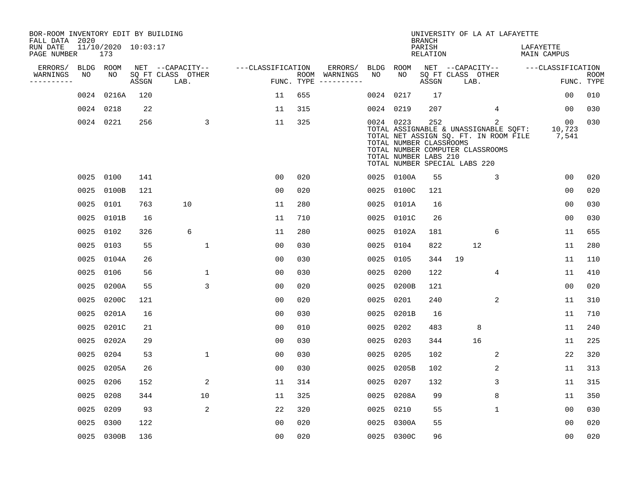| BOR-ROOM INVENTORY EDIT BY BUILDING<br>FALL DATA 2020 |      |                            |       |                           |                   |     |                                      |      |                                                               | <b>BRANCH</b>             | UNIVERSITY OF LA AT LAFAYETTE                                                                                                                       |             |                          |                           |
|-------------------------------------------------------|------|----------------------------|-------|---------------------------|-------------------|-----|--------------------------------------|------|---------------------------------------------------------------|---------------------------|-----------------------------------------------------------------------------------------------------------------------------------------------------|-------------|--------------------------|---------------------------|
| RUN DATE<br>PAGE NUMBER                               |      | 11/10/2020 10:03:17<br>173 |       |                           |                   |     |                                      |      |                                                               | PARISH<br><b>RELATION</b> |                                                                                                                                                     |             | LAFAYETTE<br>MAIN CAMPUS |                           |
| ERRORS/                                               |      | BLDG ROOM                  |       | NET --CAPACITY--          | ---CLASSIFICATION |     | ERRORS/                              | BLDG | ROOM                                                          |                           | NET --CAPACITY--                                                                                                                                    |             | ---CLASSIFICATION        |                           |
| WARNINGS<br>----------                                | NO   | NO                         | ASSGN | SQ FT CLASS OTHER<br>LAB. |                   |     | ROOM WARNINGS<br>FUNC. TYPE $------$ | NO   | NO                                                            | ASSGN                     | SQ FT CLASS OTHER<br>LAB.                                                                                                                           |             |                          | <b>ROOM</b><br>FUNC. TYPE |
|                                                       | 0024 | 0216A                      | 120   |                           | 11                | 655 |                                      |      | 0024 0217                                                     | 17                        |                                                                                                                                                     |             | 0 <sub>0</sub>           | 010                       |
|                                                       |      | 0024 0218                  | 22    |                           | 11                | 315 |                                      |      | 0024 0219                                                     | 207                       |                                                                                                                                                     | 4           | 0 <sub>0</sub>           | 030                       |
|                                                       |      | 0024 0221                  | 256   | 3                         | 11                | 325 |                                      |      | 0024 0223<br>TOTAL NUMBER CLASSROOMS<br>TOTAL NUMBER LABS 210 | 252                       | TOTAL ASSIGNABLE & UNASSIGNABLE SQFT:<br>TOTAL NET ASSIGN SQ. FT. IN ROOM FILE<br>TOTAL NUMBER COMPUTER CLASSROOMS<br>TOTAL NUMBER SPECIAL LABS 220 | 2           | 00<br>10,723<br>7,541    | 030                       |
|                                                       |      | 0025 0100                  | 141   |                           | 0 <sub>0</sub>    | 020 |                                      |      | 0025 0100A                                                    | 55                        |                                                                                                                                                     | 3           | 0 <sub>0</sub>           | 020                       |
|                                                       | 0025 | 0100B                      | 121   |                           | 0 <sub>0</sub>    | 020 |                                      |      | 0025 0100C                                                    | 121                       |                                                                                                                                                     |             | 0 <sub>0</sub>           | 020                       |
|                                                       | 0025 | 0101                       | 763   | 10                        | 11                | 280 |                                      |      | 0025 0101A                                                    | 16                        |                                                                                                                                                     |             | 0 <sub>0</sub>           | 030                       |
|                                                       | 0025 | 0101B                      | 16    |                           | 11                | 710 |                                      |      | 0025 0101C                                                    | 26                        |                                                                                                                                                     |             | 0 <sub>0</sub>           | 030                       |
|                                                       | 0025 | 0102                       | 326   | 6                         | 11                | 280 |                                      |      | 0025 0102A                                                    | 181                       |                                                                                                                                                     | 6           | 11                       | 655                       |
|                                                       | 0025 | 0103                       | 55    | $\mathbf{1}$              | 0 <sub>0</sub>    | 030 |                                      |      | 0025 0104                                                     | 822                       | 12                                                                                                                                                  |             | 11                       | 280                       |
|                                                       | 0025 | 0104A                      | 26    |                           | 00                | 030 |                                      | 0025 | 0105                                                          | 344                       | 19                                                                                                                                                  |             | 11                       | 110                       |
|                                                       | 0025 | 0106                       | 56    | $\mathbf 1$               | 00                | 030 |                                      | 0025 | 0200                                                          | 122                       |                                                                                                                                                     | 4           | 11                       | 410                       |
|                                                       | 0025 | 0200A                      | 55    | 3                         | 0 <sub>0</sub>    | 020 |                                      | 0025 | 0200B                                                         | 121                       |                                                                                                                                                     |             | 00                       | 020                       |
|                                                       | 0025 | 0200C                      | 121   |                           | 0 <sub>0</sub>    | 020 |                                      | 0025 | 0201                                                          | 240                       |                                                                                                                                                     | 2           | 11                       | 310                       |
|                                                       | 0025 | 0201A                      | 16    |                           | 0 <sub>0</sub>    | 030 |                                      | 0025 | 0201B                                                         | 16                        |                                                                                                                                                     |             | 11                       | 710                       |
|                                                       | 0025 | 0201C                      | 21    |                           | 0 <sub>0</sub>    | 010 |                                      | 0025 | 0202                                                          | 483                       | 8                                                                                                                                                   |             | 11                       | 240                       |
|                                                       | 0025 | 0202A                      | 29    |                           | 0 <sub>0</sub>    | 030 |                                      | 0025 | 0203                                                          | 344                       | 16                                                                                                                                                  |             | 11                       | 225                       |
|                                                       | 0025 | 0204                       | 53    | $\mathbf{1}$              | 0 <sub>0</sub>    | 030 |                                      | 0025 | 0205                                                          | 102                       |                                                                                                                                                     | 2           | 22                       | 320                       |
|                                                       | 0025 | 0205A                      | 26    |                           | 0 <sub>0</sub>    | 030 |                                      |      | 0025 0205B                                                    | 102                       |                                                                                                                                                     | 2           | 11                       | 313                       |
|                                                       | 0025 | 0206                       | 152   | $\overline{c}$            | 11                | 314 |                                      | 0025 | 0207                                                          | 132                       |                                                                                                                                                     | 3           | 11                       | 315                       |
|                                                       | 0025 | 0208                       | 344   | 10                        | 11                | 325 |                                      |      | 0025 0208A                                                    | 99                        |                                                                                                                                                     | 8           | 11                       | 350                       |
|                                                       | 0025 | 0209                       | 93    | 2                         | 22                | 320 |                                      |      | 0025 0210                                                     | 55                        |                                                                                                                                                     | $\mathbf 1$ | 0 <sub>0</sub>           | 030                       |
|                                                       | 0025 | 0300                       | 122   |                           | 0 <sub>0</sub>    | 020 |                                      | 0025 | 0300A                                                         | 55                        |                                                                                                                                                     |             | 0 <sub>0</sub>           | 020                       |
|                                                       |      | 0025 0300B                 | 136   |                           | 0 <sub>0</sub>    | 020 |                                      |      | 0025 0300C                                                    | 96                        |                                                                                                                                                     |             | 0 <sub>0</sub>           | 020                       |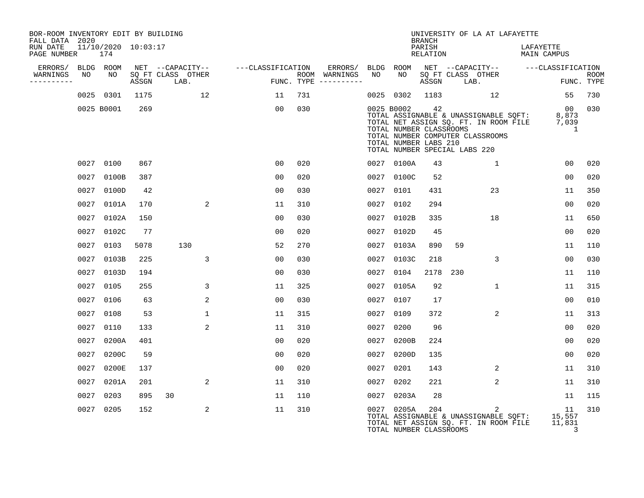| BOR-ROOM INVENTORY EDIT BY BUILDING<br>FALL DATA 2020 |      |                            |       |                           |                |                   |     |                                      |      |                                                                                                 | <b>BRANCH</b>      |                           | UNIVERSITY OF LA AT LAFAYETTE                                                                                      |                                 |                                       |             |
|-------------------------------------------------------|------|----------------------------|-------|---------------------------|----------------|-------------------|-----|--------------------------------------|------|-------------------------------------------------------------------------------------------------|--------------------|---------------------------|--------------------------------------------------------------------------------------------------------------------|---------------------------------|---------------------------------------|-------------|
| RUN DATE<br>PAGE NUMBER                               |      | 11/10/2020 10:03:17<br>174 |       |                           |                |                   |     |                                      |      |                                                                                                 | PARISH<br>RELATION |                           |                                                                                                                    | LAFAYETTE<br><b>MAIN CAMPUS</b> |                                       |             |
| ERRORS/                                               |      | BLDG ROOM                  |       | NET --CAPACITY--          |                | ---CLASSIFICATION |     | ERRORS/                              | BLDG | ROOM                                                                                            |                    |                           | NET --CAPACITY--                                                                                                   |                                 | ---CLASSIFICATION                     |             |
| WARNINGS<br>----------                                | NO   | NO                         | ASSGN | SO FT CLASS OTHER<br>LAB. |                |                   |     | ROOM WARNINGS<br>FUNC. TYPE $------$ | NO   | NO.                                                                                             | ASSGN              | SO FT CLASS OTHER<br>LAB. |                                                                                                                    |                                 | FUNC. TYPE                            | <b>ROOM</b> |
|                                                       |      | 0025 0301                  | 1175  |                           | 12             | 11                | 731 |                                      |      | 0025 0302                                                                                       | 1183               |                           | 12                                                                                                                 |                                 | 55                                    | 730         |
|                                                       |      | 0025 B0001                 | 269   |                           |                | 00                | 030 |                                      |      | 0025 B0002<br>TOTAL NUMBER CLASSROOMS<br>TOTAL NUMBER LABS 210<br>TOTAL NUMBER SPECIAL LABS 220 | 42                 |                           | TOTAL ASSIGNABLE & UNASSIGNABLE SQFT:<br>TOTAL NET ASSIGN SQ. FT. IN ROOM FILE<br>TOTAL NUMBER COMPUTER CLASSROOMS |                                 | 0 <sub>0</sub><br>8,873<br>7,039<br>1 | 030         |
|                                                       |      | 0027 0100                  | 867   |                           |                | 0 <sub>0</sub>    | 020 |                                      |      | 0027 0100A                                                                                      | 43                 |                           | 1                                                                                                                  |                                 | 00                                    | 020         |
|                                                       | 0027 | 0100B                      | 387   |                           |                | 0 <sub>0</sub>    | 020 |                                      | 0027 | 0100C                                                                                           | 52                 |                           |                                                                                                                    |                                 | 0 <sub>0</sub>                        | 020         |
|                                                       | 0027 | 0100D                      | 42    |                           |                | 0 <sub>0</sub>    | 030 |                                      | 0027 | 0101                                                                                            | 431                |                           | 23                                                                                                                 |                                 | 11                                    | 350         |
|                                                       | 0027 | 0101A                      | 170   |                           | 2              | 11                | 310 |                                      | 0027 | 0102                                                                                            | 294                |                           |                                                                                                                    |                                 | 0 <sub>0</sub>                        | 020         |
|                                                       | 0027 | 0102A                      | 150   |                           |                | 0 <sub>0</sub>    | 030 |                                      | 0027 | 0102B                                                                                           | 335                |                           | 18                                                                                                                 |                                 | 11                                    | 650         |
|                                                       | 0027 | 0102C                      | 77    |                           |                | 0 <sub>0</sub>    | 020 |                                      | 0027 | 0102D                                                                                           | 45                 |                           |                                                                                                                    |                                 | 0 <sub>0</sub>                        | 020         |
|                                                       | 0027 | 0103                       | 5078  | 130                       |                | 52                | 270 |                                      | 0027 | 0103A                                                                                           | 890                | 59                        |                                                                                                                    |                                 | 11                                    | 110         |
|                                                       | 0027 | 0103B                      | 225   |                           | 3              | 0 <sub>0</sub>    | 030 |                                      | 0027 | 0103C                                                                                           | 218                |                           | 3                                                                                                                  |                                 | 00                                    | 030         |
|                                                       | 0027 | 0103D                      | 194   |                           |                | 0 <sub>0</sub>    | 030 |                                      | 0027 | 0104                                                                                            | 2178               | 230                       |                                                                                                                    |                                 | 11                                    | 110         |
|                                                       | 0027 | 0105                       | 255   |                           | 3              | 11                | 325 |                                      | 0027 | 0105A                                                                                           | 92                 |                           | $\mathbf{1}$                                                                                                       |                                 | 11                                    | 315         |
|                                                       | 0027 | 0106                       | 63    |                           | 2              | 0 <sub>0</sub>    | 030 |                                      | 0027 | 0107                                                                                            | 17                 |                           |                                                                                                                    |                                 | 0 <sub>0</sub>                        | 010         |
|                                                       |      | 0027 0108                  | 53    |                           | $\mathbf{1}$   | 11                | 315 |                                      | 0027 | 0109                                                                                            | 372                |                           | $\overline{2}$                                                                                                     |                                 | 11                                    | 313         |
|                                                       | 0027 | 0110                       | 133   |                           | $\overline{2}$ | 11                | 310 |                                      | 0027 | 0200                                                                                            | 96                 |                           |                                                                                                                    |                                 | 00                                    | 020         |
|                                                       | 0027 | 0200A                      | 401   |                           |                | 00                | 020 |                                      | 0027 | 0200B                                                                                           | 224                |                           |                                                                                                                    |                                 | 0 <sub>0</sub>                        | 020         |
|                                                       |      | 0027 0200C                 | 59    |                           |                | 0 <sub>0</sub>    | 020 |                                      | 0027 | 0200D                                                                                           | 135                |                           |                                                                                                                    |                                 | 0 <sub>0</sub>                        | 020         |
|                                                       | 0027 | 0200E                      | 137   |                           |                | 0 <sub>0</sub>    | 020 |                                      | 0027 | 0201                                                                                            | 143                |                           | 2                                                                                                                  |                                 | 11                                    | 310         |
|                                                       | 0027 | 0201A                      | 201   |                           | 2              | 11                | 310 |                                      | 0027 | 0202                                                                                            | 221                |                           | 2                                                                                                                  |                                 | 11                                    | 310         |
|                                                       | 0027 | 0203                       | 895   | 30                        |                | 11                | 110 |                                      | 0027 | 0203A                                                                                           | 28                 |                           |                                                                                                                    |                                 | 11                                    | 115         |
|                                                       |      | 0027 0205                  | 152   |                           | 2              | 11                | 310 |                                      |      | 0027 0205A<br>TOTAL NUMBER CLASSROOMS                                                           | 204                |                           | 2<br>TOTAL ASSIGNABLE & UNASSIGNABLE SQFT:<br>TOTAL NET ASSIGN SQ. FT. IN ROOM FILE                                |                                 | 11<br>15,557<br>11,831<br>3           | 310         |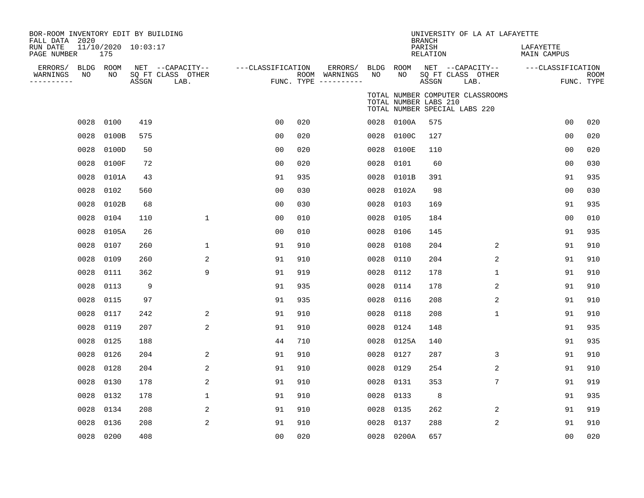| BOR-ROOM INVENTORY EDIT BY BUILDING<br>FALL DATA 2020 |      |                            |       |                                       |                   |     |                          |      |                       | <b>BRANCH</b>      | UNIVERSITY OF LA AT LAFAYETTE                                     |                |                          |                |            |
|-------------------------------------------------------|------|----------------------------|-------|---------------------------------------|-------------------|-----|--------------------------|------|-----------------------|--------------------|-------------------------------------------------------------------|----------------|--------------------------|----------------|------------|
| RUN DATE<br>PAGE NUMBER                               |      | 11/10/2020 10:03:17<br>175 |       |                                       |                   |     |                          |      |                       | PARISH<br>RELATION |                                                                   |                | LAFAYETTE<br>MAIN CAMPUS |                |            |
| ERRORS/ BLDG ROOM<br>WARNINGS                         | NO   | NO                         |       | NET --CAPACITY--<br>SQ FT CLASS OTHER | ---CLASSIFICATION |     | ERRORS/<br>ROOM WARNINGS | NO   | BLDG ROOM<br>NO.      |                    | NET --CAPACITY--<br>SQ FT CLASS OTHER                             |                | ---CLASSIFICATION        |                | ROOM       |
| ----------                                            |      |                            | ASSGN | LAB.                                  |                   |     | FUNC. TYPE $------$      |      |                       | ASSGN              | LAB.                                                              |                |                          |                | FUNC. TYPE |
|                                                       |      |                            |       |                                       |                   |     |                          |      | TOTAL NUMBER LABS 210 |                    | TOTAL NUMBER COMPUTER CLASSROOMS<br>TOTAL NUMBER SPECIAL LABS 220 |                |                          |                |            |
|                                                       | 0028 | 0100                       | 419   |                                       | 0 <sub>0</sub>    | 020 |                          |      | 0028 0100A            | 575                |                                                                   |                |                          | 0 <sub>0</sub> | 020        |
|                                                       | 0028 | 0100B                      | 575   |                                       | 0 <sub>0</sub>    | 020 |                          | 0028 | 0100C                 | 127                |                                                                   |                |                          | 0 <sub>0</sub> | 020        |
|                                                       | 0028 | 0100D                      | 50    |                                       | 0 <sub>0</sub>    | 020 |                          | 0028 | 0100E                 | 110                |                                                                   |                |                          | 0 <sub>0</sub> | 020        |
|                                                       | 0028 | 0100F                      | 72    |                                       | 0 <sub>0</sub>    | 020 |                          | 0028 | 0101                  | 60                 |                                                                   |                |                          | 0 <sub>0</sub> | 030        |
|                                                       | 0028 | 0101A                      | 43    |                                       | 91                | 935 |                          | 0028 | 0101B                 | 391                |                                                                   |                |                          | 91             | 935        |
|                                                       | 0028 | 0102                       | 560   |                                       | 0 <sub>0</sub>    | 030 |                          | 0028 | 0102A                 | 98                 |                                                                   |                |                          | 0 <sub>0</sub> | 030        |
|                                                       | 0028 | 0102B                      | 68    |                                       | 0 <sub>0</sub>    | 030 |                          | 0028 | 0103                  | 169                |                                                                   |                |                          | 91             | 935        |
|                                                       | 0028 | 0104                       | 110   | 1                                     | 0 <sub>0</sub>    | 010 |                          | 0028 | 0105                  | 184                |                                                                   |                |                          | 00             | 010        |
|                                                       | 0028 | 0105A                      | 26    |                                       | 00                | 010 |                          | 0028 | 0106                  | 145                |                                                                   |                |                          | 91             | 935        |
|                                                       | 0028 | 0107                       | 260   | 1                                     | 91                | 910 |                          | 0028 | 0108                  | 204                |                                                                   | $\overline{2}$ |                          | 91             | 910        |
|                                                       | 0028 | 0109                       | 260   | 2                                     | 91                | 910 |                          | 0028 | 0110                  | 204                |                                                                   | 2              |                          | 91             | 910        |
|                                                       | 0028 | 0111                       | 362   | 9                                     | 91                | 919 |                          | 0028 | 0112                  | 178                |                                                                   | $\mathbf{1}$   |                          | 91             | 910        |
|                                                       | 0028 | 0113                       | 9     |                                       | 91                | 935 |                          |      | 0028 0114             | 178                |                                                                   | 2              |                          | 91             | 910        |
|                                                       | 0028 | 0115                       | 97    |                                       | 91                | 935 |                          | 0028 | 0116                  | 208                |                                                                   | 2              |                          | 91             | 910        |
|                                                       | 0028 | 0117                       | 242   | 2                                     | 91                | 910 |                          | 0028 | 0118                  | 208                |                                                                   | $\mathbf{1}$   |                          | 91             | 910        |
|                                                       | 0028 | 0119                       | 207   | 2                                     | 91                | 910 |                          | 0028 | 0124                  | 148                |                                                                   |                |                          | 91             | 935        |
|                                                       | 0028 | 0125                       | 188   |                                       | 44                | 710 |                          |      | 0028 0125A            | 140                |                                                                   |                |                          | 91             | 935        |
|                                                       | 0028 | 0126                       | 204   | 2                                     | 91                | 910 |                          | 0028 | 0127                  | 287                |                                                                   | 3              |                          | 91             | 910        |
|                                                       | 0028 | 0128                       | 204   | 2                                     | 91                | 910 |                          | 0028 | 0129                  | 254                |                                                                   | 2              |                          | 91             | 910        |
|                                                       | 0028 | 0130                       | 178   | 2                                     | 91                | 910 |                          | 0028 | 0131                  | 353                |                                                                   | $\overline{7}$ |                          | 91             | 919        |
|                                                       | 0028 | 0132                       | 178   | 1                                     | 91                | 910 |                          | 0028 | 0133                  | 8                  |                                                                   |                |                          | 91             | 935        |
|                                                       | 0028 | 0134                       | 208   | 2                                     | 91                | 910 |                          | 0028 | 0135                  | 262                |                                                                   | 2              |                          | 91             | 919        |
|                                                       | 0028 | 0136                       | 208   | 2                                     | 91                | 910 |                          | 0028 | 0137                  | 288                |                                                                   | 2              |                          | 91             | 910        |
|                                                       |      | 0028 0200                  | 408   |                                       | 0 <sub>0</sub>    | 020 |                          |      | 0028 0200A            | 657                |                                                                   |                |                          | 0 <sub>0</sub> | 020        |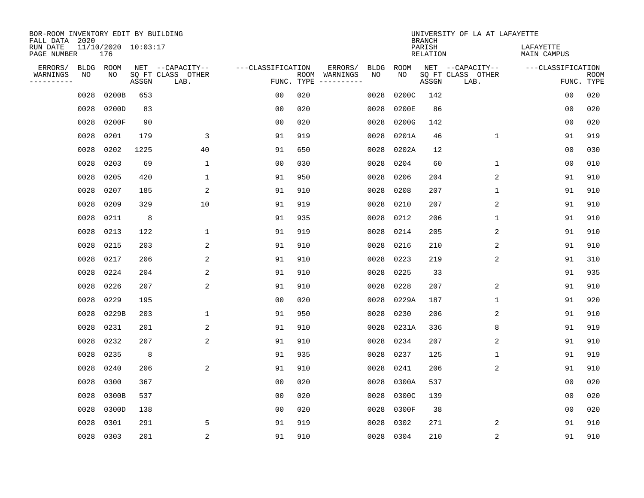| BOR-ROOM INVENTORY EDIT BY BUILDING<br>FALL DATA 2020 |                   |                            |       |                           |                   |            |                              |                   |                   | <b>BRANCH</b>             | UNIVERSITY OF LA AT LAFAYETTE |                          |                           |
|-------------------------------------------------------|-------------------|----------------------------|-------|---------------------------|-------------------|------------|------------------------------|-------------------|-------------------|---------------------------|-------------------------------|--------------------------|---------------------------|
| RUN DATE<br>PAGE NUMBER                               |                   | 11/10/2020 10:03:17<br>176 |       |                           |                   |            |                              |                   |                   | PARISH<br><b>RELATION</b> |                               | LAFAYETTE<br>MAIN CAMPUS |                           |
| ERRORS/<br>WARNINGS                                   | <b>BLDG</b><br>NO | ROOM<br>NO                 |       | NET --CAPACITY--          | ---CLASSIFICATION |            | ERRORS/                      | <b>BLDG</b><br>NO | <b>ROOM</b><br>NO |                           | NET --CAPACITY--              | ---CLASSIFICATION        |                           |
| ----------                                            |                   |                            | ASSGN | SQ FT CLASS OTHER<br>LAB. |                   | FUNC. TYPE | ROOM WARNINGS<br>----------- |                   |                   | ASSGN                     | SQ FT CLASS OTHER<br>LAB.     |                          | <b>ROOM</b><br>FUNC. TYPE |
|                                                       | 0028              | 0200B                      | 653   |                           | 0 <sub>0</sub>    | 020        |                              | 0028              | 0200C             | 142                       |                               | 00                       | 020                       |
|                                                       | 0028              | 0200D                      | 83    |                           | 0 <sub>0</sub>    | 020        |                              | 0028              | 0200E             | 86                        |                               | 00                       | 020                       |
|                                                       | 0028              | 0200F                      | 90    |                           | 0 <sub>0</sub>    | 020        |                              | 0028              | 0200G             | 142                       |                               | 0 <sub>0</sub>           | 020                       |
|                                                       | 0028              | 0201                       | 179   | 3                         | 91                | 919        |                              | 0028              | 0201A             | 46                        | $\mathbf 1$                   | 91                       | 919                       |
|                                                       | 0028              | 0202                       | 1225  | 40                        | 91                | 650        |                              | 0028              | 0202A             | 12                        |                               | 0 <sub>0</sub>           | 030                       |
|                                                       | 0028              | 0203                       | 69    | $\mathbf{1}$              | 0 <sub>0</sub>    | 030        |                              | 0028              | 0204              | 60                        | $\mathbf{1}$                  | 00                       | 010                       |
|                                                       | 0028              | 0205                       | 420   | $\mathbf 1$               | 91                | 950        |                              | 0028              | 0206              | 204                       | 2                             | 91                       | 910                       |
|                                                       | 0028              | 0207                       | 185   | 2                         | 91                | 910        |                              | 0028              | 0208              | 207                       | 1                             | 91                       | 910                       |
|                                                       | 0028              | 0209                       | 329   | 10                        | 91                | 919        |                              | 0028              | 0210              | 207                       | 2                             | 91                       | 910                       |
|                                                       | 0028              | 0211                       | 8     |                           | 91                | 935        |                              | 0028              | 0212              | 206                       | $\mathbf 1$                   | 91                       | 910                       |
|                                                       | 0028              | 0213                       | 122   | 1                         | 91                | 919        |                              | 0028              | 0214              | 205                       | 2                             | 91                       | 910                       |
|                                                       | 0028              | 0215                       | 203   | $\overline{2}$            | 91                | 910        |                              | 0028              | 0216              | 210                       | 2                             | 91                       | 910                       |
|                                                       | 0028              | 0217                       | 206   | 2                         | 91                | 910        |                              | 0028              | 0223              | 219                       | 2                             | 91                       | 310                       |
|                                                       | 0028              | 0224                       | 204   | 2                         | 91                | 910        |                              | 0028              | 0225              | 33                        |                               | 91                       | 935                       |
|                                                       | 0028              | 0226                       | 207   | 2                         | 91                | 910        |                              | 0028              | 0228              | 207                       | 2                             | 91                       | 910                       |
|                                                       | 0028              | 0229                       | 195   |                           | 0 <sub>0</sub>    | 020        |                              | 0028              | 0229A             | 187                       | 1                             | 91                       | 920                       |
|                                                       | 0028              | 0229B                      | 203   | 1                         | 91                | 950        |                              | 0028              | 0230              | 206                       | 2                             | 91                       | 910                       |
|                                                       | 0028              | 0231                       | 201   | 2                         | 91                | 910        |                              | 0028              | 0231A             | 336                       | 8                             | 91                       | 919                       |
|                                                       | 0028              | 0232                       | 207   | 2                         | 91                | 910        |                              | 0028              | 0234              | 207                       | 2                             | 91                       | 910                       |
|                                                       | 0028              | 0235                       | 8     |                           | 91                | 935        |                              | 0028              | 0237              | 125                       | 1                             | 91                       | 919                       |
|                                                       | 0028              | 0240                       | 206   | 2                         | 91                | 910        |                              | 0028              | 0241              | 206                       | 2                             | 91                       | 910                       |
|                                                       | 0028              | 0300                       | 367   |                           | 0 <sub>0</sub>    | 020        |                              | 0028              | 0300A             | 537                       |                               | 00                       | 020                       |
|                                                       | 0028              | 0300B                      | 537   |                           | 0 <sub>0</sub>    | 020        |                              | 0028              | 0300C             | 139                       |                               | 0 <sub>0</sub>           | 020                       |
|                                                       | 0028              | 0300D                      | 138   |                           | 0 <sub>0</sub>    | 020        |                              | 0028              | 0300F             | 38                        |                               | 0 <sub>0</sub>           | 020                       |
|                                                       | 0028              | 0301                       | 291   | 5                         | 91                | 919        |                              | 0028              | 0302              | 271                       | 2                             | 91                       | 910                       |
|                                                       | 0028              | 0303                       | 201   | $\overline{c}$            | 91                | 910        |                              |                   | 0028 0304         | 210                       | $\sqrt{2}$                    | 91                       | 910                       |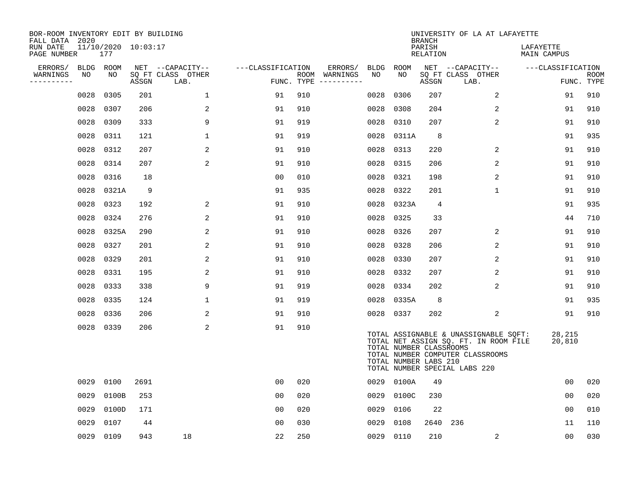| BOR-ROOM INVENTORY EDIT BY BUILDING<br>FALL DATA 2020 |      |                            |       |                           |                   |     |                                      |           |                                                  | <b>BRANCH</b>      | UNIVERSITY OF LA AT LAFAYETTE                                                                                                                       |                          |                           |
|-------------------------------------------------------|------|----------------------------|-------|---------------------------|-------------------|-----|--------------------------------------|-----------|--------------------------------------------------|--------------------|-----------------------------------------------------------------------------------------------------------------------------------------------------|--------------------------|---------------------------|
| RUN DATE<br>PAGE NUMBER                               |      | 11/10/2020 10:03:17<br>177 |       |                           |                   |     |                                      |           |                                                  | PARISH<br>RELATION |                                                                                                                                                     | LAFAYETTE<br>MAIN CAMPUS |                           |
| ERRORS/                                               | BLDG | ROOM                       |       | NET --CAPACITY--          | ---CLASSIFICATION |     | ERRORS/                              | BLDG ROOM |                                                  |                    | NET --CAPACITY--                                                                                                                                    | ---CLASSIFICATION        |                           |
| WARNINGS<br>---------                                 | NO   | NO                         | ASSGN | SQ FT CLASS OTHER<br>LAB. |                   |     | ROOM WARNINGS<br>FUNC. TYPE $------$ | NO        | NO                                               | ASSGN              | SQ FT CLASS OTHER<br>LAB.                                                                                                                           |                          | <b>ROOM</b><br>FUNC. TYPE |
|                                                       | 0028 | 0305                       | 201   | $\mathbf{1}$              | 91                | 910 |                                      | 0028      | 0306                                             | 207                | 2                                                                                                                                                   | 91                       | 910                       |
|                                                       | 0028 | 0307                       | 206   | 2                         | 91                | 910 |                                      | 0028      | 0308                                             | 204                | 2                                                                                                                                                   | 91                       | 910                       |
|                                                       | 0028 | 0309                       | 333   | 9                         | 91                | 919 |                                      | 0028      | 0310                                             | 207                | $\overline{2}$                                                                                                                                      | 91                       | 910                       |
|                                                       | 0028 | 0311                       | 121   | $\mathbf 1$               | 91                | 919 |                                      | 0028      | 0311A                                            | 8                  |                                                                                                                                                     | 91                       | 935                       |
|                                                       | 0028 | 0312                       | 207   | 2                         | 91                | 910 |                                      | 0028      | 0313                                             | 220                | 2                                                                                                                                                   | 91                       | 910                       |
|                                                       | 0028 | 0314                       | 207   | 2                         | 91                | 910 |                                      |           | 0028 0315                                        | 206                | 2                                                                                                                                                   | 91                       | 910                       |
|                                                       | 0028 | 0316                       | 18    |                           | 00                | 010 |                                      | 0028 0321 |                                                  | 198                | $\overline{2}$                                                                                                                                      | 91                       | 910                       |
|                                                       | 0028 | 0321A                      | 9     |                           | 91                | 935 |                                      | 0028      | 0322                                             | 201                | $\mathbf{1}$                                                                                                                                        | 91                       | 910                       |
|                                                       | 0028 | 0323                       | 192   | 2                         | 91                | 910 |                                      |           | 0028 0323A                                       | 4                  |                                                                                                                                                     | 91                       | 935                       |
|                                                       | 0028 | 0324                       | 276   | 2                         | 91                | 910 |                                      |           | 0028 0325                                        | 33                 |                                                                                                                                                     | 44                       | 710                       |
|                                                       | 0028 | 0325A                      | 290   | 2                         | 91                | 910 |                                      | 0028 0326 |                                                  | 207                | 2                                                                                                                                                   | 91                       | 910                       |
|                                                       | 0028 | 0327                       | 201   | 2                         | 91                | 910 |                                      | 0028 0328 |                                                  | 206                | 2                                                                                                                                                   | 91                       | 910                       |
|                                                       | 0028 | 0329                       | 201   | 2                         | 91                | 910 |                                      | 0028 0330 |                                                  | 207                | 2                                                                                                                                                   | 91                       | 910                       |
|                                                       | 0028 | 0331                       | 195   | 2                         | 91                | 910 |                                      |           | 0028 0332                                        | 207                | 2                                                                                                                                                   | 91                       | 910                       |
|                                                       | 0028 | 0333                       | 338   | 9                         | 91                | 919 |                                      | 0028      | 0334                                             | 202                | 2                                                                                                                                                   | 91                       | 910                       |
|                                                       | 0028 | 0335                       | 124   | $\mathbf{1}$              | 91                | 919 |                                      |           | 0028 0335A                                       | 8                  |                                                                                                                                                     | 91                       | 935                       |
|                                                       | 0028 | 0336                       | 206   | 2                         | 91                | 910 |                                      |           | 0028 0337                                        | 202                | 2                                                                                                                                                   | 91                       | 910                       |
|                                                       | 0028 | 0339                       | 206   | 2                         | 91                | 910 |                                      |           | TOTAL NUMBER CLASSROOMS<br>TOTAL NUMBER LABS 210 |                    | TOTAL ASSIGNABLE & UNASSIGNABLE SQFT:<br>TOTAL NET ASSIGN SQ. FT. IN ROOM FILE<br>TOTAL NUMBER COMPUTER CLASSROOMS<br>TOTAL NUMBER SPECIAL LABS 220 | 28,215<br>20,810         |                           |
|                                                       | 0029 | 0100                       | 2691  |                           | 00                | 020 |                                      |           | 0029 0100A                                       | 49                 |                                                                                                                                                     | 00                       | 020                       |
|                                                       | 0029 | 0100B                      | 253   |                           | 00                | 020 |                                      | 0029      | 0100C                                            | 230                |                                                                                                                                                     | 0 <sub>0</sub>           | 020                       |
|                                                       | 0029 | 0100D                      | 171   |                           | 00                | 020 |                                      | 0029      | 0106                                             | 22                 |                                                                                                                                                     | 00                       | 010                       |
|                                                       | 0029 | 0107                       | 44    |                           | 0 <sup>0</sup>    | 030 |                                      | 0029      | 0108                                             | 2640 236           |                                                                                                                                                     | 11                       | 110                       |
|                                                       |      | 0029 0109                  | 943   | 18                        | 22                | 250 |                                      | 0029 0110 |                                                  | 210                | 2                                                                                                                                                   | 0 <sub>0</sub>           | 030                       |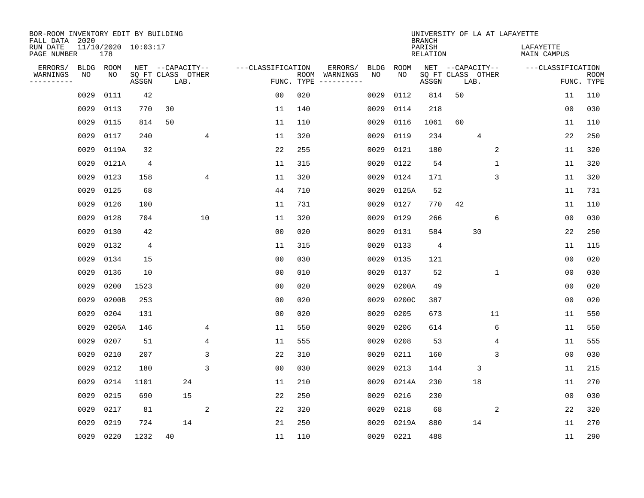| BOR-ROOM INVENTORY EDIT BY BUILDING<br>FALL DATA 2020 |             |                            |                |                           |                |                   |                    |          |             |             | <b>BRANCH</b>             |                           |              | UNIVERSITY OF LA AT LAFAYETTE   |                |                           |
|-------------------------------------------------------|-------------|----------------------------|----------------|---------------------------|----------------|-------------------|--------------------|----------|-------------|-------------|---------------------------|---------------------------|--------------|---------------------------------|----------------|---------------------------|
| RUN DATE<br>PAGE NUMBER                               |             | 11/10/2020 10:03:17<br>178 |                |                           |                |                   |                    |          |             |             | PARISH<br><b>RELATION</b> |                           |              | LAFAYETTE<br><b>MAIN CAMPUS</b> |                |                           |
| ERRORS/                                               | <b>BLDG</b> | ROOM                       |                | NET --CAPACITY--          |                | ---CLASSIFICATION |                    | ERRORS/  | <b>BLDG</b> | <b>ROOM</b> |                           | NET --CAPACITY--          |              | ---CLASSIFICATION               |                |                           |
| WARNINGS<br>----------                                | NO          | NO                         | ASSGN          | SQ FT CLASS OTHER<br>LAB. |                |                   | ROOM<br>FUNC. TYPE | WARNINGS | NO          | NO          | ASSGN                     | SQ FT CLASS OTHER<br>LAB. |              |                                 |                | <b>ROOM</b><br>FUNC. TYPE |
|                                                       | 0029        | 0111                       | 42             |                           |                | 00                | 020                |          | 0029        | 0112        | 814                       | 50                        |              |                                 | 11             | 110                       |
|                                                       | 0029        | 0113                       | 770            | 30                        |                | 11                | 140                |          | 0029        | 0114        | 218                       |                           |              |                                 | 00             | 030                       |
|                                                       | 0029        | 0115                       | 814            | 50                        |                | 11                | 110                |          | 0029        | 0116        | 1061                      | 60                        |              |                                 | 11             | 110                       |
|                                                       | 0029        | 0117                       | 240            |                           | 4              | 11                | 320                |          | 0029        | 0119        | 234                       |                           | 4            |                                 | 22             | 250                       |
|                                                       | 0029        | 0119A                      | 32             |                           |                | 22                | 255                |          | 0029        | 0121        | 180                       |                           | 2            |                                 | 11             | 320                       |
|                                                       | 0029        | 0121A                      | $\overline{4}$ |                           |                | 11                | 315                |          | 0029        | 0122        | 54                        |                           | $\mathbf{1}$ |                                 | 11             | 320                       |
|                                                       | 0029        | 0123                       | 158            |                           | $\overline{4}$ | 11                | 320                |          | 0029        | 0124        | 171                       |                           | 3            |                                 | 11             | 320                       |
|                                                       | 0029        | 0125                       | 68             |                           |                | 44                | 710                |          | 0029        | 0125A       | 52                        |                           |              |                                 | 11             | 731                       |
|                                                       | 0029        | 0126                       | 100            |                           |                | 11                | 731                |          | 0029        | 0127        | 770                       | 42                        |              |                                 | 11             | 110                       |
|                                                       | 0029        | 0128                       | 704            |                           | 10             | 11                | 320                |          | 0029        | 0129        | 266                       |                           | 6            |                                 | 0 <sub>0</sub> | 030                       |
|                                                       | 0029        | 0130                       | 42             |                           |                | 0 <sub>0</sub>    | 020                |          | 0029        | 0131        | 584                       |                           | 30           |                                 | 22             | 250                       |
|                                                       | 0029        | 0132                       | 4              |                           |                | 11                | 315                |          | 0029        | 0133        | 4                         |                           |              |                                 | 11             | 115                       |
|                                                       | 0029        | 0134                       | 15             |                           |                | 0 <sub>0</sub>    | 030                |          | 0029        | 0135        | 121                       |                           |              |                                 | 0 <sub>0</sub> | 020                       |
|                                                       | 0029        | 0136                       | 10             |                           |                | 0 <sub>0</sub>    | 010                |          | 0029        | 0137        | 52                        |                           | 1            |                                 | 0 <sub>0</sub> | 030                       |
|                                                       | 0029        | 0200                       | 1523           |                           |                | 0 <sub>0</sub>    | 020                |          | 0029        | 0200A       | 49                        |                           |              |                                 | 0 <sub>0</sub> | 020                       |
|                                                       | 0029        | 0200B                      | 253            |                           |                | 0 <sub>0</sub>    | 020                |          | 0029        | 0200C       | 387                       |                           |              |                                 | 0 <sub>0</sub> | 020                       |
|                                                       | 0029        | 0204                       | 131            |                           |                | 0 <sub>0</sub>    | 020                |          | 0029        | 0205        | 673                       |                           | 11           |                                 | 11             | 550                       |
|                                                       | 0029        | 0205A                      | 146            |                           | 4              | 11                | 550                |          | 0029        | 0206        | 614                       |                           | 6            |                                 | 11             | 550                       |
|                                                       | 0029        | 0207                       | 51             |                           | 4              | 11                | 555                |          | 0029        | 0208        | 53                        |                           | 4            |                                 | 11             | 555                       |
|                                                       | 0029        | 0210                       | 207            |                           | 3              | 22                | 310                |          | 0029        | 0211        | 160                       |                           | 3            |                                 | 0 <sub>0</sub> | 030                       |
|                                                       | 0029        | 0212                       | 180            |                           | 3              | 0 <sub>0</sub>    | 030                |          | 0029        | 0213        | 144                       |                           | 3            |                                 | 11             | 215                       |
|                                                       | 0029        | 0214                       | 1101           | 24                        |                | 11                | 210                |          | 0029        | 0214A       | 230                       |                           | 18           |                                 | 11             | 270                       |
|                                                       | 0029        | 0215                       | 690            | 15                        |                | 22                | 250                |          | 0029        | 0216        | 230                       |                           |              |                                 | 0 <sub>0</sub> | 030                       |
|                                                       | 0029        | 0217                       | 81             |                           | 2              | 22                | 320                |          | 0029        | 0218        | 68                        |                           | 2            |                                 | 22             | 320                       |
|                                                       | 0029        | 0219                       | 724            | 14                        |                | 21                | 250                |          | 0029        | 0219A       | 880                       |                           | 14           |                                 | 11             | 270                       |
|                                                       | 0029        | 0220                       | 1232           | 40                        |                | 11                | 110                |          | 0029        | 0221        | 488                       |                           |              |                                 | 11             | 290                       |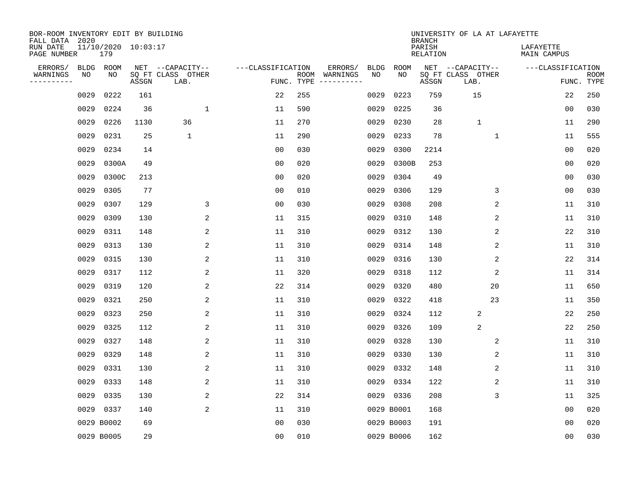| BOR-ROOM INVENTORY EDIT BY BUILDING<br>FALL DATA 2020 |      |                            |       |                           |                   |                    |          |             |             | <b>BRANCH</b>             | UNIVERSITY OF LA AT LAFAYETTE |                          |                           |
|-------------------------------------------------------|------|----------------------------|-------|---------------------------|-------------------|--------------------|----------|-------------|-------------|---------------------------|-------------------------------|--------------------------|---------------------------|
| RUN DATE<br>PAGE NUMBER                               |      | 11/10/2020 10:03:17<br>179 |       |                           |                   |                    |          |             |             | PARISH<br><b>RELATION</b> |                               | LAFAYETTE<br>MAIN CAMPUS |                           |
| ERRORS/                                               | BLDG | ROOM                       |       | NET --CAPACITY--          | ---CLASSIFICATION |                    | ERRORS/  | <b>BLDG</b> | <b>ROOM</b> |                           | NET --CAPACITY--              | ---CLASSIFICATION        |                           |
| WARNINGS<br>----------                                | ΝO   | NO                         | ASSGN | SQ FT CLASS OTHER<br>LAB. |                   | ROOM<br>FUNC. TYPE | WARNINGS | NO          | NO          | ASSGN                     | SQ FT CLASS OTHER<br>LAB.     |                          | <b>ROOM</b><br>FUNC. TYPE |
|                                                       | 0029 | 0222                       | 161   |                           | 22                | 255                |          | 0029        | 0223        | 759                       | 15                            | 22                       | 250                       |
|                                                       | 0029 | 0224                       | 36    | 1                         | 11                | 590                |          | 0029        | 0225        | 36                        |                               | 0 <sub>0</sub>           | 030                       |
|                                                       | 0029 | 0226                       | 1130  | 36                        | 11                | 270                |          | 0029        | 0230        | 28                        | $\mathbf{1}$                  | 11                       | 290                       |
|                                                       | 0029 | 0231                       | 25    | $\mathbf 1$               | 11                | 290                |          | 0029        | 0233        | 78                        | $\mathbf 1$                   | 11                       | 555                       |
|                                                       | 0029 | 0234                       | 14    |                           | 0 <sub>0</sub>    | 030                |          | 0029        | 0300        | 2214                      |                               | 0 <sub>0</sub>           | 020                       |
|                                                       | 0029 | 0300A                      | 49    |                           | 0 <sub>0</sub>    | 020                |          | 0029        | 0300B       | 253                       |                               | 0 <sub>0</sub>           | 020                       |
|                                                       | 0029 | 0300C                      | 213   |                           | 0 <sub>0</sub>    | 020                |          | 0029        | 0304        | 49                        |                               | 0 <sub>0</sub>           | 030                       |
|                                                       | 0029 | 0305                       | 77    |                           | 0 <sub>0</sub>    | 010                |          | 0029        | 0306        | 129                       | 3                             | 0 <sub>0</sub>           | 030                       |
|                                                       | 0029 | 0307                       | 129   | 3                         | 0 <sub>0</sub>    | 030                |          | 0029        | 0308        | 208                       | 2                             | 11                       | 310                       |
|                                                       | 0029 | 0309                       | 130   | 2                         | 11                | 315                |          | 0029        | 0310        | 148                       | 2                             | 11                       | 310                       |
|                                                       | 0029 | 0311                       | 148   | 2                         | 11                | 310                |          | 0029        | 0312        | 130                       | 2                             | 22                       | 310                       |
|                                                       | 0029 | 0313                       | 130   | 2                         | 11                | 310                |          | 0029        | 0314        | 148                       | 2                             | 11                       | 310                       |
|                                                       | 0029 | 0315                       | 130   | 2                         | 11                | 310                |          | 0029        | 0316        | 130                       | 2                             | 22                       | 314                       |
|                                                       | 0029 | 0317                       | 112   | 2                         | 11                | 320                |          | 0029        | 0318        | 112                       | 2                             | 11                       | 314                       |
|                                                       | 0029 | 0319                       | 120   | 2                         | 22                | 314                |          | 0029        | 0320        | 480                       | 20                            | 11                       | 650                       |
|                                                       | 0029 | 0321                       | 250   | 2                         | 11                | 310                |          | 0029        | 0322        | 418                       | 23                            | 11                       | 350                       |
|                                                       | 0029 | 0323                       | 250   | 2                         | 11                | 310                |          | 0029        | 0324        | 112                       | 2                             | 22                       | 250                       |
|                                                       | 0029 | 0325                       | 112   | 2                         | 11                | 310                |          | 0029        | 0326        | 109                       | $\sqrt{2}$                    | 22                       | 250                       |
|                                                       | 0029 | 0327                       | 148   | 2                         | 11                | 310                |          | 0029        | 0328        | 130                       | 2                             | 11                       | 310                       |
|                                                       | 0029 | 0329                       | 148   | 2                         | 11                | 310                |          | 0029        | 0330        | 130                       | 2                             | 11                       | 310                       |
|                                                       | 0029 | 0331                       | 130   | 2                         | 11                | 310                |          | 0029        | 0332        | 148                       | 2                             | 11                       | 310                       |
|                                                       | 0029 | 0333                       | 148   | 2                         | 11                | 310                |          | 0029        | 0334        | 122                       | 2                             | 11                       | 310                       |
|                                                       | 0029 | 0335                       | 130   | 2                         | 22                | 314                |          | 0029        | 0336        | 208                       | 3                             | 11                       | 325                       |
|                                                       | 0029 | 0337                       | 140   | $\overline{a}$            | 11                | 310                |          |             | 0029 B0001  | 168                       |                               | 0 <sub>0</sub>           | 020                       |
|                                                       |      | 0029 B0002                 | 69    |                           | 0 <sub>0</sub>    | 030                |          |             | 0029 B0003  | 191                       |                               | 0 <sub>0</sub>           | 020                       |
|                                                       |      | 0029 B0005                 | 29    |                           | 0 <sub>0</sub>    | 010                |          |             | 0029 B0006  | 162                       |                               | 0 <sub>0</sub>           | 030                       |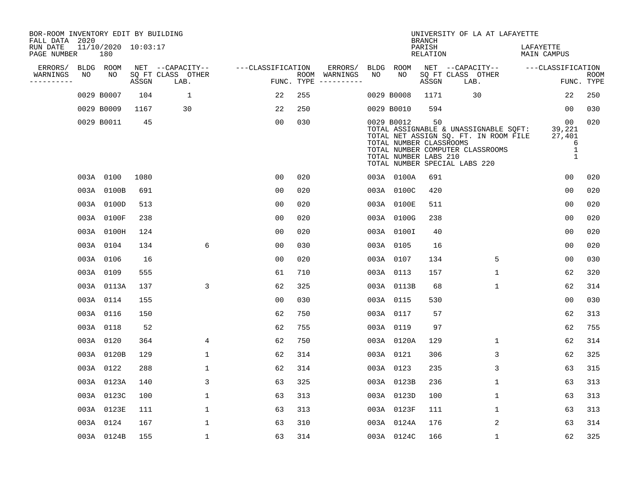| BOR-ROOM INVENTORY EDIT BY BUILDING<br>FALL DATA 2020 |    |                            |       |                           |                   |            |                              |    |                                                                | <b>BRANCH</b>             | UNIVERSITY OF LA AT LAFAYETTE                                                                                                                       |                                                                          |                           |
|-------------------------------------------------------|----|----------------------------|-------|---------------------------|-------------------|------------|------------------------------|----|----------------------------------------------------------------|---------------------------|-----------------------------------------------------------------------------------------------------------------------------------------------------|--------------------------------------------------------------------------|---------------------------|
| RUN DATE<br>PAGE NUMBER                               |    | 11/10/2020 10:03:17<br>180 |       |                           |                   |            |                              |    |                                                                | PARISH<br><b>RELATION</b> |                                                                                                                                                     | LAFAYETTE<br>MAIN CAMPUS                                                 |                           |
| ERRORS/                                               |    | BLDG ROOM                  |       | NET --CAPACITY--          | ---CLASSIFICATION |            | ERRORS/                      |    | BLDG ROOM                                                      |                           | NET --CAPACITY--                                                                                                                                    | ---CLASSIFICATION                                                        |                           |
| WARNINGS<br>----------                                | NO | NO                         | ASSGN | SQ FT CLASS OTHER<br>LAB. |                   | FUNC. TYPE | ROOM WARNINGS<br>----------- | NO | NO                                                             | ASSGN                     | SQ FT CLASS OTHER<br>LAB.                                                                                                                           |                                                                          | <b>ROOM</b><br>FUNC. TYPE |
|                                                       |    | 0029 B0007                 | 104   | 1                         | 22                | 255        |                              |    | 0029 B0008                                                     | 1171                      | 30                                                                                                                                                  | 22                                                                       | 250                       |
|                                                       |    | 0029 B0009                 | 1167  | 30                        | 22                | 250        |                              |    | 0029 B0010                                                     | 594                       |                                                                                                                                                     | 00                                                                       | 030                       |
|                                                       |    | 0029 B0011                 | 45    |                           | 0 <sub>0</sub>    | 030        |                              |    | 0029 B0012<br>TOTAL NUMBER CLASSROOMS<br>TOTAL NUMBER LABS 210 | 50                        | TOTAL ASSIGNABLE & UNASSIGNABLE SQFT:<br>TOTAL NET ASSIGN SQ. FT. IN ROOM FILE<br>TOTAL NUMBER COMPUTER CLASSROOMS<br>TOTAL NUMBER SPECIAL LABS 220 | 00 <sub>o</sub><br>39,221<br>27,401<br>6<br>$\mathbf{1}$<br>$\mathbf{1}$ | 020                       |
|                                                       |    | 003A 0100                  | 1080  |                           | 00                | 020        |                              |    | 003A 0100A                                                     | 691                       |                                                                                                                                                     | 0 <sub>0</sub>                                                           | 020                       |
|                                                       |    | 003A 0100B                 | 691   |                           | 0 <sub>0</sub>    | 020        |                              |    | 003A 0100C                                                     | 420                       |                                                                                                                                                     | 0 <sub>0</sub>                                                           | 020                       |
|                                                       |    | 003A 0100D                 | 513   |                           | 0 <sub>0</sub>    | 020        |                              |    | 003A 0100E                                                     | 511                       |                                                                                                                                                     | 0 <sub>0</sub>                                                           | 020                       |
|                                                       |    | 003A 0100F                 | 238   |                           | 0 <sub>0</sub>    | 020        |                              |    | 003A 0100G                                                     | 238                       |                                                                                                                                                     | 0 <sub>0</sub>                                                           | 020                       |
|                                                       |    | 003A 0100H                 | 124   |                           | 00                | 020        |                              |    | 003A 0100I                                                     | 40                        |                                                                                                                                                     | 00                                                                       | 020                       |
|                                                       |    | 003A 0104                  | 134   | 6                         | 0 <sub>0</sub>    | 030        |                              |    | 003A 0105                                                      | 16                        |                                                                                                                                                     | 00                                                                       | 020                       |
|                                                       |    | 003A 0106                  | 16    |                           | 0 <sub>0</sub>    | 020        |                              |    | 003A 0107                                                      | 134                       | 5                                                                                                                                                   | 0 <sub>0</sub>                                                           | 030                       |
|                                                       |    | 003A 0109                  | 555   |                           | 61                | 710        |                              |    | 003A 0113                                                      | 157                       | $\mathbf{1}$                                                                                                                                        | 62                                                                       | 320                       |
|                                                       |    | 003A 0113A                 | 137   | 3                         | 62                | 325        |                              |    | 003A 0113B                                                     | 68                        | $\mathbf{1}$                                                                                                                                        | 62                                                                       | 314                       |
|                                                       |    | 003A 0114                  | 155   |                           | 0 <sub>0</sub>    | 030        |                              |    | 003A 0115                                                      | 530                       |                                                                                                                                                     | 0 <sub>0</sub>                                                           | 030                       |
|                                                       |    | 003A 0116                  | 150   |                           | 62                | 750        |                              |    | 003A 0117                                                      | 57                        |                                                                                                                                                     | 62                                                                       | 313                       |
|                                                       |    | 003A 0118                  | 52    |                           | 62                | 755        |                              |    | 003A 0119                                                      | 97                        |                                                                                                                                                     | 62                                                                       | 755                       |
|                                                       |    | 003A 0120                  | 364   | 4                         | 62                | 750        |                              |    | 003A 0120A                                                     | 129                       | $\mathbf 1$                                                                                                                                         | 62                                                                       | 314                       |
|                                                       |    | 003A 0120B                 | 129   | $\mathbf{1}$              | 62                | 314        |                              |    | 003A 0121                                                      | 306                       | 3                                                                                                                                                   | 62                                                                       | 325                       |
|                                                       |    | 003A 0122                  | 288   | $\mathbf{1}$              | 62                | 314        |                              |    | 003A 0123                                                      | 235                       | 3                                                                                                                                                   | 63                                                                       | 315                       |
|                                                       |    | 003A 0123A                 | 140   | 3                         | 63                | 325        |                              |    | 003A 0123B                                                     | 236                       | $\mathbf{1}$                                                                                                                                        | 63                                                                       | 313                       |
|                                                       |    | 003A 0123C                 | 100   | $\mathbf{1}$              | 63                | 313        |                              |    | 003A 0123D                                                     | 100                       | 1                                                                                                                                                   | 63                                                                       | 313                       |
|                                                       |    | 003A 0123E                 | 111   | $\mathbf{1}$              | 63                | 313        |                              |    | 003A 0123F                                                     | 111                       | $\mathbf{1}$                                                                                                                                        | 63                                                                       | 313                       |
|                                                       |    | 003A 0124                  | 167   | $\mathbf{1}$              | 63                | 310        |                              |    | 003A 0124A                                                     | 176                       | 2                                                                                                                                                   | 63                                                                       | 314                       |
|                                                       |    | 003A 0124B                 | 155   | $\mathbf{1}$              | 63                | 314        |                              |    | 003A 0124C                                                     | 166                       | $\mathbf{1}$                                                                                                                                        | 62                                                                       | 325                       |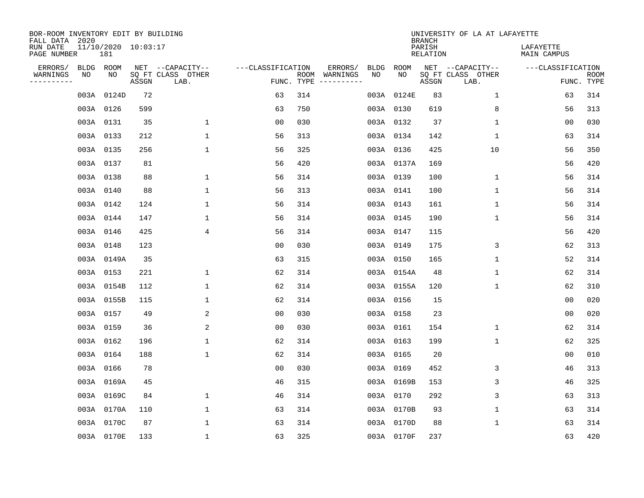| BOR-ROOM INVENTORY EDIT BY BUILDING<br>FALL DATA 2020 |                            |       |       |                           |                   |     |                                      |             |             | <b>BRANCH</b>             | UNIVERSITY OF LA AT LAFAYETTE |                          |                           |
|-------------------------------------------------------|----------------------------|-------|-------|---------------------------|-------------------|-----|--------------------------------------|-------------|-------------|---------------------------|-------------------------------|--------------------------|---------------------------|
| RUN DATE<br>PAGE NUMBER                               | 11/10/2020 10:03:17<br>181 |       |       |                           |                   |     |                                      |             |             | PARISH<br><b>RELATION</b> |                               | LAFAYETTE<br>MAIN CAMPUS |                           |
| ERRORS/                                               | BLDG ROOM                  |       |       | NET --CAPACITY--          | ---CLASSIFICATION |     | ERRORS/                              | <b>BLDG</b> | <b>ROOM</b> |                           | NET --CAPACITY--              | ---CLASSIFICATION        |                           |
| WARNINGS<br>----------                                | NO                         | NO    | ASSGN | SQ FT CLASS OTHER<br>LAB. |                   |     | ROOM WARNINGS<br>FUNC. TYPE $------$ | NO          | NO          | ASSGN                     | SQ FT CLASS OTHER<br>LAB.     |                          | <b>ROOM</b><br>FUNC. TYPE |
|                                                       | 003A                       | 0124D | 72    |                           | 63                | 314 |                                      |             | 003A 0124E  | 83                        | 1                             | 63                       | 314                       |
|                                                       | 003A 0126                  |       | 599   |                           | 63                | 750 |                                      |             | 003A 0130   | 619                       | 8                             | 56                       | 313                       |
|                                                       | 003A 0131                  |       | 35    | $\mathbf 1$               | 0 <sub>0</sub>    | 030 |                                      |             | 003A 0132   | 37                        | 1                             | 0 <sub>0</sub>           | 030                       |
|                                                       | 003A 0133                  |       | 212   | $\mathbf 1$               | 56                | 313 |                                      |             | 003A 0134   | 142                       | 1                             | 63                       | 314                       |
|                                                       | 003A 0135                  |       | 256   | $\mathbf 1$               | 56                | 325 |                                      |             | 003A 0136   | 425                       | 10                            | 56                       | 350                       |
|                                                       | 003A 0137                  |       | 81    |                           | 56                | 420 |                                      |             | 003A 0137A  | 169                       |                               | 56                       | 420                       |
|                                                       | 003A 0138                  |       | 88    | $\mathbf 1$               | 56                | 314 |                                      |             | 003A 0139   | 100                       | $\mathbf 1$                   | 56                       | 314                       |
|                                                       | 003A 0140                  |       | 88    | $\mathbf 1$               | 56                | 313 |                                      |             | 003A 0141   | 100                       | 1                             | 56                       | 314                       |
|                                                       | 003A 0142                  |       | 124   | 1                         | 56                | 314 |                                      |             | 003A 0143   | 161                       | $\mathbf 1$                   | 56                       | 314                       |
|                                                       | 003A 0144                  |       | 147   | 1                         | 56                | 314 |                                      |             | 003A 0145   | 190                       | $\mathbf 1$                   | 56                       | 314                       |
|                                                       | 003A 0146                  |       | 425   | 4                         | 56                | 314 |                                      |             | 003A 0147   | 115                       |                               | 56                       | 420                       |
|                                                       | 003A 0148                  |       | 123   |                           | 0 <sub>0</sub>    | 030 |                                      |             | 003A 0149   | 175                       | 3                             | 62                       | 313                       |
|                                                       | 003A 0149A                 |       | 35    |                           | 63                | 315 |                                      |             | 003A 0150   | 165                       | $\mathbf 1$                   | 52                       | 314                       |
|                                                       | 003A 0153                  |       | 221   | 1                         | 62                | 314 |                                      |             | 003A 0154A  | 48                        | 1                             | 62                       | 314                       |
|                                                       | 003A 0154B                 |       | 112   | $\mathbf 1$               | 62                | 314 |                                      |             | 003A 0155A  | 120                       | 1                             | 62                       | 310                       |
|                                                       | 003A 0155B                 |       | 115   | $\mathbf 1$               | 62                | 314 |                                      |             | 003A 0156   | 15                        |                               | 0 <sub>0</sub>           | 020                       |
|                                                       | 003A 0157                  |       | 49    | 2                         | 0 <sub>0</sub>    | 030 |                                      |             | 003A 0158   | 23                        |                               | 0 <sub>0</sub>           | 020                       |
|                                                       | 003A 0159                  |       | 36    | 2                         | 0 <sub>0</sub>    | 030 |                                      |             | 003A 0161   | 154                       | $\mathbf 1$                   | 62                       | 314                       |
|                                                       | 003A 0162                  |       | 196   | $\mathbf{1}$              | 62                | 314 |                                      |             | 003A 0163   | 199                       | 1                             | 62                       | 325                       |
|                                                       | 003A 0164                  |       | 188   | $\mathbf 1$               | 62                | 314 |                                      |             | 003A 0165   | 20                        |                               | 0 <sub>0</sub>           | 010                       |
|                                                       | 003A 0166                  |       | 78    |                           | 0 <sub>0</sub>    | 030 |                                      |             | 003A 0169   | 452                       | 3                             | 46                       | 313                       |
|                                                       | 003A 0169A                 |       | 45    |                           | 46                | 315 |                                      |             | 003A 0169B  | 153                       | 3                             | 46                       | 325                       |
|                                                       | 003A 0169C                 |       | 84    | 1                         | 46                | 314 |                                      |             | 003A 0170   | 292                       | 3                             | 63                       | 313                       |
|                                                       | 003A 0170A                 |       | 110   | $\mathbf 1$               | 63                | 314 |                                      |             | 003A 0170B  | 93                        | $\mathbf 1$                   | 63                       | 314                       |
|                                                       | 003A 0170C                 |       | 87    | $\mathbf{1}$              | 63                | 314 |                                      |             | 003A 0170D  | 88                        | 1                             | 63                       | 314                       |
|                                                       | 003A 0170E                 |       | 133   | $\mathbf{1}$              | 63                | 325 |                                      |             | 003A 0170F  | 237                       |                               | 63                       | 420                       |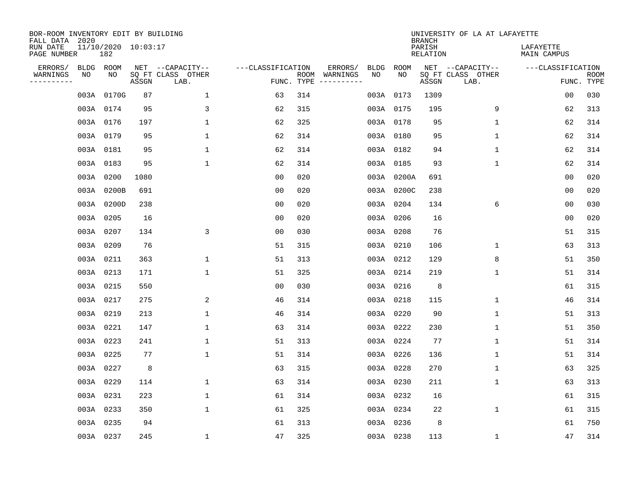| BOR-ROOM INVENTORY EDIT BY BUILDING<br>FALL DATA 2020 |           |                            |       |                                               |                                 |     |                          |            |            | <b>BRANCH</b>      | UNIVERSITY OF LA AT LAFAYETTE                 |                          |                           |
|-------------------------------------------------------|-----------|----------------------------|-------|-----------------------------------------------|---------------------------------|-----|--------------------------|------------|------------|--------------------|-----------------------------------------------|--------------------------|---------------------------|
| RUN DATE<br>PAGE NUMBER                               |           | 11/10/2020 10:03:17<br>182 |       |                                               |                                 |     |                          |            |            | PARISH<br>RELATION |                                               | LAFAYETTE<br>MAIN CAMPUS |                           |
| ERRORS/<br>WARNINGS<br>---------                      | ΝO        | BLDG ROOM<br>NO            | ASSGN | NET --CAPACITY--<br>SQ FT CLASS OTHER<br>LAB. | ---CLASSIFICATION<br>FUNC. TYPE |     | ERRORS/<br>ROOM WARNINGS | BLDG<br>NO | ROOM<br>NO | ASSGN              | NET --CAPACITY--<br>SQ FT CLASS OTHER<br>LAB. | ---CLASSIFICATION        | <b>ROOM</b><br>FUNC. TYPE |
|                                                       |           | 003A 0170G                 | 87    | $\mathbf{1}$                                  | 63                              | 314 |                          |            | 003A 0173  | 1309               |                                               | 0 <sub>0</sub>           | 030                       |
|                                                       | 003A 0174 |                            | 95    | 3                                             | 62                              | 315 |                          |            | 003A 0175  | 195                | 9                                             | 62                       | 313                       |
|                                                       | 003A 0176 |                            | 197   | $\mathbf 1$                                   | 62                              | 325 |                          |            | 003A 0178  | 95                 | $\mathbf 1$                                   | 62                       | 314                       |
|                                                       | 003A 0179 |                            | 95    | $\mathbf 1$                                   | 62                              | 314 |                          |            | 003A 0180  | 95                 | $\mathbf 1$                                   | 62                       | 314                       |
|                                                       | 003A 0181 |                            | 95    | $\mathbf 1$                                   | 62                              | 314 |                          |            | 003A 0182  | 94                 | $\mathbf 1$                                   | 62                       | 314                       |
|                                                       |           | 003A 0183                  | 95    | $\mathbf{1}$                                  | 62                              | 314 |                          |            | 003A 0185  | 93                 | $\mathbf{1}$                                  | 62                       | 314                       |
|                                                       |           | 003A 0200                  | 1080  |                                               | 00                              | 020 |                          |            | 003A 0200A | 691                |                                               | 0 <sub>0</sub>           | 020                       |
|                                                       |           | 003A 0200B                 | 691   |                                               | 0 <sub>0</sub>                  | 020 |                          |            | 003A 0200C | 238                |                                               | 0 <sub>0</sub>           | 020                       |
|                                                       |           | 003A 0200D                 | 238   |                                               | 0 <sub>0</sub>                  | 020 |                          |            | 003A 0204  | 134                | 6                                             | 0 <sub>0</sub>           | 030                       |
|                                                       |           | 003A 0205                  | 16    |                                               | 00                              | 020 |                          |            | 003A 0206  | 16                 |                                               | 00                       | 020                       |
|                                                       | 003A 0207 |                            | 134   | 3                                             | 00                              | 030 |                          |            | 003A 0208  | 76                 |                                               | 51                       | 315                       |
|                                                       |           | 003A 0209                  | 76    |                                               | 51                              | 315 |                          |            | 003A 0210  | 106                | 1                                             | 63                       | 313                       |
|                                                       | 003A 0211 |                            | 363   | 1                                             | 51                              | 313 |                          |            | 003A 0212  | 129                | 8                                             | 51                       | 350                       |
|                                                       | 003A 0213 |                            | 171   | $\mathbf{1}$                                  | 51                              | 325 |                          |            | 003A 0214  | 219                | $\mathbf{1}$                                  | 51                       | 314                       |
|                                                       | 003A 0215 |                            | 550   |                                               | 0 <sub>0</sub>                  | 030 |                          |            | 003A 0216  | 8                  |                                               | 61                       | 315                       |
|                                                       | 003A 0217 |                            | 275   | 2                                             | 46                              | 314 |                          |            | 003A 0218  | 115                | $\mathbf{1}$                                  | 46                       | 314                       |
|                                                       | 003A 0219 |                            | 213   | $\mathbf{1}$                                  | 46                              | 314 |                          |            | 003A 0220  | 90                 | $\mathbf{1}$                                  | 51                       | 313                       |
|                                                       | 003A 0221 |                            | 147   | $\mathbf{1}$                                  | 63                              | 314 |                          |            | 003A 0222  | 230                | 1                                             | 51                       | 350                       |
|                                                       |           | 003A 0223                  | 241   | 1                                             | 51                              | 313 |                          |            | 003A 0224  | 77                 | 1                                             | 51                       | 314                       |
|                                                       | 003A 0225 |                            | 77    | $\mathbf 1$                                   | 51                              | 314 |                          |            | 003A 0226  | 136                | 1                                             | 51                       | 314                       |
|                                                       |           | 003A 0227                  | 8     |                                               | 63                              | 315 |                          |            | 003A 0228  | 270                | 1                                             | 63                       | 325                       |
|                                                       | 003A 0229 |                            | 114   | $\mathbf 1$                                   | 63                              | 314 |                          |            | 003A 0230  | 211                | 1                                             | 63                       | 313                       |
|                                                       | 003A 0231 |                            | 223   | $\mathbf{1}$                                  | 61                              | 314 |                          |            | 003A 0232  | 16                 |                                               | 61                       | 315                       |
|                                                       | 003A 0233 |                            | 350   | $\mathbf{1}$                                  | 61                              | 325 |                          |            | 003A 0234  | 22                 | $\mathbf{1}$                                  | 61                       | 315                       |
|                                                       | 003A 0235 |                            | 94    |                                               | 61                              | 313 |                          |            | 003A 0236  | 8                  |                                               | 61                       | 750                       |
|                                                       | 003A 0237 |                            | 245   | $\mathbf 1$                                   | 47                              | 325 |                          |            | 003A 0238  | 113                | $\mathbf{1}$                                  | 47                       | 314                       |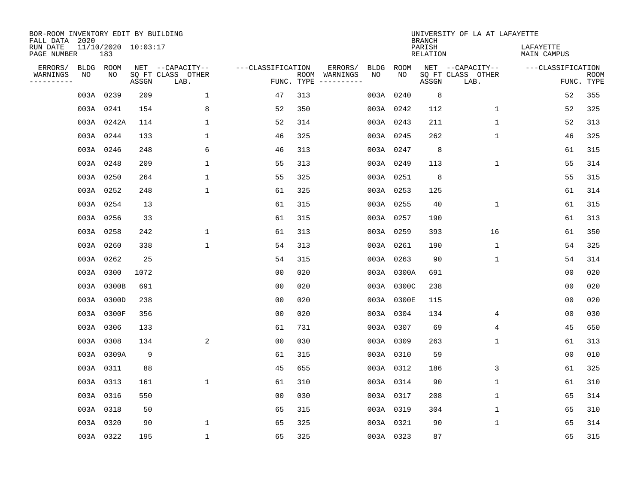| BOR-ROOM INVENTORY EDIT BY BUILDING<br>FALL DATA 2020 |      |                            |       |                           |                   |            |                              |      |            | <b>BRANCH</b>             | UNIVERSITY OF LA AT LAFAYETTE |                          |                           |
|-------------------------------------------------------|------|----------------------------|-------|---------------------------|-------------------|------------|------------------------------|------|------------|---------------------------|-------------------------------|--------------------------|---------------------------|
| RUN DATE<br>PAGE NUMBER                               |      | 11/10/2020 10:03:17<br>183 |       |                           |                   |            |                              |      |            | PARISH<br><b>RELATION</b> |                               | LAFAYETTE<br>MAIN CAMPUS |                           |
| ERRORS/                                               |      | BLDG ROOM                  |       | NET --CAPACITY--          | ---CLASSIFICATION |            | ERRORS/                      | BLDG | ROOM       |                           | NET --CAPACITY--              | ---CLASSIFICATION        |                           |
| WARNINGS<br>----------                                | NO   | NO                         | ASSGN | SQ FT CLASS OTHER<br>LAB. |                   | FUNC. TYPE | ROOM WARNINGS<br>----------- | NO   | NO         | ASSGN                     | SQ FT CLASS OTHER<br>LAB.     |                          | <b>ROOM</b><br>FUNC. TYPE |
|                                                       | 003A | 0239                       | 209   | $\mathbf{1}$              | 47                | 313        |                              |      | 003A 0240  | 8                         |                               | 52                       | 355                       |
|                                                       |      | 003A 0241                  | 154   | 8                         | 52                | 350        |                              |      | 003A 0242  | 112                       | 1                             | 52                       | 325                       |
|                                                       |      | 003A 0242A                 | 114   | $\mathbf 1$               | 52                | 314        |                              |      | 003A 0243  | 211                       | $\mathbf 1$                   | 52                       | 313                       |
|                                                       |      | 003A 0244                  | 133   | $\mathbf 1$               | 46                | 325        |                              |      | 003A 0245  | 262                       | $\mathbf 1$                   | 46                       | 325                       |
|                                                       |      | 003A 0246                  | 248   | 6                         | 46                | 313        |                              |      | 003A 0247  | 8                         |                               | 61                       | 315                       |
|                                                       |      | 003A 0248                  | 209   | $\mathbf{1}$              | 55                | 313        |                              |      | 003A 0249  | 113                       | $\mathbf{1}$                  | 55                       | 314                       |
|                                                       |      | 003A 0250                  | 264   | $\mathbf{1}$              | 55                | 325        |                              |      | 003A 0251  | 8                         |                               | 55                       | 315                       |
|                                                       |      | 003A 0252                  | 248   | 1                         | 61                | 325        |                              |      | 003A 0253  | 125                       |                               | 61                       | 314                       |
|                                                       |      | 003A 0254                  | 13    |                           | 61                | 315        |                              |      | 003A 0255  | 40                        | $\mathbf 1$                   | 61                       | 315                       |
|                                                       |      | 003A 0256                  | 33    |                           | 61                | 315        |                              |      | 003A 0257  | 190                       |                               | 61                       | 313                       |
|                                                       |      | 003A 0258                  | 242   | $\mathbf 1$               | 61                | 313        |                              |      | 003A 0259  | 393                       | 16                            | 61                       | 350                       |
|                                                       |      | 003A 0260                  | 338   | $\mathbf 1$               | 54                | 313        |                              |      | 003A 0261  | 190                       | $\mathbf 1$                   | 54                       | 325                       |
|                                                       | 003A | 0262                       | 25    |                           | 54                | 315        |                              |      | 003A 0263  | 90                        | 1                             | 54                       | 314                       |
|                                                       |      | 003A 0300                  | 1072  |                           | 0 <sub>0</sub>    | 020        |                              |      | 003A 0300A | 691                       |                               | 0 <sub>0</sub>           | 020                       |
|                                                       |      | 003A 0300B                 | 691   |                           | 0 <sub>0</sub>    | 020        |                              |      | 003A 0300C | 238                       |                               | 0 <sub>0</sub>           | 020                       |
|                                                       |      | 003A 0300D                 | 238   |                           | 0 <sub>0</sub>    | 020        |                              |      | 003A 0300E | 115                       |                               | 0 <sub>0</sub>           | 020                       |
|                                                       |      | 003A 0300F                 | 356   |                           | 0 <sub>0</sub>    | 020        |                              |      | 003A 0304  | 134                       | 4                             | 0 <sub>0</sub>           | 030                       |
|                                                       |      | 003A 0306                  | 133   |                           | 61                | 731        |                              |      | 003A 0307  | 69                        | $\overline{4}$                | 45                       | 650                       |
|                                                       |      | 003A 0308                  | 134   | 2                         | 0 <sub>0</sub>    | 030        |                              |      | 003A 0309  | 263                       | 1                             | 61                       | 313                       |
|                                                       |      | 003A 0309A                 | 9     |                           | 61                | 315        |                              |      | 003A 0310  | 59                        |                               | 0 <sub>0</sub>           | 010                       |
|                                                       |      | 003A 0311                  | 88    |                           | 45                | 655        |                              |      | 003A 0312  | 186                       | 3                             | 61                       | 325                       |
|                                                       |      | 003A 0313                  | 161   | $\mathbf 1$               | 61                | 310        |                              |      | 003A 0314  | 90                        | 1                             | 61                       | 310                       |
|                                                       |      | 003A 0316                  | 550   |                           | 0 <sub>0</sub>    | 030        |                              |      | 003A 0317  | 208                       | 1                             | 65                       | 314                       |
|                                                       |      | 003A 0318                  | 50    |                           | 65                | 315        |                              |      | 003A 0319  | 304                       | $\mathbf 1$                   | 65                       | 310                       |
|                                                       |      | 003A 0320                  | 90    | $\mathbf{1}$              | 65                | 325        |                              |      | 003A 0321  | 90                        | $\mathbf 1$                   | 65                       | 314                       |
|                                                       |      | 003A 0322                  | 195   | $\mathbf{1}$              | 65                | 325        |                              |      | 003A 0323  | 87                        |                               | 65                       | 315                       |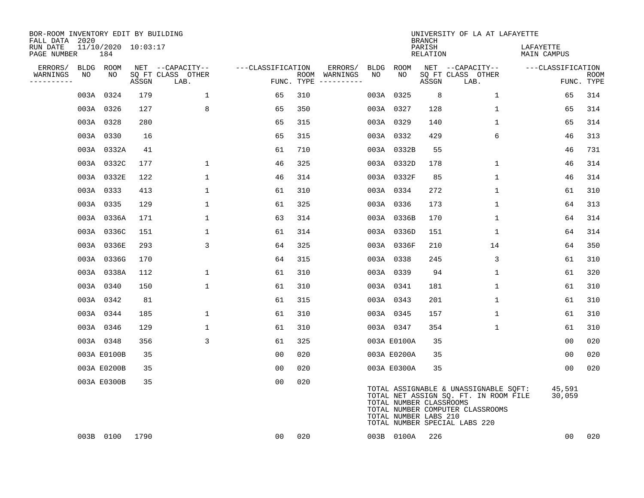| BOR-ROOM INVENTORY EDIT BY BUILDING<br>FALL DATA 2020 |                            |       |                           |                   |     |                                      |      |                                                  | <b>BRANCH</b>      | UNIVERSITY OF LA AT LAFAYETTE                                                                                                                       |                          |                           |
|-------------------------------------------------------|----------------------------|-------|---------------------------|-------------------|-----|--------------------------------------|------|--------------------------------------------------|--------------------|-----------------------------------------------------------------------------------------------------------------------------------------------------|--------------------------|---------------------------|
| RUN DATE<br>PAGE NUMBER                               | 11/10/2020 10:03:17<br>184 |       |                           |                   |     |                                      |      |                                                  | PARISH<br>RELATION |                                                                                                                                                     | LAFAYETTE<br>MAIN CAMPUS |                           |
| ERRORS/                                               | BLDG ROOM                  |       | NET --CAPACITY--          | ---CLASSIFICATION |     | ERRORS/                              | BLDG | ROOM                                             |                    | NET --CAPACITY--                                                                                                                                    | ---CLASSIFICATION        |                           |
| WARNINGS<br>NO<br>-----------                         | NO                         | ASSGN | SQ FT CLASS OTHER<br>LAB. |                   |     | ROOM WARNINGS<br>FUNC. TYPE $------$ | NO   | NO                                               | ASSGN              | SQ FT CLASS OTHER<br>LAB.                                                                                                                           |                          | <b>ROOM</b><br>FUNC. TYPE |
|                                                       | 003A 0324                  | 179   | 1                         | 65                | 310 |                                      |      | 003A 0325                                        | 8                  | 1                                                                                                                                                   | 65                       | 314                       |
|                                                       | 003A 0326                  | 127   | 8                         | 65                | 350 |                                      |      | 003A 0327                                        | 128                | $\mathbf{1}$                                                                                                                                        | 65                       | 314                       |
|                                                       | 003A 0328                  | 280   |                           | 65                | 315 |                                      |      | 003A 0329                                        | 140                | $\mathbf{1}$                                                                                                                                        | 65                       | 314                       |
|                                                       | 003A 0330                  | 16    |                           | 65                | 315 |                                      |      | 003A 0332                                        | 429                | 6                                                                                                                                                   | 46                       | 313                       |
|                                                       | 003A 0332A                 | 41    |                           | 61                | 710 |                                      |      | 003A 0332B                                       | 55                 |                                                                                                                                                     | 46                       | 731                       |
|                                                       | 003A 0332C                 | 177   | $\mathbf{1}$              | 46                | 325 |                                      |      | 003A 0332D                                       | 178                | $\mathbf{1}$                                                                                                                                        | 46                       | 314                       |
|                                                       | 003A 0332E                 | 122   | $\mathbf 1$               | 46                | 314 |                                      |      | 003A 0332F                                       | 85                 | $\mathbf 1$                                                                                                                                         | 46                       | 314                       |
|                                                       | 003A 0333                  | 413   | $\mathbf{1}$              | 61                | 310 |                                      |      | 003A 0334                                        | 272                | $\mathbf{1}$                                                                                                                                        | 61                       | 310                       |
|                                                       | 003A 0335                  | 129   | $\mathbf{1}$              | 61                | 325 |                                      |      | 003A 0336                                        | 173                | $\mathbf{1}$                                                                                                                                        | 64                       | 313                       |
|                                                       | 003A 0336A                 | 171   | 1                         | 63                | 314 |                                      |      | 003A 0336B                                       | 170                | 1                                                                                                                                                   | 64                       | 314                       |
|                                                       | 003A 0336C                 | 151   | 1                         | 61                | 314 |                                      |      | 003A 0336D                                       | 151                | 1                                                                                                                                                   | 64                       | 314                       |
|                                                       | 003A 0336E                 | 293   | 3                         | 64                | 325 |                                      |      | 003A 0336F                                       | 210                | 14                                                                                                                                                  | 64                       | 350                       |
|                                                       | 003A 0336G                 | 170   |                           | 64                | 315 |                                      |      | 003A 0338                                        | 245                | 3                                                                                                                                                   | 61                       | 310                       |
|                                                       | 003A 0338A                 | 112   | $\mathbf 1$               | 61                | 310 |                                      |      | 003A 0339                                        | 94                 | $\mathbf 1$                                                                                                                                         | 61                       | 320                       |
|                                                       | 003A 0340                  | 150   | $\mathbf{1}$              | 61                | 310 |                                      |      | 003A 0341                                        | 181                | $\mathbf{1}$                                                                                                                                        | 61                       | 310                       |
|                                                       | 003A 0342                  | 81    |                           | 61                | 315 |                                      |      | 003A 0343                                        | 201                | 1                                                                                                                                                   | 61                       | 310                       |
|                                                       | 003A 0344                  | 185   | $\mathbf 1$               | 61                | 310 |                                      |      | 003A 0345                                        | 157                | 1                                                                                                                                                   | 61                       | 310                       |
|                                                       | 003A 0346                  | 129   | $\mathbf{1}$              | 61                | 310 |                                      |      | 003A 0347                                        | 354                | $\mathbf{1}$                                                                                                                                        | 61                       | 310                       |
|                                                       | 003A 0348                  | 356   | 3                         | 61                | 325 |                                      |      | 003A E0100A                                      | 35                 |                                                                                                                                                     | 00                       | 020                       |
|                                                       | 003A E0100B                | 35    |                           | 0 <sub>0</sub>    | 020 |                                      |      | 003A E0200A                                      | 35                 |                                                                                                                                                     | 00                       | 020                       |
|                                                       | 003A E0200B                | 35    |                           | 0 <sub>0</sub>    | 020 |                                      |      | 003A E0300A                                      | 35                 |                                                                                                                                                     | 0 <sub>0</sub>           | 020                       |
|                                                       | 003A E0300B                | 35    |                           | 00                | 020 |                                      |      | TOTAL NUMBER CLASSROOMS<br>TOTAL NUMBER LABS 210 |                    | TOTAL ASSIGNABLE & UNASSIGNABLE SQFT:<br>TOTAL NET ASSIGN SQ. FT. IN ROOM FILE<br>TOTAL NUMBER COMPUTER CLASSROOMS<br>TOTAL NUMBER SPECIAL LABS 220 | 45,591<br>30,059         |                           |
|                                                       | 003B 0100                  | 1790  |                           | 00                | 020 |                                      |      | 003B 0100A                                       | 226                |                                                                                                                                                     | 00                       | 020                       |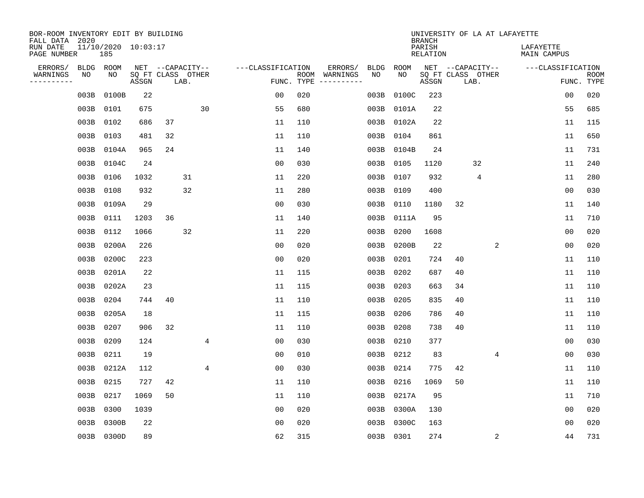| BOR-ROOM INVENTORY EDIT BY BUILDING<br>FALL DATA 2020 |           |                                |                            |    |                  |    |                   |     |               |             |           | <b>BRANCH</b>      |    | UNIVERSITY OF LA AT LAFAYETTE |                          |                |             |
|-------------------------------------------------------|-----------|--------------------------------|----------------------------|----|------------------|----|-------------------|-----|---------------|-------------|-----------|--------------------|----|-------------------------------|--------------------------|----------------|-------------|
| RUN DATE<br>PAGE NUMBER                               |           | $11/10/2020$ $10:03:17$<br>185 |                            |    |                  |    |                   |     |               |             |           | PARISH<br>RELATION |    |                               | LAFAYETTE<br>MAIN CAMPUS |                |             |
| ERRORS/                                               | BLDG      | ROOM                           |                            |    | NET --CAPACITY-- |    | ---CLASSIFICATION |     | ERRORS/       | <b>BLDG</b> | ROOM      |                    |    | NET --CAPACITY--              | ---CLASSIFICATION        |                |             |
| WARNINGS<br>---------                                 | ΝO        | NO                             | SQ FT CLASS OTHER<br>ASSGN |    | LAB.             |    | FUNC. TYPE        |     | ROOM WARNINGS | NO          | NO        | ASSGN              |    | SQ FT CLASS OTHER<br>LAB.     |                          | FUNC. TYPE     | <b>ROOM</b> |
|                                                       | 003B      | 0100B                          | 22                         |    |                  |    | 0 <sub>0</sub>    | 020 |               | 003B        | 0100C     | 223                |    |                               |                          | 0 <sub>0</sub> | 020         |
|                                                       | 003B      | 0101                           | 675                        |    |                  | 30 | 55                | 680 |               | 003B        | 0101A     | 22                 |    |                               |                          | 55             | 685         |
|                                                       | 003B      | 0102                           | 686                        | 37 |                  |    | 11                | 110 |               | 003B        | 0102A     | 22                 |    |                               |                          | 11             | 115         |
|                                                       | 003B      | 0103                           | 481                        | 32 |                  |    | 11                | 110 |               | 003B        | 0104      | 861                |    |                               |                          | 11             | 650         |
|                                                       | 003B      | 0104A                          | 965                        | 24 |                  |    | 11                | 140 |               | 003B        | 0104B     | 24                 |    |                               |                          | 11             | 731         |
|                                                       | 003B      | 0104C                          | 24                         |    |                  |    | 0 <sub>0</sub>    | 030 |               | 003B        | 0105      | 1120               |    | 32                            |                          | 11             | 240         |
|                                                       | 003B 0106 |                                | 1032                       |    | 31               |    | 11                | 220 |               | 003B        | 0107      | 932                |    | 4                             |                          | 11             | 280         |
|                                                       | 003B      | 0108                           | 932                        |    | 32               |    | 11                | 280 |               | 003B        | 0109      | 400                |    |                               |                          | 0 <sub>0</sub> | 030         |
|                                                       | 003B      | 0109A                          | 29                         |    |                  |    | 0 <sub>0</sub>    | 030 |               | 003B        | 0110      | 1180               | 32 |                               |                          | 11             | 140         |
|                                                       | 003B 0111 |                                | 1203                       | 36 |                  |    | 11                | 140 |               | 003B        | 0111A     | 95                 |    |                               |                          | 11             | 710         |
|                                                       | 003B 0112 |                                | 1066                       |    | 32               |    | 11                | 220 |               | 003B        | 0200      | 1608               |    |                               |                          | 0 <sub>0</sub> | 020         |
|                                                       | 003B      | 0200A                          | 226                        |    |                  |    | 0 <sub>0</sub>    | 020 |               | 003B        | 0200B     | 22                 |    | 2                             |                          | 0 <sub>0</sub> | 020         |
|                                                       | 003B      | 0200C                          | 223                        |    |                  |    | 0 <sub>0</sub>    | 020 |               | 003B        | 0201      | 724                | 40 |                               |                          | 11             | 110         |
|                                                       | 003B      | 0201A                          | 22                         |    |                  |    | 11                | 115 |               | 003B        | 0202      | 687                | 40 |                               |                          | 11             | 110         |
|                                                       | 003B      | 0202A                          | 23                         |    |                  |    | 11                | 115 |               | 003B        | 0203      | 663                | 34 |                               |                          | 11             | 110         |
|                                                       | 003B      | 0204                           | 744                        | 40 |                  |    | 11                | 110 |               | 003B        | 0205      | 835                | 40 |                               |                          | 11             | 110         |
|                                                       | 003B      | 0205A                          | 18                         |    |                  |    | 11                | 115 |               | 003B        | 0206      | 786                | 40 |                               |                          | 11             | 110         |
|                                                       | 003B      | 0207                           | 906                        | 32 |                  |    | 11                | 110 |               | 003B        | 0208      | 738                | 40 |                               |                          | 11             | 110         |
|                                                       | 003B      | 0209                           | 124                        |    |                  | 4  | 0 <sub>0</sub>    | 030 |               | 003B        | 0210      | 377                |    |                               |                          | 0 <sub>0</sub> | 030         |
|                                                       | 003B      | 0211                           | 19                         |    |                  |    | 0 <sub>0</sub>    | 010 |               | 003B        | 0212      | 83                 |    | 4                             |                          | 0 <sub>0</sub> | 030         |
|                                                       | 003B      | 0212A                          | 112                        |    |                  | 4  | 0 <sub>0</sub>    | 030 |               | 003B        | 0214      | 775                | 42 |                               |                          | 11             | 110         |
|                                                       | 003B      | 0215                           | 727                        | 42 |                  |    | 11                | 110 |               | 003B        | 0216      | 1069               | 50 |                               |                          | 11             | 110         |
|                                                       | 003B      | 0217                           | 1069                       | 50 |                  |    | 11                | 110 |               | 003B        | 0217A     | 95                 |    |                               |                          | 11             | 710         |
|                                                       | 003B      | 0300                           | 1039                       |    |                  |    | 0 <sub>0</sub>    | 020 |               | 003B        | 0300A     | 130                |    |                               |                          | 00             | 020         |
|                                                       | 003B      | 0300B                          | 22                         |    |                  |    | 00                | 020 |               | 003B        | 0300C     | 163                |    |                               |                          | 00             | 020         |
|                                                       |           | 003B 0300D                     | 89                         |    |                  |    | 62                | 315 |               |             | 003B 0301 | 274                |    | 2                             |                          | 44             | 731         |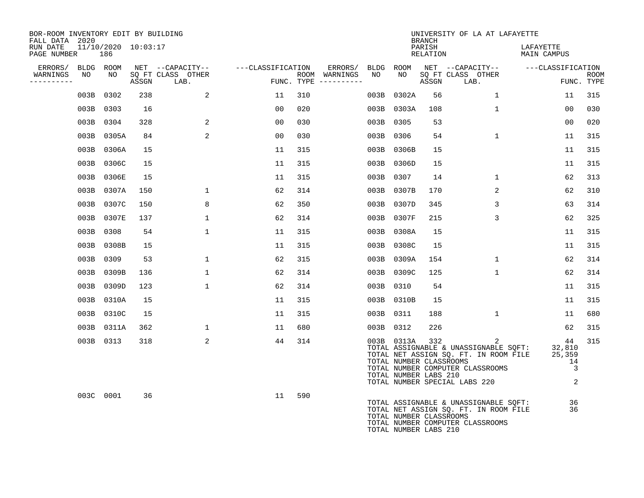| BOR-ROOM INVENTORY EDIT BY BUILDING<br>FALL DATA 2020 |                            |     |                                 |                   |                                      |           |                                                                | <b>BRANCH</b>      | UNIVERSITY OF LA AT LAFAYETTE                                                                                                                                                       |                                          |                           |
|-------------------------------------------------------|----------------------------|-----|---------------------------------|-------------------|--------------------------------------|-----------|----------------------------------------------------------------|--------------------|-------------------------------------------------------------------------------------------------------------------------------------------------------------------------------------|------------------------------------------|---------------------------|
| RUN DATE<br>PAGE NUMBER                               | 11/10/2020 10:03:17<br>186 |     |                                 |                   |                                      |           |                                                                | PARISH<br>RELATION |                                                                                                                                                                                     | LAFAYETTE<br>MAIN CAMPUS                 |                           |
| ERRORS/                                               | BLDG ROOM                  |     | NET --CAPACITY--                | ---CLASSIFICATION |                                      |           |                                                                |                    | ERRORS/ BLDG ROOM NET --CAPACITY--  ---CLASSIFICATION                                                                                                                               |                                          |                           |
| WARNINGS<br>NO<br>----------                          | NO                         |     | SQ FT CLASS OTHER<br>ASSGN LAB. |                   | ROOM WARNINGS<br>FUNC. TYPE $------$ | NO        |                                                                | ASSGN              | NO SQ FT CLASS OTHER<br>LAB.                                                                                                                                                        |                                          | <b>ROOM</b><br>FUNC. TYPE |
|                                                       | 003B 0302                  | 238 | 2                               | 11                | 310                                  |           | 003B 0302A                                                     | 56                 | $\mathbf{1}$                                                                                                                                                                        | 11                                       | 315                       |
|                                                       | 003B 0303                  | 16  |                                 | 00                | 020                                  |           | 003B 0303A                                                     | 108                | $\mathbf{1}$                                                                                                                                                                        | 00                                       | 030                       |
|                                                       | 003B 0304                  | 328 | 2                               | 0 <sub>0</sub>    | 030                                  | 003B 0305 |                                                                | 53                 |                                                                                                                                                                                     | 00                                       | 020                       |
|                                                       | 003B 0305A                 | 84  | 2                               | 00                | 030                                  |           | 003B 0306                                                      | 54                 | $\mathbf{1}$                                                                                                                                                                        | 11                                       | 315                       |
|                                                       | 003B 0306A                 | 15  |                                 | 11                | 315                                  |           | 003B 0306B                                                     | 15                 |                                                                                                                                                                                     | 11                                       | 315                       |
|                                                       | 003B 0306C                 | 15  |                                 | 11                | 315                                  |           | 003B 0306D                                                     | 15                 |                                                                                                                                                                                     | 11                                       | 315                       |
|                                                       | 003B 0306E                 | 15  |                                 | 11                | 315                                  | 003B 0307 |                                                                | 14                 | $\mathbf{1}$                                                                                                                                                                        | 62                                       | 313                       |
| 003B                                                  | 0307A                      | 150 | $\mathbf 1$                     | 62                | 314                                  |           | 003B 0307B                                                     | 170                | 2                                                                                                                                                                                   | 62                                       | 310                       |
|                                                       | 003B 0307C                 | 150 | 8                               | 62                | 350                                  |           | 003B 0307D                                                     | 345                | 3                                                                                                                                                                                   | 63                                       | 314                       |
|                                                       | 003B 0307E                 | 137 | $\mathbf{1}$                    | 62                | 314                                  |           | 003B 0307F                                                     | 215                | 3                                                                                                                                                                                   | 62                                       | 325                       |
|                                                       | 003B 0308                  | 54  | $\mathbf 1$                     | 11                | 315                                  |           | 003B 0308A                                                     | 15                 |                                                                                                                                                                                     | 11                                       | 315                       |
|                                                       | 003B 0308B                 | 15  |                                 | 11                | 315                                  |           | 003B 0308C                                                     | 15                 |                                                                                                                                                                                     | 11                                       | 315                       |
|                                                       | 003B 0309                  | 53  | $\mathbf{1}$                    | 62                | 315                                  |           | 003B 0309A                                                     | 154                | $\mathbf{1}$                                                                                                                                                                        | 62                                       | 314                       |
|                                                       | 003B 0309B                 | 136 | $\mathbf{1}$                    | 62                | 314                                  |           | 003B 0309C                                                     | 125                | $\mathbf{1}$                                                                                                                                                                        | 62                                       | 314                       |
|                                                       | 003B 0309D                 | 123 | $\mathbf{1}$                    | 62                | 314                                  | 003B 0310 |                                                                | 54                 |                                                                                                                                                                                     | 11                                       | 315                       |
|                                                       | 003B 0310A                 | 15  |                                 | 11                | 315                                  |           | 003B 0310B                                                     | 15                 |                                                                                                                                                                                     | 11                                       | 315                       |
|                                                       | 003B 0310C                 | 15  |                                 | 11                | 315                                  |           | 003B 0311                                                      | 188                | $\mathbf{1}$                                                                                                                                                                        | 11                                       | 680                       |
|                                                       | 003B 0311A                 | 362 | $\mathbf 1$                     | 11                | 680                                  |           | 003B 0312                                                      | 226                |                                                                                                                                                                                     | 62                                       | 315                       |
|                                                       | 003B 0313                  | 318 | 2                               | 44                | 314                                  |           | 003B 0313A<br>TOTAL NUMBER CLASSROOMS<br>TOTAL NUMBER LABS 210 | 332                | $\overline{a}$<br>TOTAL ASSIGNABLE & UNASSIGNABLE SOFT: 32,810<br>TOTAL NET ASSIGN SQ. FT. IN ROOM FILE 25,359<br>TOTAL NUMBER COMPUTER CLASSROOMS<br>TOTAL NUMBER SPECIAL LABS 220 | 44<br>14<br>$\overline{\mathbf{3}}$<br>2 | 315                       |
|                                                       | 003C 0001                  | 36  |                                 | 11                | 590                                  |           | TOTAL NUMBER CLASSROOMS<br>TOTAL NUMBER LABS 210               |                    | TOTAL ASSIGNABLE & UNASSIGNABLE SQFT:<br>TOTAL NET ASSIGN SQ. FT. IN ROOM FILE<br>TOTAL NUMBER COMPUTER CLASSROOMS                                                                  | 36<br>36                                 |                           |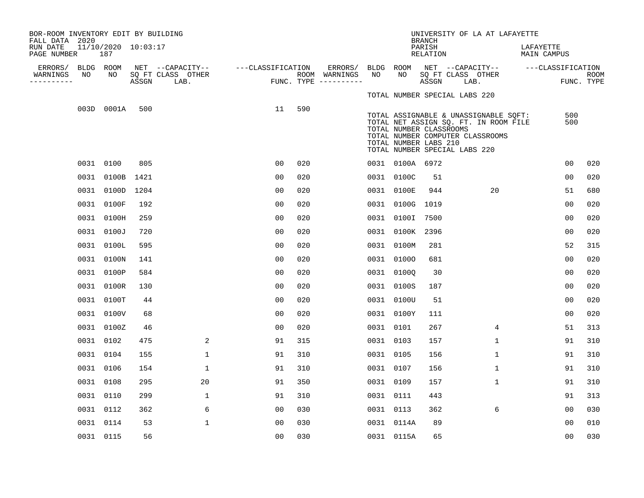| BOR-ROOM INVENTORY EDIT BY BUILDING<br>FALL DATA 2020 |                 |                            |       |                                                         |                |     |                          |                 |                                                                                   | <b>BRANCH</b>      |      | UNIVERSITY OF LA AT LAFAYETTE                                                                                      |                          |                |                    |
|-------------------------------------------------------|-----------------|----------------------------|-------|---------------------------------------------------------|----------------|-----|--------------------------|-----------------|-----------------------------------------------------------------------------------|--------------------|------|--------------------------------------------------------------------------------------------------------------------|--------------------------|----------------|--------------------|
| RUN DATE<br>PAGE NUMBER                               |                 | 11/10/2020 10:03:17<br>187 |       |                                                         |                |     |                          |                 |                                                                                   | PARISH<br>RELATION |      |                                                                                                                    | LAFAYETTE<br>MAIN CAMPUS |                |                    |
| ERRORS/<br>WARNINGS                                   | BLDG ROOM<br>NO | NO                         |       | NET --CAPACITY-- ---CLASSIFICATION<br>SQ FT CLASS OTHER |                |     | ERRORS/<br>ROOM WARNINGS | BLDG ROOM<br>NO | NO                                                                                | SQ FT CLASS OTHER  |      |                                                                                                                    |                          |                |                    |
| ----------                                            |                 |                            | ASSGN | LAB.                                                    |                |     | FUNC. TYPE $------$      |                 |                                                                                   | ASSGN              | LAB. |                                                                                                                    |                          |                | ROOM<br>FUNC. TYPE |
|                                                       |                 |                            |       |                                                         |                |     |                          |                 | TOTAL NUMBER SPECIAL LABS 220                                                     |                    |      |                                                                                                                    |                          |                |                    |
|                                                       |                 | 003D 0001A                 | 500   |                                                         | 11             | 590 |                          |                 | TOTAL NUMBER CLASSROOMS<br>TOTAL NUMBER LABS 210<br>TOTAL NUMBER SPECIAL LABS 220 |                    |      | TOTAL ASSIGNABLE & UNASSIGNABLE SQFT:<br>TOTAL NET ASSIGN SQ. FT. IN ROOM FILE<br>TOTAL NUMBER COMPUTER CLASSROOMS |                          | 500<br>500     |                    |
|                                                       |                 | 0031 0100                  | 805   |                                                         | 0 <sup>0</sup> | 020 |                          |                 | 0031 0100A 6972                                                                   |                    |      |                                                                                                                    |                          | 0 <sub>0</sub> | 020                |
|                                                       |                 | 0031 0100B 1421            |       |                                                         | 0 <sub>0</sub> | 020 |                          |                 | 0031 0100C                                                                        | 51                 |      |                                                                                                                    |                          | 0 <sub>0</sub> | 020                |
|                                                       |                 | 0031 0100D 1204            |       |                                                         | 0 <sub>0</sub> | 020 |                          |                 | 0031 0100E                                                                        | 944                |      | 20                                                                                                                 |                          | 51             | 680                |
|                                                       |                 | 0031 0100F                 | 192   |                                                         | 0 <sub>0</sub> | 020 |                          |                 | 0031 0100G 1019                                                                   |                    |      |                                                                                                                    |                          | 0 <sub>0</sub> | 020                |
|                                                       |                 | 0031 0100H                 | 259   |                                                         | 0 <sup>0</sup> | 020 |                          |                 | 0031 0100I 7500                                                                   |                    |      |                                                                                                                    |                          | 0 <sub>0</sub> | 020                |
|                                                       |                 | 0031 0100J                 | 720   |                                                         | 00             | 020 |                          |                 | 0031 0100K 2396                                                                   |                    |      |                                                                                                                    |                          | 00             | 020                |
|                                                       |                 | 0031 0100L                 | 595   |                                                         | 0 <sup>0</sup> | 020 |                          |                 | 0031 0100M                                                                        | 281                |      |                                                                                                                    |                          | 52             | 315                |
|                                                       |                 | 0031 0100N                 | 141   |                                                         | 0 <sup>0</sup> | 020 |                          |                 | 0031 01000                                                                        | 681                |      |                                                                                                                    |                          | 0 <sub>0</sub> | 020                |
|                                                       |                 | 0031 0100P                 | 584   |                                                         | 0 <sub>0</sub> | 020 |                          |                 | 0031 01000                                                                        | 30                 |      |                                                                                                                    |                          | 0 <sub>0</sub> | 020                |
|                                                       |                 | 0031 0100R                 | 130   |                                                         | 0 <sub>0</sub> | 020 |                          |                 | 0031 0100S                                                                        | 187                |      |                                                                                                                    |                          | 0 <sub>0</sub> | 020                |
|                                                       |                 | 0031 0100T                 | 44    |                                                         | 0 <sub>0</sub> | 020 |                          |                 | 0031 0100U                                                                        | 51                 |      |                                                                                                                    |                          | 0 <sub>0</sub> | 020                |
|                                                       |                 | 0031 0100V                 | 68    |                                                         | 0 <sub>0</sub> | 020 |                          |                 | 0031 0100Y                                                                        | 111                |      |                                                                                                                    |                          | 0 <sub>0</sub> | 020                |
|                                                       |                 | 0031 0100Z                 | 46    |                                                         | 0 <sub>0</sub> | 020 |                          | 0031 0101       |                                                                                   | 267                |      | $\overline{4}$                                                                                                     |                          | 51             | 313                |
|                                                       |                 | 0031 0102                  | 475   | 2                                                       | 91             | 315 |                          | 0031 0103       |                                                                                   | 157                |      | 1                                                                                                                  |                          | 91             | 310                |
|                                                       |                 | 0031 0104                  | 155   | $\mathbf 1$                                             | 91             | 310 |                          | 0031 0105       |                                                                                   | 156                |      | $\mathbf{1}$                                                                                                       |                          | 91             | 310                |
|                                                       |                 | 0031 0106                  | 154   | $\mathbf{1}$                                            | 91             | 310 |                          | 0031 0107       |                                                                                   | 156                |      | $\mathbf{1}$                                                                                                       |                          | 91             | 310                |
|                                                       | 0031 0108       |                            | 295   | 20                                                      | 91             | 350 |                          | 0031 0109       |                                                                                   | 157                |      | $\mathbf{1}$                                                                                                       |                          | 91             | 310                |
|                                                       |                 | 0031 0110                  | 299   | $\mathbf 1$                                             | 91             | 310 |                          | 0031 0111       |                                                                                   | 443                |      |                                                                                                                    |                          | 91             | 313                |
|                                                       |                 | 0031 0112                  | 362   | 6                                                       | 00             | 030 |                          | 0031 0113       |                                                                                   | 362                |      | 6                                                                                                                  |                          | 0 <sub>0</sub> | 030                |
|                                                       |                 | 0031 0114                  | 53    | 1                                                       | 0 <sub>0</sub> | 030 |                          |                 | 0031 0114A                                                                        | 89                 |      |                                                                                                                    |                          | 00             | 010                |
|                                                       |                 | 0031 0115                  | 56    |                                                         | 00             | 030 |                          |                 | 0031 0115A                                                                        | 65                 |      |                                                                                                                    |                          | 0 <sub>0</sub> | 030                |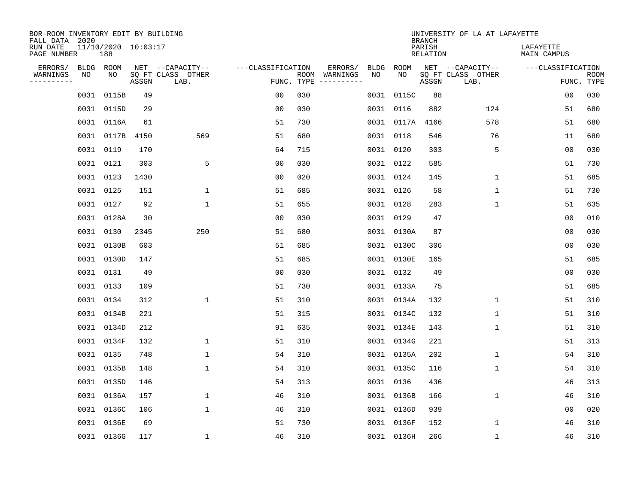| BOR-ROOM INVENTORY EDIT BY BUILDING<br>FALL DATA 2020 |           |                            |       |                           |                   |                    |                         |             |            | <b>BRANCH</b>             | UNIVERSITY OF LA AT LAFAYETTE |                          |                           |
|-------------------------------------------------------|-----------|----------------------------|-------|---------------------------|-------------------|--------------------|-------------------------|-------------|------------|---------------------------|-------------------------------|--------------------------|---------------------------|
| RUN DATE<br>PAGE NUMBER                               |           | 11/10/2020 10:03:17<br>188 |       |                           |                   |                    |                         |             |            | PARISH<br><b>RELATION</b> |                               | LAFAYETTE<br>MAIN CAMPUS |                           |
| ERRORS/                                               | BLDG ROOM |                            |       | NET --CAPACITY--          | ---CLASSIFICATION |                    | ERRORS/                 | <b>BLDG</b> | ROOM       |                           | NET --CAPACITY--              | ---CLASSIFICATION        |                           |
| WARNINGS<br>----------                                | NO        | NO                         | ASSGN | SQ FT CLASS OTHER<br>LAB. |                   | ROOM<br>FUNC. TYPE | WARNINGS<br>----------- | NO          | NO         | ASSGN                     | SQ FT CLASS OTHER<br>LAB.     |                          | <b>ROOM</b><br>FUNC. TYPE |
|                                                       | 0031      | 0115B                      | 49    |                           | 00                | 030                |                         |             | 0031 0115C | 88                        |                               | 00                       | 030                       |
|                                                       | 0031      | 0115D                      | 29    |                           | 00                | 030                |                         |             | 0031 0116  | 882                       | 124                           | 51                       | 680                       |
|                                                       | 0031      | 0116A                      | 61    |                           | 51                | 730                |                         |             | 0031 0117A | 4166                      | 578                           | 51                       | 680                       |
|                                                       |           | 0031 0117B                 | 4150  | 569                       | 51                | 680                |                         |             | 0031 0118  | 546                       | 76                            | 11                       | 680                       |
|                                                       | 0031 0119 |                            | 170   |                           | 64                | 715                |                         |             | 0031 0120  | 303                       | 5                             | 00                       | 030                       |
|                                                       | 0031 0121 |                            | 303   | 5                         | 0 <sub>0</sub>    | 030                |                         |             | 0031 0122  | 585                       |                               | 51                       | 730                       |
|                                                       | 0031 0123 |                            | 1430  |                           | 0 <sub>0</sub>    | 020                |                         |             | 0031 0124  | 145                       | $\mathbf{1}$                  | 51                       | 685                       |
|                                                       | 0031 0125 |                            | 151   | 1                         | 51                | 685                |                         |             | 0031 0126  | 58                        | $\mathbf{1}$                  | 51                       | 730                       |
|                                                       | 0031      | 0127                       | 92    | $\mathbf{1}$              | 51                | 655                |                         |             | 0031 0128  | 283                       | $\mathbf{1}$                  | 51                       | 635                       |
|                                                       |           | 0031 0128A                 | 30    |                           | 0 <sub>0</sub>    | 030                |                         |             | 0031 0129  | 47                        |                               | 0 <sub>0</sub>           | 010                       |
|                                                       | 0031      | 0130                       | 2345  | 250                       | 51                | 680                |                         |             | 0031 0130A | 87                        |                               | 0 <sub>0</sub>           | 030                       |
|                                                       |           | 0031 0130B                 | 603   |                           | 51                | 685                |                         |             | 0031 0130C | 306                       |                               | 0 <sub>0</sub>           | 030                       |
|                                                       | 0031      | 0130D                      | 147   |                           | 51                | 685                |                         |             | 0031 0130E | 165                       |                               | 51                       | 685                       |
|                                                       | 0031      | 0131                       | 49    |                           | 0 <sub>0</sub>    | 030                |                         |             | 0031 0132  | 49                        |                               | 0 <sub>0</sub>           | 030                       |
|                                                       | 0031      | 0133                       | 109   |                           | 51                | 730                |                         |             | 0031 0133A | 75                        |                               | 51                       | 685                       |
|                                                       | 0031      | 0134                       | 312   | $\mathbf{1}$              | 51                | 310                |                         |             | 0031 0134A | 132                       | 1                             | 51                       | 310                       |
|                                                       | 0031      | 0134B                      | 221   |                           | 51                | 315                |                         |             | 0031 0134C | 132                       | 1                             | 51                       | 310                       |
|                                                       | 0031      | 0134D                      | 212   |                           | 91                | 635                |                         |             | 0031 0134E | 143                       | 1                             | 51                       | 310                       |
|                                                       | 0031      | 0134F                      | 132   | 1                         | 51                | 310                |                         |             | 0031 0134G | 221                       |                               | 51                       | 313                       |
|                                                       | 0031      | 0135                       | 748   | $\mathbf 1$               | 54                | 310                |                         |             | 0031 0135A | 202                       | 1                             | 54                       | 310                       |
|                                                       | 0031      | 0135B                      | 148   | 1                         | 54                | 310                |                         |             | 0031 0135C | 116                       | 1                             | 54                       | 310                       |
|                                                       | 0031      | 0135D                      | 146   |                           | 54                | 313                |                         |             | 0031 0136  | 436                       |                               | 46                       | 313                       |
|                                                       | 0031      | 0136A                      | 157   | 1                         | 46                | 310                |                         |             | 0031 0136B | 166                       | 1                             | 46                       | 310                       |
|                                                       | 0031      | 0136C                      | 106   | $\mathbf{1}$              | 46                | 310                |                         |             | 0031 0136D | 939                       |                               | 0 <sub>0</sub>           | 020                       |
|                                                       | 0031      | 0136E                      | 69    |                           | 51                | 730                |                         |             | 0031 0136F | 152                       | 1                             | 46                       | 310                       |
|                                                       |           | 0031 0136G                 | 117   | $\mathbf{1}$              | 46                | 310                |                         |             | 0031 0136H | 266                       | 1                             | 46                       | 310                       |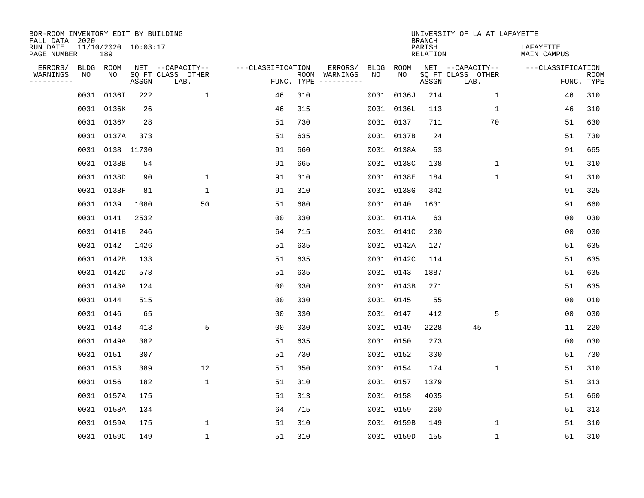| BOR-ROOM INVENTORY EDIT BY BUILDING<br>FALL DATA 2020 |           |                            |       |                           |                   |            |                              |      |            | <b>BRANCH</b>             | UNIVERSITY OF LA AT LAFAYETTE |                          |                           |
|-------------------------------------------------------|-----------|----------------------------|-------|---------------------------|-------------------|------------|------------------------------|------|------------|---------------------------|-------------------------------|--------------------------|---------------------------|
| RUN DATE<br>PAGE NUMBER                               |           | 11/10/2020 10:03:17<br>189 |       |                           |                   |            |                              |      |            | PARISH<br><b>RELATION</b> |                               | LAFAYETTE<br>MAIN CAMPUS |                           |
| ERRORS/                                               | BLDG ROOM |                            |       | NET --CAPACITY--          | ---CLASSIFICATION |            | ERRORS/                      | BLDG | ROOM<br>NO |                           | NET --CAPACITY--              | ---CLASSIFICATION        |                           |
| WARNINGS<br>----------                                | NO        | NO                         | ASSGN | SQ FT CLASS OTHER<br>LAB. |                   | FUNC. TYPE | ROOM WARNINGS<br>----------- | NO   |            | ASSGN                     | SQ FT CLASS OTHER<br>LAB.     |                          | <b>ROOM</b><br>FUNC. TYPE |
|                                                       |           | 0031 0136I                 | 222   | 1                         | 46                | 310        |                              |      | 0031 0136J | 214                       | 1                             | 46                       | 310                       |
|                                                       |           | 0031 0136K                 | 26    |                           | 46                | 315        |                              |      | 0031 0136L | 113                       | 1                             | 46                       | 310                       |
|                                                       |           | 0031 0136M                 | 28    |                           | 51                | 730        |                              |      | 0031 0137  | 711                       | 70                            | 51                       | 630                       |
|                                                       |           | 0031 0137A                 | 373   |                           | 51                | 635        |                              |      | 0031 0137B | 24                        |                               | 51                       | 730                       |
|                                                       |           | 0031 0138 11730            |       |                           | 91                | 660        |                              |      | 0031 0138A | 53                        |                               | 91                       | 665                       |
|                                                       |           | 0031 0138B                 | 54    |                           | 91                | 665        |                              |      | 0031 0138C | 108                       | $\mathbf 1$                   | 91                       | 310                       |
|                                                       |           | 0031 0138D                 | 90    | $\mathbf{1}$              | 91                | 310        |                              |      | 0031 0138E | 184                       | $\mathbf{1}$                  | 91                       | 310                       |
|                                                       |           | 0031 0138F                 | 81    | $\mathbf{1}$              | 91                | 310        |                              |      | 0031 0138G | 342                       |                               | 91                       | 325                       |
|                                                       |           | 0031 0139                  | 1080  | 50                        | 51                | 680        |                              |      | 0031 0140  | 1631                      |                               | 91                       | 660                       |
|                                                       | 0031 0141 |                            | 2532  |                           | 0 <sub>0</sub>    | 030        |                              |      | 0031 0141A | 63                        |                               | 0 <sub>0</sub>           | 030                       |
|                                                       |           | 0031 0141B                 | 246   |                           | 64                | 715        |                              |      | 0031 0141C | 200                       |                               | 0 <sub>0</sub>           | 030                       |
|                                                       |           | 0031 0142                  | 1426  |                           | 51                | 635        |                              |      | 0031 0142A | 127                       |                               | 51                       | 635                       |
|                                                       |           | 0031 0142B                 | 133   |                           | 51                | 635        |                              |      | 0031 0142C | 114                       |                               | 51                       | 635                       |
|                                                       |           | 0031 0142D                 | 578   |                           | 51                | 635        |                              |      | 0031 0143  | 1887                      |                               | 51                       | 635                       |
|                                                       |           | 0031 0143A                 | 124   |                           | 0 <sub>0</sub>    | 030        |                              |      | 0031 0143B | 271                       |                               | 51                       | 635                       |
|                                                       |           | 0031 0144                  | 515   |                           | 0 <sub>0</sub>    | 030        |                              |      | 0031 0145  | 55                        |                               | 00                       | 010                       |
|                                                       | 0031 0146 |                            | 65    |                           | 00                | 030        |                              |      | 0031 0147  | 412                       | 5                             | 0 <sub>0</sub>           | 030                       |
|                                                       | 0031 0148 |                            | 413   | 5                         | 0 <sub>0</sub>    | 030        |                              |      | 0031 0149  | 2228                      | 45                            | 11                       | 220                       |
|                                                       |           | 0031 0149A                 | 382   |                           | 51                | 635        |                              |      | 0031 0150  | 273                       |                               | 0 <sub>0</sub>           | 030                       |
|                                                       | 0031 0151 |                            | 307   |                           | 51                | 730        |                              |      | 0031 0152  | 300                       |                               | 51                       | 730                       |
|                                                       | 0031 0153 |                            | 389   | 12                        | 51                | 350        |                              |      | 0031 0154  | 174                       | $\mathbf 1$                   | 51                       | 310                       |
|                                                       | 0031 0156 |                            | 182   | 1                         | 51                | 310        |                              |      | 0031 0157  | 1379                      |                               | 51                       | 313                       |
|                                                       |           | 0031 0157A                 | 175   |                           | 51                | 313        |                              |      | 0031 0158  | 4005                      |                               | 51                       | 660                       |
|                                                       |           | 0031 0158A                 | 134   |                           | 64                | 715        |                              |      | 0031 0159  | 260                       |                               | 51                       | 313                       |
|                                                       |           | 0031 0159A                 | 175   | $\mathbf{1}$              | 51                | 310        |                              |      | 0031 0159B | 149                       | $\mathbf 1$                   | 51                       | 310                       |
|                                                       |           | 0031 0159C                 | 149   | $\mathbf{1}$              | 51                | 310        |                              |      | 0031 0159D | 155                       | 1                             | 51                       | 310                       |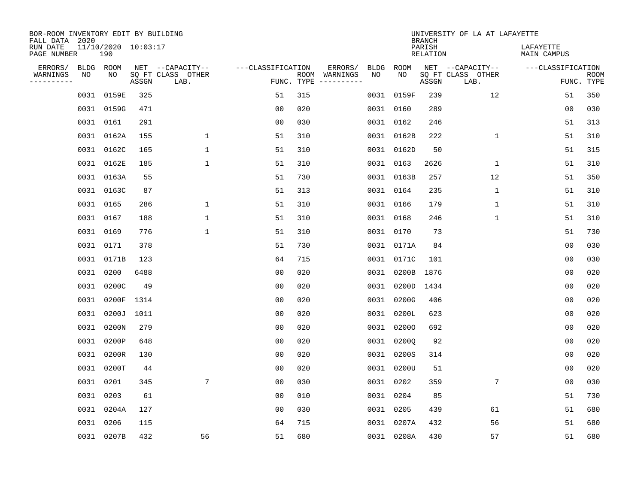| BOR-ROOM INVENTORY EDIT BY BUILDING<br>FALL DATA 2020 |           |                            |       |                           |                   |     |                                      |             |             | <b>BRANCH</b>             | UNIVERSITY OF LA AT LAFAYETTE |                          |                           |
|-------------------------------------------------------|-----------|----------------------------|-------|---------------------------|-------------------|-----|--------------------------------------|-------------|-------------|---------------------------|-------------------------------|--------------------------|---------------------------|
| RUN DATE<br>PAGE NUMBER                               |           | 11/10/2020 10:03:17<br>190 |       |                           |                   |     |                                      |             |             | PARISH<br><b>RELATION</b> |                               | LAFAYETTE<br>MAIN CAMPUS |                           |
| ERRORS/                                               | BLDG ROOM |                            |       | NET --CAPACITY--          | ---CLASSIFICATION |     | ERRORS/                              | <b>BLDG</b> | <b>ROOM</b> |                           | NET --CAPACITY--              | ---CLASSIFICATION        |                           |
| WARNINGS<br>----------                                | NO        | NO                         | ASSGN | SQ FT CLASS OTHER<br>LAB. |                   |     | ROOM WARNINGS<br>FUNC. TYPE $------$ | NO          | NO          | ASSGN                     | SQ FT CLASS OTHER<br>LAB.     |                          | <b>ROOM</b><br>FUNC. TYPE |
|                                                       | 0031      | 0159E                      | 325   |                           | 51                | 315 |                                      |             | 0031 0159F  | 239                       | 12                            | 51                       | 350                       |
|                                                       |           | 0031 0159G                 | 471   |                           | 0 <sub>0</sub>    | 020 |                                      |             | 0031 0160   | 289                       |                               | 00                       | 030                       |
|                                                       | 0031      | 0161                       | 291   |                           | 0 <sub>0</sub>    | 030 |                                      |             | 0031 0162   | 246                       |                               | 51                       | 313                       |
|                                                       | 0031      | 0162A                      | 155   | $\mathbf 1$               | 51                | 310 |                                      |             | 0031 0162B  | 222                       | $\mathbf 1$                   | 51                       | 310                       |
|                                                       | 0031      | 0162C                      | 165   | $\mathbf{1}$              | 51                | 310 |                                      |             | 0031 0162D  | 50                        |                               | 51                       | 315                       |
|                                                       |           | 0031 0162E                 | 185   | $\mathbf{1}$              | 51                | 310 |                                      |             | 0031 0163   | 2626                      | $\mathbf 1$                   | 51                       | 310                       |
|                                                       |           | 0031 0163A                 | 55    |                           | 51                | 730 |                                      |             | 0031 0163B  | 257                       | 12                            | 51                       | 350                       |
|                                                       |           | 0031 0163C                 | 87    |                           | 51                | 313 |                                      |             | 0031 0164   | 235                       | 1                             | 51                       | 310                       |
|                                                       | 0031      | 0165                       | 286   | 1                         | 51                | 310 |                                      |             | 0031 0166   | 179                       | $\mathbf 1$                   | 51                       | 310                       |
|                                                       | 0031 0167 |                            | 188   | $\mathbf{1}$              | 51                | 310 |                                      |             | 0031 0168   | 246                       | $\mathbf 1$                   | 51                       | 310                       |
|                                                       | 0031      | 0169                       | 776   | $\mathbf{1}$              | 51                | 310 |                                      |             | 0031 0170   | 73                        |                               | 51                       | 730                       |
|                                                       | 0031 0171 |                            | 378   |                           | 51                | 730 |                                      |             | 0031 0171A  | 84                        |                               | 0 <sub>0</sub>           | 030                       |
|                                                       | 0031      | 0171B                      | 123   |                           | 64                | 715 |                                      |             | 0031 0171C  | 101                       |                               | 0 <sub>0</sub>           | 030                       |
|                                                       | 0031      | 0200                       | 6488  |                           | 00                | 020 |                                      |             | 0031 0200B  | 1876                      |                               | 0 <sub>0</sub>           | 020                       |
|                                                       | 0031      | 0200C                      | 49    |                           | 0 <sub>0</sub>    | 020 |                                      |             | 0031 0200D  | 1434                      |                               | 0 <sub>0</sub>           | 020                       |
|                                                       | 0031      | 0200F                      | 1314  |                           | 0 <sub>0</sub>    | 020 |                                      |             | 0031 0200G  | 406                       |                               | 00                       | 020                       |
|                                                       | 0031      | 0200J                      | 1011  |                           | 0 <sub>0</sub>    | 020 |                                      | 0031        | 0200L       | 623                       |                               | 0 <sub>0</sub>           | 020                       |
|                                                       | 0031      | 0200N                      | 279   |                           | 0 <sub>0</sub>    | 020 |                                      |             | 0031 02000  | 692                       |                               | 0 <sub>0</sub>           | 020                       |
|                                                       | 0031      | 0200P                      | 648   |                           | 0 <sub>0</sub>    | 020 |                                      |             | 0031 02000  | 92                        |                               | 0 <sub>0</sub>           | 020                       |
|                                                       | 0031      | 0200R                      | 130   |                           | 0 <sub>0</sub>    | 020 |                                      |             | 0031 0200S  | 314                       |                               | 0 <sub>0</sub>           | 020                       |
|                                                       | 0031      | 0200T                      | 44    |                           | 0 <sub>0</sub>    | 020 |                                      |             | 0031 0200U  | 51                        |                               | 0 <sub>0</sub>           | 020                       |
|                                                       | 0031      | 0201                       | 345   | $7\phantom{.0}$           | 0 <sub>0</sub>    | 030 |                                      |             | 0031 0202   | 359                       | 7                             | 0 <sub>0</sub>           | 030                       |
|                                                       | 0031      | 0203                       | 61    |                           | 0 <sub>0</sub>    | 010 |                                      |             | 0031 0204   | 85                        |                               | 51                       | 730                       |
|                                                       | 0031      | 0204A                      | 127   |                           | 0 <sub>0</sub>    | 030 |                                      |             | 0031 0205   | 439                       | 61                            | 51                       | 680                       |
|                                                       | 0031      | 0206                       | 115   |                           | 64                | 715 |                                      |             | 0031 0207A  | 432                       | 56                            | 51                       | 680                       |
|                                                       |           | 0031 0207B                 | 432   | 56                        | 51                | 680 |                                      |             | 0031 0208A  | 430                       | 57                            | 51                       | 680                       |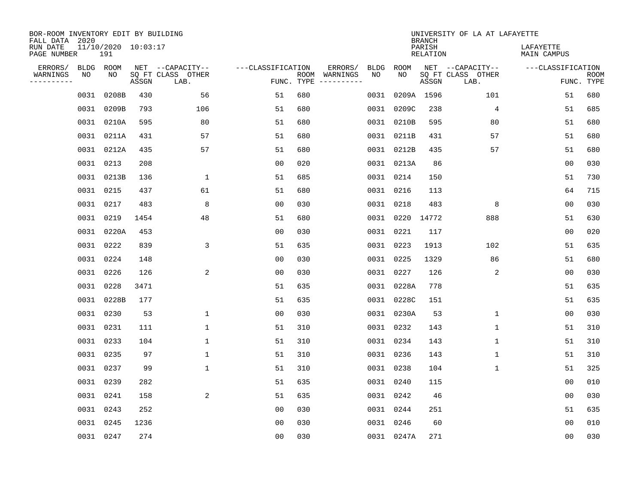| BOR-ROOM INVENTORY EDIT BY BUILDING<br>FALL DATA 2020 |           |                            |       |                           |                   |            |                              |      |            | <b>BRANCH</b>             | UNIVERSITY OF LA AT LAFAYETTE |                          |                           |
|-------------------------------------------------------|-----------|----------------------------|-------|---------------------------|-------------------|------------|------------------------------|------|------------|---------------------------|-------------------------------|--------------------------|---------------------------|
| RUN DATE<br>PAGE NUMBER                               |           | 11/10/2020 10:03:17<br>191 |       |                           |                   |            |                              |      |            | PARISH<br><b>RELATION</b> |                               | LAFAYETTE<br>MAIN CAMPUS |                           |
| ERRORS/                                               | BLDG ROOM |                            |       | NET --CAPACITY--          | ---CLASSIFICATION |            | ERRORS/                      | BLDG | ROOM       |                           | NET --CAPACITY--              | ---CLASSIFICATION        |                           |
| WARNINGS<br>----------                                | NO        | NO                         | ASSGN | SQ FT CLASS OTHER<br>LAB. |                   | FUNC. TYPE | ROOM WARNINGS<br>----------- | NO   | NO         | ASSGN                     | SQ FT CLASS OTHER<br>LAB.     |                          | <b>ROOM</b><br>FUNC. TYPE |
|                                                       | 0031      | 0208B                      | 430   | 56                        | 51                | 680        |                              | 0031 |            | 0209A 1596                | 101                           | 51                       | 680                       |
|                                                       |           | 0031 0209B                 | 793   | 106                       | 51                | 680        |                              |      | 0031 0209C | 238                       | 4                             | 51                       | 685                       |
|                                                       |           | 0031 0210A                 | 595   | 80                        | 51                | 680        |                              |      | 0031 0210B | 595                       | 80                            | 51                       | 680                       |
|                                                       |           | 0031 0211A                 | 431   | 57                        | 51                | 680        |                              |      | 0031 0211B | 431                       | 57                            | 51                       | 680                       |
|                                                       |           | 0031 0212A                 | 435   | 57                        | 51                | 680        |                              |      | 0031 0212B | 435                       | 57                            | 51                       | 680                       |
|                                                       |           | 0031 0213                  | 208   |                           | 0 <sub>0</sub>    | 020        |                              |      | 0031 0213A | 86                        |                               | 0 <sub>0</sub>           | 030                       |
|                                                       |           | 0031 0213B                 | 136   | 1                         | 51                | 685        |                              |      | 0031 0214  | 150                       |                               | 51                       | 730                       |
|                                                       |           | 0031 0215                  | 437   | 61                        | 51                | 680        |                              |      | 0031 0216  | 113                       |                               | 64                       | 715                       |
|                                                       |           | 0031 0217                  | 483   | 8                         | 0 <sub>0</sub>    | 030        |                              |      | 0031 0218  | 483                       | 8                             | 0 <sub>0</sub>           | 030                       |
|                                                       |           | 0031 0219                  | 1454  | 48                        | 51                | 680        |                              |      | 0031 0220  | 14772                     | 888                           | 51                       | 630                       |
|                                                       |           | 0031 0220A                 | 453   |                           | 0 <sub>0</sub>    | 030        |                              |      | 0031 0221  | 117                       |                               | 0 <sub>0</sub>           | 020                       |
|                                                       |           | 0031 0222                  | 839   | 3                         | 51                | 635        |                              |      | 0031 0223  | 1913                      | 102                           | 51                       | 635                       |
|                                                       |           | 0031 0224                  | 148   |                           | 0 <sub>0</sub>    | 030        |                              |      | 0031 0225  | 1329                      | 86                            | 51                       | 680                       |
|                                                       |           | 0031 0226                  | 126   | 2                         | 0 <sub>0</sub>    | 030        |                              |      | 0031 0227  | 126                       | 2                             | 0 <sub>0</sub>           | 030                       |
|                                                       |           | 0031 0228                  | 3471  |                           | 51                | 635        |                              |      | 0031 0228A | 778                       |                               | 51                       | 635                       |
|                                                       |           | 0031 0228B                 | 177   |                           | 51                | 635        |                              |      | 0031 0228C | 151                       |                               | 51                       | 635                       |
|                                                       |           | 0031 0230                  | 53    | 1                         | 0 <sub>0</sub>    | 030        |                              |      | 0031 0230A | 53                        | 1                             | 0 <sub>0</sub>           | 030                       |
|                                                       | 0031 0231 |                            | 111   | 1                         | 51                | 310        |                              |      | 0031 0232  | 143                       | 1                             | 51                       | 310                       |
|                                                       |           | 0031 0233                  | 104   | 1                         | 51                | 310        |                              |      | 0031 0234  | 143                       | $\mathbf{1}$                  | 51                       | 310                       |
|                                                       |           | 0031 0235                  | 97    | 1                         | 51                | 310        |                              |      | 0031 0236  | 143                       | 1                             | 51                       | 310                       |
|                                                       |           | 0031 0237                  | 99    | $\mathbf{1}$              | 51                | 310        |                              |      | 0031 0238  | 104                       | $\mathbf 1$                   | 51                       | 325                       |
|                                                       |           | 0031 0239                  | 282   |                           | 51                | 635        |                              |      | 0031 0240  | 115                       |                               | 0 <sub>0</sub>           | 010                       |
|                                                       |           | 0031 0241                  | 158   | 2                         | 51                | 635        |                              |      | 0031 0242  | 46                        |                               | 0 <sub>0</sub>           | 030                       |
|                                                       |           | 0031 0243                  | 252   |                           | 0 <sub>0</sub>    | 030        |                              |      | 0031 0244  | 251                       |                               | 51                       | 635                       |
|                                                       |           | 0031 0245                  | 1236  |                           | 0 <sub>0</sub>    | 030        |                              |      | 0031 0246  | 60                        |                               | 0 <sub>0</sub>           | 010                       |
|                                                       |           | 0031 0247                  | 274   |                           | 0 <sub>0</sub>    | 030        |                              |      | 0031 0247A | 271                       |                               | 0 <sub>0</sub>           | 030                       |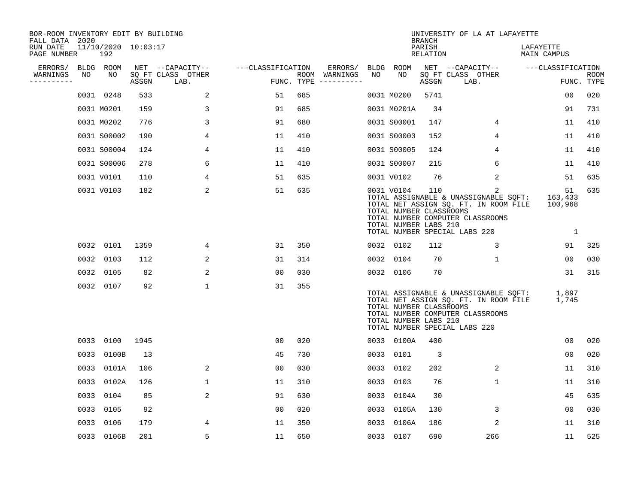| BOR-ROOM INVENTORY EDIT BY BUILDING<br>FALL DATA 2020 |    |                            |       |                           |                   |     |                                      |    |                                                                | <b>BRANCH</b>      | UNIVERSITY OF LA AT LAFAYETTE                                                                                                                            |                               |                           |
|-------------------------------------------------------|----|----------------------------|-------|---------------------------|-------------------|-----|--------------------------------------|----|----------------------------------------------------------------|--------------------|----------------------------------------------------------------------------------------------------------------------------------------------------------|-------------------------------|---------------------------|
| RUN DATE<br>PAGE NUMBER                               |    | 11/10/2020 10:03:17<br>192 |       |                           |                   |     |                                      |    |                                                                | PARISH<br>RELATION |                                                                                                                                                          | LAFAYETTE<br>MAIN CAMPUS      |                           |
| ERRORS/                                               |    | BLDG ROOM                  |       | NET --CAPACITY--          | ---CLASSIFICATION |     | ERRORS/                              |    | BLDG ROOM                                                      |                    | NET --CAPACITY--                                                                                                                                         | ---CLASSIFICATION             |                           |
| WARNINGS<br>-----------                               | NO | NO                         | ASSGN | SQ FT CLASS OTHER<br>LAB. |                   |     | ROOM WARNINGS<br>FUNC. TYPE $------$ | NO | NO                                                             | ASSGN              | SQ FT CLASS OTHER<br>LAB.                                                                                                                                |                               | <b>ROOM</b><br>FUNC. TYPE |
|                                                       |    | 0031 0248                  | 533   | 2                         | 51                | 685 |                                      |    | 0031 M0200                                                     | 5741               |                                                                                                                                                          | 0 <sub>0</sub>                | 020                       |
|                                                       |    | 0031 M0201                 | 159   | 3                         | 91                | 685 |                                      |    | 0031 M0201A                                                    | 34                 |                                                                                                                                                          | 91                            | 731                       |
|                                                       |    | 0031 M0202                 | 776   | 3                         | 91                | 680 |                                      |    | 0031 S00001                                                    | 147                | $4^{\circ}$                                                                                                                                              | 11                            | 410                       |
|                                                       |    | 0031 S00002                | 190   | 4                         | 11                | 410 |                                      |    | 0031 S00003                                                    | 152                | 4                                                                                                                                                        | 11                            | 410                       |
|                                                       |    | 0031 S00004                | 124   | 4                         | 11                | 410 |                                      |    | 0031 S00005                                                    | 124                | 4                                                                                                                                                        | 11                            | 410                       |
|                                                       |    | 0031 S00006                | 278   | 6                         | 11                | 410 |                                      |    | 0031 S00007                                                    | 215                | 6                                                                                                                                                        | 11                            | 410                       |
|                                                       |    | 0031 V0101                 | 110   | 4                         | 51                | 635 |                                      |    | 0031 V0102                                                     | 76                 | 2                                                                                                                                                        | 51                            | 635                       |
|                                                       |    | 0031 V0103                 | 182   | 2                         | 51                | 635 |                                      |    | 0031 V0104<br>TOTAL NUMBER CLASSROOMS<br>TOTAL NUMBER LABS 210 | 110                | 2<br>TOTAL ASSIGNABLE & UNASSIGNABLE SQFT:<br>TOTAL NET ASSIGN SQ. FT. IN ROOM FILE<br>TOTAL NUMBER COMPUTER CLASSROOMS<br>TOTAL NUMBER SPECIAL LABS 220 | 51<br>163,433<br>100,968<br>1 | 635                       |
|                                                       |    | 0032 0101                  | 1359  | 4                         | 31                | 350 |                                      |    | 0032 0102                                                      | 112                | 3                                                                                                                                                        | 91                            | 325                       |
|                                                       |    | 0032 0103                  | 112   | 2                         | 31                | 314 |                                      |    | 0032 0104                                                      | 70                 | 1                                                                                                                                                        | 0 <sub>0</sub>                | 030                       |
|                                                       |    | 0032 0105                  | 82    | 2                         | 0 <sub>0</sub>    | 030 |                                      |    | 0032 0106                                                      | 70                 |                                                                                                                                                          | 31                            | 315                       |
|                                                       |    | 0032 0107                  | 92    | $\mathbf{1}$              | 31                | 355 |                                      |    | TOTAL NUMBER CLASSROOMS<br>TOTAL NUMBER LABS 210               |                    | TOTAL ASSIGNABLE & UNASSIGNABLE SQFT:<br>TOTAL NET ASSIGN SQ. FT. IN ROOM FILE<br>TOTAL NUMBER COMPUTER CLASSROOMS<br>TOTAL NUMBER SPECIAL LABS 220      | 1,897<br>1,745                |                           |
|                                                       |    | 0033 0100                  | 1945  |                           | 00                | 020 |                                      |    | 0033 0100A                                                     | 400                |                                                                                                                                                          | 0 <sub>0</sub>                | 020                       |
|                                                       |    | 0033 0100B                 | 13    |                           | 45                | 730 |                                      |    | 0033 0101                                                      | 3                  |                                                                                                                                                          | 00                            | 020                       |
|                                                       |    | 0033 0101A                 | 106   | 2                         | 00                | 030 |                                      |    | 0033 0102                                                      | 202                | 2                                                                                                                                                        | 11                            | 310                       |
|                                                       |    | 0033 0102A                 | 126   | $\mathbf 1$               | 11                | 310 |                                      |    | 0033 0103                                                      | 76                 | $\mathbf 1$                                                                                                                                              | 11                            | 310                       |
|                                                       |    | 0033 0104                  | 85    | 2                         | 91                | 630 |                                      |    | 0033 0104A                                                     | 30                 |                                                                                                                                                          | 45                            | 635                       |
|                                                       |    | 0033 0105                  | 92    |                           | 0 <sub>0</sub>    | 020 |                                      |    | 0033 0105A                                                     | 130                | 3                                                                                                                                                        | 0 <sub>0</sub>                | 030                       |
|                                                       |    | 0033 0106                  | 179   | 4                         | 11                | 350 |                                      |    | 0033 0106A                                                     | 186                | 2                                                                                                                                                        | 11                            | 310                       |
|                                                       |    | 0033 0106B                 | 201   | 5                         | 11                | 650 |                                      |    | 0033 0107                                                      | 690                | 266                                                                                                                                                      | 11                            | 525                       |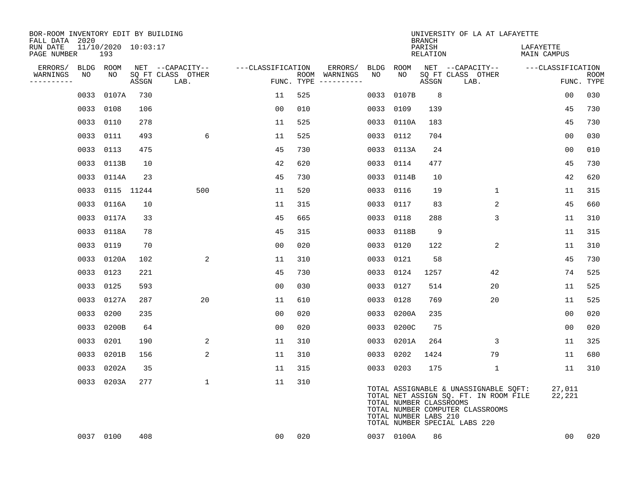| BOR-ROOM INVENTORY EDIT BY BUILDING<br>FALL DATA 2020 |      |                 |                     |                           |                   |     |                                      |           |                                                  | <b>BRANCH</b>      | UNIVERSITY OF LA AT LAFAYETTE                                                                                                                       |                          |                           |
|-------------------------------------------------------|------|-----------------|---------------------|---------------------------|-------------------|-----|--------------------------------------|-----------|--------------------------------------------------|--------------------|-----------------------------------------------------------------------------------------------------------------------------------------------------|--------------------------|---------------------------|
| RUN DATE<br>PAGE NUMBER                               |      | 193             | 11/10/2020 10:03:17 |                           |                   |     |                                      |           |                                                  | PARISH<br>RELATION |                                                                                                                                                     | LAFAYETTE<br>MAIN CAMPUS |                           |
| ERRORS/                                               |      | BLDG ROOM       |                     | NET --CAPACITY--          | ---CLASSIFICATION |     | ERRORS/                              | BLDG      | ROOM                                             |                    | NET --CAPACITY--                                                                                                                                    | ---CLASSIFICATION        |                           |
| WARNINGS<br>-----------                               | NO   | NO              | ASSGN               | SQ FT CLASS OTHER<br>LAB. |                   |     | ROOM WARNINGS<br>FUNC. TYPE $------$ | NO        | NO                                               | ASSGN              | SQ FT CLASS OTHER<br>LAB.                                                                                                                           |                          | <b>ROOM</b><br>FUNC. TYPE |
|                                                       | 0033 | 0107A           | 730                 |                           | 11                | 525 |                                      | 0033      | 0107B                                            | 8                  |                                                                                                                                                     | 0 <sub>0</sub>           | 030                       |
|                                                       |      | 0033 0108       | 106                 |                           | 0 <sub>0</sub>    | 010 |                                      | 0033 0109 |                                                  | 139                |                                                                                                                                                     | 45                       | 730                       |
|                                                       |      | 0033 0110       | 278                 |                           | 11                | 525 |                                      |           | 0033 0110A                                       | 183                |                                                                                                                                                     | 45                       | 730                       |
|                                                       |      | 0033 0111       | 493                 | 6                         | 11                | 525 |                                      | 0033 0112 |                                                  | 704                |                                                                                                                                                     | 0 <sub>0</sub>           | 030                       |
|                                                       |      | 0033 0113       | 475                 |                           | 45                | 730 |                                      |           | 0033 0113A                                       | 24                 |                                                                                                                                                     | 00                       | 010                       |
|                                                       |      | 0033 0113B      | 10                  |                           | 42                | 620 |                                      | 0033 0114 |                                                  | 477                |                                                                                                                                                     | 45                       | 730                       |
|                                                       |      | 0033 0114A      | 23                  |                           | 45                | 730 |                                      |           | 0033 0114B                                       | 10                 |                                                                                                                                                     | 42                       | 620                       |
|                                                       |      | 0033 0115 11244 |                     | 500                       | 11                | 520 |                                      | 0033 0116 |                                                  | 19                 | $\mathbf{1}$                                                                                                                                        | 11                       | 315                       |
|                                                       |      | 0033 0116A      | 10                  |                           | 11                | 315 |                                      | 0033 0117 |                                                  | 83                 | 2                                                                                                                                                   | 45                       | 660                       |
|                                                       |      | 0033 0117A      | 33                  |                           | 45                | 665 |                                      | 0033 0118 |                                                  | 288                | 3                                                                                                                                                   | 11                       | 310                       |
|                                                       |      | 0033 0118A      | 78                  |                           | 45                | 315 |                                      |           | 0033 0118B                                       | 9                  |                                                                                                                                                     | 11                       | 315                       |
|                                                       |      | 0033 0119       | 70                  |                           | 0 <sub>0</sub>    | 020 |                                      | 0033 0120 |                                                  | 122                | 2                                                                                                                                                   | 11                       | 310                       |
|                                                       |      | 0033 0120A      | 102                 | 2                         | 11                | 310 |                                      | 0033 0121 |                                                  | 58                 |                                                                                                                                                     | 45                       | 730                       |
|                                                       | 0033 | 0123            | 221                 |                           | 45                | 730 |                                      | 0033 0124 |                                                  | 1257               | 42                                                                                                                                                  | 74                       | 525                       |
|                                                       |      | 0033 0125       | 593                 |                           | 0 <sub>0</sub>    | 030 |                                      | 0033 0127 |                                                  | 514                | 20                                                                                                                                                  | 11                       | 525                       |
|                                                       |      | 0033 0127A      | 287                 | 20                        | 11                | 610 |                                      | 0033 0128 |                                                  | 769                | 20                                                                                                                                                  | 11                       | 525                       |
|                                                       |      | 0033 0200       | 235                 |                           | 0 <sub>0</sub>    | 020 |                                      |           | 0033 0200A                                       | 235                |                                                                                                                                                     | 0 <sub>0</sub>           | 020                       |
|                                                       | 0033 | 0200B           | 64                  |                           | 0 <sub>0</sub>    | 020 |                                      |           | 0033 0200C                                       | 75                 |                                                                                                                                                     | 00                       | 020                       |
|                                                       |      | 0033 0201       | 190                 | 2                         | 11                | 310 |                                      |           | 0033 0201A                                       | 264                | 3                                                                                                                                                   | 11                       | 325                       |
|                                                       |      | 0033 0201B      | 156                 | 2                         | 11                | 310 |                                      | 0033 0202 |                                                  | 1424               | 79                                                                                                                                                  | 11                       | 680                       |
|                                                       |      | 0033 0202A      | 35                  |                           | 11                | 315 |                                      | 0033 0203 |                                                  | 175                | 1                                                                                                                                                   | 11                       | 310                       |
|                                                       |      | 0033 0203A      | 277                 | $\mathbf 1$               | 11                | 310 |                                      |           | TOTAL NUMBER CLASSROOMS<br>TOTAL NUMBER LABS 210 |                    | TOTAL ASSIGNABLE & UNASSIGNABLE SQFT:<br>TOTAL NET ASSIGN SQ. FT. IN ROOM FILE<br>TOTAL NUMBER COMPUTER CLASSROOMS<br>TOTAL NUMBER SPECIAL LABS 220 | 27,011<br>22,221         |                           |
|                                                       |      | 0037 0100       | 408                 |                           | 00                | 020 |                                      |           | 0037 0100A                                       | 86                 |                                                                                                                                                     | 00                       | 020                       |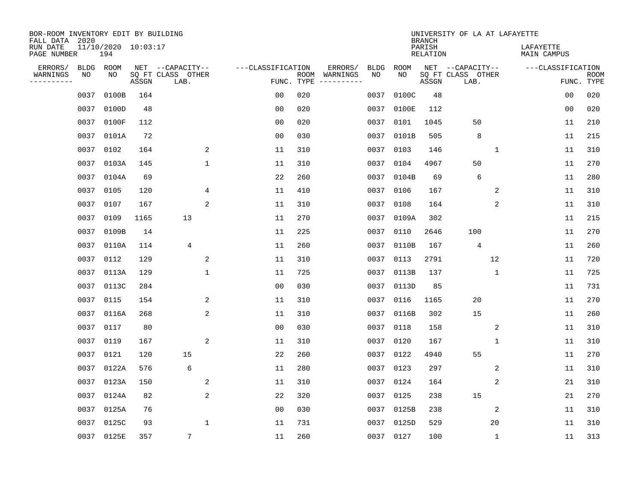| BOR-ROOM INVENTORY EDIT BY BUILDING<br>FALL DATA 2020 |                                |       |                                               |                   |                    |                     |                   |            | <b>BRANCH</b>      | UNIVERSITY OF LA AT LAFAYETTE                 |    |                          |                           |
|-------------------------------------------------------|--------------------------------|-------|-----------------------------------------------|-------------------|--------------------|---------------------|-------------------|------------|--------------------|-----------------------------------------------|----|--------------------------|---------------------------|
| RUN DATE<br>PAGE NUMBER                               | $11/10/2020$ $10:03:17$<br>194 |       |                                               |                   |                    |                     |                   |            | PARISH<br>RELATION |                                               |    | LAFAYETTE<br>MAIN CAMPUS |                           |
| ERRORS/<br><b>BLDG</b><br>WARNINGS<br>NO<br>--------  | ROOM<br>NO                     | ASSGN | NET --CAPACITY--<br>SQ FT CLASS OTHER<br>LAB. | ---CLASSIFICATION | ROOM<br>FUNC. TYPE | ERRORS/<br>WARNINGS | <b>BLDG</b><br>NO | ROOM<br>NO | ASSGN              | NET --CAPACITY--<br>SQ FT CLASS OTHER<br>LAB. |    | ---CLASSIFICATION        | <b>ROOM</b><br>FUNC. TYPE |
| 0037                                                  | 0100B                          | 164   |                                               | 0 <sub>0</sub>    | 020                |                     | 0037              | 0100C      | 48                 |                                               |    | 0 <sub>0</sub>           | 020                       |
| 0037                                                  | 0100D                          | 48    |                                               | 0 <sub>0</sub>    | 020                |                     | 0037              | 0100E      | 112                |                                               |    | 00                       | 020                       |
| 0037                                                  | 0100F                          | 112   |                                               | 0 <sub>0</sub>    | 020                |                     | 0037              | 0101       | 1045               | 50                                            |    | 11                       | 210                       |
| 0037                                                  | 0101A                          | 72    |                                               | 0 <sub>0</sub>    | 030                |                     |                   | 0037 0101B | 505                | 8                                             |    | 11                       | 215                       |
| 0037                                                  | 0102                           | 164   | 2                                             | 11                | 310                |                     | 0037              | 0103       | 146                |                                               | 1  | 11                       | 310                       |
| 0037                                                  | 0103A                          | 145   | $\mathbf 1$                                   | 11                | 310                |                     |                   | 0037 0104  | 4967               | 50                                            |    | 11                       | 270                       |
| 0037                                                  | 0104A                          | 69    |                                               | 22                | 260                |                     |                   | 0037 0104B | 69                 | 6                                             |    | 11                       | 280                       |
| 0037                                                  | 0105                           | 120   | 4                                             | 11                | 410                |                     |                   | 0037 0106  | 167                |                                               | 2  | 11                       | 310                       |
| 0037                                                  | 0107                           | 167   | 2                                             | 11                | 310                |                     | 0037              | 0108       | 164                |                                               | 2  | 11                       | 310                       |
| 0037                                                  | 0109                           | 1165  | 13                                            | 11                | 270                |                     |                   | 0037 0109A | 302                |                                               |    | 11                       | 215                       |
| 0037                                                  | 0109B                          | 14    |                                               | 11                | 225                |                     | 0037              | 0110       | 2646               | 100                                           |    | 11                       | 270                       |
| 0037                                                  | 0110A                          | 114   | 4                                             | 11                | 260                |                     | 0037              | 0110B      | 167                | 4                                             |    | 11                       | 260                       |
| 0037                                                  | 0112                           | 129   | 2                                             | 11                | 310                |                     | 0037              | 0113       | 2791               |                                               | 12 | 11                       | 720                       |
| 0037                                                  | 0113A                          | 129   | $\mathbf{1}$                                  | 11                | 725                |                     | 0037              | 0113B      | 137                |                                               | 1  | 11                       | 725                       |
| 0037                                                  | 0113C                          | 284   |                                               | 0 <sub>0</sub>    | 030                |                     | 0037              | 0113D      | 85                 |                                               |    | 11                       | 731                       |
| 0037                                                  | 0115                           | 154   | 2                                             | 11                | 310                |                     | 0037              | 0116       | 1165               | 20                                            |    | 11                       | 270                       |
| 0037                                                  | 0116A                          | 268   | 2                                             | 11                | 310                |                     | 0037              | 0116B      | 302                | 15                                            |    | 11                       | 260                       |
| 0037                                                  | 0117                           | 80    |                                               | 0 <sub>0</sub>    | 030                |                     | 0037              | 0118       | 158                |                                               | 2  | 11                       | 310                       |
| 0037                                                  | 0119                           | 167   | 2                                             | 11                | 310                |                     | 0037              | 0120       | 167                |                                               | 1  | 11                       | 310                       |
| 0037                                                  | 0121                           | 120   | 15                                            | 22                | 260                |                     | 0037              | 0122       | 4940               | 55                                            |    | 11                       | 270                       |
| 0037                                                  | 0122A                          | 576   | 6                                             | 11                | 280                |                     | 0037              | 0123       | 297                |                                               | 2  | 11                       | 310                       |
| 0037                                                  | 0123A                          | 150   | 2                                             | 11                | 310                |                     | 0037              | 0124       | 164                |                                               | 2  | 21                       | 310                       |
| 0037                                                  | 0124A                          | 82    | 2                                             | 22                | 320                |                     | 0037              | 0125       | 238                | 15                                            |    | 21                       | 270                       |
| 0037                                                  | 0125A                          | 76    |                                               | 0 <sub>0</sub>    | 030                |                     | 0037              | 0125B      | 238                |                                               | 2  | 11                       | 310                       |
| 0037                                                  | 0125C                          | 93    | $\mathbf{1}$                                  | 11                | 731                |                     |                   | 0037 0125D | 529                |                                               | 20 | 11                       | 310                       |
|                                                       | 0037 0125E                     | 357   | 7                                             | 11                | 260                |                     |                   | 0037 0127  | 100                |                                               | 1  | 11                       | 313                       |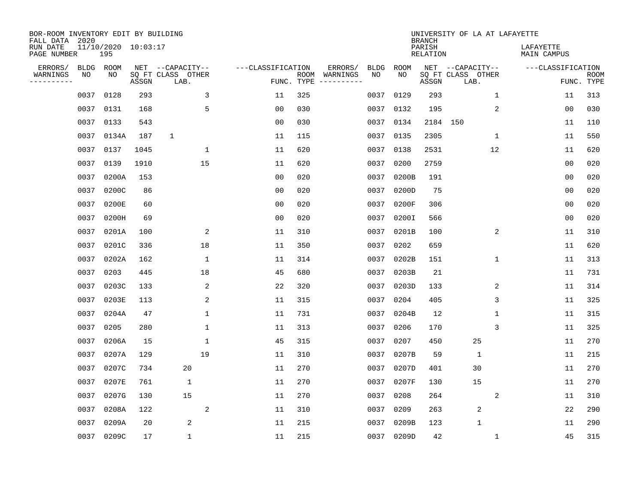| BOR-ROOM INVENTORY EDIT BY BUILDING<br>FALL DATA 2020 |             |                            |       |                           |                   |                    |          |             |             | <b>BRANCH</b>             | UNIVERSITY OF LA AT LAFAYETTE |                          |                           |
|-------------------------------------------------------|-------------|----------------------------|-------|---------------------------|-------------------|--------------------|----------|-------------|-------------|---------------------------|-------------------------------|--------------------------|---------------------------|
| RUN DATE<br>PAGE NUMBER                               |             | 11/10/2020 10:03:17<br>195 |       |                           |                   |                    |          |             |             | PARISH<br><b>RELATION</b> |                               | LAFAYETTE<br>MAIN CAMPUS |                           |
| ERRORS/                                               | <b>BLDG</b> | ROOM                       |       | NET --CAPACITY--          | ---CLASSIFICATION |                    | ERRORS/  | <b>BLDG</b> | <b>ROOM</b> |                           | NET --CAPACITY--              | ---CLASSIFICATION        |                           |
| WARNINGS<br>----------                                | NO          | NO                         | ASSGN | SQ FT CLASS OTHER<br>LAB. |                   | ROOM<br>FUNC. TYPE | WARNINGS | NO          | NO          | ASSGN                     | SQ FT CLASS OTHER<br>LAB.     |                          | <b>ROOM</b><br>FUNC. TYPE |
|                                                       | 0037        | 0128                       | 293   | 3                         | 11                | 325                |          | 0037        | 0129        | 293                       | 1                             | 11                       | 313                       |
|                                                       | 0037        | 0131                       | 168   | 5                         | 00                | 030                |          | 0037        | 0132        | 195                       | 2                             | 00                       | 030                       |
|                                                       | 0037        | 0133                       | 543   |                           | 0 <sub>0</sub>    | 030                |          | 0037        | 0134        |                           | 2184 150                      | 11                       | 110                       |
|                                                       | 0037        | 0134A                      | 187   | $\mathbf{1}$              | 11                | 115                |          |             | 0037 0135   | 2305                      | 1                             | 11                       | 550                       |
|                                                       | 0037        | 0137                       | 1045  | $\mathbf 1$               | 11                | 620                |          | 0037        | 0138        | 2531                      | 12                            | 11                       | 620                       |
|                                                       | 0037        | 0139                       | 1910  | 15                        | 11                | 620                |          |             | 0037 0200   | 2759                      |                               | 0 <sub>0</sub>           | 020                       |
|                                                       | 0037        | 0200A                      | 153   |                           | 0 <sub>0</sub>    | 020                |          | 0037        | 0200B       | 191                       |                               | 00                       | 020                       |
|                                                       | 0037        | 0200C                      | 86    |                           | 0 <sub>0</sub>    | 020                |          |             | 0037 0200D  | 75                        |                               | 0 <sub>0</sub>           | 020                       |
|                                                       | 0037        | 0200E                      | 60    |                           | 0 <sub>0</sub>    | 020                |          | 0037        | 0200F       | 306                       |                               | 0 <sub>0</sub>           | 020                       |
|                                                       | 0037        | 0200H                      | 69    |                           | 0 <sub>0</sub>    | 020                |          | 0037        | 0200I       | 566                       |                               | 0 <sub>0</sub>           | 020                       |
|                                                       | 0037        | 0201A                      | 100   | 2                         | 11                | 310                |          | 0037        | 0201B       | 100                       | 2                             | 11                       | 310                       |
|                                                       | 0037        | 0201C                      | 336   | 18                        | 11                | 350                |          | 0037        | 0202        | 659                       |                               | 11                       | 620                       |
|                                                       | 0037        | 0202A                      | 162   | 1                         | 11                | 314                |          | 0037        | 0202B       | 151                       | $\mathbf 1$                   | 11                       | 313                       |
|                                                       | 0037        | 0203                       | 445   | 18                        | 45                | 680                |          | 0037        | 0203B       | 21                        |                               | 11                       | 731                       |
|                                                       | 0037        | 0203C                      | 133   | 2                         | 22                | 320                |          | 0037        | 0203D       | 133                       | 2                             | 11                       | 314                       |
|                                                       | 0037        | 0203E                      | 113   | 2                         | 11                | 315                |          | 0037        | 0204        | 405                       | 3                             | 11                       | 325                       |
|                                                       | 0037        | 0204A                      | 47    | 1                         | 11                | 731                |          | 0037        | 0204B       | 12                        | 1                             | 11                       | 315                       |
|                                                       | 0037        | 0205                       | 280   | 1                         | 11                | 313                |          | 0037        | 0206        | 170                       | 3                             | 11                       | 325                       |
|                                                       | 0037        | 0206A                      | 15    | 1                         | 45                | 315                |          | 0037        | 0207        | 450                       | 25                            | 11                       | 270                       |
|                                                       | 0037        | 0207A                      | 129   | 19                        | 11                | 310                |          | 0037        | 0207B       | 59                        | $\mathbf{1}$                  | 11                       | 215                       |
|                                                       | 0037        | 0207C                      | 734   | 20                        | 11                | 270                |          | 0037        | 0207D       | 401                       | 30                            | 11                       | 270                       |
|                                                       | 0037        | 0207E                      | 761   | $\mathbf 1$               | 11                | 270                |          | 0037        | 0207F       | 130                       | 15                            | 11                       | 270                       |
|                                                       | 0037        | 0207G                      | 130   | 15                        | 11                | 270                |          | 0037        | 0208        | 264                       | 2                             | 11                       | 310                       |
|                                                       | 0037        | 0208A                      | 122   | 2                         | 11                | 310                |          | 0037        | 0209        | 263                       | 2                             | 22                       | 290                       |
|                                                       | 0037        | 0209A                      | 20    | 2                         | 11                | 215                |          | 0037        | 0209B       | 123                       | $\mathbf{1}$                  | 11                       | 290                       |
|                                                       |             | 0037 0209C                 | 17    | $\mathbf 1$               | 11                | 215                |          |             | 0037 0209D  | 42                        | 1                             | 45                       | 315                       |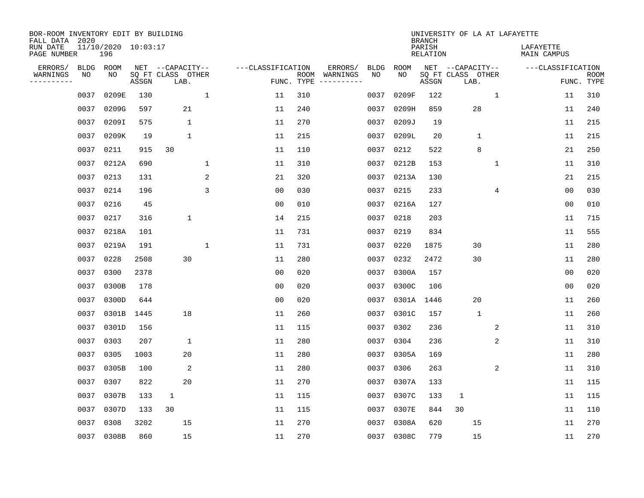| BOR-ROOM INVENTORY EDIT BY BUILDING<br>FALL DATA 2020 |      |                            |       |                           |              |                   |                    |                         |             |            | <b>BRANCH</b>             | UNIVERSITY OF LA AT LAFAYETTE |             |                          |                           |
|-------------------------------------------------------|------|----------------------------|-------|---------------------------|--------------|-------------------|--------------------|-------------------------|-------------|------------|---------------------------|-------------------------------|-------------|--------------------------|---------------------------|
| RUN DATE<br>PAGE NUMBER                               |      | 11/10/2020 10:03:17<br>196 |       |                           |              |                   |                    |                         |             |            | PARISH<br><b>RELATION</b> |                               |             | LAFAYETTE<br>MAIN CAMPUS |                           |
| ERRORS/                                               | BLDG | ROOM                       |       | NET --CAPACITY--          |              | ---CLASSIFICATION |                    | ERRORS/                 | <b>BLDG</b> | ROOM       |                           | NET --CAPACITY--              |             | ---CLASSIFICATION        |                           |
| WARNINGS<br>-----------                               | NO   | NO                         | ASSGN | SQ FT CLASS OTHER<br>LAB. |              |                   | ROOM<br>FUNC. TYPE | WARNINGS<br>----------- | NO          | NO         | ASSGN                     | SQ FT CLASS OTHER<br>LAB.     |             |                          | <b>ROOM</b><br>FUNC. TYPE |
|                                                       | 0037 | 0209E                      | 130   |                           | $\mathbf{1}$ | 11                | 310                |                         | 0037        | 0209F      | 122                       |                               | 1           | 11                       | 310                       |
|                                                       | 0037 | 0209G                      | 597   | 21                        |              | 11                | 240                |                         | 0037        | 0209H      | 859                       | 28                            |             | 11                       | 240                       |
|                                                       | 0037 | 0209I                      | 575   | $\mathbf 1$               |              | 11                | 270                |                         | 0037        | 0209J      | 19                        |                               |             | 11                       | 215                       |
|                                                       | 0037 | 0209K                      | 19    | 1                         |              | 11                | 215                |                         |             | 0037 0209L | 20                        | 1                             |             | 11                       | 215                       |
|                                                       | 0037 | 0211                       | 915   | 30                        |              | 11                | 110                |                         |             | 0037 0212  | 522                       | 8                             |             | 21                       | 250                       |
|                                                       | 0037 | 0212A                      | 690   |                           | 1            | 11                | 310                |                         |             | 0037 0212B | 153                       |                               | $\mathbf 1$ | 11                       | 310                       |
|                                                       | 0037 | 0213                       | 131   |                           | 2            | 21                | 320                |                         |             | 0037 0213A | 130                       |                               |             | 21                       | 215                       |
|                                                       | 0037 | 0214                       | 196   |                           | 3            | 0 <sub>0</sub>    | 030                |                         |             | 0037 0215  | 233                       |                               | 4           | 0 <sub>0</sub>           | 030                       |
|                                                       | 0037 | 0216                       | 45    |                           |              | 0 <sub>0</sub>    | 010                |                         | 0037        | 0216A      | 127                       |                               |             | 0 <sub>0</sub>           | 010                       |
|                                                       | 0037 | 0217                       | 316   | $\mathbf 1$               |              | 14                | 215                |                         |             | 0037 0218  | 203                       |                               |             | 11                       | 715                       |
|                                                       | 0037 | 0218A                      | 101   |                           |              | 11                | 731                |                         | 0037        | 0219       | 834                       |                               |             | 11                       | 555                       |
|                                                       | 0037 | 0219A                      | 191   |                           | 1            | 11                | 731                |                         |             | 0037 0220  | 1875                      | 30                            |             | 11                       | 280                       |
|                                                       | 0037 | 0228                       | 2508  | 30                        |              | 11                | 280                |                         | 0037        | 0232       | 2472                      | 30                            |             | 11                       | 280                       |
|                                                       | 0037 | 0300                       | 2378  |                           |              | 0 <sub>0</sub>    | 020                |                         | 0037        | 0300A      | 157                       |                               |             | 0 <sub>0</sub>           | 020                       |
|                                                       | 0037 | 0300B                      | 178   |                           |              | 0 <sub>0</sub>    | 020                |                         | 0037        | 0300C      | 106                       |                               |             | 0 <sub>0</sub>           | 020                       |
|                                                       | 0037 | 0300D                      | 644   |                           |              | 0 <sub>0</sub>    | 020                |                         | 0037        | 0301A      | 1446                      | 20                            |             | 11                       | 260                       |
|                                                       | 0037 | 0301B                      | 1445  | 18                        |              | 11                | 260                |                         | 0037        | 0301C      | 157                       | $\mathbf{1}$                  |             | 11                       | 260                       |
|                                                       | 0037 | 0301D                      | 156   |                           |              | 11                | 115                |                         | 0037        | 0302       | 236                       |                               | 2           | 11                       | 310                       |
|                                                       | 0037 | 0303                       | 207   | $\mathbf 1$               |              | 11                | 280                |                         | 0037        | 0304       | 236                       |                               | 2           | 11                       | 310                       |
|                                                       | 0037 | 0305                       | 1003  | 20                        |              | 11                | 280                |                         | 0037        | 0305A      | 169                       |                               |             | 11                       | 280                       |
|                                                       | 0037 | 0305B                      | 100   | 2                         |              | 11                | 280                |                         | 0037        | 0306       | 263                       |                               | 2           | 11                       | 310                       |
|                                                       | 0037 | 0307                       | 822   | 20                        |              | 11                | 270                |                         | 0037        | 0307A      | 133                       |                               |             | 11                       | 115                       |
|                                                       | 0037 | 0307B                      | 133   | $\mathbf{1}$              |              | 11                | 115                |                         | 0037        | 0307C      | 133                       | 1                             |             | 11                       | 115                       |
|                                                       | 0037 | 0307D                      | 133   | 30                        |              | 11                | 115                |                         | 0037        | 0307E      | 844                       | 30                            |             | 11                       | 110                       |
|                                                       | 0037 | 0308                       | 3202  | 15                        |              | 11                | 270                |                         | 0037        | 0308A      | 620                       | 15                            |             | 11                       | 270                       |
|                                                       |      | 0037 0308B                 | 860   | 15                        |              | 11                | 270                |                         |             | 0037 0308C | 779                       | 15                            |             | 11                       | 270                       |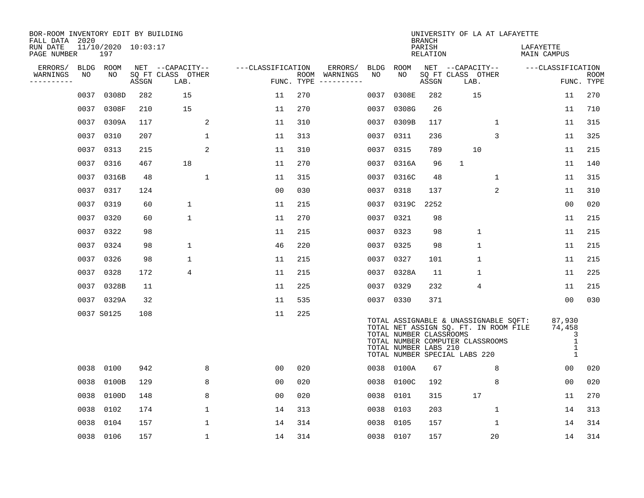| BOR-ROOM INVENTORY EDIT BY BUILDING<br>FALL DATA 2020 |      |                            |       |                           |                   |            |                              |      |                                                  | <b>BRANCH</b>      | UNIVERSITY OF LA AT LAFAYETTE                                                                                                                       |                                                            |                           |
|-------------------------------------------------------|------|----------------------------|-------|---------------------------|-------------------|------------|------------------------------|------|--------------------------------------------------|--------------------|-----------------------------------------------------------------------------------------------------------------------------------------------------|------------------------------------------------------------|---------------------------|
| RUN DATE<br>PAGE NUMBER                               |      | 11/10/2020 10:03:17<br>197 |       |                           |                   |            |                              |      |                                                  | PARISH<br>RELATION |                                                                                                                                                     | LAFAYETTE<br>MAIN CAMPUS                                   |                           |
| ERRORS/                                               |      | BLDG ROOM                  |       | NET --CAPACITY--          | ---CLASSIFICATION |            | ERRORS/                      | BLDG | ROOM                                             |                    | NET --CAPACITY--                                                                                                                                    | ---CLASSIFICATION                                          |                           |
| WARNINGS<br>----------                                | NO   | NO.                        | ASSGN | SQ FT CLASS OTHER<br>LAB. |                   | FUNC. TYPE | ROOM WARNINGS<br>----------- | NO   | NO.                                              | ASSGN              | SO FT CLASS OTHER<br>LAB.                                                                                                                           |                                                            | <b>ROOM</b><br>FUNC. TYPE |
|                                                       | 0037 | 0308D                      | 282   | 15                        | 11                | 270        |                              | 0037 | 0308E                                            | 282                | 15                                                                                                                                                  | 11                                                         | 270                       |
|                                                       | 0037 | 0308F                      | 210   | 15                        | 11                | 270        |                              | 0037 | 0308G                                            | 26                 |                                                                                                                                                     | 11                                                         | 710                       |
|                                                       | 0037 | 0309A                      | 117   | 2                         | 11                | 310        |                              | 0037 | 0309B                                            | 117                | 1                                                                                                                                                   | 11                                                         | 315                       |
|                                                       | 0037 | 0310                       | 207   | 1                         | 11                | 313        |                              |      | 0037 0311                                        | 236                | 3                                                                                                                                                   | 11                                                         | 325                       |
|                                                       | 0037 | 0313                       | 215   | 2                         | 11                | 310        |                              |      | 0037 0315                                        | 789                | 10                                                                                                                                                  | 11                                                         | 215                       |
|                                                       | 0037 | 0316                       | 467   | 18                        | 11                | 270        |                              |      | 0037 0316A                                       | 96                 | $\mathbf{1}$                                                                                                                                        | 11                                                         | 140                       |
|                                                       |      | 0037 0316B                 | 48    | $\mathbf{1}$              | 11                | 315        |                              |      | 0037 0316C                                       | 48                 | $\mathbf{1}$                                                                                                                                        | 11                                                         | 315                       |
|                                                       |      | 0037 0317                  | 124   |                           | 0 <sub>0</sub>    | 030        |                              |      | 0037 0318                                        | 137                | $\overline{2}$                                                                                                                                      | 11                                                         | 310                       |
|                                                       | 0037 | 0319                       | 60    | $\mathbf 1$               | 11                | 215        |                              |      | 0037 0319C                                       | 2252               |                                                                                                                                                     | 0 <sub>0</sub>                                             | 020                       |
|                                                       |      | 0037 0320                  | 60    | $\mathbf 1$               | 11                | 270        |                              |      | 0037 0321                                        | 98                 |                                                                                                                                                     | 11                                                         | 215                       |
|                                                       | 0037 | 0322                       | 98    |                           | 11                | 215        |                              |      | 0037 0323                                        | 98                 | $\mathbf{1}$                                                                                                                                        | 11                                                         | 215                       |
|                                                       |      | 0037 0324                  | 98    | $\mathbf 1$               | 46                | 220        |                              |      | 0037 0325                                        | 98                 | $\mathbf{1}$                                                                                                                                        | 11                                                         | 215                       |
|                                                       | 0037 | 0326                       | 98    | $\mathbf 1$               | 11                | 215        |                              |      | 0037 0327                                        | 101                | $\mathbf{1}$                                                                                                                                        | 11                                                         | 215                       |
|                                                       | 0037 | 0328                       | 172   | 4                         | 11                | 215        |                              |      | 0037 0328A                                       | 11                 | $\mathbf{1}$                                                                                                                                        | 11                                                         | 225                       |
|                                                       | 0037 | 0328B                      | 11    |                           | 11                | 225        |                              | 0037 | 0329                                             | 232                | 4                                                                                                                                                   | 11                                                         | 215                       |
|                                                       |      | 0037 0329A                 | 32    |                           | 11                | 535        |                              |      | 0037 0330                                        | 371                |                                                                                                                                                     | 00                                                         | 030                       |
|                                                       |      | 0037 S0125                 | 108   |                           | 11                | 225        |                              |      | TOTAL NUMBER CLASSROOMS<br>TOTAL NUMBER LABS 210 |                    | TOTAL ASSIGNABLE & UNASSIGNABLE SQFT:<br>TOTAL NET ASSIGN SQ. FT. IN ROOM FILE<br>TOTAL NUMBER COMPUTER CLASSROOMS<br>TOTAL NUMBER SPECIAL LABS 220 | 87,930<br>74,458<br>3<br>$\mathbf{1}$<br>$\mathbf{1}$<br>1 |                           |
|                                                       | 0038 | 0100                       | 942   | 8                         | 00                | 020        |                              |      | 0038 0100A                                       | 67                 | 8                                                                                                                                                   | 0 <sub>0</sub>                                             | 020                       |
|                                                       | 0038 | 0100B                      | 129   | 8                         | 0 <sub>0</sub>    | 020        |                              | 0038 | 0100C                                            | 192                | 8                                                                                                                                                   | 00                                                         | 020                       |
|                                                       | 0038 | 0100D                      | 148   | 8                         | 00                | 020        |                              | 0038 | 0101                                             | 315                | 17                                                                                                                                                  | 11                                                         | 270                       |
|                                                       | 0038 | 0102                       | 174   | 1                         | 14                | 313        |                              | 0038 | 0103                                             | 203                | $\mathbf 1$                                                                                                                                         | 14                                                         | 313                       |
|                                                       | 0038 | 0104                       | 157   | 1                         | 14                | 314        |                              | 0038 | 0105                                             | 157                | $\mathbf 1$                                                                                                                                         | 14                                                         | 314                       |
|                                                       |      | 0038 0106                  | 157   | $\mathbf{1}$              | 14                | 314        |                              |      | 0038 0107                                        | 157                | 20                                                                                                                                                  | 14                                                         | 314                       |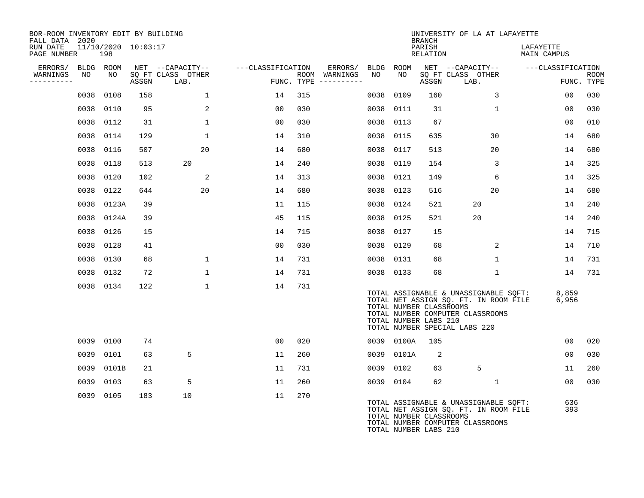| BOR-ROOM INVENTORY EDIT BY BUILDING<br>FALL DATA 2020 |              |                     |                           |                   |                                      |      |            | <b>BRANCH</b>                                    | UNIVERSITY OF LA AT LAFAYETTE                                                                                                                       |                          |                           |
|-------------------------------------------------------|--------------|---------------------|---------------------------|-------------------|--------------------------------------|------|------------|--------------------------------------------------|-----------------------------------------------------------------------------------------------------------------------------------------------------|--------------------------|---------------------------|
| RUN DATE<br>PAGE NUMBER                               | 198          | 11/10/2020 10:03:17 |                           |                   |                                      |      |            | PARISH<br>RELATION                               |                                                                                                                                                     | LAFAYETTE<br>MAIN CAMPUS |                           |
| ERRORS/                                               | BLDG ROOM    |                     | NET --CAPACITY--          | ---CLASSIFICATION | ERRORS/                              | BLDG | ROOM       |                                                  | NET --CAPACITY--                                                                                                                                    | ---CLASSIFICATION        |                           |
| WARNINGS<br>----------                                | NO<br>NO     | ASSGN               | SQ FT CLASS OTHER<br>LAB. |                   | ROOM WARNINGS<br>FUNC. TYPE $------$ | NO   | NO         | ASSGN                                            | SQ FT CLASS OTHER<br>LAB.                                                                                                                           |                          | <b>ROOM</b><br>FUNC. TYPE |
|                                                       | 0038<br>0108 | 158                 | 1                         | 14                | 315                                  | 0038 | 0109       | 160                                              | 3                                                                                                                                                   | 00                       | 030                       |
|                                                       | 0038 0110    | 95                  | 2                         | 00                | 030                                  | 0038 | 0111       | 31                                               | $\mathbf{1}$                                                                                                                                        | 00                       | 030                       |
|                                                       | 0038 0112    | 31                  | $\mathbf{1}$              | 00                | 030                                  | 0038 | 0113       | 67                                               |                                                                                                                                                     | 0 <sub>0</sub>           | 010                       |
|                                                       | 0038<br>0114 | 129                 | $\mathbf{1}$              | 14                | 310                                  | 0038 | 0115       | 635                                              | 30                                                                                                                                                  | 14                       | 680                       |
|                                                       | 0038 0116    | 507                 | 20                        | 14                | 680                                  | 0038 | 0117       | 513                                              | 20                                                                                                                                                  | 14                       | 680                       |
|                                                       | 0038 0118    | 513                 | 20                        | 14                | 240                                  | 0038 | 0119       | 154                                              | 3                                                                                                                                                   | 14                       | 325                       |
|                                                       | 0038 0120    | 102                 | 2                         | 14                | 313                                  | 0038 | 0121       | 149                                              | 6                                                                                                                                                   | 14                       | 325                       |
|                                                       | 0038 0122    | 644                 | 20                        | 14                | 680                                  | 0038 | 0123       | 516                                              | 20                                                                                                                                                  | 14                       | 680                       |
|                                                       | 0038 0123A   | 39                  |                           | 11                | 115                                  |      | 0038 0124  | 521                                              | 20                                                                                                                                                  | 14                       | 240                       |
|                                                       | 0038 0124A   | 39                  |                           | 45                | 115                                  |      | 0038 0125  | 521                                              | 20                                                                                                                                                  | 14                       | 240                       |
|                                                       | 0038 0126    | 15                  |                           | 14                | 715                                  |      | 0038 0127  | 15                                               |                                                                                                                                                     | 14                       | 715                       |
|                                                       | 0038<br>0128 | 41                  |                           | 00                | 030                                  | 0038 | 0129       | 68                                               | 2                                                                                                                                                   | 14                       | 710                       |
|                                                       | 0038 0130    | 68                  | $\mathbf{1}$              | 14                | 731                                  | 0038 | 0131       | 68                                               | $\mathbf{1}$                                                                                                                                        | 14                       | 731                       |
|                                                       | 0038 0132    | 72                  | $\mathbf{1}$              | 14                | 731                                  |      | 0038 0133  | 68                                               | $\mathbf{1}$                                                                                                                                        | 14                       | 731                       |
|                                                       | 0038 0134    | 122                 | $\mathbf 1$               | 14                | 731                                  |      |            | TOTAL NUMBER CLASSROOMS<br>TOTAL NUMBER LABS 210 | TOTAL ASSIGNABLE & UNASSIGNABLE SQFT:<br>TOTAL NET ASSIGN SQ. FT. IN ROOM FILE<br>TOTAL NUMBER COMPUTER CLASSROOMS<br>TOTAL NUMBER SPECIAL LABS 220 | 8,859<br>6,956           |                           |
|                                                       | 0039 0100    | 74                  |                           | 00                | 020                                  |      | 0039 0100A | 105                                              |                                                                                                                                                     | 00                       | 020                       |
|                                                       | 0101<br>0039 | 63                  | 5                         | 11                | 260                                  | 0039 | 0101A      | 2                                                |                                                                                                                                                     | 0 <sub>0</sub>           | 030                       |
|                                                       | 0039 0101B   | 21                  |                           | 11                | 731                                  | 0039 | 0102       | 63                                               | 5                                                                                                                                                   | 11                       | 260                       |
|                                                       | 0039<br>0103 | 63                  | 5                         | 11                | 260                                  |      | 0039 0104  | 62                                               | 1                                                                                                                                                   | 0 <sub>0</sub>           | 030                       |
|                                                       | 0039 0105    | 183                 | 10                        | 11                | 270                                  |      |            | TOTAL NUMBER CLASSROOMS<br>TOTAL NUMBER LABS 210 | TOTAL ASSIGNABLE & UNASSIGNABLE SQFT:<br>TOTAL NET ASSIGN SQ. FT. IN ROOM FILE<br>TOTAL NUMBER COMPUTER CLASSROOMS                                  | 636<br>393               |                           |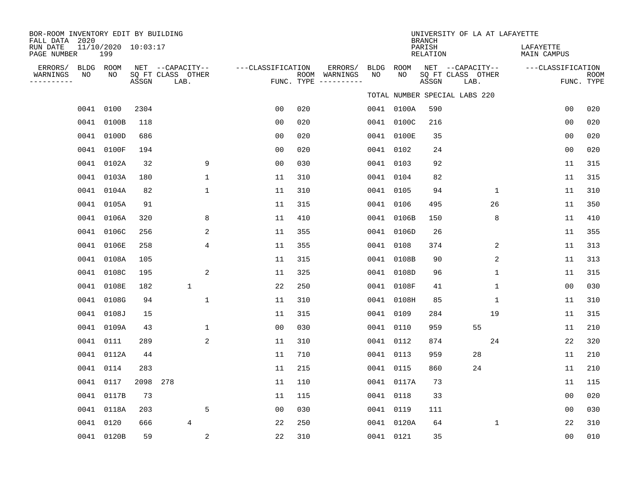| BOR-ROOM INVENTORY EDIT BY BUILDING<br>FALL DATA 2020 |    |                            |       |                                               |                   |     |                                                 |            |            | <b>BRANCH</b>      | UNIVERSITY OF LA AT LAFAYETTE                 |              |                          |                           |
|-------------------------------------------------------|----|----------------------------|-------|-----------------------------------------------|-------------------|-----|-------------------------------------------------|------------|------------|--------------------|-----------------------------------------------|--------------|--------------------------|---------------------------|
| RUN DATE<br>PAGE NUMBER                               |    | 11/10/2020 10:03:17<br>199 |       |                                               |                   |     |                                                 |            |            | PARISH<br>RELATION |                                               |              | LAFAYETTE<br>MAIN CAMPUS |                           |
| ERRORS/<br>WARNINGS<br>----------                     | NO | BLDG ROOM<br>NO            | ASSGN | NET --CAPACITY--<br>SQ FT CLASS OTHER<br>LAB. | ---CLASSIFICATION |     | ERRORS/<br>ROOM WARNINGS<br>FUNC. TYPE $------$ | BLDG<br>NO | ROOM<br>NO | ASSGN              | NET --CAPACITY--<br>SQ FT CLASS OTHER<br>LAB. |              | ---CLASSIFICATION        | <b>ROOM</b><br>FUNC. TYPE |
|                                                       |    |                            |       |                                               |                   |     |                                                 |            |            |                    | TOTAL NUMBER SPECIAL LABS 220                 |              |                          |                           |
|                                                       |    | 0041 0100                  | 2304  |                                               | 0 <sub>0</sub>    | 020 |                                                 |            | 0041 0100A | 590                |                                               |              | 0 <sub>0</sub>           | 020                       |
|                                                       |    | 0041 0100B                 | 118   |                                               | 0 <sub>0</sub>    | 020 |                                                 |            | 0041 0100C | 216                |                                               |              | 0 <sub>0</sub>           | 020                       |
|                                                       |    | 0041 0100D                 | 686   |                                               | 0 <sub>0</sub>    | 020 |                                                 |            | 0041 0100E | 35                 |                                               |              | 0 <sub>0</sub>           | 020                       |
|                                                       |    | 0041 0100F                 | 194   |                                               | 0 <sub>0</sub>    | 020 |                                                 |            | 0041 0102  | 24                 |                                               |              | 0 <sub>0</sub>           | 020                       |
|                                                       |    | 0041 0102A                 | 32    | 9                                             | 0 <sub>0</sub>    | 030 |                                                 |            | 0041 0103  | 92                 |                                               |              | 11                       | 315                       |
|                                                       |    | 0041 0103A                 | 180   | 1                                             | 11                | 310 |                                                 |            | 0041 0104  | 82                 |                                               |              | 11                       | 315                       |
|                                                       |    | 0041 0104A                 | 82    | $\mathbf{1}$                                  | 11                | 310 |                                                 |            | 0041 0105  | 94                 |                                               | $\mathbf{1}$ | 11                       | 310                       |
|                                                       |    | 0041 0105A                 | 91    |                                               | 11                | 315 |                                                 | 0041       | 0106       | 495                |                                               | 26           | 11                       | 350                       |
|                                                       |    | 0041 0106A                 | 320   | 8                                             | 11                | 410 |                                                 |            | 0041 0106B | 150                |                                               | 8            | 11                       | 410                       |
|                                                       |    | 0041 0106C                 | 256   | 2                                             | 11                | 355 |                                                 |            | 0041 0106D | 26                 |                                               |              | 11                       | 355                       |
|                                                       |    | 0041 0106E                 | 258   | 4                                             | 11                | 355 |                                                 |            | 0041 0108  | 374                |                                               | 2            | 11                       | 313                       |
|                                                       |    | 0041 0108A                 | 105   |                                               | 11                | 315 |                                                 |            | 0041 0108B | 90                 |                                               | 2            | 11                       | 313                       |
|                                                       |    | 0041 0108C                 | 195   | 2                                             | 11                | 325 |                                                 |            | 0041 0108D | 96                 |                                               | $\mathbf{1}$ | 11                       | 315                       |
|                                                       |    | 0041 0108E                 | 182   | $\mathbf{1}$                                  | 22                | 250 |                                                 |            | 0041 0108F | 41                 |                                               | $\mathbf{1}$ | 0 <sub>0</sub>           | 030                       |
|                                                       |    | 0041 0108G                 | 94    | $\mathbf{1}$                                  | 11                | 310 |                                                 |            | 0041 0108H | 85                 |                                               | $\mathbf{1}$ | 11                       | 310                       |
|                                                       |    | 0041 0108J                 | 15    |                                               | 11                | 315 |                                                 |            | 0041 0109  | 284                |                                               | 19           | 11                       | 315                       |
|                                                       |    | 0041 0109A                 | 43    | $\mathbf{1}$                                  | 0 <sub>0</sub>    | 030 |                                                 |            | 0041 0110  | 959                | 55                                            |              | 11                       | 210                       |
|                                                       |    | 0041 0111                  | 289   | 2                                             | 11                | 310 |                                                 |            | 0041 0112  | 874                |                                               | 24           | 22                       | 320                       |
|                                                       |    | 0041 0112A                 | 44    |                                               | 11                | 710 |                                                 |            | 0041 0113  | 959                | 28                                            |              | 11                       | 210                       |
|                                                       |    | 0041 0114                  | 283   |                                               | 11                | 215 |                                                 |            | 0041 0115  | 860                | 24                                            |              | 11                       | 210                       |
|                                                       |    | 0041 0117                  | 2098  | 278                                           | 11                | 110 |                                                 |            | 0041 0117A | 73                 |                                               |              | 11                       | 115                       |
|                                                       |    | 0041 0117B                 | 73    |                                               | 11                | 115 |                                                 |            | 0041 0118  | 33                 |                                               |              | 0 <sub>0</sub>           | 020                       |
|                                                       |    | 0041 0118A                 | 203   | 5                                             | 00                | 030 |                                                 |            | 0041 0119  | 111                |                                               |              | 0 <sub>0</sub>           | 030                       |
|                                                       |    | 0041 0120                  | 666   | $\overline{4}$                                | 22                | 250 |                                                 |            | 0041 0120A | 64                 |                                               | $\mathbf 1$  | 22                       | 310                       |
|                                                       |    | 0041 0120B                 | 59    | 2                                             | 22                | 310 |                                                 |            | 0041 0121  | 35                 |                                               |              | 0 <sub>0</sub>           | 010                       |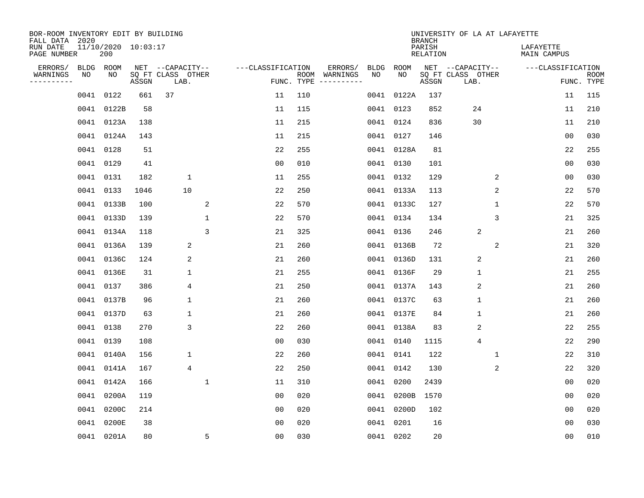| BOR-ROOM INVENTORY EDIT BY BUILDING<br>FALL DATA 2020 |           |                            |       |                           |                |                   |            |               |      |            | <b>BRANCH</b>             | UNIVERSITY OF LA AT LAFAYETTE |   |                          |                           |
|-------------------------------------------------------|-----------|----------------------------|-------|---------------------------|----------------|-------------------|------------|---------------|------|------------|---------------------------|-------------------------------|---|--------------------------|---------------------------|
| RUN DATE<br>PAGE NUMBER                               |           | 11/10/2020 10:03:17<br>200 |       |                           |                |                   |            |               |      |            | PARISH<br><b>RELATION</b> |                               |   | LAFAYETTE<br>MAIN CAMPUS |                           |
| ERRORS/                                               | BLDG ROOM |                            |       | NET --CAPACITY--          |                | ---CLASSIFICATION |            | ERRORS/       | BLDG | ROOM       |                           | NET --CAPACITY--              |   | ---CLASSIFICATION        |                           |
| WARNINGS<br>---------                                 | NO        | NO                         | ASSGN | SQ FT CLASS OTHER<br>LAB. |                |                   | FUNC. TYPE | ROOM WARNINGS | NO   | NO         | ASSGN                     | SQ FT CLASS OTHER<br>LAB.     |   |                          | <b>ROOM</b><br>FUNC. TYPE |
|                                                       | 0041 0122 |                            | 661   | 37                        |                | 11                | 110        |               |      | 0041 0122A | 137                       |                               |   | 11                       | 115                       |
|                                                       |           | 0041 0122B                 | 58    |                           |                | 11                | 115        |               |      | 0041 0123  | 852                       | 24                            |   | 11                       | 210                       |
|                                                       |           | 0041 0123A                 | 138   |                           |                | 11                | 215        |               |      | 0041 0124  | 836                       | 30                            |   | 11                       | 210                       |
|                                                       |           | 0041 0124A                 | 143   |                           |                | 11                | 215        |               |      | 0041 0127  | 146                       |                               |   | 0 <sub>0</sub>           | 030                       |
|                                                       | 0041 0128 |                            | 51    |                           |                | 22                | 255        |               |      | 0041 0128A | 81                        |                               |   | 22                       | 255                       |
|                                                       | 0041 0129 |                            | 41    |                           |                | 0 <sub>0</sub>    | 010        |               |      | 0041 0130  | 101                       |                               |   | 0 <sub>0</sub>           | 030                       |
|                                                       | 0041 0131 |                            | 182   | $\mathbf{1}$              |                | 11                | 255        |               |      | 0041 0132  | 129                       |                               | 2 | 0 <sub>0</sub>           | 030                       |
|                                                       | 0041 0133 |                            | 1046  | 10                        |                | 22                | 250        |               |      | 0041 0133A | 113                       |                               | 2 | 22                       | 570                       |
|                                                       |           | 0041 0133B                 | 100   |                           | 2              | 22                | 570        |               |      | 0041 0133C | 127                       |                               | 1 | 22                       | 570                       |
|                                                       |           | 0041 0133D                 | 139   |                           | $\mathbf{1}$   | 22                | 570        |               |      | 0041 0134  | 134                       |                               | 3 | 21                       | 325                       |
|                                                       |           | 0041 0134A                 | 118   |                           | $\overline{3}$ | 21                | 325        |               | 0041 | 0136       | 246                       | $\sqrt{2}$                    |   | 21                       | 260                       |
|                                                       |           | 0041 0136A                 | 139   | 2                         |                | 21                | 260        |               |      | 0041 0136B | 72                        |                               | 2 | 21                       | 320                       |
|                                                       |           | 0041 0136C                 | 124   | 2                         |                | 21                | 260        |               | 0041 | 0136D      | 131                       | 2                             |   | 21                       | 260                       |
|                                                       |           | 0041 0136E                 | 31    | $\mathbf 1$               |                | 21                | 255        |               |      | 0041 0136F | 29                        | $\mathbf 1$                   |   | 21                       | 255                       |
|                                                       | 0041 0137 |                            | 386   | 4                         |                | 21                | 250        |               |      | 0041 0137A | 143                       | 2                             |   | 21                       | 260                       |
|                                                       |           | 0041 0137B                 | 96    | $\mathbf 1$               |                | 21                | 260        |               |      | 0041 0137C | 63                        | $\mathbf{1}$                  |   | 21                       | 260                       |
|                                                       |           | 0041 0137D                 | 63    | 1                         |                | 21                | 260        |               |      | 0041 0137E | 84                        | $\mathbf{1}$                  |   | 21                       | 260                       |
|                                                       | 0041 0138 |                            | 270   | 3                         |                | 22                | 260        |               |      | 0041 0138A | 83                        | 2                             |   | 22                       | 255                       |
|                                                       | 0041 0139 |                            | 108   |                           |                | 0 <sub>0</sub>    | 030        |               |      | 0041 0140  | 1115                      | $\overline{4}$                |   | 22                       | 290                       |
|                                                       |           | 0041 0140A                 | 156   | 1                         |                | 22                | 260        |               |      | 0041 0141  | 122                       |                               | 1 | 22                       | 310                       |
|                                                       |           | 0041 0141A                 | 167   | 4                         |                | 22                | 250        |               |      | 0041 0142  | 130                       |                               | 2 | 22                       | 320                       |
|                                                       |           | 0041 0142A                 | 166   |                           | $\mathbf 1$    | 11                | 310        |               |      | 0041 0200  | 2439                      |                               |   | 0 <sub>0</sub>           | 020                       |
|                                                       |           | 0041 0200A                 | 119   |                           |                | 0 <sub>0</sub>    | 020        |               |      | 0041 0200B | 1570                      |                               |   | 0 <sub>0</sub>           | 020                       |
|                                                       |           | 0041 0200C                 | 214   |                           |                | 0 <sub>0</sub>    | 020        |               |      | 0041 0200D | 102                       |                               |   | 00                       | 020                       |
|                                                       | 0041      | 0200E                      | 38    |                           |                | 0 <sub>0</sub>    | 020        |               |      | 0041 0201  | 16                        |                               |   | 0 <sub>0</sub>           | 030                       |
|                                                       |           | 0041 0201A                 | 80    |                           | 5              | 0 <sub>0</sub>    | 030        |               |      | 0041 0202  | 20                        |                               |   | 0 <sub>0</sub>           | 010                       |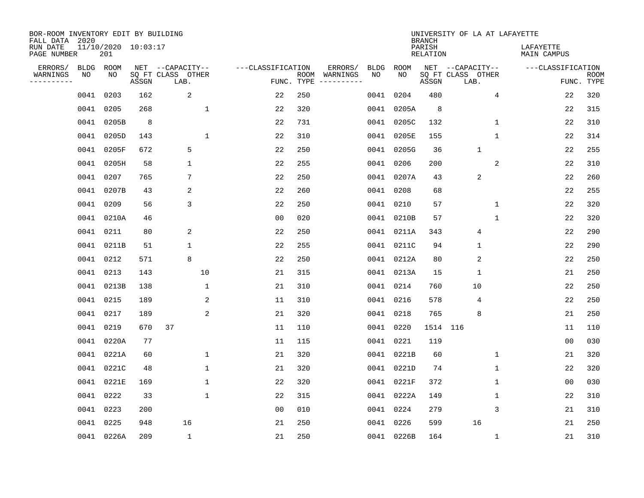| BOR-ROOM INVENTORY EDIT BY BUILDING<br>FALL DATA 2020 |             |                            |       |                           |                   |                    |                        |            | <b>BRANCH</b>             | UNIVERSITY OF LA AT LAFAYETTE |                          |                           |
|-------------------------------------------------------|-------------|----------------------------|-------|---------------------------|-------------------|--------------------|------------------------|------------|---------------------------|-------------------------------|--------------------------|---------------------------|
| RUN DATE<br>PAGE NUMBER                               |             | 11/10/2020 10:03:17<br>201 |       |                           |                   |                    |                        |            | PARISH<br><b>RELATION</b> |                               | LAFAYETTE<br>MAIN CAMPUS |                           |
| ERRORS/                                               | <b>BLDG</b> | ROOM                       |       | NET --CAPACITY--          | ---CLASSIFICATION |                    | ERRORS/<br><b>BLDG</b> | ROOM       |                           | NET --CAPACITY--              | ---CLASSIFICATION        |                           |
| WARNINGS<br>---------                                 | NO          | NO                         | ASSGN | SQ FT CLASS OTHER<br>LAB. |                   | ROOM<br>FUNC. TYPE | WARNINGS<br>NO         | NO.        | ASSGN                     | SQ FT CLASS OTHER<br>LAB.     |                          | <b>ROOM</b><br>FUNC. TYPE |
|                                                       | 0041        | 0203                       | 162   | 2                         | 22                | 250                | 0041                   | 0204       | 480                       | 4                             | 22                       | 320                       |
|                                                       | 0041        | 0205                       | 268   | $\mathbf 1$               | 22                | 320                |                        | 0041 0205A | 8                         |                               | 22                       | 315                       |
|                                                       | 0041        | 0205B                      | 8     |                           | 22                | 731                |                        | 0041 0205C | 132                       | $\mathbf{1}$                  | 22                       | 310                       |
|                                                       | 0041        | 0205D                      | 143   | $\mathbf{1}$              | 22                | 310                |                        | 0041 0205E | 155                       | $\mathbf{1}$                  | 22                       | 314                       |
|                                                       | 0041        | 0205F                      | 672   | 5                         | 22                | 250                |                        | 0041 0205G | 36                        | 1                             | 22                       | 255                       |
|                                                       | 0041        | 0205H                      | 58    | $\mathbf 1$               | 22                | 255                |                        | 0041 0206  | 200                       | 2                             | 22                       | 310                       |
|                                                       | 0041        | 0207                       | 765   | 7                         | 22                | 250                |                        | 0041 0207A | 43                        | 2                             | 22                       | 260                       |
|                                                       | 0041        | 0207B                      | 43    | 2                         | 22                | 260                |                        | 0041 0208  | 68                        |                               | 22                       | 255                       |
|                                                       | 0041        | 0209                       | 56    | 3                         | 22                | 250                | 0041                   | 0210       | 57                        | $\mathbf 1$                   | 22                       | 320                       |
|                                                       | 0041        | 0210A                      | 46    |                           | 0 <sub>0</sub>    | 020                |                        | 0041 0210B | 57                        | $\mathbf 1$                   | 22                       | 320                       |
|                                                       | 0041        | 0211                       | 80    | 2                         | 22                | 250                | 0041                   | 0211A      | 343                       | 4                             | 22                       | 290                       |
|                                                       | 0041        | 0211B                      | 51    | $\mathbf 1$               | 22                | 255                |                        | 0041 0211C | 94                        | 1                             | 22                       | 290                       |
|                                                       | 0041        | 0212                       | 571   | 8                         | 22                | 250                | 0041                   | 0212A      | 80                        | 2                             | 22                       | 250                       |
|                                                       | 0041        | 0213                       | 143   | 10                        | 21                | 315                | 0041                   | 0213A      | 15                        | $\mathbf{1}$                  | 21                       | 250                       |
|                                                       | 0041        | 0213B                      | 138   | 1                         | 21                | 310                | 0041                   | 0214       | 760                       | 10                            | 22                       | 250                       |
|                                                       | 0041        | 0215                       | 189   | 2                         | 11                | 310                | 0041                   | 0216       | 578                       | 4                             | 22                       | 250                       |
|                                                       | 0041        | 0217                       | 189   | 2                         | 21                | 320                | 0041                   | 0218       | 765                       | 8                             | 21                       | 250                       |
|                                                       | 0041        | 0219                       | 670   | 37                        | 11                | 110                | 0041                   | 0220       | 1514 116                  |                               | 11                       | 110                       |
|                                                       | 0041        | 0220A                      | 77    |                           | 11                | 115                | 0041                   | 0221       | 119                       |                               | 0 <sub>0</sub>           | 030                       |
|                                                       | 0041        | 0221A                      | 60    | $\mathbf{1}$              | 21                | 320                |                        | 0041 0221B | 60                        | 1                             | 21                       | 320                       |
|                                                       | 0041        | 0221C                      | 48    | 1                         | 21                | 320                |                        | 0041 0221D | 74                        | 1                             | 22                       | 320                       |
|                                                       | 0041        | 0221E                      | 169   | $\mathbf{1}$              | 22                | 320                | 0041                   | 0221F      | 372                       | $\mathbf 1$                   | 00                       | 030                       |
|                                                       | 0041        | 0222                       | 33    | $\mathbf{1}$              | 22                | 315                |                        | 0041 0222A | 149                       | 1                             | 22                       | 310                       |
|                                                       | 0041        | 0223                       | 200   |                           | 0 <sub>0</sub>    | 010                | 0041                   | 0224       | 279                       | 3                             | 21                       | 310                       |
|                                                       | 0041        | 0225                       | 948   | 16                        | 21                | 250                | 0041                   | 0226       | 599                       | 16                            | 21                       | 250                       |
|                                                       |             | 0041 0226A                 | 209   | $\mathbf 1$               | 21                | 250                |                        | 0041 0226B | 164                       | $\mathbf 1$                   | 21                       | 310                       |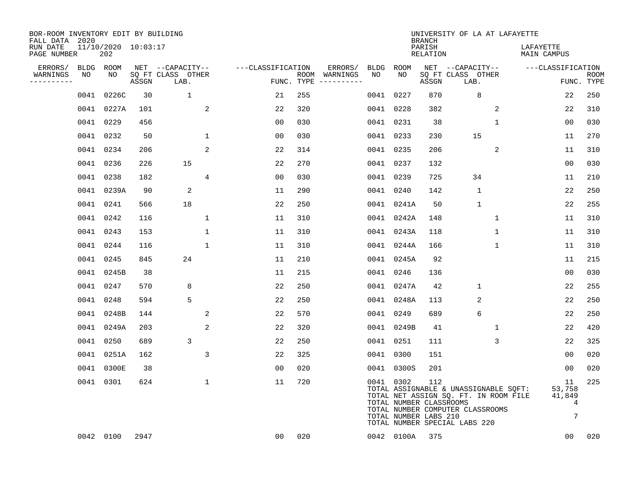| BOR-ROOM INVENTORY EDIT BY BUILDING<br>FALL DATA 2020 |      |                            |       |                           |                   |            |                              |      |            | <b>BRANCH</b>                                           | UNIVERSITY OF LA AT LAFAYETTE                                                                                                                       |              |                                 |                            |
|-------------------------------------------------------|------|----------------------------|-------|---------------------------|-------------------|------------|------------------------------|------|------------|---------------------------------------------------------|-----------------------------------------------------------------------------------------------------------------------------------------------------|--------------|---------------------------------|----------------------------|
| RUN DATE<br>PAGE NUMBER                               |      | 11/10/2020 10:03:17<br>202 |       |                           |                   |            |                              |      |            | PARISH<br>RELATION                                      |                                                                                                                                                     |              | LAFAYETTE<br><b>MAIN CAMPUS</b> |                            |
| ERRORS/                                               |      | BLDG ROOM                  |       | NET --CAPACITY--          | ---CLASSIFICATION |            | ERRORS/                      | BLDG | ROOM       |                                                         | NET --CAPACITY--                                                                                                                                    |              | ---CLASSIFICATION               |                            |
| WARNINGS<br>----------                                | NO   | NO                         | ASSGN | SQ FT CLASS OTHER<br>LAB. |                   | FUNC. TYPE | ROOM WARNINGS<br>----------- | NO   | NO         | ASSGN                                                   | SQ FT CLASS OTHER<br>LAB.                                                                                                                           |              |                                 | <b>ROOM</b><br>FUNC. TYPE  |
|                                                       | 0041 | 0226C                      | 30    | $\mathbf{1}$              | 21                | 255        |                              |      | 0041 0227  | 870                                                     | 8                                                                                                                                                   |              | 22                              | 250                        |
|                                                       |      | 0041 0227A                 | 101   | 2                         | 22                | 320        |                              |      | 0041 0228  | 382                                                     |                                                                                                                                                     | 2            | 22                              | 310                        |
|                                                       |      | 0041 0229                  | 456   |                           | 00                | 030        |                              |      | 0041 0231  | 38                                                      |                                                                                                                                                     | $\mathbf{1}$ | 00                              | 030                        |
|                                                       |      | 0041 0232                  | 50    | $\mathbf{1}$              | 0 <sub>0</sub>    | 030        |                              |      | 0041 0233  | 230                                                     | 15                                                                                                                                                  |              | 11                              | 270                        |
|                                                       |      | 0041 0234                  | 206   | 2                         | 22                | 314        |                              |      | 0041 0235  | 206                                                     |                                                                                                                                                     | 2            | 11                              | 310                        |
|                                                       |      | 0041 0236                  | 226   | 15                        | 22                | 270        |                              |      | 0041 0237  | 132                                                     |                                                                                                                                                     |              | 0 <sub>0</sub>                  | 030                        |
|                                                       |      | 0041 0238                  | 182   | 4                         | 00                | 030        |                              |      | 0041 0239  | 725                                                     | 34                                                                                                                                                  |              | 11                              | 210                        |
|                                                       |      | 0041 0239A                 | 90    | 2                         | 11                | 290        |                              |      | 0041 0240  | 142                                                     | $\mathbf{1}$                                                                                                                                        |              | 22                              | 250                        |
|                                                       |      | 0041 0241                  | 566   | 18                        | 22                | 250        |                              |      | 0041 0241A | 50                                                      | $\mathbf{1}$                                                                                                                                        |              | 22                              | 255                        |
|                                                       |      | 0041 0242                  | 116   | 1                         | 11                | 310        |                              |      | 0041 0242A | 148                                                     |                                                                                                                                                     | 1            | 11                              | 310                        |
|                                                       |      | 0041 0243                  | 153   | 1                         | 11                | 310        |                              |      | 0041 0243A | 118                                                     |                                                                                                                                                     | 1            | 11                              | 310                        |
|                                                       | 0041 | 0244                       | 116   | $\mathbf{1}$              | 11                | 310        |                              |      | 0041 0244A | 166                                                     |                                                                                                                                                     | $\mathbf 1$  | 11                              | 310                        |
|                                                       | 0041 | 0245                       | 845   | 24                        | 11                | 210        |                              |      | 0041 0245A | 92                                                      |                                                                                                                                                     |              | 11                              | 215                        |
|                                                       | 0041 | 0245B                      | 38    |                           | 11                | 215        |                              |      | 0041 0246  | 136                                                     |                                                                                                                                                     |              | 0 <sub>0</sub>                  | 030                        |
|                                                       |      | 0041 0247                  | 570   | 8                         | 22                | 250        |                              |      | 0041 0247A | 42                                                      | $\mathbf{1}$                                                                                                                                        |              | 22                              | 255                        |
|                                                       | 0041 | 0248                       | 594   | 5                         | 22                | 250        |                              |      | 0041 0248A | 113                                                     | 2                                                                                                                                                   |              | 22                              | 250                        |
|                                                       | 0041 | 0248B                      | 144   | 2                         | 22                | 570        |                              |      | 0041 0249  | 689                                                     | 6                                                                                                                                                   |              | 22                              | 250                        |
|                                                       | 0041 | 0249A                      | 203   | 2                         | 22                | 320        |                              |      | 0041 0249B | 41                                                      |                                                                                                                                                     | 1            | 22                              | 420                        |
|                                                       |      | 0041 0250                  | 689   | 3                         | 22                | 250        |                              |      | 0041 0251  | 111                                                     |                                                                                                                                                     | 3            | 22                              | 325                        |
|                                                       |      | 0041 0251A                 | 162   | 3                         | 22                | 325        |                              |      | 0041 0300  | 151                                                     |                                                                                                                                                     |              | 0 <sub>0</sub>                  | 020                        |
|                                                       |      | 0041 0300E                 | 38    |                           | 0 <sub>0</sub>    | 020        |                              |      | 0041 0300S | 201                                                     |                                                                                                                                                     |              | 00                              | 020                        |
|                                                       |      | 0041 0301                  | 624   | $\mathbf 1$               | 11                | 720        |                              |      | 0041 0302  | 112<br>TOTAL NUMBER CLASSROOMS<br>TOTAL NUMBER LABS 210 | TOTAL ASSIGNABLE & UNASSIGNABLE SQFT:<br>TOTAL NET ASSIGN SQ. FT. IN ROOM FILE<br>TOTAL NUMBER COMPUTER CLASSROOMS<br>TOTAL NUMBER SPECIAL LABS 220 |              | 11<br>53,758<br>41,849          | 225<br>$\overline{4}$<br>7 |
|                                                       |      | 0042 0100                  | 2947  |                           | 00                | 020        |                              |      | 0042 0100A | 375                                                     |                                                                                                                                                     |              | 0 <sub>0</sub>                  | 020                        |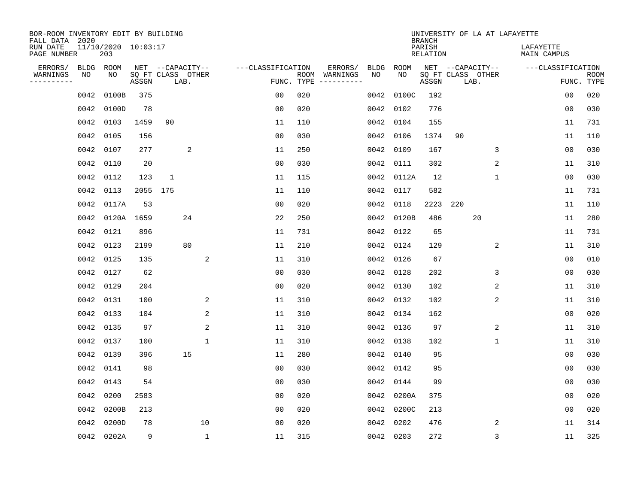| BOR-ROOM INVENTORY EDIT BY BUILDING<br>FALL DATA 2020 |             |                            |          |                   |      |                |                   |                    |          |             |             | <b>BRANCH</b>             |                           |             | UNIVERSITY OF LA AT LAFAYETTE   |                |                           |
|-------------------------------------------------------|-------------|----------------------------|----------|-------------------|------|----------------|-------------------|--------------------|----------|-------------|-------------|---------------------------|---------------------------|-------------|---------------------------------|----------------|---------------------------|
| RUN DATE<br>PAGE NUMBER                               |             | 11/10/2020 10:03:17<br>203 |          |                   |      |                |                   |                    |          |             |             | PARISH<br><b>RELATION</b> |                           |             | LAFAYETTE<br><b>MAIN CAMPUS</b> |                |                           |
| ERRORS/                                               | <b>BLDG</b> | ROOM                       |          | NET --CAPACITY--  |      |                | ---CLASSIFICATION |                    | ERRORS/  | <b>BLDG</b> | <b>ROOM</b> |                           | NET --CAPACITY--          |             | ---CLASSIFICATION               |                |                           |
| WARNINGS<br>----------                                | NO          | NO                         | ASSGN    | SQ FT CLASS OTHER | LAB. |                |                   | ROOM<br>FUNC. TYPE | WARNINGS | NO          | NO          | ASSGN                     | SQ FT CLASS OTHER<br>LAB. |             |                                 |                | <b>ROOM</b><br>FUNC. TYPE |
|                                                       | 0042        | 0100B                      | 375      |                   |      |                | 00                | 020                |          | 0042        | 0100C       | 192                       |                           |             |                                 | 00             | 020                       |
|                                                       | 0042        | 0100D                      | 78       |                   |      |                | 0 <sub>0</sub>    | 020                |          | 0042        | 0102        | 776                       |                           |             |                                 | 00             | 030                       |
|                                                       | 0042        | 0103                       | 1459     | 90                |      |                | 11                | 110                |          | 0042        | 0104        | 155                       |                           |             |                                 | 11             | 731                       |
|                                                       | 0042        | 0105                       | 156      |                   |      |                | 0 <sub>0</sub>    | 030                |          | 0042        | 0106        | 1374                      | 90                        |             |                                 | 11             | 110                       |
|                                                       | 0042        | 0107                       | 277      |                   | 2    |                | 11                | 250                |          | 0042        | 0109        | 167                       |                           | 3           |                                 | 0 <sub>0</sub> | 030                       |
|                                                       | 0042        | 0110                       | 20       |                   |      |                | 0 <sub>0</sub>    | 030                |          | 0042        | 0111        | 302                       |                           | 2           |                                 | 11             | 310                       |
|                                                       | 0042        | 0112                       | 123      | $\mathbf{1}$      |      |                | 11                | 115                |          | 0042        | 0112A       | 12                        |                           | $\mathbf 1$ |                                 | 0 <sub>0</sub> | 030                       |
|                                                       | 0042        | 0113                       | 2055 175 |                   |      |                | 11                | 110                |          | 0042        | 0117        | 582                       |                           |             |                                 | 11             | 731                       |
|                                                       | 0042        | 0117A                      | 53       |                   |      |                | 0 <sub>0</sub>    | 020                |          | 0042        | 0118        | 2223                      | 220                       |             |                                 | 11             | 110                       |
|                                                       | 0042        | 0120A                      | 1659     |                   | 24   |                | 22                | 250                |          | 0042        | 0120B       | 486                       |                           | 20          |                                 | 11             | 280                       |
|                                                       | 0042        | 0121                       | 896      |                   |      |                | 11                | 731                |          | 0042        | 0122        | 65                        |                           |             |                                 | 11             | 731                       |
|                                                       | 0042        | 0123                       | 2199     |                   | 80   |                | 11                | 210                |          | 0042        | 0124        | 129                       |                           | 2           |                                 | 11             | 310                       |
|                                                       | 0042        | 0125                       | 135      |                   |      | $\overline{c}$ | 11                | 310                |          | 0042        | 0126        | 67                        |                           |             |                                 | 0 <sub>0</sub> | 010                       |
|                                                       | 0042        | 0127                       | 62       |                   |      |                | 0 <sub>0</sub>    | 030                |          | 0042        | 0128        | 202                       |                           | 3           |                                 | 0 <sub>0</sub> | 030                       |
|                                                       | 0042 0129   |                            | 204      |                   |      |                | 0 <sub>0</sub>    | 020                |          |             | 0042 0130   | 102                       |                           | 2           |                                 | 11             | 310                       |
|                                                       | 0042        | 0131                       | 100      |                   |      | 2              | 11                | 310                |          |             | 0042 0132   | 102                       |                           | 2           |                                 | 11             | 310                       |
|                                                       | 0042        | 0133                       | 104      |                   |      | 2              | 11                | 310                |          |             | 0042 0134   | 162                       |                           |             |                                 | 0 <sub>0</sub> | 020                       |
|                                                       | 0042        | 0135                       | 97       |                   |      | 2              | 11                | 310                |          | 0042        | 0136        | 97                        |                           | 2           |                                 | 11             | 310                       |
|                                                       | 0042        | 0137                       | 100      |                   | 1    |                | 11                | 310                |          |             | 0042 0138   | 102                       |                           | 1           |                                 | 11             | 310                       |
|                                                       | 0042        | 0139                       | 396      |                   | 15   |                | 11                | 280                |          |             | 0042 0140   | 95                        |                           |             |                                 | 00             | 030                       |
|                                                       | 0042        | 0141                       | 98       |                   |      |                | 0 <sub>0</sub>    | 030                |          |             | 0042 0142   | 95                        |                           |             |                                 | 0 <sub>0</sub> | 030                       |
|                                                       | 0042        | 0143                       | 54       |                   |      |                | 00                | 030                |          | 0042        | 0144        | 99                        |                           |             |                                 | 00             | 030                       |
|                                                       | 0042        | 0200                       | 2583     |                   |      |                | 0 <sub>0</sub>    | 020                |          | 0042        | 0200A       | 375                       |                           |             |                                 | 0 <sub>0</sub> | 020                       |
|                                                       | 0042        | 0200B                      | 213      |                   |      |                | 0 <sub>0</sub>    | 020                |          | 0042        | 0200C       | 213                       |                           |             |                                 | 0 <sub>0</sub> | 020                       |
|                                                       | 0042        | 0200D                      | 78       |                   | 10   |                | 0 <sub>0</sub>    | 020                |          | 0042        | 0202        | 476                       |                           | 2           |                                 | 11             | 314                       |
|                                                       |             | 0042 0202A                 | 9        |                   |      | $\mathbf{1}$   | 11                | 315                |          |             | 0042 0203   | 272                       |                           | 3           |                                 | 11             | 325                       |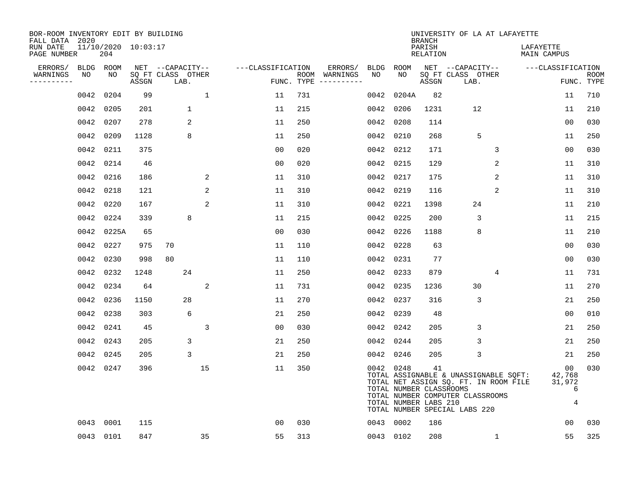| BOR-ROOM INVENTORY EDIT BY BUILDING<br>FALL DATA 2020 |           |                            |       |                           |              |                   |     |                                        |      |                                                               | <b>BRANCH</b>             | UNIVERSITY OF LA AT LAFAYETTE                                                                                                                       |                                  |                           |
|-------------------------------------------------------|-----------|----------------------------|-------|---------------------------|--------------|-------------------|-----|----------------------------------------|------|---------------------------------------------------------------|---------------------------|-----------------------------------------------------------------------------------------------------------------------------------------------------|----------------------------------|---------------------------|
| RUN DATE<br>PAGE NUMBER                               |           | 11/10/2020 10:03:17<br>204 |       |                           |              |                   |     |                                        |      |                                                               | PARISH<br><b>RELATION</b> |                                                                                                                                                     | LAFAYETTE<br>MAIN CAMPUS         |                           |
| ERRORS/                                               |           | BLDG ROOM                  |       | NET --CAPACITY--          |              | ---CLASSIFICATION |     | ERRORS/                                | BLDG | ROOM                                                          |                           | NET --CAPACITY--                                                                                                                                    | ---CLASSIFICATION                |                           |
| WARNINGS<br>----------                                | NO        | NO                         | ASSGN | SQ FT CLASS OTHER<br>LAB. |              |                   |     | ROOM WARNINGS<br>FUNC. TYPE ---------- | NO   | NO.                                                           | ASSGN                     | SQ FT CLASS OTHER<br>LAB.                                                                                                                           |                                  | <b>ROOM</b><br>FUNC. TYPE |
|                                                       | 0042      | 0204                       | 99    |                           | $\mathbf{1}$ | 11                | 731 |                                        | 0042 | 0204A                                                         | 82                        |                                                                                                                                                     | 11                               | 710                       |
|                                                       | 0042 0205 |                            | 201   | $\mathbf 1$               |              | 11                | 215 |                                        | 0042 | 0206                                                          | 1231                      | 12                                                                                                                                                  | 11                               | 210                       |
|                                                       | 0042 0207 |                            | 278   | 2                         |              | 11                | 250 |                                        | 0042 | 0208                                                          | 114                       |                                                                                                                                                     | 0 <sub>0</sub>                   | 030                       |
|                                                       | 0042      | 0209                       | 1128  | 8                         |              | 11                | 250 |                                        | 0042 | 0210                                                          | 268                       | 5                                                                                                                                                   | 11                               | 250                       |
|                                                       | 0042 0211 |                            | 375   |                           |              | 0 <sub>0</sub>    | 020 |                                        |      | 0042 0212                                                     | 171                       | 3                                                                                                                                                   | 0 <sub>0</sub>                   | 030                       |
|                                                       | 0042 0214 |                            | 46    |                           |              | 0 <sub>0</sub>    | 020 |                                        |      | 0042 0215                                                     | 129                       | 2                                                                                                                                                   | 11                               | 310                       |
|                                                       | 0042 0216 |                            | 186   |                           | 2            | 11                | 310 |                                        |      | 0042 0217                                                     | 175                       | $\overline{2}$                                                                                                                                      | 11                               | 310                       |
|                                                       | 0042 0218 |                            | 121   |                           | 2            | 11                | 310 |                                        | 0042 | 0219                                                          | 116                       | 2                                                                                                                                                   | 11                               | 310                       |
|                                                       | 0042 0220 |                            | 167   |                           | 2            | 11                | 310 |                                        | 0042 | 0221                                                          | 1398                      | 24                                                                                                                                                  | 11                               | 210                       |
|                                                       | 0042 0224 |                            | 339   | 8                         |              | 11                | 215 |                                        | 0042 | 0225                                                          | 200                       | 3                                                                                                                                                   | 11                               | 215                       |
|                                                       |           | 0042 0225A                 | 65    |                           |              | 0 <sub>0</sub>    | 030 |                                        | 0042 | 0226                                                          | 1188                      | 8                                                                                                                                                   | 11                               | 210                       |
|                                                       | 0042 0227 |                            | 975   | 70                        |              | 11                | 110 |                                        | 0042 | 0228                                                          | 63                        |                                                                                                                                                     | 0 <sub>0</sub>                   | 030                       |
|                                                       | 0042      | 0230                       | 998   | 80                        |              | 11                | 110 |                                        | 0042 | 0231                                                          | 77                        |                                                                                                                                                     | 0 <sub>0</sub>                   | 030                       |
|                                                       | 0042 0232 |                            | 1248  | 24                        |              | 11                | 250 |                                        | 0042 | 0233                                                          | 879                       | 4                                                                                                                                                   | 11                               | 731                       |
|                                                       | 0042 0234 |                            | 64    |                           | 2            | 11                | 731 |                                        | 0042 | 0235                                                          | 1236                      | 30                                                                                                                                                  | 11                               | 270                       |
|                                                       | 0042 0236 |                            | 1150  | 28                        |              | 11                | 270 |                                        | 0042 | 0237                                                          | 316                       | 3                                                                                                                                                   | 21                               | 250                       |
|                                                       | 0042      | 0238                       | 303   | 6                         |              | 21                | 250 |                                        | 0042 | 0239                                                          | 48                        |                                                                                                                                                     | 0 <sub>0</sub>                   | 010                       |
|                                                       | 0042 0241 |                            | 45    |                           | 3            | 0 <sub>0</sub>    | 030 |                                        | 0042 | 0242                                                          | 205                       | 3                                                                                                                                                   | 21                               | 250                       |
|                                                       | 0042 0243 |                            | 205   | 3                         |              | 21                | 250 |                                        | 0042 | 0244                                                          | 205                       | 3                                                                                                                                                   | 21                               | 250                       |
|                                                       | 0042 0245 |                            | 205   | 3                         |              | 21                | 250 |                                        |      | 0042 0246                                                     | 205                       | 3                                                                                                                                                   | 21                               | 250                       |
|                                                       |           | 0042 0247                  | 396   |                           | 15           | 11                | 350 |                                        |      | 0042 0248<br>TOTAL NUMBER CLASSROOMS<br>TOTAL NUMBER LABS 210 | 41                        | TOTAL ASSIGNABLE & UNASSIGNABLE SQFT:<br>TOTAL NET ASSIGN SQ. FT. IN ROOM FILE<br>TOTAL NUMBER COMPUTER CLASSROOMS<br>TOTAL NUMBER SPECIAL LABS 220 | 00<br>42,768<br>31,972<br>6<br>4 | 030                       |
|                                                       | 0043      | 0001                       | 115   |                           |              | 0 <sub>0</sub>    | 030 |                                        |      | 0043 0002                                                     | 186                       |                                                                                                                                                     | 00                               | 030                       |
|                                                       | 0043 0101 |                            | 847   |                           | 35           | 55                | 313 |                                        |      | 0043 0102                                                     | 208                       | $\mathbf{1}$                                                                                                                                        | 55                               | 325                       |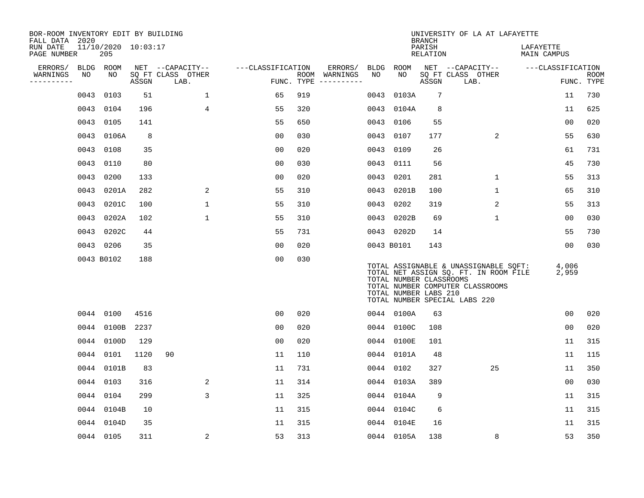| BOR-ROOM INVENTORY EDIT BY BUILDING<br>FALL DATA 2020 |      |                            |       |                           |                   |     |                                      |      |                                                  | <b>BRANCH</b>      | UNIVERSITY OF LA AT LAFAYETTE                                                                                                                       |                          |                           |
|-------------------------------------------------------|------|----------------------------|-------|---------------------------|-------------------|-----|--------------------------------------|------|--------------------------------------------------|--------------------|-----------------------------------------------------------------------------------------------------------------------------------------------------|--------------------------|---------------------------|
| RUN DATE<br>PAGE NUMBER                               |      | 11/10/2020 10:03:17<br>205 |       |                           |                   |     |                                      |      |                                                  | PARISH<br>RELATION |                                                                                                                                                     | LAFAYETTE<br>MAIN CAMPUS |                           |
| ERRORS/                                               |      | BLDG ROOM                  |       | NET --CAPACITY--          | ---CLASSIFICATION |     | ERRORS/                              |      | BLDG ROOM                                        |                    | NET --CAPACITY--                                                                                                                                    | ---CLASSIFICATION        |                           |
| WARNINGS<br>----------                                | NO   | NO                         | ASSGN | SQ FT CLASS OTHER<br>LAB. |                   |     | ROOM WARNINGS<br>FUNC. TYPE $------$ | NO   | NO                                               | ASSGN              | SQ FT CLASS OTHER<br>LAB.                                                                                                                           |                          | <b>ROOM</b><br>FUNC. TYPE |
|                                                       | 0043 | 0103                       | 51    | $\mathbf{1}$              | 65                | 919 |                                      | 0043 | 0103A                                            | 7                  |                                                                                                                                                     | 11                       | 730                       |
|                                                       |      | 0043 0104                  | 196   | $\overline{4}$            | 55                | 320 |                                      |      | 0043 0104A                                       | 8                  |                                                                                                                                                     | 11                       | 625                       |
|                                                       |      | 0043 0105                  | 141   |                           | 55                | 650 |                                      |      | 0043 0106                                        | 55                 |                                                                                                                                                     | 0 <sub>0</sub>           | 020                       |
|                                                       |      | 0043 0106A                 | 8     |                           | 0 <sub>0</sub>    | 030 |                                      |      | 0043 0107                                        | 177                | 2                                                                                                                                                   | 55                       | 630                       |
|                                                       |      | 0043 0108                  | 35    |                           | 00                | 020 |                                      | 0043 | 0109                                             | 26                 |                                                                                                                                                     | 61                       | 731                       |
|                                                       |      | 0043 0110                  | 80    |                           | 0 <sub>0</sub>    | 030 |                                      |      | 0043 0111                                        | 56                 |                                                                                                                                                     | 45                       | 730                       |
|                                                       | 0043 | 0200                       | 133   |                           | 0 <sub>0</sub>    | 020 |                                      |      | 0043 0201                                        | 281                | $\mathbf{1}$                                                                                                                                        | 55                       | 313                       |
|                                                       | 0043 | 0201A                      | 282   | 2                         | 55                | 310 |                                      |      | 0043 0201B                                       | 100                | $\mathbf{1}$                                                                                                                                        | 65                       | 310                       |
|                                                       |      | 0043 0201C                 | 100   | $\mathbf{1}$              | 55                | 310 |                                      |      | 0043 0202                                        | 319                | 2                                                                                                                                                   | 55                       | 313                       |
|                                                       |      | 0043 0202A                 | 102   | $\mathbf 1$               | 55                | 310 |                                      |      | 0043 0202B                                       | 69                 | $\mathbf 1$                                                                                                                                         | 0 <sub>0</sub>           | 030                       |
|                                                       |      | 0043 0202C                 | 44    |                           | 55                | 731 |                                      |      | 0043 0202D                                       | 14                 |                                                                                                                                                     | 55                       | 730                       |
|                                                       |      | 0043 0206                  | 35    |                           | 0 <sub>0</sub>    | 020 |                                      |      | 0043 B0101                                       | 143                |                                                                                                                                                     | 00                       | 030                       |
|                                                       |      | 0043 B0102                 | 188   |                           | 0 <sub>0</sub>    | 030 |                                      |      | TOTAL NUMBER CLASSROOMS<br>TOTAL NUMBER LABS 210 |                    | TOTAL ASSIGNABLE & UNASSIGNABLE SQFT:<br>TOTAL NET ASSIGN SQ. FT. IN ROOM FILE<br>TOTAL NUMBER COMPUTER CLASSROOMS<br>TOTAL NUMBER SPECIAL LABS 220 | 4,006<br>2,959           |                           |
|                                                       |      | 0044 0100                  | 4516  |                           | 0 <sub>0</sub>    | 020 |                                      |      | 0044 0100A                                       | 63                 |                                                                                                                                                     | 0 <sub>0</sub>           | 020                       |
|                                                       |      | 0044 0100B                 | 2237  |                           | 0 <sub>0</sub>    | 020 |                                      |      | 0044 0100C                                       | 108                |                                                                                                                                                     | 0 <sub>0</sub>           | 020                       |
|                                                       |      | 0044 0100D                 | 129   |                           | 0 <sub>0</sub>    | 020 |                                      |      | 0044 0100E                                       | 101                |                                                                                                                                                     | 11                       | 315                       |
|                                                       |      | 0044 0101                  | 1120  | 90                        | 11                | 110 |                                      |      | 0044 0101A                                       | 48                 |                                                                                                                                                     | 11                       | 115                       |
|                                                       |      | 0044 0101B                 | 83    |                           | 11                | 731 |                                      |      | 0044 0102                                        | 327                | 25                                                                                                                                                  | 11                       | 350                       |
|                                                       |      | 0044 0103                  | 316   | 2                         | 11                | 314 |                                      |      | 0044 0103A                                       | 389                |                                                                                                                                                     | 0 <sub>0</sub>           | 030                       |
|                                                       |      | 0044 0104                  | 299   | 3                         | 11                | 325 |                                      |      | 0044 0104A                                       | 9                  |                                                                                                                                                     | 11                       | 315                       |
|                                                       |      | 0044 0104B                 | 10    |                           | 11                | 315 |                                      |      | 0044 0104C                                       | 6                  |                                                                                                                                                     | 11                       | 315                       |
|                                                       |      | 0044 0104D                 | 35    |                           | 11                | 315 |                                      |      | 0044 0104E                                       | 16                 |                                                                                                                                                     | 11                       | 315                       |
|                                                       |      | 0044 0105                  | 311   | 2                         | 53                | 313 |                                      |      | 0044 0105A                                       | 138                | 8                                                                                                                                                   | 53                       | 350                       |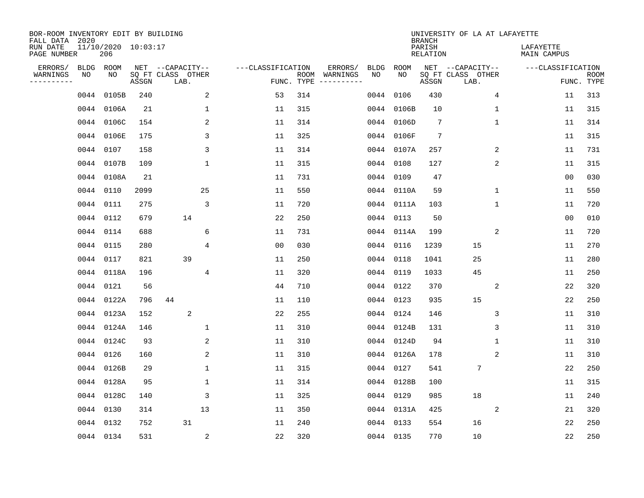| BOR-ROOM INVENTORY EDIT BY BUILDING<br>FALL DATA 2020 |           |                            |       |                           |                   |                    |                         |             |            | <b>BRANCH</b>      | UNIVERSITY OF LA AT LAFAYETTE |                          |                           |
|-------------------------------------------------------|-----------|----------------------------|-------|---------------------------|-------------------|--------------------|-------------------------|-------------|------------|--------------------|-------------------------------|--------------------------|---------------------------|
| RUN DATE<br>PAGE NUMBER                               |           | 11/10/2020 10:03:17<br>206 |       |                           |                   |                    |                         |             |            | PARISH<br>RELATION |                               | LAFAYETTE<br>MAIN CAMPUS |                           |
| ERRORS/                                               |           | BLDG ROOM                  |       | NET --CAPACITY--          | ---CLASSIFICATION |                    | ERRORS/                 | <b>BLDG</b> | ROOM       |                    | NET --CAPACITY--              | ---CLASSIFICATION        |                           |
| WARNINGS<br>----------                                | NO        | NO                         | ASSGN | SQ FT CLASS OTHER<br>LAB. |                   | ROOM<br>FUNC. TYPE | WARNINGS<br>----------- | NO          | NO         | ASSGN              | SQ FT CLASS OTHER<br>LAB.     |                          | <b>ROOM</b><br>FUNC. TYPE |
|                                                       | 0044      | 0105B                      | 240   | 2                         | 53                | 314                |                         | 0044        | 0106       | 430                | 4                             | 11                       | 313                       |
|                                                       |           | 0044 0106A                 | 21    | 1                         | 11                | 315                |                         | 0044        | 0106B      | 10                 | 1                             | 11                       | 315                       |
|                                                       |           | 0044 0106C                 | 154   | 2                         | 11                | 314                |                         |             | 0044 0106D | 7                  | 1                             | 11                       | 314                       |
|                                                       |           | 0044 0106E                 | 175   | 3                         | 11                | 325                |                         |             | 0044 0106F | 7                  |                               | 11                       | 315                       |
|                                                       |           | 0044 0107                  | 158   | 3                         | 11                | 314                |                         |             | 0044 0107A | 257                | 2                             | 11                       | 731                       |
|                                                       |           | 0044 0107B                 | 109   | $\mathbf 1$               | 11                | 315                |                         |             | 0044 0108  | 127                | 2                             | 11                       | 315                       |
|                                                       |           | 0044 0108A                 | 21    |                           | 11                | 731                |                         |             | 0044 0109  | 47                 |                               | 00                       | 030                       |
|                                                       | 0044 0110 |                            | 2099  | 25                        | 11                | 550                |                         |             | 0044 0110A | 59                 | $\mathbf{1}$                  | 11                       | 550                       |
|                                                       | 0044      | 0111                       | 275   | 3                         | 11                | 720                |                         |             | 0044 0111A | 103                | $\mathbf{1}$                  | 11                       | 720                       |
|                                                       |           | 0044 0112                  | 679   | 14                        | 22                | 250                |                         |             | 0044 0113  | 50                 |                               | 0 <sub>0</sub>           | 010                       |
|                                                       |           | 0044 0114                  | 688   | 6                         | 11                | 731                |                         |             | 0044 0114A | 199                | 2                             | 11                       | 720                       |
|                                                       | 0044 0115 |                            | 280   | 4                         | 0 <sub>0</sub>    | 030                |                         |             | 0044 0116  | 1239               | 15                            | 11                       | 270                       |
|                                                       |           | 0044 0117                  | 821   | 39                        | 11                | 250                |                         | 0044        | 0118       | 1041               | 25                            | 11                       | 280                       |
|                                                       |           | 0044 0118A                 | 196   | 4                         | 11                | 320                |                         | 0044        | 0119       | 1033               | 45                            | 11                       | 250                       |
|                                                       |           | 0044 0121                  | 56    |                           | 44                | 710                |                         | 0044        | 0122       | 370                | 2                             | 22                       | 320                       |
|                                                       |           | 0044 0122A                 | 796   | 44                        | 11                | 110                |                         | 0044        | 0123       | 935                | 15                            | 22                       | 250                       |
|                                                       |           | 0044 0123A                 | 152   | 2                         | 22                | 255                |                         | 0044        | 0124       | 146                | 3                             | 11                       | 310                       |
|                                                       |           | 0044 0124A                 | 146   | 1                         | 11                | 310                |                         | 0044        | 0124B      | 131                | 3                             | 11                       | 310                       |
|                                                       |           | 0044 0124C                 | 93    | 2                         | 11                | 310                |                         |             | 0044 0124D | 94                 | 1                             | 11                       | 310                       |
|                                                       |           | 0044 0126                  | 160   | 2                         | 11                | 310                |                         |             | 0044 0126A | 178                | 2                             | 11                       | 310                       |
|                                                       |           | 0044 0126B                 | 29    | 1                         | 11                | 315                |                         |             | 0044 0127  | 541                | 7                             | 22                       | 250                       |
|                                                       |           | 0044 0128A                 | 95    | $\mathbf{1}$              | 11                | 314                |                         |             | 0044 0128B | 100                |                               | 11                       | 315                       |
|                                                       |           | 0044 0128C                 | 140   | 3                         | 11                | 325                |                         |             | 0044 0129  | 985                | 18                            | 11                       | 240                       |
|                                                       |           | 0044 0130                  | 314   | 13                        | 11                | 350                |                         |             | 0044 0131A | 425                | 2                             | 21                       | 320                       |
|                                                       |           | 0044 0132                  | 752   | 31                        | 11                | 240                |                         |             | 0044 0133  | 554                | 16                            | 22                       | 250                       |
|                                                       |           | 0044 0134                  | 531   | $\overline{c}$            | 22                | 320                |                         |             | 0044 0135  | 770                | 10                            | 22                       | 250                       |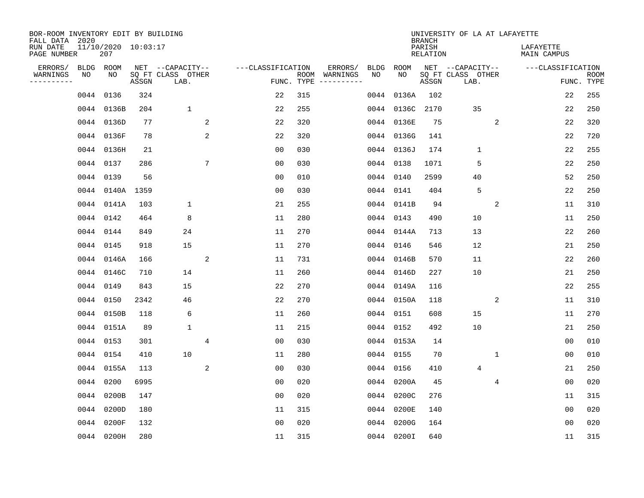| BOR-ROOM INVENTORY EDIT BY BUILDING<br>FALL DATA 2020 |           |                            |       |                           |   |                   |                    |                         |             |            | <b>BRANCH</b>             | UNIVERSITY OF LA AT LAFAYETTE |                |                          |                |                           |
|-------------------------------------------------------|-----------|----------------------------|-------|---------------------------|---|-------------------|--------------------|-------------------------|-------------|------------|---------------------------|-------------------------------|----------------|--------------------------|----------------|---------------------------|
| RUN DATE<br>PAGE NUMBER                               |           | 11/10/2020 10:03:17<br>207 |       |                           |   |                   |                    |                         |             |            | PARISH<br><b>RELATION</b> |                               |                | LAFAYETTE<br>MAIN CAMPUS |                |                           |
| ERRORS/                                               |           | BLDG ROOM                  |       | NET --CAPACITY--          |   | ---CLASSIFICATION |                    | ERRORS/                 | <b>BLDG</b> | ROOM       |                           | NET --CAPACITY--              |                | ---CLASSIFICATION        |                |                           |
| WARNINGS<br>----------                                | NO        | NO                         | ASSGN | SQ FT CLASS OTHER<br>LAB. |   |                   | ROOM<br>FUNC. TYPE | WARNINGS<br>----------- | NO          | NO         | ASSGN                     | SQ FT CLASS OTHER<br>LAB.     |                |                          |                | <b>ROOM</b><br>FUNC. TYPE |
|                                                       | 0044      | 0136                       | 324   |                           |   | 22                | 315                |                         | 0044        | 0136A      | 102                       |                               |                |                          | 22             | 255                       |
|                                                       |           | 0044 0136B                 | 204   | $\mathbf 1$               |   | 22                | 255                |                         |             | 0044 0136C | 2170                      | 35                            |                |                          | 22             | 250                       |
|                                                       |           | 0044 0136D                 | 77    |                           | 2 | 22                | 320                |                         |             | 0044 0136E | 75                        |                               | 2              |                          | 22             | 320                       |
|                                                       |           | 0044 0136F                 | 78    |                           | 2 | 22                | 320                |                         |             | 0044 0136G | 141                       |                               |                |                          | 22             | 720                       |
|                                                       |           | 0044 0136H                 | 21    |                           |   | 0 <sub>0</sub>    | 030                |                         |             | 0044 0136J | 174                       | $\mathbf{1}$                  |                |                          | 22             | 255                       |
|                                                       |           | 0044 0137                  | 286   |                           | 7 | 0 <sub>0</sub>    | 030                |                         |             | 0044 0138  | 1071                      | 5                             |                |                          | 22             | 250                       |
|                                                       |           | 0044 0139                  | 56    |                           |   | 0 <sub>0</sub>    | 010                |                         |             | 0044 0140  | 2599                      | 40                            |                |                          | 52             | 250                       |
|                                                       |           | 0044 0140A 1359            |       |                           |   | 0 <sub>0</sub>    | 030                |                         |             | 0044 0141  | 404                       | 5                             |                |                          | 22             | 250                       |
|                                                       |           | 0044 0141A                 | 103   | $\mathbf 1$               |   | 21                | 255                |                         |             | 0044 0141B | 94                        |                               | 2              |                          | 11             | 310                       |
|                                                       |           | 0044 0142                  | 464   | 8                         |   | 11                | 280                |                         |             | 0044 0143  | 490                       | 10                            |                |                          | 11             | 250                       |
|                                                       |           | 0044 0144                  | 849   | 24                        |   | 11                | 270                |                         |             | 0044 0144A | 713                       | 13                            |                |                          | 22             | 260                       |
|                                                       |           | 0044 0145                  | 918   | 15                        |   | 11                | 270                |                         |             | 0044 0146  | 546                       | 12                            |                |                          | 21             | 250                       |
|                                                       |           | 0044 0146A                 | 166   |                           | 2 | 11                | 731                |                         |             | 0044 0146B | 570                       | 11                            |                |                          | 22             | 260                       |
|                                                       |           | 0044 0146C                 | 710   | 14                        |   | 11                | 260                |                         |             | 0044 0146D | 227                       | 10                            |                |                          | 21             | 250                       |
|                                                       | 0044 0149 |                            | 843   | 15                        |   | 22                | 270                |                         |             | 0044 0149A | 116                       |                               |                |                          | 22             | 255                       |
|                                                       |           | 0044 0150                  | 2342  | 46                        |   | 22                | 270                |                         |             | 0044 0150A | 118                       |                               | 2              |                          | 11             | 310                       |
|                                                       |           | 0044 0150B                 | 118   | 6                         |   | 11                | 260                |                         | 0044        | 0151       | 608                       | 15                            |                |                          | 11             | 270                       |
|                                                       |           | 0044 0151A                 | 89    | $\mathbf{1}$              |   | 11                | 215                |                         |             | 0044 0152  | 492                       | 10                            |                |                          | 21             | 250                       |
|                                                       |           | 0044 0153                  | 301   |                           | 4 | 0 <sub>0</sub>    | 030                |                         |             | 0044 0153A | 14                        |                               |                |                          | 0 <sub>0</sub> | 010                       |
|                                                       |           | 0044 0154                  | 410   | 10                        |   | 11                | 280                |                         |             | 0044 0155  | 70                        |                               | 1              |                          | 0 <sub>0</sub> | 010                       |
|                                                       |           | 0044 0155A                 | 113   |                           | 2 | 0 <sub>0</sub>    | 030                |                         |             | 0044 0156  | 410                       | 4                             |                |                          | 21             | 250                       |
|                                                       | 0044      | 0200                       | 6995  |                           |   | 0 <sub>0</sub>    | 020                |                         | 0044        | 0200A      | 45                        |                               | $\overline{4}$ |                          | 0 <sub>0</sub> | 020                       |
|                                                       |           | 0044 0200B                 | 147   |                           |   | 0 <sub>0</sub>    | 020                |                         | 0044        | 0200C      | 276                       |                               |                |                          | 11             | 315                       |
|                                                       | 0044      | 0200D                      | 180   |                           |   | 11                | 315                |                         |             | 0044 0200E | 140                       |                               |                |                          | 0 <sub>0</sub> | 020                       |
|                                                       | 0044      | 0200F                      | 132   |                           |   | 0 <sub>0</sub>    | 020                |                         |             | 0044 0200G | 164                       |                               |                |                          | 0 <sub>0</sub> | 020                       |
|                                                       |           | 0044 0200H                 | 280   |                           |   | 11                | 315                |                         |             | 0044 0200I | 640                       |                               |                |                          | 11             | 315                       |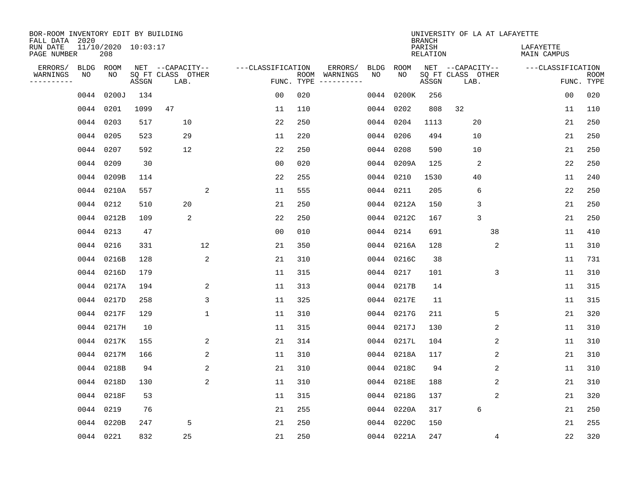| BOR-ROOM INVENTORY EDIT BY BUILDING<br>FALL DATA 2020 |                 |                            |       |                           |                   |            |                                        |             | <b>BRANCH</b>             | UNIVERSITY OF LA AT LAFAYETTE |                          |             |
|-------------------------------------------------------|-----------------|----------------------------|-------|---------------------------|-------------------|------------|----------------------------------------|-------------|---------------------------|-------------------------------|--------------------------|-------------|
| RUN DATE<br>PAGE NUMBER                               |                 | 11/10/2020 10:03:17<br>208 |       |                           |                   |            |                                        |             | PARISH<br><b>RELATION</b> |                               | LAFAYETTE<br>MAIN CAMPUS |             |
| ERRORS/<br>WARNINGS                                   | BLDG ROOM<br>NO | NO                         |       | NET --CAPACITY--          | ---CLASSIFICATION |            | ERRORS/<br>BLDG<br>ROOM WARNINGS<br>NO | ROOM<br>NO. |                           | NET --CAPACITY--              | ---CLASSIFICATION        | <b>ROOM</b> |
| .                                                     |                 |                            | ASSGN | SQ FT CLASS OTHER<br>LAB. |                   | FUNC. TYPE |                                        |             | ASSGN                     | SQ FT CLASS OTHER<br>LAB.     |                          | FUNC. TYPE  |
|                                                       | 0044            | 0200J                      | 134   |                           | 0 <sub>0</sub>    | 020        | 0044                                   | 0200K       | 256                       |                               | 00                       | 020         |
|                                                       | 0044 0201       |                            | 1099  | 47                        | 11                | 110        | 0044                                   | 0202        | 808                       | 32                            | 11                       | 110         |
|                                                       | 0044 0203       |                            | 517   | 10                        | 22                | 250        | 0044                                   | 0204        | 1113                      | 20                            | 21                       | 250         |
|                                                       | 0044 0205       |                            | 523   | 29                        | 11                | 220        |                                        | 0044 0206   | 494                       | 10                            | 21                       | 250         |
|                                                       | 0044 0207       |                            | 592   | 12                        | 22                | 250        | 0044                                   | 0208        | 590                       | 10                            | 21                       | 250         |
|                                                       | 0044 0209       |                            | 30    |                           | 0 <sub>0</sub>    | 020        |                                        | 0044 0209A  | 125                       | 2                             | 22                       | 250         |
|                                                       |                 | 0044 0209B                 | 114   |                           | 22                | 255        |                                        | 0044 0210   | 1530                      | 40                            | 11                       | 240         |
|                                                       |                 | 0044 0210A                 | 557   | 2                         | 11                | 555        |                                        | 0044 0211   | 205                       | 6                             | 22                       | 250         |
|                                                       |                 | 0044 0212                  | 510   | 20                        | 21                | 250        | 0044                                   | 0212A       | 150                       | 3                             | 21                       | 250         |
|                                                       |                 | 0044 0212B                 | 109   | 2                         | 22                | 250        |                                        | 0044 0212C  | 167                       | 3                             | 21                       | 250         |
|                                                       | 0044 0213       |                            | 47    |                           | 0 <sub>0</sub>    | 010        | 0044                                   | 0214        | 691                       | 38                            | 11                       | 410         |
|                                                       | 0044 0216       |                            | 331   | 12                        | 21                | 350        |                                        | 0044 0216A  | 128                       | 2                             | 11                       | 310         |
|                                                       |                 | 0044 0216B                 | 128   | 2                         | 21                | 310        | 0044                                   | 0216C       | 38                        |                               | 11                       | 731         |
|                                                       |                 | 0044 0216D                 | 179   |                           | 11                | 315        | 0044                                   | 0217        | 101                       | 3                             | 11                       | 310         |
|                                                       |                 | 0044 0217A                 | 194   | 2                         | 11                | 313        | 0044                                   | 0217B       | 14                        |                               | 11                       | 315         |
|                                                       |                 | 0044 0217D                 | 258   | 3                         | 11                | 325        | 0044                                   | 0217E       | 11                        |                               | 11                       | 315         |
|                                                       |                 | 0044 0217F                 | 129   | $\mathbf 1$               | 11                | 310        | 0044                                   | 0217G       | 211                       | 5                             | 21                       | 320         |
|                                                       |                 | 0044 0217H                 | 10    |                           | 11                | 315        | 0044                                   | 0217J       | 130                       | 2                             | 11                       | 310         |
|                                                       |                 | 0044 0217K                 | 155   | 2                         | 21                | 314        | 0044                                   | 0217L       | 104                       | 2                             | 11                       | 310         |
|                                                       |                 | 0044 0217M                 | 166   | 2                         | 11                | 310        |                                        | 0044 0218A  | 117                       | 2                             | 21                       | 310         |
|                                                       |                 | 0044 0218B                 | 94    | 2                         | 21                | 310        | 0044                                   | 0218C       | 94                        | 2                             | 11                       | 310         |
|                                                       |                 | 0044 0218D                 | 130   | 2                         | 11                | 310        | 0044                                   | 0218E       | 188                       | 2                             | 21                       | 310         |
|                                                       |                 | 0044 0218F                 | 53    |                           | 11                | 315        | 0044                                   | 0218G       | 137                       | 2                             | 21                       | 320         |
|                                                       | 0044 0219       |                            | 76    |                           | 21                | 255        | 0044                                   | 0220A       | 317                       | 6                             | 21                       | 250         |
|                                                       | 0044            | 0220B                      | 247   | 5                         | 21                | 250        | 0044                                   | 0220C       | 150                       |                               | 21                       | 255         |
|                                                       | 0044 0221       |                            | 832   | 25                        | 21                | 250        |                                        | 0044 0221A  | 247                       | 4                             | 22                       | 320         |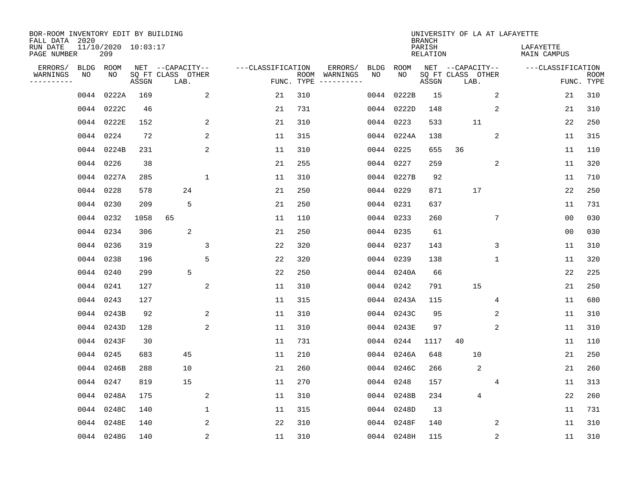| BOR-ROOM INVENTORY EDIT BY BUILDING<br>FALL DATA 2020 |                            |       |                           |                   |     |                                      |             |            | <b>BRANCH</b>             | UNIVERSITY OF LA AT LAFAYETTE |             |                          |                           |
|-------------------------------------------------------|----------------------------|-------|---------------------------|-------------------|-----|--------------------------------------|-------------|------------|---------------------------|-------------------------------|-------------|--------------------------|---------------------------|
| RUN DATE<br>PAGE NUMBER                               | 11/10/2020 10:03:17<br>209 |       |                           |                   |     |                                      |             |            | PARISH<br><b>RELATION</b> |                               |             | LAFAYETTE<br>MAIN CAMPUS |                           |
| ERRORS/                                               | BLDG ROOM                  |       | NET --CAPACITY--          | ---CLASSIFICATION |     | ERRORS/                              | <b>BLDG</b> | ROOM       |                           | NET --CAPACITY--              |             | ---CLASSIFICATION        |                           |
| WARNINGS<br>NO<br>----------                          | NO                         | ASSGN | SQ FT CLASS OTHER<br>LAB. |                   |     | ROOM WARNINGS<br>FUNC. TYPE $------$ | NO          | NO         | ASSGN                     | SQ FT CLASS OTHER<br>LAB.     |             |                          | <b>ROOM</b><br>FUNC. TYPE |
|                                                       | 0222A<br>0044              | 169   | 2                         | 21                | 310 |                                      | 0044        | 0222B      | 15                        |                               | 2           | 21                       | 310                       |
|                                                       | 0044 0222C                 | 46    |                           | 21                | 731 |                                      |             | 0044 0222D | 148                       |                               | 2           | 21                       | 310                       |
|                                                       | 0044 0222E                 | 152   | 2                         | 21                | 310 |                                      |             | 0044 0223  | 533                       | 11                            |             | 22                       | 250                       |
|                                                       | 0044 0224                  | 72    | 2                         | 11                | 315 |                                      |             | 0044 0224A | 138                       |                               | 2           | 11                       | 315                       |
|                                                       | 0224B<br>0044              | 231   | 2                         | 11                | 310 |                                      |             | 0044 0225  | 655                       | 36                            |             | 11                       | 110                       |
|                                                       | 0044 0226                  | 38    |                           | 21                | 255 |                                      |             | 0044 0227  | 259                       |                               | 2           | 11                       | 320                       |
|                                                       | 0044 0227A                 | 285   | $\mathbf{1}$              | 11                | 310 |                                      |             | 0044 0227B | 92                        |                               |             | 11                       | 710                       |
|                                                       | 0044 0228                  | 578   | 24                        | 21                | 250 |                                      |             | 0044 0229  | 871                       | 17                            |             | 22                       | 250                       |
|                                                       | 0044<br>0230               | 209   | 5                         | 21                | 250 |                                      |             | 0044 0231  | 637                       |                               |             | 11                       | 731                       |
|                                                       | 0044 0232                  | 1058  | 65                        | 11                | 110 |                                      |             | 0044 0233  | 260                       |                               | 7           | 0 <sub>0</sub>           | 030                       |
|                                                       | 0044 0234                  | 306   | 2                         | 21                | 250 |                                      |             | 0044 0235  | 61                        |                               |             | 0 <sub>0</sub>           | 030                       |
|                                                       | 0044 0236                  | 319   | 3                         | 22                | 320 |                                      |             | 0044 0237  | 143                       |                               | 3           | 11                       | 310                       |
|                                                       | 0044 0238                  | 196   | 5                         | 22                | 320 |                                      |             | 0044 0239  | 138                       |                               | $\mathbf 1$ | 11                       | 320                       |
|                                                       | 0044 0240                  | 299   | 5                         | 22                | 250 |                                      |             | 0044 0240A | 66                        |                               |             | 22                       | 225                       |
|                                                       | 0044 0241                  | 127   | 2                         | 11                | 310 |                                      | 0044        | 0242       | 791                       | 15                            |             | 21                       | 250                       |
|                                                       | 0044 0243                  | 127   |                           | 11                | 315 |                                      | 0044        | 0243A      | 115                       |                               | 4           | 11                       | 680                       |
|                                                       | 0243B<br>0044              | 92    | 2                         | 11                | 310 |                                      | 0044        | 0243C      | 95                        |                               | 2           | 11                       | 310                       |
|                                                       | 0044 0243D                 | 128   | 2                         | 11                | 310 |                                      | 0044        | 0243E      | 97                        |                               | 2           | 11                       | 310                       |
|                                                       | 0044 0243F                 | 30    |                           | 11                | 731 |                                      |             | 0044 0244  | 1117                      | 40                            |             | 11                       | 110                       |
|                                                       | 0044 0245                  | 683   | 45                        | 11                | 210 |                                      |             | 0044 0246A | 648                       | 10                            |             | 21                       | 250                       |
|                                                       | 0044 0246B                 | 288   | 10                        | 21                | 260 |                                      |             | 0044 0246C | 266                       | 2                             |             | 21                       | 260                       |
|                                                       | 0044<br>0247               | 819   | 15                        | 11                | 270 |                                      | 0044        | 0248       | 157                       |                               | 4           | 11                       | 313                       |
|                                                       | 0044 0248A                 | 175   | 2                         | 11                | 310 |                                      |             | 0044 0248B | 234                       | 4                             |             | 22                       | 260                       |
|                                                       | 0044 0248C                 | 140   | $\mathbf 1$               | 11                | 315 |                                      |             | 0044 0248D | 13                        |                               |             | 11                       | 731                       |
|                                                       | 0044<br>0248E              | 140   | 2                         | 22                | 310 |                                      |             | 0044 0248F | 140                       |                               | 2           | 11                       | 310                       |
|                                                       | 0044 0248G                 | 140   | 2                         | 11                | 310 |                                      |             | 0044 0248H | 115                       |                               | $\sqrt{2}$  | 11                       | 310                       |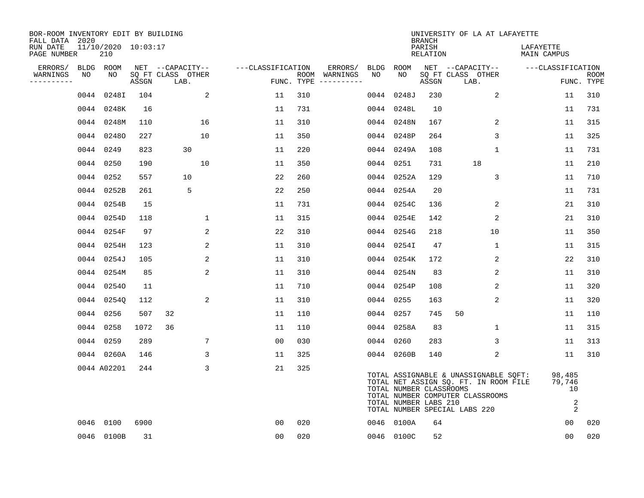| BOR-ROOM INVENTORY EDIT BY BUILDING<br>FALL DATA 2020 |      |                            |       |                           |                   |     |                                      |      |                                                  | <b>BRANCH</b>      | UNIVERSITY OF LA AT LAFAYETTE                                                                                                                       |                                               |                           |
|-------------------------------------------------------|------|----------------------------|-------|---------------------------|-------------------|-----|--------------------------------------|------|--------------------------------------------------|--------------------|-----------------------------------------------------------------------------------------------------------------------------------------------------|-----------------------------------------------|---------------------------|
| RUN DATE<br>PAGE NUMBER                               |      | 11/10/2020 10:03:17<br>210 |       |                           |                   |     |                                      |      |                                                  | PARISH<br>RELATION |                                                                                                                                                     | LAFAYETTE<br>MAIN CAMPUS                      |                           |
| ERRORS/                                               |      | BLDG ROOM                  |       | NET --CAPACITY--          | ---CLASSIFICATION |     | ERRORS/                              | BLDG | ROOM                                             |                    | NET --CAPACITY--                                                                                                                                    | ---CLASSIFICATION                             |                           |
| WARNINGS<br>----------                                | NO   | NO                         | ASSGN | SQ FT CLASS OTHER<br>LAB. |                   |     | ROOM WARNINGS<br>FUNC. TYPE $------$ | NO   | NO                                               | ASSGN              | SQ FT CLASS OTHER<br>LAB.                                                                                                                           |                                               | <b>ROOM</b><br>FUNC. TYPE |
|                                                       | 0044 | 0248I                      | 104   | 2                         | 11                | 310 |                                      |      | 0044 0248J                                       | 230                | 2                                                                                                                                                   | 11                                            | 310                       |
|                                                       |      | 0044 0248K                 | 16    |                           | 11                | 731 |                                      |      | 0044 0248L                                       | 10                 |                                                                                                                                                     | 11                                            | 731                       |
|                                                       |      | 0044 0248M                 | 110   | 16                        | 11                | 310 |                                      |      | 0044 0248N                                       | 167                | 2                                                                                                                                                   | 11                                            | 315                       |
|                                                       |      | 0044 02480                 | 227   | 10                        | 11                | 350 |                                      |      | 0044 0248P                                       | 264                | 3                                                                                                                                                   | 11                                            | 325                       |
|                                                       |      | 0044 0249                  | 823   | 30                        | 11                | 220 |                                      |      | 0044 0249A                                       | 108                | 1                                                                                                                                                   | 11                                            | 731                       |
|                                                       |      | 0044 0250                  | 190   | 10                        | 11                | 350 |                                      |      | 0044 0251                                        | 731                | 18                                                                                                                                                  | 11                                            | 210                       |
|                                                       |      | 0044 0252                  | 557   | 10                        | 22                | 260 |                                      |      | 0044 0252A                                       | 129                | 3                                                                                                                                                   | 11                                            | 710                       |
|                                                       |      | 0044 0252B                 | 261   | 5                         | 22                | 250 |                                      |      | 0044 0254A                                       | 20                 |                                                                                                                                                     | 11                                            | 731                       |
|                                                       |      | 0044 0254B                 | 15    |                           | 11                | 731 |                                      |      | 0044 0254C                                       | 136                | 2                                                                                                                                                   | 21                                            | 310                       |
|                                                       |      | 0044 0254D                 | 118   | 1                         | 11                | 315 |                                      |      | 0044 0254E                                       | 142                | 2                                                                                                                                                   | 21                                            | 310                       |
|                                                       |      | 0044 0254F                 | 97    | 2                         | 22                | 310 |                                      |      | 0044 0254G                                       | 218                | 10                                                                                                                                                  | 11                                            | 350                       |
|                                                       |      | 0044 0254H                 | 123   | 2                         | 11                | 310 |                                      |      | 0044 0254I                                       | 47                 | 1                                                                                                                                                   | 11                                            | 315                       |
|                                                       |      | 0044 0254J                 | 105   | 2                         | 11                | 310 |                                      |      | 0044 0254K                                       | 172                | 2                                                                                                                                                   | 22                                            | 310                       |
|                                                       |      | 0044 0254M                 | 85    | 2                         | 11                | 310 |                                      |      | 0044 0254N                                       | 83                 | 2                                                                                                                                                   | 11                                            | 310                       |
|                                                       |      | 0044 02540                 | 11    |                           | 11                | 710 |                                      |      | 0044 0254P                                       | 108                | 2                                                                                                                                                   | 11                                            | 320                       |
|                                                       |      | 0044 0254Q                 | 112   | 2                         | 11                | 310 |                                      |      | 0044 0255                                        | 163                | 2                                                                                                                                                   | 11                                            | 320                       |
|                                                       |      | 0044 0256                  | 507   | 32                        | 11                | 110 |                                      |      | 0044 0257                                        | 745                | 50                                                                                                                                                  | 11                                            | 110                       |
|                                                       |      | 0044 0258                  | 1072  | 36                        | 11                | 110 |                                      |      | 0044 0258A                                       | 83                 | 1                                                                                                                                                   | 11                                            | 315                       |
|                                                       |      | 0044 0259                  | 289   | 7                         | 0 <sub>0</sub>    | 030 |                                      |      | 0044 0260                                        | 283                | 3                                                                                                                                                   | 11                                            | 313                       |
|                                                       |      | 0044 0260A                 | 146   | 3                         | 11                | 325 |                                      |      | 0044 0260B                                       | 140                | 2                                                                                                                                                   | 11                                            | 310                       |
|                                                       |      | 0044 A02201                | 244   | 3                         | 21                | 325 |                                      |      | TOTAL NUMBER CLASSROOMS<br>TOTAL NUMBER LABS 210 |                    | TOTAL ASSIGNABLE & UNASSIGNABLE SQFT:<br>TOTAL NET ASSIGN SQ. FT. IN ROOM FILE<br>TOTAL NUMBER COMPUTER CLASSROOMS<br>TOTAL NUMBER SPECIAL LABS 220 | 98,485<br>79,746<br>10<br>$\overline{a}$<br>2 |                           |
|                                                       |      | 0046 0100                  | 6900  |                           | 0 <sub>0</sub>    | 020 |                                      |      | 0046 0100A                                       | 64                 |                                                                                                                                                     | 00                                            | 020                       |
|                                                       |      | 0046 0100B                 | 31    |                           | 00                | 020 |                                      |      | 0046 0100C                                       | 52                 |                                                                                                                                                     | 0 <sub>0</sub>                                | 020                       |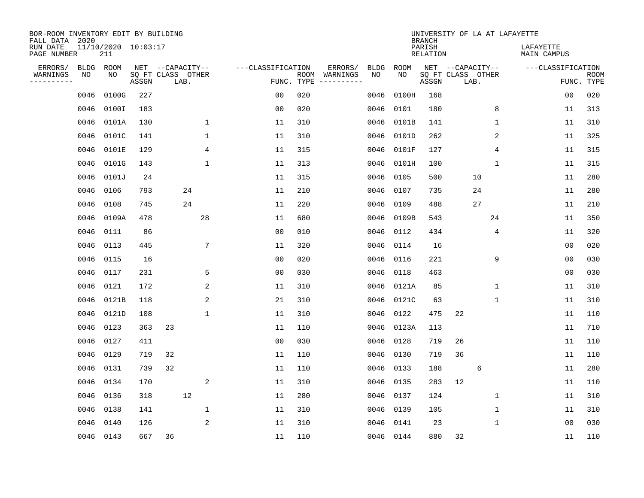| BOR-ROOM INVENTORY EDIT BY BUILDING<br>FALL DATA 2020<br>RUN DATE |            | 11/10/2020 10:03:17 |       |                                               |                 |                                 |     |                          |                   |             | <b>BRANCH</b><br>PARISH | UNIVERSITY OF LA AT LAFAYETTE                 |              | LAFAYETTE         |                           |
|-------------------------------------------------------------------|------------|---------------------|-------|-----------------------------------------------|-----------------|---------------------------------|-----|--------------------------|-------------------|-------------|-------------------------|-----------------------------------------------|--------------|-------------------|---------------------------|
| PAGE NUMBER                                                       |            | 211                 |       |                                               |                 |                                 |     |                          |                   |             | <b>RELATION</b>         |                                               |              | MAIN CAMPUS       |                           |
| ERRORS/<br>WARNINGS<br>---------                                  | BLDG<br>NO | ROOM<br>NO          | ASSGN | NET --CAPACITY--<br>SQ FT CLASS OTHER<br>LAB. |                 | ---CLASSIFICATION<br>FUNC. TYPE |     | ERRORS/<br>ROOM WARNINGS | <b>BLDG</b><br>NO | ROOM<br>NO. | ASSGN                   | NET --CAPACITY--<br>SQ FT CLASS OTHER<br>LAB. |              | ---CLASSIFICATION | <b>ROOM</b><br>FUNC. TYPE |
|                                                                   | 0046       | 0100G               | 227   |                                               |                 | 0 <sub>0</sub>                  | 020 |                          | 0046              | 0100H       | 168                     |                                               |              | 0 <sub>0</sub>    | 020                       |
|                                                                   | 0046       | 0100I               | 183   |                                               |                 | 0 <sub>0</sub>                  | 020 |                          | 0046              | 0101        | 180                     |                                               | 8            | 11                | 313                       |
|                                                                   | 0046       | 0101A               | 130   |                                               | 1               | 11                              | 310 |                          | 0046              | 0101B       | 141                     |                                               | $\mathbf{1}$ | 11                | 310                       |
|                                                                   | 0046       | 0101C               | 141   |                                               | $\mathbf{1}$    | 11                              | 310 |                          | 0046              | 0101D       | 262                     |                                               | 2            | 11                | 325                       |
|                                                                   | 0046       | 0101E               | 129   |                                               | 4               | 11                              | 315 |                          | 0046              | 0101F       | 127                     |                                               | 4            | 11                | 315                       |
|                                                                   | 0046       | 0101G               | 143   |                                               | $\mathbf 1$     | 11                              | 313 |                          | 0046              | 0101H       | 100                     |                                               | 1            | 11                | 315                       |
|                                                                   | 0046       | 0101J               | 24    |                                               |                 | 11                              | 315 |                          | 0046              | 0105        | 500                     | 10                                            |              | 11                | 280                       |
|                                                                   | 0046       | 0106                | 793   | 24                                            |                 | 11                              | 210 |                          | 0046              | 0107        | 735                     | 24                                            |              | 11                | 280                       |
|                                                                   | 0046       | 0108                | 745   | 24                                            |                 | 11                              | 220 |                          | 0046              | 0109        | 488                     | 27                                            |              | 11                | 210                       |
|                                                                   | 0046       | 0109A               | 478   |                                               | 28              | 11                              | 680 |                          | 0046              | 0109B       | 543                     |                                               | 24           | 11                | 350                       |
|                                                                   | 0046       | 0111                | 86    |                                               |                 | 0 <sub>0</sub>                  | 010 |                          | 0046              | 0112        | 434                     |                                               | 4            | 11                | 320                       |
|                                                                   | 0046       | 0113                | 445   |                                               | $7\phantom{.0}$ | 11                              | 320 |                          | 0046              | 0114        | 16                      |                                               |              | 00                | 020                       |
|                                                                   | 0046       | 0115                | 16    |                                               |                 | 0 <sub>0</sub>                  | 020 |                          | 0046              | 0116        | 221                     |                                               | 9            | 0 <sub>0</sub>    | 030                       |
|                                                                   | 0046       | 0117                | 231   |                                               | 5               | 0 <sub>0</sub>                  | 030 |                          | 0046              | 0118        | 463                     |                                               |              | 0 <sub>0</sub>    | 030                       |
|                                                                   | 0046       | 0121                | 172   |                                               | 2               | 11                              | 310 |                          | 0046              | 0121A       | 85                      |                                               | 1            | 11                | 310                       |
|                                                                   | 0046       | 0121B               | 118   |                                               | 2               | 21                              | 310 |                          | 0046              | 0121C       | 63                      |                                               | 1            | 11                | 310                       |
|                                                                   | 0046       | 0121D               | 108   |                                               | $\mathbf{1}$    | 11                              | 310 |                          | 0046              | 0122        | 475                     | 22                                            |              | 11                | 110                       |
|                                                                   | 0046       | 0123                | 363   | 23                                            |                 | 11                              | 110 |                          | 0046              | 0123A       | 113                     |                                               |              | 11                | 710                       |
|                                                                   | 0046       | 0127                | 411   |                                               |                 | 0 <sub>0</sub>                  | 030 |                          | 0046              | 0128        | 719                     | 26                                            |              | 11                | 110                       |
|                                                                   | 0046       | 0129                | 719   | 32                                            |                 | 11                              | 110 |                          | 0046              | 0130        | 719                     | 36                                            |              | 11                | 110                       |
|                                                                   | 0046       | 0131                | 739   | 32                                            |                 | 11                              | 110 |                          | 0046              | 0133        | 188                     | 6                                             |              | 11                | 280                       |
|                                                                   | 0046       | 0134                | 170   |                                               | 2               | 11                              | 310 |                          | 0046              | 0135        | 283                     | 12                                            |              | 11                | 110                       |
|                                                                   | 0046       | 0136                | 318   | 12                                            |                 | 11                              | 280 |                          | 0046              | 0137        | 124                     |                                               | 1            | 11                | 310                       |
|                                                                   | 0046       | 0138                | 141   |                                               | $\mathbf 1$     | 11                              | 310 |                          | 0046              | 0139        | 105                     |                                               | $\mathbf 1$  | 11                | 310                       |
|                                                                   | 0046       | 0140                | 126   |                                               | 2               | 11                              | 310 |                          | 0046              | 0141        | 23                      |                                               | 1            | 00                | 030                       |
|                                                                   |            | 0046 0143           | 667   | 36                                            |                 | 11                              | 110 |                          |                   | 0046 0144   | 880                     | 32                                            |              | 11                | 110                       |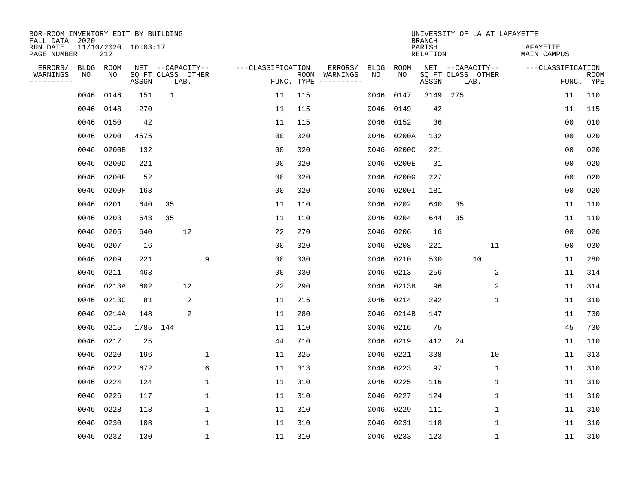| BOR-ROOM INVENTORY EDIT BY BUILDING<br>FALL DATA 2020 |                                |          |                                               |              |                   |     |                                                 |            |            | <b>BRANCH</b>      |      |                                       | UNIVERSITY OF LA AT LAFAYETTE |                           |
|-------------------------------------------------------|--------------------------------|----------|-----------------------------------------------|--------------|-------------------|-----|-------------------------------------------------|------------|------------|--------------------|------|---------------------------------------|-------------------------------|---------------------------|
| RUN DATE<br>PAGE NUMBER                               | $11/10/2020$ $10:03:17$<br>212 |          |                                               |              |                   |     |                                                 |            |            | PARISH<br>RELATION |      |                                       | LAFAYETTE<br>MAIN CAMPUS      |                           |
| ERRORS/<br>WARNINGS<br>NO<br>---------                | BLDG ROOM<br>NO                | ASSGN    | NET --CAPACITY--<br>SQ FT CLASS OTHER<br>LAB. |              | ---CLASSIFICATION |     | ERRORS/<br>ROOM WARNINGS<br>FUNC. TYPE $------$ | BLDG<br>NO | ROOM<br>NO | ASSGN              | LAB. | NET --CAPACITY--<br>SQ FT CLASS OTHER | ---CLASSIFICATION             | <b>ROOM</b><br>FUNC. TYPE |
| 0046                                                  | 0146                           | 151      | $\mathbf{1}$                                  |              | 11                | 115 |                                                 | 0046       | 0147       | 3149               | 275  |                                       | 11                            | 110                       |
| 0046                                                  | 0148                           | 270      |                                               |              | 11                | 115 |                                                 | 0046       | 0149       | 42                 |      |                                       | 11                            | 115                       |
| 0046                                                  | 0150                           | 42       |                                               |              | 11                | 115 |                                                 | 0046       | 0152       | 36                 |      |                                       | 0 <sub>0</sub>                | 010                       |
| 0046                                                  | 0200                           | 4575     |                                               |              | 0 <sub>0</sub>    | 020 |                                                 | 0046       | 0200A      | 132                |      |                                       | 0 <sub>0</sub>                | 020                       |
| 0046                                                  | 0200B                          | 132      |                                               |              | 0 <sub>0</sub>    | 020 |                                                 | 0046       | 0200C      | 221                |      |                                       | 00                            | 020                       |
| 0046                                                  | 0200D                          | 221      |                                               |              | 0 <sub>0</sub>    | 020 |                                                 | 0046       | 0200E      | 31                 |      |                                       | 0 <sub>0</sub>                | 020                       |
| 0046                                                  | 0200F                          | 52       |                                               |              | 0 <sub>0</sub>    | 020 |                                                 | 0046       | 0200G      | 227                |      |                                       | 0 <sub>0</sub>                | 020                       |
| 0046                                                  | 0200H                          | 168      |                                               |              | 0 <sub>0</sub>    | 020 |                                                 | 0046       | 0200I      | 181                |      |                                       | 0 <sub>0</sub>                | 020                       |
| 0046                                                  | 0201                           | 640      | 35                                            |              | 11                | 110 |                                                 | 0046       | 0202       | 640                | 35   |                                       | 11                            | 110                       |
| 0046                                                  | 0203                           | 643      | 35                                            |              | 11                | 110 |                                                 | 0046       | 0204       | 644                | 35   |                                       | 11                            | 110                       |
| 0046                                                  | 0205                           | 640      | 12                                            |              | 22                | 270 |                                                 | 0046       | 0206       | 16                 |      |                                       | 0 <sub>0</sub>                | 020                       |
| 0046                                                  | 0207                           | 16       |                                               |              | 0 <sub>0</sub>    | 020 |                                                 | 0046       | 0208       | 221                |      | 11                                    | 0 <sub>0</sub>                | 030                       |
| 0046                                                  | 0209                           | 221      |                                               | 9            | 0 <sub>0</sub>    | 030 |                                                 | 0046       | 0210       | 500                |      | 10                                    | 11                            | 280                       |
| 0046                                                  | 0211                           | 463      |                                               |              | 0 <sub>0</sub>    | 030 |                                                 | 0046       | 0213       | 256                |      | 2                                     | 11                            | 314                       |
| 0046                                                  | 0213A                          | 602      | 12                                            |              | 22                | 290 |                                                 | 0046       | 0213B      | 96                 |      | 2                                     | 11                            | 314                       |
| 0046                                                  | 0213C                          | 81       | 2                                             |              | 11                | 215 |                                                 | 0046       | 0214       | 292                |      | 1                                     | 11                            | 310                       |
| 0046                                                  | 0214A                          | 148      | 2                                             |              | 11                | 280 |                                                 | 0046       | 0214B      | 147                |      |                                       | 11                            | 730                       |
| 0046                                                  | 0215                           | 1785 144 |                                               |              | 11                | 110 |                                                 | 0046       | 0216       | 75                 |      |                                       | 45                            | 730                       |
| 0046                                                  | 0217                           | 25       |                                               |              | 44                | 710 |                                                 | 0046       | 0219       | 412                | 24   |                                       | 11                            | 110                       |
| 0046                                                  | 0220                           | 196      |                                               | 1            | 11                | 325 |                                                 | 0046       | 0221       | 338                |      | 10                                    | 11                            | 313                       |
| 0046                                                  | 0222                           | 672      |                                               | 6            | 11                | 313 |                                                 | 0046       | 0223       | 97                 |      | 1                                     | 11                            | 310                       |
| 0046                                                  | 0224                           | 124      |                                               | $\mathbf 1$  | 11                | 310 |                                                 | 0046       | 0225       | 116                |      | $\mathbf 1$                           | 11                            | 310                       |
| 0046                                                  | 0226                           | 117      |                                               | $\mathbf{1}$ | 11                | 310 |                                                 | 0046       | 0227       | 124                |      | 1                                     | 11                            | 310                       |
| 0046                                                  | 0228                           | 118      |                                               | $\mathbf{1}$ | 11                | 310 |                                                 | 0046       | 0229       | 111                |      | $\mathbf 1$                           | 11                            | 310                       |
| 0046                                                  | 0230                           | 108      |                                               | $\mathbf{1}$ | 11                | 310 |                                                 | 0046       | 0231       | 118                |      | 1                                     | 11                            | 310                       |
|                                                       | 0046 0232                      | 130      |                                               | $\mathbf{1}$ | 11                | 310 |                                                 |            | 0046 0233  | 123                |      | 1                                     | 11                            | 310                       |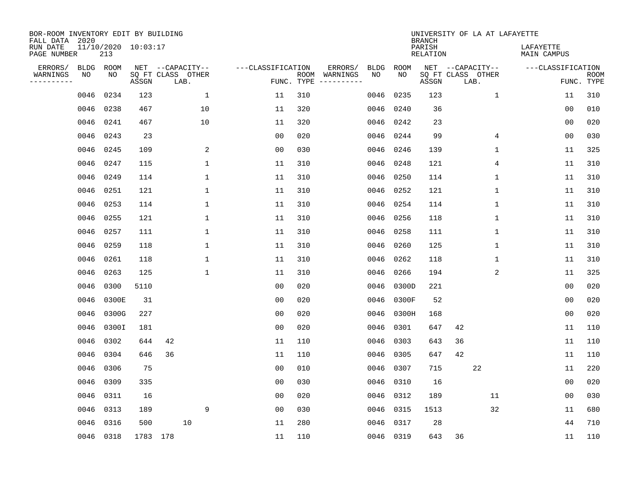| BOR-ROOM INVENTORY EDIT BY BUILDING<br>FALL DATA 2020 |             |                            |                            |    |                  |              |                   |            |               |             |             | <b>BRANCH</b>             | UNIVERSITY OF LA AT LAFAYETTE |    |              |                          |                |                           |
|-------------------------------------------------------|-------------|----------------------------|----------------------------|----|------------------|--------------|-------------------|------------|---------------|-------------|-------------|---------------------------|-------------------------------|----|--------------|--------------------------|----------------|---------------------------|
| RUN DATE<br>PAGE NUMBER                               |             | 11/10/2020 10:03:17<br>213 |                            |    |                  |              |                   |            |               |             |             | PARISH<br><b>RELATION</b> |                               |    |              | LAFAYETTE<br>MAIN CAMPUS |                |                           |
| ERRORS/                                               | <b>BLDG</b> | ROOM                       |                            |    | NET --CAPACITY-- |              | ---CLASSIFICATION |            | ERRORS/       | <b>BLDG</b> | <b>ROOM</b> |                           | NET --CAPACITY--              |    |              | ---CLASSIFICATION        |                |                           |
| WARNINGS<br>----------                                | NO          | NO                         | SQ FT CLASS OTHER<br>ASSGN |    | LAB.             |              |                   | FUNC. TYPE | ROOM WARNINGS | NO          | NO          | ASSGN                     | SQ FT CLASS OTHER<br>LAB.     |    |              |                          |                | <b>ROOM</b><br>FUNC. TYPE |
|                                                       | 0046        | 0234                       | 123                        |    |                  | 1            | 11                | 310        |               | 0046        | 0235        | 123                       |                               |    | $\mathbf 1$  |                          | 11             | 310                       |
|                                                       | 0046        | 0238                       | 467                        |    |                  | 10           | 11                | 320        |               | 0046        | 0240        | 36                        |                               |    |              |                          | 0 <sub>0</sub> | 010                       |
|                                                       | 0046        | 0241                       | 467                        |    |                  | 10           | 11                | 320        |               | 0046        | 0242        | 23                        |                               |    |              |                          | 0 <sub>0</sub> | 020                       |
|                                                       | 0046        | 0243                       | 23                         |    |                  |              | 0 <sub>0</sub>    | 020        |               | 0046        | 0244        | 99                        |                               |    | 4            |                          | 0 <sub>0</sub> | 030                       |
|                                                       | 0046        | 0245                       | 109                        |    |                  | 2            | 0 <sub>0</sub>    | 030        |               | 0046        | 0246        | 139                       |                               |    | 1            |                          | 11             | 325                       |
|                                                       | 0046        | 0247                       | 115                        |    |                  | $\mathbf{1}$ | 11                | 310        |               | 0046        | 0248        | 121                       |                               |    | 4            |                          | 11             | 310                       |
|                                                       | 0046        | 0249                       | 114                        |    |                  | $\mathbf{1}$ | 11                | 310        |               | 0046        | 0250        | 114                       |                               |    | $\mathbf{1}$ |                          | 11             | 310                       |
|                                                       | 0046        | 0251                       | 121                        |    |                  | $\mathbf{1}$ | 11                | 310        |               | 0046        | 0252        | 121                       |                               |    | $\mathbf{1}$ |                          | 11             | 310                       |
|                                                       | 0046        | 0253                       | 114                        |    |                  | $\mathbf{1}$ | 11                | 310        |               | 0046        | 0254        | 114                       |                               |    | $\mathbf{1}$ |                          | 11             | 310                       |
|                                                       | 0046        | 0255                       | 121                        |    |                  | $\mathbf 1$  | 11                | 310        |               | 0046        | 0256        | 118                       |                               |    | 1            |                          | 11             | 310                       |
|                                                       | 0046        | 0257                       | 111                        |    |                  | $\mathbf 1$  | 11                | 310        |               | 0046        | 0258        | 111                       |                               |    | 1            |                          | 11             | 310                       |
|                                                       |             | 0046 0259                  | 118                        |    |                  | 1            | 11                | 310        |               | 0046        | 0260        | 125                       |                               |    | 1            |                          | 11             | 310                       |
|                                                       | 0046        | 0261                       | 118                        |    |                  | $\mathbf 1$  | 11                | 310        |               | 0046        | 0262        | 118                       |                               |    | 1            |                          | 11             | 310                       |
|                                                       | 0046        | 0263                       | 125                        |    |                  | $\mathbf 1$  | 11                | 310        |               | 0046        | 0266        | 194                       |                               |    | 2            |                          | 11             | 325                       |
|                                                       | 0046        | 0300                       | 5110                       |    |                  |              | 0 <sub>0</sub>    | 020        |               | 0046        | 0300D       | 221                       |                               |    |              |                          | 0 <sub>0</sub> | 020                       |
|                                                       | 0046        | 0300E                      | 31                         |    |                  |              | 00                | 020        |               | 0046        | 0300F       | 52                        |                               |    |              |                          | 00             | 020                       |
|                                                       | 0046        | 0300G                      | 227                        |    |                  |              | 0 <sub>0</sub>    | 020        |               | 0046        | 0300H       | 168                       |                               |    |              |                          | 00             | 020                       |
|                                                       | 0046        | 0300I                      | 181                        |    |                  |              | 0 <sub>0</sub>    | 020        |               | 0046        | 0301        | 647                       | 42                            |    |              |                          | 11             | 110                       |
|                                                       | 0046        | 0302                       | 644                        | 42 |                  |              | 11                | 110        |               | 0046        | 0303        | 643                       | 36                            |    |              |                          | 11             | 110                       |
|                                                       | 0046        | 0304                       | 646                        | 36 |                  |              | 11                | 110        |               | 0046        | 0305        | 647                       | 42                            |    |              |                          | 11             | 110                       |
|                                                       | 0046        | 0306                       | 75                         |    |                  |              | 0 <sub>0</sub>    | 010        |               | 0046        | 0307        | 715                       |                               | 22 |              |                          | 11             | 220                       |
|                                                       | 0046        | 0309                       | 335                        |    |                  |              | 0 <sub>0</sub>    | 030        |               | 0046        | 0310        | 16                        |                               |    |              |                          | 0 <sub>0</sub> | 020                       |
|                                                       | 0046        | 0311                       | 16                         |    |                  |              | 0 <sub>0</sub>    | 020        |               | 0046        | 0312        | 189                       |                               | 11 |              |                          | 0 <sub>0</sub> | 030                       |
|                                                       | 0046        | 0313                       | 189                        |    |                  | 9            | 0 <sub>0</sub>    | 030        |               | 0046        | 0315        | 1513                      |                               | 32 |              |                          | 11             | 680                       |
|                                                       | 0046        | 0316                       | 500                        |    | 10               |              | 11                | 280        |               | 0046        | 0317        | 28                        |                               |    |              |                          | 44             | 710                       |
|                                                       |             | 0046 0318                  | 1783 178                   |    |                  |              | 11                | 110        |               |             | 0046 0319   | 643                       | 36                            |    |              |                          | 11             | 110                       |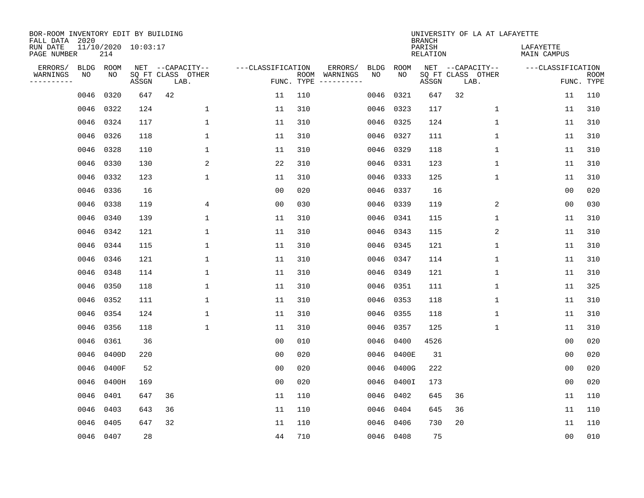| BOR-ROOM INVENTORY EDIT BY BUILDING<br>FALL DATA 2020 |             |           |                     |                           |                   |            |                                                                                                                  |      |           | <b>BRANCH</b>             | UNIVERSITY OF LA AT LAFAYETTE |                                 |                           |
|-------------------------------------------------------|-------------|-----------|---------------------|---------------------------|-------------------|------------|------------------------------------------------------------------------------------------------------------------|------|-----------|---------------------------|-------------------------------|---------------------------------|---------------------------|
| RUN DATE<br>PAGE NUMBER                               |             | 214       | 11/10/2020 10:03:17 |                           |                   |            |                                                                                                                  |      |           | PARISH<br><b>RELATION</b> |                               | LAFAYETTE<br><b>MAIN CAMPUS</b> |                           |
| ERRORS/                                               | <b>BLDG</b> | ROOM      |                     | NET --CAPACITY--          | ---CLASSIFICATION |            | ERRORS/                                                                                                          | BLDG | ROOM      |                           | NET --CAPACITY--              | ---CLASSIFICATION               |                           |
| WARNINGS<br>----------                                | NO          | NO        | ASSGN               | SQ FT CLASS OTHER<br>LAB. |                   | FUNC. TYPE | ROOM WARNINGS<br>$\begin{tabular}{cccccc} - & - & - & - & - & - & - \\ & - & - & - & - & - & - \\ \end{tabular}$ | NO   | NO        | ASSGN                     | SQ FT CLASS OTHER<br>LAB.     |                                 | <b>ROOM</b><br>FUNC. TYPE |
|                                                       | 0046        | 0320      | 647                 | 42                        | 11                | 110        |                                                                                                                  | 0046 | 0321      | 647                       | 32                            | 11                              | 110                       |
|                                                       | 0046        | 0322      | 124                 | $\mathbf 1$               | 11                | 310        |                                                                                                                  | 0046 | 0323      | 117                       | $\mathbf 1$                   | 11                              | 310                       |
|                                                       | 0046        | 0324      | 117                 | $\mathbf{1}$              | 11                | 310        |                                                                                                                  | 0046 | 0325      | 124                       | 1                             | 11                              | 310                       |
|                                                       | 0046        | 0326      | 118                 | $\mathbf{1}$              | 11                | 310        |                                                                                                                  | 0046 | 0327      | 111                       | 1                             | 11                              | 310                       |
|                                                       | 0046        | 0328      | 110                 | $\mathbf 1$               | 11                | 310        |                                                                                                                  | 0046 | 0329      | 118                       | $\mathbf{1}$                  | 11                              | 310                       |
|                                                       | 0046        | 0330      | 130                 | 2                         | 22                | 310        |                                                                                                                  |      | 0046 0331 | 123                       | $\mathbf{1}$                  | 11                              | 310                       |
|                                                       | 0046        | 0332      | 123                 | $\mathbf{1}$              | 11                | 310        |                                                                                                                  | 0046 | 0333      | 125                       | $\mathbf{1}$                  | 11                              | 310                       |
|                                                       | 0046 0336   |           | 16                  |                           | 0 <sub>0</sub>    | 020        |                                                                                                                  | 0046 | 0337      | 16                        |                               | 0 <sub>0</sub>                  | 020                       |
|                                                       | 0046        | 0338      | 119                 | 4                         | 0 <sub>0</sub>    | 030        |                                                                                                                  | 0046 | 0339      | 119                       | 2                             | 0 <sub>0</sub>                  | 030                       |
|                                                       | 0046        | 0340      | 139                 | $\mathbf 1$               | 11                | 310        |                                                                                                                  | 0046 | 0341      | 115                       | $\mathbf 1$                   | 11                              | 310                       |
|                                                       | 0046        | 0342      | 121                 | $\mathbf 1$               | 11                | 310        |                                                                                                                  | 0046 | 0343      | 115                       | 2                             | 11                              | 310                       |
|                                                       | 0046        | 0344      | 115                 | $\mathbf{1}$              | 11                | 310        |                                                                                                                  | 0046 | 0345      | 121                       | 1                             | 11                              | 310                       |
|                                                       | 0046        | 0346      | 121                 | $\mathbf{1}$              | 11                | 310        |                                                                                                                  | 0046 | 0347      | 114                       | 1                             | 11                              | 310                       |
|                                                       | 0046        | 0348      | 114                 | $\mathbf 1$               | 11                | 310        |                                                                                                                  | 0046 | 0349      | 121                       | 1                             | 11                              | 310                       |
|                                                       | 0046        | 0350      | 118                 | $\mathbf 1$               | 11                | 310        |                                                                                                                  | 0046 | 0351      | 111                       | 1                             | 11                              | 325                       |
|                                                       | 0046        | 0352      | 111                 | $\mathbf{1}$              | 11                | 310        |                                                                                                                  | 0046 | 0353      | 118                       | 1                             | 11                              | 310                       |
|                                                       | 0046        | 0354      | 124                 | $\mathbf{1}$              | 11                | 310        |                                                                                                                  | 0046 | 0355      | 118                       | 1                             | 11                              | 310                       |
|                                                       | 0046        | 0356      | 118                 | $\mathbf 1$               | 11                | 310        |                                                                                                                  | 0046 | 0357      | 125                       | 1                             | 11                              | 310                       |
|                                                       | 0046        | 0361      | 36                  |                           | 0 <sub>0</sub>    | 010        |                                                                                                                  | 0046 | 0400      | 4526                      |                               | 0 <sub>0</sub>                  | 020                       |
|                                                       | 0046        | 0400D     | 220                 |                           | 0 <sub>0</sub>    | 020        |                                                                                                                  | 0046 | 0400E     | 31                        |                               | 0 <sub>0</sub>                  | 020                       |
|                                                       | 0046        | 0400F     | 52                  |                           | 0 <sub>0</sub>    | 020        |                                                                                                                  | 0046 | 0400G     | 222                       |                               | 0 <sub>0</sub>                  | 020                       |
|                                                       | 0046        | 0400H     | 169                 |                           | 0 <sub>0</sub>    | 020        |                                                                                                                  | 0046 | 0400I     | 173                       |                               | 0 <sub>0</sub>                  | 020                       |
|                                                       | 0046        | 0401      | 647                 | 36                        | 11                | 110        |                                                                                                                  | 0046 | 0402      | 645                       | 36                            | 11                              | 110                       |
|                                                       | 0046        | 0403      | 643                 | 36                        | 11                | 110        |                                                                                                                  | 0046 | 0404      | 645                       | 36                            | 11                              | 110                       |
|                                                       | 0046        | 0405      | 647                 | 32                        | 11                | 110        |                                                                                                                  | 0046 | 0406      | 730                       | 20                            | 11                              | 110                       |
|                                                       |             | 0046 0407 | 28                  |                           | 44                | 710        |                                                                                                                  |      | 0046 0408 | 75                        |                               | 0 <sub>0</sub>                  | 010                       |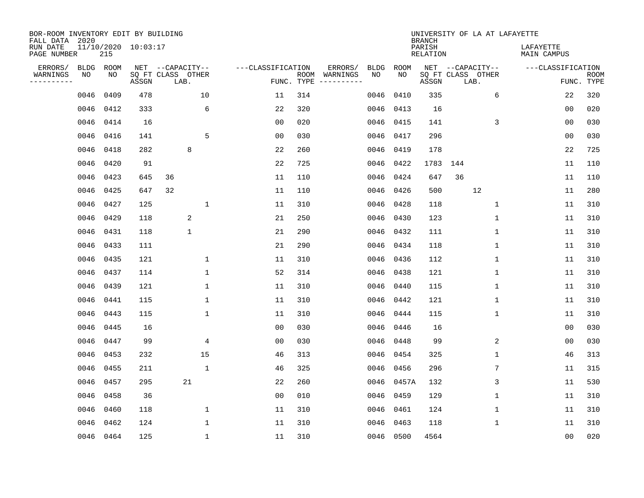| BOR-ROOM INVENTORY EDIT BY BUILDING<br>FALL DATA 2020 |      |           |                     |                           |                   |                    |                         |      |           | <b>BRANCH</b>             | UNIVERSITY OF LA AT LAFAYETTE |                                 |                           |
|-------------------------------------------------------|------|-----------|---------------------|---------------------------|-------------------|--------------------|-------------------------|------|-----------|---------------------------|-------------------------------|---------------------------------|---------------------------|
| RUN DATE<br>PAGE NUMBER                               |      | 215       | 11/10/2020 10:03:17 |                           |                   |                    |                         |      |           | PARISH<br><b>RELATION</b> |                               | LAFAYETTE<br><b>MAIN CAMPUS</b> |                           |
| ERRORS/                                               | BLDG | ROOM      |                     | NET --CAPACITY--          | ---CLASSIFICATION |                    | ERRORS/                 | BLDG | ROOM      |                           | NET --CAPACITY--              | ---CLASSIFICATION               |                           |
| WARNINGS<br>----------                                | NO   | NO        | ASSGN               | SQ FT CLASS OTHER<br>LAB. |                   | ROOM<br>FUNC. TYPE | WARNINGS<br>----------- | NO   | NO        | ASSGN                     | SQ FT CLASS OTHER<br>LAB.     |                                 | <b>ROOM</b><br>FUNC. TYPE |
|                                                       | 0046 | 0409      | 478                 | 10                        | 11                | 314                |                         | 0046 | 0410      | 335                       | 6                             | 22                              | 320                       |
|                                                       | 0046 | 0412      | 333                 | 6                         | 22                | 320                |                         | 0046 | 0413      | 16                        |                               | 00                              | 020                       |
|                                                       | 0046 | 0414      | 16                  |                           | 0 <sub>0</sub>    | 020                |                         | 0046 | 0415      | 141                       | 3                             | 0 <sub>0</sub>                  | 030                       |
|                                                       | 0046 | 0416      | 141                 | 5                         | 0 <sub>0</sub>    | 030                |                         |      | 0046 0417 | 296                       |                               | 0 <sub>0</sub>                  | 030                       |
|                                                       | 0046 | 0418      | 282                 | 8                         | 22                | 260                |                         | 0046 | 0419      | 178                       |                               | 22                              | 725                       |
|                                                       | 0046 | 0420      | 91                  |                           | 22                | 725                |                         |      | 0046 0422 | 1783                      | 144                           | 11                              | 110                       |
|                                                       | 0046 | 0423      | 645                 | 36                        | 11                | 110                |                         |      | 0046 0424 | 647                       | 36                            | 11                              | 110                       |
|                                                       | 0046 | 0425      | 647                 | 32                        | 11                | 110                |                         |      | 0046 0426 | 500                       | 12                            | 11                              | 280                       |
|                                                       | 0046 | 0427      | 125                 | $\mathbf{1}$              | 11                | 310                |                         | 0046 | 0428      | 118                       | $\mathbf{1}$                  | 11                              | 310                       |
|                                                       | 0046 | 0429      | 118                 | 2                         | 21                | 250                |                         | 0046 | 0430      | 123                       | 1                             | 11                              | 310                       |
|                                                       | 0046 | 0431      | 118                 | $\mathbf 1$               | 21                | 290                |                         | 0046 | 0432      | 111                       | $\mathbf 1$                   | 11                              | 310                       |
|                                                       | 0046 | 0433      | 111                 |                           | 21                | 290                |                         |      | 0046 0434 | 118                       | $\mathbf 1$                   | 11                              | 310                       |
|                                                       | 0046 | 0435      | 121                 | 1                         | 11                | 310                |                         | 0046 | 0436      | 112                       | $\mathbf 1$                   | 11                              | 310                       |
|                                                       | 0046 | 0437      | 114                 | 1                         | 52                | 314                |                         | 0046 | 0438      | 121                       | 1                             | 11                              | 310                       |
|                                                       | 0046 | 0439      | 121                 | 1                         | 11                | 310                |                         | 0046 | 0440      | 115                       | 1                             | 11                              | 310                       |
|                                                       | 0046 | 0441      | 115                 | 1                         | 11                | 310                |                         |      | 0046 0442 | 121                       | 1                             | 11                              | 310                       |
|                                                       | 0046 | 0443      | 115                 | $\mathbf{1}$              | 11                | 310                |                         | 0046 | 0444      | 115                       | 1                             | 11                              | 310                       |
|                                                       | 0046 | 0445      | 16                  |                           | 0 <sub>0</sub>    | 030                |                         | 0046 | 0446      | 16                        |                               | 0 <sub>0</sub>                  | 030                       |
|                                                       | 0046 | 0447      | 99                  | 4                         | 0 <sub>0</sub>    | 030                |                         | 0046 | 0448      | 99                        | 2                             | 0 <sub>0</sub>                  | 030                       |
|                                                       | 0046 | 0453      | 232                 | 15                        | 46                | 313                |                         | 0046 | 0454      | 325                       | $\mathbf 1$                   | 46                              | 313                       |
|                                                       | 0046 | 0455      | 211                 | $\mathbf{1}$              | 46                | 325                |                         | 0046 | 0456      | 296                       | 7                             | 11                              | 315                       |
|                                                       | 0046 | 0457      | 295                 | 21                        | 22                | 260                |                         | 0046 | 0457A     | 132                       | 3                             | 11                              | 530                       |
|                                                       | 0046 | 0458      | 36                  |                           | 0 <sub>0</sub>    | 010                |                         | 0046 | 0459      | 129                       | 1                             | 11                              | 310                       |
|                                                       | 0046 | 0460      | 118                 | $\mathbf 1$               | 11                | 310                |                         | 0046 | 0461      | 124                       | $\mathbf 1$                   | 11                              | 310                       |
|                                                       | 0046 | 0462      | 124                 | $\mathbf{1}$              | 11                | 310                |                         | 0046 | 0463      | 118                       | 1                             | 11                              | 310                       |
|                                                       |      | 0046 0464 | 125                 | $\mathbf{1}$              | 11                | 310                |                         |      | 0046 0500 | 4564                      |                               | 00                              | 020                       |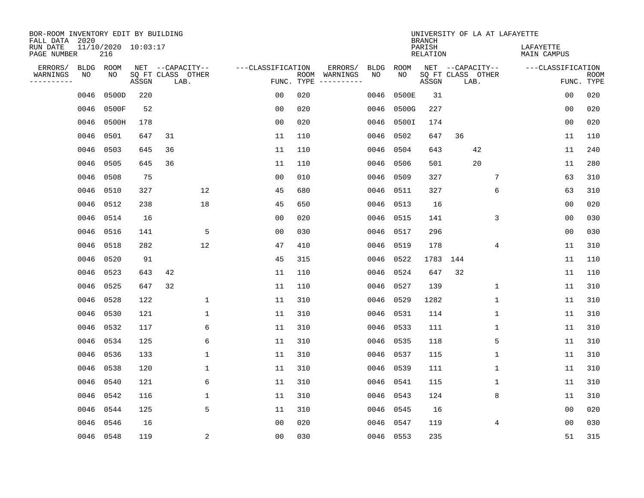| BOR-ROOM INVENTORY EDIT BY BUILDING<br>FALL DATA 2020 |           |                            |       |                           |                   |            |               |             |           | <b>BRANCH</b>             |      | UNIVERSITY OF LA AT LAFAYETTE |                                 |                           |
|-------------------------------------------------------|-----------|----------------------------|-------|---------------------------|-------------------|------------|---------------|-------------|-----------|---------------------------|------|-------------------------------|---------------------------------|---------------------------|
| RUN DATE<br>PAGE NUMBER                               |           | 11/10/2020 10:03:17<br>216 |       |                           |                   |            |               |             |           | PARISH<br><b>RELATION</b> |      |                               | LAFAYETTE<br><b>MAIN CAMPUS</b> |                           |
| ERRORS/                                               | BLDG      | ROOM                       |       | NET --CAPACITY--          | ---CLASSIFICATION |            | ERRORS/       | <b>BLDG</b> | ROOM      |                           |      | NET --CAPACITY--              | ---CLASSIFICATION               |                           |
| WARNINGS<br>----------                                | NO        | NO                         | ASSGN | SQ FT CLASS OTHER<br>LAB. |                   | FUNC. TYPE | ROOM WARNINGS | NO          | NO        | ASSGN                     | LAB. | SQ FT CLASS OTHER             |                                 | <b>ROOM</b><br>FUNC. TYPE |
|                                                       | 0046      | 0500D                      | 220   |                           | 0 <sub>0</sub>    | 020        |               | 0046        | 0500E     | 31                        |      |                               | 0 <sub>0</sub>                  | 020                       |
|                                                       | 0046      | 0500F                      | 52    |                           | 0 <sub>0</sub>    | 020        |               | 0046        | 0500G     | 227                       |      |                               | 0 <sub>0</sub>                  | 020                       |
|                                                       | 0046      | 0500H                      | 178   |                           | 00                | 020        |               | 0046        | 0500I     | 174                       |      |                               | 0 <sub>0</sub>                  | 020                       |
|                                                       | 0046      | 0501                       | 647   | 31                        | 11                | 110        |               | 0046        | 0502      | 647                       | 36   |                               | 11                              | 110                       |
|                                                       | 0046      | 0503                       | 645   | 36                        | 11                | 110        |               | 0046        | 0504      | 643                       |      | 42                            | 11                              | 240                       |
|                                                       | 0046 0505 |                            | 645   | 36                        | 11                | 110        |               | 0046        | 0506      | 501                       |      | 20                            | 11                              | 280                       |
|                                                       | 0046      | 0508                       | 75    |                           | 0 <sub>0</sub>    | 010        |               | 0046        | 0509      | 327                       |      | 7                             | 63                              | 310                       |
|                                                       | 0046 0510 |                            | 327   | 12                        | 45                | 680        |               | 0046        | 0511      | 327                       |      | 6                             | 63                              | 310                       |
|                                                       | 0046      | 0512                       | 238   | 18                        | 45                | 650        |               | 0046        | 0513      | 16                        |      |                               | 0 <sub>0</sub>                  | 020                       |
|                                                       | 0046 0514 |                            | 16    |                           | 0 <sub>0</sub>    | 020        |               | 0046        | 0515      | 141                       |      | 3                             | 0 <sub>0</sub>                  | 030                       |
|                                                       | 0046 0516 |                            | 141   | 5                         | 0 <sub>0</sub>    | 030        |               | 0046        | 0517      | 296                       |      |                               | 0 <sub>0</sub>                  | 030                       |
|                                                       | 0046      | 0518                       | 282   | 12                        | 47                | 410        |               | 0046        | 0519      | 178                       |      | 4                             | 11                              | 310                       |
|                                                       | 0046      | 0520                       | 91    |                           | 45                | 315        |               | 0046        | 0522      | 1783                      | 144  |                               | 11                              | 110                       |
|                                                       | 0046      | 0523                       | 643   | 42                        | 11                | 110        |               | 0046        | 0524      | 647                       | 32   |                               | 11                              | 110                       |
|                                                       | 0046      | 0525                       | 647   | 32                        | 11                | 110        |               | 0046        | 0527      | 139                       |      | $\mathbf{1}$                  | 11                              | 310                       |
|                                                       | 0046      | 0528                       | 122   | $\mathbf{1}$              | 11                | 310        |               | 0046        | 0529      | 1282                      |      | $\mathbf 1$                   | 11                              | 310                       |
|                                                       | 0046      | 0530                       | 121   | $\mathbf{1}$              | 11                | 310        |               | 0046        | 0531      | 114                       |      | $\mathbf 1$                   | 11                              | 310                       |
|                                                       | 0046      | 0532                       | 117   | 6                         | 11                | 310        |               | 0046        | 0533      | 111                       |      | $\mathbf 1$                   | 11                              | 310                       |
|                                                       | 0046      | 0534                       | 125   | 6                         | 11                | 310        |               | 0046        | 0535      | 118                       |      | 5                             | 11                              | 310                       |
|                                                       | 0046      | 0536                       | 133   | $\mathbf{1}$              | 11                | 310        |               | 0046        | 0537      | 115                       |      | 1                             | 11                              | 310                       |
|                                                       | 0046      | 0538                       | 120   | 1                         | 11                | 310        |               | 0046        | 0539      | 111                       |      | $\mathbf 1$                   | 11                              | 310                       |
|                                                       | 0046      | 0540                       | 121   | 6                         | 11                | 310        |               | 0046        | 0541      | 115                       |      | 1                             | 11                              | 310                       |
|                                                       | 0046      | 0542                       | 116   | 1                         | 11                | 310        |               | 0046        | 0543      | 124                       |      | 8                             | 11                              | 310                       |
|                                                       | 0046      | 0544                       | 125   | 5                         | 11                | 310        |               | 0046        | 0545      | 16                        |      |                               | 0 <sub>0</sub>                  | 020                       |
|                                                       | 0046      | 0546                       | 16    |                           | 0 <sub>0</sub>    | 020        |               | 0046        | 0547      | 119                       |      | 4                             | 0 <sub>0</sub>                  | 030                       |
|                                                       | 0046 0548 |                            | 119   | 2                         | 0 <sub>0</sub>    | 030        |               |             | 0046 0553 | 235                       |      |                               | 51                              | 315                       |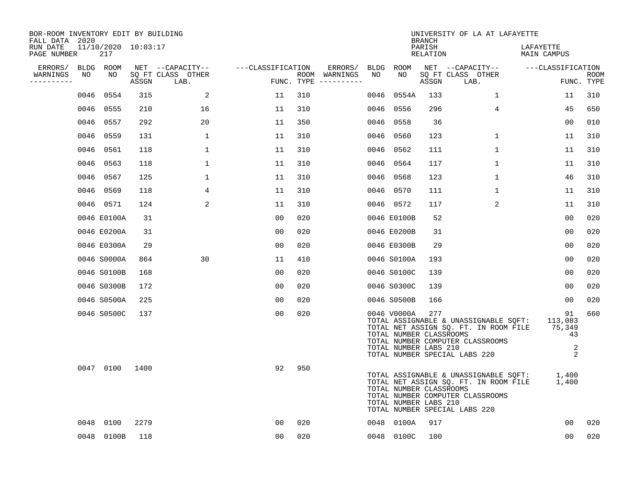| BOR-ROOM INVENTORY EDIT BY BUILDING<br>FALL DATA 2020 |      |                            |       |                           |                   |     |                                      |      |                                                                 | <b>BRANCH</b>      | UNIVERSITY OF LA AT LAFAYETTE                                                                                                                                      |                          |                    |
|-------------------------------------------------------|------|----------------------------|-------|---------------------------|-------------------|-----|--------------------------------------|------|-----------------------------------------------------------------|--------------------|--------------------------------------------------------------------------------------------------------------------------------------------------------------------|--------------------------|--------------------|
| RUN DATE<br>PAGE NUMBER                               |      | 11/10/2020 10:03:17<br>217 |       |                           |                   |     |                                      |      |                                                                 | PARISH<br>RELATION |                                                                                                                                                                    | LAFAYETTE<br>MAIN CAMPUS |                    |
| ERRORS/                                               |      | BLDG ROOM                  |       | NET --CAPACITY--          | ---CLASSIFICATION |     | ERRORS/                              |      | BLDG ROOM                                                       |                    | NET --CAPACITY--                                                                                                                                                   | ---CLASSIFICATION        |                    |
| WARNINGS<br>----------                                | NO   | NO                         | ASSGN | SQ FT CLASS OTHER<br>LAB. |                   |     | ROOM WARNINGS<br>FUNC. TYPE $------$ | NO   | NO                                                              | ASSGN              | SQ FT CLASS OTHER<br>LAB.                                                                                                                                          |                          | ROOM<br>FUNC. TYPE |
|                                                       | 0046 | 0554                       | 315   | 2                         | 11                | 310 |                                      | 0046 | 0554A                                                           | 133                | $\mathbf{1}$                                                                                                                                                       | 11                       | 310                |
|                                                       |      | 0046 0555                  | 210   | 16                        | 11                | 310 |                                      |      | 0046 0556                                                       | 296                | 4                                                                                                                                                                  | 45                       | 650                |
|                                                       |      | 0046 0557                  | 292   | 20                        | 11                | 350 |                                      |      | 0046 0558                                                       | 36                 |                                                                                                                                                                    | 00                       | 010                |
|                                                       |      | 0046 0559                  | 131   | 1                         | 11                | 310 |                                      |      | 0046 0560                                                       | 123                | $\mathbf{1}$                                                                                                                                                       | 11                       | 310                |
|                                                       |      | 0046 0561                  | 118   | $\mathbf 1$               | 11                | 310 |                                      |      | 0046 0562                                                       | 111                | $\mathbf{1}$                                                                                                                                                       | 11                       | 310                |
|                                                       |      | 0046 0563                  | 118   | $\mathbf{1}$              | 11                | 310 |                                      |      | 0046 0564                                                       | 117                | 1                                                                                                                                                                  | 11                       | 310                |
|                                                       |      | 0046 0567                  | 125   | $\mathbf 1$               | 11                | 310 |                                      |      | 0046 0568                                                       | 123                | $\mathbf{1}$                                                                                                                                                       | 46                       | 310                |
|                                                       |      | 0046 0569                  | 118   | 4                         | 11                | 310 |                                      |      | 0046 0570                                                       | 111                | $\mathbf{1}$                                                                                                                                                       | 11                       | 310                |
|                                                       |      | 0046 0571                  | 124   | 2                         | 11                | 310 |                                      |      | 0046 0572                                                       | 117                | 2                                                                                                                                                                  | 11                       | 310                |
|                                                       |      | 0046 E0100A                | 31    |                           | 00                | 020 |                                      |      | 0046 E0100B                                                     | 52                 |                                                                                                                                                                    | 0 <sub>0</sub>           | 020                |
|                                                       |      | 0046 E0200A                | 31    |                           | 00                | 020 |                                      |      | 0046 E0200B                                                     | 31                 |                                                                                                                                                                    | 0 <sub>0</sub>           | 020                |
|                                                       |      | 0046 E0300A                | 29    |                           | 0 <sub>0</sub>    | 020 |                                      |      | 0046 E0300B                                                     | 29                 |                                                                                                                                                                    | 0 <sub>0</sub>           | 020                |
|                                                       |      | 0046 S0000A                | 864   | 30                        | 11                | 410 |                                      |      | 0046 S0100A                                                     | 193                |                                                                                                                                                                    | $00 \,$                  | 020                |
|                                                       |      | 0046 S0100B                | 168   |                           | 0 <sub>0</sub>    | 020 |                                      |      | 0046 S0100C                                                     | 139                |                                                                                                                                                                    | 00                       | 020                |
|                                                       |      | 0046 S0300B                | 172   |                           | 0 <sub>0</sub>    | 020 |                                      |      | 0046 S0300C                                                     | 139                |                                                                                                                                                                    | 00                       | 020                |
|                                                       |      | 0046 S0500A                | 225   |                           | 00                | 020 |                                      |      | 0046 S0500B                                                     | 166                |                                                                                                                                                                    | $00 \,$                  | 020                |
|                                                       |      | 0046 S0500C                | 137   |                           | 0 <sub>0</sub>    | 020 |                                      |      | 0046 V0000A<br>TOTAL NUMBER CLASSROOMS<br>TOTAL NUMBER LABS 210 | 277                | TOTAL ASSIGNABLE & UNASSIGNABLE SQFT: 113,083<br>TOTAL NET ASSIGN SQ. FT. IN ROOM FILE 75,349<br>TOTAL NUMBER COMPUTER CLASSROOMS<br>TOTAL NUMBER SPECIAL LABS 220 | 91<br>43<br>2<br>2       | 660                |
|                                                       |      | 0047 0100                  | 1400  |                           | 92                | 950 |                                      |      | TOTAL NUMBER CLASSROOMS<br>TOTAL NUMBER LABS 210                |                    | TOTAL ASSIGNABLE & UNASSIGNABLE SQFT: 1,400<br>TOTAL NET ASSIGN SQ. FT. IN ROOM FILE<br>TOTAL NUMBER COMPUTER CLASSROOMS<br>TOTAL NUMBER SPECIAL LABS 220          | 1,400                    |                    |
|                                                       |      | 0048 0100                  | 2279  |                           | 0 <sub>0</sub>    | 020 |                                      |      | 0048 0100A                                                      | 917                |                                                                                                                                                                    | 00                       | 020                |
|                                                       |      | 0048 0100B                 | 118   |                           | 0 <sub>0</sub>    | 020 |                                      |      | 0048 0100C                                                      | 100                |                                                                                                                                                                    | 0 <sub>0</sub>           | 020                |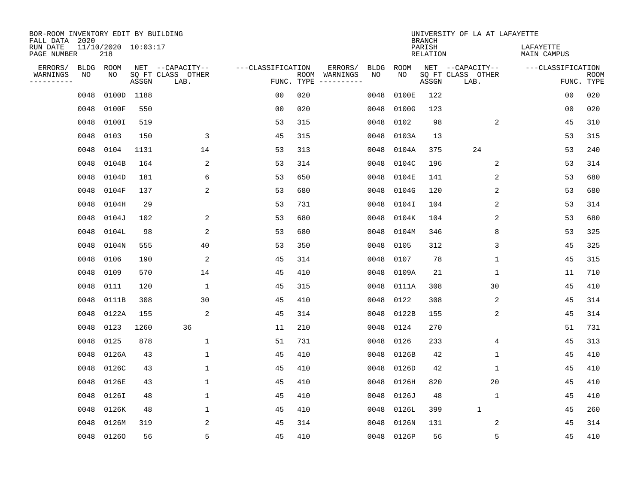| BOR-ROOM INVENTORY EDIT BY BUILDING<br>FALL DATA 2020 |             |                            |       |                           |                   |     |                                      |             |            | <b>BRANCH</b>             | UNIVERSITY OF LA AT LAFAYETTE |                          |                           |
|-------------------------------------------------------|-------------|----------------------------|-------|---------------------------|-------------------|-----|--------------------------------------|-------------|------------|---------------------------|-------------------------------|--------------------------|---------------------------|
| RUN DATE<br>PAGE NUMBER                               |             | 11/10/2020 10:03:17<br>218 |       |                           |                   |     |                                      |             |            | PARISH<br><b>RELATION</b> |                               | LAFAYETTE<br>MAIN CAMPUS |                           |
| ERRORS/                                               | <b>BLDG</b> | ROOM                       |       | NET --CAPACITY--          | ---CLASSIFICATION |     | ERRORS/                              | <b>BLDG</b> | ROOM       |                           | NET --CAPACITY--              | ---CLASSIFICATION        |                           |
| WARNINGS<br>----------                                | NO          | NO                         | ASSGN | SQ FT CLASS OTHER<br>LAB. |                   |     | ROOM WARNINGS<br>FUNC. TYPE $------$ | NO          | NO         | ASSGN                     | SQ FT CLASS OTHER<br>LAB.     |                          | <b>ROOM</b><br>FUNC. TYPE |
|                                                       | 0048        | 0100D                      | 1188  |                           | 0 <sub>0</sub>    | 020 |                                      | 0048        | 0100E      | 122                       |                               | 00                       | 020                       |
|                                                       | 0048        | 0100F                      | 550   |                           | 0 <sub>0</sub>    | 020 |                                      | 0048        | 0100G      | 123                       |                               | 00                       | 020                       |
|                                                       | 0048        | 0100I                      | 519   |                           | 53                | 315 |                                      | 0048        | 0102       | 98                        | 2                             | 45                       | 310                       |
|                                                       | 0048        | 0103                       | 150   | 3                         | 45                | 315 |                                      | 0048        | 0103A      | 13                        |                               | 53                       | 315                       |
|                                                       | 0048        | 0104                       | 1131  | 14                        | 53                | 313 |                                      | 0048        | 0104A      | 375                       | 24                            | 53                       | 240                       |
|                                                       | 0048        | 0104B                      | 164   | 2                         | 53                | 314 |                                      | 0048        | 0104C      | 196                       | 2                             | 53                       | 314                       |
|                                                       | 0048        | 0104D                      | 181   | 6                         | 53                | 650 |                                      | 0048        | 0104E      | 141                       | 2                             | 53                       | 680                       |
|                                                       | 0048        | 0104F                      | 137   | 2                         | 53                | 680 |                                      | 0048        | 0104G      | 120                       | 2                             | 53                       | 680                       |
|                                                       | 0048        | 0104H                      | 29    |                           | 53                | 731 |                                      | 0048        | 0104I      | 104                       | 2                             | 53                       | 314                       |
|                                                       | 0048        | 0104J                      | 102   | 2                         | 53                | 680 |                                      | 0048        | 0104K      | 104                       | 2                             | 53                       | 680                       |
|                                                       | 0048        | 0104L                      | 98    | 2                         | 53                | 680 |                                      | 0048        | 0104M      | 346                       | 8                             | 53                       | 325                       |
|                                                       | 0048        | 0104N                      | 555   | 40                        | 53                | 350 |                                      | 0048        | 0105       | 312                       | 3                             | 45                       | 325                       |
|                                                       | 0048        | 0106                       | 190   | 2                         | 45                | 314 |                                      | 0048        | 0107       | 78                        | 1                             | 45                       | 315                       |
|                                                       | 0048        | 0109                       | 570   | 14                        | 45                | 410 |                                      | 0048        | 0109A      | 21                        | 1                             | 11                       | 710                       |
|                                                       | 0048        | 0111                       | 120   | 1                         | 45                | 315 |                                      | 0048        | 0111A      | 308                       | 30                            | 45                       | 410                       |
|                                                       | 0048        | 0111B                      | 308   | 30                        | 45                | 410 |                                      | 0048        | 0122       | 308                       | 2                             | 45                       | 314                       |
|                                                       | 0048        | 0122A                      | 155   | 2                         | 45                | 314 |                                      | 0048        | 0122B      | 155                       | 2                             | 45                       | 314                       |
|                                                       | 0048        | 0123                       | 1260  | 36                        | 11                | 210 |                                      | 0048        | 0124       | 270                       |                               | 51                       | 731                       |
|                                                       | 0048        | 0125                       | 878   | 1                         | 51                | 731 |                                      | 0048        | 0126       | 233                       | 4                             | 45                       | 313                       |
|                                                       | 0048        | 0126A                      | 43    | $\mathbf{1}$              | 45                | 410 |                                      | 0048        | 0126B      | 42                        | 1                             | 45                       | 410                       |
|                                                       | 0048        | 0126C                      | 43    | 1                         | 45                | 410 |                                      | 0048        | 0126D      | 42                        | 1                             | 45                       | 410                       |
|                                                       | 0048        | 0126E                      | 43    | $\mathbf{1}$              | 45                | 410 |                                      | 0048        | 0126H      | 820                       | 20                            | 45                       | 410                       |
|                                                       | 0048        | 0126I                      | 48    | 1                         | 45                | 410 |                                      | 0048        | 0126J      | 48                        | 1                             | 45                       | 410                       |
|                                                       | 0048        | 0126K                      | 48    | $\mathbf 1$               | 45                | 410 |                                      | 0048        | 0126L      | 399                       | $\mathbf{1}$                  | 45                       | 260                       |
|                                                       | 0048        | 0126M                      | 319   | 2                         | 45                | 314 |                                      | 0048        | 0126N      | 131                       | 2                             | 45                       | 314                       |
|                                                       |             | 0048 01260                 | 56    | 5                         | 45                | 410 |                                      |             | 0048 0126P | 56                        | 5                             | 45                       | 410                       |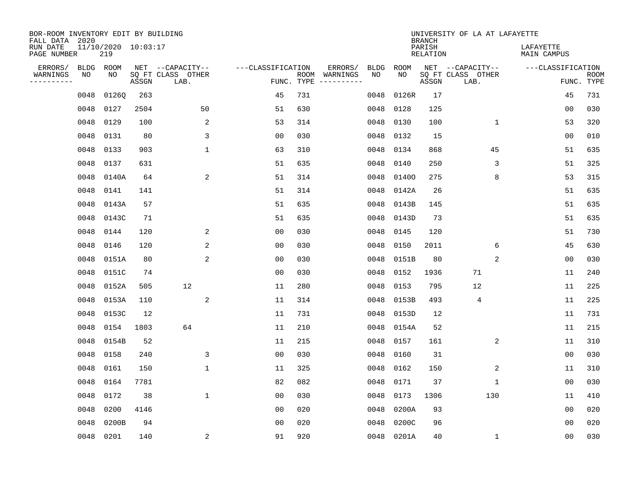| BOR-ROOM INVENTORY EDIT BY BUILDING<br>FALL DATA 2020 |           |                                |       |                           |                   |            |               |      |            | <b>BRANCH</b>      | UNIVERSITY OF LA AT LAFAYETTE |                          |                           |
|-------------------------------------------------------|-----------|--------------------------------|-------|---------------------------|-------------------|------------|---------------|------|------------|--------------------|-------------------------------|--------------------------|---------------------------|
| RUN DATE<br>PAGE NUMBER                               |           | $11/10/2020$ $10:03:17$<br>219 |       |                           |                   |            |               |      |            | PARISH<br>RELATION |                               | LAFAYETTE<br>MAIN CAMPUS |                           |
| ERRORS/                                               | BLDG ROOM |                                |       | NET --CAPACITY--          | ---CLASSIFICATION |            | ERRORS/       | BLDG | ROOM       |                    | NET --CAPACITY--              | ---CLASSIFICATION        |                           |
| WARNINGS<br>----------                                | NO        | NO                             | ASSGN | SQ FT CLASS OTHER<br>LAB. |                   | FUNC. TYPE | ROOM WARNINGS | NO   | NO         | ASSGN              | SQ FT CLASS OTHER<br>LAB.     |                          | <b>ROOM</b><br>FUNC. TYPE |
|                                                       | 0048      | 0126Q                          | 263   |                           | 45                | 731        |               | 0048 | 0126R      | 17                 |                               | 45                       | 731                       |
|                                                       | 0048      | 0127                           | 2504  | 50                        | 51                | 630        |               | 0048 | 0128       | 125                |                               | 00                       | 030                       |
|                                                       | 0048      | 0129                           | 100   | 2                         | 53                | 314        |               | 0048 | 0130       | 100                | 1                             | 53                       | 320                       |
|                                                       | 0048      | 0131                           | 80    | 3                         | 0 <sub>0</sub>    | 030        |               | 0048 | 0132       | 15                 |                               | 0 <sub>0</sub>           | 010                       |
|                                                       | 0048      | 0133                           | 903   | $\mathbf{1}$              | 63                | 310        |               | 0048 | 0134       | 868                | 45                            | 51                       | 635                       |
|                                                       | 0048      | 0137                           | 631   |                           | 51                | 635        |               | 0048 | 0140       | 250                | 3                             | 51                       | 325                       |
|                                                       | 0048      | 0140A                          | 64    | 2                         | 51                | 314        |               | 0048 | 01400      | 275                | 8                             | 53                       | 315                       |
|                                                       | 0048      | 0141                           | 141   |                           | 51                | 314        |               | 0048 | 0142A      | 26                 |                               | 51                       | 635                       |
|                                                       | 0048      | 0143A                          | 57    |                           | 51                | 635        |               | 0048 | 0143B      | 145                |                               | 51                       | 635                       |
|                                                       | 0048      | 0143C                          | 71    |                           | 51                | 635        |               | 0048 | 0143D      | 73                 |                               | 51                       | 635                       |
|                                                       | 0048      | 0144                           | 120   | 2                         | 0 <sub>0</sub>    | 030        |               | 0048 | 0145       | 120                |                               | 51                       | 730                       |
|                                                       | 0048      | 0146                           | 120   | 2                         | 0 <sub>0</sub>    | 030        |               | 0048 | 0150       | 2011               | 6                             | 45                       | 630                       |
|                                                       | 0048      | 0151A                          | 80    | 2                         | 0 <sub>0</sub>    | 030        |               | 0048 | 0151B      | 80                 | 2                             | 0 <sub>0</sub>           | 030                       |
|                                                       | 0048      | 0151C                          | 74    |                           | 0 <sub>0</sub>    | 030        |               | 0048 | 0152       | 1936               | 71                            | 11                       | 240                       |
|                                                       | 0048      | 0152A                          | 505   | 12                        | 11                | 280        |               | 0048 | 0153       | 795                | 12                            | 11                       | 225                       |
|                                                       | 0048      | 0153A                          | 110   | 2                         | 11                | 314        |               | 0048 | 0153B      | 493                | 4                             | 11                       | 225                       |
|                                                       | 0048      | 0153C                          | 12    |                           | 11                | 731        |               | 0048 | 0153D      | 12                 |                               | 11                       | 731                       |
|                                                       | 0048      | 0154                           | 1803  | 64                        | 11                | 210        |               | 0048 | 0154A      | 52                 |                               | 11                       | 215                       |
|                                                       | 0048      | 0154B                          | 52    |                           | 11                | 215        |               | 0048 | 0157       | 161                | 2                             | 11                       | 310                       |
|                                                       | 0048      | 0158                           | 240   | 3                         | 0 <sub>0</sub>    | 030        |               | 0048 | 0160       | 31                 |                               | 00                       | 030                       |
|                                                       | 0048      | 0161                           | 150   | $\mathbf{1}$              | 11                | 325        |               | 0048 | 0162       | 150                | 2                             | 11                       | 310                       |
|                                                       | 0048      | 0164                           | 7781  |                           | 82                | 082        |               | 0048 | 0171       | 37                 | $\mathbf 1$                   | 0 <sub>0</sub>           | 030                       |
|                                                       | 0048      | 0172                           | 38    | $\mathbf{1}$              | 0 <sub>0</sub>    | 030        |               | 0048 | 0173       | 1306               | 130                           | 11                       | 410                       |
|                                                       | 0048      | 0200                           | 4146  |                           | 0 <sub>0</sub>    | 020        |               | 0048 | 0200A      | 93                 |                               | 0 <sub>0</sub>           | 020                       |
|                                                       | 0048      | 0200B                          | 94    |                           | 0 <sub>0</sub>    | 020        |               | 0048 | 0200C      | 96                 |                               | 0 <sub>0</sub>           | 020                       |
|                                                       | 0048 0201 |                                | 140   | 2                         | 91                | 920        |               |      | 0048 0201A | 40                 | $\mathbf 1$                   | 0 <sub>0</sub>           | 030                       |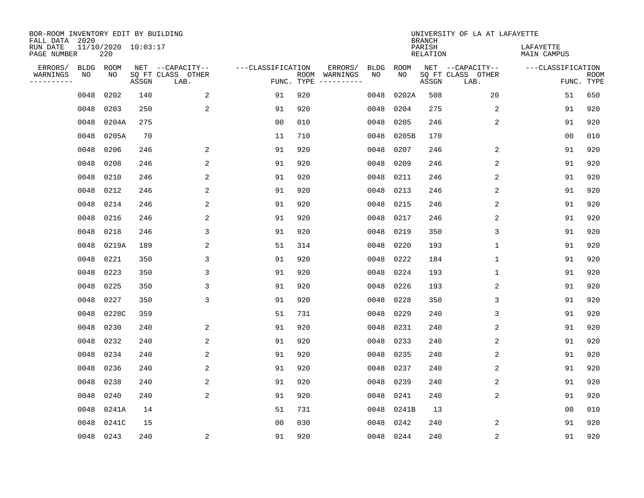| BOR-ROOM INVENTORY EDIT BY BUILDING<br>FALL DATA 2020 |             |                            |       |                           |                   |                    |          |      |           | <b>BRANCH</b>             | UNIVERSITY OF LA AT LAFAYETTE |                                 |                           |
|-------------------------------------------------------|-------------|----------------------------|-------|---------------------------|-------------------|--------------------|----------|------|-----------|---------------------------|-------------------------------|---------------------------------|---------------------------|
| RUN DATE<br>PAGE NUMBER                               |             | 11/10/2020 10:03:17<br>220 |       |                           |                   |                    |          |      |           | PARISH<br><b>RELATION</b> |                               | LAFAYETTE<br><b>MAIN CAMPUS</b> |                           |
| ERRORS/                                               | <b>BLDG</b> | ROOM                       |       | NET --CAPACITY--          | ---CLASSIFICATION |                    | ERRORS/  | BLDG | ROOM      |                           | NET --CAPACITY--              | ---CLASSIFICATION               |                           |
| WARNINGS<br>----------                                | NO          | NO                         | ASSGN | SQ FT CLASS OTHER<br>LAB. |                   | ROOM<br>FUNC. TYPE | WARNINGS | NO   | NO        | ASSGN                     | SQ FT CLASS OTHER<br>LAB.     |                                 | <b>ROOM</b><br>FUNC. TYPE |
|                                                       | 0048        | 0202                       | 140   | $\overline{a}$            | 91                | 920                |          | 0048 | 0202A     | 508                       | 20                            | 51                              | 650                       |
|                                                       | 0048        | 0203                       | 250   | 2                         | 91                | 920                |          | 0048 | 0204      | 275                       | 2                             | 91                              | 920                       |
|                                                       | 0048        | 0204A                      | 275   |                           | 0 <sub>0</sub>    | 010                |          | 0048 | 0205      | 246                       | 2                             | 91                              | 920                       |
|                                                       | 0048        | 0205A                      | 70    |                           | 11                | 710                |          | 0048 | 0205B     | 170                       |                               | 0 <sub>0</sub>                  | 010                       |
|                                                       | 0048        | 0206                       | 246   | 2                         | 91                | 920                |          | 0048 | 0207      | 246                       | 2                             | 91                              | 920                       |
|                                                       | 0048        | 0208                       | 246   | 2                         | 91                | 920                |          | 0048 | 0209      | 246                       | 2                             | 91                              | 920                       |
|                                                       | 0048        | 0210                       | 246   | 2                         | 91                | 920                |          | 0048 | 0211      | 246                       | 2                             | 91                              | 920                       |
|                                                       | 0048        | 0212                       | 246   | 2                         | 91                | 920                |          | 0048 | 0213      | 246                       | 2                             | 91                              | 920                       |
|                                                       | 0048        | 0214                       | 246   | 2                         | 91                | 920                |          | 0048 | 0215      | 246                       | 2                             | 91                              | 920                       |
|                                                       | 0048        | 0216                       | 246   | 2                         | 91                | 920                |          | 0048 | 0217      | 246                       | 2                             | 91                              | 920                       |
|                                                       | 0048        | 0218                       | 246   | 3                         | 91                | 920                |          | 0048 | 0219      | 350                       | 3                             | 91                              | 920                       |
|                                                       | 0048        | 0219A                      | 189   | 2                         | 51                | 314                |          | 0048 | 0220      | 193                       | 1                             | 91                              | 920                       |
|                                                       | 0048        | 0221                       | 350   | 3                         | 91                | 920                |          | 0048 | 0222      | 184                       | 1                             | 91                              | 920                       |
|                                                       | 0048        | 0223                       | 350   | $\mathsf{3}$              | 91                | 920                |          | 0048 | 0224      | 193                       | 1                             | 91                              | 920                       |
|                                                       | 0048        | 0225                       | 350   | 3                         | 91                | 920                |          | 0048 | 0226      | 193                       | 2                             | 91                              | 920                       |
|                                                       | 0048        | 0227                       | 350   | 3                         | 91                | 920                |          | 0048 | 0228      | 350                       | 3                             | 91                              | 920                       |
|                                                       | 0048        | 0228C                      | 359   |                           | 51                | 731                |          | 0048 | 0229      | 240                       | 3                             | 91                              | 920                       |
|                                                       | 0048        | 0230                       | 240   | 2                         | 91                | 920                |          | 0048 | 0231      | 240                       | 2                             | 91                              | 920                       |
|                                                       | 0048        | 0232                       | 240   | 2                         | 91                | 920                |          | 0048 | 0233      | 240                       | 2                             | 91                              | 920                       |
|                                                       | 0048        | 0234                       | 240   | 2                         | 91                | 920                |          | 0048 | 0235      | 240                       | 2                             | 91                              | 920                       |
|                                                       | 0048        | 0236                       | 240   | 2                         | 91                | 920                |          | 0048 | 0237      | 240                       | 2                             | 91                              | 920                       |
|                                                       | 0048        | 0238                       | 240   | 2                         | 91                | 920                |          | 0048 | 0239      | 240                       | 2                             | 91                              | 920                       |
|                                                       | 0048        | 0240                       | 240   | 2                         | 91                | 920                |          | 0048 | 0241      | 240                       | 2                             | 91                              | 920                       |
|                                                       | 0048        | 0241A                      | 14    |                           | 51                | 731                |          | 0048 | 0241B     | 13                        |                               | 0 <sub>0</sub>                  | 010                       |
|                                                       | 0048        | 0241C                      | 15    |                           | 0 <sub>0</sub>    | 030                |          | 0048 | 0242      | 240                       | 2                             | 91                              | 920                       |
|                                                       |             | 0048 0243                  | 240   | 2                         | 91                | 920                |          |      | 0048 0244 | 240                       | 2                             | 91                              | 920                       |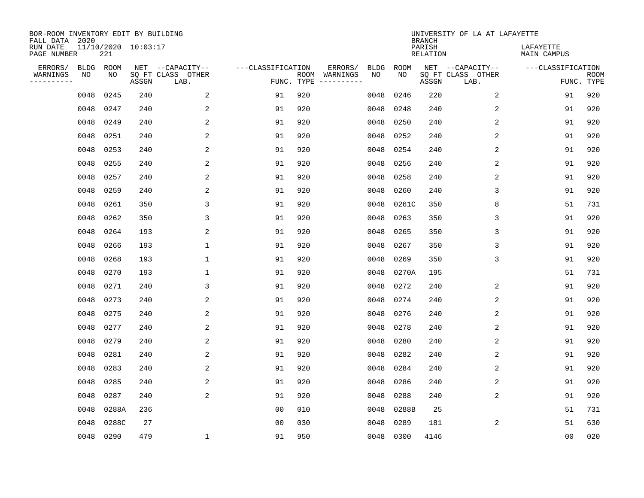| BOR-ROOM INVENTORY EDIT BY BUILDING<br>FALL DATA 2020 |             |                            |       |                           |                   |     |                                      |             |             | <b>BRANCH</b>             | UNIVERSITY OF LA AT LAFAYETTE |                          |                           |
|-------------------------------------------------------|-------------|----------------------------|-------|---------------------------|-------------------|-----|--------------------------------------|-------------|-------------|---------------------------|-------------------------------|--------------------------|---------------------------|
| RUN DATE<br>PAGE NUMBER                               |             | 11/10/2020 10:03:17<br>221 |       |                           |                   |     |                                      |             |             | PARISH<br><b>RELATION</b> |                               | LAFAYETTE<br>MAIN CAMPUS |                           |
| ERRORS/                                               | <b>BLDG</b> | ROOM                       |       | NET --CAPACITY--          | ---CLASSIFICATION |     | ERRORS/                              | <b>BLDG</b> | <b>ROOM</b> |                           | NET --CAPACITY--              | ---CLASSIFICATION        |                           |
| WARNINGS<br>----------                                | NO          | NO                         | ASSGN | SQ FT CLASS OTHER<br>LAB. |                   |     | ROOM WARNINGS<br>FUNC. TYPE $------$ | NO          | NO          | ASSGN                     | SQ FT CLASS OTHER<br>LAB.     |                          | <b>ROOM</b><br>FUNC. TYPE |
|                                                       | 0048        | 0245                       | 240   | 2                         | 91                | 920 |                                      | 0048        | 0246        | 220                       | 2                             | 91                       | 920                       |
|                                                       | 0048        | 0247                       | 240   | 2                         | 91                | 920 |                                      | 0048        | 0248        | 240                       | 2                             | 91                       | 920                       |
|                                                       | 0048        | 0249                       | 240   | 2                         | 91                | 920 |                                      | 0048        | 0250        | 240                       | 2                             | 91                       | 920                       |
|                                                       | 0048        | 0251                       | 240   | 2                         | 91                | 920 |                                      | 0048        | 0252        | 240                       | 2                             | 91                       | 920                       |
|                                                       | 0048        | 0253                       | 240   | 2                         | 91                | 920 |                                      | 0048        | 0254        | 240                       | $\overline{2}$                | 91                       | 920                       |
|                                                       | 0048        | 0255                       | 240   | 2                         | 91                | 920 |                                      | 0048        | 0256        | 240                       | $\overline{2}$                | 91                       | 920                       |
|                                                       | 0048        | 0257                       | 240   | 2                         | 91                | 920 |                                      | 0048        | 0258        | 240                       | 2                             | 91                       | 920                       |
|                                                       | 0048        | 0259                       | 240   | 2                         | 91                | 920 |                                      | 0048        | 0260        | 240                       | 3                             | 91                       | 920                       |
|                                                       | 0048        | 0261                       | 350   | 3                         | 91                | 920 |                                      | 0048        | 0261C       | 350                       | 8                             | 51                       | 731                       |
|                                                       | 0048        | 0262                       | 350   | 3                         | 91                | 920 |                                      | 0048        | 0263        | 350                       | 3                             | 91                       | 920                       |
|                                                       | 0048        | 0264                       | 193   | 2                         | 91                | 920 |                                      | 0048        | 0265        | 350                       | 3                             | 91                       | 920                       |
|                                                       | 0048        | 0266                       | 193   | $\mathbf{1}$              | 91                | 920 |                                      | 0048        | 0267        | 350                       | 3                             | 91                       | 920                       |
|                                                       | 0048        | 0268                       | 193   | 1                         | 91                | 920 |                                      | 0048        | 0269        | 350                       | 3                             | 91                       | 920                       |
|                                                       | 0048        | 0270                       | 193   | 1                         | 91                | 920 |                                      | 0048        | 0270A       | 195                       |                               | 51                       | 731                       |
|                                                       | 0048        | 0271                       | 240   | 3                         | 91                | 920 |                                      | 0048        | 0272        | 240                       | 2                             | 91                       | 920                       |
|                                                       | 0048        | 0273                       | 240   | 2                         | 91                | 920 |                                      | 0048        | 0274        | 240                       | 2                             | 91                       | 920                       |
|                                                       | 0048        | 0275                       | 240   | 2                         | 91                | 920 |                                      | 0048        | 0276        | 240                       | 2                             | 91                       | 920                       |
|                                                       | 0048        | 0277                       | 240   | 2                         | 91                | 920 |                                      | 0048        | 0278        | 240                       | 2                             | 91                       | 920                       |
|                                                       | 0048        | 0279                       | 240   | 2                         | 91                | 920 |                                      | 0048        | 0280        | 240                       | 2                             | 91                       | 920                       |
|                                                       | 0048        | 0281                       | 240   | 2                         | 91                | 920 |                                      | 0048        | 0282        | 240                       | 2                             | 91                       | 920                       |
|                                                       | 0048        | 0283                       | 240   | 2                         | 91                | 920 |                                      | 0048        | 0284        | 240                       | 2                             | 91                       | 920                       |
|                                                       | 0048        | 0285                       | 240   | 2                         | 91                | 920 |                                      | 0048        | 0286        | 240                       | 2                             | 91                       | 920                       |
|                                                       | 0048        | 0287                       | 240   | 2                         | 91                | 920 |                                      | 0048        | 0288        | 240                       | 2                             | 91                       | 920                       |
|                                                       | 0048        | 0288A                      | 236   |                           | 0 <sub>0</sub>    | 010 |                                      | 0048        | 0288B       | 25                        |                               | 51                       | 731                       |
|                                                       | 0048        | 0288C                      | 27    |                           | 0 <sub>0</sub>    | 030 |                                      | 0048        | 0289        | 181                       | 2                             | 51                       | 630                       |
|                                                       |             | 0048 0290                  | 479   | 1                         | 91                | 950 |                                      |             | 0048 0300   | 4146                      |                               | 0 <sub>0</sub>           | 020                       |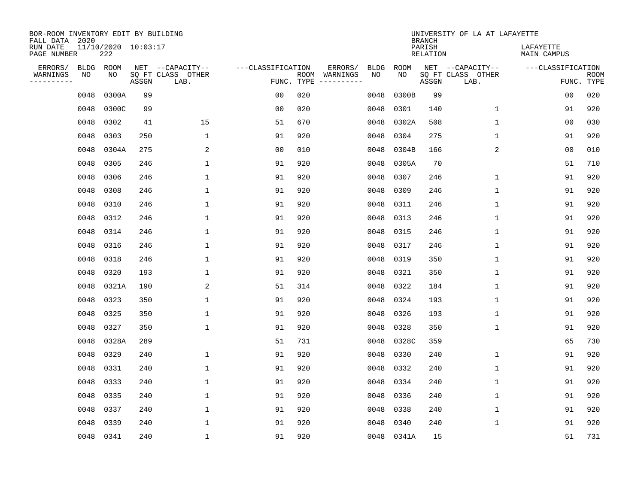| BOR-ROOM INVENTORY EDIT BY BUILDING<br>FALL DATA 2020 |             |                            |       |                           |                   |     |                                      |             |             | <b>BRANCH</b>             | UNIVERSITY OF LA AT LAFAYETTE |                          |                           |
|-------------------------------------------------------|-------------|----------------------------|-------|---------------------------|-------------------|-----|--------------------------------------|-------------|-------------|---------------------------|-------------------------------|--------------------------|---------------------------|
| RUN DATE<br>PAGE NUMBER                               |             | 11/10/2020 10:03:17<br>222 |       |                           |                   |     |                                      |             |             | PARISH<br><b>RELATION</b> |                               | LAFAYETTE<br>MAIN CAMPUS |                           |
| ERRORS/                                               | <b>BLDG</b> | ROOM                       |       | NET --CAPACITY--          | ---CLASSIFICATION |     | ERRORS/                              | <b>BLDG</b> | <b>ROOM</b> |                           | NET --CAPACITY--              | ---CLASSIFICATION        |                           |
| WARNINGS<br>----------                                | NO          | NO                         | ASSGN | SQ FT CLASS OTHER<br>LAB. |                   |     | ROOM WARNINGS<br>FUNC. TYPE $------$ | NO          | NO          | ASSGN                     | SQ FT CLASS OTHER<br>LAB.     |                          | <b>ROOM</b><br>FUNC. TYPE |
|                                                       | 0048        | 0300A                      | 99    |                           | 0 <sub>0</sub>    | 020 |                                      | 0048        | 0300B       | 99                        |                               | 00                       | 020                       |
|                                                       | 0048        | 0300C                      | 99    |                           | 0 <sub>0</sub>    | 020 |                                      | 0048        | 0301        | 140                       | 1                             | 91                       | 920                       |
|                                                       | 0048        | 0302                       | 41    | 15                        | 51                | 670 |                                      | 0048        | 0302A       | 508                       | 1                             | 0 <sub>0</sub>           | 030                       |
|                                                       | 0048        | 0303                       | 250   | $\mathbf 1$               | 91                | 920 |                                      | 0048        | 0304        | 275                       | $\mathbf 1$                   | 91                       | 920                       |
|                                                       | 0048        | 0304A                      | 275   | 2                         | 0 <sub>0</sub>    | 010 |                                      | 0048        | 0304B       | 166                       | 2                             | 0 <sub>0</sub>           | 010                       |
|                                                       | 0048        | 0305                       | 246   | $\mathbf 1$               | 91                | 920 |                                      | 0048        | 0305A       | 70                        |                               | 51                       | 710                       |
|                                                       | 0048        | 0306                       | 246   | $\mathbf{1}$              | 91                | 920 |                                      | 0048        | 0307        | 246                       | $\mathbf 1$                   | 91                       | 920                       |
|                                                       | 0048        | 0308                       | 246   | $\mathbf{1}$              | 91                | 920 |                                      | 0048        | 0309        | 246                       | $\mathbf 1$                   | 91                       | 920                       |
|                                                       | 0048        | 0310                       | 246   | $\mathbf{1}$              | 91                | 920 |                                      | 0048        | 0311        | 246                       | $\mathbf 1$                   | 91                       | 920                       |
|                                                       | 0048        | 0312                       | 246   | $\mathbf{1}$              | 91                | 920 |                                      | 0048        | 0313        | 246                       | $\mathbf 1$                   | 91                       | 920                       |
|                                                       | 0048        | 0314                       | 246   | $\mathbf{1}$              | 91                | 920 |                                      | 0048        | 0315        | 246                       | $\mathbf 1$                   | 91                       | 920                       |
|                                                       | 0048        | 0316                       | 246   | $\mathbf{1}$              | 91                | 920 |                                      | 0048        | 0317        | 246                       | $\mathbf{1}$                  | 91                       | 920                       |
|                                                       | 0048        | 0318                       | 246   | 1                         | 91                | 920 |                                      | 0048        | 0319        | 350                       | $\mathbf 1$                   | 91                       | 920                       |
|                                                       | 0048        | 0320                       | 193   | 1                         | 91                | 920 |                                      | 0048        | 0321        | 350                       | 1                             | 91                       | 920                       |
|                                                       | 0048        | 0321A                      | 190   | 2                         | 51                | 314 |                                      | 0048        | 0322        | 184                       | 1                             | 91                       | 920                       |
|                                                       | 0048        | 0323                       | 350   | 1                         | 91                | 920 |                                      | 0048        | 0324        | 193                       | 1                             | 91                       | 920                       |
|                                                       | 0048        | 0325                       | 350   | 1                         | 91                | 920 |                                      | 0048        | 0326        | 193                       | 1                             | 91                       | 920                       |
|                                                       | 0048        | 0327                       | 350   | $\mathbf{1}$              | 91                | 920 |                                      | 0048        | 0328        | 350                       | 1                             | 91                       | 920                       |
|                                                       | 0048        | 0328A                      | 289   |                           | 51                | 731 |                                      | 0048        | 0328C       | 359                       |                               | 65                       | 730                       |
|                                                       | 0048        | 0329                       | 240   | $\mathbf 1$               | 91                | 920 |                                      | 0048        | 0330        | 240                       | 1                             | 91                       | 920                       |
|                                                       | 0048        | 0331                       | 240   | 1                         | 91                | 920 |                                      | 0048        | 0332        | 240                       | 1                             | 91                       | 920                       |
|                                                       | 0048        | 0333                       | 240   | $\mathbf 1$               | 91                | 920 |                                      | 0048        | 0334        | 240                       | $\mathbf 1$                   | 91                       | 920                       |
|                                                       | 0048        | 0335                       | 240   | 1                         | 91                | 920 |                                      | 0048        | 0336        | 240                       | 1                             | 91                       | 920                       |
|                                                       | 0048        | 0337                       | 240   | $\mathbf 1$               | 91                | 920 |                                      | 0048        | 0338        | 240                       | 1                             | 91                       | 920                       |
|                                                       | 0048        | 0339                       | 240   | $\mathbf{1}$              | 91                | 920 |                                      | 0048        | 0340        | 240                       | 1                             | 91                       | 920                       |
|                                                       | 0048 0341   |                            | 240   | $\mathbf{1}$              | 91                | 920 |                                      |             | 0048 0341A  | 15                        |                               | 51                       | 731                       |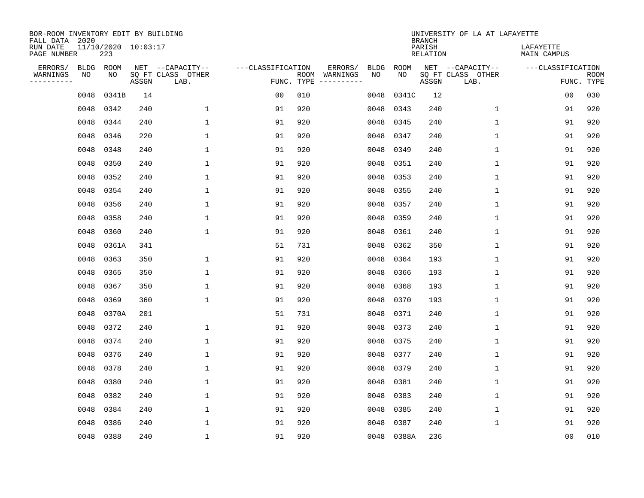| BOR-ROOM INVENTORY EDIT BY BUILDING<br>FALL DATA 2020 |      |                            |       |                           |                   |                    |          |             |             | <b>BRANCH</b>             | UNIVERSITY OF LA AT LAFAYETTE |                                 |                           |
|-------------------------------------------------------|------|----------------------------|-------|---------------------------|-------------------|--------------------|----------|-------------|-------------|---------------------------|-------------------------------|---------------------------------|---------------------------|
| RUN DATE<br>PAGE NUMBER                               |      | 11/10/2020 10:03:17<br>223 |       |                           |                   |                    |          |             |             | PARISH<br><b>RELATION</b> |                               | LAFAYETTE<br><b>MAIN CAMPUS</b> |                           |
| ERRORS/                                               | BLDG | ROOM                       |       | NET --CAPACITY--          | ---CLASSIFICATION |                    | ERRORS/  | <b>BLDG</b> | <b>ROOM</b> |                           | NET --CAPACITY--              | ---CLASSIFICATION               |                           |
| WARNINGS<br>----------                                | ΝO   | NO                         | ASSGN | SQ FT CLASS OTHER<br>LAB. |                   | ROOM<br>FUNC. TYPE | WARNINGS | NO          | NO          | ASSGN                     | SQ FT CLASS OTHER<br>LAB.     |                                 | <b>ROOM</b><br>FUNC. TYPE |
|                                                       | 0048 | 0341B                      | 14    |                           | 0 <sub>0</sub>    | 010                |          | 0048        | 0341C       | 12                        |                               | 0 <sub>0</sub>                  | 030                       |
|                                                       | 0048 | 0342                       | 240   | 1                         | 91                | 920                |          | 0048        | 0343        | 240                       | 1                             | 91                              | 920                       |
|                                                       | 0048 | 0344                       | 240   | 1                         | 91                | 920                |          | 0048        | 0345        | 240                       | $\mathbf{1}$                  | 91                              | 920                       |
|                                                       | 0048 | 0346                       | 220   | $\mathbf{1}$              | 91                | 920                |          | 0048        | 0347        | 240                       | $\mathbf{1}$                  | 91                              | 920                       |
|                                                       | 0048 | 0348                       | 240   | $\mathbf 1$               | 91                | 920                |          | 0048        | 0349        | 240                       | $\mathbf 1$                   | 91                              | 920                       |
|                                                       | 0048 | 0350                       | 240   | 1                         | 91                | 920                |          | 0048        | 0351        | 240                       | $\mathbf 1$                   | 91                              | 920                       |
|                                                       | 0048 | 0352                       | 240   | $\mathbf{1}$              | 91                | 920                |          | 0048        | 0353        | 240                       | $\mathbf{1}$                  | 91                              | 920                       |
|                                                       | 0048 | 0354                       | 240   | $\mathbf{1}$              | 91                | 920                |          | 0048        | 0355        | 240                       | $\mathbf{1}$                  | 91                              | 920                       |
|                                                       | 0048 | 0356                       | 240   | 1                         | 91                | 920                |          | 0048        | 0357        | 240                       | $\mathbf 1$                   | 91                              | 920                       |
|                                                       | 0048 | 0358                       | 240   | $\mathbf{1}$              | 91                | 920                |          | 0048        | 0359        | 240                       | $\mathbf{1}$                  | 91                              | 920                       |
|                                                       | 0048 | 0360                       | 240   | $\mathbf{1}$              | 91                | 920                |          | 0048        | 0361        | 240                       | $\mathbf{1}$                  | 91                              | 920                       |
|                                                       | 0048 | 0361A                      | 341   |                           | 51                | 731                |          | 0048        | 0362        | 350                       | $\mathbf{1}$                  | 91                              | 920                       |
|                                                       | 0048 | 0363                       | 350   | $\mathbf{1}$              | 91                | 920                |          | 0048        | 0364        | 193                       | $\mathbf{1}$                  | 91                              | 920                       |
|                                                       | 0048 | 0365                       | 350   | 1                         | 91                | 920                |          | 0048        | 0366        | 193                       | 1                             | 91                              | 920                       |
|                                                       | 0048 | 0367                       | 350   | 1                         | 91                | 920                |          | 0048        | 0368        | 193                       | 1                             | 91                              | 920                       |
|                                                       | 0048 | 0369                       | 360   | 1                         | 91                | 920                |          | 0048        | 0370        | 193                       | 1                             | 91                              | 920                       |
|                                                       | 0048 | 0370A                      | 201   |                           | 51                | 731                |          | 0048        | 0371        | 240                       | 1                             | 91                              | 920                       |
|                                                       | 0048 | 0372                       | 240   | 1                         | 91                | 920                |          | 0048        | 0373        | 240                       | 1                             | 91                              | 920                       |
|                                                       | 0048 | 0374                       | 240   | $\mathbf{1}$              | 91                | 920                |          | 0048        | 0375        | 240                       | $\mathbf 1$                   | 91                              | 920                       |
|                                                       | 0048 | 0376                       | 240   | $\mathbf{1}$              | 91                | 920                |          | 0048        | 0377        | 240                       | $\mathbf{1}$                  | 91                              | 920                       |
|                                                       | 0048 | 0378                       | 240   | $\mathbf{1}$              | 91                | 920                |          | 0048        | 0379        | 240                       | $\mathbf{1}$                  | 91                              | 920                       |
|                                                       | 0048 | 0380                       | 240   | $\mathbf{1}$              | 91                | 920                |          | 0048        | 0381        | 240                       | $\mathbf{1}$                  | 91                              | 920                       |
|                                                       | 0048 | 0382                       | 240   | 1                         | 91                | 920                |          | 0048        | 0383        | 240                       | 1                             | 91                              | 920                       |
|                                                       | 0048 | 0384                       | 240   | 1                         | 91                | 920                |          | 0048        | 0385        | 240                       | 1                             | 91                              | 920                       |
|                                                       | 0048 | 0386                       | 240   | $\mathbf{1}$              | 91                | 920                |          | 0048        | 0387        | 240                       | 1                             | 91                              | 920                       |
|                                                       |      | 0048 0388                  | 240   | $\mathbf{1}$              | 91                | 920                |          | 0048        | 0388A       | 236                       |                               | 0 <sub>0</sub>                  | 010                       |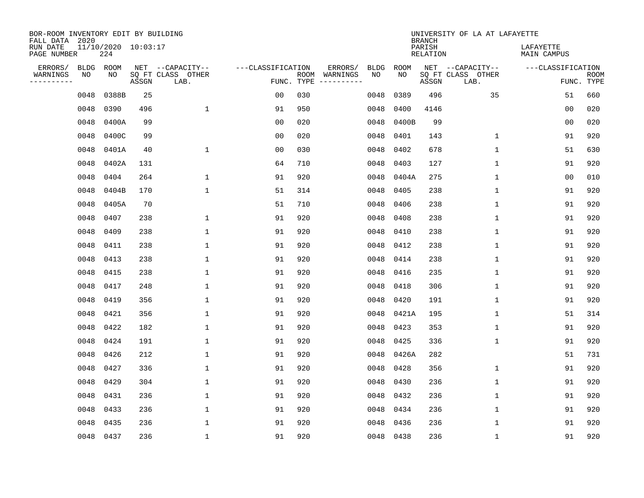| BOR-ROOM INVENTORY EDIT BY BUILDING<br>FALL DATA 2020 |             |                            |       |                           |                   |                    |                         |      |             | <b>BRANCH</b>             | UNIVERSITY OF LA AT LAFAYETTE |                                 |                           |
|-------------------------------------------------------|-------------|----------------------------|-------|---------------------------|-------------------|--------------------|-------------------------|------|-------------|---------------------------|-------------------------------|---------------------------------|---------------------------|
| RUN DATE<br>PAGE NUMBER                               |             | 11/10/2020 10:03:17<br>224 |       |                           |                   |                    |                         |      |             | PARISH<br><b>RELATION</b> |                               | LAFAYETTE<br><b>MAIN CAMPUS</b> |                           |
| ERRORS/                                               | <b>BLDG</b> | ROOM                       |       | NET --CAPACITY--          | ---CLASSIFICATION |                    | ERRORS/                 | BLDG | <b>ROOM</b> |                           | NET --CAPACITY--              | ---CLASSIFICATION               |                           |
| WARNINGS<br>-----------                               | NO          | NO                         | ASSGN | SQ FT CLASS OTHER<br>LAB. |                   | ROOM<br>FUNC. TYPE | WARNINGS<br>----------- | NO   | NO          | ASSGN                     | SQ FT CLASS OTHER<br>LAB.     |                                 | <b>ROOM</b><br>FUNC. TYPE |
|                                                       | 0048        | 0388B                      | 25    |                           | 00                | 030                |                         | 0048 | 0389        | 496                       | 35                            | 51                              | 660                       |
|                                                       | 0048        | 0390                       | 496   | $\mathbf 1$               | 91                | 950                |                         | 0048 | 0400        | 4146                      |                               | 00                              | 020                       |
|                                                       | 0048        | 0400A                      | 99    |                           | 0 <sub>0</sub>    | 020                |                         | 0048 | 0400B       | 99                        |                               | 0 <sub>0</sub>                  | 020                       |
|                                                       | 0048        | 0400C                      | 99    |                           | 0 <sub>0</sub>    | 020                |                         | 0048 | 0401        | 143                       | $\mathbf 1$                   | 91                              | 920                       |
|                                                       | 0048        | 0401A                      | 40    | $\mathbf 1$               | 0 <sub>0</sub>    | 030                |                         | 0048 | 0402        | 678                       | $\mathbf{1}$                  | 51                              | 630                       |
|                                                       | 0048        | 0402A                      | 131   |                           | 64                | 710                |                         | 0048 | 0403        | 127                       | $\mathbf{1}$                  | 91                              | 920                       |
|                                                       | 0048        | 0404                       | 264   | $\mathbf{1}$              | 91                | 920                |                         | 0048 | 0404A       | 275                       | $\mathbf{1}$                  | 0 <sub>0</sub>                  | 010                       |
|                                                       | 0048        | 0404B                      | 170   | $\mathbf{1}$              | 51                | 314                |                         | 0048 | 0405        | 238                       | $\mathbf{1}$                  | 91                              | 920                       |
|                                                       | 0048        | 0405A                      | 70    |                           | 51                | 710                |                         | 0048 | 0406        | 238                       | $\mathbf{1}$                  | 91                              | 920                       |
|                                                       | 0048        | 0407                       | 238   | 1                         | 91                | 920                |                         | 0048 | 0408        | 238                       | $\mathbf 1$                   | 91                              | 920                       |
|                                                       | 0048        | 0409                       | 238   | 1                         | 91                | 920                |                         | 0048 | 0410        | 238                       | 1                             | 91                              | 920                       |
|                                                       | 0048        | 0411                       | 238   | 1                         | 91                | 920                |                         | 0048 | 0412        | 238                       | $\mathbf 1$                   | 91                              | 920                       |
|                                                       | 0048        | 0413                       | 238   | 1                         | 91                | 920                |                         | 0048 | 0414        | 238                       | $\mathbf 1$                   | 91                              | 920                       |
|                                                       | 0048        | 0415                       | 238   | 1                         | 91                | 920                |                         | 0048 | 0416        | 235                       | 1                             | 91                              | 920                       |
|                                                       | 0048        | 0417                       | 248   | 1                         | 91                | 920                |                         | 0048 | 0418        | 306                       | 1                             | 91                              | 920                       |
|                                                       | 0048        | 0419                       | 356   | 1                         | 91                | 920                |                         | 0048 | 0420        | 191                       | 1                             | 91                              | 920                       |
|                                                       | 0048        | 0421                       | 356   | 1                         | 91                | 920                |                         | 0048 | 0421A       | 195                       | 1                             | 51                              | 314                       |
|                                                       | 0048        | 0422                       | 182   | 1                         | 91                | 920                |                         | 0048 | 0423        | 353                       | 1                             | 91                              | 920                       |
|                                                       | 0048        | 0424                       | 191   | 1                         | 91                | 920                |                         | 0048 | 0425        | 336                       | 1                             | 91                              | 920                       |
|                                                       | 0048        | 0426                       | 212   | 1                         | 91                | 920                |                         | 0048 | 0426A       | 282                       |                               | 51                              | 731                       |
|                                                       | 0048        | 0427                       | 336   | 1                         | 91                | 920                |                         | 0048 | 0428        | 356                       | 1                             | 91                              | 920                       |
|                                                       | 0048        | 0429                       | 304   | $\mathbf 1$               | 91                | 920                |                         | 0048 | 0430        | 236                       | $\mathbf 1$                   | 91                              | 920                       |
|                                                       | 0048        | 0431                       | 236   | 1                         | 91                | 920                |                         | 0048 | 0432        | 236                       | 1                             | 91                              | 920                       |
|                                                       | 0048        | 0433                       | 236   | $\mathbf 1$               | 91                | 920                |                         | 0048 | 0434        | 236                       | $\mathbf 1$                   | 91                              | 920                       |
|                                                       | 0048        | 0435                       | 236   | $\mathbf{1}$              | 91                | 920                |                         | 0048 | 0436        | 236                       | 1                             | 91                              | 920                       |
|                                                       |             | 0048 0437                  | 236   | $\mathbf{1}$              | 91                | 920                |                         |      | 0048 0438   | 236                       | 1                             | 91                              | 920                       |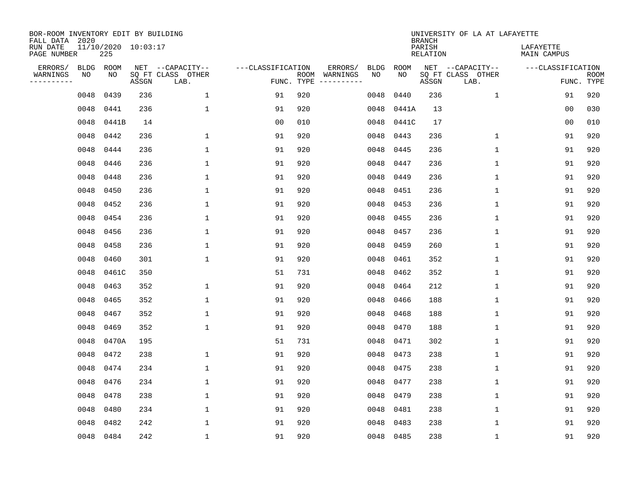| BOR-ROOM INVENTORY EDIT BY BUILDING<br>FALL DATA 2020 |             |                            |       |                           |                   |     |                              |             |             | <b>BRANCH</b>      | UNIVERSITY OF LA AT LAFAYETTE |                                 |                           |
|-------------------------------------------------------|-------------|----------------------------|-------|---------------------------|-------------------|-----|------------------------------|-------------|-------------|--------------------|-------------------------------|---------------------------------|---------------------------|
| RUN DATE<br>PAGE NUMBER                               |             | 11/10/2020 10:03:17<br>225 |       |                           |                   |     |                              |             |             | PARISH<br>RELATION |                               | LAFAYETTE<br><b>MAIN CAMPUS</b> |                           |
| ERRORS/                                               | <b>BLDG</b> | ROOM                       |       | NET --CAPACITY--          | ---CLASSIFICATION |     | ERRORS/                      | <b>BLDG</b> | <b>ROOM</b> |                    | NET --CAPACITY--              | ---CLASSIFICATION               |                           |
| WARNINGS<br>----------                                | NO          | NO                         | ASSGN | SQ FT CLASS OTHER<br>LAB. | FUNC. TYPE        |     | ROOM WARNINGS<br>----------- | NO          | NO          | ASSGN              | SQ FT CLASS OTHER<br>LAB.     |                                 | <b>ROOM</b><br>FUNC. TYPE |
|                                                       | 0048        | 0439                       | 236   | $\mathbf 1$               | 91                | 920 |                              | 0048        | 0440        | 236                | $\mathbf 1$                   | 91                              | 920                       |
|                                                       | 0048        | 0441                       | 236   | $\mathbf{1}$              | 91                | 920 |                              | 0048        | 0441A       | 13                 |                               | 0 <sub>0</sub>                  | 030                       |
|                                                       | 0048        | 0441B                      | 14    |                           | 0 <sub>0</sub>    | 010 |                              | 0048        | 0441C       | 17                 |                               | 0 <sub>0</sub>                  | 010                       |
|                                                       | 0048        | 0442                       | 236   | $\mathbf 1$               | 91                | 920 |                              | 0048        | 0443        | 236                | $\mathbf{1}$                  | 91                              | 920                       |
|                                                       | 0048        | 0444                       | 236   | $\mathbf 1$               | 91                | 920 |                              | 0048        | 0445        | 236                | $\mathbf{1}$                  | 91                              | 920                       |
|                                                       | 0048        | 0446                       | 236   | $\mathbf{1}$              | 91                | 920 |                              | 0048        | 0447        | 236                | $\mathbf{1}$                  | 91                              | 920                       |
|                                                       | 0048        | 0448                       | 236   | $\mathbf 1$               | 91                | 920 |                              | 0048        | 0449        | 236                | $\mathbf{1}$                  | 91                              | 920                       |
|                                                       | 0048        | 0450                       | 236   | $\mathbf{1}$              | 91                | 920 |                              | 0048        | 0451        | 236                | $\mathbf{1}$                  | 91                              | 920                       |
|                                                       | 0048        | 0452                       | 236   | $\mathbf{1}$              | 91                | 920 |                              | 0048        | 0453        | 236                | $\mathbf{1}$                  | 91                              | 920                       |
|                                                       | 0048        | 0454                       | 236   | $\mathbf{1}$              | 91                | 920 |                              | 0048        | 0455        | 236                | $\mathbf 1$                   | 91                              | 920                       |
|                                                       | 0048        | 0456                       | 236   | $\mathbf{1}$              | 91                | 920 |                              | 0048        | 0457        | 236                | $\mathbf{1}$                  | 91                              | 920                       |
|                                                       | 0048        | 0458                       | 236   | $\mathbf{1}$              | 91                | 920 |                              | 0048        | 0459        | 260                | $\mathbf{1}$                  | 91                              | 920                       |
|                                                       | 0048        | 0460                       | 301   | $\mathbf{1}$              | 91                | 920 |                              | 0048        | 0461        | 352                | $\mathbf 1$                   | 91                              | 920                       |
|                                                       | 0048        | 0461C                      | 350   |                           | 51                | 731 |                              | 0048        | 0462        | 352                | 1                             | 91                              | 920                       |
|                                                       | 0048        | 0463                       | 352   | 1                         | 91                | 920 |                              | 0048        | 0464        | 212                | 1                             | 91                              | 920                       |
|                                                       | 0048        | 0465                       | 352   | $\mathbf{1}$              | 91                | 920 |                              | 0048        | 0466        | 188                | $\mathbf{1}$                  | 91                              | 920                       |
|                                                       | 0048        | 0467                       | 352   | $\mathbf{1}$              | 91                | 920 |                              | 0048        | 0468        | 188                | $\mathbf 1$                   | 91                              | 920                       |
|                                                       | 0048        | 0469                       | 352   | $\mathbf{1}$              | 91                | 920 |                              | 0048        | 0470        | 188                | $\mathbf 1$                   | 91                              | 920                       |
|                                                       | 0048        | 0470A                      | 195   |                           | 51                | 731 |                              | 0048        | 0471        | 302                | $\mathbf 1$                   | 91                              | 920                       |
|                                                       | 0048        | 0472                       | 238   | 1                         | 91                | 920 |                              | 0048        | 0473        | 238                | $\mathbf 1$                   | 91                              | 920                       |
|                                                       | 0048        | 0474                       | 234   | $\mathbf{1}$              | 91                | 920 |                              | 0048        | 0475        | 238                | $\mathbf 1$                   | 91                              | 920                       |
|                                                       | 0048        | 0476                       | 234   | $\mathbf 1$               | 91                | 920 |                              | 0048        | 0477        | 238                | $\mathbf 1$                   | 91                              | 920                       |
|                                                       | 0048        | 0478                       | 238   | $\mathbf{1}$              | 91                | 920 |                              | 0048        | 0479        | 238                | $\mathbf 1$                   | 91                              | 920                       |
|                                                       | 0048        | 0480                       | 234   | $\mathbf{1}$              | 91                | 920 |                              | 0048        | 0481        | 238                | 1                             | 91                              | 920                       |
|                                                       | 0048        | 0482                       | 242   | $\mathbf{1}$              | 91                | 920 |                              | 0048        | 0483        | 238                | $\mathbf 1$                   | 91                              | 920                       |
|                                                       | 0048 0484   |                            | 242   | $\mathbf{1}$              | 91                | 920 |                              |             | 0048 0485   | 238                | $\mathbf 1$                   | 91                              | 920                       |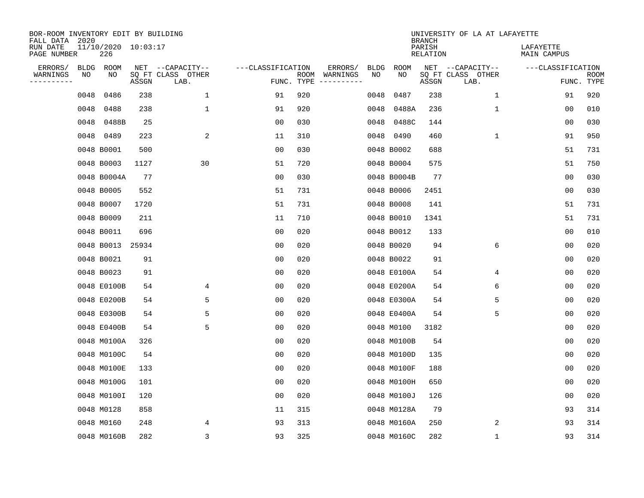| BOR-ROOM INVENTORY EDIT BY BUILDING<br>FALL DATA 2020 |      |                            |       |                           |                   |     |                                      |             |             | <b>BRANCH</b>             | UNIVERSITY OF LA AT LAFAYETTE |                          |                           |
|-------------------------------------------------------|------|----------------------------|-------|---------------------------|-------------------|-----|--------------------------------------|-------------|-------------|---------------------------|-------------------------------|--------------------------|---------------------------|
| RUN DATE<br>PAGE NUMBER                               |      | 11/10/2020 10:03:17<br>226 |       |                           |                   |     |                                      |             |             | PARISH<br><b>RELATION</b> |                               | LAFAYETTE<br>MAIN CAMPUS |                           |
| ERRORS/                                               |      | BLDG ROOM                  |       | NET --CAPACITY--          | ---CLASSIFICATION |     | ERRORS/                              | <b>BLDG</b> | <b>ROOM</b> |                           | NET --CAPACITY--              | ---CLASSIFICATION        |                           |
| WARNINGS<br>----------                                | NO   | NO                         | ASSGN | SQ FT CLASS OTHER<br>LAB. |                   |     | ROOM WARNINGS<br>FUNC. TYPE $------$ | NO          | NO          | ASSGN                     | SQ FT CLASS OTHER<br>LAB.     |                          | <b>ROOM</b><br>FUNC. TYPE |
|                                                       | 0048 | 0486                       | 238   | 1                         | 91                | 920 |                                      | 0048        | 0487        | 238                       | $\mathbf 1$                   | 91                       | 920                       |
|                                                       | 0048 | 0488                       | 238   | $\mathbf 1$               | 91                | 920 |                                      | 0048        | 0488A       | 236                       | 1                             | 00                       | 010                       |
|                                                       | 0048 | 0488B                      | 25    |                           | 0 <sub>0</sub>    | 030 |                                      | 0048        | 0488C       | 144                       |                               | 0 <sub>0</sub>           | 030                       |
|                                                       |      | 0048 0489                  | 223   | 2                         | 11                | 310 |                                      |             | 0048 0490   | 460                       | 1                             | 91                       | 950                       |
|                                                       |      | 0048 B0001                 | 500   |                           | 0 <sub>0</sub>    | 030 |                                      |             | 0048 B0002  | 688                       |                               | 51                       | 731                       |
|                                                       |      | 0048 B0003                 | 1127  | 30                        | 51                | 720 |                                      |             | 0048 B0004  | 575                       |                               | 51                       | 750                       |
|                                                       |      | 0048 B0004A                | 77    |                           | 0 <sub>0</sub>    | 030 |                                      |             | 0048 B0004B | 77                        |                               | 0 <sub>0</sub>           | 030                       |
|                                                       |      | 0048 B0005                 | 552   |                           | 51                | 731 |                                      |             | 0048 B0006  | 2451                      |                               | 0 <sub>0</sub>           | 030                       |
|                                                       |      | 0048 B0007                 | 1720  |                           | 51                | 731 |                                      |             | 0048 B0008  | 141                       |                               | 51                       | 731                       |
|                                                       |      | 0048 B0009                 | 211   |                           | 11                | 710 |                                      |             | 0048 B0010  | 1341                      |                               | 51                       | 731                       |
|                                                       |      | 0048 B0011                 | 696   |                           | 00                | 020 |                                      |             | 0048 B0012  | 133                       |                               | 0 <sub>0</sub>           | 010                       |
|                                                       |      | 0048 B0013 25934           |       |                           | 0 <sub>0</sub>    | 020 |                                      |             | 0048 B0020  | 94                        | 6                             | 0 <sub>0</sub>           | 020                       |
|                                                       |      | 0048 B0021                 | 91    |                           | 0 <sub>0</sub>    | 020 |                                      |             | 0048 B0022  | 91                        |                               | 0 <sub>0</sub>           | 020                       |
|                                                       |      | 0048 B0023                 | 91    |                           | 00                | 020 |                                      |             | 0048 E0100A | 54                        | 4                             | 00                       | 020                       |
|                                                       |      | 0048 E0100B                | 54    | 4                         | 0 <sub>0</sub>    | 020 |                                      |             | 0048 E0200A | 54                        | 6                             | 0 <sub>0</sub>           | 020                       |
|                                                       |      | 0048 E0200B                | 54    | 5                         | 0 <sub>0</sub>    | 020 |                                      |             | 0048 E0300A | 54                        | 5                             | 0 <sub>0</sub>           | 020                       |
|                                                       |      | 0048 E0300B                | 54    | 5                         | 0 <sub>0</sub>    | 020 |                                      |             | 0048 E0400A | 54                        | 5                             | 0 <sub>0</sub>           | 020                       |
|                                                       |      | 0048 E0400B                | 54    | 5                         | 0 <sub>0</sub>    | 020 |                                      |             | 0048 M0100  | 3182                      |                               | 0 <sub>0</sub>           | 020                       |
|                                                       |      | 0048 M0100A                | 326   |                           | 0 <sub>0</sub>    | 020 |                                      |             | 0048 M0100B | 54                        |                               | 0 <sub>0</sub>           | 020                       |
|                                                       |      | 0048 M0100C                | 54    |                           | 0 <sub>0</sub>    | 020 |                                      |             | 0048 M0100D | 135                       |                               | 0 <sub>0</sub>           | 020                       |
|                                                       |      | 0048 M0100E                | 133   |                           | 0 <sub>0</sub>    | 020 |                                      |             | 0048 M0100F | 188                       |                               | 0 <sub>0</sub>           | 020                       |
|                                                       |      | 0048 M0100G                | 101   |                           | 0 <sub>0</sub>    | 020 |                                      |             | 0048 M0100H | 650                       |                               | 0 <sub>0</sub>           | 020                       |
|                                                       |      | 0048 M0100I                | 120   |                           | 0 <sub>0</sub>    | 020 |                                      |             | 0048 M0100J | 126                       |                               | 0 <sub>0</sub>           | 020                       |
|                                                       |      | 0048 M0128                 | 858   |                           | 11                | 315 |                                      |             | 0048 M0128A | 79                        |                               | 93                       | 314                       |
|                                                       |      | 0048 M0160                 | 248   | 4                         | 93                | 313 |                                      |             | 0048 M0160A | 250                       | 2                             | 93                       | 314                       |
|                                                       |      | 0048 M0160B                | 282   | $\overline{3}$            | 93                | 325 |                                      |             | 0048 M0160C | 282                       | 1                             | 93                       | 314                       |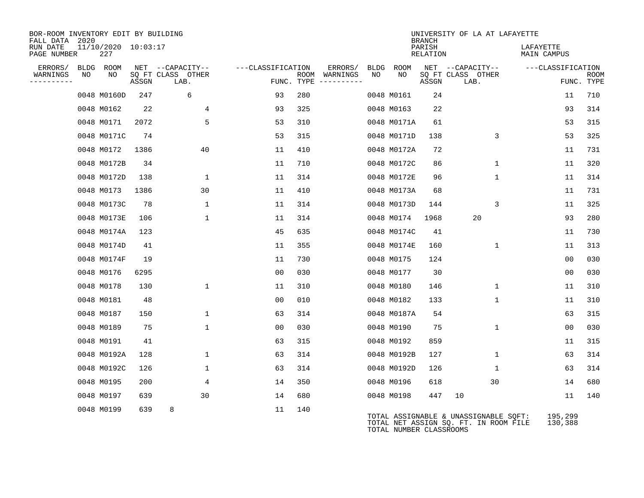| BOR-ROOM INVENTORY EDIT BY BUILDING<br>FALL DATA 2020 |    |                            |       |                           |                   |                                      |      |                         | <b>BRANCH</b>      | UNIVERSITY OF LA AT LAFAYETTE                                                  |                          |                           |
|-------------------------------------------------------|----|----------------------------|-------|---------------------------|-------------------|--------------------------------------|------|-------------------------|--------------------|--------------------------------------------------------------------------------|--------------------------|---------------------------|
| RUN DATE<br>PAGE NUMBER                               |    | 11/10/2020 10:03:17<br>227 |       |                           |                   |                                      |      |                         | PARISH<br>RELATION |                                                                                | LAFAYETTE<br>MAIN CAMPUS |                           |
| ERRORS/                                               |    | BLDG ROOM                  |       | NET --CAPACITY--          | ---CLASSIFICATION | ERRORS/                              | BLDG | ROOM                    |                    | NET --CAPACITY--                                                               | ---CLASSIFICATION        |                           |
| WARNINGS<br>---------                                 | NO | NO                         | ASSGN | SQ FT CLASS OTHER<br>LAB. |                   | ROOM WARNINGS<br>FUNC. TYPE $------$ | NO   | NO                      | ASSGN              | SQ FT CLASS OTHER<br>LAB.                                                      |                          | <b>ROOM</b><br>FUNC. TYPE |
|                                                       |    | 0048 M0160D                | 247   | 6                         | 93                | 280                                  |      | 0048 M0161              | 24                 |                                                                                | 11                       | 710                       |
|                                                       |    | 0048 M0162                 | 22    | 4                         | 93                | 325                                  |      | 0048 M0163              | 22                 |                                                                                | 93                       | 314                       |
|                                                       |    | 0048 M0171                 | 2072  | 5                         | 53                | 310                                  |      | 0048 M0171A             | 61                 |                                                                                | 53                       | 315                       |
|                                                       |    | 0048 M0171C                | 74    |                           | 53                | 315                                  |      | 0048 M0171D             | 138                | 3                                                                              | 53                       | 325                       |
|                                                       |    | 0048 M0172                 | 1386  | 40                        | 11                | 410                                  |      | 0048 M0172A             | 72                 |                                                                                | 11                       | 731                       |
|                                                       |    | 0048 M0172B                | 34    |                           | 11                | 710                                  |      | 0048 M0172C             | 86                 | $\mathbf 1$                                                                    | 11                       | 320                       |
|                                                       |    | 0048 M0172D                | 138   | $\mathbf 1$               | 11                | 314                                  |      | 0048 M0172E             | 96                 | $\mathbf{1}$                                                                   | 11                       | 314                       |
|                                                       |    | 0048 M0173                 | 1386  | 30                        | 11                | 410                                  |      | 0048 M0173A             | 68                 |                                                                                | 11                       | 731                       |
|                                                       |    | 0048 M0173C                | 78    | 1                         | 11                | 314                                  |      | 0048 M0173D             | 144                | 3                                                                              | 11                       | 325                       |
|                                                       |    | 0048 M0173E                | 106   | $\mathbf{1}$              | 11                | 314                                  |      | 0048 M0174              | 1968               | 20                                                                             | 93                       | 280                       |
|                                                       |    | 0048 M0174A                | 123   |                           | 45                | 635                                  |      | 0048 M0174C             | 41                 |                                                                                | 11                       | 730                       |
|                                                       |    | 0048 M0174D                | 41    |                           | 11                | 355                                  |      | 0048 M0174E             | 160                | 1                                                                              | 11                       | 313                       |
|                                                       |    | 0048 M0174F                | 19    |                           | 11                | 730                                  |      | 0048 M0175              | 124                |                                                                                | 0 <sub>0</sub>           | 030                       |
|                                                       |    | 0048 M0176                 | 6295  |                           | 00                | 030                                  |      | 0048 M0177              | 30                 |                                                                                | 0 <sub>0</sub>           | 030                       |
|                                                       |    | 0048 M0178                 | 130   | $\mathbf{1}$              | 11                | 310                                  |      | 0048 M0180              | 146                | 1                                                                              | 11                       | 310                       |
|                                                       |    | 0048 M0181                 | 48    |                           | 00                | 010                                  |      | 0048 M0182              | 133                | $\mathbf{1}$                                                                   | 11                       | 310                       |
|                                                       |    | 0048 M0187                 | 150   | $\mathbf{1}$              | 63                | 314                                  |      | 0048 M0187A             | 54                 |                                                                                | 63                       | 315                       |
|                                                       |    | 0048 M0189                 | 75    | $\mathbf 1$               | 00                | 030                                  |      | 0048 M0190              | 75                 | $\mathbf{1}$                                                                   | 0 <sub>0</sub>           | 030                       |
|                                                       |    | 0048 M0191                 | 41    |                           | 63                | 315                                  |      | 0048 M0192              | 859                |                                                                                | 11                       | 315                       |
|                                                       |    | 0048 M0192A                | 128   | $\mathbf 1$               | 63                | 314                                  |      | 0048 M0192B             | 127                | $\mathbf 1$                                                                    | 63                       | 314                       |
|                                                       |    | 0048 M0192C                | 126   | $\mathbf{1}$              | 63                | 314                                  |      | 0048 M0192D             | 126                | $\mathbf{1}$                                                                   | 63                       | 314                       |
|                                                       |    | 0048 M0195                 | 200   | 4                         | 14                | 350                                  |      | 0048 M0196              | 618                | 30                                                                             | 14                       | 680                       |
|                                                       |    | 0048 M0197                 | 639   | 30                        | 14                | 680                                  |      | 0048 M0198              | 447                | 10                                                                             | 11                       | 140                       |
|                                                       |    | 0048 M0199                 | 639   | 8                         | 11                | 140                                  |      | TOTAL NUMBER CLASSROOMS |                    | TOTAL ASSIGNABLE & UNASSIGNABLE SQFT:<br>TOTAL NET ASSIGN SQ. FT. IN ROOM FILE | 195,299<br>130,388       |                           |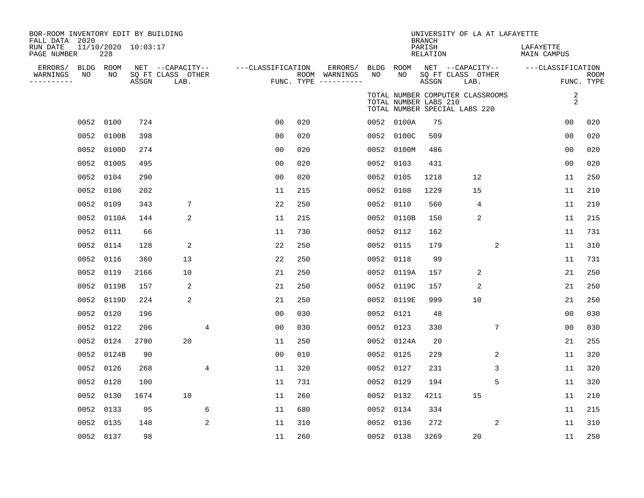| BOR-ROOM INVENTORY EDIT BY BUILDING       |           |                            |       |                           |   |                   |     |                                      |      |                       |                                            | UNIVERSITY OF LA AT LAFAYETTE                                     |                          |                           |
|-------------------------------------------|-----------|----------------------------|-------|---------------------------|---|-------------------|-----|--------------------------------------|------|-----------------------|--------------------------------------------|-------------------------------------------------------------------|--------------------------|---------------------------|
| FALL DATA 2020<br>RUN DATE<br>PAGE NUMBER |           | 11/10/2020 10:03:17<br>228 |       |                           |   |                   |     |                                      |      |                       | <b>BRANCH</b><br>PARISH<br><b>RELATION</b> |                                                                   | LAFAYETTE<br>MAIN CAMPUS |                           |
| ERRORS/                                   | BLDG ROOM |                            |       | NET --CAPACITY--          |   | ---CLASSIFICATION |     | ERRORS/                              |      | BLDG ROOM             |                                            | NET --CAPACITY--                                                  | ---CLASSIFICATION        |                           |
| WARNINGS<br>----------                    | NO        | NO                         | ASSGN | SQ FT CLASS OTHER<br>LAB. |   |                   |     | ROOM WARNINGS<br>FUNC. TYPE $------$ | NO.  | NO.                   | ASSGN                                      | SQ FT CLASS OTHER<br>LAB.                                         |                          | <b>ROOM</b><br>FUNC. TYPE |
|                                           |           |                            |       |                           |   |                   |     |                                      |      | TOTAL NUMBER LABS 210 |                                            | TOTAL NUMBER COMPUTER CLASSROOMS<br>TOTAL NUMBER SPECIAL LABS 220 | 2<br>$\overline{a}$      |                           |
|                                           | 0052      | 0100                       | 724   |                           |   | 0 <sub>0</sub>    | 020 |                                      |      | 0052 0100A            | 75                                         |                                                                   | 0 <sub>0</sub>           | 020                       |
|                                           | 0052      | 0100B                      | 398   |                           |   | 00                | 020 |                                      | 0052 | 0100C                 | 509                                        |                                                                   | 0 <sub>0</sub>           | 020                       |
|                                           | 0052      | 0100D                      | 274   |                           |   | 0 <sub>0</sub>    | 020 |                                      | 0052 | 0100M                 | 486                                        |                                                                   | 0 <sub>0</sub>           | 020                       |
|                                           | 0052      | 0100S                      | 495   |                           |   | 0 <sub>0</sub>    | 020 |                                      | 0052 | 0103                  | 431                                        |                                                                   | 0 <sub>0</sub>           | 020                       |
|                                           | 0052      | 0104                       | 290   |                           |   | 0 <sub>0</sub>    | 020 |                                      | 0052 | 0105                  | 1218                                       | 12                                                                | 11                       | 250                       |
|                                           | 0052      | 0106                       | 202   |                           |   | 11                | 215 |                                      | 0052 | 0108                  | 1229                                       | 15                                                                | 11                       | 210                       |
|                                           | 0052      | 0109                       | 343   | 7                         |   | 22                | 250 |                                      | 0052 | 0110                  | 560                                        | 4                                                                 | 11                       | 210                       |
|                                           | 0052      | 0110A                      | 144   | 2                         |   | 11                | 215 |                                      | 0052 | 0110B                 | 150                                        | 2                                                                 | 11                       | 215                       |
|                                           | 0052      | 0111                       | 66    |                           |   | 11                | 730 |                                      | 0052 | 0112                  | 162                                        |                                                                   | 11                       | 731                       |
|                                           | 0052      | 0114                       | 128   | 2                         |   | 22                | 250 |                                      | 0052 | 0115                  | 179                                        | 2                                                                 | 11                       | 310                       |
|                                           | 0052      | 0116                       | 360   | 13                        |   | 22                | 250 |                                      | 0052 | 0118                  | 99                                         |                                                                   | 11                       | 731                       |
|                                           | 0052      | 0119                       | 2166  | 10                        |   | 21                | 250 |                                      | 0052 | 0119A                 | 157                                        | 2                                                                 | 21                       | 250                       |
|                                           | 0052      | 0119B                      | 157   | 2                         |   | 21                | 250 |                                      | 0052 | 0119C                 | 157                                        | $\overline{2}$                                                    | 21                       | 250                       |
|                                           | 0052      | 0119D                      | 224   | 2                         |   | 21                | 250 |                                      | 0052 | 0119E                 | 999                                        | 10                                                                | 21                       | 250                       |
|                                           | 0052      | 0120                       | 196   |                           |   | 0 <sub>0</sub>    | 030 |                                      | 0052 | 0121                  | 48                                         |                                                                   | 00                       | 030                       |
|                                           | 0052      | 0122                       | 206   |                           | 4 | 0 <sub>0</sub>    | 030 |                                      | 0052 | 0123                  | 330                                        | 7                                                                 | 0 <sub>0</sub>           | 030                       |
|                                           | 0052      | 0124                       | 2790  | 20                        |   | 11                | 250 |                                      |      | 0052 0124A            | 20                                         |                                                                   | 21                       | 255                       |
|                                           | 0052      | 0124B                      | 90    |                           |   | 0 <sub>0</sub>    | 010 |                                      | 0052 | 0125                  | 229                                        | 2                                                                 | 11                       | 320                       |
|                                           | 0052      | 0126                       | 268   |                           | 4 | 11                | 320 |                                      | 0052 | 0127                  | 231                                        | 3                                                                 | 11                       | 320                       |
|                                           | 0052      | 0128                       | 100   |                           |   | 11                | 731 |                                      | 0052 | 0129                  | 194                                        | 5                                                                 | 11                       | 320                       |
|                                           | 0052      | 0130                       | 1674  | 10                        |   | 11                | 260 |                                      | 0052 | 0132                  | 4211                                       | 15                                                                | 11                       | 210                       |
|                                           | 0052      | 0133                       | 95    |                           | 6 | 11                | 680 |                                      | 0052 | 0134                  | 334                                        |                                                                   | 11                       | 215                       |
|                                           | 0052      | 0135                       | 148   |                           | 2 | 11                | 310 |                                      | 0052 | 0136                  | 272                                        | 2                                                                 | 11                       | 310                       |
|                                           | 0052 0137 |                            | 98    |                           |   | 11                | 260 |                                      |      | 0052 0138             | 3269                                       | 20                                                                | 11                       | 250                       |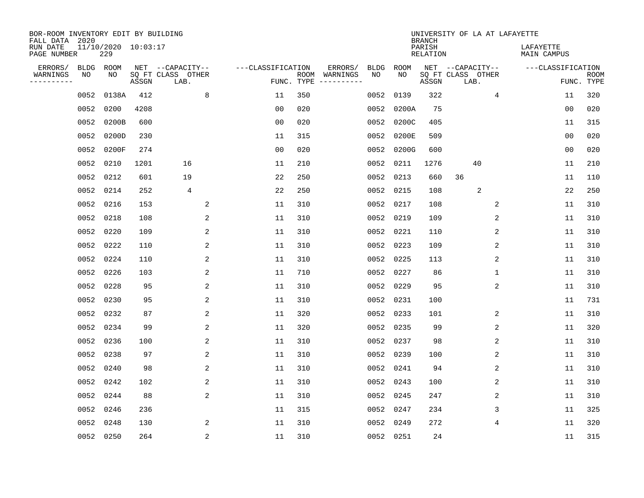| BOR-ROOM INVENTORY EDIT BY BUILDING<br>FALL DATA 2020 |      |                            |       |                           |                   |                    |                         |             |           | <b>BRANCH</b>             | UNIVERSITY OF LA AT LAFAYETTE |                          |                           |
|-------------------------------------------------------|------|----------------------------|-------|---------------------------|-------------------|--------------------|-------------------------|-------------|-----------|---------------------------|-------------------------------|--------------------------|---------------------------|
| RUN DATE<br>PAGE NUMBER                               |      | 11/10/2020 10:03:17<br>229 |       |                           |                   |                    |                         |             |           | PARISH<br><b>RELATION</b> |                               | LAFAYETTE<br>MAIN CAMPUS |                           |
| ERRORS/                                               | BLDG | ROOM                       |       | NET --CAPACITY--          | ---CLASSIFICATION |                    | ERRORS/                 | <b>BLDG</b> | ROOM      |                           | NET --CAPACITY--              | ---CLASSIFICATION        |                           |
| WARNINGS<br>----------                                | NO   | NO                         | ASSGN | SQ FT CLASS OTHER<br>LAB. |                   | ROOM<br>FUNC. TYPE | WARNINGS<br>----------- | NO          | NO        | ASSGN                     | SQ FT CLASS OTHER<br>LAB.     |                          | <b>ROOM</b><br>FUNC. TYPE |
|                                                       | 0052 | 0138A                      | 412   | 8                         | 11                | 350                |                         | 0052        | 0139      | 322                       | 4                             | 11                       | 320                       |
|                                                       | 0052 | 0200                       | 4208  |                           | 00                | 020                |                         | 0052        | 0200A     | 75                        |                               | 0 <sub>0</sub>           | 020                       |
|                                                       | 0052 | 0200B                      | 600   |                           | 0 <sub>0</sub>    | 020                |                         | 0052        | 0200C     | 405                       |                               | 11                       | 315                       |
|                                                       | 0052 | 0200D                      | 230   |                           | 11                | 315                |                         | 0052        | 0200E     | 509                       |                               | 0 <sub>0</sub>           | 020                       |
|                                                       | 0052 | 0200F                      | 274   |                           | 0 <sub>0</sub>    | 020                |                         | 0052        | 0200G     | 600                       |                               | 0 <sub>0</sub>           | 020                       |
|                                                       | 0052 | 0210                       | 1201  | 16                        | 11                | 210                |                         |             | 0052 0211 | 1276                      | 40                            | 11                       | 210                       |
|                                                       | 0052 | 0212                       | 601   | 19                        | 22                | 250                |                         |             | 0052 0213 | 660                       | 36                            | 11                       | 110                       |
|                                                       | 0052 | 0214                       | 252   | $\overline{4}$            | 22                | 250                |                         |             | 0052 0215 | 108                       | 2                             | 22                       | 250                       |
|                                                       | 0052 | 0216                       | 153   | 2                         | 11                | 310                |                         | 0052        | 0217      | 108                       | 2                             | 11                       | 310                       |
|                                                       | 0052 | 0218                       | 108   | 2                         | 11                | 310                |                         | 0052        | 0219      | 109                       | 2                             | 11                       | 310                       |
|                                                       | 0052 | 0220                       | 109   | 2                         | 11                | 310                |                         | 0052        | 0221      | 110                       | 2                             | 11                       | 310                       |
|                                                       |      | 0052 0222                  | 110   | 2                         | 11                | 310                |                         |             | 0052 0223 | 109                       | 2                             | 11                       | 310                       |
|                                                       | 0052 | 0224                       | 110   | 2                         | 11                | 310                |                         | 0052        | 0225      | 113                       | 2                             | 11                       | 310                       |
|                                                       | 0052 | 0226                       | 103   | 2                         | 11                | 710                |                         | 0052        | 0227      | 86                        | 1                             | 11                       | 310                       |
|                                                       | 0052 | 0228                       | 95    | 2                         | 11                | 310                |                         | 0052        | 0229      | 95                        | 2                             | 11                       | 310                       |
|                                                       | 0052 | 0230                       | 95    | 2                         | 11                | 310                |                         | 0052        | 0231      | 100                       |                               | 11                       | 731                       |
|                                                       | 0052 | 0232                       | 87    | 2                         | 11                | 320                |                         | 0052        | 0233      | 101                       | 2                             | 11                       | 310                       |
|                                                       | 0052 | 0234                       | 99    | 2                         | 11                | 320                |                         | 0052        | 0235      | 99                        | 2                             | 11                       | 320                       |
|                                                       | 0052 | 0236                       | 100   | 2                         | 11                | 310                |                         | 0052        | 0237      | 98                        | 2                             | 11                       | 310                       |
|                                                       | 0052 | 0238                       | 97    | 2                         | 11                | 310                |                         | 0052        | 0239      | 100                       | 2                             | 11                       | 310                       |
|                                                       | 0052 | 0240                       | 98    | 2                         | 11                | 310                |                         |             | 0052 0241 | 94                        | 2                             | 11                       | 310                       |
|                                                       | 0052 | 0242                       | 102   | 2                         | 11                | 310                |                         | 0052        | 0243      | 100                       | 2                             | 11                       | 310                       |
|                                                       | 0052 | 0244                       | 88    | 2                         | 11                | 310                |                         |             | 0052 0245 | 247                       | 2                             | 11                       | 310                       |
|                                                       | 0052 | 0246                       | 236   |                           | 11                | 315                |                         |             | 0052 0247 | 234                       | 3                             | 11                       | 325                       |
|                                                       | 0052 | 0248                       | 130   | 2                         | 11                | 310                |                         |             | 0052 0249 | 272                       | 4                             | 11                       | 320                       |
|                                                       |      | 0052 0250                  | 264   | $\overline{c}$            | 11                | 310                |                         |             | 0052 0251 | 24                        |                               | 11                       | 315                       |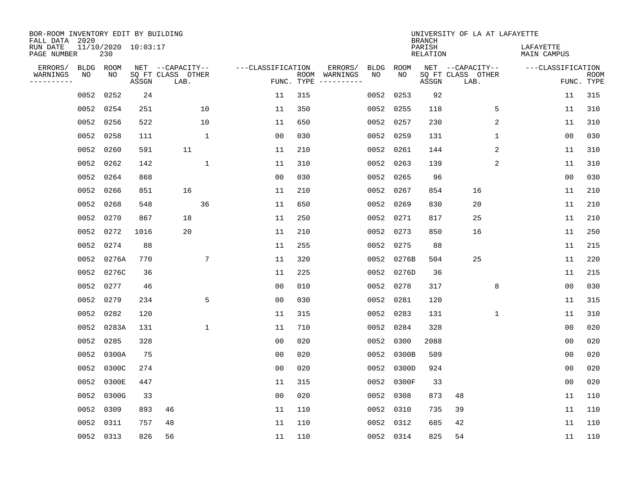| BOR-ROOM INVENTORY EDIT BY BUILDING<br>FALL DATA 2020 |      |            |                     |                           |                 |                   |                    |          |             |           | <b>BRANCH</b>             | UNIVERSITY OF LA AT LAFAYETTE |             |                                 |                |                           |
|-------------------------------------------------------|------|------------|---------------------|---------------------------|-----------------|-------------------|--------------------|----------|-------------|-----------|---------------------------|-------------------------------|-------------|---------------------------------|----------------|---------------------------|
| RUN DATE<br>PAGE NUMBER                               |      | 230        | 11/10/2020 10:03:17 |                           |                 |                   |                    |          |             |           | PARISH<br><b>RELATION</b> |                               |             | LAFAYETTE<br><b>MAIN CAMPUS</b> |                |                           |
| ERRORS/                                               |      | BLDG ROOM  |                     | NET --CAPACITY--          |                 | ---CLASSIFICATION |                    | ERRORS/  | <b>BLDG</b> | ROOM      |                           | NET --CAPACITY--              |             | ---CLASSIFICATION               |                |                           |
| WARNINGS<br>----------                                | ΝO   | NO         | ASSGN               | SQ FT CLASS OTHER<br>LAB. |                 |                   | ROOM<br>FUNC. TYPE | WARNINGS | NO          | NO        | ASSGN                     | SQ FT CLASS OTHER<br>LAB.     |             |                                 |                | <b>ROOM</b><br>FUNC. TYPE |
|                                                       | 0052 | 0252       | 24                  |                           |                 | 11                | 315                |          | 0052        | 0253      | 92                        |                               |             |                                 | 11             | 315                       |
|                                                       |      | 0052 0254  | 251                 |                           | 10              | 11                | 350                |          | 0052        | 0255      | 118                       |                               | 5           |                                 | 11             | 310                       |
|                                                       |      | 0052 0256  | 522                 |                           | 10              | 11                | 650                |          | 0052        | 0257      | 230                       |                               | 2           |                                 | 11             | 310                       |
|                                                       |      | 0052 0258  | 111                 |                           | $\mathbf{1}$    | 0 <sub>0</sub>    | 030                |          | 0052        | 0259      | 131                       |                               | $\mathbf 1$ |                                 | 0 <sub>0</sub> | 030                       |
|                                                       | 0052 | 0260       | 591                 | 11                        |                 | 11                | 210                |          | 0052        | 0261      | 144                       |                               | 2           |                                 | 11             | 310                       |
|                                                       |      | 0052 0262  | 142                 |                           | 1               | 11                | 310                |          | 0052        | 0263      | 139                       |                               | 2           |                                 | 11             | 310                       |
|                                                       |      | 0052 0264  | 868                 |                           |                 | 0 <sub>0</sub>    | 030                |          | 0052        | 0265      | 96                        |                               |             |                                 | 0 <sub>0</sub> | 030                       |
|                                                       |      | 0052 0266  | 851                 | 16                        |                 | 11                | 210                |          | 0052        | 0267      | 854                       | 16                            |             |                                 | 11             | 210                       |
|                                                       | 0052 | 0268       | 548                 |                           | 36              | 11                | 650                |          | 0052        | 0269      | 830                       | 20                            |             |                                 | 11             | 210                       |
|                                                       | 0052 | 0270       | 867                 | 18                        |                 | 11                | 250                |          | 0052        | 0271      | 817                       | 25                            |             |                                 | 11             | 210                       |
|                                                       | 0052 | 0272       | 1016                | 20                        |                 | 11                | 210                |          | 0052        | 0273      | 850                       | 16                            |             |                                 | 11             | 250                       |
|                                                       | 0052 | 0274       | 88                  |                           |                 | 11                | 255                |          | 0052        | 0275      | 88                        |                               |             |                                 | 11             | 215                       |
|                                                       | 0052 | 0276A      | 770                 |                           | $7\phantom{.0}$ | 11                | 320                |          | 0052        | 0276B     | 504                       | 25                            |             |                                 | 11             | 220                       |
|                                                       |      | 0052 0276C | 36                  |                           |                 | 11                | 225                |          | 0052        | 0276D     | 36                        |                               |             |                                 | 11             | 215                       |
|                                                       |      | 0052 0277  | 46                  |                           |                 | 0 <sub>0</sub>    | 010                |          | 0052        | 0278      | 317                       |                               | 8           |                                 | 0 <sub>0</sub> | 030                       |
|                                                       | 0052 | 0279       | 234                 |                           | 5               | 0 <sub>0</sub>    | 030                |          | 0052        | 0281      | 120                       |                               |             |                                 | 11             | 315                       |
|                                                       | 0052 | 0282       | 120                 |                           |                 | 11                | 315                |          | 0052        | 0283      | 131                       |                               | 1           |                                 | 11             | 310                       |
|                                                       | 0052 | 0283A      | 131                 |                           | $\mathbf 1$     | 11                | 710                |          | 0052        | 0284      | 328                       |                               |             |                                 | 0 <sub>0</sub> | 020                       |
|                                                       | 0052 | 0285       | 328                 |                           |                 | 0 <sub>0</sub>    | 020                |          | 0052        | 0300      | 2088                      |                               |             |                                 | 0 <sub>0</sub> | 020                       |
|                                                       | 0052 | 0300A      | 75                  |                           |                 | 0 <sub>0</sub>    | 020                |          | 0052        | 0300B     | 509                       |                               |             |                                 | 0 <sub>0</sub> | 020                       |
|                                                       | 0052 | 0300C      | 274                 |                           |                 | 0 <sub>0</sub>    | 020                |          | 0052        | 0300D     | 924                       |                               |             |                                 | 0 <sub>0</sub> | 020                       |
|                                                       | 0052 | 0300E      | 447                 |                           |                 | 11                | 315                |          | 0052        | 0300F     | 33                        |                               |             |                                 | 0 <sub>0</sub> | 020                       |
|                                                       | 0052 | 0300G      | 33                  |                           |                 | 0 <sub>0</sub>    | 020                |          | 0052        | 0308      | 873                       | 48                            |             |                                 | 11             | 110                       |
|                                                       | 0052 | 0309       | 893                 | 46                        |                 | 11                | 110                |          | 0052        | 0310      | 735                       | 39                            |             |                                 | 11             | 110                       |
|                                                       | 0052 | 0311       | 757                 | 48                        |                 | 11                | 110                |          | 0052        | 0312      | 685                       | 42                            |             |                                 | 11             | 110                       |
|                                                       |      | 0052 0313  | 826                 | 56                        |                 | 11                | 110                |          |             | 0052 0314 | 825                       | 54                            |             |                                 | 11             | 110                       |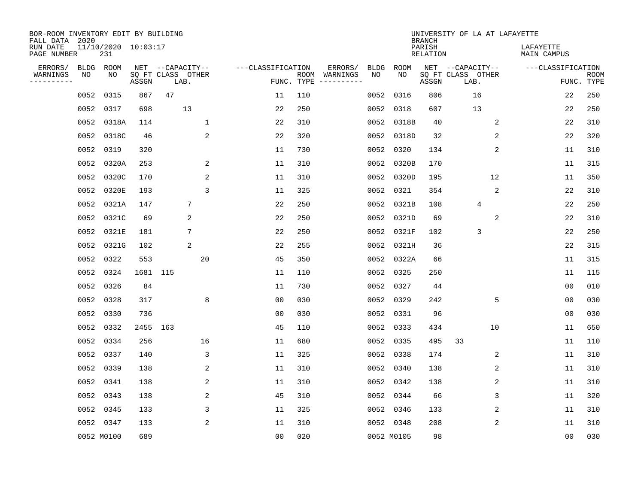| BOR-ROOM INVENTORY EDIT BY BUILDING<br>FALL DATA 2020 |      |                            |          |                           |                   |                    |                         |      |            | <b>BRANCH</b>             | UNIVERSITY OF LA AT LAFAYETTE |                          |                           |
|-------------------------------------------------------|------|----------------------------|----------|---------------------------|-------------------|--------------------|-------------------------|------|------------|---------------------------|-------------------------------|--------------------------|---------------------------|
| RUN DATE<br>PAGE NUMBER                               |      | 11/10/2020 10:03:17<br>231 |          |                           |                   |                    |                         |      |            | PARISH<br><b>RELATION</b> |                               | LAFAYETTE<br>MAIN CAMPUS |                           |
| ERRORS/                                               | BLDG | ROOM                       |          | NET --CAPACITY--          | ---CLASSIFICATION |                    | ERRORS/                 | BLDG | ROOM       |                           | NET --CAPACITY--              | ---CLASSIFICATION        |                           |
| WARNINGS<br>----------                                | NO   | ΝO                         | ASSGN    | SQ FT CLASS OTHER<br>LAB. |                   | ROOM<br>FUNC. TYPE | WARNINGS<br>----------- | NO   | NO         | ASSGN                     | SQ FT CLASS OTHER<br>LAB.     |                          | <b>ROOM</b><br>FUNC. TYPE |
|                                                       | 0052 | 0315                       | 867      | 47                        | 11                | 110                |                         | 0052 | 0316       | 806                       | 16                            | 22                       | 250                       |
|                                                       | 0052 | 0317                       | 698      | 13                        | 22                | 250                |                         | 0052 | 0318       | 607                       | 13                            | 22                       | 250                       |
|                                                       | 0052 | 0318A                      | 114      | $\mathbf{1}$              | 22                | 310                |                         | 0052 | 0318B      | 40                        | 2                             | 22                       | 310                       |
|                                                       |      | 0052 0318C                 | 46       | 2                         | 22                | 320                |                         | 0052 | 0318D      | 32                        | 2                             | 22                       | 320                       |
|                                                       | 0052 | 0319                       | 320      |                           | 11                | 730                |                         | 0052 | 0320       | 134                       | 2                             | 11                       | 310                       |
|                                                       |      | 0052 0320A                 | 253      | 2                         | 11                | 310                |                         | 0052 | 0320B      | 170                       |                               | 11                       | 315                       |
|                                                       | 0052 | 0320C                      | 170      | 2                         | 11                | 310                |                         | 0052 | 0320D      | 195                       | 12                            | 11                       | 350                       |
|                                                       | 0052 | 0320E                      | 193      | 3                         | 11                | 325                |                         | 0052 | 0321       | 354                       | 2                             | 22                       | 310                       |
|                                                       | 0052 | 0321A                      | 147      | 7                         | 22                | 250                |                         | 0052 | 0321B      | 108                       | 4                             | 22                       | 250                       |
|                                                       |      | 0052 0321C                 | 69       | 2                         | 22                | 250                |                         | 0052 | 0321D      | 69                        | 2                             | 22                       | 310                       |
|                                                       |      | 0052 0321E                 | 181      | 7                         | 22                | 250                |                         | 0052 | 0321F      | 102                       | 3                             | 22                       | 250                       |
|                                                       | 0052 | 0321G                      | 102      | 2                         | 22                | 255                |                         | 0052 | 0321H      | 36                        |                               | 22                       | 315                       |
|                                                       | 0052 | 0322                       | 553      | 20                        | 45                | 350                |                         | 0052 | 0322A      | 66                        |                               | 11                       | 315                       |
|                                                       | 0052 | 0324                       | 1681 115 |                           | 11                | 110                |                         | 0052 | 0325       | 250                       |                               | 11                       | 115                       |
|                                                       | 0052 | 0326                       | 84       |                           | 11                | 730                |                         | 0052 | 0327       | 44                        |                               | 0 <sub>0</sub>           | 010                       |
|                                                       | 0052 | 0328                       | 317      | 8                         | 0 <sub>0</sub>    | 030                |                         | 0052 | 0329       | 242                       | 5                             | 00                       | 030                       |
|                                                       | 0052 | 0330                       | 736      |                           | 00                | 030                |                         | 0052 | 0331       | 96                        |                               | 0 <sub>0</sub>           | 030                       |
|                                                       | 0052 | 0332                       | 2455     | 163                       | 45                | 110                |                         | 0052 | 0333       | 434                       | 10                            | 11                       | 650                       |
|                                                       | 0052 | 0334                       | 256      | 16                        | 11                | 680                |                         | 0052 | 0335       | 495                       | 33                            | 11                       | 110                       |
|                                                       | 0052 | 0337                       | 140      | 3                         | 11                | 325                |                         | 0052 | 0338       | 174                       | 2                             | 11                       | 310                       |
|                                                       | 0052 | 0339                       | 138      | 2                         | 11                | 310                |                         | 0052 | 0340       | 138                       | 2                             | 11                       | 310                       |
|                                                       | 0052 | 0341                       | 138      | 2                         | 11                | 310                |                         | 0052 | 0342       | 138                       | 2                             | 11                       | 310                       |
|                                                       | 0052 | 0343                       | 138      | 2                         | 45                | 310                |                         | 0052 | 0344       | 66                        | 3                             | 11                       | 320                       |
|                                                       | 0052 | 0345                       | 133      | 3                         | 11                | 325                |                         | 0052 | 0346       | 133                       | 2                             | 11                       | 310                       |
|                                                       |      | 0052 0347                  | 133      | 2                         | 11                | 310                |                         |      | 0052 0348  | 208                       | 2                             | 11                       | 310                       |
|                                                       |      | 0052 M0100                 | 689      |                           | 0 <sub>0</sub>    | 020                |                         |      | 0052 M0105 | 98                        |                               | 00                       | 030                       |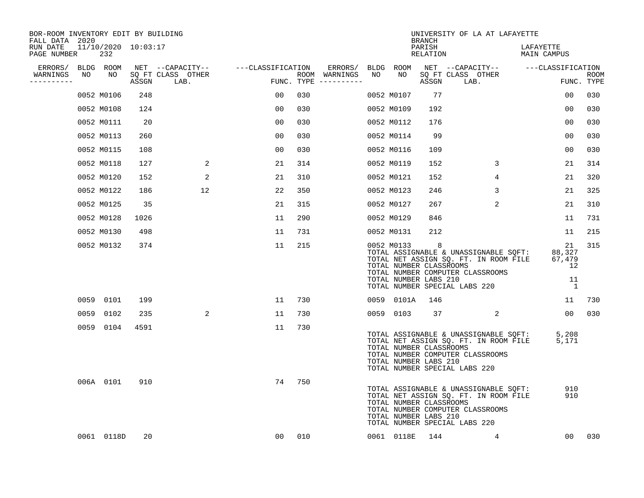| BOR-ROOM INVENTORY EDIT BY BUILDING<br>FALL DATA 2020 |    |                            |      |                                    |                |     |                                      |    |                                                                                   | <b>BRANCH</b>      | UNIVERSITY OF LA AT LAFAYETTE                                                                                                                       |                          |                                                        |             |
|-------------------------------------------------------|----|----------------------------|------|------------------------------------|----------------|-----|--------------------------------------|----|-----------------------------------------------------------------------------------|--------------------|-----------------------------------------------------------------------------------------------------------------------------------------------------|--------------------------|--------------------------------------------------------|-------------|
| RUN DATE<br>PAGE NUMBER                               |    | 11/10/2020 10:03:17<br>232 |      |                                    |                |     |                                      |    |                                                                                   | PARISH<br>RELATION |                                                                                                                                                     | LAFAYETTE<br>MAIN CAMPUS |                                                        |             |
| ERRORS/ BLDG ROOM                                     |    |                            |      | NET --CAPACITY-- ---CLASSIFICATION |                |     | ERRORS/ BLDG ROOM                    |    |                                                                                   |                    | NET --CAPACITY-- ---CLASSIFICATION                                                                                                                  |                          |                                                        |             |
| WARNINGS<br>--------                                  | NO | NO                         |      | SQ FT CLASS OTHER<br>ASSGN LAB.    |                |     | ROOM WARNINGS<br>FUNC. TYPE $------$ | NO | NO                                                                                | ASSGN              | SQ FT CLASS OTHER<br>LAB.                                                                                                                           |                          | FUNC. TYPE                                             | <b>ROOM</b> |
|                                                       |    | 0052 M0106                 | 248  |                                    | 0 <sub>0</sub> | 030 |                                      |    | 0052 M0107                                                                        | 77                 |                                                                                                                                                     |                          | 00                                                     | 030         |
|                                                       |    | 0052 M0108                 | 124  |                                    | 00             | 030 |                                      |    | 0052 M0109                                                                        | 192                |                                                                                                                                                     |                          | 00                                                     | 030         |
|                                                       |    | 0052 M0111                 | 20   |                                    | 00             | 030 |                                      |    | 0052 M0112                                                                        | 176                |                                                                                                                                                     |                          | 00                                                     | 030         |
|                                                       |    | 0052 M0113                 | 260  |                                    | 00             | 030 |                                      |    | 0052 M0114                                                                        | 99                 |                                                                                                                                                     |                          | 0 <sub>0</sub>                                         | 030         |
|                                                       |    | 0052 M0115                 | 108  |                                    | 00             | 030 |                                      |    | 0052 M0116                                                                        | 109                |                                                                                                                                                     |                          | 0 <sub>0</sub>                                         | 030         |
|                                                       |    | 0052 M0118                 | 127  | 2                                  | 21             | 314 |                                      |    | 0052 M0119                                                                        | 152                | 3                                                                                                                                                   |                          | 21                                                     | 314         |
|                                                       |    | 0052 M0120                 | 152  | 2                                  | 21             | 310 |                                      |    | 0052 M0121                                                                        | 152                | $4\overline{ }$                                                                                                                                     |                          | 21                                                     | 320         |
|                                                       |    | 0052 M0122                 | 186  | 12                                 | 22             | 350 |                                      |    | 0052 M0123                                                                        | 246                | 3                                                                                                                                                   |                          | 21                                                     | 325         |
|                                                       |    | 0052 M0125                 | 35   |                                    | 21             | 315 |                                      |    | 0052 M0127                                                                        | 267                | 2                                                                                                                                                   |                          | 21                                                     | 310         |
|                                                       |    | 0052 M0128                 | 1026 |                                    | 11             | 290 |                                      |    | 0052 M0129                                                                        | 846                |                                                                                                                                                     |                          | 11                                                     | 731         |
|                                                       |    | 0052 M0130                 | 498  |                                    | 11             | 731 |                                      |    | 0052 M0131                                                                        | 212                |                                                                                                                                                     |                          | 11                                                     | 215         |
|                                                       |    | 0052 M0132                 | 374  |                                    | 11             | 215 |                                      |    | 0052 M0133<br>TOTAL NUMBER CLASSROOMS<br>TOTAL NUMBER LABS 210                    | 8                  | TOTAL ASSIGNABLE & UNASSIGNABLE SQFT:<br>TOTAL NET ASSIGN SQ. FT. IN ROOM FILE<br>TOTAL NUMBER COMPUTER CLASSROOMS<br>TOTAL NUMBER SPECIAL LABS 220 |                          | 21<br>88,327<br>67,479<br>- 12<br>11<br>$\overline{1}$ | 315         |
|                                                       |    | 0059 0101                  | 199  |                                    | 11             | 730 |                                      |    | 0059 0101A                                                                        | 146                |                                                                                                                                                     |                          | 11                                                     | 730         |
|                                                       |    | 0059 0102                  | 235  | 2                                  | 11             | 730 |                                      |    | 0059 0103                                                                         | 37                 | 2                                                                                                                                                   |                          | 00                                                     | 030         |
|                                                       |    | 0059 0104                  | 4591 |                                    | 11             | 730 |                                      |    | TOTAL NUMBER CLASSROOMS<br>TOTAL NUMBER LABS 210<br>TOTAL NUMBER SPECIAL LABS 220 |                    | TOTAL ASSIGNABLE & UNASSIGNABLE SQFT:<br>TOTAL NET ASSIGN SQ. FT. IN ROOM FILE<br>TOTAL NUMBER COMPUTER CLASSROOMS                                  |                          | 5,208<br>5,171                                         |             |
|                                                       |    | 006A 0101                  | 910  |                                    | 74             | 750 |                                      |    | TOTAL NUMBER CLASSROOMS<br>TOTAL NUMBER LABS 210<br>TOTAL NUMBER SPECIAL LABS 220 |                    | TOTAL ASSIGNABLE & UNASSIGNABLE SQFT:<br>TOTAL NET ASSIGN SQ. FT. IN ROOM FILE<br>TOTAL NUMBER COMPUTER CLASSROOMS                                  |                          | 910<br>910                                             |             |
|                                                       |    | 0061 0118D                 | 20   |                                    | 0 <sub>0</sub> | 010 |                                      |    | 0061 0118E 144                                                                    |                    | $4^{\circ}$                                                                                                                                         |                          | 00 <sub>o</sub>                                        | 030         |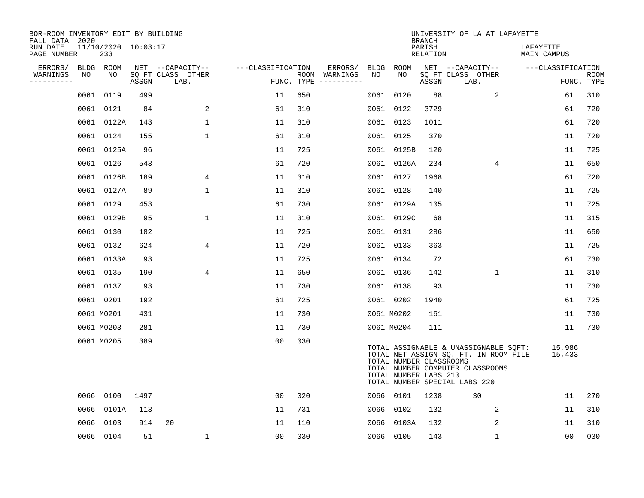| BOR-ROOM INVENTORY EDIT BY BUILDING<br>FALL DATA 2020 |      |                            |       |                           |                   |                    |                                   |      |                                                  | <b>BRANCH</b>      | UNIVERSITY OF LA AT LAFAYETTE                                                                                                                       |                          |                           |
|-------------------------------------------------------|------|----------------------------|-------|---------------------------|-------------------|--------------------|-----------------------------------|------|--------------------------------------------------|--------------------|-----------------------------------------------------------------------------------------------------------------------------------------------------|--------------------------|---------------------------|
| RUN DATE<br>PAGE NUMBER                               |      | 11/10/2020 10:03:17<br>233 |       |                           |                   |                    |                                   |      |                                                  | PARISH<br>RELATION |                                                                                                                                                     | LAFAYETTE<br>MAIN CAMPUS |                           |
| ERRORS/                                               |      | BLDG ROOM                  |       | NET --CAPACITY--          | ---CLASSIFICATION |                    | ERRORS/                           | BLDG | ROOM                                             |                    | NET --CAPACITY--                                                                                                                                    | ---CLASSIFICATION        |                           |
| WARNINGS<br>----------                                | NO   | NO.                        | ASSGN | SQ FT CLASS OTHER<br>LAB. |                   | ROOM<br>FUNC. TYPE | WARNINGS<br>$- - - - - - - - - -$ | NO   | NO.                                              | ASSGN              | SQ FT CLASS OTHER<br>LAB.                                                                                                                           |                          | <b>ROOM</b><br>FUNC. TYPE |
|                                                       |      | 0061 0119                  | 499   |                           | 11                | 650                |                                   | 0061 | 0120                                             | 88                 | 2                                                                                                                                                   | 61                       | 310                       |
|                                                       |      | 0061 0121                  | 84    | 2                         | 61                | 310                |                                   |      | 0061 0122                                        | 3729               |                                                                                                                                                     | 61                       | 720                       |
|                                                       |      | 0061 0122A                 | 143   | $\mathbf{1}$              | 11                | 310                |                                   |      | 0061 0123                                        | 1011               |                                                                                                                                                     | 61                       | 720                       |
|                                                       |      | 0061 0124                  | 155   | 1                         | 61                | 310                |                                   |      | 0061 0125                                        | 370                |                                                                                                                                                     | 11                       | 720                       |
|                                                       |      | 0061 0125A                 | 96    |                           | 11                | 725                |                                   |      | 0061 0125B                                       | 120                |                                                                                                                                                     | 11                       | 725                       |
|                                                       |      | 0061 0126                  | 543   |                           | 61                | 720                |                                   |      | 0061 0126A                                       | 234                | 4                                                                                                                                                   | 11                       | 650                       |
|                                                       |      | 0061 0126B                 | 189   | 4                         | 11                | 310                |                                   |      | 0061 0127                                        | 1968               |                                                                                                                                                     | 61                       | 720                       |
|                                                       |      | 0061 0127A                 | 89    | 1                         | 11                | 310                |                                   |      | 0061 0128                                        | 140                |                                                                                                                                                     | 11                       | 725                       |
|                                                       |      | 0061 0129                  | 453   |                           | 61                | 730                |                                   |      | 0061 0129A                                       | 105                |                                                                                                                                                     | 11                       | 725                       |
|                                                       |      | 0061 0129B                 | 95    | $\mathbf{1}$              | 11                | 310                |                                   |      | 0061 0129C                                       | 68                 |                                                                                                                                                     | 11                       | 315                       |
|                                                       |      | 0061 0130                  | 182   |                           | 11                | 725                |                                   |      | 0061 0131                                        | 286                |                                                                                                                                                     | 11                       | 650                       |
|                                                       |      | 0061 0132                  | 624   | 4                         | 11                | 720                |                                   |      | 0061 0133                                        | 363                |                                                                                                                                                     | 11                       | 725                       |
|                                                       |      | 0061 0133A                 | 93    |                           | 11                | 725                |                                   |      | 0061 0134                                        | 72                 |                                                                                                                                                     | 61                       | 730                       |
|                                                       |      | 0061 0135                  | 190   | $\overline{4}$            | 11                | 650                |                                   |      | 0061 0136                                        | 142                | $\mathbf 1$                                                                                                                                         | 11                       | 310                       |
|                                                       |      | 0061 0137                  | 93    |                           | 11                | 730                |                                   |      | 0061 0138                                        | 93                 |                                                                                                                                                     | 11                       | 730                       |
|                                                       |      | 0061 0201                  | 192   |                           | 61                | 725                |                                   |      | 0061 0202                                        | 1940               |                                                                                                                                                     | 61                       | 725                       |
|                                                       |      | 0061 M0201                 | 431   |                           | 11                | 730                |                                   |      | 0061 M0202                                       | 161                |                                                                                                                                                     | 11                       | 730                       |
|                                                       |      | 0061 M0203                 | 281   |                           | 11                | 730                |                                   |      | 0061 M0204                                       | 111                |                                                                                                                                                     | 11                       | 730                       |
|                                                       |      | 0061 M0205                 | 389   |                           | 0 <sub>0</sub>    | 030                |                                   |      | TOTAL NUMBER CLASSROOMS<br>TOTAL NUMBER LABS 210 |                    | TOTAL ASSIGNABLE & UNASSIGNABLE SQFT:<br>TOTAL NET ASSIGN SQ. FT. IN ROOM FILE<br>TOTAL NUMBER COMPUTER CLASSROOMS<br>TOTAL NUMBER SPECIAL LABS 220 | 15,986<br>15,433         |                           |
|                                                       |      | 0066 0100                  | 1497  |                           | 00                | 020                |                                   |      | 0066 0101                                        | 1208               | 30                                                                                                                                                  | 11                       | 270                       |
|                                                       | 0066 | 0101A                      | 113   |                           | 11                | 731                |                                   |      | 0066 0102                                        | 132                | 2                                                                                                                                                   | 11                       | 310                       |
|                                                       | 0066 | 0103                       | 914   | 20                        | 11                | 110                |                                   |      | 0066 0103A                                       | 132                | $\overline{2}$                                                                                                                                      | 11                       | 310                       |
|                                                       |      | 0066 0104                  | 51    | $\mathbf 1$               | 0 <sub>0</sub>    | 030                |                                   |      | 0066 0105                                        | 143                | $\mathbf{1}$                                                                                                                                        | 0 <sub>0</sub>           | 030                       |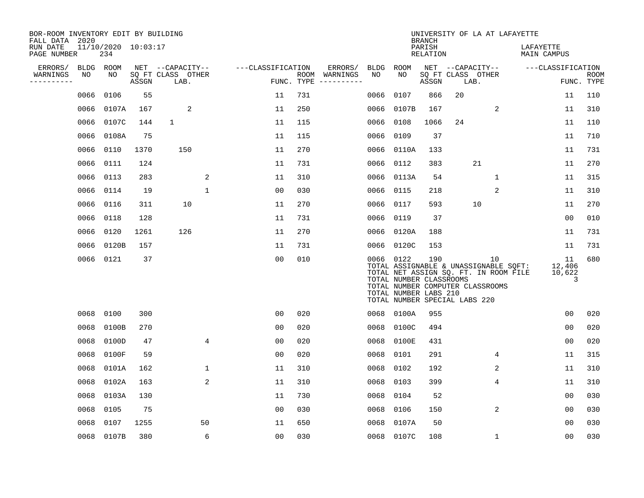| BOR-ROOM INVENTORY EDIT BY BUILDING<br>FALL DATA 2020 |           |                            |       |                           |                |                   |            |                              |      |                                                                                                | <b>BRANCH</b>      |    | UNIVERSITY OF LA AT LAFAYETTE                                                                                            |                             |                           |
|-------------------------------------------------------|-----------|----------------------------|-------|---------------------------|----------------|-------------------|------------|------------------------------|------|------------------------------------------------------------------------------------------------|--------------------|----|--------------------------------------------------------------------------------------------------------------------------|-----------------------------|---------------------------|
| RUN DATE<br>PAGE NUMBER                               |           | 11/10/2020 10:03:17<br>234 |       |                           |                |                   |            |                              |      |                                                                                                | PARISH<br>RELATION |    |                                                                                                                          | LAFAYETTE<br>MAIN CAMPUS    |                           |
| ERRORS/                                               | BLDG ROOM |                            |       | NET --CAPACITY--          |                | ---CLASSIFICATION |            | ERRORS/                      |      | BLDG ROOM                                                                                      |                    |    | NET --CAPACITY--                                                                                                         | ---CLASSIFICATION           |                           |
| WARNINGS<br>----------                                | NO        | NO                         | ASSGN | SQ FT CLASS OTHER<br>LAB. |                |                   | FUNC. TYPE | ROOM WARNINGS<br>----------- | NO   | NO                                                                                             | ASSGN              |    | SQ FT CLASS OTHER<br>LAB.                                                                                                |                             | <b>ROOM</b><br>FUNC. TYPE |
|                                                       | 0066      | 0106                       | 55    |                           |                | 11                | 731        |                              | 0066 | 0107                                                                                           | 866                | 20 |                                                                                                                          | 11                          | 110                       |
|                                                       | 0066      | 0107A                      | 167   | 2                         |                | 11                | 250        |                              | 0066 | 0107B                                                                                          | 167                |    | 2                                                                                                                        | 11                          | 310                       |
|                                                       | 0066      | 0107C                      | 144   | 1                         |                | 11                | 115        |                              | 0066 | 0108                                                                                           | 1066               | 24 |                                                                                                                          | 11                          | 110                       |
|                                                       | 0066      | 0108A                      | 75    |                           |                | 11                | 115        |                              | 0066 | 0109                                                                                           | 37                 |    |                                                                                                                          | 11                          | 710                       |
|                                                       | 0066      | 0110                       | 1370  | 150                       |                | 11                | 270        |                              |      | 0066 0110A                                                                                     | 133                |    |                                                                                                                          | 11                          | 731                       |
|                                                       | 0066      | 0111                       | 124   |                           |                | 11                | 731        |                              |      | 0066 0112                                                                                      | 383                |    | 21                                                                                                                       | 11                          | 270                       |
|                                                       | 0066      | 0113                       | 283   |                           | 2              | 11                | 310        |                              |      | 0066 0113A                                                                                     | 54                 |    | $\mathbf{1}$                                                                                                             | 11                          | 315                       |
|                                                       | 0066      | 0114                       | 19    |                           | $\mathbf{1}$   | 0 <sub>0</sub>    | 030        |                              | 0066 | 0115                                                                                           | 218                |    | 2                                                                                                                        | 11                          | 310                       |
|                                                       | 0066      | 0116                       | 311   | 10                        |                | 11                | 270        |                              | 0066 | 0117                                                                                           | 593                |    | 10                                                                                                                       | 11                          | 270                       |
|                                                       | 0066      | 0118                       | 128   |                           |                | 11                | 731        |                              |      | 0066 0119                                                                                      | 37                 |    |                                                                                                                          | 0 <sub>0</sub>              | 010                       |
|                                                       | 0066      | 0120                       | 1261  | 126                       |                | 11                | 270        |                              |      | 0066 0120A                                                                                     | 188                |    |                                                                                                                          | 11                          | 731                       |
|                                                       | 0066      | 0120B                      | 157   |                           |                | 11                | 731        |                              |      | 0066 0120C                                                                                     | 153                |    |                                                                                                                          | 11                          | 731                       |
|                                                       |           | 0066 0121                  | 37    |                           |                | 0 <sub>0</sub>    | 010        |                              |      | 0066 0122<br>TOTAL NUMBER CLASSROOMS<br>TOTAL NUMBER LABS 210<br>TOTAL NUMBER SPECIAL LABS 220 | 190                |    | 10<br>TOTAL ASSIGNABLE & UNASSIGNABLE SQFT:<br>TOTAL NET ASSIGN SQ. FT. IN ROOM FILE<br>TOTAL NUMBER COMPUTER CLASSROOMS | 11<br>12,406<br>10,622<br>3 | 680                       |
|                                                       | 0068      | 0100                       | 300   |                           |                | 0 <sub>0</sub>    | 020        |                              |      | 0068 0100A                                                                                     | 955                |    |                                                                                                                          | 0 <sub>0</sub>              | 020                       |
|                                                       | 0068      | 0100B                      | 270   |                           |                | 0 <sub>0</sub>    | 020        |                              | 0068 | 0100C                                                                                          | 494                |    |                                                                                                                          | 0 <sub>0</sub>              | 020                       |
|                                                       | 0068      | 0100D                      | 47    |                           | 4              | 00                | 020        |                              | 0068 | 0100E                                                                                          | 431                |    |                                                                                                                          | 0 <sub>0</sub>              | 020                       |
|                                                       | 0068      | 0100F                      | 59    |                           |                | 0 <sub>0</sub>    | 020        |                              | 0068 | 0101                                                                                           | 291                |    | 4                                                                                                                        | 11                          | 315                       |
|                                                       | 0068      | 0101A                      | 162   |                           | 1              | 11                | 310        |                              | 0068 | 0102                                                                                           | 192                |    | 2                                                                                                                        | 11                          | 310                       |
|                                                       | 0068      | 0102A                      | 163   |                           | $\overline{2}$ | 11                | 310        |                              | 0068 | 0103                                                                                           | 399                |    | 4                                                                                                                        | 11                          | 310                       |
|                                                       | 0068      | 0103A                      | 130   |                           |                | 11                | 730        |                              | 0068 | 0104                                                                                           | 52                 |    |                                                                                                                          | 0 <sub>0</sub>              | 030                       |
|                                                       | 0068      | 0105                       | 75    |                           |                | 0 <sub>0</sub>    | 030        |                              | 0068 | 0106                                                                                           | 150                |    | $\overline{2}$                                                                                                           | 0 <sub>0</sub>              | 030                       |
|                                                       | 0068      | 0107                       | 1255  |                           | 50             | 11                | 650        |                              | 0068 | 0107A                                                                                          | 50                 |    |                                                                                                                          | 00                          | 030                       |
|                                                       |           | 0068 0107B                 | 380   |                           | 6              | 0 <sub>0</sub>    | 030        |                              |      | 0068 0107C                                                                                     | 108                |    | $\mathbf 1$                                                                                                              | 0 <sub>0</sub>              | 030                       |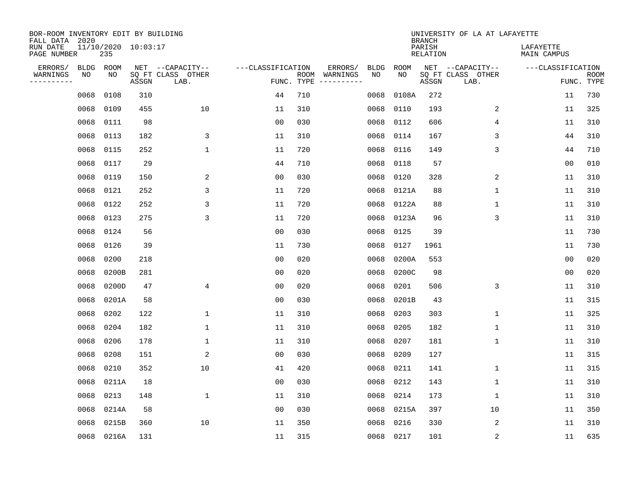| BOR-ROOM INVENTORY EDIT BY BUILDING<br>FALL DATA 2020 |             |            |                     |                           |                   |                    |          |             |             | <b>BRANCH</b>             | UNIVERSITY OF LA AT LAFAYETTE |                          |                           |
|-------------------------------------------------------|-------------|------------|---------------------|---------------------------|-------------------|--------------------|----------|-------------|-------------|---------------------------|-------------------------------|--------------------------|---------------------------|
| RUN DATE<br>PAGE NUMBER                               |             | 235        | 11/10/2020 10:03:17 |                           |                   |                    |          |             |             | PARISH<br><b>RELATION</b> |                               | LAFAYETTE<br>MAIN CAMPUS |                           |
| ERRORS/                                               | <b>BLDG</b> | ROOM       |                     | NET --CAPACITY--          | ---CLASSIFICATION |                    | ERRORS/  | <b>BLDG</b> | <b>ROOM</b> |                           | NET --CAPACITY--              | ---CLASSIFICATION        |                           |
| WARNINGS<br>----------                                | NO          | NO         | ASSGN               | SQ FT CLASS OTHER<br>LAB. |                   | ROOM<br>FUNC. TYPE | WARNINGS | NO          | NO          | ASSGN                     | SQ FT CLASS OTHER<br>LAB.     |                          | <b>ROOM</b><br>FUNC. TYPE |
|                                                       | 0068        | 0108       | 310                 |                           | 44                | 710                |          | 0068        | 0108A       | 272                       |                               | 11                       | 730                       |
|                                                       | 0068        | 0109       | 455                 | 10                        | 11                | 310                |          | 0068        | 0110        | 193                       | 2                             | 11                       | 325                       |
|                                                       | 0068        | 0111       | 98                  |                           | 0 <sub>0</sub>    | 030                |          | 0068        | 0112        | 606                       | 4                             | 11                       | 310                       |
|                                                       | 0068        | 0113       | 182                 | 3                         | 11                | 310                |          | 0068        | 0114        | 167                       | 3                             | 44                       | 310                       |
|                                                       | 0068        | 0115       | 252                 | $\mathbf 1$               | 11                | 720                |          | 0068        | 0116        | 149                       | 3                             | 44                       | 710                       |
|                                                       | 0068        | 0117       | 29                  |                           | 44                | 710                |          | 0068        | 0118        | 57                        |                               | 0 <sub>0</sub>           | 010                       |
|                                                       | 0068        | 0119       | 150                 | 2                         | 0 <sub>0</sub>    | 030                |          | 0068        | 0120        | 328                       | 2                             | 11                       | 310                       |
|                                                       | 0068        | 0121       | 252                 | 3                         | 11                | 720                |          | 0068        | 0121A       | 88                        | $\mathbf{1}$                  | 11                       | 310                       |
|                                                       | 0068        | 0122       | 252                 | 3                         | 11                | 720                |          | 0068        | 0122A       | 88                        | 1                             | 11                       | 310                       |
|                                                       | 0068        | 0123       | 275                 | 3                         | 11                | 720                |          | 0068        | 0123A       | 96                        | 3                             | 11                       | 310                       |
|                                                       | 0068        | 0124       | 56                  |                           | 0 <sub>0</sub>    | 030                |          | 0068        | 0125        | 39                        |                               | 11                       | 730                       |
|                                                       | 0068        | 0126       | 39                  |                           | 11                | 730                |          | 0068        | 0127        | 1961                      |                               | 11                       | 730                       |
|                                                       | 0068        | 0200       | 218                 |                           | 0 <sub>0</sub>    | 020                |          | 0068        | 0200A       | 553                       |                               | 0 <sub>0</sub>           | 020                       |
|                                                       | 0068        | 0200B      | 281                 |                           | 0 <sub>0</sub>    | 020                |          | 0068        | 0200C       | 98                        |                               | 0 <sub>0</sub>           | 020                       |
|                                                       | 0068        | 0200D      | 47                  | 4                         | 0 <sub>0</sub>    | 020                |          | 0068        | 0201        | 506                       | 3                             | 11                       | 310                       |
|                                                       | 0068        | 0201A      | 58                  |                           | 0 <sub>0</sub>    | 030                |          | 0068        | 0201B       | 43                        |                               | 11                       | 315                       |
|                                                       | 0068        | 0202       | 122                 | 1                         | 11                | 310                |          | 0068        | 0203        | 303                       | 1                             | 11                       | 325                       |
|                                                       | 0068        | 0204       | 182                 | 1                         | 11                | 310                |          | 0068        | 0205        | 182                       | 1                             | 11                       | 310                       |
|                                                       | 0068        | 0206       | 178                 | 1                         | 11                | 310                |          | 0068        | 0207        | 181                       | 1                             | 11                       | 310                       |
|                                                       | 0068        | 0208       | 151                 | 2                         | 0 <sub>0</sub>    | 030                |          | 0068        | 0209        | 127                       |                               | 11                       | 315                       |
|                                                       | 0068        | 0210       | 352                 | 10                        | 41                | 420                |          | 0068        | 0211        | 141                       | 1                             | 11                       | 315                       |
|                                                       | 0068        | 0211A      | 18                  |                           | 0 <sub>0</sub>    | 030                |          | 0068        | 0212        | 143                       | 1                             | 11                       | 310                       |
|                                                       | 0068        | 0213       | 148                 | $\mathbf{1}$              | 11                | 310                |          | 0068        | 0214        | 173                       | 1                             | 11                       | 310                       |
|                                                       | 0068        | 0214A      | 58                  |                           | 0 <sub>0</sub>    | 030                |          | 0068        | 0215A       | 397                       | 10                            | 11                       | 350                       |
|                                                       | 0068        | 0215B      | 360                 | 10                        | 11                | 350                |          | 0068        | 0216        | 330                       | 2                             | 11                       | 310                       |
|                                                       |             | 0068 0216A | 131                 |                           | 11                | 315                |          |             | 0068 0217   | 101                       | $\sqrt{2}$                    | 11                       | 635                       |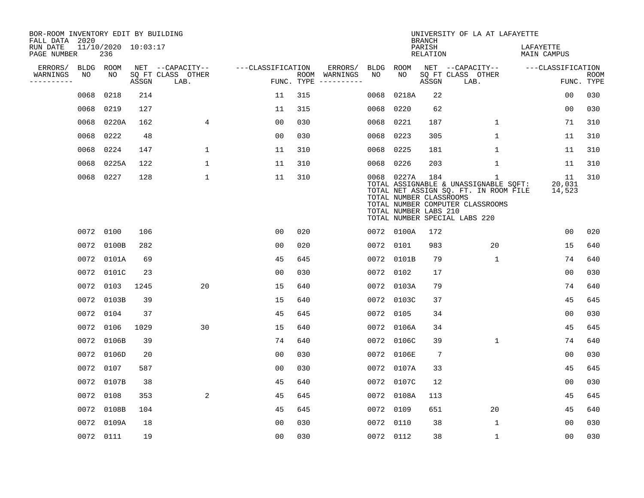| BOR-ROOM INVENTORY EDIT BY BUILDING<br>FALL DATA 2020 |      |                            |       |                           |                   |     |                                      |      |                                                                | <b>BRANCH</b>             | UNIVERSITY OF LA AT LAFAYETTE                                                                                                                            |                                 |                           |
|-------------------------------------------------------|------|----------------------------|-------|---------------------------|-------------------|-----|--------------------------------------|------|----------------------------------------------------------------|---------------------------|----------------------------------------------------------------------------------------------------------------------------------------------------------|---------------------------------|---------------------------|
| RUN DATE<br>PAGE NUMBER                               |      | 11/10/2020 10:03:17<br>236 |       |                           |                   |     |                                      |      |                                                                | PARISH<br><b>RELATION</b> |                                                                                                                                                          | LAFAYETTE<br><b>MAIN CAMPUS</b> |                           |
| ERRORS/                                               |      | BLDG ROOM                  |       | NET --CAPACITY--          | ---CLASSIFICATION |     | ERRORS/                              | BLDG | ROOM                                                           |                           | NET --CAPACITY--                                                                                                                                         | ---CLASSIFICATION               |                           |
| WARNINGS<br>----------                                | NO   | NO                         | ASSGN | SQ FT CLASS OTHER<br>LAB. |                   |     | ROOM WARNINGS<br>FUNC. TYPE $------$ | NO   | NO                                                             | ASSGN                     | SQ FT CLASS OTHER<br>LAB.                                                                                                                                |                                 | <b>ROOM</b><br>FUNC. TYPE |
|                                                       | 0068 | 0218                       | 214   |                           | 11                | 315 |                                      | 0068 | 0218A                                                          | 22                        |                                                                                                                                                          | 0 <sub>0</sub>                  | 030                       |
|                                                       | 0068 | 0219                       | 127   |                           | 11                | 315 |                                      | 0068 | 0220                                                           | 62                        |                                                                                                                                                          | 00                              | 030                       |
|                                                       | 0068 | 0220A                      | 162   | 4                         | 00                | 030 |                                      | 0068 | 0221                                                           | 187                       | 1                                                                                                                                                        | 71                              | 310                       |
|                                                       | 0068 | 0222                       | 48    |                           | 0 <sub>0</sub>    | 030 |                                      | 0068 | 0223                                                           | 305                       | $\mathbf 1$                                                                                                                                              | 11                              | 310                       |
|                                                       | 0068 | 0224                       | 147   | $\mathbf 1$               | 11                | 310 |                                      | 0068 | 0225                                                           | 181                       | $\mathbf 1$                                                                                                                                              | 11                              | 310                       |
|                                                       | 0068 | 0225A                      | 122   | $\mathbf{1}$              | 11                | 310 |                                      | 0068 | 0226                                                           | 203                       | $\mathbf 1$                                                                                                                                              | 11                              | 310                       |
|                                                       |      | 0068 0227                  | 128   | $\mathbf{1}$              | 11                | 310 |                                      |      | 0068 0227A<br>TOTAL NUMBER CLASSROOMS<br>TOTAL NUMBER LABS 210 | 184                       | 1<br>TOTAL ASSIGNABLE & UNASSIGNABLE SQFT:<br>TOTAL NET ASSIGN SQ. FT. IN ROOM FILE<br>TOTAL NUMBER COMPUTER CLASSROOMS<br>TOTAL NUMBER SPECIAL LABS 220 | 11<br>20,031<br>14,523          | 310                       |
|                                                       |      | 0072 0100                  | 106   |                           | 00                | 020 |                                      |      | 0072 0100A                                                     | 172                       |                                                                                                                                                          | 0 <sub>0</sub>                  | 020                       |
|                                                       |      | 0072 0100B                 | 282   |                           | 0 <sub>0</sub>    | 020 |                                      |      | 0072 0101                                                      | 983                       | 20                                                                                                                                                       | 15                              | 640                       |
|                                                       | 0072 | 0101A                      | 69    |                           | 45                | 645 |                                      |      | 0072 0101B                                                     | 79                        | 1                                                                                                                                                        | 74                              | 640                       |
|                                                       | 0072 | 0101C                      | 23    |                           | 0 <sub>0</sub>    | 030 |                                      |      | 0072 0102                                                      | 17                        |                                                                                                                                                          | 0 <sub>0</sub>                  | 030                       |
|                                                       | 0072 | 0103                       | 1245  | 20                        | 15                | 640 |                                      |      | 0072 0103A                                                     | 79                        |                                                                                                                                                          | 74                              | 640                       |
|                                                       | 0072 | 0103B                      | 39    |                           | 15                | 640 |                                      |      | 0072 0103C                                                     | 37                        |                                                                                                                                                          | 45                              | 645                       |
|                                                       |      | 0072 0104                  | 37    |                           | 45                | 645 |                                      |      | 0072 0105                                                      | 34                        |                                                                                                                                                          | 0 <sub>0</sub>                  | 030                       |
|                                                       | 0072 | 0106                       | 1029  | 30                        | 15                | 640 |                                      |      | 0072 0106A                                                     | 34                        |                                                                                                                                                          | 45                              | 645                       |
|                                                       |      | 0072 0106B                 | 39    |                           | 74                | 640 |                                      |      | 0072 0106C                                                     | 39                        | $\mathbf 1$                                                                                                                                              | 74                              | 640                       |
|                                                       |      | 0072 0106D                 | 20    |                           | 0 <sub>0</sub>    | 030 |                                      |      | 0072 0106E                                                     | $7\phantom{.0}$           |                                                                                                                                                          | 0 <sub>0</sub>                  | 030                       |
|                                                       | 0072 | 0107                       | 587   |                           | 0 <sub>0</sub>    | 030 |                                      |      | 0072 0107A                                                     | 33                        |                                                                                                                                                          | 45                              | 645                       |
|                                                       | 0072 | 0107B                      | 38    |                           | 45                | 640 |                                      |      | 0072 0107C                                                     | 12                        |                                                                                                                                                          | 0 <sub>0</sub>                  | 030                       |
|                                                       | 0072 | 0108                       | 353   | 2                         | 45                | 645 |                                      |      | 0072 0108A                                                     | 113                       |                                                                                                                                                          | 45                              | 645                       |
|                                                       |      | 0072 0108B                 | 104   |                           | 45                | 645 |                                      |      | 0072 0109                                                      | 651                       | 20                                                                                                                                                       | 45                              | 640                       |
|                                                       | 0072 | 0109A                      | 18    |                           | 0 <sub>0</sub>    | 030 |                                      |      | 0072 0110                                                      | 38                        | $\mathbf{1}$                                                                                                                                             | 0 <sub>0</sub>                  | 030                       |
|                                                       |      | 0072 0111                  | 19    |                           | 0 <sub>0</sub>    | 030 |                                      |      | 0072 0112                                                      | 38                        | $\mathbf 1$                                                                                                                                              | 0 <sub>0</sub>                  | 030                       |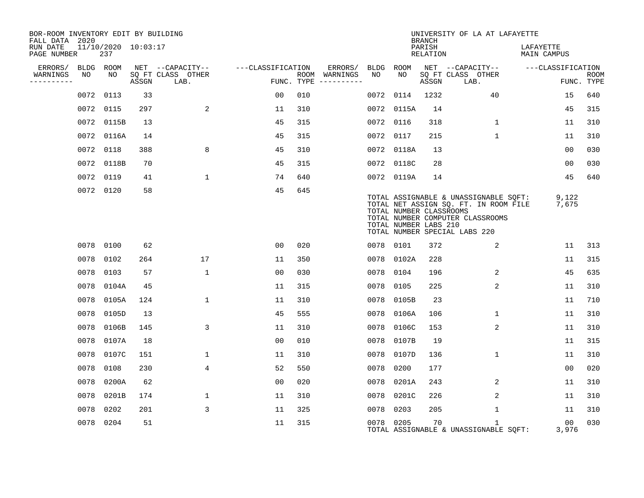| BOR-ROOM INVENTORY EDIT BY BUILDING<br>FALL DATA 2020 |           |                            |       |                           |                   |     |                                      |           |                                                  | <b>BRANCH</b>      | UNIVERSITY OF LA AT LAFAYETTE                                                                                                                       |                          |                           |
|-------------------------------------------------------|-----------|----------------------------|-------|---------------------------|-------------------|-----|--------------------------------------|-----------|--------------------------------------------------|--------------------|-----------------------------------------------------------------------------------------------------------------------------------------------------|--------------------------|---------------------------|
| RUN DATE<br>PAGE NUMBER                               |           | 11/10/2020 10:03:17<br>237 |       |                           |                   |     |                                      |           |                                                  | PARISH<br>RELATION |                                                                                                                                                     | LAFAYETTE<br>MAIN CAMPUS |                           |
| ERRORS/                                               | BLDG ROOM |                            |       | NET --CAPACITY--          | ---CLASSIFICATION |     | ERRORS/                              | BLDG      | ROOM                                             |                    | NET --CAPACITY--                                                                                                                                    | ---CLASSIFICATION        |                           |
| WARNINGS<br>----------                                | NO        | NO                         | ASSGN | SQ FT CLASS OTHER<br>LAB. |                   |     | ROOM WARNINGS<br>FUNC. TYPE $------$ | NO        | NO                                               | ASSGN              | SQ FT CLASS OTHER<br>LAB.                                                                                                                           |                          | <b>ROOM</b><br>FUNC. TYPE |
|                                                       | 0072      | 0113                       | 33    |                           | 00                | 010 |                                      | 0072      | 0114                                             | 1232               | 40                                                                                                                                                  | 15                       | 640                       |
|                                                       | 0072 0115 |                            | 297   | 2                         | 11                | 310 |                                      | 0072      | 0115A                                            | 14                 |                                                                                                                                                     | 45                       | 315                       |
|                                                       |           | 0072 0115B                 | 13    |                           | 45                | 315 |                                      | 0072      | 0116                                             | 318                | 1                                                                                                                                                   | 11                       | 310                       |
|                                                       |           | 0072 0116A                 | 14    |                           | 45                | 315 |                                      | 0072      | 0117                                             | 215                | $\mathbf{1}$                                                                                                                                        | 11                       | 310                       |
|                                                       | 0072 0118 |                            | 388   | 8                         | 45                | 310 |                                      |           | 0072 0118A                                       | 13                 |                                                                                                                                                     | 0 <sub>0</sub>           | 030                       |
|                                                       |           | 0072 0118B                 | 70    |                           | 45                | 315 |                                      |           | 0072 0118C                                       | 28                 |                                                                                                                                                     | 00                       | 030                       |
|                                                       | 0072 0119 |                            | 41    | $\mathbf{1}$              | 74                | 640 |                                      |           | 0072 0119A                                       | 14                 |                                                                                                                                                     | 45                       | 640                       |
|                                                       | 0072 0120 |                            | 58    |                           | 45                | 645 |                                      |           | TOTAL NUMBER CLASSROOMS<br>TOTAL NUMBER LABS 210 |                    | TOTAL ASSIGNABLE & UNASSIGNABLE SQFT:<br>TOTAL NET ASSIGN SQ. FT. IN ROOM FILE<br>TOTAL NUMBER COMPUTER CLASSROOMS<br>TOTAL NUMBER SPECIAL LABS 220 | 9,122<br>7,675           |                           |
|                                                       | 0078 0100 |                            | 62    |                           | 00                | 020 |                                      | 0078 0101 |                                                  | 372                | 2                                                                                                                                                   | 11                       | 313                       |
|                                                       | 0078      | 0102                       | 264   | 17                        | 11                | 350 |                                      | 0078      | 0102A                                            | 228                |                                                                                                                                                     | 11                       | 315                       |
|                                                       | 0078      | 0103                       | 57    | $\mathbf{1}$              | 00                | 030 |                                      | 0078      | 0104                                             | 196                | 2                                                                                                                                                   | 45                       | 635                       |
|                                                       | 0078      | 0104A                      | 45    |                           | 11                | 315 |                                      | 0078      | 0105                                             | 225                | 2                                                                                                                                                   | 11                       | 310                       |
|                                                       | 0078      | 0105A                      | 124   | $\mathbf{1}$              | 11                | 310 |                                      | 0078      | 0105B                                            | 23                 |                                                                                                                                                     | 11                       | 710                       |
|                                                       | 0078      | 0105D                      | 13    |                           | 45                | 555 |                                      | 0078      | 0106A                                            | 106                | $\mathbf{1}$                                                                                                                                        | 11                       | 310                       |
|                                                       | 0078      | 0106B                      | 145   | 3                         | 11                | 310 |                                      | 0078      | 0106C                                            | 153                | 2                                                                                                                                                   | 11                       | 310                       |
|                                                       | 0078      | 0107A                      | 18    |                           | 00                | 010 |                                      | 0078      | 0107B                                            | 19                 |                                                                                                                                                     | 11                       | 315                       |
|                                                       |           | 0078 0107C                 | 151   | $\mathbf{1}$              | 11                | 310 |                                      | 0078      | 0107D                                            | 136                | $\mathbf{1}$                                                                                                                                        | 11                       | 310                       |
|                                                       | 0078      | 0108                       | 230   | 4                         | 52                | 550 |                                      | 0078      | 0200                                             | 177                |                                                                                                                                                     | 0 <sub>0</sub>           | 020                       |
|                                                       |           | 0078 0200A                 | 62    |                           | 0 <sub>0</sub>    | 020 |                                      | 0078      | 0201A                                            | 243                | 2                                                                                                                                                   | 11                       | 310                       |
|                                                       | 0078      | 0201B                      | 174   | $\mathbf{1}$              | 11                | 310 |                                      | 0078      | 0201C                                            | 226                | 2                                                                                                                                                   | 11                       | 310                       |
|                                                       | 0078 0202 |                            | 201   | 3                         | 11                | 325 |                                      | 0078      | 0203                                             | 205                | $\mathbf 1$                                                                                                                                         | 11                       | 310                       |
|                                                       | 0078 0204 |                            | 51    |                           | 11                | 315 |                                      | 0078 0205 |                                                  | 70                 | $\mathbf{1}$<br>TOTAL ASSIGNABLE & UNASSIGNABLE SQFT:                                                                                               | 00<br>3,976              | 030                       |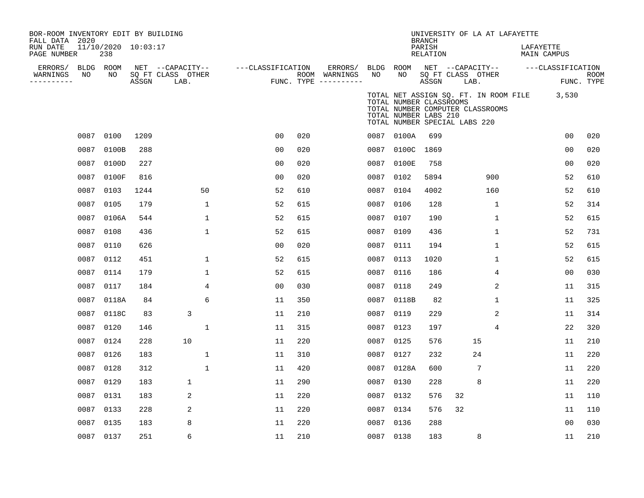| BOR-ROOM INVENTORY EDIT BY BUILDING<br>FALL DATA 2020 |      |                            |       |                                       |                   |     |                          |                 |                                                                                   | <b>BRANCH</b>      |                   | UNIVERSITY OF LA AT LAFAYETTE                                             |           |                   |      |
|-------------------------------------------------------|------|----------------------------|-------|---------------------------------------|-------------------|-----|--------------------------|-----------------|-----------------------------------------------------------------------------------|--------------------|-------------------|---------------------------------------------------------------------------|-----------|-------------------|------|
| RUN DATE<br>PAGE NUMBER                               |      | 11/10/2020 10:03:17<br>238 |       |                                       |                   |     |                          |                 |                                                                                   | PARISH<br>RELATION |                   |                                                                           | LAFAYETTE | MAIN CAMPUS       |      |
| ERRORS/<br>WARNINGS                                   | NO   | BLDG ROOM<br>NO            |       | NET --CAPACITY--<br>SO FT CLASS OTHER | ---CLASSIFICATION |     | ERRORS/<br>ROOM WARNINGS | BLDG ROOM<br>NO | NO                                                                                |                    | SO FT CLASS OTHER | NET --CAPACITY--                                                          |           | ---CLASSIFICATION | ROOM |
| ----------                                            |      |                            | ASSGN | LAB.                                  |                   |     | FUNC. TYPE $------$      |                 |                                                                                   | ASSGN              | LAB.              |                                                                           |           | FUNC. TYPE        |      |
|                                                       |      |                            |       |                                       |                   |     |                          |                 | TOTAL NUMBER CLASSROOMS<br>TOTAL NUMBER LABS 210<br>TOTAL NUMBER SPECIAL LABS 220 |                    |                   | TOTAL NET ASSIGN SQ. FT. IN ROOM FILE<br>TOTAL NUMBER COMPUTER CLASSROOMS |           | 3,530             |      |
|                                                       | 0087 | 0100                       | 1209  |                                       | 0 <sub>0</sub>    | 020 |                          |                 | 0087 0100A                                                                        | 699                |                   |                                                                           |           | 0 <sub>0</sub>    | 020  |
|                                                       | 0087 | 0100B                      | 288   |                                       | 0 <sub>0</sub>    | 020 |                          |                 | 0087 0100C                                                                        | 1869               |                   |                                                                           |           | 0 <sub>0</sub>    | 020  |
|                                                       | 0087 | 0100D                      | 227   |                                       | 0 <sub>0</sub>    | 020 |                          |                 | 0087 0100E                                                                        | 758                |                   |                                                                           |           | 0 <sub>0</sub>    | 020  |
|                                                       | 0087 | 0100F                      | 816   |                                       | 0 <sub>0</sub>    | 020 |                          | 0087 0102       |                                                                                   | 5894               |                   | 900                                                                       |           | 52                | 610  |
|                                                       | 0087 | 0103                       | 1244  | 50                                    | 52                | 610 |                          |                 | 0087 0104                                                                         | 4002               |                   | 160                                                                       |           | 52                | 610  |
|                                                       | 0087 | 0105                       | 179   | 1                                     | 52                | 615 |                          | 0087 0106       |                                                                                   | 128                |                   | 1                                                                         |           | 52                | 314  |
|                                                       | 0087 | 0106A                      | 544   | 1                                     | 52                | 615 |                          | 0087 0107       |                                                                                   | 190                |                   | 1                                                                         |           | 52                | 615  |
|                                                       | 0087 | 0108                       | 436   | 1                                     | 52                | 615 |                          | 0087 0109       |                                                                                   | 436                |                   | 1                                                                         |           | 52                | 731  |
|                                                       | 0087 | 0110                       | 626   |                                       | 0 <sup>0</sup>    | 020 |                          | 0087 0111       |                                                                                   | 194                |                   | $\mathbf{1}$                                                              |           | 52                | 615  |
|                                                       | 0087 | 0112                       | 451   | 1                                     | 52                | 615 |                          | 0087 0113       |                                                                                   | 1020               |                   | $\mathbf{1}$                                                              |           | 52                | 615  |
|                                                       | 0087 | 0114                       | 179   | 1                                     | 52                | 615 |                          | 0087 0116       |                                                                                   | 186                |                   | 4                                                                         |           | 0 <sub>0</sub>    | 030  |
|                                                       | 0087 | 0117                       | 184   | 4                                     | 0 <sub>0</sub>    | 030 |                          | 0087 0118       |                                                                                   | 249                |                   | 2                                                                         |           | 11                | 315  |
|                                                       | 0087 | 0118A                      | 84    | 6                                     | 11                | 350 |                          |                 | 0087 0118B                                                                        | 82                 |                   | $\mathbf{1}$                                                              |           | 11                | 325  |
|                                                       | 0087 | 0118C                      | 83    | $\mathsf 3$                           | 11                | 210 |                          | 0087 0119       |                                                                                   | 229                |                   | 2                                                                         |           | 11                | 314  |
|                                                       | 0087 | 0120                       | 146   | $\mathbf 1$                           | 11                | 315 |                          | 0087 0123       |                                                                                   | 197                |                   | 4                                                                         |           | 22                | 320  |
|                                                       | 0087 | 0124                       | 228   | 10                                    | 11                | 220 |                          | 0087 0125       |                                                                                   | 576                |                   | 15                                                                        |           | 11                | 210  |
|                                                       | 0087 | 0126                       | 183   | $\mathbf 1$                           | 11                | 310 |                          | 0087 0127       |                                                                                   | 232                |                   | 24                                                                        |           | 11                | 220  |
|                                                       | 0087 | 0128                       | 312   | $\mathbf{1}$                          | 11                | 420 |                          |                 | 0087 0128A                                                                        | 600                |                   | 7                                                                         |           | 11                | 220  |
|                                                       | 0087 | 0129                       | 183   | $\mathbf{1}$                          | 11                | 290 |                          | 0087 0130       |                                                                                   | 228                |                   | 8                                                                         |           | 11                | 220  |
|                                                       | 0087 | 0131                       | 183   | 2                                     | 11                | 220 |                          | 0087 0132       |                                                                                   | 576                | 32                |                                                                           |           | 11                | 110  |
|                                                       | 0087 | 0133                       | 228   | $\overline{a}$                        | 11                | 220 |                          | 0087 0134       |                                                                                   | 576                | 32                |                                                                           |           | 11                | 110  |
|                                                       | 0087 | 0135                       | 183   | 8                                     | 11                | 220 |                          | 0087 0136       |                                                                                   | 288                |                   |                                                                           |           | 0 <sub>0</sub>    | 030  |
|                                                       |      | 0087 0137                  | 251   | 6                                     | 11                | 210 |                          | 0087 0138       |                                                                                   | 183                |                   | 8                                                                         |           | 11                | 210  |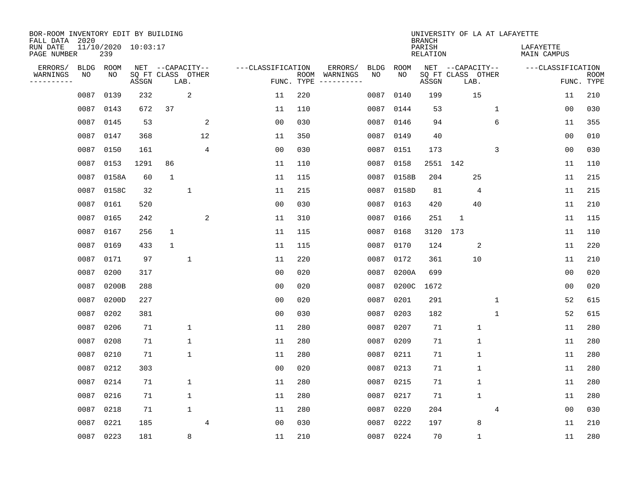| BOR-ROOM INVENTORY EDIT BY BUILDING<br>FALL DATA 2020<br>RUN DATE<br>PAGE NUMBER |                   | 11/10/2020 10:03:17<br>239 |       |                                       |             |                |                   |                    |                     |                   |             | <b>BRANCH</b><br>PARISH<br><b>RELATION</b> |                                               |              | UNIVERSITY OF LA AT LAFAYETTE | LAFAYETTE<br>MAIN CAMPUS |                           |
|----------------------------------------------------------------------------------|-------------------|----------------------------|-------|---------------------------------------|-------------|----------------|-------------------|--------------------|---------------------|-------------------|-------------|--------------------------------------------|-----------------------------------------------|--------------|-------------------------------|--------------------------|---------------------------|
| ERRORS/<br>WARNINGS<br>--------                                                  | <b>BLDG</b><br>ΝO | ROOM<br>NO                 | ASSGN | NET --CAPACITY--<br>SQ FT CLASS OTHER | LAB.        |                | ---CLASSIFICATION | ROOM<br>FUNC. TYPE | ERRORS/<br>WARNINGS | <b>BLDG</b><br>NO | ROOM<br>NO. | ASSGN                                      | NET --CAPACITY--<br>SQ FT CLASS OTHER<br>LAB. |              |                               | ---CLASSIFICATION        | <b>ROOM</b><br>FUNC. TYPE |
|                                                                                  | 0087              | 0139                       | 232   |                                       | 2           |                | 11                | 220                |                     | 0087              | 0140        | 199                                        |                                               | 15           |                               | 11                       | 210                       |
|                                                                                  | 0087              | 0143                       | 672   | 37                                    |             |                | 11                | 110                |                     | 0087              | 0144        | 53                                         |                                               |              | $\mathbf 1$                   | 0 <sub>0</sub>           | 030                       |
|                                                                                  | 0087              | 0145                       | 53    |                                       |             | 2              | 0 <sub>0</sub>    | 030                |                     | 0087              | 0146        | 94                                         |                                               |              | 6                             | 11                       | 355                       |
|                                                                                  | 0087              | 0147                       | 368   |                                       |             | 12             | 11                | 350                |                     | 0087              | 0149        | 40                                         |                                               |              |                               | 0 <sub>0</sub>           | 010                       |
|                                                                                  | 0087              | 0150                       | 161   |                                       |             | 4              | 0 <sub>0</sub>    | 030                |                     | 0087              | 0151        | 173                                        |                                               |              | 3                             | 00                       | 030                       |
|                                                                                  | 0087              | 0153                       | 1291  | 86                                    |             |                | 11                | 110                |                     | 0087              | 0158        |                                            | 2551 142                                      |              |                               | 11                       | 110                       |
|                                                                                  | 0087              | 0158A                      | 60    | $\mathbf{1}$                          |             |                | 11                | 115                |                     | 0087              | 0158B       | 204                                        |                                               | 25           |                               | 11                       | 215                       |
|                                                                                  | 0087              | 0158C                      | 32    |                                       | 1           |                | 11                | 215                |                     | 0087              | 0158D       | 81                                         |                                               | 4            |                               | 11                       | 215                       |
|                                                                                  | 0087              | 0161                       | 520   |                                       |             |                | 0 <sub>0</sub>    | 030                |                     | 0087              | 0163        | 420                                        |                                               | 40           |                               | 11                       | 210                       |
|                                                                                  | 0087              | 0165                       | 242   |                                       |             | 2              | 11                | 310                |                     | 0087              | 0166        | 251                                        | 1                                             |              |                               | 11                       | 115                       |
|                                                                                  | 0087              | 0167                       | 256   | $\mathbf{1}$                          |             |                | 11                | 115                |                     | 0087              | 0168        | 3120                                       | 173                                           |              |                               | 11                       | 110                       |
|                                                                                  | 0087              | 0169                       | 433   | $\mathbf{1}$                          |             |                | 11                | 115                |                     | 0087              | 0170        | 124                                        |                                               | 2            |                               | 11                       | 220                       |
|                                                                                  | 0087              | 0171                       | 97    |                                       | 1           |                | 11                | 220                |                     | 0087              | 0172        | 361                                        |                                               | 10           |                               | 11                       | 210                       |
|                                                                                  | 0087              | 0200                       | 317   |                                       |             |                | 0 <sub>0</sub>    | 020                |                     | 0087              | 0200A       | 699                                        |                                               |              |                               | 0 <sub>0</sub>           | 020                       |
|                                                                                  | 0087              | 0200B                      | 288   |                                       |             |                | 0 <sub>0</sub>    | 020                |                     | 0087              | 0200C       | 1672                                       |                                               |              |                               | 0 <sub>0</sub>           | 020                       |
|                                                                                  | 0087              | 0200D                      | 227   |                                       |             |                | 0 <sub>0</sub>    | 020                |                     | 0087              | 0201        | 291                                        |                                               |              | 1                             | 52                       | 615                       |
|                                                                                  | 0087              | 0202                       | 381   |                                       |             |                | 0 <sub>0</sub>    | 030                |                     | 0087              | 0203        | 182                                        |                                               |              | 1                             | 52                       | 615                       |
|                                                                                  | 0087              | 0206                       | 71    |                                       | 1           |                | 11                | 280                |                     | 0087              | 0207        | 71                                         |                                               | $\mathbf{1}$ |                               | 11                       | 280                       |
|                                                                                  | 0087              | 0208                       | 71    |                                       | 1           |                | 11                | 280                |                     | 0087              | 0209        | 71                                         |                                               | $\mathbf 1$  |                               | 11                       | 280                       |
|                                                                                  | 0087              | 0210                       | 71    |                                       | $\mathbf 1$ |                | 11                | 280                |                     | 0087              | 0211        | 71                                         |                                               | $\mathbf{1}$ |                               | 11                       | 280                       |
|                                                                                  | 0087              | 0212                       | 303   |                                       |             |                | 0 <sub>0</sub>    | 020                |                     | 0087              | 0213        | 71                                         |                                               | $\mathbf 1$  |                               | 11                       | 280                       |
|                                                                                  | 0087              | 0214                       | 71    |                                       | 1           |                | 11                | 280                |                     | 0087              | 0215        | 71                                         |                                               | $\mathbf{1}$ |                               | 11                       | 280                       |
|                                                                                  | 0087              | 0216                       | 71    |                                       | 1           |                | 11                | 280                |                     | 0087              | 0217        | 71                                         |                                               | $\mathbf{1}$ |                               | 11                       | 280                       |
|                                                                                  | 0087              | 0218                       | 71    |                                       | 1           |                | 11                | 280                |                     | 0087              | 0220        | 204                                        |                                               |              | 4                             | 0 <sub>0</sub>           | 030                       |
|                                                                                  | 0087              | 0221                       | 185   |                                       |             | $\overline{4}$ | 00                | 030                |                     | 0087              | 0222        | 197                                        |                                               | 8            |                               | 11                       | 210                       |
|                                                                                  |                   | 0087 0223                  | 181   |                                       | 8           |                | 11                | 210                |                     | 0087              | 0224        | 70                                         |                                               | $\mathbf 1$  |                               | 11                       | 280                       |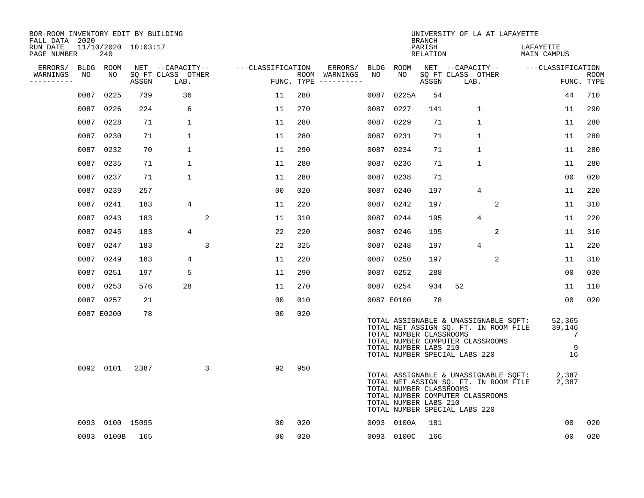| BOR-ROOM INVENTORY EDIT BY BUILDING<br>FALL DATA 2020 |      |                            |       |                           |                      |     |                                      |           |                                                  | <b>BRANCH</b>      | UNIVERSITY OF LA AT LAFAYETTE                                                                                                                       |                                  |                           |
|-------------------------------------------------------|------|----------------------------|-------|---------------------------|----------------------|-----|--------------------------------------|-----------|--------------------------------------------------|--------------------|-----------------------------------------------------------------------------------------------------------------------------------------------------|----------------------------------|---------------------------|
| RUN DATE<br>PAGE NUMBER                               |      | 11/10/2020 10:03:17<br>240 |       |                           |                      |     |                                      |           |                                                  | PARISH<br>RELATION |                                                                                                                                                     | LAFAYETTE<br>MAIN CAMPUS         |                           |
| ERRORS/                                               |      | BLDG ROOM                  |       | NET --CAPACITY--          | ---CLASSIFICATION    |     | ERRORS/                              | BLDG ROOM |                                                  |                    | NET --CAPACITY-- ---CLASSIFICATION                                                                                                                  |                                  |                           |
| WARNINGS<br>----------                                | NO   | NO                         | ASSGN | SQ FT CLASS OTHER<br>LAB. |                      |     | ROOM WARNINGS<br>FUNC. TYPE $------$ | NO        | NO                                               | ASSGN              | SQ FT CLASS OTHER<br>LAB.                                                                                                                           |                                  | <b>ROOM</b><br>FUNC. TYPE |
|                                                       | 0087 | 0225                       | 739   | 36                        | 11                   | 280 |                                      | 0087      | 0225A                                            | 54                 |                                                                                                                                                     | 44                               | 710                       |
|                                                       | 0087 | 0226                       | 224   | 6                         | 11                   | 270 |                                      | 0087      | 0227                                             | 141                | $\mathbf{1}$                                                                                                                                        | 11                               | 290                       |
|                                                       |      | 0087 0228                  | 71    | $\mathbf{1}$              | 11                   | 280 |                                      | 0087      | 0229                                             | 71                 | $\mathbf{1}$                                                                                                                                        | 11                               | 280                       |
|                                                       | 0087 | 0230                       | 71    | 1                         | 11                   | 280 |                                      |           | 0087 0231                                        | 71                 | $\mathbf{1}$                                                                                                                                        | 11                               | 280                       |
|                                                       | 0087 | 0232                       | 70    | $\mathbf{1}$              | 11                   | 290 |                                      | 0087      | 0234                                             | 71                 | 1                                                                                                                                                   | 11                               | 280                       |
|                                                       |      | 0087 0235                  | 71    | $\mathbf{1}$              | 11                   | 280 |                                      |           | 0087 0236                                        | 71                 | $\mathbf{1}$                                                                                                                                        | 11                               | 280                       |
|                                                       |      | 0087 0237                  | 71    | $\mathbf 1$               | 11                   | 280 |                                      | 0087      | 0238                                             | 71                 |                                                                                                                                                     | 00                               | 020                       |
|                                                       |      | 0087 0239                  | 257   |                           | 0 <sub>0</sub>       | 020 |                                      |           | 0087 0240                                        | 197                | 4                                                                                                                                                   | 11                               | 220                       |
|                                                       | 0087 | 0241                       | 183   | 4                         | 11                   | 220 |                                      | 0087      | 0242                                             | 197                | 2                                                                                                                                                   | 11                               | 310                       |
|                                                       |      | 0087 0243                  | 183   |                           | $\overline{a}$<br>11 | 310 |                                      | 0087      | 0244                                             | 195                | 4                                                                                                                                                   | 11                               | 220                       |
|                                                       | 0087 | 0245                       | 183   | $\overline{4}$            | 22                   | 220 |                                      | 0087      | 0246                                             | 195                | 2                                                                                                                                                   | 11                               | 310                       |
|                                                       | 0087 | 0247                       | 183   |                           | $\overline{3}$<br>22 | 325 |                                      | 0087      | 0248                                             | 197                | 4                                                                                                                                                   | 11                               | 220                       |
|                                                       | 0087 | 0249                       | 183   | 4                         | 11                   | 220 |                                      | 0087      | 0250                                             | 197                | $\overline{2}$                                                                                                                                      | 11                               | 310                       |
|                                                       | 0087 | 0251                       | 197   | 5                         | 11                   | 290 |                                      | 0087      | 0252                                             | 288                |                                                                                                                                                     | 00                               | 030                       |
|                                                       | 0087 | 0253                       | 576   | 28                        | 11                   | 270 |                                      |           | 0087 0254                                        | 934                | 52                                                                                                                                                  | 11                               | 110                       |
|                                                       |      | 0087 0257                  | 21    |                           | 00                   | 010 |                                      |           | 0087 E0100                                       | 78                 |                                                                                                                                                     | 00                               | 020                       |
|                                                       |      | 0087 E0200                 | 78    |                           | 0 <sub>0</sub>       | 020 |                                      |           | TOTAL NUMBER CLASSROOMS<br>TOTAL NUMBER LABS 210 |                    | TOTAL ASSIGNABLE & UNASSIGNABLE SQFT:<br>TOTAL NET ASSIGN SQ. FT. IN ROOM FILE<br>TOTAL NUMBER COMPUTER CLASSROOMS<br>TOTAL NUMBER SPECIAL LABS 220 | 52,365<br>39,146<br>7<br>9<br>16 |                           |
|                                                       |      | 0092 0101                  | 2387  |                           | 92<br>3              | 950 |                                      |           | TOTAL NUMBER CLASSROOMS<br>TOTAL NUMBER LABS 210 |                    | TOTAL ASSIGNABLE & UNASSIGNABLE SQFT:<br>TOTAL NET ASSIGN SQ. FT. IN ROOM FILE<br>TOTAL NUMBER COMPUTER CLASSROOMS<br>TOTAL NUMBER SPECIAL LABS 220 | 2,387<br>2,387                   |                           |
|                                                       | 0093 | 0100 15095                 |       |                           | 0 <sub>0</sub>       | 020 |                                      |           | 0093 0100A                                       | 181                |                                                                                                                                                     | 00                               | 020                       |
|                                                       |      | 0093 0100B                 | 165   |                           | 0 <sub>0</sub>       | 020 |                                      |           | 0093 0100C                                       | 166                |                                                                                                                                                     | 00                               | 020                       |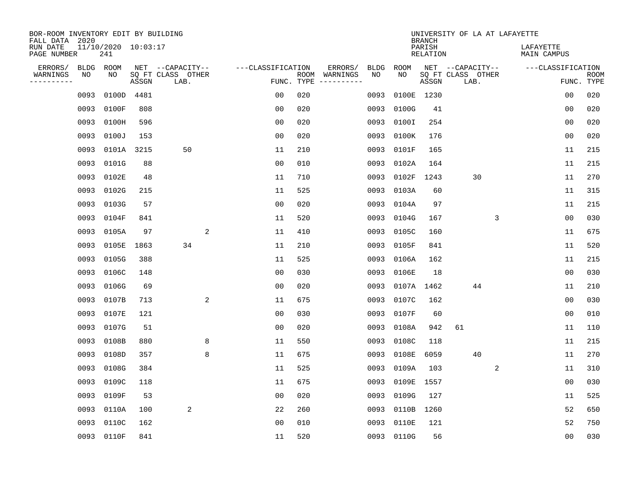| BOR-ROOM INVENTORY EDIT BY BUILDING<br>FALL DATA 2020 |            |                                |       |                                       |                   |     |                                                                                                            |                   |             | <b>BRANCH</b>      | UNIVERSITY OF LA AT LAFAYETTE         |   |                          |                |             |
|-------------------------------------------------------|------------|--------------------------------|-------|---------------------------------------|-------------------|-----|------------------------------------------------------------------------------------------------------------|-------------------|-------------|--------------------|---------------------------------------|---|--------------------------|----------------|-------------|
| RUN DATE<br>PAGE NUMBER                               |            | $11/10/2020$ $10:03:17$<br>241 |       |                                       |                   |     |                                                                                                            |                   |             | PARISH<br>RELATION |                                       |   | LAFAYETTE<br>MAIN CAMPUS |                |             |
| ERRORS/<br>WARNINGS                                   | BLDG<br>ΝO | ROOM<br>NO                     |       | NET --CAPACITY--<br>SQ FT CLASS OTHER | ---CLASSIFICATION |     | ERRORS/<br>ROOM WARNINGS                                                                                   | <b>BLDG</b><br>NO | ROOM<br>NO. |                    | NET --CAPACITY--<br>SQ FT CLASS OTHER |   | ---CLASSIFICATION        |                | <b>ROOM</b> |
| ---------                                             |            |                                | ASSGN | LAB.                                  | FUNC. TYPE        |     | $\begin{tabular}{ccccccccc} - & - & - & - & - & - & - & - \\ & - & - & - & - & - & - & - \\ \end{tabular}$ |                   |             | ASSGN              | LAB.                                  |   |                          |                | FUNC. TYPE  |
|                                                       | 0093       | 0100D                          | 4481  |                                       | 0 <sub>0</sub>    | 020 |                                                                                                            | 0093              |             | 0100E 1230         |                                       |   |                          | 00             | 020         |
|                                                       | 0093       | 0100F                          | 808   |                                       | 0 <sub>0</sub>    | 020 |                                                                                                            | 0093              | 0100G       | 41                 |                                       |   |                          | 0 <sub>0</sub> | 020         |
|                                                       |            | 0093 0100H                     | 596   |                                       | 0 <sub>0</sub>    | 020 |                                                                                                            | 0093              | 0100I       | 254                |                                       |   |                          | 0 <sub>0</sub> | 020         |
|                                                       |            | 0093 0100J                     | 153   |                                       | 0 <sub>0</sub>    | 020 |                                                                                                            | 0093              | 0100K       | 176                |                                       |   |                          | 0 <sub>0</sub> | 020         |
|                                                       |            | 0093 0101A 3215                |       | 50                                    | 11                | 210 |                                                                                                            | 0093              | 0101F       | 165                |                                       |   |                          | 11             | 215         |
|                                                       |            | 0093 0101G                     | 88    |                                       | 0 <sub>0</sub>    | 010 |                                                                                                            | 0093              | 0102A       | 164                |                                       |   |                          | 11             | 215         |
|                                                       |            | 0093 0102E                     | 48    |                                       | 11                | 710 |                                                                                                            | 0093              | 0102F       | 1243               | 30                                    |   |                          | 11             | 270         |
|                                                       |            | 0093 0102G                     | 215   |                                       | 11                | 525 |                                                                                                            | 0093              | 0103A       | 60                 |                                       |   |                          | 11             | 315         |
|                                                       |            | 0093 0103G                     | 57    |                                       | 0 <sub>0</sub>    | 020 |                                                                                                            | 0093              | 0104A       | 97                 |                                       |   |                          | 11             | 215         |
|                                                       |            | 0093 0104F                     | 841   |                                       | 11                | 520 |                                                                                                            | 0093              | 0104G       | 167                |                                       | 3 |                          | 0 <sub>0</sub> | 030         |
|                                                       |            | 0093 0105A                     | 97    | 2                                     | 11                | 410 |                                                                                                            | 0093              | 0105C       | 160                |                                       |   |                          | 11             | 675         |
|                                                       |            | 0093 0105E                     | 1863  | 34                                    | 11                | 210 |                                                                                                            | 0093              | 0105F       | 841                |                                       |   |                          | 11             | 520         |
|                                                       | 0093       | 0105G                          | 388   |                                       | 11                | 525 |                                                                                                            | 0093              | 0106A       | 162                |                                       |   |                          | 11             | 215         |
|                                                       | 0093       | 0106C                          | 148   |                                       | 0 <sub>0</sub>    | 030 |                                                                                                            | 0093              | 0106E       | 18                 |                                       |   |                          | 0 <sub>0</sub> | 030         |
|                                                       |            | 0093 0106G                     | 69    |                                       | 0 <sub>0</sub>    | 020 |                                                                                                            | 0093              | 0107A 1462  |                    | 44                                    |   |                          | 11             | 210         |
|                                                       |            | 0093 0107B                     | 713   | 2                                     | 11                | 675 |                                                                                                            | 0093              | 0107C       | 162                |                                       |   |                          | 0 <sub>0</sub> | 030         |
|                                                       |            | 0093 0107E                     | 121   |                                       | 0 <sub>0</sub>    | 030 |                                                                                                            | 0093              | 0107F       | 60                 |                                       |   |                          | 0 <sub>0</sub> | 010         |
|                                                       |            | 0093 0107G                     | 51    |                                       | 0 <sub>0</sub>    | 020 |                                                                                                            | 0093              | 0108A       | 942                | 61                                    |   |                          | 11             | 110         |
|                                                       | 0093       | 0108B                          | 880   | 8                                     | 11                | 550 |                                                                                                            | 0093              | 0108C       | 118                |                                       |   |                          | 11             | 215         |
|                                                       | 0093       | 0108D                          | 357   | 8                                     | 11                | 675 |                                                                                                            | 0093              | 0108E       | 6059               | 40                                    |   |                          | 11             | 270         |
|                                                       | 0093       | 0108G                          | 384   |                                       | 11                | 525 |                                                                                                            | 0093              | 0109A       | 103                |                                       | 2 |                          | 11             | 310         |
|                                                       | 0093       | 0109C                          | 118   |                                       | 11                | 675 |                                                                                                            | 0093              | 0109E       | 1557               |                                       |   |                          | 0 <sub>0</sub> | 030         |
|                                                       | 0093       | 0109F                          | 53    |                                       | 0 <sub>0</sub>    | 020 |                                                                                                            | 0093              | 0109G       | 127                |                                       |   |                          | 11             | 525         |
|                                                       | 0093       | 0110A                          | 100   | 2                                     | 22                | 260 |                                                                                                            | 0093              | 0110B       | 1260               |                                       |   |                          | 52             | 650         |
|                                                       | 0093       | 0110C                          | 162   |                                       | 00                | 010 |                                                                                                            | 0093              | 0110E       | 121                |                                       |   |                          | 52             | 750         |
|                                                       |            | 0093 0110F                     | 841   |                                       | 11                | 520 |                                                                                                            |                   | 0093 0110G  | 56                 |                                       |   |                          | 0 <sub>0</sub> | 030         |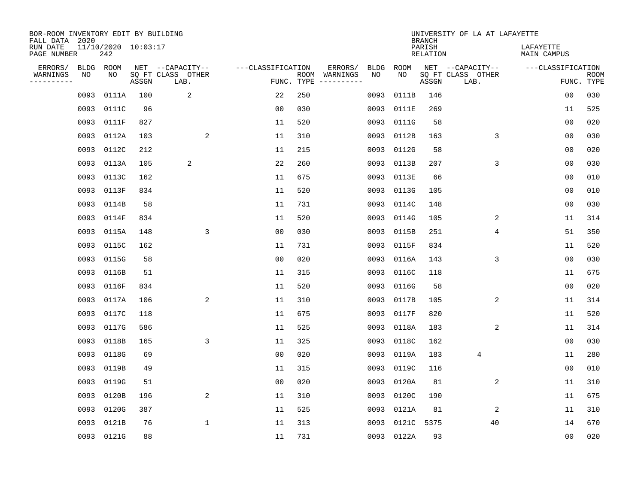| BOR-ROOM INVENTORY EDIT BY BUILDING<br>FALL DATA 2020 |      |                            |       |                           |                   |            |                              |             |             | <b>BRANCH</b>             | UNIVERSITY OF LA AT LAFAYETTE |                          |                           |
|-------------------------------------------------------|------|----------------------------|-------|---------------------------|-------------------|------------|------------------------------|-------------|-------------|---------------------------|-------------------------------|--------------------------|---------------------------|
| RUN DATE<br>PAGE NUMBER                               |      | 11/10/2020 10:03:17<br>242 |       |                           |                   |            |                              |             |             | PARISH<br><b>RELATION</b> |                               | LAFAYETTE<br>MAIN CAMPUS |                           |
| ERRORS/                                               | BLDG | ROOM                       |       | NET --CAPACITY--          | ---CLASSIFICATION |            | ERRORS/                      | <b>BLDG</b> | <b>ROOM</b> |                           | NET --CAPACITY--              | ---CLASSIFICATION        |                           |
| WARNINGS<br>----------                                | NO   | NO                         | ASSGN | SQ FT CLASS OTHER<br>LAB. |                   | FUNC. TYPE | ROOM WARNINGS<br>----------- | NO          | NO          | ASSGN                     | SQ FT CLASS OTHER<br>LAB.     |                          | <b>ROOM</b><br>FUNC. TYPE |
|                                                       | 0093 | 0111A                      | 100   | 2                         | 22                | 250        |                              | 0093        | 0111B       | 146                       |                               | 00                       | 030                       |
|                                                       | 0093 | 0111C                      | 96    |                           | 00                | 030        |                              | 0093        | 0111E       | 269                       |                               | 11                       | 525                       |
|                                                       | 0093 | 0111F                      | 827   |                           | 11                | 520        |                              | 0093        | 0111G       | 58                        |                               | 00                       | 020                       |
|                                                       |      | 0093 0112A                 | 103   | 2                         | 11                | 310        |                              | 0093        | 0112B       | 163                       | 3                             | 0 <sub>0</sub>           | 030                       |
|                                                       | 0093 | 0112C                      | 212   |                           | 11                | 215        |                              | 0093        | 0112G       | 58                        |                               | 0 <sub>0</sub>           | 020                       |
|                                                       |      | 0093 0113A                 | 105   | 2                         | 22                | 260        |                              | 0093        | 0113B       | 207                       | 3                             | 0 <sub>0</sub>           | 030                       |
|                                                       |      | 0093 0113C                 | 162   |                           | 11                | 675        |                              | 0093        | 0113E       | 66                        |                               | 00                       | 010                       |
|                                                       |      | 0093 0113F                 | 834   |                           | 11                | 520        |                              | 0093        | 0113G       | 105                       |                               | 0 <sub>0</sub>           | 010                       |
|                                                       | 0093 | 0114B                      | 58    |                           | 11                | 731        |                              | 0093        | 0114C       | 148                       |                               | 0 <sub>0</sub>           | 030                       |
|                                                       |      | 0093 0114F                 | 834   |                           | 11                | 520        |                              | 0093        | 0114G       | 105                       | 2                             | 11                       | 314                       |
|                                                       |      | 0093 0115A                 | 148   | 3                         | 0 <sub>0</sub>    | 030        |                              | 0093        | 0115B       | 251                       | 4                             | 51                       | 350                       |
|                                                       |      | 0093 0115C                 | 162   |                           | 11                | 731        |                              | 0093        | 0115F       | 834                       |                               | 11                       | 520                       |
|                                                       | 0093 | 0115G                      | 58    |                           | 0 <sub>0</sub>    | 020        |                              | 0093        | 0116A       | 143                       | 3                             | 0 <sub>0</sub>           | 030                       |
|                                                       | 0093 | 0116B                      | 51    |                           | 11                | 315        |                              | 0093        | 0116C       | 118                       |                               | 11                       | 675                       |
|                                                       | 0093 | 0116F                      | 834   |                           | 11                | 520        |                              | 0093        | 0116G       | 58                        |                               | 0 <sub>0</sub>           | 020                       |
|                                                       | 0093 | 0117A                      | 106   | 2                         | 11                | 310        |                              | 0093        | 0117B       | 105                       | 2                             | 11                       | 314                       |
|                                                       | 0093 | 0117C                      | 118   |                           | 11                | 675        |                              | 0093        | 0117F       | 820                       |                               | 11                       | 520                       |
|                                                       | 0093 | 0117G                      | 586   |                           | 11                | 525        |                              | 0093        | 0118A       | 183                       | 2                             | 11                       | 314                       |
|                                                       | 0093 | 0118B                      | 165   | 3                         | 11                | 325        |                              | 0093        | 0118C       | 162                       |                               | 0 <sub>0</sub>           | 030                       |
|                                                       | 0093 | 0118G                      | 69    |                           | 0 <sub>0</sub>    | 020        |                              | 0093        | 0119A       | 183                       | 4                             | 11                       | 280                       |
|                                                       | 0093 | 0119B                      | 49    |                           | 11                | 315        |                              | 0093        | 0119C       | 116                       |                               | 0 <sub>0</sub>           | 010                       |
|                                                       | 0093 | 0119G                      | 51    |                           | 0 <sub>0</sub>    | 020        |                              | 0093        | 0120A       | 81                        | 2                             | 11                       | 310                       |
|                                                       | 0093 | 0120B                      | 196   | 2                         | 11                | 310        |                              | 0093        | 0120C       | 190                       |                               | 11                       | 675                       |
|                                                       | 0093 | 0120G                      | 387   |                           | 11                | 525        |                              | 0093        | 0121A       | 81                        | 2                             | 11                       | 310                       |
|                                                       | 0093 | 0121B                      | 76    | $\mathbf{1}$              | 11                | 313        |                              | 0093        | 0121C       | 5375                      | 40                            | 14                       | 670                       |
|                                                       |      | 0093 0121G                 | 88    |                           | 11                | 731        |                              |             | 0093 0122A  | 93                        |                               | 0 <sub>0</sub>           | 020                       |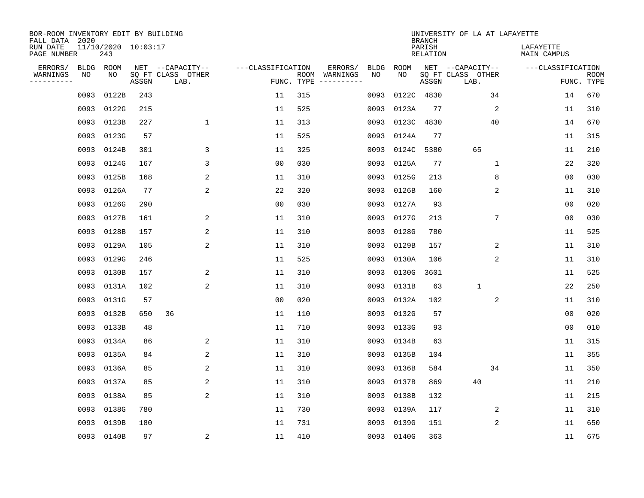| BOR-ROOM INVENTORY EDIT BY BUILDING<br>FALL DATA 2020 |                            |       |                           |                   |     |                                            |             | <b>BRANCH</b>             | UNIVERSITY OF LA AT LAFAYETTE |                          |                           |
|-------------------------------------------------------|----------------------------|-------|---------------------------|-------------------|-----|--------------------------------------------|-------------|---------------------------|-------------------------------|--------------------------|---------------------------|
| RUN DATE<br>PAGE NUMBER                               | 11/10/2020 10:03:17<br>243 |       |                           |                   |     |                                            |             | PARISH<br><b>RELATION</b> |                               | LAFAYETTE<br>MAIN CAMPUS |                           |
| ERRORS/<br><b>BLDG</b>                                | ROOM                       |       | NET --CAPACITY--          | ---CLASSIFICATION |     | ERRORS/<br><b>BLDG</b>                     | <b>ROOM</b> |                           | NET --CAPACITY--              | ---CLASSIFICATION        |                           |
| WARNINGS<br>NO<br>----------                          | NO                         | ASSGN | SQ FT CLASS OTHER<br>LAB. |                   |     | NO<br>ROOM WARNINGS<br>FUNC. TYPE $------$ | NO          | ASSGN                     | SQ FT CLASS OTHER<br>LAB.     |                          | <b>ROOM</b><br>FUNC. TYPE |
| 0093                                                  | 0122B                      | 243   |                           | 11                | 315 | 0093                                       |             | 0122C 4830                | 34                            | 14                       | 670                       |
| 0093                                                  | 0122G                      | 215   |                           | 11                | 525 | 0093                                       | 0123A       | 77                        | 2                             | 11                       | 310                       |
| 0093                                                  | 0123B                      | 227   | $\mathbf 1$               | 11                | 313 | 0093                                       | 0123C       | 4830                      | 40                            | 14                       | 670                       |
| 0093                                                  | 0123G                      | 57    |                           | 11                | 525 | 0093                                       | 0124A       | 77                        |                               | 11                       | 315                       |
| 0093                                                  | 0124B                      | 301   | 3                         | 11                | 325 | 0093                                       | 0124C       | 5380                      | 65                            | 11                       | 210                       |
| 0093                                                  | 0124G                      | 167   | 3                         | 0 <sub>0</sub>    | 030 |                                            | 0093 0125A  | 77                        | 1                             | 22                       | 320                       |
| 0093                                                  | 0125B                      | 168   | 2                         | 11                | 310 |                                            | 0093 0125G  | 213                       | 8                             | 0 <sub>0</sub>           | 030                       |
| 0093                                                  | 0126A                      | 77    | $\overline{c}$            | 22                | 320 |                                            | 0093 0126B  | 160                       | 2                             | 11                       | 310                       |
| 0093                                                  | 0126G                      | 290   |                           | 0 <sub>0</sub>    | 030 | 0093                                       | 0127A       | 93                        |                               | 0 <sub>0</sub>           | 020                       |
| 0093                                                  | 0127B                      | 161   | 2                         | 11                | 310 |                                            | 0093 0127G  | 213                       | 7                             | 0 <sub>0</sub>           | 030                       |
| 0093                                                  | 0128B                      | 157   | 2                         | 11                | 310 | 0093                                       | 0128G       | 780                       |                               | 11                       | 525                       |
| 0093                                                  | 0129A                      | 105   | 2                         | 11                | 310 |                                            | 0093 0129B  | 157                       | 2                             | 11                       | 310                       |
| 0093                                                  | 0129G                      | 246   |                           | 11                | 525 | 0093                                       | 0130A       | 106                       | 2                             | 11                       | 310                       |
| 0093                                                  | 0130B                      | 157   | 2                         | 11                | 310 | 0093                                       | 0130G       | 3601                      |                               | 11                       | 525                       |
| 0093                                                  | 0131A                      | 102   | 2                         | 11                | 310 | 0093                                       | 0131B       | 63                        | $\mathbf{1}$                  | 22                       | 250                       |
| 0093                                                  | 0131G                      | 57    |                           | 00                | 020 | 0093                                       | 0132A       | 102                       | 2                             | 11                       | 310                       |
| 0093                                                  | 0132B                      | 650   | 36                        | 11                | 110 | 0093                                       | 0132G       | 57                        |                               | 00                       | 020                       |
| 0093                                                  | 0133B                      | 48    |                           | 11                | 710 |                                            | 0093 0133G  | 93                        |                               | 0 <sub>0</sub>           | 010                       |
| 0093                                                  | 0134A                      | 86    | 2                         | 11                | 310 |                                            | 0093 0134B  | 63                        |                               | 11                       | 315                       |
| 0093                                                  | 0135A                      | 84    | 2                         | 11                | 310 |                                            | 0093 0135B  | 104                       |                               | 11                       | 355                       |
| 0093                                                  | 0136A                      | 85    | 2                         | 11                | 310 |                                            | 0093 0136B  | 584                       | 34                            | 11                       | 350                       |
| 0093                                                  | 0137A                      | 85    | 2                         | 11                | 310 | 0093                                       | 0137B       | 869                       | 40                            | 11                       | 210                       |
| 0093                                                  | 0138A                      | 85    | 2                         | 11                | 310 | 0093                                       | 0138B       | 132                       |                               | 11                       | 215                       |
| 0093                                                  | 0138G                      | 780   |                           | 11                | 730 | 0093                                       | 0139A       | 117                       | 2                             | 11                       | 310                       |
| 0093                                                  | 0139B                      | 180   |                           | 11                | 731 | 0093                                       | 0139G       | 151                       | $\overline{c}$                | 11                       | 650                       |
|                                                       | 0093 0140B                 | 97    | 2                         | 11                | 410 |                                            | 0093 0140G  | 363                       |                               | 11                       | 675                       |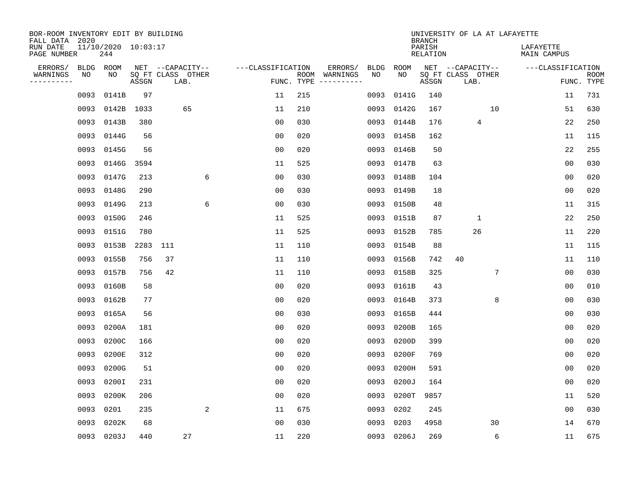| BOR-ROOM INVENTORY EDIT BY BUILDING<br>FALL DATA 2020 |      |                            |          |                           |   |                   |                    |                         |      |             | <b>BRANCH</b>             | UNIVERSITY OF LA AT LAFAYETTE |    |                          |                |                           |
|-------------------------------------------------------|------|----------------------------|----------|---------------------------|---|-------------------|--------------------|-------------------------|------|-------------|---------------------------|-------------------------------|----|--------------------------|----------------|---------------------------|
| RUN DATE<br>PAGE NUMBER                               |      | 11/10/2020 10:03:17<br>244 |          |                           |   |                   |                    |                         |      |             | PARISH<br><b>RELATION</b> |                               |    | LAFAYETTE<br>MAIN CAMPUS |                |                           |
| ERRORS/                                               | BLDG | ROOM                       |          | NET --CAPACITY--          |   | ---CLASSIFICATION |                    | ERRORS/                 | BLDG | <b>ROOM</b> |                           | NET --CAPACITY--              |    | ---CLASSIFICATION        |                |                           |
| WARNINGS<br>----------                                | NO   | NO                         | ASSGN    | SQ FT CLASS OTHER<br>LAB. |   |                   | ROOM<br>FUNC. TYPE | WARNINGS<br>----------- | NO   | NO          | ASSGN                     | SQ FT CLASS OTHER<br>LAB.     |    |                          |                | <b>ROOM</b><br>FUNC. TYPE |
|                                                       | 0093 | 0141B                      | 97       |                           |   | 11                | 215                |                         | 0093 | 0141G       | 140                       |                               |    |                          | 11             | 731                       |
|                                                       | 0093 | 0142B                      | 1033     | 65                        |   | 11                | 210                |                         |      | 0093 0142G  | 167                       |                               | 10 |                          | 51             | 630                       |
|                                                       | 0093 | 0143B                      | 380      |                           |   | 00                | 030                |                         |      | 0093 0144B  | 176                       | 4                             |    |                          | 22             | 250                       |
|                                                       | 0093 | 0144G                      | 56       |                           |   | 0 <sub>0</sub>    | 020                |                         |      | 0093 0145B  | 162                       |                               |    |                          | 11             | 115                       |
|                                                       | 0093 | 0145G                      | 56       |                           |   | 0 <sub>0</sub>    | 020                |                         |      | 0093 0146B  | 50                        |                               |    |                          | 22             | 255                       |
|                                                       | 0093 | 0146G                      | 3594     |                           |   | 11                | 525                |                         |      | 0093 0147B  | 63                        |                               |    |                          | 00             | 030                       |
|                                                       | 0093 | 0147G                      | 213      |                           | 6 | 0 <sub>0</sub>    | 030                |                         |      | 0093 0148B  | 104                       |                               |    |                          | 00             | 020                       |
|                                                       | 0093 | 0148G                      | 290      |                           |   | 0 <sub>0</sub>    | 030                |                         |      | 0093 0149B  | 18                        |                               |    |                          | 0 <sub>0</sub> | 020                       |
|                                                       | 0093 | 0149G                      | 213      |                           | 6 | 0 <sub>0</sub>    | 030                |                         |      | 0093 0150B  | 48                        |                               |    |                          | 11             | 315                       |
|                                                       | 0093 | 0150G                      | 246      |                           |   | 11                | 525                |                         |      | 0093 0151B  | 87                        | $\mathbf{1}$                  |    |                          | 22             | 250                       |
|                                                       | 0093 | 0151G                      | 780      |                           |   | 11                | 525                |                         |      | 0093 0152B  | 785                       | 26                            |    |                          | 11             | 220                       |
|                                                       | 0093 | 0153B                      | 2283 111 |                           |   | 11                | 110                |                         |      | 0093 0154B  | 88                        |                               |    |                          | 11             | 115                       |
|                                                       | 0093 | 0155B                      | 756      | 37                        |   | 11                | 110                |                         | 0093 | 0156B       | 742                       | 40                            |    |                          | 11             | 110                       |
|                                                       | 0093 | 0157B                      | 756      | 42                        |   | 11                | 110                |                         | 0093 | 0158B       | 325                       |                               | 7  |                          | 00             | 030                       |
|                                                       | 0093 | 0160B                      | 58       |                           |   | 00                | 020                |                         | 0093 | 0161B       | 43                        |                               |    |                          | 00             | 010                       |
|                                                       | 0093 | 0162B                      | 77       |                           |   | 00                | 020                |                         | 0093 | 0164B       | 373                       |                               | 8  |                          | 00             | 030                       |
|                                                       | 0093 | 0165A                      | 56       |                           |   | 0 <sub>0</sub>    | 030                |                         | 0093 | 0165B       | 444                       |                               |    |                          | 0 <sub>0</sub> | 030                       |
|                                                       | 0093 | 0200A                      | 181      |                           |   | 0 <sub>0</sub>    | 020                |                         | 0093 | 0200B       | 165                       |                               |    |                          | 0 <sub>0</sub> | 020                       |
|                                                       | 0093 | 0200C                      | 166      |                           |   | 0 <sub>0</sub>    | 020                |                         | 0093 | 0200D       | 399                       |                               |    |                          | 0 <sub>0</sub> | 020                       |
|                                                       | 0093 | 0200E                      | 312      |                           |   | 0 <sub>0</sub>    | 020                |                         | 0093 | 0200F       | 769                       |                               |    |                          | 0 <sub>0</sub> | 020                       |
|                                                       | 0093 | 0200G                      | 51       |                           |   | 0 <sub>0</sub>    | 020                |                         | 0093 | 0200H       | 591                       |                               |    |                          | 0 <sub>0</sub> | 020                       |
|                                                       | 0093 | 0200I                      | 231      |                           |   | 0 <sub>0</sub>    | 020                |                         | 0093 | 0200J       | 164                       |                               |    |                          | 0 <sub>0</sub> | 020                       |
|                                                       | 0093 | 0200K                      | 206      |                           |   | 0 <sub>0</sub>    | 020                |                         | 0093 | 0200T       | 9857                      |                               |    |                          | 11             | 520                       |
|                                                       | 0093 | 0201                       | 235      |                           | 2 | 11                | 675                |                         | 0093 | 0202        | 245                       |                               |    |                          | 00             | 030                       |
|                                                       | 0093 | 0202K                      | 68       |                           |   | 0 <sub>0</sub>    | 030                |                         | 0093 | 0203        | 4958                      |                               | 30 |                          | 14             | 670                       |
|                                                       |      | 0093 0203J                 | 440      | 27                        |   | 11                | 220                |                         |      | 0093 0206J  | 269                       |                               | 6  |                          | 11             | 675                       |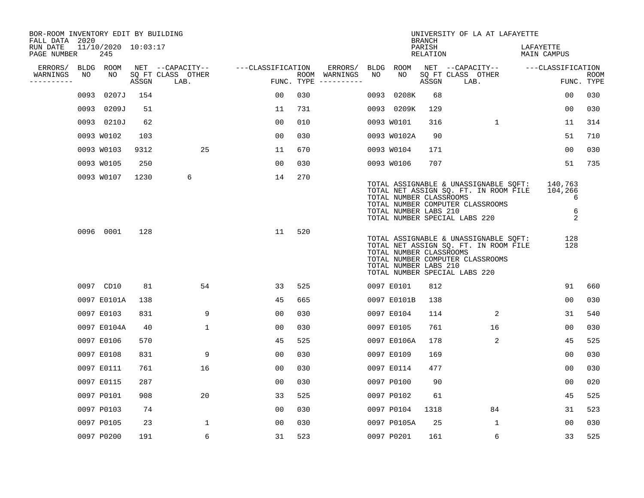| BOR-ROOM INVENTORY EDIT BY BUILDING<br>FALL DATA 2020 |      |                            |       |                           |                   |     |                                      |      |                                                  | <b>BRANCH</b>      | UNIVERSITY OF LA AT LAFAYETTE                                                                                                                       |                                   |                    |
|-------------------------------------------------------|------|----------------------------|-------|---------------------------|-------------------|-----|--------------------------------------|------|--------------------------------------------------|--------------------|-----------------------------------------------------------------------------------------------------------------------------------------------------|-----------------------------------|--------------------|
| RUN DATE<br>PAGE NUMBER                               |      | 11/10/2020 10:03:17<br>245 |       |                           |                   |     |                                      |      |                                                  | PARISH<br>RELATION |                                                                                                                                                     | LAFAYETTE<br>MAIN CAMPUS          |                    |
| ERRORS/                                               |      | BLDG ROOM                  |       | NET --CAPACITY--          | ---CLASSIFICATION |     | ERRORS/                              |      | BLDG ROOM                                        |                    | NET --CAPACITY--                                                                                                                                    | ---CLASSIFICATION                 |                    |
| WARNINGS<br>---------                                 | NO   | NO                         | ASSGN | SQ FT CLASS OTHER<br>LAB. |                   |     | ROOM WARNINGS<br>FUNC. TYPE $------$ | NO   | NO.                                              | ASSGN              | SQ FT CLASS OTHER<br>LAB.                                                                                                                           |                                   | ROOM<br>FUNC. TYPE |
|                                                       | 0093 | 0207J                      | 154   |                           | 00                | 030 |                                      | 0093 | 0208K                                            | 68                 |                                                                                                                                                     | 00                                | 030                |
|                                                       |      | 0093 0209J                 | 51    |                           | 11                | 731 |                                      |      | 0093 0209K                                       | 129                |                                                                                                                                                     | 00                                | 030                |
|                                                       |      | 0093 0210J                 | 62    |                           | 00                | 010 |                                      |      | 0093 W0101                                       | 316                | $\mathbf{1}$                                                                                                                                        | 11                                | 314                |
|                                                       |      | 0093 W0102                 | 103   |                           | 0 <sub>0</sub>    | 030 |                                      |      | 0093 W0102A                                      | 90                 |                                                                                                                                                     | 51                                | 710                |
|                                                       |      | 0093 W0103                 | 9312  | 25                        | 11                | 670 |                                      |      | 0093 W0104                                       | 171                |                                                                                                                                                     | 00                                | 030                |
|                                                       |      | 0093 W0105                 | 250   |                           | 00                | 030 |                                      |      | 0093 W0106                                       | 707                |                                                                                                                                                     | 51                                | 735                |
|                                                       |      | 0093 W0107                 | 1230  | 6                         | 14                | 270 |                                      |      | TOTAL NUMBER CLASSROOMS<br>TOTAL NUMBER LABS 210 |                    | TOTAL ASSIGNABLE & UNASSIGNABLE SQFT:<br>TOTAL NET ASSIGN SQ. FT. IN ROOM FILE<br>TOTAL NUMBER COMPUTER CLASSROOMS<br>TOTAL NUMBER SPECIAL LABS 220 | 140,763<br>104,266<br>6<br>6<br>2 |                    |
|                                                       |      | 0096 0001                  | 128   |                           | 11                | 520 |                                      |      | TOTAL NUMBER CLASSROOMS<br>TOTAL NUMBER LABS 210 |                    | TOTAL ASSIGNABLE & UNASSIGNABLE SOFT:<br>TOTAL NET ASSIGN SQ. FT. IN ROOM FILE<br>TOTAL NUMBER COMPUTER CLASSROOMS<br>TOTAL NUMBER SPECIAL LABS 220 | 128<br>128                        |                    |
|                                                       |      | 0097 CD10                  | 81    | 54                        | 33                | 525 |                                      |      | 0097 E0101                                       | 812                |                                                                                                                                                     | 91                                | 660                |
|                                                       |      | 0097 E0101A                | 138   |                           | 45                | 665 |                                      |      | 0097 E0101B                                      | 138                |                                                                                                                                                     | 0 <sub>0</sub>                    | 030                |
|                                                       |      | 0097 E0103                 | 831   | 9                         | 0 <sub>0</sub>    | 030 |                                      |      | 0097 E0104                                       | 114                | 2                                                                                                                                                   | 31                                | 540                |
|                                                       |      | 0097 E0104A                | 40    | $\mathbf{1}$              | 0 <sub>0</sub>    | 030 |                                      |      | 0097 E0105                                       | 761                | 16                                                                                                                                                  | 00                                | 030                |
|                                                       |      | 0097 E0106                 | 570   |                           | 45                | 525 |                                      |      | 0097 E0106A                                      | 178                | 2                                                                                                                                                   | 45                                | 525                |
|                                                       |      | 0097 E0108                 | 831   | 9                         | 0 <sub>0</sub>    | 030 |                                      |      | 0097 E0109                                       | 169                |                                                                                                                                                     | 0 <sub>0</sub>                    | 030                |
|                                                       |      | 0097 E0111                 | 761   | 16                        | 0 <sub>0</sub>    | 030 |                                      |      | 0097 E0114                                       | 477                |                                                                                                                                                     | 0 <sub>0</sub>                    | 030                |
|                                                       |      | 0097 E0115                 | 287   |                           | 0 <sub>0</sub>    | 030 |                                      |      | 0097 P0100                                       | 90                 |                                                                                                                                                     | 0 <sub>0</sub>                    | 020                |
|                                                       |      | 0097 P0101                 | 908   | 20                        | 33                | 525 |                                      |      | 0097 P0102                                       | 61                 |                                                                                                                                                     | 45                                | 525                |
|                                                       |      | 0097 P0103                 | 74    |                           | 0 <sub>0</sub>    | 030 |                                      |      | 0097 P0104                                       | 1318               | 84                                                                                                                                                  | 31                                | 523                |
|                                                       |      | 0097 P0105                 | 23    | $\mathbf{1}$              | 0 <sub>0</sub>    | 030 |                                      |      | 0097 P0105A                                      | 25                 | $\mathbf{1}$                                                                                                                                        | 00                                | 030                |
|                                                       |      | 0097 P0200                 | 191   | 6                         | 31                | 523 |                                      |      | 0097 P0201                                       | 161                | 6                                                                                                                                                   | 33                                | 525                |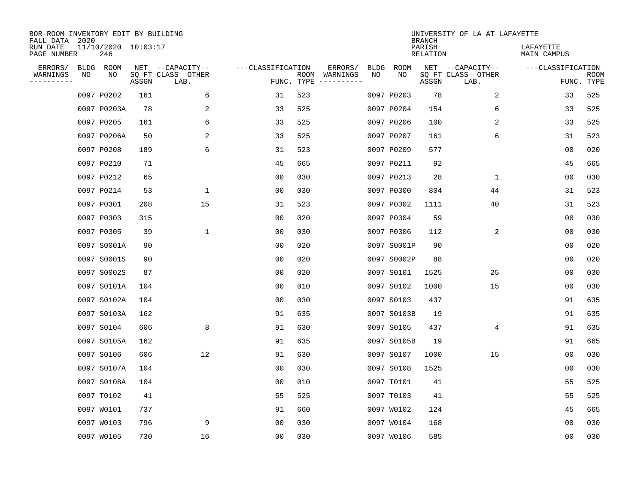| BOR-ROOM INVENTORY EDIT BY BUILDING<br>FALL DATA 2020 |    |                            |       |                           |                   |      |                                 |             |             | <b>BRANCH</b>             | UNIVERSITY OF LA AT LAFAYETTE |                          |                           |
|-------------------------------------------------------|----|----------------------------|-------|---------------------------|-------------------|------|---------------------------------|-------------|-------------|---------------------------|-------------------------------|--------------------------|---------------------------|
| RUN DATE<br>PAGE NUMBER                               |    | 11/10/2020 10:03:17<br>246 |       |                           |                   |      |                                 |             |             | PARISH<br><b>RELATION</b> |                               | LAFAYETTE<br>MAIN CAMPUS |                           |
| ERRORS/                                               |    | BLDG ROOM                  |       | NET --CAPACITY--          | ---CLASSIFICATION |      | ERRORS/                         | <b>BLDG</b> | <b>ROOM</b> |                           | NET --CAPACITY--              | ---CLASSIFICATION        |                           |
| WARNINGS<br>----------                                | NO | NO                         | ASSGN | SQ FT CLASS OTHER<br>LAB. |                   | ROOM | WARNINGS<br>FUNC. TYPE $------$ | NO          | NO          | ASSGN                     | SQ FT CLASS OTHER<br>LAB.     |                          | <b>ROOM</b><br>FUNC. TYPE |
|                                                       |    | 0097 P0202                 | 161   | 6                         | 31                | 523  |                                 |             | 0097 P0203  | 78                        | 2                             | 33                       | 525                       |
|                                                       |    | 0097 P0203A                | 78    | 2                         | 33                | 525  |                                 |             | 0097 P0204  | 154                       | 6                             | 33                       | 525                       |
|                                                       |    | 0097 P0205                 | 161   | 6                         | 33                | 525  |                                 |             | 0097 P0206  | 100                       | 2                             | 33                       | 525                       |
|                                                       |    | 0097 P0206A                | 50    | 2                         | 33                | 525  |                                 |             | 0097 P0207  | 161                       | 6                             | 31                       | 523                       |
|                                                       |    | 0097 P0208                 | 189   | 6                         | 31                | 523  |                                 |             | 0097 P0209  | 577                       |                               | 00                       | 020                       |
|                                                       |    | 0097 P0210                 | 71    |                           | 45                | 665  |                                 |             | 0097 P0211  | 92                        |                               | 45                       | 665                       |
|                                                       |    | 0097 P0212                 | 65    |                           | 0 <sub>0</sub>    | 030  |                                 |             | 0097 P0213  | 28                        | $\mathbf{1}$                  | 00                       | 030                       |
|                                                       |    | 0097 P0214                 | 53    | $\mathbf{1}$              | 0 <sub>0</sub>    | 030  |                                 |             | 0097 P0300  | 804                       | 44                            | 31                       | 523                       |
|                                                       |    | 0097 P0301                 | 208   | 15                        | 31                | 523  |                                 |             | 0097 P0302  | 1111                      | 40                            | 31                       | 523                       |
|                                                       |    | 0097 P0303                 | 315   |                           | 0 <sub>0</sub>    | 020  |                                 |             | 0097 P0304  | 59                        |                               | 0 <sub>0</sub>           | 030                       |
|                                                       |    | 0097 P0305                 | 39    | $\mathbf 1$               | 0 <sub>0</sub>    | 030  |                                 |             | 0097 P0306  | 112                       | 2                             | 0 <sub>0</sub>           | 030                       |
|                                                       |    | 0097 S0001A                | 90    |                           | 0 <sub>0</sub>    | 020  |                                 |             | 0097 S0001P | 90                        |                               | 0 <sub>0</sub>           | 020                       |
|                                                       |    | 0097 S0001S                | 90    |                           | 0 <sub>0</sub>    | 020  |                                 |             | 0097 S0002P | 88                        |                               | 0 <sub>0</sub>           | 020                       |
|                                                       |    | 0097 S0002S                | 87    |                           | 0 <sub>0</sub>    | 020  |                                 |             | 0097 S0101  | 1525                      | 25                            | 0 <sub>0</sub>           | 030                       |
|                                                       |    | 0097 S0101A                | 104   |                           | 0 <sub>0</sub>    | 010  |                                 |             | 0097 S0102  | 1000                      | 15                            | 0 <sub>0</sub>           | 030                       |
|                                                       |    | 0097 S0102A                | 104   |                           | 00                | 030  |                                 |             | 0097 S0103  | 437                       |                               | 91                       | 635                       |
|                                                       |    | 0097 S0103A                | 162   |                           | 91                | 635  |                                 |             | 0097 S0103B | 19                        |                               | 91                       | 635                       |
|                                                       |    | 0097 S0104                 | 606   | 8                         | 91                | 630  |                                 |             | 0097 S0105  | 437                       | 4                             | 91                       | 635                       |
|                                                       |    | 0097 S0105A                | 162   |                           | 91                | 635  |                                 |             | 0097 S0105B | 19                        |                               | 91                       | 665                       |
|                                                       |    | 0097 S0106                 | 606   | 12                        | 91                | 630  |                                 |             | 0097 S0107  | 1000                      | 15                            | 0 <sub>0</sub>           | 030                       |
|                                                       |    | 0097 S0107A                | 104   |                           | 0 <sub>0</sub>    | 030  |                                 |             | 0097 S0108  | 1525                      |                               | 00                       | 030                       |
|                                                       |    | 0097 S0108A                | 104   |                           | 0 <sub>0</sub>    | 010  |                                 |             | 0097 T0101  | 41                        |                               | 55                       | 525                       |
|                                                       |    | 0097 T0102                 | 41    |                           | 55                | 525  |                                 |             | 0097 T0103  | 41                        |                               | 55                       | 525                       |
|                                                       |    | 0097 W0101                 | 737   |                           | 91                | 660  |                                 |             | 0097 W0102  | 124                       |                               | 45                       | 665                       |
|                                                       |    | 0097 W0103                 | 796   | 9                         | 0 <sub>0</sub>    | 030  |                                 |             | 0097 W0104  | 168                       |                               | 0 <sub>0</sub>           | 030                       |
|                                                       |    | 0097 W0105                 | 730   | 16                        | 0 <sub>0</sub>    | 030  |                                 |             | 0097 W0106  | 585                       |                               | 00                       | 030                       |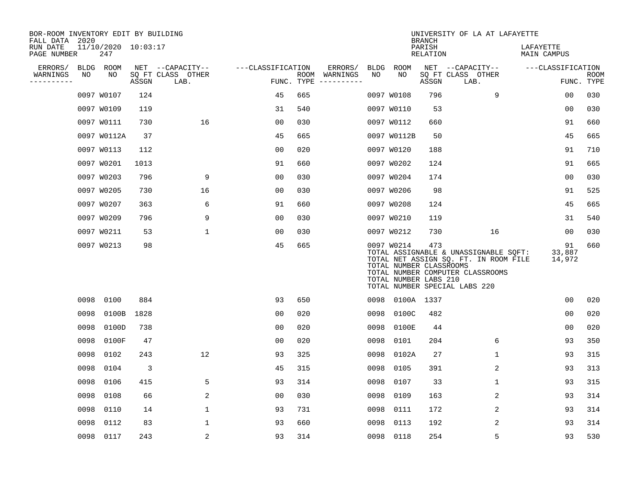| BOR-ROOM INVENTORY EDIT BY BUILDING<br>FALL DATA 2020 |      |                            |                |                           |                   |     |                                      |      |                                                                | <b>BRANCH</b>      | UNIVERSITY OF LA AT LAFAYETTE                                                                                                                       |                          |                           |
|-------------------------------------------------------|------|----------------------------|----------------|---------------------------|-------------------|-----|--------------------------------------|------|----------------------------------------------------------------|--------------------|-----------------------------------------------------------------------------------------------------------------------------------------------------|--------------------------|---------------------------|
| RUN DATE<br>PAGE NUMBER                               |      | 11/10/2020 10:03:17<br>247 |                |                           |                   |     |                                      |      |                                                                | PARISH<br>RELATION |                                                                                                                                                     | LAFAYETTE<br>MAIN CAMPUS |                           |
| ERRORS/                                               |      | BLDG ROOM                  |                | NET --CAPACITY--          | ---CLASSIFICATION |     | ERRORS/                              |      | BLDG ROOM                                                      |                    | NET --CAPACITY--                                                                                                                                    | ---CLASSIFICATION        |                           |
| WARNINGS<br>----------                                | NO   | NO                         | ASSGN          | SQ FT CLASS OTHER<br>LAB. |                   |     | ROOM WARNINGS<br>FUNC. TYPE $------$ | NO   | NO                                                             | ASSGN              | SQ FT CLASS OTHER<br>LAB.                                                                                                                           |                          | <b>ROOM</b><br>FUNC. TYPE |
|                                                       |      | 0097 W0107                 | 124            |                           | 45                | 665 |                                      |      | 0097 W0108                                                     | 796                | 9                                                                                                                                                   | 00                       | 030                       |
|                                                       |      | 0097 W0109                 | 119            |                           | 31                | 540 |                                      |      | 0097 W0110                                                     | 53                 |                                                                                                                                                     | 0 <sub>0</sub>           | 030                       |
|                                                       |      | 0097 W0111                 | 730            | 16                        | 0 <sub>0</sub>    | 030 |                                      |      | 0097 W0112                                                     | 660                |                                                                                                                                                     | 91                       | 660                       |
|                                                       |      | 0097 W0112A                | 37             |                           | 45                | 665 |                                      |      | 0097 W0112B                                                    | 50                 |                                                                                                                                                     | 45                       | 665                       |
|                                                       |      | 0097 W0113                 | 112            |                           | 0 <sub>0</sub>    | 020 |                                      |      | 0097 W0120                                                     | 188                |                                                                                                                                                     | 91                       | 710                       |
|                                                       |      | 0097 W0201                 | 1013           |                           | 91                | 660 |                                      |      | 0097 W0202                                                     | 124                |                                                                                                                                                     | 91                       | 665                       |
|                                                       |      | 0097 W0203                 | 796            | 9                         | 0 <sub>0</sub>    | 030 |                                      |      | 0097 W0204                                                     | 174                |                                                                                                                                                     | 0 <sub>0</sub>           | 030                       |
|                                                       |      | 0097 W0205                 | 730            | 16                        | 0 <sub>0</sub>    | 030 |                                      |      | 0097 W0206                                                     | 98                 |                                                                                                                                                     | 91                       | 525                       |
|                                                       |      | 0097 W0207                 | 363            | 6                         | 91                | 660 |                                      |      | 0097 W0208                                                     | 124                |                                                                                                                                                     | 45                       | 665                       |
|                                                       |      | 0097 W0209                 | 796            | 9                         | 0 <sub>0</sub>    | 030 |                                      |      | 0097 W0210                                                     | 119                |                                                                                                                                                     | 31                       | 540                       |
|                                                       |      | 0097 W0211                 | 53             | 1                         | 00                | 030 |                                      |      | 0097 W0212                                                     | 730                | 16                                                                                                                                                  | 00                       | 030                       |
|                                                       |      | 0097 W0213                 | 98             |                           | 45                | 665 |                                      |      | 0097 W0214<br>TOTAL NUMBER CLASSROOMS<br>TOTAL NUMBER LABS 210 | 473                | TOTAL ASSIGNABLE & UNASSIGNABLE SQFT:<br>TOTAL NET ASSIGN SQ. FT. IN ROOM FILE<br>TOTAL NUMBER COMPUTER CLASSROOMS<br>TOTAL NUMBER SPECIAL LABS 220 | 91<br>33,887<br>14,972   | 660                       |
|                                                       | 0098 | 0100                       | 884            |                           | 93                | 650 |                                      | 0098 | 0100A 1337                                                     |                    |                                                                                                                                                     | 0 <sub>0</sub>           | 020                       |
|                                                       | 0098 | 0100B                      | 1828           |                           | 0 <sub>0</sub>    | 020 |                                      | 0098 | 0100C                                                          | 482                |                                                                                                                                                     | 0 <sub>0</sub>           | 020                       |
|                                                       | 0098 | 0100D                      | 738            |                           | 0 <sub>0</sub>    | 020 |                                      | 0098 | 0100E                                                          | 44                 |                                                                                                                                                     | 0 <sub>0</sub>           | 020                       |
|                                                       | 0098 | 0100F                      | 47             |                           | 0 <sub>0</sub>    | 020 |                                      | 0098 | 0101                                                           | 204                | 6                                                                                                                                                   | 93                       | 350                       |
|                                                       | 0098 | 0102                       | 243            | 12                        | 93                | 325 |                                      | 0098 | 0102A                                                          | 27                 | $\mathbf{1}$                                                                                                                                        | 93                       | 315                       |
|                                                       | 0098 | 0104                       | $\overline{3}$ |                           | 45                | 315 |                                      | 0098 | 0105                                                           | 391                | 2                                                                                                                                                   | 93                       | 313                       |
|                                                       | 0098 | 0106                       | 415            | 5                         | 93                | 314 |                                      | 0098 | 0107                                                           | 33                 | $\mathbf{1}$                                                                                                                                        | 93                       | 315                       |
|                                                       | 0098 | 0108                       | 66             | 2                         | 0 <sub>0</sub>    | 030 |                                      | 0098 | 0109                                                           | 163                | 2                                                                                                                                                   | 93                       | 314                       |
|                                                       | 0098 | 0110                       | 14             | $\mathbf{1}$              | 93                | 731 |                                      | 0098 | 0111                                                           | 172                | 2                                                                                                                                                   | 93                       | 314                       |
|                                                       | 0098 | 0112                       | 83             | 1                         | 93                | 660 |                                      | 0098 | 0113                                                           | 192                | 2                                                                                                                                                   | 93                       | 314                       |
|                                                       |      | 0098 0117                  | 243            | 2                         | 93                | 314 |                                      |      | 0098 0118                                                      | 254                | 5                                                                                                                                                   | 93                       | 530                       |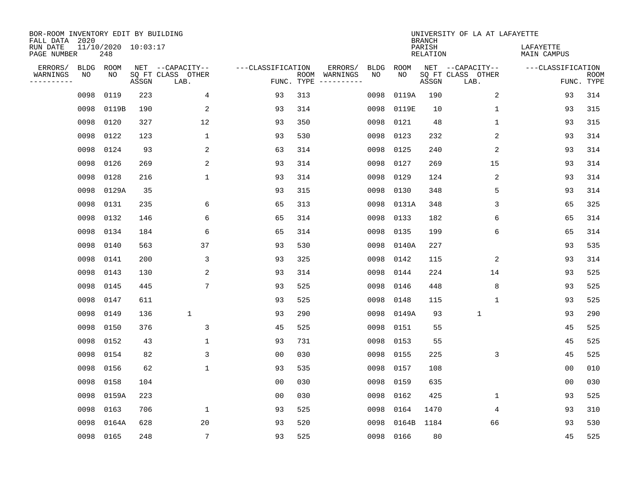| BOR-ROOM INVENTORY EDIT BY BUILDING<br>FALL DATA 2020 |             |                            |       |                           |                   |            |                              |             |             | <b>BRANCH</b>             | UNIVERSITY OF LA AT LAFAYETTE |                                 |                           |
|-------------------------------------------------------|-------------|----------------------------|-------|---------------------------|-------------------|------------|------------------------------|-------------|-------------|---------------------------|-------------------------------|---------------------------------|---------------------------|
| RUN DATE<br>PAGE NUMBER                               |             | 11/10/2020 10:03:17<br>248 |       |                           |                   |            |                              |             |             | PARISH<br><b>RELATION</b> |                               | LAFAYETTE<br><b>MAIN CAMPUS</b> |                           |
| ERRORS/                                               | <b>BLDG</b> | ROOM                       |       | NET --CAPACITY--          | ---CLASSIFICATION |            | ERRORS/                      | <b>BLDG</b> | <b>ROOM</b> |                           | NET --CAPACITY--              | ---CLASSIFICATION               |                           |
| WARNINGS<br>----------                                | NO          | NO                         | ASSGN | SQ FT CLASS OTHER<br>LAB. |                   | FUNC. TYPE | ROOM WARNINGS<br>----------- | NO          | NO          | ASSGN                     | SQ FT CLASS OTHER<br>LAB.     |                                 | <b>ROOM</b><br>FUNC. TYPE |
|                                                       | 0098        | 0119                       | 223   | 4                         | 93                | 313        |                              | 0098        | 0119A       | 190                       | 2                             | 93                              | 314                       |
|                                                       | 0098        | 0119B                      | 190   | 2                         | 93                | 314        |                              | 0098        | 0119E       | 10                        | $\mathbf 1$                   | 93                              | 315                       |
|                                                       | 0098        | 0120                       | 327   | 12                        | 93                | 350        |                              | 0098        | 0121        | 48                        | 1                             | 93                              | 315                       |
|                                                       | 0098        | 0122                       | 123   | $\mathbf{1}$              | 93                | 530        |                              | 0098        | 0123        | 232                       | 2                             | 93                              | 314                       |
|                                                       | 0098        | 0124                       | 93    | 2                         | 63                | 314        |                              | 0098        | 0125        | 240                       | $\overline{2}$                | 93                              | 314                       |
|                                                       | 0098        | 0126                       | 269   | $\overline{2}$            | 93                | 314        |                              | 0098        | 0127        | 269                       | 15                            | 93                              | 314                       |
|                                                       | 0098        | 0128                       | 216   | $\mathbf{1}$              | 93                | 314        |                              | 0098        | 0129        | 124                       | $\overline{2}$                | 93                              | 314                       |
|                                                       | 0098        | 0129A                      | 35    |                           | 93                | 315        |                              | 0098        | 0130        | 348                       | 5                             | 93                              | 314                       |
|                                                       | 0098        | 0131                       | 235   | 6                         | 65                | 313        |                              | 0098        | 0131A       | 348                       | 3                             | 65                              | 325                       |
|                                                       | 0098        | 0132                       | 146   | 6                         | 65                | 314        |                              | 0098        | 0133        | 182                       | 6                             | 65                              | 314                       |
|                                                       | 0098        | 0134                       | 184   | 6                         | 65                | 314        |                              | 0098        | 0135        | 199                       | 6                             | 65                              | 314                       |
|                                                       | 0098        | 0140                       | 563   | 37                        | 93                | 530        |                              | 0098        | 0140A       | 227                       |                               | 93                              | 535                       |
|                                                       | 0098        | 0141                       | 200   | 3                         | 93                | 325        |                              | 0098        | 0142        | 115                       | 2                             | 93                              | 314                       |
|                                                       | 0098        | 0143                       | 130   | $\overline{\mathbf{c}}$   | 93                | 314        |                              | 0098        | 0144        | 224                       | 14                            | 93                              | 525                       |
|                                                       | 0098        | 0145                       | 445   | $7\phantom{.0}$           | 93                | 525        |                              | 0098        | 0146        | 448                       | 8                             | 93                              | 525                       |
|                                                       | 0098        | 0147                       | 611   |                           | 93                | 525        |                              | 0098        | 0148        | 115                       | $\mathbf{1}$                  | 93                              | 525                       |
|                                                       | 0098        | 0149                       | 136   | $\mathbf 1$               | 93                | 290        |                              | 0098        | 0149A       | 93                        | $\mathbf{1}$                  | 93                              | 290                       |
|                                                       | 0098        | 0150                       | 376   | 3                         | 45                | 525        |                              | 0098        | 0151        | 55                        |                               | 45                              | 525                       |
|                                                       | 0098        | 0152                       | 43    | $\mathbf{1}$              | 93                | 731        |                              | 0098        | 0153        | 55                        |                               | 45                              | 525                       |
|                                                       | 0098        | 0154                       | 82    | 3                         | 0 <sub>0</sub>    | 030        |                              | 0098        | 0155        | 225                       | 3                             | 45                              | 525                       |
|                                                       | 0098        | 0156                       | 62    | $\mathbf{1}$              | 93                | 535        |                              | 0098        | 0157        | 108                       |                               | 0 <sub>0</sub>                  | 010                       |
|                                                       | 0098        | 0158                       | 104   |                           | 0 <sub>0</sub>    | 030        |                              | 0098        | 0159        | 635                       |                               | 0 <sub>0</sub>                  | 030                       |
|                                                       | 0098        | 0159A                      | 223   |                           | 0 <sub>0</sub>    | 030        |                              | 0098        | 0162        | 425                       | $\mathbf 1$                   | 93                              | 525                       |
|                                                       | 0098        | 0163                       | 706   | $\mathbf 1$               | 93                | 525        |                              | 0098        | 0164        | 1470                      | 4                             | 93                              | 310                       |
|                                                       | 0098        | 0164A                      | 628   | 20                        | 93                | 520        |                              | 0098        | 0164B       | 1184                      | 66                            | 93                              | 530                       |
|                                                       | 0098 0165   |                            | 248   | $7\overline{ }$           | 93                | 525        |                              | 0098        | 0166        | 80                        |                               | 45                              | 525                       |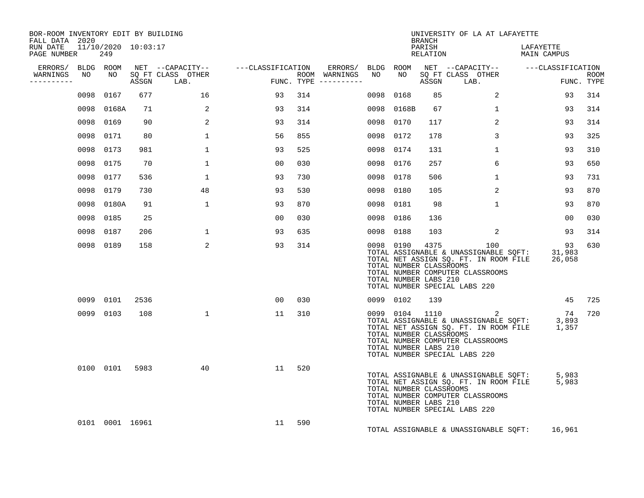| BOR-ROOM INVENTORY EDIT BY BUILDING<br>FALL DATA 2020 |           |                 |                |                                    |                |                     |                  |           |                                                               | BRANCH             | UNIVERSITY OF LA AT LAFAYETTE                                                                                                                                                          |                          |                           |
|-------------------------------------------------------|-----------|-----------------|----------------|------------------------------------|----------------|---------------------|------------------|-----------|---------------------------------------------------------------|--------------------|----------------------------------------------------------------------------------------------------------------------------------------------------------------------------------------|--------------------------|---------------------------|
| RUN DATE 11/10/2020 10:03:17<br>PAGE NUMBER 249       |           |                 |                |                                    |                |                     |                  |           |                                                               | PARISH<br>RELATION |                                                                                                                                                                                        | LAFAYETTE<br>MAIN CAMPUS |                           |
|                                                       |           |                 |                |                                    |                |                     |                  |           |                                                               |                    | ERRORS/ BLDG ROOM NET --CAPACITY-- - ---CLASSIFICATION ERRORS/ BLDG ROOM NET --CAPACITY-- - ---CLASSIFICATION                                                                          |                          |                           |
| WARNINGS NO<br>----------                             |           |                 |                | NO SO FT CLASS OTHER<br>ASSGN LAB. | FUN            | FUNC. TYPE $------$ | ROOM WARNINGS NO |           | NO                                                            |                    | SQ FT CLASS OTHER<br>ASSGN LAB.                                                                                                                                                        |                          | <b>ROOM</b><br>FUNC. TYPE |
|                                                       |           | 0098 0167       | 677            | 16                                 | 93             | 314                 |                  | 0098 0168 |                                                               | 85                 | $\overline{a}$                                                                                                                                                                         | 93                       | 314                       |
|                                                       |           | 0098 0168A      | 71             | 2                                  | 93             | 314                 |                  |           | 0098 0168B                                                    | 67                 | $\mathbf{1}$                                                                                                                                                                           | 93                       | 314                       |
|                                                       |           | 0098 0169       | 90             | 2                                  | 93             | 314                 |                  | 0098 0170 |                                                               | 117                | $\overline{2}$                                                                                                                                                                         | 93                       | 314                       |
|                                                       | 0098 0171 |                 | 80             | $\mathbf{1}$                       | 56             | 855                 |                  | 0098      | 0172                                                          | 178                | $\mathbf{3}$                                                                                                                                                                           | 93                       | 325                       |
|                                                       |           | 0098 0173       | 981            | $\mathbf{1}$                       | 93             | 525                 |                  | 0098 0174 |                                                               | 131                | $\mathbf{1}$                                                                                                                                                                           | 93                       | 310                       |
|                                                       | 0098 0175 |                 | 70             | $\mathbf{1}$                       | 0 <sub>0</sub> | 030                 |                  | 0098 0176 |                                                               | 257                | 6                                                                                                                                                                                      | 93                       | 650                       |
|                                                       | 0098 0177 |                 | 536            | $\mathbf{1}$                       | 93             | 730                 |                  | 0098 0178 |                                                               | 506                | $\mathbf{1}$                                                                                                                                                                           | 93                       | 731                       |
|                                                       | 0098 0179 |                 | 730            | 48                                 | 93             | 530                 |                  | 0098 0180 |                                                               | 105                | $\overline{2}$                                                                                                                                                                         | 93                       | 870                       |
|                                                       |           | 0098 0180A      | 91             | $\mathbf{1}$                       | 93             | 870                 |                  | 0098 0181 |                                                               | 98                 | $\mathbf{1}$                                                                                                                                                                           | 93                       | 870                       |
|                                                       |           | 0098 0185       | 25             |                                    | 00             | 030                 |                  | 0098 0186 |                                                               | 136                |                                                                                                                                                                                        | 00                       | 030                       |
|                                                       |           | 0098 0187       | 206            | 1                                  | 93             | 635                 |                  | 0098 0188 |                                                               | 103                | 2                                                                                                                                                                                      | 93                       | 314                       |
|                                                       |           | 0098 0189       | 158            | 2                                  | 93             | 314                 |                  |           | 0098 0190<br>TOTAL NUMBER CLASSROOMS<br>TOTAL NUMBER LABS 210 |                    | 4375 100<br>TOTAL ASSIGNABLE & UNASSIGNABLE SQFT: 31,983<br>TOTAL NET ASSIGN SQ. FT. IN ROOM FILE 26,058<br>TOTAL NUMBER COMPUTER CLASSROOMS<br>TOTAL NUMBER SPECIAL LABS 220          | 93                       | 630                       |
|                                                       |           | 0099 0101       | 2536           |                                    | 00             | 030                 |                  |           | 0099 0102                                                     | 139                |                                                                                                                                                                                        | 45                       | 725                       |
|                                                       |           | 0099 0103       | 108            | $\mathbf{1}$                       | 11             | 310                 |                  |           | TOTAL NUMBER CLASSROOMS<br>TOTAL NUMBER LABS 210              |                    | 0099 0104 1110 2 74<br>TOTAL ASSIGNABLE & UNASSIGNABLE SQFT: 3,893<br>TOTAL NET ASSIGN SQ. FT. IN ROOM FILE 1,357<br>TOTAL NUMBER COMPUTER CLASSROOMS<br>TOTAL NUMBER SPECIAL LABS 220 | 74                       | 720                       |
|                                                       |           |                 | 0100 0101 5983 | 40                                 | 11             | 520                 |                  |           | TOTAL NUMBER CLASSROOMS<br>TOTAL NUMBER LABS 210              |                    | TOTAL ASSIGNABLE & UNASSIGNABLE SQFT: 5,983<br>TOTAL NET ASSIGN SQ. FT. IN ROOM FILE 5,983<br>TOTAL NUMBER COMPUTER CLASSROOMS<br>TOTAL NUMBER SPECIAL LABS 220                        |                          |                           |
|                                                       |           | 0101 0001 16961 |                |                                    | 11             | 590                 |                  |           |                                                               |                    | TOTAL ASSIGNABLE & UNASSIGNABLE SQFT:                                                                                                                                                  | 16,961                   |                           |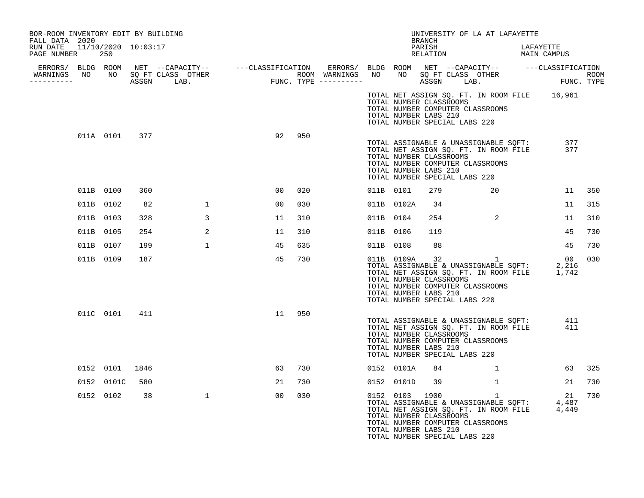| BOR-ROOM INVENTORY EDIT BY BUILDING<br>FALL DATA 2020 |            |               |              |                 |     |           |                                                                                                                                                                                                         | UNIVERSITY OF LA AT LAFAYETTE<br>BRANCH                   |       |              |           |                                                                                                                                                                                    |        |
|-------------------------------------------------------|------------|---------------|--------------|-----------------|-----|-----------|---------------------------------------------------------------------------------------------------------------------------------------------------------------------------------------------------------|-----------------------------------------------------------|-------|--------------|-----------|------------------------------------------------------------------------------------------------------------------------------------------------------------------------------------|--------|
| RUN DATE 11/10/2020 10:03:17<br>PAGE NUMBER 250       |            |               |              |                 |     |           |                                                                                                                                                                                                         | PARISH<br>PARISH DARISH LAFAYETTE<br>RELATION MAIN CAMPUS |       |              | LAFAYETTE |                                                                                                                                                                                    |        |
|                                                       |            |               |              |                 |     |           |                                                                                                                                                                                                         |                                                           |       |              |           |                                                                                                                                                                                    |        |
|                                                       |            |               |              |                 |     |           |                                                                                                                                                                                                         |                                                           |       |              |           |                                                                                                                                                                                    |        |
|                                                       |            |               |              |                 |     |           | TOTAL NUMBER CLASSROOMS<br>TOTAL NUMBER COMPUTER CLASSROOMS<br>TOTAL NUMBER LABS 210<br>TOTAL NUMBER SPECIAL LABS 220                                                                                   |                                                           |       |              |           | TOTAL NET ASSIGN SQ. FT. IN ROOM FILE 16,961                                                                                                                                       |        |
|                                                       |            | 011A 0101 377 |              | 92 950          |     |           | TOTAL ASSIGNABLE & UNASSIGNABLE SQFT:<br>TOTAL NET ASSIGN SQ. FT. IN ROOM FILE<br>TOTAL NUMBER CLASSROOMS<br>TOTAL NUMBER COMPUTER CLASSROOMS<br>TOTAL NUMBER LABS 210<br>TOTAL NUMBER SPECIAL LABS 220 |                                                           |       |              |           | 377<br>377                                                                                                                                                                         |        |
|                                                       | 011B 0100  | 360           |              | 00              | 020 | 011B 0101 |                                                                                                                                                                                                         | 279                                                       |       | 20           |           |                                                                                                                                                                                    | 11 350 |
|                                                       | 011B 0102  | 82            | $\mathbf{1}$ | 00              | 030 |           | 011B 0102A                                                                                                                                                                                              | 34                                                        |       |              |           | 11                                                                                                                                                                                 | 315    |
|                                                       | 011B 0103  | 328           | 3            | 11              | 310 | 011B 0104 |                                                                                                                                                                                                         |                                                           | 254 2 |              |           | 11                                                                                                                                                                                 | 310    |
|                                                       | 011B 0105  | 254           | 2            | 11              | 310 | 011B 0106 |                                                                                                                                                                                                         | 119                                                       |       |              |           | 45                                                                                                                                                                                 | 730    |
|                                                       | 011B 0107  | 199           | $\mathbf{1}$ | 45              | 635 | 011B 0108 |                                                                                                                                                                                                         | 88                                                        |       |              |           | 45                                                                                                                                                                                 | 730    |
|                                                       | 011B 0109  | 187           |              | 45              | 730 |           | TOTAL NUMBER CLASSROOMS<br>TOTAL NUMBER COMPUTER CLASSROOMS<br>TOTAL NUMBER LABS 210<br>TOTAL NUMBER SPECIAL LABS 220                                                                                   |                                                           |       |              |           |                                                                                                                                                                                    | 030    |
|                                                       |            | 011C 0101 411 |              | 11 950          |     |           | TOTAL ASSIGNABLE & UNASSIGNABLE SQFT:<br>TOTAL NET ASSIGN SQ. FT. IN ROOM FILE<br>TOTAL NUMBER CLASSROOMS<br>TOTAL NUMBER COMPUTER CLASSROOMS<br>TOTAL NUMBER LABS 210<br>TOTAL NUMBER SPECIAL LABS 220 |                                                           |       |              |           | 411<br>411                                                                                                                                                                         |        |
|                                                       | 0152 0101  | 1846          |              | 63              | 730 |           | 0152 0101A                                                                                                                                                                                              | 84                                                        |       | 1            |           |                                                                                                                                                                                    | 63 325 |
|                                                       | 0152 0101C | 580           |              | 21              | 730 |           | 0152 0101D                                                                                                                                                                                              | 39                                                        |       | $\mathbf{1}$ |           | 21                                                                                                                                                                                 | 730    |
|                                                       | 0152 0102  | 38            | $\mathbf{1}$ | 00 <sub>o</sub> | 030 |           | TOTAL NUMBER CLASSROOMS<br>TOTAL NUMBER COMPUTER CLASSROOMS<br>TOTAL NUMBER LABS 210<br>TOTAL NUMBER SPECIAL LABS 220                                                                                   |                                                           |       |              |           | $\begin{array}{lllllll} 0152 & 0103 & 1900 & 1 & 21 \\ \text{TOTAL ASSIGNABLE & UNASSIGNABLE & SCFT:} & 4,487 \\ \text{TOTAL NET ASSIGN SG. FT. IN ROOM FILE} & 4,449 \end{array}$ | 730    |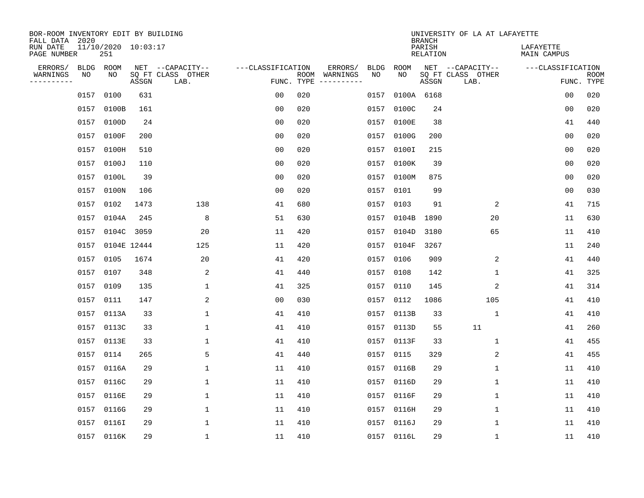| BOR-ROOM INVENTORY EDIT BY BUILDING<br>FALL DATA 2020 |                                |             |                                               |                   |            |                                         |            |             | <b>BRANCH</b>      | UNIVERSITY OF LA AT LAFAYETTE                 |                          |                           |
|-------------------------------------------------------|--------------------------------|-------------|-----------------------------------------------|-------------------|------------|-----------------------------------------|------------|-------------|--------------------|-----------------------------------------------|--------------------------|---------------------------|
| RUN DATE<br>PAGE NUMBER                               | $11/10/2020$ $10:03:17$<br>251 |             |                                               |                   |            |                                         |            |             | PARISH<br>RELATION |                                               | LAFAYETTE<br>MAIN CAMPUS |                           |
| ERRORS/<br>WARNINGS<br>NO<br>---------                | BLDG ROOM<br>NO                | ASSGN       | NET --CAPACITY--<br>SQ FT CLASS OTHER<br>LAB. | ---CLASSIFICATION | FUNC. TYPE | ERRORS/<br>ROOM WARNINGS<br>----------- | BLDG<br>NO | ROOM<br>NO. | ASSGN              | NET --CAPACITY--<br>SQ FT CLASS OTHER<br>LAB. | ---CLASSIFICATION        | <b>ROOM</b><br>FUNC. TYPE |
| 0157                                                  | 0100                           | 631         |                                               | 0 <sub>0</sub>    | 020        |                                         | 0157       | 0100A 6168  |                    |                                               | 0 <sub>0</sub>           | 020                       |
| 0157                                                  | 0100B                          | 161         |                                               | 0 <sub>0</sub>    | 020        |                                         |            | 0157 0100C  | 24                 |                                               | 0 <sub>0</sub>           | 020                       |
| 0157                                                  | 0100D                          | 24          |                                               | 0 <sub>0</sub>    | 020        |                                         |            | 0157 0100E  | 38                 |                                               | 41                       | 440                       |
| 0157                                                  | 0100F                          | 200         |                                               | 0 <sub>0</sub>    | 020        |                                         |            | 0157 0100G  | 200                |                                               | 0 <sub>0</sub>           | 020                       |
| 0157                                                  | 0100H                          | 510         |                                               | 0 <sub>0</sub>    | 020        |                                         |            | 0157 0100I  | 215                |                                               | 00                       | 020                       |
| 0157                                                  | 0100J                          | 110         |                                               | 0 <sub>0</sub>    | 020        |                                         |            | 0157 0100K  | 39                 |                                               | 0 <sub>0</sub>           | 020                       |
| 0157                                                  | 0100L                          | 39          |                                               | 0 <sub>0</sub>    | 020        |                                         |            | 0157 0100M  | 875                |                                               | 0 <sub>0</sub>           | 020                       |
| 0157                                                  | 0100N                          | 106         |                                               | 0 <sub>0</sub>    | 020        |                                         |            | 0157 0101   | 99                 |                                               | 0 <sub>0</sub>           | 030                       |
| 0157                                                  | 0102                           | 1473        | 138                                           | 41                | 680        |                                         | 0157       | 0103        | 91                 | 2                                             | 41                       | 715                       |
| 0157                                                  | 0104A                          | 245         | 8                                             | 51                | 630        |                                         |            | 0157 0104B  | 1890               | 20                                            | 11                       | 630                       |
| 0157                                                  |                                | 0104C 3059  | 20                                            | 11                | 420        |                                         | 0157       | 0104D       | 3180               | 65                                            | 11                       | 410                       |
| 0157                                                  |                                | 0104E 12444 | 125                                           | 11                | 420        |                                         |            | 0157 0104F  | 3267               |                                               | 11                       | 240                       |
| 0157                                                  | 0105                           | 1674        | 20                                            | 41                | 420        |                                         | 0157       | 0106        | 909                | 2                                             | 41                       | 440                       |
| 0157                                                  | 0107                           | 348         | 2                                             | 41                | 440        |                                         | 0157       | 0108        | 142                | 1                                             | 41                       | 325                       |
| 0157                                                  | 0109                           | 135         | 1                                             | 41                | 325        |                                         | 0157       | 0110        | 145                | 2                                             | 41                       | 314                       |
| 0157                                                  | 0111                           | 147         | 2                                             | 0 <sub>0</sub>    | 030        |                                         | 0157       | 0112        | 1086               | 105                                           | 41                       | 410                       |
| 0157                                                  | 0113A                          | 33          | $\mathbf 1$                                   | 41                | 410        |                                         |            | 0157 0113B  | 33                 | 1                                             | 41                       | 410                       |
| 0157                                                  | 0113C                          | 33          | $\mathbf 1$                                   | 41                | 410        |                                         | 0157       | 0113D       | 55                 | 11                                            | 41                       | 260                       |
|                                                       | 0157 0113E                     | 33          | 1                                             | 41                | 410        |                                         |            | 0157 0113F  | 33                 | 1                                             | 41                       | 455                       |
| 0157                                                  | 0114                           | 265         | 5                                             | 41                | 440        |                                         |            | 0157 0115   | 329                | 2                                             | 41                       | 455                       |
| 0157                                                  | 0116A                          | 29          | 1                                             | 11                | 410        |                                         |            | 0157 0116B  | 29                 | 1                                             | 11                       | 410                       |
| 0157                                                  | 0116C                          | 29          | $\mathbf 1$                                   | 11                | 410        |                                         | 0157       | 0116D       | 29                 | $\mathbf 1$                                   | 11                       | 410                       |
| 0157                                                  | 0116E                          | 29          | 1                                             | 11                | 410        |                                         |            | 0157 0116F  | 29                 | 1                                             | 11                       | 410                       |
| 0157                                                  | 0116G                          | 29          | $\mathbf{1}$                                  | 11                | 410        |                                         |            | 0157 0116H  | 29                 | $\mathbf 1$                                   | 11                       | 410                       |
| 0157                                                  | 0116I                          | 29          | 1                                             | 11                | 410        |                                         |            | 0157 0116J  | 29                 | 1                                             | 11                       | 410                       |
|                                                       | 0157 0116K                     | 29          | 1                                             | 11                | 410        |                                         |            | 0157 0116L  | 29                 | 1                                             | 11                       | 410                       |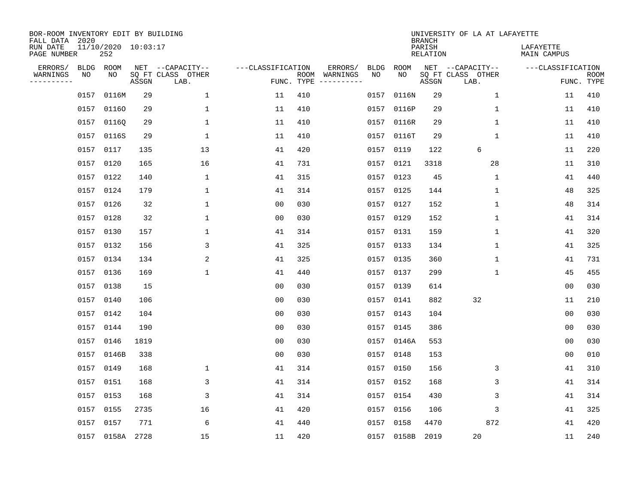| BOR-ROOM INVENTORY EDIT BY BUILDING<br>FALL DATA 2020 |             |                            |       |                           |                   |     |                                      |             |             | <b>BRANCH</b>             | UNIVERSITY OF LA AT LAFAYETTE |                          |                           |
|-------------------------------------------------------|-------------|----------------------------|-------|---------------------------|-------------------|-----|--------------------------------------|-------------|-------------|---------------------------|-------------------------------|--------------------------|---------------------------|
| RUN DATE<br>PAGE NUMBER                               |             | 11/10/2020 10:03:17<br>252 |       |                           |                   |     |                                      |             |             | PARISH<br><b>RELATION</b> |                               | LAFAYETTE<br>MAIN CAMPUS |                           |
| ERRORS/                                               | <b>BLDG</b> | ROOM                       |       | NET --CAPACITY--          | ---CLASSIFICATION |     | ERRORS/                              | <b>BLDG</b> | <b>ROOM</b> |                           | NET --CAPACITY--              | ---CLASSIFICATION        |                           |
| WARNINGS<br>----------                                | NO          | NO                         | ASSGN | SQ FT CLASS OTHER<br>LAB. |                   |     | ROOM WARNINGS<br>FUNC. TYPE $------$ | NO          | NO          | ASSGN                     | SQ FT CLASS OTHER<br>LAB.     |                          | <b>ROOM</b><br>FUNC. TYPE |
|                                                       | 0157        | 0116M                      | 29    | 1                         | 11                | 410 |                                      | 0157        | 0116N       | 29                        | $\mathbf 1$                   | 11                       | 410                       |
|                                                       | 0157        | 01160                      | 29    | 1                         | 11                | 410 |                                      |             | 0157 0116P  | 29                        | 1                             | 11                       | 410                       |
|                                                       | 0157        | 01160                      | 29    | $\mathbf 1$               | 11                | 410 |                                      |             | 0157 0116R  | 29                        | $\mathbf 1$                   | 11                       | 410                       |
|                                                       | 0157        | 0116S                      | 29    | 1                         | 11                | 410 |                                      |             | 0157 0116T  | 29                        | 1                             | 11                       | 410                       |
|                                                       | 0157        | 0117                       | 135   | 13                        | 41                | 420 |                                      | 0157        | 0119        | 122                       | 6                             | 11                       | 220                       |
|                                                       | 0157        | 0120                       | 165   | 16                        | 41                | 731 |                                      |             | 0157 0121   | 3318                      | 28                            | 11                       | 310                       |
|                                                       | 0157        | 0122                       | 140   | $\mathbf 1$               | 41                | 315 |                                      |             | 0157 0123   | 45                        | $\mathbf{1}$                  | 41                       | 440                       |
|                                                       | 0157 0124   |                            | 179   | $\mathbf{1}$              | 41                | 314 |                                      |             | 0157 0125   | 144                       | $\mathbf 1$                   | 48                       | 325                       |
|                                                       | 0157        | 0126                       | 32    | $\mathbf{1}$              | 0 <sub>0</sub>    | 030 |                                      |             | 0157 0127   | 152                       | $\mathbf{1}$                  | 48                       | 314                       |
|                                                       | 0157 0128   |                            | 32    | 1                         | 0 <sub>0</sub>    | 030 |                                      |             | 0157 0129   | 152                       | 1                             | 41                       | 314                       |
|                                                       | 0157        | 0130                       | 157   | $\mathbf 1$               | 41                | 314 |                                      |             | 0157 0131   | 159                       | $\mathbf 1$                   | 41                       | 320                       |
|                                                       | 0157        | 0132                       | 156   | 3                         | 41                | 325 |                                      |             | 0157 0133   | 134                       | $\mathbf 1$                   | 41                       | 325                       |
|                                                       | 0157        | 0134                       | 134   | 2                         | 41                | 325 |                                      |             | 0157 0135   | 360                       | $\mathbf 1$                   | 41                       | 731                       |
|                                                       | 0157        | 0136                       | 169   | $\mathbf 1$               | 41                | 440 |                                      |             | 0157 0137   | 299                       | $\mathbf 1$                   | 45                       | 455                       |
|                                                       | 0157        | 0138                       | 15    |                           | 0 <sub>0</sub>    | 030 |                                      | 0157        | 0139        | 614                       |                               | 0 <sub>0</sub>           | 030                       |
|                                                       | 0157        | 0140                       | 106   |                           | 00                | 030 |                                      |             | 0157 0141   | 882                       | 32                            | 11                       | 210                       |
|                                                       | 0157        | 0142                       | 104   |                           | 0 <sub>0</sub>    | 030 |                                      | 0157        | 0143        | 104                       |                               | 00                       | 030                       |
|                                                       | 0157        | 0144                       | 190   |                           | 0 <sub>0</sub>    | 030 |                                      |             | 0157 0145   | 386                       |                               | 0 <sub>0</sub>           | 030                       |
|                                                       | 0157        | 0146                       | 1819  |                           | 0 <sub>0</sub>    | 030 |                                      |             | 0157 0146A  | 553                       |                               | 0 <sub>0</sub>           | 030                       |
|                                                       | 0157        | 0146B                      | 338   |                           | 0 <sub>0</sub>    | 030 |                                      |             | 0157 0148   | 153                       |                               | 0 <sub>0</sub>           | 010                       |
|                                                       | 0157        | 0149                       | 168   | $\mathbf 1$               | 41                | 314 |                                      |             | 0157 0150   | 156                       | 3                             | 41                       | 310                       |
|                                                       | 0157        | 0151                       | 168   | 3                         | 41                | 314 |                                      |             | 0157 0152   | 168                       | 3                             | 41                       | 314                       |
|                                                       | 0157        | 0153                       | 168   | 3                         | 41                | 314 |                                      |             | 0157 0154   | 430                       | 3                             | 41                       | 314                       |
|                                                       | 0157        | 0155                       | 2735  | 16                        | 41                | 420 |                                      |             | 0157 0156   | 106                       | 3                             | 41                       | 325                       |
|                                                       | 0157        | 0157                       | 771   | 6                         | 41                | 440 |                                      | 0157        | 0158        | 4470                      | 872                           | 41                       | 420                       |
|                                                       |             | 0157 0158A 2728            |       | 15                        | 11                | 420 |                                      |             | 0157 0158B  | 2019                      | 20                            | 11                       | 240                       |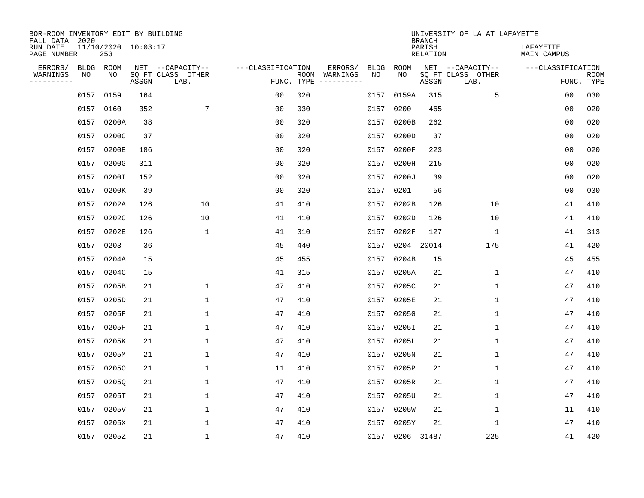| BOR-ROOM INVENTORY EDIT BY BUILDING<br>FALL DATA 2020 |           |                            |       |                           |                   |            |               |      |                 | <b>BRANCH</b>             | UNIVERSITY OF LA AT LAFAYETTE |                          |                           |
|-------------------------------------------------------|-----------|----------------------------|-------|---------------------------|-------------------|------------|---------------|------|-----------------|---------------------------|-------------------------------|--------------------------|---------------------------|
| RUN DATE<br>PAGE NUMBER                               |           | 11/10/2020 10:03:17<br>253 |       |                           |                   |            |               |      |                 | PARISH<br><b>RELATION</b> |                               | LAFAYETTE<br>MAIN CAMPUS |                           |
| ERRORS/                                               | BLDG ROOM |                            |       | NET --CAPACITY--          | ---CLASSIFICATION |            | ERRORS/       | BLDG | ROOM            |                           | NET --CAPACITY--              | ---CLASSIFICATION        |                           |
| WARNINGS<br>.                                         | NO        | NO                         | ASSGN | SQ FT CLASS OTHER<br>LAB. |                   | FUNC. TYPE | ROOM WARNINGS | NO   | NO.             | ASSGN                     | SQ FT CLASS OTHER<br>LAB.     |                          | <b>ROOM</b><br>FUNC. TYPE |
|                                                       | 0157      | 0159                       | 164   |                           | 0 <sub>0</sub>    | 020        |               | 0157 | 0159A           | 315                       | 5                             | 00                       | 030                       |
|                                                       | 0157      | 0160                       | 352   | $7\phantom{.0}$           | 0 <sub>0</sub>    | 030        |               | 0157 | 0200            | 465                       |                               | 0 <sub>0</sub>           | 020                       |
|                                                       | 0157      | 0200A                      | 38    |                           | 0 <sub>0</sub>    | 020        |               | 0157 | 0200B           | 262                       |                               | 00                       | 020                       |
|                                                       | 0157      | 0200C                      | 37    |                           | 0 <sub>0</sub>    | 020        |               | 0157 | 0200D           | 37                        |                               | 0 <sub>0</sub>           | 020                       |
|                                                       | 0157      | 0200E                      | 186   |                           | 0 <sub>0</sub>    | 020        |               | 0157 | 0200F           | 223                       |                               | 00                       | 020                       |
|                                                       | 0157      | 0200G                      | 311   |                           | 0 <sub>0</sub>    | 020        |               | 0157 | 0200H           | 215                       |                               | 0 <sub>0</sub>           | 020                       |
|                                                       | 0157      | 0200I                      | 152   |                           | 0 <sub>0</sub>    | 020        |               | 0157 | 0200J           | 39                        |                               | 0 <sub>0</sub>           | 020                       |
|                                                       |           | 0157 0200K                 | 39    |                           | 0 <sub>0</sub>    | 020        |               | 0157 | 0201            | 56                        |                               | 0 <sub>0</sub>           | 030                       |
|                                                       | 0157      | 0202A                      | 126   | 10                        | 41                | 410        |               | 0157 | 0202B           | 126                       | 10                            | 41                       | 410                       |
|                                                       | 0157      | 0202C                      | 126   | 10                        | 41                | 410        |               | 0157 | 0202D           | 126                       | 10                            | 41                       | 410                       |
|                                                       | 0157      | 0202E                      | 126   | $\mathbf 1$               | 41                | 310        |               | 0157 | 0202F           | 127                       | 1                             | 41                       | 313                       |
|                                                       | 0157      | 0203                       | 36    |                           | 45                | 440        |               | 0157 | 0204 20014      |                           | 175                           | 41                       | 420                       |
|                                                       | 0157      | 0204A                      | 15    |                           | 45                | 455        |               | 0157 | 0204B           | 15                        |                               | 45                       | 455                       |
|                                                       | 0157      | 0204C                      | 15    |                           | 41                | 315        |               | 0157 | 0205A           | 21                        | 1                             | 47                       | 410                       |
|                                                       | 0157      | 0205B                      | 21    | 1                         | 47                | 410        |               | 0157 | 0205C           | 21                        | 1                             | 47                       | 410                       |
|                                                       | 0157      | 0205D                      | 21    | $\mathbf 1$               | 47                | 410        |               | 0157 | 0205E           | 21                        | 1                             | 47                       | 410                       |
|                                                       | 0157      | 0205F                      | 21    | $\mathbf{1}$              | 47                | 410        |               | 0157 | 0205G           | 21                        | 1                             | 47                       | 410                       |
|                                                       | 0157      | 0205H                      | 21    | $\mathbf 1$               | 47                | 410        |               | 0157 | 0205I           | 21                        | 1                             | 47                       | 410                       |
|                                                       | 0157      | 0205K                      | 21    | 1                         | 47                | 410        |               | 0157 | 0205L           | 21                        | 1                             | 47                       | 410                       |
|                                                       | 0157      | 0205M                      | 21    | $\mathbf{1}$              | 47                | 410        |               | 0157 | 0205N           | 21                        | 1                             | 47                       | 410                       |
|                                                       | 0157      | 02050                      | 21    | 1                         | 11                | 410        |               | 0157 | 0205P           | 21                        | 1                             | 47                       | 410                       |
|                                                       | 0157      | 02050                      | 21    | $\mathbf 1$               | 47                | 410        |               | 0157 | 0205R           | 21                        | 1                             | 47                       | 410                       |
|                                                       | 0157      | 0205T                      | 21    | $\mathbf 1$               | 47                | 410        |               | 0157 | 0205U           | 21                        | 1                             | 47                       | 410                       |
|                                                       | 0157      | 0205V                      | 21    | $\mathbf{1}$              | 47                | 410        |               | 0157 | 0205W           | 21                        | 1                             | 11                       | 410                       |
|                                                       | 0157      | 0205X                      | 21    | 1                         | 47                | 410        |               | 0157 | 0205Y           | 21                        | 1                             | 47                       | 410                       |
|                                                       |           | 0157 0205Z                 | 21    | $\mathbf{1}$              | 47                | 410        |               |      | 0157 0206 31487 |                           | 225                           | 41                       | 420                       |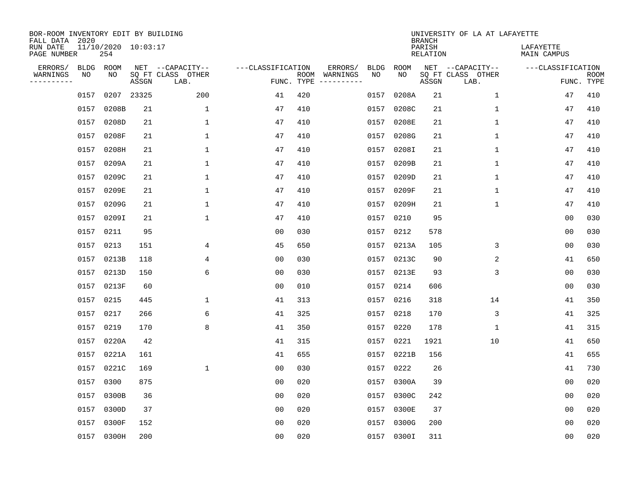| BOR-ROOM INVENTORY EDIT BY BUILDING<br>FALL DATA 2020 |           |                            |       |                           |                   |            |                              |      |             | <b>BRANCH</b>             | UNIVERSITY OF LA AT LAFAYETTE |                          |                           |
|-------------------------------------------------------|-----------|----------------------------|-------|---------------------------|-------------------|------------|------------------------------|------|-------------|---------------------------|-------------------------------|--------------------------|---------------------------|
| RUN DATE<br>PAGE NUMBER                               |           | 11/10/2020 10:03:17<br>254 |       |                           |                   |            |                              |      |             | PARISH<br><b>RELATION</b> |                               | LAFAYETTE<br>MAIN CAMPUS |                           |
| ERRORS/                                               | BLDG      | ROOM                       |       | NET --CAPACITY--          | ---CLASSIFICATION |            | ERRORS/                      | BLDG | <b>ROOM</b> |                           | NET --CAPACITY--              | ---CLASSIFICATION        |                           |
| WARNINGS<br>----------                                | ΝO        | NO                         | ASSGN | SQ FT CLASS OTHER<br>LAB. |                   | FUNC. TYPE | ROOM WARNINGS<br>----------- | NO   | NO          | ASSGN                     | SQ FT CLASS OTHER<br>LAB.     |                          | <b>ROOM</b><br>FUNC. TYPE |
|                                                       | 0157      | 0207 23325                 |       | 200                       | 41                | 420        |                              | 0157 | 0208A       | 21                        | $\mathbf 1$                   | 47                       | 410                       |
|                                                       |           | 0157 0208B                 | 21    | 1                         | 47                | 410        |                              | 0157 | 0208C       | 21                        | 1                             | 47                       | 410                       |
|                                                       | 0157      | 0208D                      | 21    | 1                         | 47                | 410        |                              | 0157 | 0208E       | 21                        | 1                             | 47                       | 410                       |
|                                                       |           | 0157 0208F                 | 21    | $\mathbf{1}$              | 47                | 410        |                              | 0157 | 0208G       | 21                        | $\mathbf 1$                   | 47                       | 410                       |
|                                                       |           | 0157 0208H                 | 21    | $\mathbf{1}$              | 47                | 410        |                              | 0157 | 0208I       | 21                        | $\mathbf{1}$                  | 47                       | 410                       |
|                                                       |           | 0157 0209A                 | 21    | 1                         | 47                | 410        |                              |      | 0157 0209B  | 21                        | $\mathbf 1$                   | 47                       | 410                       |
|                                                       |           | 0157 0209C                 | 21    | $\mathbf{1}$              | 47                | 410        |                              | 0157 | 0209D       | 21                        | $\mathbf{1}$                  | 47                       | 410                       |
|                                                       |           | 0157 0209E                 | 21    | $\mathbf{1}$              | 47                | 410        |                              |      | 0157 0209F  | 21                        | $\mathbf 1$                   | 47                       | 410                       |
|                                                       |           | 0157 0209G                 | 21    | 1                         | 47                | 410        |                              | 0157 | 0209H       | 21                        | $\mathbf{1}$                  | 47                       | 410                       |
|                                                       |           | 0157 0209I                 | 21    | $\mathbf{1}$              | 47                | 410        |                              |      | 0157 0210   | 95                        |                               | 0 <sub>0</sub>           | 030                       |
|                                                       | 0157 0211 |                            | 95    |                           | 0 <sub>0</sub>    | 030        |                              | 0157 | 0212        | 578                       |                               | 0 <sub>0</sub>           | 030                       |
|                                                       | 0157 0213 |                            | 151   | 4                         | 45                | 650        |                              |      | 0157 0213A  | 105                       | 3                             | 0 <sub>0</sub>           | 030                       |
|                                                       |           | 0157 0213B                 | 118   | 4                         | 00                | 030        |                              | 0157 | 0213C       | 90                        | 2                             | 41                       | 650                       |
|                                                       |           | 0157 0213D                 | 150   | 6                         | 00                | 030        |                              |      | 0157 0213E  | 93                        | 3                             | 00                       | 030                       |
|                                                       |           | 0157 0213F                 | 60    |                           | 00                | 010        |                              | 0157 | 0214        | 606                       |                               | 0 <sub>0</sub>           | 030                       |
|                                                       | 0157 0215 |                            | 445   | 1                         | 41                | 313        |                              | 0157 | 0216        | 318                       | 14                            | 41                       | 350                       |
|                                                       | 0157 0217 |                            | 266   | 6                         | 41                | 325        |                              | 0157 | 0218        | 170                       | 3                             | 41                       | 325                       |
|                                                       | 0157 0219 |                            | 170   | 8                         | 41                | 350        |                              | 0157 | 0220        | 178                       | 1                             | 41                       | 315                       |
|                                                       |           | 0157 0220A                 | 42    |                           | 41                | 315        |                              | 0157 | 0221        | 1921                      | 10                            | 41                       | 650                       |
|                                                       |           | 0157 0221A                 | 161   |                           | 41                | 655        |                              | 0157 | 0221B       | 156                       |                               | 41                       | 655                       |
|                                                       |           | 0157 0221C                 | 169   | $\mathbf{1}$              | 0 <sub>0</sub>    | 030        |                              | 0157 | 0222        | 26                        |                               | 41                       | 730                       |
|                                                       | 0157      | 0300                       | 875   |                           | 0 <sub>0</sub>    | 020        |                              | 0157 | 0300A       | 39                        |                               | 0 <sub>0</sub>           | 020                       |
|                                                       |           | 0157 0300B                 | 36    |                           | 00                | 020        |                              | 0157 | 0300C       | 242                       |                               | 0 <sub>0</sub>           | 020                       |
|                                                       | 0157      | 0300D                      | 37    |                           | 00                | 020        |                              | 0157 | 0300E       | 37                        |                               | 00                       | 020                       |
|                                                       | 0157      | 0300F                      | 152   |                           | 0 <sub>0</sub>    | 020        |                              | 0157 | 0300G       | 200                       |                               | 0 <sub>0</sub>           | 020                       |
|                                                       |           | 0157 0300H                 | 200   |                           | 0 <sub>0</sub>    | 020        |                              |      | 0157 0300I  | 311                       |                               | 0 <sub>0</sub>           | 020                       |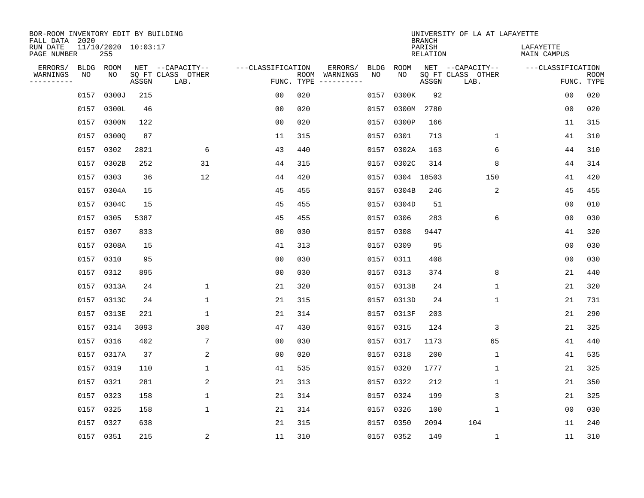| BOR-ROOM INVENTORY EDIT BY BUILDING<br>FALL DATA 2020 |      |                            |       |                           |                   |      |                         |      |             | <b>BRANCH</b>             | UNIVERSITY OF LA AT LAFAYETTE |                          |                           |
|-------------------------------------------------------|------|----------------------------|-------|---------------------------|-------------------|------|-------------------------|------|-------------|---------------------------|-------------------------------|--------------------------|---------------------------|
| RUN DATE<br>PAGE NUMBER                               |      | 11/10/2020 10:03:17<br>255 |       |                           |                   |      |                         |      |             | PARISH<br><b>RELATION</b> |                               | LAFAYETTE<br>MAIN CAMPUS |                           |
| ERRORS/                                               | BLDG | ROOM                       |       | NET --CAPACITY--          | ---CLASSIFICATION |      | ERRORS/                 | BLDG | <b>ROOM</b> |                           | NET --CAPACITY--              | ---CLASSIFICATION        |                           |
| WARNINGS<br>-----------                               | NO   | NO                         | ASSGN | SQ FT CLASS OTHER<br>LAB. | FUNC. TYPE        | ROOM | WARNINGS<br>----------- | NO   | NO          | ASSGN                     | SQ FT CLASS OTHER<br>LAB.     |                          | <b>ROOM</b><br>FUNC. TYPE |
|                                                       | 0157 | 0300J                      | 215   |                           | 00                | 020  |                         | 0157 | 0300K       | 92                        |                               | 00                       | 020                       |
|                                                       | 0157 | 0300L                      | 46    |                           | 00                | 020  |                         | 0157 | 0300M       | 2780                      |                               | 0 <sub>0</sub>           | 020                       |
|                                                       | 0157 | 0300N                      | 122   |                           | 0 <sub>0</sub>    | 020  |                         | 0157 | 0300P       | 166                       |                               | 11                       | 315                       |
|                                                       | 0157 | 0300Q                      | 87    |                           | 11                | 315  |                         | 0157 | 0301        | 713                       | 1                             | 41                       | 310                       |
|                                                       | 0157 | 0302                       | 2821  | 6                         | 43                | 440  |                         | 0157 | 0302A       | 163                       | 6                             | 44                       | 310                       |
|                                                       | 0157 | 0302B                      | 252   | 31                        | 44                | 315  |                         |      | 0157 0302C  | 314                       | 8                             | 44                       | 314                       |
|                                                       | 0157 | 0303                       | 36    | 12                        | 44                | 420  |                         | 0157 | 0304 18503  |                           | 150                           | 41                       | 420                       |
|                                                       | 0157 | 0304A                      | 15    |                           | 45                | 455  |                         | 0157 | 0304B       | 246                       | 2                             | 45                       | 455                       |
|                                                       | 0157 | 0304C                      | 15    |                           | 45                | 455  |                         | 0157 | 0304D       | 51                        |                               | 0 <sub>0</sub>           | 010                       |
|                                                       |      | 0157 0305                  | 5387  |                           | 45                | 455  |                         | 0157 | 0306        | 283                       | 6                             | 0 <sub>0</sub>           | 030                       |
|                                                       | 0157 | 0307                       | 833   |                           | 0 <sub>0</sub>    | 030  |                         | 0157 | 0308        | 9447                      |                               | 41                       | 320                       |
|                                                       |      | 0157 0308A                 | 15    |                           | 41                | 313  |                         | 0157 | 0309        | 95                        |                               | 0 <sub>0</sub>           | 030                       |
|                                                       | 0157 | 0310                       | 95    |                           | 0 <sub>0</sub>    | 030  |                         | 0157 | 0311        | 408                       |                               | 0 <sub>0</sub>           | 030                       |
|                                                       | 0157 | 0312                       | 895   |                           | 0 <sub>0</sub>    | 030  |                         | 0157 | 0313        | 374                       | 8                             | 21                       | 440                       |
|                                                       | 0157 | 0313A                      | 24    | $\mathbf 1$               | 21                | 320  |                         | 0157 | 0313B       | 24                        | 1                             | 21                       | 320                       |
|                                                       | 0157 | 0313C                      | 24    | $\mathbf 1$               | 21                | 315  |                         | 0157 | 0313D       | 24                        | 1                             | 21                       | 731                       |
|                                                       | 0157 | 0313E                      | 221   | 1                         | 21                | 314  |                         | 0157 | 0313F       | 203                       |                               | 21                       | 290                       |
|                                                       | 0157 | 0314                       | 3093  | 308                       | 47                | 430  |                         | 0157 | 0315        | 124                       | 3                             | 21                       | 325                       |
|                                                       | 0157 | 0316                       | 402   | 7                         | 0 <sub>0</sub>    | 030  |                         | 0157 | 0317        | 1173                      | 65                            | 41                       | 440                       |
|                                                       | 0157 | 0317A                      | 37    | 2                         | 0 <sub>0</sub>    | 020  |                         | 0157 | 0318        | 200                       | 1                             | 41                       | 535                       |
|                                                       | 0157 | 0319                       | 110   | 1                         | 41                | 535  |                         | 0157 | 0320        | 1777                      | 1                             | 21                       | 325                       |
|                                                       | 0157 | 0321                       | 281   | 2                         | 21                | 313  |                         | 0157 | 0322        | 212                       | 1                             | 21                       | 350                       |
|                                                       | 0157 | 0323                       | 158   | 1                         | 21                | 314  |                         | 0157 | 0324        | 199                       | 3                             | 21                       | 325                       |
|                                                       | 0157 | 0325                       | 158   | $\mathbf{1}$              | 21                | 314  |                         | 0157 | 0326        | 100                       | 1                             | 0 <sub>0</sub>           | 030                       |
|                                                       | 0157 | 0327                       | 638   |                           | 21                | 315  |                         | 0157 | 0350        | 2094                      | 104                           | 11                       | 240                       |
|                                                       |      | 0157 0351                  | 215   | $\overline{a}$            | 11                | 310  |                         |      | 0157 0352   | 149                       | 1                             | 11                       | 310                       |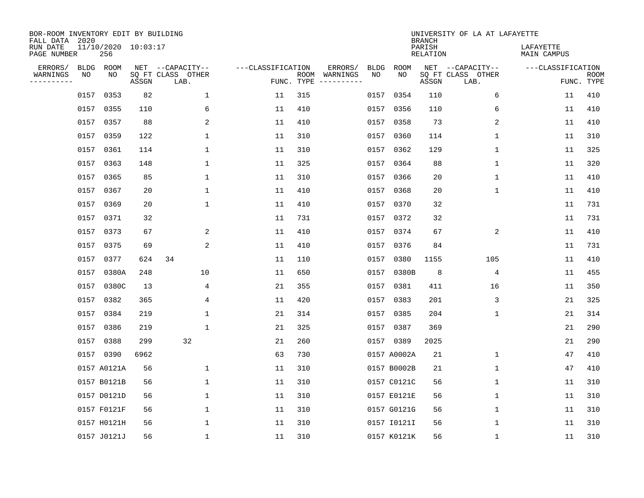| BOR-ROOM INVENTORY EDIT BY BUILDING<br>FALL DATA 2020 |                            |       |                           |                   |                    |                                                                                                                   |             | <b>BRANCH</b>             | UNIVERSITY OF LA AT LAFAYETTE |                          |                           |
|-------------------------------------------------------|----------------------------|-------|---------------------------|-------------------|--------------------|-------------------------------------------------------------------------------------------------------------------|-------------|---------------------------|-------------------------------|--------------------------|---------------------------|
| RUN DATE<br>PAGE NUMBER                               | 11/10/2020 10:03:17<br>256 |       |                           |                   |                    |                                                                                                                   |             | PARISH<br><b>RELATION</b> |                               | LAFAYETTE<br>MAIN CAMPUS |                           |
| ERRORS/<br><b>BLDG</b>                                | ROOM                       |       | NET --CAPACITY--          | ---CLASSIFICATION |                    | ERRORS/<br><b>BLDG</b>                                                                                            | <b>ROOM</b> |                           | NET --CAPACITY--              | ---CLASSIFICATION        |                           |
| WARNINGS<br>NO<br>----------                          | NO                         | ASSGN | SQ FT CLASS OTHER<br>LAB. |                   | ROOM<br>FUNC. TYPE | NO<br>WARNINGS<br>$\begin{tabular}{cccccc} - & - & - & - & - & - & - \\ & - & - & - & - & - & - \\ \end{tabular}$ | NO          | ASSGN                     | SQ FT CLASS OTHER<br>LAB.     |                          | <b>ROOM</b><br>FUNC. TYPE |
| 0157                                                  | 0353                       | 82    | $\mathbf{1}$              | 11                | 315                | 0157                                                                                                              | 0354        | 110                       | 6                             | 11                       | 410                       |
| 0157                                                  | 0355                       | 110   | 6                         | 11                | 410                | 0157                                                                                                              | 0356        | 110                       | 6                             | 11                       | 410                       |
| 0157                                                  | 0357                       | 88    | 2                         | 11                | 410                | 0157                                                                                                              | 0358        | 73                        | 2                             | 11                       | 410                       |
| 0157                                                  | 0359                       | 122   | 1                         | 11                | 310                | 0157                                                                                                              | 0360        | 114                       | 1                             | 11                       | 310                       |
| 0157                                                  | 0361                       | 114   | $\mathbf 1$               | 11                | 310                | 0157                                                                                                              | 0362        | 129                       | $\mathbf 1$                   | 11                       | 325                       |
| 0157                                                  | 0363                       | 148   | 1                         | 11                | 325                |                                                                                                                   | 0157 0364   | 88                        | 1                             | 11                       | 320                       |
| 0157                                                  | 0365                       | 85    | $\mathbf{1}$              | 11                | 310                | 0157                                                                                                              | 0366        | 20                        | $\mathbf{1}$                  | 11                       | 410                       |
| 0157                                                  | 0367                       | 20    | 1                         | 11                | 410                |                                                                                                                   | 0157 0368   | 20                        | $\mathbf{1}$                  | 11                       | 410                       |
| 0157                                                  | 0369                       | 20    | $\mathbf{1}$              | 11                | 410                | 0157                                                                                                              | 0370        | 32                        |                               | 11                       | 731                       |
| 0157                                                  | 0371                       | 32    |                           | 11                | 731                |                                                                                                                   | 0157 0372   | 32                        |                               | 11                       | 731                       |
| 0157                                                  | 0373                       | 67    | 2                         | 11                | 410                | 0157                                                                                                              | 0374        | 67                        | 2                             | 11                       | 410                       |
| 0157                                                  | 0375                       | 69    | 2                         | 11                | 410                |                                                                                                                   | 0157 0376   | 84                        |                               | 11                       | 731                       |
| 0157                                                  | 0377                       | 624   | 34                        | 11                | 110                | 0157                                                                                                              | 0380        | 1155                      | 105                           | 11                       | 410                       |
| 0157                                                  | 0380A                      | 248   | 10                        | 11                | 650                | 0157                                                                                                              | 0380B       | 8                         | 4                             | 11                       | 455                       |
| 0157                                                  | 0380C                      | 13    | 4                         | 21                | 355                | 0157                                                                                                              | 0381        | 411                       | 16                            | 11                       | 350                       |
| 0157                                                  | 0382                       | 365   | 4                         | 11                | 420                | 0157                                                                                                              | 0383        | 201                       | 3                             | 21                       | 325                       |
| 0157                                                  | 0384                       | 219   | 1                         | 21                | 314                | 0157                                                                                                              | 0385        | 204                       | 1                             | 21                       | 314                       |
| 0157                                                  | 0386                       | 219   | 1                         | 21                | 325                | 0157                                                                                                              | 0387        | 369                       |                               | 21                       | 290                       |
| 0157                                                  | 0388                       | 299   | 32                        | 21                | 260                | 0157                                                                                                              | 0389        | 2025                      |                               | 21                       | 290                       |
| 0157                                                  | 0390                       | 6962  |                           | 63                | 730                |                                                                                                                   | 0157 A0002A | 21                        | 1                             | 47                       | 410                       |
|                                                       | 0157 A0121A                | 56    | 1                         | 11                | 310                |                                                                                                                   | 0157 B0002B | 21                        | 1                             | 47                       | 410                       |
|                                                       | 0157 B0121B                | 56    | 1                         | 11                | 310                |                                                                                                                   | 0157 C0121C | 56                        | 1                             | 11                       | 310                       |
|                                                       | 0157 D0121D                | 56    | $\mathbf 1$               | 11                | 310                |                                                                                                                   | 0157 E0121E | 56                        | 1                             | 11                       | 310                       |
|                                                       | 0157 F0121F                | 56    | $\mathbf 1$               | 11                | 310                |                                                                                                                   | 0157 G0121G | 56                        | $\mathbf 1$                   | 11                       | 310                       |
|                                                       | 0157 H0121H                | 56    | 1                         | 11                | 310                |                                                                                                                   | 0157 I0121I | 56                        | 1                             | 11                       | 310                       |
|                                                       | 0157 J0121J                | 56    | 1                         | 11                | 310                |                                                                                                                   | 0157 K0121K | 56                        | 1                             | 11                       | 310                       |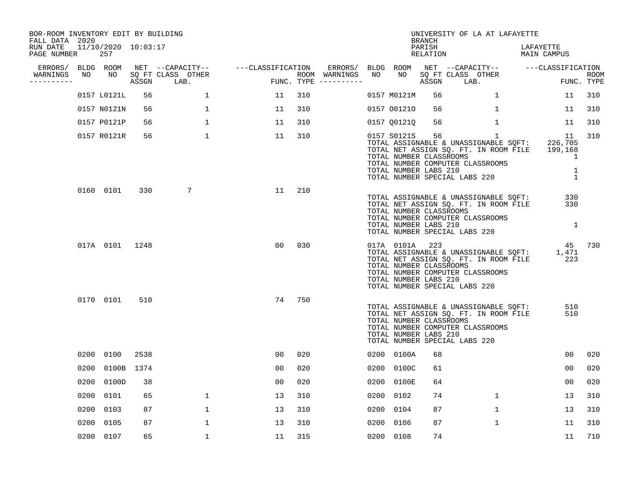| BOR-ROOM INVENTORY EDIT BY BUILDING<br>FALL DATA 2020 |      |                            |       |                           |                                     |     |                                      |      |                                                                    | BRANCH             | UNIVERSITY OF LA AT LAFAYETTE                                                                                                                                               |                              |                           |
|-------------------------------------------------------|------|----------------------------|-------|---------------------------|-------------------------------------|-----|--------------------------------------|------|--------------------------------------------------------------------|--------------------|-----------------------------------------------------------------------------------------------------------------------------------------------------------------------------|------------------------------|---------------------------|
| RUN DATE<br>PAGE NUMBER                               |      | 11/10/2020 10:03:17<br>257 |       |                           |                                     |     |                                      |      |                                                                    | PARISH<br>RELATION |                                                                                                                                                                             | LAFAYETTE<br>MAIN CAMPUS     |                           |
| ERRORS/                                               |      | BLDG ROOM                  |       |                           | NET --CAPACITY-- ----CLASSIFICATION |     | ERRORS/ BLDG ROOM                    |      |                                                                    |                    | NET --CAPACITY-- ---CLASSIFICATION                                                                                                                                          |                              |                           |
| WARNINGS<br>----------                                | NO   | NO                         | ASSGN | SQ FT CLASS OTHER<br>LAB. |                                     |     | ROOM WARNINGS<br>FUNC. TYPE $------$ | NO   | NO                                                                 | ASSGN              | SQ FT CLASS OTHER<br>LAB.                                                                                                                                                   |                              | <b>ROOM</b><br>FUNC. TYPE |
|                                                       |      | 0157 L0121L                | 56    | $\mathbf{1}$              | 11                                  | 310 |                                      |      | 0157 M0121M                                                        | 56                 | $\mathbf{1}$                                                                                                                                                                | 11                           | 310                       |
|                                                       |      | 0157 N0121N                | 56    | $\mathbf{1}$              | 11                                  | 310 |                                      |      | 0157 001210                                                        | 56                 | $\mathbf{1}$                                                                                                                                                                | 11                           | 310                       |
|                                                       |      | 0157 P0121P                | 56    | $\mathbf{1}$              | 11                                  | 310 |                                      |      | 0157 Q0121Q                                                        | 56                 | $\mathbf{1}$                                                                                                                                                                | 11                           | 310                       |
|                                                       |      | 0157 R0121R                | 56    | $\mathbf{1}$              | 11                                  | 310 |                                      |      | 0157 S0121S<br>TOTAL NUMBER CLASSROOMS<br>TOTAL NUMBER LABS 210    | 56                 | $\mathbf{1}$<br>TOTAL ASSIGNABLE & UNASSIGNABLE SQFT:<br>TOTAL NET ASSIGN SQ. FT. IN ROOM FILE 199,168<br>TOTAL NUMBER COMPUTER CLASSROOMS<br>TOTAL NUMBER SPECIAL LABS 220 | 11<br>226,705<br>1<br>1<br>1 | 310                       |
|                                                       |      | 0160 0101                  | 330   | 7                         | 11                                  | 210 |                                      |      | TOTAL NUMBER CLASSROOMS<br>TOTAL NUMBER LABS 210                   |                    | TOTAL ASSIGNABLE & UNASSIGNABLE SOFT:<br>TOTAL NET ASSIGN SQ. FT. IN ROOM FILE<br>TOTAL NUMBER COMPUTER CLASSROOMS<br>TOTAL NUMBER SPECIAL LABS 220                         | 330<br>330<br>$\overline{1}$ |                           |
|                                                       |      | 017A 0101 1248             |       |                           | 00                                  | 030 |                                      |      | 017A 0101A 223<br>TOTAL NUMBER CLASSROOMS<br>TOTAL NUMBER LABS 210 |                    | TOTAL ASSIGNABLE & UNASSIGNABLE SQFT:<br>TOTAL NET ASSIGN SQ. FT. IN ROOM FILE<br>TOTAL NUMBER COMPUTER CLASSROOMS<br>TOTAL NUMBER SPECIAL LABS 220                         | 45<br>1,471<br>223           | 730                       |
|                                                       |      | 0170 0101                  | 510   |                           | 74                                  | 750 |                                      |      | TOTAL NUMBER CLASSROOMS<br>TOTAL NUMBER LABS 210                   |                    | TOTAL ASSIGNABLE & UNASSIGNABLE SQFT:<br>TOTAL NET ASSIGN SQ. FT. IN ROOM FILE<br>TOTAL NUMBER COMPUTER CLASSROOMS<br>TOTAL NUMBER SPECIAL LABS 220                         | 510<br>510                   |                           |
|                                                       |      | 0200 0100                  | 2538  |                           | 00                                  | 020 |                                      |      | 0200 0100A                                                         | 68                 |                                                                                                                                                                             | 00                           | 020                       |
|                                                       | 0200 | 0100B 1374                 |       |                           | 00                                  | 020 |                                      | 0200 | 0100C                                                              | 61                 |                                                                                                                                                                             | 0 <sub>0</sub>               | 020                       |
|                                                       | 0200 | 0100D                      | 38    |                           | 0 <sub>0</sub>                      | 020 |                                      | 0200 | 0100E                                                              | 64                 |                                                                                                                                                                             | 00                           | 020                       |
|                                                       | 0200 | 0101                       | 65    | $\mathbf{1}$              | 13                                  | 310 |                                      | 0200 | 0102                                                               | 74                 | $\mathbf{1}$                                                                                                                                                                | 13                           | 310                       |
|                                                       | 0200 | 0103                       | 87    | 1                         | 13                                  | 310 |                                      | 0200 | 0104                                                               | 87                 | $\mathbf{1}$                                                                                                                                                                | 13                           | 310                       |
|                                                       | 0200 | 0105                       | 87    | $\mathbf{1}$              | 13                                  | 310 |                                      | 0200 | 0106                                                               | 87                 | $\mathbf{1}$                                                                                                                                                                | 11                           | 310                       |
|                                                       |      | 0200 0107                  | 65    | 1                         | 11                                  | 315 |                                      |      | 0200 0108                                                          | 74                 |                                                                                                                                                                             | 11                           | 710                       |
|                                                       |      |                            |       |                           |                                     |     |                                      |      |                                                                    |                    |                                                                                                                                                                             |                              |                           |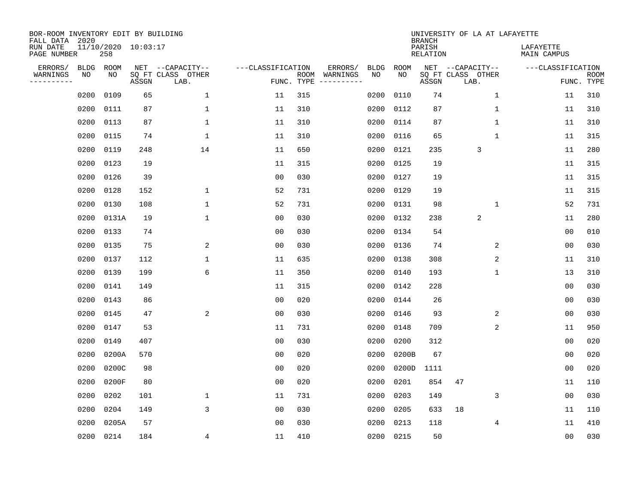| BOR-ROOM INVENTORY EDIT BY BUILDING<br>FALL DATA 2020 |             |       |                     |                           |                   |                    |                         |             |             | <b>BRANCH</b>             | UNIVERSITY OF LA AT LAFAYETTE |                                 |                           |
|-------------------------------------------------------|-------------|-------|---------------------|---------------------------|-------------------|--------------------|-------------------------|-------------|-------------|---------------------------|-------------------------------|---------------------------------|---------------------------|
| RUN DATE<br>PAGE NUMBER                               |             | 258   | 11/10/2020 10:03:17 |                           |                   |                    |                         |             |             | PARISH<br><b>RELATION</b> |                               | LAFAYETTE<br><b>MAIN CAMPUS</b> |                           |
| ERRORS/                                               | <b>BLDG</b> | ROOM  |                     | NET --CAPACITY--          | ---CLASSIFICATION |                    | ERRORS/                 | <b>BLDG</b> | <b>ROOM</b> |                           | NET --CAPACITY--              | ---CLASSIFICATION               |                           |
| WARNINGS<br>----------                                | NO          | NO    | ASSGN               | SQ FT CLASS OTHER<br>LAB. |                   | ROOM<br>FUNC. TYPE | WARNINGS<br>----------- | NO          | NO          | ASSGN                     | SQ FT CLASS OTHER<br>LAB.     |                                 | <b>ROOM</b><br>FUNC. TYPE |
|                                                       | 0200        | 0109  | 65                  | $\mathbf{1}$              | 11                | 315                |                         | 0200        | 0110        | 74                        | 1                             | 11                              | 310                       |
|                                                       | 0200        | 0111  | 87                  | 1                         | 11                | 310                |                         | 0200        | 0112        | 87                        | 1                             | 11                              | 310                       |
|                                                       | 0200        | 0113  | 87                  | $\mathbf 1$               | 11                | 310                |                         | 0200        | 0114        | 87                        | 1                             | 11                              | 310                       |
|                                                       | 0200        | 0115  | 74                  | $\mathbf{1}$              | 11                | 310                |                         | 0200        | 0116        | 65                        | 1                             | 11                              | 315                       |
|                                                       | 0200        | 0119  | 248                 | 14                        | 11                | 650                |                         | 0200        | 0121        | 235                       | 3                             | 11                              | 280                       |
|                                                       | 0200        | 0123  | 19                  |                           | 11                | 315                |                         | 0200        | 0125        | 19                        |                               | 11                              | 315                       |
|                                                       | 0200        | 0126  | 39                  |                           | 0 <sub>0</sub>    | 030                |                         | 0200        | 0127        | 19                        |                               | 11                              | 315                       |
|                                                       | 0200        | 0128  | 152                 | $\mathbf{1}$              | 52                | 731                |                         | 0200        | 0129        | 19                        |                               | 11                              | 315                       |
|                                                       | 0200        | 0130  | 108                 | $\mathbf{1}$              | 52                | 731                |                         | 0200        | 0131        | 98                        | $\mathbf{1}$                  | 52                              | 731                       |
|                                                       | 0200        | 0131A | 19                  | $\mathbf{1}$              | 00                | 030                |                         | 0200        | 0132        | 238                       | 2                             | 11                              | 280                       |
|                                                       | 0200        | 0133  | 74                  |                           | 0 <sub>0</sub>    | 030                |                         | 0200        | 0134        | 54                        |                               | 0 <sub>0</sub>                  | 010                       |
|                                                       | 0200        | 0135  | 75                  | 2                         | 0 <sub>0</sub>    | 030                |                         | 0200        | 0136        | 74                        | 2                             | 0 <sub>0</sub>                  | 030                       |
|                                                       | 0200        | 0137  | 112                 | $\mathbf 1$               | 11                | 635                |                         | 0200        | 0138        | 308                       | 2                             | 11                              | 310                       |
|                                                       | 0200        | 0139  | 199                 | 6                         | 11                | 350                |                         | 0200        | 0140        | 193                       | 1                             | 13                              | 310                       |
|                                                       | 0200        | 0141  | 149                 |                           | 11                | 315                |                         | 0200        | 0142        | 228                       |                               | 0 <sub>0</sub>                  | 030                       |
|                                                       | 0200        | 0143  | 86                  |                           | 0 <sub>0</sub>    | 020                |                         | 0200        | 0144        | 26                        |                               | 0 <sub>0</sub>                  | 030                       |
|                                                       | 0200        | 0145  | 47                  | 2                         | 0 <sub>0</sub>    | 030                |                         | 0200        | 0146        | 93                        | 2                             | 0 <sub>0</sub>                  | 030                       |
|                                                       | 0200        | 0147  | 53                  |                           | 11                | 731                |                         | 0200        | 0148        | 709                       | 2                             | 11                              | 950                       |
|                                                       | 0200        | 0149  | 407                 |                           | 0 <sub>0</sub>    | 030                |                         | 0200        | 0200        | 312                       |                               | 0 <sub>0</sub>                  | 020                       |
|                                                       | 0200        | 0200A | 570                 |                           | 0 <sub>0</sub>    | 020                |                         | 0200        | 0200B       | 67                        |                               | 0 <sub>0</sub>                  | 020                       |
|                                                       | 0200        | 0200C | 98                  |                           | 0 <sub>0</sub>    | 020                |                         | 0200        | 0200D       | 1111                      |                               | 0 <sub>0</sub>                  | 020                       |
|                                                       | 0200        | 0200F | 80                  |                           | 0 <sub>0</sub>    | 020                |                         | 0200        | 0201        | 854                       | 47                            | 11                              | 110                       |
|                                                       | 0200        | 0202  | 101                 | 1                         | 11                | 731                |                         | 0200        | 0203        | 149                       | 3                             | 0 <sub>0</sub>                  | 030                       |
|                                                       | 0200        | 0204  | 149                 | 3                         | 0 <sub>0</sub>    | 030                |                         | 0200        | 0205        | 633                       | 18                            | 11                              | 110                       |
|                                                       | 0200        | 0205A | 57                  |                           | 0 <sub>0</sub>    | 030                |                         | 0200        | 0213        | 118                       | 4                             | 11                              | 410                       |
|                                                       | 0200        | 0214  | 184                 | 4                         | 11                | 410                |                         |             | 0200 0215   | 50                        |                               | 00                              | 030                       |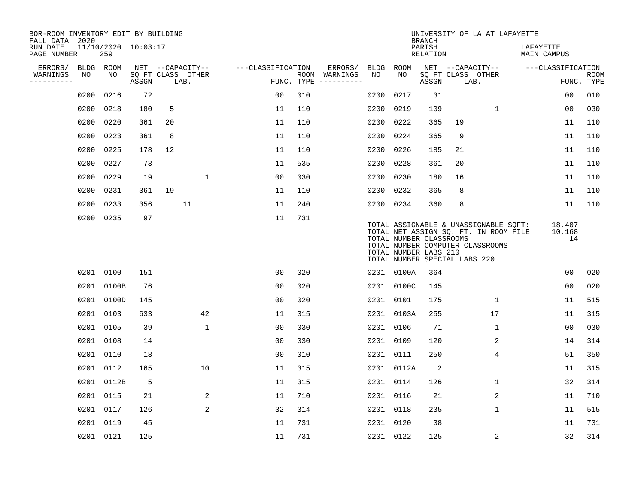| BOR-ROOM INVENTORY EDIT BY BUILDING<br>FALL DATA 2020 |             |           |                     |      |                   |                   |            |                                                                                                                                                                                                                                                                                                                                                                                                                                                                                              |             |                                                  | <b>BRANCH</b>             |                               | UNIVERSITY OF LA AT LAFAYETTE                                                                                      |                          |                        |                           |
|-------------------------------------------------------|-------------|-----------|---------------------|------|-------------------|-------------------|------------|----------------------------------------------------------------------------------------------------------------------------------------------------------------------------------------------------------------------------------------------------------------------------------------------------------------------------------------------------------------------------------------------------------------------------------------------------------------------------------------------|-------------|--------------------------------------------------|---------------------------|-------------------------------|--------------------------------------------------------------------------------------------------------------------|--------------------------|------------------------|---------------------------|
| RUN DATE<br>PAGE NUMBER                               |             | 259       | 11/10/2020 10:03:17 |      |                   |                   |            |                                                                                                                                                                                                                                                                                                                                                                                                                                                                                              |             |                                                  | PARISH<br><b>RELATION</b> |                               |                                                                                                                    | LAFAYETTE<br>MAIN CAMPUS |                        |                           |
| ERRORS/                                               | <b>BLDG</b> | ROOM      |                     |      | NET --CAPACITY--  | ---CLASSIFICATION |            | ERRORS/                                                                                                                                                                                                                                                                                                                                                                                                                                                                                      | <b>BLDG</b> | ROOM                                             |                           | NET --CAPACITY--              |                                                                                                                    |                          | ---CLASSIFICATION      |                           |
| WARNINGS<br>----------                                | NO          | NO        | ASSGN               | LAB. | SQ FT CLASS OTHER |                   | FUNC. TYPE | ROOM WARNINGS<br>$\begin{tabular}{ccccccccc} \multicolumn{2}{c }{\multicolumn{2}{c }{\multicolumn{2}{c }{\multicolumn{2}{c }{\multicolumn{2}{c}}}} & \multicolumn{2}{c }{\multicolumn{2}{c }{\multicolumn{2}{c }{\multicolumn{2}{c}}}} & \multicolumn{2}{c }{\multicolumn{2}{c }{\multicolumn{2}{c }{\multicolumn{2}{c}}}} & \multicolumn{2}{c }{\multicolumn{2}{c }{\multicolumn{2}{c }{\multicolumn{2}{c}}}} & \multicolumn{2}{c }{\multicolumn{2}{c }{\multicolumn{2}{c }{\multicolumn{2$ | NO          | NO                                               | ASSGN                     | SQ FT CLASS OTHER<br>LAB.     |                                                                                                                    |                          |                        | <b>ROOM</b><br>FUNC. TYPE |
|                                                       | 0200        | 0216      | 72                  |      |                   | 00                | 010        |                                                                                                                                                                                                                                                                                                                                                                                                                                                                                              | 0200        | 0217                                             | 31                        |                               |                                                                                                                    |                          | 0 <sub>0</sub>         | 010                       |
|                                                       | 0200        | 0218      | 180                 | 5    |                   | 11                | 110        |                                                                                                                                                                                                                                                                                                                                                                                                                                                                                              | 0200        | 0219                                             | 109                       |                               | $\mathbf 1$                                                                                                        |                          | 00                     | 030                       |
|                                                       | 0200        | 0220      | 361                 | 20   |                   | 11                | 110        |                                                                                                                                                                                                                                                                                                                                                                                                                                                                                              | 0200        | 0222                                             | 365                       | 19                            |                                                                                                                    |                          | 11                     | 110                       |
|                                                       | 0200        | 0223      | 361                 | 8    |                   | 11                | 110        |                                                                                                                                                                                                                                                                                                                                                                                                                                                                                              | 0200        | 0224                                             | 365                       | 9                             |                                                                                                                    |                          | 11                     | 110                       |
|                                                       | 0200        | 0225      | 178                 | 12   |                   | 11                | 110        |                                                                                                                                                                                                                                                                                                                                                                                                                                                                                              | 0200        | 0226                                             | 185                       | 21                            |                                                                                                                    |                          | 11                     | 110                       |
|                                                       | 0200        | 0227      | 73                  |      |                   | 11                | 535        |                                                                                                                                                                                                                                                                                                                                                                                                                                                                                              | 0200        | 0228                                             | 361                       | 20                            |                                                                                                                    |                          | 11                     | 110                       |
|                                                       | 0200        | 0229      | 19                  |      | $\mathbf{1}$      | 0 <sub>0</sub>    | 030        |                                                                                                                                                                                                                                                                                                                                                                                                                                                                                              | 0200        | 0230                                             | 180                       | 16                            |                                                                                                                    |                          | 11                     | 110                       |
|                                                       | 0200        | 0231      | 361                 | 19   |                   | 11                | 110        |                                                                                                                                                                                                                                                                                                                                                                                                                                                                                              | 0200        | 0232                                             | 365                       | 8                             |                                                                                                                    |                          | 11                     | 110                       |
|                                                       | 0200        | 0233      | 356                 |      | 11                | 11                | 240        |                                                                                                                                                                                                                                                                                                                                                                                                                                                                                              | 0200        | 0234                                             | 360                       | 8                             |                                                                                                                    |                          | 11                     | 110                       |
|                                                       | 0200        | 0235      | 97                  |      |                   | 11                | 731        |                                                                                                                                                                                                                                                                                                                                                                                                                                                                                              |             | TOTAL NUMBER CLASSROOMS<br>TOTAL NUMBER LABS 210 |                           | TOTAL NUMBER SPECIAL LABS 220 | TOTAL ASSIGNABLE & UNASSIGNABLE SOFT:<br>TOTAL NET ASSIGN SQ. FT. IN ROOM FILE<br>TOTAL NUMBER COMPUTER CLASSROOMS |                          | 18,407<br>10,168<br>14 |                           |
|                                                       | 0201        | 0100      | 151                 |      |                   | 00                | 020        |                                                                                                                                                                                                                                                                                                                                                                                                                                                                                              |             | 0201 0100A                                       | 364                       |                               |                                                                                                                    |                          | 00                     | 020                       |
|                                                       | 0201        | 0100B     | 76                  |      |                   | 0 <sub>0</sub>    | 020        |                                                                                                                                                                                                                                                                                                                                                                                                                                                                                              | 0201        | 0100C                                            | 145                       |                               |                                                                                                                    |                          | 0 <sub>0</sub>         | 020                       |
|                                                       | 0201        | 0100D     | 145                 |      |                   | 0 <sub>0</sub>    | 020        |                                                                                                                                                                                                                                                                                                                                                                                                                                                                                              | 0201 0101   |                                                  | 175                       |                               | $\mathbf{1}$                                                                                                       |                          | 11                     | 515                       |
|                                                       | 0201        | 0103      | 633                 |      | 42                | 11                | 315        |                                                                                                                                                                                                                                                                                                                                                                                                                                                                                              |             | 0201 0103A                                       | 255                       |                               | 17                                                                                                                 |                          | 11                     | 315                       |
|                                                       | 0201        | 0105      | 39                  |      | $\mathbf 1$       | 0 <sub>0</sub>    | 030        |                                                                                                                                                                                                                                                                                                                                                                                                                                                                                              | 0201 0106   |                                                  | 71                        |                               | $\mathbf 1$                                                                                                        |                          | 0 <sub>0</sub>         | 030                       |
|                                                       | 0201        | 0108      | 14                  |      |                   | 0 <sub>0</sub>    | 030        |                                                                                                                                                                                                                                                                                                                                                                                                                                                                                              | 0201 0109   |                                                  | 120                       |                               | 2                                                                                                                  |                          | 14                     | 314                       |
|                                                       | 0201        | 0110      | 18                  |      |                   | 0 <sub>0</sub>    | 010        |                                                                                                                                                                                                                                                                                                                                                                                                                                                                                              |             | 0201 0111                                        | 250                       |                               | 4                                                                                                                  |                          | 51                     | 350                       |
|                                                       | 0201        | 0112      | 165                 |      | 10                | 11                | 315        |                                                                                                                                                                                                                                                                                                                                                                                                                                                                                              |             | 0201 0112A                                       | $\overline{2}$            |                               |                                                                                                                    |                          | 11                     | 315                       |
|                                                       | 0201        | 0112B     | 5                   |      |                   | 11                | 315        |                                                                                                                                                                                                                                                                                                                                                                                                                                                                                              | 0201 0114   |                                                  | 126                       |                               | 1                                                                                                                  |                          | 32                     | 314                       |
|                                                       |             | 0201 0115 | 21                  |      | 2                 | 11                | 710        |                                                                                                                                                                                                                                                                                                                                                                                                                                                                                              | 0201 0116   |                                                  | 21                        |                               | 2                                                                                                                  |                          | 11                     | 710                       |
|                                                       | 0201        | 0117      | 126                 |      | 2                 | 32                | 314        |                                                                                                                                                                                                                                                                                                                                                                                                                                                                                              | 0201        | 0118                                             | 235                       |                               | $\mathbf{1}$                                                                                                       |                          | 11                     | 515                       |
|                                                       | 0201        | 0119      | 45                  |      |                   | 11                | 731        |                                                                                                                                                                                                                                                                                                                                                                                                                                                                                              | 0201 0120   |                                                  | 38                        |                               |                                                                                                                    |                          | 11                     | 731                       |
|                                                       |             | 0201 0121 | 125                 |      |                   | 11                | 731        |                                                                                                                                                                                                                                                                                                                                                                                                                                                                                              | 0201 0122   |                                                  | 125                       |                               | 2                                                                                                                  |                          | 32                     | 314                       |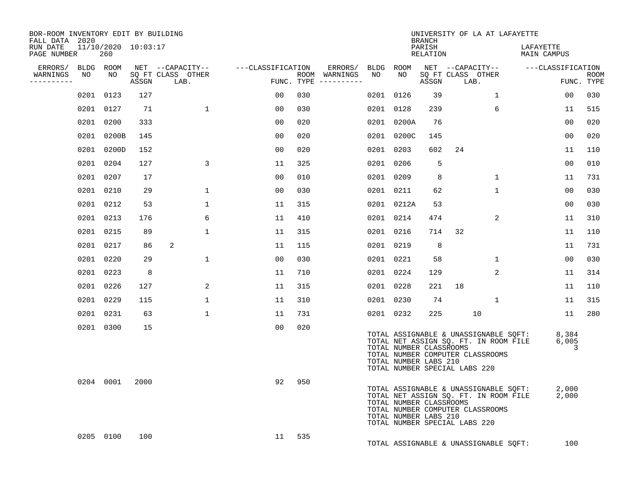| BOR-ROOM INVENTORY EDIT BY BUILDING<br>FALL DATA 2020 |           |                            |       |                           |                   |     |                                      |    |                                                  | <b>BRANCH</b>      | UNIVERSITY OF LA AT LAFAYETTE                                                                                                                       |                |                          |                     |                           |
|-------------------------------------------------------|-----------|----------------------------|-------|---------------------------|-------------------|-----|--------------------------------------|----|--------------------------------------------------|--------------------|-----------------------------------------------------------------------------------------------------------------------------------------------------|----------------|--------------------------|---------------------|---------------------------|
| RUN DATE<br>PAGE NUMBER                               |           | 11/10/2020 10:03:17<br>260 |       |                           |                   |     |                                      |    |                                                  | PARISH<br>RELATION |                                                                                                                                                     |                | LAFAYETTE<br>MAIN CAMPUS |                     |                           |
| ERRORS/ BLDG ROOM                                     |           |                            |       | NET --CAPACITY--          | ---CLASSIFICATION |     | ERRORS/ BLDG ROOM                    |    |                                                  |                    | NET --CAPACITY--                                                                                                                                    |                | ---CLASSIFICATION        |                     |                           |
| WARNINGS<br>----------                                | NO        | NO                         | ASSGN | SQ FT CLASS OTHER<br>LAB. |                   |     | ROOM WARNINGS<br>FUNC. TYPE $------$ | NO | NO                                               | ASSGN              | SQ FT CLASS OTHER<br>LAB.                                                                                                                           |                |                          |                     | <b>ROOM</b><br>FUNC. TYPE |
|                                                       |           | 0201 0123                  | 127   |                           | 00                | 030 |                                      |    | 0201 0126                                        | 39                 |                                                                                                                                                     | $\mathbf{1}$   |                          | 00                  | 030                       |
|                                                       |           | 0201 0127                  | 71    | $\mathbf{1}$              | 0 <sub>0</sub>    | 030 |                                      |    | 0201 0128                                        | 239                |                                                                                                                                                     | 6              |                          | 11                  | 515                       |
|                                                       |           | 0201 0200                  | 333   |                           | 0 <sub>0</sub>    | 020 |                                      |    | 0201 0200A                                       | 76                 |                                                                                                                                                     |                |                          | 0 <sub>0</sub>      | 020                       |
|                                                       |           | 0201 0200B                 | 145   |                           | 0 <sub>0</sub>    | 020 |                                      |    | 0201 0200C                                       | 145                |                                                                                                                                                     |                |                          | 00                  | 020                       |
|                                                       |           | 0201 0200D                 | 152   |                           | 0 <sub>0</sub>    | 020 |                                      |    | 0201 0203                                        | 602                | 24                                                                                                                                                  |                |                          | 11                  | 110                       |
|                                                       |           | 0201 0204                  | 127   | 3                         | 11                | 325 |                                      |    | 0201 0206                                        | 5                  |                                                                                                                                                     |                |                          | 0 <sub>0</sub>      | 010                       |
|                                                       |           | 0201 0207                  | 17    |                           | 00                | 010 |                                      |    | 0201 0209                                        | 8                  |                                                                                                                                                     | $\mathbf{1}$   |                          | 11                  | 731                       |
|                                                       |           | 0201 0210                  | 29    | $\mathbf{1}$              | 0 <sub>0</sub>    | 030 |                                      |    | 0201 0211                                        | 62                 |                                                                                                                                                     | $\mathbf{1}$   |                          | 0 <sub>0</sub>      | 030                       |
|                                                       |           | 0201 0212                  | 53    | $\mathbf{1}$              | 11                | 315 |                                      |    | 0201 0212A                                       | 53                 |                                                                                                                                                     |                |                          | 00                  | 030                       |
|                                                       |           | 0201 0213                  | 176   | 6                         | 11                | 410 |                                      |    | 0201 0214                                        | 474                |                                                                                                                                                     | $\overline{2}$ |                          | 11                  | 310                       |
|                                                       | 0201 0215 |                            | 89    | $\mathbf 1$               | 11                | 315 |                                      |    | 0201 0216                                        | 714                | 32                                                                                                                                                  |                |                          | 11                  | 110                       |
|                                                       |           | 0201 0217                  | 86    | 2                         | 11                | 115 |                                      |    | 0201 0219                                        | 8                  |                                                                                                                                                     |                |                          | 11                  | 731                       |
|                                                       | 0201 0220 |                            | 29    | $\mathbf{1}$              | 0 <sub>0</sub>    | 030 |                                      |    | 0201 0221                                        | 58                 |                                                                                                                                                     | $\mathbf{1}$   |                          | 0 <sub>0</sub>      | 030                       |
|                                                       |           | 0201 0223                  | 8     |                           | 11                | 710 |                                      |    | 0201 0224                                        | 129                |                                                                                                                                                     | 2              |                          | 11                  | 314                       |
|                                                       | 0201 0226 |                            | 127   | 2                         | 11                | 315 |                                      |    | 0201 0228                                        | 221                | 18                                                                                                                                                  |                |                          | 11                  | 110                       |
|                                                       | 0201 0229 |                            | 115   | $\mathbf 1$               | 11                | 310 |                                      |    | 0201 0230                                        | 74                 |                                                                                                                                                     | $\mathbf{1}$   |                          | 11                  | 315                       |
|                                                       |           | 0201 0231                  | 63    | $\mathbf{1}$              | 11                | 731 |                                      |    | 0201 0232                                        | 225                | 10                                                                                                                                                  |                |                          | 11                  | 280                       |
|                                                       |           | 0201 0300                  | 15    |                           | 0 <sub>0</sub>    | 020 |                                      |    | TOTAL NUMBER CLASSROOMS<br>TOTAL NUMBER LABS 210 |                    | TOTAL ASSIGNABLE & UNASSIGNABLE SQFT:<br>TOTAL NET ASSIGN SQ. FT. IN ROOM FILE<br>TOTAL NUMBER COMPUTER CLASSROOMS<br>TOTAL NUMBER SPECIAL LABS 220 |                |                          | 8,384<br>6,005<br>3 |                           |
|                                                       |           | 0204 0001                  | 2000  |                           | 92                | 950 |                                      |    | TOTAL NUMBER CLASSROOMS<br>TOTAL NUMBER LABS 210 |                    | TOTAL ASSIGNABLE & UNASSIGNABLE SQFT:<br>TOTAL NET ASSIGN SQ. FT. IN ROOM FILE<br>TOTAL NUMBER COMPUTER CLASSROOMS<br>TOTAL NUMBER SPECIAL LABS 220 |                | 2,000                    | 2,000               |                           |
|                                                       |           | 0205 0100                  | 100   |                           | 11                | 535 |                                      |    |                                                  |                    | TOTAL ASSIGNABLE & UNASSIGNABLE SQFT:                                                                                                               |                |                          | 100                 |                           |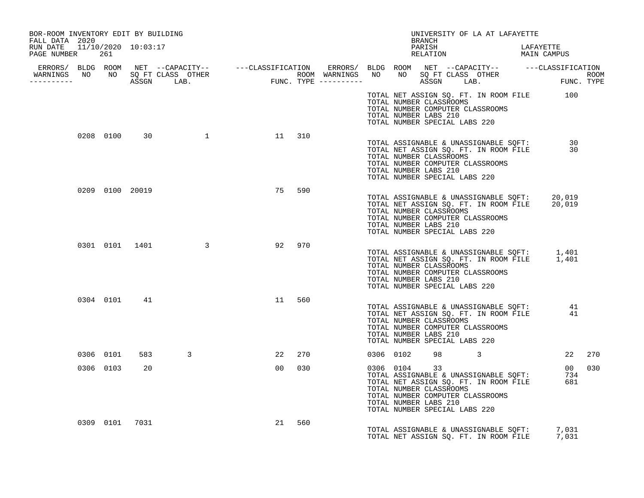| BOR-ROOM INVENTORY EDIT BY BUILDING                                 |           |                |                                                                                                                                                                                                                                      |    |        |  | BRANCH                                                                                                                                | UNIVERSITY OF LA AT LAFAYETTE                                                                |        |  |
|---------------------------------------------------------------------|-----------|----------------|--------------------------------------------------------------------------------------------------------------------------------------------------------------------------------------------------------------------------------------|----|--------|--|---------------------------------------------------------------------------------------------------------------------------------------|----------------------------------------------------------------------------------------------|--------|--|
| FALL DATA 2020<br>RUN DATE  11/10/2020  10:03:17<br>PAGE NUMBER 261 |           |                |                                                                                                                                                                                                                                      |    |        |  |                                                                                                                                       | PARISH LAFAYETTE RELATION MAIN CAMPUS                                                        |        |  |
|                                                                     |           |                |                                                                                                                                                                                                                                      |    |        |  |                                                                                                                                       |                                                                                              |        |  |
|                                                                     |           |                | ERRORS/ BLDG ROOM NET --CAPACITY-- ----CLASSIFICATION ERRORS/ BLDG ROOM NET --CAPACITY-- -----CLASSIFICATION<br>WARNINGS NO NO SQFTCLASS OTHER ROOM WARNINGS NO NO SQFTCLASS OTHER ROOM<br>----------- ASSGN LAB. FUNC.TYPE -------- |    |        |  |                                                                                                                                       |                                                                                              |        |  |
|                                                                     |           |                |                                                                                                                                                                                                                                      |    |        |  | TOTAL NUMBER CLASSROOMS<br>TOTAL NUMBER COMPUTER CLASSROOMS<br>TOTAL NUMBER LABS 210<br>TOTAL NUMBER SPECIAL LABS 220                 | TOTAL NET ASSIGN SQ. FT. IN ROOM FILE 100                                                    |        |  |
|                                                                     |           |                | 0208 0100 30 1                                                                                                                                                                                                                       |    | 11 310 |  | TOTAL NUMBER CLASSROOMS<br>TOTAL NUMBER COMPUTER CLASSROOMS<br>TOTAL NUMBER LABS 210<br>TOTAL NUMBER SPECIAL LABS 220                 | TOTAL ASSIGNABLE & UNASSIGNABLE SQFT: 30<br>TOTAL NET ASSIGN SQ. FT. IN ROOM FILE 30         |        |  |
|                                                                     |           |                | 0209 0100 20019                                                                                                                                                                                                                      | 75 | 590    |  | TOTAL NUMBER CLASSROOMS<br>TOTAL NUMBER COMPUTER CLASSROOMS<br>TOTAL NUMBER LABS 210<br>TOTAL NUMBER SPECIAL LABS 220                 | TOTAL ASSIGNABLE & UNASSIGNABLE SQFT: 20,019<br>TOTAL NET ASSIGN SQ. FT. IN ROOM FILE 20,019 |        |  |
|                                                                     |           |                | 0301 0101 1401 3                                                                                                                                                                                                                     |    | 92 970 |  | TOTAL NUMBER CLASSROOMS<br>TOTAL NUMBER COMPUTER CLASSROOMS<br>TOTAL NUMBER LABS 210<br>TOTAL NUMBER SPECIAL LABS 220                 | TOTAL ASSIGNABLE & UNASSIGNABLE SQFT: 1,401<br>TOTAL NET ASSIGN SQ. FT. IN ROOM FILE 1,401   |        |  |
|                                                                     |           | 0304 0101 41   |                                                                                                                                                                                                                                      | 11 | 560    |  | TOTAL NUMBER CLASSROOMS<br>TOTAL NUMBER COMPUTER CLASSROOMS<br>TOTAL NUMBER LABS 210<br>TOTAL NUMBER SPECIAL LABS 220                 | TOTAL ASSIGNABLE & UNASSIGNABLE SQFT: 41<br>TOTAL NET ASSIGN SQ. FT. IN ROOM FILE 41         |        |  |
|                                                                     | 0306 0101 |                | $\overline{3}$                                                                                                                                                                                                                       | 22 | 270    |  | 0306 0102 98 3                                                                                                                        |                                                                                              | 22 270 |  |
|                                                                     | 0306 0103 | 20             |                                                                                                                                                                                                                                      |    | 00 030 |  | 0306 0104 33<br>TOTAL NUMBER CLASSROOMS<br>TOTAL NUMBER COMPUTER CLASSROOMS<br>TOTAL NUMBER LABS 210<br>TOTAL NUMBER SPECIAL LABS 220 | TOTAL ASSIGNABLE & UNASSIGNABLE SQFT: 734<br>TOTAL NET ASSIGN SQ. FT. IN ROOM FILE 681       | 00 030 |  |
|                                                                     |           | 0309 0101 7031 |                                                                                                                                                                                                                                      | 21 | 560    |  |                                                                                                                                       | TOTAL ASSIGNABLE & UNASSIGNABLE SQFT: 7,031<br>TOTAL NET ASSIGN SQ. FT. IN ROOM FILE         | 7,031  |  |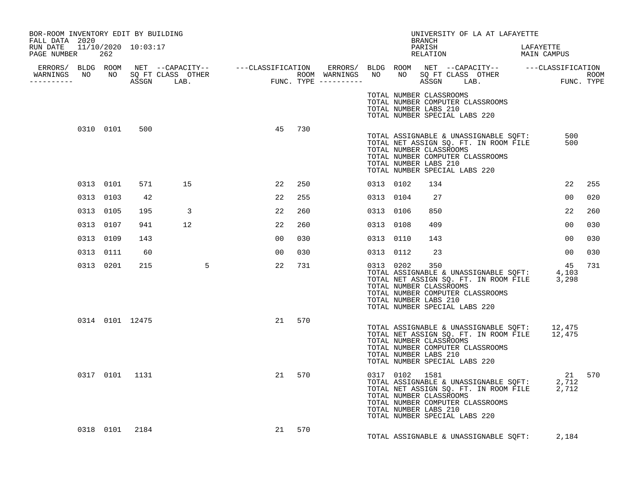| BOR-ROOM INVENTORY EDIT BY BUILDING<br>FALL DATA 2020                                                                                                                                                                                |           |                 |     |          |  |                |     |           |                                                                                   | BRANCH | UNIVERSITY OF LA AT LAFAYETTE                                                                                                                                                                                                |                |     |
|--------------------------------------------------------------------------------------------------------------------------------------------------------------------------------------------------------------------------------------|-----------|-----------------|-----|----------|--|----------------|-----|-----------|-----------------------------------------------------------------------------------|--------|------------------------------------------------------------------------------------------------------------------------------------------------------------------------------------------------------------------------------|----------------|-----|
| RUN DATE 11/10/2020 10:03:17<br>PAGE NUMBER 262                                                                                                                                                                                      |           |                 |     |          |  |                |     |           |                                                                                   |        | PARISH LAFAYETTE RELATION MAIN CAMPUS                                                                                                                                                                                        |                |     |
| ERRORS/ BLDG ROOM NET --CAPACITY-- ----CLASSIFICATION ERRORS/ BLDG ROOM NET --CAPACITY-- -----CLASSIFICATION<br>WARNINGS NO NO SQFTCLASS OTHER ROOM WARNINGS NO NO SQFTCLASS OTHER ROOM<br>----------- ASSGN LAB. FUNC.TYPE -------- |           |                 |     |          |  |                |     |           |                                                                                   |        |                                                                                                                                                                                                                              |                |     |
|                                                                                                                                                                                                                                      |           |                 |     |          |  |                |     |           | TOTAL NUMBER CLASSROOMS<br>TOTAL NUMBER LABS 210<br>TOTAL NUMBER SPECIAL LABS 220 |        | TOTAL NUMBER COMPUTER CLASSROOMS                                                                                                                                                                                             |                |     |
|                                                                                                                                                                                                                                      |           | 0310 0101       | 500 |          |  | 45 730         |     |           | TOTAL NUMBER CLASSROOMS<br>TOTAL NUMBER LABS 210<br>TOTAL NUMBER SPECIAL LABS 220 |        | TOTAL ASSIGNABLE & UNASSIGNABLE SQFT:<br>TOTAL NET ASSIGN SQ. FT. IN ROOM FILE<br>TOTAL NUMBER COMPUTER CLASSROOMS                                                                                                           | 500<br>500     |     |
|                                                                                                                                                                                                                                      |           | 0313 0101       | 571 | 15       |  | 22             | 250 | 0313 0102 |                                                                                   | 134    |                                                                                                                                                                                                                              | 22             | 255 |
|                                                                                                                                                                                                                                      |           | 0313 0103       | 42  |          |  | 22             | 255 | 0313 0104 |                                                                                   | 27     |                                                                                                                                                                                                                              | 0 <sub>0</sub> | 020 |
|                                                                                                                                                                                                                                      | 0313 0105 |                 | 195 | $\sim$ 3 |  | 22             | 260 | 0313 0106 |                                                                                   | 850    |                                                                                                                                                                                                                              | 22             | 260 |
|                                                                                                                                                                                                                                      | 0313 0107 |                 | 941 | 12       |  | 22             | 260 | 0313 0108 |                                                                                   | 409    |                                                                                                                                                                                                                              | 00             | 030 |
|                                                                                                                                                                                                                                      | 0313 0109 |                 | 143 |          |  | 00             | 030 | 0313 0110 |                                                                                   | 143    |                                                                                                                                                                                                                              | 00             | 030 |
|                                                                                                                                                                                                                                      | 0313 0111 |                 | 60  |          |  | 0 <sub>0</sub> | 030 | 0313 0112 |                                                                                   | 23     |                                                                                                                                                                                                                              | 00             | 030 |
|                                                                                                                                                                                                                                      |           | 0313 0201       | 215 | $\sim$ 5 |  | 22             | 731 | 0313 0202 | TOTAL NUMBER CLASSROOMS<br>TOTAL NUMBER LABS 210<br>TOTAL NUMBER SPECIAL LABS 220 | 350    | TOTAL ASSIGNABLE & UNASSIGNABLE SQFT: 4,103<br>TOTAL NET ASSIGN SQ. FT. IN ROOM FILE 3,298<br>TOTAL NUMBER COMPUTER CLASSROOMS                                                                                               | 45             | 731 |
|                                                                                                                                                                                                                                      |           | 0314 0101 12475 |     |          |  | 21 570         |     |           |                                                                                   |        |                                                                                                                                                                                                                              |                |     |
|                                                                                                                                                                                                                                      |           |                 |     |          |  |                |     |           | TOTAL NUMBER CLASSROOMS<br>TOTAL NUMBER LABS 210<br>TOTAL NUMBER SPECIAL LABS 220 |        | TOTAL ASSIGNABLE & UNASSIGNABLE SQFT: 12,475<br>TOTAL NET ASSIGN SQ. FT. IN ROOM FILE 12,475<br>TOTAL NUMBER COMPUTER CLASSROOMS                                                                                             |                |     |
|                                                                                                                                                                                                                                      |           | 0317 0101 1131  |     |          |  | 21             | 570 |           | TOTAL NUMBER CLASSROOMS<br>TOTAL NUMBER LABS 210<br>TOTAL NUMBER SPECIAL LABS 220 |        | $\begin{tabular}{llllll} 0317 & 0102 & 1581 & 21 & 570 \\ \text{TOTAL ASSIGNABLE & UNASSIGNABLE SQFT:} & 2,712 \\ \text{TOTAL NET ASSIGN SQ. FT. IN Room FILE} & 2,712 \\ \end{tabular}$<br>TOTAL NUMBER COMPUTER CLASSROOMS |                |     |
|                                                                                                                                                                                                                                      |           | 0318 0101 2184  |     |          |  | 21             | 570 |           |                                                                                   |        | TOTAL ASSIGNABLE & UNASSIGNABLE SQFT: 2,184                                                                                                                                                                                  |                |     |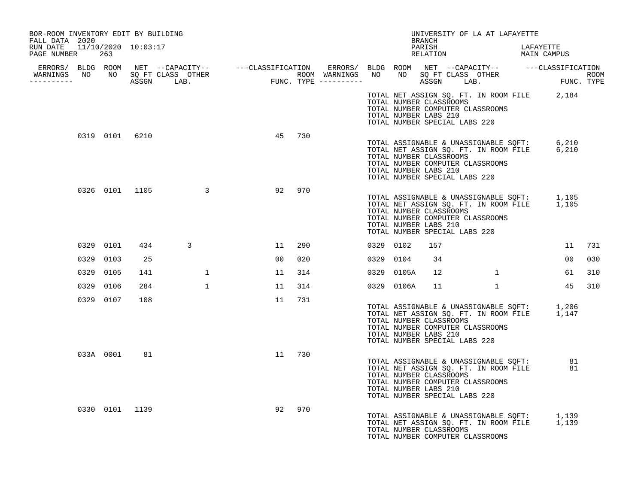| BOR-ROOM INVENTORY EDIT BY BUILDING<br>FALL DATA 2020 |                |                |                                  |                 |        |  |            | BRANCH                                                                            | UNIVERSITY OF LA AT LAFAYETTE                                                                                                  |           |        |     |
|-------------------------------------------------------|----------------|----------------|----------------------------------|-----------------|--------|--|------------|-----------------------------------------------------------------------------------|--------------------------------------------------------------------------------------------------------------------------------|-----------|--------|-----|
| RUN DATE 11/10/2020 10:03:17<br>PAGE NUMBER 263       |                |                |                                  |                 |        |  |            | PARISH                                                                            | PARISH LAFAYETTE RELATION MAIN CAMPUS                                                                                          | LAFAYETTE |        |     |
|                                                       |                |                | WARNINGS NO NO SQ FT CLASS OTHER |                 |        |  |            |                                                                                   |                                                                                                                                |           |        |     |
|                                                       |                |                |                                  |                 |        |  |            |                                                                                   |                                                                                                                                |           |        |     |
|                                                       |                |                |                                  |                 |        |  |            | TOTAL NUMBER CLASSROOMS<br>TOTAL NUMBER LABS 210<br>TOTAL NUMBER SPECIAL LABS 220 | TOTAL NET ASSIGN SQ. FT. IN ROOM FILE 2,184<br>TOTAL NUMBER COMPUTER CLASSROOMS                                                |           |        |     |
|                                                       |                | 0319 0101 6210 |                                  | 45              | 730    |  |            | TOTAL NUMBER CLASSROOMS<br>TOTAL NUMBER LABS 210<br>TOTAL NUMBER SPECIAL LABS 220 | TOTAL ASSIGNABLE & UNASSIGNABLE SQFT: 6,210<br>TOTAL NET ASSIGN SQ. FT. IN ROOM FILE 6,210<br>TOTAL NUMBER COMPUTER CLASSROOMS |           |        |     |
|                                                       |                |                | 0326 0101 1105 3                 | 92              | 970    |  |            | TOTAL NUMBER CLASSROOMS<br>TOTAL NUMBER LABS 210<br>TOTAL NUMBER SPECIAL LABS 220 | TOTAL ASSIGNABLE & UNASSIGNABLE SQFT: 1,105<br>TOTAL NET ASSIGN SQ. FT. IN ROOM FILE 1,105<br>TOTAL NUMBER COMPUTER CLASSROOMS |           |        |     |
|                                                       | 0329 0101      |                | 434<br>3                         |                 | 11 290 |  | 0329 0102  | 157                                                                               |                                                                                                                                |           | 11     | 731 |
|                                                       | 0329 0103      | 25             |                                  | 00 <sub>o</sub> | 020    |  | 0329 0104  | 34                                                                                |                                                                                                                                |           | 00     | 030 |
|                                                       | 0329 0105      | 141            | $\mathbf{1}$                     | 11              | 314    |  | 0329 0105A |                                                                                   | $12$ $1$                                                                                                                       |           | 61     | 310 |
|                                                       | 0329 0106      | 284            | $\mathbf{1}$                     | 11              | 314    |  |            |                                                                                   | 0329 0106A 11 1                                                                                                                |           | 45 310 |     |
|                                                       | 0329 0107      | 108            |                                  | 11              | 731    |  |            | TOTAL NUMBER CLASSROOMS<br>TOTAL NUMBER LABS 210<br>TOTAL NUMBER SPECIAL LABS 220 | TOTAL ASSIGNABLE & UNASSIGNABLE SQFT: 1,206<br>TOTAL NET ASSIGN SQ. FT. IN ROOM FILE 1,147<br>TOTAL NUMBER COMPUTER CLASSROOMS |           |        |     |
|                                                       |                | 033A 0001 81   |                                  |                 | 11 730 |  |            | TOTAL NUMBER CLASSROOMS<br>TOTAL NUMBER LABS 210<br>TOTAL NUMBER SPECIAL LABS 220 | TOTAL ASSIGNABLE & UNASSIGNABLE SQFT: 81<br>TOTAL NET ASSIGN SQ. FT. IN ROOM FILE 81<br>TOTAL NUMBER COMPUTER CLASSROOMS       |           |        |     |
|                                                       | 0330 0101 1139 |                |                                  | 92              | 970    |  |            | TOTAL NUMBER CLASSROOMS                                                           | TOTAL ASSIGNABLE & UNASSIGNABLE SQFT: 1,139<br>TOTAL NET ASSIGN SQ. FT. IN ROOM FILE 1,139<br>TOTAL NUMBER COMPUTER CLASSROOMS |           |        |     |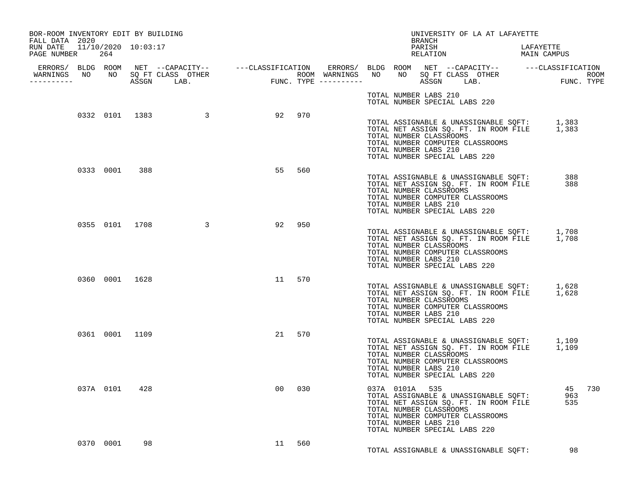| BOR-ROOM INVENTORY EDIT BY BUILDING<br>FALL DATA 2020 |               |    |                                                                                                                                                                                                                                      |                                                       |        |  |                                         | BRANCH | UNIVERSITY OF LA AT LAFAYETTE                                                                                                                                                                            |           |        |  |
|-------------------------------------------------------|---------------|----|--------------------------------------------------------------------------------------------------------------------------------------------------------------------------------------------------------------------------------------|-------------------------------------------------------|--------|--|-----------------------------------------|--------|----------------------------------------------------------------------------------------------------------------------------------------------------------------------------------------------------------|-----------|--------|--|
| RUN DATE 11/10/2020 10:03:17<br>PAGE NUMBER 264       |               |    |                                                                                                                                                                                                                                      |                                                       |        |  |                                         | PARISH | PARISH LAFAYETTE<br>RELATION MAIN CAMPUS                                                                                                                                                                 | LAFAYETTE |        |  |
| -----------                                           |               |    | ERRORS/ BLDG ROOM NET --CAPACITY-- ----CLASSIFICATION ERRORS/ BLDG ROOM NET --CAPACITY-- -----CLASSIFICATION<br>WARNINGS NO NO SQETCLASS OTHER ROOM WARNINGS NO NO SQETCLASS OTHER ROOM<br>----------- ASSGN LAB. FUNC.TYPE -------- |                                                       |        |  |                                         |        |                                                                                                                                                                                                          |           |        |  |
|                                                       |               |    |                                                                                                                                                                                                                                      |                                                       |        |  |                                         |        | TOTAL NUMBER LABS 210<br>TOTAL NUMBER SPECIAL LABS 220                                                                                                                                                   |           |        |  |
|                                                       |               |    | 0332 0101 1383 3                                                                                                                                                                                                                     | 5 2 9 2 9 2 9 7 0 3 2 9 2 9 2 9 7 0 $\,$ 9 $2$ 9 $70$ |        |  | TOTAL NUMBER LABS 210                   |        | TOTAL ASSIGNABLE & UNASSIGNABLE SQFT: 1,383<br>TOTAL NET ASSIGN SQ. FT. IN ROOM FILE 1,383<br>TOTAL NUMBER CLASSROOMS<br>TOTAL NUMBER COMPUTER CLASSROOMS<br>TOTAL NUMBER SPECIAL LABS 220               |           |        |  |
|                                                       | 0333 0001 388 |    |                                                                                                                                                                                                                                      | 55                                                    | 560    |  | TOTAL NUMBER LABS 210                   |        | TOTAL ASSIGNABLE & UNASSIGNABLE SQFT: 388<br>TOTAL NET ASSIGN SQ. FT. IN ROOM FILE 388<br>TOTAL NUMBER CLASSROOMS<br>TOTAL NUMBER COMPUTER CLASSROOMS<br>TOTAL NUMBER SPECIAL LABS 220                   |           |        |  |
|                                                       |               |    | 0355 0101 1708 3                                                                                                                                                                                                                     | 92 950                                                |        |  | TOTAL NUMBER LABS 210                   |        | TOTAL ASSIGNABLE & UNASSIGNABLE SQFT: 1,708<br>TOTAL NET ASSIGN SQ. FT. IN ROOM FILE 1,708<br>TOTAL NUMBER CLASSROOMS<br>TOTAL NUMBER COMPUTER CLASSROOMS<br>TOTAL NUMBER SPECIAL LABS 220               |           |        |  |
|                                                       |               |    | 0360 0001 1628                                                                                                                                                                                                                       | 11 570                                                |        |  | TOTAL NUMBER LABS 210                   |        | TOTAL ASSIGNABLE & UNASSIGNABLE SQFT: 1,628<br>TOTAL NET ASSIGN SQ. FT. IN ROOM FILE 1,628<br>TOTAL NUMBER CLASSROOMS<br>TOTAL NUMBER COMPUTER CLASSROOMS<br>TOTAL NUMBER SPECIAL LABS 220               |           |        |  |
|                                                       |               |    | 0361 0001 1109                                                                                                                                                                                                                       |                                                       | 21 570 |  | TOTAL NUMBER LABS 210                   |        | TOTAL ASSIGNABLE & UNASSIGNABLE SQFT: 1,109<br>TOTAL NET ASSIGN SQ. FT. IN ROOM FILE 1,109<br>TOTAL NUMBER CLASSROOMS<br>TOTAL NUMBER COMPUTER CLASSROOMS<br>TOTAL NUMBER SPECIAL LABS 220               |           |        |  |
|                                                       | 037A 0101 428 |    |                                                                                                                                                                                                                                      | 00                                                    | 030    |  | 037A 0101A 535<br>TOTAL NUMBER LABS 210 |        | 037A 0101A 535<br>TOTAL ASSIGNABLE & UNASSIGNABLE SQFT: 963<br>TOTAL NET ASSIGN SQ. FT. IN ROOM FILE 535<br>TOTAL NUMBER CLASSROOMS<br>TOTAL NUMBER COMPUTER CLASSROOMS<br>TOTAL NUMBER SPECIAL LABS 220 |           | 45 730 |  |
|                                                       | 0370 0001     | 98 |                                                                                                                                                                                                                                      | 11 560                                                |        |  |                                         |        | TOTAL ASSIGNABLE & UNASSIGNABLE SOFT:                                                                                                                                                                    |           | 98     |  |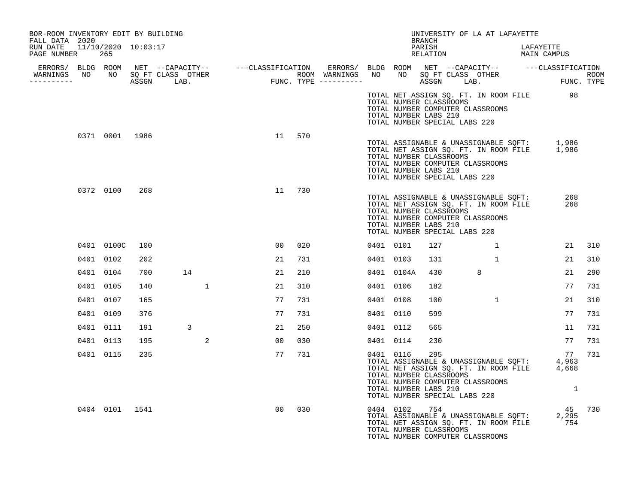| BOR-ROOM INVENTORY EDIT BY BUILDING                                                                                                                                                                                                                |                |     |              |              |                 |     |           |                                                                                                                                    |               |   | UNIVERSITY OF LA AT LAFAYETTE         |                                                                                                                    |        |
|----------------------------------------------------------------------------------------------------------------------------------------------------------------------------------------------------------------------------------------------------|----------------|-----|--------------|--------------|-----------------|-----|-----------|------------------------------------------------------------------------------------------------------------------------------------|---------------|---|---------------------------------------|--------------------------------------------------------------------------------------------------------------------|--------|
| FALL DATA 2020<br>RUN DATE 11/10/2020 10:03:17<br>PAGE NUMBER                                                                                                                                                                                      | 265            |     |              |              |                 |     |           |                                                                                                                                    | <b>BRANCH</b> |   |                                       | PARISH LAFAYETTE RELATION MAIN CAMPUS                                                                              |        |
| ERRORS/ BLDG ROOM NET --CAPACITY-- ----CLASSIFICATION ERRORS/ BLDG ROOM NET --CAPACITY-- -----CLASSIFICATION<br>WARNINGS NO NO SQFTCLASS OTHER ---------------- ROOM WARNINGS NO NO SQFTCLASS OTHER ROOM<br>------------------------<br>__________ |                |     |              |              |                 |     |           |                                                                                                                                    |               |   |                                       |                                                                                                                    |        |
|                                                                                                                                                                                                                                                    |                |     |              |              |                 |     |           | TOTAL NUMBER CLASSROOMS<br>TOTAL NUMBER COMPUTER CLASSROOMS<br>TOTAL NUMBER LABS 210<br>TOTAL NUMBER SPECIAL LABS 220              |               |   |                                       | TOTAL NET ASSIGN SQ. FT. IN ROOM FILE 98                                                                           |        |
|                                                                                                                                                                                                                                                    | 0371 0001 1986 |     |              |              | 11              | 570 |           | TOTAL NUMBER CLASSROOMS<br>TOTAL NUMBER COMPUTER CLASSROOMS<br>TOTAL NUMBER LABS 210<br>TOTAL NUMBER SPECIAL LABS 220              |               |   |                                       | TOTAL ASSIGNABLE & UNASSIGNABLE SQFT: 1,986<br>TOTAL NET ASSIGN SQ. FT. IN ROOM FILE 1,986                         |        |
|                                                                                                                                                                                                                                                    | 0372 0100      | 268 |              |              | 11              | 730 |           | TOTAL NUMBER CLASSROOMS<br>TOTAL NUMBER COMPUTER CLASSROOMS<br>TOTAL NUMBER LABS 210<br>TOTAL NUMBER SPECIAL LABS 220              |               |   | TOTAL ASSIGNABLE & UNASSIGNABLE SQFT: | 268<br>TOTAL NET ASSIGN SQ. FT. IN ROOM FILE<br>268                                                                |        |
|                                                                                                                                                                                                                                                    | 0401 0100C     | 100 |              |              | 00 <sub>o</sub> | 020 |           | 0401 0101                                                                                                                          | 127           |   | 1                                     |                                                                                                                    | 21 310 |
|                                                                                                                                                                                                                                                    | 0401 0102      | 202 |              |              | 21              | 731 | 0401 0103 |                                                                                                                                    | 131           |   | $\mathbf{1}$                          | 21                                                                                                                 | 310    |
|                                                                                                                                                                                                                                                    | 0401 0104      | 700 | 14           |              | 21              | 210 |           | 0401 0104A                                                                                                                         | 430           | 8 |                                       | 21                                                                                                                 | 290    |
|                                                                                                                                                                                                                                                    | 0401 0105      | 140 |              | $\mathbf{1}$ | 21              | 310 | 0401 0106 |                                                                                                                                    | 182           |   |                                       | 77                                                                                                                 | 731    |
|                                                                                                                                                                                                                                                    | 0401 0107      | 165 |              |              | 77              | 731 |           | 0401 0108                                                                                                                          | 100           |   | $\mathbf{1}$                          | 21                                                                                                                 | 310    |
|                                                                                                                                                                                                                                                    | 0401 0109      | 376 |              |              | 77              | 731 | 0401 0110 |                                                                                                                                    | 599           |   |                                       | 77                                                                                                                 | 731    |
|                                                                                                                                                                                                                                                    | 0401 0111      | 191 | $\mathbf{3}$ |              | 21              | 250 | 0401 0112 |                                                                                                                                    | 565           |   |                                       | 11                                                                                                                 | 731    |
|                                                                                                                                                                                                                                                    | 0401 0113      | 195 |              | 2            | 00 <sub>o</sub> | 030 | 0401 0114 |                                                                                                                                    | 230           |   |                                       | 77                                                                                                                 | 731    |
|                                                                                                                                                                                                                                                    | 0401 0115      | 235 |              |              | 77              | 731 |           | 0401 0116<br>TOTAL NUMBER CLASSROOMS<br>TOTAL NUMBER COMPUTER CLASSROOMS<br>TOTAL NUMBER LABS 210<br>TOTAL NUMBER SPECIAL LABS 220 | 295           |   |                                       | 77<br>TOTAL ASSIGNABLE & UNASSIGNABLE SQFT: 4,963<br>TOTAL NET ASSIGN SQ. FT. IN ROOM FILE 4,668<br>$\overline{1}$ | 731    |
|                                                                                                                                                                                                                                                    | 0404 0101 1541 |     |              |              | 00              | 030 |           | 0404 0102<br>TOTAL NUMBER CLASSROOMS<br>TOTAL NUMBER COMPUTER CLASSROOMS                                                           | 754           |   | TOTAL NET ASSIGN SQ. FT. IN ROOM FILE | 45 730<br>TOTAL ASSIGNABLE & UNASSIGNABLE SQFT: 2,295<br>754                                                       |        |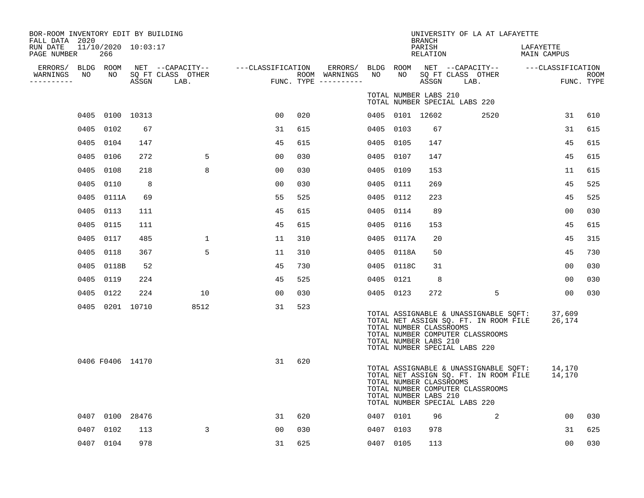| BOR-ROOM INVENTORY EDIT BY BUILDING<br>FALL DATA 2020 |                                |       |                                               |                |      |                                      |           |                                                  | <b>BRANCH</b>      | UNIVERSITY OF LA AT LAFAYETTE                                                                                                                       |                          |                           |
|-------------------------------------------------------|--------------------------------|-------|-----------------------------------------------|----------------|------|--------------------------------------|-----------|--------------------------------------------------|--------------------|-----------------------------------------------------------------------------------------------------------------------------------------------------|--------------------------|---------------------------|
| RUN DATE<br>PAGE NUMBER                               | $11/10/2020$ $10:03:17$<br>266 |       |                                               |                |      |                                      |           |                                                  | PARISH<br>RELATION |                                                                                                                                                     | LAFAYETTE<br>MAIN CAMPUS |                           |
| ERRORS/ BLDG ROOM<br>WARNINGS<br>NO<br>----------     | NO                             | ASSGN | NET --CAPACITY--<br>SQ FT CLASS OTHER<br>LAB. |                |      | ROOM WARNINGS<br>FUNC. TYPE $------$ | NO        | NO                                               | ASSGN              | ---CLASSIFICATION ERRORS/ BLDG ROOM NET --CAPACITY--<br>SO FT CLASS OTHER<br>LAB.                                                                   | ---CLASSIFICATION        | <b>ROOM</b><br>FUNC. TYPE |
|                                                       |                                |       |                                               |                |      |                                      |           | TOTAL NUMBER LABS 210                            |                    | TOTAL NUMBER SPECIAL LABS 220                                                                                                                       |                          |                           |
|                                                       | 0405 0100 10313                |       |                                               | 00             | 020  |                                      |           | 0405 0101 12602                                  |                    | 2520                                                                                                                                                | 31                       | 610                       |
|                                                       | 0405 0102                      | 67    |                                               | 31             | 615  |                                      | 0405 0103 |                                                  | 67                 |                                                                                                                                                     | 31                       | 615                       |
|                                                       | 0405 0104                      | 147   |                                               | 45             | 615  |                                      |           | 0405 0105                                        | 147                |                                                                                                                                                     | 45                       | 615                       |
|                                                       | 0405 0106                      | 272   | 5                                             | 0 <sub>0</sub> | 0.30 |                                      |           | 0405 0107                                        | 147                |                                                                                                                                                     | 45                       | 615                       |
|                                                       | 0405 0108                      | 218   | 8                                             | 00             | 030  |                                      | 0405 0109 |                                                  | 153                |                                                                                                                                                     | 11                       | 615                       |
|                                                       | 0405 0110                      | 8     |                                               | 0 <sub>0</sub> | 030  |                                      |           | 0405 0111                                        | 269                |                                                                                                                                                     | 45                       | 525                       |
|                                                       | 0405 0111A                     | 69    |                                               | 55             | 525  |                                      |           | 0405 0112                                        | 223                |                                                                                                                                                     | 45                       | 525                       |
|                                                       | 0405 0113                      | 111   |                                               | 45             | 615  |                                      |           | 0405 0114                                        | 89                 |                                                                                                                                                     | 00                       | 030                       |
|                                                       | 0405 0115                      | 111   |                                               | 45             | 615  |                                      |           | 0405 0116                                        | 153                |                                                                                                                                                     | 45                       | 615                       |
|                                                       | 0405 0117                      | 485   | $\mathbf 1$                                   | 11             | 310  |                                      |           | 0405 0117A                                       | 20                 |                                                                                                                                                     | 45                       | 315                       |
|                                                       | 0405 0118                      | 367   | 5                                             | 11             | 310  |                                      |           | 0405 0118A                                       | 50                 |                                                                                                                                                     | 45                       | 730                       |
|                                                       | 0405 0118B                     | 52    |                                               | 45             | 730  |                                      |           | 0405 0118C                                       | 31                 |                                                                                                                                                     | 0 <sub>0</sub>           | 030                       |
|                                                       | 0405 0119                      | 224   |                                               | 45             | 525  |                                      |           | 0405 0121                                        | 8                  |                                                                                                                                                     | 00                       | 030                       |
|                                                       | 0405 0122                      | 224   | 10                                            | 00             | 030  |                                      |           | 0405 0123                                        | 272                | 5                                                                                                                                                   | 00                       | 030                       |
|                                                       | 0405 0201 10710                |       | 8512                                          | 31             | 523  |                                      |           | TOTAL NUMBER CLASSROOMS<br>TOTAL NUMBER LABS 210 |                    | TOTAL ASSIGNABLE & UNASSIGNABLE SQFT:<br>TOTAL NET ASSIGN SQ. FT. IN ROOM FILE<br>TOTAL NUMBER COMPUTER CLASSROOMS<br>TOTAL NUMBER SPECIAL LABS 220 | 37,609<br>26,174         |                           |
|                                                       | 0406 F0406 14170               |       |                                               | 31             | 620  |                                      |           | TOTAL NUMBER CLASSROOMS<br>TOTAL NUMBER LABS 210 |                    | TOTAL ASSIGNABLE & UNASSIGNABLE SQFT:<br>TOTAL NET ASSIGN SQ. FT. IN ROOM FILE<br>TOTAL NUMBER COMPUTER CLASSROOMS<br>TOTAL NUMBER SPECIAL LABS 220 | 14,170<br>14,170         |                           |
|                                                       | 0407 0100 28476                |       |                                               | 31             | 620  |                                      |           | 0407 0101                                        | 96                 | 2                                                                                                                                                   | 00                       | 030                       |
| 0407                                                  | 0102                           | 113   | 3                                             | 00             | 030  |                                      |           | 0407 0103                                        | 978                |                                                                                                                                                     | 31                       | 625                       |
|                                                       | 0407 0104                      | 978   |                                               | 31             | 625  |                                      |           | 0407 0105                                        | 113                |                                                                                                                                                     | 0 <sub>0</sub>           | 030                       |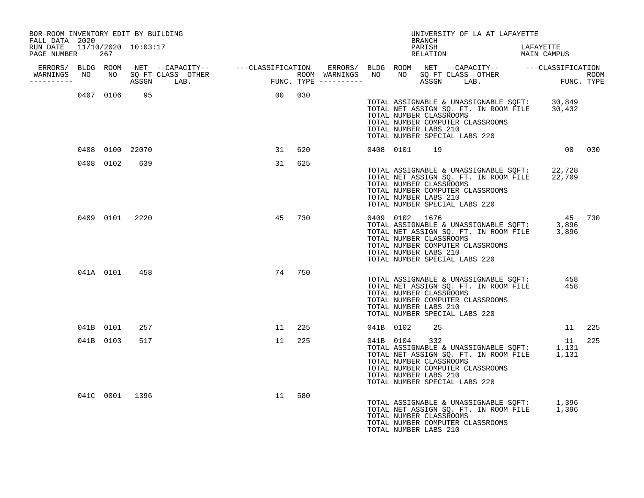| BOR-ROOM INVENTORY EDIT BY BUILDING<br>FALL DATA 2020 |           |                 |                                  |        |        |  |                | <b>BRANCH</b>                                                                                                                | UNIVERSITY OF LA AT LAFAYETTE                                                  |                                                                                                                 |        |
|-------------------------------------------------------|-----------|-----------------|----------------------------------|--------|--------|--|----------------|------------------------------------------------------------------------------------------------------------------------------|--------------------------------------------------------------------------------|-----------------------------------------------------------------------------------------------------------------|--------|
| RUN DATE 11/10/2020 10:03:17<br>PAGE NUMBER 267       |           |                 |                                  |        |        |  |                | PARISH                                                                                                                       | PARISH LAFAYETTE<br>RELATION MAIN CAMPUS                                       | LAFAYETTE                                                                                                       |        |
| -----------                                           |           |                 | WARNINGS NO NO SQ FT CLASS OTHER |        |        |  |                |                                                                                                                              |                                                                                |                                                                                                                 |        |
|                                                       |           | 0407 0106 95    |                                  | 00 030 |        |  |                | TOTAL NUMBER CLASSROOMS<br>TOTAL NUMBER COMPUTER CLASSROOMS<br>TOTAL NUMBER LABS 210<br>TOTAL NUMBER SPECIAL LABS 220        |                                                                                | TOTAL ASSIGNABLE & UNASSIGNABLE SQFT: 30,849<br>TOTAL NET ASSIGN SQ. FT. IN ROOM FILE 30,432                    |        |
|                                                       |           | 0408 0100 22070 |                                  | 31     | 620    |  | 0408 0101 19   |                                                                                                                              |                                                                                | 00 030                                                                                                          |        |
|                                                       | 0408 0102 | 639             |                                  | 31     | 625    |  |                | TOTAL NUMBER CLASSROOMS<br>TOTAL NUMBER COMPUTER CLASSROOMS<br>TOTAL NUMBER LABS 210<br>TOTAL NUMBER SPECIAL LABS 220        |                                                                                | TOTAL ASSIGNABLE & UNASSIGNABLE SQFT: 22,728<br>TOTAL NET ASSIGN SQ. FT. IN ROOM FILE 22,709                    |        |
|                                                       |           | 0409 0101 2220  |                                  | 45     | 730    |  | 0409 0102 1676 | TOTAL NUMBER CLASSROOMS<br>TOTAL NUMBER COMPUTER CLASSROOMS<br>TOTAL NUMBER LABS 210<br>TOTAL NUMBER SPECIAL LABS 220        |                                                                                | 45 730<br>45 0409<br>TOTAL ASSIGNABLE & UNASSIGNABLE SQFT: 3,896<br>TOTAL NET ASSIGN SQ. FT. IN ROOM FILE 3,896 |        |
|                                                       |           | 041A 0101 458   |                                  |        | 74 750 |  |                | TOTAL NUMBER CLASSROOMS<br>TOTAL NUMBER COMPUTER CLASSROOMS<br>TOTAL NUMBER LABS 210<br>TOTAL NUMBER SPECIAL LABS 220        | TOTAL NET ASSIGN SQ. FT. IN ROOM FILE<br>TOTAL NET ASSIGN SQ. FT. IN ROOM FILE | 458<br>458                                                                                                      |        |
|                                                       | 041B 0101 | 257             |                                  | 11 225 |        |  | 041B 0102      | 25                                                                                                                           |                                                                                |                                                                                                                 | 11 225 |
|                                                       | 041B 0103 | 517             |                                  | 11     | 225    |  | 041B 0104      | 332<br>TOTAL NUMBER CLASSROOMS<br>TOTAL NUMBER COMPUTER CLASSROOMS<br>TOTAL NUMBER LABS 210<br>TOTAL NUMBER SPECIAL LABS 220 |                                                                                | 11<br>11<br>TOTAL ASSIGNABLE & UNASSIGNABLE SQFT: 1,131<br>TOTAL NET ASSIGN SQ. FT. IN ROOM FILE 1,131          | 225    |
|                                                       |           | 041C 0001 1396  |                                  | 11     | 580    |  |                | TOTAL NUMBER CLASSROOMS<br>TOTAL NUMBER COMPUTER CLASSROOMS<br>TOTAL NUMBER LABS 210                                         |                                                                                | TOTAL ASSIGNABLE & UNASSIGNABLE SQFT: 1,396<br>TOTAL NET ASSIGN SQ. FT. IN ROOM FILE 1,396                      |        |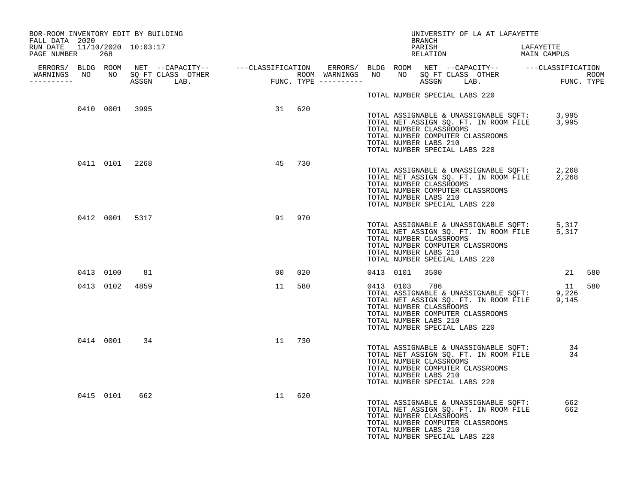| BOR-ROOM INVENTORY EDIT BY BUILDING<br>FALL DATA 2020 |           |                |                                  |                 |     |  |                                                                                                                                    | BRANCH             |  | UNIVERSITY OF LA AT LAFAYETTE                                                  |                                                                                                        |        |
|-------------------------------------------------------|-----------|----------------|----------------------------------|-----------------|-----|--|------------------------------------------------------------------------------------------------------------------------------------|--------------------|--|--------------------------------------------------------------------------------|--------------------------------------------------------------------------------------------------------|--------|
| RUN DATE 11/10/2020 10:03:17<br>PAGE NUMBER 268       |           |                |                                  |                 |     |  |                                                                                                                                    | PARISH<br>RELATION |  |                                                                                | LAFAYETTE<br>MAIN CAMPUS                                                                               |        |
| -----------                                           |           |                | WARNINGS NO NO SQ FT CLASS OTHER |                 |     |  |                                                                                                                                    |                    |  |                                                                                |                                                                                                        |        |
|                                                       |           |                |                                  |                 |     |  | TOTAL NUMBER SPECIAL LABS 220                                                                                                      |                    |  |                                                                                |                                                                                                        |        |
|                                                       |           | 0410 0001 3995 |                                  | 31 620          |     |  | TOTAL NUMBER CLASSROOMS<br>TOTAL NUMBER COMPUTER CLASSROOMS<br>TOTAL NUMBER LABS 210<br>TOTAL NUMBER SPECIAL LABS 220              |                    |  |                                                                                | TOTAL ASSIGNABLE & UNASSIGNABLE SQFT: 3,995<br>TOTAL NET ASSIGN SQ. FT. IN ROOM FILE 3,995             |        |
|                                                       |           | 0411 0101 2268 |                                  | 45              | 730 |  | TOTAL NUMBER CLASSROOMS<br>TOTAL NUMBER COMPUTER CLASSROOMS<br>TOTAL NUMBER LABS 210<br>TOTAL NUMBER SPECIAL LABS 220              |                    |  |                                                                                | TOTAL ASSIGNABLE & UNASSIGNABLE SQFT: 2,268<br>TOTAL NET ASSIGN SQ. FT. IN ROOM FILE 2,268             |        |
|                                                       |           | 0412 0001 5317 |                                  | 91              | 970 |  | TOTAL NUMBER CLASSROOMS<br>TOTAL NUMBER COMPUTER CLASSROOMS<br>TOTAL NUMBER LABS 210<br>TOTAL NUMBER SPECIAL LABS 220              |                    |  |                                                                                | TOTAL ASSIGNABLE & UNASSIGNABLE SQFT: 5,317<br>TOTAL NET ASSIGN SQ. FT. IN ROOM FILE 5,317             |        |
|                                                       | 0413 0100 | 81             |                                  | 00 <sub>o</sub> | 020 |  | 0413 0101                                                                                                                          | 3500               |  |                                                                                |                                                                                                        | 21 580 |
|                                                       | 0413 0102 | 4859           |                                  | 11              | 580 |  | 0413 0103<br>TOTAL NUMBER CLASSROOMS<br>TOTAL NUMBER COMPUTER CLASSROOMS<br>TOTAL NUMBER LABS 210<br>TOTAL NUMBER SPECIAL LABS 220 | 786                |  |                                                                                | 11<br>11<br>TOTAL ASSIGNABLE & UNASSIGNABLE SQFT: 9,226<br>TOTAL NET ASSIGN SQ. FT. IN ROOM FILE 9,145 | 580    |
|                                                       | 0414 0001 | 34             |                                  | 11              | 730 |  | TOTAL NUMBER CLASSROOMS<br>TOTAL NUMBER COMPUTER CLASSROOMS<br>TOTAL NUMBER LABS 210<br>TOTAL NUMBER SPECIAL LABS 220              |                    |  | TOTAL ASSIGNABLE & UNASSIGNABLE SQFT:<br>TOTAL NET ASSIGN SQ. FT. IN ROOM FILE | 34<br>34                                                                                               |        |
|                                                       | 0415 0101 | 662            |                                  | 11              | 620 |  | TOTAL NUMBER CLASSROOMS<br>TOTAL NUMBER COMPUTER CLASSROOMS<br>TOTAL NUMBER LABS 210<br>TOTAL NUMBER SPECIAL LABS 220              |                    |  | TOTAL ASSIGNABLE & UNASSIGNABLE SQFT:<br>TOTAL NET ASSIGN SQ. FT. IN ROOM FILE | 662<br>662                                                                                             |        |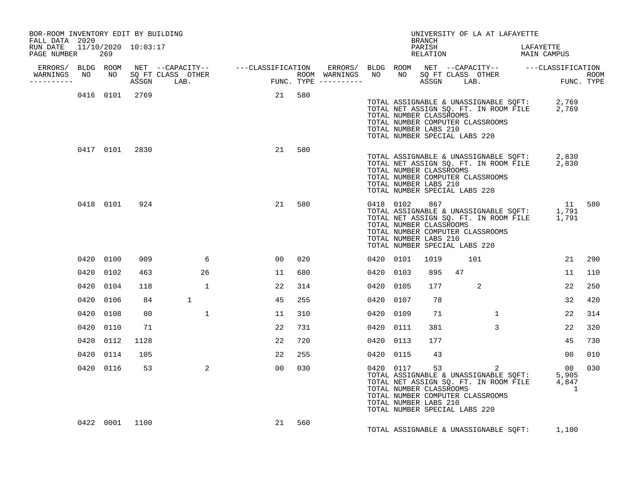| BOR-ROOM INVENTORY EDIT BY BUILDING<br>FALL DATA 2020 |      |           |                |              |                 |     |  |           | BRANCH                                                                                             |    | UNIVERSITY OF LA AT LAFAYETTE         |                                                                                                                                   |     |
|-------------------------------------------------------|------|-----------|----------------|--------------|-----------------|-----|--|-----------|----------------------------------------------------------------------------------------------------|----|---------------------------------------|-----------------------------------------------------------------------------------------------------------------------------------|-----|
| RUN DATE 11/10/2020 10:03:17<br>PAGE NUMBER           |      | 269       |                |              |                 |     |  |           |                                                                                                    |    | PARISH LAFAYETTE RELATION MAIN CAMPUS |                                                                                                                                   |     |
| ----------                                            |      |           |                |              |                 |     |  |           |                                                                                                    |    |                                       |                                                                                                                                   |     |
|                                                       |      |           | 0416 0101 2769 |              | 21 580          |     |  |           | TOTAL NUMBER CLASSROOMS<br>TOTAL NUMBER LABS 210<br>TOTAL NUMBER SPECIAL LABS 220                  |    | TOTAL NUMBER COMPUTER CLASSROOMS      | TOTAL ASSIGNABLE & UNASSIGNABLE SQFT: 2,769<br>TOTAL NET ASSIGN SQ. FT. IN ROOM FILE 2,769                                        |     |
|                                                       |      | 0417 0101 | 2830           |              | 21              | 580 |  |           | TOTAL NUMBER CLASSROOMS<br>TOTAL NUMBER LABS 210<br>TOTAL NUMBER SPECIAL LABS 220                  |    | TOTAL NUMBER COMPUTER CLASSROOMS      | TOTAL ASSIGNABLE & UNASSIGNABLE SQFT: 2,830<br>TOTAL NET ASSIGN SQ. FT. IN ROOM FILE 2,830                                        |     |
|                                                       |      | 0418 0101 | 924            |              | 21              | 580 |  |           | 0418 0102 867<br>TOTAL NUMBER CLASSROOMS<br>TOTAL NUMBER LABS 210<br>TOTAL NUMBER SPECIAL LABS 220 |    | TOTAL NUMBER COMPUTER CLASSROOMS      | 11 580<br>0418 0102 867 11<br>TOTAL ASSIGNABLE & UNASSIGNABLE SQFT: 1,791<br>TOTAL NET ASSIGN SQ. FT. IN ROOM FILE 1,791          |     |
|                                                       |      | 0420 0100 | 909            | 6            | $00 \,$         | 020 |  | 0420 0101 | 1019                                                                                               |    | 101                                   | 21                                                                                                                                | 290 |
|                                                       |      | 0420 0102 | 463            | 26           | 11              | 680 |  | 0420 0103 | 895                                                                                                | 47 |                                       | 11                                                                                                                                | 110 |
|                                                       | 0420 | 0104      | 118            | $\mathbf{1}$ | 22              | 314 |  | 0420 0105 | 177                                                                                                |    | 2                                     | 22                                                                                                                                | 250 |
|                                                       | 0420 | 0106      | 84             | $\mathbf{1}$ | 45              | 255 |  | 0420 0107 | 78                                                                                                 |    |                                       | 32                                                                                                                                | 420 |
|                                                       | 0420 | 0108      | 80             | $\mathbf{1}$ | 11              | 310 |  | 0420 0109 | 71                                                                                                 |    | $\mathbf{1}$                          | 22                                                                                                                                | 314 |
|                                                       | 0420 | 0110      | 71             |              | 22              | 731 |  | 0420 0111 | 381                                                                                                |    | $\overline{3}$                        | 22                                                                                                                                | 320 |
|                                                       | 0420 | 0112      | 1128           |              | 22              | 720 |  | 0420 0113 | 177                                                                                                |    |                                       | 45                                                                                                                                | 730 |
|                                                       | 0420 | 0114      | 105            |              | 22              | 255 |  | 0420 0115 | 43                                                                                                 |    |                                       | 00 <sub>o</sub>                                                                                                                   | 010 |
|                                                       |      | 0420 0116 | 53             | 2            | 00 <sub>o</sub> | 030 |  |           | TOTAL NUMBER CLASSROOMS<br>TOTAL NUMBER LABS 210<br>TOTAL NUMBER SPECIAL LABS 220                  |    | TOTAL NUMBER COMPUTER CLASSROOMS      | 0420 0117 53 2 00<br>TOTAL ASSIGNABLE & UNASSIGNABLE SQFT: 5,905<br>TOTAL NET ASSIGN SQ. FT. IN ROOM FILE 4,847<br>$\overline{1}$ | 030 |
|                                                       |      |           | 0422 0001 1100 |              | 21              | 560 |  |           |                                                                                                    |    |                                       | TOTAL ASSIGNABLE & UNASSIGNABLE SQFT: 1,100                                                                                       |     |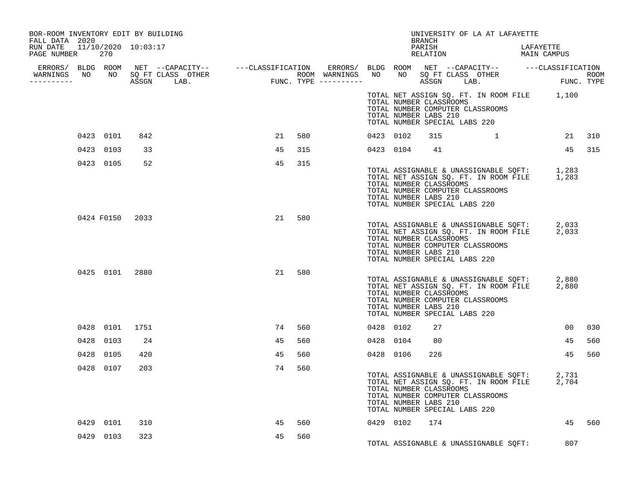| BOR-ROOM INVENTORY EDIT BY BUILDING<br>FALL DATA 2020 |           |                 |                                                                                                                                                                                                                                      |    |           |  |                                                                                   | BRANCH | UNIVERSITY OF LA AT LAFAYETTE                                                                                                                                   |    |        |
|-------------------------------------------------------|-----------|-----------------|--------------------------------------------------------------------------------------------------------------------------------------------------------------------------------------------------------------------------------------|----|-----------|--|-----------------------------------------------------------------------------------|--------|-----------------------------------------------------------------------------------------------------------------------------------------------------------------|----|--------|
| RUN DATE 11/10/2020 10:03:17<br>PAGE NUMBER 270       |           |                 |                                                                                                                                                                                                                                      |    |           |  |                                                                                   |        | PARISH LAFAYETTE RELATION MAIN CAMPUS                                                                                                                           |    |        |
|                                                       |           |                 |                                                                                                                                                                                                                                      |    |           |  |                                                                                   |        |                                                                                                                                                                 |    |        |
|                                                       |           |                 | ERRORS/ BLDG ROOM NET --CAPACITY-- ----CLASSIFICATION ERRORS/ BLDG ROOM NET --CAPACITY-- -----CLASSIFICATION<br>WARNINGS NO NO SQFTCLASS OTHER ROOM WARNINGS NO NO SQFTCLASS OTHER ROOM<br>---------- ASSGN LAB. FUNC.TYPE --------- |    |           |  |                                                                                   |        |                                                                                                                                                                 |    |        |
|                                                       |           |                 |                                                                                                                                                                                                                                      |    |           |  | TOTAL NUMBER CLASSROOMS<br>TOTAL NUMBER LABS 210                                  |        | TOTAL NET ASSIGN SQ. FT. IN ROOM FILE 1,100<br>TOTAL NUMBER COMPUTER CLASSROOMS<br>TOTAL NUMBER SPECIAL LABS 220                                                |    |        |
|                                                       | 0423 0101 | 842             |                                                                                                                                                                                                                                      |    | 21<br>580 |  | 0423 0102                                                                         |        | $315$ $1$ $21$ $310$                                                                                                                                            |    |        |
|                                                       | 0423 0103 | 33              |                                                                                                                                                                                                                                      | 45 | 315       |  | 0423 0104 41                                                                      |        |                                                                                                                                                                 |    | 45 315 |
|                                                       | 0423 0105 | 52              |                                                                                                                                                                                                                                      | 45 | 315       |  | TOTAL NUMBER CLASSROOMS<br>TOTAL NUMBER LABS 210<br>TOTAL NUMBER SPECIAL LABS 220 |        | TOTAL ASSIGNABLE & UNASSIGNABLE SQFT: 1,283<br>TOTAL NET ASSIGN SQ. FT. IN ROOM FILE 1,283<br>TOTAL NUMBER COMPUTER CLASSROOMS                                  |    |        |
|                                                       |           | 0424 F0150 2033 |                                                                                                                                                                                                                                      | 21 | 580       |  | TOTAL NUMBER CLASSROOMS<br>TOTAL NUMBER LABS 210<br>TOTAL NUMBER SPECIAL LABS 220 |        | TOTAL ASSIGNABLE & UNASSIGNABLE SQFT: 2,033<br>TOTAL NET ASSIGN SQ. FT. IN ROOM FILE 2,033<br>TOTAL NUMBER COMPUTER CLASSROOMS                                  |    |        |
|                                                       |           | 0425 0101 2880  |                                                                                                                                                                                                                                      |    | 21<br>580 |  | TOTAL NUMBER CLASSROOMS<br>TOTAL NUMBER LABS 210                                  |        | TOTAL ASSIGNABLE & UNASSIGNABLE SQFT: 2,880<br>TOTAL NET ASSIGN SQ. FT. IN ROOM FILE 2,880<br>TOTAL NUMBER COMPUTER CLASSROOMS<br>TOTAL NUMBER SPECIAL LABS 220 |    |        |
|                                                       | 0428 0101 | 1751            |                                                                                                                                                                                                                                      |    | 74<br>560 |  | 0428 0102                                                                         | 27     |                                                                                                                                                                 | 00 | 030    |
|                                                       | 0428 0103 | 24              |                                                                                                                                                                                                                                      | 45 | 560       |  | 0428 0104 80                                                                      |        |                                                                                                                                                                 | 45 | 560    |
|                                                       | 0428 0105 | 420             |                                                                                                                                                                                                                                      | 45 | 560       |  | 0428 0106                                                                         | 226    |                                                                                                                                                                 | 45 | 560    |
|                                                       | 0428 0107 | 203             |                                                                                                                                                                                                                                      |    | 74<br>560 |  | TOTAL NUMBER CLASSROOMS<br>TOTAL NUMBER LABS 210                                  |        | TOTAL ASSIGNABLE & UNASSIGNABLE SQFT: 2,731<br>TOTAL NET ASSIGN SQ. FT. IN ROOM FILE 2,704<br>TOTAL NUMBER COMPUTER CLASSROOMS<br>TOTAL NUMBER SPECIAL LABS 220 |    |        |
|                                                       | 0429 0101 | 310             |                                                                                                                                                                                                                                      | 45 | 560       |  | 0429 0102 174                                                                     |        |                                                                                                                                                                 |    | 45 560 |
|                                                       | 0429 0103 | 323             |                                                                                                                                                                                                                                      | 45 | 560       |  |                                                                                   |        | TOTAL ASSIGNABLE & UNASSIGNABLE SQFT: 807                                                                                                                       |    |        |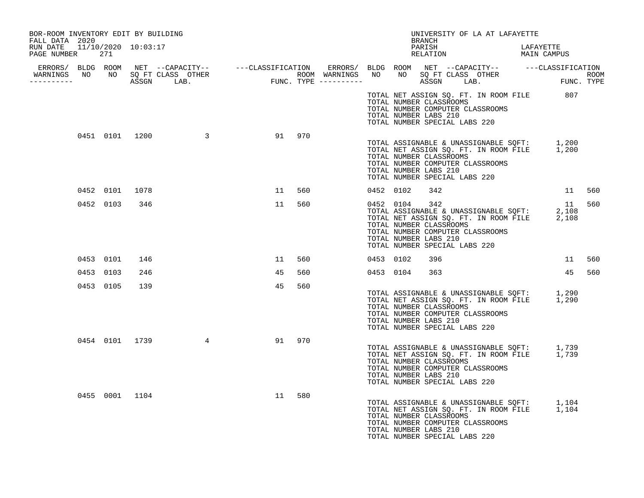| BOR-ROOM INVENTORY EDIT BY BUILDING<br>FALL DATA 2020 |           |                |                                                                                                                                                                                                                                      |    |        |           |           | BRANCH                                                                                   | UNIVERSITY OF LA AT LAFAYETTE                                                                                                  |                                      |        |     |
|-------------------------------------------------------|-----------|----------------|--------------------------------------------------------------------------------------------------------------------------------------------------------------------------------------------------------------------------------------|----|--------|-----------|-----------|------------------------------------------------------------------------------------------|--------------------------------------------------------------------------------------------------------------------------------|--------------------------------------|--------|-----|
| RUN DATE 11/10/2020 10:03:17<br>PAGE NUMBER 271       |           |                |                                                                                                                                                                                                                                      |    |        |           |           | PARISH<br>PARISH<br>RELATION                                                             |                                                                                                                                | LAFAYETTE<br>LAFAILL.<br>MAIN CAMPUS |        |     |
|                                                       |           |                |                                                                                                                                                                                                                                      |    |        |           |           |                                                                                          |                                                                                                                                |                                      |        |     |
|                                                       |           |                | ERRORS/ BLDG ROOM NET --CAPACITY-- ----CLASSIFICATION ERRORS/ BLDG ROOM NET --CAPACITY-- -----CLASSIFICATION<br>WARNINGS NO NO SQFTCLASS OTHER ROOM WARNINGS NO NO SQFTCLASS OTHER ROOM<br>----------- ASSGN LAB. FUNC.TYPE -------- |    |        |           |           |                                                                                          |                                                                                                                                |                                      |        |     |
|                                                       |           |                |                                                                                                                                                                                                                                      |    |        |           |           | TOTAL NUMBER CLASSROOMS<br>TOTAL NUMBER LABS 210<br>TOTAL NUMBER SPECIAL LABS 220        | TOTAL NET ASSIGN SQ. FT. IN ROOM FILE 807<br>TOTAL NUMBER COMPUTER CLASSROOMS                                                  |                                      |        |     |
|                                                       |           |                | 0451 0101 1200 3 91 970                                                                                                                                                                                                              |    |        |           |           | TOTAL NUMBER CLASSROOMS<br>TOTAL NUMBER LABS 210<br>TOTAL NUMBER SPECIAL LABS 220        | TOTAL ASSIGNABLE & UNASSIGNABLE SQFT: 1,200<br>TOTAL NET ASSIGN SQ. FT. IN ROOM FILE 1,200<br>TOTAL NUMBER COMPUTER CLASSROOMS |                                      |        |     |
|                                                       |           | 0452 0101 1078 |                                                                                                                                                                                                                                      |    | 11 560 | 0452 0102 |           | 342                                                                                      |                                                                                                                                |                                      | 11 560 |     |
|                                                       |           | 0452 0103 346  |                                                                                                                                                                                                                                      | 11 | 560    |           | 0452 0104 | 342<br>TOTAL NUMBER CLASSROOMS<br>TOTAL NUMBER LABS 210<br>TOTAL NUMBER SPECIAL LABS 220 | TOTAL ASSIGNABLE & UNASSIGNABLE SQFT: 2,108<br>TOTAL ASSIGNABLE & UNASSIGNABLE SQFT: 2,108<br>TOTAL NUMBER COMPUTER CLASSROOMS |                                      | 11     | 560 |
|                                                       | 0453 0101 | 146            |                                                                                                                                                                                                                                      | 11 | 560    | 0453 0102 |           | 396                                                                                      |                                                                                                                                |                                      | 11 560 |     |
| 0453 0103                                             |           | 246            |                                                                                                                                                                                                                                      | 45 | 560    |           | 0453 0104 | 363                                                                                      |                                                                                                                                |                                      | 45     | 560 |
|                                                       | 0453 0105 | 139            |                                                                                                                                                                                                                                      | 45 | 560    |           |           | TOTAL NUMBER CLASSROOMS<br>TOTAL NUMBER LABS 210<br>TOTAL NUMBER SPECIAL LABS 220        | TOTAL ASSIGNABLE & UNASSIGNABLE SQFT: 1,290<br>TOTAL NET ASSIGN SQ. FT. IN ROOM FILE 1,290<br>TOTAL NUMBER COMPUTER CLASSROOMS |                                      |        |     |
|                                                       |           |                | 0454 0101 1739 4                                                                                                                                                                                                                     |    | 91 970 |           |           | TOTAL NUMBER CLASSROOMS<br>TOTAL NUMBER LABS 210<br>TOTAL NUMBER SPECIAL LABS 220        | TOTAL ASSIGNABLE & UNASSIGNABLE SQFT: 1,739<br>TOTAL NET ASSIGN SQ. FT. IN ROOM FILE 1,739<br>TOTAL NUMBER COMPUTER CLASSROOMS |                                      |        |     |
|                                                       |           |                | 0455 0001 1104                                                                                                                                                                                                                       | 11 | 580    |           |           | TOTAL NUMBER CLASSROOMS<br>TOTAL NUMBER LABS 210<br>TOTAL NUMBER SPECIAL LABS 220        | TOTAL ASSIGNABLE & UNASSIGNABLE SQFT: 1,104<br>TOTAL NET ASSIGN SQ. FT. IN ROOM FILE 1,104<br>TOTAL NUMBER COMPUTER CLASSROOMS |                                      |        |     |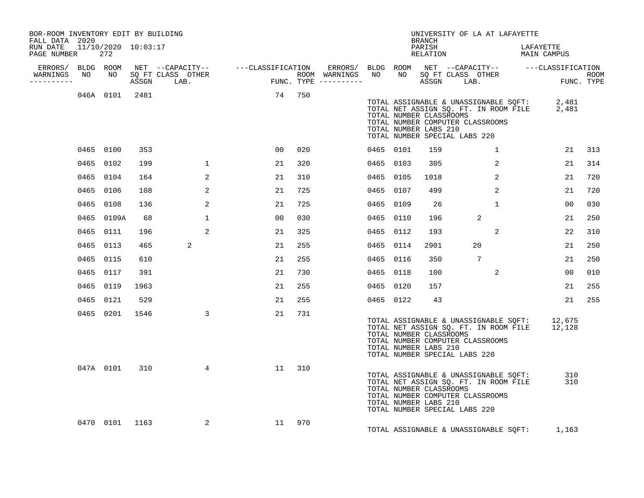| BOR-ROOM INVENTORY EDIT BY BUILDING<br>FALL DATA 2020 |    |                |      |                      |    |        |  |           | <b>BRANCH</b>                                                                     | UNIVERSITY OF LA AT LAFAYETTE                                                                                                    |                          |                |     |
|-------------------------------------------------------|----|----------------|------|----------------------|----|--------|--|-----------|-----------------------------------------------------------------------------------|----------------------------------------------------------------------------------------------------------------------------------|--------------------------|----------------|-----|
| RUN DATE 11/10/2020 10:03:17<br>PAGE NUMBER 272       |    |                |      |                      |    |        |  |           | PARISH<br>RELATION                                                                |                                                                                                                                  | LAFAYETTE<br>MAIN CAMPUS |                |     |
| ERRORS/ BLDG ROOM                                     |    |                |      |                      |    |        |  |           |                                                                                   |                                                                                                                                  |                          |                |     |
| WARNINGS<br>----------                                | NO |                |      | NO SQ FT CLASS OTHER |    |        |  |           |                                                                                   |                                                                                                                                  |                          |                |     |
|                                                       |    | 046A 0101 2481 |      |                      |    | 74 750 |  |           | TOTAL NUMBER CLASSROOMS<br>TOTAL NUMBER LABS 210<br>TOTAL NUMBER SPECIAL LABS 220 | TOTAL ASSIGNABLE & UNASSIGNABLE SQFT: 2,481<br>TOTAL NET ASSIGN SQ. FT. IN ROOM FILE 2,481<br>TOTAL NUMBER COMPUTER CLASSROOMS   |                          |                |     |
|                                                       |    | 0465 0100      | 353  |                      | 00 | 020    |  | 0465 0101 | 159                                                                               | $\mathbf{1}$                                                                                                                     |                          | 21             | 313 |
|                                                       |    | 0465 0102      | 199  | $\mathbf{1}$         | 21 | 320    |  | 0465 0103 | 305                                                                               | 2                                                                                                                                |                          | 21             | 314 |
|                                                       |    | 0465 0104      | 164  | 2                    | 21 | 310    |  | 0465 0105 | 1018                                                                              | 2                                                                                                                                |                          | 21             | 720 |
|                                                       |    | 0465 0106      | 108  | 2                    | 21 | 725    |  | 0465 0107 | 499                                                                               | $\overline{2}$                                                                                                                   |                          | 21             | 720 |
|                                                       |    | 0465 0108      | 136  | 2                    | 21 | 725    |  | 0465 0109 | 26                                                                                | $\mathbf{1}$                                                                                                                     |                          | 00             | 030 |
|                                                       |    | 0465 0109A     | 68   | $\mathbf{1}$         | 00 | 030    |  | 0465 0110 | 196                                                                               | 2                                                                                                                                |                          | 21             | 250 |
|                                                       |    | 0465 0111      | 196  | 2                    | 21 | 325    |  | 0465 0112 | 193                                                                               | 2                                                                                                                                |                          | 22             | 310 |
|                                                       |    | 0465 0113      | 465  | 2                    | 21 | 255    |  | 0465 0114 | 2901                                                                              | 20                                                                                                                               |                          | 21             | 250 |
|                                                       |    | 0465 0115      | 610  |                      | 21 | 255    |  | 0465 0116 | 350                                                                               | $7\overline{ }$                                                                                                                  |                          | 21             | 250 |
|                                                       |    | 0465 0117      | 391  |                      | 21 | 730    |  | 0465 0118 | 100                                                                               | 2                                                                                                                                |                          | 0 <sub>0</sub> | 010 |
|                                                       |    | 0465 0119      | 1963 |                      | 21 | 255    |  | 0465 0120 | 157                                                                               |                                                                                                                                  |                          | 21             | 255 |
|                                                       |    | 0465 0121      | 529  |                      | 21 | 255    |  | 0465 0122 | 43                                                                                |                                                                                                                                  |                          | 21             | 255 |
|                                                       |    | 0465 0201      | 1546 | 3                    | 21 | 731    |  |           | TOTAL NUMBER CLASSROOMS<br>TOTAL NUMBER LABS 210<br>TOTAL NUMBER SPECIAL LABS 220 | TOTAL ASSIGNABLE & UNASSIGNABLE SOFT: 12,675<br>TOTAL NET ASSIGN SQ. FT. IN ROOM FILE 12,128<br>TOTAL NUMBER COMPUTER CLASSROOMS |                          |                |     |
|                                                       |    | 047A 0101      | 310  | 4                    | 11 | 310    |  |           | TOTAL NUMBER CLASSROOMS<br>TOTAL NUMBER LABS 210<br>TOTAL NUMBER SPECIAL LABS 220 | TOTAL ASSIGNABLE & UNASSIGNABLE SQFT:<br>TOTAL NET ASSIGN SQ. FT. IN ROOM FILE<br>TOTAL NUMBER COMPUTER CLASSROOMS               |                          | 310<br>310     |     |
|                                                       |    | 0470 0101 1163 |      | 2                    | 11 | 970    |  |           |                                                                                   | TOTAL ASSIGNABLE & UNASSIGNABLE SOFT: 1,163                                                                                      |                          |                |     |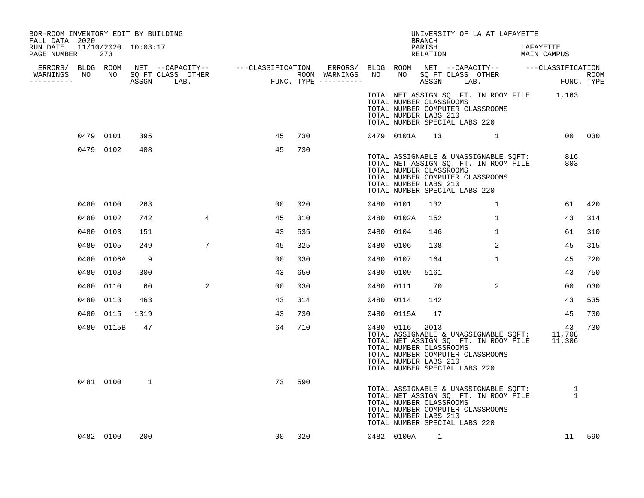| BOR-ROOM INVENTORY EDIT BY BUILDING<br>FALL DATA 2020 |     |            |              |                 |                |     |     |           |                                                                                   | BRANCH             | UNIVERSITY OF LA AT LAFAYETTE                                                                                                    |                          |            |        |
|-------------------------------------------------------|-----|------------|--------------|-----------------|----------------|-----|-----|-----------|-----------------------------------------------------------------------------------|--------------------|----------------------------------------------------------------------------------------------------------------------------------|--------------------------|------------|--------|
| RUN DATE 11/10/2020 10:03:17<br>PAGE NUMBER           | 273 |            |              |                 |                |     |     |           |                                                                                   | PARISH<br>RELATION |                                                                                                                                  | LAFAYETTE<br>MAIN CAMPUS |            |        |
|                                                       |     |            |              |                 |                |     |     |           |                                                                                   |                    |                                                                                                                                  |                          |            |        |
| WARNINGS<br>----------                                |     |            |              |                 |                |     |     |           |                                                                                   |                    |                                                                                                                                  |                          |            |        |
|                                                       |     |            |              |                 |                |     |     |           | TOTAL NUMBER CLASSROOMS<br>TOTAL NUMBER LABS 210<br>TOTAL NUMBER SPECIAL LABS 220 |                    | TOTAL NET ASSIGN SQ. FT. IN ROOM FILE 1,163<br>TOTAL NUMBER COMPUTER CLASSROOMS                                                  |                          |            |        |
|                                                       |     | 0479 0101  | 395          |                 | 45             |     | 730 |           | 0479 0101A                                                                        | 13                 |                                                                                                                                  |                          |            | 00 030 |
|                                                       |     | 0479 0102  | 408          |                 | 45             |     | 730 |           | TOTAL NUMBER CLASSROOMS<br>TOTAL NUMBER LABS 210<br>TOTAL NUMBER SPECIAL LABS 220 |                    | TOTAL ASSIGNABLE & UNASSIGNABLE SQFT:<br>TOTAL NET ASSIGN SQ. FT. IN ROOM FILE<br>TOTAL NUMBER COMPUTER CLASSROOMS               |                          | 816<br>803 |        |
|                                                       |     | 0480 0100  | 263          |                 | 00             |     | 020 | 0480 0101 |                                                                                   | 132                | $\mathbf{1}$                                                                                                                     |                          | 61         | 420    |
|                                                       |     | 0480 0102  | 742          | $4\overline{ }$ | 45             |     | 310 |           | 0480 0102A                                                                        | 152                | $\mathbf{1}$                                                                                                                     |                          | 43         | 314    |
|                                                       |     | 0480 0103  | 151          |                 | 43             |     | 535 | 0480 0104 |                                                                                   | 146                | $\mathbf{1}$                                                                                                                     |                          | 61         | 310    |
|                                                       |     | 0480 0105  | 249          | $7\phantom{.0}$ | 45             |     | 325 | 0480 0106 |                                                                                   | 108                | 2                                                                                                                                |                          | 45         | 315    |
|                                                       |     | 0480 0106A | 9            |                 | 0 <sub>0</sub> |     | 030 | 0480 0107 |                                                                                   | 164                | $\mathbf{1}$                                                                                                                     |                          | 45         | 720    |
|                                                       |     | 0480 0108  | 300          |                 | 43             |     | 650 | 0480 0109 |                                                                                   | 5161               |                                                                                                                                  |                          | 43         | 750    |
|                                                       |     | 0480 0110  | 60           | $\overline{2}$  | 00             |     | 030 | 0480 0111 |                                                                                   | 70                 | 2                                                                                                                                |                          | 00         | 030    |
|                                                       |     | 0480 0113  | 463          |                 | 43             |     | 314 | 0480 0114 |                                                                                   | 142                |                                                                                                                                  |                          | 43         | 535    |
|                                                       |     | 0480 0115  | 1319         |                 | 43             |     | 730 |           | 0480 0115A                                                                        | 17                 |                                                                                                                                  |                          | 45         | 730    |
|                                                       |     | 0480 0115B | 47           |                 | 64             |     | 710 | 0480 0116 | TOTAL NUMBER CLASSROOMS<br>TOTAL NUMBER LABS 210<br>TOTAL NUMBER SPECIAL LABS 220 | 2013               | TOTAL ASSIGNABLE & UNASSIGNABLE SQFT: 11,708<br>TOTAL NET ASSIGN SQ. FT. IN ROOM FILE 11,306<br>TOTAL NUMBER COMPUTER CLASSROOMS |                          | 43         | 730    |
|                                                       |     | 0481 0100  | $\mathbf{1}$ |                 | 73             |     | 590 |           | TOTAL NUMBER CLASSROOMS<br>TOTAL NUMBER LABS 210<br>TOTAL NUMBER SPECIAL LABS 220 |                    | TOTAL ASSIGNABLE & UNASSIGNABLE SQFT: 1<br>TOTAL NET ASSIGN SQ. FT. IN ROOM FILE 1<br>TOTAL NUMBER COMPUTER CLASSROOMS           |                          |            |        |
|                                                       |     | 0482 0100  | 200          |                 | 00             | 020 |     |           | 0482 0100A                                                                        | 1                  |                                                                                                                                  |                          |            | 11 590 |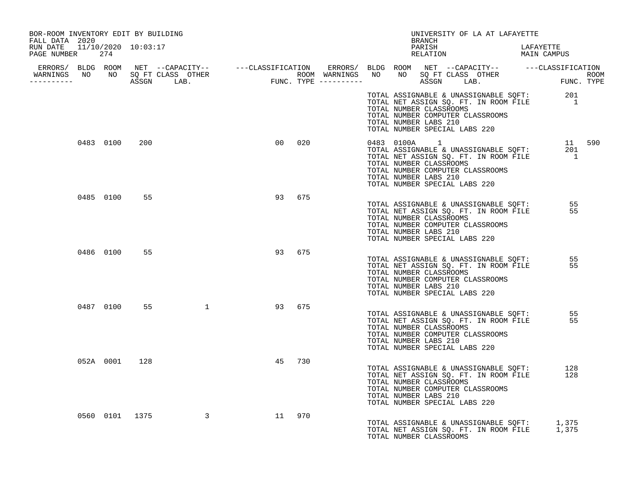| BOR-ROOM INVENTORY EDIT BY BUILDING<br>FALL DATA 2020 |           |               |                                                                                                                                                                                                                                      |    |        |  | UNIVERSITY OF LA AT LAFAYETTE<br>BRANCH                                                                                                                                                                          |            |  |
|-------------------------------------------------------|-----------|---------------|--------------------------------------------------------------------------------------------------------------------------------------------------------------------------------------------------------------------------------------|----|--------|--|------------------------------------------------------------------------------------------------------------------------------------------------------------------------------------------------------------------|------------|--|
| RUN DATE  11/10/2020  10:03:17<br>PAGE NUMBER 274     |           |               |                                                                                                                                                                                                                                      |    |        |  | PARISH<br>PARISH DARISH LAFAYETTE<br>RELATION MAIN CAMPUS                                                                                                                                                        | LAFAYETTE  |  |
|                                                       |           |               | ERRORS/ BLDG ROOM NET --CAPACITY-- ----CLASSIFICATION ERRORS/ BLDG ROOM NET --CAPACITY-- -----CLASSIFICATION<br>WARNINGS NO NO SQFTCLASS OTHER ROOM WARNINGS NO NO SQFTCLASS OTHER ROOM<br>----------- ASSGN LAB. FUNC.TYPE -------- |    |        |  |                                                                                                                                                                                                                  |            |  |
|                                                       |           |               |                                                                                                                                                                                                                                      |    |        |  | TOTAL ASSIGNABLE & UNASSIGNABLE SQFT: 201<br>TOTAL NET ASSIGN SQ. FT. IN ROOM FILE 1<br>TOTAL NUMBER CLASSROOMS<br>TOTAL NUMBER COMPUTER CLASSROOMS<br>TOTAL NUMBER LABS 210<br>TOTAL NUMBER SPECIAL LABS 220    |            |  |
|                                                       | 0483 0100 | 200           |                                                                                                                                                                                                                                      |    | 00 020 |  | TOTAL ASSIGNABLE & UNASSIGNABLE SQFT: 11 590<br>TOTAL NET ASSIGN SQ. FT. IN ROOM FILE 1<br>TOTAL NUMBER CLASSROOMS<br>TOTAL NUMBER COMPUTER CLASSROOMS<br>TOTAL NUMBER LABS 210<br>TOTAL NUMBER SPECIAL LABS 220 |            |  |
|                                                       | 0485 0100 | 55            |                                                                                                                                                                                                                                      |    | 93 675 |  | TOTAL ASSIGNABLE & UNASSIGNABLE SQFT: 55<br>TOTAL NET ASSIGN SQ. FT. IN ROOM FILE<br>TOTAL NUMBER CLASSROOMS<br>TOTAL NUMBER COMPUTER CLASSROOMS<br>TOTAL NUMBER LABS 210<br>TOTAL NUMBER SPECIAL LABS 220       | 55         |  |
|                                                       | 0486 0100 | 55            |                                                                                                                                                                                                                                      |    | 93 675 |  | TOTAL ASSIGNABLE & UNASSIGNABLE SQFT: 55<br>TOTAL NET ASSIGN SQ. FT. IN ROOM FILE<br>TOTAL NUMBER CLASSROOMS<br>TOTAL NUMBER COMPUTER CLASSROOMS<br>TOTAL NUMBER LABS 210<br>TOTAL NUMBER SPECIAL LABS 220       | 55         |  |
|                                                       | 0487 0100 |               | 55 1 93 675                                                                                                                                                                                                                          |    |        |  | TOTAL ASSIGNABLE & UNASSIGNABLE SQFT: 55<br>TOTAL NET ASSIGN SQ. FT. IN ROOM FILE<br>TOTAL NUMBER CLASSROOMS<br>TOTAL NUMBER COMPUTER CLASSROOMS<br>TOTAL NUMBER LABS 210<br>TOTAL NUMBER SPECIAL LABS 220       | 55         |  |
|                                                       |           | 052A 0001 128 |                                                                                                                                                                                                                                      | 45 | 730    |  | TOTAL ASSIGNABLE & UNASSIGNABLE SQFT:<br>TOTAL NET ASSIGN SQ. FT. IN ROOM FILE<br>TOTAL NUMBER CLASSROOMS<br>TOTAL NUMBER COMPUTER CLASSROOMS<br>TOTAL NUMBER LABS 210<br>TOTAL NUMBER SPECIAL LABS 220          | 128<br>128 |  |
|                                                       |           |               | 0560 0101 1375 3 11 970                                                                                                                                                                                                              |    |        |  | TOTAL ASSIGNABLE & UNASSIGNABLE SQFT: 1,375<br>TOTAL NET ASSIGN SQ. FT. IN ROOM FILE 1,375<br>TOTAL NUMBER CLASSROOMS                                                                                            |            |  |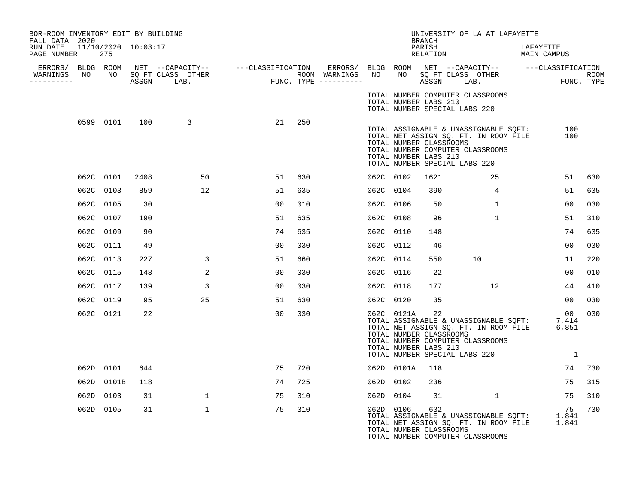| BOR-ROOM INVENTORY EDIT BY BUILDING<br>FALL DATA 2020 |           |            |                     |                 |                |                |     |           |            | <b>BRANCH</b>                                                                           | UNIVERSITY OF LA AT LAFAYETTE                                                                                                                               |                          |                    |        |
|-------------------------------------------------------|-----------|------------|---------------------|-----------------|----------------|----------------|-----|-----------|------------|-----------------------------------------------------------------------------------------|-------------------------------------------------------------------------------------------------------------------------------------------------------------|--------------------------|--------------------|--------|
| RUN DATE<br>PAGE NUMBER 275                           |           |            | 11/10/2020 10:03:17 |                 |                |                |     |           |            | PARISH<br>RELATION                                                                      |                                                                                                                                                             | LAFAYETTE<br>MAIN CAMPUS |                    |        |
| WARNINGS NO NO SQ FT CLASS OTHER<br>-----------       |           |            |                     |                 |                |                |     |           |            |                                                                                         |                                                                                                                                                             |                          | ROOM<br>FUNC. TYPE |        |
|                                                       |           |            |                     |                 |                |                |     |           |            | TOTAL NUMBER LABS 210<br>TOTAL NUMBER SPECIAL LABS 220                                  | TOTAL NUMBER COMPUTER CLASSROOMS                                                                                                                            |                          |                    |        |
|                                                       |           |            |                     | 0599 0101 100 3 |                | 21             | 250 |           |            | TOTAL NUMBER CLASSROOMS<br>TOTAL NUMBER LABS 210<br>TOTAL NUMBER SPECIAL LABS 220       | TOTAL ASSIGNABLE & UNASSIGNABLE SQFT:<br>TOTAL NET ASSIGN SO. FT. IN ROOM FILE<br>TOTAL NET ASSIGN SQ. FT. IN ROOM FILE<br>TOTAL NUMBER COMPUTER CLASSROOMS |                          | 100<br>100         |        |
|                                                       |           | 062C 0101  | 2408                |                 | 50             | 51             | 630 |           | 062C 0102  | 1621                                                                                    | 25                                                                                                                                                          |                          | 51                 | 630    |
|                                                       | 062C 0103 |            | 859                 |                 | 12             | 51             | 635 | 062C 0104 |            | 390                                                                                     | 4                                                                                                                                                           |                          | 51                 | 635    |
|                                                       | 062C 0105 |            | 30                  |                 |                | 00             | 010 | 062C 0106 |            | 50                                                                                      | $\mathbf{1}$                                                                                                                                                |                          | 00                 | 030    |
|                                                       | 062C 0107 |            | 190                 |                 |                | 51             | 635 | 062C 0108 |            | 96                                                                                      | $\mathbf{1}$                                                                                                                                                |                          | 51                 | 310    |
|                                                       | 062C 0109 |            | 90                  |                 |                | 74             | 635 | 062C 0110 |            | 148                                                                                     |                                                                                                                                                             |                          | 74                 | 635    |
|                                                       | 062C 0111 |            | 49                  |                 |                | 00             | 030 | 062C 0112 |            | 46                                                                                      |                                                                                                                                                             |                          | 0 <sub>0</sub>     | 030    |
|                                                       | 062C 0113 |            | 227                 |                 | 3              | 51             | 660 | 062C 0114 |            | 550                                                                                     | 10                                                                                                                                                          |                          | 11                 | 220    |
|                                                       | 062C 0115 |            | 148                 |                 | 2              | 00             | 030 | 062C 0116 |            | 22                                                                                      |                                                                                                                                                             |                          | 00                 | 010    |
|                                                       | 062C 0117 |            | 139                 |                 | $\overline{3}$ | 0 <sub>0</sub> | 030 | 062C 0118 |            | 177                                                                                     | 12                                                                                                                                                          |                          | 44                 | 410    |
|                                                       |           | 062C 0119  | 95                  |                 | 25             | 51             | 630 | 062C 0120 |            | 35                                                                                      |                                                                                                                                                             |                          | 00 <sub>o</sub>    | 030    |
|                                                       |           | 062C 0121  | 22                  |                 |                | 00             | 030 |           | 062C 0121A | 22<br>TOTAL NUMBER CLASSROOMS<br>TOTAL NUMBER LABS 210<br>TOTAL NUMBER SPECIAL LABS 220 | TOTAL ASSIGNABLE & UNASSIGNABLE SQFT: 7,414<br>TOTAL NET ASSIGN SQ. FT. IN ROOM FILE 6,851<br>TOTAL NUMBER COMPUTER CLASSROOMS                              |                          | 0 <sub>0</sub>     | 030    |
|                                                       |           | 062D 0101  | 644                 |                 |                | 75             | 720 |           | 062D 0101A | 118                                                                                     |                                                                                                                                                             |                          |                    | 74 730 |
|                                                       |           | 062D 0101B | 118                 |                 |                | 74             | 725 | 062D 0102 |            | 236                                                                                     |                                                                                                                                                             |                          | 75                 | 315    |
|                                                       |           | 062D 0103  | 31                  |                 | $\mathbf{1}$   | 75             | 310 |           | 062D 0104  | 31                                                                                      | $\sim$ 1                                                                                                                                                    |                          | 75                 | 310    |
|                                                       |           | 062D 0105  | 31                  |                 | $\mathbf 1$    | 75             | 310 | 062D 0106 |            | 632<br>TOTAL NUMBER CLASSROOMS                                                          | 75<br>TOTAL ASSIGNABLE & UNASSIGNABLE SQFT: 1,841<br>TOTAL NET ASSIGN SQ. FT. IN ROOM FILE 1,841<br>TOTAL NUMBER COMPUTER CLASSROOMS                        |                          | 75                 | 730    |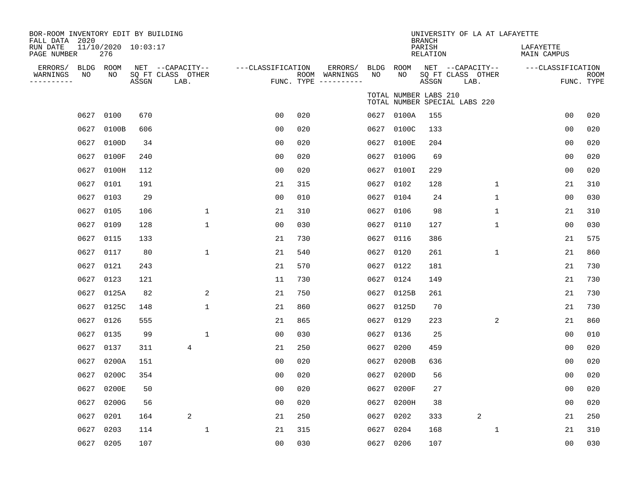| BOR-ROOM INVENTORY EDIT BY BUILDING<br>FALL DATA 2020<br>RUN DATE |           | $11/10/2020$ $10:03:17$ |       |                                               |                   |     |                                                 |            |                       | <b>BRANCH</b><br>PARISH | UNIVERSITY OF LA AT LAFAYETTE                 | LAFAYETTE         |                           |
|-------------------------------------------------------------------|-----------|-------------------------|-------|-----------------------------------------------|-------------------|-----|-------------------------------------------------|------------|-----------------------|-------------------------|-----------------------------------------------|-------------------|---------------------------|
| PAGE NUMBER                                                       |           | 276                     |       |                                               |                   |     |                                                 |            |                       | RELATION                |                                               | MAIN CAMPUS       |                           |
| ERRORS/<br>WARNINGS<br>----------                                 | NO        | BLDG ROOM<br>NO         | ASSGN | NET --CAPACITY--<br>SQ FT CLASS OTHER<br>LAB. | ---CLASSIFICATION |     | ERRORS/<br>ROOM WARNINGS<br>FUNC. TYPE $------$ | BLDG<br>NO | ROOM<br>NO            | ASSGN                   | NET --CAPACITY--<br>SQ FT CLASS OTHER<br>LAB. | ---CLASSIFICATION | <b>ROOM</b><br>FUNC. TYPE |
|                                                                   |           |                         |       |                                               |                   |     |                                                 |            | TOTAL NUMBER LABS 210 |                         | TOTAL NUMBER SPECIAL LABS 220                 |                   |                           |
|                                                                   | 0627      | 0100                    | 670   |                                               | 0 <sub>0</sub>    | 020 |                                                 |            | 0627 0100A            | 155                     |                                               | 0 <sub>0</sub>    | 020                       |
|                                                                   | 0627      | 0100B                   | 606   |                                               | 0 <sub>0</sub>    | 020 |                                                 |            | 0627 0100C            | 133                     |                                               | 0 <sub>0</sub>    | 020                       |
|                                                                   | 0627      | 0100D                   | 34    |                                               | 00                | 020 |                                                 |            | 0627 0100E            | 204                     |                                               | 0 <sub>0</sub>    | 020                       |
|                                                                   | 0627      | 0100F                   | 240   |                                               | 0 <sub>0</sub>    | 020 |                                                 | 0627       | 0100G                 | 69                      |                                               | 00                | 020                       |
|                                                                   | 0627      | 0100H                   | 112   |                                               | 0 <sub>0</sub>    | 020 |                                                 |            | 0627 0100I            | 229                     |                                               | 00                | 020                       |
|                                                                   | 0627      | 0101                    | 191   |                                               | 21                | 315 |                                                 | 0627       | 0102                  | 128                     | 1                                             | 21                | 310                       |
|                                                                   | 0627      | 0103                    | 29    |                                               | 0 <sub>0</sub>    | 010 |                                                 |            | 0627 0104             | 24                      | $\mathbf 1$                                   | 0 <sub>0</sub>    | 030                       |
|                                                                   | 0627      | 0105                    | 106   | 1                                             | 21                | 310 |                                                 |            | 0627 0106             | 98                      | 1                                             | 21                | 310                       |
|                                                                   | 0627      | 0109                    | 128   | $\mathbf{1}$                                  | 0 <sub>0</sub>    | 030 |                                                 | 0627       | 0110                  | 127                     | $\mathbf{1}$                                  | 00                | 030                       |
|                                                                   | 0627      | 0115                    | 133   |                                               | 21                | 730 |                                                 |            | 0627 0116             | 386                     |                                               | 21                | 575                       |
|                                                                   | 0627      | 0117                    | 80    | $\mathbf{1}$                                  | 21                | 540 |                                                 |            | 0627 0120             | 261                     | $\mathbf 1$                                   | 21                | 860                       |
|                                                                   | 0627      | 0121                    | 243   |                                               | 21                | 570 |                                                 |            | 0627 0122             | 181                     |                                               | 21                | 730                       |
|                                                                   | 0627      | 0123                    | 121   |                                               | 11                | 730 |                                                 | 0627       | 0124                  | 149                     |                                               | 21                | 730                       |
|                                                                   | 0627      | 0125A                   | 82    | 2                                             | 21                | 750 |                                                 |            | 0627 0125B            | 261                     |                                               | 21                | 730                       |
|                                                                   | 0627      | 0125C                   | 148   | $\mathbf{1}$                                  | 21                | 860 |                                                 |            | 0627 0125D            | 70                      |                                               | 21                | 730                       |
|                                                                   | 0627      | 0126                    | 555   |                                               | 21                | 865 |                                                 |            | 0627 0129             | 223                     | 2                                             | 21                | 860                       |
|                                                                   | 0627      | 0135                    | 99    | $\mathbf{1}$                                  | 0 <sub>0</sub>    | 030 |                                                 |            | 0627 0136             | 25                      |                                               | 00                | 010                       |
|                                                                   | 0627      | 0137                    | 311   | 4                                             | 21                | 250 |                                                 | 0627       | 0200                  | 459                     |                                               | 00                | 020                       |
|                                                                   | 0627      | 0200A                   | 151   |                                               | 0 <sub>0</sub>    | 020 |                                                 |            | 0627 0200B            | 636                     |                                               | 0 <sub>0</sub>    | 020                       |
|                                                                   | 0627      | 0200C                   | 354   |                                               | 0 <sub>0</sub>    | 020 |                                                 | 0627       | 0200D                 | 56                      |                                               | 0 <sub>0</sub>    | 020                       |
|                                                                   | 0627      | 0200E                   | 50    |                                               | 0 <sub>0</sub>    | 020 |                                                 | 0627       | 0200F                 | 27                      |                                               | 0 <sub>0</sub>    | 020                       |
|                                                                   | 0627      | 0200G                   | 56    |                                               | 0 <sub>0</sub>    | 020 |                                                 | 0627       | 0200H                 | 38                      |                                               | 0 <sub>0</sub>    | 020                       |
|                                                                   | 0627      | 0201                    | 164   | 2                                             | 21                | 250 |                                                 | 0627       | 0202                  | 333                     | 2                                             | 21                | 250                       |
|                                                                   | 0627      | 0203                    | 114   | $\mathbf{1}$                                  | 21                | 315 |                                                 | 0627       | 0204                  | 168                     | 1                                             | 21                | 310                       |
|                                                                   | 0627 0205 |                         | 107   |                                               | 0 <sub>0</sub>    | 030 |                                                 |            | 0627 0206             | 107                     |                                               | 0 <sub>0</sub>    | 030                       |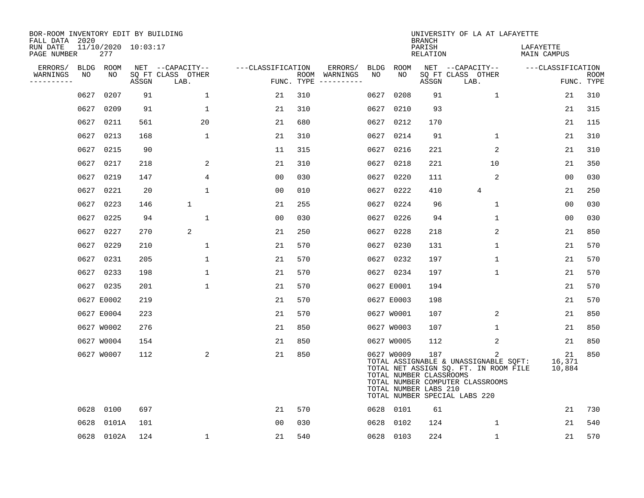| BOR-ROOM INVENTORY EDIT BY BUILDING<br>FALL DATA 2020 |      |                            |       |                           |                   |                    |                                                                                                                                                                                                                                                                                                                                                                                                                                                                                         |             |                                                                | <b>BRANCH</b>             | UNIVERSITY OF LA AT LAFAYETTE                                                                                                                            |                          |                           |
|-------------------------------------------------------|------|----------------------------|-------|---------------------------|-------------------|--------------------|-----------------------------------------------------------------------------------------------------------------------------------------------------------------------------------------------------------------------------------------------------------------------------------------------------------------------------------------------------------------------------------------------------------------------------------------------------------------------------------------|-------------|----------------------------------------------------------------|---------------------------|----------------------------------------------------------------------------------------------------------------------------------------------------------|--------------------------|---------------------------|
| RUN DATE<br>PAGE NUMBER                               |      | 11/10/2020 10:03:17<br>277 |       |                           |                   |                    |                                                                                                                                                                                                                                                                                                                                                                                                                                                                                         |             |                                                                | PARISH<br><b>RELATION</b> |                                                                                                                                                          | LAFAYETTE<br>MAIN CAMPUS |                           |
| ERRORS/                                               |      | BLDG ROOM                  |       | NET --CAPACITY--          | ---CLASSIFICATION |                    | ERRORS/                                                                                                                                                                                                                                                                                                                                                                                                                                                                                 | <b>BLDG</b> | ROOM                                                           |                           | NET --CAPACITY--                                                                                                                                         | ---CLASSIFICATION        |                           |
| WARNINGS<br>----------                                | NO   | NO                         | ASSGN | SQ FT CLASS OTHER<br>LAB. |                   | ROOM<br>FUNC. TYPE | WARNINGS<br>$\begin{tabular}{ccccccccc} \multicolumn{2}{c }{\multicolumn{2}{c }{\multicolumn{2}{c }{\multicolumn{2}{c }{\multicolumn{2}{c}}}} & \multicolumn{2}{c }{\multicolumn{2}{c }{\multicolumn{2}{c }{\multicolumn{2}{c}}}} & \multicolumn{2}{c }{\multicolumn{2}{c }{\multicolumn{2}{c }{\multicolumn{2}{c}}}} & \multicolumn{2}{c }{\multicolumn{2}{c }{\multicolumn{2}{c }{\multicolumn{2}{c}}}} & \multicolumn{2}{c }{\multicolumn{2}{c }{\multicolumn{2}{c }{\multicolumn{2$ | NO          | NO                                                             | ASSGN                     | SQ FT CLASS OTHER<br>LAB.                                                                                                                                |                          | <b>ROOM</b><br>FUNC. TYPE |
|                                                       | 0627 | 0207                       | 91    | $\mathbf{1}$              | 21                | 310                |                                                                                                                                                                                                                                                                                                                                                                                                                                                                                         | 0627        | 0208                                                           | 91                        | $\mathbf 1$                                                                                                                                              | 21                       | 310                       |
|                                                       | 0627 | 0209                       | 91    | $\mathbf{1}$              | 21                | 310                |                                                                                                                                                                                                                                                                                                                                                                                                                                                                                         | 0627        | 0210                                                           | 93                        |                                                                                                                                                          | 21                       | 315                       |
|                                                       | 0627 | 0211                       | 561   | 20                        | 21                | 680                |                                                                                                                                                                                                                                                                                                                                                                                                                                                                                         | 0627        | 0212                                                           | 170                       |                                                                                                                                                          | 21                       | 115                       |
|                                                       | 0627 | 0213                       | 168   | $\mathbf 1$               | 21                | 310                |                                                                                                                                                                                                                                                                                                                                                                                                                                                                                         |             | 0627 0214                                                      | 91                        | $\mathbf 1$                                                                                                                                              | 21                       | 310                       |
|                                                       | 0627 | 0215                       | 90    |                           | 11                | 315                |                                                                                                                                                                                                                                                                                                                                                                                                                                                                                         |             | 0627 0216                                                      | 221                       | 2                                                                                                                                                        | 21                       | 310                       |
|                                                       | 0627 | 0217                       | 218   | 2                         | 21                | 310                |                                                                                                                                                                                                                                                                                                                                                                                                                                                                                         |             | 0627 0218                                                      | 221                       | 10                                                                                                                                                       | 21                       | 350                       |
|                                                       | 0627 | 0219                       | 147   | $\overline{4}$            | 0 <sub>0</sub>    | 030                |                                                                                                                                                                                                                                                                                                                                                                                                                                                                                         | 0627        | 0220                                                           | 111                       | 2                                                                                                                                                        | 00                       | 030                       |
|                                                       | 0627 | 0221                       | 20    | $\mathbf{1}$              | 0 <sub>0</sub>    | 010                |                                                                                                                                                                                                                                                                                                                                                                                                                                                                                         |             | 0627 0222                                                      | 410                       | $\overline{4}$                                                                                                                                           | 21                       | 250                       |
|                                                       | 0627 | 0223                       | 146   | $\mathbf{1}$              | 21                | 255                |                                                                                                                                                                                                                                                                                                                                                                                                                                                                                         | 0627        | 0224                                                           | 96                        | $\mathbf 1$                                                                                                                                              | 0 <sub>0</sub>           | 030                       |
|                                                       |      | 0627 0225                  | 94    | 1                         | 0 <sub>0</sub>    | 030                |                                                                                                                                                                                                                                                                                                                                                                                                                                                                                         |             | 0627 0226                                                      | 94                        | $\mathbf 1$                                                                                                                                              | 0 <sub>0</sub>           | 030                       |
|                                                       | 0627 | 0227                       | 270   | 2                         | 21                | 250                |                                                                                                                                                                                                                                                                                                                                                                                                                                                                                         | 0627        | 0228                                                           | 218                       | 2                                                                                                                                                        | 21                       | 850                       |
|                                                       |      | 0627 0229                  | 210   | 1                         | 21                | 570                |                                                                                                                                                                                                                                                                                                                                                                                                                                                                                         |             | 0627 0230                                                      | 131                       | $\mathbf 1$                                                                                                                                              | 21                       | 570                       |
|                                                       | 0627 | 0231                       | 205   | 1                         | 21                | 570                |                                                                                                                                                                                                                                                                                                                                                                                                                                                                                         | 0627        | 0232                                                           | 197                       | $\mathbf{1}$                                                                                                                                             | 21                       | 570                       |
|                                                       | 0627 | 0233                       | 198   | 1                         | 21                | 570                |                                                                                                                                                                                                                                                                                                                                                                                                                                                                                         |             | 0627 0234                                                      | 197                       | $\mathbf 1$                                                                                                                                              | 21                       | 570                       |
|                                                       |      | 0627 0235                  | 201   | 1                         | 21                | 570                |                                                                                                                                                                                                                                                                                                                                                                                                                                                                                         |             | 0627 E0001                                                     | 194                       |                                                                                                                                                          | 21                       | 570                       |
|                                                       |      | 0627 E0002                 | 219   |                           | 21                | 570                |                                                                                                                                                                                                                                                                                                                                                                                                                                                                                         |             | 0627 E0003                                                     | 198                       |                                                                                                                                                          | 21                       | 570                       |
|                                                       |      | 0627 E0004                 | 223   |                           | 21                | 570                |                                                                                                                                                                                                                                                                                                                                                                                                                                                                                         |             | 0627 W0001                                                     | 107                       | 2                                                                                                                                                        | 21                       | 850                       |
|                                                       |      | 0627 W0002                 | 276   |                           | 21                | 850                |                                                                                                                                                                                                                                                                                                                                                                                                                                                                                         |             | 0627 W0003                                                     | 107                       | $\mathbf 1$                                                                                                                                              | 21                       | 850                       |
|                                                       |      | 0627 W0004                 | 154   |                           | 21                | 850                |                                                                                                                                                                                                                                                                                                                                                                                                                                                                                         |             | 0627 W0005                                                     | 112                       | 2                                                                                                                                                        | 21                       | 850                       |
|                                                       |      | 0627 W0007                 | 112   | 2                         | 21                | 850                |                                                                                                                                                                                                                                                                                                                                                                                                                                                                                         |             | 0627 W0009<br>TOTAL NUMBER CLASSROOMS<br>TOTAL NUMBER LABS 210 | 187                       | 2<br>TOTAL ASSIGNABLE & UNASSIGNABLE SQFT:<br>TOTAL NET ASSIGN SQ. FT. IN ROOM FILE<br>TOTAL NUMBER COMPUTER CLASSROOMS<br>TOTAL NUMBER SPECIAL LABS 220 | 21<br>16,371<br>10,884   | 850                       |
|                                                       | 0628 | 0100                       | 697   |                           | 21                | 570                |                                                                                                                                                                                                                                                                                                                                                                                                                                                                                         |             | 0628 0101                                                      | 61                        |                                                                                                                                                          | 21                       | 730                       |
|                                                       | 0628 | 0101A                      | 101   |                           | 0 <sub>0</sub>    | 030                |                                                                                                                                                                                                                                                                                                                                                                                                                                                                                         | 0628        | 0102                                                           | 124                       | $\mathbf{1}$                                                                                                                                             | 21                       | 540                       |
|                                                       |      | 0628 0102A                 | 124   | $\mathbf 1$               | 21                | 540                |                                                                                                                                                                                                                                                                                                                                                                                                                                                                                         |             | 0628 0103                                                      | 224                       | $\mathbf 1$                                                                                                                                              | 21                       | 570                       |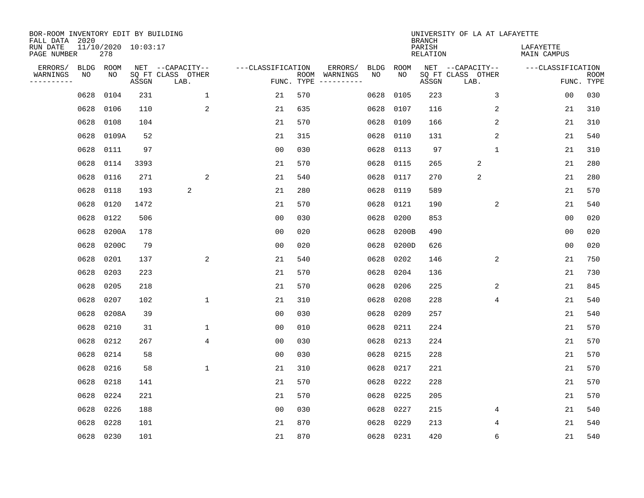| BOR-ROOM INVENTORY EDIT BY BUILDING<br>FALL DATA 2020 |           |                            |       |                           |                   |                    |          |             |             | <b>BRANCH</b>             | UNIVERSITY OF LA AT LAFAYETTE |                          |                           |
|-------------------------------------------------------|-----------|----------------------------|-------|---------------------------|-------------------|--------------------|----------|-------------|-------------|---------------------------|-------------------------------|--------------------------|---------------------------|
| RUN DATE<br>PAGE NUMBER                               |           | 11/10/2020 10:03:17<br>278 |       |                           |                   |                    |          |             |             | PARISH<br><b>RELATION</b> |                               | LAFAYETTE<br>MAIN CAMPUS |                           |
| ERRORS/                                               | BLDG      | ROOM                       |       | NET --CAPACITY--          | ---CLASSIFICATION |                    | ERRORS/  | <b>BLDG</b> | <b>ROOM</b> |                           | NET --CAPACITY--              | ---CLASSIFICATION        |                           |
| WARNINGS<br>----------                                | ΝO        | NO                         | ASSGN | SQ FT CLASS OTHER<br>LAB. |                   | ROOM<br>FUNC. TYPE | WARNINGS | NO          | NO          | ASSGN                     | SQ FT CLASS OTHER<br>LAB.     |                          | <b>ROOM</b><br>FUNC. TYPE |
|                                                       | 0628      | 0104                       | 231   | 1                         | 21                | 570                |          | 0628        | 0105        | 223                       | 3                             | 00                       | 030                       |
|                                                       | 0628      | 0106                       | 110   | $\sqrt{2}$                | 21                | 635                |          | 0628        | 0107        | 116                       | 2                             | 21                       | 310                       |
|                                                       | 0628      | 0108                       | 104   |                           | 21                | 570                |          | 0628        | 0109        | 166                       | $\overline{c}$                | 21                       | 310                       |
|                                                       | 0628      | 0109A                      | 52    |                           | 21                | 315                |          | 0628        | 0110        | 131                       | 2                             | 21                       | 540                       |
|                                                       | 0628      | 0111                       | 97    |                           | 0 <sub>0</sub>    | 030                |          | 0628        | 0113        | 97                        | $\mathbf{1}$                  | 21                       | 310                       |
|                                                       | 0628      | 0114                       | 3393  |                           | 21                | 570                |          | 0628        | 0115        | 265                       | 2                             | 21                       | 280                       |
|                                                       | 0628      | 0116                       | 271   | 2                         | 21                | 540                |          | 0628        | 0117        | 270                       | 2                             | 21                       | 280                       |
|                                                       | 0628      | 0118                       | 193   | 2                         | 21                | 280                |          | 0628        | 0119        | 589                       |                               | 21                       | 570                       |
|                                                       | 0628      | 0120                       | 1472  |                           | 21                | 570                |          | 0628        | 0121        | 190                       | 2                             | 21                       | 540                       |
|                                                       | 0628      | 0122                       | 506   |                           | 0 <sub>0</sub>    | 030                |          | 0628        | 0200        | 853                       |                               | 0 <sub>0</sub>           | 020                       |
|                                                       | 0628      | 0200A                      | 178   |                           | 0 <sub>0</sub>    | 020                |          | 0628        | 0200B       | 490                       |                               | 0 <sub>0</sub>           | 020                       |
|                                                       | 0628      | 0200C                      | 79    |                           | 0 <sub>0</sub>    | 020                |          | 0628        | 0200D       | 626                       |                               | 0 <sub>0</sub>           | 020                       |
|                                                       | 0628      | 0201                       | 137   | 2                         | 21                | 540                |          | 0628        | 0202        | 146                       | 2                             | 21                       | 750                       |
|                                                       | 0628      | 0203                       | 223   |                           | 21                | 570                |          | 0628        | 0204        | 136                       |                               | 21                       | 730                       |
|                                                       | 0628      | 0205                       | 218   |                           | 21                | 570                |          | 0628        | 0206        | 225                       | 2                             | 21                       | 845                       |
|                                                       | 0628      | 0207                       | 102   | $\mathbf{1}$              | 21                | 310                |          | 0628        | 0208        | 228                       | $\overline{4}$                | 21                       | 540                       |
|                                                       | 0628      | 0208A                      | 39    |                           | 0 <sub>0</sub>    | 030                |          | 0628        | 0209        | 257                       |                               | 21                       | 540                       |
|                                                       | 0628      | 0210                       | 31    | 1                         | 00                | 010                |          | 0628        | 0211        | 224                       |                               | 21                       | 570                       |
|                                                       | 0628      | 0212                       | 267   | 4                         | 0 <sub>0</sub>    | 030                |          | 0628        | 0213        | 224                       |                               | 21                       | 570                       |
|                                                       | 0628      | 0214                       | 58    |                           | 0 <sub>0</sub>    | 030                |          | 0628        | 0215        | 228                       |                               | 21                       | 570                       |
|                                                       | 0628      | 0216                       | 58    | 1                         | 21                | 310                |          | 0628        | 0217        | 221                       |                               | 21                       | 570                       |
|                                                       | 0628      | 0218                       | 141   |                           | 21                | 570                |          | 0628        | 0222        | 228                       |                               | 21                       | 570                       |
|                                                       | 0628      | 0224                       | 221   |                           | 21                | 570                |          | 0628        | 0225        | 205                       |                               | 21                       | 570                       |
|                                                       | 0628      | 0226                       | 188   |                           | 0 <sub>0</sub>    | 030                |          | 0628        | 0227        | 215                       | 4                             | 21                       | 540                       |
|                                                       | 0628      | 0228                       | 101   |                           | 21                | 870                |          | 0628        | 0229        | 213                       | 4                             | 21                       | 540                       |
|                                                       | 0628 0230 |                            | 101   |                           | 21                | 870                |          |             | 0628 0231   | 420                       | 6                             | 21                       | 540                       |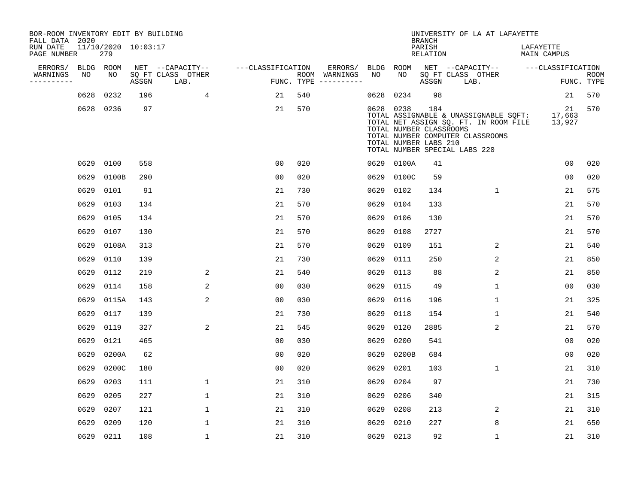| BOR-ROOM INVENTORY EDIT BY BUILDING<br>FALL DATA 2020 |      |                            |       |                           |                   |                                      |           |                                                               | <b>BRANCH</b>             | UNIVERSITY OF LA AT LAFAYETTE                                                                                                                       |                          |                           |
|-------------------------------------------------------|------|----------------------------|-------|---------------------------|-------------------|--------------------------------------|-----------|---------------------------------------------------------------|---------------------------|-----------------------------------------------------------------------------------------------------------------------------------------------------|--------------------------|---------------------------|
| RUN DATE<br>PAGE NUMBER                               |      | 11/10/2020 10:03:17<br>279 |       |                           |                   |                                      |           |                                                               | PARISH<br><b>RELATION</b> |                                                                                                                                                     | LAFAYETTE<br>MAIN CAMPUS |                           |
| ERRORS/                                               |      | BLDG ROOM                  |       | NET --CAPACITY--          | ---CLASSIFICATION | ERRORS/                              | BLDG      | ROOM                                                          |                           | NET --CAPACITY--                                                                                                                                    | ---CLASSIFICATION        |                           |
| WARNINGS<br>----------                                | NO   | NO                         | ASSGN | SQ FT CLASS OTHER<br>LAB. |                   | ROOM WARNINGS<br>FUNC. TYPE $------$ | NO        | NO                                                            | ASSGN                     | SQ FT CLASS OTHER<br>LAB.                                                                                                                           |                          | <b>ROOM</b><br>FUNC. TYPE |
|                                                       | 0628 | 0232                       | 196   | 4                         | 21                | 540                                  | 0628      | 0234                                                          | 98                        |                                                                                                                                                     | 21                       | 570                       |
|                                                       |      | 0628 0236                  | 97    |                           | 21                | 570                                  |           | 0628 0238<br>TOTAL NUMBER CLASSROOMS<br>TOTAL NUMBER LABS 210 | 184                       | TOTAL ASSIGNABLE & UNASSIGNABLE SQFT:<br>TOTAL NET ASSIGN SQ. FT. IN ROOM FILE<br>TOTAL NUMBER COMPUTER CLASSROOMS<br>TOTAL NUMBER SPECIAL LABS 220 | 21<br>17,663<br>13,927   | 570                       |
|                                                       | 0629 | 0100                       | 558   |                           | 0 <sub>0</sub>    | 020                                  |           | 0629 0100A                                                    | 41                        |                                                                                                                                                     | 0 <sub>0</sub>           | 020                       |
|                                                       | 0629 | 0100B                      | 290   |                           | 0 <sub>0</sub>    | 020                                  | 0629      | 0100C                                                         | 59                        |                                                                                                                                                     | 0 <sub>0</sub>           | 020                       |
|                                                       | 0629 | 0101                       | 91    |                           | 21                | 730                                  | 0629      | 0102                                                          | 134                       | $\mathbf{1}$                                                                                                                                        | 21                       | 575                       |
|                                                       | 0629 | 0103                       | 134   |                           | 21                | 570                                  | 0629      | 0104                                                          | 133                       |                                                                                                                                                     | 21                       | 570                       |
|                                                       | 0629 | 0105                       | 134   |                           | 21                | 570                                  | 0629      | 0106                                                          | 130                       |                                                                                                                                                     | 21                       | 570                       |
|                                                       | 0629 | 0107                       | 130   |                           | 21                | 570                                  | 0629      | 0108                                                          | 2727                      |                                                                                                                                                     | 21                       | 570                       |
|                                                       | 0629 | 0108A                      | 313   |                           | 21                | 570                                  | 0629      | 0109                                                          | 151                       | 2                                                                                                                                                   | 21                       | 540                       |
|                                                       | 0629 | 0110                       | 139   |                           | 21                | 730                                  | 0629      | 0111                                                          | 250                       | 2                                                                                                                                                   | 21                       | 850                       |
|                                                       | 0629 | 0112                       | 219   | 2                         | 21                | 540                                  | 0629      | 0113                                                          | 88                        | 2                                                                                                                                                   | 21                       | 850                       |
|                                                       | 0629 | 0114                       | 158   | 2                         | 0 <sub>0</sub>    | 030                                  | 0629      | 0115                                                          | 49                        | 1                                                                                                                                                   | 0 <sub>0</sub>           | 030                       |
|                                                       | 0629 | 0115A                      | 143   | 2                         | 0 <sub>0</sub>    | 030                                  | 0629      | 0116                                                          | 196                       | 1                                                                                                                                                   | 21                       | 325                       |
|                                                       | 0629 | 0117                       | 139   |                           | 21                | 730                                  | 0629      | 0118                                                          | 154                       | 1                                                                                                                                                   | 21                       | 540                       |
|                                                       | 0629 | 0119                       | 327   | 2                         | 21                | 545                                  | 0629      | 0120                                                          | 2885                      | 2                                                                                                                                                   | 21                       | 570                       |
|                                                       | 0629 | 0121                       | 465   |                           | 0 <sub>0</sub>    | 030                                  | 0629      | 0200                                                          | 541                       |                                                                                                                                                     | 00                       | 020                       |
|                                                       | 0629 | 0200A                      | 62    |                           | 0 <sub>0</sub>    | 020                                  | 0629      | 0200B                                                         | 684                       |                                                                                                                                                     | 0 <sub>0</sub>           | 020                       |
|                                                       | 0629 | 0200C                      | 180   |                           | 0 <sub>0</sub>    | 020                                  | 0629      | 0201                                                          | 103                       | 1                                                                                                                                                   | 21                       | 310                       |
|                                                       | 0629 | 0203                       | 111   | $\mathbf{1}$              | 21                | 310                                  | 0629      | 0204                                                          | 97                        |                                                                                                                                                     | 21                       | 730                       |
|                                                       | 0629 | 0205                       | 227   | $\mathbf 1$               | 21                | 310                                  | 0629      | 0206                                                          | 340                       |                                                                                                                                                     | 21                       | 315                       |
|                                                       | 0629 | 0207                       | 121   | $\mathbf 1$               | 21                | 310                                  | 0629      | 0208                                                          | 213                       | 2                                                                                                                                                   | 21                       | 310                       |
|                                                       | 0629 | 0209                       | 120   | $\mathbf{1}$              | 21                | 310                                  | 0629      | 0210                                                          | 227                       | 8                                                                                                                                                   | 21                       | 650                       |
|                                                       |      | 0629 0211                  | 108   | $\mathbf{1}$              | 21                | 310                                  | 0629 0213 |                                                               | 92                        | $\mathbf{1}$                                                                                                                                        | 21                       | 310                       |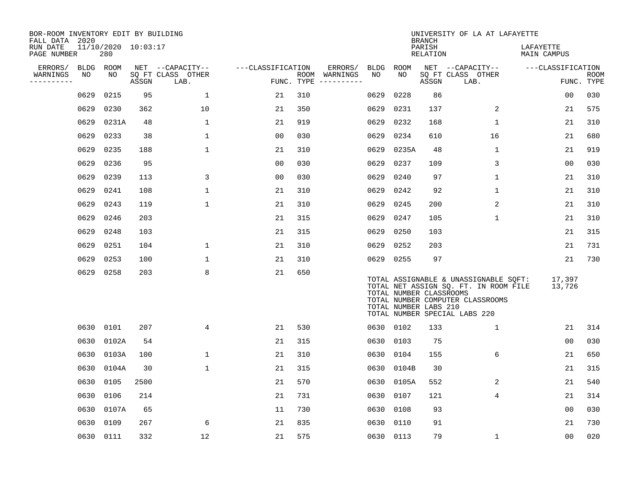| BOR-ROOM INVENTORY EDIT BY BUILDING<br>FALL DATA 2020 |             |                            |       |                           |                   |            |               |             |           | <b>BRANCH</b>                                    | UNIVERSITY OF LA AT LAFAYETTE                                                                                                                       |                          |                           |
|-------------------------------------------------------|-------------|----------------------------|-------|---------------------------|-------------------|------------|---------------|-------------|-----------|--------------------------------------------------|-----------------------------------------------------------------------------------------------------------------------------------------------------|--------------------------|---------------------------|
| RUN DATE<br>PAGE NUMBER                               |             | 11/10/2020 10:03:17<br>280 |       |                           |                   |            |               |             |           | PARISH<br>RELATION                               |                                                                                                                                                     | LAFAYETTE<br>MAIN CAMPUS |                           |
| ERRORS/                                               | <b>BLDG</b> | ROOM                       |       | NET --CAPACITY--          | ---CLASSIFICATION |            | ERRORS/       | <b>BLDG</b> | ROOM      |                                                  | NET --CAPACITY--                                                                                                                                    | ---CLASSIFICATION        |                           |
| WARNINGS<br>----------                                | NO          | NO                         | ASSGN | SQ FT CLASS OTHER<br>LAB. |                   | FUNC. TYPE | ROOM WARNINGS | NO          | NO.       | ASSGN                                            | SQ FT CLASS OTHER<br>LAB.                                                                                                                           |                          | <b>ROOM</b><br>FUNC. TYPE |
|                                                       | 0629        | 0215                       | 95    | $\mathbf 1$               | 21                | 310        |               | 0629        | 0228      | 86                                               |                                                                                                                                                     | 0 <sub>0</sub>           | 030                       |
|                                                       | 0629        | 0230                       | 362   | 10                        | 21                | 350        |               | 0629        | 0231      | 137                                              | 2                                                                                                                                                   | 21                       | 575                       |
|                                                       | 0629        | 0231A                      | 48    | $\mathbf 1$               | 21                | 919        |               | 0629        | 0232      | 168                                              | $\mathbf 1$                                                                                                                                         | 21                       | 310                       |
|                                                       | 0629        | 0233                       | 38    | $\mathbf 1$               | 0 <sub>0</sub>    | 030        |               | 0629        | 0234      | 610                                              | 16                                                                                                                                                  | 21                       | 680                       |
|                                                       | 0629        | 0235                       | 188   | $\mathbf 1$               | 21                | 310        |               | 0629        | 0235A     | 48                                               | $\mathbf 1$                                                                                                                                         | 21                       | 919                       |
|                                                       | 0629        | 0236                       | 95    |                           | 0 <sub>0</sub>    | 030        |               | 0629        | 0237      | 109                                              | 3                                                                                                                                                   | 0 <sub>0</sub>           | 030                       |
|                                                       | 0629        | 0239                       | 113   | 3                         | 0 <sub>0</sub>    | 030        |               | 0629        | 0240      | 97                                               | $\mathbf{1}$                                                                                                                                        | 21                       | 310                       |
|                                                       | 0629        | 0241                       | 108   | $\mathbf 1$               | 21                | 310        |               | 0629        | 0242      | 92                                               | $\mathbf 1$                                                                                                                                         | 21                       | 310                       |
|                                                       | 0629        | 0243                       | 119   | $\mathbf 1$               | 21                | 310        |               | 0629        | 0245      | 200                                              | 2                                                                                                                                                   | 21                       | 310                       |
|                                                       | 0629        | 0246                       | 203   |                           | 21                | 315        |               | 0629        | 0247      | 105                                              | 1                                                                                                                                                   | 21                       | 310                       |
|                                                       | 0629        | 0248                       | 103   |                           | 21                | 315        |               | 0629        | 0250      | 103                                              |                                                                                                                                                     | 21                       | 315                       |
|                                                       | 0629        | 0251                       | 104   | $\mathbf{1}$              | 21                | 310        |               | 0629        | 0252      | 203                                              |                                                                                                                                                     | 21                       | 731                       |
|                                                       | 0629        | 0253                       | 100   | 1                         | 21                | 310        |               |             | 0629 0255 | 97                                               |                                                                                                                                                     | 21                       | 730                       |
|                                                       | 0629        | 0258                       | 203   | 8                         | 21                | 650        |               |             |           | TOTAL NUMBER CLASSROOMS<br>TOTAL NUMBER LABS 210 | TOTAL ASSIGNABLE & UNASSIGNABLE SQFT:<br>TOTAL NET ASSIGN SQ. FT. IN ROOM FILE<br>TOTAL NUMBER COMPUTER CLASSROOMS<br>TOTAL NUMBER SPECIAL LABS 220 | 17,397<br>13,726         |                           |
|                                                       | 0630        | 0101                       | 207   | 4                         | 21                | 530        |               |             | 0630 0102 | 133                                              | $\mathbf{1}$                                                                                                                                        | 21                       | 314                       |
|                                                       | 0630        | 0102A                      | 54    |                           | 21                | 315        |               | 0630        | 0103      | 75                                               |                                                                                                                                                     | 0 <sub>0</sub>           | 030                       |
|                                                       | 0630        | 0103A                      | 100   | $\mathbf{1}$              | 21                | 310        |               | 0630        | 0104      | 155                                              | 6                                                                                                                                                   | 21                       | 650                       |
|                                                       | 0630        | 0104A                      | 30    | 1                         | 21                | 315        |               | 0630        | 0104B     | 30                                               |                                                                                                                                                     | 21                       | 315                       |
|                                                       | 0630        | 0105                       | 2500  |                           | 21                | 570        |               | 0630        | 0105A     | 552                                              | 2                                                                                                                                                   | 21                       | 540                       |
|                                                       | 0630        | 0106                       | 214   |                           | 21                | 731        |               | 0630        | 0107      | 121                                              | 4                                                                                                                                                   | 21                       | 314                       |
|                                                       | 0630        | 0107A                      | 65    |                           | 11                | 730        |               | 0630        | 0108      | 93                                               |                                                                                                                                                     | 0 <sub>0</sub>           | 030                       |
|                                                       | 0630        | 0109                       | 267   | 6                         | 21                | 835        |               | 0630        | 0110      | 91                                               |                                                                                                                                                     | 21                       | 730                       |
|                                                       | 0630        | 0111                       | 332   | 12                        | 21                | 575        |               |             | 0630 0113 | 79                                               | $\mathbf 1$                                                                                                                                         | 0 <sub>0</sub>           | 020                       |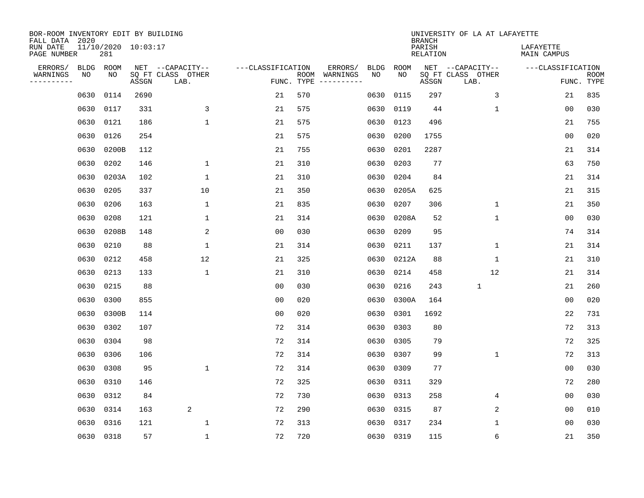| BOR-ROOM INVENTORY EDIT BY BUILDING<br>FALL DATA 2020 |             |                            |       |                           |                   |                    |                         |             |             | <b>BRANCH</b>             | UNIVERSITY OF LA AT LAFAYETTE |                          |                           |
|-------------------------------------------------------|-------------|----------------------------|-------|---------------------------|-------------------|--------------------|-------------------------|-------------|-------------|---------------------------|-------------------------------|--------------------------|---------------------------|
| RUN DATE<br>PAGE NUMBER                               |             | 11/10/2020 10:03:17<br>281 |       |                           |                   |                    |                         |             |             | PARISH<br><b>RELATION</b> |                               | LAFAYETTE<br>MAIN CAMPUS |                           |
| ERRORS/                                               | <b>BLDG</b> | ROOM                       |       | NET --CAPACITY--          | ---CLASSIFICATION |                    | ERRORS/                 | <b>BLDG</b> | <b>ROOM</b> |                           | NET --CAPACITY--              | ---CLASSIFICATION        |                           |
| WARNINGS<br>----------                                | NO          | NO                         | ASSGN | SQ FT CLASS OTHER<br>LAB. |                   | ROOM<br>FUNC. TYPE | WARNINGS<br>----------- | NO          | NO          | ASSGN                     | SQ FT CLASS OTHER<br>LAB.     |                          | <b>ROOM</b><br>FUNC. TYPE |
|                                                       | 0630        | 0114                       | 2690  |                           | 21                | 570                |                         | 0630        | 0115        | 297                       | 3                             | 21                       | 835                       |
|                                                       | 0630        | 0117                       | 331   | 3                         | 21                | 575                |                         | 0630        | 0119        | 44                        | 1                             | 00                       | 030                       |
|                                                       | 0630        | 0121                       | 186   | $\mathbf 1$               | 21                | 575                |                         | 0630        | 0123        | 496                       |                               | 21                       | 755                       |
|                                                       | 0630        | 0126                       | 254   |                           | 21                | 575                |                         | 0630        | 0200        | 1755                      |                               | 0 <sub>0</sub>           | 020                       |
|                                                       | 0630        | 0200B                      | 112   |                           | 21                | 755                |                         | 0630        | 0201        | 2287                      |                               | 21                       | 314                       |
|                                                       | 0630        | 0202                       | 146   | $\mathbf{1}$              | 21                | 310                |                         | 0630        | 0203        | 77                        |                               | 63                       | 750                       |
|                                                       | 0630        | 0203A                      | 102   | $\mathbf{1}$              | 21                | 310                |                         | 0630        | 0204        | 84                        |                               | 21                       | 314                       |
|                                                       | 0630        | 0205                       | 337   | 10                        | 21                | 350                |                         | 0630        | 0205A       | 625                       |                               | 21                       | 315                       |
|                                                       | 0630        | 0206                       | 163   | $\mathbf{1}$              | 21                | 835                |                         | 0630        | 0207        | 306                       | $\mathbf 1$                   | 21                       | 350                       |
|                                                       | 0630        | 0208                       | 121   | 1                         | 21                | 314                |                         | 0630        | 0208A       | 52                        | $\mathbf 1$                   | 00                       | 030                       |
|                                                       | 0630        | 0208B                      | 148   | 2                         | 0 <sub>0</sub>    | 030                |                         | 0630        | 0209        | 95                        |                               | 74                       | 314                       |
|                                                       | 0630        | 0210                       | 88    | $\mathbf{1}$              | 21                | 314                |                         | 0630        | 0211        | 137                       | $\mathbf{1}$                  | 21                       | 314                       |
|                                                       | 0630        | 0212                       | 458   | 12                        | 21                | 325                |                         | 0630        | 0212A       | 88                        | 1                             | 21                       | 310                       |
|                                                       | 0630        | 0213                       | 133   | 1                         | 21                | 310                |                         | 0630        | 0214        | 458                       | 12                            | 21                       | 314                       |
|                                                       | 0630        | 0215                       | 88    |                           | 0 <sub>0</sub>    | 030                |                         | 0630        | 0216        | 243                       | $\mathbf{1}$                  | 21                       | 260                       |
|                                                       | 0630        | 0300                       | 855   |                           | 0 <sub>0</sub>    | 020                |                         | 0630        | 0300A       | 164                       |                               | 0 <sub>0</sub>           | 020                       |
|                                                       | 0630        | 0300B                      | 114   |                           | 0 <sub>0</sub>    | 020                |                         | 0630        | 0301        | 1692                      |                               | 22                       | 731                       |
|                                                       | 0630        | 0302                       | 107   |                           | 72                | 314                |                         | 0630        | 0303        | 80                        |                               | 72                       | 313                       |
|                                                       | 0630        | 0304                       | 98    |                           | 72                | 314                |                         | 0630        | 0305        | 79                        |                               | 72                       | 325                       |
|                                                       | 0630        | 0306                       | 106   |                           | 72                | 314                |                         | 0630        | 0307        | 99                        | $\mathbf 1$                   | 72                       | 313                       |
|                                                       | 0630        | 0308                       | 95    | $\mathbf{1}$              | 72                | 314                |                         | 0630        | 0309        | 77                        |                               | 00                       | 030                       |
|                                                       | 0630        | 0310                       | 146   |                           | 72                | 325                |                         | 0630        | 0311        | 329                       |                               | 72                       | 280                       |
|                                                       | 0630        | 0312                       | 84    |                           | 72                | 730                |                         | 0630        | 0313        | 258                       | 4                             | 0 <sub>0</sub>           | 030                       |
|                                                       | 0630        | 0314                       | 163   | 2                         | 72                | 290                |                         | 0630        | 0315        | 87                        | 2                             | 0 <sub>0</sub>           | 010                       |
|                                                       | 0630        | 0316                       | 121   | $\mathbf{1}$              | 72                | 313                |                         | 0630        | 0317        | 234                       | 1                             | 0 <sub>0</sub>           | 030                       |
|                                                       | 0630 0318   |                            | 57    | $\mathbf{1}$              | 72                | 720                |                         |             | 0630 0319   | 115                       | 6                             | 21                       | 350                       |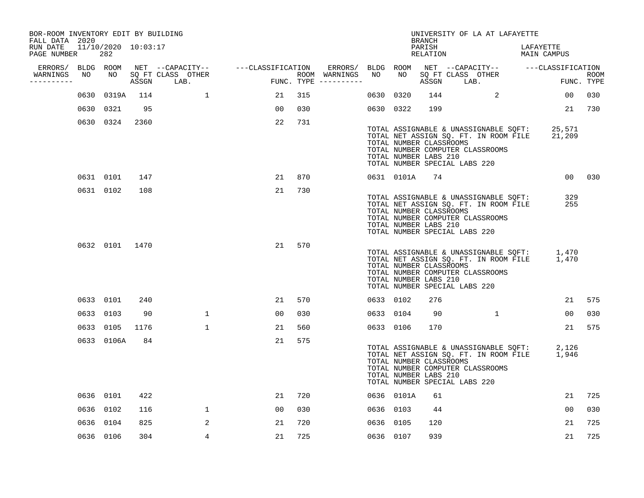| BOR-ROOM INVENTORY EDIT BY BUILDING<br>FALL DATA 2020 |      |                            |      |                                 |                                                      |     |                                      |           |                                                                                   | BRANCH             | UNIVERSITY OF LA AT LAFAYETTE                                                                                      |                                                                                              |                    |
|-------------------------------------------------------|------|----------------------------|------|---------------------------------|------------------------------------------------------|-----|--------------------------------------|-----------|-----------------------------------------------------------------------------------|--------------------|--------------------------------------------------------------------------------------------------------------------|----------------------------------------------------------------------------------------------|--------------------|
| RUN DATE<br>PAGE NUMBER                               |      | 11/10/2020 10:03:17<br>282 |      |                                 |                                                      |     |                                      |           |                                                                                   | PARISH<br>RELATION |                                                                                                                    | LAFAYETTE<br>MAIN CAMPUS                                                                     |                    |
|                                                       |      |                            |      |                                 | ERRORS/ BLDG ROOM NET --CAPACITY-- ---CLASSIFICATION |     | ERRORS/ BLDG ROOM                    |           |                                                                                   |                    |                                                                                                                    | NET --CAPACITY-- ---CLASSIFICATION                                                           |                    |
| WARNINGS<br>----------                                | NO   | NO NO                      |      | SQ FT CLASS OTHER<br>ASSGN LAB. |                                                      |     | ROOM WARNINGS<br>FUNC. TYPE $------$ | NO        | NO                                                                                |                    | SQ FT CLASS OTHER<br>ASSGN LAB.                                                                                    |                                                                                              | ROOM<br>FUNC. TYPE |
|                                                       | 0630 | 0319A                      | 114  |                                 | 21                                                   | 315 |                                      | 0630 0320 |                                                                                   | 144                | $\overline{a}$                                                                                                     | 0 <sub>0</sub>                                                                               | 030                |
|                                                       |      | 0630 0321                  | 95   |                                 | 00 <sub>o</sub>                                      | 030 |                                      | 0630 0322 |                                                                                   | 199                |                                                                                                                    |                                                                                              | 21 730             |
|                                                       |      | 0630 0324                  | 2360 |                                 | 22                                                   | 731 |                                      |           | TOTAL NUMBER CLASSROOMS<br>TOTAL NUMBER LABS 210<br>TOTAL NUMBER SPECIAL LABS 220 |                    | TOTAL NUMBER COMPUTER CLASSROOMS                                                                                   | TOTAL ASSIGNABLE & UNASSIGNABLE SQFT: 25,571<br>TOTAL NET ASSIGN SQ. FT. IN ROOM FILE 21,209 |                    |
|                                                       |      | 0631 0101                  | 147  |                                 | 21                                                   | 870 |                                      |           | 0631 0101A                                                                        | 74                 |                                                                                                                    |                                                                                              | 00 030             |
|                                                       |      | 0631 0102                  | 108  |                                 | 21                                                   | 730 |                                      |           | TOTAL NUMBER CLASSROOMS<br>TOTAL NUMBER LABS 210<br>TOTAL NUMBER SPECIAL LABS 220 |                    | TOTAL ASSIGNABLE & UNASSIGNABLE SQFT:<br>TOTAL NET ASSIGN SQ. FT. IN ROOM FILE<br>TOTAL NUMBER COMPUTER CLASSROOMS | 329<br>255                                                                                   |                    |
|                                                       |      | 0632 0101 1470             |      |                                 | 21                                                   | 570 |                                      |           | TOTAL NUMBER CLASSROOMS<br>TOTAL NUMBER LABS 210<br>TOTAL NUMBER SPECIAL LABS 220 |                    | TOTAL NUMBER COMPUTER CLASSROOMS                                                                                   | TOTAL ASSIGNABLE & UNASSIGNABLE SQFT: 1,470<br>TOTAL NET ASSIGN SQ. FT. IN ROOM FILE 1,470   |                    |
|                                                       |      | 0633 0101                  | 240  |                                 | 21                                                   | 570 |                                      | 0633 0102 |                                                                                   | 276                |                                                                                                                    | 21                                                                                           | 575                |
|                                                       |      | 0633 0103                  | 90   | $\mathbf{1}$                    | 00                                                   | 030 |                                      | 0633 0104 |                                                                                   | 90                 | $\mathbf{1}$                                                                                                       | 00                                                                                           | 030                |
|                                                       |      | 0633 0105                  | 1176 | $\mathbf{1}$                    | 21                                                   | 560 |                                      | 0633 0106 |                                                                                   | 170                |                                                                                                                    | 21                                                                                           | 575                |
|                                                       |      | 0633 0106A                 | 84   |                                 | 21                                                   | 575 |                                      |           | TOTAL NUMBER CLASSROOMS<br>TOTAL NUMBER LABS 210<br>TOTAL NUMBER SPECIAL LABS 220 |                    | TOTAL NUMBER COMPUTER CLASSROOMS                                                                                   | TOTAL ASSIGNABLE & UNASSIGNABLE SQFT: 2,126<br>TOTAL NET ASSIGN SQ. FT. IN ROOM FILE 1,946   |                    |
|                                                       |      | 0636 0101                  | 422  |                                 | 21                                                   | 720 |                                      |           | 0636 0101A                                                                        | 61                 |                                                                                                                    | 21                                                                                           | 725                |
|                                                       |      | 0636 0102                  | 116  | $\mathbf{1}$                    | 00                                                   | 030 |                                      | 0636 0103 |                                                                                   | 44                 |                                                                                                                    | 00                                                                                           | 030                |
|                                                       |      | 0636 0104                  | 825  | 2                               | 21                                                   | 720 |                                      | 0636 0105 |                                                                                   | 120                |                                                                                                                    | 21                                                                                           | 725                |
|                                                       |      | 0636 0106                  | 304  | 4                               | 21                                                   | 725 |                                      | 0636 0107 |                                                                                   | 939                |                                                                                                                    | 21                                                                                           | 725                |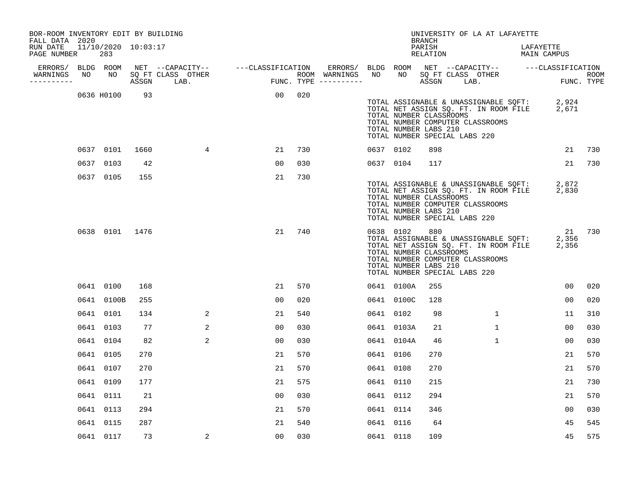| BOR-ROOM INVENTORY EDIT BY BUILDING<br>FALL DATA 2020 |      |                            |      |                                                                                                               |                |     |                          |                 |            | BRANCH                                                  | UNIVERSITY OF LA AT LAFAYETTE                                                                                                                                   |                          |                    |
|-------------------------------------------------------|------|----------------------------|------|---------------------------------------------------------------------------------------------------------------|----------------|-----|--------------------------|-----------------|------------|---------------------------------------------------------|-----------------------------------------------------------------------------------------------------------------------------------------------------------------|--------------------------|--------------------|
| RUN DATE<br>PAGE NUMBER                               |      | 11/10/2020 10:03:17<br>283 |      |                                                                                                               |                |     |                          |                 |            | PARISH<br>RELATION                                      |                                                                                                                                                                 | LAFAYETTE<br>MAIN CAMPUS |                    |
| WARNINGS                                              |      |                            |      | ERRORS/ BLDG ROOM NET --CAPACITY-- ----CLASSIFICATION<br>VARNINGS NO NO SQFT CLASS OTHER ROOM ROOM PUNC. TYPE |                |     | ERRORS/<br>ROOM WARNINGS | BLDG ROOM<br>NO | NO         |                                                         | NET --CAPACITY-- - ---CLASSIFICATION<br>SQ FT CLASS OTHER                                                                                                       |                          |                    |
| ----------                                            |      |                            |      |                                                                                                               |                |     | FUNC. TYPE $------$      |                 |            | ASSGN LAB.                                              |                                                                                                                                                                 |                          | ROOM<br>FUNC. TYPE |
|                                                       |      | 0636 H0100                 | 93   |                                                                                                               | 00             | 020 |                          |                 |            | TOTAL NUMBER CLASSROOMS<br>TOTAL NUMBER LABS 210        | TOTAL ASSIGNABLE & UNASSIGNABLE SQFT: 2,924<br>TOTAL NET ASSIGN SQ. FT. IN ROOM FILE 2,671<br>TOTAL NUMBER COMPUTER CLASSROOMS<br>TOTAL NUMBER SPECIAL LABS 220 |                          |                    |
|                                                       |      | 0637 0101                  | 1660 | 4                                                                                                             | 21             | 730 |                          | 0637 0102       |            | 898                                                     |                                                                                                                                                                 | 21                       | 730                |
|                                                       | 0637 | 0103                       | 42   |                                                                                                               | 0 <sub>0</sub> | 030 |                          | 0637 0104       |            | 117                                                     |                                                                                                                                                                 | 21                       | 730                |
|                                                       |      | 0637 0105                  | 155  |                                                                                                               | 21             | 730 |                          |                 |            | TOTAL NUMBER CLASSROOMS<br>TOTAL NUMBER LABS 210        | TOTAL ASSIGNABLE & UNASSIGNABLE SQFT: 2,872<br>TOTAL NET ASSIGN SQ. FT. IN ROOM FILE 2,830<br>TOTAL NUMBER COMPUTER CLASSROOMS<br>TOTAL NUMBER SPECIAL LABS 220 |                          |                    |
|                                                       |      | 0638 0101 1476             |      |                                                                                                               | 21             | 740 |                          | 0638 0102       |            | 880<br>TOTAL NUMBER CLASSROOMS<br>TOTAL NUMBER LABS 210 | TOTAL ASSIGNABLE & UNASSIGNABLE SQFT: 2,356<br>TOTAL NET ASSIGN SQ. FT. IN ROOM FILE 2,356<br>TOTAL NUMBER COMPUTER CLASSROOMS<br>TOTAL NUMBER SPECIAL LABS 220 | 21 730                   |                    |
|                                                       |      | 0641 0100                  | 168  |                                                                                                               | 21             | 570 |                          |                 | 0641 0100A | 255                                                     |                                                                                                                                                                 | 00                       | 020                |
|                                                       |      | 0641 0100B                 | 255  |                                                                                                               | 00             | 020 |                          |                 | 0641 0100C | 128                                                     |                                                                                                                                                                 | 00                       | 020                |
|                                                       |      | 0641 0101                  | 134  | 2                                                                                                             | 21             | 540 |                          | 0641 0102       |            | 98                                                      | $\mathbf{1}$                                                                                                                                                    | 11                       | 310                |
|                                                       |      | 0641 0103                  | 77   | 2                                                                                                             | 0 <sub>0</sub> | 030 |                          |                 | 0641 0103A | 21                                                      | $\mathbf{1}$                                                                                                                                                    | 00                       | 030                |
|                                                       |      | 0641 0104                  | 82   | 2                                                                                                             | 0 <sub>0</sub> | 030 |                          |                 | 0641 0104A | 46                                                      | $\mathbf{1}$                                                                                                                                                    | 0 <sub>0</sub>           | 030                |
|                                                       |      | 0641 0105                  | 270  |                                                                                                               | 21             | 570 |                          | 0641 0106       |            | 270                                                     |                                                                                                                                                                 | 21                       | 570                |
|                                                       |      | 0641 0107                  | 270  |                                                                                                               | 21             | 570 |                          | 0641 0108       |            | 270                                                     |                                                                                                                                                                 | 21                       | 570                |
|                                                       |      | 0641 0109                  | 177  |                                                                                                               | 21             | 575 |                          | 0641 0110       |            | 215                                                     |                                                                                                                                                                 | 21                       | 730                |
|                                                       |      | 0641 0111                  | 21   |                                                                                                               | 0 <sub>0</sub> | 030 |                          | 0641 0112       |            | 294                                                     |                                                                                                                                                                 | 21                       | 570                |
|                                                       |      | 0641 0113                  | 294  |                                                                                                               | 21             | 570 |                          | 0641 0114       |            | 346                                                     |                                                                                                                                                                 | 00                       | 030                |
|                                                       |      | 0641 0115                  | 287  |                                                                                                               | 21             | 540 |                          | 0641 0116       |            | 64                                                      |                                                                                                                                                                 | 45                       | 545                |
|                                                       |      | 0641 0117                  | 73   | 2                                                                                                             | 00             | 030 |                          | 0641 0118       |            | 109                                                     |                                                                                                                                                                 | 45                       | 575                |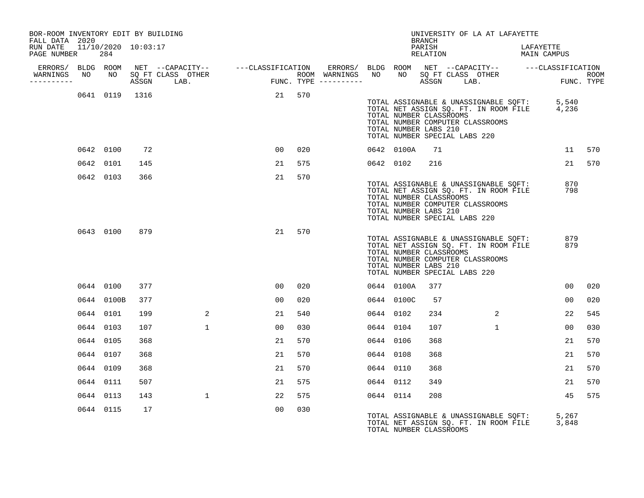| BOR-ROOM INVENTORY EDIT BY BUILDING<br>FALL DATA 2020 |            |                     |                                                                                                                                                                                                                                                       |                |     |           |            | <b>BRANCH</b>                                                                     | UNIVERSITY OF LA AT LAFAYETTE                                                                                                  |                          |                |        |
|-------------------------------------------------------|------------|---------------------|-------------------------------------------------------------------------------------------------------------------------------------------------------------------------------------------------------------------------------------------------------|----------------|-----|-----------|------------|-----------------------------------------------------------------------------------|--------------------------------------------------------------------------------------------------------------------------------|--------------------------|----------------|--------|
| RUN DATE<br>PAGE NUMBER 284                           |            | 11/10/2020 10:03:17 |                                                                                                                                                                                                                                                       |                |     |           |            | PARISH                                                                            | RELATION                                                                                                                       | LAFAYETTE<br>MAIN CAMPUS |                |        |
| ----------                                            |            |                     | ERRORS/ BLDG ROOM NET --CAPACITY-- -----CLASSIFICATION ERRORS/ BLDG ROOM NET --CAPACITY-- -----CLASSIFICATION<br>WARNINGS NO NO SQFT CLASS OTHER ROOM WARNINGS NO NO SQFT CLASS OTHER<br>---------- ASSGN LAB. FUNC. TYPE ---------- ASSGN LAB. FUNC. |                |     |           |            |                                                                                   |                                                                                                                                |                          | FUNC. TYPE     | ROOM   |
|                                                       |            | 0641 0119 1316      |                                                                                                                                                                                                                                                       | 21 570         |     |           |            | TOTAL NUMBER CLASSROOMS<br>TOTAL NUMBER LABS 210<br>TOTAL NUMBER SPECIAL LABS 220 | TOTAL ASSIGNABLE & UNASSIGNABLE SQFT: 5,540<br>TOTAL NET ASSIGN SQ. FT. IN ROOM FILE 4,236<br>TOTAL NUMBER COMPUTER CLASSROOMS |                          |                |        |
|                                                       | 0642 0100  | 72                  |                                                                                                                                                                                                                                                       | 00             | 020 |           | 0642 0100A | 71                                                                                |                                                                                                                                |                          |                | 11 570 |
|                                                       | 0642 0101  | 145                 |                                                                                                                                                                                                                                                       | 21             | 575 |           | 0642 0102  | 216                                                                               |                                                                                                                                |                          |                | 21 570 |
|                                                       | 0642 0103  | 366                 |                                                                                                                                                                                                                                                       | 21             | 570 |           |            | TOTAL NUMBER CLASSROOMS<br>TOTAL NUMBER LABS 210<br>TOTAL NUMBER SPECIAL LABS 220 | TOTAL ASSIGNABLE & UNASSIGNABLE SQFT:<br>TOTAL NET ASSIGN SQ. FT. IN ROOM FILE<br>TOTAL NUMBER COMPUTER CLASSROOMS             |                          | 870<br>798     |        |
|                                                       | 0643 0100  | 879                 |                                                                                                                                                                                                                                                       | 21             | 570 |           |            | TOTAL NUMBER CLASSROOMS<br>TOTAL NUMBER LABS 210<br>TOTAL NUMBER SPECIAL LABS 220 | TOTAL ASSIGNABLE & UNASSIGNABLE SQFT:<br>TOTAL NET ASSIGN SQ. FT. IN ROOM FILE<br>TOTAL NUMBER COMPUTER CLASSROOMS             |                          | 879<br>879     |        |
|                                                       | 0644 0100  | 377                 |                                                                                                                                                                                                                                                       | 0 <sub>0</sub> | 020 |           | 0644 0100A | 377                                                                               |                                                                                                                                |                          | 0 <sub>0</sub> | 020    |
|                                                       | 0644 0100B | 377                 |                                                                                                                                                                                                                                                       | 00             | 020 |           | 0644 0100C | 57                                                                                |                                                                                                                                |                          | 00             | 020    |
|                                                       | 0644 0101  | 199                 | 2                                                                                                                                                                                                                                                     | 21             | 540 | 0644 0102 |            | 234                                                                               | $\overline{a}$                                                                                                                 |                          | 22             | 545    |
|                                                       | 0644 0103  | 107                 | $\mathbf{1}$                                                                                                                                                                                                                                          | 0 <sub>0</sub> | 030 | 0644 0104 |            | 107                                                                               | $\mathbf{1}$                                                                                                                   |                          | 00             | 030    |
|                                                       | 0644 0105  | 368                 |                                                                                                                                                                                                                                                       | 21             | 570 | 0644 0106 |            | 368                                                                               |                                                                                                                                |                          | 21             | 570    |
|                                                       | 0644 0107  | 368                 |                                                                                                                                                                                                                                                       | 21             | 570 | 0644 0108 |            | 368                                                                               |                                                                                                                                |                          | 21             | 570    |
|                                                       | 0644 0109  | 368                 |                                                                                                                                                                                                                                                       | 21             | 570 | 0644 0110 |            | 368                                                                               |                                                                                                                                |                          | 21             | 570    |
|                                                       | 0644 0111  | 507                 |                                                                                                                                                                                                                                                       | 21             | 575 | 0644 0112 |            | 349                                                                               |                                                                                                                                |                          | 21             | 570    |
|                                                       | 0644 0113  | 143                 | $\mathbf{1}$                                                                                                                                                                                                                                          | 22             | 575 | 0644 0114 |            | 208                                                                               |                                                                                                                                |                          | 45             | 575    |
|                                                       | 0644 0115  | 17                  |                                                                                                                                                                                                                                                       | 0 <sub>0</sub> | 030 |           |            | TOTAL NUMBER CLASSROOMS                                                           | TOTAL ASSIGNABLE & UNASSIGNABLE SQFT: 5,267<br>TOTAL NET ASSIGN SQ. FT. IN ROOM FILE 3,848                                     |                          |                |        |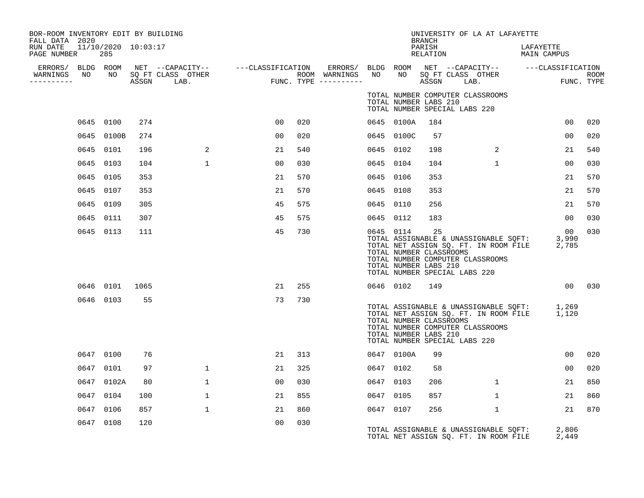| BOR-ROOM INVENTORY EDIT BY BUILDING<br>FALL DATA 2020 |      |                            |      |                                    |                                            |     |                                         |           |                                                  | BRANCH             | UNIVERSITY OF LA AT LAFAYETTE                                                                                                                                   |                          |                           |
|-------------------------------------------------------|------|----------------------------|------|------------------------------------|--------------------------------------------|-----|-----------------------------------------|-----------|--------------------------------------------------|--------------------|-----------------------------------------------------------------------------------------------------------------------------------------------------------------|--------------------------|---------------------------|
| RUN DATE<br>PAGE NUMBER                               |      | 11/10/2020 10:03:17<br>285 |      |                                    |                                            |     |                                         |           |                                                  | PARISH<br>RELATION |                                                                                                                                                                 | LAFAYETTE<br>MAIN CAMPUS |                           |
| WARNINGS NO<br>----------                             |      |                            |      | NO SQ FT CLASS OTHER<br>ASSGN LAB. | $\begin{aligned} \text{FUN} \end{aligned}$ |     | ROOM WARNINGS NO<br>FUNC. TYPE $------$ |           | NO                                               |                    | ERRORS/ BLDG ROOM NET --CAPACITY-- - ---CLASSIFICATION ERRORS/ BLDG ROOM NET --CAPACITY-- - ---CLASSIFICATION<br>SQ FT CLASS OTHER<br>ASSGN LAB.                |                          | <b>ROOM</b><br>FUNC. TYPE |
|                                                       |      |                            |      |                                    |                                            |     |                                         |           | TOTAL NUMBER LABS 210                            |                    | TOTAL NUMBER COMPUTER CLASSROOMS<br>TOTAL NUMBER SPECIAL LABS 220                                                                                               |                          |                           |
|                                                       |      | 0645 0100                  | 274  |                                    | 00                                         | 020 |                                         |           | 0645 0100A                                       | 184                |                                                                                                                                                                 | 00 <sup>o</sup>          | 020                       |
|                                                       |      | 0645 0100B                 | 274  |                                    | 0 <sub>0</sub>                             | 020 |                                         |           | 0645 0100C                                       | 57                 |                                                                                                                                                                 | 00                       | 020                       |
|                                                       |      | 0645 0101                  | 196  | 2                                  | 21                                         | 540 |                                         | 0645 0102 |                                                  | 198                | 2                                                                                                                                                               | 21                       | 540                       |
|                                                       |      | 0645 0103                  | 104  | $\mathbf{1}$                       | 0 <sub>0</sub>                             | 030 |                                         | 0645 0104 |                                                  | 104                | $\mathbf{1}$                                                                                                                                                    | 00                       | 030                       |
|                                                       |      | 0645 0105                  | 353  |                                    | 21                                         | 570 |                                         | 0645 0106 |                                                  | 353                |                                                                                                                                                                 | 21                       | 570                       |
|                                                       |      | 0645 0107                  | 353  |                                    | 21                                         | 570 |                                         | 0645 0108 |                                                  | 353                |                                                                                                                                                                 | 21                       | 570                       |
|                                                       |      | 0645 0109                  | 305  |                                    | 45                                         | 575 |                                         | 0645 0110 |                                                  | 256                |                                                                                                                                                                 | 21                       | 570                       |
|                                                       |      | 0645 0111                  | 307  |                                    | 45                                         | 575 |                                         | 0645 0112 |                                                  | 183                |                                                                                                                                                                 | 00                       | 030                       |
|                                                       |      | 0645 0113                  | 111  |                                    | 45                                         | 730 |                                         | 0645 0114 | TOTAL NUMBER CLASSROOMS<br>TOTAL NUMBER LABS 210 | 25                 | TOTAL ASSIGNABLE & UNASSIGNABLE SQFT:<br>TOTAL NET ASSIGN SQ. FT. IN ROOM FILE<br>TOTAL NUMBER COMPUTER CLASSROOMS<br>TOTAL NUMBER SPECIAL LABS 220             | 00<br>3,990<br>2,785     | 030                       |
|                                                       |      | 0646 0101                  | 1065 |                                    | 21                                         | 255 |                                         | 0646 0102 |                                                  | 149                |                                                                                                                                                                 | 00                       | 030                       |
|                                                       |      | 0646 0103                  | 55   |                                    | 73                                         | 730 |                                         |           | TOTAL NUMBER CLASSROOMS<br>TOTAL NUMBER LABS 210 |                    | TOTAL ASSIGNABLE & UNASSIGNABLE SQFT: 1,269<br>TOTAL NET ASSIGN SQ. FT. IN ROOM FILE 1,120<br>TOTAL NUMBER COMPUTER CLASSROOMS<br>TOTAL NUMBER SPECIAL LABS 220 |                          |                           |
|                                                       |      | 0647 0100                  | 76   |                                    | 21                                         | 313 |                                         |           | 0647 0100A                                       | 99                 |                                                                                                                                                                 | 0 <sub>0</sub>           | 020                       |
|                                                       |      | 0647 0101                  | 97   | $\mathbf{1}$                       | 21                                         | 325 |                                         | 0647 0102 |                                                  | 58                 |                                                                                                                                                                 | 0 <sub>0</sub>           | 020                       |
|                                                       |      | 0647 0102A                 | 80   | $\mathbf 1$                        | 00                                         | 030 |                                         | 0647 0103 |                                                  | 206                | $\mathbf{1}$                                                                                                                                                    | 21                       | 850                       |
|                                                       |      | 0647 0104                  | 100  | $\mathbf 1$                        | 21                                         | 855 |                                         | 0647 0105 |                                                  | 857                | $\mathbf{1}$                                                                                                                                                    | 21                       | 860                       |
|                                                       | 0647 | 0106                       | 857  | $\mathbf{1}$                       | 21                                         | 860 |                                         | 0647 0107 |                                                  | 256                | $\mathbf{1}$                                                                                                                                                    | 21                       | 870                       |
|                                                       |      | 0647 0108                  | 120  |                                    | 0 <sub>0</sub>                             | 030 |                                         |           |                                                  |                    | TOTAL ASSIGNABLE & UNASSIGNABLE SQFT:<br>TOTAL NET ASSIGN SQ. FT. IN ROOM FILE                                                                                  | 2,806<br>2,449           |                           |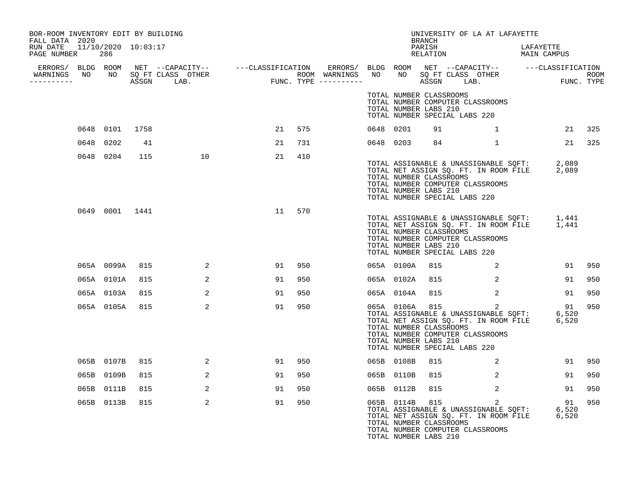| BOR-ROOM INVENTORY EDIT BY BUILDING<br>FALL DATA 2020 |                |     |                                                                                                                                                                                                                                |    |     |  |            | <b>BRANCH</b>                                                                                       | UNIVERSITY OF LA AT LAFAYETTE                                                                                                        |                                                                                                                                                                                                                                                                                                                                    |        |
|-------------------------------------------------------|----------------|-----|--------------------------------------------------------------------------------------------------------------------------------------------------------------------------------------------------------------------------------|----|-----|--|------------|-----------------------------------------------------------------------------------------------------|--------------------------------------------------------------------------------------------------------------------------------------|------------------------------------------------------------------------------------------------------------------------------------------------------------------------------------------------------------------------------------------------------------------------------------------------------------------------------------|--------|
| RUN DATE 11/10/2020 10:03:17<br>PAGE NUMBER 286       |                |     |                                                                                                                                                                                                                                |    |     |  |            | PARISH<br>RELATION                                                                                  |                                                                                                                                      | LAFAYETTE<br>MAIN CAMPUS                                                                                                                                                                                                                                                                                                           |        |
| __________                                            |                |     | ERRORS/ BLDG ROOM NET --CAPACITY-- ----CLASSIFICATION ERRORS/ BLDG ROOM NET --CAPACITY-- -----CLASSIFICATION WARNINGS NO NO SQ FT CLASS OTHER ROOM WARNINGS NO NO SQ FT CLASS OTHER ROOM WARNINGS NO NO SQ FT CLASS OTHER ROOM |    |     |  |            |                                                                                                     |                                                                                                                                      |                                                                                                                                                                                                                                                                                                                                    |        |
|                                                       |                |     |                                                                                                                                                                                                                                |    |     |  |            | TOTAL NUMBER CLASSROOMS<br>TOTAL NUMBER LABS 210<br>TOTAL NUMBER SPECIAL LABS 220                   | TOTAL NUMBER COMPUTER CLASSROOMS                                                                                                     |                                                                                                                                                                                                                                                                                                                                    |        |
|                                                       | 0648 0101 1758 |     |                                                                                                                                                                                                                                | 21 | 575 |  | 0648 0201  | 91                                                                                                  |                                                                                                                                      | $\mathbf{1}$ and the set of the set of the set of the set of the set of the set of the set of the set of the set of the set of the set of the set of the set of the set of the set of the set of the set of the set of the set of                                                                                                  | 21 325 |
|                                                       | 0648 0202      | 41  |                                                                                                                                                                                                                                | 21 | 731 |  | 0648 0203  |                                                                                                     | 84 1                                                                                                                                 |                                                                                                                                                                                                                                                                                                                                    | 21 325 |
|                                                       | 0648 0204      | 115 | 10                                                                                                                                                                                                                             | 21 | 410 |  |            | TOTAL NUMBER CLASSROOMS<br>TOTAL NUMBER LABS 210<br>TOTAL NUMBER SPECIAL LABS 220                   | TOTAL NUMBER COMPUTER CLASSROOMS                                                                                                     | TOTAL ASSIGNABLE & UNASSIGNABLE SQFT: 2,089<br>TOTAL NET ASSIGN SQ. FT. IN ROOM FILE 2,089                                                                                                                                                                                                                                         |        |
|                                                       | 0649 0001 1441 |     |                                                                                                                                                                                                                                | 11 | 570 |  |            | TOTAL NUMBER CLASSROOMS<br>TOTAL NUMBER LABS 210<br>TOTAL NUMBER SPECIAL LABS 220                   | TOTAL NUMBER COMPUTER CLASSROOMS                                                                                                     | TOTAL ASSIGNABLE & UNASSIGNABLE SQFT: 1,441<br>TOTAL NET ASSIGN SQ. FT. IN ROOM FILE 1,441                                                                                                                                                                                                                                         |        |
|                                                       | 065A 0099A 815 |     | 2                                                                                                                                                                                                                              | 91 | 950 |  | 065A 0100A | 815                                                                                                 |                                                                                                                                      | $\overline{a}$ and $\overline{a}$ and $\overline{a}$ and $\overline{a}$ and $\overline{a}$ and $\overline{a}$ and $\overline{a}$ and $\overline{a}$ and $\overline{a}$ and $\overline{a}$ and $\overline{a}$ and $\overline{a}$ and $\overline{a}$ and $\overline{a}$ and $\overline{a}$ and $\overline{a}$ and $\overline{a}$ and | 91 950 |
|                                                       | 065A 0101A     | 815 | 2                                                                                                                                                                                                                              | 91 | 950 |  | 065A 0102A | 815                                                                                                 | 2                                                                                                                                    | 91                                                                                                                                                                                                                                                                                                                                 | 950    |
|                                                       | 065A 0103A     | 815 | 2                                                                                                                                                                                                                              | 91 | 950 |  | 065A 0104A | 815                                                                                                 | 2                                                                                                                                    | 91                                                                                                                                                                                                                                                                                                                                 | 950    |
|                                                       | 065A 0105A 815 |     | 2                                                                                                                                                                                                                              | 91 | 950 |  |            | 065A 0106A 815<br>TOTAL NUMBER CLASSROOMS<br>TOTAL NUMBER LABS 210<br>TOTAL NUMBER SPECIAL LABS 220 | TOTAL NUMBER COMPUTER CLASSROOMS                                                                                                     | 065A 0106A 815 2<br>TOTAL ASSIGNABLE & UNASSIGNABLE SQFT: 6,520<br>TOTAL NET ASSIGN SQ. FT. IN ROOM FILE 6,520<br>91                                                                                                                                                                                                               | 950    |
|                                                       | 065B 0107B     | 815 | 2                                                                                                                                                                                                                              | 91 | 950 |  | 065B 0108B | 815                                                                                                 | $\sim$ 2                                                                                                                             | 91                                                                                                                                                                                                                                                                                                                                 | 950    |
|                                                       | 065B 0109B     | 815 | 2                                                                                                                                                                                                                              | 91 | 950 |  | 065B 0110B | 815                                                                                                 | 2                                                                                                                                    | 91                                                                                                                                                                                                                                                                                                                                 | 950    |
|                                                       | 065B 0111B     | 815 | 2                                                                                                                                                                                                                              | 91 | 950 |  | 065B 0112B | 815                                                                                                 | 2                                                                                                                                    | 91                                                                                                                                                                                                                                                                                                                                 | 950    |
|                                                       | 065B 0113B     | 815 | 2                                                                                                                                                                                                                              | 91 | 950 |  |            | 065B 0114B 815<br>TOTAL NUMBER CLASSROOMS<br>TOTAL NUMBER LABS 210                                  | $\overline{2}$<br>TOTAL ASSIGNABLE & UNASSIGNABLE SQFT:<br>TOTAL NET ASSIGN SQ. FT. IN ROOM FILE<br>TOTAL NUMBER COMPUTER CLASSROOMS | 91<br>6,520<br>6,520                                                                                                                                                                                                                                                                                                               | 950    |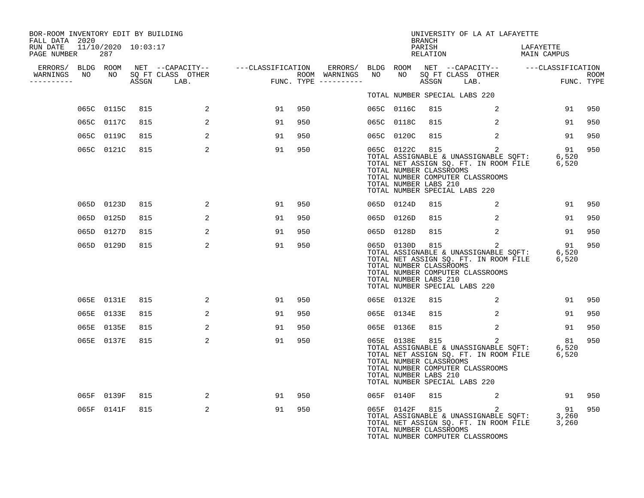| BOR-ROOM INVENTORY EDIT BY BUILDING<br>FALL DATA 2020 |            |     |                |    |     |  |                                                                    | BRANCH             | UNIVERSITY OF LA AT LAFAYETTE                                                                                                                                                                                           |                          |        |
|-------------------------------------------------------|------------|-----|----------------|----|-----|--|--------------------------------------------------------------------|--------------------|-------------------------------------------------------------------------------------------------------------------------------------------------------------------------------------------------------------------------|--------------------------|--------|
| RUN DATE  11/10/2020  10:03:17<br>PAGE NUMBER         | 287        |     |                |    |     |  |                                                                    | PARISH<br>RELATION |                                                                                                                                                                                                                         | LAFAYETTE<br>MAIN CAMPUS |        |
|                                                       |            |     |                |    |     |  |                                                                    |                    |                                                                                                                                                                                                                         |                          |        |
| WARNINGS NO<br>__________                             |            |     |                |    |     |  |                                                                    |                    |                                                                                                                                                                                                                         |                          |        |
|                                                       |            |     |                |    |     |  |                                                                    |                    | TOTAL NUMBER SPECIAL LABS 220                                                                                                                                                                                           |                          |        |
|                                                       | 065C 0115C | 815 | 2              | 91 | 950 |  | 065C 0116C                                                         | 815                | 2                                                                                                                                                                                                                       | 91                       | 950    |
|                                                       | 065C 0117C | 815 | 2              | 91 | 950 |  | 065C 0118C                                                         | 815                | 2                                                                                                                                                                                                                       | 91                       | 950    |
|                                                       | 065C 0119C | 815 | 2              | 91 | 950 |  | 065C 0120C                                                         | 815                | 2                                                                                                                                                                                                                       | 91                       | 950    |
|                                                       | 065C 0121C | 815 | $\overline{2}$ | 91 | 950 |  | 065C 0122C 815<br>TOTAL NUMBER CLASSROOMS<br>TOTAL NUMBER LABS 210 |                    | $\overline{a}$<br>TOTAL ASSIGNABLE & UNASSIGNABLE SQFT: 6,520<br>TOTAL NET ASSIGN SQ. FT. IN ROOM FILE 6,520<br>TOTAL NUMBER COMPUTER CLASSROOMS<br>TOTAL NUMBER SPECIAL LABS 220                                       | 91                       | 950    |
|                                                       | 065D 0123D | 815 | 2              | 91 | 950 |  | 065D 0124D                                                         | 815                | 2                                                                                                                                                                                                                       | 91                       | 950    |
|                                                       | 065D 0125D | 815 | 2              | 91 | 950 |  | 065D 0126D                                                         | 815                | 2                                                                                                                                                                                                                       | 91                       | 950    |
|                                                       | 065D 0127D | 815 | 2              | 91 | 950 |  | 065D 0128D                                                         | 815                | 2                                                                                                                                                                                                                       | 91                       | 950    |
|                                                       | 065D 0129D | 815 | 2              | 91 | 950 |  | 065D 0130D 815<br>TOTAL NUMBER CLASSROOMS<br>TOTAL NUMBER LABS 210 |                    | 2<br>165D UI3UD 815<br>TOTAL ASSIGNABLE & UNASSIGNABLE SQFT: 6,520<br>TOTAL NET ASSIGN SQ. FT. IN ROOM FILE 6,520<br>TOTAL NUMBER COMPUTER CLASSROOMS<br>TOTAL NUMBER SPECIAL LABS 220                                  | 91                       | 950    |
|                                                       | 065E 0131E | 815 | 2              | 91 | 950 |  | 065E 0132E                                                         | 815                | 2                                                                                                                                                                                                                       |                          | 91 950 |
|                                                       | 065E 0133E | 815 | 2              | 91 | 950 |  | 065E 0134E                                                         | 815                | 2                                                                                                                                                                                                                       | 91                       | 950    |
|                                                       | 065E 0135E | 815 | $\overline{2}$ | 91 | 950 |  | 065E 0136E                                                         | 815                | 2                                                                                                                                                                                                                       | 91                       | 950    |
|                                                       | 065E 0137E | 815 | $\overline{2}$ | 91 | 950 |  | TOTAL NUMBER CLASSROOMS<br>TOTAL NUMBER LABS 210                   |                    | 065E 0138E 815<br>$\overline{2}$<br>065E 0138E 815 2<br>TOTAL ASSIGNABLE & UNASSIGNABLE SQFT: 6,520<br>TOTAL NET ASSIGN SQ. FT. IN ROOM FILE 6,520<br>TOTAL NUMBER COMPUTER CLASSROOMS<br>TOTAL NUMBER SPECIAL LABS 220 | 81                       | 950    |
|                                                       | 065F 0139F | 815 | $\overline{a}$ | 91 | 950 |  | 065F 0140F                                                         | 815                | $\sim$ 2                                                                                                                                                                                                                | 91 950                   |        |
|                                                       | 065F 0141F | 815 | 2              | 91 | 950 |  | 065F 0142F 815<br>TOTAL NUMBER CLASSROOMS                          |                    | 2<br>TOTAL ASSIGNABLE & UNASSIGNABLE SQFT: 3,260<br>TOTAL NET ASSIGN SQ. FT. IN ROOM FILE 3,260<br>TOTAL NUMBER COMPUTER CLASSROOMS                                                                                     | 91                       | 950    |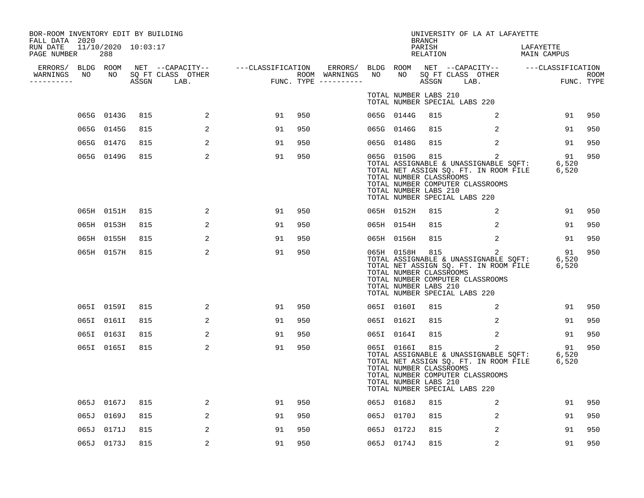| BOR-ROOM INVENTORY EDIT BY BUILDING<br>FALL DATA 2020 |    |            |     |                                 |                                                                                                        |     |                                      |    |                                                                    | <b>BRANCH</b>      | UNIVERSITY OF LA AT LAFAYETTE                                                                                                                                                                       |                          |                    |
|-------------------------------------------------------|----|------------|-----|---------------------------------|--------------------------------------------------------------------------------------------------------|-----|--------------------------------------|----|--------------------------------------------------------------------|--------------------|-----------------------------------------------------------------------------------------------------------------------------------------------------------------------------------------------------|--------------------------|--------------------|
| RUN DATE 11/10/2020 10:03:17<br>PAGE NUMBER           |    | 288        |     |                                 |                                                                                                        |     |                                      |    |                                                                    | PARISH<br>RELATION |                                                                                                                                                                                                     | LAFAYETTE<br>MAIN CAMPUS |                    |
| ERRORS/ BLDG ROOM<br>WARNINGS<br>-----------          | NO | NO         |     | SQ FT CLASS OTHER<br>ASSGN LAB. | NET --CAPACITY--    ---CLASSIFICATION  ERRORS/ BLDG ROOM NET --CAPACITY--   ---CLASSIFICATION<br>FUNC. |     | ROOM WARNINGS<br>FUNC. TYPE $------$ | NO | NO                                                                 |                    | NET --CAPACIII<br>SQ FT CLASS OTHER<br>---- LAR                                                                                                                                                     |                          | ROOM<br>FUNC. TYPE |
|                                                       |    |            |     |                                 |                                                                                                        |     |                                      |    | TOTAL NUMBER LABS 210                                              |                    | TOTAL NUMBER SPECIAL LABS 220                                                                                                                                                                       |                          |                    |
|                                                       |    | 065G 0143G | 815 | 2                               | 91                                                                                                     | 950 |                                      |    | 065G 0144G                                                         | 815                | 2                                                                                                                                                                                                   | 91                       | 950                |
|                                                       |    | 065G 0145G | 815 | 2                               | 91                                                                                                     | 950 |                                      |    | 065G 0146G                                                         | 815                | $\overline{2}$                                                                                                                                                                                      | 91                       | 950                |
|                                                       |    | 065G 0147G | 815 | 2                               | 91                                                                                                     | 950 |                                      |    | 065G 0148G                                                         | 815                | $\overline{2}$                                                                                                                                                                                      | 91                       | 950                |
|                                                       |    | 065G 0149G | 815 | 2                               | 91                                                                                                     | 950 |                                      |    | TOTAL NUMBER CLASSROOMS<br>TOTAL NUMBER LABS 210                   |                    | 065G 0150G 815<br>$\overline{a}$<br>TOTAL ASSIGNABLE & UNASSIGNABLE SQFT: 6,520<br>TOTAL NET ASSIGN SQ. FT. IN ROOM FILE 6,520<br>TOTAL NUMBER COMPUTER CLASSROOMS<br>TOTAL NUMBER SPECIAL LABS 220 | 91                       | 950                |
|                                                       |    | 065H 0151H | 815 | 2                               | 91                                                                                                     | 950 |                                      |    | 065H 0152H                                                         | 815                | 2                                                                                                                                                                                                   | 91                       | 950                |
|                                                       |    | 065H 0153H | 815 | 2                               | 91                                                                                                     | 950 |                                      |    | 065H 0154H                                                         | 815                | 2                                                                                                                                                                                                   | 91                       | 950                |
|                                                       |    | 065H 0155H | 815 | 2                               | 91                                                                                                     | 950 |                                      |    | 065H 0156H                                                         | 815                | 2                                                                                                                                                                                                   | 91                       | 950                |
|                                                       |    | 065H 0157H | 815 | 2                               | 91                                                                                                     | 950 |                                      |    | 065H 0158H<br>TOTAL NUMBER CLASSROOMS<br>TOTAL NUMBER LABS 210     | 815                | 2<br>TOTAL ASSIGNABLE & UNASSIGNABLE SQFT: 6,520<br>TOTAL NET ASSIGN SQ. FT. IN ROOM FILE 6,520<br>TOTAL NUMBER COMPUTER CLASSROOMS<br>TOTAL NUMBER SPECIAL LABS 220                                | 91                       | 950                |
|                                                       |    | 065I 0159I | 815 | 2                               | 91                                                                                                     | 950 |                                      |    | 065I 0160I                                                         | 815                | 2                                                                                                                                                                                                   | 91                       | 950                |
|                                                       |    | 065I 0161I | 815 | 2                               | 91                                                                                                     | 950 |                                      |    | 065I 0162I                                                         | 815                | 2                                                                                                                                                                                                   | 91                       | 950                |
|                                                       |    | 065I 0163I | 815 | 2                               | 91                                                                                                     | 950 |                                      |    | 065I 0164I                                                         | 815                | 2                                                                                                                                                                                                   | 91                       | 950                |
|                                                       |    | 065I 0165I | 815 | 2                               | 91                                                                                                     | 950 |                                      |    | 065I 0166I 815<br>TOTAL NUMBER CLASSROOMS<br>TOTAL NUMBER LABS 210 |                    | $\overline{a}$<br>TOTAL ASSIGNABLE & UNASSIGNABLE SQFT: 6,520<br>TOTAL NET ASSIGN SQ. FT. IN ROOM FILE 6,520<br>TOTAL NUMBER COMPUTER CLASSROOMS<br>TOTAL NUMBER SPECIAL LABS 220                   | 91                       | 950                |
|                                                       |    | 065J 0167J | 815 | 2                               | 91                                                                                                     | 950 |                                      |    | 065J 0168J                                                         | 815                | 2                                                                                                                                                                                                   | 91                       | 950                |
|                                                       |    | 065J 0169J | 815 | 2                               | 91                                                                                                     | 950 |                                      |    | 065J 0170J                                                         | 815                | 2                                                                                                                                                                                                   | 91                       | 950                |
|                                                       |    | 065J 0171J | 815 | 2                               | 91                                                                                                     | 950 |                                      |    | 065J 0172J                                                         | 815                | 2                                                                                                                                                                                                   | 91                       | 950                |
|                                                       |    | 065J 0173J | 815 | 2                               | 91                                                                                                     | 950 |                                      |    | 065J 0174J                                                         | 815                | 2                                                                                                                                                                                                   | 91                       | 950                |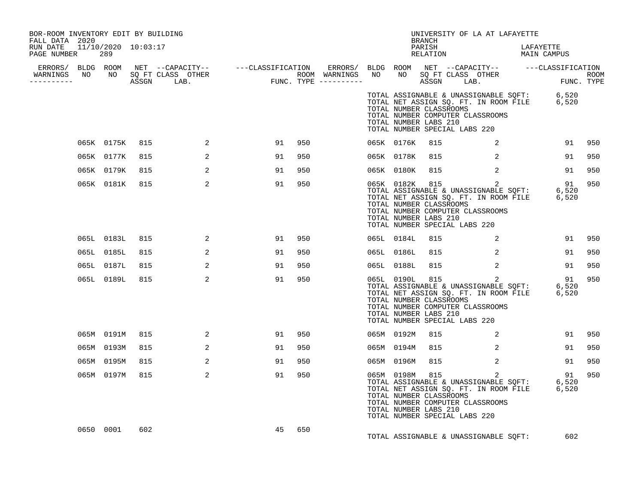| BOR-ROOM INVENTORY EDIT BY BUILDING<br>FALL DATA 2020 |                |     |                                                                                                                                                                                                                                      |    |        |  |                | BRANCH                                           | UNIVERSITY OF LA AT LAFAYETTE                                                                                                                                                                           |           |        |
|-------------------------------------------------------|----------------|-----|--------------------------------------------------------------------------------------------------------------------------------------------------------------------------------------------------------------------------------------|----|--------|--|----------------|--------------------------------------------------|---------------------------------------------------------------------------------------------------------------------------------------------------------------------------------------------------------|-----------|--------|
| RUN DATE 11/10/2020 10:03:17<br>PAGE NUMBER 289       |                |     |                                                                                                                                                                                                                                      |    |        |  |                | PARISH                                           | PARISH DARISH LAFAYETTE<br>RELATION MAIN CAMPUS                                                                                                                                                         | LAFAYETTE |        |
|                                                       |                |     |                                                                                                                                                                                                                                      |    |        |  |                |                                                  |                                                                                                                                                                                                         |           |        |
|                                                       |                |     | ERRORS/ BLDG ROOM NET --CAPACITY-- ----CLASSIFICATION ERRORS/ BLDG ROOM NET --CAPACITY-- -----CLASSIFICATION<br>WARNINGS NO NO SQFTCLASS OTHER ROOM WARNINGS NO NO SQFTCLASS OTHER ROOM<br>----------- ASSGN LAB. FUNC.TYPE -------- |    |        |  |                |                                                  |                                                                                                                                                                                                         |           |        |
|                                                       |                |     |                                                                                                                                                                                                                                      |    |        |  |                | TOTAL NUMBER CLASSROOMS<br>TOTAL NUMBER LABS 210 | TOTAL ASSIGNABLE & UNASSIGNABLE SQFT: 6,520<br>TOTAL NET ASSIGN SQ. FT. IN ROOM FILE 6,520<br>TOTAL NUMBER COMPUTER CLASSROOMS<br>TOTAL NUMBER SPECIAL LABS 220                                         |           |        |
|                                                       | 065K 0175K 815 |     | $\sim$ 2                                                                                                                                                                                                                             |    | 91 950 |  |                |                                                  | 065K 0176K 815 2                                                                                                                                                                                        |           | 91 950 |
|                                                       | 065K 0177K     | 815 | 2                                                                                                                                                                                                                                    | 91 | 950    |  | 065K 0178K     | 815                                              | 2                                                                                                                                                                                                       | 91        | 950    |
|                                                       | 065K 0179K     | 815 | 2                                                                                                                                                                                                                                    | 91 | 950    |  | 065K 0180K     | 815                                              | $\overline{a}$                                                                                                                                                                                          | 91        | 950    |
|                                                       | 065K 0181K     | 815 | 2                                                                                                                                                                                                                                    | 91 | 950    |  |                | TOTAL NUMBER CLASSROOMS<br>TOTAL NUMBER LABS 210 | 065K 0182K 815 2<br>065K 0182K 815 2<br>TOTAL ASSIGNABLE & UNASSIGNABLE SQFT: 6,520<br>TOTAL NET ASSIGN SQ. FT. IN ROOM FILE 6,520<br>TOTAL NUMBER COMPUTER CLASSROOMS<br>TOTAL NUMBER SPECIAL LABS 220 | 91 950    |        |
|                                                       | 065L 0183L     | 815 | $\sim$ 2                                                                                                                                                                                                                             | 91 | 950    |  | 065L 0184L     | 815                                              | $\sim$ 2                                                                                                                                                                                                |           | 91 950 |
|                                                       | 065L 0185L     | 815 | 2                                                                                                                                                                                                                                    | 91 | 950    |  | 065L 0186L     | 815                                              | $\sim$ 2                                                                                                                                                                                                | 91        | 950    |
|                                                       | 065L 0187L     | 815 | 2                                                                                                                                                                                                                                    | 91 | 950    |  | 065L 0188L     |                                                  | 815 2                                                                                                                                                                                                   | 91        | 950    |
|                                                       | 065L 0189L     | 815 | 2                                                                                                                                                                                                                                    | 91 | 950    |  |                | TOTAL NUMBER CLASSROOMS<br>TOTAL NUMBER LABS 210 | 065L 0190L 815 2<br>TOTAL ASSIGNABLE & UNASSIGNABLE SQFT: 6,520<br>TOTAL NET ASSIGN SQ. FT. IN ROOM FILE 6,520<br>TOTAL NUMBER COMPUTER CLASSROOMS<br>TOTAL NUMBER SPECIAL LABS 220                     |           | 950    |
|                                                       | 065M 0191M 815 |     | 2                                                                                                                                                                                                                                    | 91 | 950    |  | 065M 0192M     | 815                                              | $\overline{2}$                                                                                                                                                                                          |           | 91 950 |
|                                                       | 065M 0193M     | 815 | 2                                                                                                                                                                                                                                    | 91 | 950    |  | 065M 0194M     | 815                                              | $\overline{2}$                                                                                                                                                                                          | 91        | 950    |
|                                                       | 065M 0195M     | 815 | 2                                                                                                                                                                                                                                    | 91 | 950    |  | 065M 0196M 815 |                                                  | $\sim$ 2                                                                                                                                                                                                | 91        | 950    |
|                                                       | 065M 0197M     | 815 | 2                                                                                                                                                                                                                                    | 91 | 950    |  |                | TOTAL NUMBER CLASSROOMS<br>TOTAL NUMBER LABS 210 | 065M 0198M 815 2<br>065M 0198M 815 2<br>TOTAL ASSIGNABLE & UNASSIGNABLE SQFT: 6,520<br>TOTAL NET ASSIGN SQ. FT. IN ROOM FILE 6,520<br>TOTAL NUMBER COMPUTER CLASSROOMS<br>TOTAL NUMBER SPECIAL LABS 220 | 91        | 950    |
|                                                       | 0650 0001      | 602 |                                                                                                                                                                                                                                      | 45 | 650    |  |                |                                                  | TOTAL ASSIGNABLE & UNASSIGNABLE SQFT:                                                                                                                                                                   | 602       |        |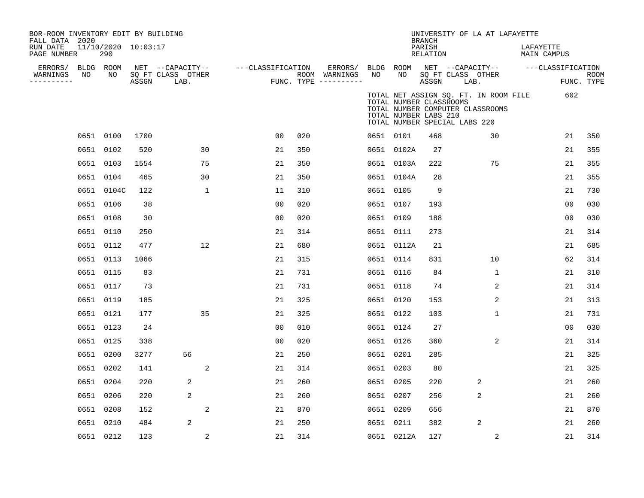| BOR-ROOM INVENTORY EDIT BY BUILDING<br>FALL DATA 2020<br>RUN DATE<br>PAGE NUMBER |      | 11/10/2020 10:03:17<br>290 |       |                                               |                   |     |                                                             |           |            | <b>BRANCH</b><br>PARISH<br>RELATION                                               |      | UNIVERSITY OF LA AT LAFAYETTE                                             | LAFAYETTE | MAIN CAMPUS                     |             |
|----------------------------------------------------------------------------------|------|----------------------------|-------|-----------------------------------------------|-------------------|-----|-------------------------------------------------------------|-----------|------------|-----------------------------------------------------------------------------------|------|---------------------------------------------------------------------------|-----------|---------------------------------|-------------|
| ERRORS/<br>WARNINGS<br>----------                                                | NO   | BLDG ROOM<br>NO            | ASSGN | NET --CAPACITY--<br>SQ FT CLASS OTHER<br>LAB. | ---CLASSIFICATION |     | ERRORS/ BLDG ROOM<br>ROOM WARNINGS<br>FUNC. TYPE ---------- | NO        | NO         | SQ FT CLASS OTHER<br>ASSGN                                                        | LAB. | NET --CAPACITY--                                                          |           | ---CLASSIFICATION<br>FUNC. TYPE | <b>ROOM</b> |
|                                                                                  |      |                            |       |                                               |                   |     |                                                             |           |            | TOTAL NUMBER CLASSROOMS<br>TOTAL NUMBER LABS 210<br>TOTAL NUMBER SPECIAL LABS 220 |      | TOTAL NET ASSIGN SQ. FT. IN ROOM FILE<br>TOTAL NUMBER COMPUTER CLASSROOMS |           | 602                             |             |
|                                                                                  |      | 0651 0100                  | 1700  |                                               | 0 <sub>0</sub>    | 020 |                                                             | 0651 0101 |            | 468                                                                               |      | 30                                                                        |           | 21                              | 350         |
|                                                                                  |      | 0651 0102                  | 520   | 30                                            | 21                | 350 |                                                             |           | 0651 0102A | 27                                                                                |      |                                                                           |           | 21                              | 355         |
|                                                                                  |      | 0651 0103                  | 1554  | 75                                            | 21                | 350 |                                                             |           | 0651 0103A | 222                                                                               |      | 75                                                                        |           | 21                              | 355         |
|                                                                                  |      | 0651 0104                  | 465   | 30                                            | 21                | 350 |                                                             |           | 0651 0104A | 28                                                                                |      |                                                                           |           | 21                              | 355         |
|                                                                                  |      | 0651 0104C                 | 122   | $\mathbf{1}$                                  | 11                | 310 |                                                             | 0651 0105 |            | 9                                                                                 |      |                                                                           |           | 21                              | 730         |
|                                                                                  | 0651 | 0106                       | 38    |                                               | 00                | 020 |                                                             | 0651 0107 |            | 193                                                                               |      |                                                                           |           | 0 <sub>0</sub>                  | 030         |
|                                                                                  |      | 0651 0108                  | 30    |                                               | 00                | 020 |                                                             | 0651 0109 |            | 188                                                                               |      |                                                                           |           | 0 <sub>0</sub>                  | 030         |
|                                                                                  |      | 0651 0110                  | 250   |                                               | 21                | 314 |                                                             | 0651 0111 |            | 273                                                                               |      |                                                                           |           | 21                              | 314         |
|                                                                                  |      | 0651 0112                  | 477   | 12                                            | 21                | 680 |                                                             |           | 0651 0112A | 21                                                                                |      |                                                                           |           | 21                              | 685         |
|                                                                                  |      | 0651 0113                  | 1066  |                                               | 21                | 315 |                                                             | 0651 0114 |            | 831                                                                               |      | 10                                                                        |           | 62                              | 314         |
|                                                                                  |      | 0651 0115                  | 83    |                                               | 21                | 731 |                                                             | 0651 0116 |            | 84                                                                                |      | 1                                                                         |           | 21                              | 310         |
|                                                                                  |      | 0651 0117                  | 73    |                                               | 21                | 731 |                                                             | 0651 0118 |            | 74                                                                                |      | 2                                                                         |           | 21                              | 314         |
|                                                                                  |      | 0651 0119                  | 185   |                                               | 21                | 325 |                                                             | 0651 0120 |            | 153                                                                               |      | 2                                                                         |           | 21                              | 313         |
|                                                                                  |      | 0651 0121                  | 177   | 35                                            | 21                | 325 |                                                             | 0651 0122 |            | 103                                                                               |      | $\mathbf{1}$                                                              |           | 21                              | 731         |
|                                                                                  |      | 0651 0123                  | 24    |                                               | 00                | 010 |                                                             | 0651 0124 |            | 27                                                                                |      |                                                                           |           | 0 <sub>0</sub>                  | 030         |
|                                                                                  |      | 0651 0125                  | 338   |                                               | 0 <sub>0</sub>    | 020 |                                                             | 0651 0126 |            | 360                                                                               |      | 2                                                                         |           | 21                              | 314         |
|                                                                                  |      | 0651 0200                  | 3277  | 56                                            | 21                | 250 |                                                             | 0651 0201 |            | 285                                                                               |      |                                                                           |           | 21                              | 325         |
|                                                                                  |      | 0651 0202                  | 141   | 2                                             | 21                | 314 |                                                             | 0651 0203 |            | 80                                                                                |      |                                                                           |           | 21                              | 325         |
|                                                                                  |      | 0651 0204                  | 220   | 2                                             | 21                | 260 |                                                             | 0651 0205 |            | 220                                                                               |      | 2                                                                         |           | 21                              | 260         |
|                                                                                  |      | 0651 0206                  | 220   | 2                                             | 21                | 260 |                                                             | 0651 0207 |            | 256                                                                               |      | 2                                                                         |           | 21                              | 260         |
|                                                                                  |      | 0651 0208                  | 152   | 2                                             | 21                | 870 |                                                             | 0651 0209 |            | 656                                                                               |      |                                                                           |           | 21                              | 870         |
|                                                                                  |      | 0651 0210                  | 484   | 2                                             | 21                | 250 |                                                             | 0651 0211 |            | 382                                                                               |      | 2                                                                         |           | 21                              | 260         |
|                                                                                  |      | 0651 0212                  | 123   | 2                                             | 21                | 314 |                                                             |           | 0651 0212A | 127                                                                               |      | 2                                                                         |           | 21                              | 314         |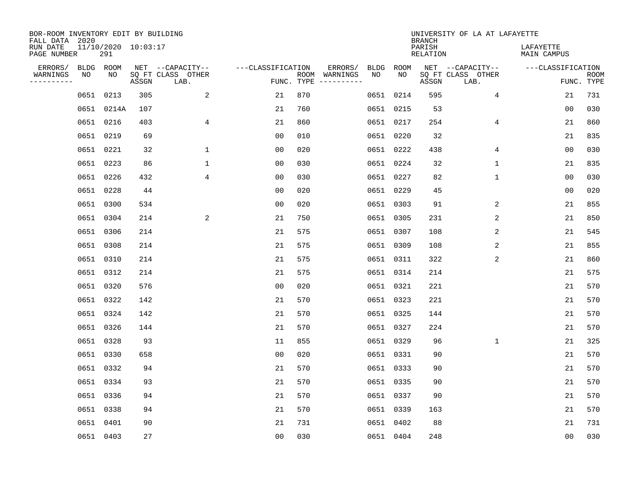| BOR-ROOM INVENTORY EDIT BY BUILDING<br>FALL DATA 2020 |                            |       |                           |                   |     |                                      |             |             | <b>BRANCH</b>             | UNIVERSITY OF LA AT LAFAYETTE |                          |                           |
|-------------------------------------------------------|----------------------------|-------|---------------------------|-------------------|-----|--------------------------------------|-------------|-------------|---------------------------|-------------------------------|--------------------------|---------------------------|
| RUN DATE<br>PAGE NUMBER                               | 11/10/2020 10:03:17<br>291 |       |                           |                   |     |                                      |             |             | PARISH<br><b>RELATION</b> |                               | LAFAYETTE<br>MAIN CAMPUS |                           |
| ERRORS/                                               | BLDG ROOM                  |       | NET --CAPACITY--          | ---CLASSIFICATION |     | ERRORS/                              | <b>BLDG</b> | <b>ROOM</b> |                           | NET --CAPACITY--              | ---CLASSIFICATION        |                           |
| WARNINGS<br>NO<br>----------                          | NO                         | ASSGN | SQ FT CLASS OTHER<br>LAB. |                   |     | ROOM WARNINGS<br>FUNC. TYPE $------$ | NO          | NO          | ASSGN                     | SQ FT CLASS OTHER<br>LAB.     |                          | <b>ROOM</b><br>FUNC. TYPE |
|                                                       | 0651 0213                  | 305   | 2                         | 21                | 870 |                                      |             | 0651 0214   | 595                       | $\overline{4}$                | 21                       | 731                       |
|                                                       | 0651 0214A                 | 107   |                           | 21                | 760 |                                      |             | 0651 0215   | 53                        |                               | 0 <sub>0</sub>           | 030                       |
|                                                       | 0651 0216                  | 403   | 4                         | 21                | 860 |                                      |             | 0651 0217   | 254                       | 4                             | 21                       | 860                       |
|                                                       | 0651 0219                  | 69    |                           | 0 <sub>0</sub>    | 010 |                                      |             | 0651 0220   | 32                        |                               | 21                       | 835                       |
|                                                       | 0651 0221                  | 32    | $\mathbf 1$               | 0 <sub>0</sub>    | 020 |                                      |             | 0651 0222   | 438                       | 4                             | 0 <sub>0</sub>           | 030                       |
|                                                       | 0651 0223                  | 86    | $\mathbf 1$               | 0 <sub>0</sub>    | 030 |                                      |             | 0651 0224   | 32                        | $\mathbf{1}$                  | 21                       | 835                       |
|                                                       | 0651 0226                  | 432   | 4                         | 0 <sub>0</sub>    | 030 |                                      |             | 0651 0227   | 82                        | $\mathbf{1}$                  | 0 <sub>0</sub>           | 030                       |
|                                                       | 0651 0228                  | 44    |                           | 0 <sub>0</sub>    | 020 |                                      |             | 0651 0229   | 45                        |                               | 0 <sub>0</sub>           | 020                       |
|                                                       | 0651 0300                  | 534   |                           | 0 <sub>0</sub>    | 020 |                                      |             | 0651 0303   | 91                        | 2                             | 21                       | 855                       |
|                                                       | 0651 0304                  | 214   | 2                         | 21                | 750 |                                      |             | 0651 0305   | 231                       | 2                             | 21                       | 850                       |
|                                                       | 0651 0306                  | 214   |                           | 21                | 575 |                                      |             | 0651 0307   | 108                       | 2                             | 21                       | 545                       |
|                                                       | 0651 0308                  | 214   |                           | 21                | 575 |                                      |             | 0651 0309   | 108                       | 2                             | 21                       | 855                       |
|                                                       | 0651 0310                  | 214   |                           | 21                | 575 |                                      |             | 0651 0311   | 322                       | 2                             | 21                       | 860                       |
|                                                       | 0651 0312                  | 214   |                           | 21                | 575 |                                      |             | 0651 0314   | 214                       |                               | 21                       | 575                       |
|                                                       | 0651 0320                  | 576   |                           | 0 <sub>0</sub>    | 020 |                                      |             | 0651 0321   | 221                       |                               | 21                       | 570                       |
|                                                       | 0651 0322                  | 142   |                           | 21                | 570 |                                      |             | 0651 0323   | 221                       |                               | 21                       | 570                       |
|                                                       | 0651 0324                  | 142   |                           | 21                | 570 |                                      |             | 0651 0325   | 144                       |                               | 21                       | 570                       |
|                                                       | 0651 0326                  | 144   |                           | 21                | 570 |                                      |             | 0651 0327   | 224                       |                               | 21                       | 570                       |
|                                                       | 0651 0328                  | 93    |                           | 11                | 855 |                                      |             | 0651 0329   | 96                        | $\mathbf 1$                   | 21                       | 325                       |
|                                                       | 0651 0330                  | 658   |                           | 0 <sub>0</sub>    | 020 |                                      |             | 0651 0331   | 90                        |                               | 21                       | 570                       |
|                                                       | 0651 0332                  | 94    |                           | 21                | 570 |                                      |             | 0651 0333   | 90                        |                               | 21                       | 570                       |
|                                                       | 0651 0334                  | 93    |                           | 21                | 570 |                                      |             | 0651 0335   | 90                        |                               | 21                       | 570                       |
|                                                       | 0651 0336                  | 94    |                           | 21                | 570 |                                      |             | 0651 0337   | 90                        |                               | 21                       | 570                       |
|                                                       | 0651 0338                  | 94    |                           | 21                | 570 |                                      |             | 0651 0339   | 163                       |                               | 21                       | 570                       |
|                                                       | 0651 0401                  | 90    |                           | 21                | 731 |                                      |             | 0651 0402   | 88                        |                               | 21                       | 731                       |
|                                                       | 0651 0403                  | 27    |                           | 00                | 030 |                                      |             | 0651 0404   | 248                       |                               | 0 <sub>0</sub>           | 030                       |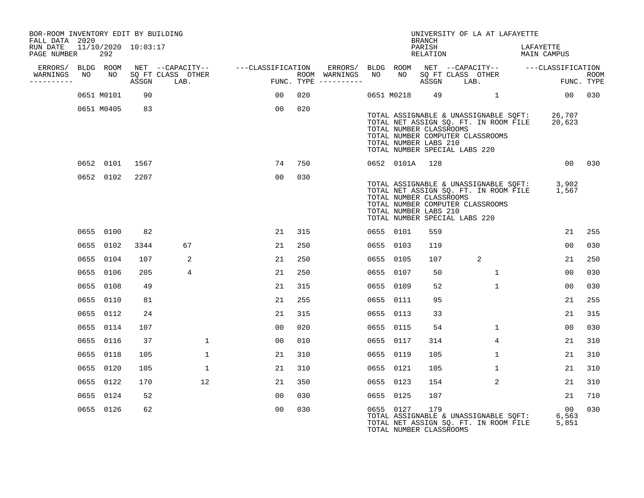| BOR-ROOM INVENTORY EDIT BY BUILDING<br>FALL DATA 2020 |            |                     |                                                                                  |                                                                                                                                                                                                                                |     |                     |                | <b>BRANCH</b>                                    | UNIVERSITY OF LA AT LAFAYETTE                                                                                                                                     |                                   |                    |
|-------------------------------------------------------|------------|---------------------|----------------------------------------------------------------------------------|--------------------------------------------------------------------------------------------------------------------------------------------------------------------------------------------------------------------------------|-----|---------------------|----------------|--------------------------------------------------|-------------------------------------------------------------------------------------------------------------------------------------------------------------------|-----------------------------------|--------------------|
| RUN DATE<br>PAGE NUMBER                               | 292        | 11/10/2020 10:03:17 |                                                                                  |                                                                                                                                                                                                                                |     |                     |                | PARISH<br>RELATION                               |                                                                                                                                                                   | LAFAYETTE<br>MAIN CAMPUS          |                    |
| ERRORS/ BLDG ROOM<br>----------                       |            | ASSGN               | NET --CAPACITY-- - ---CLASSIFICATION<br>WARNINGS NO NO SQ FT CLASS OTHER<br>LAB. | and the series of the series of the series of the series of the series of the series of the series of the series of the series of the series of the series of the series of the series of the series of the series of the seri |     | FUNC. TYPE $------$ |                |                                                  | ERRORS/ BLDG ROOM NET --CAPACITY--  ---CLASSIFICATION<br>ROOM WARNINGS NO NO SQ FT CLASS OTHER<br>ASSGN LAB.                                                      |                                   | ROOM<br>FUNC. TYPE |
|                                                       | 0651 M0101 | 90                  |                                                                                  | $00 \,$                                                                                                                                                                                                                        | 020 |                     |                |                                                  | 0651 M0218 49 1                                                                                                                                                   | 00 030                            |                    |
|                                                       | 0651 M0405 | 83                  |                                                                                  | 00                                                                                                                                                                                                                             | 020 |                     |                | TOTAL NUMBER CLASSROOMS<br>TOTAL NUMBER LABS 210 | TOTAL ASSIGNABLE & UNASSIGNABLE SQFT: 26,707<br>TOTAL NET ASSIGN SQ. FT. IN ROOM FILE 20,623<br>TOTAL NUMBER COMPUTER CLASSROOMS<br>TOTAL NUMBER SPECIAL LABS 220 |                                   |                    |
|                                                       | 0652 0101  | 1567                |                                                                                  | 74                                                                                                                                                                                                                             | 750 |                     | 0652 0101A 128 |                                                  |                                                                                                                                                                   |                                   | 00 030             |
|                                                       | 0652 0102  | 2207                |                                                                                  | 0 <sup>0</sup>                                                                                                                                                                                                                 | 030 |                     |                | TOTAL NUMBER CLASSROOMS<br>TOTAL NUMBER LABS 210 | TOTAL ASSIGNABLE & UNASSIGNABLE SQFT: 3,902<br>TOTAL NET ASSIGN SQ. FT. IN ROOM FILE 1,567<br>TOTAL NUMBER COMPUTER CLASSROOMS<br>TOTAL NUMBER SPECIAL LABS 220   |                                   |                    |
|                                                       | 0655 0100  | 82                  |                                                                                  | 21                                                                                                                                                                                                                             | 315 |                     | 0655 0101      | 559                                              |                                                                                                                                                                   | 21                                | 255                |
|                                                       | 0655 0102  | 3344                | 67                                                                               | 21                                                                                                                                                                                                                             | 250 |                     | 0655 0103      | 119                                              |                                                                                                                                                                   | 00                                | 030                |
|                                                       | 0655 0104  | 107                 | 2                                                                                | 21                                                                                                                                                                                                                             | 250 |                     | 0655 0105      | 107                                              | 2                                                                                                                                                                 | 21                                | 250                |
|                                                       | 0655 0106  | 205                 | 4                                                                                | 21                                                                                                                                                                                                                             | 250 |                     | 0655 0107      | 50                                               | $\mathbf{1}$                                                                                                                                                      | $00 \,$                           | 030                |
|                                                       | 0655 0108  | 49                  |                                                                                  | 21                                                                                                                                                                                                                             | 315 |                     | 0655 0109      | 52                                               | $\mathbf{1}$                                                                                                                                                      | 0 <sub>0</sub>                    | 030                |
|                                                       | 0655 0110  | 81                  |                                                                                  | 21                                                                                                                                                                                                                             | 255 |                     | 0655 0111      | 95                                               |                                                                                                                                                                   | 21                                | 255                |
|                                                       | 0655 0112  | 24                  |                                                                                  | 21                                                                                                                                                                                                                             | 315 |                     | 0655 0113      | 33                                               |                                                                                                                                                                   | 21                                | 315                |
|                                                       | 0655 0114  | 107                 |                                                                                  | 0 <sub>0</sub>                                                                                                                                                                                                                 | 020 |                     | 0655 0115      | 54                                               | $\mathbf{1}$                                                                                                                                                      | 0 <sub>0</sub>                    | 030                |
|                                                       | 0655 0116  | 37                  | $\mathbf{1}$                                                                     | 00                                                                                                                                                                                                                             | 010 |                     | 0655 0117      | 314                                              | $4^{\circ}$                                                                                                                                                       | 21                                | 310                |
|                                                       | 0655 0118  | 105                 | $\mathbf{1}$                                                                     | 21                                                                                                                                                                                                                             | 310 |                     | 0655 0119      | 105                                              | $\mathbf{1}$                                                                                                                                                      | 21                                | 310                |
|                                                       | 0655 0120  | 105                 | 1                                                                                | 21                                                                                                                                                                                                                             | 310 |                     | 0655 0121      | 105                                              | $\mathbf{1}$                                                                                                                                                      | 21                                | 310                |
|                                                       | 0655 0122  | 170                 | 12                                                                               | 21                                                                                                                                                                                                                             | 350 |                     | 0655 0123      | 154                                              | 2                                                                                                                                                                 | 21                                | 310                |
|                                                       | 0655 0124  | 52                  |                                                                                  | 00                                                                                                                                                                                                                             | 030 |                     | 0655 0125      | 107                                              |                                                                                                                                                                   | 21                                | 710                |
|                                                       | 0655 0126  | 62                  |                                                                                  | 0 <sub>0</sub>                                                                                                                                                                                                                 | 030 |                     | 0655 0127      | 179<br>TOTAL NUMBER CLASSROOMS                   | TOTAL ASSIGNABLE & UNASSIGNABLE SQFT:<br>TOTAL NET ASSIGN SQ. FT. IN ROOM FILE                                                                                    | $\overline{00}$<br>6,563<br>5,851 | 030                |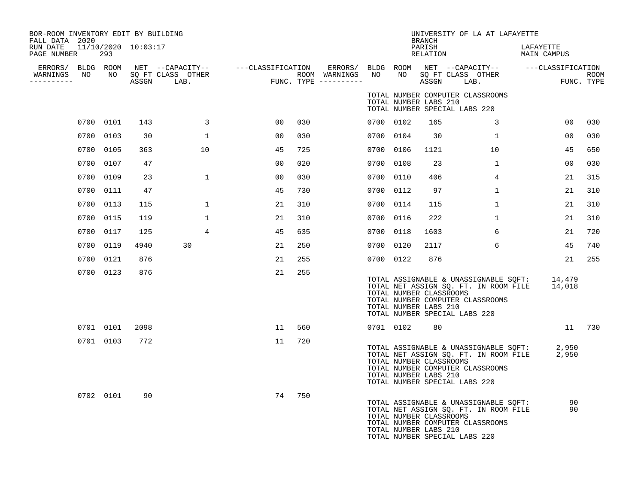| BOR-ROOM INVENTORY EDIT BY BUILDING<br>FALL DATA 2020<br>RUN DATE 11/10/2020 10:03:17<br>PAGE NUMBER | 293       |      |                                                     |     |     |                                      |           |      | <b>BRANCH</b><br>PARISH<br>RELATION              | UNIVERSITY OF LA AT LAFAYETTE                                                                                                                             | LAFAYETTE<br>MAIN CAMPUS |                           |
|------------------------------------------------------------------------------------------------------|-----------|------|-----------------------------------------------------|-----|-----|--------------------------------------|-----------|------|--------------------------------------------------|-----------------------------------------------------------------------------------------------------------------------------------------------------------|--------------------------|---------------------------|
| ERRORS/ BLDG ROOM<br>WARNINGS<br>NO<br>-----------                                                   | NO        |      | NET --CAPACITY--<br>SQ FT CLASS OTHER<br>ASSGN LAB. | FUN |     | ROOM WARNINGS<br>FUNC. TYPE $------$ | NO        | NO   | ASSGN                                            | ---CLASSIFICATION ERRORS/ BLDG ROOM NET --CAPACITY--  ---CLASSIFICATION<br>SQ FT CLASS OTHER<br>LAB.                                                      |                          | <b>ROOM</b><br>FUNC. TYPE |
|                                                                                                      |           |      |                                                     |     |     |                                      |           |      | TOTAL NUMBER LABS 210                            | TOTAL NUMBER COMPUTER CLASSROOMS<br>TOTAL NUMBER SPECIAL LABS 220                                                                                         |                          |                           |
|                                                                                                      | 0700 0101 | 143  | $\overline{3}$                                      | 00  | 030 |                                      | 0700 0102 |      | 165                                              | $\mathbf{3}$                                                                                                                                              | 00                       | 030                       |
|                                                                                                      | 0700 0103 | 30   | $\mathbf{1}$                                        | 00  | 030 |                                      | 0700 0104 |      | 30                                               | $\mathbf{1}$                                                                                                                                              | 0 <sub>0</sub>           | 030                       |
|                                                                                                      | 0700 0105 | 363  | 10                                                  | 45  | 725 |                                      | 0700      | 0106 | 1121                                             | 10                                                                                                                                                        | 45                       | 650                       |
|                                                                                                      | 0700 0107 | 47   |                                                     | 00  | 020 |                                      | 0700      | 0108 | 23                                               | 1                                                                                                                                                         | 0 <sub>0</sub>           | 030                       |
|                                                                                                      | 0700 0109 | 23   | $\mathbf{1}$                                        | 00  | 030 |                                      | 0700      | 0110 | 406                                              | $4^{\circ}$                                                                                                                                               | 21                       | 315                       |
| 0700                                                                                                 | 0111      | 47   |                                                     | 45  | 730 |                                      | 0700      | 0112 | 97                                               | $\mathbf{1}$                                                                                                                                              | 21                       | 310                       |
| 0700                                                                                                 | 0113      | 115  | $\mathbf{1}$                                        | 21  | 310 |                                      | 0700      | 0114 | 115                                              | $\mathbf{1}$                                                                                                                                              | 21                       | 310                       |
|                                                                                                      | 0700 0115 | 119  | 1                                                   | 21  | 310 |                                      | 0700      | 0116 | 222                                              | $\mathbf{1}$                                                                                                                                              | 21                       | 310                       |
|                                                                                                      | 0700 0117 | 125  | 4                                                   | 45  | 635 |                                      | 0700 0118 |      | 1603                                             | 6                                                                                                                                                         | 21                       | 720                       |
|                                                                                                      | 0700 0119 | 4940 | 30                                                  | 21  | 250 |                                      | 0700 0120 |      | 2117                                             | 6                                                                                                                                                         | 45                       | 740                       |
|                                                                                                      | 0700 0121 | 876  |                                                     | 21  | 255 |                                      | 0700 0122 |      | 876                                              |                                                                                                                                                           | 21                       | 255                       |
|                                                                                                      | 0700 0123 | 876  |                                                     | 21  | 255 |                                      |           |      | TOTAL NUMBER CLASSROOMS<br>TOTAL NUMBER LABS 210 | TOTAL ASSIGNABLE & UNASSIGNABLE SQFT:<br>TOTAL NET ASSIGN SQ. FT. IN ROOM FILE<br>TOTAL NUMBER COMPUTER CLASSROOMS<br>TOTAL NUMBER SPECIAL LABS 220       | 14,479<br>14,018         |                           |
|                                                                                                      | 0701 0101 | 2098 |                                                     | 11  | 560 |                                      | 0701 0102 |      | 80                                               |                                                                                                                                                           |                          | 11 730                    |
|                                                                                                      | 0701 0103 | 772  |                                                     | 11  | 720 |                                      |           |      | TOTAL NUMBER CLASSROOMS<br>TOTAL NUMBER LABS 210 | TOTAL ASSIGNABLE & UNASSIGNABLE SQFT: 2,950<br>TOTAL NET ASSIGN SQ. FT. IN ROOM FILE<br>TOTAL NUMBER COMPUTER CLASSROOMS<br>TOTAL NUMBER SPECIAL LABS 220 | 2,950                    |                           |
|                                                                                                      | 0702 0101 | 90   |                                                     | 74  | 750 |                                      |           |      | TOTAL NUMBER CLASSROOMS<br>TOTAL NUMBER LABS 210 | TOTAL ASSIGNABLE & UNASSIGNABLE SQFT:<br>TOTAL NET ASSIGN SQ. FT. IN ROOM FILE<br>TOTAL NUMBER COMPUTER CLASSROOMS<br>TOTAL NUMBER SPECIAL LABS 220       | 90<br>90                 |                           |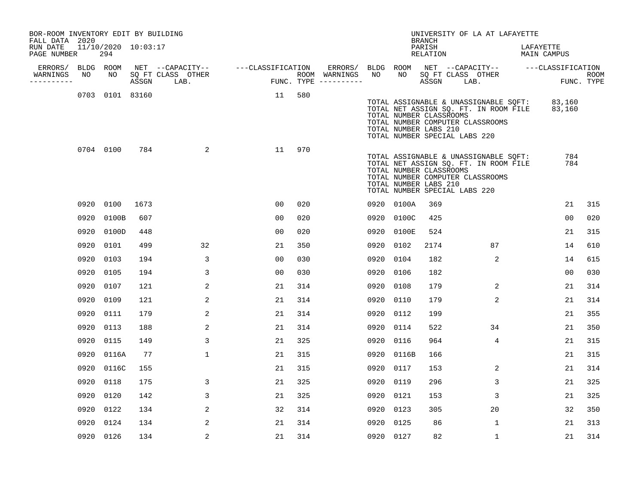| BOR-ROOM INVENTORY EDIT BY BUILDING<br>FALL DATA 2020 |      |                            |      |                                 |                                    |     |                                                       |           |                                                                                   | <b>BRANCH</b>      | UNIVERSITY OF LA AT LAFAYETTE                                                                                                    |           |                |      |
|-------------------------------------------------------|------|----------------------------|------|---------------------------------|------------------------------------|-----|-------------------------------------------------------|-----------|-----------------------------------------------------------------------------------|--------------------|----------------------------------------------------------------------------------------------------------------------------------|-----------|----------------|------|
| RUN DATE<br>PAGE NUMBER                               |      | 11/10/2020 10:03:17<br>294 |      |                                 |                                    |     |                                                       |           |                                                                                   | PARISH<br>RELATION |                                                                                                                                  | LAFAYETTE | MAIN CAMPUS    |      |
| ERRORS/ BLDG ROOM<br>WARNINGS                         | NO   | NO                         |      |                                 | NET --CAPACITY-- ---CLASSIFICATION |     | ERRORS/ BLDG ROOM NET --CAPACITY--  ---CLASSIFICATION | NO        | NO                                                                                |                    | SQ FT CLASS OTHER                                                                                                                |           |                |      |
| ----------                                            |      |                            |      | SQ FT CLASS OTHER<br>ASSGN LAB. |                                    |     | ROOM WARNINGS<br>FUNC. TYPE $------$                  |           |                                                                                   | ASSGN LAB.         |                                                                                                                                  |           | FUNC. TYPE     | ROOM |
|                                                       |      | 0703 0101 83160            |      |                                 | 11                                 | 580 |                                                       |           | TOTAL NUMBER CLASSROOMS<br>TOTAL NUMBER LABS 210<br>TOTAL NUMBER SPECIAL LABS 220 |                    | TOTAL ASSIGNABLE & UNASSIGNABLE SQFT: 83,160<br>TOTAL NET ASSIGN SQ. FT. IN ROOM FILE 83,160<br>TOTAL NUMBER COMPUTER CLASSROOMS |           |                |      |
|                                                       |      | 0704 0100                  | 784  | 2                               | 11                                 | 970 |                                                       |           | TOTAL NUMBER CLASSROOMS<br>TOTAL NUMBER LABS 210<br>TOTAL NUMBER SPECIAL LABS 220 |                    | TOTAL ASSIGNABLE & UNASSIGNABLE SQFT:<br>TOTAL NET ASSIGN SQ. FT. IN ROOM FILE<br>TOTAL NUMBER COMPUTER CLASSROOMS               |           | 784<br>784     |      |
|                                                       |      | 0920 0100                  | 1673 |                                 | 00                                 | 020 |                                                       |           | 0920 0100A                                                                        | 369                |                                                                                                                                  |           | 21             | 315  |
|                                                       | 0920 | 0100B                      | 607  |                                 | 0 <sup>0</sup>                     | 020 |                                                       |           | 0920 0100C                                                                        | 425                |                                                                                                                                  |           | 0 <sub>0</sub> | 020  |
|                                                       |      | 0920 0100D                 | 448  |                                 | 00                                 | 020 |                                                       |           | 0920 0100E                                                                        | 524                |                                                                                                                                  |           | 21             | 315  |
|                                                       |      | 0920 0101                  | 499  | 32                              | 21                                 | 350 |                                                       | 0920 0102 |                                                                                   | 2174               | 87                                                                                                                               |           | 14             | 610  |
|                                                       | 0920 | 0103                       | 194  | 3                               | 00                                 | 030 |                                                       | 0920 0104 |                                                                                   | 182                | 2                                                                                                                                |           | 14             | 615  |
|                                                       | 0920 | 0105                       | 194  | 3                               | 00                                 | 030 |                                                       | 0920 0106 |                                                                                   | 182                |                                                                                                                                  |           | 0 <sub>0</sub> | 030  |
|                                                       | 0920 | 0107                       | 121  | 2                               | 21                                 | 314 |                                                       | 0920 0108 |                                                                                   | 179                | 2                                                                                                                                |           | 21             | 314  |
|                                                       |      | 0920 0109                  | 121  | 2                               | 21                                 | 314 |                                                       | 0920 0110 |                                                                                   | 179                | 2                                                                                                                                |           | 21             | 314  |
|                                                       |      | 0920 0111                  | 179  | 2                               | 21                                 | 314 |                                                       | 0920 0112 |                                                                                   | 199                |                                                                                                                                  |           | 21             | 355  |
|                                                       |      | 0920 0113                  | 188  | 2                               | 21                                 | 314 |                                                       | 0920 0114 |                                                                                   | 522                | 34                                                                                                                               |           | 21             | 350  |
|                                                       |      | 0920 0115                  | 149  | 3                               | 21                                 | 325 |                                                       | 0920 0116 |                                                                                   | 964                | 4                                                                                                                                |           | 21             | 315  |
|                                                       |      | 0920 0116A                 | 77   | $\mathbf 1$                     | 21                                 | 315 |                                                       |           | 0920 0116B                                                                        | 166                |                                                                                                                                  |           | 21             | 315  |
|                                                       |      | 0920 0116C                 | 155  |                                 | 21                                 | 315 |                                                       | 0920 0117 |                                                                                   | 153                | 2                                                                                                                                |           | 21             | 314  |
|                                                       | 0920 | 0118                       | 175  | 3                               | 21                                 | 325 |                                                       | 0920 0119 |                                                                                   | 296                | 3                                                                                                                                |           | 21             | 325  |
|                                                       |      | 0920 0120                  | 142  | 3                               | 21                                 | 325 |                                                       | 0920 0121 |                                                                                   | 153                | 3                                                                                                                                |           | 21             | 325  |
|                                                       | 0920 | 0122                       | 134  | $\overline{2}$                  | 32                                 | 314 |                                                       | 0920 0123 |                                                                                   | 305                | 20                                                                                                                               |           | 32             | 350  |
|                                                       |      | 0920 0124                  | 134  | 2                               | 21                                 | 314 |                                                       | 0920 0125 |                                                                                   | 86                 | $\mathbf{1}$                                                                                                                     |           | 21             | 313  |
|                                                       |      | 0920 0126                  | 134  | 2                               | 21                                 | 314 |                                                       | 0920 0127 |                                                                                   | 82                 | $\mathbf{1}$                                                                                                                     |           | 21             | 314  |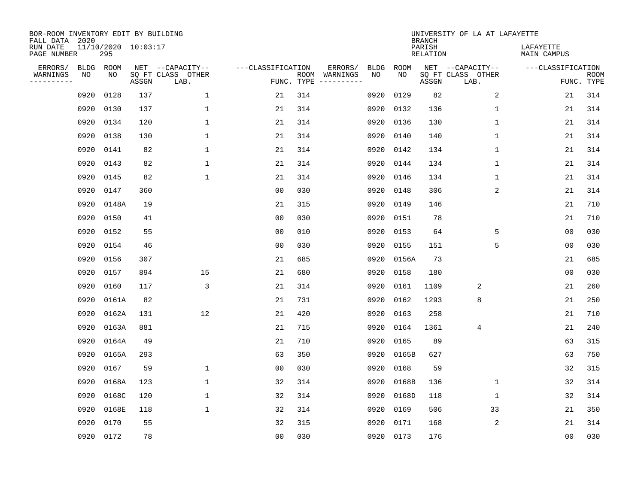| BOR-ROOM INVENTORY EDIT BY BUILDING<br>FALL DATA 2020 |             |                            |       |                           |                   |     |                                      |             |             | <b>BRANCH</b>             | UNIVERSITY OF LA AT LAFAYETTE |                          |                           |
|-------------------------------------------------------|-------------|----------------------------|-------|---------------------------|-------------------|-----|--------------------------------------|-------------|-------------|---------------------------|-------------------------------|--------------------------|---------------------------|
| RUN DATE<br>PAGE NUMBER                               |             | 11/10/2020 10:03:17<br>295 |       |                           |                   |     |                                      |             |             | PARISH<br><b>RELATION</b> |                               | LAFAYETTE<br>MAIN CAMPUS |                           |
| ERRORS/                                               | <b>BLDG</b> | ROOM                       |       | NET --CAPACITY--          | ---CLASSIFICATION |     | ERRORS/                              | <b>BLDG</b> | <b>ROOM</b> |                           | NET --CAPACITY--              | ---CLASSIFICATION        |                           |
| WARNINGS<br>----------                                | NO          | NO                         | ASSGN | SQ FT CLASS OTHER<br>LAB. |                   |     | ROOM WARNINGS<br>FUNC. TYPE $------$ | NO          | NO          | ASSGN                     | SQ FT CLASS OTHER<br>LAB.     |                          | <b>ROOM</b><br>FUNC. TYPE |
|                                                       | 0920        | 0128                       | 137   | 1                         | 21                | 314 |                                      | 0920        | 0129        | 82                        | 2                             | 21                       | 314                       |
|                                                       | 0920        | 0130                       | 137   | 1                         | 21                | 314 |                                      | 0920        | 0132        | 136                       | 1                             | 21                       | 314                       |
|                                                       | 0920        | 0134                       | 120   | $\mathbf 1$               | 21                | 314 |                                      | 0920        | 0136        | 130                       | $\mathbf 1$                   | 21                       | 314                       |
|                                                       | 0920        | 0138                       | 130   | $\mathbf 1$               | 21                | 314 |                                      | 0920        | 0140        | 140                       | $\mathbf 1$                   | 21                       | 314                       |
|                                                       | 0920        | 0141                       | 82    | $\mathbf 1$               | 21                | 314 |                                      | 0920        | 0142        | 134                       | $\mathbf 1$                   | 21                       | 314                       |
|                                                       | 0920        | 0143                       | 82    | $\mathbf 1$               | 21                | 314 |                                      |             | 0920 0144   | 134                       | 1                             | 21                       | 314                       |
|                                                       | 0920        | 0145                       | 82    | $\mathbf{1}$              | 21                | 314 |                                      | 0920        | 0146        | 134                       | $\mathbf{1}$                  | 21                       | 314                       |
|                                                       | 0920        | 0147                       | 360   |                           | 0 <sub>0</sub>    | 030 |                                      | 0920        | 0148        | 306                       | 2                             | 21                       | 314                       |
|                                                       | 0920        | 0148A                      | 19    |                           | 21                | 315 |                                      | 0920        | 0149        | 146                       |                               | 21                       | 710                       |
|                                                       | 0920        | 0150                       | 41    |                           | 0 <sub>0</sub>    | 030 |                                      | 0920        | 0151        | 78                        |                               | 21                       | 710                       |
|                                                       | 0920        | 0152                       | 55    |                           | 0 <sub>0</sub>    | 010 |                                      | 0920        | 0153        | 64                        | 5                             | 0 <sub>0</sub>           | 030                       |
|                                                       | 0920        | 0154                       | 46    |                           | 0 <sub>0</sub>    | 030 |                                      | 0920        | 0155        | 151                       | 5                             | 0 <sub>0</sub>           | 030                       |
|                                                       | 0920        | 0156                       | 307   |                           | 21                | 685 |                                      | 0920        | 0156A       | 73                        |                               | 21                       | 685                       |
|                                                       | 0920        | 0157                       | 894   | 15                        | 21                | 680 |                                      | 0920        | 0158        | 180                       |                               | 00                       | 030                       |
|                                                       | 0920        | 0160                       | 117   | 3                         | 21                | 314 |                                      | 0920        | 0161        | 1109                      | 2                             | 21                       | 260                       |
|                                                       | 0920        | 0161A                      | 82    |                           | 21                | 731 |                                      | 0920        | 0162        | 1293                      | 8                             | 21                       | 250                       |
|                                                       | 0920        | 0162A                      | 131   | 12                        | 21                | 420 |                                      | 0920        | 0163        | 258                       |                               | 21                       | 710                       |
|                                                       | 0920        | 0163A                      | 881   |                           | 21                | 715 |                                      | 0920        | 0164        | 1361                      | 4                             | 21                       | 240                       |
|                                                       | 0920        | 0164A                      | 49    |                           | 21                | 710 |                                      | 0920        | 0165        | 89                        |                               | 63                       | 315                       |
|                                                       | 0920        | 0165A                      | 293   |                           | 63                | 350 |                                      | 0920        | 0165B       | 627                       |                               | 63                       | 750                       |
|                                                       | 0920        | 0167                       | 59    | $\mathbf 1$               | 0 <sub>0</sub>    | 030 |                                      | 0920        | 0168        | 59                        |                               | 32                       | 315                       |
|                                                       | 0920        | 0168A                      | 123   | $\mathbf{1}$              | 32                | 314 |                                      | 0920        | 0168B       | 136                       | $\mathbf 1$                   | 32                       | 314                       |
|                                                       | 0920        | 0168C                      | 120   | $\mathbf{1}$              | 32                | 314 |                                      | 0920        | 0168D       | 118                       | 1                             | 32                       | 314                       |
|                                                       | 0920        | 0168E                      | 118   | $\mathbf{1}$              | 32                | 314 |                                      | 0920        | 0169        | 506                       | 33                            | 21                       | 350                       |
|                                                       | 0920        | 0170                       | 55    |                           | 32                | 315 |                                      | 0920        | 0171        | 168                       | $\sqrt{2}$                    | 21                       | 314                       |
|                                                       | 0920 0172   |                            | 78    |                           | 00                | 030 |                                      |             | 0920 0173   | 176                       |                               | 00                       | 030                       |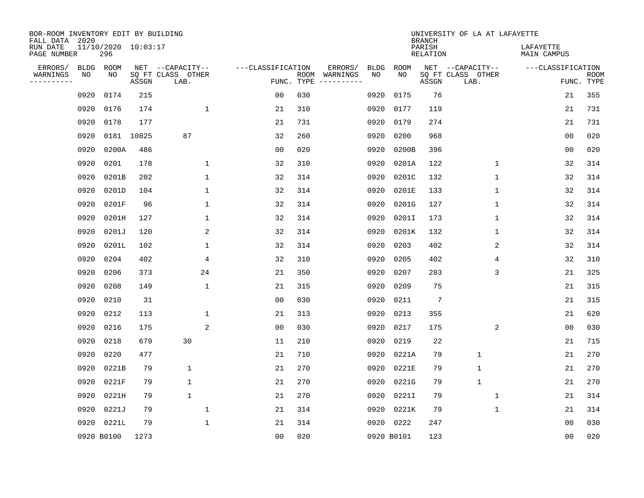| BOR-ROOM INVENTORY EDIT BY BUILDING<br>FALL DATA 2020 |             |                            |            |                           |                   |                    |          |             |             | <b>BRANCH</b>             | UNIVERSITY OF LA AT LAFAYETTE |                          |                           |
|-------------------------------------------------------|-------------|----------------------------|------------|---------------------------|-------------------|--------------------|----------|-------------|-------------|---------------------------|-------------------------------|--------------------------|---------------------------|
| RUN DATE<br>PAGE NUMBER                               |             | 11/10/2020 10:03:17<br>296 |            |                           |                   |                    |          |             |             | PARISH<br><b>RELATION</b> |                               | LAFAYETTE<br>MAIN CAMPUS |                           |
| ERRORS/                                               | <b>BLDG</b> | ROOM                       |            | NET --CAPACITY--          | ---CLASSIFICATION |                    | ERRORS/  | <b>BLDG</b> | <b>ROOM</b> |                           | NET --CAPACITY--              | ---CLASSIFICATION        |                           |
| WARNINGS<br>----------                                | NO          | NO                         | ASSGN      | SQ FT CLASS OTHER<br>LAB. |                   | ROOM<br>FUNC. TYPE | WARNINGS | NO          | NO          | ASSGN                     | SQ FT CLASS OTHER<br>LAB.     |                          | <b>ROOM</b><br>FUNC. TYPE |
|                                                       | 0920        | 0174                       | 215        |                           | 0 <sub>0</sub>    | 030                |          | 0920        | 0175        | 76                        |                               | 21                       | 355                       |
|                                                       | 0920        | 0176                       | 174        | $\mathbf{1}$              | 21                | 310                |          | 0920        | 0177        | 119                       |                               | 21                       | 731                       |
|                                                       | 0920        | 0178                       | 177        |                           | 21                | 731                |          | 0920        | 0179        | 274                       |                               | 21                       | 731                       |
|                                                       | 0920        |                            | 0181 10825 | 87                        | 32                | 260                |          | 0920        | 0200        | 968                       |                               | 0 <sub>0</sub>           | 020                       |
|                                                       | 0920        | 0200A                      | 486        |                           | 0 <sub>0</sub>    | 020                |          | 0920        | 0200B       | 396                       |                               | 0 <sub>0</sub>           | 020                       |
|                                                       | 0920        | 0201                       | 178        | 1                         | 32                | 310                |          | 0920        | 0201A       | 122                       | 1                             | 32                       | 314                       |
|                                                       | 0920        | 0201B                      | 202        | $\mathbf{1}$              | 32                | 314                |          | 0920        | 0201C       | 132                       | $\mathbf 1$                   | 32                       | 314                       |
|                                                       | 0920        | 0201D                      | 104        | $\mathbf{1}$              | 32                | 314                |          | 0920        | 0201E       | 133                       | $\mathbf 1$                   | 32                       | 314                       |
|                                                       | 0920        | 0201F                      | 96         | 1                         | 32                | 314                |          | 0920        | 0201G       | 127                       | 1                             | 32                       | 314                       |
|                                                       | 0920        | 0201H                      | 127        | 1                         | 32                | 314                |          | 0920        | 0201I       | 173                       | 1                             | 32                       | 314                       |
|                                                       | 0920        | 0201J                      | 120        | 2                         | 32                | 314                |          | 0920        | 0201K       | 132                       | 1                             | 32                       | 314                       |
|                                                       | 0920        | 0201L                      | 102        | $\mathbf{1}$              | 32                | 314                |          | 0920        | 0203        | 402                       | 2                             | 32                       | 314                       |
|                                                       | 0920        | 0204                       | 402        | 4                         | 32                | 310                |          | 0920        | 0205        | 402                       | 4                             | 32                       | 310                       |
|                                                       | 0920        | 0206                       | 373        | 24                        | 21                | 350                |          | 0920        | 0207        | 283                       | 3                             | 21                       | 325                       |
|                                                       | 0920        | 0208                       | 149        | 1                         | 21                | 315                |          | 0920        | 0209        | 75                        |                               | 21                       | 315                       |
|                                                       | 0920        | 0210                       | 31         |                           | 0 <sub>0</sub>    | 030                |          | 0920        | 0211        | 7                         |                               | 21                       | 315                       |
|                                                       | 0920        | 0212                       | 113        | 1                         | 21                | 313                |          | 0920        | 0213        | 355                       |                               | 21                       | 620                       |
|                                                       | 0920        | 0216                       | 175        | 2                         | 0 <sub>0</sub>    | 030                |          | 0920        | 0217        | 175                       | 2                             | 00                       | 030                       |
|                                                       | 0920        | 0218                       | 679        | 30                        | 11                | 210                |          | 0920        | 0219        | 22                        |                               | 21                       | 715                       |
|                                                       | 0920        | 0220                       | 477        |                           | 21                | 710                |          | 0920        | 0221A       | 79                        | $\mathbf{1}$                  | 21                       | 270                       |
|                                                       | 0920        | 0221B                      | 79         | 1                         | 21                | 270                |          | 0920        | 0221E       | 79                        | $\mathbf{1}$                  | 21                       | 270                       |
|                                                       | 0920        | 0221F                      | 79         | $\mathbf{1}$              | 21                | 270                |          | 0920        | 0221G       | 79                        | $\mathbf{1}$                  | 21                       | 270                       |
|                                                       | 0920        | 0221H                      | 79         | $\mathbf{1}$              | 21                | 270                |          | 0920        | 0221I       | 79                        | 1                             | 21                       | 314                       |
|                                                       | 0920        | 0221J                      | 79         | 1                         | 21                | 314                |          | 0920        | 0221K       | 79                        | 1                             | 21                       | 314                       |
|                                                       | 0920        | 0221L                      | 79         | 1                         | 21                | 314                |          | 0920        | 0222        | 247                       |                               | 0 <sub>0</sub>           | 030                       |
|                                                       |             | 0920 B0100                 | 1273       |                           | 0 <sub>0</sub>    | 020                |          |             | 0920 B0101  | 123                       |                               | 00                       | 020                       |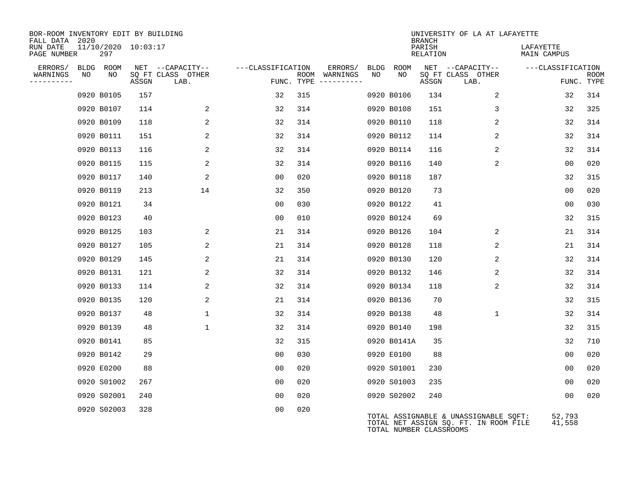| BOR-ROOM INVENTORY EDIT BY BUILDING<br>FALL DATA 2020 |             |                     |                           |                   |     |                                      |      |                         | <b>BRANCH</b>      | UNIVERSITY OF LA AT LAFAYETTE                                                  |                          |                           |
|-------------------------------------------------------|-------------|---------------------|---------------------------|-------------------|-----|--------------------------------------|------|-------------------------|--------------------|--------------------------------------------------------------------------------|--------------------------|---------------------------|
| RUN DATE<br>PAGE NUMBER                               | 297         | 11/10/2020 10:03:17 |                           |                   |     |                                      |      |                         | PARISH<br>RELATION |                                                                                | LAFAYETTE<br>MAIN CAMPUS |                           |
| ERRORS/                                               | BLDG ROOM   |                     | NET --CAPACITY--          | ---CLASSIFICATION |     | ERRORS/                              | BLDG | ROOM                    |                    | NET --CAPACITY--                                                               | ---CLASSIFICATION        |                           |
| WARNINGS<br>NO<br>----------                          | NO.         | ASSGN               | SQ FT CLASS OTHER<br>LAB. |                   |     | ROOM WARNINGS<br>FUNC. TYPE $------$ | NO   | NO                      | ASSGN              | SQ FT CLASS OTHER<br>LAB.                                                      |                          | <b>ROOM</b><br>FUNC. TYPE |
|                                                       | 0920 B0105  | 157                 |                           | 32                | 315 |                                      |      | 0920 B0106              | 134                | 2                                                                              | 32                       | 314                       |
|                                                       | 0920 B0107  | 114                 | 2                         | 32                | 314 |                                      |      | 0920 B0108              | 151                | 3                                                                              | 32                       | 325                       |
|                                                       | 0920 B0109  | 118                 | 2                         | 32                | 314 |                                      |      | 0920 B0110              | 118                | 2                                                                              | 32                       | 314                       |
|                                                       | 0920 B0111  | 151                 | 2                         | 32                | 314 |                                      |      | 0920 B0112              | 114                | 2                                                                              | 32                       | 314                       |
|                                                       | 0920 B0113  | 116                 | 2                         | 32                | 314 |                                      |      | 0920 B0114              | 116                | 2                                                                              | 32                       | 314                       |
|                                                       | 0920 B0115  | 115                 | 2                         | 32                | 314 |                                      |      | 0920 B0116              | 140                | 2                                                                              | 00                       | 020                       |
|                                                       | 0920 B0117  | 140                 | 2                         | 00                | 020 |                                      |      | 0920 B0118              | 187                |                                                                                | 32                       | 315                       |
|                                                       | 0920 B0119  | 213                 | 14                        | 32                | 350 |                                      |      | 0920 B0120              | 73                 |                                                                                | 0 <sub>0</sub>           | 020                       |
|                                                       | 0920 B0121  | 34                  |                           | 0 <sub>0</sub>    | 030 |                                      |      | 0920 B0122              | 41                 |                                                                                | 0 <sub>0</sub>           | 030                       |
|                                                       | 0920 B0123  | 40                  |                           | 00                | 010 |                                      |      | 0920 B0124              | 69                 |                                                                                | 32                       | 315                       |
|                                                       | 0920 B0125  | 103                 | 2                         | 21                | 314 |                                      |      | 0920 B0126              | 104                | 2                                                                              | 21                       | 314                       |
|                                                       | 0920 B0127  | 105                 | $\overline{a}$            | 21                | 314 |                                      |      | 0920 B0128              | 118                | 2                                                                              | 21                       | 314                       |
|                                                       | 0920 B0129  | 145                 | 2                         | 21                | 314 |                                      |      | 0920 B0130              | 120                | 2                                                                              | 32                       | 314                       |
|                                                       | 0920 B0131  | 121                 | $\overline{a}$            | 32                | 314 |                                      |      | 0920 B0132              | 146                | 2                                                                              | 32                       | 314                       |
|                                                       | 0920 B0133  | 114                 | 2                         | 32                | 314 |                                      |      | 0920 B0134              | 118                | 2                                                                              | 32                       | 314                       |
|                                                       | 0920 B0135  | 120                 | $\overline{a}$            | 21                | 314 |                                      |      | 0920 B0136              | 70                 |                                                                                | 32                       | 315                       |
|                                                       | 0920 B0137  | 48                  | $\mathbf 1$               | 32                | 314 |                                      |      | 0920 B0138              | 48                 | $\mathbf 1$                                                                    | 32                       | 314                       |
|                                                       | 0920 B0139  | 48                  | $\mathbf{1}$              | 32                | 314 |                                      |      | 0920 B0140              | 198                |                                                                                | 32                       | 315                       |
|                                                       | 0920 B0141  | 85                  |                           | 32                | 315 |                                      |      | 0920 B0141A             | 35                 |                                                                                | 32                       | 710                       |
|                                                       | 0920 B0142  | 29                  |                           | 0 <sub>0</sub>    | 030 |                                      |      | 0920 E0100              | 88                 |                                                                                | 0 <sub>0</sub>           | 020                       |
|                                                       | 0920 E0200  | 88                  |                           | 00                | 020 |                                      |      | 0920 S01001             | 230                |                                                                                | 00                       | 020                       |
|                                                       | 0920 S01002 | 267                 |                           | 00                | 020 |                                      |      | 0920 S01003             | 235                |                                                                                | 0 <sub>0</sub>           | 020                       |
|                                                       | 0920 S02001 | 240                 |                           | 0 <sub>0</sub>    | 020 |                                      |      | 0920 S02002             | 240                |                                                                                | 00                       | 020                       |
|                                                       | 0920 S02003 | 328                 |                           | 00                | 020 |                                      |      | TOTAL NUMBER CLASSROOMS |                    | TOTAL ASSIGNABLE & UNASSIGNABLE SQFT:<br>TOTAL NET ASSIGN SQ. FT. IN ROOM FILE | 52,793<br>41,558         |                           |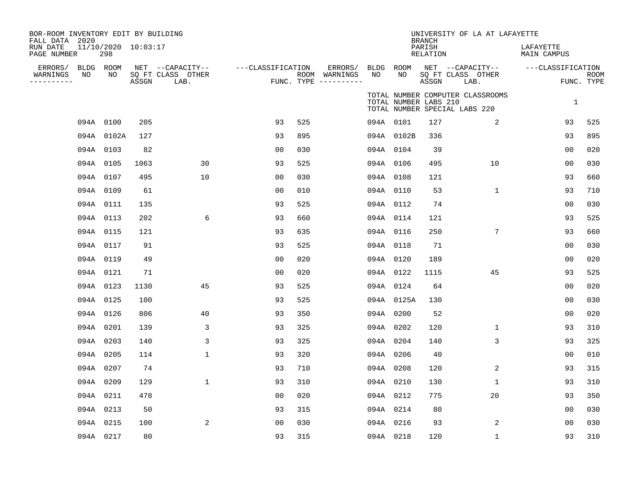| BOR-ROOM INVENTORY EDIT BY BUILDING<br>FALL DATA 2020<br>RUN DATE<br>PAGE NUMBER |    | 11/10/2020 10:03:17<br>298 |       |                                               |                   |     |                                                 |           |                       | <b>BRANCH</b><br>PARISH<br>RELATION | UNIVERSITY OF LA AT LAFAYETTE                                     | LAFAYETTE<br>MAIN CAMPUS |                    |
|----------------------------------------------------------------------------------|----|----------------------------|-------|-----------------------------------------------|-------------------|-----|-------------------------------------------------|-----------|-----------------------|-------------------------------------|-------------------------------------------------------------------|--------------------------|--------------------|
| ERRORS/ BLDG ROOM<br>WARNINGS<br>----------                                      | NO | NO                         | ASSGN | NET --CAPACITY--<br>SQ FT CLASS OTHER<br>LAB. | ---CLASSIFICATION |     | ERRORS/<br>ROOM WARNINGS<br>FUNC. TYPE $------$ | NO        | BLDG ROOM<br>NO       | ASSGN                               | NET --CAPACITY--<br>SQ FT CLASS OTHER<br>LAB.                     | ---CLASSIFICATION        | ROOM<br>FUNC. TYPE |
|                                                                                  |    |                            |       |                                               |                   |     |                                                 |           | TOTAL NUMBER LABS 210 |                                     | TOTAL NUMBER COMPUTER CLASSROOMS<br>TOTAL NUMBER SPECIAL LABS 220 | $\mathbf{1}$             |                    |
|                                                                                  |    | 094A 0100                  | 205   |                                               | 93                | 525 |                                                 | 094A 0101 |                       | 127                                 | 2                                                                 | 93                       | 525                |
|                                                                                  |    | 094A 0102A                 | 127   |                                               | 93                | 895 |                                                 |           | 094A 0102B            | 336                                 |                                                                   | 93                       | 895                |
|                                                                                  |    | 094A 0103                  | 82    |                                               | 0 <sub>0</sub>    | 030 |                                                 |           | 094A 0104             | 39                                  |                                                                   | 00                       | 020                |
|                                                                                  |    | 094A 0105                  | 1063  | 30                                            | 93                | 525 |                                                 | 094A 0106 |                       | 495                                 | 10                                                                | 0 <sub>0</sub>           | 030                |
|                                                                                  |    | 094A 0107                  | 495   | 10                                            | 00                | 030 |                                                 | 094A 0108 |                       | 121                                 |                                                                   | 93                       | 660                |
|                                                                                  |    | 094A 0109                  | 61    |                                               | 0 <sub>0</sub>    | 010 |                                                 | 094A 0110 |                       | 53                                  | $\mathbf{1}$                                                      | 93                       | 710                |
|                                                                                  |    | 094A 0111                  | 135   |                                               | 93                | 525 |                                                 |           | 094A 0112             | 74                                  |                                                                   | 0 <sub>0</sub>           | 030                |
|                                                                                  |    | 094A 0113                  | 202   | 6                                             | 93                | 660 |                                                 | 094A 0114 |                       | 121                                 |                                                                   | 93                       | 525                |
|                                                                                  |    | 094A 0115                  | 121   |                                               | 93                | 635 |                                                 | 094A 0116 |                       | 250                                 | 7                                                                 | 93                       | 660                |
|                                                                                  |    | 094A 0117                  | 91    |                                               | 93                | 525 |                                                 | 094A 0118 |                       | 71                                  |                                                                   | 00                       | 030                |
|                                                                                  |    | 094A 0119                  | 49    |                                               | 0 <sub>0</sub>    | 020 |                                                 | 094A 0120 |                       | 189                                 |                                                                   | 0 <sub>0</sub>           | 020                |
|                                                                                  |    | 094A 0121                  | 71    |                                               | 0 <sub>0</sub>    | 020 |                                                 | 094A 0122 |                       | 1115                                | 45                                                                | 93                       | 525                |
|                                                                                  |    | 094A 0123                  | 1130  | 45                                            | 93                | 525 |                                                 |           | 094A 0124             | 64                                  |                                                                   | 0 <sub>0</sub>           | 020                |
|                                                                                  |    | 094A 0125                  | 100   |                                               | 93                | 525 |                                                 |           | 094A 0125A            | 130                                 |                                                                   | 00                       | 030                |
|                                                                                  |    | 094A 0126                  | 806   | 40                                            | 93                | 350 |                                                 | 094A 0200 |                       | 52                                  |                                                                   | 00                       | 020                |
|                                                                                  |    | 094A 0201                  | 139   | 3                                             | 93                | 325 |                                                 | 094A 0202 |                       | 120                                 | $\mathbf{1}$                                                      | 93                       | 310                |
|                                                                                  |    | 094A 0203                  | 140   | 3                                             | 93                | 325 |                                                 | 094A 0204 |                       | 140                                 | 3                                                                 | 93                       | 325                |
|                                                                                  |    | 094A 0205                  | 114   | $\mathbf{1}$                                  | 93                | 320 |                                                 | 094A 0206 |                       | 40                                  |                                                                   | 00                       | 010                |
|                                                                                  |    | 094A 0207                  | 74    |                                               | 93                | 710 |                                                 | 094A 0208 |                       | 120                                 | 2                                                                 | 93                       | 315                |
|                                                                                  |    | 094A 0209                  | 129   | $\mathbf{1}$                                  | 93                | 310 |                                                 | 094A 0210 |                       | 130                                 | $\mathbf{1}$                                                      | 93                       | 310                |
|                                                                                  |    | 094A 0211                  | 478   |                                               | 00                | 020 |                                                 | 094A 0212 |                       | 775                                 | 20                                                                | 93                       | 350                |
|                                                                                  |    | 094A 0213                  | 50    |                                               | 93                | 315 |                                                 | 094A 0214 |                       | 80                                  |                                                                   | 00                       | 030                |
|                                                                                  |    | 094A 0215                  | 100   | 2                                             | 0 <sub>0</sub>    | 030 |                                                 | 094A 0216 |                       | 93                                  | 2                                                                 | 00                       | 030                |
|                                                                                  |    | 094A 0217                  | 80    |                                               | 93                | 315 |                                                 | 094A 0218 |                       | 120                                 | 1                                                                 | 93                       | 310                |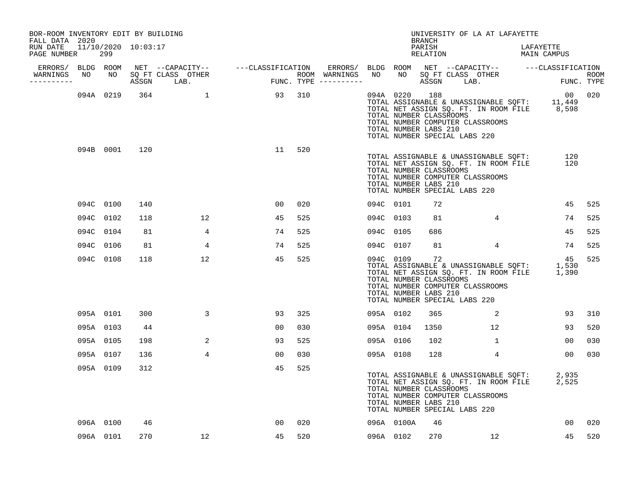| BOR-ROOM INVENTORY EDIT BY BUILDING<br>FALL DATA 2020 |           |               |                                  |                        |     |  |                                                                                                    | BRANCH             | UNIVERSITY OF LA AT LAFAYETTE                                                                                                   |           |                 |     |
|-------------------------------------------------------|-----------|---------------|----------------------------------|------------------------|-----|--|----------------------------------------------------------------------------------------------------|--------------------|---------------------------------------------------------------------------------------------------------------------------------|-----------|-----------------|-----|
| RUN DATE 11/10/2020 10:03:17<br>PAGE NUMBER           | 299       |               |                                  |                        |     |  |                                                                                                    | PARISH<br>RELATION |                                                                                                                                 | LAFAYETTE | MAIN CAMPUS     |     |
|                                                       |           |               |                                  |                        |     |  |                                                                                                    |                    |                                                                                                                                 |           |                 |     |
| -----------                                           |           |               | WARNINGS NO NO SQ FT CLASS OTHER |                        |     |  |                                                                                                    |                    |                                                                                                                                 |           |                 |     |
|                                                       |           |               |                                  | 094A 0219 364 1 93 310 |     |  | 094A 0220 188<br>TOTAL NUMBER CLASSROOMS<br>TOTAL NUMBER LABS 210<br>TOTAL NUMBER SPECIAL LABS 220 |                    | TOTAL ASSIGNABLE & UNASSIGNABLE SQFT: 11,449<br>TOTAL NET ASSIGN SQ. FT. IN ROOM FILE 8,598<br>TOTAL NUMBER COMPUTER CLASSROOMS |           | 00 020          |     |
|                                                       |           | 094B 0001 120 |                                  | 11                     | 520 |  | TOTAL NUMBER CLASSROOMS<br>TOTAL NUMBER LABS 210<br>TOTAL NUMBER SPECIAL LABS 220                  |                    | TOTAL NET ASSIGN SQ. FT. IN ROOM FILE 120<br>TOTAL NET ASSIGN SQ. FT. IN ROOM FILE 120<br>TOTAL NUMBER COMPUTER CLASSROOMS      |           |                 |     |
|                                                       | 094C 0100 | 140           |                                  | 00                     | 020 |  | 094C 0101                                                                                          | 72                 |                                                                                                                                 |           | 45              | 525 |
|                                                       | 094C 0102 | 118           | 12                               | 45                     | 525 |  | 094C 0103                                                                                          | 81                 | $4\overline{ }$                                                                                                                 |           | 74              | 525 |
|                                                       | 094C 0104 | 81            | $4\overline{ }$                  | 74                     | 525 |  | 094C 0105                                                                                          | 686                |                                                                                                                                 |           | 45              | 525 |
|                                                       | 094C 0106 | 81            | 4                                | 74                     | 525 |  | 094C 0107                                                                                          | 81                 | $4\overline{ }$                                                                                                                 |           | 74              | 525 |
|                                                       | 094C 0108 | 118           | 12                               | 45                     | 525 |  | 094C 0109<br>TOTAL NUMBER CLASSROOMS<br>TOTAL NUMBER LABS 210<br>TOTAL NUMBER SPECIAL LABS 220     | 72                 | TOTAL ASSIGNABLE & UNASSIGNABLE SQFT: 1,530<br>TOTAL NET ASSIGN SQ. FT. IN ROOM FILE 1,390<br>TOTAL NUMBER COMPUTER CLASSROOMS  |           | 45              | 525 |
|                                                       | 095A 0101 | 300           | 3                                | 93                     | 325 |  | 095A 0102                                                                                          | 365                | 2                                                                                                                               |           | 93              | 310 |
|                                                       | 095A 0103 | 44            |                                  | 00                     | 030 |  | 095A 0104                                                                                          | 1350               | 12 <sup>7</sup>                                                                                                                 |           | 93              | 520 |
|                                                       | 095A 0105 | 198           | 2                                | 93                     | 525 |  | 095A 0106                                                                                          | 102                | $\mathbf{1}$                                                                                                                    |           | 00              | 030 |
|                                                       | 095A 0107 | 136           | $\overline{4}$                   | 00                     | 030 |  | 095A 0108                                                                                          | 128                | $4\overline{ }$                                                                                                                 |           | 00 <sub>o</sub> | 030 |
|                                                       | 095A 0109 | 312           |                                  | 45                     | 525 |  | TOTAL NUMBER CLASSROOMS<br>TOTAL NUMBER LABS 210<br>TOTAL NUMBER SPECIAL LABS 220                  |                    | TOTAL ASSIGNABLE & UNASSIGNABLE SQFT: 2,935<br>TOTAL NET ASSIGN SQ. FT. IN ROOM FILE 2,525<br>TOTAL NUMBER COMPUTER CLASSROOMS  |           |                 |     |
|                                                       | 096A 0100 | 46            |                                  | 00                     | 020 |  | 096A 0100A                                                                                         | 46                 |                                                                                                                                 |           | 00 <sub>o</sub> | 020 |
|                                                       | 096A 0101 | 270           | 12                               | 45                     | 520 |  | 096A 0102                                                                                          |                    | 270 12                                                                                                                          |           | 45              | 520 |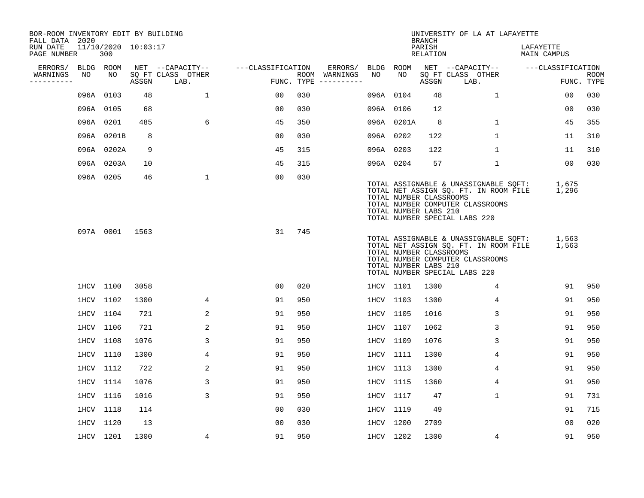| BOR-ROOM INVENTORY EDIT BY BUILDING<br>FALL DATA 2020 |    |                            |       |                           |                   |     |                                      |           |                                                  | <b>BRANCH</b>      | UNIVERSITY OF LA AT LAFAYETTE                                                                                                                       |                          |                           |
|-------------------------------------------------------|----|----------------------------|-------|---------------------------|-------------------|-----|--------------------------------------|-----------|--------------------------------------------------|--------------------|-----------------------------------------------------------------------------------------------------------------------------------------------------|--------------------------|---------------------------|
| RUN DATE<br>PAGE NUMBER                               |    | 11/10/2020 10:03:17<br>300 |       |                           |                   |     |                                      |           |                                                  | PARISH<br>RELATION |                                                                                                                                                     | LAFAYETTE<br>MAIN CAMPUS |                           |
| ERRORS/                                               |    | BLDG ROOM                  |       | NET --CAPACITY--          | ---CLASSIFICATION |     | ERRORS/                              | BLDG ROOM |                                                  |                    | NET --CAPACITY--                                                                                                                                    | ---CLASSIFICATION        |                           |
| WARNINGS<br>----------                                | NO | NO                         | ASSGN | SQ FT CLASS OTHER<br>LAB. |                   |     | ROOM WARNINGS<br>FUNC. TYPE $------$ | NO        | NO                                               | ASSGN              | SQ FT CLASS OTHER<br>LAB.                                                                                                                           |                          | <b>ROOM</b><br>FUNC. TYPE |
|                                                       |    | 096A 0103                  | 48    | $\mathbf{1}$              | 00                | 030 |                                      | 096A 0104 |                                                  | 48                 | $\mathbf{1}$                                                                                                                                        | 00                       | 030                       |
|                                                       |    | 096A 0105                  | 68    |                           | 00                | 030 |                                      | 096A 0106 |                                                  | 12                 |                                                                                                                                                     | 00                       | 030                       |
|                                                       |    | 096A 0201                  | 485   | 6                         | 45                | 350 |                                      |           | 096A 0201A                                       | 8                  | 1                                                                                                                                                   | 45                       | 355                       |
|                                                       |    | 096A 0201B                 | 8     |                           | 0 <sub>0</sub>    | 030 |                                      | 096A 0202 |                                                  | 122                | $\mathbf 1$                                                                                                                                         | 11                       | 310                       |
|                                                       |    | 096A 0202A                 | 9     |                           | 45                | 315 |                                      | 096A 0203 |                                                  | 122                | $\mathbf 1$                                                                                                                                         | 11                       | 310                       |
|                                                       |    | 096A 0203A                 | 10    |                           | 45                | 315 |                                      | 096A 0204 |                                                  | 57                 | $\mathbf{1}$                                                                                                                                        | 00                       | 030                       |
|                                                       |    | 096A 0205                  | 46    | $\mathbf{1}$              | 00                | 030 |                                      |           | TOTAL NUMBER CLASSROOMS<br>TOTAL NUMBER LABS 210 |                    | TOTAL ASSIGNABLE & UNASSIGNABLE SQFT:<br>TOTAL NET ASSIGN SQ. FT. IN ROOM FILE<br>TOTAL NUMBER COMPUTER CLASSROOMS<br>TOTAL NUMBER SPECIAL LABS 220 | 1,675<br>1,296           |                           |
|                                                       |    | 097A 0001                  | 1563  |                           | 31                | 745 |                                      |           | TOTAL NUMBER CLASSROOMS<br>TOTAL NUMBER LABS 210 |                    | TOTAL ASSIGNABLE & UNASSIGNABLE SQFT:<br>TOTAL NET ASSIGN SQ. FT. IN ROOM FILE<br>TOTAL NUMBER COMPUTER CLASSROOMS<br>TOTAL NUMBER SPECIAL LABS 220 | 1,563<br>1,563           |                           |
|                                                       |    | 1HCV 1100                  | 3058  |                           | 0 <sub>0</sub>    | 020 |                                      | 1HCV 1101 |                                                  | 1300               | 4                                                                                                                                                   | 91                       | 950                       |
|                                                       |    | 1HCV 1102                  | 1300  | 4                         | 91                | 950 |                                      | 1HCV 1103 |                                                  | 1300               | 4                                                                                                                                                   | 91                       | 950                       |
|                                                       |    | 1HCV 1104                  | 721   | 2                         | 91                | 950 |                                      | 1HCV 1105 |                                                  | 1016               | 3                                                                                                                                                   | 91                       | 950                       |
|                                                       |    | 1HCV 1106                  | 721   | 2                         | 91                | 950 |                                      | 1HCV 1107 |                                                  | 1062               | 3                                                                                                                                                   | 91                       | 950                       |
|                                                       |    | 1HCV 1108                  | 1076  | 3                         | 91                | 950 |                                      | 1HCV 1109 |                                                  | 1076               | 3                                                                                                                                                   | 91                       | 950                       |
|                                                       |    | 1HCV 1110                  | 1300  | 4                         | 91                | 950 |                                      | 1HCV 1111 |                                                  | 1300               | 4                                                                                                                                                   | 91                       | 950                       |
|                                                       |    | 1HCV 1112                  | 722   | 2                         | 91                | 950 |                                      | 1HCV 1113 |                                                  | 1300               | 4                                                                                                                                                   | 91                       | 950                       |
|                                                       |    | 1HCV 1114                  | 1076  | 3                         | 91                | 950 |                                      | 1HCV 1115 |                                                  | 1360               | 4                                                                                                                                                   | 91                       | 950                       |
|                                                       |    | 1HCV 1116                  | 1016  | 3                         | 91                | 950 |                                      | 1HCV 1117 |                                                  | 47                 | 1                                                                                                                                                   | 91                       | 731                       |
|                                                       |    | 1HCV 1118                  | 114   |                           | 0 <sub>0</sub>    | 030 |                                      | 1HCV 1119 |                                                  | 49                 |                                                                                                                                                     | 91                       | 715                       |
|                                                       |    | 1HCV 1120                  | 13    |                           | 0 <sub>0</sub>    | 030 |                                      | 1HCV 1200 |                                                  | 2709               |                                                                                                                                                     | 00                       | 020                       |
|                                                       |    | 1HCV 1201                  | 1300  | 4                         | 91                | 950 |                                      | 1HCV 1202 |                                                  | 1300               | 4                                                                                                                                                   | 91                       | 950                       |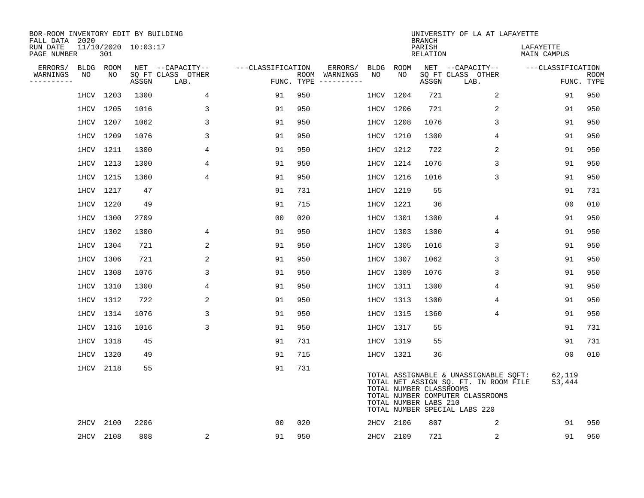| BOR-ROOM INVENTORY EDIT BY BUILDING<br>FALL DATA 2020 |      |           |                     |                           |                   |     |                                      |      |           | <b>BRANCH</b>                                    | UNIVERSITY OF LA AT LAFAYETTE                                                                                                                       |                          |                           |
|-------------------------------------------------------|------|-----------|---------------------|---------------------------|-------------------|-----|--------------------------------------|------|-----------|--------------------------------------------------|-----------------------------------------------------------------------------------------------------------------------------------------------------|--------------------------|---------------------------|
| RUN DATE<br>PAGE NUMBER                               |      | 301       | 11/10/2020 10:03:17 |                           |                   |     |                                      |      |           | PARISH<br>RELATION                               |                                                                                                                                                     | LAFAYETTE<br>MAIN CAMPUS |                           |
| ERRORS/                                               |      | BLDG ROOM |                     | NET --CAPACITY--          | ---CLASSIFICATION |     | ERRORS/                              | BLDG | ROOM      |                                                  | NET --CAPACITY--                                                                                                                                    | ---CLASSIFICATION        |                           |
| WARNINGS<br>----------                                | NO   | NO        | ASSGN               | SQ FT CLASS OTHER<br>LAB. |                   |     | ROOM WARNINGS<br>FUNC. TYPE $------$ | NO.  | NO.       | ASSGN                                            | SQ FT CLASS OTHER<br>LAB.                                                                                                                           |                          | <b>ROOM</b><br>FUNC. TYPE |
|                                                       |      | 1HCV 1203 | 1300                | $\overline{4}$            | 91                | 950 |                                      |      | 1HCV 1204 | 721                                              | 2                                                                                                                                                   | 91                       | 950                       |
|                                                       |      | 1HCV 1205 | 1016                | 3                         | 91                | 950 |                                      |      | 1HCV 1206 | 721                                              | 2                                                                                                                                                   | 91                       | 950                       |
|                                                       |      | 1HCV 1207 | 1062                | 3                         | 91                | 950 |                                      |      | 1HCV 1208 | 1076                                             | 3                                                                                                                                                   | 91                       | 950                       |
|                                                       |      | 1HCV 1209 | 1076                | 3                         | 91                | 950 |                                      |      | 1HCV 1210 | 1300                                             | 4                                                                                                                                                   | 91                       | 950                       |
|                                                       |      | 1HCV 1211 | 1300                | 4                         | 91                | 950 |                                      |      | 1HCV 1212 | 722                                              | 2                                                                                                                                                   | 91                       | 950                       |
|                                                       |      | 1HCV 1213 | 1300                | 4                         | 91                | 950 |                                      |      | 1HCV 1214 | 1076                                             | 3                                                                                                                                                   | 91                       | 950                       |
|                                                       |      | 1HCV 1215 | 1360                | 4                         | 91                | 950 |                                      |      | 1HCV 1216 | 1016                                             | 3                                                                                                                                                   | 91                       | 950                       |
|                                                       |      | 1HCV 1217 | 47                  |                           | 91                | 731 |                                      |      | 1HCV 1219 | 55                                               |                                                                                                                                                     | 91                       | 731                       |
|                                                       |      | 1HCV 1220 | 49                  |                           | 91                | 715 |                                      |      | 1HCV 1221 | 36                                               |                                                                                                                                                     | 0 <sub>0</sub>           | 010                       |
|                                                       |      | 1HCV 1300 | 2709                |                           | 0 <sub>0</sub>    | 020 |                                      |      | 1HCV 1301 | 1300                                             | 4                                                                                                                                                   | 91                       | 950                       |
|                                                       |      | 1HCV 1302 | 1300                | 4                         | 91                | 950 |                                      |      | 1HCV 1303 | 1300                                             | 4                                                                                                                                                   | 91                       | 950                       |
|                                                       |      | 1HCV 1304 | 721                 | 2                         | 91                | 950 |                                      |      | 1HCV 1305 | 1016                                             | 3                                                                                                                                                   | 91                       | 950                       |
|                                                       |      | 1HCV 1306 | 721                 | 2                         | 91                | 950 |                                      |      | 1HCV 1307 | 1062                                             | 3                                                                                                                                                   | 91                       | 950                       |
|                                                       |      | 1HCV 1308 | 1076                | 3                         | 91                | 950 |                                      |      | 1HCV 1309 | 1076                                             | 3                                                                                                                                                   | 91                       | 950                       |
|                                                       |      | 1HCV 1310 | 1300                | 4                         | 91                | 950 |                                      |      | 1HCV 1311 | 1300                                             | 4                                                                                                                                                   | 91                       | 950                       |
|                                                       |      | 1HCV 1312 | 722                 | 2                         | 91                | 950 |                                      |      | 1HCV 1313 | 1300                                             | 4                                                                                                                                                   | 91                       | 950                       |
|                                                       |      | 1HCV 1314 | 1076                | 3                         | 91                | 950 |                                      |      | 1HCV 1315 | 1360                                             | 4                                                                                                                                                   | 91                       | 950                       |
|                                                       |      | 1HCV 1316 | 1016                | 3                         | 91                | 950 |                                      |      | 1HCV 1317 | 55                                               |                                                                                                                                                     | 91                       | 731                       |
|                                                       |      | 1HCV 1318 | 45                  |                           | 91                | 731 |                                      |      | 1HCV 1319 | 55                                               |                                                                                                                                                     | 91                       | 731                       |
|                                                       |      | 1HCV 1320 | 49                  |                           | 91                | 715 |                                      |      | 1HCV 1321 | 36                                               |                                                                                                                                                     | 0 <sub>0</sub>           | 010                       |
|                                                       |      | 1HCV 2118 | 55                  |                           | 91                | 731 |                                      |      |           | TOTAL NUMBER CLASSROOMS<br>TOTAL NUMBER LABS 210 | TOTAL ASSIGNABLE & UNASSIGNABLE SQFT:<br>TOTAL NET ASSIGN SQ. FT. IN ROOM FILE<br>TOTAL NUMBER COMPUTER CLASSROOMS<br>TOTAL NUMBER SPECIAL LABS 220 | 62,119<br>53,444         |                           |
|                                                       | 2HCV | 2100      | 2206                |                           | 0 <sub>0</sub>    | 020 |                                      |      | 2HCV 2106 | 807                                              | 2                                                                                                                                                   | 91                       | 950                       |
|                                                       |      | 2HCV 2108 | 808                 | $\overline{a}$            | 91                | 950 |                                      |      | 2HCV 2109 | 721                                              | 2                                                                                                                                                   | 91                       | 950                       |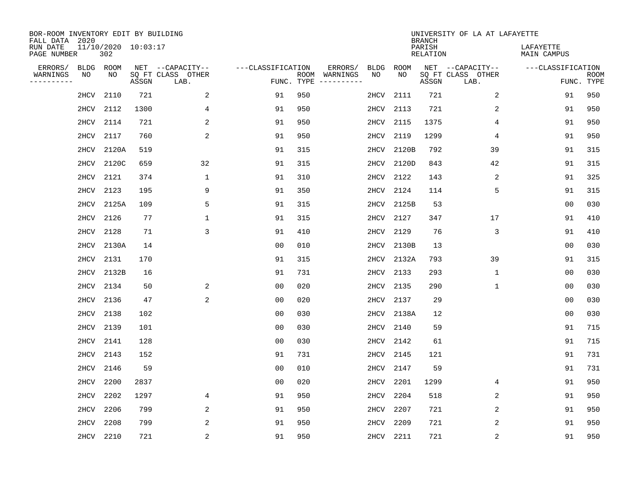| BOR-ROOM INVENTORY EDIT BY BUILDING<br>FALL DATA 2020 |                            |       |                           |                   |            |                              |             |             | <b>BRANCH</b>             | UNIVERSITY OF LA AT LAFAYETTE |                                 |                           |
|-------------------------------------------------------|----------------------------|-------|---------------------------|-------------------|------------|------------------------------|-------------|-------------|---------------------------|-------------------------------|---------------------------------|---------------------------|
| RUN DATE<br>PAGE NUMBER                               | 11/10/2020 10:03:17<br>302 |       |                           |                   |            |                              |             |             | PARISH<br><b>RELATION</b> |                               | LAFAYETTE<br><b>MAIN CAMPUS</b> |                           |
| ERRORS/<br><b>BLDG</b>                                | ROOM                       |       | NET --CAPACITY--          | ---CLASSIFICATION |            | ERRORS/                      | <b>BLDG</b> | <b>ROOM</b> |                           | NET --CAPACITY--              | ---CLASSIFICATION               |                           |
| WARNINGS<br>ΝO<br>----------                          | NO                         | ASSGN | SQ FT CLASS OTHER<br>LAB. |                   | FUNC. TYPE | ROOM WARNINGS<br>----------- | NO          | NO          | ASSGN                     | SQ FT CLASS OTHER<br>LAB.     |                                 | <b>ROOM</b><br>FUNC. TYPE |
| 2HCV                                                  | 2110                       | 721   | 2                         | 91                | 950        |                              | 2HCV        | 2111        | 721                       | 2                             | 91                              | 950                       |
| 2HCV                                                  | 2112                       | 1300  | 4                         | 91                | 950        |                              | 2HCV        | 2113        | 721                       | 2                             | 91                              | 950                       |
| 2HCV                                                  | 2114                       | 721   | 2                         | 91                | 950        |                              | 2HCV        | 2115        | 1375                      | 4                             | 91                              | 950                       |
| 2HCV                                                  | 2117                       | 760   | 2                         | 91                | 950        |                              | 2HCV        | 2119        | 1299                      | 4                             | 91                              | 950                       |
| 2HCV                                                  | 2120A                      | 519   |                           | 91                | 315        |                              | 2HCV        | 2120B       | 792                       | 39                            | 91                              | 315                       |
| 2HCV                                                  | 2120C                      | 659   | 32                        | 91                | 315        |                              | 2HCV        | 2120D       | 843                       | 42                            | 91                              | 315                       |
| 2HCV                                                  | 2121                       | 374   | $\mathbf{1}$              | 91                | 310        |                              | 2HCV        | 2122        | 143                       | $\overline{2}$                | 91                              | 325                       |
| 2HCV                                                  | 2123                       | 195   | 9                         | 91                | 350        |                              | 2HCV        | 2124        | 114                       | 5                             | 91                              | 315                       |
| 2HCV                                                  | 2125A                      | 109   | 5                         | 91                | 315        |                              | 2HCV        | 2125B       | 53                        |                               | 0 <sub>0</sub>                  | 030                       |
| 2HCV                                                  | 2126                       | 77    | $\mathbf{1}$              | 91                | 315        |                              | 2HCV        | 2127        | 347                       | 17                            | 91                              | 410                       |
| 2HCV                                                  | 2128                       | 71    | 3                         | 91                | 410        |                              | 2HCV        | 2129        | 76                        | 3                             | 91                              | 410                       |
| 2HCV                                                  | 2130A                      | 14    |                           | 0 <sub>0</sub>    | 010        |                              | 2HCV        | 2130B       | 13                        |                               | 0 <sub>0</sub>                  | 030                       |
| 2HCV                                                  | 2131                       | 170   |                           | 91                | 315        |                              | 2HCV        | 2132A       | 793                       | 39                            | 91                              | 315                       |
| 2HCV                                                  | 2132B                      | 16    |                           | 91                | 731        |                              | 2HCV        | 2133        | 293                       | 1                             | 0 <sub>0</sub>                  | 030                       |
| 2HCV                                                  | 2134                       | 50    | 2                         | 0 <sub>0</sub>    | 020        |                              | 2HCV        | 2135        | 290                       | 1                             | 0 <sub>0</sub>                  | 030                       |
| 2HCV                                                  | 2136                       | 47    | 2                         | 0 <sub>0</sub>    | 020        |                              | 2HCV        | 2137        | 29                        |                               | 0 <sub>0</sub>                  | 030                       |
| 2HCV                                                  | 2138                       | 102   |                           | 0 <sub>0</sub>    | 030        |                              | 2HCV        | 2138A       | 12                        |                               | 0 <sub>0</sub>                  | 030                       |
| 2HCV                                                  | 2139                       | 101   |                           | 0 <sub>0</sub>    | 030        |                              | 2HCV        | 2140        | 59                        |                               | 91                              | 715                       |
| 2HCV                                                  | 2141                       | 128   |                           | 0 <sub>0</sub>    | 030        |                              | 2HCV        | 2142        | 61                        |                               | 91                              | 715                       |
| 2HCV                                                  | 2143                       | 152   |                           | 91                | 731        |                              | 2HCV        | 2145        | 121                       |                               | 91                              | 731                       |
| 2HCV                                                  | 2146                       | 59    |                           | 0 <sub>0</sub>    | 010        |                              | 2HCV        | 2147        | 59                        |                               | 91                              | 731                       |
| 2HCV                                                  | 2200                       | 2837  |                           | 0 <sub>0</sub>    | 020        |                              | 2HCV        | 2201        | 1299                      | 4                             | 91                              | 950                       |
| 2HCV                                                  | 2202                       | 1297  | 4                         | 91                | 950        |                              | 2HCV        | 2204        | 518                       | 2                             | 91                              | 950                       |
| 2HCV                                                  | 2206                       | 799   | 2                         | 91                | 950        |                              | 2HCV        | 2207        | 721                       | 2                             | 91                              | 950                       |
| 2HCV                                                  | 2208                       | 799   | 2                         | 91                | 950        |                              | 2HCV        | 2209        | 721                       | 2                             | 91                              | 950                       |
|                                                       | 2HCV 2210                  | 721   | $\overline{2}$            | 91                | 950        |                              |             | 2HCV 2211   | 721                       | 2                             | 91                              | 950                       |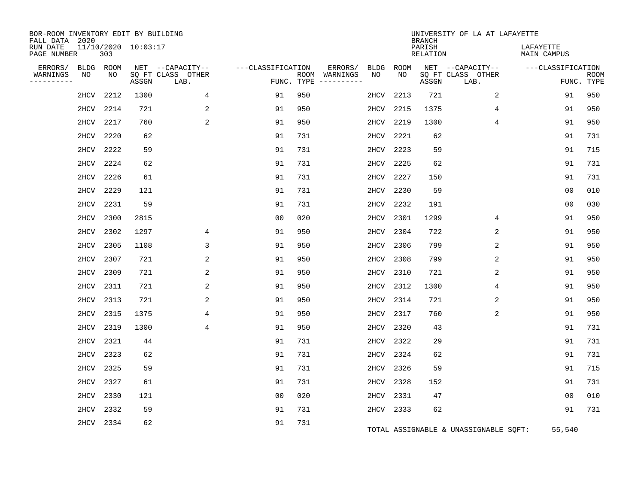| BOR-ROOM INVENTORY EDIT BY BUILDING<br>FALL DATA 2020 |                            |       |                           |                   |            |                              |           |      | <b>BRANCH</b>             | UNIVERSITY OF LA AT LAFAYETTE         |                          |                           |
|-------------------------------------------------------|----------------------------|-------|---------------------------|-------------------|------------|------------------------------|-----------|------|---------------------------|---------------------------------------|--------------------------|---------------------------|
| RUN DATE<br>PAGE NUMBER                               | 11/10/2020 10:03:17<br>303 |       |                           |                   |            |                              |           |      | PARISH<br><b>RELATION</b> |                                       | LAFAYETTE<br>MAIN CAMPUS |                           |
| ERRORS/<br><b>BLDG</b>                                | ROOM                       |       | NET --CAPACITY--          | ---CLASSIFICATION |            | ERRORS/                      | BLDG      | ROOM |                           | NET --CAPACITY--                      | ---CLASSIFICATION        |                           |
| WARNINGS<br>NO<br>----------                          | NO                         | ASSGN | SQ FT CLASS OTHER<br>LAB. |                   | FUNC. TYPE | ROOM WARNINGS<br>----------- | NO        | NO   | ASSGN                     | SQ FT CLASS OTHER<br>LAB.             |                          | <b>ROOM</b><br>FUNC. TYPE |
| 2HCV                                                  | 2212                       | 1300  | 4                         | 91                | 950        |                              | 2HCV      | 2213 | 721                       | 2                                     | 91                       | 950                       |
| 2HCV                                                  | 2214                       | 721   | 2                         | 91                | 950        |                              | 2HCV      | 2215 | 1375                      | 4                                     | 91                       | 950                       |
| 2HCV                                                  | 2217                       | 760   | 2                         | 91                | 950        |                              | 2HCV      | 2219 | 1300                      | 4                                     | 91                       | 950                       |
| 2HCV                                                  | 2220                       | 62    |                           | 91                | 731        |                              | 2HCV      | 2221 | 62                        |                                       | 91                       | 731                       |
| 2HCV                                                  | 2222                       | 59    |                           | 91                | 731        |                              | 2HCV      | 2223 | 59                        |                                       | 91                       | 715                       |
| 2HCV                                                  | 2224                       | 62    |                           | 91                | 731        |                              | 2HCV      | 2225 | 62                        |                                       | 91                       | 731                       |
| 2HCV                                                  | 2226                       | 61    |                           | 91                | 731        |                              | 2HCV      | 2227 | 150                       |                                       | 91                       | 731                       |
| 2HCV                                                  | 2229                       | 121   |                           | 91                | 731        |                              | 2HCV      | 2230 | 59                        |                                       | 0 <sub>0</sub>           | 010                       |
| 2HCV                                                  | 2231                       | 59    |                           | 91                | 731        |                              | 2HCV      | 2232 | 191                       |                                       | 0 <sub>0</sub>           | 030                       |
| 2HCV                                                  | 2300                       | 2815  |                           | 0 <sub>0</sub>    | 020        |                              | 2HCV      | 2301 | 1299                      | 4                                     | 91                       | 950                       |
| 2HCV                                                  | 2302                       | 1297  | 4                         | 91                | 950        |                              | 2HCV      | 2304 | 722                       | 2                                     | 91                       | 950                       |
| 2HCV                                                  | 2305                       | 1108  | 3                         | 91                | 950        |                              | 2HCV      | 2306 | 799                       | 2                                     | 91                       | 950                       |
| 2HCV                                                  | 2307                       | 721   | 2                         | 91                | 950        |                              | 2HCV      | 2308 | 799                       | 2                                     | 91                       | 950                       |
| 2HCV                                                  | 2309                       | 721   | 2                         | 91                | 950        |                              | 2HCV      | 2310 | 721                       | 2                                     | 91                       | 950                       |
| 2HCV                                                  | 2311                       | 721   | 2                         | 91                | 950        |                              | 2HCV      | 2312 | 1300                      | 4                                     | 91                       | 950                       |
| 2HCV                                                  | 2313                       | 721   | 2                         | 91                | 950        |                              | 2HCV      | 2314 | 721                       | 2                                     | 91                       | 950                       |
| 2HCV                                                  | 2315                       | 1375  | 4                         | 91                | 950        |                              | 2HCV      | 2317 | 760                       | 2                                     | 91                       | 950                       |
| 2HCV                                                  | 2319                       | 1300  | 4                         | 91                | 950        |                              | 2HCV      | 2320 | 43                        |                                       | 91                       | 731                       |
| 2HCV                                                  | 2321                       | 44    |                           | 91                | 731        |                              | 2HCV      | 2322 | 29                        |                                       | 91                       | 731                       |
| 2HCV                                                  | 2323                       | 62    |                           | 91                | 731        |                              | 2HCV      | 2324 | 62                        |                                       | 91                       | 731                       |
| 2HCV                                                  | 2325                       | 59    |                           | 91                | 731        |                              | 2HCV      | 2326 | 59                        |                                       | 91                       | 715                       |
| 2HCV                                                  | 2327                       | 61    |                           | 91                | 731        |                              | 2HCV      | 2328 | 152                       |                                       | 91                       | 731                       |
| 2HCV                                                  | 2330                       | 121   |                           | 0 <sub>0</sub>    | 020        |                              | 2HCV      | 2331 | 47                        |                                       | 0 <sub>0</sub>           | 010                       |
| 2HCV                                                  | 2332                       | 59    |                           | 91                | 731        |                              | 2HCV 2333 |      | 62                        |                                       | 91                       | 731                       |
|                                                       | 2HCV 2334                  | 62    |                           | 91                | 731        |                              |           |      |                           | TOTAL ASSIGNABLE & UNASSIGNABLE SQFT: | 55,540                   |                           |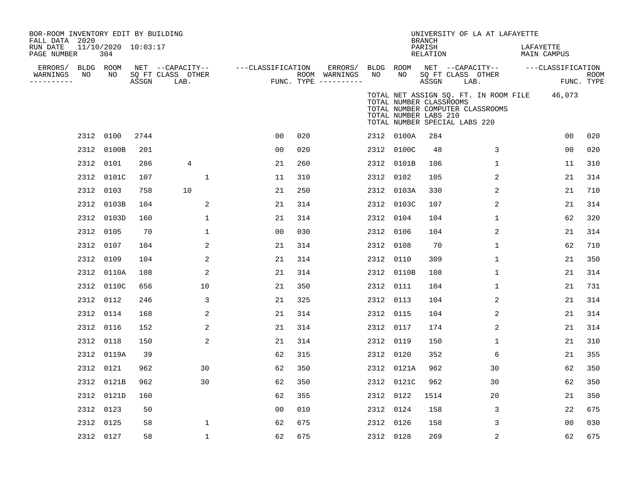| BOR-ROOM INVENTORY EDIT BY BUILDING<br>FALL DATA 2020<br>RUN DATE<br>PAGE NUMBER |                 | 11/10/2020 10:03:17<br>304 |       |                                               |                   |     |                                      |           |                                                  | <b>BRANCH</b><br>PARISH<br>RELATION | UNIVERSITY OF LA AT LAFAYETTE                                                                                     | LAFAYETTE<br>MAIN CAMPUS |                           |
|----------------------------------------------------------------------------------|-----------------|----------------------------|-------|-----------------------------------------------|-------------------|-----|--------------------------------------|-----------|--------------------------------------------------|-------------------------------------|-------------------------------------------------------------------------------------------------------------------|--------------------------|---------------------------|
| ERRORS/<br>WARNINGS<br>---------                                                 | BLDG ROOM<br>NO | NO                         | ASSGN | NET --CAPACITY--<br>SQ FT CLASS OTHER<br>LAB. | ---CLASSIFICATION |     | ROOM WARNINGS<br>FUNC. TYPE $------$ | NO        | NO                                               | ASSGN                               | ERRORS/ BLDG ROOM NET --CAPACITY--<br>SQ FT CLASS OTHER<br>LAB.                                                   | ---CLASSIFICATION        | <b>ROOM</b><br>FUNC. TYPE |
|                                                                                  |                 |                            |       |                                               |                   |     |                                      |           | TOTAL NUMBER CLASSROOMS<br>TOTAL NUMBER LABS 210 |                                     | TOTAL NET ASSIGN SQ. FT. IN ROOM FILE 46,073<br>TOTAL NUMBER COMPUTER CLASSROOMS<br>TOTAL NUMBER SPECIAL LABS 220 |                          |                           |
|                                                                                  |                 | 2312 0100                  | 2744  |                                               | 0 <sub>0</sub>    | 020 |                                      |           | 2312 0100A                                       | 284                                 |                                                                                                                   | 00                       | 020                       |
|                                                                                  |                 | 2312 0100B                 | 201   |                                               | 0 <sub>0</sub>    | 020 |                                      |           | 2312 0100C                                       | 48                                  | 3                                                                                                                 | 0 <sub>0</sub>           | 020                       |
|                                                                                  |                 | 2312 0101                  | 286   | 4                                             | 21                | 260 |                                      |           | 2312 0101B                                       | 106                                 | 1                                                                                                                 | 11                       | 310                       |
|                                                                                  |                 | 2312 0101C                 | 107   | 1                                             | 11                | 310 |                                      | 2312 0102 |                                                  | 105                                 | 2                                                                                                                 | 21                       | 314                       |
|                                                                                  |                 | 2312 0103                  | 758   | 10                                            | 21                | 250 |                                      |           | 2312 0103A                                       | 330                                 | 2                                                                                                                 | 21                       | 710                       |
|                                                                                  |                 | 2312 0103B                 | 104   | 2                                             | 21                | 314 |                                      |           | 2312 0103C                                       | 107                                 | 2                                                                                                                 | 21                       | 314                       |
|                                                                                  |                 | 2312 0103D                 | 160   | 1                                             | 21                | 314 |                                      | 2312 0104 |                                                  | 104                                 | $\mathbf{1}$                                                                                                      | 62                       | 320                       |
|                                                                                  |                 | 2312 0105                  | 70    | 1                                             | 0 <sub>0</sub>    | 030 |                                      | 2312 0106 |                                                  | 104                                 | 2                                                                                                                 | 21                       | 314                       |
|                                                                                  |                 | 2312 0107                  | 104   | 2                                             | 21                | 314 |                                      | 2312 0108 |                                                  | 70                                  | $\mathbf{1}$                                                                                                      | 62                       | 710                       |
|                                                                                  |                 | 2312 0109                  | 104   | 2                                             | 21                | 314 |                                      | 2312 0110 |                                                  | 309                                 | 1                                                                                                                 | 21                       | 350                       |
|                                                                                  |                 | 2312 0110A                 | 108   | $\overline{2}$                                | 21                | 314 |                                      |           | 2312 0110B                                       | 108                                 | $\mathbf{1}$                                                                                                      | 21                       | 314                       |
|                                                                                  |                 | 2312 0110C                 | 656   | 10                                            | 21                | 350 |                                      | 2312 0111 |                                                  | 104                                 | 1                                                                                                                 | 21                       | 731                       |
|                                                                                  |                 | 2312 0112                  | 246   | 3                                             | 21                | 325 |                                      | 2312 0113 |                                                  | 104                                 | 2                                                                                                                 | 21                       | 314                       |
|                                                                                  |                 | 2312 0114                  | 168   | 2                                             | 21                | 314 |                                      | 2312 0115 |                                                  | 104                                 | 2                                                                                                                 | 21                       | 314                       |
|                                                                                  |                 | 2312 0116                  | 152   | 2                                             | 21                | 314 |                                      | 2312 0117 |                                                  | 174                                 | 2                                                                                                                 | 21                       | 314                       |
|                                                                                  |                 | 2312 0118                  | 150   | 2                                             | 21                | 314 |                                      | 2312 0119 |                                                  | 150                                 | $\mathbf{1}$                                                                                                      | 21                       | 310                       |
|                                                                                  |                 | 2312 0119A                 | 39    |                                               | 62                | 315 |                                      | 2312 0120 |                                                  | 352                                 | 6                                                                                                                 | 21                       | 355                       |
|                                                                                  |                 | 2312 0121                  | 962   | 30                                            | 62                | 350 |                                      |           | 2312 0121A                                       | 962                                 | 30                                                                                                                | 62                       | 350                       |
|                                                                                  |                 | 2312 0121B                 | 962   | 30                                            | 62                | 350 |                                      |           | 2312 0121C                                       | 962                                 | 30                                                                                                                | 62                       | 350                       |
|                                                                                  |                 | 2312 0121D                 | 160   |                                               | 62                | 355 |                                      | 2312 0122 |                                                  | 1514                                | 20                                                                                                                | 21                       | 350                       |
|                                                                                  |                 | 2312 0123                  | 50    |                                               | 00                | 010 |                                      | 2312 0124 |                                                  | 158                                 | 3                                                                                                                 | 22                       | 675                       |
|                                                                                  |                 | 2312 0125                  | 58    | 1                                             | 62                | 675 |                                      | 2312 0126 |                                                  | 158                                 | 3                                                                                                                 | 0 <sub>0</sub>           | 030                       |
|                                                                                  |                 | 2312 0127                  | 58    | 1                                             | 62                | 675 |                                      | 2312 0128 |                                                  | 269                                 | 2                                                                                                                 | 62                       | 675                       |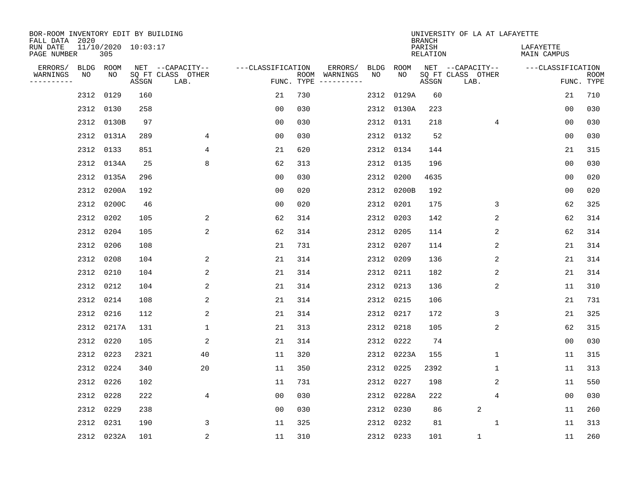| BOR-ROOM INVENTORY EDIT BY BUILDING<br>FALL DATA 2020 |           |                            |       |                           |                   |                    |                         |      |            | <b>BRANCH</b>             | UNIVERSITY OF LA AT LAFAYETTE |                          |                           |
|-------------------------------------------------------|-----------|----------------------------|-------|---------------------------|-------------------|--------------------|-------------------------|------|------------|---------------------------|-------------------------------|--------------------------|---------------------------|
| RUN DATE<br>PAGE NUMBER                               |           | 11/10/2020 10:03:17<br>305 |       |                           |                   |                    |                         |      |            | PARISH<br><b>RELATION</b> |                               | LAFAYETTE<br>MAIN CAMPUS |                           |
| ERRORS/                                               | BLDG ROOM |                            |       | NET --CAPACITY--          | ---CLASSIFICATION |                    | ERRORS/                 | BLDG | ROOM       |                           | NET --CAPACITY--              | ---CLASSIFICATION        |                           |
| WARNINGS<br>----------                                | NO        | NO                         | ASSGN | SQ FT CLASS OTHER<br>LAB. |                   | ROOM<br>FUNC. TYPE | WARNINGS<br>----------- | NO   | NO         | ASSGN                     | SQ FT CLASS OTHER<br>LAB.     |                          | <b>ROOM</b><br>FUNC. TYPE |
|                                                       | 2312      | 0129                       | 160   |                           | 21                | 730                |                         | 2312 | 0129A      | 60                        |                               | 21                       | 710                       |
|                                                       | 2312      | 0130                       | 258   |                           | 00                | 030                |                         |      | 2312 0130A | 223                       |                               | 00                       | 030                       |
|                                                       | 2312      | 0130B                      | 97    |                           | 0 <sub>0</sub>    | 030                |                         |      | 2312 0131  | 218                       | 4                             | 00                       | 030                       |
|                                                       | 2312      | 0131A                      | 289   | 4                         | 0 <sub>0</sub>    | 030                |                         |      | 2312 0132  | 52                        |                               | 0 <sub>0</sub>           | 030                       |
|                                                       | 2312      | 0133                       | 851   | 4                         | 21                | 620                |                         |      | 2312 0134  | 144                       |                               | 21                       | 315                       |
|                                                       |           | 2312 0134A                 | 25    | 8                         | 62                | 313                |                         |      | 2312 0135  | 196                       |                               | 0 <sub>0</sub>           | 030                       |
|                                                       |           | 2312 0135A                 | 296   |                           | 0 <sub>0</sub>    | 030                |                         | 2312 | 0200       | 4635                      |                               | 0 <sub>0</sub>           | 020                       |
|                                                       | 2312      | 0200A                      | 192   |                           | 0 <sub>0</sub>    | 020                |                         |      | 2312 0200B | 192                       |                               | 0 <sub>0</sub>           | 020                       |
|                                                       | 2312      | 0200C                      | 46    |                           | 0 <sub>0</sub>    | 020                |                         | 2312 | 0201       | 175                       | 3                             | 62                       | 325                       |
|                                                       |           | 2312 0202                  | 105   | 2                         | 62                | 314                |                         | 2312 | 0203       | 142                       | 2                             | 62                       | 314                       |
|                                                       | 2312      | 0204                       | 105   | 2                         | 62                | 314                |                         | 2312 | 0205       | 114                       | 2                             | 62                       | 314                       |
|                                                       | 2312      | 0206                       | 108   |                           | 21                | 731                |                         |      | 2312 0207  | 114                       | 2                             | 21                       | 314                       |
|                                                       | 2312      | 0208                       | 104   | 2                         | 21                | 314                |                         | 2312 | 0209       | 136                       | 2                             | 21                       | 314                       |
|                                                       | 2312      | 0210                       | 104   | 2                         | 21                | 314                |                         |      | 2312 0211  | 182                       | 2                             | 21                       | 314                       |
|                                                       | 2312      | 0212                       | 104   | 2                         | 21                | 314                |                         | 2312 | 0213       | 136                       | 2                             | 11                       | 310                       |
|                                                       | 2312      | 0214                       | 108   | 2                         | 21                | 314                |                         |      | 2312 0215  | 106                       |                               | 21                       | 731                       |
|                                                       | 2312      | 0216                       | 112   | 2                         | 21                | 314                |                         | 2312 | 0217       | 172                       | 3                             | 21                       | 325                       |
|                                                       | 2312      | 0217A                      | 131   | 1                         | 21                | 313                |                         | 2312 | 0218       | 105                       | 2                             | 62                       | 315                       |
|                                                       | 2312      | 0220                       | 105   | 2                         | 21                | 314                |                         | 2312 | 0222       | 74                        |                               | 0 <sub>0</sub>           | 030                       |
|                                                       | 2312      | 0223                       | 2321  | 40                        | 11                | 320                |                         | 2312 | 0223A      | 155                       | 1                             | 11                       | 315                       |
|                                                       | 2312      | 0224                       | 340   | 20                        | 11                | 350                |                         | 2312 | 0225       | 2392                      | 1                             | 11                       | 313                       |
|                                                       | 2312      | 0226                       | 102   |                           | 11                | 731                |                         | 2312 | 0227       | 198                       | 2                             | 11                       | 550                       |
|                                                       | 2312      | 0228                       | 222   | 4                         | 0 <sub>0</sub>    | 030                |                         | 2312 | 0228A      | 222                       | 4                             | 0 <sub>0</sub>           | 030                       |
|                                                       | 2312      | 0229                       | 238   |                           | 0 <sub>0</sub>    | 030                |                         | 2312 | 0230       | 86                        | 2                             | 11                       | 260                       |
|                                                       | 2312      | 0231                       | 190   | 3                         | 11                | 325                |                         |      | 2312 0232  | 81                        | 1                             | 11                       | 313                       |
|                                                       |           | 2312 0232A                 | 101   | $\overline{c}$            | 11                | 310                |                         |      | 2312 0233  | 101                       | $\mathbf{1}$                  | 11                       | 260                       |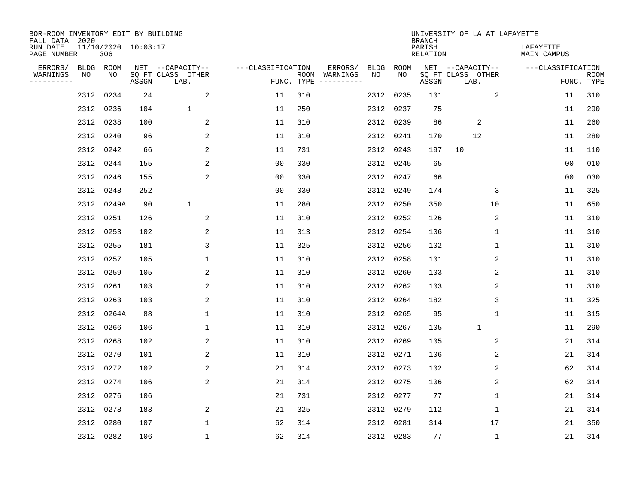| BOR-ROOM INVENTORY EDIT BY BUILDING<br>FALL DATA 2020 |           |            |                     |                           |                   |            |                              |      |           | <b>BRANCH</b>             | UNIVERSITY OF LA AT LAFAYETTE |                          |                           |
|-------------------------------------------------------|-----------|------------|---------------------|---------------------------|-------------------|------------|------------------------------|------|-----------|---------------------------|-------------------------------|--------------------------|---------------------------|
| RUN DATE<br>PAGE NUMBER                               |           | 306        | 11/10/2020 10:03:17 |                           |                   |            |                              |      |           | PARISH<br><b>RELATION</b> |                               | LAFAYETTE<br>MAIN CAMPUS |                           |
| ERRORS/                                               | BLDG ROOM |            |                     | NET --CAPACITY--          | ---CLASSIFICATION |            | ERRORS/                      | BLDG | ROOM      |                           | NET --CAPACITY--              | ---CLASSIFICATION        |                           |
| WARNINGS<br>----------                                | ΝO        | NO         | ASSGN               | SQ FT CLASS OTHER<br>LAB. |                   | FUNC. TYPE | ROOM WARNINGS<br>----------- | NO   | NO        | ASSGN                     | SQ FT CLASS OTHER<br>LAB.     |                          | <b>ROOM</b><br>FUNC. TYPE |
|                                                       | 2312      | 0234       | 24                  | 2                         | 11                | 310        |                              | 2312 | 0235      | 101                       | 2                             | 11                       | 310                       |
|                                                       |           | 2312 0236  | 104                 | $\mathbf 1$               | 11                | 250        |                              | 2312 | 0237      | 75                        |                               | 11                       | 290                       |
|                                                       | 2312      | 0238       | 100                 | 2                         | 11                | 310        |                              | 2312 | 0239      | 86                        | 2                             | 11                       | 260                       |
|                                                       |           | 2312 0240  | 96                  | 2                         | 11                | 310        |                              | 2312 | 0241      | 170                       | 12                            | 11                       | 280                       |
|                                                       |           | 2312 0242  | 66                  | 2                         | 11                | 731        |                              | 2312 | 0243      | 197                       | 10                            | 11                       | 110                       |
|                                                       |           | 2312 0244  | 155                 | 2                         | 0 <sub>0</sub>    | 030        |                              | 2312 | 0245      | 65                        |                               | 0 <sub>0</sub>           | 010                       |
|                                                       |           | 2312 0246  | 155                 | 2                         | 0 <sub>0</sub>    | 030        |                              | 2312 | 0247      | 66                        |                               | 0 <sub>0</sub>           | 030                       |
|                                                       |           | 2312 0248  | 252                 |                           | 0 <sub>0</sub>    | 030        |                              | 2312 | 0249      | 174                       | 3                             | 11                       | 325                       |
|                                                       |           | 2312 0249A | 90                  | $\mathbf 1$               | 11                | 280        |                              | 2312 | 0250      | 350                       | 10                            | 11                       | 650                       |
|                                                       |           | 2312 0251  | 126                 | 2                         | 11                | 310        |                              | 2312 | 0252      | 126                       | 2                             | 11                       | 310                       |
|                                                       |           | 2312 0253  | 102                 | 2                         | 11                | 313        |                              | 2312 | 0254      | 106                       | 1                             | 11                       | 310                       |
|                                                       |           | 2312 0255  | 181                 | 3                         | 11                | 325        |                              | 2312 | 0256      | 102                       | 1                             | 11                       | 310                       |
|                                                       |           | 2312 0257  | 105                 | $\mathbf{1}$              | 11                | 310        |                              | 2312 | 0258      | 101                       | 2                             | 11                       | 310                       |
|                                                       | 2312 0259 |            | 105                 | 2                         | 11                | 310        |                              | 2312 | 0260      | 103                       | 2                             | 11                       | 310                       |
|                                                       | 2312 0261 |            | 103                 | 2                         | 11                | 310        |                              | 2312 | 0262      | 103                       | 2                             | 11                       | 310                       |
|                                                       |           | 2312 0263  | 103                 | 2                         | 11                | 310        |                              | 2312 | 0264      | 182                       | 3                             | 11                       | 325                       |
|                                                       |           | 2312 0264A | 88                  | 1                         | 11                | 310        |                              | 2312 | 0265      | 95                        | $\mathbf{1}$                  | 11                       | 315                       |
|                                                       |           | 2312 0266  | 106                 | 1                         | 11                | 310        |                              | 2312 | 0267      | 105                       | $\mathbf{1}$                  | 11                       | 290                       |
|                                                       |           | 2312 0268  | 102                 | 2                         | 11                | 310        |                              | 2312 | 0269      | 105                       | 2                             | 21                       | 314                       |
|                                                       |           | 2312 0270  | 101                 | 2                         | 11                | 310        |                              | 2312 | 0271      | 106                       | 2                             | 21                       | 314                       |
|                                                       |           | 2312 0272  | 102                 | 2                         | 21                | 314        |                              | 2312 | 0273      | 102                       | 2                             | 62                       | 314                       |
|                                                       |           | 2312 0274  | 106                 | 2                         | 21                | 314        |                              | 2312 | 0275      | 106                       | 2                             | 62                       | 314                       |
|                                                       |           | 2312 0276  | 106                 |                           | 21                | 731        |                              | 2312 | 0277      | 77                        | $\mathbf 1$                   | 21                       | 314                       |
|                                                       |           | 2312 0278  | 183                 | 2                         | 21                | 325        |                              | 2312 | 0279      | 112                       | $\mathbf 1$                   | 21                       | 314                       |
|                                                       |           | 2312 0280  | 107                 | $\mathbf{1}$              | 62                | 314        |                              | 2312 | 0281      | 314                       | 17                            | 21                       | 350                       |
|                                                       |           | 2312 0282  | 106                 | $\mathbf{1}$              | 62                | 314        |                              |      | 2312 0283 | 77                        | $\mathbf 1$                   | 21                       | 314                       |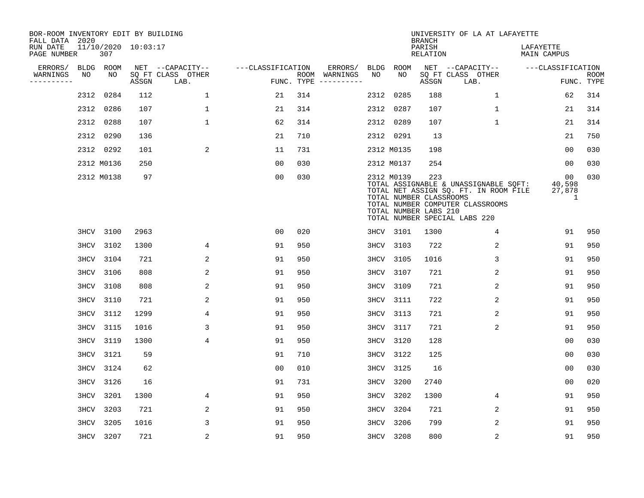| BOR-ROOM INVENTORY EDIT BY BUILDING<br>FALL DATA 2020 |      |            |                     |                           |                   |     |                                      |      |             | <b>BRANCH</b>                                           | UNIVERSITY OF LA AT LAFAYETTE                                                                                                                       |                             |                           |
|-------------------------------------------------------|------|------------|---------------------|---------------------------|-------------------|-----|--------------------------------------|------|-------------|---------------------------------------------------------|-----------------------------------------------------------------------------------------------------------------------------------------------------|-----------------------------|---------------------------|
| RUN DATE<br>PAGE NUMBER                               |      | 307        | 11/10/2020 10:03:17 |                           |                   |     |                                      |      |             | PARISH<br>RELATION                                      |                                                                                                                                                     | LAFAYETTE<br>MAIN CAMPUS    |                           |
| ERRORS/                                               |      | BLDG ROOM  |                     | NET --CAPACITY--          | ---CLASSIFICATION |     | ERRORS/                              | BLDG | <b>ROOM</b> |                                                         | NET --CAPACITY--                                                                                                                                    | ---CLASSIFICATION           |                           |
| WARNINGS<br>----------                                | NO   | NO.        | ASSGN               | SQ FT CLASS OTHER<br>LAB. |                   |     | ROOM WARNINGS<br>FUNC. TYPE $------$ | NO   | NO.         | ASSGN                                                   | SQ FT CLASS OTHER<br>LAB.                                                                                                                           |                             | <b>ROOM</b><br>FUNC. TYPE |
|                                                       |      | 2312 0284  | 112                 | $\mathbf 1$               | 21                | 314 |                                      | 2312 | 0285        | 188                                                     | $\mathbf 1$                                                                                                                                         | 62                          | 314                       |
|                                                       |      | 2312 0286  | 107                 | $\mathbf{1}$              | 21                | 314 |                                      | 2312 | 0287        | 107                                                     | $\mathbf{1}$                                                                                                                                        | 21                          | 314                       |
|                                                       |      | 2312 0288  | 107                 | $\mathbf{1}$              | 62                | 314 |                                      |      | 2312 0289   | 107                                                     | $\mathbf{1}$                                                                                                                                        | 21                          | 314                       |
|                                                       |      | 2312 0290  | 136                 |                           | 21                | 710 |                                      |      | 2312 0291   | 13                                                      |                                                                                                                                                     | 21                          | 750                       |
|                                                       |      | 2312 0292  | 101                 | 2                         | 11                | 731 |                                      |      | 2312 M0135  | 198                                                     |                                                                                                                                                     | 0 <sub>0</sub>              | 030                       |
|                                                       |      | 2312 M0136 | 250                 |                           | 0 <sub>0</sub>    | 030 |                                      |      | 2312 M0137  | 254                                                     |                                                                                                                                                     | 00                          | 030                       |
|                                                       |      | 2312 M0138 | 97                  |                           | 0 <sub>0</sub>    | 030 |                                      |      | 2312 M0139  | 223<br>TOTAL NUMBER CLASSROOMS<br>TOTAL NUMBER LABS 210 | TOTAL ASSIGNABLE & UNASSIGNABLE SQFT:<br>TOTAL NET ASSIGN SQ. FT. IN ROOM FILE<br>TOTAL NUMBER COMPUTER CLASSROOMS<br>TOTAL NUMBER SPECIAL LABS 220 | 00<br>40,598<br>27,878<br>1 | 030                       |
|                                                       |      | 3HCV 3100  | 2963                |                           | 00                | 020 |                                      |      | 3HCV 3101   | 1300                                                    | 4                                                                                                                                                   | 91                          | 950                       |
|                                                       |      | 3HCV 3102  | 1300                | 4                         | 91                | 950 |                                      | 3HCV | 3103        | 722                                                     | 2                                                                                                                                                   | 91                          | 950                       |
|                                                       |      | 3HCV 3104  | 721                 | 2                         | 91                | 950 |                                      | 3HCV | 3105        | 1016                                                    | 3                                                                                                                                                   | 91                          | 950                       |
|                                                       | 3HCV | 3106       | 808                 | 2                         | 91                | 950 |                                      | 3HCV | 3107        | 721                                                     | 2                                                                                                                                                   | 91                          | 950                       |
|                                                       | 3HCV | 3108       | 808                 | 2                         | 91                | 950 |                                      | 3HCV | 3109        | 721                                                     | 2                                                                                                                                                   | 91                          | 950                       |
|                                                       | 3HCV | 3110       | 721                 | 2                         | 91                | 950 |                                      | 3HCV | 3111        | 722                                                     | 2                                                                                                                                                   | 91                          | 950                       |
|                                                       |      | 3HCV 3112  | 1299                | 4                         | 91                | 950 |                                      | 3HCV | 3113        | 721                                                     | 2                                                                                                                                                   | 91                          | 950                       |
|                                                       | 3HCV | 3115       | 1016                | 3                         | 91                | 950 |                                      | 3HCV | 3117        | 721                                                     | 2                                                                                                                                                   | 91                          | 950                       |
|                                                       | 3HCV | 3119       | 1300                | 4                         | 91                | 950 |                                      | 3HCV | 3120        | 128                                                     |                                                                                                                                                     | 0 <sub>0</sub>              | 030                       |
|                                                       | 3HCV | 3121       | 59                  |                           | 91                | 710 |                                      | 3HCV | 3122        | 125                                                     |                                                                                                                                                     | 00                          | 030                       |
|                                                       | 3HCV | 3124       | 62                  |                           | 0 <sub>0</sub>    | 010 |                                      | 3HCV | 3125        | 16                                                      |                                                                                                                                                     | 0 <sub>0</sub>              | 030                       |
|                                                       | 3HCV | 3126       | 16                  |                           | 91                | 731 |                                      | 3HCV | 3200        | 2740                                                    |                                                                                                                                                     | 0 <sub>0</sub>              | 020                       |
|                                                       | 3HCV | 3201       | 1300                | 4                         | 91                | 950 |                                      | 3HCV | 3202        | 1300                                                    | 4                                                                                                                                                   | 91                          | 950                       |
|                                                       | 3HCV | 3203       | 721                 | 2                         | 91                | 950 |                                      | 3HCV | 3204        | 721                                                     | 2                                                                                                                                                   | 91                          | 950                       |
|                                                       | 3HCV | 3205       | 1016                | 3                         | 91                | 950 |                                      | 3HCV | 3206        | 799                                                     | 2                                                                                                                                                   | 91                          | 950                       |
|                                                       |      | 3HCV 3207  | 721                 | 2                         | 91                | 950 |                                      |      | 3HCV 3208   | 800                                                     | 2                                                                                                                                                   | 91                          | 950                       |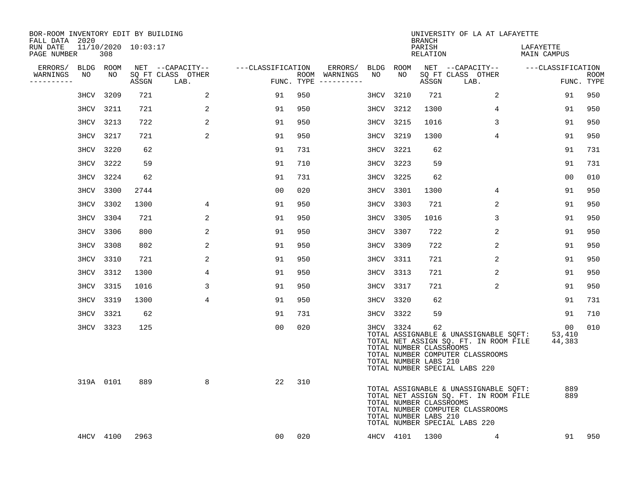| BOR-ROOM INVENTORY EDIT BY BUILDING<br>FALL DATA 2020 |                            |      |                                 |                   |     |                                      |           |                | <b>BRANCH</b>                                          | UNIVERSITY OF LA AT LAFAYETTE                                                                                                                       |                          |                           |
|-------------------------------------------------------|----------------------------|------|---------------------------------|-------------------|-----|--------------------------------------|-----------|----------------|--------------------------------------------------------|-----------------------------------------------------------------------------------------------------------------------------------------------------|--------------------------|---------------------------|
| RUN DATE<br>PAGE NUMBER                               | 11/10/2020 10:03:17<br>308 |      |                                 |                   |     |                                      |           |                | PARISH<br>RELATION                                     |                                                                                                                                                     | LAFAYETTE<br>MAIN CAMPUS |                           |
| ERRORS/ BLDG ROOM                                     |                            |      | NET --CAPACITY--                | ---CLASSIFICATION |     | ERRORS/                              | BLDG ROOM |                |                                                        | NET --CAPACITY--                                                                                                                                    | ---CLASSIFICATION        |                           |
| WARNINGS<br>NO<br>----------                          | NO                         |      | SQ FT CLASS OTHER<br>ASSGN LAB. |                   |     | ROOM WARNINGS<br>FUNC. TYPE $------$ | NO        | NO             | ASSGN                                                  | SQ FT CLASS OTHER<br>LAB.                                                                                                                           |                          | <b>ROOM</b><br>FUNC. TYPE |
|                                                       | 3HCV 3209                  | 721  | 2                               | 91                | 950 |                                      | 3HCV      | 3210           | 721                                                    | 2                                                                                                                                                   | 91                       | 950                       |
|                                                       | 3HCV 3211                  | 721  | 2                               | 91                | 950 |                                      |           | 3HCV 3212      | 1300                                                   | 4                                                                                                                                                   | 91                       | 950                       |
|                                                       | 3HCV 3213                  | 722  | 2                               | 91                | 950 |                                      |           | 3HCV 3215      | 1016                                                   | 3                                                                                                                                                   | 91                       | 950                       |
|                                                       | 3HCV 3217                  | 721  | 2                               | 91                | 950 |                                      |           | 3HCV 3219      | 1300                                                   | 4                                                                                                                                                   | 91                       | 950                       |
|                                                       | 3HCV 3220                  | 62   |                                 | 91                | 731 |                                      |           | 3HCV 3221      | 62                                                     |                                                                                                                                                     | 91                       | 731                       |
|                                                       | 3HCV 3222                  | 59   |                                 | 91                | 710 |                                      |           | 3HCV 3223      | 59                                                     |                                                                                                                                                     | 91                       | 731                       |
|                                                       | 3HCV 3224                  | 62   |                                 | 91                | 731 |                                      |           | 3HCV 3225      | 62                                                     |                                                                                                                                                     | 0 <sub>0</sub>           | 010                       |
|                                                       | 3HCV 3300                  | 2744 |                                 | 0 <sub>0</sub>    | 020 |                                      | 3HCV      | 3301           | 1300                                                   | $\overline{4}$                                                                                                                                      | 91                       | 950                       |
|                                                       | 3HCV 3302                  | 1300 | 4                               | 91                | 950 |                                      | 3HCV      | 3303           | 721                                                    | 2                                                                                                                                                   | 91                       | 950                       |
|                                                       | 3HCV 3304                  | 721  | 2                               | 91                | 950 |                                      |           | 3HCV 3305      | 1016                                                   | 3                                                                                                                                                   | 91                       | 950                       |
|                                                       | 3HCV 3306                  | 800  | 2                               | 91                | 950 |                                      |           | 3HCV 3307      | 722                                                    | 2                                                                                                                                                   | 91                       | 950                       |
|                                                       | 3HCV 3308                  | 802  | 2                               | 91                | 950 |                                      |           | 3HCV 3309      | 722                                                    | 2                                                                                                                                                   | 91                       | 950                       |
|                                                       | 3HCV 3310                  | 721  | 2                               | 91                | 950 |                                      |           | 3HCV 3311      | 721                                                    | 2                                                                                                                                                   | 91                       | 950                       |
|                                                       | 3HCV 3312                  | 1300 | 4                               | 91                | 950 |                                      |           | 3HCV 3313      | 721                                                    | 2                                                                                                                                                   | 91                       | 950                       |
|                                                       | 3HCV 3315                  | 1016 | 3                               | 91                | 950 |                                      |           | 3HCV 3317      | 721                                                    | 2                                                                                                                                                   | 91                       | 950                       |
|                                                       | 3HCV 3319                  | 1300 | 4                               | 91                | 950 |                                      |           | 3HCV 3320      | 62                                                     |                                                                                                                                                     | 91                       | 731                       |
|                                                       | 3HCV 3321                  | 62   |                                 | 91                | 731 |                                      |           | 3HCV 3322      | 59                                                     |                                                                                                                                                     | 91                       | 710                       |
|                                                       | 3HCV 3323                  | 125  |                                 | 00                | 020 |                                      |           | 3HCV 3324      | 62<br>TOTAL NUMBER CLASSROOMS<br>TOTAL NUMBER LABS 210 | TOTAL ASSIGNABLE & UNASSIGNABLE SQFT:<br>TOTAL NET ASSIGN SQ. FT. IN ROOM FILE<br>TOTAL NUMBER COMPUTER CLASSROOMS<br>TOTAL NUMBER SPECIAL LABS 220 | 00<br>53,410<br>44,383   | 010                       |
|                                                       | 319A 0101                  | 889  | 8                               | 22                | 310 |                                      |           |                | TOTAL NUMBER CLASSROOMS<br>TOTAL NUMBER LABS 210       | TOTAL ASSIGNABLE & UNASSIGNABLE SQFT:<br>TOTAL NET ASSIGN SQ. FT. IN ROOM FILE<br>TOTAL NUMBER COMPUTER CLASSROOMS<br>TOTAL NUMBER SPECIAL LABS 220 | 889<br>889               |                           |
|                                                       | 4HCV 4100                  | 2963 |                                 | 00                | 020 |                                      |           | 4HCV 4101 1300 |                                                        | 4                                                                                                                                                   | 91                       | 950                       |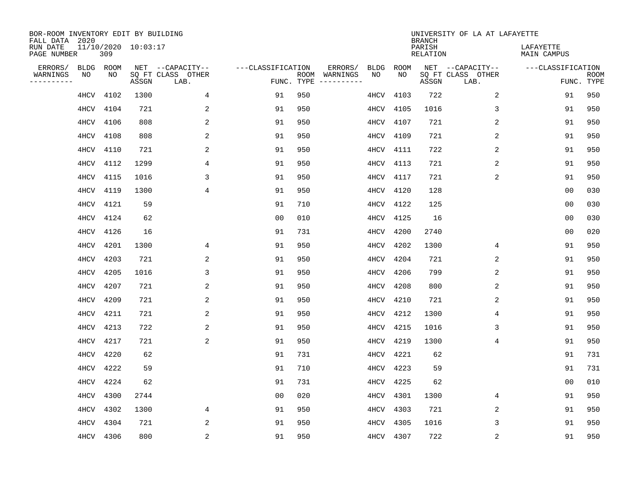| BOR-ROOM INVENTORY EDIT BY BUILDING<br>FALL DATA 2020 |                            |       |                           |                   |            |                                    |             | <b>BRANCH</b>             | UNIVERSITY OF LA AT LAFAYETTE |                          |                           |
|-------------------------------------------------------|----------------------------|-------|---------------------------|-------------------|------------|------------------------------------|-------------|---------------------------|-------------------------------|--------------------------|---------------------------|
| RUN DATE<br>PAGE NUMBER                               | 11/10/2020 10:03:17<br>309 |       |                           |                   |            |                                    |             | PARISH<br><b>RELATION</b> |                               | LAFAYETTE<br>MAIN CAMPUS |                           |
| ERRORS/<br><b>BLDG</b>                                | ROOM                       |       | NET --CAPACITY--          | ---CLASSIFICATION |            | ERRORS/<br><b>BLDG</b>             | <b>ROOM</b> |                           | NET --CAPACITY--              | ---CLASSIFICATION        |                           |
| WARNINGS<br>NO<br>----------                          | NO                         | ASSGN | SQ FT CLASS OTHER<br>LAB. |                   | FUNC. TYPE | NO<br>ROOM WARNINGS<br>----------- | NO          | ASSGN                     | SQ FT CLASS OTHER<br>LAB.     |                          | <b>ROOM</b><br>FUNC. TYPE |
| 4HCV                                                  | 4102                       | 1300  | 4                         | 91                | 950        | 4HCV                               | 4103        | 722                       | 2                             | 91                       | 950                       |
| 4HCV                                                  | 4104                       | 721   | 2                         | 91                | 950        | 4HCV                               | 4105        | 1016                      | 3                             | 91                       | 950                       |
| 4HCV                                                  | 4106                       | 808   | 2                         | 91                | 950        | 4HCV                               | 4107        | 721                       | 2                             | 91                       | 950                       |
| 4HCV                                                  | 4108                       | 808   | 2                         | 91                | 950        | 4HCV                               | 4109        | 721                       | 2                             | 91                       | 950                       |
| 4HCV                                                  | 4110                       | 721   | $\overline{a}$            | 91                | 950        | 4HCV                               | 4111        | 722                       | 2                             | 91                       | 950                       |
| 4HCV                                                  | 4112                       | 1299  | 4                         | 91                | 950        | 4HCV                               | 4113        | 721                       | 2                             | 91                       | 950                       |
| 4HCV                                                  | 4115                       | 1016  | 3                         | 91                | 950        | 4HCV                               | 4117        | 721                       | 2                             | 91                       | 950                       |
| 4HCV                                                  | 4119                       | 1300  | $\overline{4}$            | 91                | 950        | 4HCV                               | 4120        | 128                       |                               | 0 <sub>0</sub>           | 030                       |
| 4HCV                                                  | 4121                       | 59    |                           | 91                | 710        | 4HCV                               | 4122        | 125                       |                               | 0 <sub>0</sub>           | 030                       |
| 4HCV                                                  | 4124                       | 62    |                           | 0 <sub>0</sub>    | 010        | 4HCV                               | 4125        | 16                        |                               | 0 <sub>0</sub>           | 030                       |
| 4HCV                                                  | 4126                       | 16    |                           | 91                | 731        | 4HCV                               | 4200        | 2740                      |                               | 0 <sub>0</sub>           | 020                       |
| 4HCV                                                  | 4201                       | 1300  | 4                         | 91                | 950        | 4HCV                               | 4202        | 1300                      | 4                             | 91                       | 950                       |
| 4HCV                                                  | 4203                       | 721   | 2                         | 91                | 950        | 4HCV                               | 4204        | 721                       | 2                             | 91                       | 950                       |
| 4HCV                                                  | 4205                       | 1016  | 3                         | 91                | 950        | 4HCV                               | 4206        | 799                       | 2                             | 91                       | 950                       |
| 4HCV                                                  | 4207                       | 721   | 2                         | 91                | 950        | 4HCV                               | 4208        | 800                       | 2                             | 91                       | 950                       |
| 4HCV                                                  | 4209                       | 721   | 2                         | 91                | 950        | 4HCV                               | 4210        | 721                       | 2                             | 91                       | 950                       |
| 4HCV                                                  | 4211                       | 721   | $\overline{\mathbf{c}}$   | 91                | 950        | 4HCV                               | 4212        | 1300                      | 4                             | 91                       | 950                       |
| 4HCV                                                  | 4213                       | 722   | 2                         | 91                | 950        | 4HCV                               | 4215        | 1016                      | 3                             | 91                       | 950                       |
| 4HCV                                                  | 4217                       | 721   | 2                         | 91                | 950        | 4HCV                               | 4219        | 1300                      | 4                             | 91                       | 950                       |
| 4HCV                                                  | 4220                       | 62    |                           | 91                | 731        | 4HCV                               | 4221        | 62                        |                               | 91                       | 731                       |
| 4HCV                                                  | 4222                       | 59    |                           | 91                | 710        | 4HCV                               | 4223        | 59                        |                               | 91                       | 731                       |
| 4HCV                                                  | 4224                       | 62    |                           | 91                | 731        | 4HCV                               | 4225        | 62                        |                               | 0 <sub>0</sub>           | 010                       |
| 4HCV                                                  | 4300                       | 2744  |                           | 0 <sub>0</sub>    | 020        | 4HCV                               | 4301        | 1300                      | 4                             | 91                       | 950                       |
| 4HCV                                                  | 4302                       | 1300  | 4                         | 91                | 950        | 4HCV                               | 4303        | 721                       | 2                             | 91                       | 950                       |
| 4HCV                                                  | 4304                       | 721   | 2                         | 91                | 950        | 4HCV                               | 4305        | 1016                      | 3                             | 91                       | 950                       |
|                                                       | 4HCV 4306                  | 800   | 2                         | 91                | 950        | 4HCV                               | 4307        | 722                       | 2                             | 91                       | 950                       |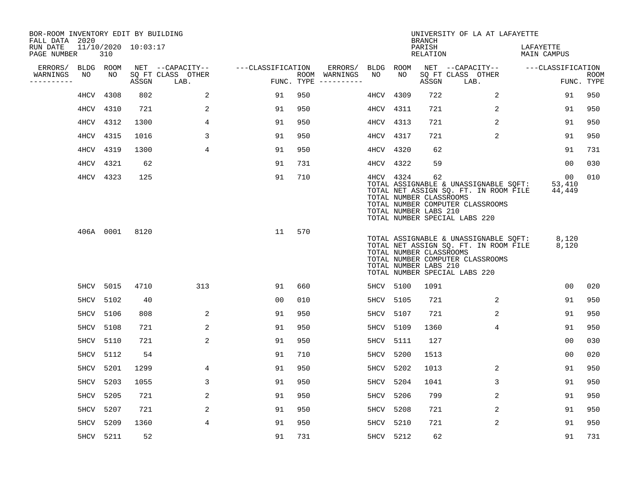| BOR-ROOM INVENTORY EDIT BY BUILDING<br>FALL DATA 2020 |           |           |                     |                           |                   |     |                                      |           |                                                               | <b>BRANCH</b>      | UNIVERSITY OF LA AT LAFAYETTE                                                                                                                       |                          |                    |
|-------------------------------------------------------|-----------|-----------|---------------------|---------------------------|-------------------|-----|--------------------------------------|-----------|---------------------------------------------------------------|--------------------|-----------------------------------------------------------------------------------------------------------------------------------------------------|--------------------------|--------------------|
| RUN DATE<br>PAGE NUMBER                               |           | 310       | 11/10/2020 10:03:17 |                           |                   |     |                                      |           |                                                               | PARISH<br>RELATION |                                                                                                                                                     | LAFAYETTE<br>MAIN CAMPUS |                    |
| ERRORS/                                               | BLDG ROOM |           |                     | NET --CAPACITY--          | ---CLASSIFICATION |     | ERRORS/                              | BLDG      | ROOM                                                          |                    | NET --CAPACITY--                                                                                                                                    | ---CLASSIFICATION        |                    |
| WARNINGS<br>----------                                | NO        | NO        | ASSGN               | SO FT CLASS OTHER<br>LAB. |                   |     | ROOM WARNINGS<br>FUNC. TYPE $------$ | NO        | NO                                                            | ASSGN              | SQ FT CLASS OTHER<br>LAB.                                                                                                                           |                          | ROOM<br>FUNC. TYPE |
|                                                       | 4HCV      | 4308      | 802                 | 2                         | 91                | 950 |                                      | 4HCV      | 4309                                                          | 722                | 2                                                                                                                                                   | 91                       | 950                |
|                                                       | 4HCV      | 4310      | 721                 | 2                         | 91                | 950 |                                      | 4HCV      | 4311                                                          | 721                | 2                                                                                                                                                   | 91                       | 950                |
|                                                       |           | 4HCV 4312 | 1300                | 4                         | 91                | 950 |                                      | 4HCV      | 4313                                                          | 721                | 2                                                                                                                                                   | 91                       | 950                |
|                                                       | 4HCV      | 4315      | 1016                | 3                         | 91                | 950 |                                      | 4HCV      | 4317                                                          | 721                | 2                                                                                                                                                   | 91                       | 950                |
|                                                       | 4HCV      | 4319      | 1300                | $\overline{4}$            | 91                | 950 |                                      | 4HCV      | 4320                                                          | 62                 |                                                                                                                                                     | 91                       | 731                |
|                                                       | 4HCV      | 4321      | 62                  |                           | 91                | 731 |                                      | 4HCV 4322 |                                                               | 59                 |                                                                                                                                                     | 00                       | 030                |
|                                                       |           | 4HCV 4323 | 125                 |                           | 91                | 710 |                                      |           | 4HCV 4324<br>TOTAL NUMBER CLASSROOMS<br>TOTAL NUMBER LABS 210 | 62                 | TOTAL ASSIGNABLE & UNASSIGNABLE SQFT:<br>TOTAL NET ASSIGN SQ. FT. IN ROOM FILE<br>TOTAL NUMBER COMPUTER CLASSROOMS<br>TOTAL NUMBER SPECIAL LABS 220 | 00<br>53,410<br>44,449   | 010                |
|                                                       |           | 406A 0001 | 8120                |                           | 11                | 570 |                                      |           | TOTAL NUMBER CLASSROOMS<br>TOTAL NUMBER LABS 210              |                    | TOTAL ASSIGNABLE & UNASSIGNABLE SQFT:<br>TOTAL NET ASSIGN SQ. FT. IN ROOM FILE<br>TOTAL NUMBER COMPUTER CLASSROOMS<br>TOTAL NUMBER SPECIAL LABS 220 | 8,120<br>8,120           |                    |
|                                                       |           | 5HCV 5015 | 4710                | 313                       | 91                | 660 |                                      | 5HCV 5100 |                                                               | 1091               |                                                                                                                                                     | 00                       | 020                |
|                                                       |           | 5HCV 5102 | 40                  |                           | 0 <sub>0</sub>    | 010 |                                      | 5HCV      | 5105                                                          | 721                | $\overline{2}$                                                                                                                                      | 91                       | 950                |
|                                                       | 5HCV 5106 |           | 808                 | 2                         | 91                | 950 |                                      | 5HCV      | 5107                                                          | 721                | 2                                                                                                                                                   | 91                       | 950                |
|                                                       | 5HCV      | 5108      | 721                 | 2                         | 91                | 950 |                                      | 5HCV      | 5109                                                          | 1360               | 4                                                                                                                                                   | 91                       | 950                |
|                                                       | 5HCV 5110 |           | 721                 | 2                         | 91                | 950 |                                      | 5HCV      | 5111                                                          | 127                |                                                                                                                                                     | 00                       | 030                |
|                                                       | 5HCV      | 5112      | 54                  |                           | 91                | 710 |                                      | 5HCV      | 5200                                                          | 1513               |                                                                                                                                                     | 00                       | 020                |
|                                                       | 5HCV      | 5201      | 1299                | 4                         | 91                | 950 |                                      | 5HCV      | 5202                                                          | 1013               | 2                                                                                                                                                   | 91                       | 950                |
|                                                       | 5HCV      | 5203      | 1055                | 3                         | 91                | 950 |                                      | 5HCV      | 5204                                                          | 1041               | 3                                                                                                                                                   | 91                       | 950                |
|                                                       | 5HCV      | 5205      | 721                 | 2                         | 91                | 950 |                                      | 5HCV      | 5206                                                          | 799                | 2                                                                                                                                                   | 91                       | 950                |
|                                                       | 5HCV      | 5207      | 721                 | 2                         | 91                | 950 |                                      | 5HCV      | 5208                                                          | 721                | 2                                                                                                                                                   | 91                       | 950                |
|                                                       | 5HCV      | 5209      | 1360                | 4                         | 91                | 950 |                                      | 5HCV      | 5210                                                          | 721                | 2                                                                                                                                                   | 91                       | 950                |
|                                                       | 5HCV 5211 |           | 52                  |                           | 91                | 731 |                                      | 5HCV 5212 |                                                               | 62                 |                                                                                                                                                     | 91                       | 731                |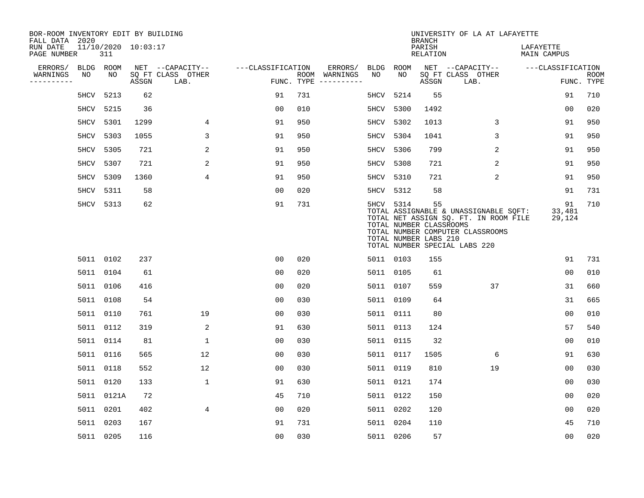| BOR-ROOM INVENTORY EDIT BY BUILDING<br>FALL DATA 2020 |            |                     |                           |                   |     |                                      |      |             | <b>BRANCH</b>                                          | UNIVERSITY OF LA AT LAFAYETTE                                                                                                                       |                          |                           |
|-------------------------------------------------------|------------|---------------------|---------------------------|-------------------|-----|--------------------------------------|------|-------------|--------------------------------------------------------|-----------------------------------------------------------------------------------------------------------------------------------------------------|--------------------------|---------------------------|
| RUN DATE<br>PAGE NUMBER                               | 311        | 11/10/2020 10:03:17 |                           |                   |     |                                      |      |             | PARISH<br><b>RELATION</b>                              |                                                                                                                                                     | LAFAYETTE<br>MAIN CAMPUS |                           |
| ERRORS/                                               | BLDG ROOM  |                     | NET --CAPACITY--          | ---CLASSIFICATION |     | ERRORS/                              | BLDG | <b>ROOM</b> |                                                        | NET --CAPACITY--                                                                                                                                    | ---CLASSIFICATION        |                           |
| NO<br>WARNINGS<br>----------                          | NO         | ASSGN               | SQ FT CLASS OTHER<br>LAB. |                   |     | ROOM WARNINGS<br>FUNC. TYPE $------$ | NO   | NO          | ASSGN                                                  | SQ FT CLASS OTHER<br>LAB.                                                                                                                           |                          | <b>ROOM</b><br>FUNC. TYPE |
|                                                       | 5HCV 5213  | 62                  |                           | 91                | 731 |                                      | 5HCV | 5214        | 55                                                     |                                                                                                                                                     | 91                       | 710                       |
|                                                       | 5HCV 5215  | 36                  |                           | 0 <sub>0</sub>    | 010 |                                      | 5HCV | 5300        | 1492                                                   |                                                                                                                                                     | 0 <sub>0</sub>           | 020                       |
|                                                       | 5HCV 5301  | 1299                | 4                         | 91                | 950 |                                      | 5HCV | 5302        | 1013                                                   | 3                                                                                                                                                   | 91                       | 950                       |
|                                                       | 5HCV 5303  | 1055                | 3                         | 91                | 950 |                                      | 5HCV | 5304        | 1041                                                   | 3                                                                                                                                                   | 91                       | 950                       |
| 5HCV                                                  | 5305       | 721                 | 2                         | 91                | 950 |                                      | 5HCV | 5306        | 799                                                    | 2                                                                                                                                                   | 91                       | 950                       |
|                                                       | 5HCV 5307  | 721                 | 2                         | 91                | 950 |                                      |      | 5HCV 5308   | 721                                                    | 2                                                                                                                                                   | 91                       | 950                       |
| 5HCV                                                  | 5309       | 1360                | 4                         | 91                | 950 |                                      |      | 5HCV 5310   | 721                                                    | $\overline{2}$                                                                                                                                      | 91                       | 950                       |
|                                                       | 5HCV 5311  | 58                  |                           | 0 <sub>0</sub>    | 020 |                                      |      | 5HCV 5312   | 58                                                     |                                                                                                                                                     | 91                       | 731                       |
|                                                       | 5HCV 5313  | 62                  |                           | 91                | 731 |                                      |      | 5HCV 5314   | 55<br>TOTAL NUMBER CLASSROOMS<br>TOTAL NUMBER LABS 210 | TOTAL ASSIGNABLE & UNASSIGNABLE SQFT:<br>TOTAL NET ASSIGN SQ. FT. IN ROOM FILE<br>TOTAL NUMBER COMPUTER CLASSROOMS<br>TOTAL NUMBER SPECIAL LABS 220 | 91<br>33,481<br>29,124   | 710                       |
|                                                       | 5011 0102  | 237                 |                           | 0 <sub>0</sub>    | 020 |                                      |      | 5011 0103   | 155                                                    |                                                                                                                                                     | 91                       | 731                       |
|                                                       | 5011 0104  | 61                  |                           | 00                | 020 |                                      |      | 5011 0105   | 61                                                     |                                                                                                                                                     | 00                       | 010                       |
|                                                       | 5011 0106  | 416                 |                           | 0 <sub>0</sub>    | 020 |                                      |      | 5011 0107   | 559                                                    | 37                                                                                                                                                  | 31                       | 660                       |
|                                                       | 5011 0108  | 54                  |                           | 0 <sub>0</sub>    | 030 |                                      |      | 5011 0109   | 64                                                     |                                                                                                                                                     | 31                       | 665                       |
|                                                       | 5011 0110  | 761                 | 19                        | 0 <sub>0</sub>    | 030 |                                      |      | 5011 0111   | 80                                                     |                                                                                                                                                     | 0 <sub>0</sub>           | 010                       |
|                                                       | 5011 0112  | 319                 | 2                         | 91                | 630 |                                      |      | 5011 0113   | 124                                                    |                                                                                                                                                     | 57                       | 540                       |
|                                                       | 5011 0114  | 81                  | $\mathbf{1}$              | 0 <sub>0</sub>    | 030 |                                      |      | 5011 0115   | 32                                                     |                                                                                                                                                     | 0 <sub>0</sub>           | 010                       |
|                                                       | 5011 0116  | 565                 | 12                        | 0 <sub>0</sub>    | 030 |                                      |      | 5011 0117   | 1505                                                   | 6                                                                                                                                                   | 91                       | 630                       |
|                                                       | 5011 0118  | 552                 | 12                        | 0 <sub>0</sub>    | 030 |                                      |      | 5011 0119   | 810                                                    | 19                                                                                                                                                  | 0 <sub>0</sub>           | 030                       |
|                                                       | 5011 0120  | 133                 | $\mathbf 1$               | 91                | 630 |                                      |      | 5011 0121   | 174                                                    |                                                                                                                                                     | 0 <sub>0</sub>           | 030                       |
|                                                       | 5011 0121A | 72                  |                           | 45                | 710 |                                      |      | 5011 0122   | 150                                                    |                                                                                                                                                     | 0 <sub>0</sub>           | 020                       |
|                                                       | 5011 0201  | 402                 | 4                         | 0 <sub>0</sub>    | 020 |                                      |      | 5011 0202   | 120                                                    |                                                                                                                                                     | 0 <sub>0</sub>           | 020                       |
|                                                       | 5011 0203  | 167                 |                           | 91                | 731 |                                      |      | 5011 0204   | 110                                                    |                                                                                                                                                     | 45                       | 710                       |
|                                                       | 5011 0205  | 116                 |                           | 0 <sub>0</sub>    | 030 |                                      |      | 5011 0206   | 57                                                     |                                                                                                                                                     | 0 <sub>0</sub>           | 020                       |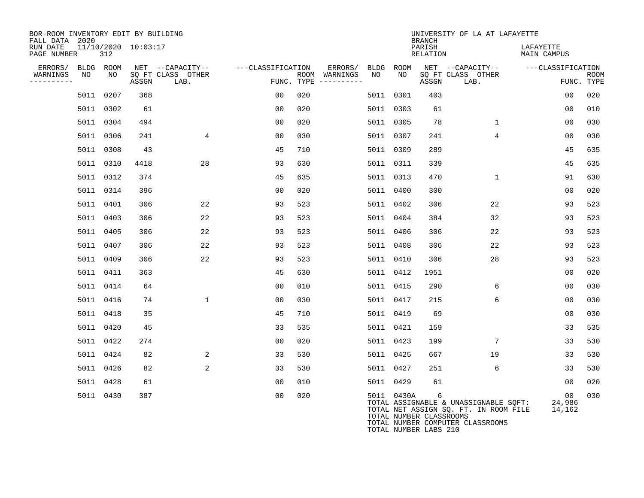| BOR-ROOM INVENTORY EDIT BY BUILDING<br>FALL DATA 2020 |    |           |                         |                           |                   |     |                                      |    |            | <b>BRANCH</b>                | UNIVERSITY OF LA AT LAFAYETTE                                                                                          |                          |                    |
|-------------------------------------------------------|----|-----------|-------------------------|---------------------------|-------------------|-----|--------------------------------------|----|------------|------------------------------|------------------------------------------------------------------------------------------------------------------------|--------------------------|--------------------|
| RUN DATE<br>PAGE NUMBER                               |    | 312       | $11/10/2020$ $10:03:17$ |                           |                   |     |                                      |    |            | PARISH<br>RELATION           |                                                                                                                        | LAFAYETTE<br>MAIN CAMPUS |                    |
| ERRORS/ BLDG ROOM                                     |    |           |                         | NET --CAPACITY--          | ---CLASSIFICATION |     | ERRORS/ BLDG ROOM                    |    |            |                              | NET --CAPACITY-- ---CLASSIFICATION                                                                                     |                          |                    |
| WARNINGS<br>----------                                | NO | NO        | ASSGN                   | SQ FT CLASS OTHER<br>LAB. |                   |     | ROOM WARNINGS<br>FUNC. TYPE $------$ | NO | NO         | ASSGN                        | SQ FT CLASS OTHER<br>LAB.                                                                                              |                          | ROOM<br>FUNC. TYPE |
|                                                       |    | 5011 0207 | 368                     |                           | 00                | 020 |                                      |    | 5011 0301  | 403                          |                                                                                                                        | 00                       | 020                |
|                                                       |    | 5011 0302 | 61                      |                           | 0 <sub>0</sub>    | 020 |                                      |    | 5011 0303  | 61                           |                                                                                                                        | 0 <sub>0</sub>           | 010                |
|                                                       |    | 5011 0304 | 494                     |                           | 00                | 020 |                                      |    | 5011 0305  | 78                           | $\mathbf{1}$                                                                                                           | 00                       | 030                |
|                                                       |    | 5011 0306 | 241                     | 4                         | 00                | 030 |                                      |    | 5011 0307  | 241                          | $\overline{4}$                                                                                                         | 0 <sub>0</sub>           | 030                |
|                                                       |    | 5011 0308 | 43                      |                           | 45                | 710 |                                      |    | 5011 0309  | 289                          |                                                                                                                        | 45                       | 635                |
|                                                       |    | 5011 0310 | 4418                    | 28                        | 93                | 630 |                                      |    | 5011 0311  | 339                          |                                                                                                                        | 45                       | 635                |
|                                                       |    | 5011 0312 | 374                     |                           | 45                | 635 |                                      |    | 5011 0313  | 470                          | $\mathbf{1}$                                                                                                           | 91                       | 630                |
|                                                       |    | 5011 0314 | 396                     |                           | 00                | 020 |                                      |    | 5011 0400  | 300                          |                                                                                                                        | 00                       | 020                |
|                                                       |    | 5011 0401 | 306                     | 22                        | 93                | 523 |                                      |    | 5011 0402  | 306                          | 22                                                                                                                     | 93                       | 523                |
|                                                       |    | 5011 0403 | 306                     | 22                        | 93                | 523 |                                      |    | 5011 0404  | 384                          | 32                                                                                                                     | 93                       | 523                |
|                                                       |    | 5011 0405 | 306                     | 22                        | 93                | 523 |                                      |    | 5011 0406  | 306                          | 22                                                                                                                     | 93                       | 523                |
|                                                       |    | 5011 0407 | 306                     | 22                        | 93                | 523 |                                      |    | 5011 0408  | 306                          | 22                                                                                                                     | 93                       | 523                |
|                                                       |    | 5011 0409 | 306                     | 22                        | 93                | 523 |                                      |    | 5011 0410  | 306                          | 28                                                                                                                     | 93                       | 523                |
|                                                       |    | 5011 0411 | 363                     |                           | 45                | 630 |                                      |    | 5011 0412  | 1951                         |                                                                                                                        | 0 <sub>0</sub>           | 020                |
|                                                       |    | 5011 0414 | 64                      |                           | 0 <sub>0</sub>    | 010 |                                      |    | 5011 0415  | 290                          | 6                                                                                                                      | 0 <sub>0</sub>           | 030                |
|                                                       |    | 5011 0416 | 74                      | $\mathbf 1$               | 00                | 030 |                                      |    | 5011 0417  | 215                          | 6                                                                                                                      | 0 <sub>0</sub>           | 030                |
|                                                       |    | 5011 0418 | 35                      |                           | 45                | 710 |                                      |    | 5011 0419  | 69                           |                                                                                                                        | 0 <sub>0</sub>           | 030                |
|                                                       |    | 5011 0420 | 45                      |                           | 33                | 535 |                                      |    | 5011 0421  | 159                          |                                                                                                                        | 33                       | 535                |
|                                                       |    | 5011 0422 | 274                     |                           | 00                | 020 |                                      |    | 5011 0423  | 199                          | 7                                                                                                                      | 33                       | 530                |
|                                                       |    | 5011 0424 | 82                      | 2                         | 33                | 530 |                                      |    | 5011 0425  | 667                          | 19                                                                                                                     | 33                       | 530                |
|                                                       |    | 5011 0426 | 82                      | 2                         | 33                | 530 |                                      |    | 5011 0427  | 251                          | 6                                                                                                                      | 33                       | 530                |
|                                                       |    | 5011 0428 | 61                      |                           | 0 <sub>0</sub>    | 010 |                                      |    | 5011 0429  | 61                           |                                                                                                                        | 00                       | 020                |
|                                                       |    | 5011 0430 | 387                     |                           | 00                | 020 |                                      |    | 5011 0430A | 6<br>TOTAL NUMBER CLASSROOMS | TOTAL ASSIGNABLE & UNASSIGNABLE SOFT:<br>TOTAL NET ASSIGN SQ. FT. IN ROOM FILE<br>momar authoring dominimum diagonomic | 00<br>24,986<br>14,162   | 030                |

TOTAL NUMBER COMPUTER CLASSROOMS

TOTAL NUMBER LABS 210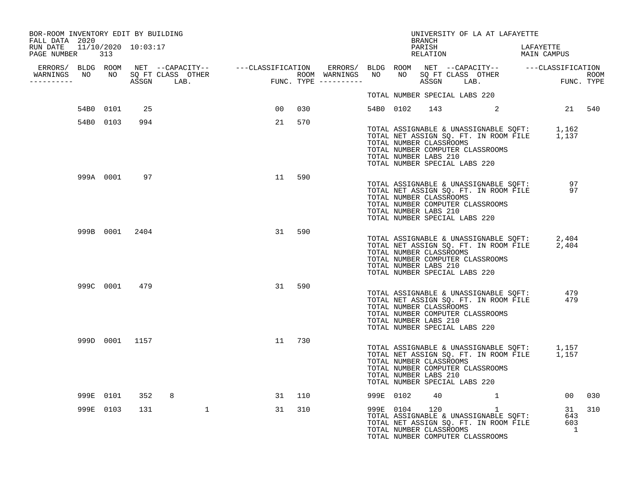| BOR-ROOM INVENTORY EDIT BY BUILDING<br>FALL DATA 2020 |           |                |              |                |        |  |           | BRANCH                                                                            |  | UNIVERSITY OF LA AT LAFAYETTE                                                                                                                       |  |                                |        |
|-------------------------------------------------------|-----------|----------------|--------------|----------------|--------|--|-----------|-----------------------------------------------------------------------------------|--|-----------------------------------------------------------------------------------------------------------------------------------------------------|--|--------------------------------|--------|
| RUN DATE 11/10/2020 10:03:17<br>PAGE NUMBER 313       |           |                |              |                |        |  |           | PARISH<br>RELATION                                                                |  | LAFAYETTE<br>LAFAILI.<br>MAIN CAMPUS                                                                                                                |  |                                |        |
|                                                       |           |                |              |                |        |  |           |                                                                                   |  |                                                                                                                                                     |  |                                |        |
| WARNINGS NO NO SQ FT CLASS OTHER<br>-----------       |           |                |              |                |        |  |           |                                                                                   |  |                                                                                                                                                     |  |                                |        |
|                                                       |           |                |              |                |        |  |           | TOTAL NUMBER SPECIAL LABS 220                                                     |  |                                                                                                                                                     |  |                                |        |
|                                                       | 54B0 0101 | 25             |              | 0 <sub>0</sub> | 030    |  |           |                                                                                   |  | 54B0 0102 143 2 21 540                                                                                                                              |  |                                |        |
|                                                       | 54B0 0103 | 994            |              | 21             | 570    |  |           |                                                                                   |  |                                                                                                                                                     |  |                                |        |
|                                                       |           |                |              |                |        |  |           | TOTAL NUMBER CLASSROOMS<br>TOTAL NUMBER LABS 210<br>TOTAL NUMBER SPECIAL LABS 220 |  | TOTAL ASSIGNABLE & UNASSIGNABLE SQFT: 1,162<br>TOTAL NET ASSIGN SQ. FT. IN ROOM FILE 1,137<br>TOTAL NUMBER COMPUTER CLASSROOMS                      |  |                                |        |
|                                                       |           | 999A 0001 97   |              | 11             | 590    |  |           | TOTAL NUMBER CLASSROOMS<br>TOTAL NUMBER LABS 210<br>TOTAL NUMBER SPECIAL LABS 220 |  | TOTAL NET ASSIGN SQ. FT. IN ROOM FILE 97<br>TOTAL NET ASSIGN SQ. FT. IN ROOM FILE 97<br>TOTAL NUMBER CLASSROOMS<br>TOTAL NUMBER COMPUTER CLASSROOMS |  |                                |        |
|                                                       |           | 999B 0001 2404 |              | 31             | 590    |  |           | TOTAL NUMBER CLASSROOMS<br>TOTAL NUMBER LABS 210<br>TOTAL NUMBER SPECIAL LABS 220 |  | TOTAL ASSIGNABLE & UNASSIGNABLE SQFT: 2,404<br>TOTAL NET ASSIGN SQ. FT. IN ROOM FILE 2,404<br>TOTAL NUMBER COMPUTER CLASSROOMS                      |  |                                |        |
|                                                       | 999C 0001 | 479            |              | 31             | 590    |  |           | TOTAL NUMBER CLASSROOMS<br>TOTAL NUMBER LABS 210<br>TOTAL NUMBER SPECIAL LABS 220 |  | TOTAL ASSIGNABLE & UNASSIGNABLE SQFT:<br>TOTAL NET ASSIGN SQ. FT. IN ROOM FILE<br>TOTAL NUMBER COMPUTER CLASSROOMS                                  |  | 479<br>479                     |        |
|                                                       |           | 999D 0001 1157 |              |                | 11 730 |  |           | TOTAL NUMBER CLASSROOMS<br>TOTAL NUMBER LABS 210<br>TOTAL NUMBER SPECIAL LABS 220 |  | TOTAL ASSIGNABLE & UNASSIGNABLE SQFT: 1,157<br>TOTAL NET ASSIGN SQ. FT. IN ROOM FILE 1,157<br>TOTAL NUMBER COMPUTER CLASSROOMS                      |  |                                |        |
|                                                       | 999E 0101 | 352            | 8            |                | 31 110 |  | 999E 0102 | 40                                                                                |  |                                                                                                                                                     |  |                                | 00 030 |
|                                                       | 999E 0103 | 131            | $\mathbf{1}$ | 31             | 310    |  |           | TOTAL NUMBER CLASSROOMS                                                           |  | 131<br>TOTAL ASSIGNABLE & UNASSIGNABLE SQFT: 643<br>TOTAL NET ASSIGN SQ. FT. IN ROOM FILE 603<br>TOTAL NUMBER COMPUTER CLASSROOMS                   |  | 31<br>$\overline{\phantom{a}}$ | 310    |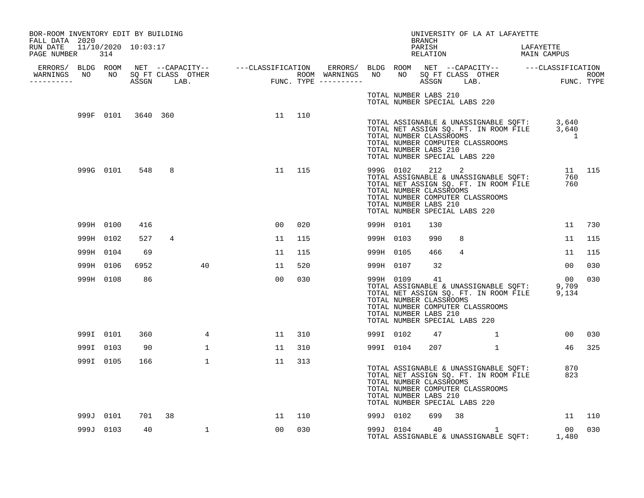| BOR-ROOM INVENTORY EDIT BY BUILDING<br>FALL DATA 2020 |           |                    |        |              |        |     |           |                                                                                                | BRANCH |        | UNIVERSITY OF LA AT LAFAYETTE                                                                                                                             |                          |                |        |
|-------------------------------------------------------|-----------|--------------------|--------|--------------|--------|-----|-----------|------------------------------------------------------------------------------------------------|--------|--------|-----------------------------------------------------------------------------------------------------------------------------------------------------------|--------------------------|----------------|--------|
| RUN DATE 11/10/2020 10:03:17<br>PAGE NUMBER 314       |           |                    |        |              |        |     |           |                                                                                                | PARISH |        | RELATION                                                                                                                                                  | LAPAILLI.<br>MAIN CAMPUS |                |        |
| -----------                                           |           |                    |        |              |        |     |           |                                                                                                |        |        |                                                                                                                                                           |                          |                |        |
|                                                       |           |                    |        |              |        |     |           | TOTAL NUMBER LABS 210<br>TOTAL NUMBER SPECIAL LABS 220                                         |        |        |                                                                                                                                                           |                          |                |        |
|                                                       |           | 999F 0101 3640 360 |        |              | 11 110 |     |           | TOTAL NUMBER LABS 210<br>TOTAL NUMBER SPECIAL LABS 220                                         |        |        | TOTAL ASSIGNABLE & UNASSIGNABLE SQFT: 3,640<br>TOTAL NET ASSIGN SQ. FT. IN ROOM FILE 3,640<br>TOTAL NUMBER CLASSROOMS<br>TOTAL NUMBER COMPUTER CLASSROOMS |                          | $\overline{1}$ |        |
|                                                       |           | 999G 0101 548      | 8      |              | 11 115 |     |           | TOTAL NUMBER CLASSROOMS<br>TOTAL NUMBER LABS 210<br>TOTAL NUMBER SPECIAL LABS 220              |        |        | 999G 0102 212 2<br>TOTAL ASSIGNABLE & UNASSIGNABLE SQFT:<br>TOTAL NET ASSIGN SQ. FT. IN ROOM FILE<br>TOTAL NUMBER COMPUTER CLASSROOMS                     |                          | 760<br>760     | 11 115 |
|                                                       | 999H 0100 | 416                |        |              | 00     | 020 | 999H 0101 |                                                                                                | 130    |        |                                                                                                                                                           |                          | 11             | 730    |
|                                                       | 999H 0102 | 527                | 4      |              | 11     | 115 | 999H 0103 |                                                                                                | 990    | 8      |                                                                                                                                                           |                          | 11             | 115    |
|                                                       | 999H 0104 | 69                 |        |              | 11     | 115 | 999H 0105 |                                                                                                | 466    | 4      |                                                                                                                                                           |                          | 11             | 115    |
|                                                       | 999H 0106 | 6952               |        | 40           | 11     | 520 | 999H 0107 |                                                                                                | 32     |        |                                                                                                                                                           |                          | 00             | 030    |
|                                                       | 999H 0108 | 86                 |        |              | 00     | 030 |           | 999H 0109<br>TOTAL NUMBER CLASSROOMS<br>TOTAL NUMBER LABS 210<br>TOTAL NUMBER SPECIAL LABS 220 | 41     |        | 00 999H 0109 41<br>TOTAL ASSIGNABLE & UNASSIGNABLE SQFT: 9,709<br>TOTAL NET ASSIGN SQ. FT. IN ROOM FILE 9,134<br>TOTAL NUMBER COMPUTER CLASSROOMS         |                          | 00             | 030    |
|                                                       | 999I 0101 | 360                |        | 4            | 11 310 |     | 999I 0102 |                                                                                                | 47     |        | $\mathbf{1}$                                                                                                                                              |                          |                | 00 030 |
|                                                       | 999I 0103 | 90                 |        | $\mathbf{1}$ | 11     | 310 |           | 999I 0104                                                                                      | 207    |        | $\mathbf{1}$                                                                                                                                              |                          | 46             | 325    |
|                                                       | 999I 0105 | 166                |        | $\mathbf{1}$ | 11     | 313 |           | TOTAL NUMBER CLASSROOMS<br>TOTAL NUMBER LABS 210<br>TOTAL NUMBER SPECIAL LABS 220              |        |        | TOTAL ASSIGNABLE & UNASSIGNABLE SQFT:<br>TOTAL NET ASSIGN SQ. FT. IN ROOM FILE<br>TOTAL NUMBER COMPUTER CLASSROOMS                                        |                          | 870<br>823     |        |
|                                                       | 999J 0101 |                    | 701 38 |              | 11 110 |     |           | 999J 0102                                                                                      |        | 699 38 |                                                                                                                                                           |                          |                | 11 110 |
|                                                       | 999J 0103 | 40                 |        | $\mathbf{1}$ | 00     | 030 |           |                                                                                                |        |        | 999J 0104 40 1 00<br>TOTAL ASSIGNABLE & UNASSIGNABLE SQFT: 1,480                                                                                          |                          | 00             | 030    |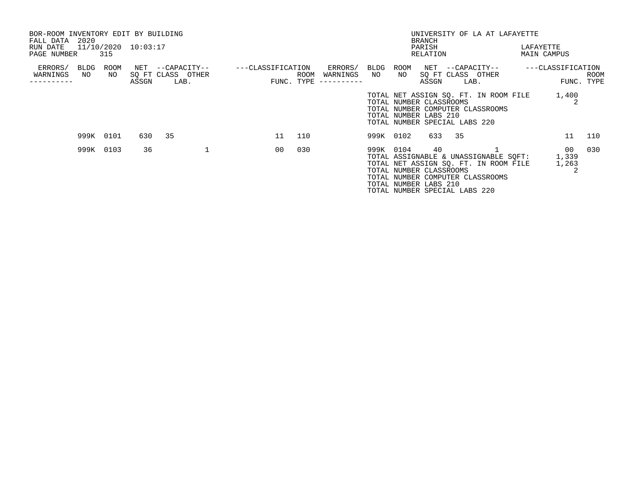| BOR-ROOM INVENTORY EDIT BY BUILDING |                     |       |                                       |                   |             |                     |            |            |                                                        |                               | UNIVERSITY OF LA AT LAFAYETTE                                                                                      |                      |             |
|-------------------------------------|---------------------|-------|---------------------------------------|-------------------|-------------|---------------------|------------|------------|--------------------------------------------------------|-------------------------------|--------------------------------------------------------------------------------------------------------------------|----------------------|-------------|
| 2020<br>FALL DATA<br>RUN DATE       | 11/10/2020 10:03:17 |       |                                       |                   |             |                     |            |            | <b>BRANCH</b><br>PARISH                                |                               |                                                                                                                    | LAFAYETTE            |             |
| PAGE NUMBER                         | 315                 |       |                                       |                   |             |                     |            |            | RELATION                                               |                               |                                                                                                                    | MAIN CAMPUS          |             |
| ERRORS/<br>BLDG<br>WARNINGS<br>NO   | ROOM<br>NO          |       | NET --CAPACITY--<br>SQ FT CLASS OTHER | ---CLASSIFICATION | <b>ROOM</b> | ERRORS/<br>WARNINGS | BLDG<br>NO | ROOM<br>NO |                                                        |                               | NET --CAPACITY--<br>SQ FT CLASS OTHER                                                                              | ---CLASSIFICATION    | <b>ROOM</b> |
|                                     |                     | ASSGN | LAB.                                  |                   | FUNC. TYPE  | ----------          |            |            | ASSGN                                                  |                               | LAB.                                                                                                               |                      | FUNC. TYPE  |
|                                     |                     |       |                                       |                   |             |                     |            |            | TOTAL NUMBER CLASSROOMS<br>TOTAL NUMBER LABS 210       | TOTAL NUMBER SPECIAL LABS 220 | TOTAL NET ASSIGN SQ. FT. IN ROOM FILE<br>TOTAL NUMBER COMPUTER CLASSROOMS                                          | 1,400                |             |
|                                     | 999K 0101           |       | 630 35                                | 11                | 110         |                     | 999K 0102  |            |                                                        | 633 35                        |                                                                                                                    | 11                   | 110         |
|                                     | 999K 0103           | 36    |                                       | 00                | 030         |                     | 999K 0104  |            | 40<br>TOTAL NUMBER CLASSROOMS<br>TOTAL NUMBER LABS 210 | TOTAL NUMBER SPECIAL LABS 220 | TOTAL ASSIGNABLE & UNASSIGNABLE SQFT:<br>TOTAL NET ASSIGN SO. FT. IN ROOM FILE<br>TOTAL NUMBER COMPUTER CLASSROOMS | 00<br>1,339<br>1,263 | 030         |